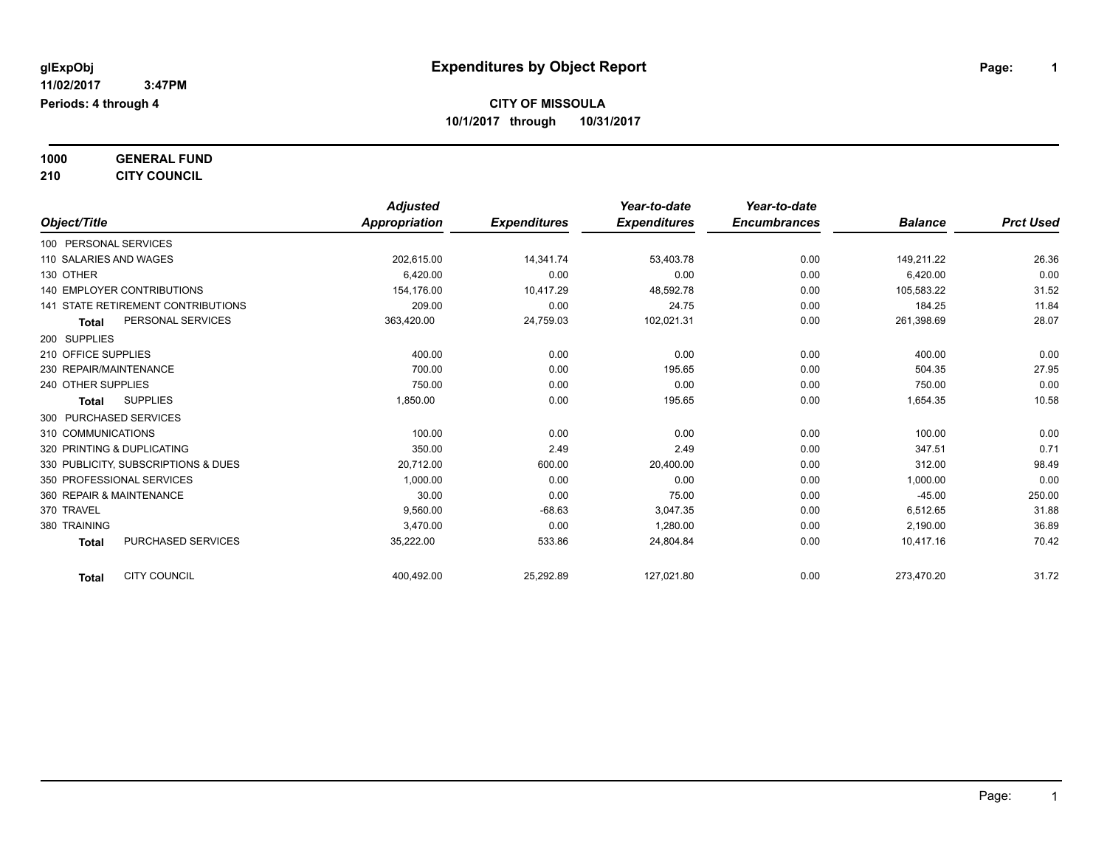### **1000 GENERAL FUND**

### **210 CITY COUNCIL**

|                                           | <b>Adjusted</b> |                     | Year-to-date        | Year-to-date        |                |                  |
|-------------------------------------------|-----------------|---------------------|---------------------|---------------------|----------------|------------------|
| Object/Title                              | Appropriation   | <b>Expenditures</b> | <b>Expenditures</b> | <b>Encumbrances</b> | <b>Balance</b> | <b>Prct Used</b> |
| 100 PERSONAL SERVICES                     |                 |                     |                     |                     |                |                  |
| 110 SALARIES AND WAGES                    | 202,615.00      | 14,341.74           | 53,403.78           | 0.00                | 149.211.22     | 26.36            |
| 130 OTHER                                 | 6.420.00        | 0.00                | 0.00                | 0.00                | 6,420.00       | 0.00             |
| <b>140 EMPLOYER CONTRIBUTIONS</b>         | 154,176.00      | 10,417.29           | 48,592.78           | 0.00                | 105,583.22     | 31.52            |
| <b>141 STATE RETIREMENT CONTRIBUTIONS</b> | 209.00          | 0.00                | 24.75               | 0.00                | 184.25         | 11.84            |
| PERSONAL SERVICES<br><b>Total</b>         | 363,420.00      | 24,759.03           | 102,021.31          | 0.00                | 261,398.69     | 28.07            |
| 200 SUPPLIES                              |                 |                     |                     |                     |                |                  |
| 210 OFFICE SUPPLIES                       | 400.00          | 0.00                | 0.00                | 0.00                | 400.00         | 0.00             |
| 230 REPAIR/MAINTENANCE                    | 700.00          | 0.00                | 195.65              | 0.00                | 504.35         | 27.95            |
| 240 OTHER SUPPLIES                        | 750.00          | 0.00                | 0.00                | 0.00                | 750.00         | 0.00             |
| <b>SUPPLIES</b><br>Total                  | 1,850.00        | 0.00                | 195.65              | 0.00                | 1,654.35       | 10.58            |
| 300 PURCHASED SERVICES                    |                 |                     |                     |                     |                |                  |
| 310 COMMUNICATIONS                        | 100.00          | 0.00                | 0.00                | 0.00                | 100.00         | 0.00             |
| 320 PRINTING & DUPLICATING                | 350.00          | 2.49                | 2.49                | 0.00                | 347.51         | 0.71             |
| 330 PUBLICITY, SUBSCRIPTIONS & DUES       | 20,712.00       | 600.00              | 20,400.00           | 0.00                | 312.00         | 98.49            |
| 350 PROFESSIONAL SERVICES                 | 1.000.00        | 0.00                | 0.00                | 0.00                | 1,000.00       | 0.00             |
| 360 REPAIR & MAINTENANCE                  | 30.00           | 0.00                | 75.00               | 0.00                | $-45.00$       | 250.00           |
| 370 TRAVEL                                | 9,560.00        | $-68.63$            | 3,047.35            | 0.00                | 6,512.65       | 31.88            |
| 380 TRAINING                              | 3,470.00        | 0.00                | 1,280.00            | 0.00                | 2,190.00       | 36.89            |
| <b>PURCHASED SERVICES</b><br><b>Total</b> | 35,222.00       | 533.86              | 24,804.84           | 0.00                | 10,417.16      | 70.42            |
| <b>CITY COUNCIL</b><br><b>Total</b>       | 400,492.00      | 25,292.89           | 127,021.80          | 0.00                | 273,470.20     | 31.72            |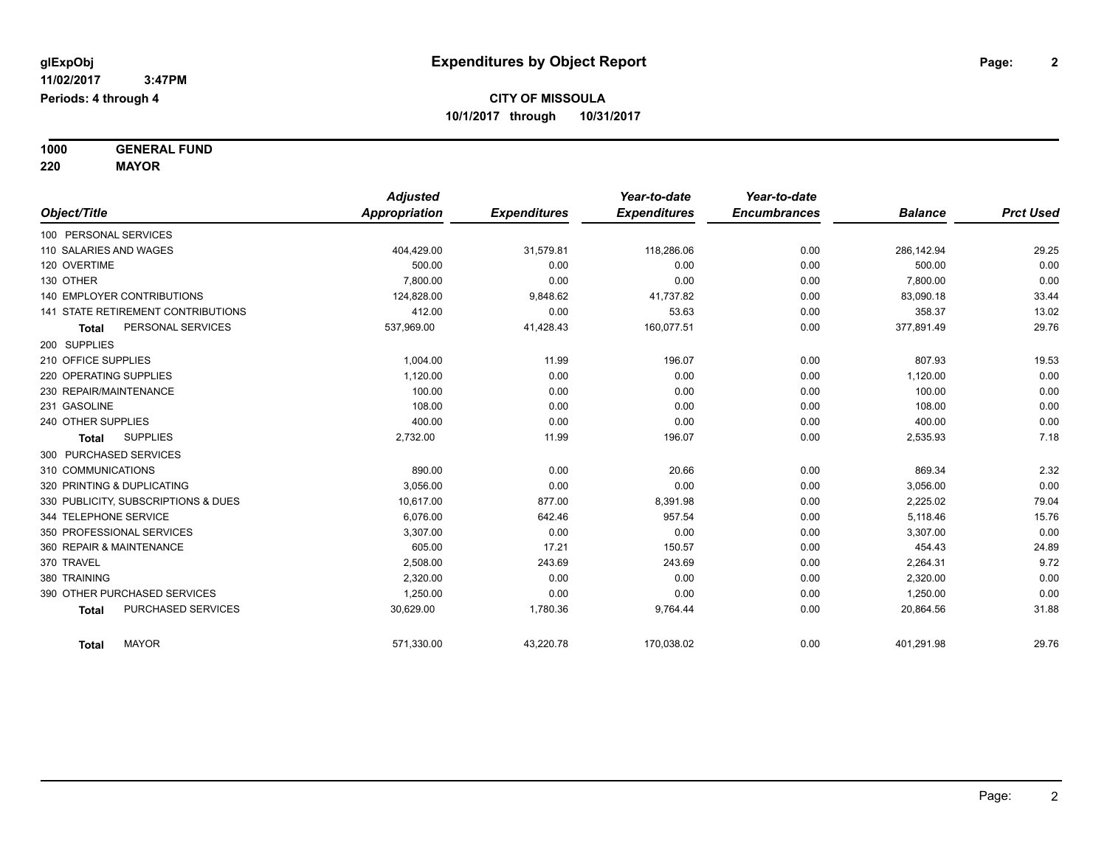**1000 GENERAL FUND 220 MAYOR**

*Object/Title Adjusted Appropriation Expenditures Year-to-date Expenditures Year-to-date Encumbrances Balance Prct Used* 100 PERSONAL SERVICES 110 SALARIES AND WAGES 404,429.00 31,579.81 118,286.06 0.00 286,142.94 29.25 120 OVERTIME 500.00 0.00 0.00 0.00 500.00 0.00 130 OTHER 7,800.00 0.00 0.00 0.00 7,800.00 0.00 140 EMPLOYER CONTRIBUTIONS 124,828.00 9,848.62 41,737.82 0.00 83,090.18 83,090.18 33.44 141 STATE RETIREMENT CONTRIBUTIONS 412.00 0.00 53.63 0.00 358.37 13.02 **Total** PERSONAL SERVICES 537,969.00 41,428.43 160,077.51 0.00 377,891.49 29.76 200 SUPPLIES 210 OFFICE SUPPLIES 1,004.00 11.99 196.07 0.00 807.93 19 220 OPERATING SUPPLIES 1,120.00 0.00 0.00 0.00 1,120.00 0.00  $230$  REPAIR/MAINTENANCE  $\hphantom{-}0.00$   $\hphantom{-}0.00$   $\hphantom{-}0.00$   $\hphantom{-}0.00$   $\hphantom{-}0.00$   $\hphantom{-}0.00$   $\hphantom{-}0.00$ 231 GASOLINE 108.00 0.00 0.00 0.00 108.00 0.00 240 OTHER SUPPLIES 400.00 0.00 0.00 0.00 400.00 0.00 **Total** SUPPLIES 2,732.00 11.99 196.07 0.00 2,535.93 7.18 300 PURCHASED SERVICES 310 COMMUNICATIONS 890.00 0.00 20.66 0.00 869.34 2.32 320 PRINTING & DUPLICATING 3,056.00 0.00 0.00 0.00 3,056.00 0.00 330 PUBLICITY, SUBSCRIPTIONS & DUES 10,617.00 877.00 8,391.98 0.00 2,225.02 79.04 344 TELEPHONE SERVICE 6,076.00 642.46 957.54 0.00 5,118.46 15.76 350 PROFESSIONAL SERVICES 3,307.00 0.00 0.00 0.00 3,307.00 0.00 360 REPAIR & MAINTENANCE 24.89 24.89 17.21 150.57 150.57 0.00 454.43 454.43 24.89 370 TRAVEL 2,508.00 243.69 9.72 380 TRAINING 2,320.00 0.00 0.00 0.00 2,320.00 0.00 390 OTHER PURCHASED SERVICES 1,250.00 0.00 0.00 0.00 1,250.00 0.00 **Total** PURCHASED SERVICES 30,629.00 1,780.36 9,764.44 0.00 20,864.56 31.88 **Total** MAYOR 571,330.00 43,220.78 170,038.02 0.00 401,291.98 29.76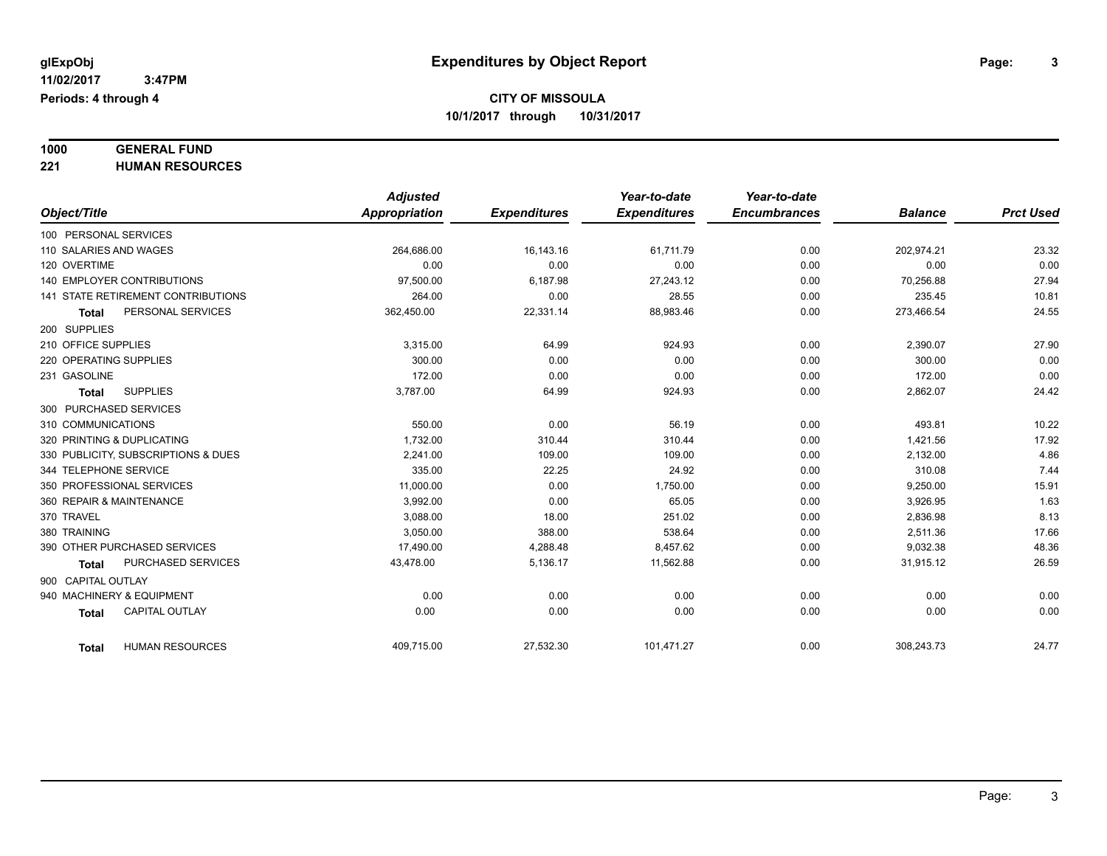# **1000 GENERAL FUND**

**221 HUMAN RESOURCES**

|                                           | <b>Adjusted</b> |                     | Year-to-date        | Year-to-date        |                |                  |
|-------------------------------------------|-----------------|---------------------|---------------------|---------------------|----------------|------------------|
| Object/Title                              | Appropriation   | <b>Expenditures</b> | <b>Expenditures</b> | <b>Encumbrances</b> | <b>Balance</b> | <b>Prct Used</b> |
| 100 PERSONAL SERVICES                     |                 |                     |                     |                     |                |                  |
| 110 SALARIES AND WAGES                    | 264.686.00      | 16,143.16           | 61.711.79           | 0.00                | 202,974.21     | 23.32            |
| 120 OVERTIME                              | 0.00            | 0.00                | 0.00                | 0.00                | 0.00           | 0.00             |
| <b>140 EMPLOYER CONTRIBUTIONS</b>         | 97,500.00       | 6,187.98            | 27,243.12           | 0.00                | 70,256.88      | 27.94            |
| <b>141 STATE RETIREMENT CONTRIBUTIONS</b> | 264.00          | 0.00                | 28.55               | 0.00                | 235.45         | 10.81            |
| PERSONAL SERVICES<br>Total                | 362,450.00      | 22,331.14           | 88,983.46           | 0.00                | 273,466.54     | 24.55            |
| 200 SUPPLIES                              |                 |                     |                     |                     |                |                  |
| 210 OFFICE SUPPLIES                       | 3,315.00        | 64.99               | 924.93              | 0.00                | 2,390.07       | 27.90            |
| 220 OPERATING SUPPLIES                    | 300.00          | 0.00                | 0.00                | 0.00                | 300.00         | 0.00             |
| 231 GASOLINE                              | 172.00          | 0.00                | 0.00                | 0.00                | 172.00         | 0.00             |
| <b>SUPPLIES</b><br><b>Total</b>           | 3,787.00        | 64.99               | 924.93              | 0.00                | 2,862.07       | 24.42            |
| 300 PURCHASED SERVICES                    |                 |                     |                     |                     |                |                  |
| 310 COMMUNICATIONS                        | 550.00          | 0.00                | 56.19               | 0.00                | 493.81         | 10.22            |
| 320 PRINTING & DUPLICATING                | 1,732.00        | 310.44              | 310.44              | 0.00                | 1,421.56       | 17.92            |
| 330 PUBLICITY, SUBSCRIPTIONS & DUES       | 2.241.00        | 109.00              | 109.00              | 0.00                | 2,132.00       | 4.86             |
| 344 TELEPHONE SERVICE                     | 335.00          | 22.25               | 24.92               | 0.00                | 310.08         | 7.44             |
| 350 PROFESSIONAL SERVICES                 | 11,000.00       | 0.00                | 1,750.00            | 0.00                | 9,250.00       | 15.91            |
| 360 REPAIR & MAINTENANCE                  | 3,992.00        | 0.00                | 65.05               | 0.00                | 3,926.95       | 1.63             |
| 370 TRAVEL                                | 3,088.00        | 18.00               | 251.02              | 0.00                | 2,836.98       | 8.13             |
| 380 TRAINING                              | 3,050.00        | 388.00              | 538.64              | 0.00                | 2,511.36       | 17.66            |
| 390 OTHER PURCHASED SERVICES              | 17,490.00       | 4,288.48            | 8,457.62            | 0.00                | 9,032.38       | 48.36            |
| PURCHASED SERVICES<br><b>Total</b>        | 43,478.00       | 5,136.17            | 11,562.88           | 0.00                | 31,915.12      | 26.59            |
| 900 CAPITAL OUTLAY                        |                 |                     |                     |                     |                |                  |
| 940 MACHINERY & EQUIPMENT                 | 0.00            | 0.00                | 0.00                | 0.00                | 0.00           | 0.00             |
| <b>CAPITAL OUTLAY</b><br><b>Total</b>     | 0.00            | 0.00                | 0.00                | 0.00                | 0.00           | 0.00             |
| <b>HUMAN RESOURCES</b><br>Total           | 409,715.00      | 27,532.30           | 101,471.27          | 0.00                | 308,243.73     | 24.77            |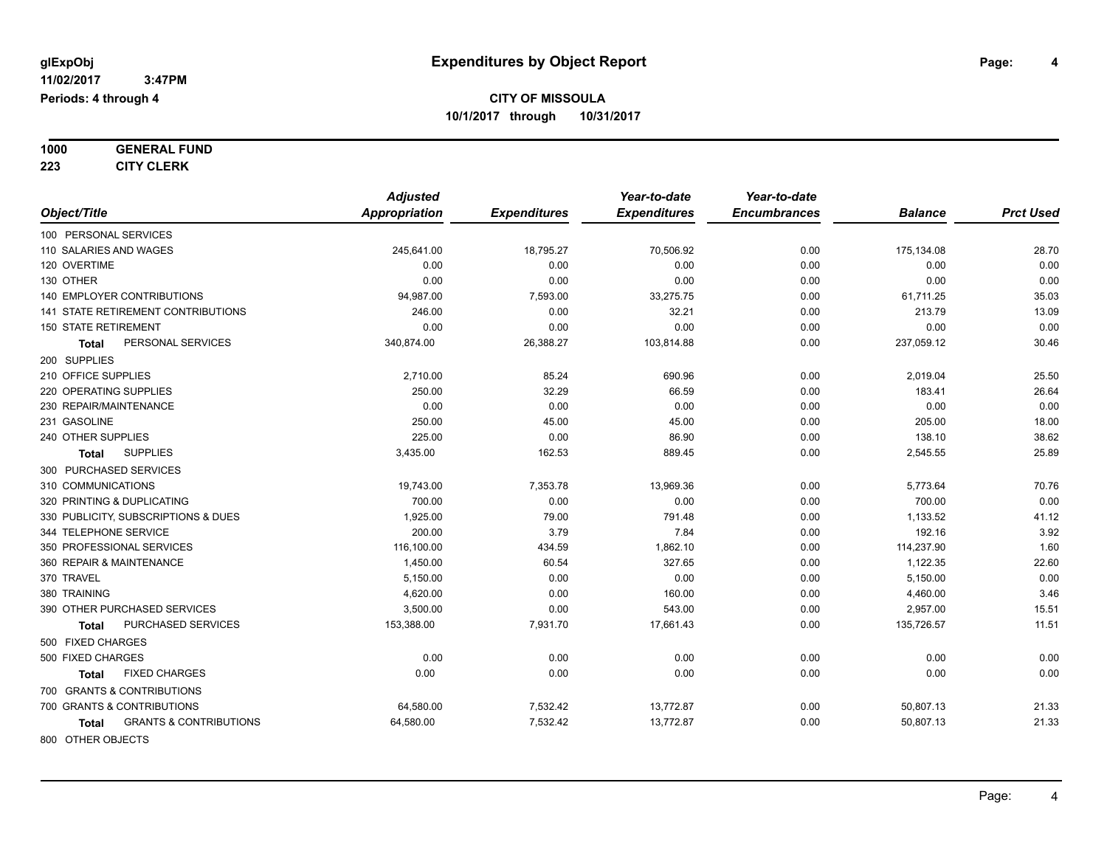| 1000 | <b>GENERAL FUND</b> |
|------|---------------------|
|      |                     |

**223 CITY CLERK**

|                                            | <b>Adjusted</b>      |                     | Year-to-date        | Year-to-date        |                |                  |
|--------------------------------------------|----------------------|---------------------|---------------------|---------------------|----------------|------------------|
| Object/Title                               | <b>Appropriation</b> | <b>Expenditures</b> | <b>Expenditures</b> | <b>Encumbrances</b> | <b>Balance</b> | <b>Prct Used</b> |
| 100 PERSONAL SERVICES                      |                      |                     |                     |                     |                |                  |
| 110 SALARIES AND WAGES                     | 245,641.00           | 18,795.27           | 70,506.92           | 0.00                | 175,134.08     | 28.70            |
| 120 OVERTIME                               | 0.00                 | 0.00                | 0.00                | 0.00                | 0.00           | 0.00             |
| 130 OTHER                                  | 0.00                 | 0.00                | 0.00                | 0.00                | 0.00           | 0.00             |
| 140 EMPLOYER CONTRIBUTIONS                 | 94,987.00            | 7,593.00            | 33,275.75           | 0.00                | 61,711.25      | 35.03            |
| 141 STATE RETIREMENT CONTRIBUTIONS         | 246.00               | 0.00                | 32.21               | 0.00                | 213.79         | 13.09            |
| <b>150 STATE RETIREMENT</b>                | 0.00                 | 0.00                | 0.00                | 0.00                | 0.00           | 0.00             |
| PERSONAL SERVICES<br>Total                 | 340,874.00           | 26,388.27           | 103,814.88          | 0.00                | 237,059.12     | 30.46            |
| 200 SUPPLIES                               |                      |                     |                     |                     |                |                  |
| 210 OFFICE SUPPLIES                        | 2,710.00             | 85.24               | 690.96              | 0.00                | 2,019.04       | 25.50            |
| 220 OPERATING SUPPLIES                     | 250.00               | 32.29               | 66.59               | 0.00                | 183.41         | 26.64            |
| 230 REPAIR/MAINTENANCE                     | 0.00                 | 0.00                | 0.00                | 0.00                | 0.00           | 0.00             |
| 231 GASOLINE                               | 250.00               | 45.00               | 45.00               | 0.00                | 205.00         | 18.00            |
| 240 OTHER SUPPLIES                         | 225.00               | 0.00                | 86.90               | 0.00                | 138.10         | 38.62            |
| <b>SUPPLIES</b><br>Total                   | 3,435.00             | 162.53              | 889.45              | 0.00                | 2,545.55       | 25.89            |
| 300 PURCHASED SERVICES                     |                      |                     |                     |                     |                |                  |
| 310 COMMUNICATIONS                         | 19,743.00            | 7,353.78            | 13,969.36           | 0.00                | 5,773.64       | 70.76            |
| 320 PRINTING & DUPLICATING                 | 700.00               | 0.00                | 0.00                | 0.00                | 700.00         | 0.00             |
| 330 PUBLICITY, SUBSCRIPTIONS & DUES        | 1,925.00             | 79.00               | 791.48              | 0.00                | 1,133.52       | 41.12            |
| 344 TELEPHONE SERVICE                      | 200.00               | 3.79                | 7.84                | 0.00                | 192.16         | 3.92             |
| 350 PROFESSIONAL SERVICES                  | 116,100.00           | 434.59              | 1,862.10            | 0.00                | 114,237.90     | 1.60             |
| 360 REPAIR & MAINTENANCE                   | 1,450.00             | 60.54               | 327.65              | 0.00                | 1,122.35       | 22.60            |
| 370 TRAVEL                                 | 5,150.00             | 0.00                | 0.00                | 0.00                | 5,150.00       | 0.00             |
| 380 TRAINING                               | 4,620.00             | 0.00                | 160.00              | 0.00                | 4,460.00       | 3.46             |
| 390 OTHER PURCHASED SERVICES               | 3,500.00             | 0.00                | 543.00              | 0.00                | 2,957.00       | 15.51            |
| PURCHASED SERVICES<br><b>Total</b>         | 153,388.00           | 7,931.70            | 17,661.43           | 0.00                | 135,726.57     | 11.51            |
| 500 FIXED CHARGES                          |                      |                     |                     |                     |                |                  |
| 500 FIXED CHARGES                          | 0.00                 | 0.00                | 0.00                | 0.00                | 0.00           | 0.00             |
| <b>FIXED CHARGES</b><br>Total              | 0.00                 | 0.00                | 0.00                | 0.00                | 0.00           | 0.00             |
| 700 GRANTS & CONTRIBUTIONS                 |                      |                     |                     |                     |                |                  |
| 700 GRANTS & CONTRIBUTIONS                 | 64,580.00            | 7,532.42            | 13,772.87           | 0.00                | 50,807.13      | 21.33            |
| <b>GRANTS &amp; CONTRIBUTIONS</b><br>Total | 64,580.00            | 7,532.42            | 13,772.87           | 0.00                | 50,807.13      | 21.33            |
| 800 OTHER OBJECTS                          |                      |                     |                     |                     |                |                  |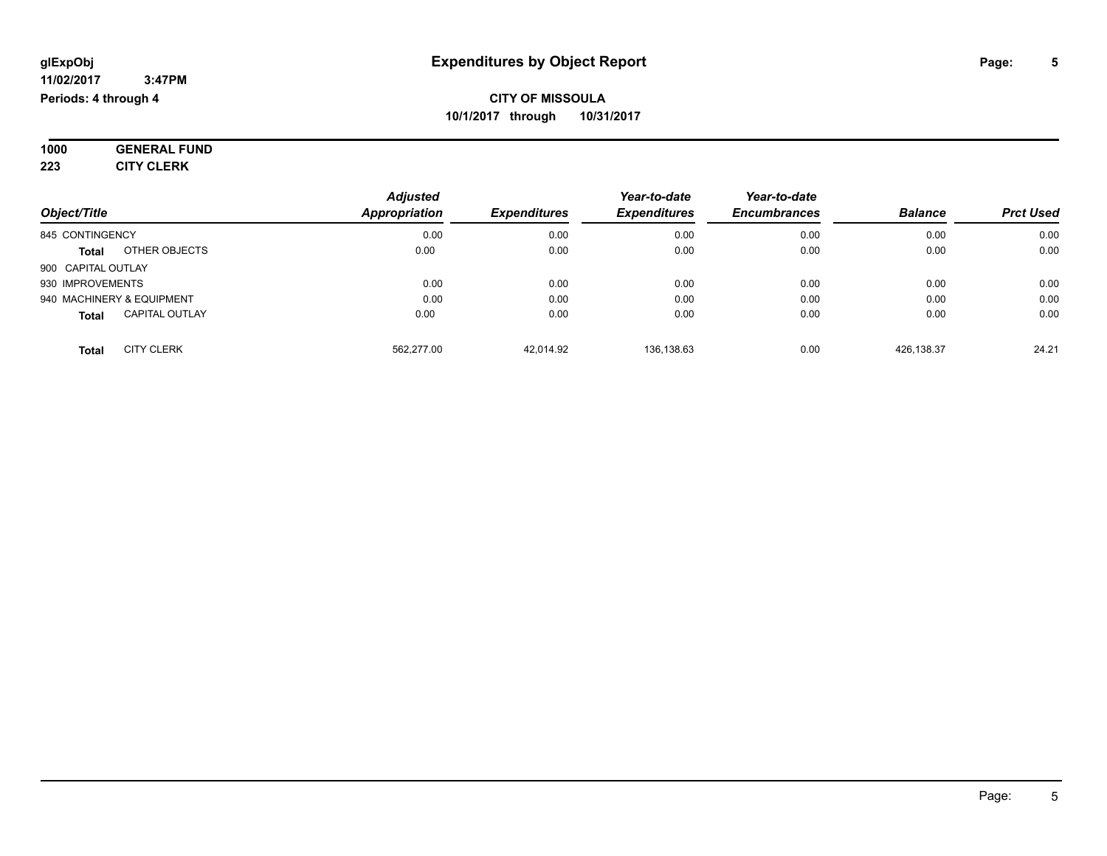**1000 GENERAL FUND 223 CITY CLERK**

| Object/Title              |                       | <b>Adjusted</b><br>Appropriation | <b>Expenditures</b> | Year-to-date<br><b>Expenditures</b> | Year-to-date<br><b>Encumbrances</b> | <b>Balance</b> | <b>Prct Used</b> |
|---------------------------|-----------------------|----------------------------------|---------------------|-------------------------------------|-------------------------------------|----------------|------------------|
| 845 CONTINGENCY           |                       | 0.00                             | 0.00                | 0.00                                | 0.00                                | 0.00           | 0.00             |
| <b>Total</b>              | OTHER OBJECTS         | 0.00                             | 0.00                | 0.00                                | 0.00                                | 0.00           | 0.00             |
| 900 CAPITAL OUTLAY        |                       |                                  |                     |                                     |                                     |                |                  |
| 930 IMPROVEMENTS          |                       | 0.00                             | 0.00                | 0.00                                | 0.00                                | 0.00           | 0.00             |
| 940 MACHINERY & EQUIPMENT |                       | 0.00                             | 0.00                | 0.00                                | 0.00                                | 0.00           | 0.00             |
| <b>Total</b>              | <b>CAPITAL OUTLAY</b> | 0.00                             | 0.00                | 0.00                                | 0.00                                | 0.00           | 0.00             |
| <b>Total</b>              | <b>CITY CLERK</b>     | 562.277.00                       | 42.014.92           | 136.138.63                          | 0.00                                | 426.138.37     | 24.21            |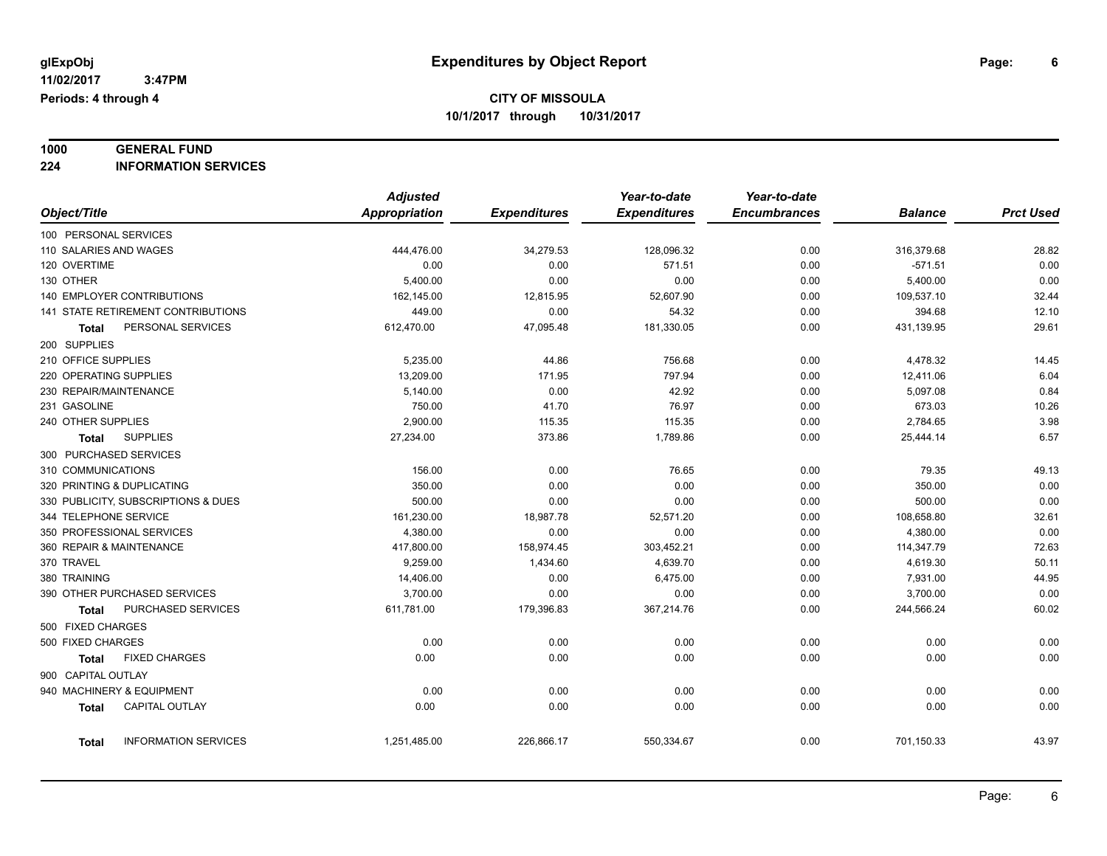# **1000 GENERAL FUND**

**224 INFORMATION SERVICES**

|                                       | <b>Adjusted</b> |                     | Year-to-date        | Year-to-date        |                |                  |
|---------------------------------------|-----------------|---------------------|---------------------|---------------------|----------------|------------------|
| Object/Title                          | Appropriation   | <b>Expenditures</b> | <b>Expenditures</b> | <b>Encumbrances</b> | <b>Balance</b> | <b>Prct Used</b> |
| 100 PERSONAL SERVICES                 |                 |                     |                     |                     |                |                  |
| 110 SALARIES AND WAGES                | 444,476.00      | 34,279.53           | 128,096.32          | 0.00                | 316,379.68     | 28.82            |
| 120 OVERTIME                          | 0.00            | 0.00                | 571.51              | 0.00                | $-571.51$      | 0.00             |
| 130 OTHER                             | 5,400.00        | 0.00                | 0.00                | 0.00                | 5,400.00       | 0.00             |
| <b>140 EMPLOYER CONTRIBUTIONS</b>     | 162,145.00      | 12,815.95           | 52,607.90           | 0.00                | 109,537.10     | 32.44            |
| 141 STATE RETIREMENT CONTRIBUTIONS    | 449.00          | 0.00                | 54.32               | 0.00                | 394.68         | 12.10            |
| PERSONAL SERVICES<br>Total            | 612,470.00      | 47,095.48           | 181,330.05          | 0.00                | 431,139.95     | 29.61            |
| 200 SUPPLIES                          |                 |                     |                     |                     |                |                  |
| 210 OFFICE SUPPLIES                   | 5,235.00        | 44.86               | 756.68              | 0.00                | 4,478.32       | 14.45            |
| 220 OPERATING SUPPLIES                | 13,209.00       | 171.95              | 797.94              | 0.00                | 12,411.06      | 6.04             |
| 230 REPAIR/MAINTENANCE                | 5,140.00        | 0.00                | 42.92               | 0.00                | 5,097.08       | 0.84             |
| 231 GASOLINE                          | 750.00          | 41.70               | 76.97               | 0.00                | 673.03         | 10.26            |
| 240 OTHER SUPPLIES                    | 2,900.00        | 115.35              | 115.35              | 0.00                | 2,784.65       | 3.98             |
| <b>SUPPLIES</b><br>Total              | 27,234.00       | 373.86              | 1,789.86            | 0.00                | 25,444.14      | 6.57             |
| 300 PURCHASED SERVICES                |                 |                     |                     |                     |                |                  |
| 310 COMMUNICATIONS                    | 156.00          | 0.00                | 76.65               | 0.00                | 79.35          | 49.13            |
| 320 PRINTING & DUPLICATING            | 350.00          | 0.00                | 0.00                | 0.00                | 350.00         | 0.00             |
| 330 PUBLICITY, SUBSCRIPTIONS & DUES   | 500.00          | 0.00                | 0.00                | 0.00                | 500.00         | 0.00             |
| 344 TELEPHONE SERVICE                 | 161,230.00      | 18,987.78           | 52,571.20           | 0.00                | 108,658.80     | 32.61            |
| 350 PROFESSIONAL SERVICES             | 4,380.00        | 0.00                | 0.00                | 0.00                | 4,380.00       | 0.00             |
| 360 REPAIR & MAINTENANCE              | 417,800.00      | 158,974.45          | 303,452.21          | 0.00                | 114,347.79     | 72.63            |
| 370 TRAVEL                            | 9.259.00        | 1,434.60            | 4,639.70            | 0.00                | 4,619.30       | 50.11            |
| 380 TRAINING                          | 14,406.00       | 0.00                | 6,475.00            | 0.00                | 7,931.00       | 44.95            |
| 390 OTHER PURCHASED SERVICES          | 3,700.00        | 0.00                | 0.00                | 0.00                | 3,700.00       | 0.00             |
| PURCHASED SERVICES<br>Total           | 611,781.00      | 179,396.83          | 367,214.76          | 0.00                | 244,566.24     | 60.02            |
| 500 FIXED CHARGES                     |                 |                     |                     |                     |                |                  |
| 500 FIXED CHARGES                     | 0.00            | 0.00                | 0.00                | 0.00                | 0.00           | 0.00             |
| <b>FIXED CHARGES</b><br><b>Total</b>  | 0.00            | 0.00                | 0.00                | 0.00                | 0.00           | 0.00             |
| 900 CAPITAL OUTLAY                    |                 |                     |                     |                     |                |                  |
| 940 MACHINERY & EQUIPMENT             | 0.00            | 0.00                | 0.00                | 0.00                | 0.00           | 0.00             |
| <b>CAPITAL OUTLAY</b><br><b>Total</b> | 0.00            | 0.00                | 0.00                | 0.00                | 0.00           | 0.00             |
|                                       |                 |                     |                     |                     |                |                  |
| <b>INFORMATION SERVICES</b><br>Total  | 1,251,485.00    | 226,866.17          | 550,334.67          | 0.00                | 701,150.33     | 43.97            |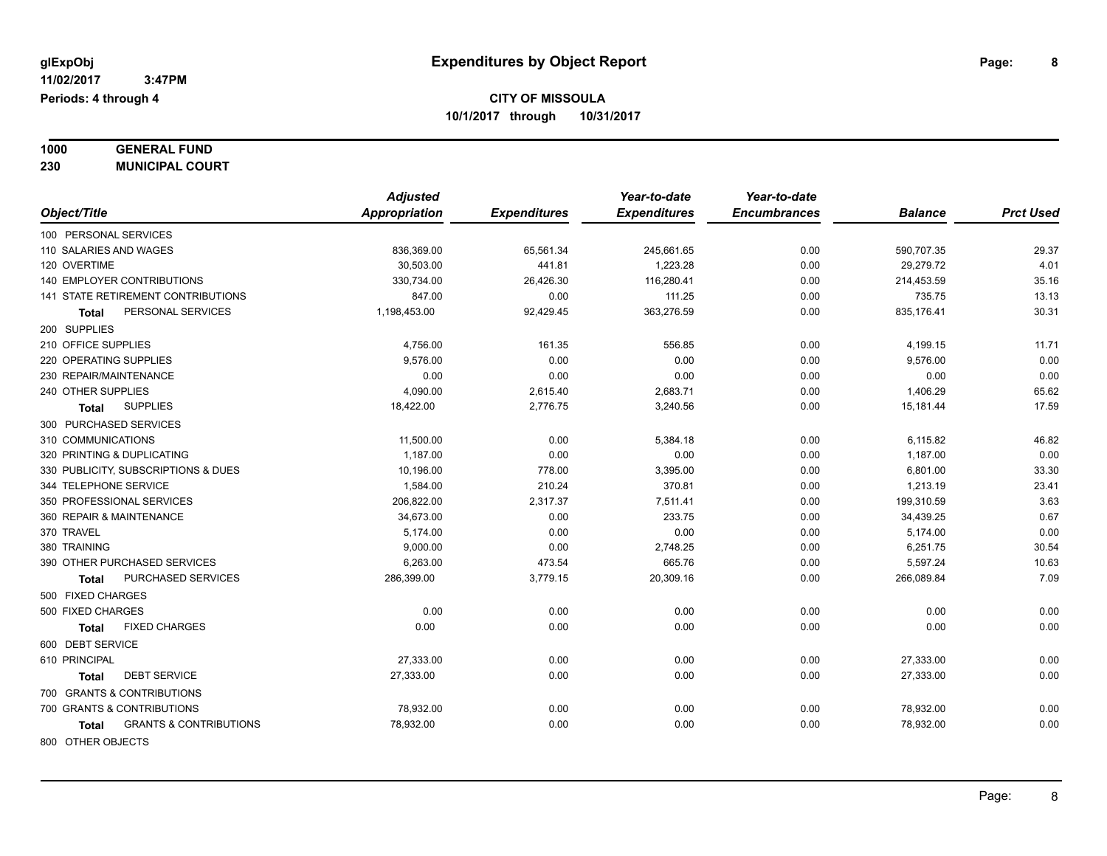| 1000 | <b>GENERAL FUND</b>    |
|------|------------------------|
| 230  | <b>MUNICIPAL COURT</b> |

| Object/Title                               | <b>Adjusted</b><br>Appropriation | <b>Expenditures</b> | Year-to-date<br><b>Expenditures</b> | Year-to-date<br><b>Encumbrances</b> | <b>Balance</b>          | <b>Prct Used</b> |
|--------------------------------------------|----------------------------------|---------------------|-------------------------------------|-------------------------------------|-------------------------|------------------|
|                                            |                                  |                     |                                     |                                     |                         |                  |
| 100 PERSONAL SERVICES                      |                                  |                     |                                     |                                     |                         |                  |
| 110 SALARIES AND WAGES<br>120 OVERTIME     | 836,369.00<br>30.503.00          | 65,561.34           | 245,661.65<br>1.223.28              | 0.00                                | 590,707.35<br>29.279.72 | 29.37            |
| <b>140 EMPLOYER CONTRIBUTIONS</b>          |                                  | 441.81              |                                     | 0.00                                |                         | 4.01<br>35.16    |
| <b>141 STATE RETIREMENT CONTRIBUTIONS</b>  | 330,734.00<br>847.00             | 26,426.30           | 116,280.41                          | 0.00                                | 214,453.59              | 13.13            |
| PERSONAL SERVICES                          |                                  | 0.00                | 111.25<br>363,276.59                | 0.00                                | 735.75<br>835,176.41    | 30.31            |
| Total                                      | 1,198,453.00                     | 92,429.45           |                                     | 0.00                                |                         |                  |
| 200 SUPPLIES                               |                                  |                     |                                     |                                     |                         |                  |
| 210 OFFICE SUPPLIES                        | 4,756.00                         | 161.35              | 556.85                              | 0.00                                | 4,199.15                | 11.71            |
| 220 OPERATING SUPPLIES                     | 9,576.00                         | 0.00                | 0.00                                | 0.00                                | 9,576.00                | 0.00             |
| 230 REPAIR/MAINTENANCE                     | 0.00                             | 0.00                | 0.00                                | 0.00                                | 0.00                    | 0.00             |
| 240 OTHER SUPPLIES                         | 4,090.00                         | 2,615.40            | 2,683.71                            | 0.00                                | 1,406.29                | 65.62            |
| <b>SUPPLIES</b><br>Total                   | 18,422.00                        | 2,776.75            | 3,240.56                            | 0.00                                | 15,181.44               | 17.59            |
| 300 PURCHASED SERVICES                     |                                  |                     |                                     |                                     |                         |                  |
| 310 COMMUNICATIONS                         | 11,500.00                        | 0.00                | 5,384.18                            | 0.00                                | 6,115.82                | 46.82            |
| 320 PRINTING & DUPLICATING                 | 1,187.00                         | 0.00                | 0.00                                | 0.00                                | 1,187.00                | 0.00             |
| 330 PUBLICITY, SUBSCRIPTIONS & DUES        | 10,196.00                        | 778.00              | 3,395.00                            | 0.00                                | 6,801.00                | 33.30            |
| 344 TELEPHONE SERVICE                      | 1,584.00                         | 210.24              | 370.81                              | 0.00                                | 1,213.19                | 23.41            |
| 350 PROFESSIONAL SERVICES                  | 206,822.00                       | 2,317.37            | 7,511.41                            | 0.00                                | 199,310.59              | 3.63             |
| 360 REPAIR & MAINTENANCE                   | 34,673.00                        | 0.00                | 233.75                              | 0.00                                | 34,439.25               | 0.67             |
| 370 TRAVEL                                 | 5,174.00                         | 0.00                | 0.00                                | 0.00                                | 5,174.00                | 0.00             |
| 380 TRAINING                               | 9,000.00                         | 0.00                | 2,748.25                            | 0.00                                | 6,251.75                | 30.54            |
| 390 OTHER PURCHASED SERVICES               | 6,263.00                         | 473.54              | 665.76                              | 0.00                                | 5,597.24                | 10.63            |
| PURCHASED SERVICES<br>Total                | 286,399.00                       | 3,779.15            | 20,309.16                           | 0.00                                | 266,089.84              | 7.09             |
| 500 FIXED CHARGES                          |                                  |                     |                                     |                                     |                         |                  |
| 500 FIXED CHARGES                          | 0.00                             | 0.00                | 0.00                                | 0.00                                | 0.00                    | 0.00             |
| <b>FIXED CHARGES</b><br>Total              | 0.00                             | 0.00                | 0.00                                | 0.00                                | 0.00                    | 0.00             |
| 600 DEBT SERVICE                           |                                  |                     |                                     |                                     |                         |                  |
| 610 PRINCIPAL                              | 27,333.00                        | 0.00                | 0.00                                | 0.00                                | 27,333.00               | 0.00             |
| <b>DEBT SERVICE</b><br>Total               | 27,333.00                        | 0.00                | 0.00                                | 0.00                                | 27,333.00               | 0.00             |
| 700 GRANTS & CONTRIBUTIONS                 |                                  |                     |                                     |                                     |                         |                  |
| 700 GRANTS & CONTRIBUTIONS                 | 78,932.00                        | 0.00                | 0.00                                | 0.00                                | 78,932.00               | 0.00             |
| <b>GRANTS &amp; CONTRIBUTIONS</b><br>Total | 78,932.00                        | 0.00                | 0.00                                | 0.00                                | 78,932.00               | 0.00             |
| 800 OTHER OBJECTS                          |                                  |                     |                                     |                                     |                         |                  |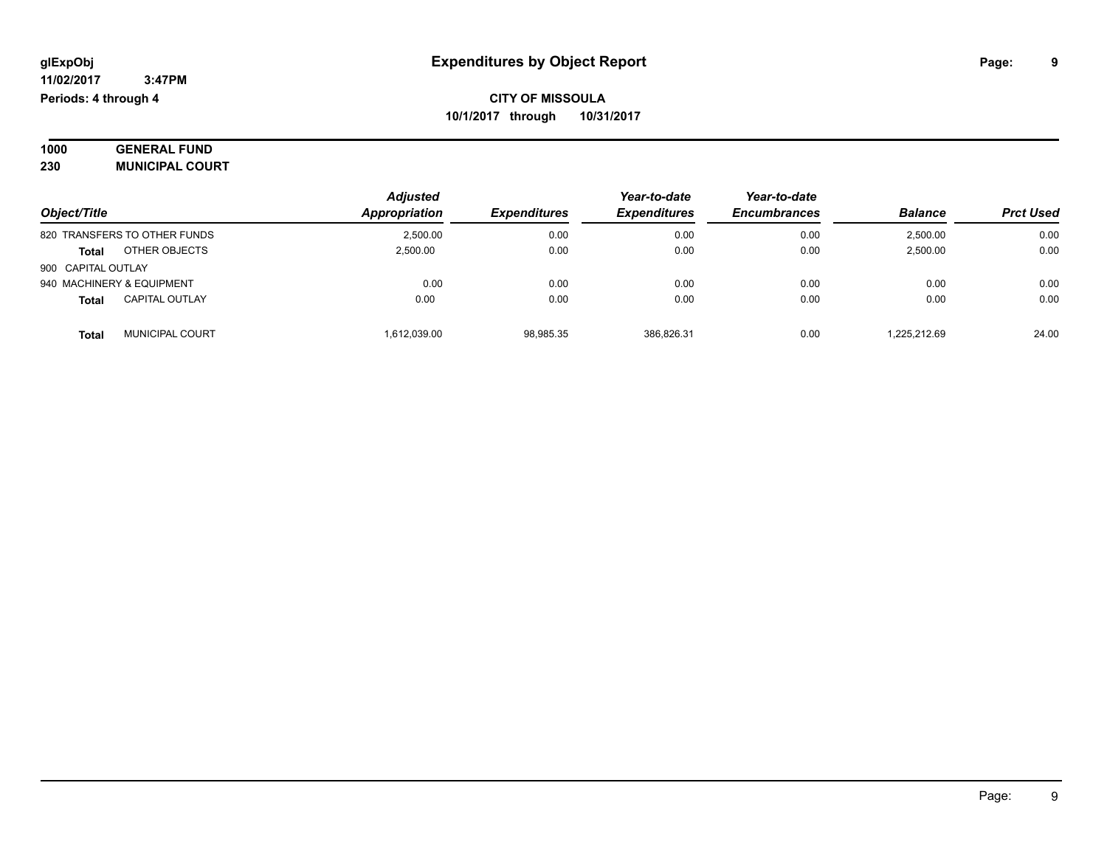| 1000 | <b>GENERAL FUND</b>    |  |
|------|------------------------|--|
| 230  | <b>MUNICIPAL COURT</b> |  |

|                                        | <b>Adjusted</b> |                            | Year-to-date               | Year-to-date        |                |                  |
|----------------------------------------|-----------------|----------------------------|----------------------------|---------------------|----------------|------------------|
| Object/Title                           | Appropriation   | <i><b>Expenditures</b></i> | <i><b>Expenditures</b></i> | <b>Encumbrances</b> | <b>Balance</b> | <b>Prct Used</b> |
| 820 TRANSFERS TO OTHER FUNDS           | 2.500.00        | 0.00                       | 0.00                       | 0.00                | 2,500.00       | 0.00             |
| OTHER OBJECTS<br><b>Total</b>          | 2.500.00        | 0.00                       | 0.00                       | 0.00                | 2,500.00       | 0.00             |
| 900 CAPITAL OUTLAY                     |                 |                            |                            |                     |                |                  |
| 940 MACHINERY & EQUIPMENT              | 0.00            | 0.00                       | 0.00                       | 0.00                | 0.00           | 0.00             |
| <b>CAPITAL OUTLAY</b><br><b>Total</b>  | 0.00            | 0.00                       | 0.00                       | 0.00                | 0.00           | 0.00             |
| <b>MUNICIPAL COURT</b><br><b>Total</b> | 1.612.039.00    | 98,985.35                  | 386.826.31                 | 0.00                | 1.225.212.69   | 24.00            |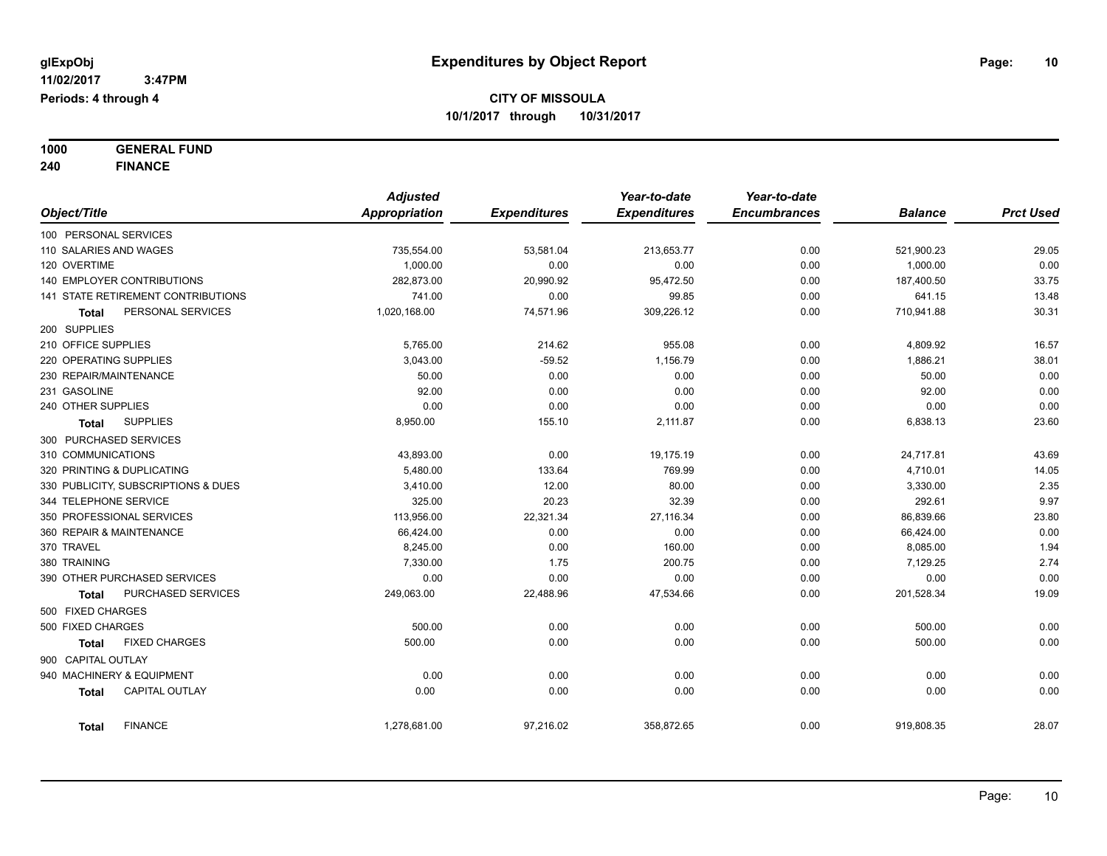**1000 GENERAL FUND 240 FINANCE**

|                                           | <b>Adjusted</b> |                     | Year-to-date        | Year-to-date        |                |                  |
|-------------------------------------------|-----------------|---------------------|---------------------|---------------------|----------------|------------------|
| Object/Title                              | Appropriation   | <b>Expenditures</b> | <b>Expenditures</b> | <b>Encumbrances</b> | <b>Balance</b> | <b>Prct Used</b> |
| 100 PERSONAL SERVICES                     |                 |                     |                     |                     |                |                  |
| 110 SALARIES AND WAGES                    | 735,554.00      | 53,581.04           | 213,653.77          | 0.00                | 521,900.23     | 29.05            |
| 120 OVERTIME                              | 1,000.00        | 0.00                | 0.00                | 0.00                | 1,000.00       | 0.00             |
| 140 EMPLOYER CONTRIBUTIONS                | 282,873.00      | 20,990.92           | 95,472.50           | 0.00                | 187,400.50     | 33.75            |
| <b>141 STATE RETIREMENT CONTRIBUTIONS</b> | 741.00          | 0.00                | 99.85               | 0.00                | 641.15         | 13.48            |
| PERSONAL SERVICES<br>Total                | 1,020,168.00    | 74,571.96           | 309,226.12          | 0.00                | 710,941.88     | 30.31            |
| 200 SUPPLIES                              |                 |                     |                     |                     |                |                  |
| 210 OFFICE SUPPLIES                       | 5,765.00        | 214.62              | 955.08              | 0.00                | 4,809.92       | 16.57            |
| 220 OPERATING SUPPLIES                    | 3,043.00        | $-59.52$            | 1,156.79            | 0.00                | 1,886.21       | 38.01            |
| 230 REPAIR/MAINTENANCE                    | 50.00           | 0.00                | 0.00                | 0.00                | 50.00          | 0.00             |
| 231 GASOLINE                              | 92.00           | 0.00                | 0.00                | 0.00                | 92.00          | 0.00             |
| 240 OTHER SUPPLIES                        | 0.00            | 0.00                | 0.00                | 0.00                | 0.00           | 0.00             |
| <b>SUPPLIES</b><br>Total                  | 8,950.00        | 155.10              | 2,111.87            | 0.00                | 6,838.13       | 23.60            |
| 300 PURCHASED SERVICES                    |                 |                     |                     |                     |                |                  |
| 310 COMMUNICATIONS                        | 43,893.00       | 0.00                | 19,175.19           | 0.00                | 24,717.81      | 43.69            |
| 320 PRINTING & DUPLICATING                | 5,480.00        | 133.64              | 769.99              | 0.00                | 4,710.01       | 14.05            |
| 330 PUBLICITY, SUBSCRIPTIONS & DUES       | 3,410.00        | 12.00               | 80.00               | 0.00                | 3,330.00       | 2.35             |
| 344 TELEPHONE SERVICE                     | 325.00          | 20.23               | 32.39               | 0.00                | 292.61         | 9.97             |
| 350 PROFESSIONAL SERVICES                 | 113,956.00      | 22,321.34           | 27,116.34           | 0.00                | 86,839.66      | 23.80            |
| 360 REPAIR & MAINTENANCE                  | 66,424.00       | 0.00                | 0.00                | 0.00                | 66,424.00      | 0.00             |
| 370 TRAVEL                                | 8,245.00        | 0.00                | 160.00              | 0.00                | 8,085.00       | 1.94             |
| 380 TRAINING                              | 7,330.00        | 1.75                | 200.75              | 0.00                | 7,129.25       | 2.74             |
| 390 OTHER PURCHASED SERVICES              | 0.00            | 0.00                | 0.00                | 0.00                | 0.00           | 0.00             |
| PURCHASED SERVICES<br><b>Total</b>        | 249,063.00      | 22,488.96           | 47,534.66           | 0.00                | 201,528.34     | 19.09            |
| 500 FIXED CHARGES                         |                 |                     |                     |                     |                |                  |
| 500 FIXED CHARGES                         | 500.00          | 0.00                | 0.00                | 0.00                | 500.00         | 0.00             |
| <b>FIXED CHARGES</b><br>Total             | 500.00          | 0.00                | 0.00                | 0.00                | 500.00         | 0.00             |
| 900 CAPITAL OUTLAY                        |                 |                     |                     |                     |                |                  |
| 940 MACHINERY & EQUIPMENT                 | 0.00            | 0.00                | 0.00                | 0.00                | 0.00           | 0.00             |
| CAPITAL OUTLAY<br><b>Total</b>            | 0.00            | 0.00                | 0.00                | 0.00                | 0.00           | 0.00             |
| <b>FINANCE</b><br><b>Total</b>            | 1,278,681.00    | 97,216.02           | 358,872.65          | 0.00                | 919,808.35     | 28.07            |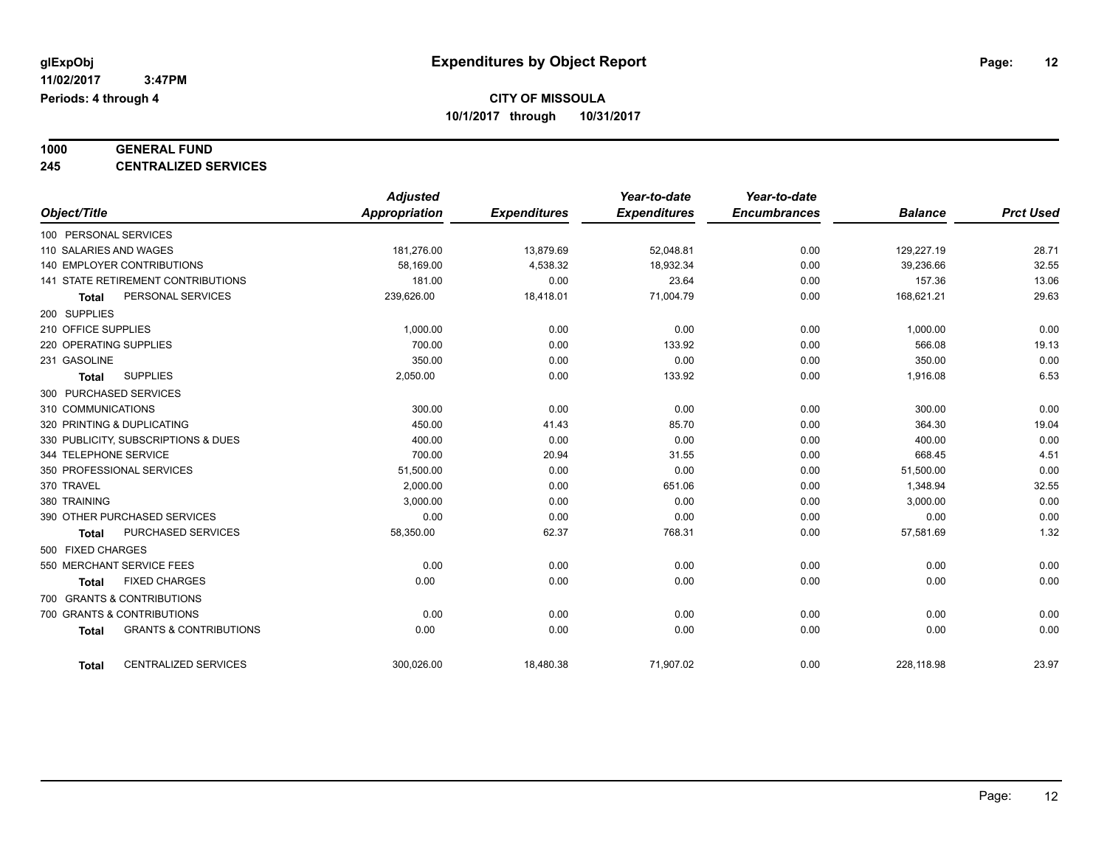# **1000 GENERAL FUND**

**245 CENTRALIZED SERVICES**

|                                                   | <b>Adjusted</b> |                     | Year-to-date        | Year-to-date        |                |                  |
|---------------------------------------------------|-----------------|---------------------|---------------------|---------------------|----------------|------------------|
| Object/Title                                      | Appropriation   | <b>Expenditures</b> | <b>Expenditures</b> | <b>Encumbrances</b> | <b>Balance</b> | <b>Prct Used</b> |
| 100 PERSONAL SERVICES                             |                 |                     |                     |                     |                |                  |
| 110 SALARIES AND WAGES                            | 181,276.00      | 13,879.69           | 52.048.81           | 0.00                | 129,227.19     | 28.71            |
| <b>140 EMPLOYER CONTRIBUTIONS</b>                 | 58,169.00       | 4,538.32            | 18,932.34           | 0.00                | 39,236.66      | 32.55            |
| 141 STATE RETIREMENT CONTRIBUTIONS                | 181.00          | 0.00                | 23.64               | 0.00                | 157.36         | 13.06            |
| PERSONAL SERVICES<br><b>Total</b>                 | 239,626.00      | 18,418.01           | 71,004.79           | 0.00                | 168,621.21     | 29.63            |
| 200 SUPPLIES                                      |                 |                     |                     |                     |                |                  |
| 210 OFFICE SUPPLIES                               | 1,000.00        | 0.00                | 0.00                | 0.00                | 1,000.00       | 0.00             |
| 220 OPERATING SUPPLIES                            | 700.00          | 0.00                | 133.92              | 0.00                | 566.08         | 19.13            |
| 231 GASOLINE                                      | 350.00          | 0.00                | 0.00                | 0.00                | 350.00         | 0.00             |
| <b>SUPPLIES</b><br><b>Total</b>                   | 2,050.00        | 0.00                | 133.92              | 0.00                | 1,916.08       | 6.53             |
| 300 PURCHASED SERVICES                            |                 |                     |                     |                     |                |                  |
| 310 COMMUNICATIONS                                | 300.00          | 0.00                | 0.00                | 0.00                | 300.00         | 0.00             |
| 320 PRINTING & DUPLICATING                        | 450.00          | 41.43               | 85.70               | 0.00                | 364.30         | 19.04            |
| 330 PUBLICITY, SUBSCRIPTIONS & DUES               | 400.00          | 0.00                | 0.00                | 0.00                | 400.00         | 0.00             |
| 344 TELEPHONE SERVICE                             | 700.00          | 20.94               | 31.55               | 0.00                | 668.45         | 4.51             |
| 350 PROFESSIONAL SERVICES                         | 51,500.00       | 0.00                | 0.00                | 0.00                | 51,500.00      | 0.00             |
| 370 TRAVEL                                        | 2,000.00        | 0.00                | 651.06              | 0.00                | 1,348.94       | 32.55            |
| 380 TRAINING                                      | 3,000.00        | 0.00                | 0.00                | 0.00                | 3,000.00       | 0.00             |
| 390 OTHER PURCHASED SERVICES                      | 0.00            | 0.00                | 0.00                | 0.00                | 0.00           | 0.00             |
| PURCHASED SERVICES<br><b>Total</b>                | 58,350.00       | 62.37               | 768.31              | 0.00                | 57,581.69      | 1.32             |
| 500 FIXED CHARGES                                 |                 |                     |                     |                     |                |                  |
| 550 MERCHANT SERVICE FEES                         | 0.00            | 0.00                | 0.00                | 0.00                | 0.00           | 0.00             |
| <b>FIXED CHARGES</b><br><b>Total</b>              | 0.00            | 0.00                | 0.00                | 0.00                | 0.00           | 0.00             |
| 700 GRANTS & CONTRIBUTIONS                        |                 |                     |                     |                     |                |                  |
| 700 GRANTS & CONTRIBUTIONS                        | 0.00            | 0.00                | 0.00                | 0.00                | 0.00           | 0.00             |
| <b>GRANTS &amp; CONTRIBUTIONS</b><br><b>Total</b> | 0.00            | 0.00                | 0.00                | 0.00                | 0.00           | 0.00             |
| <b>CENTRALIZED SERVICES</b><br><b>Total</b>       | 300.026.00      | 18,480.38           | 71,907.02           | 0.00                | 228.118.98     | 23.97            |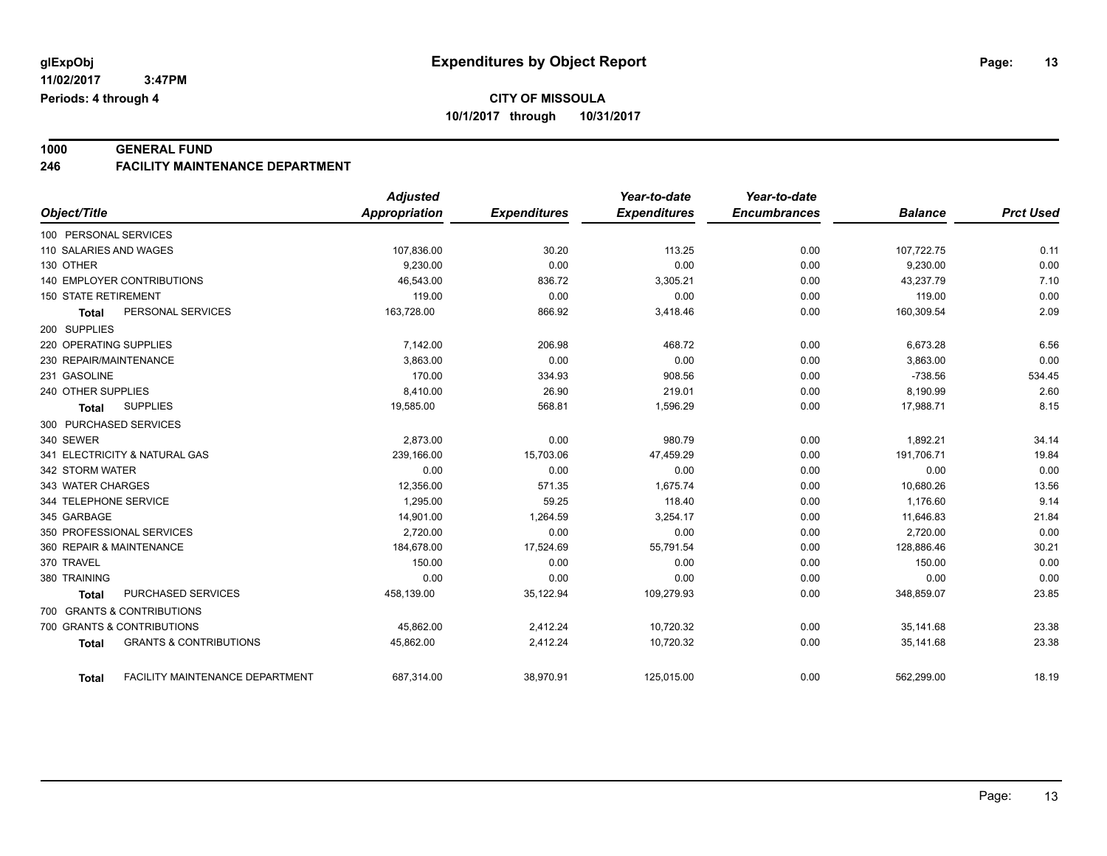# **1000 GENERAL FUND**

#### **246 FACILITY MAINTENANCE DEPARTMENT**

|                                                        | <b>Adjusted</b> |                     | Year-to-date        | Year-to-date        |                |                  |
|--------------------------------------------------------|-----------------|---------------------|---------------------|---------------------|----------------|------------------|
| Object/Title                                           | Appropriation   | <b>Expenditures</b> | <b>Expenditures</b> | <b>Encumbrances</b> | <b>Balance</b> | <b>Prct Used</b> |
| 100 PERSONAL SERVICES                                  |                 |                     |                     |                     |                |                  |
| 110 SALARIES AND WAGES                                 | 107,836.00      | 30.20               | 113.25              | 0.00                | 107,722.75     | 0.11             |
| 130 OTHER                                              | 9,230.00        | 0.00                | 0.00                | 0.00                | 9,230.00       | 0.00             |
| <b>140 EMPLOYER CONTRIBUTIONS</b>                      | 46.543.00       | 836.72              | 3,305.21            | 0.00                | 43,237.79      | 7.10             |
| <b>150 STATE RETIREMENT</b>                            | 119.00          | 0.00                | 0.00                | 0.00                | 119.00         | 0.00             |
| PERSONAL SERVICES<br><b>Total</b>                      | 163,728.00      | 866.92              | 3,418.46            | 0.00                | 160,309.54     | 2.09             |
| 200 SUPPLIES                                           |                 |                     |                     |                     |                |                  |
| 220 OPERATING SUPPLIES                                 | 7,142.00        | 206.98              | 468.72              | 0.00                | 6,673.28       | 6.56             |
| 230 REPAIR/MAINTENANCE                                 | 3,863.00        | 0.00                | 0.00                | 0.00                | 3,863.00       | 0.00             |
| 231 GASOLINE                                           | 170.00          | 334.93              | 908.56              | 0.00                | $-738.56$      | 534.45           |
| 240 OTHER SUPPLIES                                     | 8,410.00        | 26.90               | 219.01              | 0.00                | 8,190.99       | 2.60             |
| <b>SUPPLIES</b><br>Total                               | 19,585.00       | 568.81              | 1,596.29            | 0.00                | 17,988.71      | 8.15             |
| 300 PURCHASED SERVICES                                 |                 |                     |                     |                     |                |                  |
| 340 SEWER                                              | 2,873.00        | 0.00                | 980.79              | 0.00                | 1,892.21       | 34.14            |
| 341 ELECTRICITY & NATURAL GAS                          | 239,166.00      | 15,703.06           | 47,459.29           | 0.00                | 191,706.71     | 19.84            |
| 342 STORM WATER                                        | 0.00            | 0.00                | 0.00                | 0.00                | 0.00           | 0.00             |
| 343 WATER CHARGES                                      | 12,356.00       | 571.35              | 1,675.74            | 0.00                | 10,680.26      | 13.56            |
| 344 TELEPHONE SERVICE                                  | 1,295.00        | 59.25               | 118.40              | 0.00                | 1,176.60       | 9.14             |
| 345 GARBAGE                                            | 14,901.00       | 1,264.59            | 3,254.17            | 0.00                | 11,646.83      | 21.84            |
| 350 PROFESSIONAL SERVICES                              | 2,720.00        | 0.00                | 0.00                | 0.00                | 2,720.00       | 0.00             |
| 360 REPAIR & MAINTENANCE                               | 184,678.00      | 17,524.69           | 55,791.54           | 0.00                | 128,886.46     | 30.21            |
| 370 TRAVEL                                             | 150.00          | 0.00                | 0.00                | 0.00                | 150.00         | 0.00             |
| 380 TRAINING                                           | 0.00            | 0.00                | 0.00                | 0.00                | 0.00           | 0.00             |
| <b>PURCHASED SERVICES</b><br><b>Total</b>              | 458,139.00      | 35,122.94           | 109,279.93          | 0.00                | 348,859.07     | 23.85            |
| 700 GRANTS & CONTRIBUTIONS                             |                 |                     |                     |                     |                |                  |
| 700 GRANTS & CONTRIBUTIONS                             | 45,862.00       | 2,412.24            | 10,720.32           | 0.00                | 35,141.68      | 23.38            |
| <b>GRANTS &amp; CONTRIBUTIONS</b><br><b>Total</b>      | 45,862.00       | 2,412.24            | 10,720.32           | 0.00                | 35,141.68      | 23.38            |
| <b>FACILITY MAINTENANCE DEPARTMENT</b><br><b>Total</b> | 687,314.00      | 38,970.91           | 125,015.00          | 0.00                | 562,299.00     | 18.19            |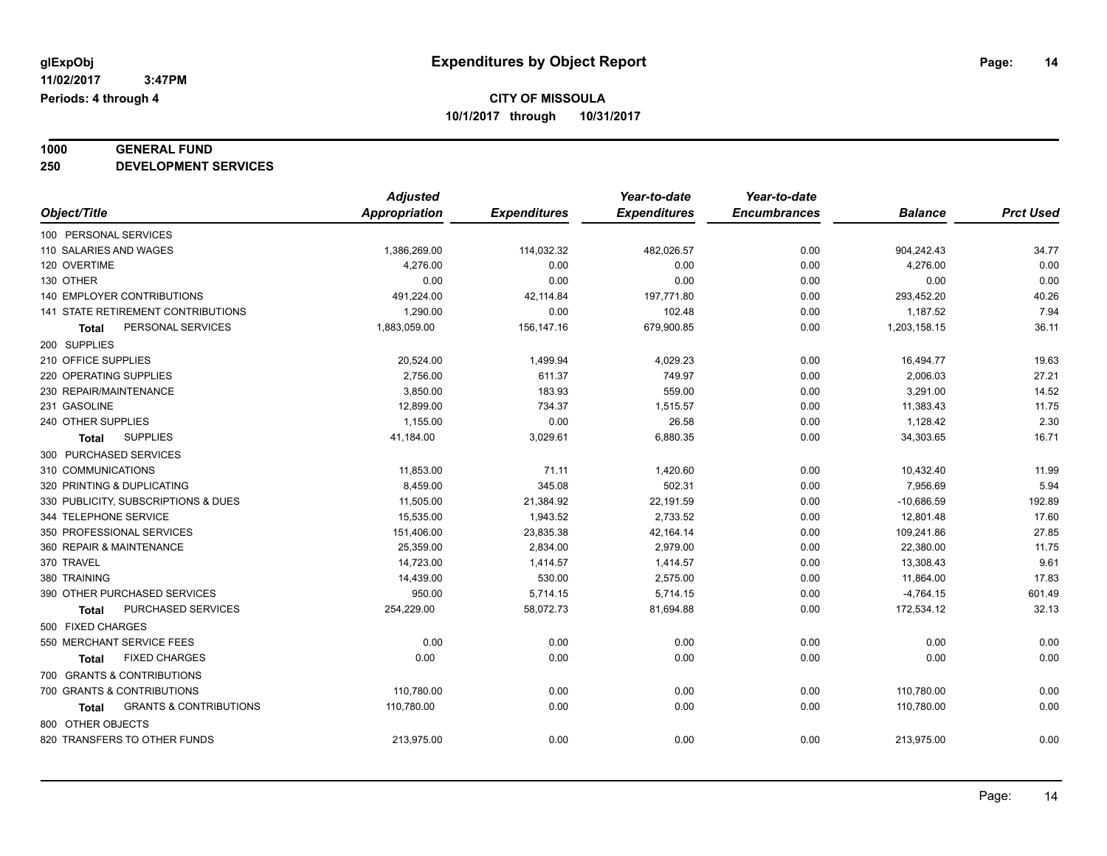# **1000 GENERAL FUND**

**250 DEVELOPMENT SERVICES**

|                                            | <b>Adjusted</b>      |                     | Year-to-date        | Year-to-date        |                |                  |
|--------------------------------------------|----------------------|---------------------|---------------------|---------------------|----------------|------------------|
| Object/Title                               | <b>Appropriation</b> | <b>Expenditures</b> | <b>Expenditures</b> | <b>Encumbrances</b> | <b>Balance</b> | <b>Prct Used</b> |
| 100 PERSONAL SERVICES                      |                      |                     |                     |                     |                |                  |
| 110 SALARIES AND WAGES                     | 1,386,269.00         | 114,032.32          | 482,026.57          | 0.00                | 904,242.43     | 34.77            |
| 120 OVERTIME                               | 4,276.00             | 0.00                | 0.00                | 0.00                | 4,276.00       | 0.00             |
| 130 OTHER                                  | 0.00                 | 0.00                | 0.00                | 0.00                | 0.00           | 0.00             |
| 140 EMPLOYER CONTRIBUTIONS                 | 491,224.00           | 42,114.84           | 197,771.80          | 0.00                | 293,452.20     | 40.26            |
| 141 STATE RETIREMENT CONTRIBUTIONS         | 1,290.00             | 0.00                | 102.48              | 0.00                | 1,187.52       | 7.94             |
| PERSONAL SERVICES<br>Total                 | 1,883,059.00         | 156,147.16          | 679,900.85          | 0.00                | 1,203,158.15   | 36.11            |
| 200 SUPPLIES                               |                      |                     |                     |                     |                |                  |
| 210 OFFICE SUPPLIES                        | 20,524.00            | 1,499.94            | 4,029.23            | 0.00                | 16,494.77      | 19.63            |
| 220 OPERATING SUPPLIES                     | 2,756.00             | 611.37              | 749.97              | 0.00                | 2,006.03       | 27.21            |
| 230 REPAIR/MAINTENANCE                     | 3,850.00             | 183.93              | 559.00              | 0.00                | 3,291.00       | 14.52            |
| 231 GASOLINE                               | 12,899.00            | 734.37              | 1,515.57            | 0.00                | 11,383.43      | 11.75            |
| 240 OTHER SUPPLIES                         | 1,155.00             | 0.00                | 26.58               | 0.00                | 1,128.42       | 2.30             |
| <b>SUPPLIES</b><br><b>Total</b>            | 41,184.00            | 3,029.61            | 6,880.35            | 0.00                | 34,303.65      | 16.71            |
| 300 PURCHASED SERVICES                     |                      |                     |                     |                     |                |                  |
| 310 COMMUNICATIONS                         | 11,853.00            | 71.11               | 1,420.60            | 0.00                | 10,432.40      | 11.99            |
| 320 PRINTING & DUPLICATING                 | 8,459.00             | 345.08              | 502.31              | 0.00                | 7,956.69       | 5.94             |
| 330 PUBLICITY, SUBSCRIPTIONS & DUES        | 11.505.00            | 21,384.92           | 22,191.59           | 0.00                | $-10,686.59$   | 192.89           |
| 344 TELEPHONE SERVICE                      | 15,535.00            | 1,943.52            | 2,733.52            | 0.00                | 12,801.48      | 17.60            |
| 350 PROFESSIONAL SERVICES                  | 151,406.00           | 23,835.38           | 42,164.14           | 0.00                | 109,241.86     | 27.85            |
| 360 REPAIR & MAINTENANCE                   | 25,359.00            | 2,834.00            | 2,979.00            | 0.00                | 22,380.00      | 11.75            |
| 370 TRAVEL                                 | 14,723.00            | 1,414.57            | 1,414.57            | 0.00                | 13,308.43      | 9.61             |
| 380 TRAINING                               | 14,439.00            | 530.00              | 2,575.00            | 0.00                | 11,864.00      | 17.83            |
| 390 OTHER PURCHASED SERVICES               | 950.00               | 5,714.15            | 5,714.15            | 0.00                | $-4,764.15$    | 601.49           |
| <b>PURCHASED SERVICES</b><br>Total         | 254,229.00           | 58,072.73           | 81,694.88           | 0.00                | 172,534.12     | 32.13            |
| 500 FIXED CHARGES                          |                      |                     |                     |                     |                |                  |
| 550 MERCHANT SERVICE FEES                  | 0.00                 | 0.00                | 0.00                | 0.00                | 0.00           | 0.00             |
| <b>FIXED CHARGES</b><br>Total              | 0.00                 | 0.00                | 0.00                | 0.00                | 0.00           | 0.00             |
| 700 GRANTS & CONTRIBUTIONS                 |                      |                     |                     |                     |                |                  |
| 700 GRANTS & CONTRIBUTIONS                 | 110,780.00           | 0.00                | 0.00                | 0.00                | 110,780.00     | 0.00             |
| <b>GRANTS &amp; CONTRIBUTIONS</b><br>Total | 110,780.00           | 0.00                | 0.00                | 0.00                | 110,780.00     | 0.00             |
| 800 OTHER OBJECTS                          |                      |                     |                     |                     |                |                  |
| 820 TRANSFERS TO OTHER FUNDS               | 213,975.00           | 0.00                | 0.00                | 0.00                | 213,975.00     | 0.00             |
|                                            |                      |                     |                     |                     |                |                  |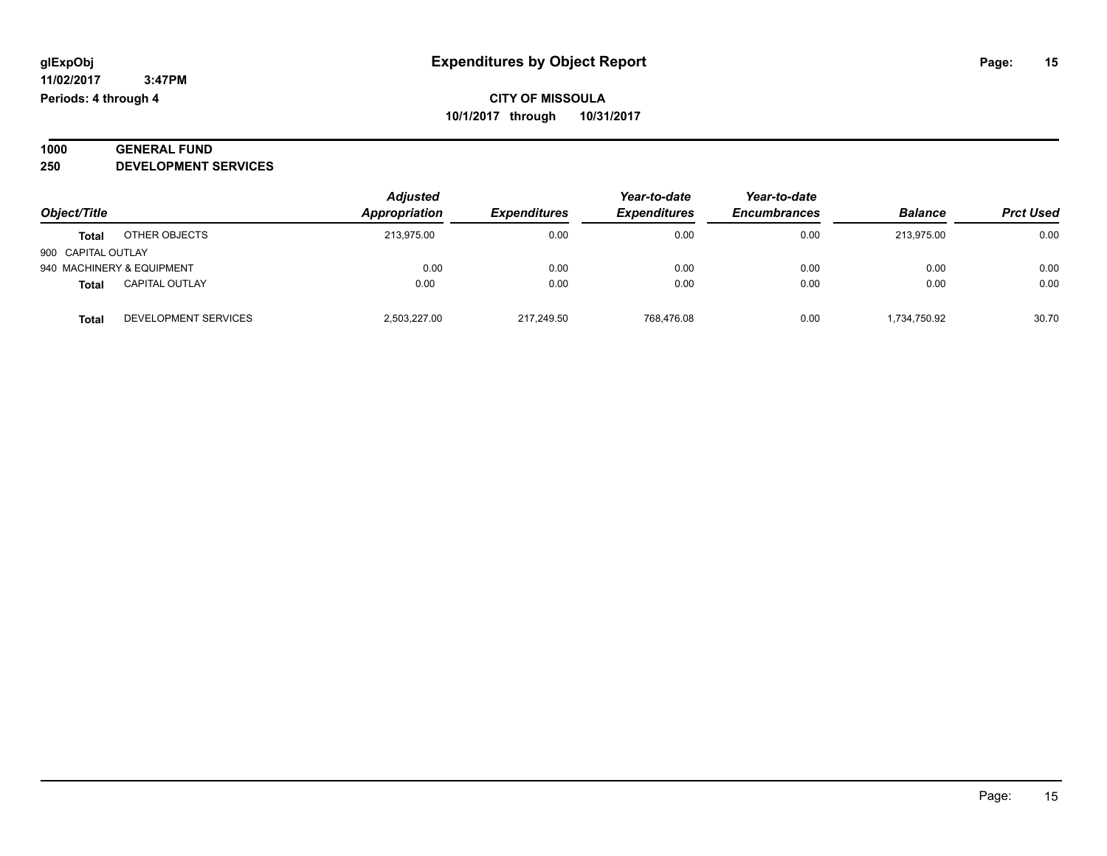#### **1000 GENERAL FUND 250 DEVELOPMENT SERVICES**

| Object/Title              |                       | <b>Adjusted</b><br>Appropriation | <b>Expenditures</b> | Year-to-date<br><b>Expenditures</b> | Year-to-date<br><b>Encumbrances</b> | <b>Balance</b> | <b>Prct Used</b> |
|---------------------------|-----------------------|----------------------------------|---------------------|-------------------------------------|-------------------------------------|----------------|------------------|
| Total                     | OTHER OBJECTS         | 213.975.00                       | 0.00                | 0.00                                | 0.00                                | 213.975.00     | 0.00             |
| 900 CAPITAL OUTLAY        |                       |                                  |                     |                                     |                                     |                |                  |
| 940 MACHINERY & EQUIPMENT |                       | 0.00                             | 0.00                | 0.00                                | 0.00                                | 0.00           | 0.00             |
| <b>Total</b>              | <b>CAPITAL OUTLAY</b> | 0.00                             | 0.00                | 0.00                                | 0.00                                | 0.00           | 0.00             |
| <b>Total</b>              | DEVELOPMENT SERVICES  | 2,503,227.00                     | 217,249.50          | 768,476.08                          | 0.00                                | 1,734,750.92   | 30.70            |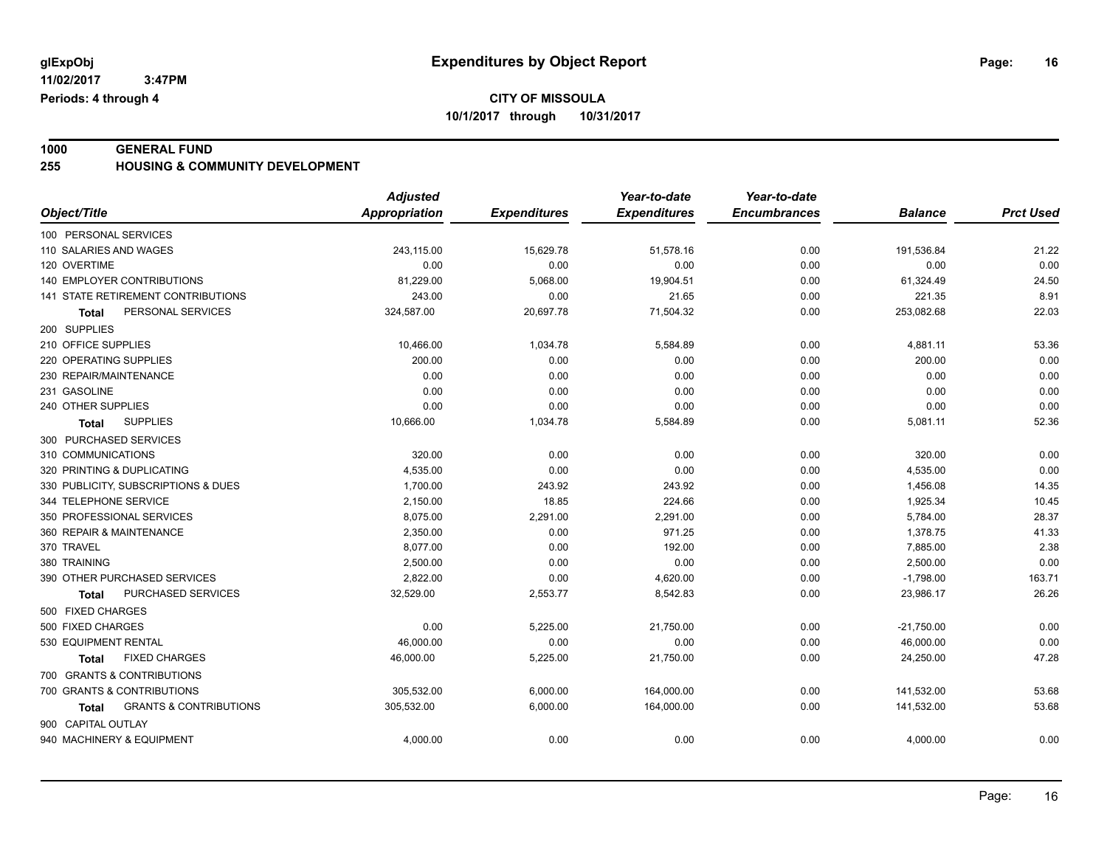**1000 GENERAL FUND 255 HOUSING & COMMUNITY DEVELOPMENT**

|                                            | <b>Adjusted</b>      |                     | Year-to-date        | Year-to-date        |                |                  |
|--------------------------------------------|----------------------|---------------------|---------------------|---------------------|----------------|------------------|
| Object/Title                               | <b>Appropriation</b> | <b>Expenditures</b> | <b>Expenditures</b> | <b>Encumbrances</b> | <b>Balance</b> | <b>Prct Used</b> |
| 100 PERSONAL SERVICES                      |                      |                     |                     |                     |                |                  |
| 110 SALARIES AND WAGES                     | 243,115.00           | 15,629.78           | 51,578.16           | 0.00                | 191,536.84     | 21.22            |
| 120 OVERTIME                               | 0.00                 | 0.00                | 0.00                | 0.00                | 0.00           | 0.00             |
| 140 EMPLOYER CONTRIBUTIONS                 | 81,229.00            | 5,068.00            | 19,904.51           | 0.00                | 61,324.49      | 24.50            |
| 141 STATE RETIREMENT CONTRIBUTIONS         | 243.00               | 0.00                | 21.65               | 0.00                | 221.35         | 8.91             |
| PERSONAL SERVICES<br>Total                 | 324,587.00           | 20,697.78           | 71,504.32           | 0.00                | 253,082.68     | 22.03            |
| 200 SUPPLIES                               |                      |                     |                     |                     |                |                  |
| 210 OFFICE SUPPLIES                        | 10,466.00            | 1,034.78            | 5,584.89            | 0.00                | 4,881.11       | 53.36            |
| 220 OPERATING SUPPLIES                     | 200.00               | 0.00                | 0.00                | 0.00                | 200.00         | 0.00             |
| 230 REPAIR/MAINTENANCE                     | 0.00                 | 0.00                | 0.00                | 0.00                | 0.00           | 0.00             |
| 231 GASOLINE                               | 0.00                 | 0.00                | 0.00                | 0.00                | 0.00           | 0.00             |
| 240 OTHER SUPPLIES                         | 0.00                 | 0.00                | 0.00                | 0.00                | 0.00           | 0.00             |
| <b>SUPPLIES</b><br>Total                   | 10,666.00            | 1,034.78            | 5,584.89            | 0.00                | 5,081.11       | 52.36            |
| 300 PURCHASED SERVICES                     |                      |                     |                     |                     |                |                  |
| 310 COMMUNICATIONS                         | 320.00               | 0.00                | 0.00                | 0.00                | 320.00         | 0.00             |
| 320 PRINTING & DUPLICATING                 | 4,535.00             | 0.00                | 0.00                | 0.00                | 4,535.00       | 0.00             |
| 330 PUBLICITY, SUBSCRIPTIONS & DUES        | 1,700.00             | 243.92              | 243.92              | 0.00                | 1,456.08       | 14.35            |
| 344 TELEPHONE SERVICE                      | 2,150.00             | 18.85               | 224.66              | 0.00                | 1,925.34       | 10.45            |
| 350 PROFESSIONAL SERVICES                  | 8,075.00             | 2,291.00            | 2,291.00            | 0.00                | 5,784.00       | 28.37            |
| 360 REPAIR & MAINTENANCE                   | 2.350.00             | 0.00                | 971.25              | 0.00                | 1,378.75       | 41.33            |
| 370 TRAVEL                                 | 8,077.00             | 0.00                | 192.00              | 0.00                | 7,885.00       | 2.38             |
| 380 TRAINING                               | 2,500.00             | 0.00                | 0.00                | 0.00                | 2,500.00       | 0.00             |
| 390 OTHER PURCHASED SERVICES               | 2,822.00             | 0.00                | 4,620.00            | 0.00                | $-1,798.00$    | 163.71           |
| PURCHASED SERVICES<br>Total                | 32,529.00            | 2,553.77            | 8,542.83            | 0.00                | 23,986.17      | 26.26            |
| 500 FIXED CHARGES                          |                      |                     |                     |                     |                |                  |
| 500 FIXED CHARGES                          | 0.00                 | 5,225.00            | 21,750.00           | 0.00                | $-21,750.00$   | 0.00             |
| 530 EQUIPMENT RENTAL                       | 46,000.00            | 0.00                | 0.00                | 0.00                | 46,000.00      | 0.00             |
| <b>FIXED CHARGES</b><br>Total              | 46,000.00            | 5,225.00            | 21,750.00           | 0.00                | 24,250.00      | 47.28            |
| 700 GRANTS & CONTRIBUTIONS                 |                      |                     |                     |                     |                |                  |
| 700 GRANTS & CONTRIBUTIONS                 | 305,532.00           | 6,000.00            | 164,000.00          | 0.00                | 141,532.00     | 53.68            |
| <b>GRANTS &amp; CONTRIBUTIONS</b><br>Total | 305,532.00           | 6,000.00            | 164,000.00          | 0.00                | 141,532.00     | 53.68            |
| 900 CAPITAL OUTLAY                         |                      |                     |                     |                     |                |                  |
| 940 MACHINERY & EQUIPMENT                  | 4,000.00             | 0.00                | 0.00                | 0.00                | 4,000.00       | 0.00             |
|                                            |                      |                     |                     |                     |                |                  |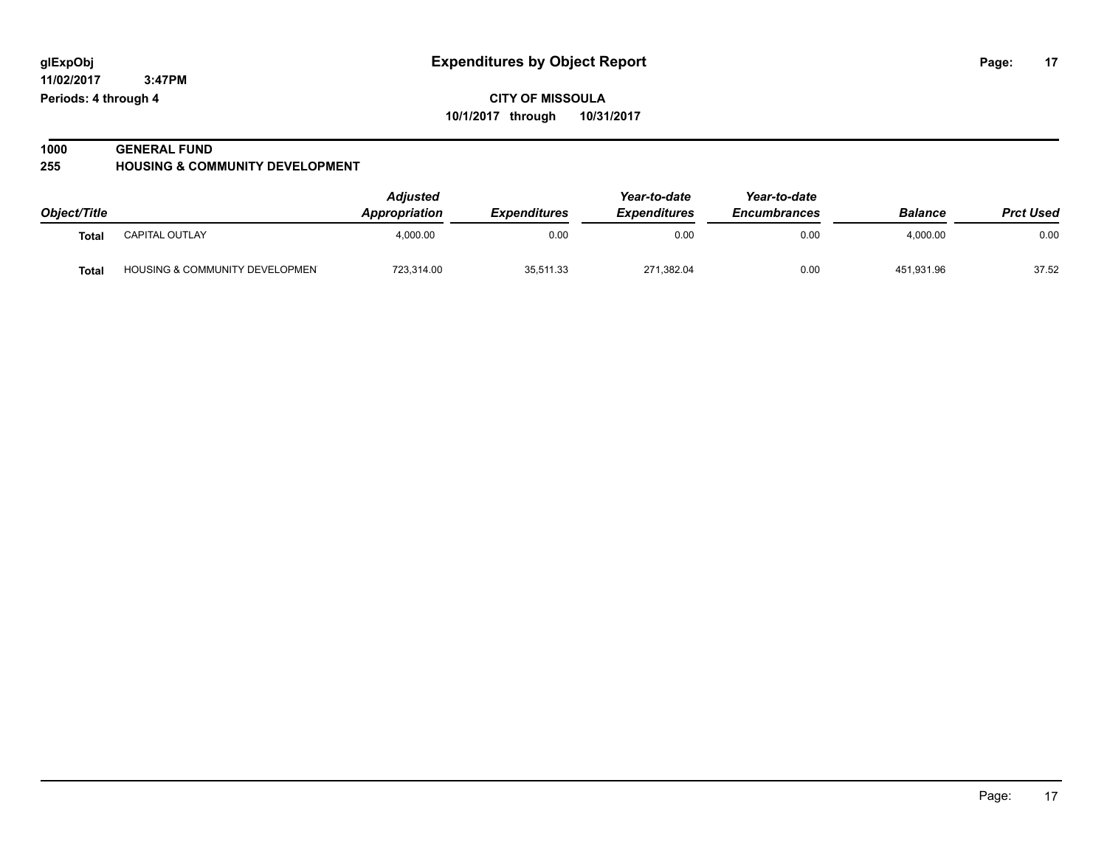**11/02/2017 3:47PM Periods: 4 through 4**

**CITY OF MISSOULA 10/1/2017 through 10/31/2017**

# **1000 GENERAL FUND**

**255 HOUSING & COMMUNITY DEVELOPMENT**

|              |                                           | Adjusted      |                            | Year-to-date        | Year-to-date        |                | <b>Prct Used</b> |
|--------------|-------------------------------------------|---------------|----------------------------|---------------------|---------------------|----------------|------------------|
| Object/Title |                                           | Appropriation | <i><b>Expenditures</b></i> | <b>Expenditures</b> | <b>Encumbrances</b> | <b>Balance</b> |                  |
| Total        | <b>CAPITAL OUTLAY</b>                     | 4.000.00      | 0.00                       | 0.00                | 0.00                | 4.000.00       | 0.00             |
| <b>Total</b> | <b>HOUSING &amp; COMMUNITY DEVELOPMEN</b> | 723.314.00    | 35,511.33                  | 271.382.04          | 0.00                | 451.931.96     | 37.52            |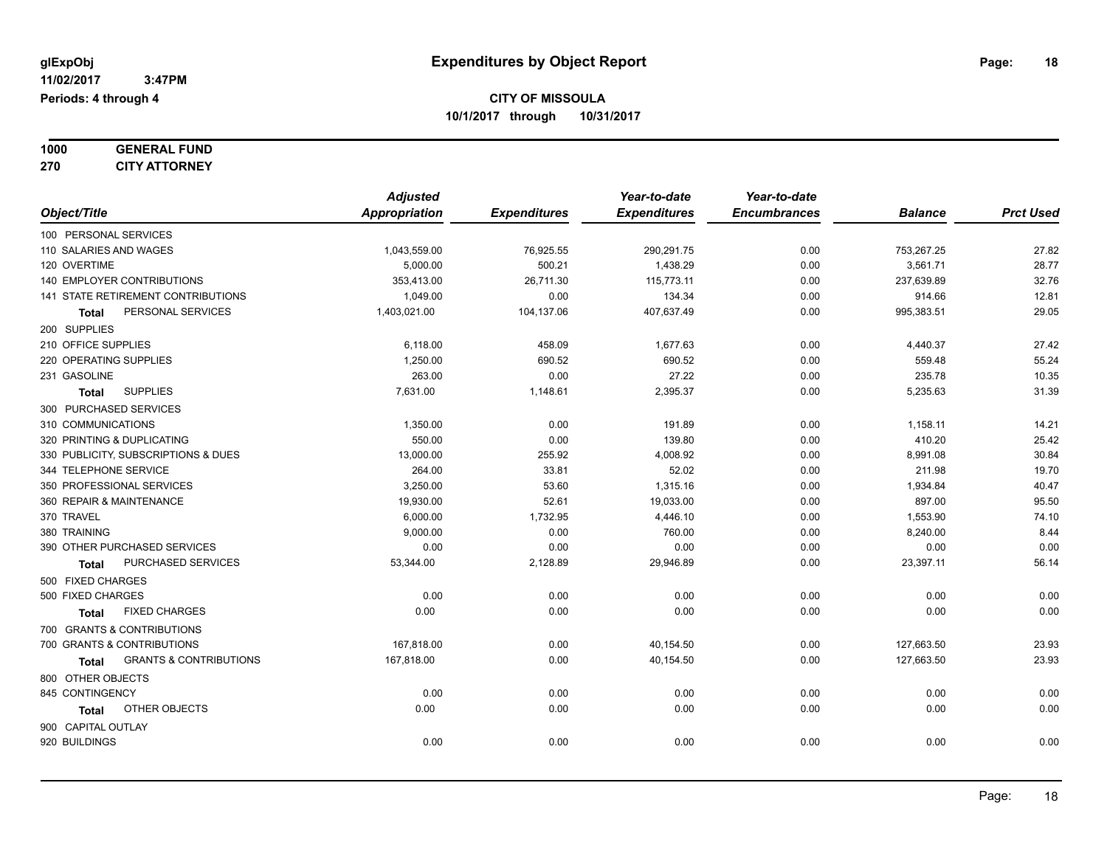| 1000 | <b>GENERAL FUND</b>  |
|------|----------------------|
| 270  | <b>CITY ATTORNEY</b> |

|                                            | <b>Adjusted</b> |                     | Year-to-date        | Year-to-date        |                |                  |
|--------------------------------------------|-----------------|---------------------|---------------------|---------------------|----------------|------------------|
| Object/Title                               | Appropriation   | <b>Expenditures</b> | <b>Expenditures</b> | <b>Encumbrances</b> | <b>Balance</b> | <b>Prct Used</b> |
| 100 PERSONAL SERVICES                      |                 |                     |                     |                     |                |                  |
| 110 SALARIES AND WAGES                     | 1,043,559.00    | 76,925.55           | 290,291.75          | 0.00                | 753,267.25     | 27.82            |
| 120 OVERTIME                               | 5,000.00        | 500.21              | 1,438.29            | 0.00                | 3,561.71       | 28.77            |
| 140 EMPLOYER CONTRIBUTIONS                 | 353,413.00      | 26,711.30           | 115,773.11          | 0.00                | 237,639.89     | 32.76            |
| 141 STATE RETIREMENT CONTRIBUTIONS         | 1.049.00        | 0.00                | 134.34              | 0.00                | 914.66         | 12.81            |
| PERSONAL SERVICES<br>Total                 | 1,403,021.00    | 104,137.06          | 407,637.49          | 0.00                | 995,383.51     | 29.05            |
| 200 SUPPLIES                               |                 |                     |                     |                     |                |                  |
| 210 OFFICE SUPPLIES                        | 6,118.00        | 458.09              | 1,677.63            | 0.00                | 4,440.37       | 27.42            |
| 220 OPERATING SUPPLIES                     | 1,250.00        | 690.52              | 690.52              | 0.00                | 559.48         | 55.24            |
| 231 GASOLINE                               | 263.00          | 0.00                | 27.22               | 0.00                | 235.78         | 10.35            |
| <b>SUPPLIES</b><br>Total                   | 7,631.00        | 1,148.61            | 2,395.37            | 0.00                | 5,235.63       | 31.39            |
| 300 PURCHASED SERVICES                     |                 |                     |                     |                     |                |                  |
| 310 COMMUNICATIONS                         | 1,350.00        | 0.00                | 191.89              | 0.00                | 1,158.11       | 14.21            |
| 320 PRINTING & DUPLICATING                 | 550.00          | 0.00                | 139.80              | 0.00                | 410.20         | 25.42            |
| 330 PUBLICITY, SUBSCRIPTIONS & DUES        | 13,000.00       | 255.92              | 4,008.92            | 0.00                | 8,991.08       | 30.84            |
| 344 TELEPHONE SERVICE                      | 264.00          | 33.81               | 52.02               | 0.00                | 211.98         | 19.70            |
| 350 PROFESSIONAL SERVICES                  | 3,250.00        | 53.60               | 1,315.16            | 0.00                | 1,934.84       | 40.47            |
| 360 REPAIR & MAINTENANCE                   | 19,930.00       | 52.61               | 19,033.00           | 0.00                | 897.00         | 95.50            |
| 370 TRAVEL                                 | 6,000.00        | 1,732.95            | 4,446.10            | 0.00                | 1,553.90       | 74.10            |
| 380 TRAINING                               | 9,000.00        | 0.00                | 760.00              | 0.00                | 8,240.00       | 8.44             |
| 390 OTHER PURCHASED SERVICES               | 0.00            | 0.00                | 0.00                | 0.00                | 0.00           | 0.00             |
| PURCHASED SERVICES<br><b>Total</b>         | 53,344.00       | 2,128.89            | 29,946.89           | 0.00                | 23,397.11      | 56.14            |
| 500 FIXED CHARGES                          |                 |                     |                     |                     |                |                  |
| 500 FIXED CHARGES                          | 0.00            | 0.00                | 0.00                | 0.00                | 0.00           | 0.00             |
| <b>FIXED CHARGES</b><br>Total              | 0.00            | 0.00                | 0.00                | 0.00                | 0.00           | 0.00             |
| 700 GRANTS & CONTRIBUTIONS                 |                 |                     |                     |                     |                |                  |
| 700 GRANTS & CONTRIBUTIONS                 | 167,818.00      | 0.00                | 40,154.50           | 0.00                | 127,663.50     | 23.93            |
| <b>GRANTS &amp; CONTRIBUTIONS</b><br>Total | 167,818.00      | 0.00                | 40,154.50           | 0.00                | 127,663.50     | 23.93            |
| 800 OTHER OBJECTS                          |                 |                     |                     |                     |                |                  |
| 845 CONTINGENCY                            | 0.00            | 0.00                | 0.00                | 0.00                | 0.00           | 0.00             |
| OTHER OBJECTS<br><b>Total</b>              | 0.00            | 0.00                | 0.00                | 0.00                | 0.00           | 0.00             |
| 900 CAPITAL OUTLAY                         |                 |                     |                     |                     |                |                  |
| 920 BUILDINGS                              | 0.00            | 0.00                | 0.00                | 0.00                | 0.00           | 0.00             |
|                                            |                 |                     |                     |                     |                |                  |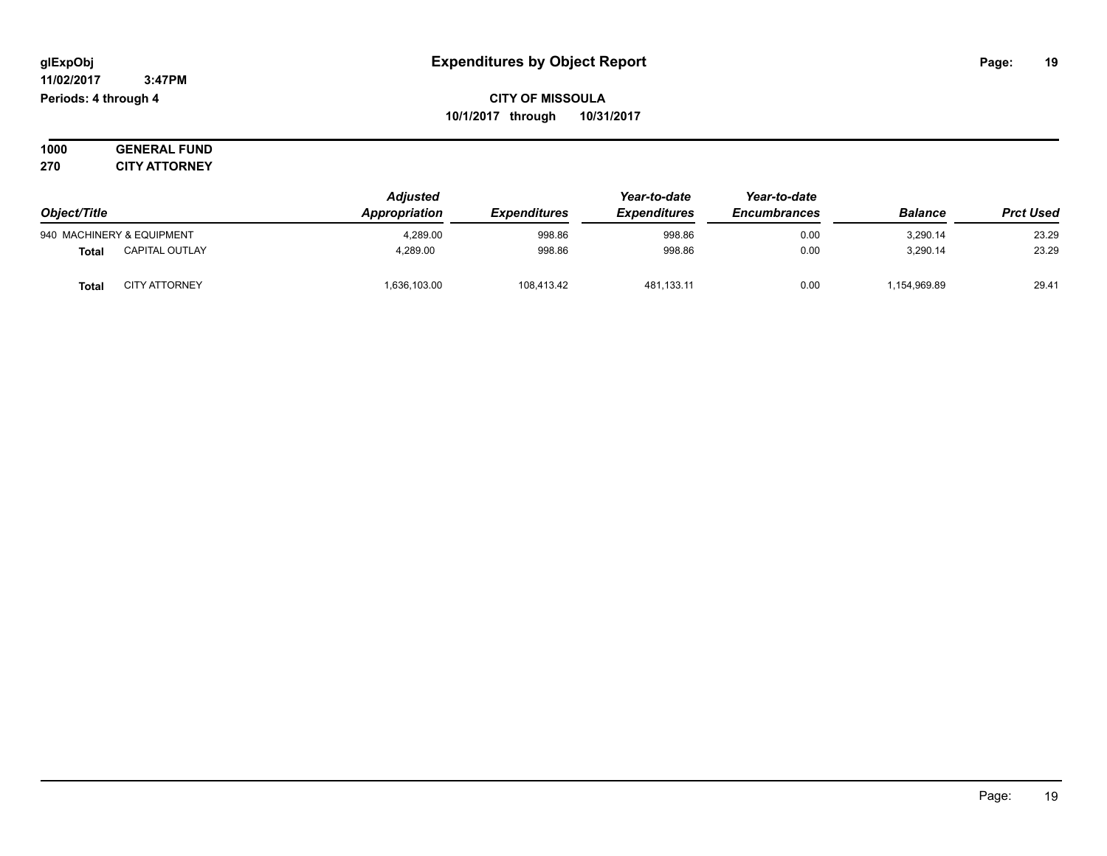**11/02/2017 3:47PM Periods: 4 through 4**

**CITY OF MISSOULA 10/1/2017 through 10/31/2017**

**1000 GENERAL FUND 270 CITY ATTORNEY**

| Object/Title |                           | <b>Adjusted</b><br>Appropriation | <i><b>Expenditures</b></i> | Year-to-date<br><b>Expenditures</b> | Year-to-date<br><b>Encumbrances</b> | <b>Balance</b> | <b>Prct Used</b> |
|--------------|---------------------------|----------------------------------|----------------------------|-------------------------------------|-------------------------------------|----------------|------------------|
|              | 940 MACHINERY & EQUIPMENT | 4,289.00                         | 998.86                     | 998.86                              | 0.00                                | 3,290.14       | 23.29            |
| <b>Total</b> | <b>CAPITAL OUTLAY</b>     | 4.289.00                         | 998.86                     | 998.86                              | 0.00                                | 3.290.14       | 23.29            |
| Total        | <b>CITY ATTORNEY</b>      | 1,636,103.00                     | 108,413.42                 | 481,133.11                          | 0.00                                | 1,154,969.89   | 29.41            |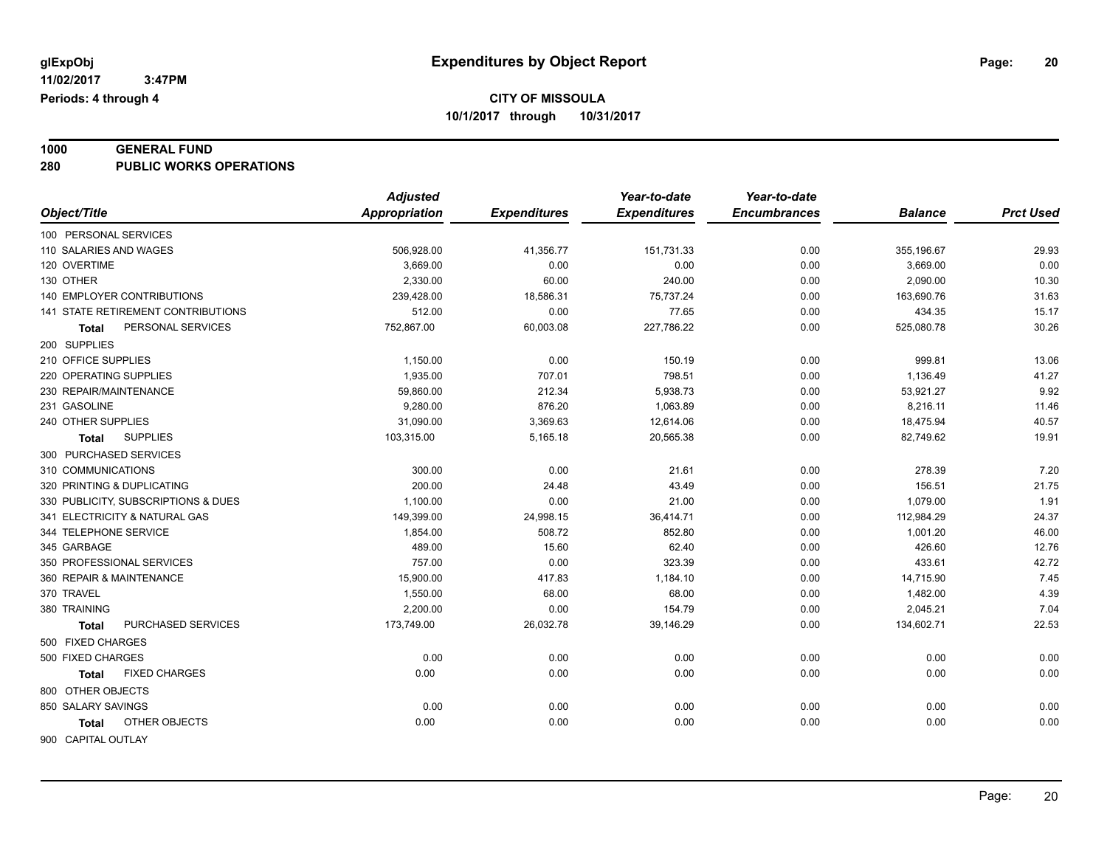# **1000 GENERAL FUND**

**280 PUBLIC WORKS OPERATIONS**

| <b>Expenditures</b><br>Object/Title<br>Appropriation<br><b>Expenditures</b><br><b>Encumbrances</b><br><b>Balance</b><br>100 PERSONAL SERVICES<br>0.00<br>110 SALARIES AND WAGES<br>506,928.00<br>41,356.77<br>151,731.33<br>355,196.67<br>120 OVERTIME<br>3,669.00<br>0.00<br>0.00<br>0.00<br>3,669.00<br>130 OTHER<br>2,330.00<br>60.00<br>240.00<br>0.00<br>2,090.00 | <b>Prct Used</b><br>29.93<br>0.00<br>10.30<br>31.63<br>15.17<br>30.26 |
|------------------------------------------------------------------------------------------------------------------------------------------------------------------------------------------------------------------------------------------------------------------------------------------------------------------------------------------------------------------------|-----------------------------------------------------------------------|
|                                                                                                                                                                                                                                                                                                                                                                        |                                                                       |
|                                                                                                                                                                                                                                                                                                                                                                        |                                                                       |
|                                                                                                                                                                                                                                                                                                                                                                        |                                                                       |
|                                                                                                                                                                                                                                                                                                                                                                        |                                                                       |
|                                                                                                                                                                                                                                                                                                                                                                        |                                                                       |
| <b>140 EMPLOYER CONTRIBUTIONS</b><br>239,428.00<br>18,586.31<br>75,737.24<br>0.00<br>163,690.76                                                                                                                                                                                                                                                                        |                                                                       |
| 141 STATE RETIREMENT CONTRIBUTIONS<br>512.00<br>0.00<br>77.65<br>0.00<br>434.35                                                                                                                                                                                                                                                                                        |                                                                       |
| PERSONAL SERVICES<br>752,867.00<br>60,003.08<br>227,786.22<br>0.00<br>525,080.78<br><b>Total</b>                                                                                                                                                                                                                                                                       |                                                                       |
| 200 SUPPLIES                                                                                                                                                                                                                                                                                                                                                           |                                                                       |
| 210 OFFICE SUPPLIES<br>1,150.00<br>0.00<br>999.81<br>150.19<br>0.00                                                                                                                                                                                                                                                                                                    | 13.06                                                                 |
| 1,935.00<br>220 OPERATING SUPPLIES<br>707.01<br>798.51<br>1,136.49<br>0.00                                                                                                                                                                                                                                                                                             | 41.27                                                                 |
| 230 REPAIR/MAINTENANCE<br>59,860.00<br>212.34<br>5,938.73<br>0.00<br>53,921.27                                                                                                                                                                                                                                                                                         | 9.92                                                                  |
| 231 GASOLINE<br>9,280.00<br>876.20<br>8,216.11<br>1,063.89<br>0.00                                                                                                                                                                                                                                                                                                     | 11.46                                                                 |
| 240 OTHER SUPPLIES<br>31,090.00<br>3,369.63<br>12,614.06<br>0.00<br>18,475.94                                                                                                                                                                                                                                                                                          | 40.57                                                                 |
| 5,165.18<br>20,565.38<br><b>SUPPLIES</b><br>103,315.00<br>0.00<br>82,749.62<br>Total                                                                                                                                                                                                                                                                                   | 19.91                                                                 |
| 300 PURCHASED SERVICES                                                                                                                                                                                                                                                                                                                                                 |                                                                       |
| 310 COMMUNICATIONS<br>300.00<br>0.00<br>21.61<br>0.00<br>278.39                                                                                                                                                                                                                                                                                                        | 7.20                                                                  |
| 200.00<br>320 PRINTING & DUPLICATING<br>24.48<br>43.49<br>0.00<br>156.51                                                                                                                                                                                                                                                                                               | 21.75                                                                 |
| 330 PUBLICITY, SUBSCRIPTIONS & DUES<br>1,100.00<br>0.00<br>21.00<br>1,079.00<br>0.00                                                                                                                                                                                                                                                                                   | 1.91                                                                  |
| 341 ELECTRICITY & NATURAL GAS<br>149,399.00<br>24,998.15<br>36,414.71<br>0.00<br>112,984.29                                                                                                                                                                                                                                                                            | 24.37                                                                 |
| 1,854.00<br>508.72<br>344 TELEPHONE SERVICE<br>852.80<br>0.00<br>1,001.20                                                                                                                                                                                                                                                                                              | 46.00                                                                 |
| 489.00<br>345 GARBAGE<br>15.60<br>62.40<br>426.60<br>0.00                                                                                                                                                                                                                                                                                                              | 12.76                                                                 |
| 757.00<br>0.00<br>323.39<br>433.61<br>350 PROFESSIONAL SERVICES<br>0.00                                                                                                                                                                                                                                                                                                | 42.72                                                                 |
| 360 REPAIR & MAINTENANCE<br>15,900.00<br>417.83<br>1,184.10<br>0.00<br>14,715.90                                                                                                                                                                                                                                                                                       | 7.45                                                                  |
| 1,550.00<br>370 TRAVEL<br>68.00<br>68.00<br>0.00<br>1,482.00                                                                                                                                                                                                                                                                                                           | 4.39                                                                  |
| 2,200.00<br>380 TRAINING<br>0.00<br>154.79<br>2,045.21<br>0.00                                                                                                                                                                                                                                                                                                         | 7.04                                                                  |
| PURCHASED SERVICES<br>173,749.00<br>26,032.78<br>39,146.29<br>0.00<br>134,602.71<br><b>Total</b>                                                                                                                                                                                                                                                                       | 22.53                                                                 |
| 500 FIXED CHARGES                                                                                                                                                                                                                                                                                                                                                      |                                                                       |
| 500 FIXED CHARGES<br>0.00<br>0.00<br>0.00<br>0.00<br>0.00                                                                                                                                                                                                                                                                                                              | 0.00                                                                  |
| 0.00<br>0.00<br>0.00<br>0.00<br><b>FIXED CHARGES</b><br>0.00<br><b>Total</b>                                                                                                                                                                                                                                                                                           | 0.00                                                                  |
| 800 OTHER OBJECTS                                                                                                                                                                                                                                                                                                                                                      |                                                                       |
| 850 SALARY SAVINGS<br>0.00<br>0.00<br>0.00<br>0.00<br>0.00                                                                                                                                                                                                                                                                                                             | 0.00                                                                  |
| OTHER OBJECTS<br>0.00<br>0.00<br>0.00<br>0.00<br>0.00<br>Total                                                                                                                                                                                                                                                                                                         | 0.00                                                                  |
| 900 CAPITAL OUTLAY                                                                                                                                                                                                                                                                                                                                                     |                                                                       |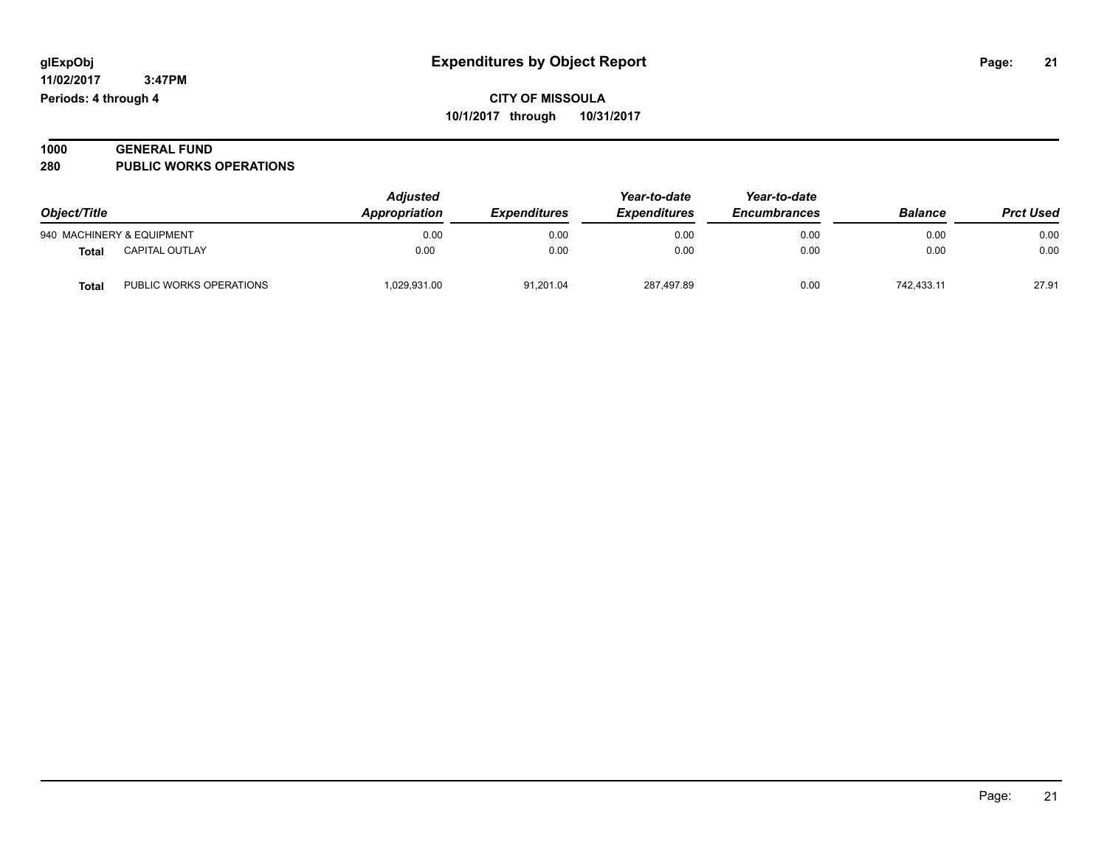| 1000 | <b>GENERAL FUND</b>            |  |
|------|--------------------------------|--|
| 280  | <b>PUBLIC WORKS OPERATIONS</b> |  |

| Object/Title<br>940 MACHINERY & EQUIPMENT |                         | <b>Adjusted</b><br>Appropriation | <b>Expenditures</b> | Year-to-date<br><b>Expenditures</b> | Year-to-date<br><b>Encumbrances</b> | <b>Balance</b> | <b>Prct Used</b> |
|-------------------------------------------|-------------------------|----------------------------------|---------------------|-------------------------------------|-------------------------------------|----------------|------------------|
|                                           |                         | 0.00                             | 0.00                | 0.00                                | 0.00                                | 0.00           | 0.00             |
| Total                                     | <b>CAPITAL OUTLAY</b>   | 0.00                             | 0.00                | 0.00                                | 0.00                                | 0.00           | 0.00             |
| Total                                     | PUBLIC WORKS OPERATIONS | 1,029,931.00                     | 91,201.04           | 287,497.89                          | 0.00                                | 742.433.11     | 27.91            |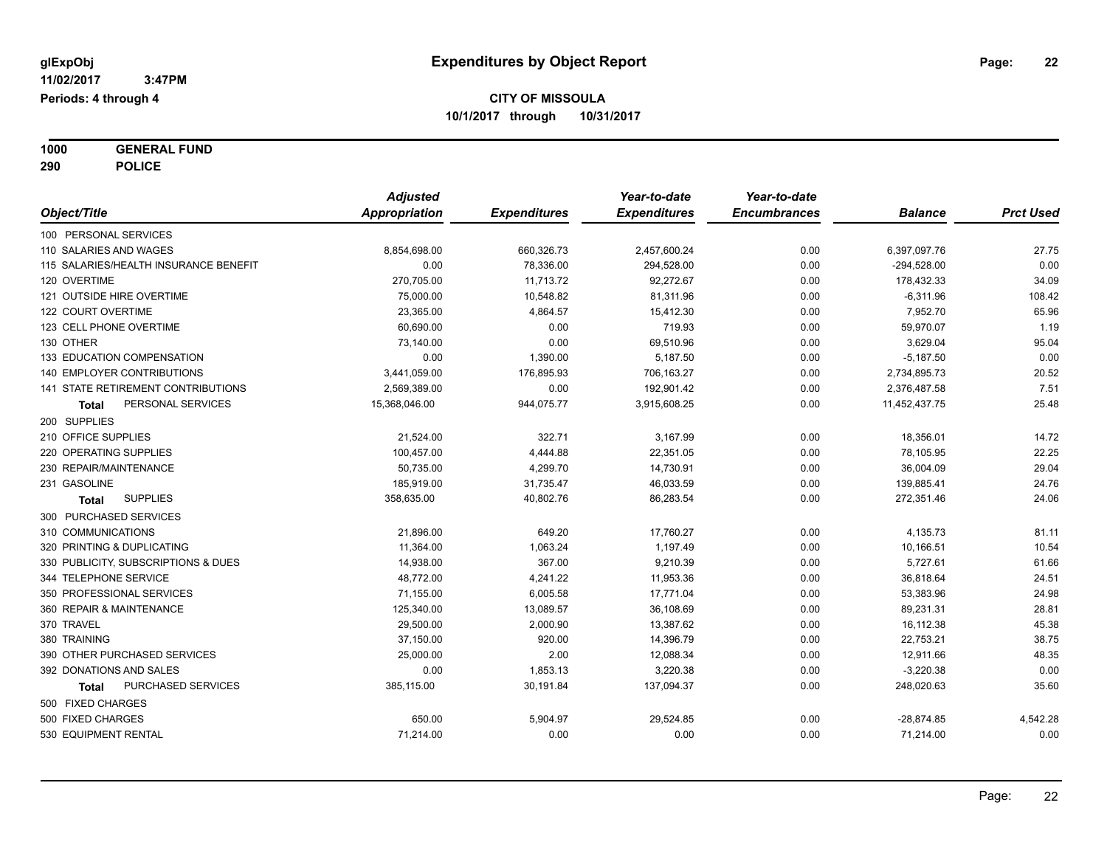**1000 GENERAL FUND 290 POLICE**

|                                       | <b>Adjusted</b> |                     | Year-to-date        | Year-to-date        |                |                  |
|---------------------------------------|-----------------|---------------------|---------------------|---------------------|----------------|------------------|
| Object/Title                          | Appropriation   | <b>Expenditures</b> | <b>Expenditures</b> | <b>Encumbrances</b> | <b>Balance</b> | <b>Prct Used</b> |
| 100 PERSONAL SERVICES                 |                 |                     |                     |                     |                |                  |
| 110 SALARIES AND WAGES                | 8,854,698.00    | 660,326.73          | 2,457,600.24        | 0.00                | 6,397,097.76   | 27.75            |
| 115 SALARIES/HEALTH INSURANCE BENEFIT | 0.00            | 78,336.00           | 294,528.00          | 0.00                | $-294,528.00$  | 0.00             |
| 120 OVERTIME                          | 270,705.00      | 11,713.72           | 92,272.67           | 0.00                | 178,432.33     | 34.09            |
| 121 OUTSIDE HIRE OVERTIME             | 75,000.00       | 10,548.82           | 81,311.96           | 0.00                | $-6,311.96$    | 108.42           |
| 122 COURT OVERTIME                    | 23,365.00       | 4,864.57            | 15,412.30           | 0.00                | 7,952.70       | 65.96            |
| 123 CELL PHONE OVERTIME               | 60,690.00       | 0.00                | 719.93              | 0.00                | 59,970.07      | 1.19             |
| 130 OTHER                             | 73,140.00       | 0.00                | 69,510.96           | 0.00                | 3,629.04       | 95.04            |
| 133 EDUCATION COMPENSATION            | 0.00            | 1,390.00            | 5,187.50            | 0.00                | $-5,187.50$    | 0.00             |
| 140 EMPLOYER CONTRIBUTIONS            | 3,441,059.00    | 176,895.93          | 706,163.27          | 0.00                | 2,734,895.73   | 20.52            |
| 141 STATE RETIREMENT CONTRIBUTIONS    | 2,569,389.00    | 0.00                | 192,901.42          | 0.00                | 2,376,487.58   | 7.51             |
| PERSONAL SERVICES<br><b>Total</b>     | 15,368,046.00   | 944,075.77          | 3,915,608.25        | 0.00                | 11,452,437.75  | 25.48            |
| 200 SUPPLIES                          |                 |                     |                     |                     |                |                  |
| 210 OFFICE SUPPLIES                   | 21,524.00       | 322.71              | 3,167.99            | 0.00                | 18,356.01      | 14.72            |
| 220 OPERATING SUPPLIES                | 100,457.00      | 4,444.88            | 22,351.05           | 0.00                | 78,105.95      | 22.25            |
| 230 REPAIR/MAINTENANCE                | 50,735.00       | 4,299.70            | 14,730.91           | 0.00                | 36,004.09      | 29.04            |
| 231 GASOLINE                          | 185,919.00      | 31,735.47           | 46,033.59           | 0.00                | 139,885.41     | 24.76            |
| <b>SUPPLIES</b><br><b>Total</b>       | 358,635.00      | 40,802.76           | 86,283.54           | 0.00                | 272,351.46     | 24.06            |
| 300 PURCHASED SERVICES                |                 |                     |                     |                     |                |                  |
| 310 COMMUNICATIONS                    | 21,896.00       | 649.20              | 17,760.27           | 0.00                | 4,135.73       | 81.11            |
| 320 PRINTING & DUPLICATING            | 11,364.00       | 1,063.24            | 1,197.49            | 0.00                | 10,166.51      | 10.54            |
| 330 PUBLICITY, SUBSCRIPTIONS & DUES   | 14,938.00       | 367.00              | 9,210.39            | 0.00                | 5,727.61       | 61.66            |
| 344 TELEPHONE SERVICE                 | 48,772.00       | 4,241.22            | 11,953.36           | 0.00                | 36,818.64      | 24.51            |
| 350 PROFESSIONAL SERVICES             | 71,155.00       | 6,005.58            | 17,771.04           | 0.00                | 53,383.96      | 24.98            |
| 360 REPAIR & MAINTENANCE              | 125,340.00      | 13,089.57           | 36,108.69           | 0.00                | 89,231.31      | 28.81            |
| 370 TRAVEL                            | 29,500.00       | 2,000.90            | 13,387.62           | 0.00                | 16,112.38      | 45.38            |
| 380 TRAINING                          | 37,150.00       | 920.00              | 14,396.79           | 0.00                | 22,753.21      | 38.75            |
| 390 OTHER PURCHASED SERVICES          | 25,000.00       | 2.00                | 12,088.34           | 0.00                | 12,911.66      | 48.35            |
| 392 DONATIONS AND SALES               | 0.00            | 1,853.13            | 3,220.38            | 0.00                | $-3,220.38$    | 0.00             |
| PURCHASED SERVICES<br>Total           | 385,115.00      | 30,191.84           | 137,094.37          | 0.00                | 248,020.63     | 35.60            |
| 500 FIXED CHARGES                     |                 |                     |                     |                     |                |                  |
| 500 FIXED CHARGES                     | 650.00          | 5,904.97            | 29,524.85           | 0.00                | $-28,874.85$   | 4,542.28         |
| 530 EQUIPMENT RENTAL                  | 71,214.00       | 0.00                | 0.00                | 0.00                | 71,214.00      | 0.00             |
|                                       |                 |                     |                     |                     |                |                  |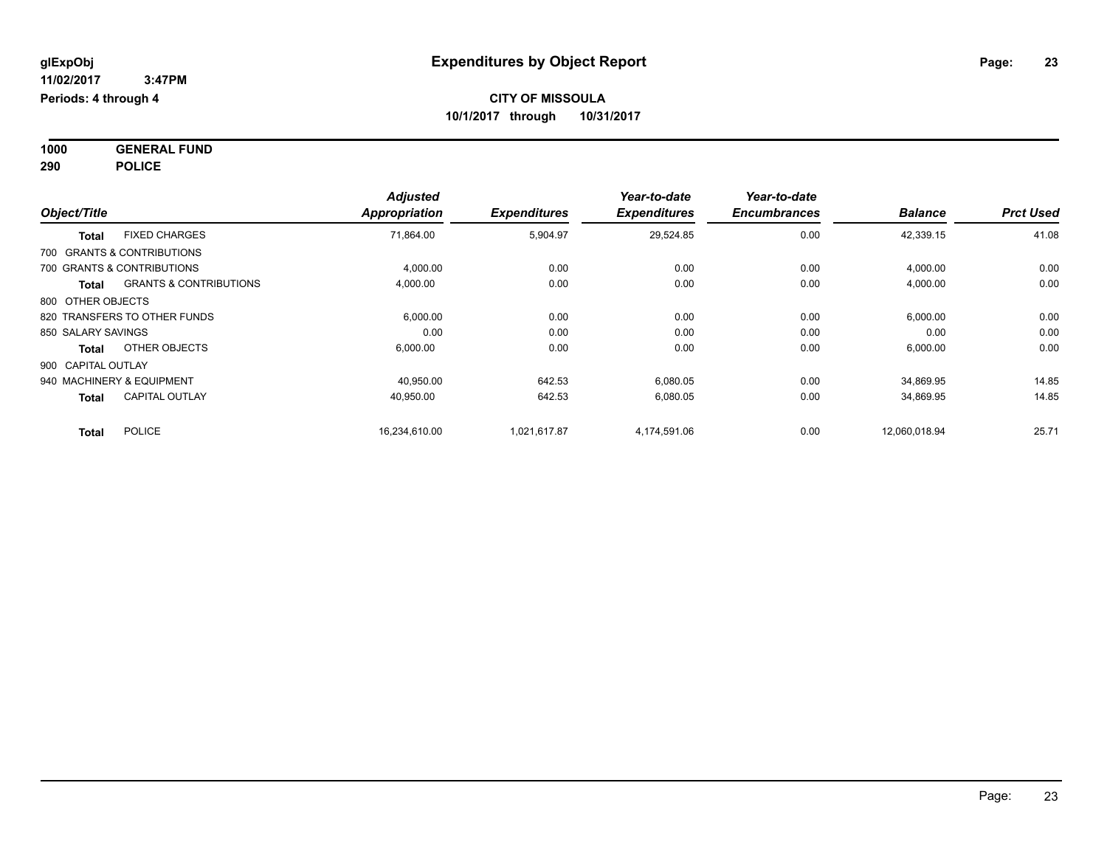**1000 GENERAL FUND 290 POLICE**

| Object/Title                 |                                   | <b>Adjusted</b><br>Appropriation | <b>Expenditures</b> | Year-to-date<br><b>Expenditures</b> | Year-to-date<br><b>Encumbrances</b> | <b>Balance</b> | <b>Prct Used</b> |
|------------------------------|-----------------------------------|----------------------------------|---------------------|-------------------------------------|-------------------------------------|----------------|------------------|
| <b>Total</b>                 | <b>FIXED CHARGES</b>              | 71,864.00                        | 5,904.97            | 29,524.85                           | 0.00                                | 42,339.15      | 41.08            |
| 700 GRANTS & CONTRIBUTIONS   |                                   |                                  |                     |                                     |                                     |                |                  |
| 700 GRANTS & CONTRIBUTIONS   |                                   | 4,000.00                         | 0.00                | 0.00                                | 0.00                                | 4,000.00       | 0.00             |
| <b>Total</b>                 | <b>GRANTS &amp; CONTRIBUTIONS</b> | 4,000.00                         | 0.00                | 0.00                                | 0.00                                | 4,000.00       | 0.00             |
| 800 OTHER OBJECTS            |                                   |                                  |                     |                                     |                                     |                |                  |
| 820 TRANSFERS TO OTHER FUNDS |                                   | 6,000.00                         | 0.00                | 0.00                                | 0.00                                | 6,000.00       | 0.00             |
| 850 SALARY SAVINGS           |                                   | 0.00                             | 0.00                | 0.00                                | 0.00                                | 0.00           | 0.00             |
| <b>Total</b>                 | OTHER OBJECTS                     | 6,000.00                         | 0.00                | 0.00                                | 0.00                                | 6,000.00       | 0.00             |
| 900 CAPITAL OUTLAY           |                                   |                                  |                     |                                     |                                     |                |                  |
| 940 MACHINERY & EQUIPMENT    |                                   | 40.950.00                        | 642.53              | 6.080.05                            | 0.00                                | 34,869.95      | 14.85            |
| <b>Total</b>                 | <b>CAPITAL OUTLAY</b>             | 40,950.00                        | 642.53              | 6,080.05                            | 0.00                                | 34,869.95      | 14.85            |
| <b>Total</b>                 | <b>POLICE</b>                     | 16,234,610.00                    | 1,021,617.87        | 4,174,591.06                        | 0.00                                | 12,060,018.94  | 25.71            |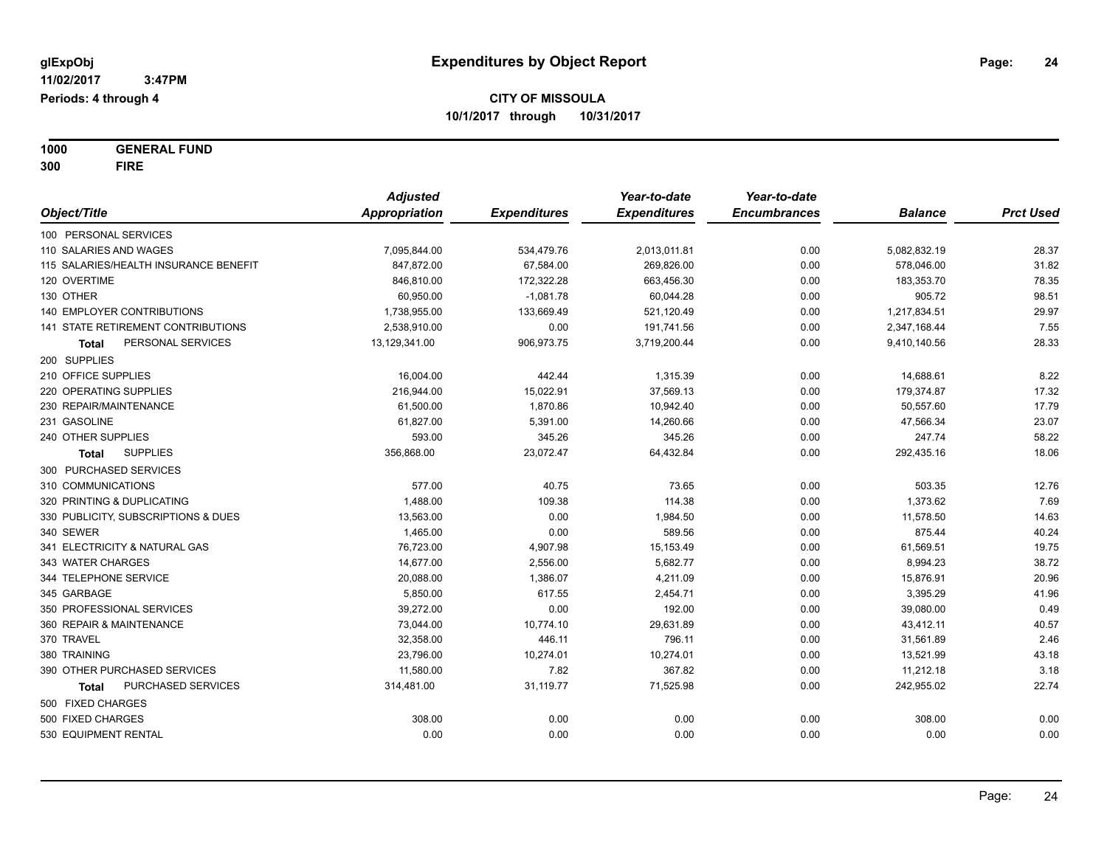**1000 GENERAL FUND 300 FIRE**

|                                       | <b>Adjusted</b>      |                     | Year-to-date        | Year-to-date        |                |                  |
|---------------------------------------|----------------------|---------------------|---------------------|---------------------|----------------|------------------|
| Object/Title                          | <b>Appropriation</b> | <b>Expenditures</b> | <b>Expenditures</b> | <b>Encumbrances</b> | <b>Balance</b> | <b>Prct Used</b> |
| 100 PERSONAL SERVICES                 |                      |                     |                     |                     |                |                  |
| 110 SALARIES AND WAGES                | 7,095,844.00         | 534,479.76          | 2,013,011.81        | 0.00                | 5,082,832.19   | 28.37            |
| 115 SALARIES/HEALTH INSURANCE BENEFIT | 847,872.00           | 67,584.00           | 269,826.00          | 0.00                | 578,046.00     | 31.82            |
| 120 OVERTIME                          | 846,810.00           | 172,322.28          | 663,456.30          | 0.00                | 183,353.70     | 78.35            |
| 130 OTHER                             | 60,950.00            | $-1,081.78$         | 60,044.28           | 0.00                | 905.72         | 98.51            |
| <b>140 EMPLOYER CONTRIBUTIONS</b>     | 1,738,955.00         | 133,669.49          | 521,120.49          | 0.00                | 1,217,834.51   | 29.97            |
| 141 STATE RETIREMENT CONTRIBUTIONS    | 2,538,910.00         | 0.00                | 191,741.56          | 0.00                | 2,347,168.44   | 7.55             |
| PERSONAL SERVICES<br>Total            | 13,129,341.00        | 906,973.75          | 3,719,200.44        | 0.00                | 9,410,140.56   | 28.33            |
| 200 SUPPLIES                          |                      |                     |                     |                     |                |                  |
| 210 OFFICE SUPPLIES                   | 16,004.00            | 442.44              | 1,315.39            | 0.00                | 14,688.61      | 8.22             |
| 220 OPERATING SUPPLIES                | 216,944.00           | 15,022.91           | 37,569.13           | 0.00                | 179,374.87     | 17.32            |
| 230 REPAIR/MAINTENANCE                | 61,500.00            | 1,870.86            | 10,942.40           | 0.00                | 50,557.60      | 17.79            |
| 231 GASOLINE                          | 61,827.00            | 5,391.00            | 14,260.66           | 0.00                | 47,566.34      | 23.07            |
| 240 OTHER SUPPLIES                    | 593.00               | 345.26              | 345.26              | 0.00                | 247.74         | 58.22            |
| <b>SUPPLIES</b><br>Total              | 356,868.00           | 23,072.47           | 64,432.84           | 0.00                | 292,435.16     | 18.06            |
| 300 PURCHASED SERVICES                |                      |                     |                     |                     |                |                  |
| 310 COMMUNICATIONS                    | 577.00               | 40.75               | 73.65               | 0.00                | 503.35         | 12.76            |
| 320 PRINTING & DUPLICATING            | 1,488.00             | 109.38              | 114.38              | 0.00                | 1,373.62       | 7.69             |
| 330 PUBLICITY, SUBSCRIPTIONS & DUES   | 13,563.00            | 0.00                | 1,984.50            | 0.00                | 11,578.50      | 14.63            |
| 340 SEWER                             | 1,465.00             | 0.00                | 589.56              | 0.00                | 875.44         | 40.24            |
| 341 ELECTRICITY & NATURAL GAS         | 76,723.00            | 4,907.98            | 15,153.49           | 0.00                | 61,569.51      | 19.75            |
| 343 WATER CHARGES                     | 14,677.00            | 2,556.00            | 5,682.77            | 0.00                | 8,994.23       | 38.72            |
| 344 TELEPHONE SERVICE                 | 20,088.00            | 1,386.07            | 4,211.09            | 0.00                | 15,876.91      | 20.96            |
| 345 GARBAGE                           | 5,850.00             | 617.55              | 2,454.71            | 0.00                | 3,395.29       | 41.96            |
| 350 PROFESSIONAL SERVICES             | 39,272.00            | 0.00                | 192.00              | 0.00                | 39,080.00      | 0.49             |
| 360 REPAIR & MAINTENANCE              | 73,044.00            | 10,774.10           | 29,631.89           | 0.00                | 43,412.11      | 40.57            |
| 370 TRAVEL                            | 32,358.00            | 446.11              | 796.11              | 0.00                | 31,561.89      | 2.46             |
| 380 TRAINING                          | 23,796.00            | 10,274.01           | 10,274.01           | 0.00                | 13,521.99      | 43.18            |
| 390 OTHER PURCHASED SERVICES          | 11,580.00            | 7.82                | 367.82              | 0.00                | 11,212.18      | 3.18             |
| PURCHASED SERVICES<br>Total           | 314,481.00           | 31,119.77           | 71,525.98           | 0.00                | 242,955.02     | 22.74            |
| 500 FIXED CHARGES                     |                      |                     |                     |                     |                |                  |
| 500 FIXED CHARGES                     | 308.00               | 0.00                | 0.00                | 0.00                | 308.00         | 0.00             |
| 530 EQUIPMENT RENTAL                  | 0.00                 | 0.00                | 0.00                | 0.00                | 0.00           | 0.00             |
|                                       |                      |                     |                     |                     |                |                  |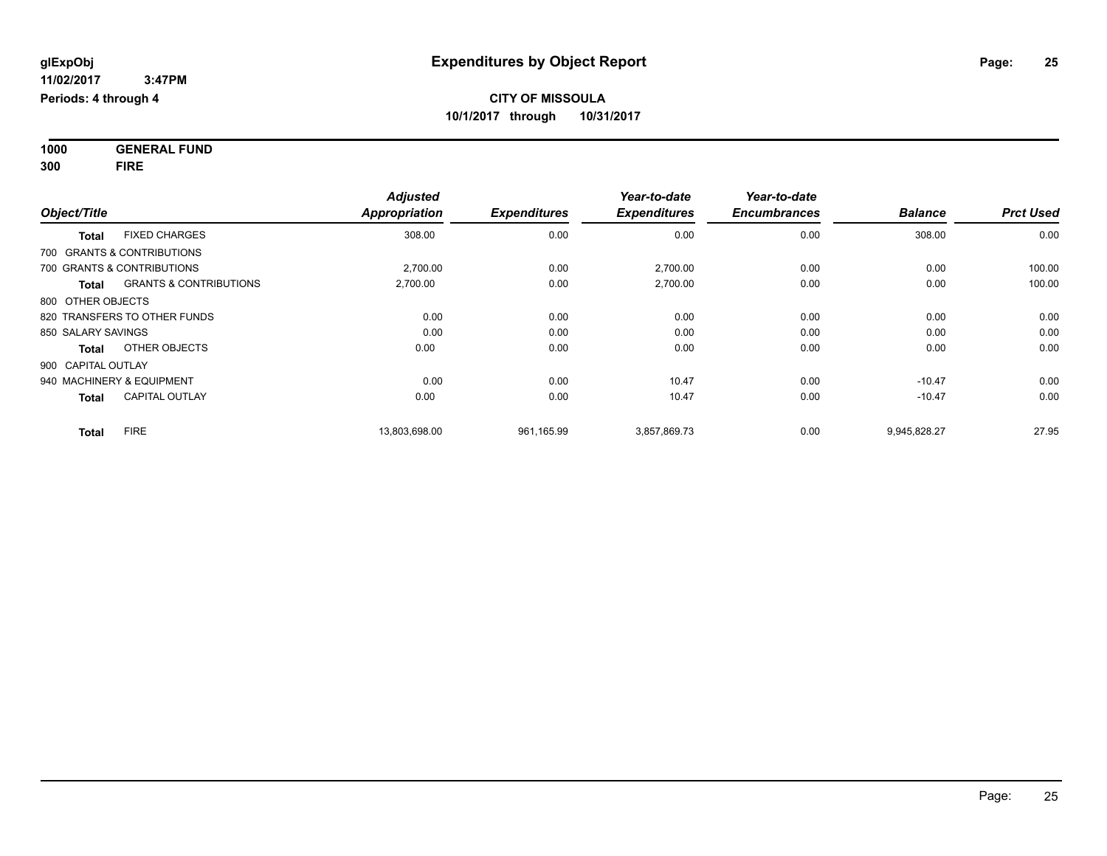**1000 GENERAL FUND 300 FIRE**

| Object/Title                                      | <b>Adjusted</b><br><b>Appropriation</b> | <b>Expenditures</b> | Year-to-date<br><b>Expenditures</b> | Year-to-date<br><b>Encumbrances</b> | <b>Balance</b> | <b>Prct Used</b> |
|---------------------------------------------------|-----------------------------------------|---------------------|-------------------------------------|-------------------------------------|----------------|------------------|
| <b>FIXED CHARGES</b><br><b>Total</b>              | 308.00                                  | 0.00                | 0.00                                | 0.00                                | 308.00         | 0.00             |
| 700 GRANTS & CONTRIBUTIONS                        |                                         |                     |                                     |                                     |                |                  |
| 700 GRANTS & CONTRIBUTIONS                        | 2,700.00                                | 0.00                | 2,700.00                            | 0.00                                | 0.00           | 100.00           |
| <b>GRANTS &amp; CONTRIBUTIONS</b><br><b>Total</b> | 2,700.00                                | 0.00                | 2,700.00                            | 0.00                                | 0.00           | 100.00           |
| 800 OTHER OBJECTS                                 |                                         |                     |                                     |                                     |                |                  |
| 820 TRANSFERS TO OTHER FUNDS                      |                                         | 0.00<br>0.00        | 0.00                                | 0.00                                | 0.00           | 0.00             |
| 850 SALARY SAVINGS                                |                                         | 0.00<br>0.00        | 0.00                                | 0.00                                | 0.00           | 0.00             |
| OTHER OBJECTS<br><b>Total</b>                     | 0.00                                    | 0.00                | 0.00                                | 0.00                                | 0.00           | 0.00             |
| 900 CAPITAL OUTLAY                                |                                         |                     |                                     |                                     |                |                  |
| 940 MACHINERY & EQUIPMENT                         |                                         | 0.00<br>0.00        | 10.47                               | 0.00                                | $-10.47$       | 0.00             |
| <b>CAPITAL OUTLAY</b><br><b>Total</b>             | 0.00                                    | 0.00                | 10.47                               | 0.00                                | $-10.47$       | 0.00             |
| <b>FIRE</b><br><b>Total</b>                       | 13,803,698.00                           | 961,165.99          | 3,857,869.73                        | 0.00                                | 9,945,828.27   | 27.95            |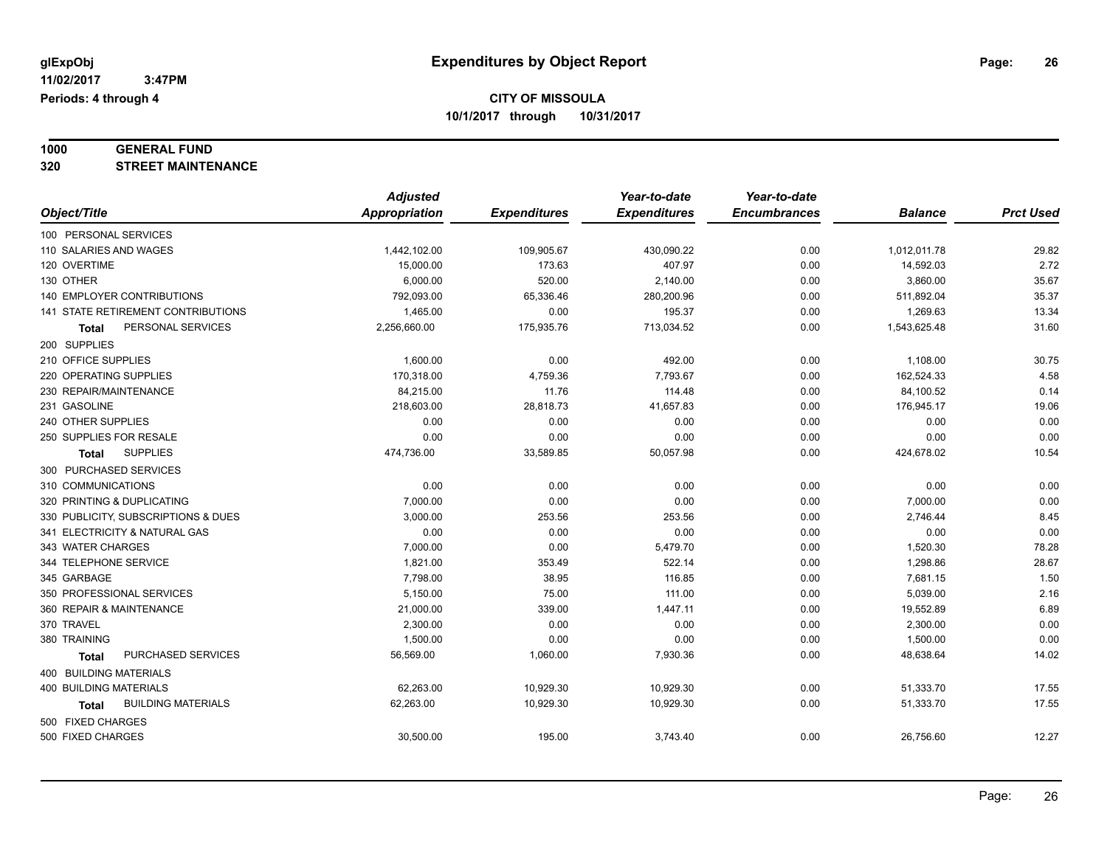# **1000 GENERAL FUND**

**320 STREET MAINTENANCE**

|                                           | <b>Adjusted</b>      |                     | Year-to-date        | Year-to-date        |                |                  |
|-------------------------------------------|----------------------|---------------------|---------------------|---------------------|----------------|------------------|
| Object/Title                              | <b>Appropriation</b> | <b>Expenditures</b> | <b>Expenditures</b> | <b>Encumbrances</b> | <b>Balance</b> | <b>Prct Used</b> |
| 100 PERSONAL SERVICES                     |                      |                     |                     |                     |                |                  |
| 110 SALARIES AND WAGES                    | 1,442,102.00         | 109,905.67          | 430,090.22          | 0.00                | 1,012,011.78   | 29.82            |
| 120 OVERTIME                              | 15,000.00            | 173.63              | 407.97              | 0.00                | 14,592.03      | 2.72             |
| 130 OTHER                                 | 6,000.00             | 520.00              | 2,140.00            | 0.00                | 3,860.00       | 35.67            |
| 140 EMPLOYER CONTRIBUTIONS                | 792,093.00           | 65,336.46           | 280,200.96          | 0.00                | 511,892.04     | 35.37            |
| 141 STATE RETIREMENT CONTRIBUTIONS        | 1,465.00             | 0.00                | 195.37              | 0.00                | 1,269.63       | 13.34            |
| PERSONAL SERVICES<br>Total                | 2,256,660.00         | 175,935.76          | 713,034.52          | 0.00                | 1,543,625.48   | 31.60            |
| 200 SUPPLIES                              |                      |                     |                     |                     |                |                  |
| 210 OFFICE SUPPLIES                       | 1,600.00             | 0.00                | 492.00              | 0.00                | 1,108.00       | 30.75            |
| 220 OPERATING SUPPLIES                    | 170,318.00           | 4,759.36            | 7,793.67            | 0.00                | 162,524.33     | 4.58             |
| 230 REPAIR/MAINTENANCE                    | 84,215.00            | 11.76               | 114.48              | 0.00                | 84,100.52      | 0.14             |
| 231 GASOLINE                              | 218,603.00           | 28,818.73           | 41,657.83           | 0.00                | 176,945.17     | 19.06            |
| 240 OTHER SUPPLIES                        | 0.00                 | 0.00                | 0.00                | 0.00                | 0.00           | 0.00             |
| 250 SUPPLIES FOR RESALE                   | 0.00                 | 0.00                | 0.00                | 0.00                | 0.00           | 0.00             |
| <b>SUPPLIES</b><br><b>Total</b>           | 474,736.00           | 33,589.85           | 50,057.98           | 0.00                | 424,678.02     | 10.54            |
| 300 PURCHASED SERVICES                    |                      |                     |                     |                     |                |                  |
| 310 COMMUNICATIONS                        | 0.00                 | 0.00                | 0.00                | 0.00                | 0.00           | 0.00             |
| 320 PRINTING & DUPLICATING                | 7,000.00             | 0.00                | 0.00                | 0.00                | 7,000.00       | 0.00             |
| 330 PUBLICITY, SUBSCRIPTIONS & DUES       | 3,000.00             | 253.56              | 253.56              | 0.00                | 2,746.44       | 8.45             |
| 341 ELECTRICITY & NATURAL GAS             | 0.00                 | 0.00                | 0.00                | 0.00                | 0.00           | 0.00             |
| 343 WATER CHARGES                         | 7,000.00             | 0.00                | 5,479.70            | 0.00                | 1,520.30       | 78.28            |
| 344 TELEPHONE SERVICE                     | 1,821.00             | 353.49              | 522.14              | 0.00                | 1,298.86       | 28.67            |
| 345 GARBAGE                               | 7,798.00             | 38.95               | 116.85              | 0.00                | 7,681.15       | 1.50             |
| 350 PROFESSIONAL SERVICES                 | 5,150.00             | 75.00               | 111.00              | 0.00                | 5,039.00       | 2.16             |
| 360 REPAIR & MAINTENANCE                  | 21,000.00            | 339.00              | 1,447.11            | 0.00                | 19,552.89      | 6.89             |
| 370 TRAVEL                                | 2,300.00             | 0.00                | 0.00                | 0.00                | 2,300.00       | 0.00             |
| 380 TRAINING                              | 1,500.00             | 0.00                | 0.00                | 0.00                | 1,500.00       | 0.00             |
| PURCHASED SERVICES<br>Total               | 56,569.00            | 1,060.00            | 7,930.36            | 0.00                | 48,638.64      | 14.02            |
| 400 BUILDING MATERIALS                    |                      |                     |                     |                     |                |                  |
| <b>400 BUILDING MATERIALS</b>             | 62,263.00            | 10,929.30           | 10,929.30           | 0.00                | 51,333.70      | 17.55            |
| <b>BUILDING MATERIALS</b><br><b>Total</b> | 62,263.00            | 10,929.30           | 10,929.30           | 0.00                | 51,333.70      | 17.55            |
| 500 FIXED CHARGES                         |                      |                     |                     |                     |                |                  |
| 500 FIXED CHARGES                         | 30,500.00            | 195.00              | 3,743.40            | 0.00                | 26,756.60      | 12.27            |
|                                           |                      |                     |                     |                     |                |                  |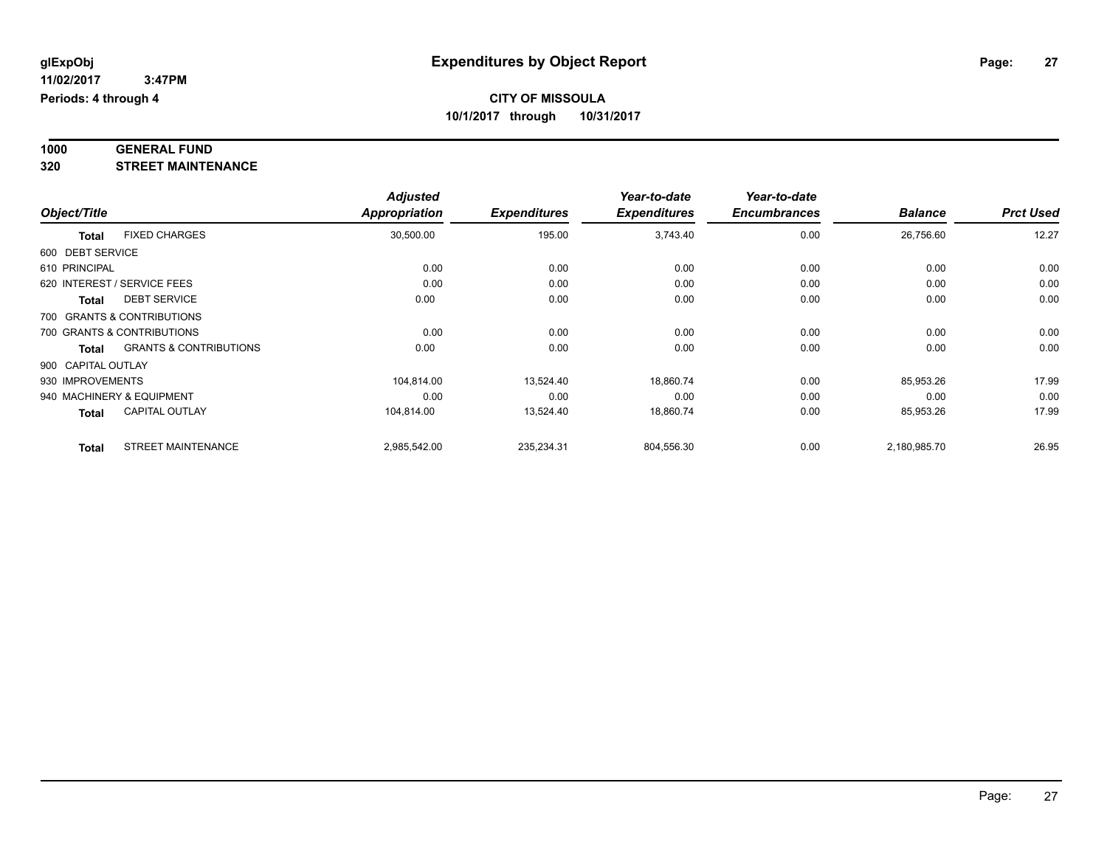#### **1000 GENERAL FUND 320 STREET MAINTENANCE**

|                    |                                   | <b>Adjusted</b> |                     | Year-to-date        | Year-to-date        |                |                  |
|--------------------|-----------------------------------|-----------------|---------------------|---------------------|---------------------|----------------|------------------|
| Object/Title       |                                   | Appropriation   | <b>Expenditures</b> | <b>Expenditures</b> | <b>Encumbrances</b> | <b>Balance</b> | <b>Prct Used</b> |
| <b>Total</b>       | <b>FIXED CHARGES</b>              | 30,500.00       | 195.00              | 3,743.40            | 0.00                | 26,756.60      | 12.27            |
| 600 DEBT SERVICE   |                                   |                 |                     |                     |                     |                |                  |
| 610 PRINCIPAL      |                                   | 0.00            | 0.00                | 0.00                | 0.00                | 0.00           | 0.00             |
|                    | 620 INTEREST / SERVICE FEES       | 0.00            | 0.00                | 0.00                | 0.00                | 0.00           | 0.00             |
| <b>Total</b>       | <b>DEBT SERVICE</b>               | 0.00            | 0.00                | 0.00                | 0.00                | 0.00           | 0.00             |
|                    | 700 GRANTS & CONTRIBUTIONS        |                 |                     |                     |                     |                |                  |
|                    | 700 GRANTS & CONTRIBUTIONS        | 0.00            | 0.00                | 0.00                | 0.00                | 0.00           | 0.00             |
| <b>Total</b>       | <b>GRANTS &amp; CONTRIBUTIONS</b> | 0.00            | 0.00                | 0.00                | 0.00                | 0.00           | 0.00             |
| 900 CAPITAL OUTLAY |                                   |                 |                     |                     |                     |                |                  |
| 930 IMPROVEMENTS   |                                   | 104,814.00      | 13,524.40           | 18,860.74           | 0.00                | 85,953.26      | 17.99            |
|                    | 940 MACHINERY & EQUIPMENT         | 0.00            | 0.00                | 0.00                | 0.00                | 0.00           | 0.00             |
| <b>Total</b>       | <b>CAPITAL OUTLAY</b>             | 104,814.00      | 13,524.40           | 18,860.74           | 0.00                | 85,953.26      | 17.99            |
| <b>Total</b>       | <b>STREET MAINTENANCE</b>         | 2,985,542.00    | 235,234.31          | 804,556.30          | 0.00                | 2,180,985.70   | 26.95            |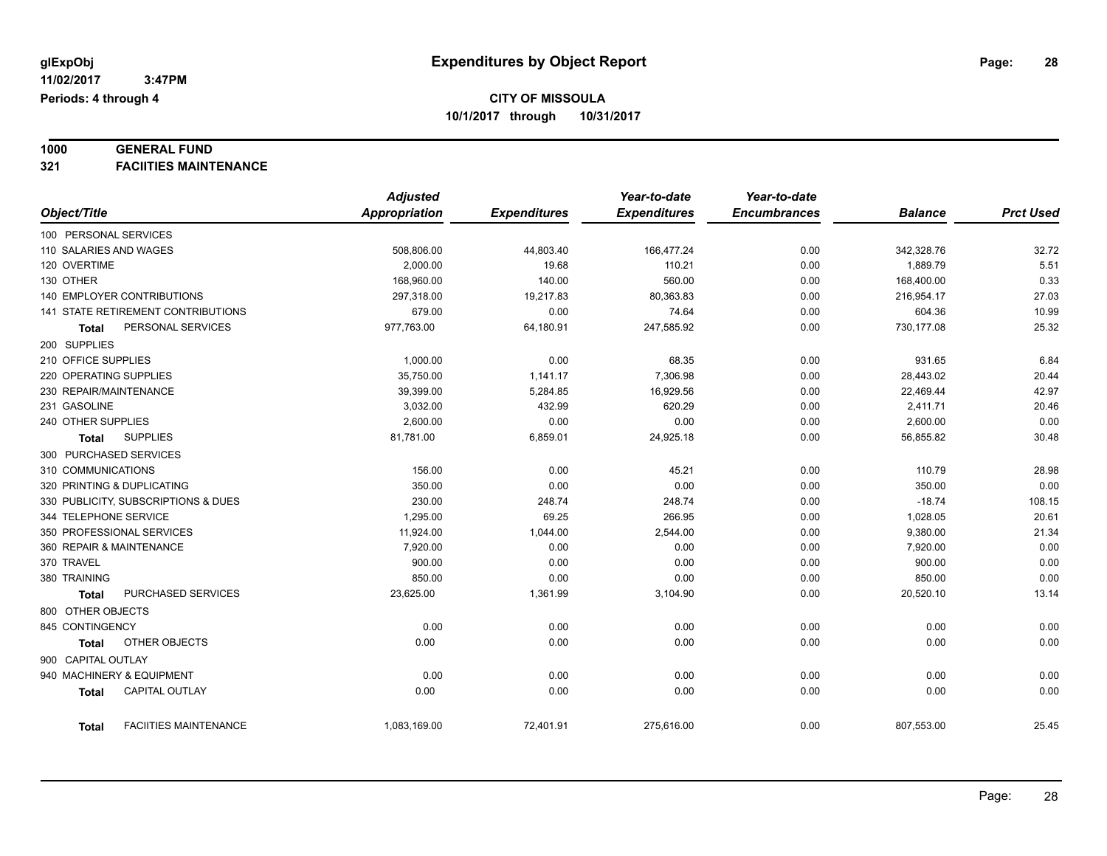# **1000 GENERAL FUND**

**321 FACIITIES MAINTENANCE**

|                                              | <b>Adjusted</b>      |                     | Year-to-date        | Year-to-date        |                |                  |
|----------------------------------------------|----------------------|---------------------|---------------------|---------------------|----------------|------------------|
| Object/Title                                 | <b>Appropriation</b> | <b>Expenditures</b> | <b>Expenditures</b> | <b>Encumbrances</b> | <b>Balance</b> | <b>Prct Used</b> |
| 100 PERSONAL SERVICES                        |                      |                     |                     |                     |                |                  |
| 110 SALARIES AND WAGES                       | 508,806.00           | 44,803.40           | 166,477.24          | 0.00                | 342,328.76     | 32.72            |
| 120 OVERTIME                                 | 2.000.00             | 19.68               | 110.21              | 0.00                | 1,889.79       | 5.51             |
| 130 OTHER                                    | 168,960.00           | 140.00              | 560.00              | 0.00                | 168,400.00     | 0.33             |
| <b>140 EMPLOYER CONTRIBUTIONS</b>            | 297,318.00           | 19,217.83           | 80,363.83           | 0.00                | 216,954.17     | 27.03            |
| 141 STATE RETIREMENT CONTRIBUTIONS           | 679.00               | 0.00                | 74.64               | 0.00                | 604.36         | 10.99            |
| PERSONAL SERVICES<br><b>Total</b>            | 977,763.00           | 64,180.91           | 247,585.92          | 0.00                | 730,177.08     | 25.32            |
| 200 SUPPLIES                                 |                      |                     |                     |                     |                |                  |
| 210 OFFICE SUPPLIES                          | 1,000.00             | 0.00                | 68.35               | 0.00                | 931.65         | 6.84             |
| 220 OPERATING SUPPLIES                       | 35,750.00            | 1,141.17            | 7,306.98            | 0.00                | 28,443.02      | 20.44            |
| 230 REPAIR/MAINTENANCE                       | 39,399.00            | 5,284.85            | 16,929.56           | 0.00                | 22,469.44      | 42.97            |
| 231 GASOLINE                                 | 3,032.00             | 432.99              | 620.29              | 0.00                | 2,411.71       | 20.46            |
| 240 OTHER SUPPLIES                           | 2,600.00             | 0.00                | 0.00                | 0.00                | 2,600.00       | 0.00             |
| <b>SUPPLIES</b><br>Total                     | 81,781.00            | 6,859.01            | 24,925.18           | 0.00                | 56,855.82      | 30.48            |
| 300 PURCHASED SERVICES                       |                      |                     |                     |                     |                |                  |
| 310 COMMUNICATIONS                           | 156.00               | 0.00                | 45.21               | 0.00                | 110.79         | 28.98            |
| 320 PRINTING & DUPLICATING                   | 350.00               | 0.00                | 0.00                | 0.00                | 350.00         | 0.00             |
| 330 PUBLICITY, SUBSCRIPTIONS & DUES          | 230.00               | 248.74              | 248.74              | 0.00                | $-18.74$       | 108.15           |
| 344 TELEPHONE SERVICE                        | 1,295.00             | 69.25               | 266.95              | 0.00                | 1,028.05       | 20.61            |
| 350 PROFESSIONAL SERVICES                    | 11,924.00            | 1,044.00            | 2,544.00            | 0.00                | 9,380.00       | 21.34            |
| 360 REPAIR & MAINTENANCE                     | 7,920.00             | 0.00                | 0.00                | 0.00                | 7,920.00       | 0.00             |
| 370 TRAVEL                                   | 900.00               | 0.00                | 0.00                | 0.00                | 900.00         | 0.00             |
| 380 TRAINING                                 | 850.00               | 0.00                | 0.00                | 0.00                | 850.00         | 0.00             |
| PURCHASED SERVICES<br><b>Total</b>           | 23,625.00            | 1,361.99            | 3,104.90            | 0.00                | 20,520.10      | 13.14            |
| 800 OTHER OBJECTS                            |                      |                     |                     |                     |                |                  |
| 845 CONTINGENCY                              | 0.00                 | 0.00                | 0.00                | 0.00                | 0.00           | 0.00             |
| OTHER OBJECTS<br><b>Total</b>                | 0.00                 | 0.00                | 0.00                | 0.00                | 0.00           | 0.00             |
| 900 CAPITAL OUTLAY                           |                      |                     |                     |                     |                |                  |
| 940 MACHINERY & EQUIPMENT                    | 0.00                 | 0.00                | 0.00                | 0.00                | 0.00           | 0.00             |
| <b>CAPITAL OUTLAY</b><br><b>Total</b>        | 0.00                 | 0.00                | 0.00                | 0.00                | 0.00           | 0.00             |
|                                              |                      |                     |                     |                     |                |                  |
| <b>FACIITIES MAINTENANCE</b><br><b>Total</b> | 1,083,169.00         | 72,401.91           | 275,616.00          | 0.00                | 807,553.00     | 25.45            |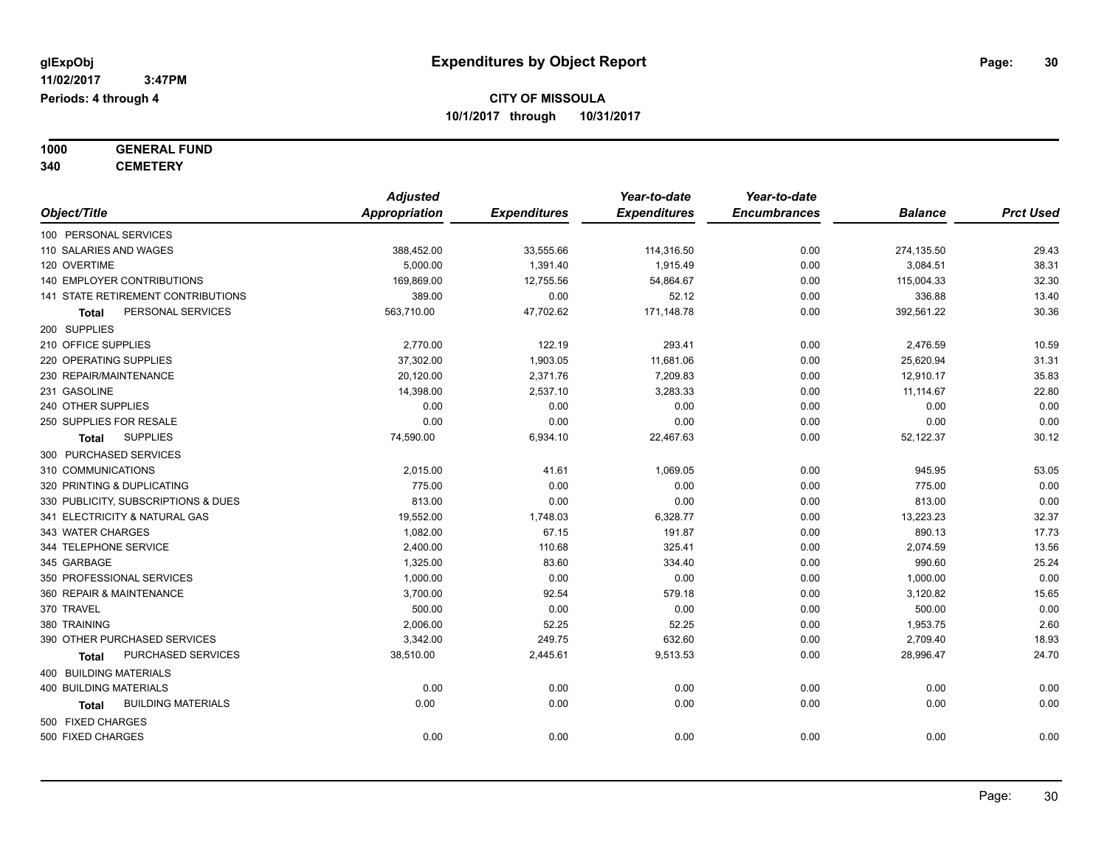#### **1000 GENERAL FUND 340 CEMETERY**

|                                     | <b>Adjusted</b> |                     | Year-to-date        | Year-to-date        |                |                  |
|-------------------------------------|-----------------|---------------------|---------------------|---------------------|----------------|------------------|
| Object/Title                        | Appropriation   | <b>Expenditures</b> | <b>Expenditures</b> | <b>Encumbrances</b> | <b>Balance</b> | <b>Prct Used</b> |
| 100 PERSONAL SERVICES               |                 |                     |                     |                     |                |                  |
| 110 SALARIES AND WAGES              | 388,452.00      | 33,555.66           | 114,316.50          | 0.00                | 274,135.50     | 29.43            |
| 120 OVERTIME                        | 5,000.00        | 1,391.40            | 1,915.49            | 0.00                | 3,084.51       | 38.31            |
| 140 EMPLOYER CONTRIBUTIONS          | 169,869.00      | 12,755.56           | 54,864.67           | 0.00                | 115,004.33     | 32.30            |
| 141 STATE RETIREMENT CONTRIBUTIONS  | 389.00          | 0.00                | 52.12               | 0.00                | 336.88         | 13.40            |
| PERSONAL SERVICES<br><b>Total</b>   | 563,710.00      | 47,702.62           | 171,148.78          | 0.00                | 392,561.22     | 30.36            |
| 200 SUPPLIES                        |                 |                     |                     |                     |                |                  |
| 210 OFFICE SUPPLIES                 | 2,770.00        | 122.19              | 293.41              | 0.00                | 2,476.59       | 10.59            |
| 220 OPERATING SUPPLIES              | 37,302.00       | 1,903.05            | 11,681.06           | 0.00                | 25,620.94      | 31.31            |
| 230 REPAIR/MAINTENANCE              | 20,120.00       | 2,371.76            | 7,209.83            | 0.00                | 12,910.17      | 35.83            |
| 231 GASOLINE                        | 14,398.00       | 2,537.10            | 3,283.33            | 0.00                | 11,114.67      | 22.80            |
| 240 OTHER SUPPLIES                  | 0.00            | 0.00                | 0.00                | 0.00                | 0.00           | 0.00             |
| 250 SUPPLIES FOR RESALE             | 0.00            | 0.00                | 0.00                | 0.00                | 0.00           | 0.00             |
| <b>SUPPLIES</b><br>Total            | 74,590.00       | 6,934.10            | 22,467.63           | 0.00                | 52,122.37      | 30.12            |
| 300 PURCHASED SERVICES              |                 |                     |                     |                     |                |                  |
| 310 COMMUNICATIONS                  | 2,015.00        | 41.61               | 1,069.05            | 0.00                | 945.95         | 53.05            |
| 320 PRINTING & DUPLICATING          | 775.00          | 0.00                | 0.00                | 0.00                | 775.00         | 0.00             |
| 330 PUBLICITY, SUBSCRIPTIONS & DUES | 813.00          | 0.00                | 0.00                | 0.00                | 813.00         | 0.00             |
| 341 ELECTRICITY & NATURAL GAS       | 19,552.00       | 1,748.03            | 6,328.77            | 0.00                | 13,223.23      | 32.37            |
| 343 WATER CHARGES                   | 1,082.00        | 67.15               | 191.87              | 0.00                | 890.13         | 17.73            |
| 344 TELEPHONE SERVICE               | 2,400.00        | 110.68              | 325.41              | 0.00                | 2,074.59       | 13.56            |
| 345 GARBAGE                         | 1,325.00        | 83.60               | 334.40              | 0.00                | 990.60         | 25.24            |
| 350 PROFESSIONAL SERVICES           | 1,000.00        | 0.00                | 0.00                | 0.00                | 1,000.00       | 0.00             |
| 360 REPAIR & MAINTENANCE            | 3,700.00        | 92.54               | 579.18              | 0.00                | 3,120.82       | 15.65            |
| 370 TRAVEL                          | 500.00          | 0.00                | 0.00                | 0.00                | 500.00         | 0.00             |
| 380 TRAINING                        | 2,006.00        | 52.25               | 52.25               | 0.00                | 1,953.75       | 2.60             |
| 390 OTHER PURCHASED SERVICES        | 3,342.00        | 249.75              | 632.60              | 0.00                | 2,709.40       | 18.93            |
| PURCHASED SERVICES<br>Total         | 38,510.00       | 2,445.61            | 9,513.53            | 0.00                | 28,996.47      | 24.70            |
| 400 BUILDING MATERIALS              |                 |                     |                     |                     |                |                  |
| <b>400 BUILDING MATERIALS</b>       | 0.00            | 0.00                | 0.00                | 0.00                | 0.00           | 0.00             |
| <b>BUILDING MATERIALS</b><br>Total  | 0.00            | 0.00                | 0.00                | 0.00                | 0.00           | 0.00             |
| 500 FIXED CHARGES                   |                 |                     |                     |                     |                |                  |
| 500 FIXED CHARGES                   | 0.00            | 0.00                | 0.00                | 0.00                | 0.00           | 0.00             |
|                                     |                 |                     |                     |                     |                |                  |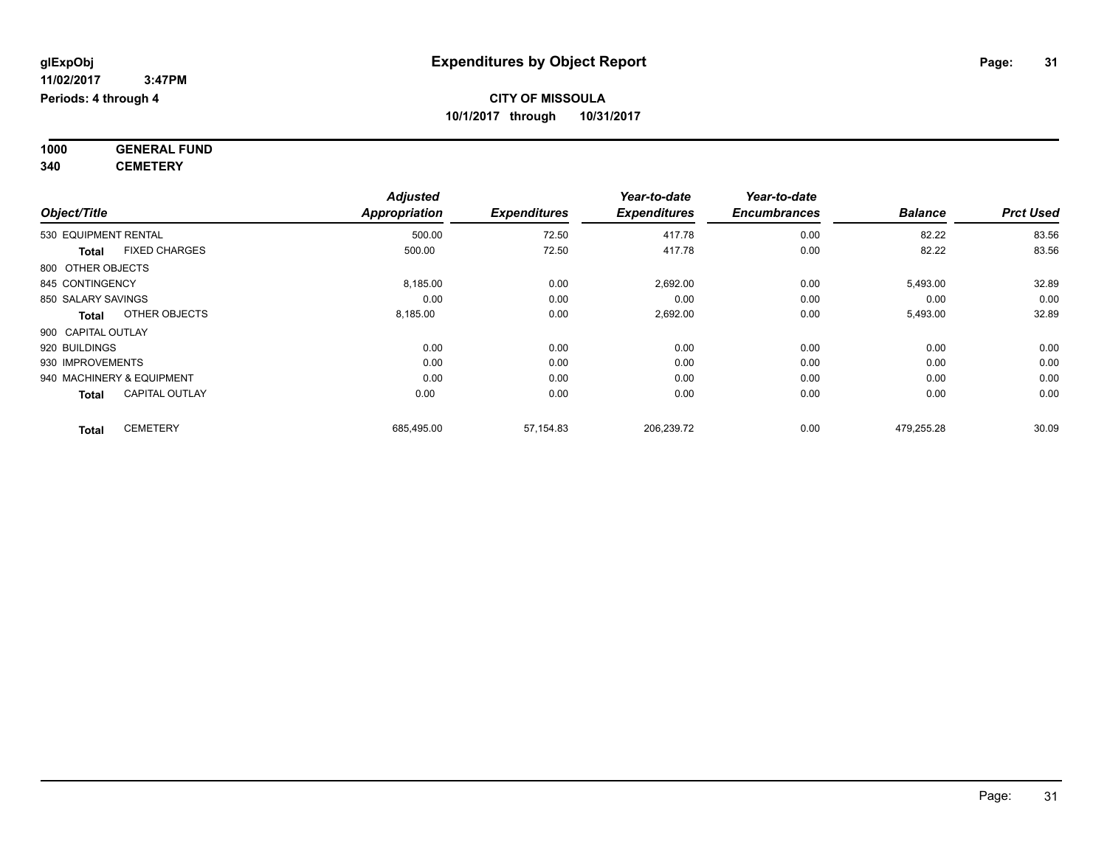**1000 GENERAL FUND 340 CEMETERY**

*Object/Title Adjusted Appropriation Expenditures Year-to-date Expenditures Year-to-date Encumbrances Balance Prct Used* 530 EQUIPMENT RENTAL 500.00 72.50 417.78 0.00 82.22 83.56 **Total** FIXED CHARGES 500.00 72.50 417.78 0.00 82.22 83.56 800 OTHER OBJECTS 845 CONTINGENCY 8,185.00 0.00 2,692.00 5,493.00 32.89 850 SALARY SAVINGS 0.00 0.00 0.00 0.00 0.00 0.00 **Total** OTHER OBJECTS 8,185.00 0.00 2,692.00 0.00 5,493.00 32.89 900 CAPITAL OUTLAY 920 BUILDINGS 0.00 0.00 0.00 0.00 0.00 0.00 930 IMPROVEMENTS 0.00 0.00 0.00 0.00 0.00 0.00 940 MACHINERY & EQUIPMENT 0.00 0.00 0.00 0.00 0.00 0.00 **Total** CAPITAL OUTLAY 0.00 0.00 0.00 0.00 0.00 0.00 **Total** CEMETERY 685,495.00 57,154.83 206,239.72 0.00 479,255.28 30.09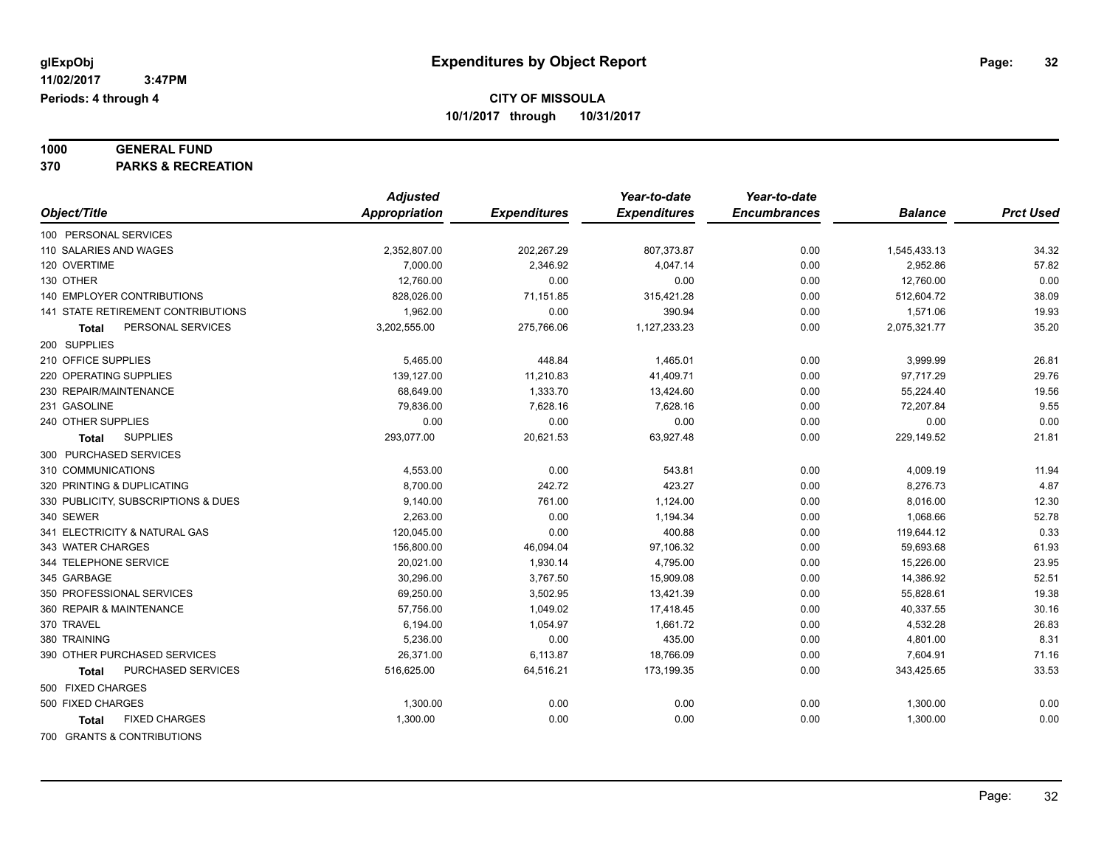# **1000 GENERAL FUND**

**370 PARKS & RECREATION**

|                                      | <b>Adjusted</b>      |                     | Year-to-date        | Year-to-date        |                |                  |
|--------------------------------------|----------------------|---------------------|---------------------|---------------------|----------------|------------------|
| Object/Title                         | <b>Appropriation</b> | <b>Expenditures</b> | <b>Expenditures</b> | <b>Encumbrances</b> | <b>Balance</b> | <b>Prct Used</b> |
| 100 PERSONAL SERVICES                |                      |                     |                     |                     |                |                  |
| 110 SALARIES AND WAGES               | 2,352,807.00         | 202,267.29          | 807,373.87          | 0.00                | 1,545,433.13   | 34.32            |
| 120 OVERTIME                         | 7,000.00             | 2,346.92            | 4,047.14            | 0.00                | 2,952.86       | 57.82            |
| 130 OTHER                            | 12,760.00            | 0.00                | 0.00                | 0.00                | 12,760.00      | 0.00             |
| <b>140 EMPLOYER CONTRIBUTIONS</b>    | 828,026.00           | 71,151.85           | 315,421.28          | 0.00                | 512,604.72     | 38.09            |
| 141 STATE RETIREMENT CONTRIBUTIONS   | 1,962.00             | 0.00                | 390.94              | 0.00                | 1,571.06       | 19.93            |
| PERSONAL SERVICES<br><b>Total</b>    | 3,202,555.00         | 275,766.06          | 1,127,233.23        | 0.00                | 2,075,321.77   | 35.20            |
| 200 SUPPLIES                         |                      |                     |                     |                     |                |                  |
| 210 OFFICE SUPPLIES                  | 5,465.00             | 448.84              | 1,465.01            | 0.00                | 3,999.99       | 26.81            |
| 220 OPERATING SUPPLIES               | 139,127.00           | 11,210.83           | 41,409.71           | 0.00                | 97,717.29      | 29.76            |
| 230 REPAIR/MAINTENANCE               | 68,649.00            | 1,333.70            | 13,424.60           | 0.00                | 55,224.40      | 19.56            |
| 231 GASOLINE                         | 79.836.00            | 7.628.16            | 7.628.16            | 0.00                | 72.207.84      | 9.55             |
| 240 OTHER SUPPLIES                   | 0.00                 | 0.00                | 0.00                | 0.00                | 0.00           | 0.00             |
| <b>SUPPLIES</b><br>Total             | 293,077.00           | 20,621.53           | 63,927.48           | 0.00                | 229,149.52     | 21.81            |
| 300 PURCHASED SERVICES               |                      |                     |                     |                     |                |                  |
| 310 COMMUNICATIONS                   | 4,553.00             | 0.00                | 543.81              | 0.00                | 4,009.19       | 11.94            |
| 320 PRINTING & DUPLICATING           | 8,700.00             | 242.72              | 423.27              | 0.00                | 8,276.73       | 4.87             |
| 330 PUBLICITY, SUBSCRIPTIONS & DUES  | 9,140.00             | 761.00              | 1,124.00            | 0.00                | 8,016.00       | 12.30            |
| 340 SEWER                            | 2,263.00             | 0.00                | 1,194.34            | 0.00                | 1,068.66       | 52.78            |
| 341 ELECTRICITY & NATURAL GAS        | 120,045.00           | 0.00                | 400.88              | 0.00                | 119,644.12     | 0.33             |
| 343 WATER CHARGES                    | 156,800.00           | 46,094.04           | 97,106.32           | 0.00                | 59,693.68      | 61.93            |
| 344 TELEPHONE SERVICE                | 20,021.00            | 1,930.14            | 4,795.00            | 0.00                | 15,226.00      | 23.95            |
| 345 GARBAGE                          | 30,296.00            | 3,767.50            | 15,909.08           | 0.00                | 14,386.92      | 52.51            |
| 350 PROFESSIONAL SERVICES            | 69,250.00            | 3,502.95            | 13,421.39           | 0.00                | 55,828.61      | 19.38            |
| 360 REPAIR & MAINTENANCE             | 57,756.00            | 1,049.02            | 17,418.45           | 0.00                | 40,337.55      | 30.16            |
| 370 TRAVEL                           | 6,194.00             | 1,054.97            | 1,661.72            | 0.00                | 4,532.28       | 26.83            |
| 380 TRAINING                         | 5,236.00             | 0.00                | 435.00              | 0.00                | 4,801.00       | 8.31             |
| 390 OTHER PURCHASED SERVICES         | 26,371.00            | 6,113.87            | 18,766.09           | 0.00                | 7,604.91       | 71.16            |
| PURCHASED SERVICES<br>Total          | 516,625.00           | 64,516.21           | 173,199.35          | 0.00                | 343,425.65     | 33.53            |
| 500 FIXED CHARGES                    |                      |                     |                     |                     |                |                  |
| 500 FIXED CHARGES                    | 1,300.00             | 0.00                | 0.00                | 0.00                | 1,300.00       | 0.00             |
| <b>FIXED CHARGES</b><br><b>Total</b> | 1,300.00             | 0.00                | 0.00                | 0.00                | 1,300.00       | 0.00             |
| 700 GRANTS & CONTRIBUTIONS           |                      |                     |                     |                     |                |                  |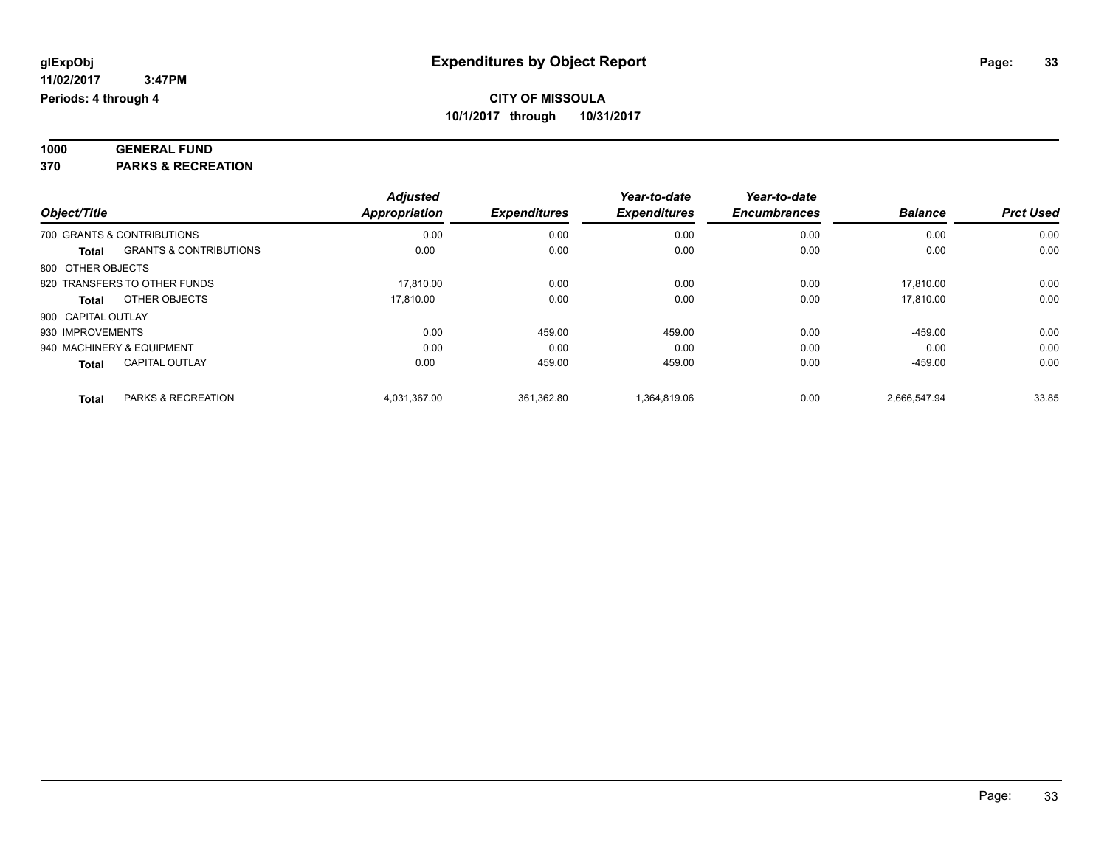| 1000 | <b>GENERAL FUND</b>            |  |
|------|--------------------------------|--|
| 270  | <b>DADIZO &amp; DEGDEATION</b> |  |

**370 PARKS & RECREATION**

|                           |                                   | <b>Adjusted</b>      |                     | Year-to-date        | Year-to-date        |                |                  |
|---------------------------|-----------------------------------|----------------------|---------------------|---------------------|---------------------|----------------|------------------|
| Object/Title              |                                   | <b>Appropriation</b> | <b>Expenditures</b> | <b>Expenditures</b> | <b>Encumbrances</b> | <b>Balance</b> | <b>Prct Used</b> |
|                           | 700 GRANTS & CONTRIBUTIONS        | 0.00                 | 0.00                | 0.00                | 0.00                | 0.00           | 0.00             |
| <b>Total</b>              | <b>GRANTS &amp; CONTRIBUTIONS</b> | 0.00                 | 0.00                | 0.00                | 0.00                | 0.00           | 0.00             |
| 800 OTHER OBJECTS         |                                   |                      |                     |                     |                     |                |                  |
|                           | 820 TRANSFERS TO OTHER FUNDS      | 17.810.00            | 0.00                | 0.00                | 0.00                | 17.810.00      | 0.00             |
| <b>Total</b>              | OTHER OBJECTS                     | 17.810.00            | 0.00                | 0.00                | 0.00                | 17.810.00      | 0.00             |
| 900 CAPITAL OUTLAY        |                                   |                      |                     |                     |                     |                |                  |
| 930 IMPROVEMENTS          |                                   | 0.00                 | 459.00              | 459.00              | 0.00                | $-459.00$      | 0.00             |
| 940 MACHINERY & EQUIPMENT |                                   | 0.00                 | 0.00                | 0.00                | 0.00                | 0.00           | 0.00             |
| <b>Total</b>              | <b>CAPITAL OUTLAY</b>             | 0.00                 | 459.00              | 459.00              | 0.00                | $-459.00$      | 0.00             |
| <b>Total</b>              | <b>PARKS &amp; RECREATION</b>     | 4.031.367.00         | 361.362.80          | 1.364.819.06        | 0.00                | 2.666.547.94   | 33.85            |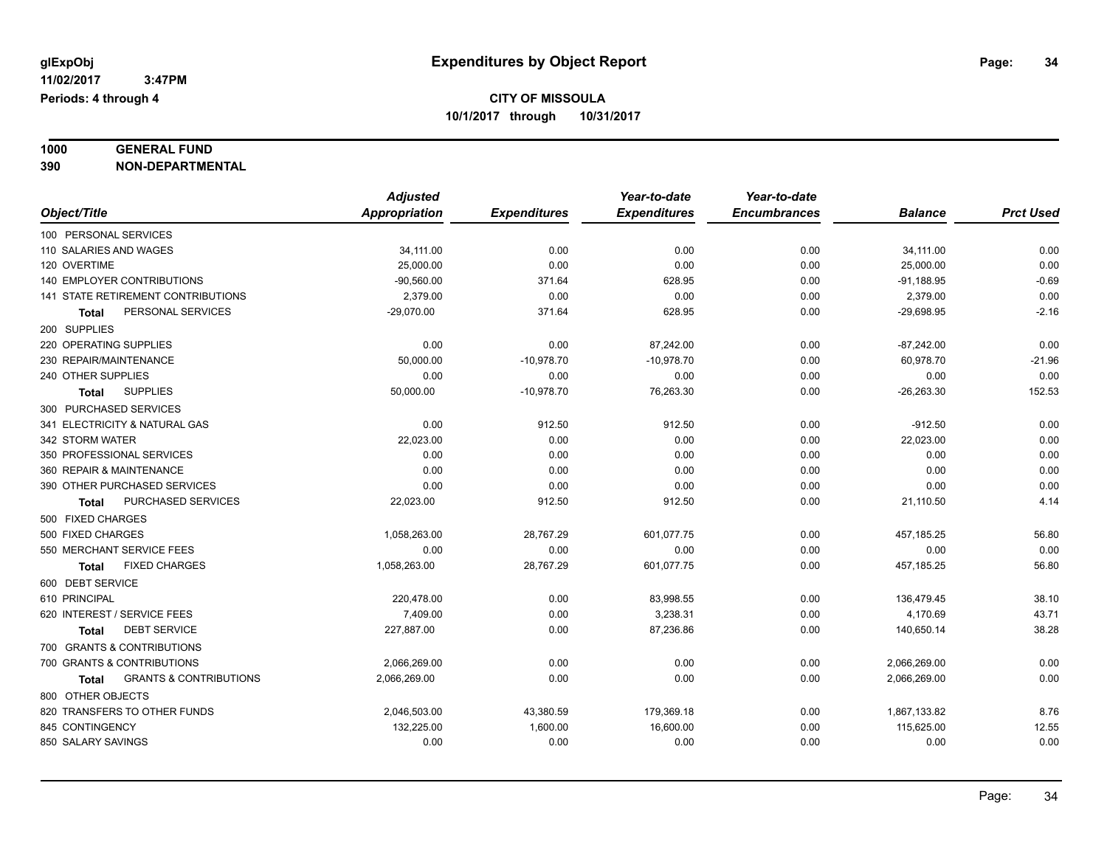#### **1000 GENERAL FUND 390 NON-DEPARTMENTAL**

|                                                   | <b>Adjusted</b> |                     | Year-to-date        | Year-to-date        |                |                  |
|---------------------------------------------------|-----------------|---------------------|---------------------|---------------------|----------------|------------------|
| Object/Title                                      | Appropriation   | <b>Expenditures</b> | <b>Expenditures</b> | <b>Encumbrances</b> | <b>Balance</b> | <b>Prct Used</b> |
| 100 PERSONAL SERVICES                             |                 |                     |                     |                     |                |                  |
| 110 SALARIES AND WAGES                            | 34,111.00       | 0.00                | 0.00                | 0.00                | 34,111.00      | 0.00             |
| 120 OVERTIME                                      | 25,000.00       | 0.00                | 0.00                | 0.00                | 25,000.00      | 0.00             |
| 140 EMPLOYER CONTRIBUTIONS                        | $-90,560.00$    | 371.64              | 628.95              | 0.00                | $-91,188.95$   | $-0.69$          |
| 141 STATE RETIREMENT CONTRIBUTIONS                | 2,379.00        | 0.00                | 0.00                | 0.00                | 2,379.00       | 0.00             |
| PERSONAL SERVICES<br><b>Total</b>                 | $-29,070.00$    | 371.64              | 628.95              | 0.00                | $-29,698.95$   | $-2.16$          |
| 200 SUPPLIES                                      |                 |                     |                     |                     |                |                  |
| 220 OPERATING SUPPLIES                            | 0.00            | 0.00                | 87,242.00           | 0.00                | $-87,242.00$   | 0.00             |
| 230 REPAIR/MAINTENANCE                            | 50,000.00       | $-10,978.70$        | $-10,978.70$        | 0.00                | 60,978.70      | $-21.96$         |
| 240 OTHER SUPPLIES                                | 0.00            | 0.00                | 0.00                | 0.00                | 0.00           | 0.00             |
| <b>SUPPLIES</b><br><b>Total</b>                   | 50,000.00       | $-10,978.70$        | 76,263.30           | 0.00                | $-26,263.30$   | 152.53           |
| 300 PURCHASED SERVICES                            |                 |                     |                     |                     |                |                  |
| 341 ELECTRICITY & NATURAL GAS                     | 0.00            | 912.50              | 912.50              | 0.00                | $-912.50$      | 0.00             |
| 342 STORM WATER                                   | 22,023.00       | 0.00                | 0.00                | 0.00                | 22,023.00      | 0.00             |
| 350 PROFESSIONAL SERVICES                         | 0.00            | 0.00                | 0.00                | 0.00                | 0.00           | 0.00             |
| 360 REPAIR & MAINTENANCE                          | 0.00            | 0.00                | 0.00                | 0.00                | 0.00           | 0.00             |
| 390 OTHER PURCHASED SERVICES                      | 0.00            | 0.00                | 0.00                | 0.00                | 0.00           | 0.00             |
| PURCHASED SERVICES<br>Total                       | 22,023.00       | 912.50              | 912.50              | 0.00                | 21,110.50      | 4.14             |
| 500 FIXED CHARGES                                 |                 |                     |                     |                     |                |                  |
| 500 FIXED CHARGES                                 | 1,058,263.00    | 28,767.29           | 601,077.75          | 0.00                | 457, 185.25    | 56.80            |
| 550 MERCHANT SERVICE FEES                         | 0.00            | 0.00                | 0.00                | 0.00                | 0.00           | 0.00             |
| <b>FIXED CHARGES</b><br><b>Total</b>              | 1,058,263.00    | 28,767.29           | 601,077.75          | 0.00                | 457, 185.25    | 56.80            |
| 600 DEBT SERVICE                                  |                 |                     |                     |                     |                |                  |
| 610 PRINCIPAL                                     | 220,478.00      | 0.00                | 83,998.55           | 0.00                | 136,479.45     | 38.10            |
| 620 INTEREST / SERVICE FEES                       | 7,409.00        | 0.00                | 3,238.31            | 0.00                | 4,170.69       | 43.71            |
| <b>DEBT SERVICE</b><br>Total                      | 227,887.00      | 0.00                | 87,236.86           | 0.00                | 140,650.14     | 38.28            |
| 700 GRANTS & CONTRIBUTIONS                        |                 |                     |                     |                     |                |                  |
| 700 GRANTS & CONTRIBUTIONS                        | 2,066,269.00    | 0.00                | 0.00                | 0.00                | 2,066,269.00   | 0.00             |
| <b>GRANTS &amp; CONTRIBUTIONS</b><br><b>Total</b> | 2,066,269.00    | 0.00                | 0.00                | 0.00                | 2,066,269.00   | 0.00             |
| 800 OTHER OBJECTS                                 |                 |                     |                     |                     |                |                  |
| 820 TRANSFERS TO OTHER FUNDS                      | 2,046,503.00    | 43,380.59           | 179,369.18          | 0.00                | 1,867,133.82   | 8.76             |
| 845 CONTINGENCY                                   | 132,225.00      | 1,600.00            | 16,600.00           | 0.00                | 115,625.00     | 12.55            |
| 850 SALARY SAVINGS                                | 0.00            | 0.00                | 0.00                | 0.00                | 0.00           | 0.00             |
|                                                   |                 |                     |                     |                     |                |                  |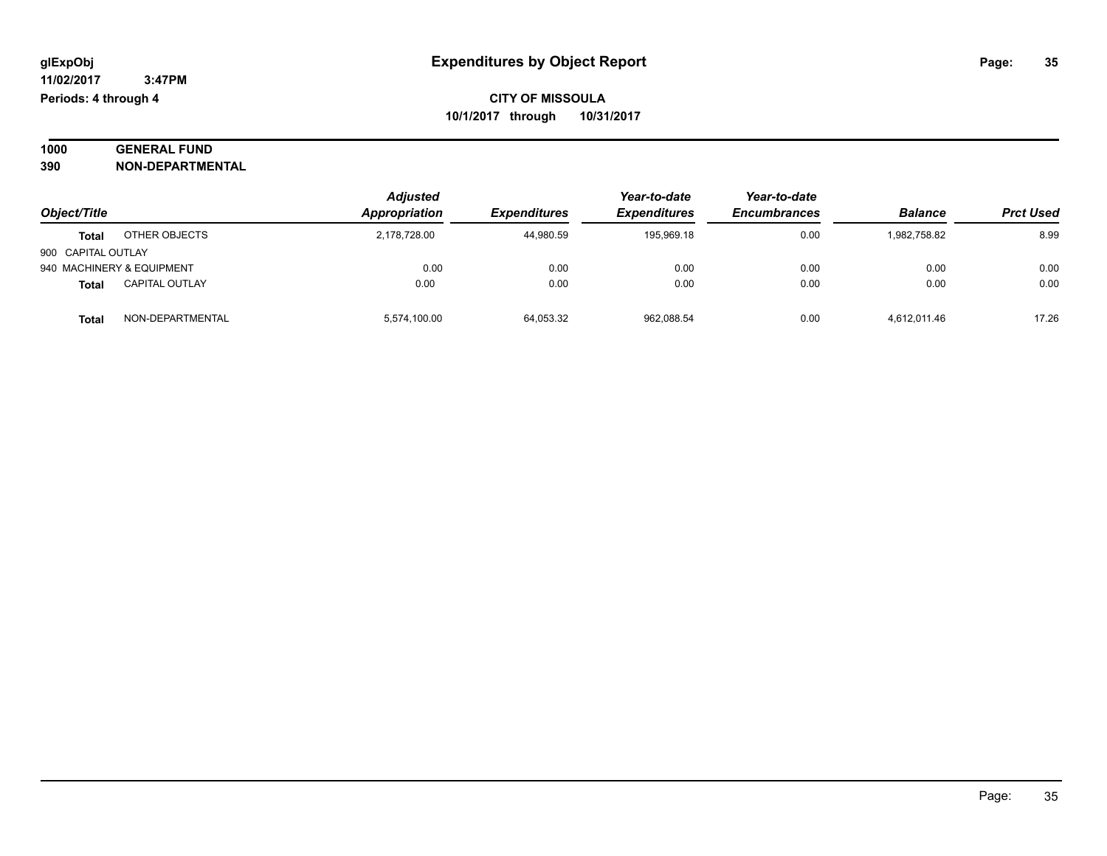| 1000 | <b>GENERAL FUND</b>     |
|------|-------------------------|
| 390  | <b>NON-DEPARTMENTAL</b> |

| Object/Title              |                       | <b>Adjusted</b><br>Appropriation | <b>Expenditures</b> | Year-to-date<br><b>Expenditures</b> | Year-to-date<br><b>Encumbrances</b> | <b>Balance</b> | <b>Prct Used</b> |
|---------------------------|-----------------------|----------------------------------|---------------------|-------------------------------------|-------------------------------------|----------------|------------------|
| <b>Total</b>              | OTHER OBJECTS         | 2.178.728.00                     | 44,980.59           | 195.969.18                          | 0.00                                | 1.982.758.82   | 8.99             |
| 900 CAPITAL OUTLAY        |                       |                                  |                     |                                     |                                     |                |                  |
| 940 MACHINERY & EQUIPMENT |                       | 0.00                             | 0.00                | 0.00                                | 0.00                                | 0.00           | 0.00             |
| <b>Total</b>              | <b>CAPITAL OUTLAY</b> | 0.00                             | 0.00                | 0.00                                | 0.00                                | 0.00           | 0.00             |
| <b>Total</b>              | NON-DEPARTMENTAL      | 5,574,100.00                     | 64,053.32           | 962,088.54                          | 0.00                                | 4,612,011.46   | 17.26            |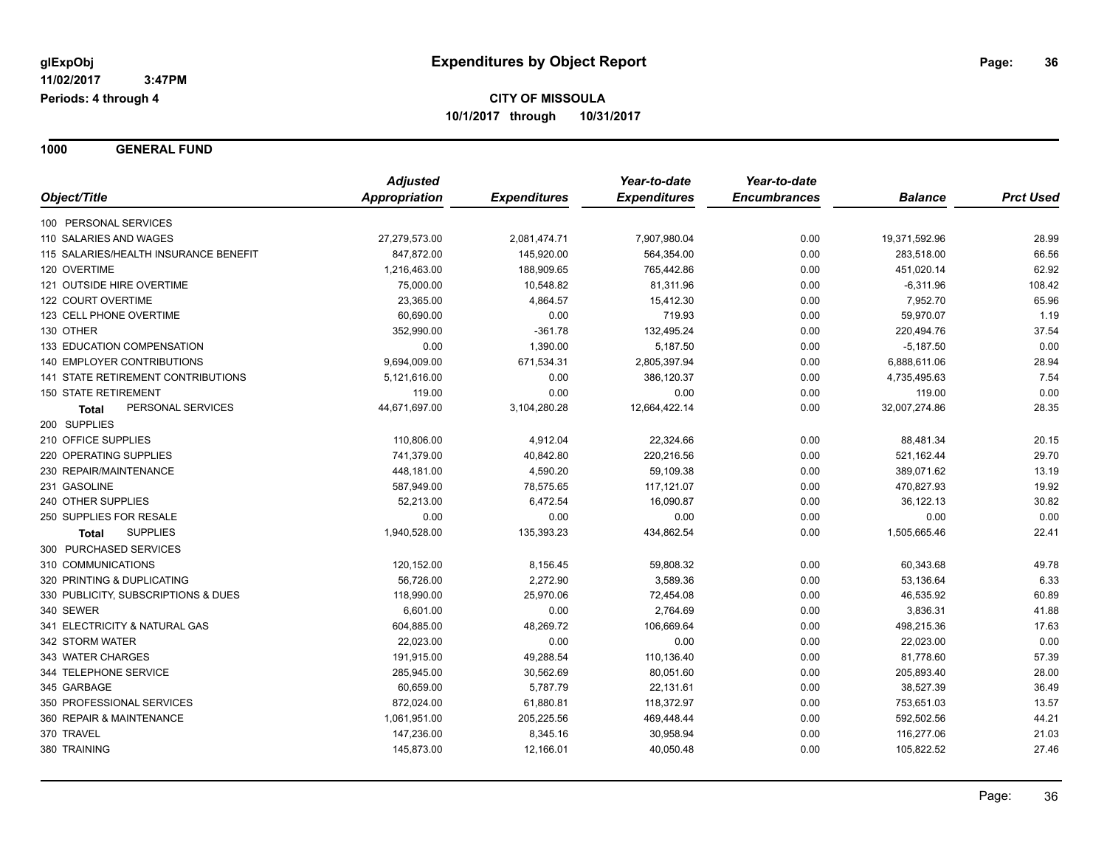**1000 GENERAL FUND**

|                                           | <b>Adjusted</b>      | <b>Expenditures</b> | Year-to-date<br><b>Expenditures</b> | Year-to-date<br><b>Encumbrances</b> | <b>Balance</b> | <b>Prct Used</b> |
|-------------------------------------------|----------------------|---------------------|-------------------------------------|-------------------------------------|----------------|------------------|
| Object/Title                              | <b>Appropriation</b> |                     |                                     |                                     |                |                  |
| 100 PERSONAL SERVICES                     |                      |                     |                                     |                                     |                |                  |
| 110 SALARIES AND WAGES                    | 27,279,573.00        | 2,081,474.71        | 7,907,980.04                        | 0.00                                | 19,371,592.96  | 28.99            |
| 115 SALARIES/HEALTH INSURANCE BENEFIT     | 847,872.00           | 145,920.00          | 564,354.00                          | 0.00                                | 283,518.00     | 66.56            |
| 120 OVERTIME                              | 1,216,463.00         | 188,909.65          | 765,442.86                          | 0.00                                | 451,020.14     | 62.92            |
| 121 OUTSIDE HIRE OVERTIME                 | 75,000.00            | 10,548.82           | 81,311.96                           | 0.00                                | $-6,311.96$    | 108.42           |
| 122 COURT OVERTIME                        | 23,365.00            | 4,864.57            | 15,412.30                           | 0.00                                | 7,952.70       | 65.96            |
| 123 CELL PHONE OVERTIME                   | 60,690.00            | 0.00                | 719.93                              | 0.00                                | 59,970.07      | 1.19             |
| 130 OTHER                                 | 352,990.00           | $-361.78$           | 132,495.24                          | 0.00                                | 220,494.76     | 37.54            |
| 133 EDUCATION COMPENSATION                | 0.00                 | 1,390.00            | 5,187.50                            | 0.00                                | $-5,187.50$    | 0.00             |
| 140 EMPLOYER CONTRIBUTIONS                | 9,694,009.00         | 671,534.31          | 2,805,397.94                        | 0.00                                | 6,888,611.06   | 28.94            |
| <b>141 STATE RETIREMENT CONTRIBUTIONS</b> | 5,121,616.00         | 0.00                | 386,120.37                          | 0.00                                | 4,735,495.63   | 7.54             |
| <b>150 STATE RETIREMENT</b>               | 119.00               | 0.00                | 0.00                                | 0.00                                | 119.00         | 0.00             |
| PERSONAL SERVICES<br><b>Total</b>         | 44,671,697.00        | 3,104,280.28        | 12,664,422.14                       | 0.00                                | 32,007,274.86  | 28.35            |
| 200 SUPPLIES                              |                      |                     |                                     |                                     |                |                  |
| 210 OFFICE SUPPLIES                       | 110,806.00           | 4,912.04            | 22,324.66                           | 0.00                                | 88,481.34      | 20.15            |
| 220 OPERATING SUPPLIES                    | 741,379.00           | 40,842.80           | 220,216.56                          | 0.00                                | 521,162.44     | 29.70            |
| 230 REPAIR/MAINTENANCE                    | 448,181.00           | 4,590.20            | 59,109.38                           | 0.00                                | 389,071.62     | 13.19            |
| 231 GASOLINE                              | 587,949.00           | 78,575.65           | 117,121.07                          | 0.00                                | 470,827.93     | 19.92            |
| 240 OTHER SUPPLIES                        | 52,213.00            | 6,472.54            | 16,090.87                           | 0.00                                | 36,122.13      | 30.82            |
| 250 SUPPLIES FOR RESALE                   | 0.00                 | 0.00                | 0.00                                | 0.00                                | 0.00           | 0.00             |
| <b>SUPPLIES</b><br>Total                  | 1,940,528.00         | 135,393.23          | 434,862.54                          | 0.00                                | 1,505,665.46   | 22.41            |
| 300 PURCHASED SERVICES                    |                      |                     |                                     |                                     |                |                  |
| 310 COMMUNICATIONS                        | 120,152.00           | 8,156.45            | 59,808.32                           | 0.00                                | 60,343.68      | 49.78            |
| 320 PRINTING & DUPLICATING                | 56,726.00            | 2,272.90            | 3,589.36                            | 0.00                                | 53,136.64      | 6.33             |
| 330 PUBLICITY, SUBSCRIPTIONS & DUES       | 118,990.00           | 25,970.06           | 72,454.08                           | 0.00                                | 46,535.92      | 60.89            |
| 340 SEWER                                 | 6,601.00             | 0.00                | 2,764.69                            | 0.00                                | 3,836.31       | 41.88            |
| 341 ELECTRICITY & NATURAL GAS             | 604,885.00           | 48,269.72           | 106,669.64                          | 0.00                                | 498,215.36     | 17.63            |
| 342 STORM WATER                           | 22,023.00            | 0.00                | 0.00                                | 0.00                                | 22,023.00      | 0.00             |
| 343 WATER CHARGES                         | 191,915.00           | 49,288.54           | 110,136.40                          | 0.00                                | 81,778.60      | 57.39            |
| 344 TELEPHONE SERVICE                     | 285,945.00           | 30,562.69           | 80,051.60                           | 0.00                                | 205,893.40     | 28.00            |
| 345 GARBAGE                               | 60,659.00            | 5,787.79            | 22,131.61                           | 0.00                                | 38,527.39      | 36.49            |
| 350 PROFESSIONAL SERVICES                 | 872,024.00           | 61,880.81           | 118,372.97                          | 0.00                                | 753,651.03     | 13.57            |
| 360 REPAIR & MAINTENANCE                  | 1,061,951.00         | 205,225.56          | 469,448.44                          | 0.00                                | 592,502.56     | 44.21            |
| 370 TRAVEL                                | 147,236.00           | 8,345.16            | 30,958.94                           | 0.00                                | 116,277.06     | 21.03            |
| 380 TRAINING                              | 145,873.00           | 12,166.01           | 40,050.48                           | 0.00                                | 105,822.52     | 27.46            |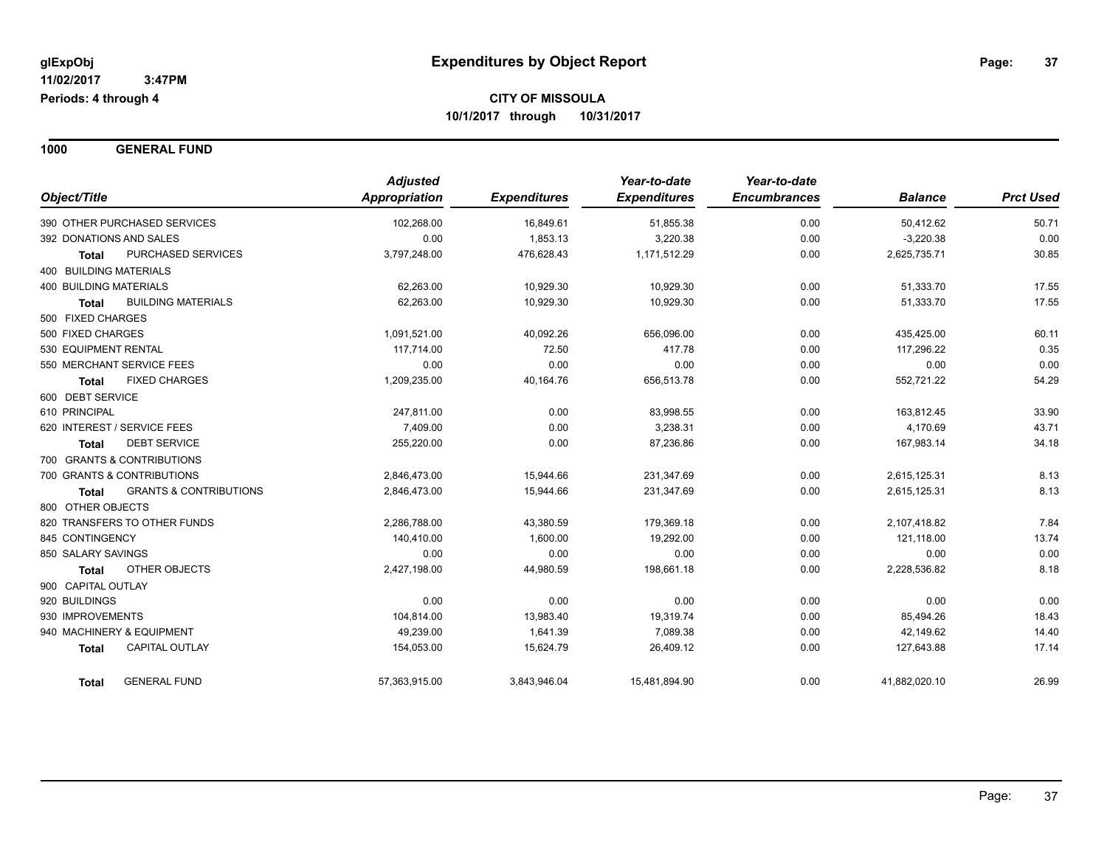**1000 GENERAL FUND**

| Object/Title                                      | <b>Adjusted</b><br>Appropriation | <b>Expenditures</b> | Year-to-date<br><b>Expenditures</b> | Year-to-date<br><b>Encumbrances</b> | <b>Balance</b> | <b>Prct Used</b> |
|---------------------------------------------------|----------------------------------|---------------------|-------------------------------------|-------------------------------------|----------------|------------------|
|                                                   |                                  |                     |                                     |                                     |                |                  |
| 390 OTHER PURCHASED SERVICES                      | 102,268.00                       | 16,849.61           | 51,855.38                           | 0.00                                | 50,412.62      | 50.71            |
| 392 DONATIONS AND SALES                           | 0.00                             | 1,853.13            | 3,220.38                            | 0.00                                | $-3,220.38$    | 0.00             |
| PURCHASED SERVICES<br><b>Total</b>                | 3,797,248.00                     | 476,628.43          | 1,171,512.29                        | 0.00                                | 2,625,735.71   | 30.85            |
| 400 BUILDING MATERIALS                            |                                  |                     |                                     |                                     |                |                  |
| <b>400 BUILDING MATERIALS</b>                     | 62,263.00                        | 10,929.30           | 10,929.30                           | 0.00                                | 51,333.70      | 17.55            |
| <b>BUILDING MATERIALS</b><br><b>Total</b>         | 62,263.00                        | 10,929.30           | 10,929.30                           | 0.00                                | 51,333.70      | 17.55            |
| 500 FIXED CHARGES                                 |                                  |                     |                                     |                                     |                |                  |
| 500 FIXED CHARGES                                 | 1,091,521.00                     | 40,092.26           | 656,096.00                          | 0.00                                | 435,425.00     | 60.11            |
| 530 EQUIPMENT RENTAL                              | 117,714.00                       | 72.50               | 417.78                              | 0.00                                | 117,296.22     | 0.35             |
| 550 MERCHANT SERVICE FEES                         | 0.00                             | 0.00                | 0.00                                | 0.00                                | 0.00           | 0.00             |
| <b>FIXED CHARGES</b><br>Total                     | 1,209,235.00                     | 40,164.76           | 656,513.78                          | 0.00                                | 552,721.22     | 54.29            |
| 600 DEBT SERVICE                                  |                                  |                     |                                     |                                     |                |                  |
| 610 PRINCIPAL                                     | 247,811.00                       | 0.00                | 83,998.55                           | 0.00                                | 163,812.45     | 33.90            |
| 620 INTEREST / SERVICE FEES                       | 7,409.00                         | 0.00                | 3,238.31                            | 0.00                                | 4,170.69       | 43.71            |
| <b>DEBT SERVICE</b><br>Total                      | 255,220.00                       | 0.00                | 87,236.86                           | 0.00                                | 167,983.14     | 34.18            |
| 700 GRANTS & CONTRIBUTIONS                        |                                  |                     |                                     |                                     |                |                  |
| 700 GRANTS & CONTRIBUTIONS                        | 2,846,473.00                     | 15,944.66           | 231,347.69                          | 0.00                                | 2,615,125.31   | 8.13             |
| <b>GRANTS &amp; CONTRIBUTIONS</b><br><b>Total</b> | 2,846,473.00                     | 15,944.66           | 231,347.69                          | 0.00                                | 2,615,125.31   | 8.13             |
| 800 OTHER OBJECTS                                 |                                  |                     |                                     |                                     |                |                  |
| 820 TRANSFERS TO OTHER FUNDS                      | 2,286,788.00                     | 43,380.59           | 179,369.18                          | 0.00                                | 2,107,418.82   | 7.84             |
| 845 CONTINGENCY                                   | 140,410.00                       | 1,600.00            | 19,292.00                           | 0.00                                | 121,118.00     | 13.74            |
| 850 SALARY SAVINGS                                | 0.00                             | 0.00                | 0.00                                | 0.00                                | 0.00           | 0.00             |
| OTHER OBJECTS<br><b>Total</b>                     | 2,427,198.00                     | 44,980.59           | 198,661.18                          | 0.00                                | 2,228,536.82   | 8.18             |
| 900 CAPITAL OUTLAY                                |                                  |                     |                                     |                                     |                |                  |
| 920 BUILDINGS                                     | 0.00                             | 0.00                | 0.00                                | 0.00                                | 0.00           | 0.00             |
| 930 IMPROVEMENTS                                  | 104,814.00                       | 13,983.40           | 19,319.74                           | 0.00                                | 85,494.26      | 18.43            |
| 940 MACHINERY & EQUIPMENT                         | 49,239.00                        | 1,641.39            | 7,089.38                            | 0.00                                | 42,149.62      | 14.40            |
| CAPITAL OUTLAY                                    | 154,053.00                       | 15,624.79           | 26,409.12                           | 0.00                                | 127,643.88     | 17.14            |
| <b>Total</b>                                      |                                  |                     |                                     |                                     |                |                  |
| <b>GENERAL FUND</b><br><b>Total</b>               | 57,363,915.00                    | 3,843,946.04        | 15,481,894.90                       | 0.00                                | 41,882,020.10  | 26.99            |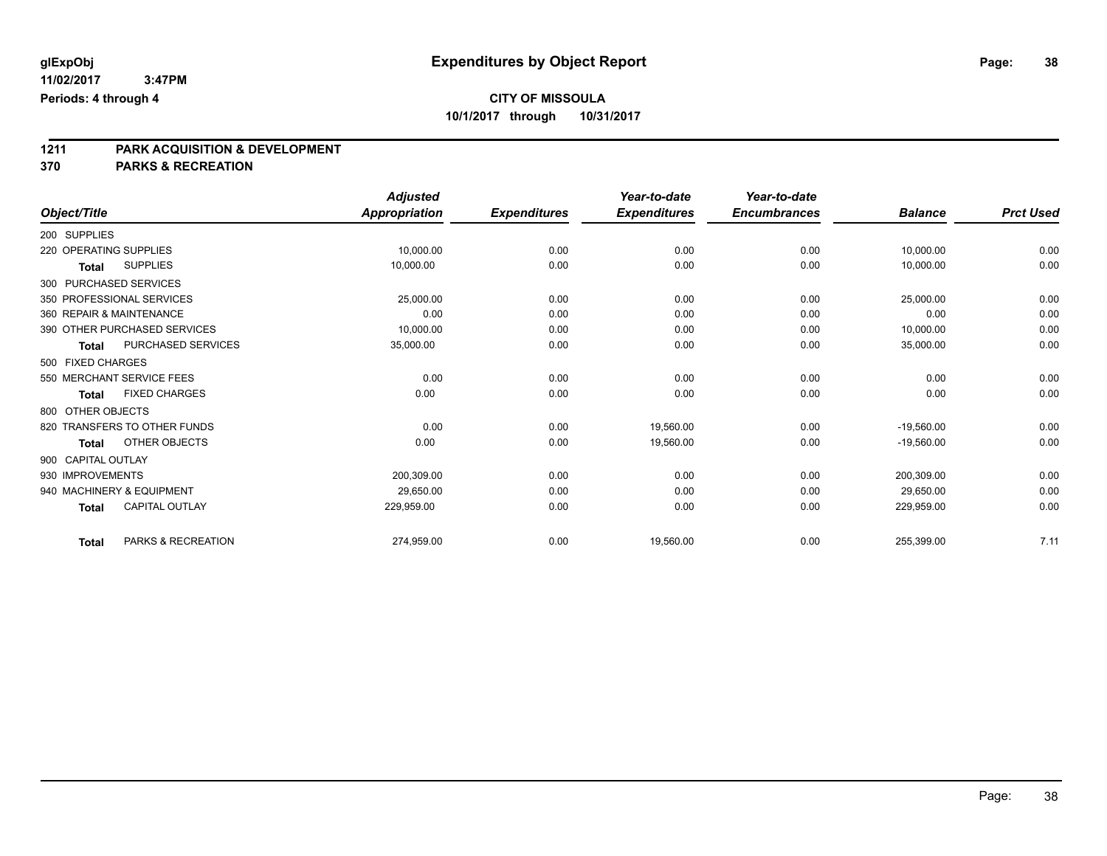# **1211 PARK ACQUISITION & DEVELOPMENT**

#### **370 PARKS & RECREATION**

|                              |                              | <b>Adjusted</b> |                     | Year-to-date        | Year-to-date        |                |                  |
|------------------------------|------------------------------|-----------------|---------------------|---------------------|---------------------|----------------|------------------|
| Object/Title                 |                              | Appropriation   | <b>Expenditures</b> | <b>Expenditures</b> | <b>Encumbrances</b> | <b>Balance</b> | <b>Prct Used</b> |
| 200 SUPPLIES                 |                              |                 |                     |                     |                     |                |                  |
| 220 OPERATING SUPPLIES       |                              | 10,000.00       | 0.00                | 0.00                | 0.00                | 10,000.00      | 0.00             |
| <b>Total</b>                 | <b>SUPPLIES</b>              | 10,000.00       | 0.00                | 0.00                | 0.00                | 10,000.00      | 0.00             |
| 300 PURCHASED SERVICES       |                              |                 |                     |                     |                     |                |                  |
| 350 PROFESSIONAL SERVICES    |                              | 25,000.00       | 0.00                | 0.00                | 0.00                | 25,000.00      | 0.00             |
| 360 REPAIR & MAINTENANCE     |                              | 0.00            | 0.00                | 0.00                | 0.00                | 0.00           | 0.00             |
|                              | 390 OTHER PURCHASED SERVICES | 10,000.00       | 0.00                | 0.00                | 0.00                | 10,000.00      | 0.00             |
| <b>Total</b>                 | PURCHASED SERVICES           | 35,000.00       | 0.00                | 0.00                | 0.00                | 35,000.00      | 0.00             |
| 500 FIXED CHARGES            |                              |                 |                     |                     |                     |                |                  |
| 550 MERCHANT SERVICE FEES    |                              | 0.00            | 0.00                | 0.00                | 0.00                | 0.00           | 0.00             |
| <b>Total</b>                 | <b>FIXED CHARGES</b>         | 0.00            | 0.00                | 0.00                | 0.00                | 0.00           | 0.00             |
| 800 OTHER OBJECTS            |                              |                 |                     |                     |                     |                |                  |
| 820 TRANSFERS TO OTHER FUNDS |                              | 0.00            | 0.00                | 19,560.00           | 0.00                | $-19,560.00$   | 0.00             |
| <b>Total</b>                 | OTHER OBJECTS                | 0.00            | 0.00                | 19,560.00           | 0.00                | $-19,560.00$   | 0.00             |
| 900 CAPITAL OUTLAY           |                              |                 |                     |                     |                     |                |                  |
| 930 IMPROVEMENTS             |                              | 200,309.00      | 0.00                | 0.00                | 0.00                | 200,309.00     | 0.00             |
| 940 MACHINERY & EQUIPMENT    |                              | 29,650.00       | 0.00                | 0.00                | 0.00                | 29,650.00      | 0.00             |
| <b>Total</b>                 | <b>CAPITAL OUTLAY</b>        | 229,959.00      | 0.00                | 0.00                | 0.00                | 229,959.00     | 0.00             |
| <b>Total</b>                 | PARKS & RECREATION           | 274,959.00      | 0.00                | 19,560.00           | 0.00                | 255,399.00     | 7.11             |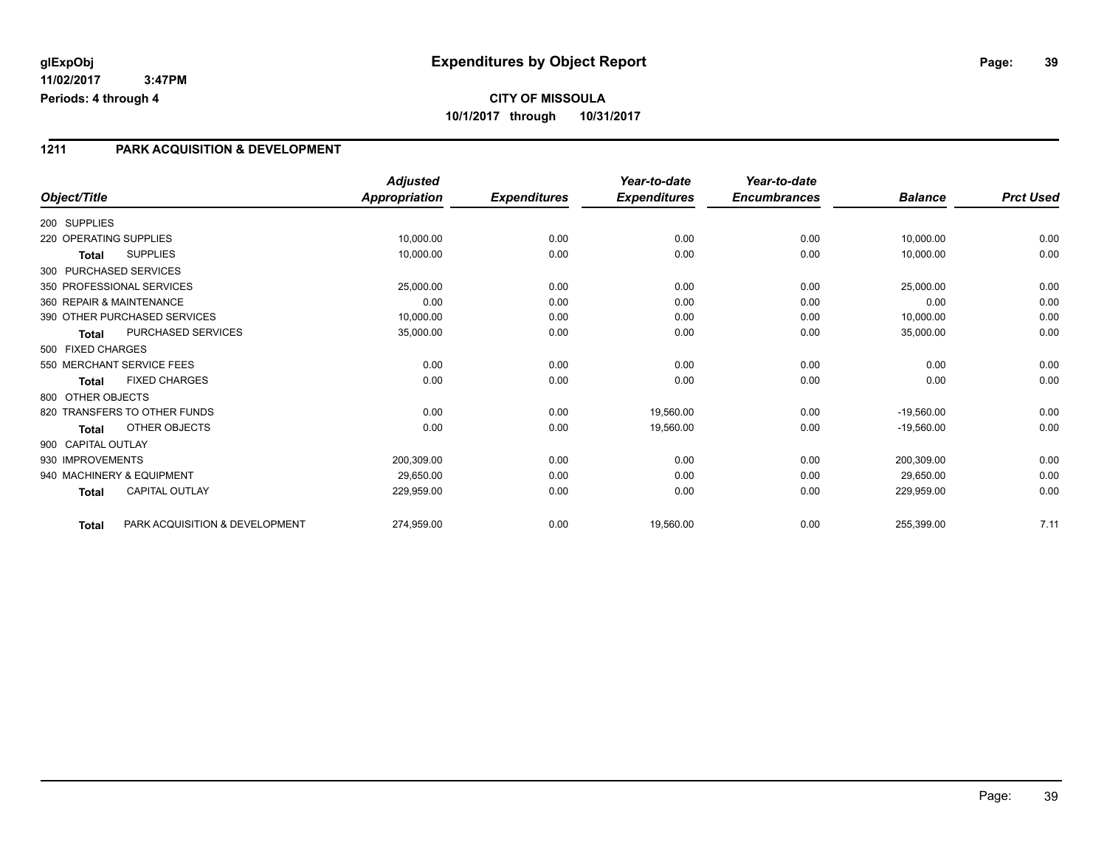#### **1211 PARK ACQUISITION & DEVELOPMENT**

|                          |                                | <b>Adjusted</b>      |                     | Year-to-date        | Year-to-date        |                |                  |
|--------------------------|--------------------------------|----------------------|---------------------|---------------------|---------------------|----------------|------------------|
| Object/Title             |                                | <b>Appropriation</b> | <b>Expenditures</b> | <b>Expenditures</b> | <b>Encumbrances</b> | <b>Balance</b> | <b>Prct Used</b> |
| 200 SUPPLIES             |                                |                      |                     |                     |                     |                |                  |
| 220 OPERATING SUPPLIES   |                                | 10,000.00            | 0.00                | 0.00                | 0.00                | 10,000.00      | 0.00             |
| <b>Total</b>             | <b>SUPPLIES</b>                | 10,000.00            | 0.00                | 0.00                | 0.00                | 10,000.00      | 0.00             |
| 300 PURCHASED SERVICES   |                                |                      |                     |                     |                     |                |                  |
|                          | 350 PROFESSIONAL SERVICES      | 25,000.00            | 0.00                | 0.00                | 0.00                | 25,000.00      | 0.00             |
| 360 REPAIR & MAINTENANCE |                                | 0.00                 | 0.00                | 0.00                | 0.00                | 0.00           | 0.00             |
|                          | 390 OTHER PURCHASED SERVICES   | 10,000.00            | 0.00                | 0.00                | 0.00                | 10,000.00      | 0.00             |
| <b>Total</b>             | PURCHASED SERVICES             | 35,000.00            | 0.00                | 0.00                | 0.00                | 35,000.00      | 0.00             |
| 500 FIXED CHARGES        |                                |                      |                     |                     |                     |                |                  |
|                          | 550 MERCHANT SERVICE FEES      | 0.00                 | 0.00                | 0.00                | 0.00                | 0.00           | 0.00             |
| <b>Total</b>             | <b>FIXED CHARGES</b>           | 0.00                 | 0.00                | 0.00                | 0.00                | 0.00           | 0.00             |
| 800 OTHER OBJECTS        |                                |                      |                     |                     |                     |                |                  |
|                          | 820 TRANSFERS TO OTHER FUNDS   | 0.00                 | 0.00                | 19,560.00           | 0.00                | $-19,560.00$   | 0.00             |
| <b>Total</b>             | <b>OTHER OBJECTS</b>           | 0.00                 | 0.00                | 19,560.00           | 0.00                | $-19,560.00$   | 0.00             |
| 900 CAPITAL OUTLAY       |                                |                      |                     |                     |                     |                |                  |
| 930 IMPROVEMENTS         |                                | 200,309.00           | 0.00                | 0.00                | 0.00                | 200,309.00     | 0.00             |
|                          | 940 MACHINERY & EQUIPMENT      | 29,650.00            | 0.00                | 0.00                | 0.00                | 29,650.00      | 0.00             |
| <b>Total</b>             | <b>CAPITAL OUTLAY</b>          | 229,959.00           | 0.00                | 0.00                | 0.00                | 229,959.00     | 0.00             |
| <b>Total</b>             | PARK ACQUISITION & DEVELOPMENT | 274,959.00           | 0.00                | 19,560.00           | 0.00                | 255,399.00     | 7.11             |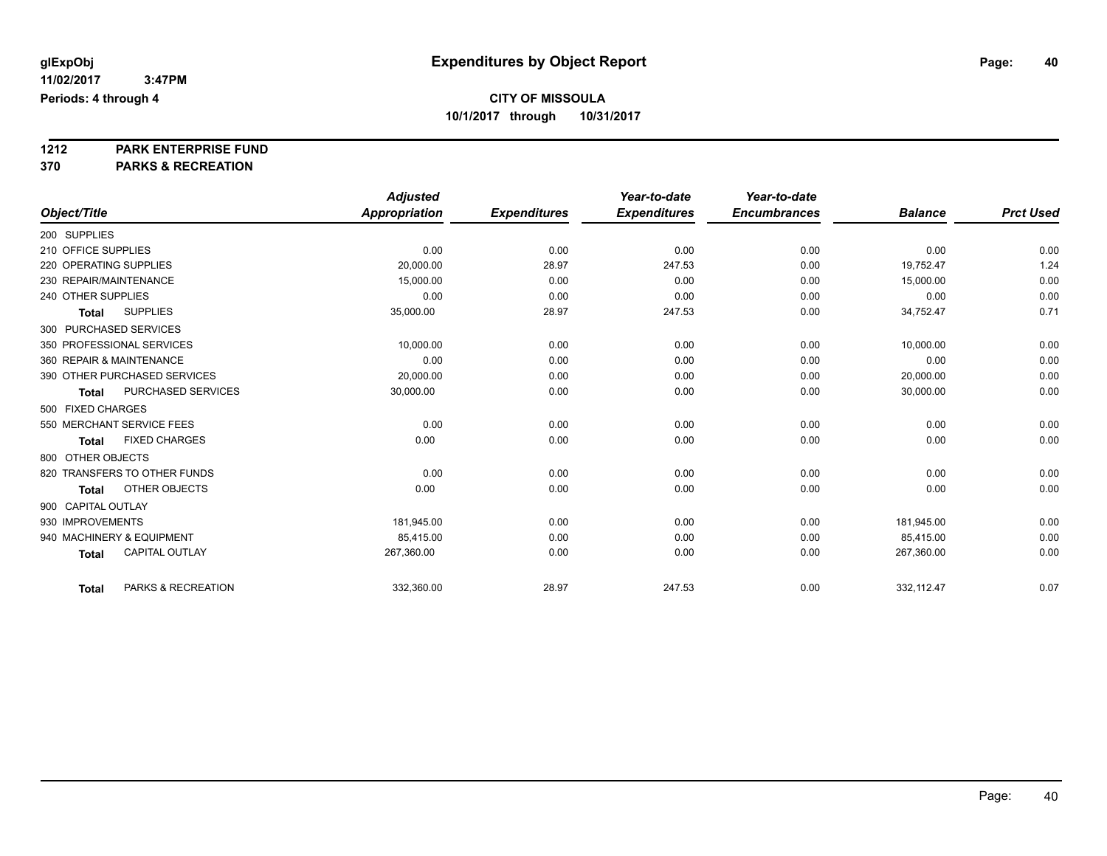**1212 PARK ENTERPRISE FUND**

**370 PARKS & RECREATION**

|                          |                              | <b>Adjusted</b> |                     | Year-to-date        | Year-to-date        |                |                  |
|--------------------------|------------------------------|-----------------|---------------------|---------------------|---------------------|----------------|------------------|
| Object/Title             |                              | Appropriation   | <b>Expenditures</b> | <b>Expenditures</b> | <b>Encumbrances</b> | <b>Balance</b> | <b>Prct Used</b> |
| 200 SUPPLIES             |                              |                 |                     |                     |                     |                |                  |
| 210 OFFICE SUPPLIES      |                              | 0.00            | 0.00                | 0.00                | 0.00                | 0.00           | 0.00             |
| 220 OPERATING SUPPLIES   |                              | 20,000.00       | 28.97               | 247.53              | 0.00                | 19,752.47      | 1.24             |
| 230 REPAIR/MAINTENANCE   |                              | 15.000.00       | 0.00                | 0.00                | 0.00                | 15,000.00      | 0.00             |
| 240 OTHER SUPPLIES       |                              | 0.00            | 0.00                | 0.00                | 0.00                | 0.00           | 0.00             |
| <b>Total</b>             | <b>SUPPLIES</b>              | 35,000.00       | 28.97               | 247.53              | 0.00                | 34,752.47      | 0.71             |
| 300 PURCHASED SERVICES   |                              |                 |                     |                     |                     |                |                  |
|                          | 350 PROFESSIONAL SERVICES    | 10,000.00       | 0.00                | 0.00                | 0.00                | 10,000.00      | 0.00             |
| 360 REPAIR & MAINTENANCE |                              | 0.00            | 0.00                | 0.00                | 0.00                | 0.00           | 0.00             |
|                          | 390 OTHER PURCHASED SERVICES | 20,000.00       | 0.00                | 0.00                | 0.00                | 20,000.00      | 0.00             |
| <b>Total</b>             | PURCHASED SERVICES           | 30,000.00       | 0.00                | 0.00                | 0.00                | 30,000.00      | 0.00             |
| 500 FIXED CHARGES        |                              |                 |                     |                     |                     |                |                  |
|                          | 550 MERCHANT SERVICE FEES    | 0.00            | 0.00                | 0.00                | 0.00                | 0.00           | 0.00             |
| <b>Total</b>             | <b>FIXED CHARGES</b>         | 0.00            | 0.00                | 0.00                | 0.00                | 0.00           | 0.00             |
| 800 OTHER OBJECTS        |                              |                 |                     |                     |                     |                |                  |
|                          | 820 TRANSFERS TO OTHER FUNDS | 0.00            | 0.00                | 0.00                | 0.00                | 0.00           | 0.00             |
| <b>Total</b>             | OTHER OBJECTS                | 0.00            | 0.00                | 0.00                | 0.00                | 0.00           | 0.00             |
| 900 CAPITAL OUTLAY       |                              |                 |                     |                     |                     |                |                  |
| 930 IMPROVEMENTS         |                              | 181,945.00      | 0.00                | 0.00                | 0.00                | 181,945.00     | 0.00             |
|                          | 940 MACHINERY & EQUIPMENT    | 85,415.00       | 0.00                | 0.00                | 0.00                | 85,415.00      | 0.00             |
| <b>Total</b>             | <b>CAPITAL OUTLAY</b>        | 267,360.00      | 0.00                | 0.00                | 0.00                | 267,360.00     | 0.00             |
| <b>Total</b>             | PARKS & RECREATION           | 332,360.00      | 28.97               | 247.53              | 0.00                | 332,112.47     | 0.07             |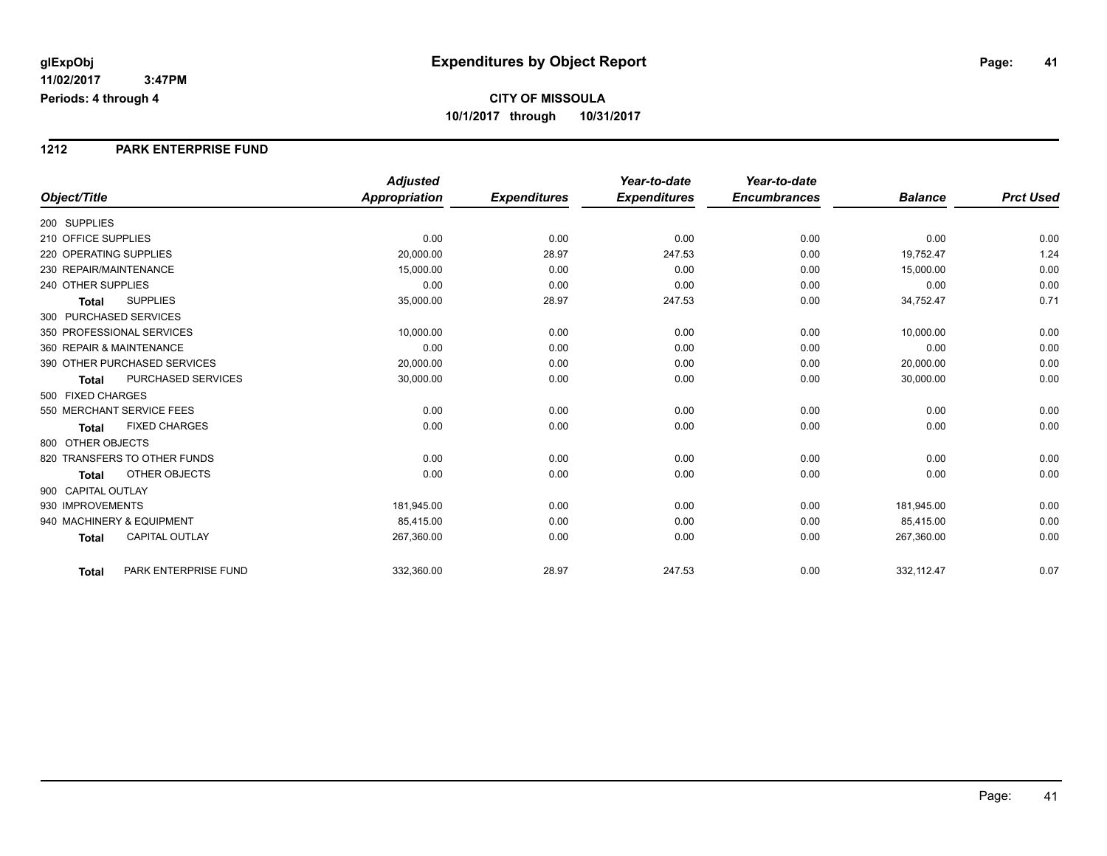#### **1212 PARK ENTERPRISE FUND**

|                                           | <b>Adjusted</b>      |                     | Year-to-date        | Year-to-date        |                |                  |
|-------------------------------------------|----------------------|---------------------|---------------------|---------------------|----------------|------------------|
| Object/Title                              | <b>Appropriation</b> | <b>Expenditures</b> | <b>Expenditures</b> | <b>Encumbrances</b> | <b>Balance</b> | <b>Prct Used</b> |
| 200 SUPPLIES                              |                      |                     |                     |                     |                |                  |
| 210 OFFICE SUPPLIES                       | 0.00                 | 0.00                | 0.00                | 0.00                | 0.00           | 0.00             |
| 220 OPERATING SUPPLIES                    | 20,000.00            | 28.97               | 247.53              | 0.00                | 19,752.47      | 1.24             |
| 230 REPAIR/MAINTENANCE                    | 15,000.00            | 0.00                | 0.00                | 0.00                | 15,000.00      | 0.00             |
| 240 OTHER SUPPLIES                        | 0.00                 | 0.00                | 0.00                | 0.00                | 0.00           | 0.00             |
| <b>SUPPLIES</b><br><b>Total</b>           | 35,000.00            | 28.97               | 247.53              | 0.00                | 34,752.47      | 0.71             |
| 300 PURCHASED SERVICES                    |                      |                     |                     |                     |                |                  |
| 350 PROFESSIONAL SERVICES                 | 10.000.00            | 0.00                | 0.00                | 0.00                | 10,000.00      | 0.00             |
| 360 REPAIR & MAINTENANCE                  | 0.00                 | 0.00                | 0.00                | 0.00                | 0.00           | 0.00             |
| 390 OTHER PURCHASED SERVICES              | 20,000.00            | 0.00                | 0.00                | 0.00                | 20,000.00      | 0.00             |
| <b>PURCHASED SERVICES</b><br><b>Total</b> | 30,000.00            | 0.00                | 0.00                | 0.00                | 30,000.00      | 0.00             |
| 500 FIXED CHARGES                         |                      |                     |                     |                     |                |                  |
| 550 MERCHANT SERVICE FEES                 | 0.00                 | 0.00                | 0.00                | 0.00                | 0.00           | 0.00             |
| <b>FIXED CHARGES</b><br><b>Total</b>      | 0.00                 | 0.00                | 0.00                | 0.00                | 0.00           | 0.00             |
| 800 OTHER OBJECTS                         |                      |                     |                     |                     |                |                  |
| 820 TRANSFERS TO OTHER FUNDS              | 0.00                 | 0.00                | 0.00                | 0.00                | 0.00           | 0.00             |
| OTHER OBJECTS<br><b>Total</b>             | 0.00                 | 0.00                | 0.00                | 0.00                | 0.00           | 0.00             |
| 900 CAPITAL OUTLAY                        |                      |                     |                     |                     |                |                  |
| 930 IMPROVEMENTS                          | 181,945.00           | 0.00                | 0.00                | 0.00                | 181,945.00     | 0.00             |
| 940 MACHINERY & EQUIPMENT                 | 85.415.00            | 0.00                | 0.00                | 0.00                | 85,415.00      | 0.00             |
| <b>CAPITAL OUTLAY</b><br><b>Total</b>     | 267,360.00           | 0.00                | 0.00                | 0.00                | 267,360.00     | 0.00             |
| PARK ENTERPRISE FUND<br><b>Total</b>      | 332,360.00           | 28.97               | 247.53              | 0.00                | 332,112.47     | 0.07             |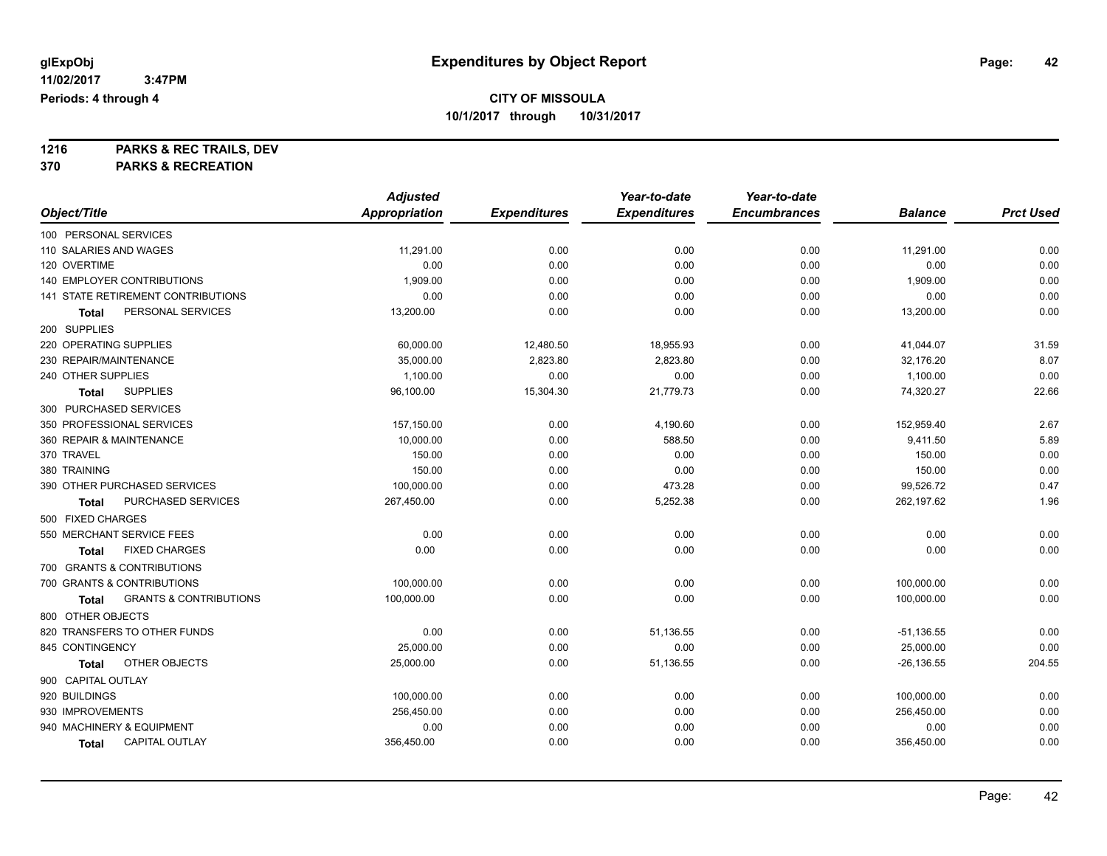**1216 PARKS & REC TRAILS, DEV 370 PARKS & RECREATION**

|                                            | <b>Adjusted</b>      |                     | Year-to-date        | Year-to-date        |                |                  |
|--------------------------------------------|----------------------|---------------------|---------------------|---------------------|----------------|------------------|
| Object/Title                               | <b>Appropriation</b> | <b>Expenditures</b> | <b>Expenditures</b> | <b>Encumbrances</b> | <b>Balance</b> | <b>Prct Used</b> |
| 100 PERSONAL SERVICES                      |                      |                     |                     |                     |                |                  |
| 110 SALARIES AND WAGES                     | 11,291.00            | 0.00                | 0.00                | 0.00                | 11,291.00      | 0.00             |
| 120 OVERTIME                               | 0.00                 | 0.00                | 0.00                | 0.00                | 0.00           | 0.00             |
| 140 EMPLOYER CONTRIBUTIONS                 | 1,909.00             | 0.00                | 0.00                | 0.00                | 1,909.00       | 0.00             |
| <b>141 STATE RETIREMENT CONTRIBUTIONS</b>  | 0.00                 | 0.00                | 0.00                | 0.00                | 0.00           | 0.00             |
| PERSONAL SERVICES<br>Total                 | 13,200.00            | 0.00                | 0.00                | 0.00                | 13,200.00      | 0.00             |
| 200 SUPPLIES                               |                      |                     |                     |                     |                |                  |
| 220 OPERATING SUPPLIES                     | 60,000.00            | 12,480.50           | 18,955.93           | 0.00                | 41,044.07      | 31.59            |
| 230 REPAIR/MAINTENANCE                     | 35.000.00            | 2,823.80            | 2,823.80            | 0.00                | 32,176.20      | 8.07             |
| 240 OTHER SUPPLIES                         | 1,100.00             | 0.00                | 0.00                | 0.00                | 1,100.00       | 0.00             |
| <b>SUPPLIES</b><br>Total                   | 96,100.00            | 15,304.30           | 21,779.73           | 0.00                | 74,320.27      | 22.66            |
| 300 PURCHASED SERVICES                     |                      |                     |                     |                     |                |                  |
| 350 PROFESSIONAL SERVICES                  | 157,150.00           | 0.00                | 4,190.60            | 0.00                | 152,959.40     | 2.67             |
| 360 REPAIR & MAINTENANCE                   | 10,000.00            | 0.00                | 588.50              | 0.00                | 9,411.50       | 5.89             |
| 370 TRAVEL                                 | 150.00               | 0.00                | 0.00                | 0.00                | 150.00         | 0.00             |
| 380 TRAINING                               | 150.00               | 0.00                | 0.00                | 0.00                | 150.00         | 0.00             |
| 390 OTHER PURCHASED SERVICES               | 100,000.00           | 0.00                | 473.28              | 0.00                | 99,526.72      | 0.47             |
| PURCHASED SERVICES<br>Total                | 267,450.00           | 0.00                | 5,252.38            | 0.00                | 262,197.62     | 1.96             |
| 500 FIXED CHARGES                          |                      |                     |                     |                     |                |                  |
| 550 MERCHANT SERVICE FEES                  | 0.00                 | 0.00                | 0.00                | 0.00                | 0.00           | 0.00             |
| <b>FIXED CHARGES</b><br>Total              | 0.00                 | 0.00                | 0.00                | 0.00                | 0.00           | 0.00             |
| 700 GRANTS & CONTRIBUTIONS                 |                      |                     |                     |                     |                |                  |
| 700 GRANTS & CONTRIBUTIONS                 | 100,000.00           | 0.00                | 0.00                | 0.00                | 100,000.00     | 0.00             |
| <b>GRANTS &amp; CONTRIBUTIONS</b><br>Total | 100,000.00           | 0.00                | 0.00                | 0.00                | 100,000.00     | 0.00             |
| 800 OTHER OBJECTS                          |                      |                     |                     |                     |                |                  |
| 820 TRANSFERS TO OTHER FUNDS               | 0.00                 | 0.00                | 51,136.55           | 0.00                | $-51,136.55$   | 0.00             |
| 845 CONTINGENCY                            | 25,000.00            | 0.00                | 0.00                | 0.00                | 25,000.00      | 0.00             |
| OTHER OBJECTS<br>Total                     | 25,000.00            | 0.00                | 51,136.55           | 0.00                | $-26, 136.55$  | 204.55           |
| 900 CAPITAL OUTLAY                         |                      |                     |                     |                     |                |                  |
| 920 BUILDINGS                              | 100,000.00           | 0.00                | 0.00                | 0.00                | 100,000.00     | 0.00             |
| 930 IMPROVEMENTS                           | 256,450.00           | 0.00                | 0.00                | 0.00                | 256,450.00     | 0.00             |
| 940 MACHINERY & EQUIPMENT                  | 0.00                 | 0.00                | 0.00                | 0.00                | 0.00           | 0.00             |
| CAPITAL OUTLAY<br><b>Total</b>             | 356,450.00           | 0.00                | 0.00                | 0.00                | 356,450.00     | 0.00             |
|                                            |                      |                     |                     |                     |                |                  |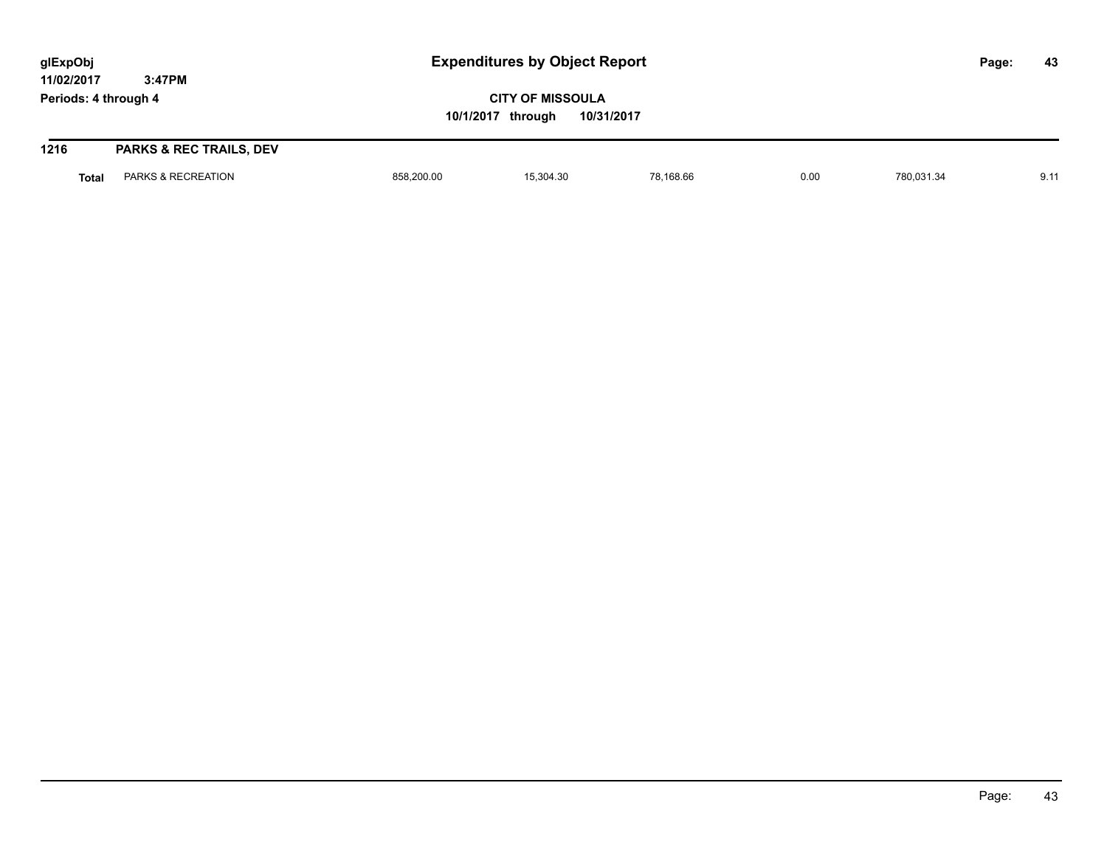| glExpObj<br>11/02/2017 | <b>Expenditures by Object Report</b><br>3:47PM |                                                            |           |           |      |            | Page: | 43   |
|------------------------|------------------------------------------------|------------------------------------------------------------|-----------|-----------|------|------------|-------|------|
| Periods: 4 through 4   |                                                | <b>CITY OF MISSOULA</b><br>10/1/2017 through<br>10/31/2017 |           |           |      |            |       |      |
| 1216                   | <b>PARKS &amp; REC TRAILS, DEV</b>             |                                                            |           |           |      |            |       |      |
| <b>Total</b>           | PARKS & RECREATION                             | 858,200.00                                                 | 15,304.30 | 78.168.66 | 0.00 | 780,031.34 |       | 9.11 |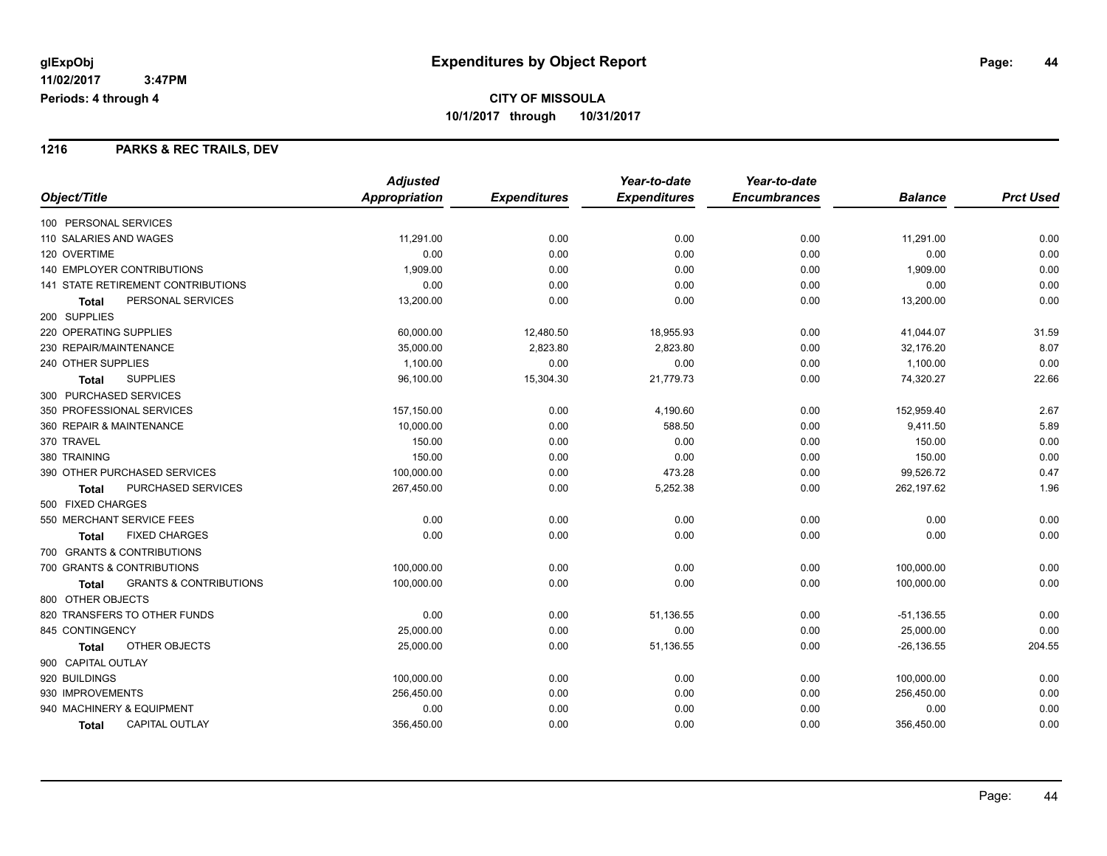### **1216 PARKS & REC TRAILS, DEV**

|                                                   | <b>Adjusted</b> |                     | Year-to-date        | Year-to-date        |                |                  |
|---------------------------------------------------|-----------------|---------------------|---------------------|---------------------|----------------|------------------|
| Object/Title                                      | Appropriation   | <b>Expenditures</b> | <b>Expenditures</b> | <b>Encumbrances</b> | <b>Balance</b> | <b>Prct Used</b> |
| 100 PERSONAL SERVICES                             |                 |                     |                     |                     |                |                  |
| 110 SALARIES AND WAGES                            | 11,291.00       | 0.00                | 0.00                | 0.00                | 11,291.00      | 0.00             |
| 120 OVERTIME                                      | 0.00            | 0.00                | 0.00                | 0.00                | 0.00           | 0.00             |
| <b>140 EMPLOYER CONTRIBUTIONS</b>                 | 1,909.00        | 0.00                | 0.00                | 0.00                | 1,909.00       | 0.00             |
| 141 STATE RETIREMENT CONTRIBUTIONS                | 0.00            | 0.00                | 0.00                | 0.00                | 0.00           | 0.00             |
| PERSONAL SERVICES<br><b>Total</b>                 | 13,200.00       | 0.00                | 0.00                | 0.00                | 13,200.00      | 0.00             |
| 200 SUPPLIES                                      |                 |                     |                     |                     |                |                  |
| 220 OPERATING SUPPLIES                            | 60,000.00       | 12,480.50           | 18,955.93           | 0.00                | 41,044.07      | 31.59            |
| 230 REPAIR/MAINTENANCE                            | 35,000.00       | 2,823.80            | 2,823.80            | 0.00                | 32,176.20      | 8.07             |
| 240 OTHER SUPPLIES                                | 1,100.00        | 0.00                | 0.00                | 0.00                | 1,100.00       | 0.00             |
| <b>SUPPLIES</b><br><b>Total</b>                   | 96,100.00       | 15,304.30           | 21,779.73           | 0.00                | 74,320.27      | 22.66            |
| 300 PURCHASED SERVICES                            |                 |                     |                     |                     |                |                  |
| 350 PROFESSIONAL SERVICES                         | 157,150.00      | 0.00                | 4,190.60            | 0.00                | 152,959.40     | 2.67             |
| 360 REPAIR & MAINTENANCE                          | 10,000.00       | 0.00                | 588.50              | 0.00                | 9,411.50       | 5.89             |
| 370 TRAVEL                                        | 150.00          | 0.00                | 0.00                | 0.00                | 150.00         | 0.00             |
| 380 TRAINING                                      | 150.00          | 0.00                | 0.00                | 0.00                | 150.00         | 0.00             |
| 390 OTHER PURCHASED SERVICES                      | 100,000.00      | 0.00                | 473.28              | 0.00                | 99,526.72      | 0.47             |
| PURCHASED SERVICES<br><b>Total</b>                | 267,450.00      | 0.00                | 5,252.38            | 0.00                | 262,197.62     | 1.96             |
| 500 FIXED CHARGES                                 |                 |                     |                     |                     |                |                  |
| 550 MERCHANT SERVICE FEES                         | 0.00            | 0.00                | 0.00                | 0.00                | 0.00           | 0.00             |
| <b>FIXED CHARGES</b><br><b>Total</b>              | 0.00            | 0.00                | 0.00                | 0.00                | 0.00           | 0.00             |
| 700 GRANTS & CONTRIBUTIONS                        |                 |                     |                     |                     |                |                  |
| 700 GRANTS & CONTRIBUTIONS                        | 100,000.00      | 0.00                | 0.00                | 0.00                | 100,000.00     | 0.00             |
| <b>GRANTS &amp; CONTRIBUTIONS</b><br><b>Total</b> | 100,000.00      | 0.00                | 0.00                | 0.00                | 100,000.00     | 0.00             |
| 800 OTHER OBJECTS                                 |                 |                     |                     |                     |                |                  |
| 820 TRANSFERS TO OTHER FUNDS                      | 0.00            | 0.00                | 51,136.55           | 0.00                | $-51,136.55$   | 0.00             |
| 845 CONTINGENCY                                   | 25,000.00       | 0.00                | 0.00                | 0.00                | 25,000.00      | 0.00             |
| OTHER OBJECTS<br>Total                            | 25,000.00       | 0.00                | 51,136.55           | 0.00                | $-26, 136.55$  | 204.55           |
| 900 CAPITAL OUTLAY                                |                 |                     |                     |                     |                |                  |
| 920 BUILDINGS                                     | 100,000.00      | 0.00                | 0.00                | 0.00                | 100,000.00     | 0.00             |
| 930 IMPROVEMENTS                                  | 256,450.00      | 0.00                | 0.00                | 0.00                | 256,450.00     | 0.00             |
| 940 MACHINERY & EQUIPMENT                         | 0.00            | 0.00                | 0.00                | 0.00                | 0.00           | 0.00             |
| <b>CAPITAL OUTLAY</b><br><b>Total</b>             | 356,450.00      | 0.00                | 0.00                | 0.00                | 356,450.00     | 0.00             |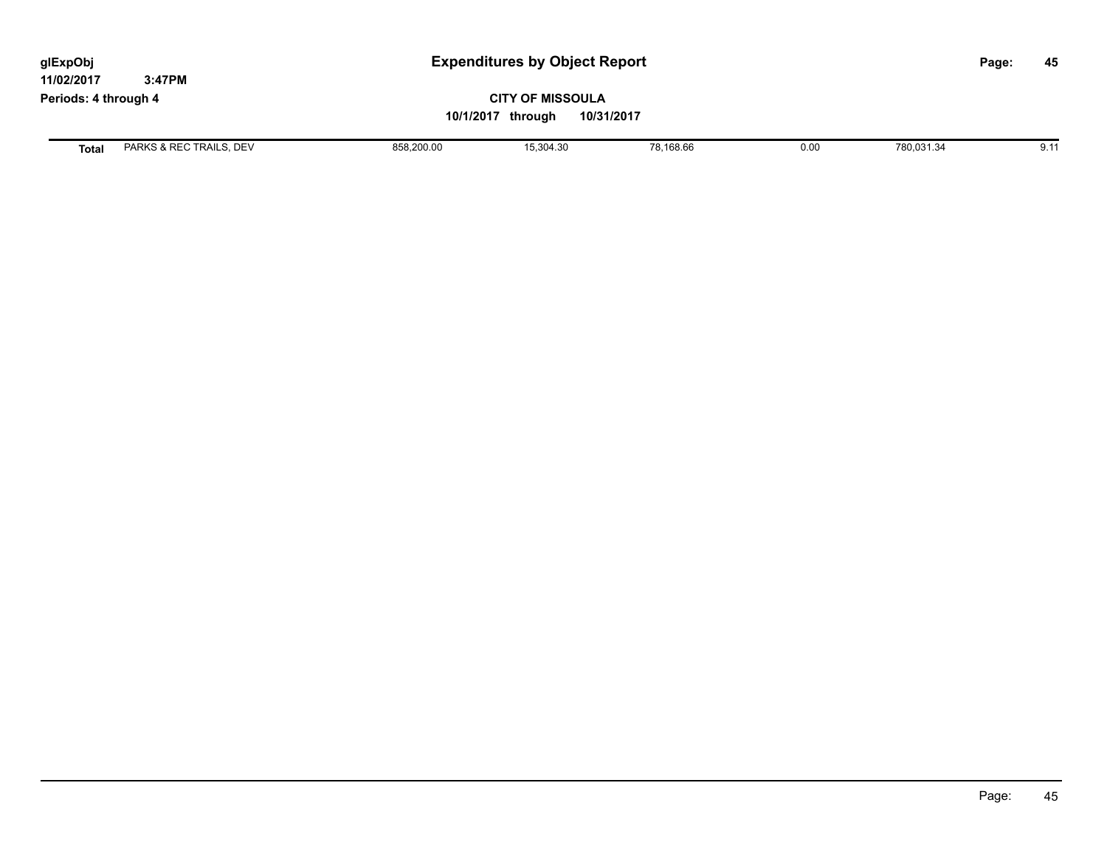| <b>Expenditures by Object Report</b><br>glExpObj<br>11/02/2017<br>3:47PM |                         |            |                                                            |           |      |            | 45<br>Page: |
|--------------------------------------------------------------------------|-------------------------|------------|------------------------------------------------------------|-----------|------|------------|-------------|
| Periods: 4 through 4                                                     |                         |            | <b>CITY OF MISSOULA</b><br>10/1/2017 through<br>10/31/2017 |           |      |            |             |
| <b>Total</b>                                                             | PARKS & REC TRAILS, DEV | 858,200.00 | 15,304.30                                                  | 78,168.66 | 0.00 | 780,031.34 | 9.11        |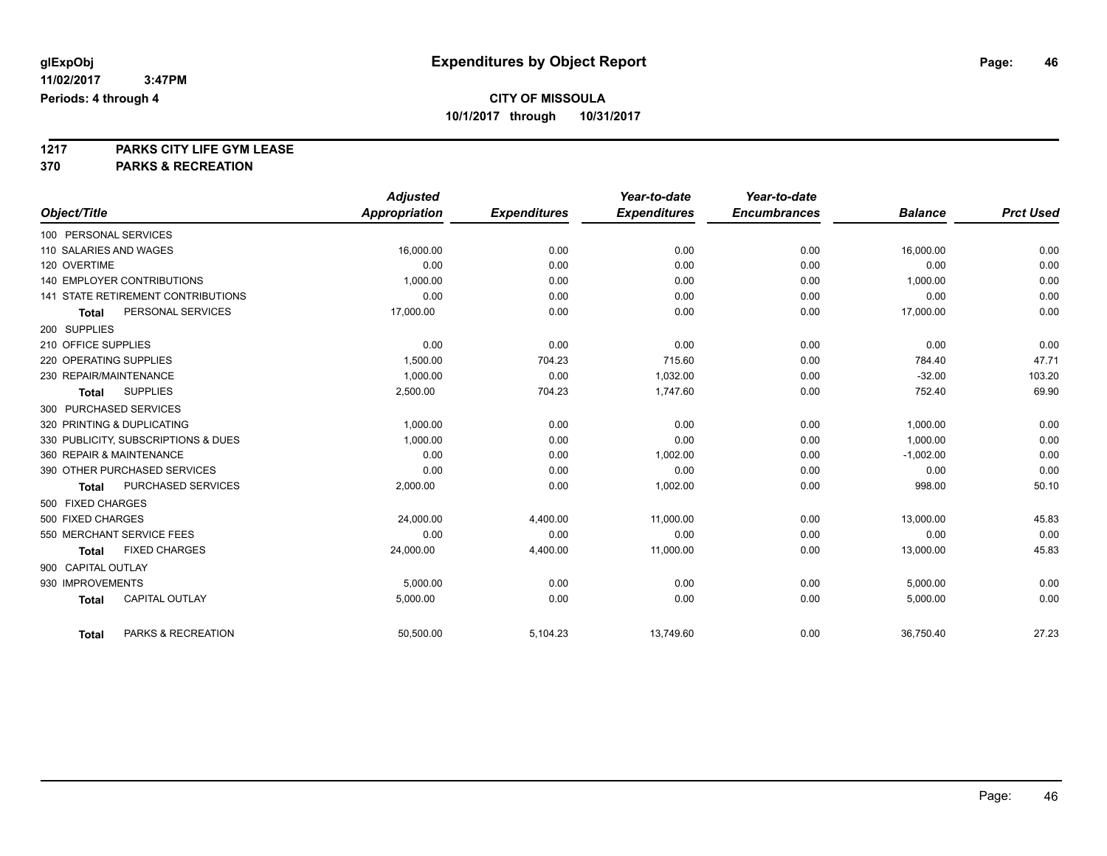**1217 PARKS CITY LIFE GYM LEASE**

**370 PARKS & RECREATION**

|                                           | <b>Adjusted</b>      |                     | Year-to-date        | Year-to-date        |                |                  |
|-------------------------------------------|----------------------|---------------------|---------------------|---------------------|----------------|------------------|
| Object/Title                              | <b>Appropriation</b> | <b>Expenditures</b> | <b>Expenditures</b> | <b>Encumbrances</b> | <b>Balance</b> | <b>Prct Used</b> |
| 100 PERSONAL SERVICES                     |                      |                     |                     |                     |                |                  |
| 110 SALARIES AND WAGES                    | 16,000.00            | 0.00                | 0.00                | 0.00                | 16,000.00      | 0.00             |
| 120 OVERTIME                              | 0.00                 | 0.00                | 0.00                | 0.00                | 0.00           | 0.00             |
| <b>140 EMPLOYER CONTRIBUTIONS</b>         | 1.000.00             | 0.00                | 0.00                | 0.00                | 1,000.00       | 0.00             |
| <b>141 STATE RETIREMENT CONTRIBUTIONS</b> | 0.00                 | 0.00                | 0.00                | 0.00                | 0.00           | 0.00             |
| PERSONAL SERVICES<br><b>Total</b>         | 17,000.00            | 0.00                | 0.00                | 0.00                | 17,000.00      | 0.00             |
| 200 SUPPLIES                              |                      |                     |                     |                     |                |                  |
| 210 OFFICE SUPPLIES                       | 0.00                 | 0.00                | 0.00                | 0.00                | 0.00           | 0.00             |
| 220 OPERATING SUPPLIES                    | 1,500.00             | 704.23              | 715.60              | 0.00                | 784.40         | 47.71            |
| 230 REPAIR/MAINTENANCE                    | 1,000.00             | 0.00                | 1,032.00            | 0.00                | $-32.00$       | 103.20           |
| <b>SUPPLIES</b><br><b>Total</b>           | 2,500.00             | 704.23              | 1,747.60            | 0.00                | 752.40         | 69.90            |
| 300 PURCHASED SERVICES                    |                      |                     |                     |                     |                |                  |
| 320 PRINTING & DUPLICATING                | 1,000.00             | 0.00                | 0.00                | 0.00                | 1,000.00       | 0.00             |
| 330 PUBLICITY, SUBSCRIPTIONS & DUES       | 1,000.00             | 0.00                | 0.00                | 0.00                | 1,000.00       | 0.00             |
| 360 REPAIR & MAINTENANCE                  | 0.00                 | 0.00                | 1,002.00            | 0.00                | $-1,002.00$    | 0.00             |
| 390 OTHER PURCHASED SERVICES              | 0.00                 | 0.00                | 0.00                | 0.00                | 0.00           | 0.00             |
| PURCHASED SERVICES<br><b>Total</b>        | 2,000.00             | 0.00                | 1,002.00            | 0.00                | 998.00         | 50.10            |
| 500 FIXED CHARGES                         |                      |                     |                     |                     |                |                  |
| 500 FIXED CHARGES                         | 24,000.00            | 4,400.00            | 11,000.00           | 0.00                | 13,000.00      | 45.83            |
| 550 MERCHANT SERVICE FEES                 | 0.00                 | 0.00                | 0.00                | 0.00                | 0.00           | 0.00             |
| <b>FIXED CHARGES</b><br><b>Total</b>      | 24,000.00            | 4,400.00            | 11,000.00           | 0.00                | 13,000.00      | 45.83            |
| 900 CAPITAL OUTLAY                        |                      |                     |                     |                     |                |                  |
| 930 IMPROVEMENTS                          | 5,000.00             | 0.00                | 0.00                | 0.00                | 5,000.00       | 0.00             |
| <b>CAPITAL OUTLAY</b><br><b>Total</b>     | 5,000.00             | 0.00                | 0.00                | 0.00                | 5,000.00       | 0.00             |
| PARKS & RECREATION<br>Total               | 50,500.00            | 5,104.23            | 13,749.60           | 0.00                | 36,750.40      | 27.23            |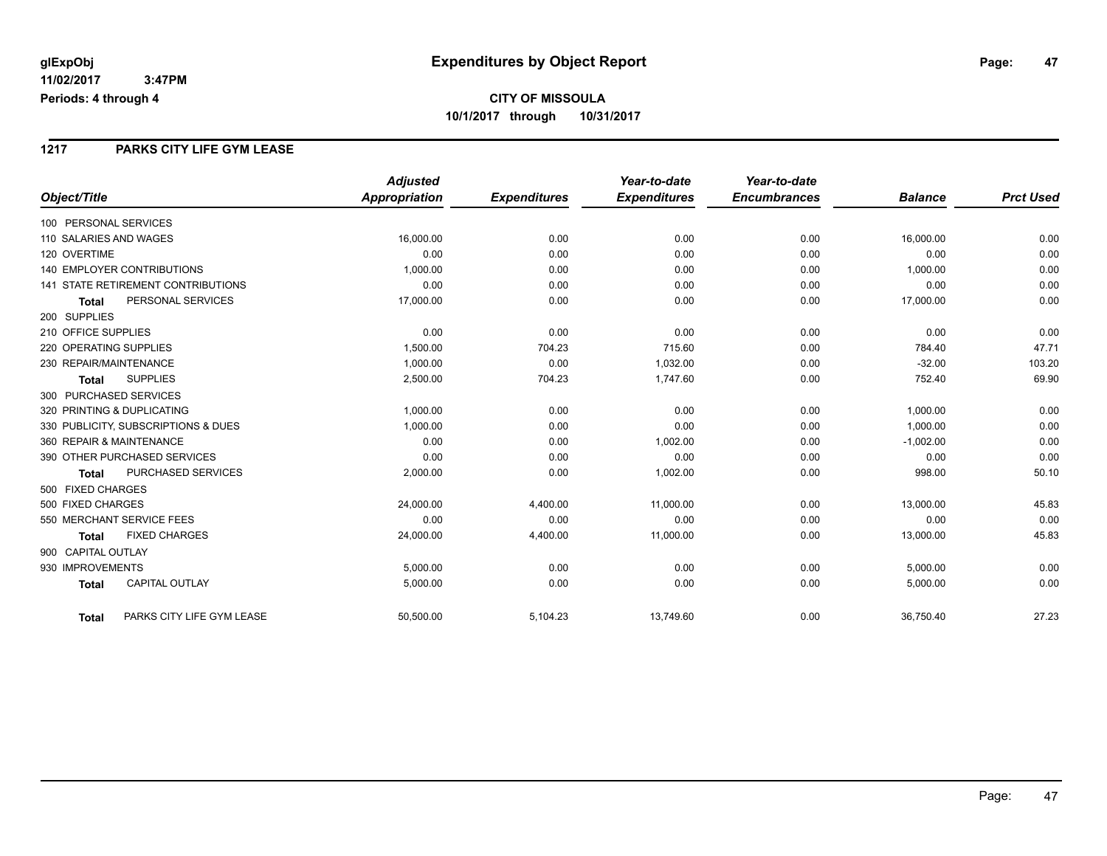#### **1217 PARKS CITY LIFE GYM LEASE**

|                                           | <b>Adjusted</b> |                     | Year-to-date        | Year-to-date        |                |                  |
|-------------------------------------------|-----------------|---------------------|---------------------|---------------------|----------------|------------------|
| Object/Title                              | Appropriation   | <b>Expenditures</b> | <b>Expenditures</b> | <b>Encumbrances</b> | <b>Balance</b> | <b>Prct Used</b> |
| 100 PERSONAL SERVICES                     |                 |                     |                     |                     |                |                  |
| 110 SALARIES AND WAGES                    | 16,000.00       | 0.00                | 0.00                | 0.00                | 16,000.00      | 0.00             |
| 120 OVERTIME                              | 0.00            | 0.00                | 0.00                | 0.00                | 0.00           | 0.00             |
| 140 EMPLOYER CONTRIBUTIONS                | 1,000.00        | 0.00                | 0.00                | 0.00                | 1,000.00       | 0.00             |
| <b>141 STATE RETIREMENT CONTRIBUTIONS</b> | 0.00            | 0.00                | 0.00                | 0.00                | 0.00           | 0.00             |
| PERSONAL SERVICES<br><b>Total</b>         | 17,000.00       | 0.00                | 0.00                | 0.00                | 17,000.00      | 0.00             |
| 200 SUPPLIES                              |                 |                     |                     |                     |                |                  |
| 210 OFFICE SUPPLIES                       | 0.00            | 0.00                | 0.00                | 0.00                | 0.00           | 0.00             |
| 220 OPERATING SUPPLIES                    | 1,500.00        | 704.23              | 715.60              | 0.00                | 784.40         | 47.71            |
| 230 REPAIR/MAINTENANCE                    | 1,000.00        | 0.00                | 1,032.00            | 0.00                | $-32.00$       | 103.20           |
| <b>SUPPLIES</b><br><b>Total</b>           | 2,500.00        | 704.23              | 1,747.60            | 0.00                | 752.40         | 69.90            |
| 300 PURCHASED SERVICES                    |                 |                     |                     |                     |                |                  |
| 320 PRINTING & DUPLICATING                | 1,000.00        | 0.00                | 0.00                | 0.00                | 1,000.00       | 0.00             |
| 330 PUBLICITY, SUBSCRIPTIONS & DUES       | 1,000.00        | 0.00                | 0.00                | 0.00                | 1,000.00       | 0.00             |
| 360 REPAIR & MAINTENANCE                  | 0.00            | 0.00                | 1,002.00            | 0.00                | $-1,002.00$    | 0.00             |
| 390 OTHER PURCHASED SERVICES              | 0.00            | 0.00                | 0.00                | 0.00                | 0.00           | 0.00             |
| PURCHASED SERVICES<br><b>Total</b>        | 2,000.00        | 0.00                | 1,002.00            | 0.00                | 998.00         | 50.10            |
| 500 FIXED CHARGES                         |                 |                     |                     |                     |                |                  |
| 500 FIXED CHARGES                         | 24,000.00       | 4,400.00            | 11,000.00           | 0.00                | 13,000.00      | 45.83            |
| 550 MERCHANT SERVICE FEES                 | 0.00            | 0.00                | 0.00                | 0.00                | 0.00           | 0.00             |
| <b>FIXED CHARGES</b><br><b>Total</b>      | 24,000.00       | 4,400.00            | 11,000.00           | 0.00                | 13,000.00      | 45.83            |
| 900 CAPITAL OUTLAY                        |                 |                     |                     |                     |                |                  |
| 930 IMPROVEMENTS                          | 5,000.00        | 0.00                | 0.00                | 0.00                | 5,000.00       | 0.00             |
| <b>CAPITAL OUTLAY</b><br><b>Total</b>     | 5,000.00        | 0.00                | 0.00                | 0.00                | 5,000.00       | 0.00             |
| PARKS CITY LIFE GYM LEASE<br><b>Total</b> | 50,500.00       | 5,104.23            | 13,749.60           | 0.00                | 36,750.40      | 27.23            |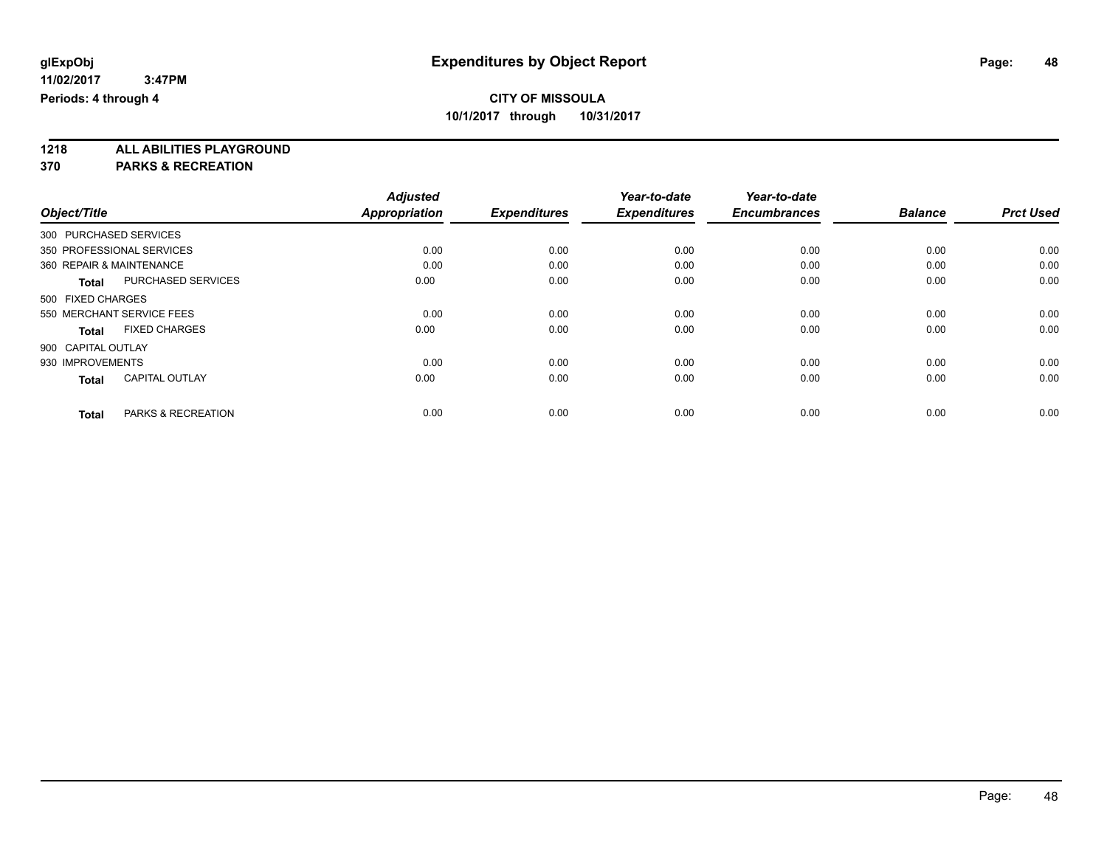**1218 ALL ABILITIES PLAYGROUND**

**370 PARKS & RECREATION**

|                          |                           | <b>Adjusted</b>      |                     | Year-to-date        | Year-to-date        |                |                  |
|--------------------------|---------------------------|----------------------|---------------------|---------------------|---------------------|----------------|------------------|
| Object/Title             |                           | <b>Appropriation</b> | <b>Expenditures</b> | <b>Expenditures</b> | <b>Encumbrances</b> | <b>Balance</b> | <b>Prct Used</b> |
| 300 PURCHASED SERVICES   |                           |                      |                     |                     |                     |                |                  |
|                          | 350 PROFESSIONAL SERVICES | 0.00                 | 0.00                | 0.00                | 0.00                | 0.00           | 0.00             |
| 360 REPAIR & MAINTENANCE |                           | 0.00                 | 0.00                | 0.00                | 0.00                | 0.00           | 0.00             |
| <b>Total</b>             | PURCHASED SERVICES        | 0.00                 | 0.00                | 0.00                | 0.00                | 0.00           | 0.00             |
| 500 FIXED CHARGES        |                           |                      |                     |                     |                     |                |                  |
|                          | 550 MERCHANT SERVICE FEES | 0.00                 | 0.00                | 0.00                | 0.00                | 0.00           | 0.00             |
| <b>Total</b>             | <b>FIXED CHARGES</b>      | 0.00                 | 0.00                | 0.00                | 0.00                | 0.00           | 0.00             |
| 900 CAPITAL OUTLAY       |                           |                      |                     |                     |                     |                |                  |
| 930 IMPROVEMENTS         |                           | 0.00                 | 0.00                | 0.00                | 0.00                | 0.00           | 0.00             |
| <b>Total</b>             | <b>CAPITAL OUTLAY</b>     | 0.00                 | 0.00                | 0.00                | 0.00                | 0.00           | 0.00             |
|                          |                           |                      |                     |                     |                     |                |                  |
| <b>Total</b>             | PARKS & RECREATION        | 0.00                 | 0.00                | 0.00                | 0.00                | 0.00           | 0.00             |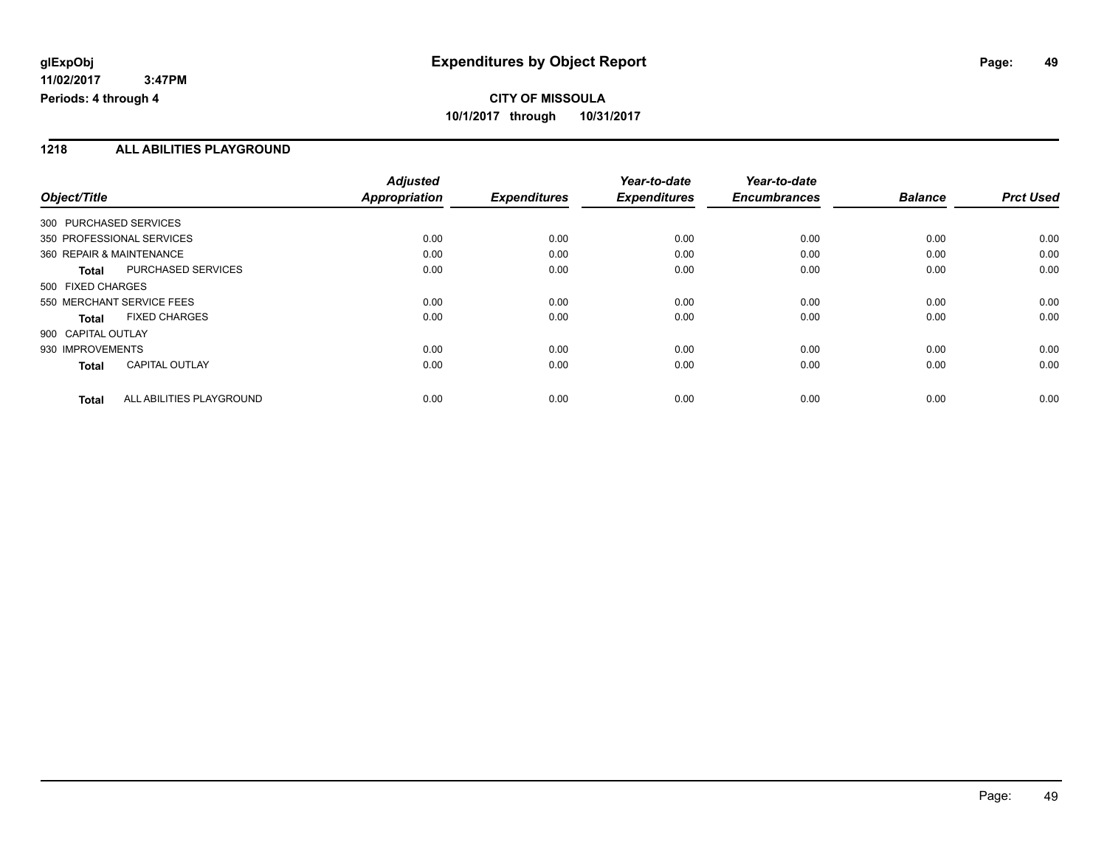#### **1218 ALL ABILITIES PLAYGROUND**

|                          |                           | <b>Adjusted</b>      |                     | Year-to-date        | Year-to-date        |                |                  |
|--------------------------|---------------------------|----------------------|---------------------|---------------------|---------------------|----------------|------------------|
| Object/Title             |                           | <b>Appropriation</b> | <b>Expenditures</b> | <b>Expenditures</b> | <b>Encumbrances</b> | <b>Balance</b> | <b>Prct Used</b> |
| 300 PURCHASED SERVICES   |                           |                      |                     |                     |                     |                |                  |
|                          | 350 PROFESSIONAL SERVICES | 0.00                 | 0.00                | 0.00                | 0.00                | 0.00           | 0.00             |
| 360 REPAIR & MAINTENANCE |                           | 0.00                 | 0.00                | 0.00                | 0.00                | 0.00           | 0.00             |
| <b>Total</b>             | PURCHASED SERVICES        | 0.00                 | 0.00                | 0.00                | 0.00                | 0.00           | 0.00             |
| 500 FIXED CHARGES        |                           |                      |                     |                     |                     |                |                  |
|                          | 550 MERCHANT SERVICE FEES | 0.00                 | 0.00                | 0.00                | 0.00                | 0.00           | 0.00             |
| Total                    | <b>FIXED CHARGES</b>      | 0.00                 | 0.00                | 0.00                | 0.00                | 0.00           | 0.00             |
| 900 CAPITAL OUTLAY       |                           |                      |                     |                     |                     |                |                  |
| 930 IMPROVEMENTS         |                           | 0.00                 | 0.00                | 0.00                | 0.00                | 0.00           | 0.00             |
| <b>Total</b>             | <b>CAPITAL OUTLAY</b>     | 0.00                 | 0.00                | 0.00                | 0.00                | 0.00           | 0.00             |
| <b>Total</b>             | ALL ABILITIES PLAYGROUND  | 0.00                 | 0.00                | 0.00                | 0.00                | 0.00           | 0.00             |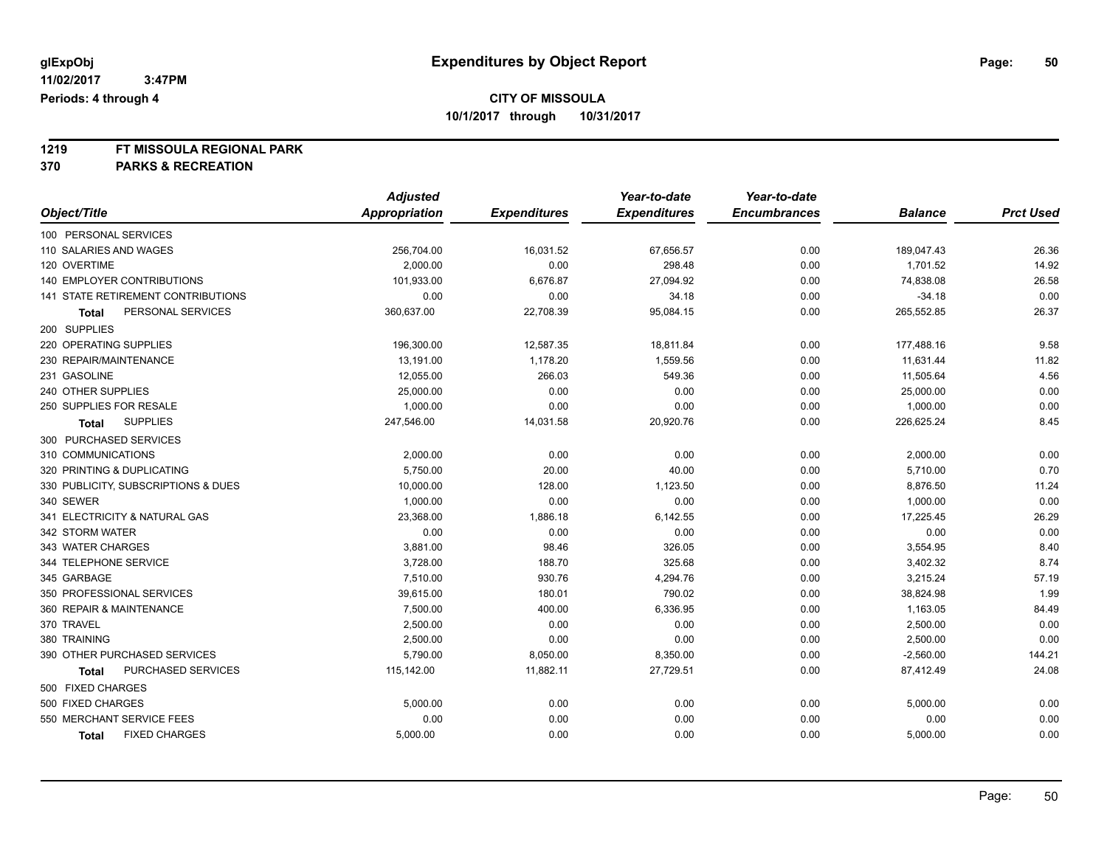# **1219 FT MISSOULA REGIONAL PARK**

**370 PARKS & RECREATION**

|                                      | <b>Adjusted</b>      |                     | Year-to-date        | Year-to-date        |                |                  |
|--------------------------------------|----------------------|---------------------|---------------------|---------------------|----------------|------------------|
| Object/Title                         | <b>Appropriation</b> | <b>Expenditures</b> | <b>Expenditures</b> | <b>Encumbrances</b> | <b>Balance</b> | <b>Prct Used</b> |
| 100 PERSONAL SERVICES                |                      |                     |                     |                     |                |                  |
| 110 SALARIES AND WAGES               | 256,704.00           | 16,031.52           | 67,656.57           | 0.00                | 189,047.43     | 26.36            |
| 120 OVERTIME                         | 2,000.00             | 0.00                | 298.48              | 0.00                | 1,701.52       | 14.92            |
| 140 EMPLOYER CONTRIBUTIONS           | 101,933.00           | 6,676.87            | 27,094.92           | 0.00                | 74,838.08      | 26.58            |
| 141 STATE RETIREMENT CONTRIBUTIONS   | 0.00                 | 0.00                | 34.18               | 0.00                | $-34.18$       | 0.00             |
| PERSONAL SERVICES<br>Total           | 360,637.00           | 22,708.39           | 95,084.15           | 0.00                | 265,552.85     | 26.37            |
| 200 SUPPLIES                         |                      |                     |                     |                     |                |                  |
| 220 OPERATING SUPPLIES               | 196,300.00           | 12,587.35           | 18,811.84           | 0.00                | 177,488.16     | 9.58             |
| 230 REPAIR/MAINTENANCE               | 13,191.00            | 1,178.20            | 1,559.56            | 0.00                | 11,631.44      | 11.82            |
| 231 GASOLINE                         | 12,055.00            | 266.03              | 549.36              | 0.00                | 11,505.64      | 4.56             |
| 240 OTHER SUPPLIES                   | 25,000.00            | 0.00                | 0.00                | 0.00                | 25,000.00      | 0.00             |
| 250 SUPPLIES FOR RESALE              | 1,000.00             | 0.00                | 0.00                | 0.00                | 1,000.00       | 0.00             |
| <b>SUPPLIES</b><br><b>Total</b>      | 247,546.00           | 14,031.58           | 20,920.76           | 0.00                | 226,625.24     | 8.45             |
| 300 PURCHASED SERVICES               |                      |                     |                     |                     |                |                  |
| 310 COMMUNICATIONS                   | 2,000.00             | 0.00                | 0.00                | 0.00                | 2,000.00       | 0.00             |
| 320 PRINTING & DUPLICATING           | 5,750.00             | 20.00               | 40.00               | 0.00                | 5,710.00       | 0.70             |
| 330 PUBLICITY, SUBSCRIPTIONS & DUES  | 10,000.00            | 128.00              | 1,123.50            | 0.00                | 8,876.50       | 11.24            |
| 340 SEWER                            | 1,000.00             | 0.00                | 0.00                | 0.00                | 1,000.00       | 0.00             |
| 341 ELECTRICITY & NATURAL GAS        | 23,368.00            | 1,886.18            | 6,142.55            | 0.00                | 17,225.45      | 26.29            |
| 342 STORM WATER                      | 0.00                 | 0.00                | 0.00                | 0.00                | 0.00           | 0.00             |
| 343 WATER CHARGES                    | 3,881.00             | 98.46               | 326.05              | 0.00                | 3,554.95       | 8.40             |
| 344 TELEPHONE SERVICE                | 3,728.00             | 188.70              | 325.68              | 0.00                | 3,402.32       | 8.74             |
| 345 GARBAGE                          | 7,510.00             | 930.76              | 4,294.76            | 0.00                | 3,215.24       | 57.19            |
| 350 PROFESSIONAL SERVICES            | 39,615.00            | 180.01              | 790.02              | 0.00                | 38,824.98      | 1.99             |
| 360 REPAIR & MAINTENANCE             | 7,500.00             | 400.00              | 6,336.95            | 0.00                | 1,163.05       | 84.49            |
| 370 TRAVEL                           | 2,500.00             | 0.00                | 0.00                | 0.00                | 2,500.00       | 0.00             |
| 380 TRAINING                         | 2,500.00             | 0.00                | 0.00                | 0.00                | 2,500.00       | 0.00             |
| 390 OTHER PURCHASED SERVICES         | 5,790.00             | 8,050.00            | 8,350.00            | 0.00                | $-2,560.00$    | 144.21           |
| PURCHASED SERVICES<br><b>Total</b>   | 115,142.00           | 11,882.11           | 27,729.51           | 0.00                | 87,412.49      | 24.08            |
| 500 FIXED CHARGES                    |                      |                     |                     |                     |                |                  |
| 500 FIXED CHARGES                    | 5,000.00             | 0.00                | 0.00                | 0.00                | 5,000.00       | 0.00             |
| 550 MERCHANT SERVICE FEES            | 0.00                 | 0.00                | 0.00                | 0.00                | 0.00           | 0.00             |
| <b>FIXED CHARGES</b><br><b>Total</b> | 5,000.00             | 0.00                | 0.00                | 0.00                | 5,000.00       | 0.00             |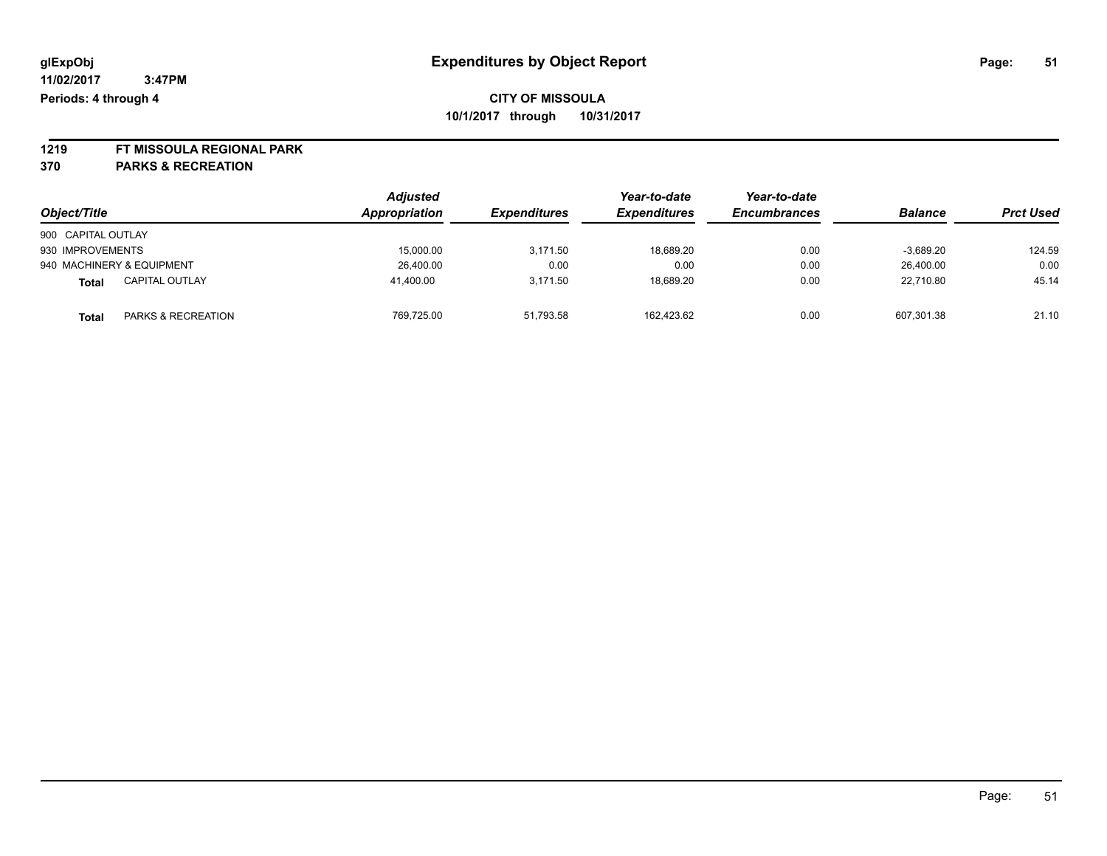# **1219 FT MISSOULA REGIONAL PARK**

**370 PARKS & RECREATION**

|                                       | <b>Adjusted</b> |                     | Year-to-date        | Year-to-date        |                |                  |
|---------------------------------------|-----------------|---------------------|---------------------|---------------------|----------------|------------------|
| Object/Title                          | Appropriation   | <b>Expenditures</b> | <b>Expenditures</b> | <b>Encumbrances</b> | <b>Balance</b> | <b>Prct Used</b> |
| 900 CAPITAL OUTLAY                    |                 |                     |                     |                     |                |                  |
| 930 IMPROVEMENTS                      | 15,000.00       | 3.171.50            | 18,689.20           | 0.00                | $-3.689.20$    | 124.59           |
| 940 MACHINERY & EQUIPMENT             | 26,400.00       | 0.00                | 0.00                | 0.00                | 26.400.00      | 0.00             |
| <b>CAPITAL OUTLAY</b><br><b>Total</b> | 41.400.00       | 3.171.50            | 18.689.20           | 0.00                | 22.710.80      | 45.14            |
| PARKS & RECREATION<br><b>Total</b>    | 769,725.00      | 51,793.58           | 162.423.62          | 0.00                | 607,301.38     | 21.10            |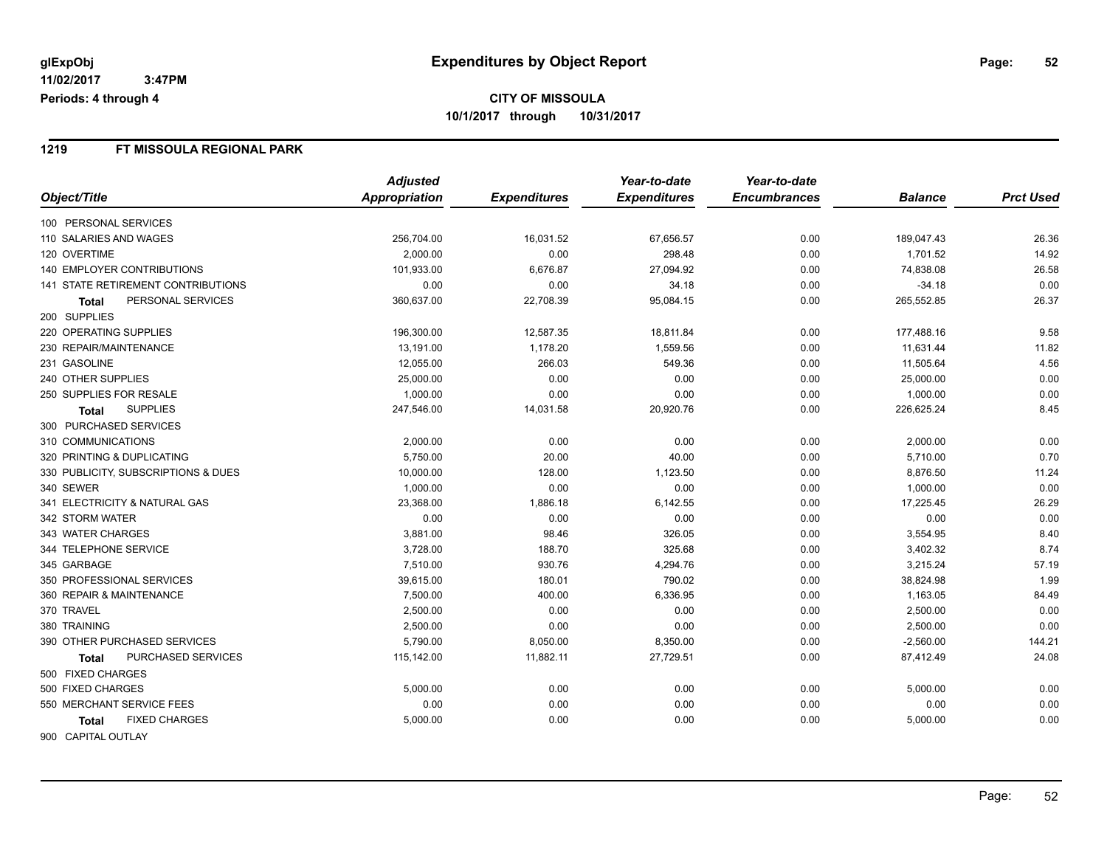#### **1219 FT MISSOULA REGIONAL PARK**

|                                           | <b>Adjusted</b> |                     | Year-to-date        | Year-to-date        |                |                  |
|-------------------------------------------|-----------------|---------------------|---------------------|---------------------|----------------|------------------|
| Object/Title                              | Appropriation   | <b>Expenditures</b> | <b>Expenditures</b> | <b>Encumbrances</b> | <b>Balance</b> | <b>Prct Used</b> |
| 100 PERSONAL SERVICES                     |                 |                     |                     |                     |                |                  |
| 110 SALARIES AND WAGES                    | 256,704.00      | 16,031.52           | 67,656.57           | 0.00                | 189,047.43     | 26.36            |
| 120 OVERTIME                              | 2,000.00        | 0.00                | 298.48              | 0.00                | 1,701.52       | 14.92            |
| <b>140 EMPLOYER CONTRIBUTIONS</b>         | 101,933.00      | 6,676.87            | 27,094.92           | 0.00                | 74,838.08      | 26.58            |
| <b>141 STATE RETIREMENT CONTRIBUTIONS</b> | 0.00            | 0.00                | 34.18               | 0.00                | $-34.18$       | 0.00             |
| PERSONAL SERVICES<br><b>Total</b>         | 360,637.00      | 22,708.39           | 95,084.15           | 0.00                | 265,552.85     | 26.37            |
| 200 SUPPLIES                              |                 |                     |                     |                     |                |                  |
| 220 OPERATING SUPPLIES                    | 196,300.00      | 12,587.35           | 18,811.84           | 0.00                | 177,488.16     | 9.58             |
| 230 REPAIR/MAINTENANCE                    | 13,191.00       | 1,178.20            | 1,559.56            | 0.00                | 11,631.44      | 11.82            |
| 231 GASOLINE                              | 12,055.00       | 266.03              | 549.36              | 0.00                | 11,505.64      | 4.56             |
| 240 OTHER SUPPLIES                        | 25,000.00       | 0.00                | 0.00                | 0.00                | 25,000.00      | 0.00             |
| 250 SUPPLIES FOR RESALE                   | 1,000.00        | 0.00                | 0.00                | 0.00                | 1,000.00       | 0.00             |
| <b>SUPPLIES</b><br><b>Total</b>           | 247,546.00      | 14,031.58           | 20,920.76           | 0.00                | 226,625.24     | 8.45             |
| 300 PURCHASED SERVICES                    |                 |                     |                     |                     |                |                  |
| 310 COMMUNICATIONS                        | 2,000.00        | 0.00                | 0.00                | 0.00                | 2,000.00       | 0.00             |
| 320 PRINTING & DUPLICATING                | 5,750.00        | 20.00               | 40.00               | 0.00                | 5,710.00       | 0.70             |
| 330 PUBLICITY, SUBSCRIPTIONS & DUES       | 10,000.00       | 128.00              | 1,123.50            | 0.00                | 8,876.50       | 11.24            |
| 340 SEWER                                 | 1,000.00        | 0.00                | 0.00                | 0.00                | 1,000.00       | 0.00             |
| 341 ELECTRICITY & NATURAL GAS             | 23,368.00       | 1,886.18            | 6,142.55            | 0.00                | 17,225.45      | 26.29            |
| 342 STORM WATER                           | 0.00            | 0.00                | 0.00                | 0.00                | 0.00           | 0.00             |
| 343 WATER CHARGES                         | 3,881.00        | 98.46               | 326.05              | 0.00                | 3,554.95       | 8.40             |
| 344 TELEPHONE SERVICE                     | 3,728.00        | 188.70              | 325.68              | 0.00                | 3,402.32       | 8.74             |
| 345 GARBAGE                               | 7,510.00        | 930.76              | 4,294.76            | 0.00                | 3,215.24       | 57.19            |
| 350 PROFESSIONAL SERVICES                 | 39,615.00       | 180.01              | 790.02              | 0.00                | 38,824.98      | 1.99             |
| 360 REPAIR & MAINTENANCE                  | 7,500.00        | 400.00              | 6,336.95            | 0.00                | 1,163.05       | 84.49            |
| 370 TRAVEL                                | 2,500.00        | 0.00                | 0.00                | 0.00                | 2,500.00       | 0.00             |
| 380 TRAINING                              | 2,500.00        | 0.00                | 0.00                | 0.00                | 2,500.00       | 0.00             |
| 390 OTHER PURCHASED SERVICES              | 5,790.00        | 8,050.00            | 8,350.00            | 0.00                | $-2,560.00$    | 144.21           |
| PURCHASED SERVICES<br><b>Total</b>        | 115,142.00      | 11,882.11           | 27,729.51           | 0.00                | 87,412.49      | 24.08            |
| 500 FIXED CHARGES                         |                 |                     |                     |                     |                |                  |
| 500 FIXED CHARGES                         | 5,000.00        | 0.00                | 0.00                | 0.00                | 5,000.00       | 0.00             |
| 550 MERCHANT SERVICE FEES                 | 0.00            | 0.00                | 0.00                | 0.00                | 0.00           | 0.00             |
| <b>FIXED CHARGES</b><br>Total             | 5,000.00        | 0.00                | 0.00                | 0.00                | 5,000.00       | 0.00             |
| 900 CAPITAL OUTLAY                        |                 |                     |                     |                     |                |                  |

Page: 52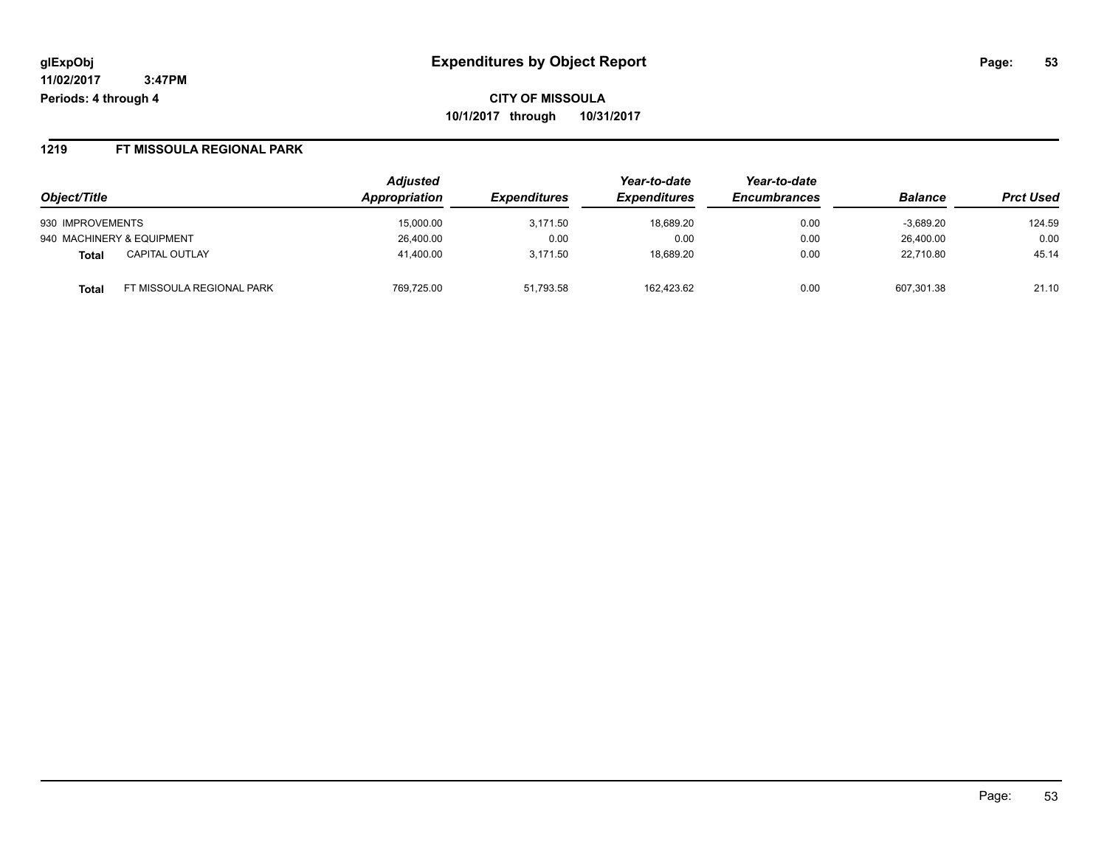**CITY OF MISSOULA 10/1/2017 through 10/31/2017**

#### **1219 FT MISSOULA REGIONAL PARK**

|                                    | <b>Adjusted</b> |                            | Year-to-date        | Year-to-date        |                |                  |
|------------------------------------|-----------------|----------------------------|---------------------|---------------------|----------------|------------------|
| Object/Title                       | Appropriation   | <i><b>Expenditures</b></i> | <b>Expenditures</b> | <b>Encumbrances</b> | <b>Balance</b> | <b>Prct Used</b> |
| 930 IMPROVEMENTS                   | 15.000.00       | 3.171.50                   | 18.689.20           | 0.00                | $-3.689.20$    | 124.59           |
| 940 MACHINERY & EQUIPMENT          | 26,400.00       | 0.00                       | 0.00                | 0.00                | 26.400.00      | 0.00             |
| <b>CAPITAL OUTLAY</b><br>Total     | 41,400.00       | 3,171.50                   | 18,689.20           | 0.00                | 22,710.80      | 45.14            |
| FT MISSOULA REGIONAL PARK<br>Total | 769,725.00      | 51,793.58                  | 162.423.62          | 0.00                | 607,301.38     | 21.10            |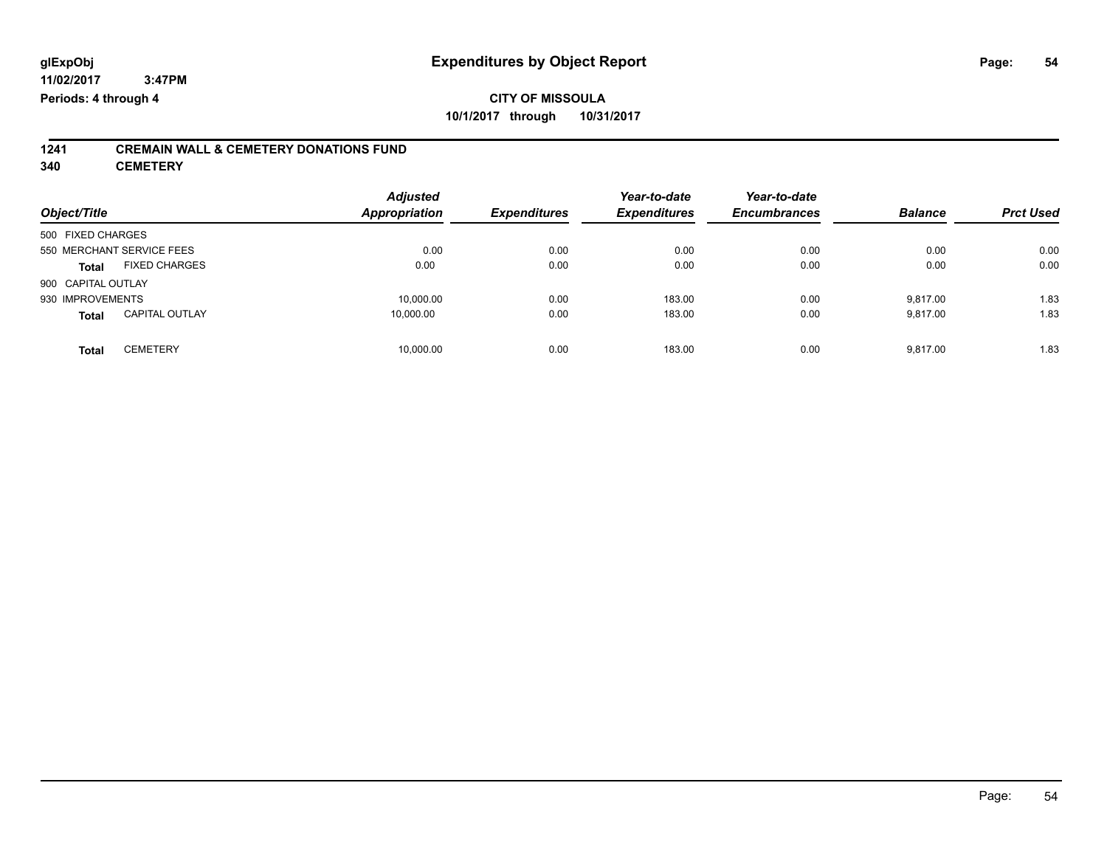## **CITY OF MISSOULA 10/1/2017 through 10/31/2017**

# **1241 CREMAIN WALL & CEMETERY DONATIONS FUND**

**340 CEMETERY**

| Object/Title       |                           | <b>Adjusted</b><br><b>Appropriation</b> | <b>Expenditures</b> | Year-to-date<br><b>Expenditures</b> | Year-to-date<br><b>Encumbrances</b> | <b>Balance</b> | <b>Prct Used</b> |
|--------------------|---------------------------|-----------------------------------------|---------------------|-------------------------------------|-------------------------------------|----------------|------------------|
| 500 FIXED CHARGES  |                           |                                         |                     |                                     |                                     |                |                  |
|                    | 550 MERCHANT SERVICE FEES | 0.00                                    | 0.00                | 0.00                                | 0.00                                | 0.00           | 0.00             |
| <b>Total</b>       | <b>FIXED CHARGES</b>      | 0.00                                    | 0.00                | 0.00                                | 0.00                                | 0.00           | 0.00             |
| 900 CAPITAL OUTLAY |                           |                                         |                     |                                     |                                     |                |                  |
| 930 IMPROVEMENTS   |                           | 10,000.00                               | 0.00                | 183.00                              | 0.00                                | 9,817.00       | 1.83             |
| <b>Total</b>       | <b>CAPITAL OUTLAY</b>     | 10,000.00                               | 0.00                | 183.00                              | 0.00                                | 9,817.00       | 1.83             |
| <b>Total</b>       | <b>CEMETERY</b>           | 10,000.00                               | 0.00                | 183.00                              | 0.00                                | 9,817.00       | 1.83             |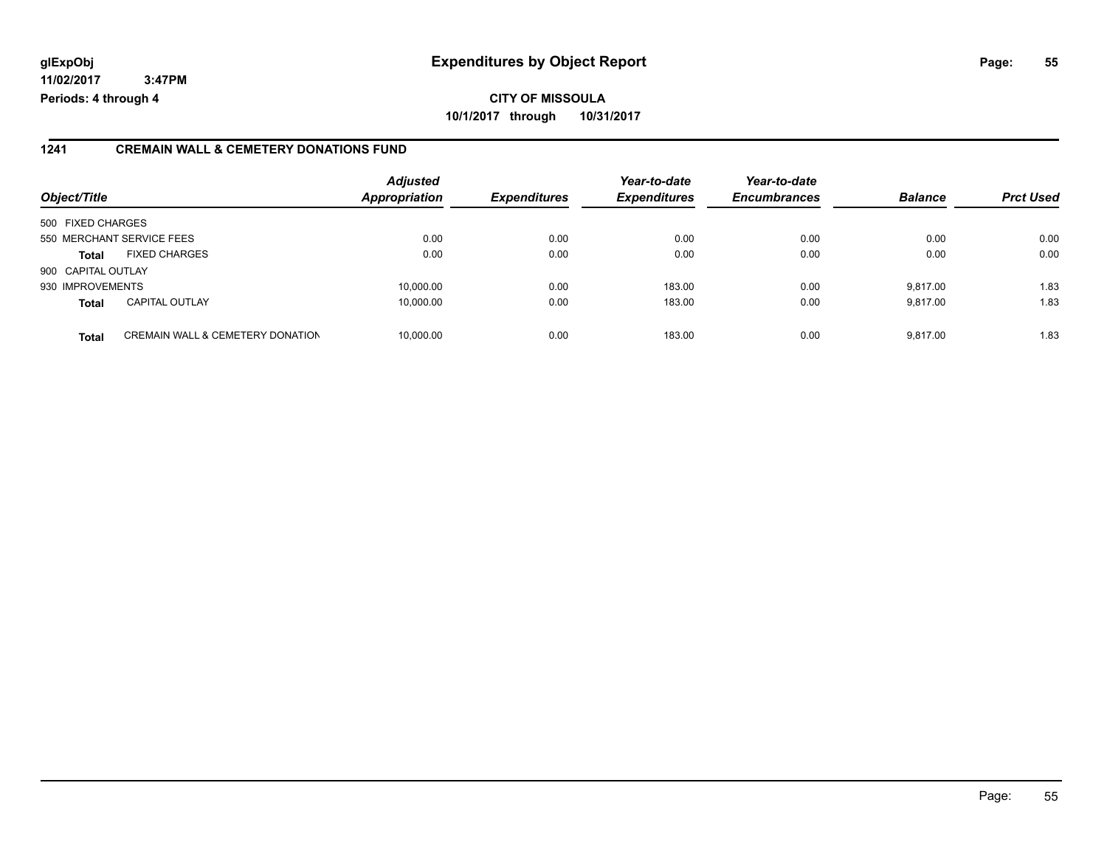#### **1241 CREMAIN WALL & CEMETERY DONATIONS FUND**

| Object/Title       |                                             | <b>Adjusted</b><br><b>Appropriation</b> | <b>Expenditures</b> | Year-to-date<br><b>Expenditures</b> | Year-to-date<br><b>Encumbrances</b> | <b>Balance</b> | <b>Prct Used</b> |
|--------------------|---------------------------------------------|-----------------------------------------|---------------------|-------------------------------------|-------------------------------------|----------------|------------------|
| 500 FIXED CHARGES  |                                             |                                         |                     |                                     |                                     |                |                  |
|                    | 550 MERCHANT SERVICE FEES                   | 0.00                                    | 0.00                | 0.00                                | 0.00                                | 0.00           | 0.00             |
| <b>Total</b>       | <b>FIXED CHARGES</b>                        | 0.00                                    | 0.00                | 0.00                                | 0.00                                | 0.00           | 0.00             |
| 900 CAPITAL OUTLAY |                                             |                                         |                     |                                     |                                     |                |                  |
| 930 IMPROVEMENTS   |                                             | 10,000.00                               | 0.00                | 183.00                              | 0.00                                | 9.817.00       | 1.83             |
| <b>Total</b>       | <b>CAPITAL OUTLAY</b>                       | 10.000.00                               | 0.00                | 183.00                              | 0.00                                | 9.817.00       | 1.83             |
| <b>Total</b>       | <b>CREMAIN WALL &amp; CEMETERY DONATION</b> | 10,000.00                               | 0.00                | 183.00                              | 0.00                                | 9.817.00       | 1.83             |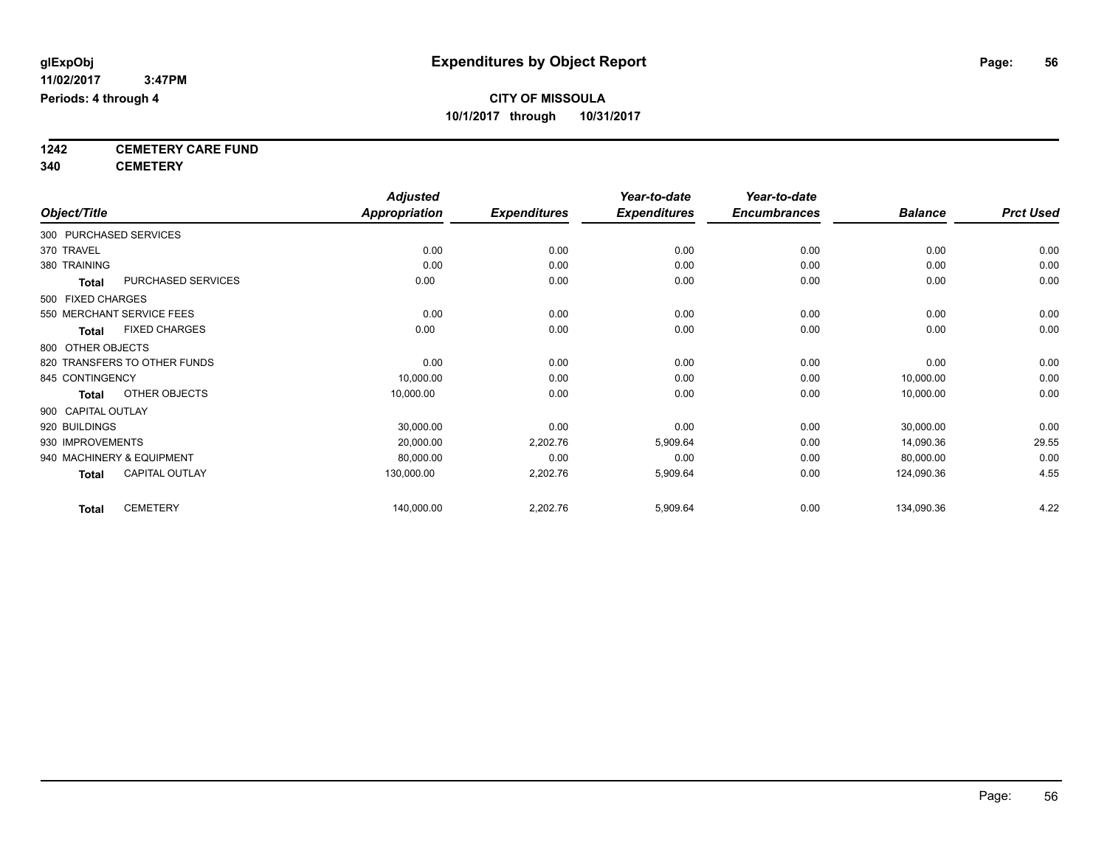**1242 CEMETERY CARE FUND**

**340 CEMETERY**

|                        |                              | <b>Adjusted</b>      |                     | Year-to-date        | Year-to-date        |                |                  |
|------------------------|------------------------------|----------------------|---------------------|---------------------|---------------------|----------------|------------------|
| Object/Title           |                              | <b>Appropriation</b> | <b>Expenditures</b> | <b>Expenditures</b> | <b>Encumbrances</b> | <b>Balance</b> | <b>Prct Used</b> |
| 300 PURCHASED SERVICES |                              |                      |                     |                     |                     |                |                  |
| 370 TRAVEL             |                              | 0.00                 | 0.00                | 0.00                | 0.00                | 0.00           | 0.00             |
| 380 TRAINING           |                              | 0.00                 | 0.00                | 0.00                | 0.00                | 0.00           | 0.00             |
| <b>Total</b>           | PURCHASED SERVICES           | 0.00                 | 0.00                | 0.00                | 0.00                | 0.00           | 0.00             |
| 500 FIXED CHARGES      |                              |                      |                     |                     |                     |                |                  |
|                        | 550 MERCHANT SERVICE FEES    | 0.00                 | 0.00                | 0.00                | 0.00                | 0.00           | 0.00             |
| Total                  | <b>FIXED CHARGES</b>         | 0.00                 | 0.00                | 0.00                | 0.00                | 0.00           | 0.00             |
| 800 OTHER OBJECTS      |                              |                      |                     |                     |                     |                |                  |
|                        | 820 TRANSFERS TO OTHER FUNDS | 0.00                 | 0.00                | 0.00                | 0.00                | 0.00           | 0.00             |
| 845 CONTINGENCY        |                              | 10,000.00            | 0.00                | 0.00                | 0.00                | 10,000.00      | 0.00             |
| <b>Total</b>           | OTHER OBJECTS                | 10,000.00            | 0.00                | 0.00                | 0.00                | 10,000.00      | 0.00             |
| 900 CAPITAL OUTLAY     |                              |                      |                     |                     |                     |                |                  |
| 920 BUILDINGS          |                              | 30,000.00            | 0.00                | 0.00                | 0.00                | 30,000.00      | 0.00             |
| 930 IMPROVEMENTS       |                              | 20,000.00            | 2,202.76            | 5,909.64            | 0.00                | 14,090.36      | 29.55            |
|                        | 940 MACHINERY & EQUIPMENT    | 80,000.00            | 0.00                | 0.00                | 0.00                | 80,000.00      | 0.00             |
| <b>Total</b>           | <b>CAPITAL OUTLAY</b>        | 130,000.00           | 2,202.76            | 5,909.64            | 0.00                | 124,090.36     | 4.55             |
| <b>Total</b>           | <b>CEMETERY</b>              | 140,000.00           | 2,202.76            | 5,909.64            | 0.00                | 134,090.36     | 4.22             |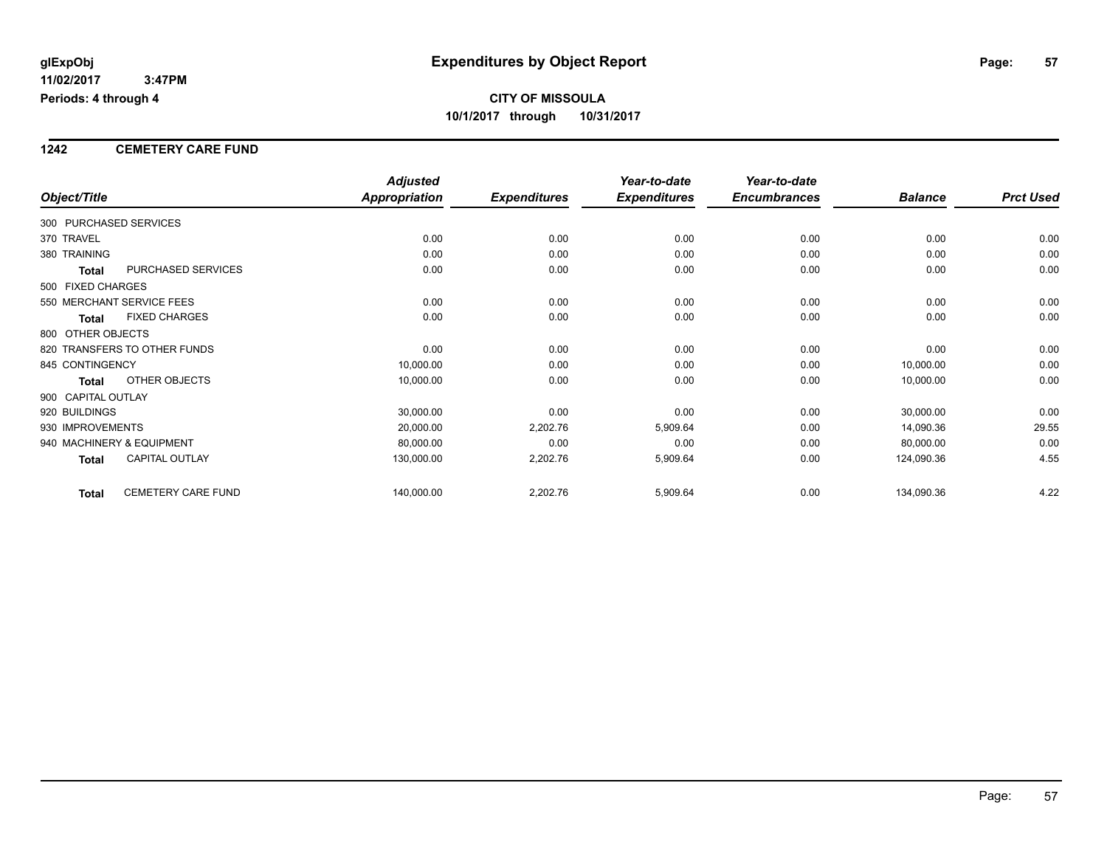#### **1242 CEMETERY CARE FUND**

|                                    | <b>Adjusted</b>      |                     | Year-to-date        | Year-to-date        |                |                  |
|------------------------------------|----------------------|---------------------|---------------------|---------------------|----------------|------------------|
| Object/Title                       | <b>Appropriation</b> | <b>Expenditures</b> | <b>Expenditures</b> | <b>Encumbrances</b> | <b>Balance</b> | <b>Prct Used</b> |
| 300 PURCHASED SERVICES             |                      |                     |                     |                     |                |                  |
| 370 TRAVEL                         | 0.00                 | 0.00                | 0.00                | 0.00                | 0.00           | 0.00             |
| 380 TRAINING                       | 0.00                 | 0.00                | 0.00                | 0.00                | 0.00           | 0.00             |
| PURCHASED SERVICES<br>Total        | 0.00                 | 0.00                | 0.00                | 0.00                | 0.00           | 0.00             |
| 500 FIXED CHARGES                  |                      |                     |                     |                     |                |                  |
| 550 MERCHANT SERVICE FEES          | 0.00                 | 0.00                | 0.00                | 0.00                | 0.00           | 0.00             |
| <b>FIXED CHARGES</b><br>Total      | 0.00                 | 0.00                | 0.00                | 0.00                | 0.00           | 0.00             |
| 800 OTHER OBJECTS                  |                      |                     |                     |                     |                |                  |
| 820 TRANSFERS TO OTHER FUNDS       | 0.00                 | 0.00                | 0.00                | 0.00                | 0.00           | 0.00             |
| 845 CONTINGENCY                    | 10,000.00            | 0.00                | 0.00                | 0.00                | 10,000.00      | 0.00             |
| OTHER OBJECTS<br>Total             | 10,000.00            | 0.00                | 0.00                | 0.00                | 10,000.00      | 0.00             |
| 900 CAPITAL OUTLAY                 |                      |                     |                     |                     |                |                  |
| 920 BUILDINGS                      | 30,000.00            | 0.00                | 0.00                | 0.00                | 30,000.00      | 0.00             |
| 930 IMPROVEMENTS                   | 20,000.00            | 2,202.76            | 5,909.64            | 0.00                | 14,090.36      | 29.55            |
| 940 MACHINERY & EQUIPMENT          | 80,000.00            | 0.00                | 0.00                | 0.00                | 80,000.00      | 0.00             |
| <b>CAPITAL OUTLAY</b><br>Total     | 130,000.00           | 2,202.76            | 5,909.64            | 0.00                | 124,090.36     | 4.55             |
| CEMETERY CARE FUND<br><b>Total</b> | 140,000.00           | 2,202.76            | 5,909.64            | 0.00                | 134,090.36     | 4.22             |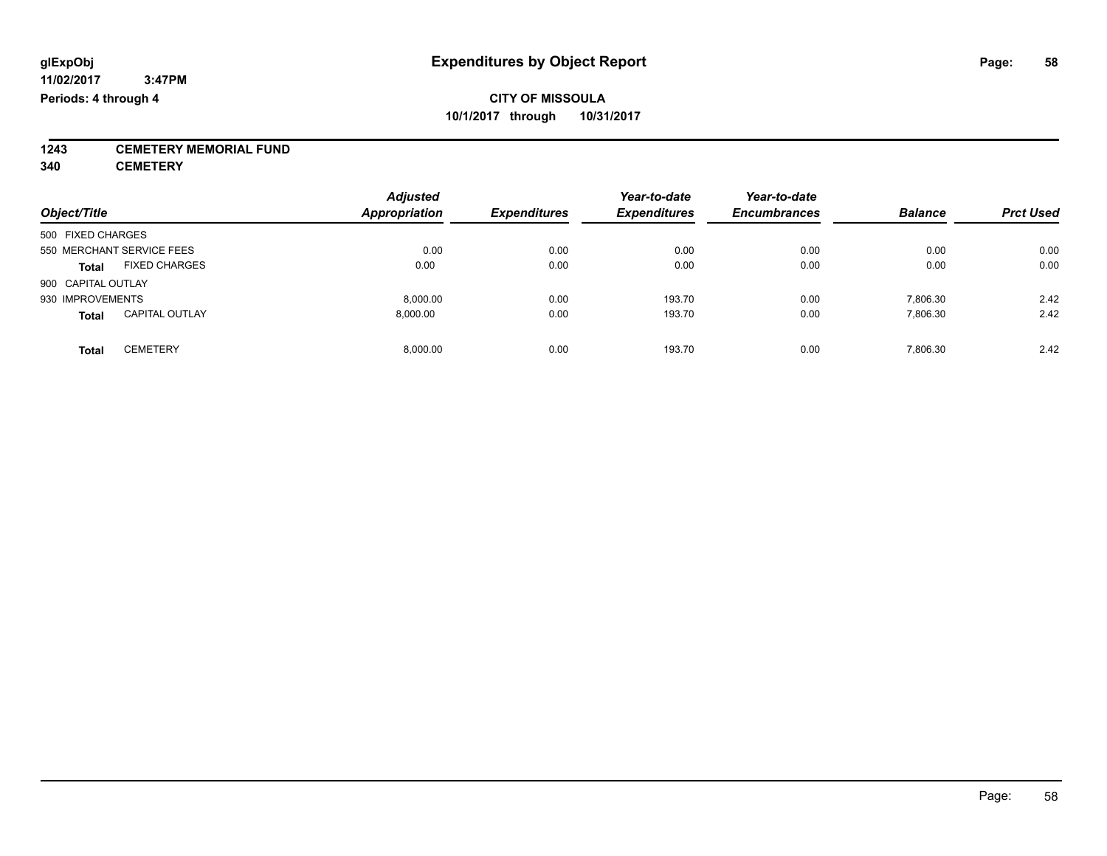**1243 CEMETERY MEMORIAL FUND**

**340 CEMETERY**

| Object/Title                          | <b>Adjusted</b><br><b>Appropriation</b> | <b>Expenditures</b> | Year-to-date<br><b>Expenditures</b> | Year-to-date<br><b>Encumbrances</b> | <b>Balance</b> | <b>Prct Used</b> |
|---------------------------------------|-----------------------------------------|---------------------|-------------------------------------|-------------------------------------|----------------|------------------|
| 500 FIXED CHARGES                     |                                         |                     |                                     |                                     |                |                  |
| 550 MERCHANT SERVICE FEES             | 0.00                                    | 0.00                | 0.00                                | 0.00                                | 0.00           | 0.00             |
| <b>FIXED CHARGES</b><br><b>Total</b>  | 0.00                                    | 0.00                | 0.00                                | 0.00                                | 0.00           | 0.00             |
| 900 CAPITAL OUTLAY                    |                                         |                     |                                     |                                     |                |                  |
| 930 IMPROVEMENTS                      | 8.000.00                                | 0.00                | 193.70                              | 0.00                                | 7,806.30       | 2.42             |
| <b>CAPITAL OUTLAY</b><br><b>Total</b> | 8.000.00                                | 0.00                | 193.70                              | 0.00                                | 7,806.30       | 2.42             |
| <b>CEMETERY</b><br>Total              | 8.000.00                                | 0.00                | 193.70                              | 0.00                                | 7.806.30       | 2.42             |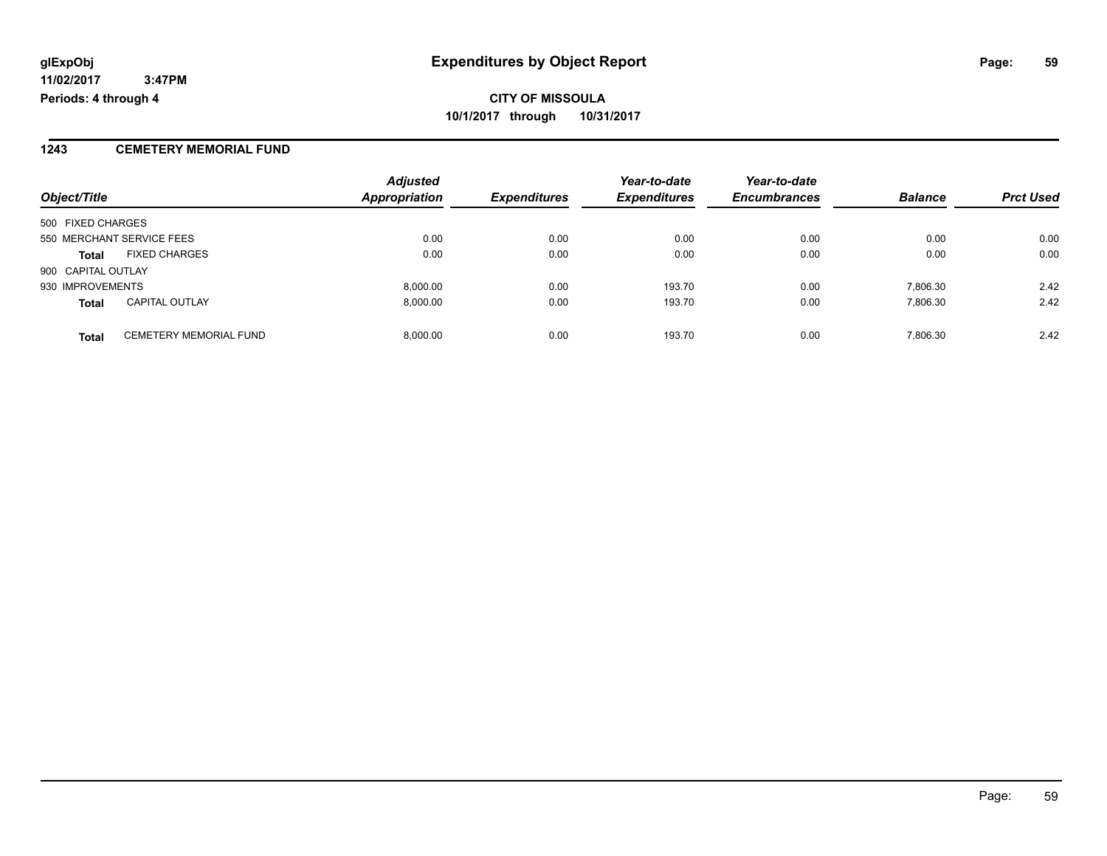#### **1243 CEMETERY MEMORIAL FUND**

|                    |                               | <b>Adjusted</b>      |                     | Year-to-date        | Year-to-date        |                |                  |
|--------------------|-------------------------------|----------------------|---------------------|---------------------|---------------------|----------------|------------------|
| Object/Title       |                               | <b>Appropriation</b> | <b>Expenditures</b> | <b>Expenditures</b> | <b>Encumbrances</b> | <b>Balance</b> | <b>Prct Used</b> |
| 500 FIXED CHARGES  |                               |                      |                     |                     |                     |                |                  |
|                    | 550 MERCHANT SERVICE FEES     | 0.00                 | 0.00                | 0.00                | 0.00                | 0.00           | 0.00             |
| <b>Total</b>       | <b>FIXED CHARGES</b>          | 0.00                 | 0.00                | 0.00                | 0.00                | 0.00           | 0.00             |
| 900 CAPITAL OUTLAY |                               |                      |                     |                     |                     |                |                  |
| 930 IMPROVEMENTS   |                               | 8,000.00             | 0.00                | 193.70              | 0.00                | 7.806.30       | 2.42             |
| <b>Total</b>       | <b>CAPITAL OUTLAY</b>         | 8.000.00             | 0.00                | 193.70              | 0.00                | 7.806.30       | 2.42             |
| <b>Total</b>       | <b>CEMETERY MEMORIAL FUND</b> | 8,000.00             | 0.00                | 193.70              | 0.00                | 7,806.30       | 2.42             |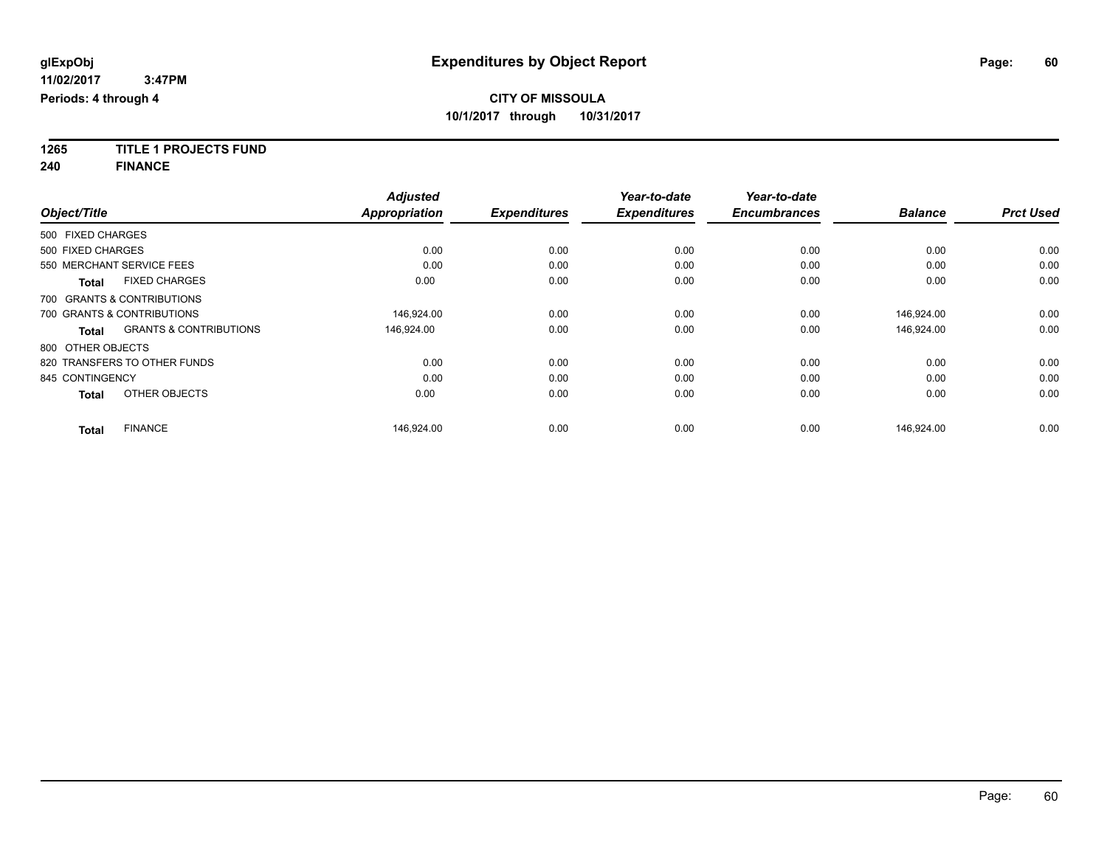**1265 TITLE 1 PROJECTS FUND**

**240 FINANCE**

|                   |                                   | <b>Adjusted</b>      |                     | Year-to-date        | Year-to-date        |                |                  |
|-------------------|-----------------------------------|----------------------|---------------------|---------------------|---------------------|----------------|------------------|
| Object/Title      |                                   | <b>Appropriation</b> | <b>Expenditures</b> | <b>Expenditures</b> | <b>Encumbrances</b> | <b>Balance</b> | <b>Prct Used</b> |
| 500 FIXED CHARGES |                                   |                      |                     |                     |                     |                |                  |
| 500 FIXED CHARGES |                                   | 0.00                 | 0.00                | 0.00                | 0.00                | 0.00           | 0.00             |
|                   | 550 MERCHANT SERVICE FEES         | 0.00                 | 0.00                | 0.00                | 0.00                | 0.00           | 0.00             |
| <b>Total</b>      | <b>FIXED CHARGES</b>              | 0.00                 | 0.00                | 0.00                | 0.00                | 0.00           | 0.00             |
|                   | 700 GRANTS & CONTRIBUTIONS        |                      |                     |                     |                     |                |                  |
|                   | 700 GRANTS & CONTRIBUTIONS        | 146,924.00           | 0.00                | 0.00                | 0.00                | 146,924.00     | 0.00             |
| <b>Total</b>      | <b>GRANTS &amp; CONTRIBUTIONS</b> | 146,924.00           | 0.00                | 0.00                | 0.00                | 146,924.00     | 0.00             |
| 800 OTHER OBJECTS |                                   |                      |                     |                     |                     |                |                  |
|                   | 820 TRANSFERS TO OTHER FUNDS      | 0.00                 | 0.00                | 0.00                | 0.00                | 0.00           | 0.00             |
| 845 CONTINGENCY   |                                   | 0.00                 | 0.00                | 0.00                | 0.00                | 0.00           | 0.00             |
| <b>Total</b>      | OTHER OBJECTS                     | 0.00                 | 0.00                | 0.00                | 0.00                | 0.00           | 0.00             |
| <b>Total</b>      | <b>FINANCE</b>                    | 146,924.00           | 0.00                | 0.00                | 0.00                | 146,924.00     | 0.00             |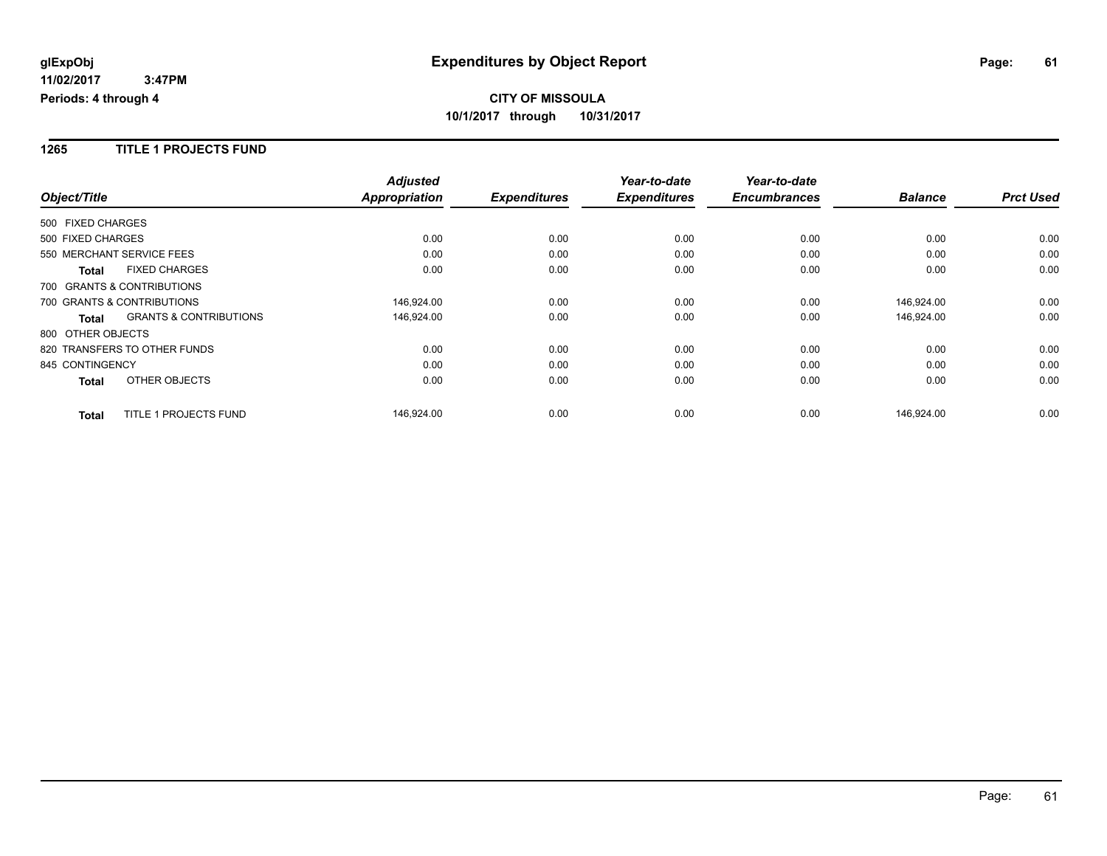#### **1265 TITLE 1 PROJECTS FUND**

|                                                   | <b>Adjusted</b>      |                     | Year-to-date        | Year-to-date        |                |                  |
|---------------------------------------------------|----------------------|---------------------|---------------------|---------------------|----------------|------------------|
| Object/Title                                      | <b>Appropriation</b> | <b>Expenditures</b> | <b>Expenditures</b> | <b>Encumbrances</b> | <b>Balance</b> | <b>Prct Used</b> |
| 500 FIXED CHARGES                                 |                      |                     |                     |                     |                |                  |
| 500 FIXED CHARGES                                 | 0.00                 | 0.00                | 0.00                | 0.00                | 0.00           | 0.00             |
| 550 MERCHANT SERVICE FEES                         | 0.00                 | 0.00                | 0.00                | 0.00                | 0.00           | 0.00             |
| <b>FIXED CHARGES</b><br><b>Total</b>              | 0.00                 | 0.00                | 0.00                | 0.00                | 0.00           | 0.00             |
| 700 GRANTS & CONTRIBUTIONS                        |                      |                     |                     |                     |                |                  |
| 700 GRANTS & CONTRIBUTIONS                        | 146,924.00           | 0.00                | 0.00                | 0.00                | 146,924.00     | 0.00             |
| <b>GRANTS &amp; CONTRIBUTIONS</b><br><b>Total</b> | 146,924.00           | 0.00                | 0.00                | 0.00                | 146,924.00     | 0.00             |
| 800 OTHER OBJECTS                                 |                      |                     |                     |                     |                |                  |
| 820 TRANSFERS TO OTHER FUNDS                      | 0.00                 | 0.00                | 0.00                | 0.00                | 0.00           | 0.00             |
| 845 CONTINGENCY                                   | 0.00                 | 0.00                | 0.00                | 0.00                | 0.00           | 0.00             |
| OTHER OBJECTS<br><b>Total</b>                     | 0.00                 | 0.00                | 0.00                | 0.00                | 0.00           | 0.00             |
| TITLE 1 PROJECTS FUND<br><b>Total</b>             | 146,924.00           | 0.00                | 0.00                | 0.00                | 146,924.00     | 0.00             |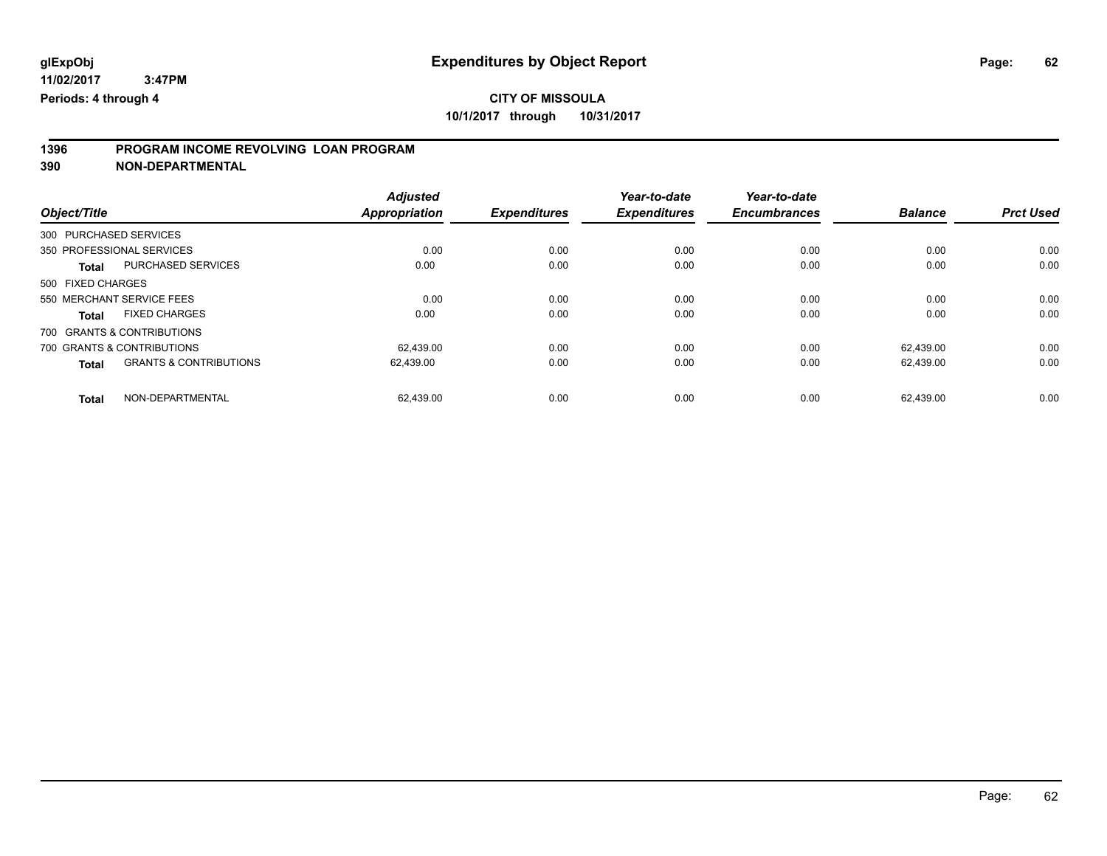# **1396 PROGRAM INCOME REVOLVING LOAN PROGRAM**

**390 NON-DEPARTMENTAL**

|                   |                                   | <b>Adjusted</b>      |                     | Year-to-date        | Year-to-date        |                |                  |
|-------------------|-----------------------------------|----------------------|---------------------|---------------------|---------------------|----------------|------------------|
| Object/Title      |                                   | <b>Appropriation</b> | <b>Expenditures</b> | <b>Expenditures</b> | <b>Encumbrances</b> | <b>Balance</b> | <b>Prct Used</b> |
|                   | 300 PURCHASED SERVICES            |                      |                     |                     |                     |                |                  |
|                   | 350 PROFESSIONAL SERVICES         | 0.00                 | 0.00                | 0.00                | 0.00                | 0.00           | 0.00             |
| <b>Total</b>      | PURCHASED SERVICES                | 0.00                 | 0.00                | 0.00                | 0.00                | 0.00           | 0.00             |
| 500 FIXED CHARGES |                                   |                      |                     |                     |                     |                |                  |
|                   | 550 MERCHANT SERVICE FEES         | 0.00                 | 0.00                | 0.00                | 0.00                | 0.00           | 0.00             |
| <b>Total</b>      | <b>FIXED CHARGES</b>              | 0.00                 | 0.00                | 0.00                | 0.00                | 0.00           | 0.00             |
|                   | 700 GRANTS & CONTRIBUTIONS        |                      |                     |                     |                     |                |                  |
|                   | 700 GRANTS & CONTRIBUTIONS        | 62.439.00            | 0.00                | 0.00                | 0.00                | 62.439.00      | 0.00             |
| <b>Total</b>      | <b>GRANTS &amp; CONTRIBUTIONS</b> | 62,439.00            | 0.00                | 0.00                | 0.00                | 62,439.00      | 0.00             |
| Total             | NON-DEPARTMENTAL                  | 62.439.00            | 0.00                | 0.00                | 0.00                | 62.439.00      | 0.00             |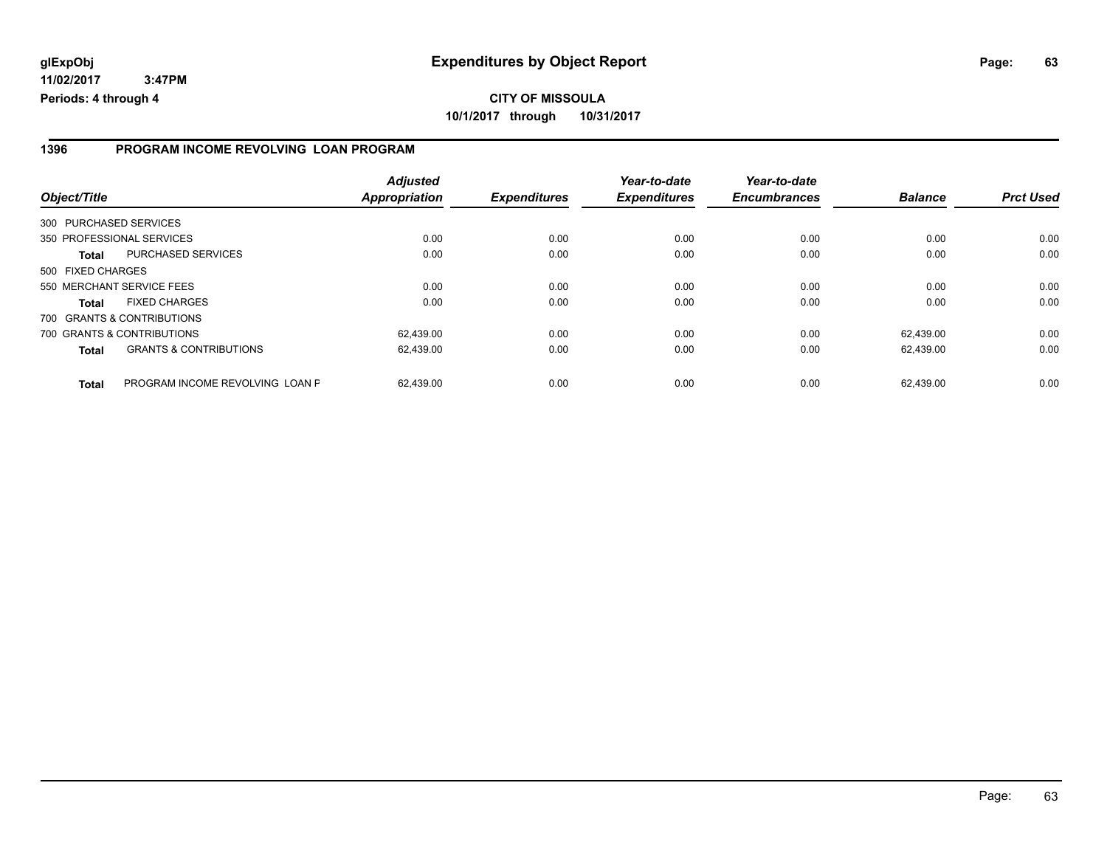## **CITY OF MISSOULA 10/1/2017 through 10/31/2017**

#### **1396 PROGRAM INCOME REVOLVING LOAN PROGRAM**

| Object/Title           |                                   | <b>Adjusted</b><br>Appropriation | <b>Expenditures</b> | Year-to-date<br><b>Expenditures</b> | Year-to-date<br><b>Encumbrances</b> | <b>Balance</b> | <b>Prct Used</b> |
|------------------------|-----------------------------------|----------------------------------|---------------------|-------------------------------------|-------------------------------------|----------------|------------------|
| 300 PURCHASED SERVICES |                                   |                                  |                     |                                     |                                     |                |                  |
|                        | 350 PROFESSIONAL SERVICES         | 0.00                             | 0.00                | 0.00                                | 0.00                                | 0.00           | 0.00             |
| Total                  | PURCHASED SERVICES                | 0.00                             | 0.00                | 0.00                                | 0.00                                | 0.00           | 0.00             |
| 500 FIXED CHARGES      |                                   |                                  |                     |                                     |                                     |                |                  |
|                        | 550 MERCHANT SERVICE FEES         | 0.00                             | 0.00                | 0.00                                | 0.00                                | 0.00           | 0.00             |
| Total                  | <b>FIXED CHARGES</b>              | 0.00                             | 0.00                | 0.00                                | 0.00                                | 0.00           | 0.00             |
|                        | 700 GRANTS & CONTRIBUTIONS        |                                  |                     |                                     |                                     |                |                  |
|                        | 700 GRANTS & CONTRIBUTIONS        | 62.439.00                        | 0.00                | 0.00                                | 0.00                                | 62.439.00      | 0.00             |
| <b>Total</b>           | <b>GRANTS &amp; CONTRIBUTIONS</b> | 62,439.00                        | 0.00                | 0.00                                | 0.00                                | 62.439.00      | 0.00             |
| <b>Total</b>           | PROGRAM INCOME REVOLVING LOAN P   | 62.439.00                        | 0.00                | 0.00                                | 0.00                                | 62.439.00      | 0.00             |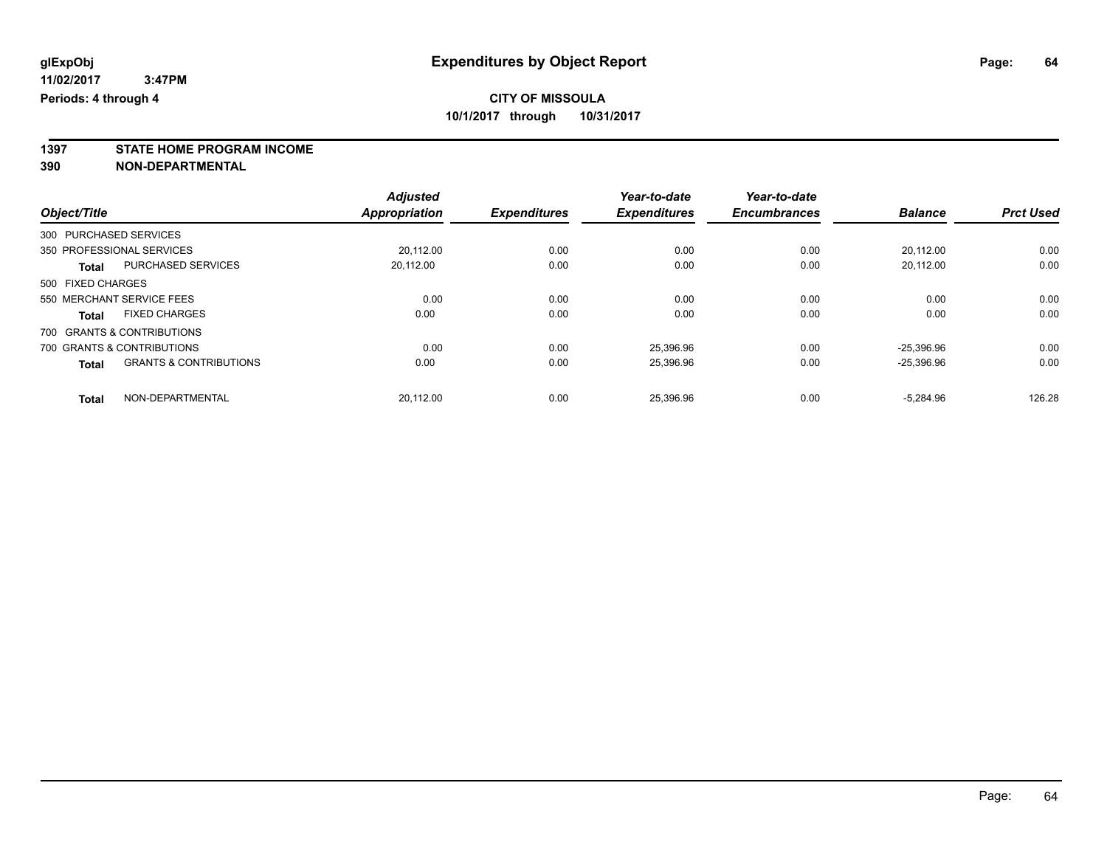**1397 STATE HOME PROGRAM INCOME**

**390 NON-DEPARTMENTAL**

|                   |                                   | <b>Adjusted</b> |                     | Year-to-date        | Year-to-date        |                |                  |
|-------------------|-----------------------------------|-----------------|---------------------|---------------------|---------------------|----------------|------------------|
| Object/Title      |                                   | Appropriation   | <b>Expenditures</b> | <b>Expenditures</b> | <b>Encumbrances</b> | <b>Balance</b> | <b>Prct Used</b> |
|                   | 300 PURCHASED SERVICES            |                 |                     |                     |                     |                |                  |
|                   | 350 PROFESSIONAL SERVICES         | 20.112.00       | 0.00                | 0.00                | 0.00                | 20,112.00      | 0.00             |
| <b>Total</b>      | <b>PURCHASED SERVICES</b>         | 20,112.00       | 0.00                | 0.00                | 0.00                | 20,112.00      | 0.00             |
| 500 FIXED CHARGES |                                   |                 |                     |                     |                     |                |                  |
|                   | 550 MERCHANT SERVICE FEES         | 0.00            | 0.00                | 0.00                | 0.00                | 0.00           | 0.00             |
| <b>Total</b>      | <b>FIXED CHARGES</b>              | 0.00            | 0.00                | 0.00                | 0.00                | 0.00           | 0.00             |
|                   | 700 GRANTS & CONTRIBUTIONS        |                 |                     |                     |                     |                |                  |
|                   | 700 GRANTS & CONTRIBUTIONS        | 0.00            | 0.00                | 25.396.96           | 0.00                | $-25.396.96$   | 0.00             |
| <b>Total</b>      | <b>GRANTS &amp; CONTRIBUTIONS</b> | 0.00            | 0.00                | 25,396.96           | 0.00                | $-25,396.96$   | 0.00             |
| <b>Total</b>      | NON-DEPARTMENTAL                  | 20.112.00       | 0.00                | 25.396.96           | 0.00                | $-5.284.96$    | 126.28           |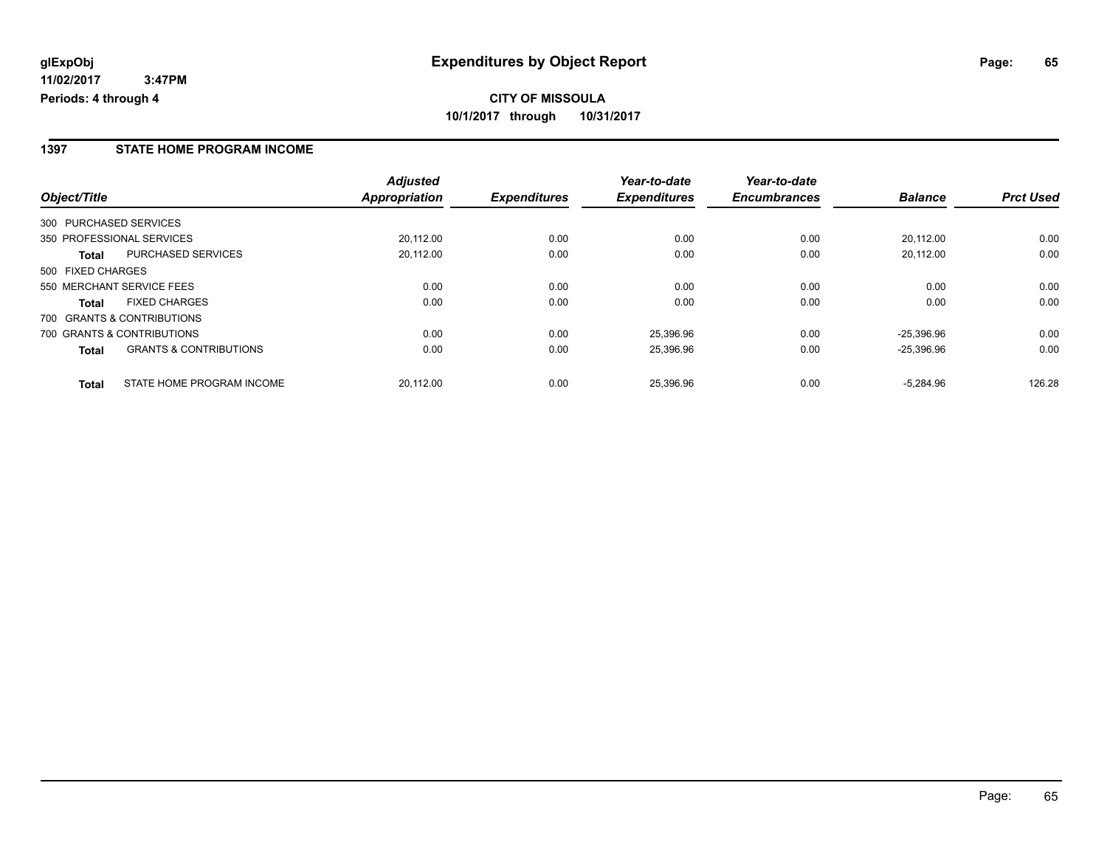#### **1397 STATE HOME PROGRAM INCOME**

|                                                   | <b>Adjusted</b>      |                     | Year-to-date        | Year-to-date        |                |                  |
|---------------------------------------------------|----------------------|---------------------|---------------------|---------------------|----------------|------------------|
| Object/Title                                      | <b>Appropriation</b> | <b>Expenditures</b> | <b>Expenditures</b> | <b>Encumbrances</b> | <b>Balance</b> | <b>Prct Used</b> |
| 300 PURCHASED SERVICES                            |                      |                     |                     |                     |                |                  |
| 350 PROFESSIONAL SERVICES                         | 20.112.00            | 0.00                | 0.00                | 0.00                | 20.112.00      | 0.00             |
| <b>PURCHASED SERVICES</b><br>Total                | 20.112.00            | 0.00                | 0.00                | 0.00                | 20.112.00      | 0.00             |
| 500 FIXED CHARGES                                 |                      |                     |                     |                     |                |                  |
| 550 MERCHANT SERVICE FEES                         | 0.00                 | 0.00                | 0.00                | 0.00                | 0.00           | 0.00             |
| <b>FIXED CHARGES</b><br><b>Total</b>              | 0.00                 | 0.00                | 0.00                | 0.00                | 0.00           | 0.00             |
| 700 GRANTS & CONTRIBUTIONS                        |                      |                     |                     |                     |                |                  |
| 700 GRANTS & CONTRIBUTIONS                        | 0.00                 | 0.00                | 25.396.96           | 0.00                | $-25.396.96$   | 0.00             |
| <b>GRANTS &amp; CONTRIBUTIONS</b><br><b>Total</b> | 0.00                 | 0.00                | 25,396.96           | 0.00                | $-25,396.96$   | 0.00             |
| STATE HOME PROGRAM INCOME<br><b>Total</b>         | 20.112.00            | 0.00                | 25.396.96           | 0.00                | $-5.284.96$    | 126.28           |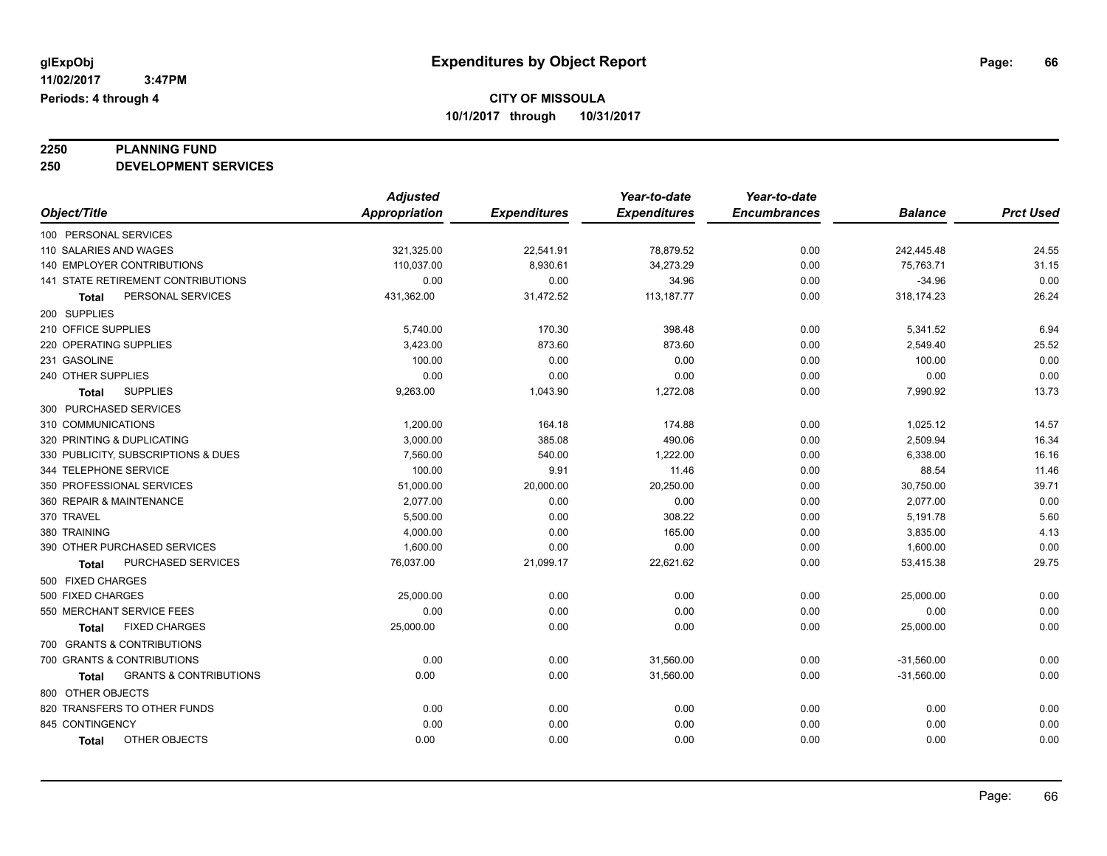# **2250 PLANNING FUND**

**250 DEVELOPMENT SERVICES**

|                                            | <b>Adjusted</b>      |                     | Year-to-date        | Year-to-date        |                |                  |
|--------------------------------------------|----------------------|---------------------|---------------------|---------------------|----------------|------------------|
| Object/Title                               | <b>Appropriation</b> | <b>Expenditures</b> | <b>Expenditures</b> | <b>Encumbrances</b> | <b>Balance</b> | <b>Prct Used</b> |
| 100 PERSONAL SERVICES                      |                      |                     |                     |                     |                |                  |
| 110 SALARIES AND WAGES                     | 321,325.00           | 22,541.91           | 78,879.52           | 0.00                | 242,445.48     | 24.55            |
| 140 EMPLOYER CONTRIBUTIONS                 | 110,037.00           | 8,930.61            | 34,273.29           | 0.00                | 75,763.71      | 31.15            |
| 141 STATE RETIREMENT CONTRIBUTIONS         | 0.00                 | 0.00                | 34.96               | 0.00                | $-34.96$       | 0.00             |
| PERSONAL SERVICES<br>Total                 | 431,362.00           | 31,472.52           | 113, 187. 77        | 0.00                | 318,174.23     | 26.24            |
| 200 SUPPLIES                               |                      |                     |                     |                     |                |                  |
| 210 OFFICE SUPPLIES                        | 5,740.00             | 170.30              | 398.48              | 0.00                | 5,341.52       | 6.94             |
| 220 OPERATING SUPPLIES                     | 3,423.00             | 873.60              | 873.60              | 0.00                | 2,549.40       | 25.52            |
| 231 GASOLINE                               | 100.00               | 0.00                | 0.00                | 0.00                | 100.00         | 0.00             |
| 240 OTHER SUPPLIES                         | 0.00                 | 0.00                | 0.00                | 0.00                | 0.00           | 0.00             |
| <b>SUPPLIES</b><br><b>Total</b>            | 9,263.00             | 1,043.90            | 1,272.08            | 0.00                | 7,990.92       | 13.73            |
| 300 PURCHASED SERVICES                     |                      |                     |                     |                     |                |                  |
| 310 COMMUNICATIONS                         | 1,200.00             | 164.18              | 174.88              | 0.00                | 1,025.12       | 14.57            |
| 320 PRINTING & DUPLICATING                 | 3,000.00             | 385.08              | 490.06              | 0.00                | 2,509.94       | 16.34            |
| 330 PUBLICITY, SUBSCRIPTIONS & DUES        | 7,560.00             | 540.00              | 1,222.00            | 0.00                | 6,338.00       | 16.16            |
| 344 TELEPHONE SERVICE                      | 100.00               | 9.91                | 11.46               | 0.00                | 88.54          | 11.46            |
| 350 PROFESSIONAL SERVICES                  | 51,000.00            | 20,000.00           | 20,250.00           | 0.00                | 30,750.00      | 39.71            |
| 360 REPAIR & MAINTENANCE                   | 2,077.00             | 0.00                | 0.00                | 0.00                | 2,077.00       | 0.00             |
| 370 TRAVEL                                 | 5,500.00             | 0.00                | 308.22              | 0.00                | 5,191.78       | 5.60             |
| 380 TRAINING                               | 4,000.00             | 0.00                | 165.00              | 0.00                | 3,835.00       | 4.13             |
| 390 OTHER PURCHASED SERVICES               | 1,600.00             | 0.00                | 0.00                | 0.00                | 1,600.00       | 0.00             |
| PURCHASED SERVICES<br><b>Total</b>         | 76,037.00            | 21,099.17           | 22,621.62           | 0.00                | 53,415.38      | 29.75            |
| 500 FIXED CHARGES                          |                      |                     |                     |                     |                |                  |
| 500 FIXED CHARGES                          | 25,000.00            | 0.00                | 0.00                | 0.00                | 25,000.00      | 0.00             |
| 550 MERCHANT SERVICE FEES                  | 0.00                 | 0.00                | 0.00                | 0.00                | 0.00           | 0.00             |
| <b>FIXED CHARGES</b><br><b>Total</b>       | 25,000.00            | 0.00                | 0.00                | 0.00                | 25,000.00      | 0.00             |
| 700 GRANTS & CONTRIBUTIONS                 |                      |                     |                     |                     |                |                  |
| 700 GRANTS & CONTRIBUTIONS                 | 0.00                 | 0.00                | 31,560.00           | 0.00                | $-31,560.00$   | 0.00             |
| <b>GRANTS &amp; CONTRIBUTIONS</b><br>Total | 0.00                 | 0.00                | 31,560.00           | 0.00                | $-31,560.00$   | 0.00             |
| 800 OTHER OBJECTS                          |                      |                     |                     |                     |                |                  |
| 820 TRANSFERS TO OTHER FUNDS               | 0.00                 | 0.00                | 0.00                | 0.00                | 0.00           | 0.00             |
| 845 CONTINGENCY                            | 0.00                 | 0.00                | 0.00                | 0.00                | 0.00           | 0.00             |
| OTHER OBJECTS<br><b>Total</b>              | 0.00                 | 0.00                | 0.00                | 0.00                | 0.00           | 0.00             |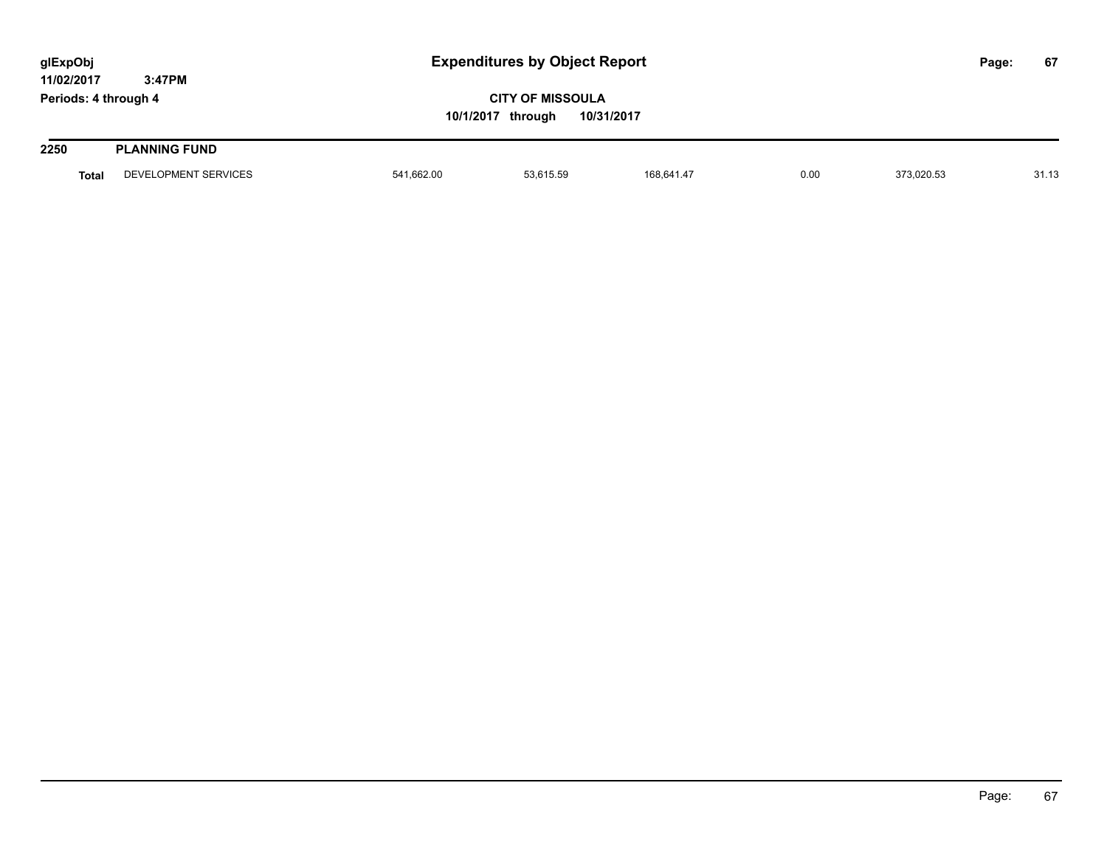| glExpObj                           |                      | <b>Expenditures by Object Report</b> |                                                            |            |      |            | Page: | 67    |
|------------------------------------|----------------------|--------------------------------------|------------------------------------------------------------|------------|------|------------|-------|-------|
| 11/02/2017<br>Periods: 4 through 4 | 3:47PM               |                                      | <b>CITY OF MISSOULA</b><br>10/1/2017 through<br>10/31/2017 |            |      |            |       |       |
| 2250                               | <b>PLANNING FUND</b> |                                      |                                                            |            |      |            |       |       |
| Total                              | DEVELOPMENT SERVICES | 541,662.00                           | 53,615.59                                                  | 168,641.47 | 0.00 | 373,020.53 |       | 31.13 |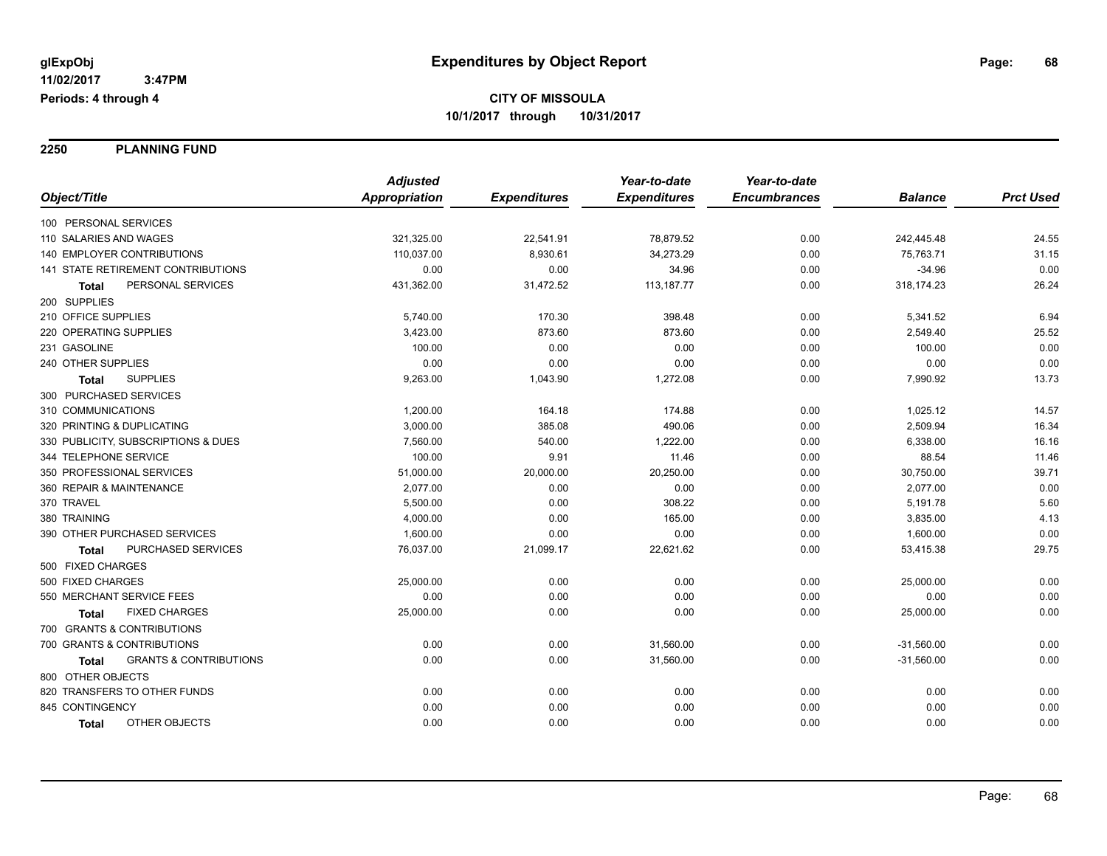**2250 PLANNING FUND**

|                                                   | <b>Adjusted</b>      |                     | Year-to-date        | Year-to-date        |                |                  |
|---------------------------------------------------|----------------------|---------------------|---------------------|---------------------|----------------|------------------|
| Object/Title                                      | <b>Appropriation</b> | <b>Expenditures</b> | <b>Expenditures</b> | <b>Encumbrances</b> | <b>Balance</b> | <b>Prct Used</b> |
| 100 PERSONAL SERVICES                             |                      |                     |                     |                     |                |                  |
| 110 SALARIES AND WAGES                            | 321,325.00           | 22,541.91           | 78,879.52           | 0.00                | 242,445.48     | 24.55            |
| <b>140 EMPLOYER CONTRIBUTIONS</b>                 | 110,037.00           | 8,930.61            | 34,273.29           | 0.00                | 75,763.71      | 31.15            |
| 141 STATE RETIREMENT CONTRIBUTIONS                | 0.00                 | 0.00                | 34.96               | 0.00                | $-34.96$       | 0.00             |
| PERSONAL SERVICES<br><b>Total</b>                 | 431,362.00           | 31,472.52           | 113, 187. 77        | 0.00                | 318,174.23     | 26.24            |
| 200 SUPPLIES                                      |                      |                     |                     |                     |                |                  |
| 210 OFFICE SUPPLIES                               | 5,740.00             | 170.30              | 398.48              | 0.00                | 5,341.52       | 6.94             |
| 220 OPERATING SUPPLIES                            | 3,423.00             | 873.60              | 873.60              | 0.00                | 2,549.40       | 25.52            |
| 231 GASOLINE                                      | 100.00               | 0.00                | 0.00                | 0.00                | 100.00         | 0.00             |
| 240 OTHER SUPPLIES                                | 0.00                 | 0.00                | 0.00                | 0.00                | 0.00           | 0.00             |
| <b>SUPPLIES</b><br>Total                          | 9,263.00             | 1,043.90            | 1,272.08            | 0.00                | 7,990.92       | 13.73            |
| 300 PURCHASED SERVICES                            |                      |                     |                     |                     |                |                  |
| 310 COMMUNICATIONS                                | 1,200.00             | 164.18              | 174.88              | 0.00                | 1,025.12       | 14.57            |
| 320 PRINTING & DUPLICATING                        | 3,000.00             | 385.08              | 490.06              | 0.00                | 2,509.94       | 16.34            |
| 330 PUBLICITY, SUBSCRIPTIONS & DUES               | 7,560.00             | 540.00              | 1,222.00            | 0.00                | 6,338.00       | 16.16            |
| 344 TELEPHONE SERVICE                             | 100.00               | 9.91                | 11.46               | 0.00                | 88.54          | 11.46            |
| 350 PROFESSIONAL SERVICES                         | 51,000.00            | 20,000.00           | 20,250.00           | 0.00                | 30,750.00      | 39.71            |
| 360 REPAIR & MAINTENANCE                          | 2,077.00             | 0.00                | 0.00                | 0.00                | 2,077.00       | 0.00             |
| 370 TRAVEL                                        | 5,500.00             | 0.00                | 308.22              | 0.00                | 5,191.78       | 5.60             |
| 380 TRAINING                                      | 4,000.00             | 0.00                | 165.00              | 0.00                | 3,835.00       | 4.13             |
| 390 OTHER PURCHASED SERVICES                      | 1,600.00             | 0.00                | 0.00                | 0.00                | 1,600.00       | 0.00             |
| PURCHASED SERVICES<br><b>Total</b>                | 76,037.00            | 21,099.17           | 22,621.62           | 0.00                | 53,415.38      | 29.75            |
| 500 FIXED CHARGES                                 |                      |                     |                     |                     |                |                  |
| 500 FIXED CHARGES                                 | 25,000.00            | 0.00                | 0.00                | 0.00                | 25,000.00      | 0.00             |
| 550 MERCHANT SERVICE FEES                         | 0.00                 | 0.00                | 0.00                | 0.00                | 0.00           | 0.00             |
| <b>FIXED CHARGES</b><br><b>Total</b>              | 25,000.00            | 0.00                | 0.00                | 0.00                | 25,000.00      | 0.00             |
| 700 GRANTS & CONTRIBUTIONS                        |                      |                     |                     |                     |                |                  |
| 700 GRANTS & CONTRIBUTIONS                        | 0.00                 | 0.00                | 31,560.00           | 0.00                | $-31,560.00$   | 0.00             |
| <b>GRANTS &amp; CONTRIBUTIONS</b><br><b>Total</b> | 0.00                 | 0.00                | 31,560.00           | 0.00                | $-31,560.00$   | 0.00             |
| 800 OTHER OBJECTS                                 |                      |                     |                     |                     |                |                  |
| 820 TRANSFERS TO OTHER FUNDS                      | 0.00                 | 0.00                | 0.00                | 0.00                | 0.00           | 0.00             |
| 845 CONTINGENCY                                   | 0.00                 | 0.00                | 0.00                | 0.00                | 0.00           | 0.00             |
| OTHER OBJECTS<br><b>Total</b>                     | 0.00                 | 0.00                | 0.00                | 0.00                | 0.00           | 0.00             |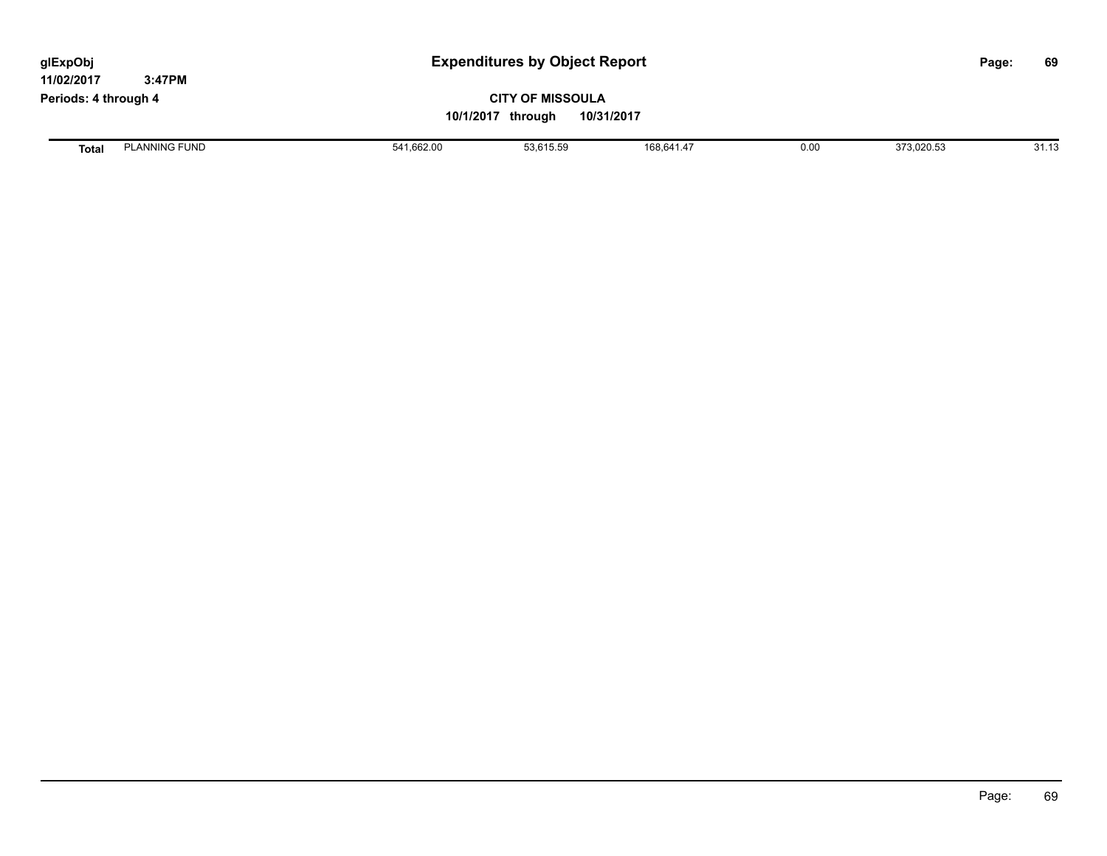| <b>Expenditures by Object Report</b><br>glExpObj<br>11/02/2017<br>3:47PM |                      |            |                         |            |      | 69<br>Page: |       |
|--------------------------------------------------------------------------|----------------------|------------|-------------------------|------------|------|-------------|-------|
| Periods: 4 through 4                                                     |                      |            | <b>CITY OF MISSOULA</b> |            |      |             |       |
|                                                                          |                      |            | 10/1/2017 through       | 10/31/2017 |      |             |       |
| <b>Total</b>                                                             | <b>PLANNING FUND</b> | 541,662.00 | 53,615.59               | 168,641.47 | 0.00 | 373,020.53  | 31.13 |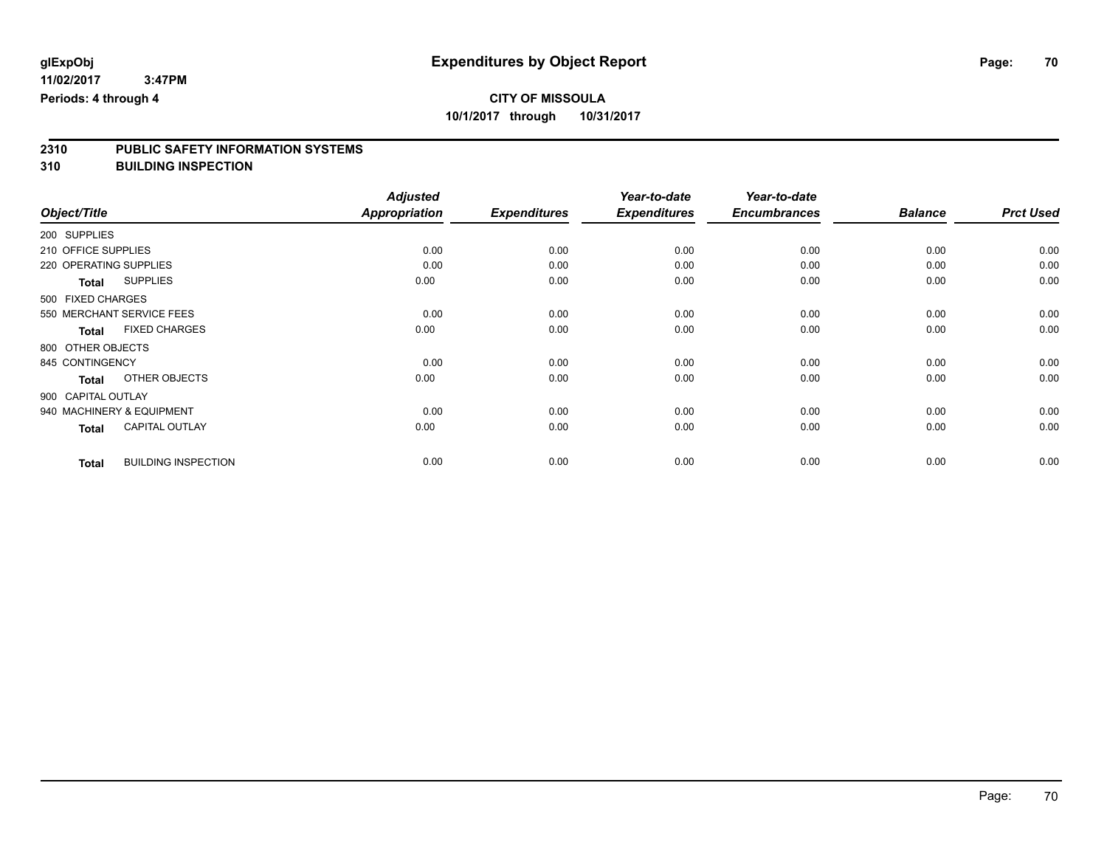# **2310 PUBLIC SAFETY INFORMATION SYSTEMS**

**310 BUILDING INSPECTION**

|                        |                            | <b>Adjusted</b>      |                     | Year-to-date        | Year-to-date        |                |                  |
|------------------------|----------------------------|----------------------|---------------------|---------------------|---------------------|----------------|------------------|
| Object/Title           |                            | <b>Appropriation</b> | <b>Expenditures</b> | <b>Expenditures</b> | <b>Encumbrances</b> | <b>Balance</b> | <b>Prct Used</b> |
| 200 SUPPLIES           |                            |                      |                     |                     |                     |                |                  |
| 210 OFFICE SUPPLIES    |                            | 0.00                 | 0.00                | 0.00                | 0.00                | 0.00           | 0.00             |
| 220 OPERATING SUPPLIES |                            | 0.00                 | 0.00                | 0.00                | 0.00                | 0.00           | 0.00             |
| Total                  | <b>SUPPLIES</b>            | 0.00                 | 0.00                | 0.00                | 0.00                | 0.00           | 0.00             |
| 500 FIXED CHARGES      |                            |                      |                     |                     |                     |                |                  |
|                        | 550 MERCHANT SERVICE FEES  | 0.00                 | 0.00                | 0.00                | 0.00                | 0.00           | 0.00             |
| <b>Total</b>           | <b>FIXED CHARGES</b>       | 0.00                 | 0.00                | 0.00                | 0.00                | 0.00           | 0.00             |
| 800 OTHER OBJECTS      |                            |                      |                     |                     |                     |                |                  |
| 845 CONTINGENCY        |                            | 0.00                 | 0.00                | 0.00                | 0.00                | 0.00           | 0.00             |
| <b>Total</b>           | OTHER OBJECTS              | 0.00                 | 0.00                | 0.00                | 0.00                | 0.00           | 0.00             |
| 900 CAPITAL OUTLAY     |                            |                      |                     |                     |                     |                |                  |
|                        | 940 MACHINERY & EQUIPMENT  | 0.00                 | 0.00                | 0.00                | 0.00                | 0.00           | 0.00             |
| <b>Total</b>           | <b>CAPITAL OUTLAY</b>      | 0.00                 | 0.00                | 0.00                | 0.00                | 0.00           | 0.00             |
| <b>Total</b>           | <b>BUILDING INSPECTION</b> | 0.00                 | 0.00                | 0.00                | 0.00                | 0.00           | 0.00             |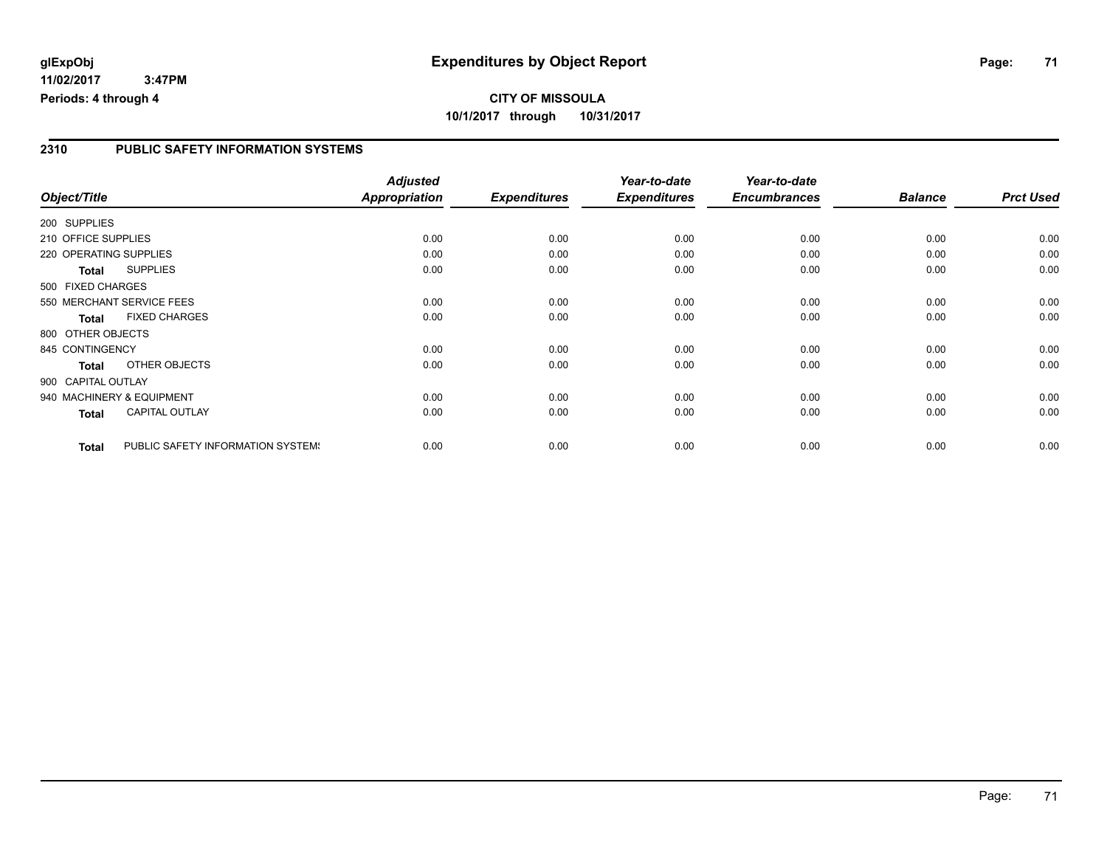#### **2310 PUBLIC SAFETY INFORMATION SYSTEMS**

|                        |                                   | <b>Adjusted</b>      |                     | Year-to-date        | Year-to-date        |                |                  |
|------------------------|-----------------------------------|----------------------|---------------------|---------------------|---------------------|----------------|------------------|
| Object/Title           |                                   | <b>Appropriation</b> | <b>Expenditures</b> | <b>Expenditures</b> | <b>Encumbrances</b> | <b>Balance</b> | <b>Prct Used</b> |
| 200 SUPPLIES           |                                   |                      |                     |                     |                     |                |                  |
| 210 OFFICE SUPPLIES    |                                   | 0.00                 | 0.00                | 0.00                | 0.00                | 0.00           | 0.00             |
| 220 OPERATING SUPPLIES |                                   | 0.00                 | 0.00                | 0.00                | 0.00                | 0.00           | 0.00             |
| Total                  | <b>SUPPLIES</b>                   | 0.00                 | 0.00                | 0.00                | 0.00                | 0.00           | 0.00             |
| 500 FIXED CHARGES      |                                   |                      |                     |                     |                     |                |                  |
|                        | 550 MERCHANT SERVICE FEES         | 0.00                 | 0.00                | 0.00                | 0.00                | 0.00           | 0.00             |
| <b>Total</b>           | <b>FIXED CHARGES</b>              | 0.00                 | 0.00                | 0.00                | 0.00                | 0.00           | 0.00             |
| 800 OTHER OBJECTS      |                                   |                      |                     |                     |                     |                |                  |
| 845 CONTINGENCY        |                                   | 0.00                 | 0.00                | 0.00                | 0.00                | 0.00           | 0.00             |
| <b>Total</b>           | OTHER OBJECTS                     | 0.00                 | 0.00                | 0.00                | 0.00                | 0.00           | 0.00             |
| 900 CAPITAL OUTLAY     |                                   |                      |                     |                     |                     |                |                  |
|                        | 940 MACHINERY & EQUIPMENT         | 0.00                 | 0.00                | 0.00                | 0.00                | 0.00           | 0.00             |
| Total                  | <b>CAPITAL OUTLAY</b>             | 0.00                 | 0.00                | 0.00                | 0.00                | 0.00           | 0.00             |
| <b>Total</b>           | PUBLIC SAFETY INFORMATION SYSTEM! | 0.00                 | 0.00                | 0.00                | 0.00                | 0.00           | 0.00             |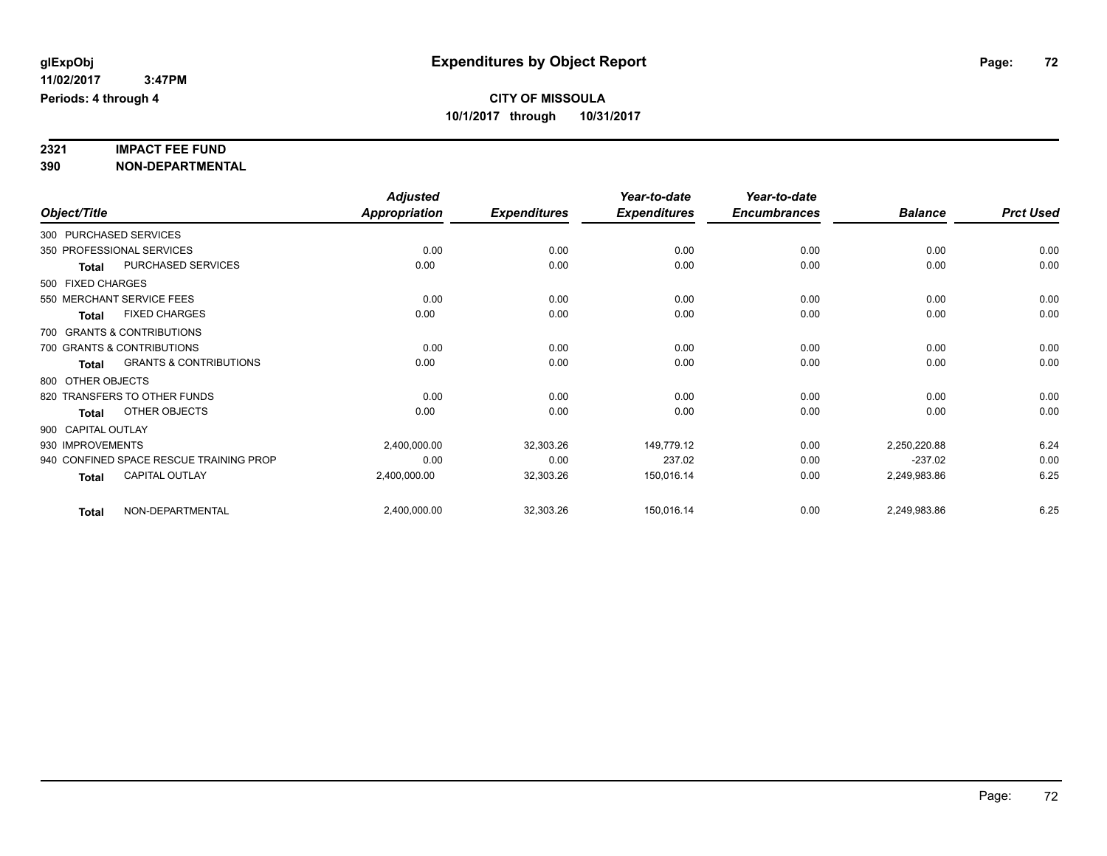# **2321 IMPACT FEE FUND**

**390 NON-DEPARTMENTAL**

|                    |                                         | <b>Adjusted</b>      |                     | Year-to-date        | Year-to-date        |                |                  |
|--------------------|-----------------------------------------|----------------------|---------------------|---------------------|---------------------|----------------|------------------|
| Object/Title       |                                         | <b>Appropriation</b> | <b>Expenditures</b> | <b>Expenditures</b> | <b>Encumbrances</b> | <b>Balance</b> | <b>Prct Used</b> |
|                    | 300 PURCHASED SERVICES                  |                      |                     |                     |                     |                |                  |
|                    | 350 PROFESSIONAL SERVICES               | 0.00                 | 0.00                | 0.00                | 0.00                | 0.00           | 0.00             |
| <b>Total</b>       | <b>PURCHASED SERVICES</b>               | 0.00                 | 0.00                | 0.00                | 0.00                | 0.00           | 0.00             |
| 500 FIXED CHARGES  |                                         |                      |                     |                     |                     |                |                  |
|                    | 550 MERCHANT SERVICE FEES               | 0.00                 | 0.00                | 0.00                | 0.00                | 0.00           | 0.00             |
| <b>Total</b>       | <b>FIXED CHARGES</b>                    | 0.00                 | 0.00                | 0.00                | 0.00                | 0.00           | 0.00             |
|                    | 700 GRANTS & CONTRIBUTIONS              |                      |                     |                     |                     |                |                  |
|                    | 700 GRANTS & CONTRIBUTIONS              | 0.00                 | 0.00                | 0.00                | 0.00                | 0.00           | 0.00             |
| <b>Total</b>       | <b>GRANTS &amp; CONTRIBUTIONS</b>       | 0.00                 | 0.00                | 0.00                | 0.00                | 0.00           | 0.00             |
| 800 OTHER OBJECTS  |                                         |                      |                     |                     |                     |                |                  |
|                    | 820 TRANSFERS TO OTHER FUNDS            | 0.00                 | 0.00                | 0.00                | 0.00                | 0.00           | 0.00             |
| <b>Total</b>       | OTHER OBJECTS                           | 0.00                 | 0.00                | 0.00                | 0.00                | 0.00           | 0.00             |
| 900 CAPITAL OUTLAY |                                         |                      |                     |                     |                     |                |                  |
| 930 IMPROVEMENTS   |                                         | 2,400,000.00         | 32,303.26           | 149,779.12          | 0.00                | 2,250,220.88   | 6.24             |
|                    | 940 CONFINED SPACE RESCUE TRAINING PROP | 0.00                 | 0.00                | 237.02              | 0.00                | $-237.02$      | 0.00             |
| <b>Total</b>       | CAPITAL OUTLAY                          | 2,400,000.00         | 32,303.26           | 150,016.14          | 0.00                | 2,249,983.86   | 6.25             |
| <b>Total</b>       | NON-DEPARTMENTAL                        | 2,400,000.00         | 32,303.26           | 150,016.14          | 0.00                | 2,249,983.86   | 6.25             |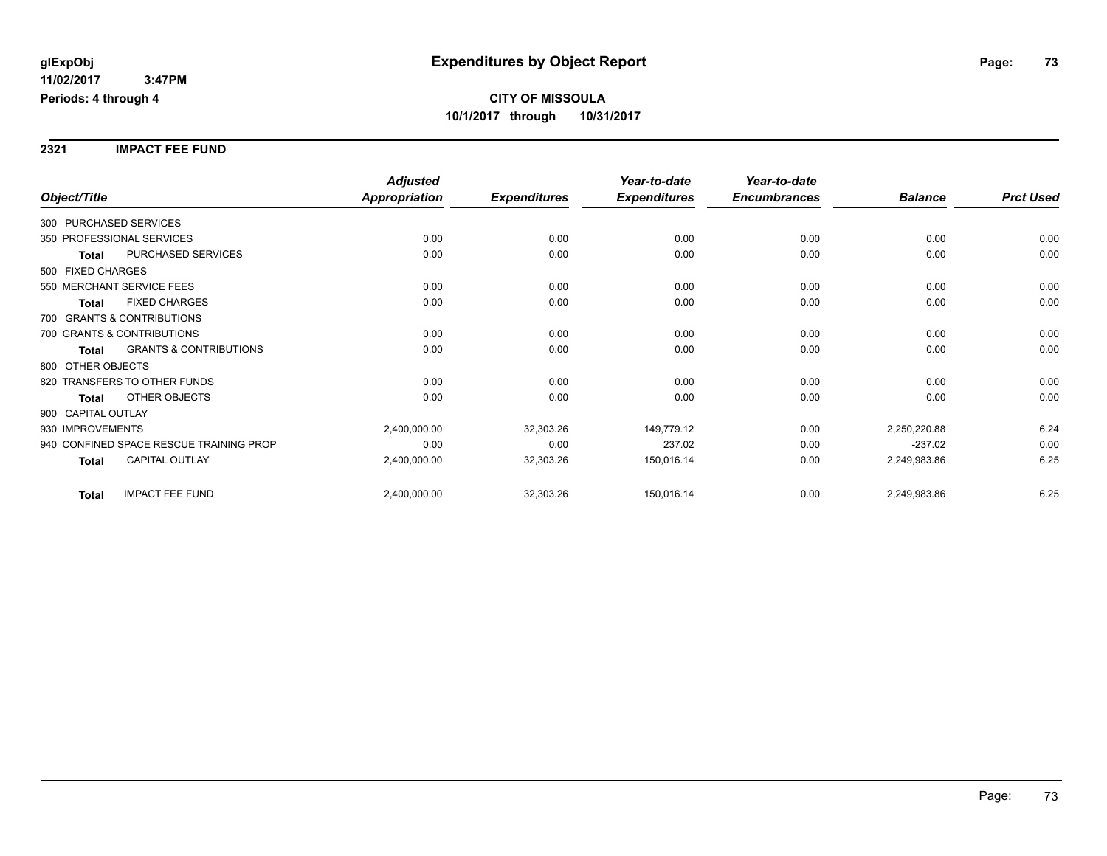**2321 IMPACT FEE FUND**

|                                                   | <b>Adjusted</b>      |                     | Year-to-date        | Year-to-date        |                |                  |
|---------------------------------------------------|----------------------|---------------------|---------------------|---------------------|----------------|------------------|
| Object/Title                                      | <b>Appropriation</b> | <b>Expenditures</b> | <b>Expenditures</b> | <b>Encumbrances</b> | <b>Balance</b> | <b>Prct Used</b> |
| 300 PURCHASED SERVICES                            |                      |                     |                     |                     |                |                  |
| 350 PROFESSIONAL SERVICES                         | 0.00                 | 0.00                | 0.00                | 0.00                | 0.00           | 0.00             |
| PURCHASED SERVICES<br><b>Total</b>                | 0.00                 | 0.00                | 0.00                | 0.00                | 0.00           | 0.00             |
| 500 FIXED CHARGES                                 |                      |                     |                     |                     |                |                  |
| 550 MERCHANT SERVICE FEES                         | 0.00                 | 0.00                | 0.00                | 0.00                | 0.00           | 0.00             |
| <b>FIXED CHARGES</b><br><b>Total</b>              | 0.00                 | 0.00                | 0.00                | 0.00                | 0.00           | 0.00             |
| 700 GRANTS & CONTRIBUTIONS                        |                      |                     |                     |                     |                |                  |
| 700 GRANTS & CONTRIBUTIONS                        | 0.00                 | 0.00                | 0.00                | 0.00                | 0.00           | 0.00             |
| <b>GRANTS &amp; CONTRIBUTIONS</b><br><b>Total</b> | 0.00                 | 0.00                | 0.00                | 0.00                | 0.00           | 0.00             |
| 800 OTHER OBJECTS                                 |                      |                     |                     |                     |                |                  |
| 820 TRANSFERS TO OTHER FUNDS                      | 0.00                 | 0.00                | 0.00                | 0.00                | 0.00           | 0.00             |
| OTHER OBJECTS<br><b>Total</b>                     | 0.00                 | 0.00                | 0.00                | 0.00                | 0.00           | 0.00             |
| 900 CAPITAL OUTLAY                                |                      |                     |                     |                     |                |                  |
| 930 IMPROVEMENTS                                  | 2,400,000.00         | 32,303.26           | 149,779.12          | 0.00                | 2,250,220.88   | 6.24             |
| 940 CONFINED SPACE RESCUE TRAINING PROP           | 0.00                 | 0.00                | 237.02              | 0.00                | $-237.02$      | 0.00             |
| <b>CAPITAL OUTLAY</b><br><b>Total</b>             | 2,400,000.00         | 32,303.26           | 150,016.14          | 0.00                | 2,249,983.86   | 6.25             |
| <b>IMPACT FEE FUND</b><br><b>Total</b>            | 2,400,000.00         | 32,303.26           | 150,016.14          | 0.00                | 2,249,983.86   | 6.25             |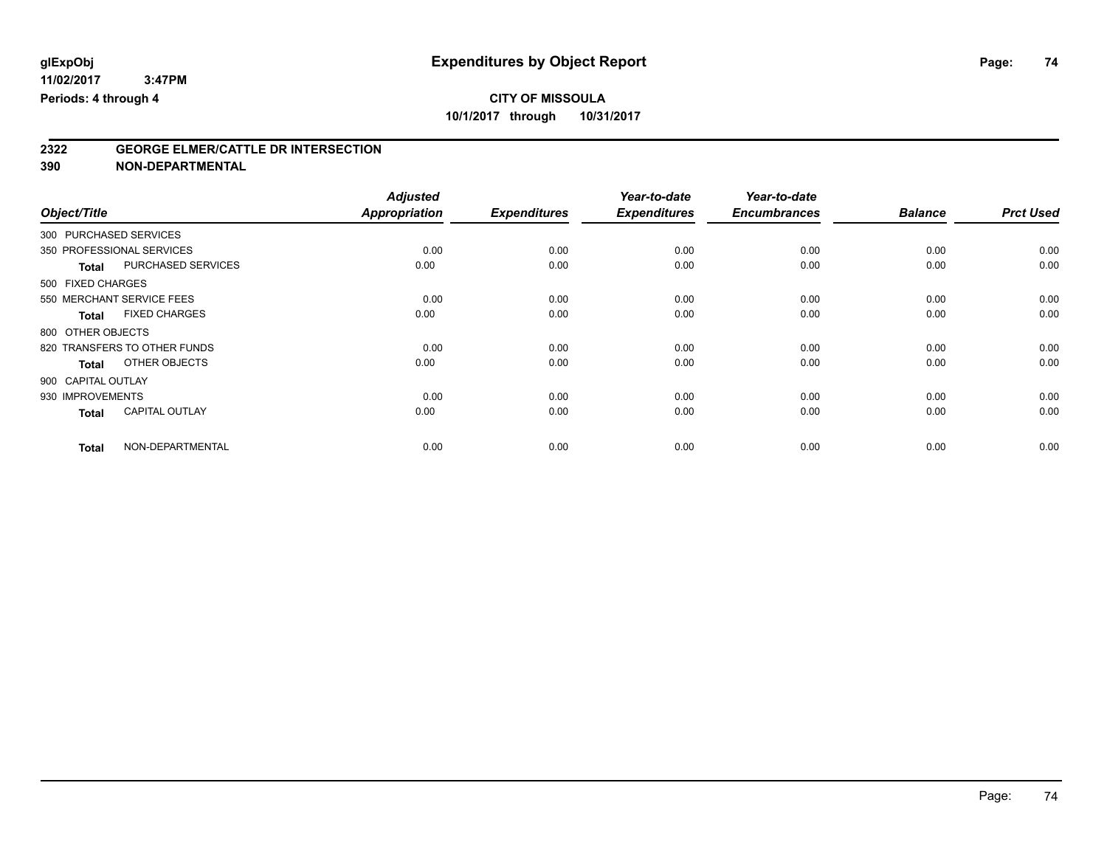# **2322 GEORGE ELMER/CATTLE DR INTERSECTION**

**390 NON-DEPARTMENTAL**

|                                       | <b>Adjusted</b>      |                     | Year-to-date        | Year-to-date        |                |                  |
|---------------------------------------|----------------------|---------------------|---------------------|---------------------|----------------|------------------|
| Object/Title                          | <b>Appropriation</b> | <b>Expenditures</b> | <b>Expenditures</b> | <b>Encumbrances</b> | <b>Balance</b> | <b>Prct Used</b> |
| 300 PURCHASED SERVICES                |                      |                     |                     |                     |                |                  |
| 350 PROFESSIONAL SERVICES             | 0.00                 | 0.00                | 0.00                | 0.00                | 0.00           | 0.00             |
| PURCHASED SERVICES<br><b>Total</b>    | 0.00                 | 0.00                | 0.00                | 0.00                | 0.00           | 0.00             |
| 500 FIXED CHARGES                     |                      |                     |                     |                     |                |                  |
| 550 MERCHANT SERVICE FEES             | 0.00                 | 0.00                | 0.00                | 0.00                | 0.00           | 0.00             |
| <b>FIXED CHARGES</b><br><b>Total</b>  | 0.00                 | 0.00                | 0.00                | 0.00                | 0.00           | 0.00             |
| 800 OTHER OBJECTS                     |                      |                     |                     |                     |                |                  |
| 820 TRANSFERS TO OTHER FUNDS          | 0.00                 | 0.00                | 0.00                | 0.00                | 0.00           | 0.00             |
| OTHER OBJECTS<br><b>Total</b>         | 0.00                 | 0.00                | 0.00                | 0.00                | 0.00           | 0.00             |
| 900 CAPITAL OUTLAY                    |                      |                     |                     |                     |                |                  |
| 930 IMPROVEMENTS                      | 0.00                 | 0.00                | 0.00                | 0.00                | 0.00           | 0.00             |
| <b>CAPITAL OUTLAY</b><br><b>Total</b> | 0.00                 | 0.00                | 0.00                | 0.00                | 0.00           | 0.00             |
| NON-DEPARTMENTAL<br><b>Total</b>      | 0.00                 | 0.00                | 0.00                | 0.00                | 0.00           | 0.00             |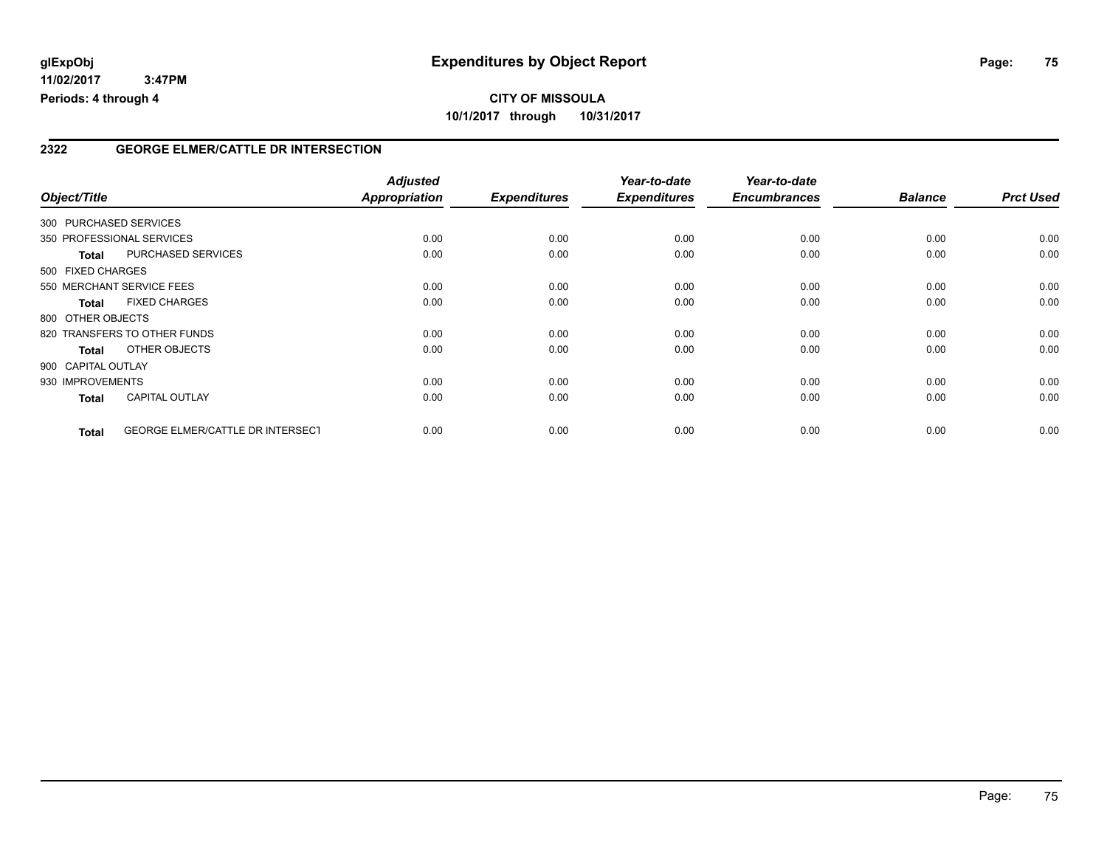# **CITY OF MISSOULA 10/1/2017 through 10/31/2017**

### **2322 GEORGE ELMER/CATTLE DR INTERSECTION**

| Object/Title           |                                         | <b>Adjusted</b><br><b>Appropriation</b> | <b>Expenditures</b> | Year-to-date<br><b>Expenditures</b> | Year-to-date<br><b>Encumbrances</b> | <b>Balance</b> | <b>Prct Used</b> |
|------------------------|-----------------------------------------|-----------------------------------------|---------------------|-------------------------------------|-------------------------------------|----------------|------------------|
| 300 PURCHASED SERVICES |                                         |                                         |                     |                                     |                                     |                |                  |
|                        | 350 PROFESSIONAL SERVICES               | 0.00                                    | 0.00                | 0.00                                | 0.00                                | 0.00           | 0.00             |
| <b>Total</b>           | PURCHASED SERVICES                      | 0.00                                    | 0.00                | 0.00                                | 0.00                                | 0.00           | 0.00             |
| 500 FIXED CHARGES      |                                         |                                         |                     |                                     |                                     |                |                  |
|                        | 550 MERCHANT SERVICE FEES               | 0.00                                    | 0.00                | 0.00                                | 0.00                                | 0.00           | 0.00             |
| <b>Total</b>           | <b>FIXED CHARGES</b>                    | 0.00                                    | 0.00                | 0.00                                | 0.00                                | 0.00           | 0.00             |
| 800 OTHER OBJECTS      |                                         |                                         |                     |                                     |                                     |                |                  |
|                        | 820 TRANSFERS TO OTHER FUNDS            | 0.00                                    | 0.00                | 0.00                                | 0.00                                | 0.00           | 0.00             |
| Total                  | OTHER OBJECTS                           | 0.00                                    | 0.00                | 0.00                                | 0.00                                | 0.00           | 0.00             |
| 900 CAPITAL OUTLAY     |                                         |                                         |                     |                                     |                                     |                |                  |
| 930 IMPROVEMENTS       |                                         | 0.00                                    | 0.00                | 0.00                                | 0.00                                | 0.00           | 0.00             |
| <b>Total</b>           | <b>CAPITAL OUTLAY</b>                   | 0.00                                    | 0.00                | 0.00                                | 0.00                                | 0.00           | 0.00             |
| <b>Total</b>           | <b>GEORGE ELMER/CATTLE DR INTERSECT</b> | 0.00                                    | 0.00                | 0.00                                | 0.00                                | 0.00           | 0.00             |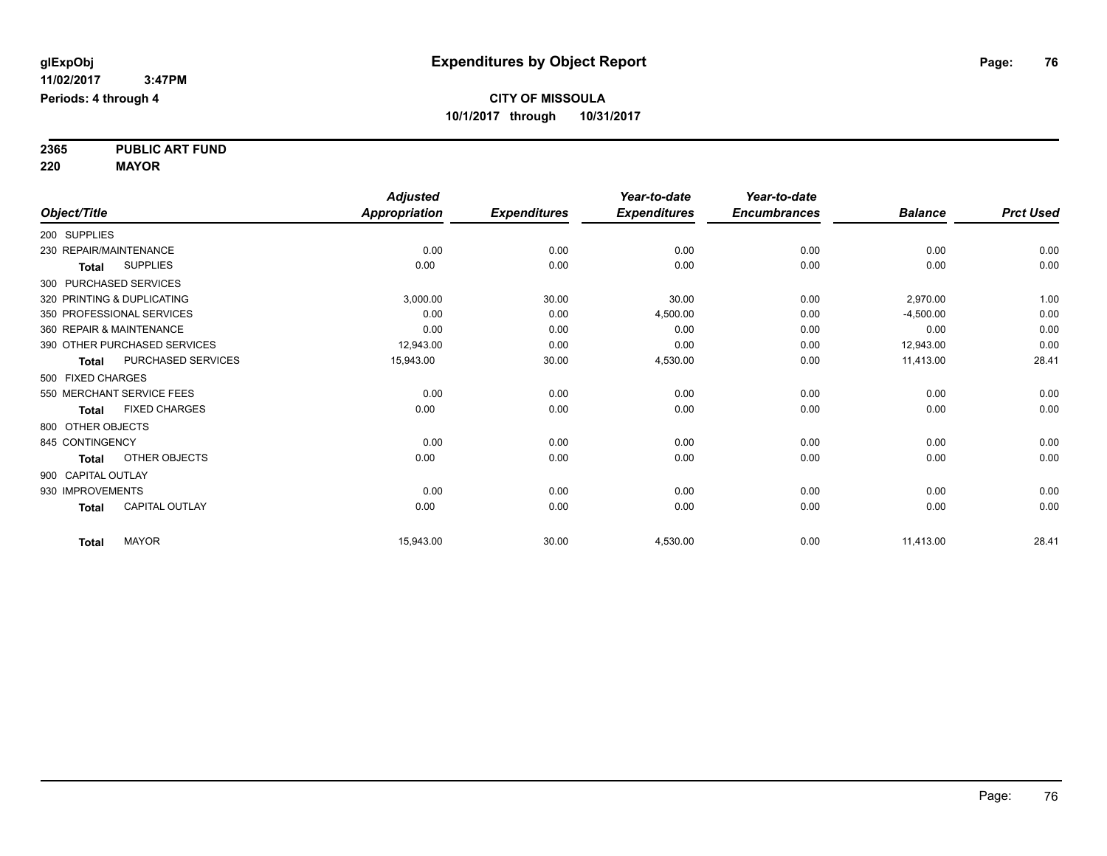**2365 PUBLIC ART FUND 220 MAYOR**

|                          |                              | <b>Adjusted</b> |                     | Year-to-date        | Year-to-date        |                |                  |
|--------------------------|------------------------------|-----------------|---------------------|---------------------|---------------------|----------------|------------------|
| Object/Title             |                              | Appropriation   | <b>Expenditures</b> | <b>Expenditures</b> | <b>Encumbrances</b> | <b>Balance</b> | <b>Prct Used</b> |
| 200 SUPPLIES             |                              |                 |                     |                     |                     |                |                  |
| 230 REPAIR/MAINTENANCE   |                              | 0.00            | 0.00                | 0.00                | 0.00                | 0.00           | 0.00             |
| <b>Total</b>             | <b>SUPPLIES</b>              | 0.00            | 0.00                | 0.00                | 0.00                | 0.00           | 0.00             |
| 300 PURCHASED SERVICES   |                              |                 |                     |                     |                     |                |                  |
|                          | 320 PRINTING & DUPLICATING   | 3,000.00        | 30.00               | 30.00               | 0.00                | 2,970.00       | 1.00             |
|                          | 350 PROFESSIONAL SERVICES    | 0.00            | 0.00                | 4,500.00            | 0.00                | $-4,500.00$    | 0.00             |
| 360 REPAIR & MAINTENANCE |                              | 0.00            | 0.00                | 0.00                | 0.00                | 0.00           | 0.00             |
|                          | 390 OTHER PURCHASED SERVICES | 12,943.00       | 0.00                | 0.00                | 0.00                | 12,943.00      | 0.00             |
| <b>Total</b>             | PURCHASED SERVICES           | 15,943.00       | 30.00               | 4,530.00            | 0.00                | 11,413.00      | 28.41            |
| 500 FIXED CHARGES        |                              |                 |                     |                     |                     |                |                  |
|                          | 550 MERCHANT SERVICE FEES    | 0.00            | 0.00                | 0.00                | 0.00                | 0.00           | 0.00             |
| <b>Total</b>             | <b>FIXED CHARGES</b>         | 0.00            | 0.00                | 0.00                | 0.00                | 0.00           | 0.00             |
| 800 OTHER OBJECTS        |                              |                 |                     |                     |                     |                |                  |
| 845 CONTINGENCY          |                              | 0.00            | 0.00                | 0.00                | 0.00                | 0.00           | 0.00             |
| Total                    | OTHER OBJECTS                | 0.00            | 0.00                | 0.00                | 0.00                | 0.00           | 0.00             |
| 900 CAPITAL OUTLAY       |                              |                 |                     |                     |                     |                |                  |
| 930 IMPROVEMENTS         |                              | 0.00            | 0.00                | 0.00                | 0.00                | 0.00           | 0.00             |
| <b>Total</b>             | <b>CAPITAL OUTLAY</b>        | 0.00            | 0.00                | 0.00                | 0.00                | 0.00           | 0.00             |
| <b>Total</b>             | <b>MAYOR</b>                 | 15,943.00       | 30.00               | 4,530.00            | 0.00                | 11,413.00      | 28.41            |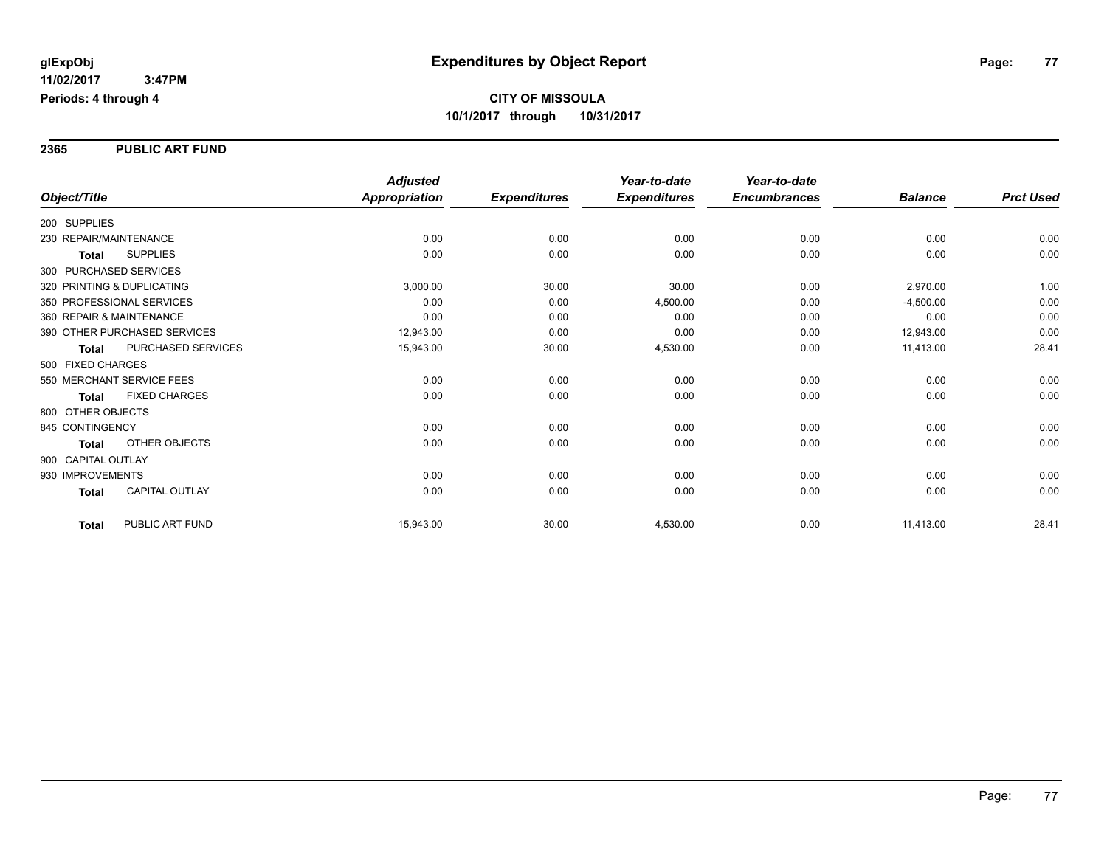#### **2365 PUBLIC ART FUND**

|                                       | <b>Adjusted</b>      |                     | Year-to-date        | Year-to-date        |                |                  |
|---------------------------------------|----------------------|---------------------|---------------------|---------------------|----------------|------------------|
| Object/Title                          | <b>Appropriation</b> | <b>Expenditures</b> | <b>Expenditures</b> | <b>Encumbrances</b> | <b>Balance</b> | <b>Prct Used</b> |
| 200 SUPPLIES                          |                      |                     |                     |                     |                |                  |
| 230 REPAIR/MAINTENANCE                | 0.00                 | 0.00                | 0.00                | 0.00                | 0.00           | 0.00             |
| <b>SUPPLIES</b><br><b>Total</b>       | 0.00                 | 0.00                | 0.00                | 0.00                | 0.00           | 0.00             |
| 300 PURCHASED SERVICES                |                      |                     |                     |                     |                |                  |
| 320 PRINTING & DUPLICATING            | 3,000.00             | 30.00               | 30.00               | 0.00                | 2,970.00       | 1.00             |
| 350 PROFESSIONAL SERVICES             | 0.00                 | 0.00                | 4,500.00            | 0.00                | $-4,500.00$    | 0.00             |
| 360 REPAIR & MAINTENANCE              | 0.00                 | 0.00                | 0.00                | 0.00                | 0.00           | 0.00             |
| 390 OTHER PURCHASED SERVICES          | 12,943.00            | 0.00                | 0.00                | 0.00                | 12,943.00      | 0.00             |
| PURCHASED SERVICES<br><b>Total</b>    | 15,943.00            | 30.00               | 4,530.00            | 0.00                | 11,413.00      | 28.41            |
| 500 FIXED CHARGES                     |                      |                     |                     |                     |                |                  |
| 550 MERCHANT SERVICE FEES             | 0.00                 | 0.00                | 0.00                | 0.00                | 0.00           | 0.00             |
| <b>FIXED CHARGES</b><br><b>Total</b>  | 0.00                 | 0.00                | 0.00                | 0.00                | 0.00           | 0.00             |
| 800 OTHER OBJECTS                     |                      |                     |                     |                     |                |                  |
| 845 CONTINGENCY                       | 0.00                 | 0.00                | 0.00                | 0.00                | 0.00           | 0.00             |
| <b>OTHER OBJECTS</b><br><b>Total</b>  | 0.00                 | 0.00                | 0.00                | 0.00                | 0.00           | 0.00             |
| 900 CAPITAL OUTLAY                    |                      |                     |                     |                     |                |                  |
| 930 IMPROVEMENTS                      | 0.00                 | 0.00                | 0.00                | 0.00                | 0.00           | 0.00             |
| <b>CAPITAL OUTLAY</b><br><b>Total</b> | 0.00                 | 0.00                | 0.00                | 0.00                | 0.00           | 0.00             |
| PUBLIC ART FUND<br><b>Total</b>       | 15,943.00            | 30.00               | 4,530.00            | 0.00                | 11,413.00      | 28.41            |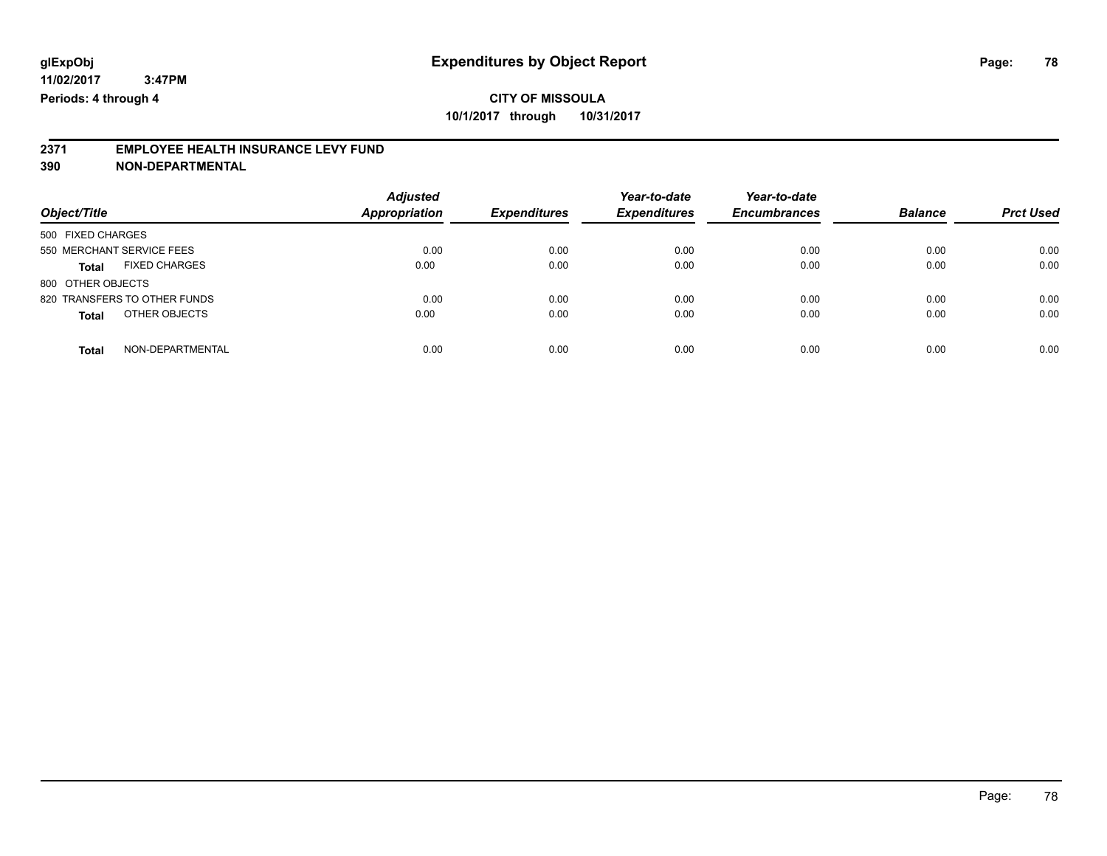# **2371 EMPLOYEE HEALTH INSURANCE LEVY FUND**

**390 NON-DEPARTMENTAL**

| Object/Title                         | <b>Adjusted</b><br>Appropriation | <b>Expenditures</b> | Year-to-date<br><b>Expenditures</b> | Year-to-date<br><b>Encumbrances</b> | <b>Balance</b> | <b>Prct Used</b> |
|--------------------------------------|----------------------------------|---------------------|-------------------------------------|-------------------------------------|----------------|------------------|
| 500 FIXED CHARGES                    |                                  |                     |                                     |                                     |                |                  |
| 550 MERCHANT SERVICE FEES            | 0.00                             | 0.00                | 0.00                                | 0.00                                | 0.00           | 0.00             |
| <b>FIXED CHARGES</b><br><b>Total</b> | 0.00                             | 0.00                | 0.00                                | 0.00                                | 0.00           | 0.00             |
| 800 OTHER OBJECTS                    |                                  |                     |                                     |                                     |                |                  |
| 820 TRANSFERS TO OTHER FUNDS         | 0.00                             | 0.00                | 0.00                                | 0.00                                | 0.00           | 0.00             |
| OTHER OBJECTS<br><b>Total</b>        | 0.00                             | 0.00                | 0.00                                | 0.00                                | 0.00           | 0.00             |
| NON-DEPARTMENTAL<br>Total            | 0.00                             | 0.00                | 0.00                                | 0.00                                | 0.00           | 0.00             |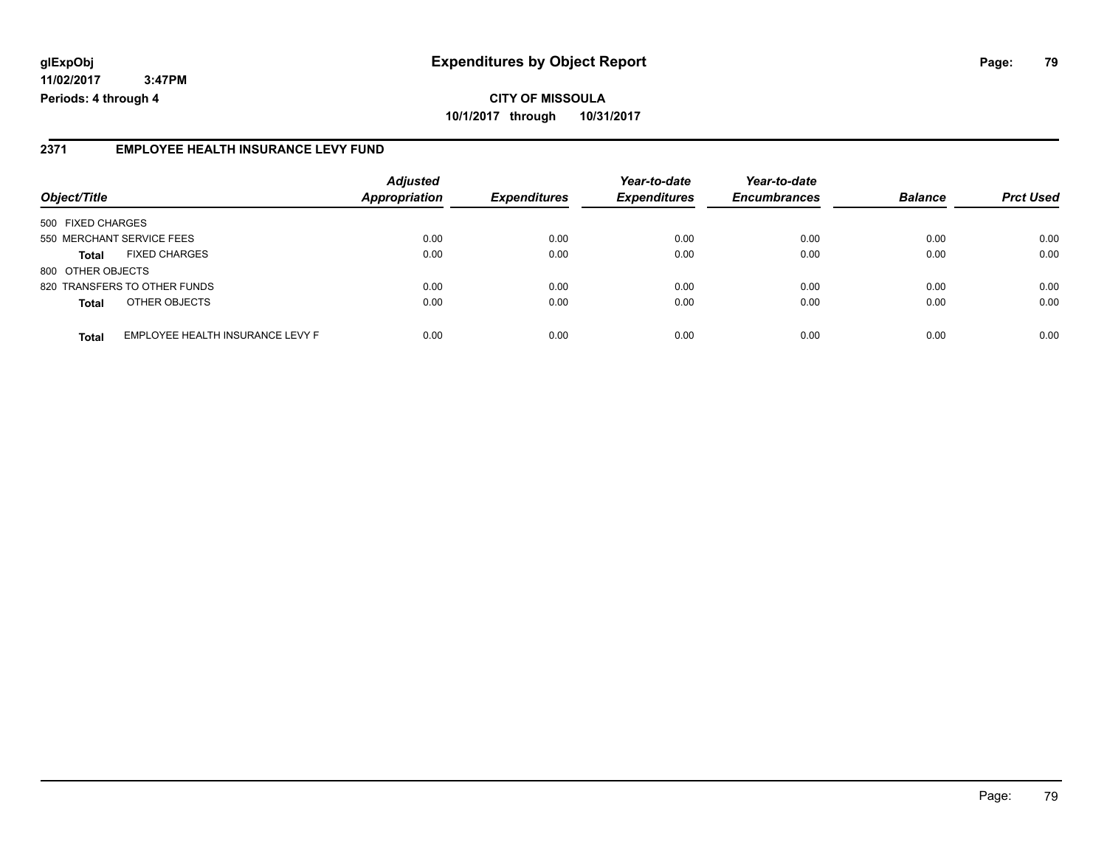#### **2371 EMPLOYEE HEALTH INSURANCE LEVY FUND**

| Object/Title              |                                  | <b>Adjusted</b><br><b>Appropriation</b> | <b>Expenditures</b> | Year-to-date        | Year-to-date        | <b>Balance</b> |                  |
|---------------------------|----------------------------------|-----------------------------------------|---------------------|---------------------|---------------------|----------------|------------------|
|                           |                                  |                                         |                     | <b>Expenditures</b> | <b>Encumbrances</b> |                | <b>Prct Used</b> |
| 500 FIXED CHARGES         |                                  |                                         |                     |                     |                     |                |                  |
| 550 MERCHANT SERVICE FEES |                                  | 0.00                                    | 0.00                | 0.00                | 0.00                | 0.00           | 0.00             |
| <b>Total</b>              | <b>FIXED CHARGES</b>             | 0.00                                    | 0.00                | 0.00                | 0.00                | 0.00           | 0.00             |
| 800 OTHER OBJECTS         |                                  |                                         |                     |                     |                     |                |                  |
|                           | 820 TRANSFERS TO OTHER FUNDS     | 0.00                                    | 0.00                | 0.00                | 0.00                | 0.00           | 0.00             |
| <b>Total</b>              | OTHER OBJECTS                    | 0.00                                    | 0.00                | 0.00                | 0.00                | 0.00           | 0.00             |
| <b>Total</b>              | EMPLOYEE HEALTH INSURANCE LEVY F | 0.00                                    | 0.00                | 0.00                | 0.00                | 0.00           | 0.00             |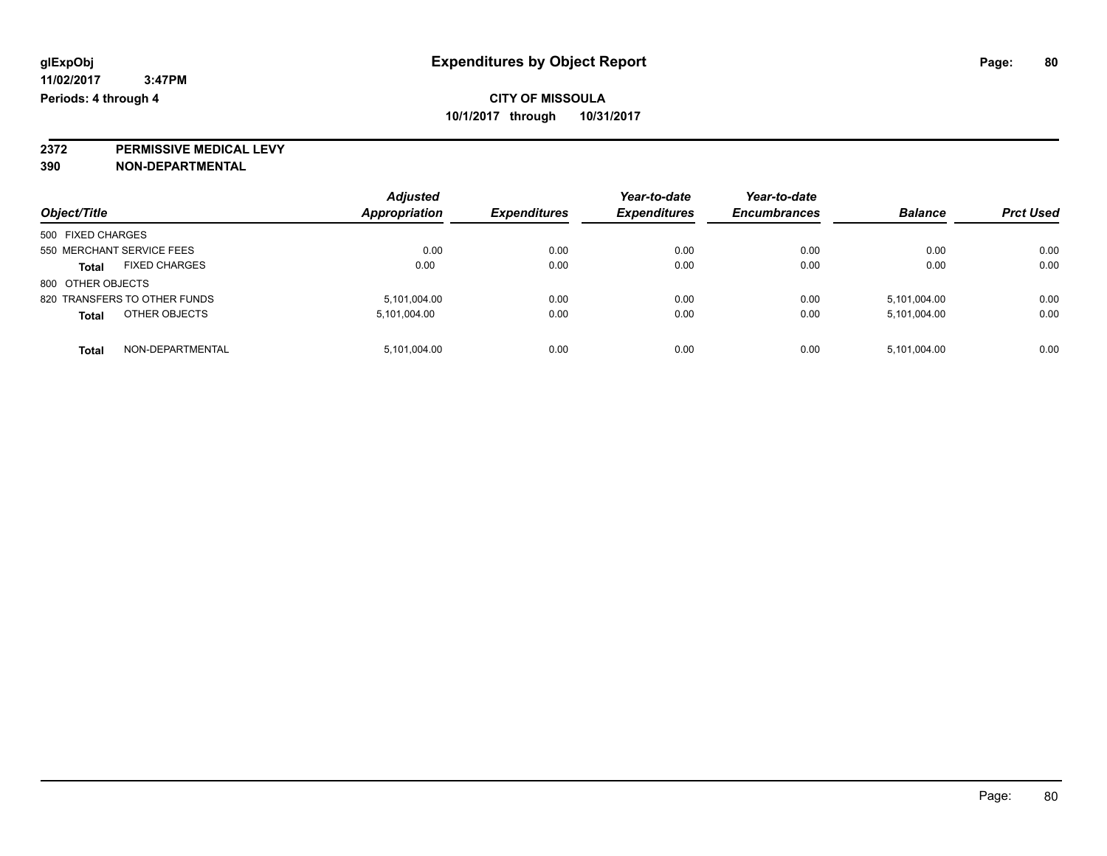**2372 PERMISSIVE MEDICAL LEVY**

**390 NON-DEPARTMENTAL**

| Object/Title                         | <b>Adjusted</b><br><b>Appropriation</b> | <b>Expenditures</b> | Year-to-date<br><b>Expenditures</b> | Year-to-date<br><b>Encumbrances</b> | <b>Balance</b> | <b>Prct Used</b> |
|--------------------------------------|-----------------------------------------|---------------------|-------------------------------------|-------------------------------------|----------------|------------------|
| 500 FIXED CHARGES                    |                                         |                     |                                     |                                     |                |                  |
| 550 MERCHANT SERVICE FEES            | 0.00                                    | 0.00                | 0.00                                | 0.00                                | 0.00           | 0.00             |
| <b>FIXED CHARGES</b><br><b>Total</b> | 0.00                                    | 0.00                | 0.00                                | 0.00                                | 0.00           | 0.00             |
| 800 OTHER OBJECTS                    |                                         |                     |                                     |                                     |                |                  |
| 820 TRANSFERS TO OTHER FUNDS         | 5,101,004.00                            | 0.00                | 0.00                                | 0.00                                | 5,101,004.00   | 0.00             |
| OTHER OBJECTS<br><b>Total</b>        | 5,101,004.00                            | 0.00                | 0.00                                | 0.00                                | 5,101,004.00   | 0.00             |
| NON-DEPARTMENTAL<br><b>Total</b>     | 5,101,004.00                            | 0.00                | 0.00                                | 0.00                                | 5,101,004.00   | 0.00             |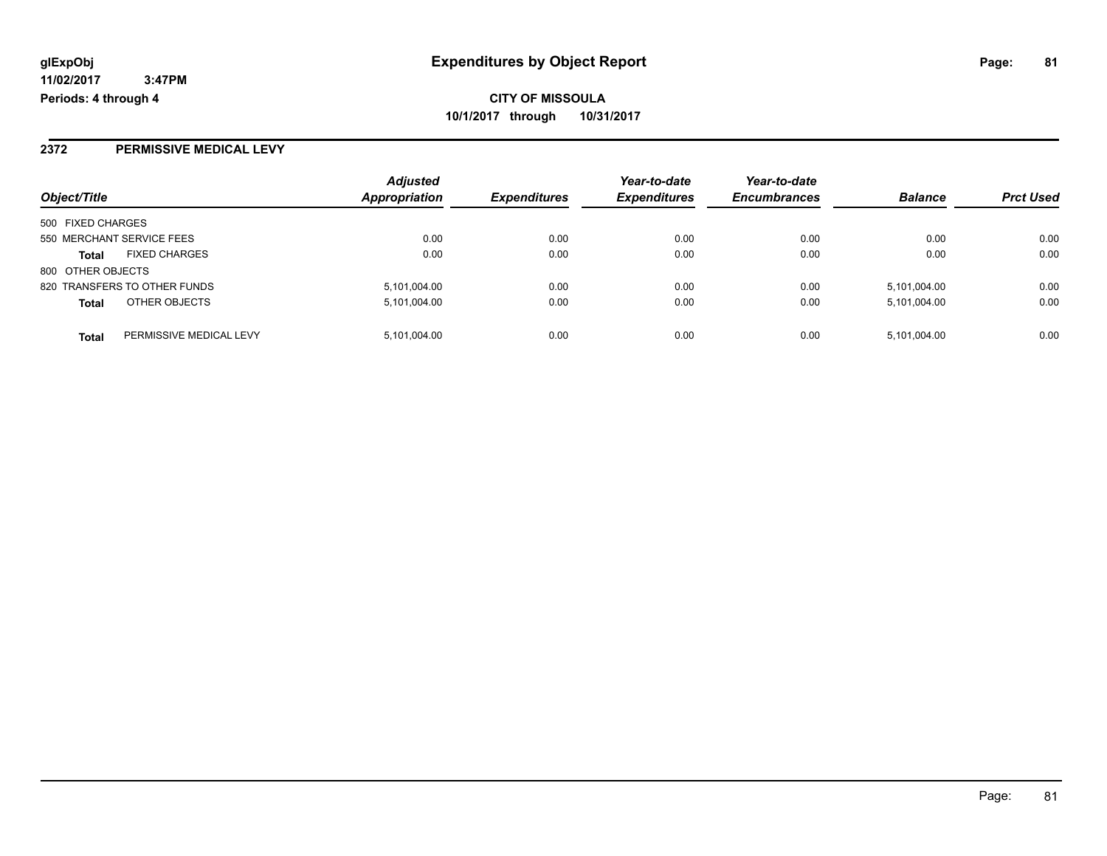### **2372 PERMISSIVE MEDICAL LEVY**

| Object/Title      |                              | <b>Adjusted</b>      | <b>Expenditures</b> | Year-to-date<br><b>Expenditures</b> | Year-to-date        | <b>Balance</b> |                  |
|-------------------|------------------------------|----------------------|---------------------|-------------------------------------|---------------------|----------------|------------------|
|                   |                              | <b>Appropriation</b> |                     |                                     | <b>Encumbrances</b> |                | <b>Prct Used</b> |
| 500 FIXED CHARGES |                              |                      |                     |                                     |                     |                |                  |
|                   | 550 MERCHANT SERVICE FEES    | 0.00                 | 0.00                | 0.00                                | 0.00                | 0.00           | 0.00             |
| <b>Total</b>      | <b>FIXED CHARGES</b>         | 0.00                 | 0.00                | 0.00                                | 0.00                | 0.00           | 0.00             |
| 800 OTHER OBJECTS |                              |                      |                     |                                     |                     |                |                  |
|                   | 820 TRANSFERS TO OTHER FUNDS | 5,101,004.00         | 0.00                | 0.00                                | 0.00                | 5,101,004.00   | 0.00             |
| <b>Total</b>      | OTHER OBJECTS                | 5,101,004.00         | 0.00                | 0.00                                | 0.00                | 5,101,004.00   | 0.00             |
| <b>Total</b>      | PERMISSIVE MEDICAL LEVY      | 5,101,004.00         | 0.00                | 0.00                                | 0.00                | 5,101,004.00   | 0.00             |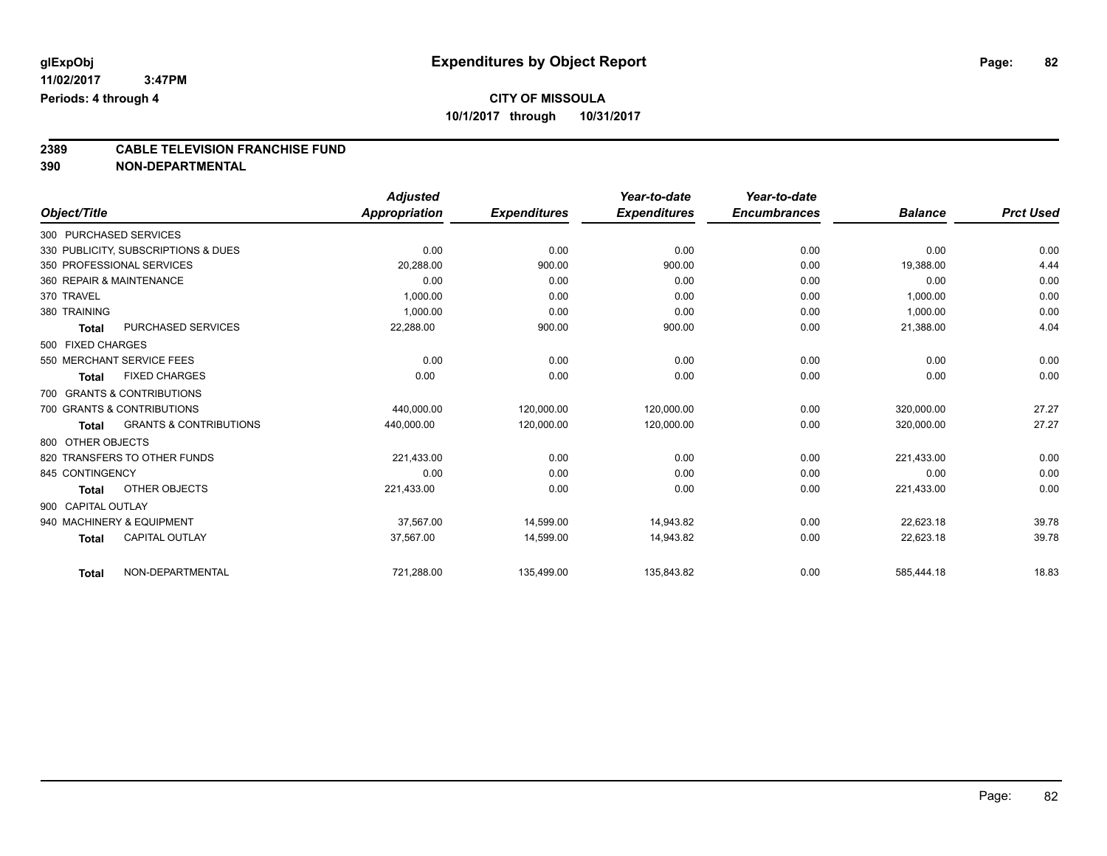# **2389 CABLE TELEVISION FRANCHISE FUND**

**390 NON-DEPARTMENTAL**

|                    |                                     | <b>Adjusted</b> |                     | Year-to-date        | Year-to-date        |                |                  |
|--------------------|-------------------------------------|-----------------|---------------------|---------------------|---------------------|----------------|------------------|
| Object/Title       |                                     | Appropriation   | <b>Expenditures</b> | <b>Expenditures</b> | <b>Encumbrances</b> | <b>Balance</b> | <b>Prct Used</b> |
|                    | 300 PURCHASED SERVICES              |                 |                     |                     |                     |                |                  |
|                    | 330 PUBLICITY, SUBSCRIPTIONS & DUES | 0.00            | 0.00                | 0.00                | 0.00                | 0.00           | 0.00             |
|                    | 350 PROFESSIONAL SERVICES           | 20,288.00       | 900.00              | 900.00              | 0.00                | 19,388.00      | 4.44             |
|                    | 360 REPAIR & MAINTENANCE            | 0.00            | 0.00                | 0.00                | 0.00                | 0.00           | 0.00             |
| 370 TRAVEL         |                                     | 1,000.00        | 0.00                | 0.00                | 0.00                | 1,000.00       | 0.00             |
| 380 TRAINING       |                                     | 1,000.00        | 0.00                | 0.00                | 0.00                | 1,000.00       | 0.00             |
| <b>Total</b>       | <b>PURCHASED SERVICES</b>           | 22,288.00       | 900.00              | 900.00              | 0.00                | 21,388.00      | 4.04             |
| 500 FIXED CHARGES  |                                     |                 |                     |                     |                     |                |                  |
|                    | 550 MERCHANT SERVICE FEES           | 0.00            | 0.00                | 0.00                | 0.00                | 0.00           | 0.00             |
| <b>Total</b>       | <b>FIXED CHARGES</b>                | 0.00            | 0.00                | 0.00                | 0.00                | 0.00           | 0.00             |
|                    | 700 GRANTS & CONTRIBUTIONS          |                 |                     |                     |                     |                |                  |
|                    | 700 GRANTS & CONTRIBUTIONS          | 440,000.00      | 120,000.00          | 120,000.00          | 0.00                | 320,000.00     | 27.27            |
| <b>Total</b>       | <b>GRANTS &amp; CONTRIBUTIONS</b>   | 440,000.00      | 120,000.00          | 120,000.00          | 0.00                | 320,000.00     | 27.27            |
| 800 OTHER OBJECTS  |                                     |                 |                     |                     |                     |                |                  |
|                    | 820 TRANSFERS TO OTHER FUNDS        | 221,433.00      | 0.00                | 0.00                | 0.00                | 221,433.00     | 0.00             |
| 845 CONTINGENCY    |                                     | 0.00            | 0.00                | 0.00                | 0.00                | 0.00           | 0.00             |
| <b>Total</b>       | OTHER OBJECTS                       | 221,433.00      | 0.00                | 0.00                | 0.00                | 221,433.00     | 0.00             |
| 900 CAPITAL OUTLAY |                                     |                 |                     |                     |                     |                |                  |
|                    | 940 MACHINERY & EQUIPMENT           | 37,567.00       | 14,599.00           | 14,943.82           | 0.00                | 22,623.18      | 39.78            |
| <b>Total</b>       | <b>CAPITAL OUTLAY</b>               | 37,567.00       | 14,599.00           | 14,943.82           | 0.00                | 22,623.18      | 39.78            |
| <b>Total</b>       | NON-DEPARTMENTAL                    | 721,288.00      | 135,499.00          | 135,843.82          | 0.00                | 585,444.18     | 18.83            |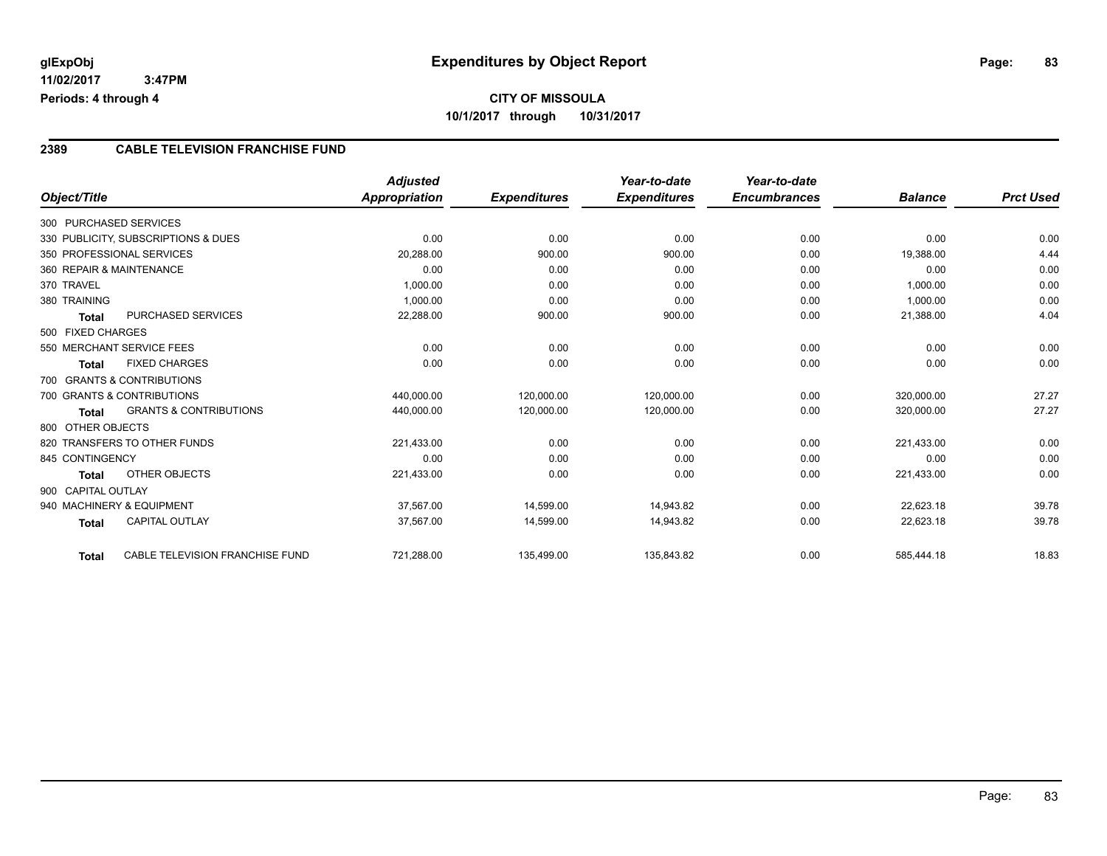# **CITY OF MISSOULA 10/1/2017 through 10/31/2017**

#### **2389 CABLE TELEVISION FRANCHISE FUND**

|                                     | <b>Adjusted</b>                 |                     | Year-to-date        | Year-to-date        |                |                  |
|-------------------------------------|---------------------------------|---------------------|---------------------|---------------------|----------------|------------------|
| Object/Title                        | Appropriation                   | <b>Expenditures</b> | <b>Expenditures</b> | <b>Encumbrances</b> | <b>Balance</b> | <b>Prct Used</b> |
| 300 PURCHASED SERVICES              |                                 |                     |                     |                     |                |                  |
| 330 PUBLICITY, SUBSCRIPTIONS & DUES | 0.00                            | 0.00                | 0.00                | 0.00                | 0.00           | 0.00             |
| 350 PROFESSIONAL SERVICES           | 20,288.00                       | 900.00              | 900.00              | 0.00                | 19,388.00      | 4.44             |
| 360 REPAIR & MAINTENANCE            | 0.00                            | 0.00                | 0.00                | 0.00                | 0.00           | 0.00             |
|                                     | 1,000.00                        | 0.00                | 0.00                | 0.00                | 1,000.00       | 0.00             |
| 380 TRAINING                        | 1,000.00                        | 0.00                | 0.00                | 0.00                | 1,000.00       | 0.00             |
| <b>PURCHASED SERVICES</b>           | 22,288.00                       | 900.00              | 900.00              | 0.00                | 21,388.00      | 4.04             |
| 500 FIXED CHARGES                   |                                 |                     |                     |                     |                |                  |
| 550 MERCHANT SERVICE FEES           | 0.00                            | 0.00                | 0.00                | 0.00                | 0.00           | 0.00             |
| <b>FIXED CHARGES</b>                | 0.00                            | 0.00                | 0.00                | 0.00                | 0.00           | 0.00             |
| 700 GRANTS & CONTRIBUTIONS          |                                 |                     |                     |                     |                |                  |
| 700 GRANTS & CONTRIBUTIONS          | 440,000.00                      | 120,000.00          | 120,000.00          | 0.00                | 320,000.00     | 27.27            |
| <b>GRANTS &amp; CONTRIBUTIONS</b>   | 440,000.00                      | 120,000.00          | 120,000.00          | 0.00                | 320,000.00     | 27.27            |
| 800 OTHER OBJECTS                   |                                 |                     |                     |                     |                |                  |
| 820 TRANSFERS TO OTHER FUNDS        | 221,433.00                      | 0.00                | 0.00                | 0.00                | 221,433.00     | 0.00             |
| 845 CONTINGENCY                     | 0.00                            | 0.00                | 0.00                | 0.00                | 0.00           | 0.00             |
| OTHER OBJECTS                       | 221,433.00                      | 0.00                | 0.00                | 0.00                | 221,433.00     | 0.00             |
| 900 CAPITAL OUTLAY                  |                                 |                     |                     |                     |                |                  |
| 940 MACHINERY & EQUIPMENT           | 37,567.00                       | 14,599.00           | 14,943.82           | 0.00                | 22,623.18      | 39.78            |
| <b>CAPITAL OUTLAY</b>               | 37,567.00                       | 14,599.00           | 14,943.82           | 0.00                | 22,623.18      | 39.78            |
|                                     |                                 |                     |                     |                     |                | 18.83            |
|                                     | CABLE TELEVISION FRANCHISE FUND | 721,288.00          | 135,499.00          | 135,843.82          | 0.00           | 585,444.18       |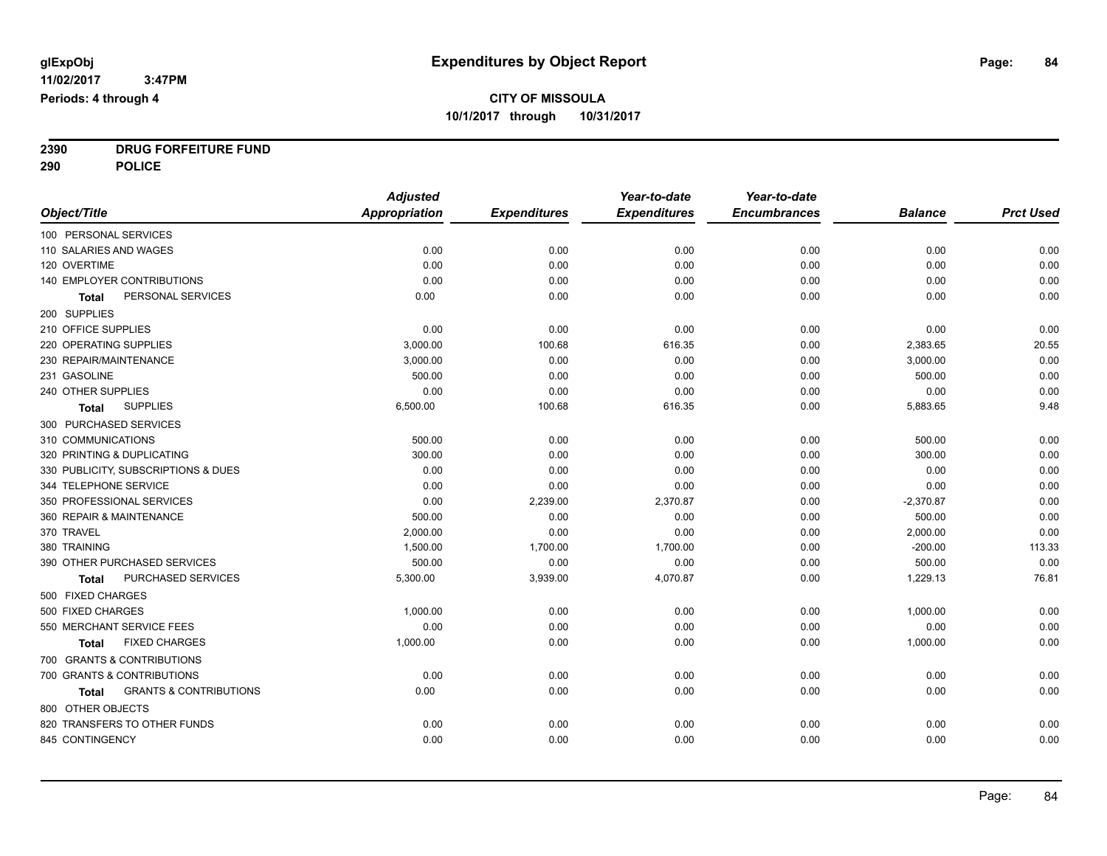**2390 DRUG FORFEITURE FUND**

**290 POLICE**

|                                                   | <b>Adjusted</b>      |                     | Year-to-date        | Year-to-date        |                |                  |
|---------------------------------------------------|----------------------|---------------------|---------------------|---------------------|----------------|------------------|
| Object/Title                                      | <b>Appropriation</b> | <b>Expenditures</b> | <b>Expenditures</b> | <b>Encumbrances</b> | <b>Balance</b> | <b>Prct Used</b> |
| 100 PERSONAL SERVICES                             |                      |                     |                     |                     |                |                  |
| 110 SALARIES AND WAGES                            | 0.00                 | 0.00                | 0.00                | 0.00                | 0.00           | 0.00             |
| 120 OVERTIME                                      | 0.00                 | 0.00                | 0.00                | 0.00                | 0.00           | 0.00             |
| <b>140 EMPLOYER CONTRIBUTIONS</b>                 | 0.00                 | 0.00                | 0.00                | 0.00                | 0.00           | 0.00             |
| PERSONAL SERVICES<br><b>Total</b>                 | 0.00                 | 0.00                | 0.00                | 0.00                | 0.00           | 0.00             |
| 200 SUPPLIES                                      |                      |                     |                     |                     |                |                  |
| 210 OFFICE SUPPLIES                               | 0.00                 | 0.00                | 0.00                | 0.00                | 0.00           | 0.00             |
| 220 OPERATING SUPPLIES                            | 3,000.00             | 100.68              | 616.35              | 0.00                | 2,383.65       | 20.55            |
| 230 REPAIR/MAINTENANCE                            | 3,000.00             | 0.00                | 0.00                | 0.00                | 3,000.00       | 0.00             |
| 231 GASOLINE                                      | 500.00               | 0.00                | 0.00                | 0.00                | 500.00         | 0.00             |
| 240 OTHER SUPPLIES                                | 0.00                 | 0.00                | 0.00                | 0.00                | 0.00           | 0.00             |
| <b>SUPPLIES</b><br><b>Total</b>                   | 6,500.00             | 100.68              | 616.35              | 0.00                | 5,883.65       | 9.48             |
| 300 PURCHASED SERVICES                            |                      |                     |                     |                     |                |                  |
| 310 COMMUNICATIONS                                | 500.00               | 0.00                | 0.00                | 0.00                | 500.00         | 0.00             |
| 320 PRINTING & DUPLICATING                        | 300.00               | 0.00                | 0.00                | 0.00                | 300.00         | 0.00             |
| 330 PUBLICITY, SUBSCRIPTIONS & DUES               | 0.00                 | 0.00                | 0.00                | 0.00                | 0.00           | 0.00             |
| 344 TELEPHONE SERVICE                             | 0.00                 | 0.00                | 0.00                | 0.00                | 0.00           | 0.00             |
| 350 PROFESSIONAL SERVICES                         | 0.00                 | 2,239.00            | 2,370.87            | 0.00                | $-2,370.87$    | 0.00             |
| 360 REPAIR & MAINTENANCE                          | 500.00               | 0.00                | 0.00                | 0.00                | 500.00         | 0.00             |
| 370 TRAVEL                                        | 2,000.00             | 0.00                | 0.00                | 0.00                | 2,000.00       | 0.00             |
| 380 TRAINING                                      | 1,500.00             | 1,700.00            | 1,700.00            | 0.00                | $-200.00$      | 113.33           |
| 390 OTHER PURCHASED SERVICES                      | 500.00               | 0.00                | 0.00                | 0.00                | 500.00         | 0.00             |
| PURCHASED SERVICES<br>Total                       | 5,300.00             | 3,939.00            | 4,070.87            | 0.00                | 1,229.13       | 76.81            |
| 500 FIXED CHARGES                                 |                      |                     |                     |                     |                |                  |
| 500 FIXED CHARGES                                 | 1,000.00             | 0.00                | 0.00                | 0.00                | 1,000.00       | 0.00             |
| 550 MERCHANT SERVICE FEES                         | 0.00                 | 0.00                | 0.00                | 0.00                | 0.00           | 0.00             |
| <b>FIXED CHARGES</b><br><b>Total</b>              | 1,000.00             | 0.00                | 0.00                | 0.00                | 1,000.00       | 0.00             |
| 700 GRANTS & CONTRIBUTIONS                        |                      |                     |                     |                     |                |                  |
| 700 GRANTS & CONTRIBUTIONS                        | 0.00                 | 0.00                | 0.00                | 0.00                | 0.00           | 0.00             |
| <b>GRANTS &amp; CONTRIBUTIONS</b><br><b>Total</b> | 0.00                 | 0.00                | 0.00                | 0.00                | 0.00           | 0.00             |
| 800 OTHER OBJECTS                                 |                      |                     |                     |                     |                |                  |
| 820 TRANSFERS TO OTHER FUNDS                      | 0.00                 | 0.00                | 0.00                | 0.00                | 0.00           | 0.00             |
| 845 CONTINGENCY                                   | 0.00                 | 0.00                | 0.00                | 0.00                | 0.00           | 0.00             |
|                                                   |                      |                     |                     |                     |                |                  |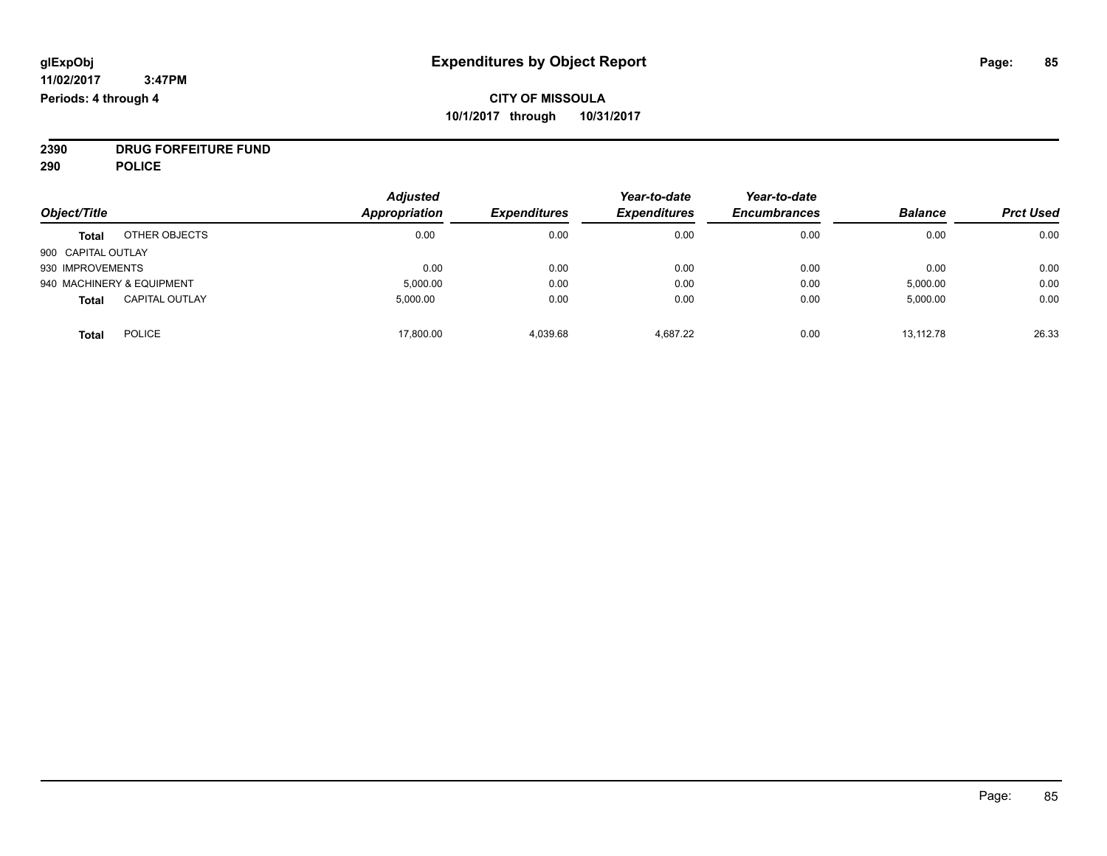**2390 DRUG FORFEITURE FUND**

**290 POLICE**

|                    |                           | <b>Adjusted</b> |                     | Year-to-date        | Year-to-date        |                |                  |
|--------------------|---------------------------|-----------------|---------------------|---------------------|---------------------|----------------|------------------|
| Object/Title       |                           | Appropriation   | <b>Expenditures</b> | <b>Expenditures</b> | <b>Encumbrances</b> | <b>Balance</b> | <b>Prct Used</b> |
| <b>Total</b>       | OTHER OBJECTS             | 0.00            | 0.00                | 0.00                | 0.00                | 0.00           | 0.00             |
| 900 CAPITAL OUTLAY |                           |                 |                     |                     |                     |                |                  |
| 930 IMPROVEMENTS   |                           | 0.00            | 0.00                | 0.00                | 0.00                | 0.00           | 0.00             |
|                    | 940 MACHINERY & EQUIPMENT | 5,000.00        | 0.00                | 0.00                | 0.00                | 5,000.00       | 0.00             |
| <b>Total</b>       | <b>CAPITAL OUTLAY</b>     | 5,000.00        | 0.00                | 0.00                | 0.00                | 5,000.00       | 0.00             |
| <b>Total</b>       | <b>POLICE</b>             | 17,800.00       | 4.039.68            | 4.687.22            | 0.00                | 13,112.78      | 26.33            |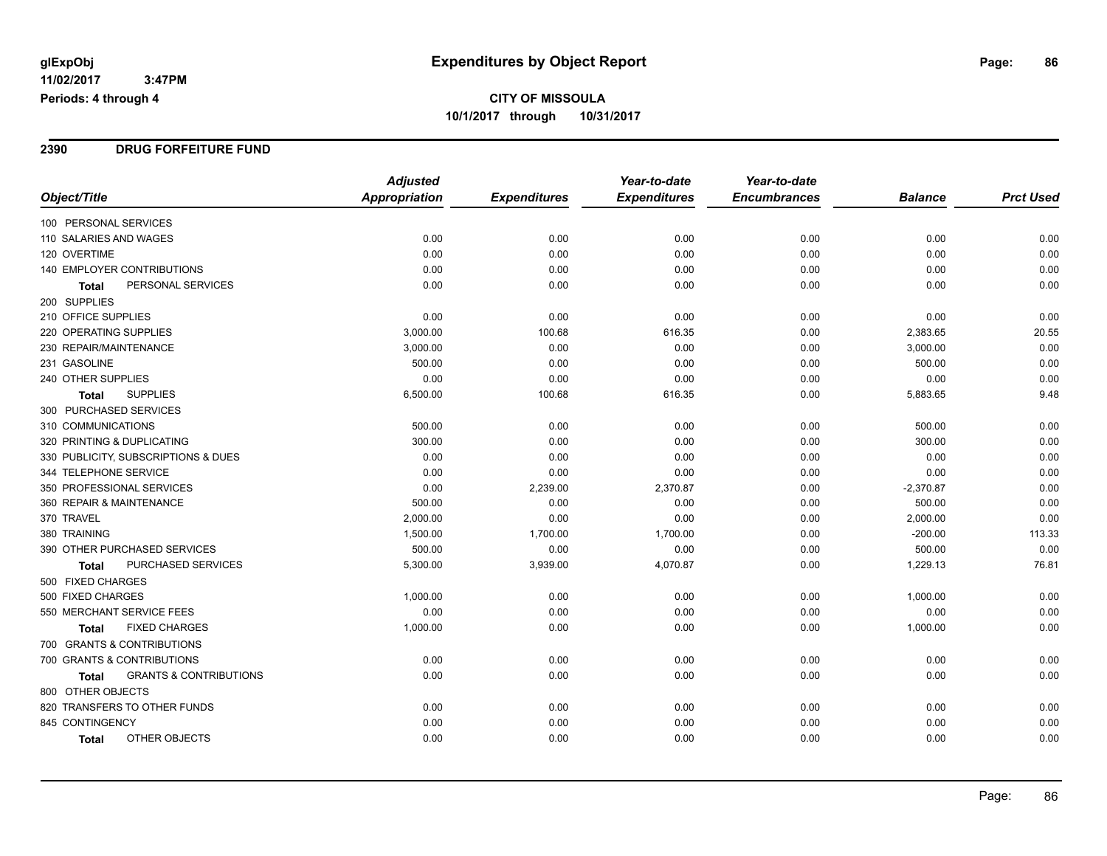#### **2390 DRUG FORFEITURE FUND**

|                                            | <b>Adjusted</b>      |                     | Year-to-date        | Year-to-date        |                |                  |
|--------------------------------------------|----------------------|---------------------|---------------------|---------------------|----------------|------------------|
| Object/Title                               | <b>Appropriation</b> | <b>Expenditures</b> | <b>Expenditures</b> | <b>Encumbrances</b> | <b>Balance</b> | <b>Prct Used</b> |
| 100 PERSONAL SERVICES                      |                      |                     |                     |                     |                |                  |
| 110 SALARIES AND WAGES                     | 0.00                 | 0.00                | 0.00                | 0.00                | 0.00           | 0.00             |
| 120 OVERTIME                               | 0.00                 | 0.00                | 0.00                | 0.00                | 0.00           | 0.00             |
| 140 EMPLOYER CONTRIBUTIONS                 | 0.00                 | 0.00                | 0.00                | 0.00                | 0.00           | 0.00             |
| PERSONAL SERVICES<br><b>Total</b>          | 0.00                 | 0.00                | 0.00                | 0.00                | 0.00           | 0.00             |
| 200 SUPPLIES                               |                      |                     |                     |                     |                |                  |
| 210 OFFICE SUPPLIES                        | 0.00                 | 0.00                | 0.00                | 0.00                | 0.00           | 0.00             |
| <b>220 OPERATING SUPPLIES</b>              | 3,000.00             | 100.68              | 616.35              | 0.00                | 2,383.65       | 20.55            |
| 230 REPAIR/MAINTENANCE                     | 3,000.00             | 0.00                | 0.00                | 0.00                | 3,000.00       | 0.00             |
| 231 GASOLINE                               | 500.00               | 0.00                | 0.00                | 0.00                | 500.00         | 0.00             |
| 240 OTHER SUPPLIES                         | 0.00                 | 0.00                | 0.00                | 0.00                | 0.00           | 0.00             |
| <b>SUPPLIES</b><br>Total                   | 6,500.00             | 100.68              | 616.35              | 0.00                | 5,883.65       | 9.48             |
| 300 PURCHASED SERVICES                     |                      |                     |                     |                     |                |                  |
| 310 COMMUNICATIONS                         | 500.00               | 0.00                | 0.00                | 0.00                | 500.00         | 0.00             |
| 320 PRINTING & DUPLICATING                 | 300.00               | 0.00                | 0.00                | 0.00                | 300.00         | 0.00             |
| 330 PUBLICITY, SUBSCRIPTIONS & DUES        | 0.00                 | 0.00                | 0.00                | 0.00                | 0.00           | 0.00             |
| 344 TELEPHONE SERVICE                      | 0.00                 | 0.00                | 0.00                | 0.00                | 0.00           | 0.00             |
| 350 PROFESSIONAL SERVICES                  | 0.00                 | 2,239.00            | 2,370.87            | 0.00                | $-2,370.87$    | 0.00             |
| 360 REPAIR & MAINTENANCE                   | 500.00               | 0.00                | 0.00                | 0.00                | 500.00         | 0.00             |
| 370 TRAVEL                                 | 2,000.00             | 0.00                | 0.00                | 0.00                | 2,000.00       | 0.00             |
| 380 TRAINING                               | 1,500.00             | 1,700.00            | 1,700.00            | 0.00                | $-200.00$      | 113.33           |
| 390 OTHER PURCHASED SERVICES               | 500.00               | 0.00                | 0.00                | 0.00                | 500.00         | 0.00             |
| <b>PURCHASED SERVICES</b><br>Total         | 5,300.00             | 3,939.00            | 4,070.87            | 0.00                | 1,229.13       | 76.81            |
| 500 FIXED CHARGES                          |                      |                     |                     |                     |                |                  |
| 500 FIXED CHARGES                          | 1,000.00             | 0.00                | 0.00                | 0.00                | 1,000.00       | 0.00             |
| 550 MERCHANT SERVICE FEES                  | 0.00                 | 0.00                | 0.00                | 0.00                | 0.00           | 0.00             |
| <b>FIXED CHARGES</b><br>Total              | 1,000.00             | 0.00                | 0.00                | 0.00                | 1,000.00       | 0.00             |
| 700 GRANTS & CONTRIBUTIONS                 |                      |                     |                     |                     |                |                  |
| 700 GRANTS & CONTRIBUTIONS                 | 0.00                 | 0.00                | 0.00                | 0.00                | 0.00           | 0.00             |
| <b>GRANTS &amp; CONTRIBUTIONS</b><br>Total | 0.00                 | 0.00                | 0.00                | 0.00                | 0.00           | 0.00             |
| 800 OTHER OBJECTS                          |                      |                     |                     |                     |                |                  |
| 820 TRANSFERS TO OTHER FUNDS               | 0.00                 | 0.00                | 0.00                | 0.00                | 0.00           | 0.00             |
| 845 CONTINGENCY                            | 0.00                 | 0.00                | 0.00                | 0.00                | 0.00           | 0.00             |
| OTHER OBJECTS<br>Total                     | 0.00                 | 0.00                | 0.00                | 0.00                | 0.00           | 0.00             |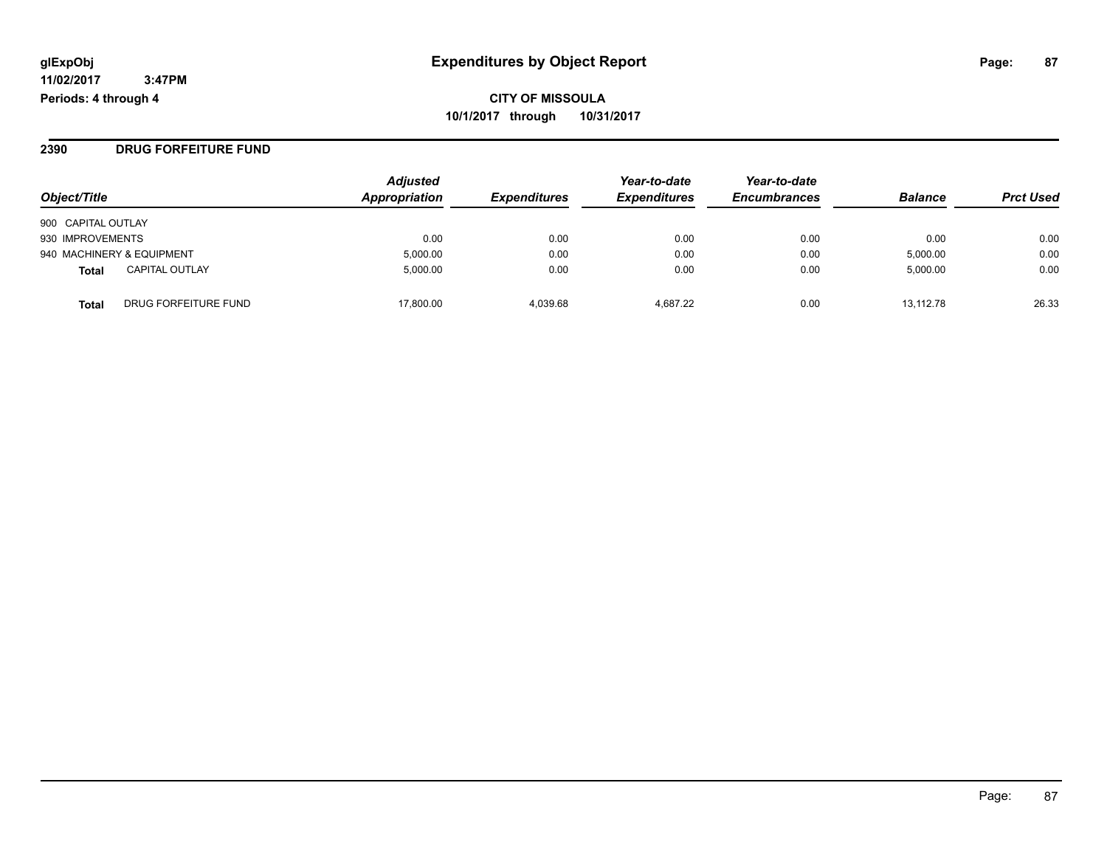**2390 DRUG FORFEITURE FUND**

| Object/Title                          |                      | <b>Adjusted</b><br><b>Appropriation</b> | <i><b>Expenditures</b></i> | Year-to-date<br><b>Expenditures</b> | Year-to-date<br><b>Encumbrances</b> | <b>Balance</b> | <b>Prct Used</b> |
|---------------------------------------|----------------------|-----------------------------------------|----------------------------|-------------------------------------|-------------------------------------|----------------|------------------|
| 900 CAPITAL OUTLAY                    |                      |                                         |                            |                                     |                                     |                |                  |
| 930 IMPROVEMENTS                      |                      | 0.00                                    | 0.00                       | 0.00                                | 0.00                                | 0.00           | 0.00             |
| 940 MACHINERY & EQUIPMENT             |                      | 5,000.00                                | 0.00                       | 0.00                                | 0.00                                | 5,000.00       | 0.00             |
| <b>CAPITAL OUTLAY</b><br><b>Total</b> |                      | 5.000.00                                | 0.00                       | 0.00                                | 0.00                                | 5,000.00       | 0.00             |
| <b>Total</b>                          | DRUG FORFEITURE FUND | 17.800.00                               | 4.039.68                   | 4.687.22                            | 0.00                                | 13.112.78      | 26.33            |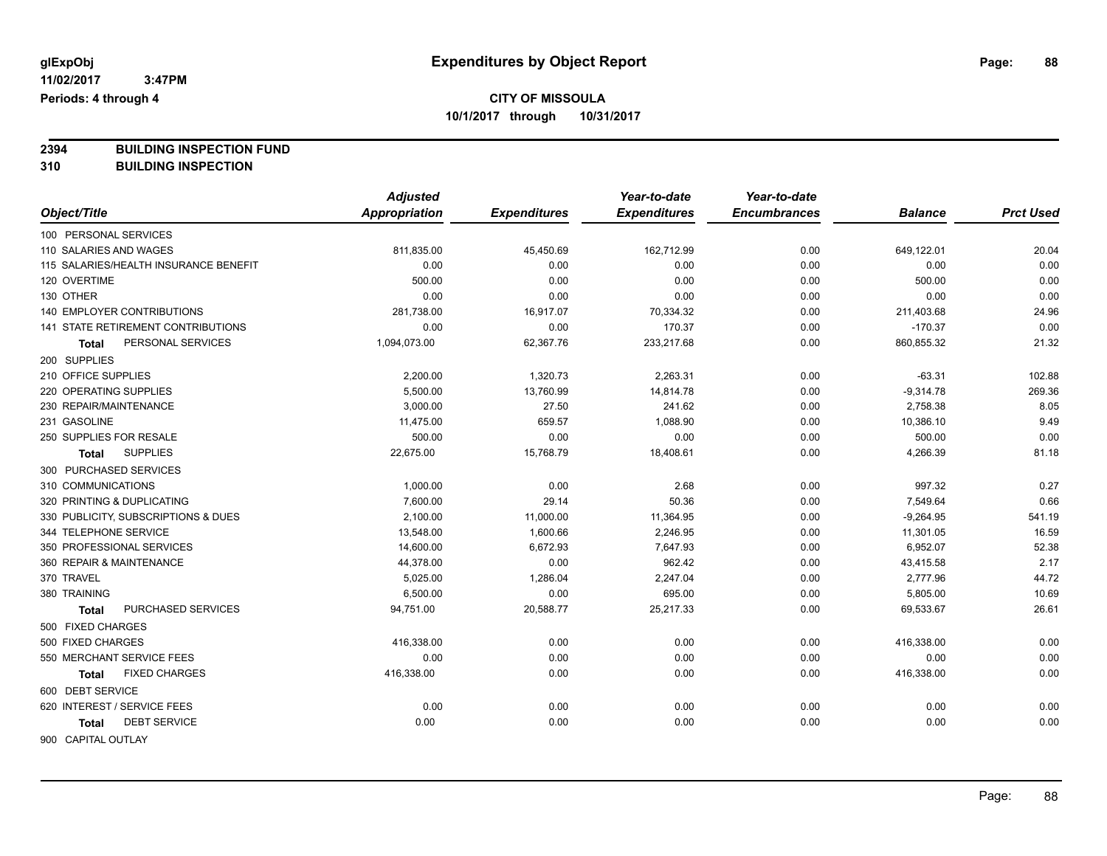**2394 BUILDING INSPECTION FUND**

**310 BUILDING INSPECTION**

|                                       | <b>Adjusted</b>      |                     | Year-to-date        | Year-to-date        |                |                  |
|---------------------------------------|----------------------|---------------------|---------------------|---------------------|----------------|------------------|
| Object/Title                          | <b>Appropriation</b> | <b>Expenditures</b> | <b>Expenditures</b> | <b>Encumbrances</b> | <b>Balance</b> | <b>Prct Used</b> |
| 100 PERSONAL SERVICES                 |                      |                     |                     |                     |                |                  |
| 110 SALARIES AND WAGES                | 811,835.00           | 45,450.69           | 162,712.99          | 0.00                | 649,122.01     | 20.04            |
| 115 SALARIES/HEALTH INSURANCE BENEFIT | 0.00                 | 0.00                | 0.00                | 0.00                | 0.00           | 0.00             |
| 120 OVERTIME                          | 500.00               | 0.00                | 0.00                | 0.00                | 500.00         | 0.00             |
| 130 OTHER                             | 0.00                 | 0.00                | 0.00                | 0.00                | 0.00           | 0.00             |
| 140 EMPLOYER CONTRIBUTIONS            | 281,738.00           | 16,917.07           | 70,334.32           | 0.00                | 211,403.68     | 24.96            |
| 141 STATE RETIREMENT CONTRIBUTIONS    | 0.00                 | 0.00                | 170.37              | 0.00                | $-170.37$      | 0.00             |
| PERSONAL SERVICES<br>Total            | 1,094,073.00         | 62,367.76           | 233,217.68          | 0.00                | 860,855.32     | 21.32            |
| 200 SUPPLIES                          |                      |                     |                     |                     |                |                  |
| 210 OFFICE SUPPLIES                   | 2,200.00             | 1,320.73            | 2,263.31            | 0.00                | $-63.31$       | 102.88           |
| 220 OPERATING SUPPLIES                | 5,500.00             | 13,760.99           | 14,814.78           | 0.00                | $-9,314.78$    | 269.36           |
| 230 REPAIR/MAINTENANCE                | 3,000.00             | 27.50               | 241.62              | 0.00                | 2,758.38       | 8.05             |
| 231 GASOLINE                          | 11,475.00            | 659.57              | 1,088.90            | 0.00                | 10,386.10      | 9.49             |
| 250 SUPPLIES FOR RESALE               | 500.00               | 0.00                | 0.00                | 0.00                | 500.00         | 0.00             |
| <b>SUPPLIES</b><br><b>Total</b>       | 22,675.00            | 15,768.79           | 18,408.61           | 0.00                | 4,266.39       | 81.18            |
| 300 PURCHASED SERVICES                |                      |                     |                     |                     |                |                  |
| 310 COMMUNICATIONS                    | 1,000.00             | 0.00                | 2.68                | 0.00                | 997.32         | 0.27             |
| 320 PRINTING & DUPLICATING            | 7,600.00             | 29.14               | 50.36               | 0.00                | 7,549.64       | 0.66             |
| 330 PUBLICITY, SUBSCRIPTIONS & DUES   | 2,100.00             | 11,000.00           | 11,364.95           | 0.00                | $-9,264.95$    | 541.19           |
| 344 TELEPHONE SERVICE                 | 13,548.00            | 1,600.66            | 2,246.95            | 0.00                | 11,301.05      | 16.59            |
| 350 PROFESSIONAL SERVICES             | 14,600.00            | 6,672.93            | 7,647.93            | 0.00                | 6,952.07       | 52.38            |
| 360 REPAIR & MAINTENANCE              | 44,378.00            | 0.00                | 962.42              | 0.00                | 43,415.58      | 2.17             |
| 370 TRAVEL                            | 5,025.00             | 1,286.04            | 2,247.04            | 0.00                | 2,777.96       | 44.72            |
| 380 TRAINING                          | 6,500.00             | 0.00                | 695.00              | 0.00                | 5,805.00       | 10.69            |
| PURCHASED SERVICES<br><b>Total</b>    | 94,751.00            | 20,588.77           | 25,217.33           | 0.00                | 69,533.67      | 26.61            |
| 500 FIXED CHARGES                     |                      |                     |                     |                     |                |                  |
| 500 FIXED CHARGES                     | 416,338.00           | 0.00                | 0.00                | 0.00                | 416,338.00     | 0.00             |
| 550 MERCHANT SERVICE FEES             | 0.00                 | 0.00                | 0.00                | 0.00                | 0.00           | 0.00             |
| <b>FIXED CHARGES</b><br><b>Total</b>  | 416,338.00           | 0.00                | 0.00                | 0.00                | 416,338.00     | 0.00             |
| 600 DEBT SERVICE                      |                      |                     |                     |                     |                |                  |
| 620 INTEREST / SERVICE FEES           | 0.00                 | 0.00                | 0.00                | 0.00                | 0.00           | 0.00             |
| <b>DEBT SERVICE</b><br><b>Total</b>   | 0.00                 | 0.00                | 0.00                | 0.00                | 0.00           | 0.00             |
| 900 CAPITAL OUTLAY                    |                      |                     |                     |                     |                |                  |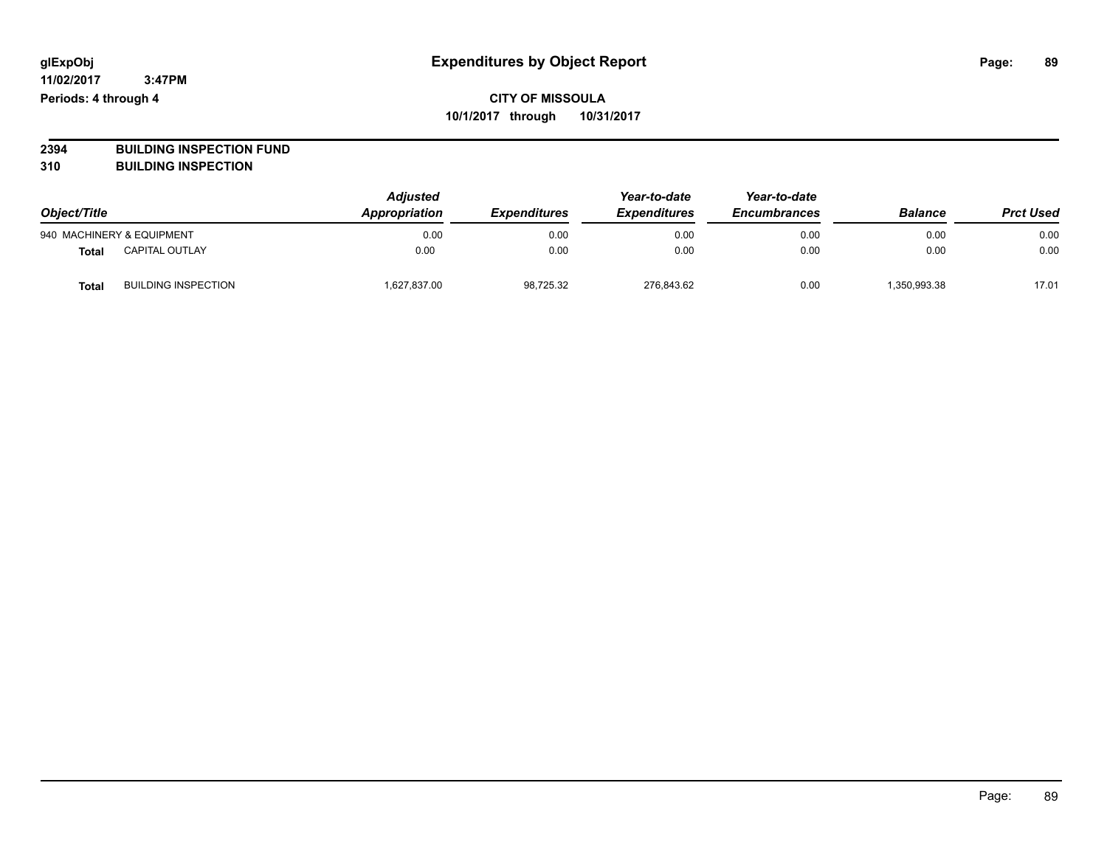**2394 BUILDING INSPECTION FUND**

**310 BUILDING INSPECTION**

| Object/Title |                            | <b>Adjusted</b><br>Appropriation<br><b>Expenditures</b> | Year-to-date<br><b>Expenditures</b> | Year-to-date<br><b>Encumbrances</b> | <b>Balance</b> | <b>Prct Used</b> |       |
|--------------|----------------------------|---------------------------------------------------------|-------------------------------------|-------------------------------------|----------------|------------------|-------|
|              | 940 MACHINERY & EQUIPMENT  | 0.00                                                    | 0.00                                | 0.00                                | 0.00           | 0.00             | 0.00  |
| Total        | <b>CAPITAL OUTLAY</b>      | 0.00                                                    | 0.00                                | 0.00                                | 0.00           | 0.00             | 0.00  |
| <b>Total</b> | <b>BUILDING INSPECTION</b> | 1,627,837.00                                            | 98,725.32                           | 276,843.62                          | 0.00           | 350,993.38       | 17.01 |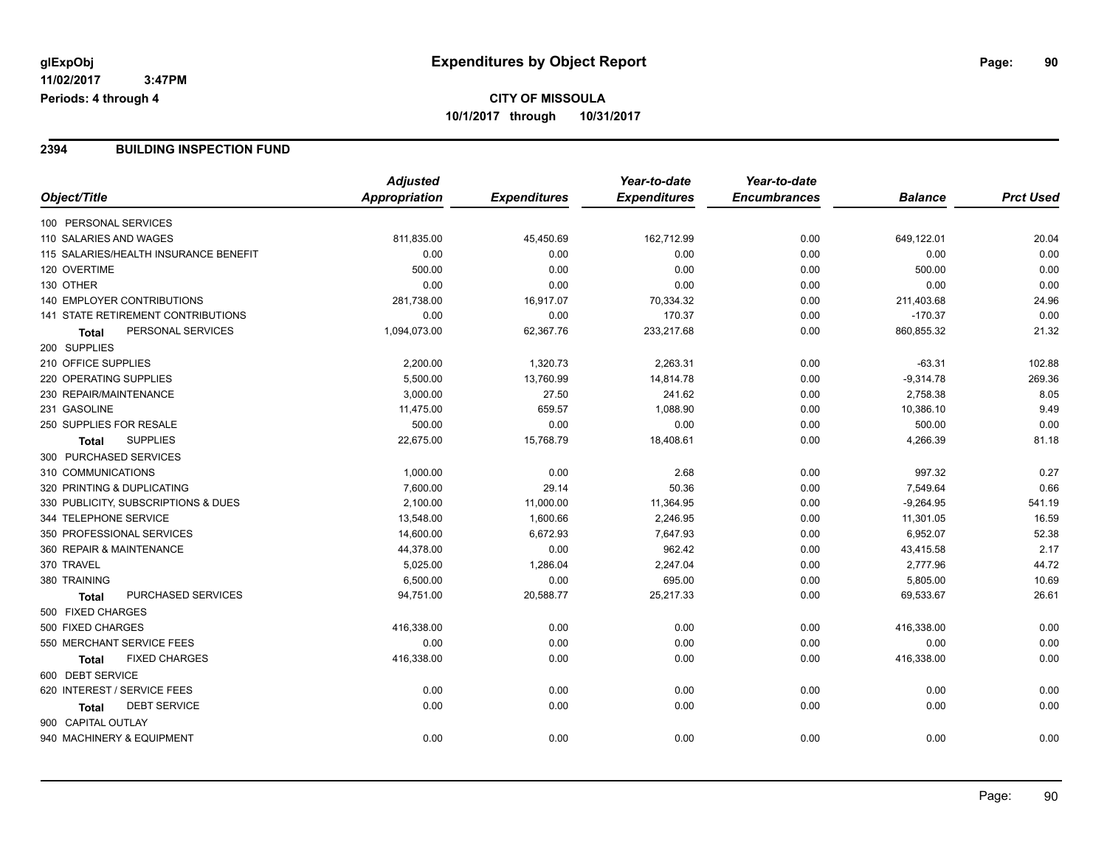#### **2394 BUILDING INSPECTION FUND**

|                                           | <b>Adjusted</b> |                     | Year-to-date        | Year-to-date        |                |                  |
|-------------------------------------------|-----------------|---------------------|---------------------|---------------------|----------------|------------------|
| Object/Title                              | Appropriation   | <b>Expenditures</b> | <b>Expenditures</b> | <b>Encumbrances</b> | <b>Balance</b> | <b>Prct Used</b> |
| 100 PERSONAL SERVICES                     |                 |                     |                     |                     |                |                  |
| 110 SALARIES AND WAGES                    | 811,835.00      | 45,450.69           | 162,712.99          | 0.00                | 649,122.01     | 20.04            |
| 115 SALARIES/HEALTH INSURANCE BENEFIT     | 0.00            | 0.00                | 0.00                | 0.00                | 0.00           | 0.00             |
| 120 OVERTIME                              | 500.00          | 0.00                | 0.00                | 0.00                | 500.00         | 0.00             |
| 130 OTHER                                 | 0.00            | 0.00                | 0.00                | 0.00                | 0.00           | 0.00             |
| 140 EMPLOYER CONTRIBUTIONS                | 281,738.00      | 16,917.07           | 70,334.32           | 0.00                | 211,403.68     | 24.96            |
| 141 STATE RETIREMENT CONTRIBUTIONS        | 0.00            | 0.00                | 170.37              | 0.00                | $-170.37$      | 0.00             |
| PERSONAL SERVICES<br>Total                | 1,094,073.00    | 62,367.76           | 233,217.68          | 0.00                | 860,855.32     | 21.32            |
| 200 SUPPLIES                              |                 |                     |                     |                     |                |                  |
| 210 OFFICE SUPPLIES                       | 2,200.00        | 1,320.73            | 2,263.31            | 0.00                | $-63.31$       | 102.88           |
| 220 OPERATING SUPPLIES                    | 5,500.00        | 13,760.99           | 14,814.78           | 0.00                | $-9,314.78$    | 269.36           |
| 230 REPAIR/MAINTENANCE                    | 3,000.00        | 27.50               | 241.62              | 0.00                | 2,758.38       | 8.05             |
| 231 GASOLINE                              | 11,475.00       | 659.57              | 1,088.90            | 0.00                | 10,386.10      | 9.49             |
| 250 SUPPLIES FOR RESALE                   | 500.00          | 0.00                | 0.00                | 0.00                | 500.00         | 0.00             |
| <b>SUPPLIES</b><br><b>Total</b>           | 22,675.00       | 15,768.79           | 18,408.61           | 0.00                | 4,266.39       | 81.18            |
| 300 PURCHASED SERVICES                    |                 |                     |                     |                     |                |                  |
| 310 COMMUNICATIONS                        | 1,000.00        | 0.00                | 2.68                | 0.00                | 997.32         | 0.27             |
| 320 PRINTING & DUPLICATING                | 7,600.00        | 29.14               | 50.36               | 0.00                | 7,549.64       | 0.66             |
| 330 PUBLICITY, SUBSCRIPTIONS & DUES       | 2,100.00        | 11,000.00           | 11,364.95           | 0.00                | $-9,264.95$    | 541.19           |
| 344 TELEPHONE SERVICE                     | 13,548.00       | 1,600.66            | 2,246.95            | 0.00                | 11,301.05      | 16.59            |
| 350 PROFESSIONAL SERVICES                 | 14,600.00       | 6,672.93            | 7,647.93            | 0.00                | 6,952.07       | 52.38            |
| 360 REPAIR & MAINTENANCE                  | 44,378.00       | 0.00                | 962.42              | 0.00                | 43,415.58      | 2.17             |
| 370 TRAVEL                                | 5,025.00        | 1,286.04            | 2,247.04            | 0.00                | 2,777.96       | 44.72            |
| 380 TRAINING                              | 6,500.00        | 0.00                | 695.00              | 0.00                | 5,805.00       | 10.69            |
| <b>PURCHASED SERVICES</b><br><b>Total</b> | 94,751.00       | 20,588.77           | 25,217.33           | 0.00                | 69,533.67      | 26.61            |
| 500 FIXED CHARGES                         |                 |                     |                     |                     |                |                  |
| 500 FIXED CHARGES                         | 416,338.00      | 0.00                | 0.00                | 0.00                | 416,338.00     | 0.00             |
| 550 MERCHANT SERVICE FEES                 | 0.00            | 0.00                | 0.00                | 0.00                | 0.00           | 0.00             |
| <b>FIXED CHARGES</b><br><b>Total</b>      | 416,338.00      | 0.00                | 0.00                | 0.00                | 416,338.00     | 0.00             |
| 600 DEBT SERVICE                          |                 |                     |                     |                     |                |                  |
| 620 INTEREST / SERVICE FEES               | 0.00            | 0.00                | 0.00                | 0.00                | 0.00           | 0.00             |
| <b>DEBT SERVICE</b><br>Total              | 0.00            | 0.00                | 0.00                | 0.00                | 0.00           | 0.00             |
| 900 CAPITAL OUTLAY                        |                 |                     |                     |                     |                |                  |
| 940 MACHINERY & EQUIPMENT                 | 0.00            | 0.00                | 0.00                | 0.00                | 0.00           | 0.00             |
|                                           |                 |                     |                     |                     |                |                  |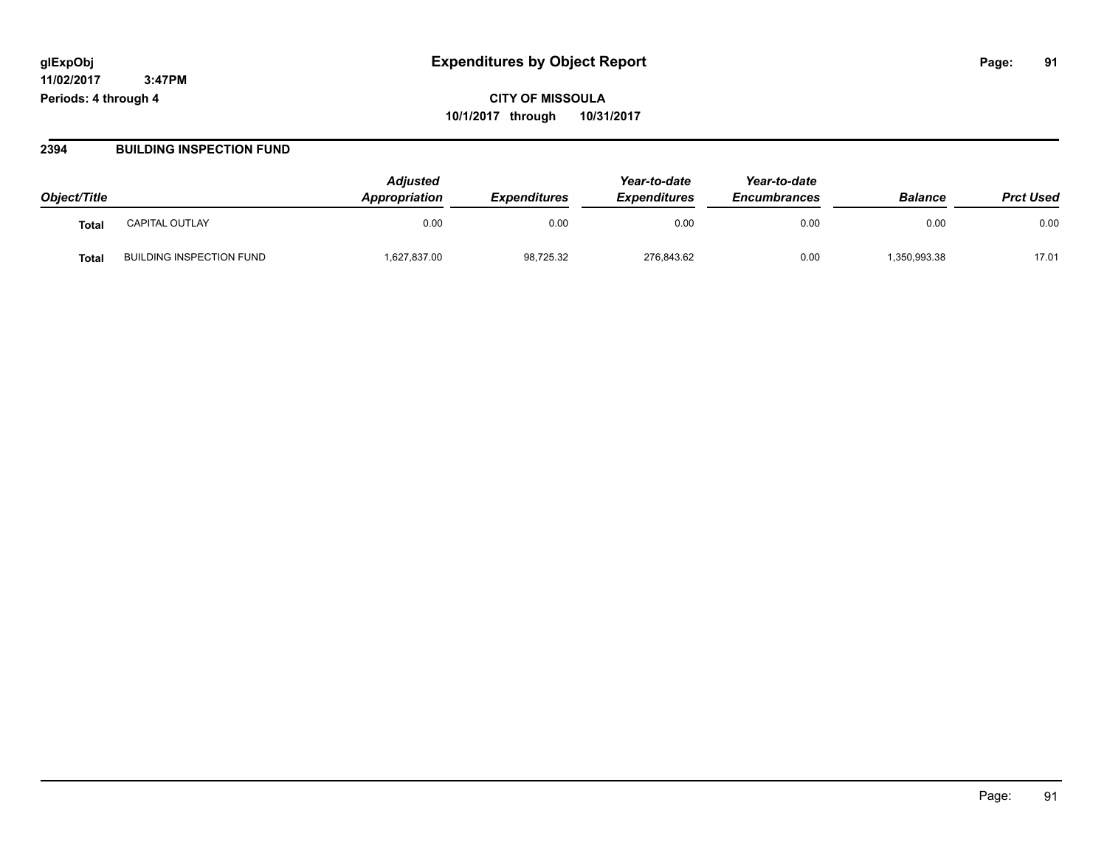# **CITY OF MISSOULA 10/1/2017 through 10/31/2017**

#### **2394 BUILDING INSPECTION FUND**

| Object/Title      |                                 | <b>Adjusted</b><br>Appropriation | <b>Expenditures</b> | Year-to-date<br><b>Expenditures</b> | Year-to-date<br><b>Encumbrances</b> | <b>Balance</b> | <b>Prct Used</b> |
|-------------------|---------------------------------|----------------------------------|---------------------|-------------------------------------|-------------------------------------|----------------|------------------|
| Tota <sub>l</sub> | <b>CAPITAL OUTLAY</b>           | 0.00                             | 0.00                | 0.00                                | 0.00                                | 0.00           | 0.00             |
| Tota.             | <b>BUILDING INSPECTION FUND</b> | 1,627,837.00                     | 98,725.32           | 276,843.62                          | 0.00                                | .350,993.38    | 17.01            |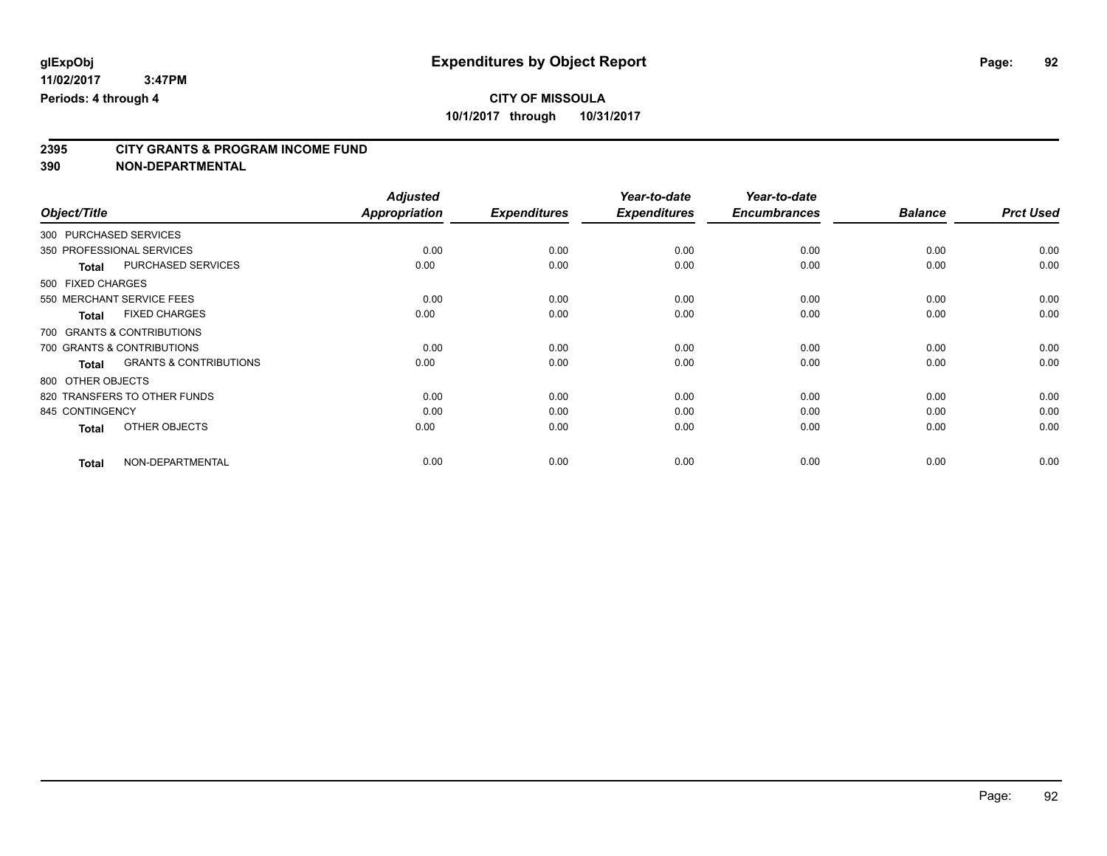# **2395 CITY GRANTS & PROGRAM INCOME FUND**

**390 NON-DEPARTMENTAL**

|                                            | <b>Adjusted</b> |                     | Year-to-date        | Year-to-date        |                |                  |
|--------------------------------------------|-----------------|---------------------|---------------------|---------------------|----------------|------------------|
| Object/Title                               | Appropriation   | <b>Expenditures</b> | <b>Expenditures</b> | <b>Encumbrances</b> | <b>Balance</b> | <b>Prct Used</b> |
| 300 PURCHASED SERVICES                     |                 |                     |                     |                     |                |                  |
| 350 PROFESSIONAL SERVICES                  | 0.00            | 0.00                | 0.00                | 0.00                | 0.00           | 0.00             |
| PURCHASED SERVICES<br><b>Total</b>         | 0.00            | 0.00                | 0.00                | 0.00                | 0.00           | 0.00             |
| 500 FIXED CHARGES                          |                 |                     |                     |                     |                |                  |
| 550 MERCHANT SERVICE FEES                  | 0.00            | 0.00                | 0.00                | 0.00                | 0.00           | 0.00             |
| <b>FIXED CHARGES</b><br>Total              | 0.00            | 0.00                | 0.00                | 0.00                | 0.00           | 0.00             |
| 700 GRANTS & CONTRIBUTIONS                 |                 |                     |                     |                     |                |                  |
| 700 GRANTS & CONTRIBUTIONS                 | 0.00            | 0.00                | 0.00                | 0.00                | 0.00           | 0.00             |
| <b>GRANTS &amp; CONTRIBUTIONS</b><br>Total | 0.00            | 0.00                | 0.00                | 0.00                | 0.00           | 0.00             |
| 800 OTHER OBJECTS                          |                 |                     |                     |                     |                |                  |
| 820 TRANSFERS TO OTHER FUNDS               | 0.00            | 0.00                | 0.00                | 0.00                | 0.00           | 0.00             |
| 845 CONTINGENCY                            | 0.00            | 0.00                | 0.00                | 0.00                | 0.00           | 0.00             |
| OTHER OBJECTS<br><b>Total</b>              | 0.00            | 0.00                | 0.00                | 0.00                | 0.00           | 0.00             |
| NON-DEPARTMENTAL<br><b>Total</b>           | 0.00            | 0.00                | 0.00                | 0.00                | 0.00           | 0.00             |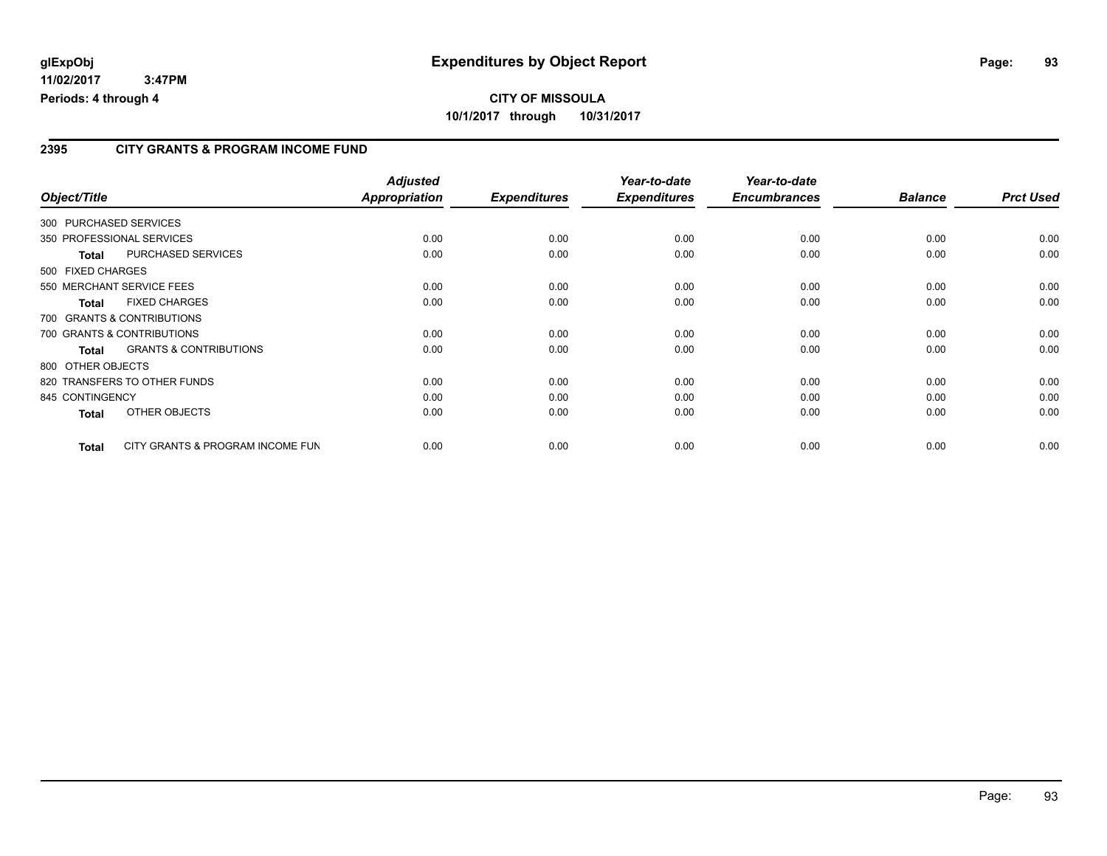# **CITY OF MISSOULA 10/1/2017 through 10/31/2017**

#### **2395 CITY GRANTS & PROGRAM INCOME FUND**

| Object/Title               |                                   | <b>Adjusted</b><br>Appropriation | <b>Expenditures</b> | Year-to-date<br><b>Expenditures</b> | Year-to-date<br><b>Encumbrances</b> | <b>Balance</b> | <b>Prct Used</b> |
|----------------------------|-----------------------------------|----------------------------------|---------------------|-------------------------------------|-------------------------------------|----------------|------------------|
| 300 PURCHASED SERVICES     |                                   |                                  |                     |                                     |                                     |                |                  |
|                            | 350 PROFESSIONAL SERVICES         | 0.00                             | 0.00                | 0.00                                | 0.00                                | 0.00           | 0.00             |
|                            | PURCHASED SERVICES                | 0.00                             | 0.00                | 0.00                                | 0.00                                | 0.00           | 0.00             |
| Total<br>500 FIXED CHARGES |                                   |                                  |                     |                                     |                                     |                |                  |
|                            | 550 MERCHANT SERVICE FEES         | 0.00                             | 0.00                | 0.00                                | 0.00                                | 0.00           | 0.00             |
| Total                      | <b>FIXED CHARGES</b>              | 0.00                             | 0.00                | 0.00                                | 0.00                                | 0.00           | 0.00             |
|                            | 700 GRANTS & CONTRIBUTIONS        |                                  |                     |                                     |                                     |                |                  |
|                            | 700 GRANTS & CONTRIBUTIONS        | 0.00                             | 0.00                | 0.00                                | 0.00                                | 0.00           | 0.00             |
| Total                      | <b>GRANTS &amp; CONTRIBUTIONS</b> | 0.00                             | 0.00                | 0.00                                | 0.00                                | 0.00           | 0.00             |
| 800 OTHER OBJECTS          |                                   |                                  |                     |                                     |                                     |                |                  |
|                            | 820 TRANSFERS TO OTHER FUNDS      | 0.00                             | 0.00                | 0.00                                | 0.00                                | 0.00           | 0.00             |
| 845 CONTINGENCY            |                                   | 0.00                             | 0.00                | 0.00                                | 0.00                                | 0.00           | 0.00             |
| <b>Total</b>               | OTHER OBJECTS                     | 0.00                             | 0.00                | 0.00                                | 0.00                                | 0.00           | 0.00             |
| <b>Total</b>               | CITY GRANTS & PROGRAM INCOME FUN  | 0.00                             | 0.00                | 0.00                                | 0.00                                | 0.00           | 0.00             |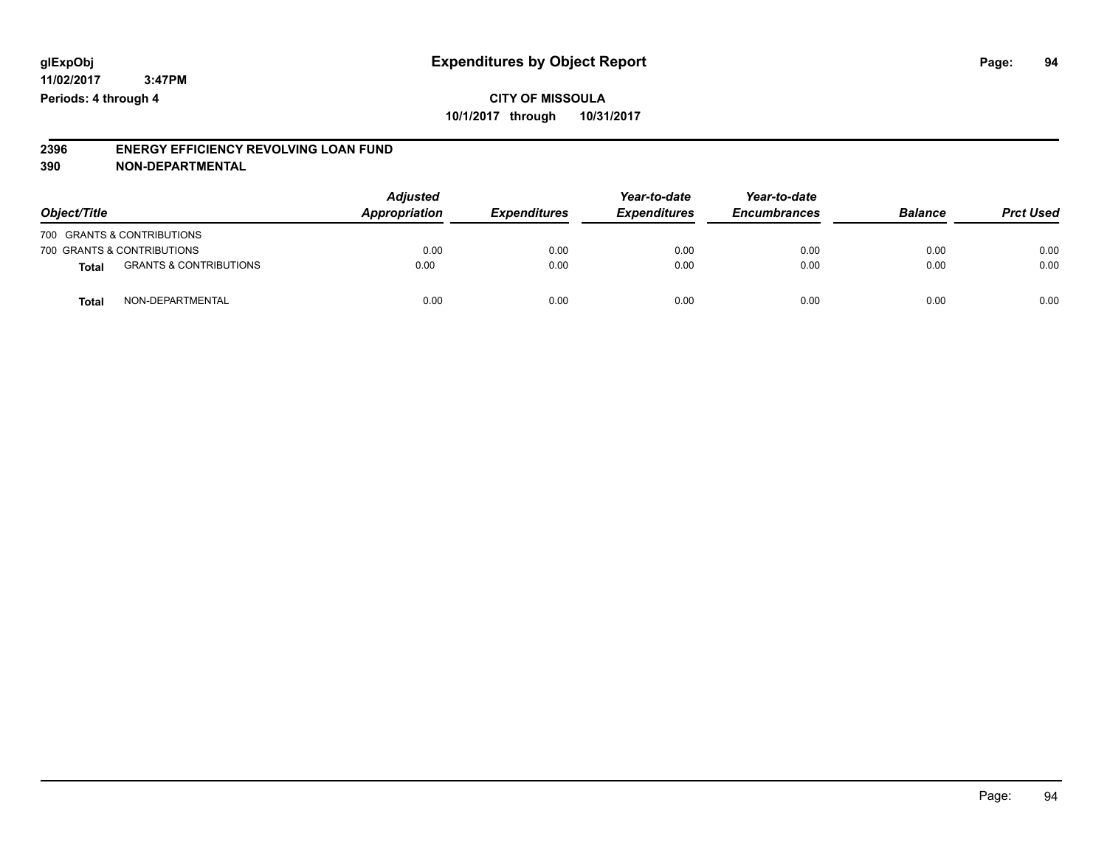**CITY OF MISSOULA 10/1/2017 through 10/31/2017**

#### **2396 ENERGY EFFICIENCY REVOLVING LOAN FUND 390 NON-DEPARTMENTAL**

| Object/Title |                                   | <b>Adjusted</b><br>Appropriation | <b>Expenditures</b> | Year-to-date<br><b>Expenditures</b> | Year-to-date<br><b>Encumbrances</b> | <b>Balance</b> | <b>Prct Used</b> |
|--------------|-----------------------------------|----------------------------------|---------------------|-------------------------------------|-------------------------------------|----------------|------------------|
|              | 700 GRANTS & CONTRIBUTIONS        |                                  |                     |                                     |                                     |                |                  |
|              | 700 GRANTS & CONTRIBUTIONS        | 0.00                             | 0.00                | 0.00                                | 0.00                                | 0.00           | 0.00             |
| Total        | <b>GRANTS &amp; CONTRIBUTIONS</b> | 0.00                             | 0.00                | 0.00                                | 0.00                                | 0.00           | 0.00             |
| Tota         | NON-DEPARTMENTAL                  | 0.00                             | 0.00                | 0.00                                | 0.00                                | 0.00           | 0.00             |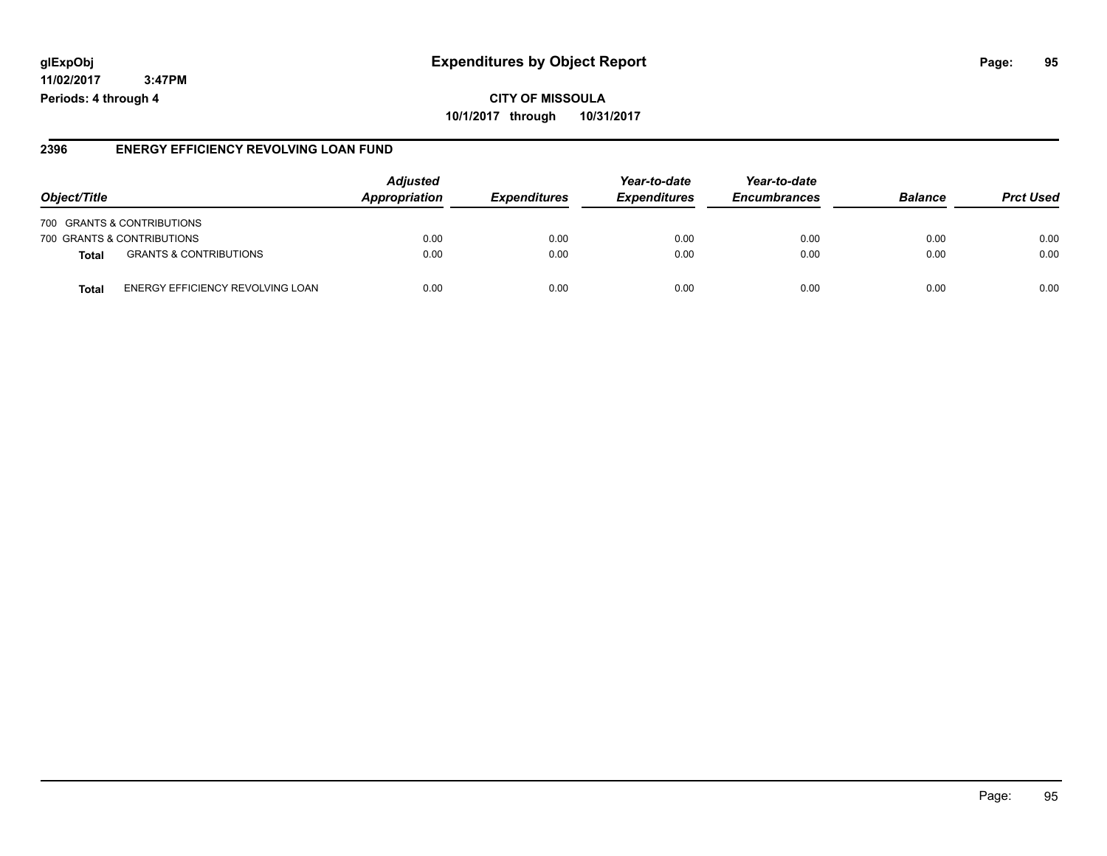### **glExpObj Expenditures by Object Report Page: 95**

**11/02/2017 3:47PM Periods: 4 through 4**

#### **2396 ENERGY EFFICIENCY REVOLVING LOAN FUND**

| Object/Title |                                   | <b>Adjusted</b><br><b>Appropriation</b> | <i><b>Expenditures</b></i> | Year-to-date<br><b>Expenditures</b> | Year-to-date<br><b>Encumbrances</b> | <b>Balance</b> | <b>Prct Used</b> |
|--------------|-----------------------------------|-----------------------------------------|----------------------------|-------------------------------------|-------------------------------------|----------------|------------------|
|              | 700 GRANTS & CONTRIBUTIONS        |                                         |                            |                                     |                                     |                |                  |
|              | 700 GRANTS & CONTRIBUTIONS        | 0.00                                    | 0.00                       | 0.00                                | 0.00                                | 0.00           | 0.00             |
| Total        | <b>GRANTS &amp; CONTRIBUTIONS</b> | 0.00                                    | 0.00                       | 0.00                                | 0.00                                | 0.00           | 0.00             |
| Tota         | ENERGY EFFICIENCY REVOLVING LOAN  | 0.00                                    | 0.00                       | 0.00                                | 0.00                                | 0.00           | 0.00             |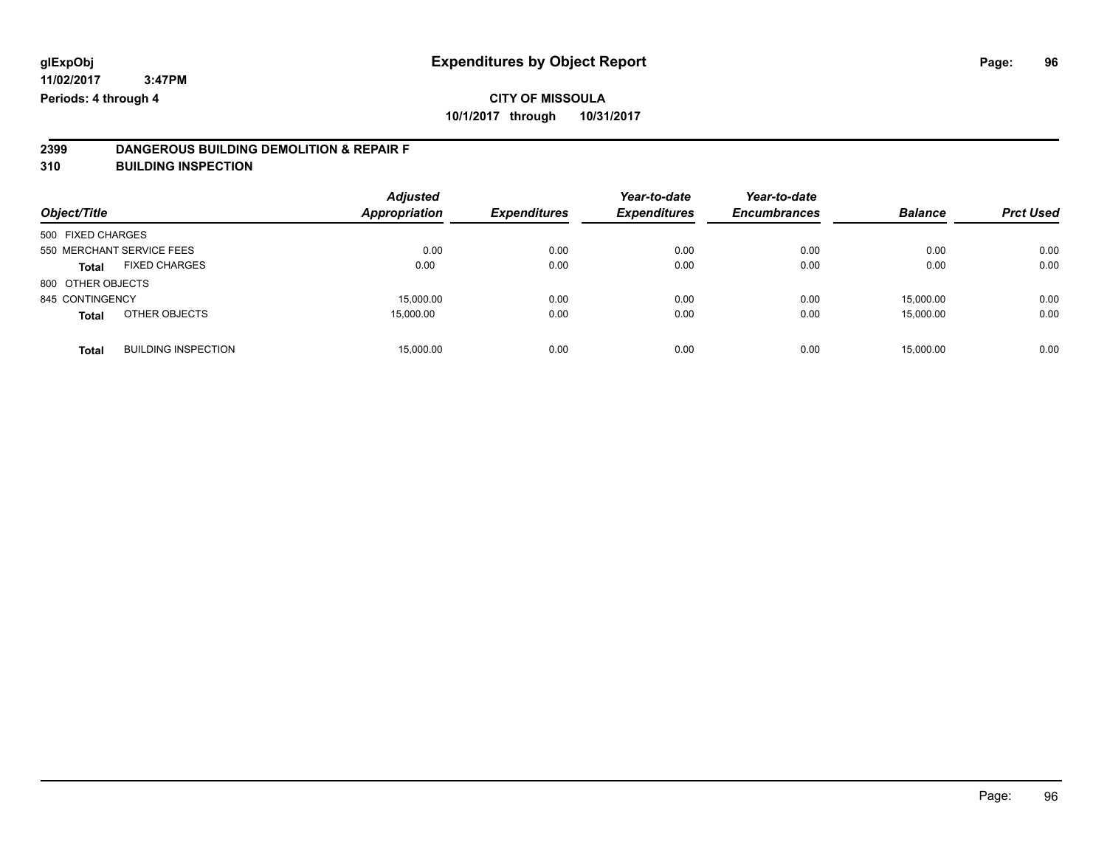# **2399 DANGEROUS BUILDING DEMOLITION & REPAIR F**

**310 BUILDING INSPECTION**

| Object/Title                               | <b>Adjusted</b><br><b>Appropriation</b> | <b>Expenditures</b> | Year-to-date<br><b>Expenditures</b> | Year-to-date<br><b>Encumbrances</b> | <b>Balance</b> | <b>Prct Used</b> |
|--------------------------------------------|-----------------------------------------|---------------------|-------------------------------------|-------------------------------------|----------------|------------------|
| 500 FIXED CHARGES                          |                                         |                     |                                     |                                     |                |                  |
| 550 MERCHANT SERVICE FEES                  | 0.00                                    | 0.00                | 0.00                                | 0.00                                | 0.00           | 0.00             |
| <b>FIXED CHARGES</b><br><b>Total</b>       | 0.00                                    | 0.00                | 0.00                                | 0.00                                | 0.00           | 0.00             |
| 800 OTHER OBJECTS                          |                                         |                     |                                     |                                     |                |                  |
| 845 CONTINGENCY                            | 15,000.00                               | 0.00                | 0.00                                | 0.00                                | 15,000.00      | 0.00             |
| OTHER OBJECTS<br><b>Total</b>              | 15,000.00                               | 0.00                | 0.00                                | 0.00                                | 15,000.00      | 0.00             |
| <b>BUILDING INSPECTION</b><br><b>Total</b> | 15,000.00                               | 0.00                | 0.00                                | 0.00                                | 15,000.00      | 0.00             |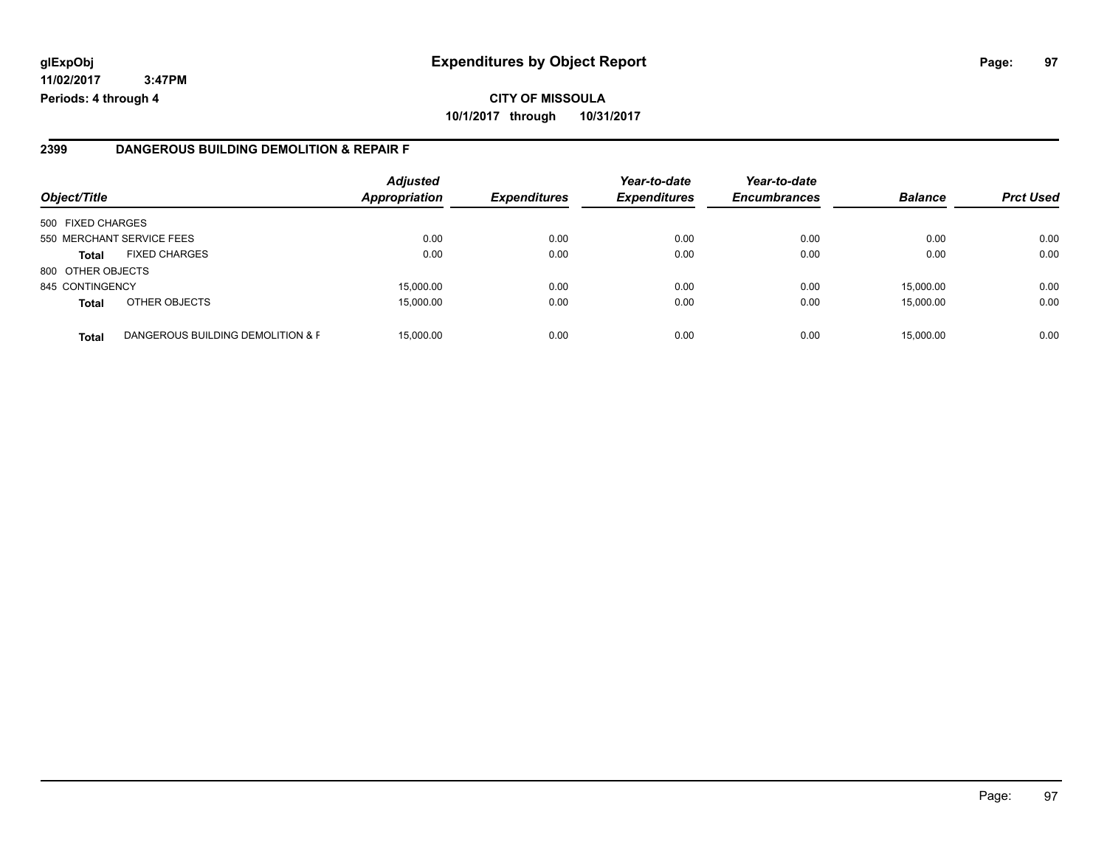# **CITY OF MISSOULA 10/1/2017 through 10/31/2017**

#### **2399 DANGEROUS BUILDING DEMOLITION & REPAIR F**

| Object/Title      |                                   | <b>Adjusted</b><br><b>Appropriation</b> | <b>Expenditures</b> | Year-to-date<br><b>Expenditures</b> | Year-to-date<br><b>Encumbrances</b> | <b>Balance</b> | <b>Prct Used</b> |
|-------------------|-----------------------------------|-----------------------------------------|---------------------|-------------------------------------|-------------------------------------|----------------|------------------|
| 500 FIXED CHARGES |                                   |                                         |                     |                                     |                                     |                |                  |
|                   | 550 MERCHANT SERVICE FEES         | 0.00                                    | 0.00                | 0.00                                | 0.00                                | 0.00           | 0.00             |
| Total             | <b>FIXED CHARGES</b>              | 0.00                                    | 0.00                | 0.00                                | 0.00                                | 0.00           | 0.00             |
| 800 OTHER OBJECTS |                                   |                                         |                     |                                     |                                     |                |                  |
| 845 CONTINGENCY   |                                   | 15.000.00                               | 0.00                | 0.00                                | 0.00                                | 15.000.00      | 0.00             |
| <b>Total</b>      | OTHER OBJECTS                     | 15.000.00                               | 0.00                | 0.00                                | 0.00                                | 15,000.00      | 0.00             |
| <b>Total</b>      | DANGEROUS BUILDING DEMOLITION & F | 15,000.00                               | 0.00                | 0.00                                | 0.00                                | 15,000.00      | 0.00             |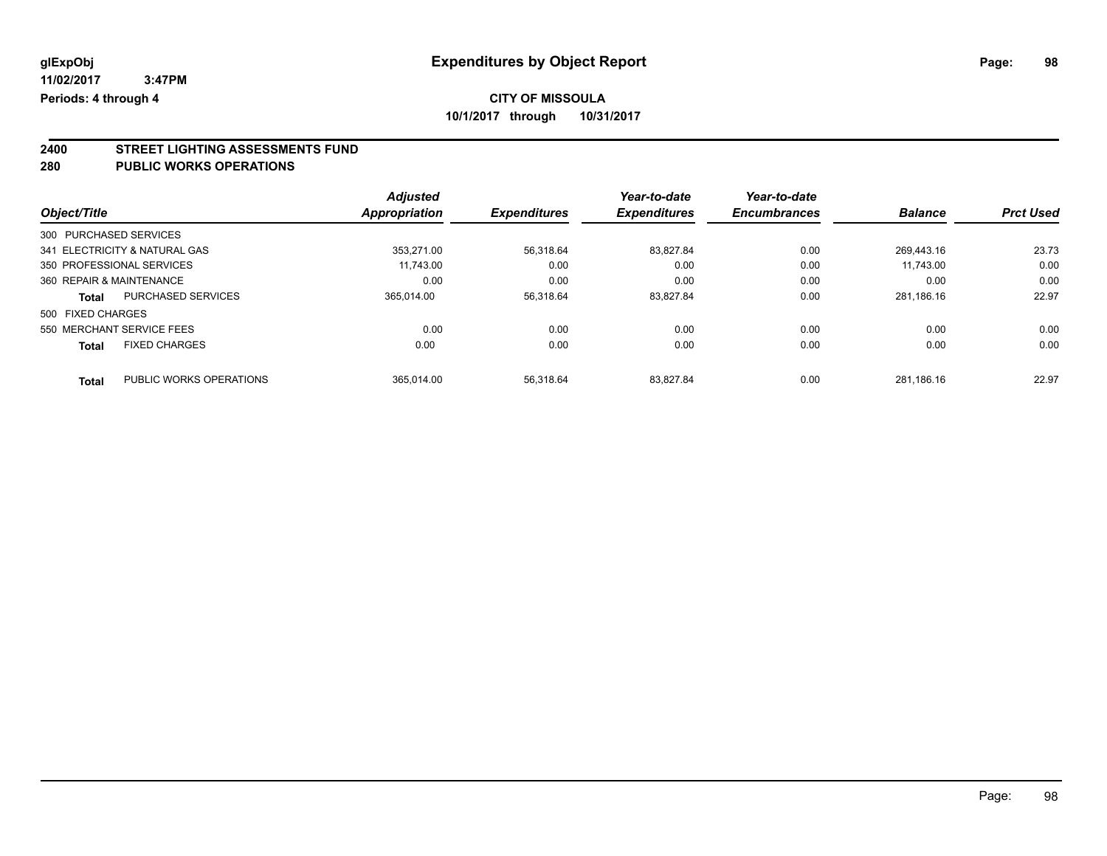# **2400 STREET LIGHTING ASSESSMENTS FUND**

#### **280 PUBLIC WORKS OPERATIONS**

|                               |                           | <b>Adjusted</b> |                     | Year-to-date        | Year-to-date        |                |                  |
|-------------------------------|---------------------------|-----------------|---------------------|---------------------|---------------------|----------------|------------------|
| Object/Title                  |                           | Appropriation   | <b>Expenditures</b> | <b>Expenditures</b> | <b>Encumbrances</b> | <b>Balance</b> | <b>Prct Used</b> |
| 300 PURCHASED SERVICES        |                           |                 |                     |                     |                     |                |                  |
| 341 ELECTRICITY & NATURAL GAS |                           | 353.271.00      | 56,318.64           | 83.827.84           | 0.00                | 269.443.16     | 23.73            |
| 350 PROFESSIONAL SERVICES     |                           | 11.743.00       | 0.00                | 0.00                | 0.00                | 11.743.00      | 0.00             |
| 360 REPAIR & MAINTENANCE      |                           | 0.00            | 0.00                | 0.00                | 0.00                | 0.00           | 0.00             |
| <b>Total</b>                  | <b>PURCHASED SERVICES</b> | 365.014.00      | 56,318.64           | 83,827.84           | 0.00                | 281,186.16     | 22.97            |
| 500 FIXED CHARGES             |                           |                 |                     |                     |                     |                |                  |
| 550 MERCHANT SERVICE FEES     |                           | 0.00            | 0.00                | 0.00                | 0.00                | 0.00           | 0.00             |
| <b>Total</b>                  | <b>FIXED CHARGES</b>      | 0.00            | 0.00                | 0.00                | 0.00                | 0.00           | 0.00             |
| <b>Total</b>                  | PUBLIC WORKS OPERATIONS   | 365.014.00      | 56.318.64           | 83.827.84           | 0.00                | 281.186.16     | 22.97            |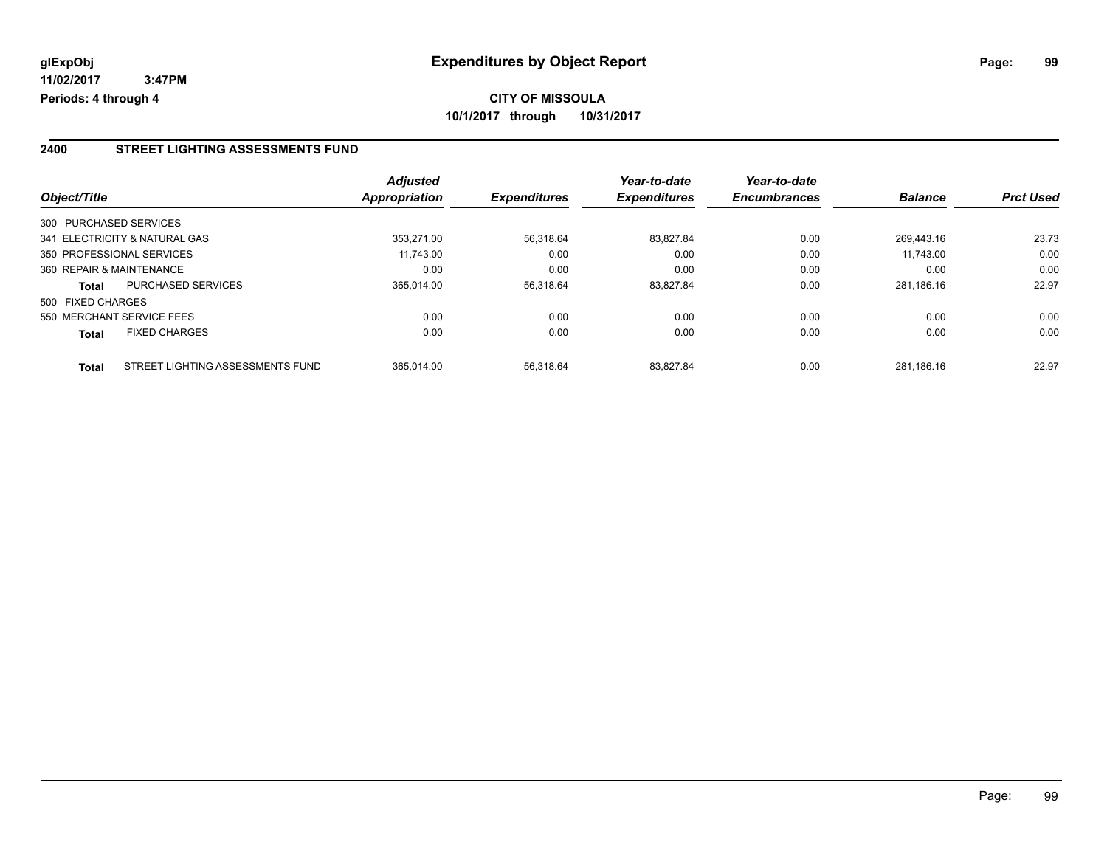#### **2400 STREET LIGHTING ASSESSMENTS FUND**

|                          |                                  | <b>Adjusted</b>      |                     | Year-to-date        | Year-to-date        |                |                  |
|--------------------------|----------------------------------|----------------------|---------------------|---------------------|---------------------|----------------|------------------|
| Object/Title             |                                  | <b>Appropriation</b> | <b>Expenditures</b> | <b>Expenditures</b> | <b>Encumbrances</b> | <b>Balance</b> | <b>Prct Used</b> |
| 300 PURCHASED SERVICES   |                                  |                      |                     |                     |                     |                |                  |
|                          | 341 ELECTRICITY & NATURAL GAS    | 353.271.00           | 56.318.64           | 83.827.84           | 0.00                | 269.443.16     | 23.73            |
|                          | 350 PROFESSIONAL SERVICES        | 11.743.00            | 0.00                | 0.00                | 0.00                | 11.743.00      | 0.00             |
| 360 REPAIR & MAINTENANCE |                                  | 0.00                 | 0.00                | 0.00                | 0.00                | 0.00           | 0.00             |
| <b>Total</b>             | <b>PURCHASED SERVICES</b>        | 365.014.00           | 56,318.64           | 83.827.84           | 0.00                | 281.186.16     | 22.97            |
| 500 FIXED CHARGES        |                                  |                      |                     |                     |                     |                |                  |
|                          | 550 MERCHANT SERVICE FEES        | 0.00                 | 0.00                | 0.00                | 0.00                | 0.00           | 0.00             |
| <b>Total</b>             | <b>FIXED CHARGES</b>             | 0.00                 | 0.00                | 0.00                | 0.00                | 0.00           | 0.00             |
| <b>Total</b>             | STREET LIGHTING ASSESSMENTS FUND | 365.014.00           | 56.318.64           | 83.827.84           | 0.00                | 281.186.16     | 22.97            |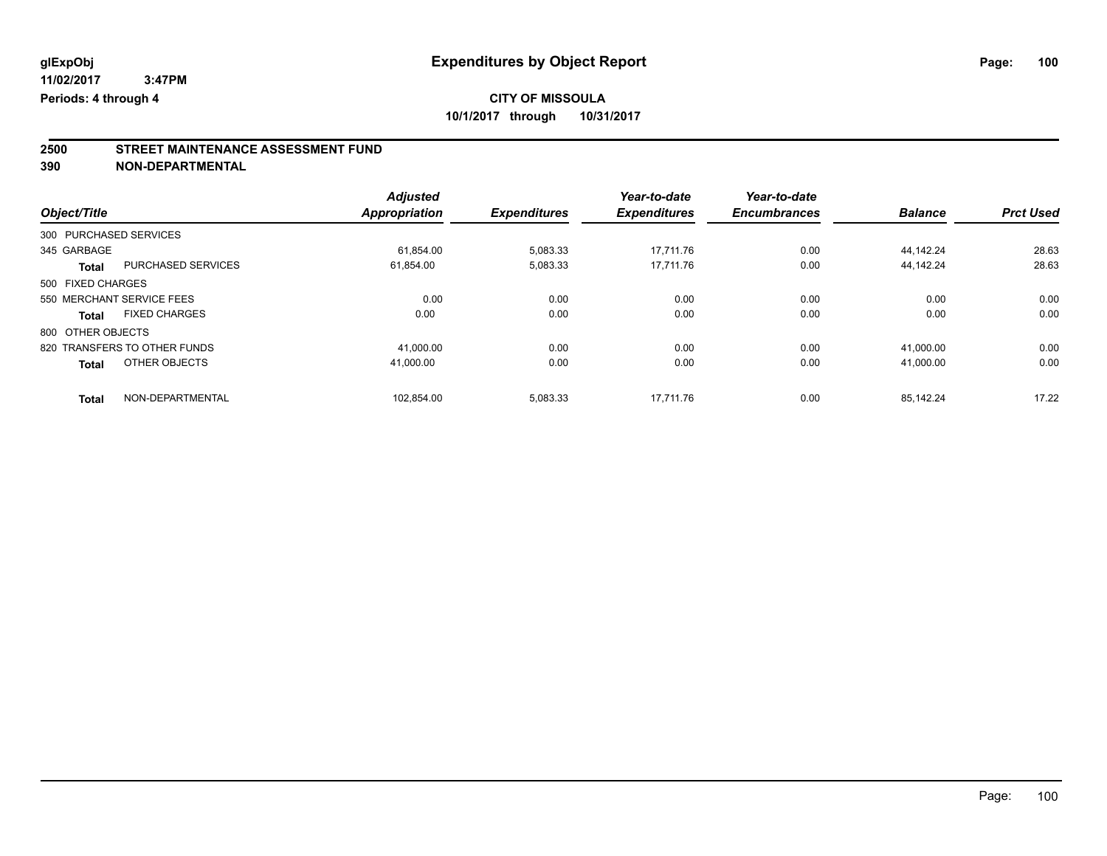# **CITY OF MISSOULA**

**10/1/2017 through 10/31/2017**

# **2500 STREET MAINTENANCE ASSESSMENT FUND**

**390 NON-DEPARTMENTAL**

|                   |                              | <b>Adjusted</b>      |                     | Year-to-date        | Year-to-date        |                |                  |
|-------------------|------------------------------|----------------------|---------------------|---------------------|---------------------|----------------|------------------|
| Object/Title      |                              | <b>Appropriation</b> | <b>Expenditures</b> | <b>Expenditures</b> | <b>Encumbrances</b> | <b>Balance</b> | <b>Prct Used</b> |
|                   | 300 PURCHASED SERVICES       |                      |                     |                     |                     |                |                  |
| 345 GARBAGE       |                              | 61.854.00            | 5,083.33            | 17.711.76           | 0.00                | 44.142.24      | 28.63            |
| Total             | PURCHASED SERVICES           | 61,854.00            | 5,083.33            | 17.711.76           | 0.00                | 44.142.24      | 28.63            |
| 500 FIXED CHARGES |                              |                      |                     |                     |                     |                |                  |
|                   | 550 MERCHANT SERVICE FEES    | 0.00                 | 0.00                | 0.00                | 0.00                | 0.00           | 0.00             |
| <b>Total</b>      | <b>FIXED CHARGES</b>         | 0.00                 | 0.00                | 0.00                | 0.00                | 0.00           | 0.00             |
| 800 OTHER OBJECTS |                              |                      |                     |                     |                     |                |                  |
|                   | 820 TRANSFERS TO OTHER FUNDS | 41.000.00            | 0.00                | 0.00                | 0.00                | 41.000.00      | 0.00             |
| <b>Total</b>      | OTHER OBJECTS                | 41.000.00            | 0.00                | 0.00                | 0.00                | 41.000.00      | 0.00             |
| <b>Total</b>      | NON-DEPARTMENTAL             | 102.854.00           | 5,083.33            | 17.711.76           | 0.00                | 85.142.24      | 17.22            |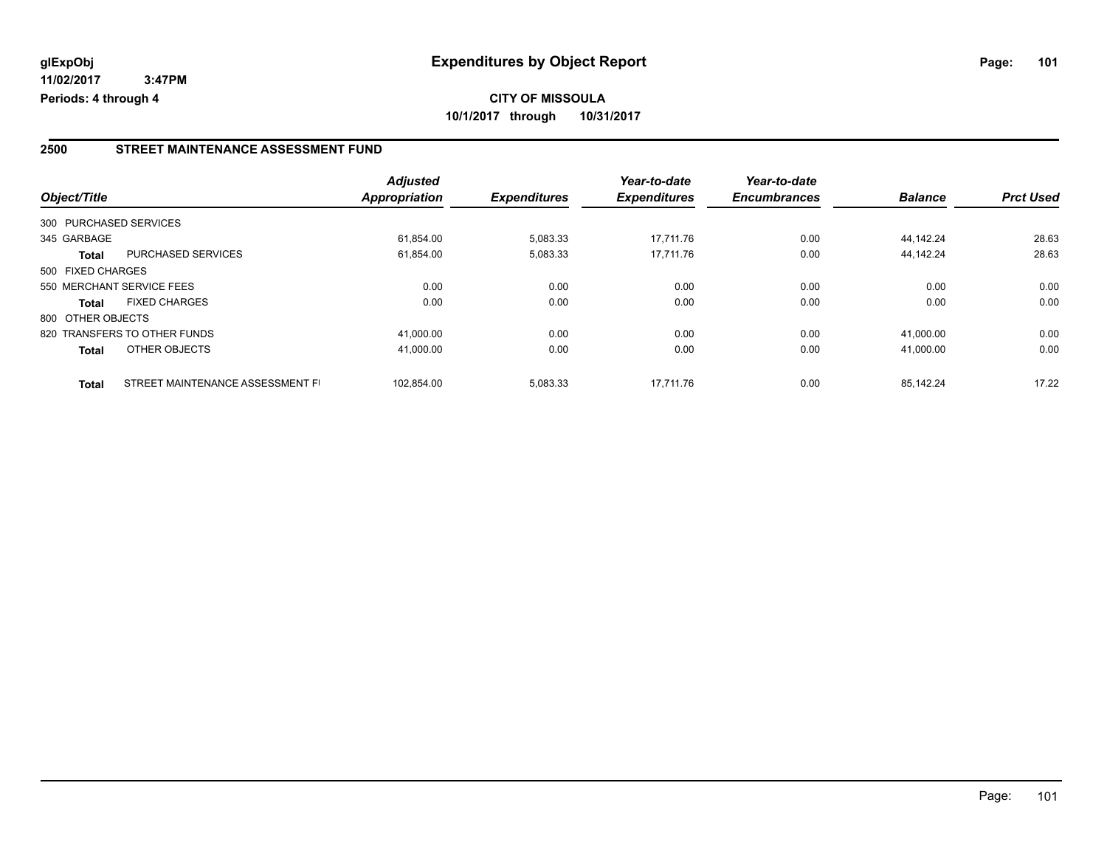#### **2500 STREET MAINTENANCE ASSESSMENT FUND**

|                   |                                  | <b>Adjusted</b>      |                     | Year-to-date        | Year-to-date        |                |                  |
|-------------------|----------------------------------|----------------------|---------------------|---------------------|---------------------|----------------|------------------|
| Object/Title      |                                  | <b>Appropriation</b> | <b>Expenditures</b> | <b>Expenditures</b> | <b>Encumbrances</b> | <b>Balance</b> | <b>Prct Used</b> |
|                   | 300 PURCHASED SERVICES           |                      |                     |                     |                     |                |                  |
| 345 GARBAGE       |                                  | 61.854.00            | 5,083.33            | 17.711.76           | 0.00                | 44.142.24      | 28.63            |
| <b>Total</b>      | <b>PURCHASED SERVICES</b>        | 61.854.00            | 5,083.33            | 17.711.76           | 0.00                | 44.142.24      | 28.63            |
| 500 FIXED CHARGES |                                  |                      |                     |                     |                     |                |                  |
|                   | 550 MERCHANT SERVICE FEES        | 0.00                 | 0.00                | 0.00                | 0.00                | 0.00           | 0.00             |
| <b>Total</b>      | <b>FIXED CHARGES</b>             | 0.00                 | 0.00                | 0.00                | 0.00                | 0.00           | 0.00             |
| 800 OTHER OBJECTS |                                  |                      |                     |                     |                     |                |                  |
|                   | 820 TRANSFERS TO OTHER FUNDS     | 41,000.00            | 0.00                | 0.00                | 0.00                | 41.000.00      | 0.00             |
| <b>Total</b>      | OTHER OBJECTS                    | 41,000.00            | 0.00                | 0.00                | 0.00                | 41.000.00      | 0.00             |
| <b>Total</b>      | STREET MAINTENANCE ASSESSMENT FI | 102.854.00           | 5,083.33            | 17.711.76           | 0.00                | 85.142.24      | 17.22            |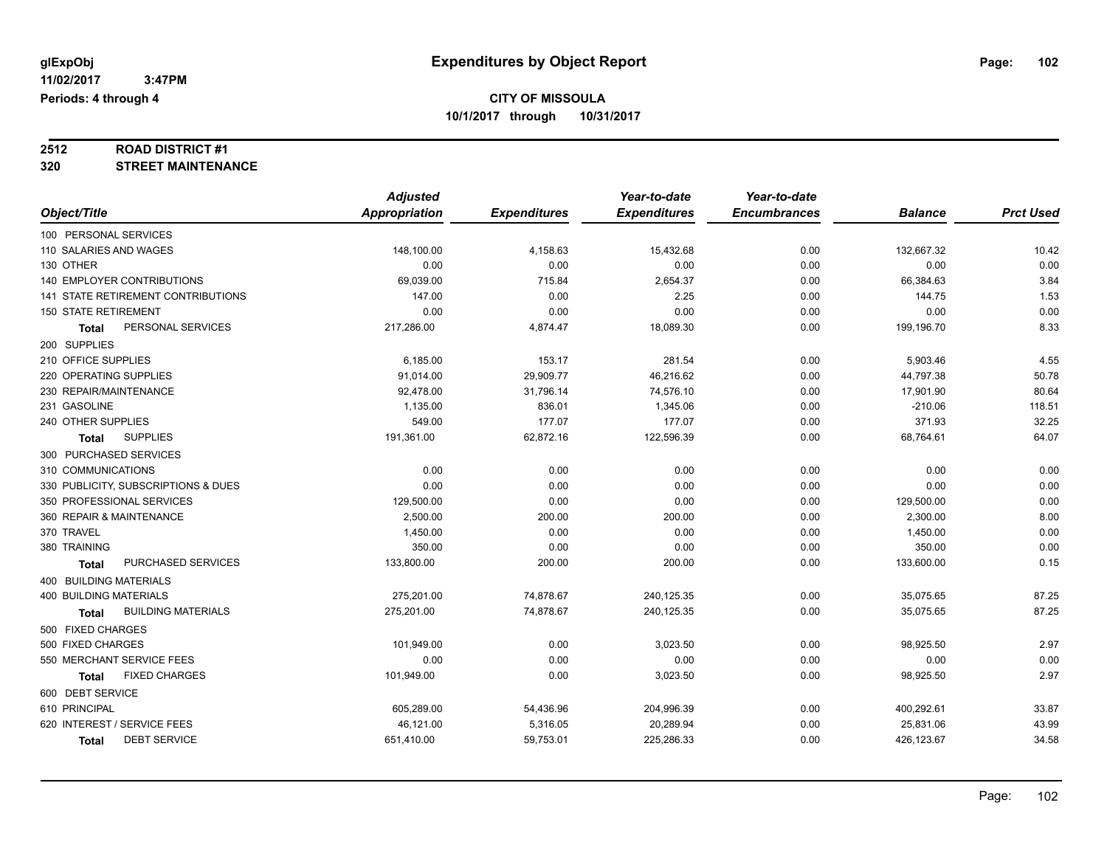# **2512 ROAD DISTRICT #1**

**320 STREET MAINTENANCE**

|                                           | <b>Adjusted</b>      |                     | Year-to-date        | Year-to-date        |                |                  |
|-------------------------------------------|----------------------|---------------------|---------------------|---------------------|----------------|------------------|
| Object/Title                              | <b>Appropriation</b> | <b>Expenditures</b> | <b>Expenditures</b> | <b>Encumbrances</b> | <b>Balance</b> | <b>Prct Used</b> |
| 100 PERSONAL SERVICES                     |                      |                     |                     |                     |                |                  |
| 110 SALARIES AND WAGES                    | 148,100.00           | 4,158.63            | 15,432.68           | 0.00                | 132,667.32     | 10.42            |
| 130 OTHER                                 | 0.00                 | 0.00                | 0.00                | 0.00                | 0.00           | 0.00             |
| <b>140 EMPLOYER CONTRIBUTIONS</b>         | 69,039.00            | 715.84              | 2,654.37            | 0.00                | 66,384.63      | 3.84             |
| <b>141 STATE RETIREMENT CONTRIBUTIONS</b> | 147.00               | 0.00                | 2.25                | 0.00                | 144.75         | 1.53             |
| <b>150 STATE RETIREMENT</b>               | 0.00                 | 0.00                | 0.00                | 0.00                | 0.00           | 0.00             |
| PERSONAL SERVICES<br><b>Total</b>         | 217,286.00           | 4,874.47            | 18,089.30           | 0.00                | 199,196.70     | 8.33             |
| 200 SUPPLIES                              |                      |                     |                     |                     |                |                  |
| 210 OFFICE SUPPLIES                       | 6,185.00             | 153.17              | 281.54              | 0.00                | 5,903.46       | 4.55             |
| 220 OPERATING SUPPLIES                    | 91,014.00            | 29,909.77           | 46,216.62           | 0.00                | 44,797.38      | 50.78            |
| 230 REPAIR/MAINTENANCE                    | 92,478.00            | 31,796.14           | 74,576.10           | 0.00                | 17,901.90      | 80.64            |
| 231 GASOLINE                              | 1,135.00             | 836.01              | 1,345.06            | 0.00                | $-210.06$      | 118.51           |
| 240 OTHER SUPPLIES                        | 549.00               | 177.07              | 177.07              | 0.00                | 371.93         | 32.25            |
| <b>SUPPLIES</b><br><b>Total</b>           | 191,361.00           | 62,872.16           | 122,596.39          | 0.00                | 68,764.61      | 64.07            |
| 300 PURCHASED SERVICES                    |                      |                     |                     |                     |                |                  |
| 310 COMMUNICATIONS                        | 0.00                 | 0.00                | 0.00                | 0.00                | 0.00           | 0.00             |
| 330 PUBLICITY, SUBSCRIPTIONS & DUES       | 0.00                 | 0.00                | 0.00                | 0.00                | 0.00           | 0.00             |
| 350 PROFESSIONAL SERVICES                 | 129,500.00           | 0.00                | 0.00                | 0.00                | 129,500.00     | 0.00             |
| 360 REPAIR & MAINTENANCE                  | 2,500.00             | 200.00              | 200.00              | 0.00                | 2,300.00       | 8.00             |
| 370 TRAVEL                                | 1,450.00             | 0.00                | 0.00                | 0.00                | 1,450.00       | 0.00             |
| 380 TRAINING                              | 350.00               | 0.00                | 0.00                | 0.00                | 350.00         | 0.00             |
| PURCHASED SERVICES<br><b>Total</b>        | 133,800.00           | 200.00              | 200.00              | 0.00                | 133,600.00     | 0.15             |
| 400 BUILDING MATERIALS                    |                      |                     |                     |                     |                |                  |
| <b>400 BUILDING MATERIALS</b>             | 275,201.00           | 74,878.67           | 240,125.35          | 0.00                | 35,075.65      | 87.25            |
| <b>BUILDING MATERIALS</b><br><b>Total</b> | 275,201.00           | 74,878.67           | 240,125.35          | 0.00                | 35,075.65      | 87.25            |
| 500 FIXED CHARGES                         |                      |                     |                     |                     |                |                  |
| 500 FIXED CHARGES                         | 101,949.00           | 0.00                | 3,023.50            | 0.00                | 98,925.50      | 2.97             |
| 550 MERCHANT SERVICE FEES                 | 0.00                 | 0.00                | 0.00                | 0.00                | 0.00           | 0.00             |
| <b>FIXED CHARGES</b><br><b>Total</b>      | 101,949.00           | 0.00                | 3,023.50            | 0.00                | 98,925.50      | 2.97             |
| 600 DEBT SERVICE                          |                      |                     |                     |                     |                |                  |
| 610 PRINCIPAL                             | 605,289.00           | 54,436.96           | 204,996.39          | 0.00                | 400,292.61     | 33.87            |
| 620 INTEREST / SERVICE FEES               | 46,121.00            | 5,316.05            | 20,289.94           | 0.00                | 25,831.06      | 43.99            |
| <b>DEBT SERVICE</b><br>Total              | 651,410.00           | 59,753.01           | 225,286.33          | 0.00                | 426,123.67     | 34.58            |
|                                           |                      |                     |                     |                     |                |                  |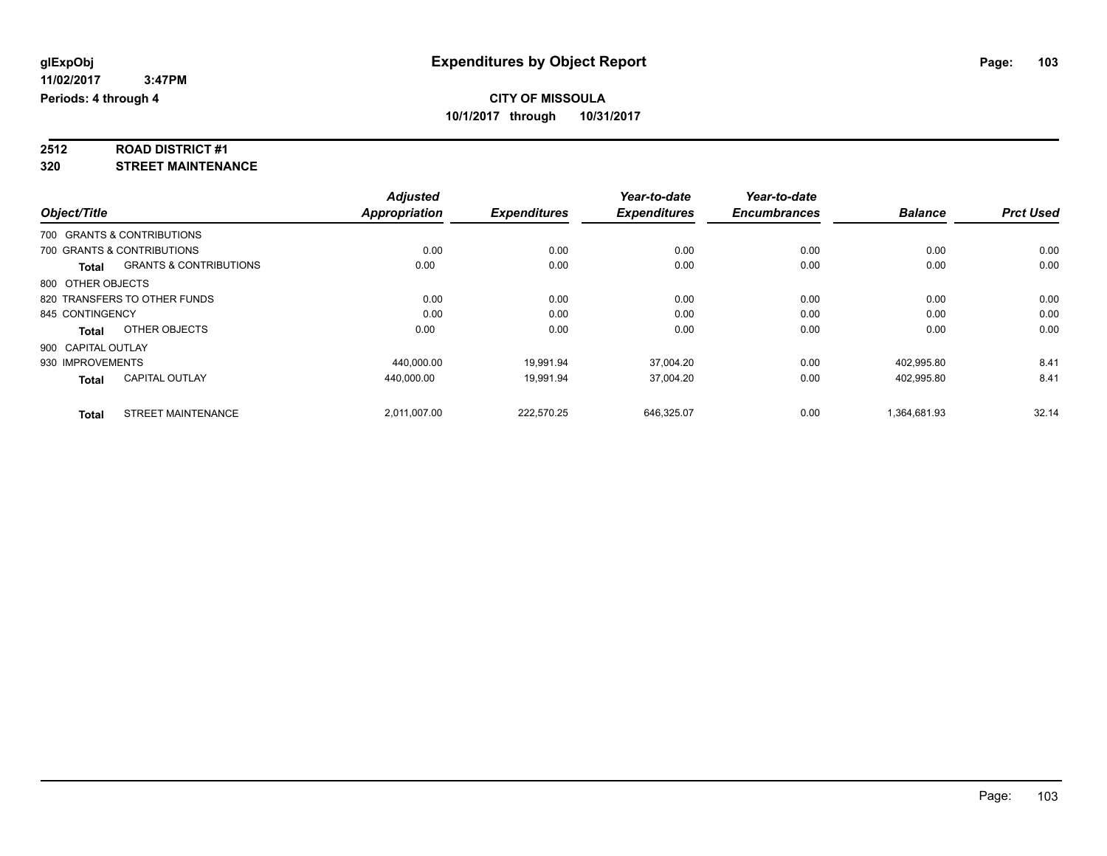# **2512 ROAD DISTRICT #1**

**320 STREET MAINTENANCE**

|                    |                                   | <b>Adjusted</b>      |                     | Year-to-date        | Year-to-date        |                |                  |
|--------------------|-----------------------------------|----------------------|---------------------|---------------------|---------------------|----------------|------------------|
| Object/Title       |                                   | <b>Appropriation</b> | <b>Expenditures</b> | <b>Expenditures</b> | <b>Encumbrances</b> | <b>Balance</b> | <b>Prct Used</b> |
|                    | 700 GRANTS & CONTRIBUTIONS        |                      |                     |                     |                     |                |                  |
|                    | 700 GRANTS & CONTRIBUTIONS        | 0.00                 | 0.00                | 0.00                | 0.00                | 0.00           | 0.00             |
| Total              | <b>GRANTS &amp; CONTRIBUTIONS</b> | 0.00                 | 0.00                | 0.00                | 0.00                | 0.00           | 0.00             |
| 800 OTHER OBJECTS  |                                   |                      |                     |                     |                     |                |                  |
|                    | 820 TRANSFERS TO OTHER FUNDS      | 0.00                 | 0.00                | 0.00                | 0.00                | 0.00           | 0.00             |
| 845 CONTINGENCY    |                                   | 0.00                 | 0.00                | 0.00                | 0.00                | 0.00           | 0.00             |
| <b>Total</b>       | OTHER OBJECTS                     | 0.00                 | 0.00                | 0.00                | 0.00                | 0.00           | 0.00             |
| 900 CAPITAL OUTLAY |                                   |                      |                     |                     |                     |                |                  |
| 930 IMPROVEMENTS   |                                   | 440.000.00           | 19,991.94           | 37,004.20           | 0.00                | 402,995.80     | 8.41             |
| <b>Total</b>       | <b>CAPITAL OUTLAY</b>             | 440.000.00           | 19.991.94           | 37,004.20           | 0.00                | 402,995.80     | 8.41             |
| <b>Total</b>       | <b>STREET MAINTENANCE</b>         | 2,011,007.00         | 222,570.25          | 646,325.07          | 0.00                | 1,364,681.93   | 32.14            |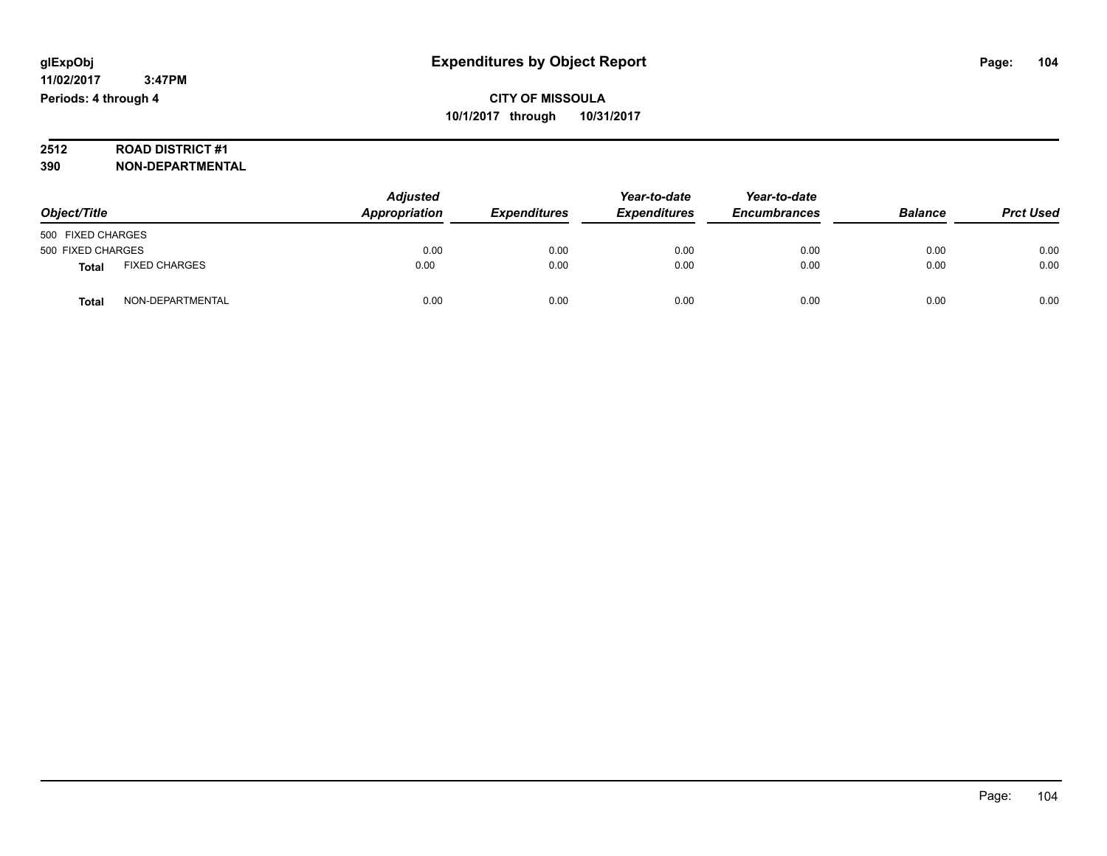# **2512 ROAD DISTRICT #1**

**390 NON-DEPARTMENTAL**

| Object/Title      |                      | <b>Adjusted</b><br>Appropriation | <b>Expenditures</b> | Year-to-date<br><b>Expenditures</b> | Year-to-date<br><b>Encumbrances</b> | <b>Balance</b> | <b>Prct Used</b> |
|-------------------|----------------------|----------------------------------|---------------------|-------------------------------------|-------------------------------------|----------------|------------------|
| 500 FIXED CHARGES |                      |                                  |                     |                                     |                                     |                |                  |
| 500 FIXED CHARGES |                      | 0.00                             | 0.00                | 0.00                                | 0.00                                | 0.00           | 0.00             |
| Total             | <b>FIXED CHARGES</b> | 0.00                             | 0.00                | 0.00                                | 0.00                                | 0.00           | 0.00             |
| Total             | NON-DEPARTMENTAL     | 0.00                             | 0.00                | 0.00                                | 0.00                                | 0.00           | 0.00             |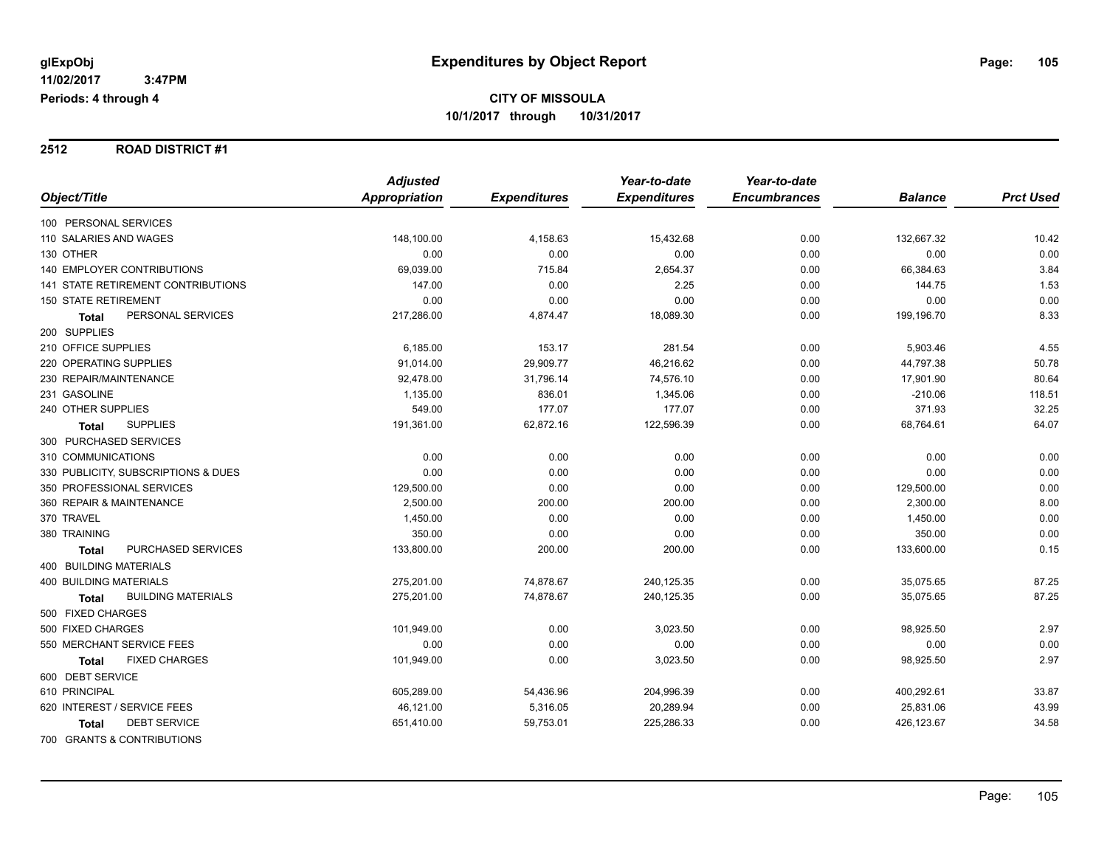#### **2512 ROAD DISTRICT #1**

|                                      | <b>Adjusted</b> |                     | Year-to-date        | Year-to-date        |                |                  |
|--------------------------------------|-----------------|---------------------|---------------------|---------------------|----------------|------------------|
| Object/Title                         | Appropriation   | <b>Expenditures</b> | <b>Expenditures</b> | <b>Encumbrances</b> | <b>Balance</b> | <b>Prct Used</b> |
| 100 PERSONAL SERVICES                |                 |                     |                     |                     |                |                  |
| 110 SALARIES AND WAGES               | 148,100.00      | 4,158.63            | 15,432.68           | 0.00                | 132,667.32     | 10.42            |
| 130 OTHER                            | 0.00            | 0.00                | 0.00                | 0.00                | 0.00           | 0.00             |
| <b>140 EMPLOYER CONTRIBUTIONS</b>    | 69,039.00       | 715.84              | 2,654.37            | 0.00                | 66,384.63      | 3.84             |
| 141 STATE RETIREMENT CONTRIBUTIONS   | 147.00          | 0.00                | 2.25                | 0.00                | 144.75         | 1.53             |
| <b>150 STATE RETIREMENT</b>          | 0.00            | 0.00                | 0.00                | 0.00                | 0.00           | 0.00             |
| PERSONAL SERVICES<br><b>Total</b>    | 217,286.00      | 4,874.47            | 18,089.30           | 0.00                | 199,196.70     | 8.33             |
| 200 SUPPLIES                         |                 |                     |                     |                     |                |                  |
| 210 OFFICE SUPPLIES                  | 6,185.00        | 153.17              | 281.54              | 0.00                | 5,903.46       | 4.55             |
| 220 OPERATING SUPPLIES               | 91,014.00       | 29,909.77           | 46,216.62           | 0.00                | 44,797.38      | 50.78            |
| 230 REPAIR/MAINTENANCE               | 92,478.00       | 31,796.14           | 74,576.10           | 0.00                | 17,901.90      | 80.64            |
| 231 GASOLINE                         | 1,135.00        | 836.01              | 1,345.06            | 0.00                | $-210.06$      | 118.51           |
| 240 OTHER SUPPLIES                   | 549.00          | 177.07              | 177.07              | 0.00                | 371.93         | 32.25            |
| <b>SUPPLIES</b><br>Total             | 191,361.00      | 62,872.16           | 122,596.39          | 0.00                | 68,764.61      | 64.07            |
| 300 PURCHASED SERVICES               |                 |                     |                     |                     |                |                  |
| 310 COMMUNICATIONS                   | 0.00            | 0.00                | 0.00                | 0.00                | 0.00           | 0.00             |
| 330 PUBLICITY, SUBSCRIPTIONS & DUES  | 0.00            | 0.00                | 0.00                | 0.00                | 0.00           | 0.00             |
| 350 PROFESSIONAL SERVICES            | 129,500.00      | 0.00                | 0.00                | 0.00                | 129,500.00     | 0.00             |
| 360 REPAIR & MAINTENANCE             | 2,500.00        | 200.00              | 200.00              | 0.00                | 2,300.00       | 8.00             |
| 370 TRAVEL                           | 1,450.00        | 0.00                | 0.00                | 0.00                | 1,450.00       | 0.00             |
| 380 TRAINING                         | 350.00          | 0.00                | 0.00                | 0.00                | 350.00         | 0.00             |
| PURCHASED SERVICES<br><b>Total</b>   | 133,800.00      | 200.00              | 200.00              | 0.00                | 133,600.00     | 0.15             |
| 400 BUILDING MATERIALS               |                 |                     |                     |                     |                |                  |
| <b>400 BUILDING MATERIALS</b>        | 275,201.00      | 74,878.67           | 240,125.35          | 0.00                | 35,075.65      | 87.25            |
| <b>BUILDING MATERIALS</b><br>Total   | 275,201.00      | 74,878.67           | 240,125.35          | 0.00                | 35,075.65      | 87.25            |
| 500 FIXED CHARGES                    |                 |                     |                     |                     |                |                  |
| 500 FIXED CHARGES                    | 101,949.00      | 0.00                | 3,023.50            | 0.00                | 98,925.50      | 2.97             |
| 550 MERCHANT SERVICE FEES            | 0.00            | 0.00                | 0.00                | 0.00                | 0.00           | 0.00             |
| <b>FIXED CHARGES</b><br><b>Total</b> | 101,949.00      | 0.00                | 3,023.50            | 0.00                | 98,925.50      | 2.97             |
| 600 DEBT SERVICE                     |                 |                     |                     |                     |                |                  |
| 610 PRINCIPAL                        | 605,289.00      | 54,436.96           | 204,996.39          | 0.00                | 400,292.61     | 33.87            |
| 620 INTEREST / SERVICE FEES          | 46,121.00       | 5,316.05            | 20,289.94           | 0.00                | 25,831.06      | 43.99            |
| <b>DEBT SERVICE</b><br><b>Total</b>  | 651,410.00      | 59,753.01           | 225,286.33          | 0.00                | 426,123.67     | 34.58            |
| 700 GRANTS & CONTRIBUTIONS           |                 |                     |                     |                     |                |                  |

Page: 105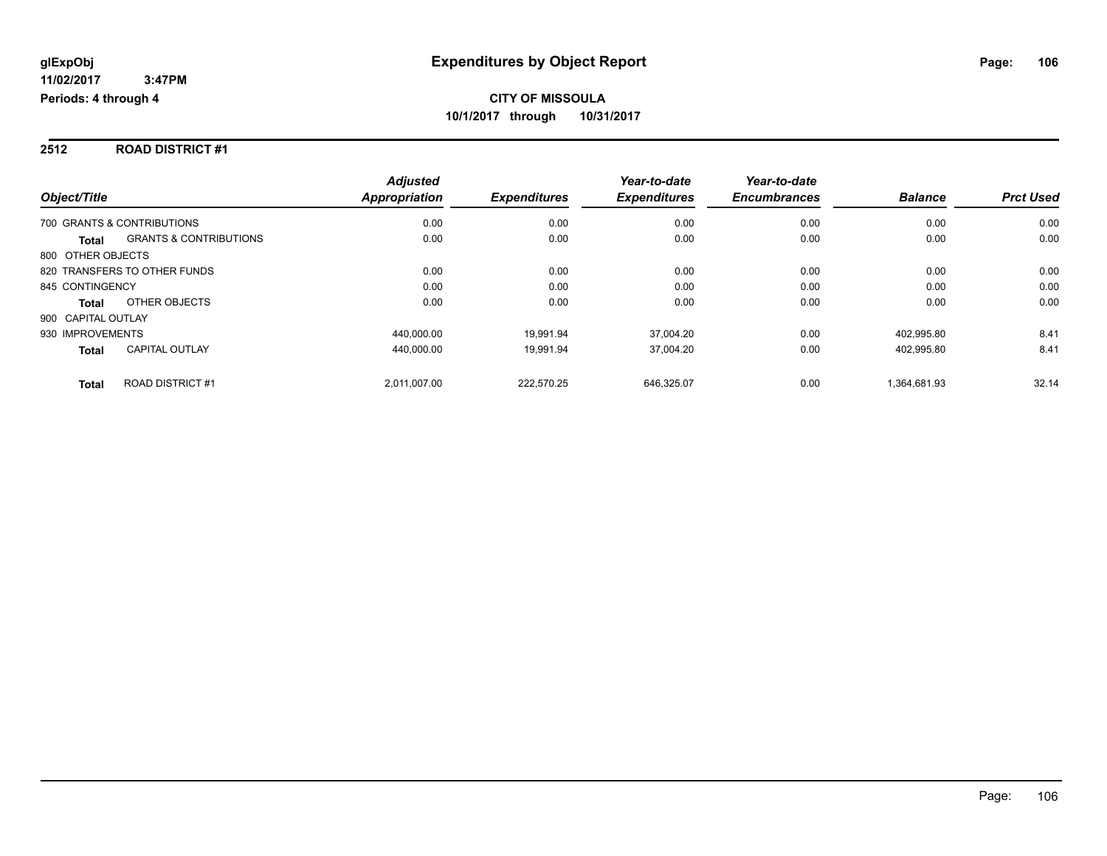#### **2512 ROAD DISTRICT #1**

|                                                   | <b>Adjusted</b> |                     | Year-to-date        | Year-to-date        |                |                  |
|---------------------------------------------------|-----------------|---------------------|---------------------|---------------------|----------------|------------------|
| Object/Title                                      | Appropriation   | <b>Expenditures</b> | <b>Expenditures</b> | <b>Encumbrances</b> | <b>Balance</b> | <b>Prct Used</b> |
| 700 GRANTS & CONTRIBUTIONS                        | 0.00            | 0.00                | 0.00                | 0.00                | 0.00           | 0.00             |
| <b>GRANTS &amp; CONTRIBUTIONS</b><br><b>Total</b> | 0.00            | 0.00                | 0.00                | 0.00                | 0.00           | 0.00             |
| 800 OTHER OBJECTS                                 |                 |                     |                     |                     |                |                  |
| 820 TRANSFERS TO OTHER FUNDS                      | 0.00            | 0.00                | 0.00                | 0.00                | 0.00           | 0.00             |
| 845 CONTINGENCY                                   | 0.00            | 0.00                | 0.00                | 0.00                | 0.00           | 0.00             |
| OTHER OBJECTS<br><b>Total</b>                     | 0.00            | 0.00                | 0.00                | 0.00                | 0.00           | 0.00             |
| 900 CAPITAL OUTLAY                                |                 |                     |                     |                     |                |                  |
| 930 IMPROVEMENTS                                  | 440.000.00      | 19.991.94           | 37.004.20           | 0.00                | 402.995.80     | 8.41             |
| <b>CAPITAL OUTLAY</b><br><b>Total</b>             | 440.000.00      | 19.991.94           | 37.004.20           | 0.00                | 402.995.80     | 8.41             |
| <b>ROAD DISTRICT #1</b><br><b>Total</b>           | 2.011.007.00    | 222.570.25          | 646.325.07          | 0.00                | 1.364.681.93   | 32.14            |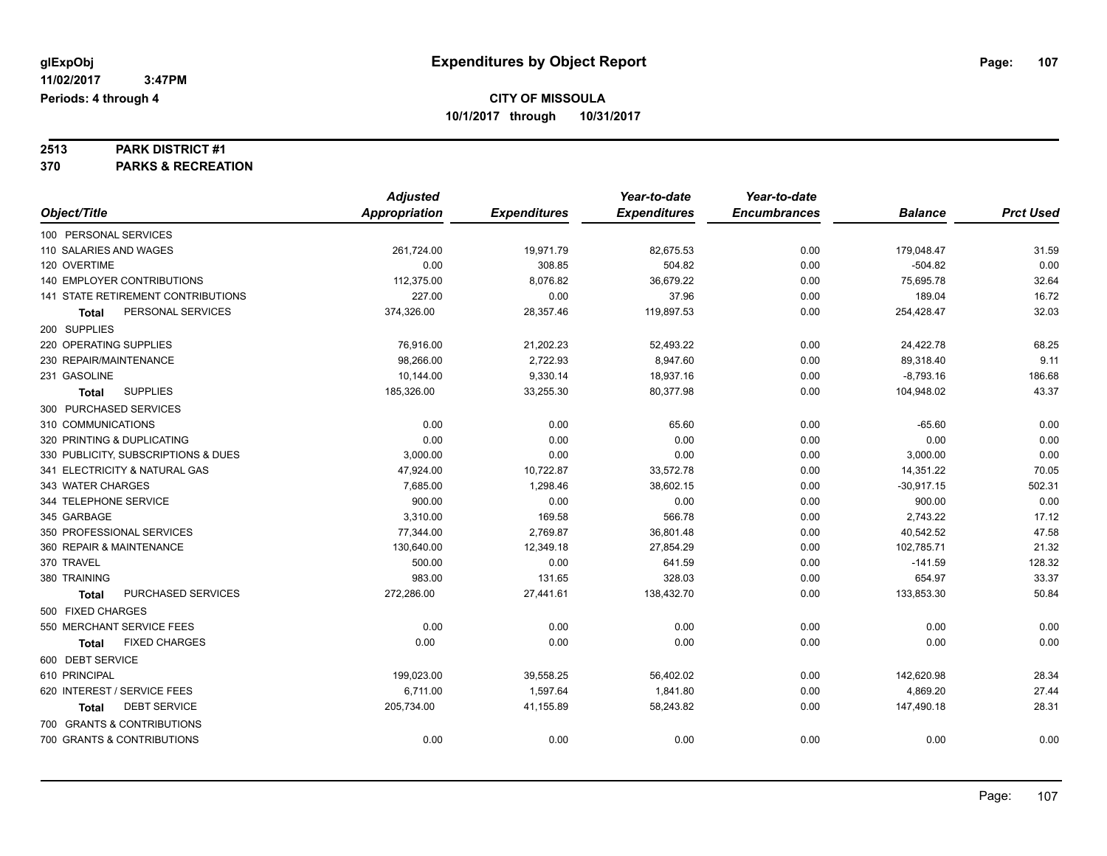# **2513 PARK DISTRICT #1**

**370 PARKS & RECREATION**

|                                      | <b>Adjusted</b> |                     | Year-to-date        | Year-to-date        |                |                  |
|--------------------------------------|-----------------|---------------------|---------------------|---------------------|----------------|------------------|
| Object/Title                         | Appropriation   | <b>Expenditures</b> | <b>Expenditures</b> | <b>Encumbrances</b> | <b>Balance</b> | <b>Prct Used</b> |
| 100 PERSONAL SERVICES                |                 |                     |                     |                     |                |                  |
| 110 SALARIES AND WAGES               | 261,724.00      | 19,971.79           | 82,675.53           | 0.00                | 179,048.47     | 31.59            |
| 120 OVERTIME                         | 0.00            | 308.85              | 504.82              | 0.00                | $-504.82$      | 0.00             |
| 140 EMPLOYER CONTRIBUTIONS           | 112,375.00      | 8,076.82            | 36,679.22           | 0.00                | 75,695.78      | 32.64            |
| 141 STATE RETIREMENT CONTRIBUTIONS   | 227.00          | 0.00                | 37.96               | 0.00                | 189.04         | 16.72            |
| PERSONAL SERVICES<br><b>Total</b>    | 374,326.00      | 28,357.46           | 119,897.53          | 0.00                | 254,428.47     | 32.03            |
| 200 SUPPLIES                         |                 |                     |                     |                     |                |                  |
| 220 OPERATING SUPPLIES               | 76,916.00       | 21,202.23           | 52,493.22           | 0.00                | 24,422.78      | 68.25            |
| 230 REPAIR/MAINTENANCE               | 98,266.00       | 2,722.93            | 8,947.60            | 0.00                | 89,318.40      | 9.11             |
| 231 GASOLINE                         | 10,144.00       | 9,330.14            | 18,937.16           | 0.00                | $-8,793.16$    | 186.68           |
| <b>SUPPLIES</b><br>Total             | 185,326.00      | 33,255.30           | 80,377.98           | 0.00                | 104,948.02     | 43.37            |
| 300 PURCHASED SERVICES               |                 |                     |                     |                     |                |                  |
| 310 COMMUNICATIONS                   | 0.00            | 0.00                | 65.60               | 0.00                | $-65.60$       | 0.00             |
| 320 PRINTING & DUPLICATING           | 0.00            | 0.00                | 0.00                | 0.00                | 0.00           | 0.00             |
| 330 PUBLICITY, SUBSCRIPTIONS & DUES  | 3,000.00        | 0.00                | 0.00                | 0.00                | 3,000.00       | 0.00             |
| 341 ELECTRICITY & NATURAL GAS        | 47,924.00       | 10,722.87           | 33,572.78           | 0.00                | 14,351.22      | 70.05            |
| 343 WATER CHARGES                    | 7,685.00        | 1,298.46            | 38,602.15           | 0.00                | $-30,917.15$   | 502.31           |
| 344 TELEPHONE SERVICE                | 900.00          | 0.00                | 0.00                | 0.00                | 900.00         | 0.00             |
| 345 GARBAGE                          | 3,310.00        | 169.58              | 566.78              | 0.00                | 2,743.22       | 17.12            |
| 350 PROFESSIONAL SERVICES            | 77,344.00       | 2,769.87            | 36,801.48           | 0.00                | 40,542.52      | 47.58            |
| 360 REPAIR & MAINTENANCE             | 130.640.00      | 12.349.18           | 27.854.29           | 0.00                | 102,785.71     | 21.32            |
| 370 TRAVEL                           | 500.00          | 0.00                | 641.59              | 0.00                | $-141.59$      | 128.32           |
| 380 TRAINING                         | 983.00          | 131.65              | 328.03              | 0.00                | 654.97         | 33.37            |
| PURCHASED SERVICES<br>Total          | 272,286.00      | 27,441.61           | 138,432.70          | 0.00                | 133,853.30     | 50.84            |
| 500 FIXED CHARGES                    |                 |                     |                     |                     |                |                  |
| 550 MERCHANT SERVICE FEES            | 0.00            | 0.00                | 0.00                | 0.00                | 0.00           | 0.00             |
| <b>FIXED CHARGES</b><br><b>Total</b> | 0.00            | 0.00                | 0.00                | 0.00                | 0.00           | 0.00             |
| 600 DEBT SERVICE                     |                 |                     |                     |                     |                |                  |
| 610 PRINCIPAL                        | 199,023.00      | 39,558.25           | 56,402.02           | 0.00                | 142,620.98     | 28.34            |
| 620 INTEREST / SERVICE FEES          | 6,711.00        | 1,597.64            | 1,841.80            | 0.00                | 4,869.20       | 27.44            |
| <b>DEBT SERVICE</b><br><b>Total</b>  | 205,734.00      | 41,155.89           | 58,243.82           | 0.00                | 147,490.18     | 28.31            |
| 700 GRANTS & CONTRIBUTIONS           |                 |                     |                     |                     |                |                  |
| 700 GRANTS & CONTRIBUTIONS           | 0.00            | 0.00                | 0.00                | 0.00                | 0.00           | 0.00             |
|                                      |                 |                     |                     |                     |                |                  |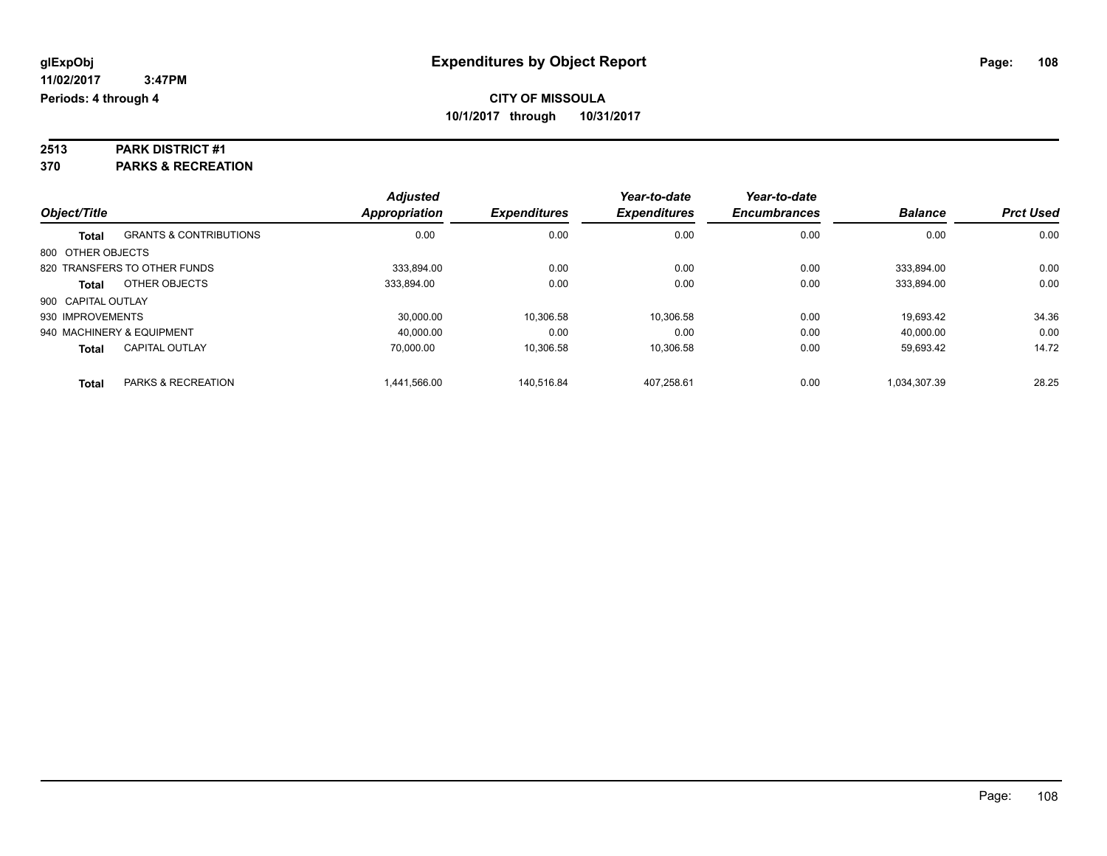# **2513 PARK DISTRICT #1**

**370 PARKS & RECREATION**

|                    |                                   | <b>Adjusted</b>      |                     | Year-to-date        | Year-to-date        |                |                  |
|--------------------|-----------------------------------|----------------------|---------------------|---------------------|---------------------|----------------|------------------|
| Object/Title       |                                   | <b>Appropriation</b> | <b>Expenditures</b> | <b>Expenditures</b> | <b>Encumbrances</b> | <b>Balance</b> | <b>Prct Used</b> |
| <b>Total</b>       | <b>GRANTS &amp; CONTRIBUTIONS</b> | 0.00                 | 0.00                | 0.00                | 0.00                | 0.00           | 0.00             |
| 800 OTHER OBJECTS  |                                   |                      |                     |                     |                     |                |                  |
|                    | 820 TRANSFERS TO OTHER FUNDS      | 333.894.00           | 0.00                | 0.00                | 0.00                | 333.894.00     | 0.00             |
| <b>Total</b>       | OTHER OBJECTS                     | 333.894.00           | 0.00                | 0.00                | 0.00                | 333.894.00     | 0.00             |
| 900 CAPITAL OUTLAY |                                   |                      |                     |                     |                     |                |                  |
| 930 IMPROVEMENTS   |                                   | 30.000.00            | 10,306.58           | 10.306.58           | 0.00                | 19.693.42      | 34.36            |
|                    | 940 MACHINERY & EQUIPMENT         | 40.000.00            | 0.00                | 0.00                | 0.00                | 40.000.00      | 0.00             |
| <b>Total</b>       | <b>CAPITAL OUTLAY</b>             | 70.000.00            | 10,306.58           | 10.306.58           | 0.00                | 59,693.42      | 14.72            |
| <b>Total</b>       | <b>PARKS &amp; RECREATION</b>     | 1.441.566.00         | 140.516.84          | 407.258.61          | 0.00                | 1.034.307.39   | 28.25            |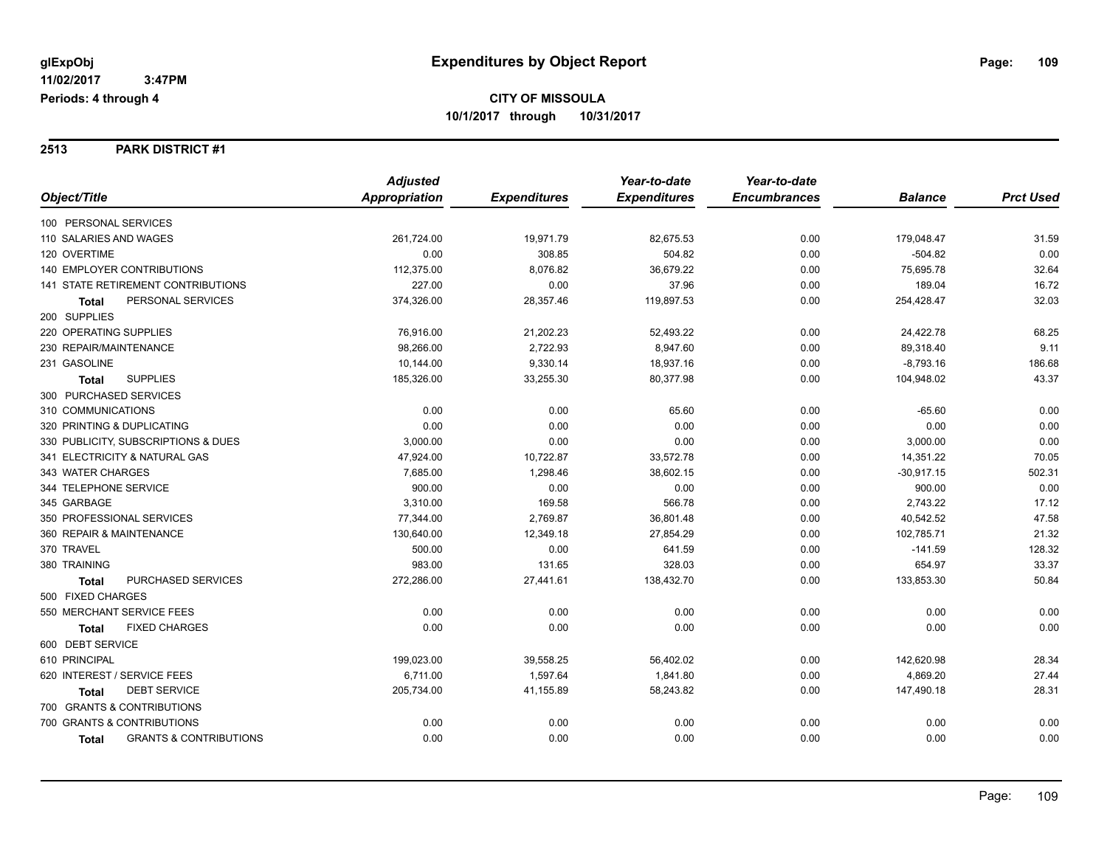**2513 PARK DISTRICT #1**

|                                            | <b>Adjusted</b>      |                     | Year-to-date        | Year-to-date        |                |                  |
|--------------------------------------------|----------------------|---------------------|---------------------|---------------------|----------------|------------------|
| Object/Title                               | <b>Appropriation</b> | <b>Expenditures</b> | <b>Expenditures</b> | <b>Encumbrances</b> | <b>Balance</b> | <b>Prct Used</b> |
| 100 PERSONAL SERVICES                      |                      |                     |                     |                     |                |                  |
| 110 SALARIES AND WAGES                     | 261,724.00           | 19,971.79           | 82,675.53           | 0.00                | 179,048.47     | 31.59            |
| 120 OVERTIME                               | 0.00                 | 308.85              | 504.82              | 0.00                | $-504.82$      | 0.00             |
| <b>140 EMPLOYER CONTRIBUTIONS</b>          | 112,375.00           | 8,076.82            | 36,679.22           | 0.00                | 75,695.78      | 32.64            |
| 141 STATE RETIREMENT CONTRIBUTIONS         | 227.00               | 0.00                | 37.96               | 0.00                | 189.04         | 16.72            |
| PERSONAL SERVICES<br><b>Total</b>          | 374,326.00           | 28,357.46           | 119,897.53          | 0.00                | 254,428.47     | 32.03            |
| 200 SUPPLIES                               |                      |                     |                     |                     |                |                  |
| 220 OPERATING SUPPLIES                     | 76,916.00            | 21,202.23           | 52,493.22           | 0.00                | 24,422.78      | 68.25            |
| 230 REPAIR/MAINTENANCE                     | 98,266.00            | 2,722.93            | 8,947.60            | 0.00                | 89,318.40      | 9.11             |
| 231 GASOLINE                               | 10,144.00            | 9,330.14            | 18,937.16           | 0.00                | $-8,793.16$    | 186.68           |
| <b>SUPPLIES</b><br><b>Total</b>            | 185,326.00           | 33,255.30           | 80,377.98           | 0.00                | 104,948.02     | 43.37            |
| 300 PURCHASED SERVICES                     |                      |                     |                     |                     |                |                  |
| 310 COMMUNICATIONS                         | 0.00                 | 0.00                | 65.60               | 0.00                | $-65.60$       | 0.00             |
| 320 PRINTING & DUPLICATING                 | 0.00                 | 0.00                | 0.00                | 0.00                | 0.00           | 0.00             |
| 330 PUBLICITY, SUBSCRIPTIONS & DUES        | 3,000.00             | 0.00                | 0.00                | 0.00                | 3,000.00       | 0.00             |
| 341 ELECTRICITY & NATURAL GAS              | 47,924.00            | 10,722.87           | 33,572.78           | 0.00                | 14,351.22      | 70.05            |
| 343 WATER CHARGES                          | 7,685.00             | 1,298.46            | 38,602.15           | 0.00                | $-30,917.15$   | 502.31           |
| 344 TELEPHONE SERVICE                      | 900.00               | 0.00                | 0.00                | 0.00                | 900.00         | 0.00             |
| 345 GARBAGE                                | 3,310.00             | 169.58              | 566.78              | 0.00                | 2,743.22       | 17.12            |
| 350 PROFESSIONAL SERVICES                  | 77,344.00            | 2,769.87            | 36,801.48           | 0.00                | 40,542.52      | 47.58            |
| 360 REPAIR & MAINTENANCE                   | 130,640.00           | 12,349.18           | 27,854.29           | 0.00                | 102,785.71     | 21.32            |
| 370 TRAVEL                                 | 500.00               | 0.00                | 641.59              | 0.00                | $-141.59$      | 128.32           |
| 380 TRAINING                               | 983.00               | 131.65              | 328.03              | 0.00                | 654.97         | 33.37            |
| PURCHASED SERVICES<br><b>Total</b>         | 272,286.00           | 27,441.61           | 138,432.70          | 0.00                | 133,853.30     | 50.84            |
| 500 FIXED CHARGES                          |                      |                     |                     |                     |                |                  |
| 550 MERCHANT SERVICE FEES                  | 0.00                 | 0.00                | 0.00                | 0.00                | 0.00           | 0.00             |
| <b>FIXED CHARGES</b><br><b>Total</b>       | 0.00                 | 0.00                | 0.00                | 0.00                | 0.00           | 0.00             |
| 600 DEBT SERVICE                           |                      |                     |                     |                     |                |                  |
| 610 PRINCIPAL                              | 199,023.00           | 39,558.25           | 56,402.02           | 0.00                | 142,620.98     | 28.34            |
| 620 INTEREST / SERVICE FEES                | 6,711.00             | 1,597.64            | 1,841.80            | 0.00                | 4,869.20       | 27.44            |
| <b>DEBT SERVICE</b><br><b>Total</b>        | 205,734.00           | 41,155.89           | 58,243.82           | 0.00                | 147,490.18     | 28.31            |
| 700 GRANTS & CONTRIBUTIONS                 |                      |                     |                     |                     |                |                  |
| 700 GRANTS & CONTRIBUTIONS                 | 0.00                 | 0.00                | 0.00                | 0.00                | 0.00           | 0.00             |
| <b>GRANTS &amp; CONTRIBUTIONS</b><br>Total | 0.00                 | 0.00                | 0.00                | 0.00                | 0.00           | 0.00             |
|                                            |                      |                     |                     |                     |                |                  |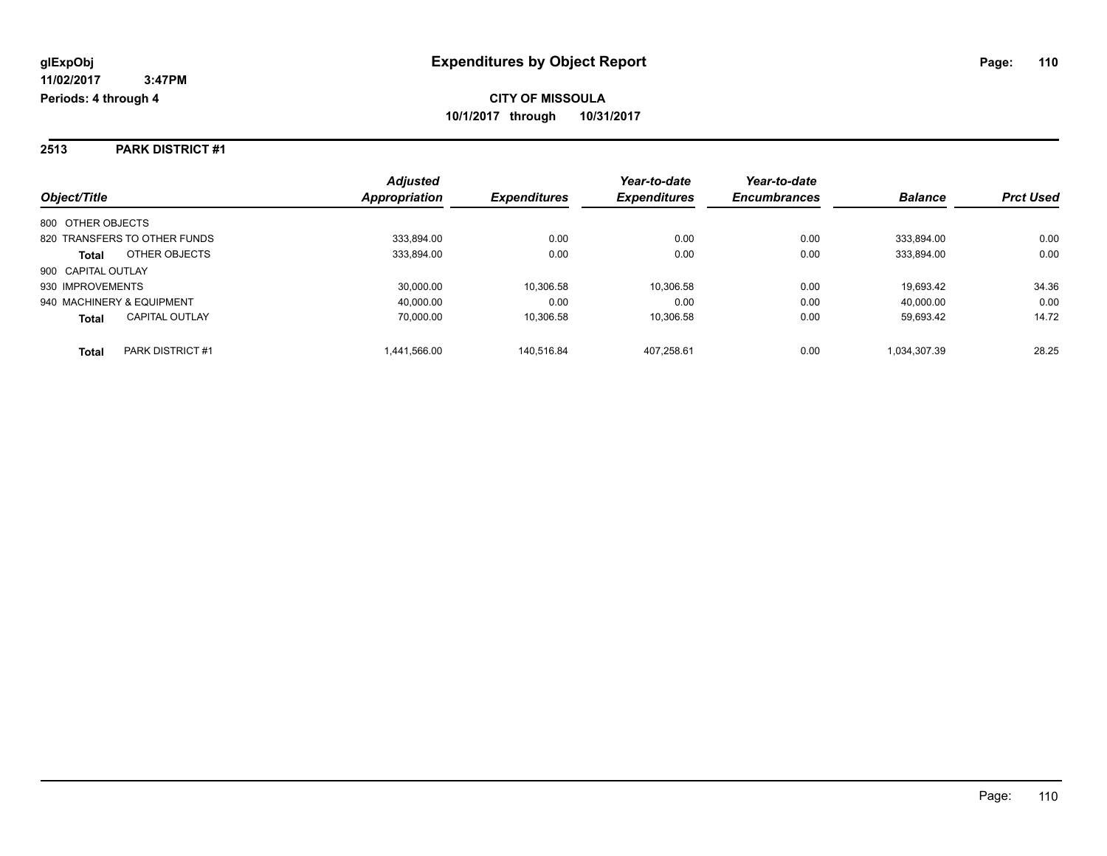**2513 PARK DISTRICT #1**

|                                       | <b>Adjusted</b> |                     | Year-to-date        | Year-to-date        |                |                  |
|---------------------------------------|-----------------|---------------------|---------------------|---------------------|----------------|------------------|
| Object/Title                          | Appropriation   | <b>Expenditures</b> | <b>Expenditures</b> | <b>Encumbrances</b> | <b>Balance</b> | <b>Prct Used</b> |
| 800 OTHER OBJECTS                     |                 |                     |                     |                     |                |                  |
| 820 TRANSFERS TO OTHER FUNDS          | 333.894.00      | 0.00                | 0.00                | 0.00                | 333.894.00     | 0.00             |
| OTHER OBJECTS<br><b>Total</b>         | 333,894.00      | 0.00                | 0.00                | 0.00                | 333.894.00     | 0.00             |
| 900 CAPITAL OUTLAY                    |                 |                     |                     |                     |                |                  |
| 930 IMPROVEMENTS                      | 30.000.00       | 10.306.58           | 10.306.58           | 0.00                | 19.693.42      | 34.36            |
| 940 MACHINERY & EQUIPMENT             | 40.000.00       | 0.00                | 0.00                | 0.00                | 40.000.00      | 0.00             |
| <b>CAPITAL OUTLAY</b><br><b>Total</b> | 70.000.00       | 10.306.58           | 10,306.58           | 0.00                | 59.693.42      | 14.72            |
| PARK DISTRICT #1<br>Total             | 1.441.566.00    | 140.516.84          | 407.258.61          | 0.00                | 1.034.307.39   | 28.25            |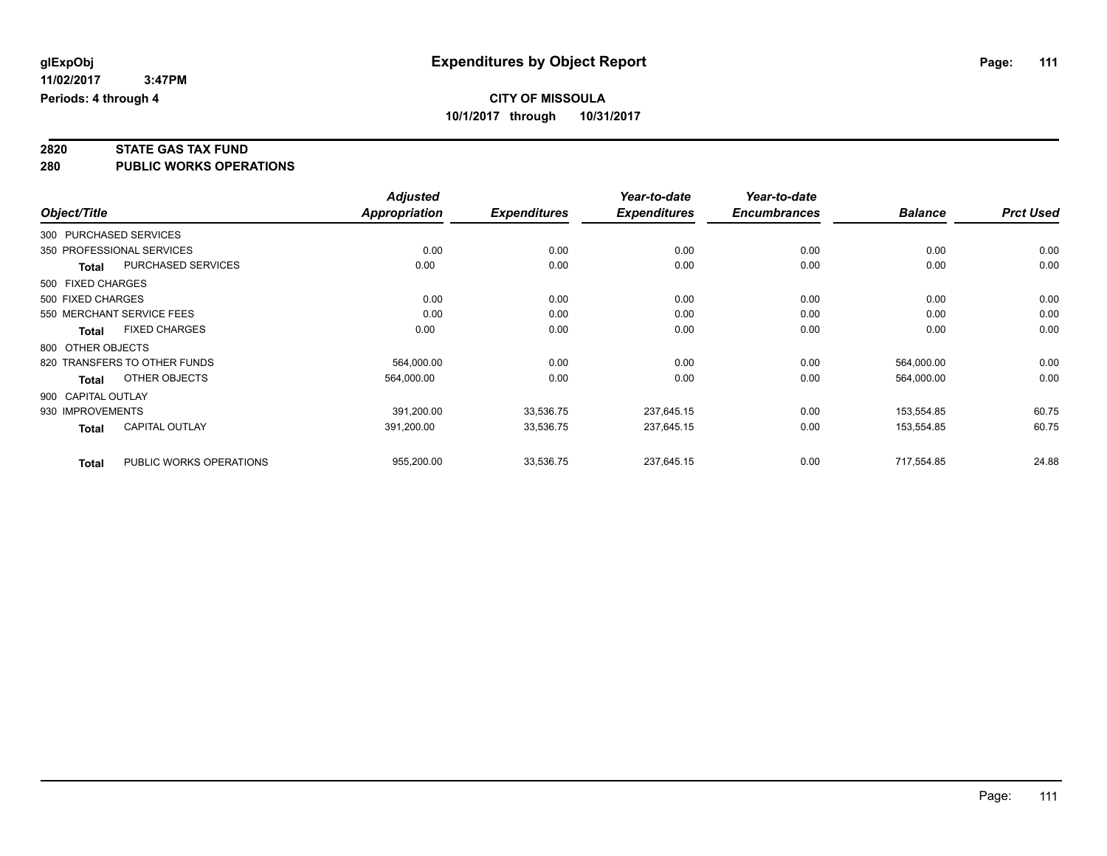# **2820 STATE GAS TAX FUND**

**280 PUBLIC WORKS OPERATIONS**

|                    |              |                              | <b>Adjusted</b> |                     | Year-to-date        | Year-to-date        |                |                  |
|--------------------|--------------|------------------------------|-----------------|---------------------|---------------------|---------------------|----------------|------------------|
| Object/Title       |              |                              | Appropriation   | <b>Expenditures</b> | <b>Expenditures</b> | <b>Encumbrances</b> | <b>Balance</b> | <b>Prct Used</b> |
|                    |              | 300 PURCHASED SERVICES       |                 |                     |                     |                     |                |                  |
|                    |              | 350 PROFESSIONAL SERVICES    | 0.00            | 0.00                | 0.00                | 0.00                | 0.00           | 0.00             |
|                    | <b>Total</b> | <b>PURCHASED SERVICES</b>    | 0.00            | 0.00                | 0.00                | 0.00                | 0.00           | 0.00             |
| 500 FIXED CHARGES  |              |                              |                 |                     |                     |                     |                |                  |
| 500 FIXED CHARGES  |              |                              | 0.00            | 0.00                | 0.00                | 0.00                | 0.00           | 0.00             |
|                    |              | 550 MERCHANT SERVICE FEES    | 0.00            | 0.00                | 0.00                | 0.00                | 0.00           | 0.00             |
|                    | <b>Total</b> | <b>FIXED CHARGES</b>         | 0.00            | 0.00                | 0.00                | 0.00                | 0.00           | 0.00             |
| 800 OTHER OBJECTS  |              |                              |                 |                     |                     |                     |                |                  |
|                    |              | 820 TRANSFERS TO OTHER FUNDS | 564,000.00      | 0.00                | 0.00                | 0.00                | 564,000.00     | 0.00             |
|                    | Total        | OTHER OBJECTS                | 564,000.00      | 0.00                | 0.00                | 0.00                | 564,000.00     | 0.00             |
| 900 CAPITAL OUTLAY |              |                              |                 |                     |                     |                     |                |                  |
| 930 IMPROVEMENTS   |              |                              | 391,200.00      | 33,536.75           | 237,645.15          | 0.00                | 153,554.85     | 60.75            |
|                    | <b>Total</b> | CAPITAL OUTLAY               | 391,200.00      | 33,536.75           | 237,645.15          | 0.00                | 153,554.85     | 60.75            |
|                    | <b>Total</b> | PUBLIC WORKS OPERATIONS      | 955,200.00      | 33,536.75           | 237,645.15          | 0.00                | 717,554.85     | 24.88            |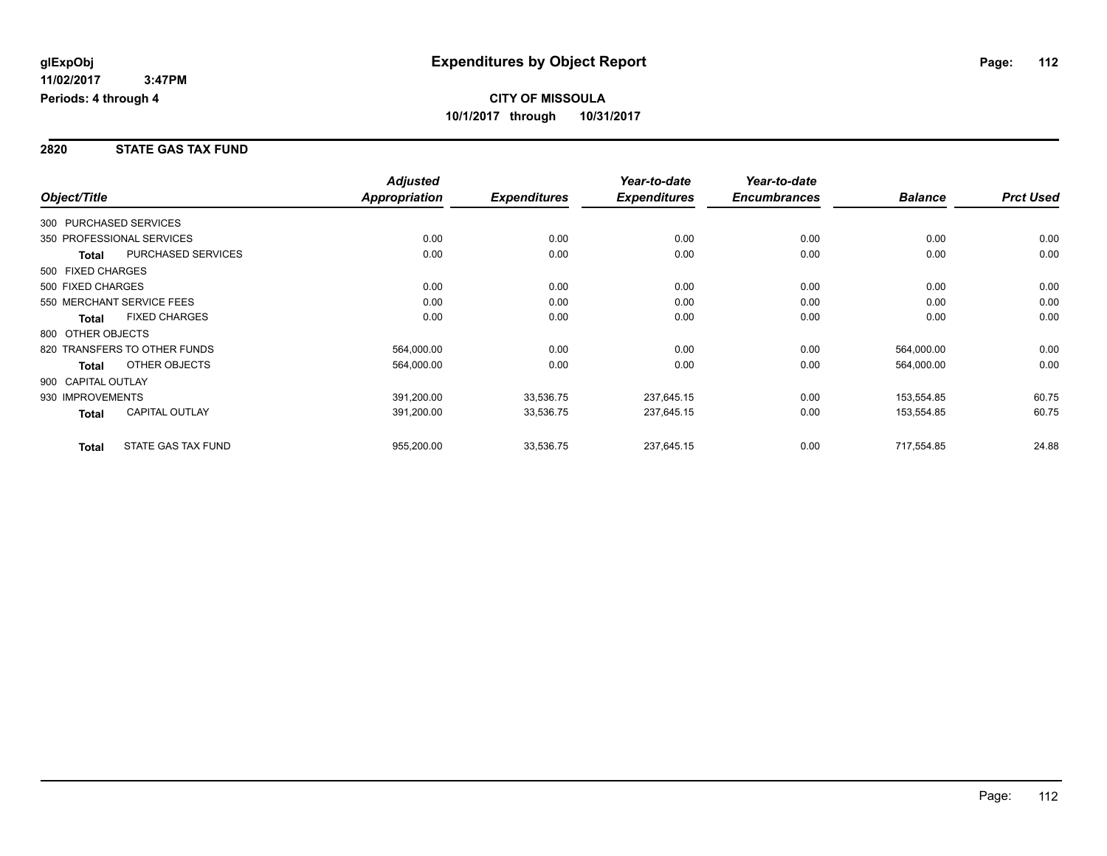#### **2820 STATE GAS TAX FUND**

|                        |                              | <b>Adjusted</b>      |                     | Year-to-date        | Year-to-date        |                |                  |
|------------------------|------------------------------|----------------------|---------------------|---------------------|---------------------|----------------|------------------|
| Object/Title           |                              | <b>Appropriation</b> | <b>Expenditures</b> | <b>Expenditures</b> | <b>Encumbrances</b> | <b>Balance</b> | <b>Prct Used</b> |
| 300 PURCHASED SERVICES |                              |                      |                     |                     |                     |                |                  |
|                        | 350 PROFESSIONAL SERVICES    | 0.00                 | 0.00                | 0.00                | 0.00                | 0.00           | 0.00             |
| Total                  | <b>PURCHASED SERVICES</b>    | 0.00                 | 0.00                | 0.00                | 0.00                | 0.00           | 0.00             |
| 500 FIXED CHARGES      |                              |                      |                     |                     |                     |                |                  |
| 500 FIXED CHARGES      |                              | 0.00                 | 0.00                | 0.00                | 0.00                | 0.00           | 0.00             |
|                        | 550 MERCHANT SERVICE FEES    | 0.00                 | 0.00                | 0.00                | 0.00                | 0.00           | 0.00             |
| <b>Total</b>           | <b>FIXED CHARGES</b>         | 0.00                 | 0.00                | 0.00                | 0.00                | 0.00           | 0.00             |
| 800 OTHER OBJECTS      |                              |                      |                     |                     |                     |                |                  |
|                        | 820 TRANSFERS TO OTHER FUNDS | 564,000.00           | 0.00                | 0.00                | 0.00                | 564,000.00     | 0.00             |
| Total                  | OTHER OBJECTS                | 564,000.00           | 0.00                | 0.00                | 0.00                | 564,000.00     | 0.00             |
| 900 CAPITAL OUTLAY     |                              |                      |                     |                     |                     |                |                  |
| 930 IMPROVEMENTS       |                              | 391,200.00           | 33,536.75           | 237,645.15          | 0.00                | 153,554.85     | 60.75            |
| Total                  | CAPITAL OUTLAY               | 391,200.00           | 33,536.75           | 237,645.15          | 0.00                | 153,554.85     | 60.75            |
| <b>Total</b>           | STATE GAS TAX FUND           | 955,200.00           | 33,536.75           | 237,645.15          | 0.00                | 717,554.85     | 24.88            |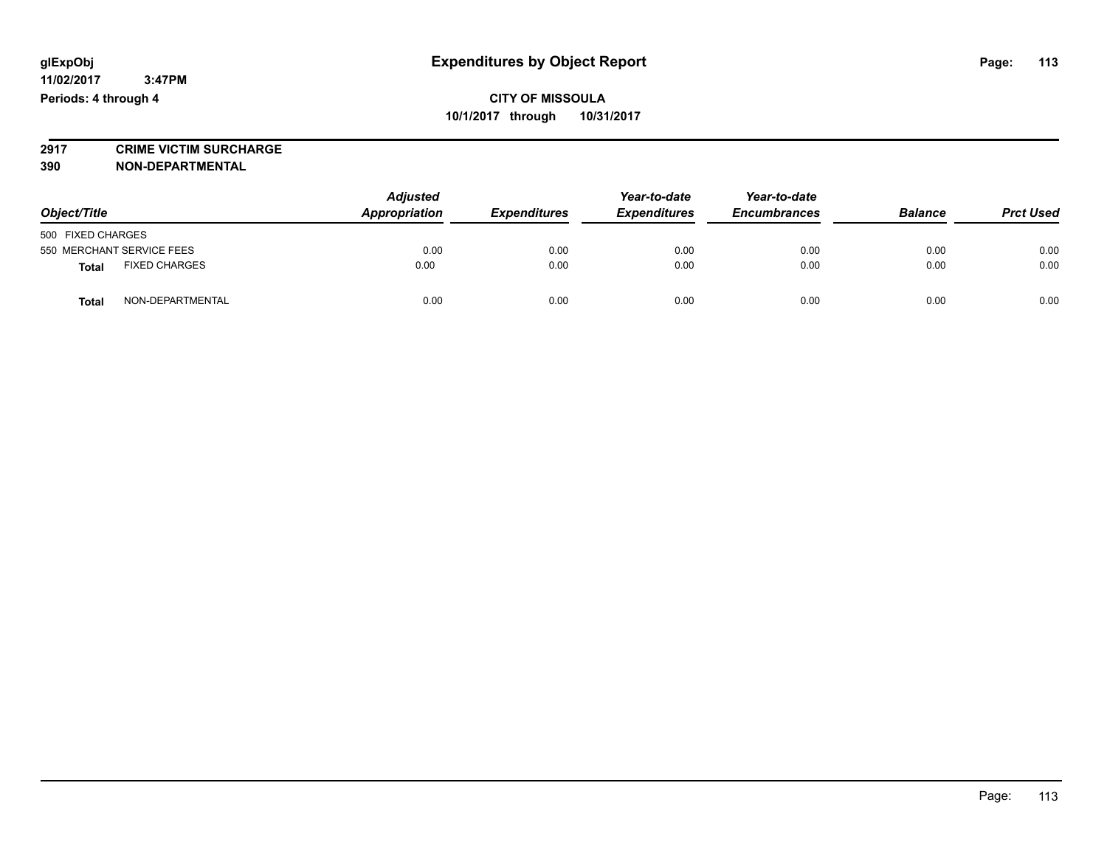**2917 CRIME VICTIM SURCHARGE**

**390 NON-DEPARTMENTAL**

| Object/Title                         | <b>Adjusted</b><br>Appropriation | <b>Expenditures</b> | Year-to-date<br><b>Expenditures</b> | Year-to-date<br><b>Encumbrances</b> | <b>Balance</b> | <b>Prct Used</b> |
|--------------------------------------|----------------------------------|---------------------|-------------------------------------|-------------------------------------|----------------|------------------|
| 500 FIXED CHARGES                    |                                  |                     |                                     |                                     |                |                  |
| 550 MERCHANT SERVICE FEES            | 0.00                             | 0.00                | 0.00                                | 0.00                                | 0.00           | 0.00             |
| <b>FIXED CHARGES</b><br><b>Total</b> | 0.00                             | 0.00                | 0.00                                | 0.00                                | 0.00           | 0.00             |
| NON-DEPARTMENTAL<br>Total            | 0.00                             | 0.00                | 0.00                                | 0.00                                | 0.00           | 0.00             |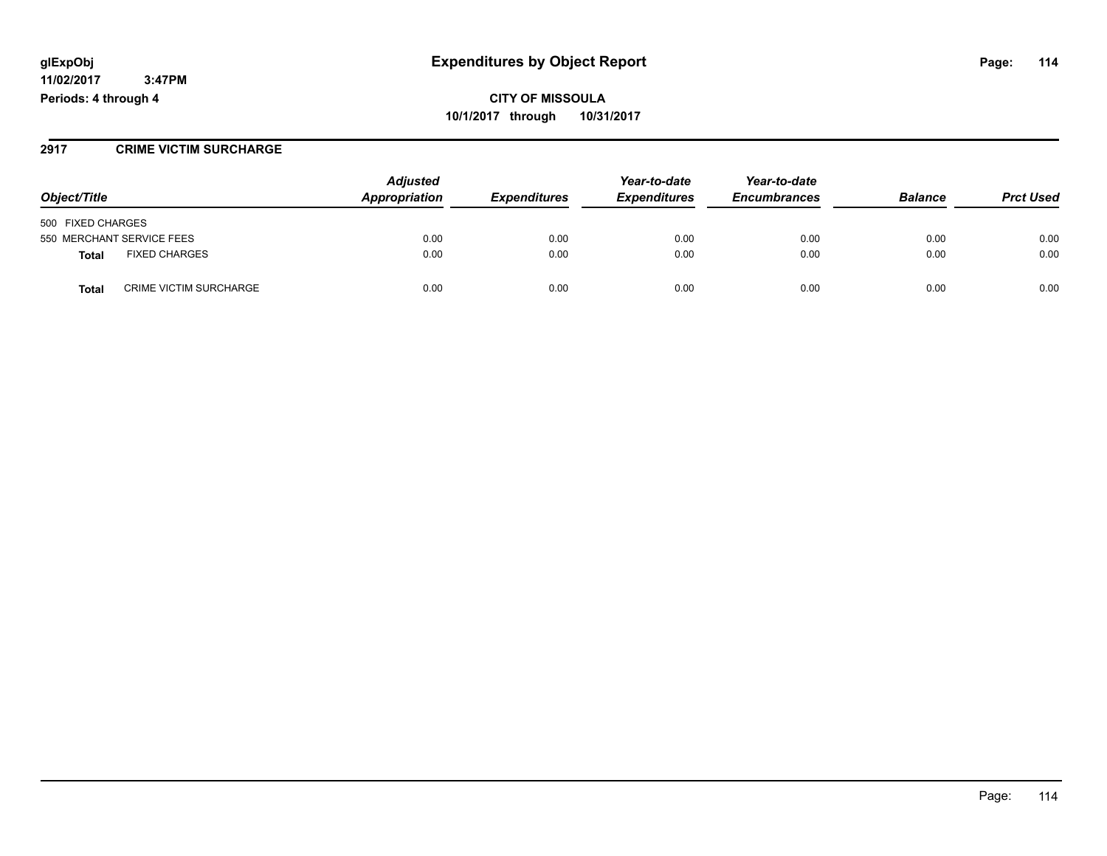**11/02/2017 3:47PM Periods: 4 through 4**

**CITY OF MISSOULA 10/1/2017 through 10/31/2017**

#### **2917 CRIME VICTIM SURCHARGE**

|                                               | <b>Adjusted</b> | Year-to-date        | Year-to-date        |                     |                |                  |
|-----------------------------------------------|-----------------|---------------------|---------------------|---------------------|----------------|------------------|
| Object/Title                                  | Appropriation   | <b>Expenditures</b> | <b>Expenditures</b> | <b>Encumbrances</b> | <b>Balance</b> | <b>Prct Used</b> |
| 500 FIXED CHARGES                             |                 |                     |                     |                     |                |                  |
| 550 MERCHANT SERVICE FEES                     | 0.00            | 0.00                | 0.00                | 0.00                | 0.00           | 0.00             |
| <b>FIXED CHARGES</b><br>Total                 | 0.00            | 0.00                | 0.00                | 0.00                | 0.00           | 0.00             |
| <b>CRIME VICTIM SURCHARGE</b><br><b>Total</b> | 0.00            | 0.00                | 0.00                | 0.00                | 0.00           | 0.00             |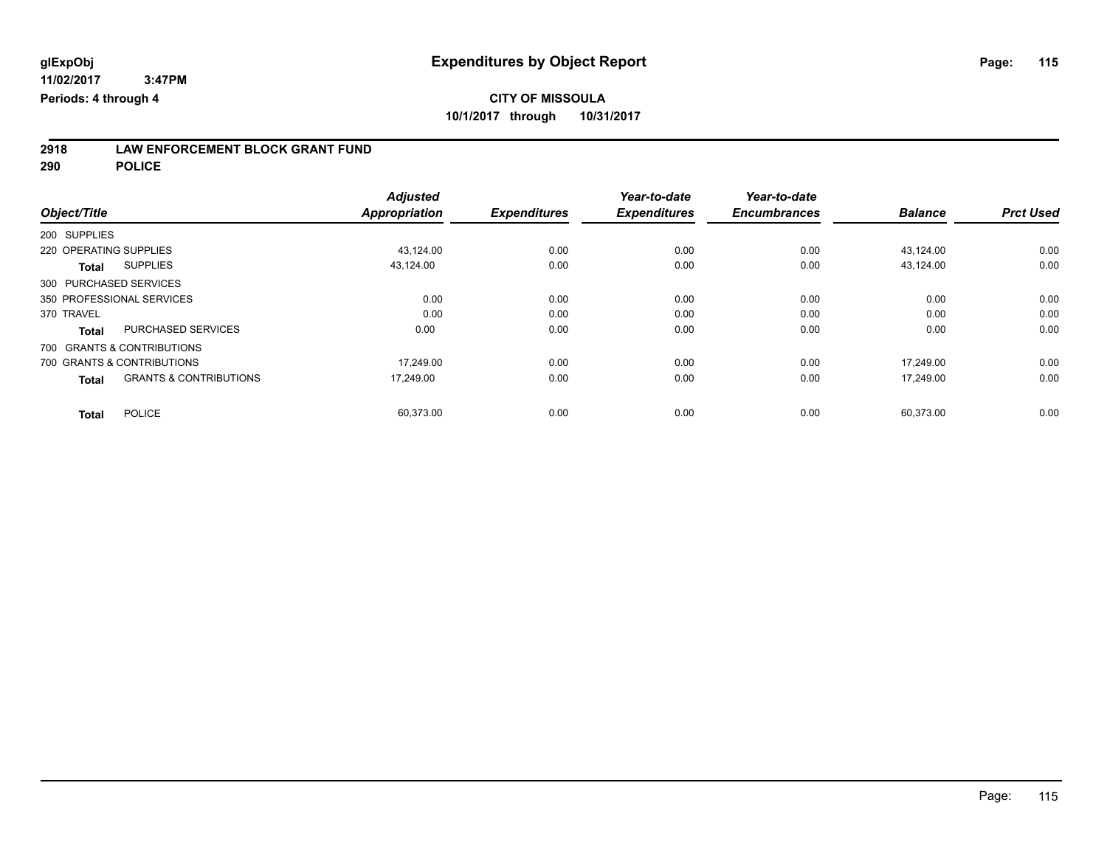# **2918 LAW ENFORCEMENT BLOCK GRANT FUND**

**290 POLICE**

|                                                   | <b>Adjusted</b>      |                     | Year-to-date        | Year-to-date        |                |                  |
|---------------------------------------------------|----------------------|---------------------|---------------------|---------------------|----------------|------------------|
| Object/Title                                      | <b>Appropriation</b> | <b>Expenditures</b> | <b>Expenditures</b> | <b>Encumbrances</b> | <b>Balance</b> | <b>Prct Used</b> |
| 200 SUPPLIES                                      |                      |                     |                     |                     |                |                  |
| 220 OPERATING SUPPLIES                            | 43,124.00            | 0.00                | 0.00                | 0.00                | 43,124.00      | 0.00             |
| <b>SUPPLIES</b><br><b>Total</b>                   | 43.124.00            | 0.00                | 0.00                | 0.00                | 43,124.00      | 0.00             |
| 300 PURCHASED SERVICES                            |                      |                     |                     |                     |                |                  |
| 350 PROFESSIONAL SERVICES                         | 0.00                 | 0.00                | 0.00                | 0.00                | 0.00           | 0.00             |
| 370 TRAVEL                                        | 0.00                 | 0.00                | 0.00                | 0.00                | 0.00           | 0.00             |
| <b>PURCHASED SERVICES</b><br><b>Total</b>         | 0.00                 | 0.00                | 0.00                | 0.00                | 0.00           | 0.00             |
| 700 GRANTS & CONTRIBUTIONS                        |                      |                     |                     |                     |                |                  |
| 700 GRANTS & CONTRIBUTIONS                        | 17.249.00            | 0.00                | 0.00                | 0.00                | 17.249.00      | 0.00             |
| <b>GRANTS &amp; CONTRIBUTIONS</b><br><b>Total</b> | 17.249.00            | 0.00                | 0.00                | 0.00                | 17.249.00      | 0.00             |
| <b>POLICE</b><br><b>Total</b>                     | 60,373.00            | 0.00                | 0.00                | 0.00                | 60,373.00      | 0.00             |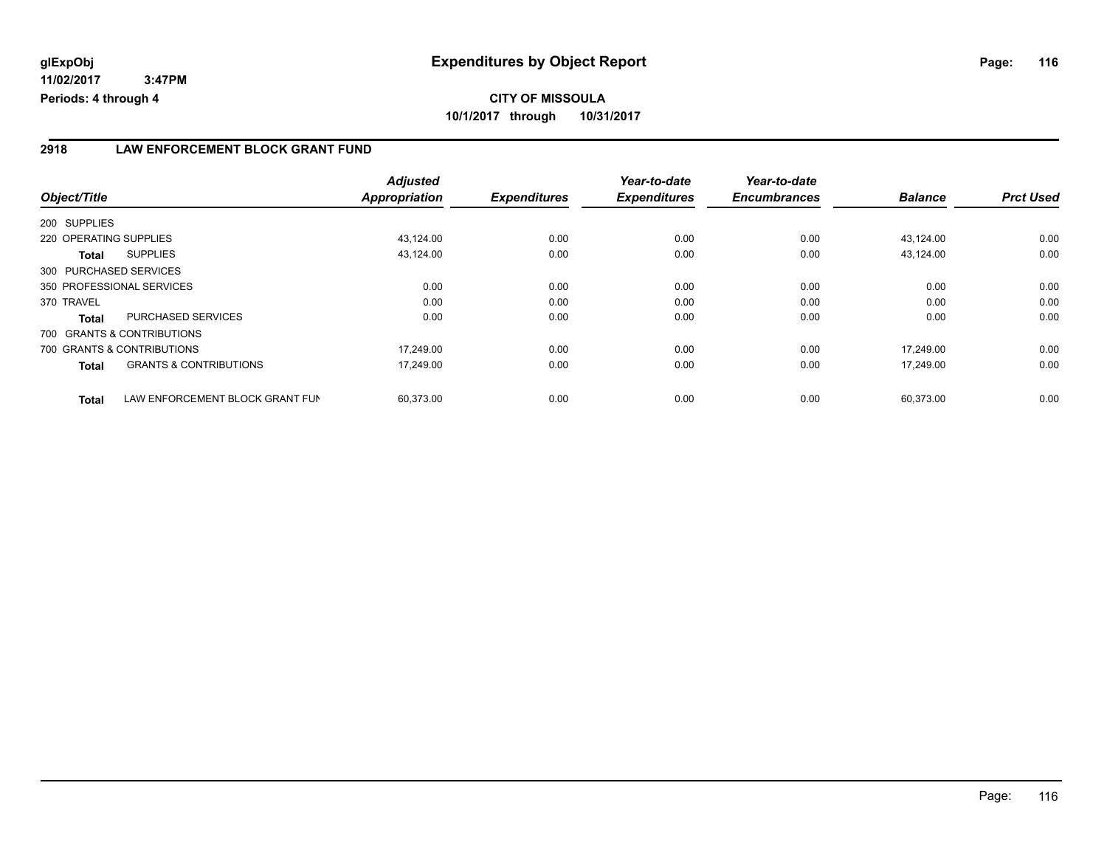**11/02/2017 3:47PM Periods: 4 through 4**

### **2918 LAW ENFORCEMENT BLOCK GRANT FUND**

|                                                 | <b>Adjusted</b>      |                     | Year-to-date        | Year-to-date        |                |                  |
|-------------------------------------------------|----------------------|---------------------|---------------------|---------------------|----------------|------------------|
| Object/Title                                    | <b>Appropriation</b> | <b>Expenditures</b> | <b>Expenditures</b> | <b>Encumbrances</b> | <b>Balance</b> | <b>Prct Used</b> |
| 200 SUPPLIES                                    |                      |                     |                     |                     |                |                  |
| 220 OPERATING SUPPLIES                          | 43,124.00            | 0.00                | 0.00                | 0.00                | 43,124.00      | 0.00             |
| <b>SUPPLIES</b><br>Total                        | 43,124.00            | 0.00                | 0.00                | 0.00                | 43,124.00      | 0.00             |
| 300 PURCHASED SERVICES                          |                      |                     |                     |                     |                |                  |
| 350 PROFESSIONAL SERVICES                       | 0.00                 | 0.00                | 0.00                | 0.00                | 0.00           | 0.00             |
| 370 TRAVEL                                      | 0.00                 | 0.00                | 0.00                | 0.00                | 0.00           | 0.00             |
| PURCHASED SERVICES<br><b>Total</b>              | 0.00                 | 0.00                | 0.00                | 0.00                | 0.00           | 0.00             |
| 700 GRANTS & CONTRIBUTIONS                      |                      |                     |                     |                     |                |                  |
| 700 GRANTS & CONTRIBUTIONS                      | 17.249.00            | 0.00                | 0.00                | 0.00                | 17.249.00      | 0.00             |
| <b>GRANTS &amp; CONTRIBUTIONS</b><br>Total      | 17.249.00            | 0.00                | 0.00                | 0.00                | 17.249.00      | 0.00             |
| LAW ENFORCEMENT BLOCK GRANT FUN<br><b>Total</b> | 60,373.00            | 0.00                | 0.00                | 0.00                | 60,373.00      | 0.00             |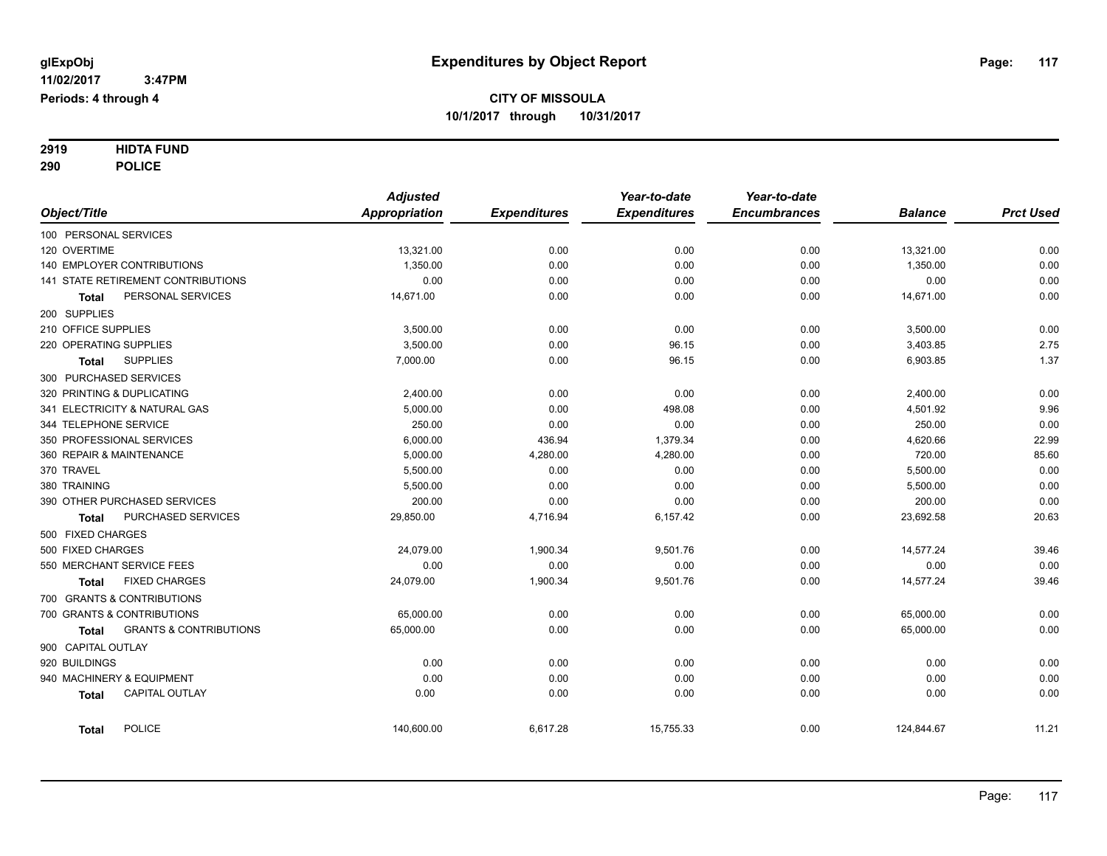# **2919 HIDTA FUND**

**290 POLICE**

|            |                     |                                    | <b>Adjusted</b>      |                     | Year-to-date        | Year-to-date        |                |                  |
|------------|---------------------|------------------------------------|----------------------|---------------------|---------------------|---------------------|----------------|------------------|
|            | Object/Title        |                                    | <b>Appropriation</b> | <b>Expenditures</b> | <b>Expenditures</b> | <b>Encumbrances</b> | <b>Balance</b> | <b>Prct Used</b> |
|            |                     | 100 PERSONAL SERVICES              |                      |                     |                     |                     |                |                  |
|            | 120 OVERTIME        |                                    | 13,321.00            | 0.00                | 0.00                | 0.00                | 13,321.00      | 0.00             |
|            |                     | 140 EMPLOYER CONTRIBUTIONS         | 1,350.00             | 0.00                | 0.00                | 0.00                | 1,350.00       | 0.00             |
|            |                     | 141 STATE RETIREMENT CONTRIBUTIONS | 0.00                 | 0.00                | 0.00                | 0.00                | 0.00           | 0.00             |
|            | Total               | PERSONAL SERVICES                  | 14,671.00            | 0.00                | 0.00                | 0.00                | 14,671.00      | 0.00             |
|            | 200 SUPPLIES        |                                    |                      |                     |                     |                     |                |                  |
|            | 210 OFFICE SUPPLIES |                                    | 3,500.00             | 0.00                | 0.00                | 0.00                | 3,500.00       | 0.00             |
|            |                     | 220 OPERATING SUPPLIES             | 3,500.00             | 0.00                | 96.15               | 0.00                | 3,403.85       | 2.75             |
|            | <b>Total</b>        | <b>SUPPLIES</b>                    | 7,000.00             | 0.00                | 96.15               | 0.00                | 6,903.85       | 1.37             |
|            |                     | 300 PURCHASED SERVICES             |                      |                     |                     |                     |                |                  |
|            |                     | 320 PRINTING & DUPLICATING         | 2,400.00             | 0.00                | 0.00                | 0.00                | 2,400.00       | 0.00             |
|            |                     | 341 ELECTRICITY & NATURAL GAS      | 5,000.00             | 0.00                | 498.08              | 0.00                | 4,501.92       | 9.96             |
|            |                     | 344 TELEPHONE SERVICE              | 250.00               | 0.00                | 0.00                | 0.00                | 250.00         | 0.00             |
|            |                     | 350 PROFESSIONAL SERVICES          | 6,000.00             | 436.94              | 1,379.34            | 0.00                | 4,620.66       | 22.99            |
|            |                     | 360 REPAIR & MAINTENANCE           | 5,000.00             | 4,280.00            | 4,280.00            | 0.00                | 720.00         | 85.60            |
| 370 TRAVEL |                     |                                    | 5,500.00             | 0.00                | 0.00                | 0.00                | 5,500.00       | 0.00             |
|            | 380 TRAINING        |                                    | 5,500.00             | 0.00                | 0.00                | 0.00                | 5,500.00       | 0.00             |
|            |                     | 390 OTHER PURCHASED SERVICES       | 200.00               | 0.00                | 0.00                | 0.00                | 200.00         | 0.00             |
|            | <b>Total</b>        | PURCHASED SERVICES                 | 29,850.00            | 4,716.94            | 6,157.42            | 0.00                | 23,692.58      | 20.63            |
|            | 500 FIXED CHARGES   |                                    |                      |                     |                     |                     |                |                  |
|            | 500 FIXED CHARGES   |                                    | 24,079.00            | 1,900.34            | 9,501.76            | 0.00                | 14,577.24      | 39.46            |
|            |                     | 550 MERCHANT SERVICE FEES          | 0.00                 | 0.00                | 0.00                | 0.00                | 0.00           | 0.00             |
|            | <b>Total</b>        | <b>FIXED CHARGES</b>               | 24,079.00            | 1,900.34            | 9,501.76            | 0.00                | 14,577.24      | 39.46            |
|            |                     | 700 GRANTS & CONTRIBUTIONS         |                      |                     |                     |                     |                |                  |
|            |                     | 700 GRANTS & CONTRIBUTIONS         | 65,000.00            | 0.00                | 0.00                | 0.00                | 65,000.00      | 0.00             |
|            | <b>Total</b>        | <b>GRANTS &amp; CONTRIBUTIONS</b>  | 65,000.00            | 0.00                | 0.00                | 0.00                | 65,000.00      | 0.00             |
|            | 900 CAPITAL OUTLAY  |                                    |                      |                     |                     |                     |                |                  |
|            | 920 BUILDINGS       |                                    | 0.00                 | 0.00                | 0.00                | 0.00                | 0.00           | 0.00             |
|            |                     | 940 MACHINERY & EQUIPMENT          | 0.00                 | 0.00                | 0.00                | 0.00                | 0.00           | 0.00             |
|            | <b>Total</b>        | <b>CAPITAL OUTLAY</b>              | 0.00                 | 0.00                | 0.00                | 0.00                | 0.00           | 0.00             |
|            | <b>Total</b>        | <b>POLICE</b>                      | 140,600.00           | 6,617.28            | 15,755.33           | 0.00                | 124,844.67     | 11.21            |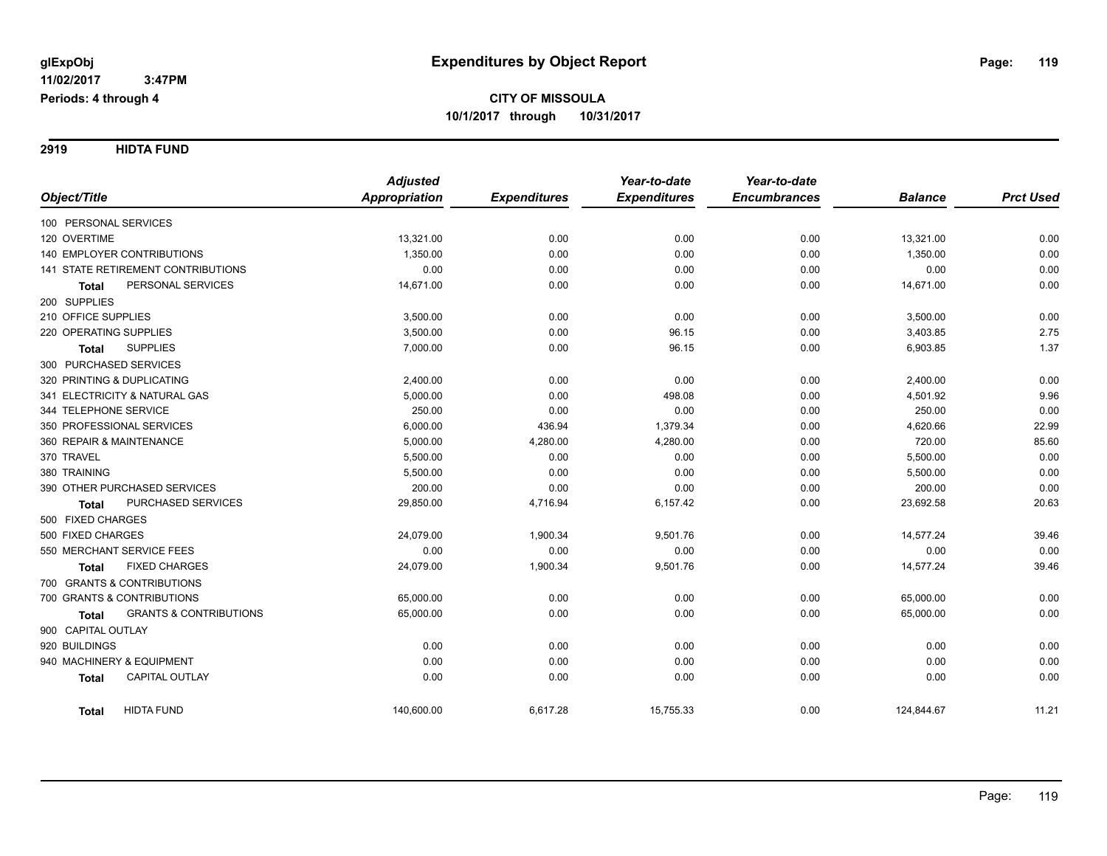**2919 HIDTA FUND**

|                                                   | <b>Adjusted</b>      |                     | Year-to-date        | Year-to-date        |                |                  |
|---------------------------------------------------|----------------------|---------------------|---------------------|---------------------|----------------|------------------|
| Object/Title                                      | <b>Appropriation</b> | <b>Expenditures</b> | <b>Expenditures</b> | <b>Encumbrances</b> | <b>Balance</b> | <b>Prct Used</b> |
| 100 PERSONAL SERVICES                             |                      |                     |                     |                     |                |                  |
| 120 OVERTIME                                      | 13,321.00            | 0.00                | 0.00                | 0.00                | 13,321.00      | 0.00             |
| 140 EMPLOYER CONTRIBUTIONS                        | 1,350.00             | 0.00                | 0.00                | 0.00                | 1,350.00       | 0.00             |
| 141 STATE RETIREMENT CONTRIBUTIONS                | 0.00                 | 0.00                | 0.00                | 0.00                | 0.00           | 0.00             |
| PERSONAL SERVICES<br><b>Total</b>                 | 14,671.00            | 0.00                | 0.00                | 0.00                | 14,671.00      | 0.00             |
| 200 SUPPLIES                                      |                      |                     |                     |                     |                |                  |
| 210 OFFICE SUPPLIES                               | 3,500.00             | 0.00                | 0.00                | 0.00                | 3,500.00       | 0.00             |
| 220 OPERATING SUPPLIES                            | 3,500.00             | 0.00                | 96.15               | 0.00                | 3,403.85       | 2.75             |
| <b>SUPPLIES</b><br><b>Total</b>                   | 7,000.00             | 0.00                | 96.15               | 0.00                | 6,903.85       | 1.37             |
| 300 PURCHASED SERVICES                            |                      |                     |                     |                     |                |                  |
| 320 PRINTING & DUPLICATING                        | 2,400.00             | 0.00                | 0.00                | 0.00                | 2,400.00       | 0.00             |
| 341 ELECTRICITY & NATURAL GAS                     | 5,000.00             | 0.00                | 498.08              | 0.00                | 4,501.92       | 9.96             |
| 344 TELEPHONE SERVICE                             | 250.00               | 0.00                | 0.00                | 0.00                | 250.00         | 0.00             |
| 350 PROFESSIONAL SERVICES                         | 6,000.00             | 436.94              | 1,379.34            | 0.00                | 4,620.66       | 22.99            |
| 360 REPAIR & MAINTENANCE                          | 5,000.00             | 4,280.00            | 4,280.00            | 0.00                | 720.00         | 85.60            |
| 370 TRAVEL                                        | 5,500.00             | 0.00                | 0.00                | 0.00                | 5,500.00       | 0.00             |
| 380 TRAINING                                      | 5,500.00             | 0.00                | 0.00                | 0.00                | 5,500.00       | 0.00             |
| 390 OTHER PURCHASED SERVICES                      | 200.00               | 0.00                | 0.00                | 0.00                | 200.00         | 0.00             |
| PURCHASED SERVICES<br>Total                       | 29,850.00            | 4,716.94            | 6,157.42            | 0.00                | 23,692.58      | 20.63            |
| 500 FIXED CHARGES                                 |                      |                     |                     |                     |                |                  |
| 500 FIXED CHARGES                                 | 24,079.00            | 1,900.34            | 9,501.76            | 0.00                | 14,577.24      | 39.46            |
| 550 MERCHANT SERVICE FEES                         | 0.00                 | 0.00                | 0.00                | 0.00                | 0.00           | 0.00             |
| <b>FIXED CHARGES</b><br>Total                     | 24,079.00            | 1,900.34            | 9,501.76            | 0.00                | 14,577.24      | 39.46            |
| 700 GRANTS & CONTRIBUTIONS                        |                      |                     |                     |                     |                |                  |
| 700 GRANTS & CONTRIBUTIONS                        | 65,000.00            | 0.00                | 0.00                | 0.00                | 65,000.00      | 0.00             |
| <b>GRANTS &amp; CONTRIBUTIONS</b><br><b>Total</b> | 65,000.00            | 0.00                | 0.00                | 0.00                | 65,000.00      | 0.00             |
| 900 CAPITAL OUTLAY                                |                      |                     |                     |                     |                |                  |
| 920 BUILDINGS                                     | 0.00                 | 0.00                | 0.00                | 0.00                | 0.00           | 0.00             |
| 940 MACHINERY & EQUIPMENT                         | 0.00                 | 0.00                | 0.00                | 0.00                | 0.00           | 0.00             |
| <b>CAPITAL OUTLAY</b><br><b>Total</b>             | 0.00                 | 0.00                | 0.00                | 0.00                | 0.00           | 0.00             |
| <b>HIDTA FUND</b><br><b>Total</b>                 | 140,600.00           | 6,617.28            | 15,755.33           | 0.00                | 124,844.67     | 11.21            |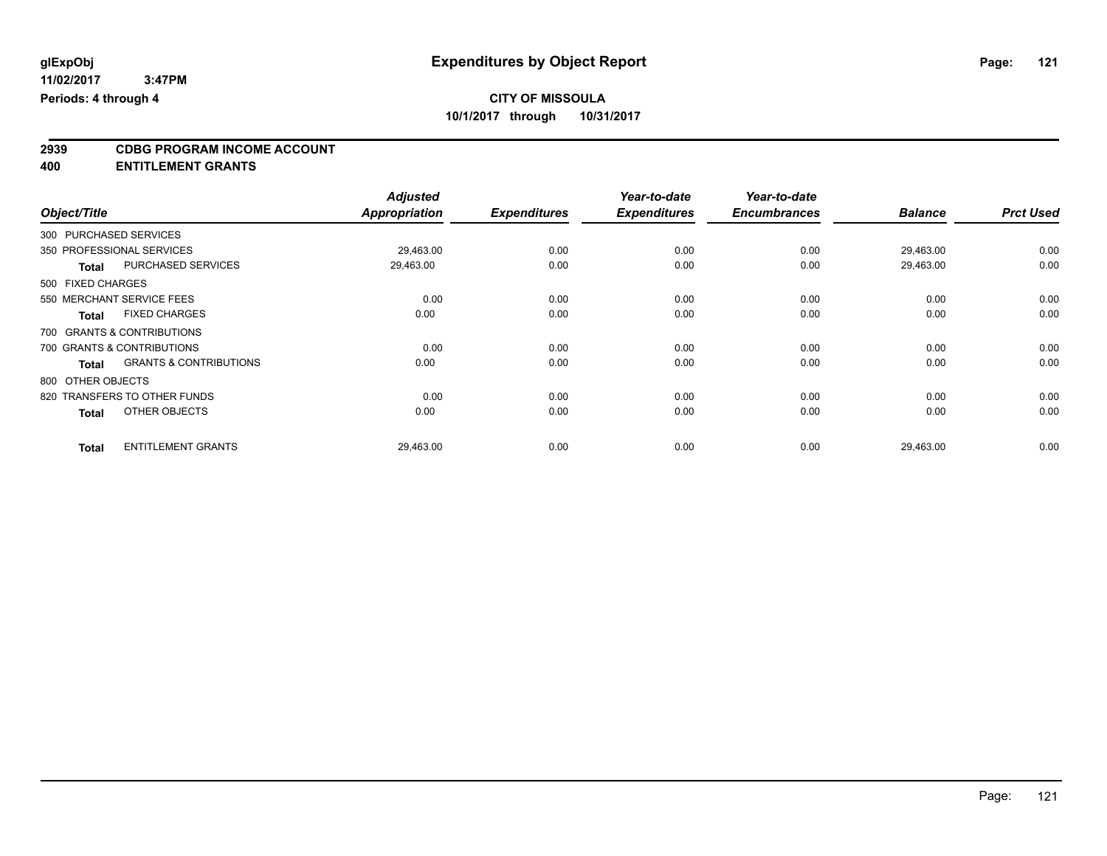# **2939 CDBG PROGRAM INCOME ACCOUNT**

**400 ENTITLEMENT GRANTS**

|                   |                                   | <b>Adjusted</b> |                     | Year-to-date        | Year-to-date        |                |                  |
|-------------------|-----------------------------------|-----------------|---------------------|---------------------|---------------------|----------------|------------------|
| Object/Title      |                                   | Appropriation   | <b>Expenditures</b> | <b>Expenditures</b> | <b>Encumbrances</b> | <b>Balance</b> | <b>Prct Used</b> |
|                   | 300 PURCHASED SERVICES            |                 |                     |                     |                     |                |                  |
|                   | 350 PROFESSIONAL SERVICES         | 29,463.00       | 0.00                | 0.00                | 0.00                | 29,463.00      | 0.00             |
| <b>Total</b>      | PURCHASED SERVICES                | 29,463.00       | 0.00                | 0.00                | 0.00                | 29,463.00      | 0.00             |
| 500 FIXED CHARGES |                                   |                 |                     |                     |                     |                |                  |
|                   | 550 MERCHANT SERVICE FEES         | 0.00            | 0.00                | 0.00                | 0.00                | 0.00           | 0.00             |
| <b>Total</b>      | <b>FIXED CHARGES</b>              | 0.00            | 0.00                | 0.00                | 0.00                | 0.00           | 0.00             |
|                   | 700 GRANTS & CONTRIBUTIONS        |                 |                     |                     |                     |                |                  |
|                   | 700 GRANTS & CONTRIBUTIONS        | 0.00            | 0.00                | 0.00                | 0.00                | 0.00           | 0.00             |
| <b>Total</b>      | <b>GRANTS &amp; CONTRIBUTIONS</b> | 0.00            | 0.00                | 0.00                | 0.00                | 0.00           | 0.00             |
| 800 OTHER OBJECTS |                                   |                 |                     |                     |                     |                |                  |
|                   | 820 TRANSFERS TO OTHER FUNDS      | 0.00            | 0.00                | 0.00                | 0.00                | 0.00           | 0.00             |
| <b>Total</b>      | OTHER OBJECTS                     | 0.00            | 0.00                | 0.00                | 0.00                | 0.00           | 0.00             |
| <b>Total</b>      | <b>ENTITLEMENT GRANTS</b>         | 29,463.00       | 0.00                | 0.00                | 0.00                | 29,463.00      | 0.00             |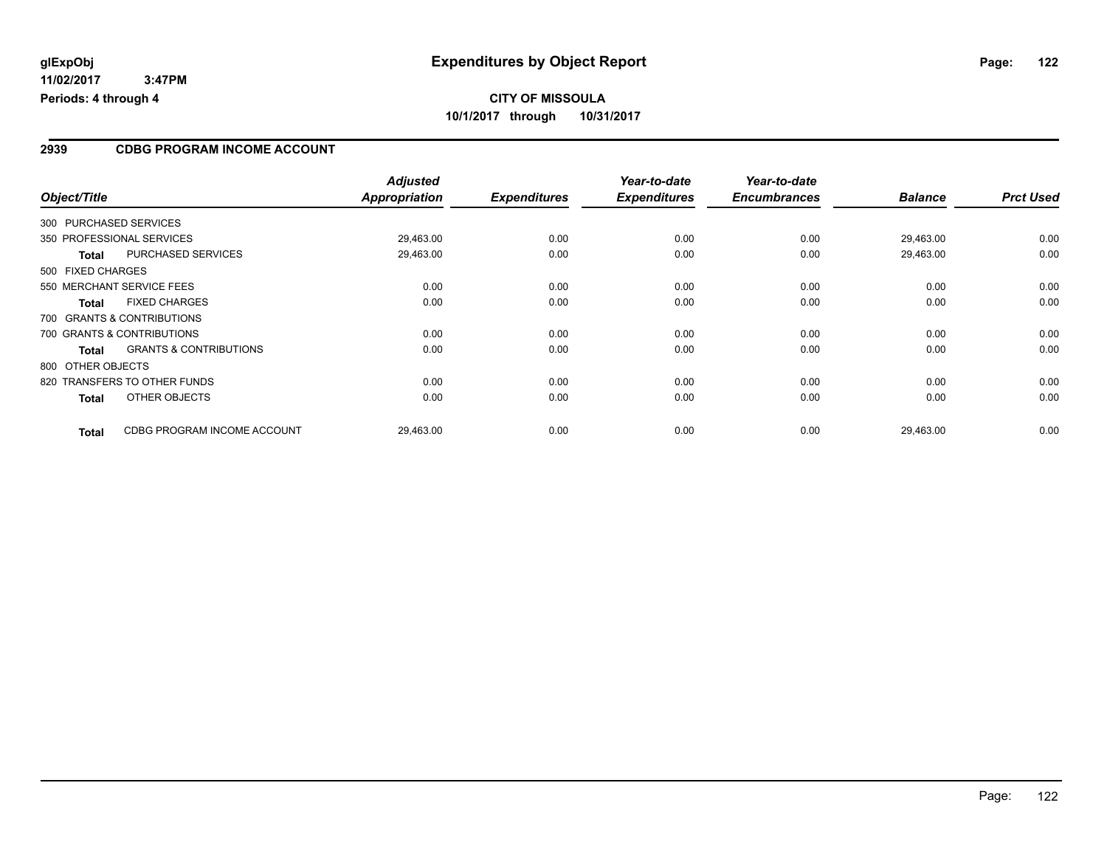**11/02/2017 3:47PM Periods: 4 through 4**

## **CITY OF MISSOULA 10/1/2017 through 10/31/2017**

#### **2939 CDBG PROGRAM INCOME ACCOUNT**

| Object/Title           |                                   | <b>Adjusted</b><br>Appropriation | <b>Expenditures</b> | Year-to-date<br><b>Expenditures</b> | Year-to-date<br><b>Encumbrances</b> | <b>Balance</b> | <b>Prct Used</b> |
|------------------------|-----------------------------------|----------------------------------|---------------------|-------------------------------------|-------------------------------------|----------------|------------------|
|                        |                                   |                                  |                     |                                     |                                     |                |                  |
| 300 PURCHASED SERVICES |                                   |                                  |                     |                                     |                                     |                |                  |
|                        | 350 PROFESSIONAL SERVICES         | 29,463.00                        | 0.00                | 0.00                                | 0.00                                | 29,463.00      | 0.00             |
| <b>Total</b>           | PURCHASED SERVICES                | 29,463.00                        | 0.00                | 0.00                                | 0.00                                | 29,463.00      | 0.00             |
| 500 FIXED CHARGES      |                                   |                                  |                     |                                     |                                     |                |                  |
|                        | 550 MERCHANT SERVICE FEES         | 0.00                             | 0.00                | 0.00                                | 0.00                                | 0.00           | 0.00             |
| <b>Total</b>           | <b>FIXED CHARGES</b>              | 0.00                             | 0.00                | 0.00                                | 0.00                                | 0.00           | 0.00             |
|                        | 700 GRANTS & CONTRIBUTIONS        |                                  |                     |                                     |                                     |                |                  |
|                        | 700 GRANTS & CONTRIBUTIONS        | 0.00                             | 0.00                | 0.00                                | 0.00                                | 0.00           | 0.00             |
| Total                  | <b>GRANTS &amp; CONTRIBUTIONS</b> | 0.00                             | 0.00                | 0.00                                | 0.00                                | 0.00           | 0.00             |
| 800 OTHER OBJECTS      |                                   |                                  |                     |                                     |                                     |                |                  |
|                        | 820 TRANSFERS TO OTHER FUNDS      | 0.00                             | 0.00                | 0.00                                | 0.00                                | 0.00           | 0.00             |
| <b>Total</b>           | OTHER OBJECTS                     | 0.00                             | 0.00                | 0.00                                | 0.00                                | 0.00           | 0.00             |
| <b>Total</b>           | CDBG PROGRAM INCOME ACCOUNT       | 29,463.00                        | 0.00                | 0.00                                | 0.00                                | 29,463.00      | 0.00             |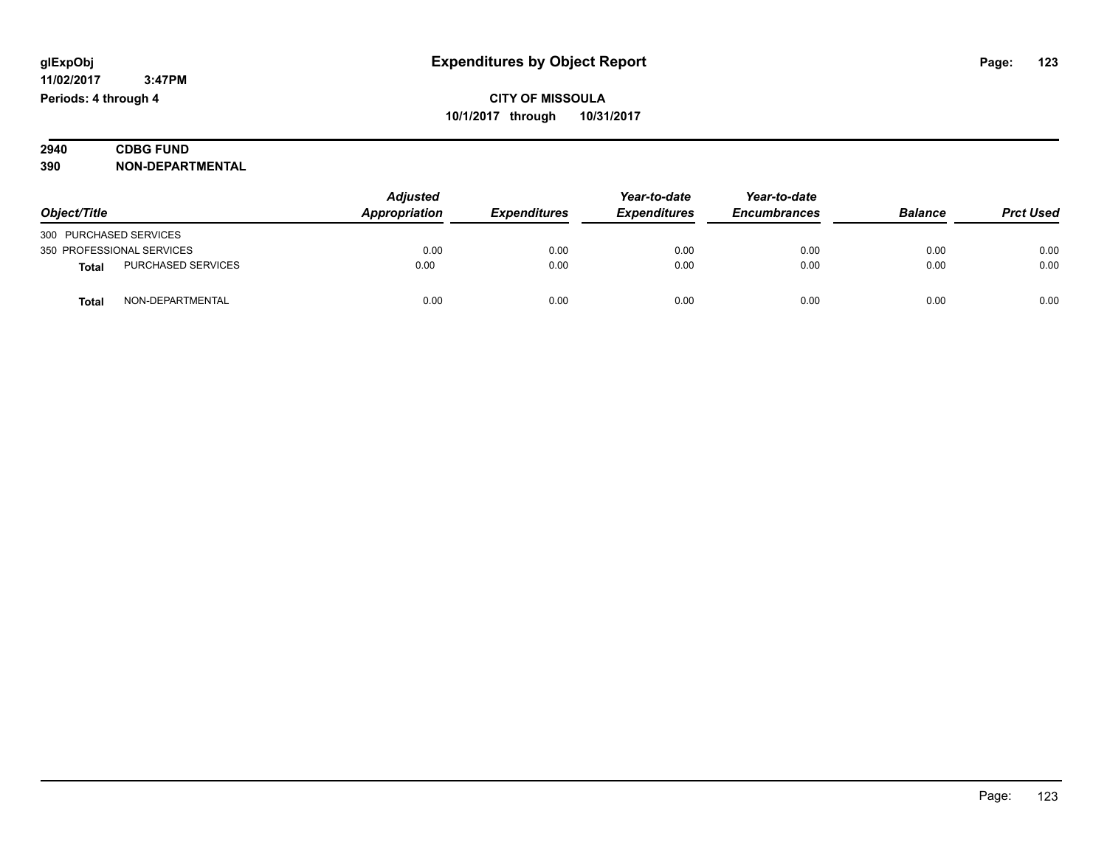| 2940 | <b><i>INTE</i></b><br>UNL |
|------|---------------------------|
| 390  | וחו<br>ור                 |

|                           |                           | <b>Adjusted</b> |                            | Year-to-date        | Year-to-date        |                |                  |
|---------------------------|---------------------------|-----------------|----------------------------|---------------------|---------------------|----------------|------------------|
| Object/Title              |                           | Appropriation   | <i><b>Expenditures</b></i> | <b>Expenditures</b> | <b>Encumbrances</b> | <b>Balance</b> | <b>Prct Used</b> |
| 300 PURCHASED SERVICES    |                           |                 |                            |                     |                     |                |                  |
| 350 PROFESSIONAL SERVICES |                           | 0.00            | 0.00                       | 0.00                | 0.00                | 0.00           | 0.00             |
| <b>Total</b>              | <b>PURCHASED SERVICES</b> | 0.00            | 0.00                       | 0.00                | 0.00                | 0.00           | 0.00             |
| <b>Total</b>              | NON-DEPARTMENTAL          | 0.00            | 0.00                       | 0.00                | 0.00                | 0.00           | 0.00             |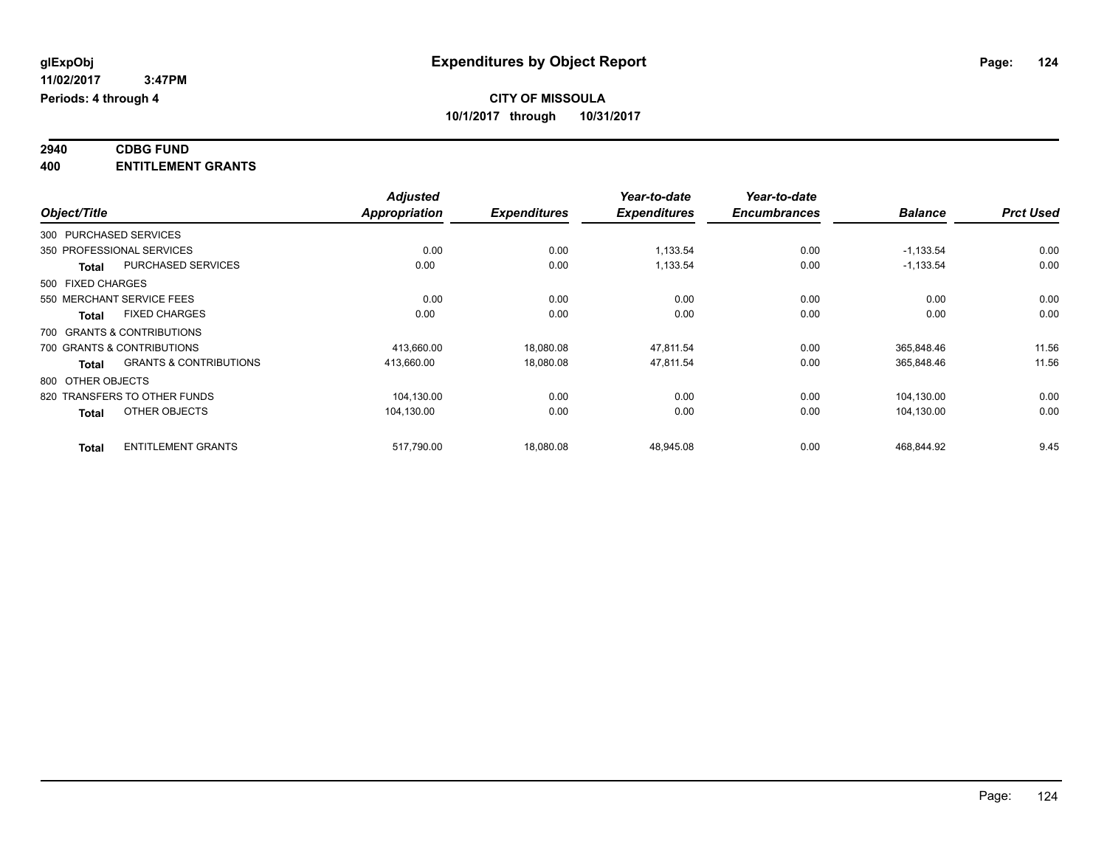## **2940 CDBG FUND**

| 400                                  | <b>ENTITLEMENT GRANTS</b>         |                                  |                     |                                     |                                     |                |                  |
|--------------------------------------|-----------------------------------|----------------------------------|---------------------|-------------------------------------|-------------------------------------|----------------|------------------|
| Object/Title                         |                                   | <b>Adjusted</b><br>Appropriation | <b>Expenditures</b> | Year-to-date<br><b>Expenditures</b> | Year-to-date<br><b>Encumbrances</b> | <b>Balance</b> | <b>Prct Used</b> |
| 300 PURCHASED SERVICES               |                                   |                                  |                     |                                     |                                     |                |                  |
| 350 PROFESSIONAL SERVICES            |                                   | 0.00                             | 0.00                | 1,133.54                            | 0.00                                | $-1,133.54$    | 0.00             |
| <b>Total</b>                         | PURCHASED SERVICES                | 0.00                             | 0.00                | 1,133.54                            | 0.00                                | $-1,133.54$    | 0.00             |
| 500 FIXED CHARGES                    |                                   |                                  |                     |                                     |                                     |                |                  |
| 550 MERCHANT SERVICE FEES            |                                   | 0.00                             | 0.00                | 0.00                                | 0.00                                | 0.00           | 0.00             |
| <b>FIXED CHARGES</b><br><b>Total</b> |                                   | 0.00                             | 0.00                | 0.00                                | 0.00                                | 0.00           | 0.00             |
| 700 GRANTS & CONTRIBUTIONS           |                                   |                                  |                     |                                     |                                     |                |                  |
| 700 GRANTS & CONTRIBUTIONS           |                                   | 413,660.00                       | 18,080.08           | 47,811.54                           | 0.00                                | 365,848.46     | 11.56            |
| <b>Total</b>                         | <b>GRANTS &amp; CONTRIBUTIONS</b> | 413,660.00                       | 18,080.08           | 47,811.54                           | 0.00                                | 365,848.46     | 11.56            |
| 800 OTHER OBJECTS                    |                                   |                                  |                     |                                     |                                     |                |                  |
| 820 TRANSFERS TO OTHER FUNDS         |                                   | 104,130.00                       | 0.00                | 0.00                                | 0.00                                | 104,130.00     | 0.00             |
| OTHER OBJECTS<br><b>Total</b>        |                                   | 104,130.00                       | 0.00                | 0.00                                | 0.00                                | 104,130.00     | 0.00             |
| <b>Total</b>                         | <b>ENTITLEMENT GRANTS</b>         | 517,790.00                       | 18,080.08           | 48,945.08                           | 0.00                                | 468,844.92     | 9.45             |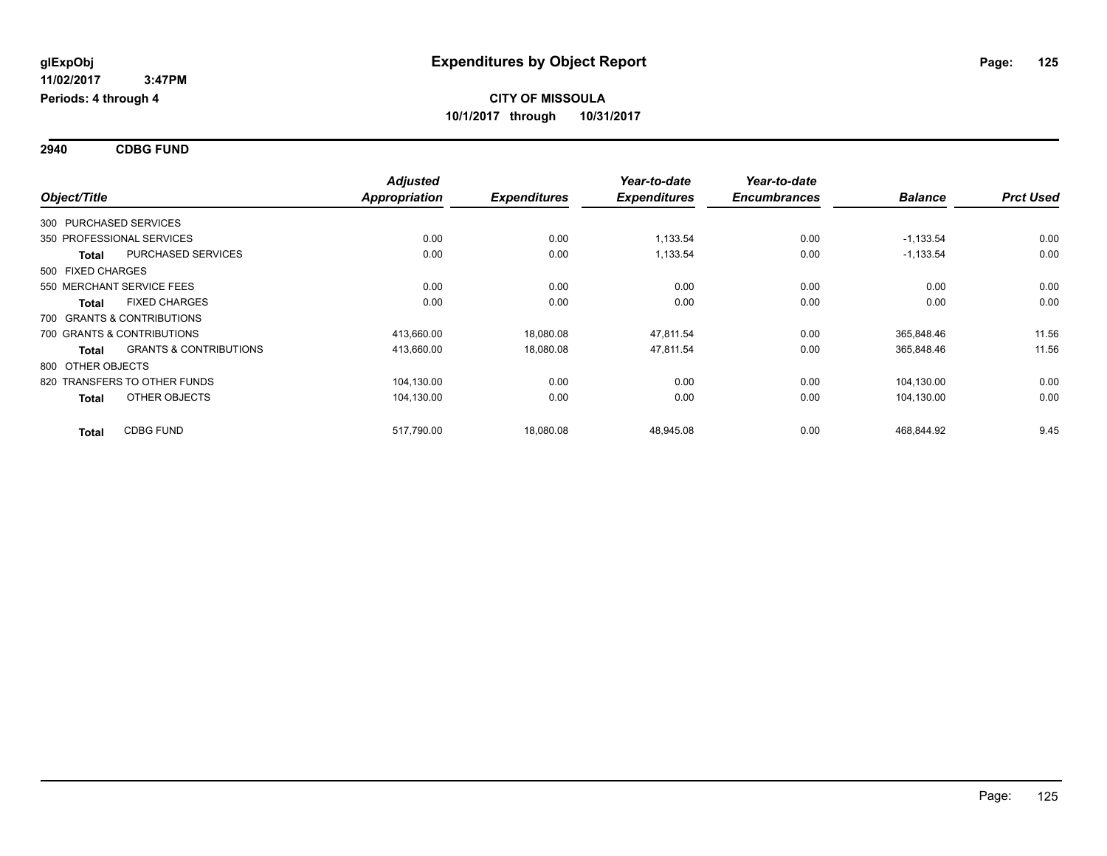**2940 CDBG FUND**

|                   |                                   | <b>Adjusted</b>      |                     | Year-to-date        | Year-to-date        |                |                  |
|-------------------|-----------------------------------|----------------------|---------------------|---------------------|---------------------|----------------|------------------|
| Object/Title      |                                   | <b>Appropriation</b> | <b>Expenditures</b> | <b>Expenditures</b> | <b>Encumbrances</b> | <b>Balance</b> | <b>Prct Used</b> |
|                   | 300 PURCHASED SERVICES            |                      |                     |                     |                     |                |                  |
|                   | 350 PROFESSIONAL SERVICES         | 0.00                 | 0.00                | 1,133.54            | 0.00                | $-1,133.54$    | 0.00             |
| <b>Total</b>      | <b>PURCHASED SERVICES</b>         | 0.00                 | 0.00                | 1,133.54            | 0.00                | $-1,133.54$    | 0.00             |
| 500 FIXED CHARGES |                                   |                      |                     |                     |                     |                |                  |
|                   | 550 MERCHANT SERVICE FEES         | 0.00                 | 0.00                | 0.00                | 0.00                | 0.00           | 0.00             |
| <b>Total</b>      | <b>FIXED CHARGES</b>              | 0.00                 | 0.00                | 0.00                | 0.00                | 0.00           | 0.00             |
|                   | 700 GRANTS & CONTRIBUTIONS        |                      |                     |                     |                     |                |                  |
|                   | 700 GRANTS & CONTRIBUTIONS        | 413,660.00           | 18,080.08           | 47,811.54           | 0.00                | 365,848.46     | 11.56            |
| <b>Total</b>      | <b>GRANTS &amp; CONTRIBUTIONS</b> | 413,660.00           | 18,080.08           | 47,811.54           | 0.00                | 365,848.46     | 11.56            |
| 800 OTHER OBJECTS |                                   |                      |                     |                     |                     |                |                  |
|                   | 820 TRANSFERS TO OTHER FUNDS      | 104,130.00           | 0.00                | 0.00                | 0.00                | 104,130.00     | 0.00             |
| <b>Total</b>      | OTHER OBJECTS                     | 104,130.00           | 0.00                | 0.00                | 0.00                | 104,130.00     | 0.00             |
| <b>Total</b>      | <b>CDBG FUND</b>                  | 517,790.00           | 18,080.08           | 48,945.08           | 0.00                | 468,844.92     | 9.45             |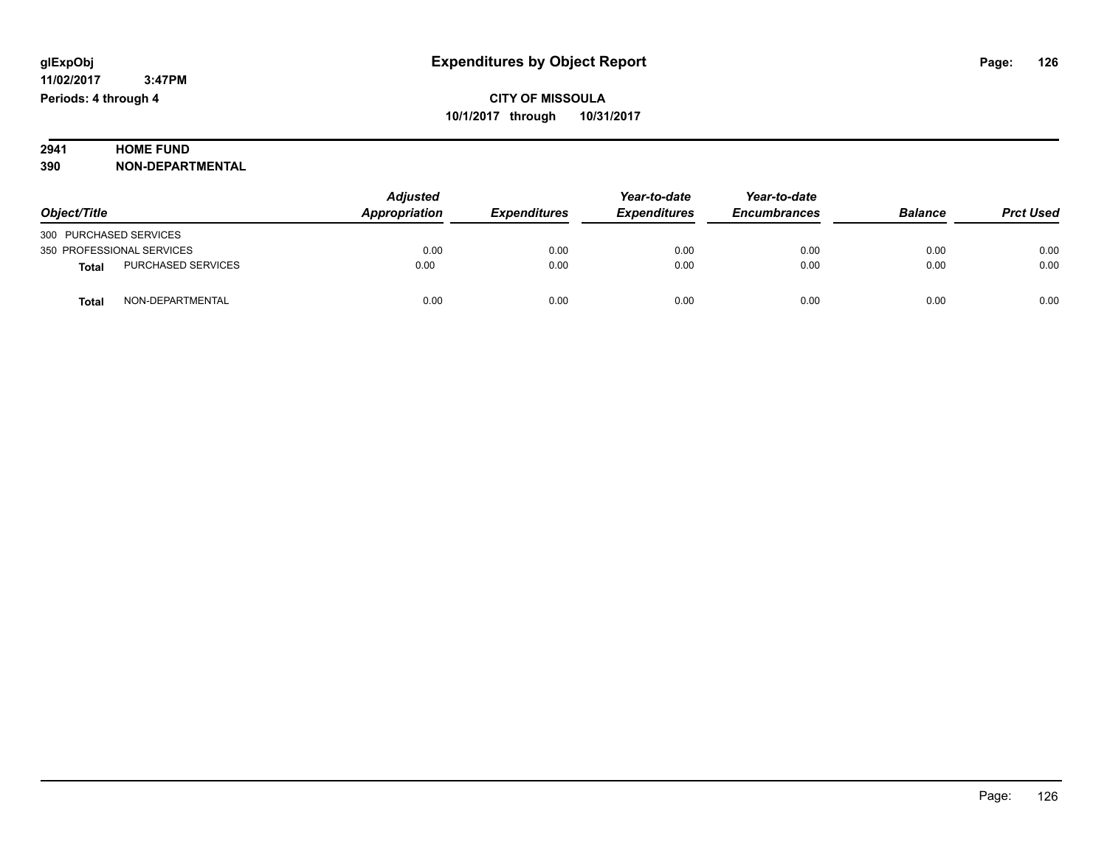#### **2941 HOME FUND**<br>390 **NON-DEPART 390 NON-DEPARTMENTAL**

| Object/Title           |                           | <b>Adjusted</b><br>Appropriation | <b>Expenditures</b> | Year-to-date<br><b>Expenditures</b> | Year-to-date<br><b>Encumbrances</b> | <b>Balance</b> | <b>Prct Used</b> |
|------------------------|---------------------------|----------------------------------|---------------------|-------------------------------------|-------------------------------------|----------------|------------------|
| 300 PURCHASED SERVICES |                           |                                  |                     |                                     |                                     |                |                  |
|                        | 350 PROFESSIONAL SERVICES | 0.00                             | 0.00                | 0.00                                | 0.00                                | 0.00           | 0.00             |
| <b>Total</b>           | <b>PURCHASED SERVICES</b> | 0.00                             | 0.00                | 0.00                                | 0.00                                | 0.00           | 0.00             |
| <b>Total</b>           | NON-DEPARTMENTAL          | 0.00                             | 0.00                | 0.00                                | 0.00                                | 0.00           | 0.00             |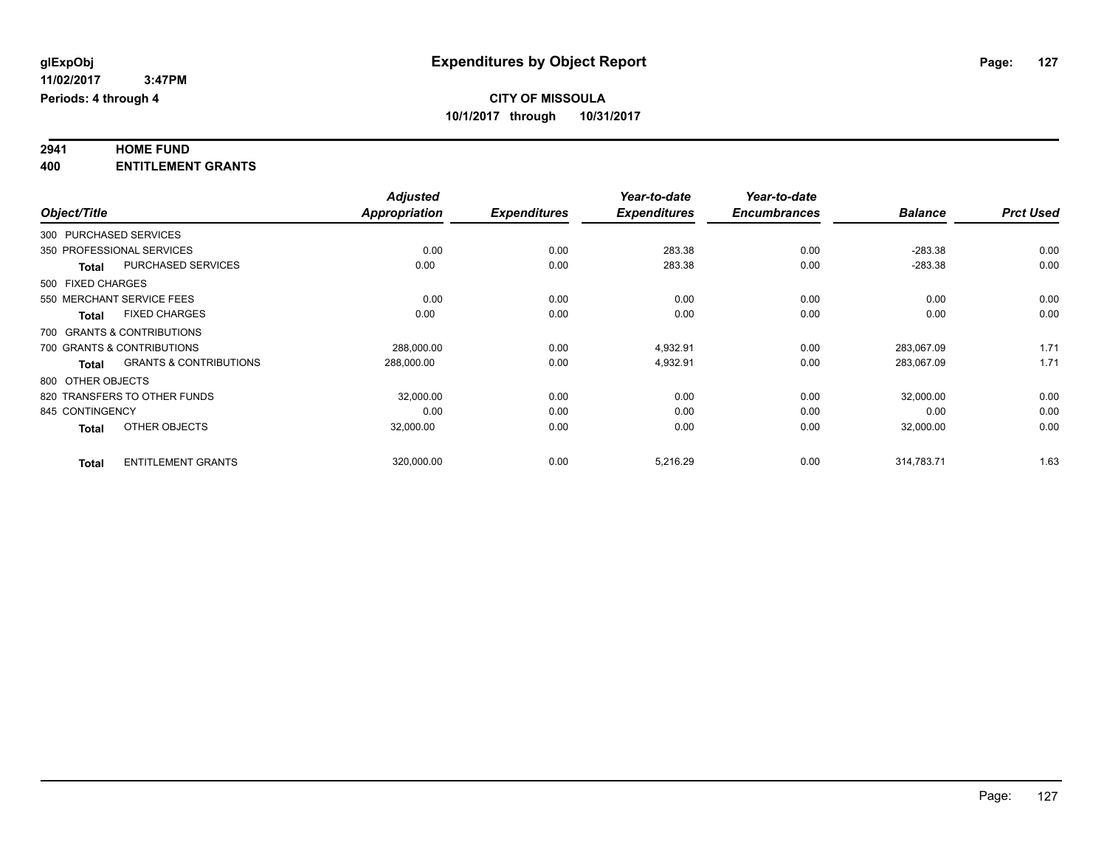#### **2941 HOME FUND 400 ENTITLEMENT GRANTS**

|                 |                                                   | <b>Adjusted</b>      |                     | Year-to-date        | Year-to-date        |                |                  |
|-----------------|---------------------------------------------------|----------------------|---------------------|---------------------|---------------------|----------------|------------------|
| Object/Title    |                                                   | <b>Appropriation</b> | <b>Expenditures</b> | <b>Expenditures</b> | <b>Encumbrances</b> | <b>Balance</b> | <b>Prct Used</b> |
|                 | 300 PURCHASED SERVICES                            |                      |                     |                     |                     |                |                  |
|                 | 350 PROFESSIONAL SERVICES                         | 0.00                 | 0.00                | 283.38              | 0.00                | $-283.38$      | 0.00             |
|                 | <b>PURCHASED SERVICES</b><br><b>Total</b>         | 0.00                 | 0.00                | 283.38              | 0.00                | $-283.38$      | 0.00             |
|                 | 500 FIXED CHARGES                                 |                      |                     |                     |                     |                |                  |
|                 | 550 MERCHANT SERVICE FEES                         | 0.00                 | 0.00                | 0.00                | 0.00                | 0.00           | 0.00             |
|                 | <b>FIXED CHARGES</b><br><b>Total</b>              | 0.00                 | 0.00                | 0.00                | 0.00                | 0.00           | 0.00             |
|                 | 700 GRANTS & CONTRIBUTIONS                        |                      |                     |                     |                     |                |                  |
|                 | 700 GRANTS & CONTRIBUTIONS                        | 288,000.00           | 0.00                | 4,932.91            | 0.00                | 283,067.09     | 1.71             |
|                 | <b>GRANTS &amp; CONTRIBUTIONS</b><br><b>Total</b> | 288,000.00           | 0.00                | 4,932.91            | 0.00                | 283,067.09     | 1.71             |
|                 | 800 OTHER OBJECTS                                 |                      |                     |                     |                     |                |                  |
|                 | 820 TRANSFERS TO OTHER FUNDS                      | 32,000.00            | 0.00                | 0.00                | 0.00                | 32,000.00      | 0.00             |
| 845 CONTINGENCY |                                                   | 0.00                 | 0.00                | 0.00                | 0.00                | 0.00           | 0.00             |
|                 | OTHER OBJECTS<br><b>Total</b>                     | 32,000.00            | 0.00                | 0.00                | 0.00                | 32,000.00      | 0.00             |
|                 | <b>ENTITLEMENT GRANTS</b><br><b>Total</b>         | 320,000.00           | 0.00                | 5,216.29            | 0.00                | 314,783.71     | 1.63             |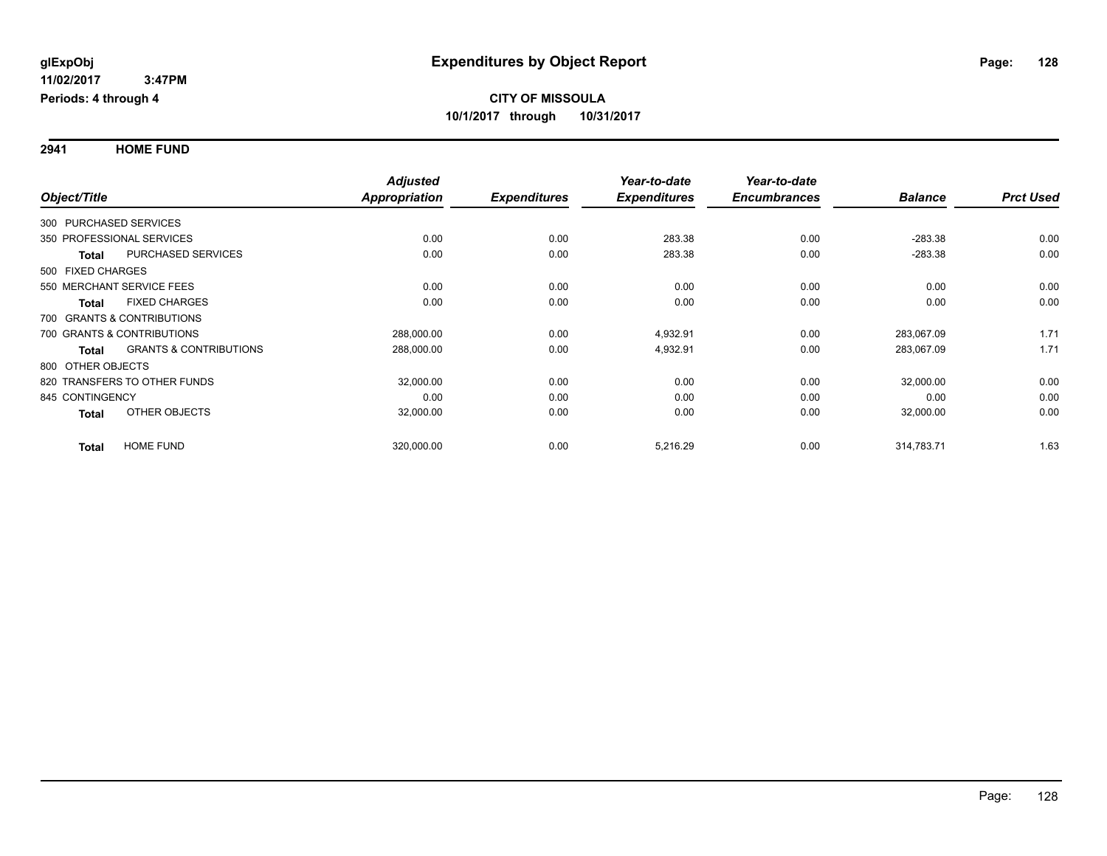**2941 HOME FUND**

|                                                   | <b>Adjusted</b>      |                     | Year-to-date        | Year-to-date        |                |                  |
|---------------------------------------------------|----------------------|---------------------|---------------------|---------------------|----------------|------------------|
| Object/Title                                      | <b>Appropriation</b> | <b>Expenditures</b> | <b>Expenditures</b> | <b>Encumbrances</b> | <b>Balance</b> | <b>Prct Used</b> |
| 300 PURCHASED SERVICES                            |                      |                     |                     |                     |                |                  |
| 350 PROFESSIONAL SERVICES                         | 0.00                 | 0.00                | 283.38              | 0.00                | $-283.38$      | 0.00             |
| <b>PURCHASED SERVICES</b><br><b>Total</b>         | 0.00                 | 0.00                | 283.38              | 0.00                | $-283.38$      | 0.00             |
| 500 FIXED CHARGES                                 |                      |                     |                     |                     |                |                  |
| 550 MERCHANT SERVICE FEES                         | 0.00                 | 0.00                | 0.00                | 0.00                | 0.00           | 0.00             |
| <b>FIXED CHARGES</b><br>Total                     | 0.00                 | 0.00                | 0.00                | 0.00                | 0.00           | 0.00             |
| 700 GRANTS & CONTRIBUTIONS                        |                      |                     |                     |                     |                |                  |
| 700 GRANTS & CONTRIBUTIONS                        | 288,000.00           | 0.00                | 4,932.91            | 0.00                | 283,067.09     | 1.71             |
| <b>GRANTS &amp; CONTRIBUTIONS</b><br><b>Total</b> | 288,000.00           | 0.00                | 4,932.91            | 0.00                | 283,067.09     | 1.71             |
| 800 OTHER OBJECTS                                 |                      |                     |                     |                     |                |                  |
| 820 TRANSFERS TO OTHER FUNDS                      | 32,000.00            | 0.00                | 0.00                | 0.00                | 32,000.00      | 0.00             |
| 845 CONTINGENCY                                   | 0.00                 | 0.00                | 0.00                | 0.00                | 0.00           | 0.00             |
| OTHER OBJECTS<br><b>Total</b>                     | 32,000.00            | 0.00                | 0.00                | 0.00                | 32,000.00      | 0.00             |
| <b>HOME FUND</b><br><b>Total</b>                  | 320,000.00           | 0.00                | 5,216.29            | 0.00                | 314,783.71     | 1.63             |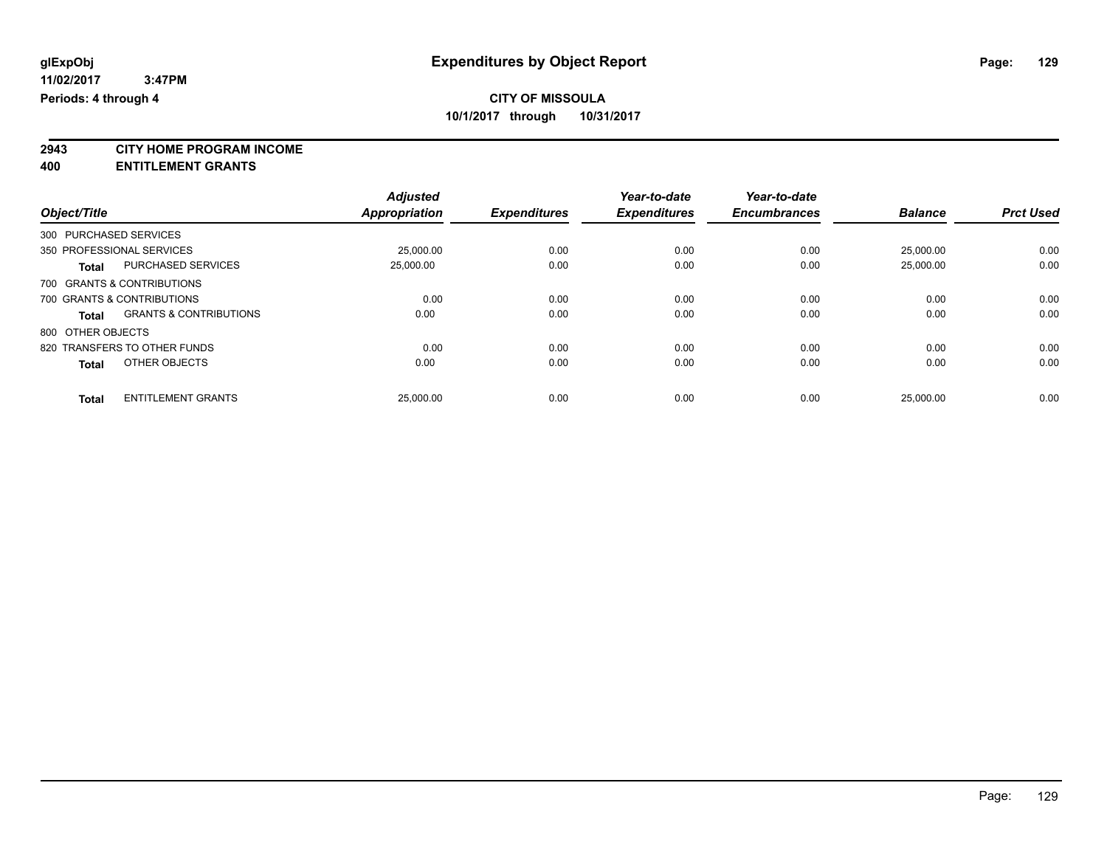**2943 CITY HOME PROGRAM INCOME**

**400 ENTITLEMENT GRANTS**

|                                                   | <b>Adjusted</b>      |                     | Year-to-date        | Year-to-date        |                |                  |
|---------------------------------------------------|----------------------|---------------------|---------------------|---------------------|----------------|------------------|
| Object/Title                                      | <b>Appropriation</b> | <b>Expenditures</b> | <b>Expenditures</b> | <b>Encumbrances</b> | <b>Balance</b> | <b>Prct Used</b> |
| 300 PURCHASED SERVICES                            |                      |                     |                     |                     |                |                  |
| 350 PROFESSIONAL SERVICES                         | 25.000.00            | 0.00                | 0.00                | 0.00                | 25.000.00      | 0.00             |
| <b>PURCHASED SERVICES</b><br><b>Total</b>         | 25.000.00            | 0.00                | 0.00                | 0.00                | 25,000.00      | 0.00             |
| 700 GRANTS & CONTRIBUTIONS                        |                      |                     |                     |                     |                |                  |
| 700 GRANTS & CONTRIBUTIONS                        | 0.00                 | 0.00                | 0.00                | 0.00                | 0.00           | 0.00             |
| <b>GRANTS &amp; CONTRIBUTIONS</b><br><b>Total</b> | 0.00                 | 0.00                | 0.00                | 0.00                | 0.00           | 0.00             |
| 800 OTHER OBJECTS                                 |                      |                     |                     |                     |                |                  |
| 820 TRANSFERS TO OTHER FUNDS                      | 0.00                 | 0.00                | 0.00                | 0.00                | 0.00           | 0.00             |
| OTHER OBJECTS<br><b>Total</b>                     | 0.00                 | 0.00                | 0.00                | 0.00                | 0.00           | 0.00             |
| <b>ENTITLEMENT GRANTS</b><br><b>Total</b>         | 25,000.00            | 0.00                | 0.00                | 0.00                | 25.000.00      | 0.00             |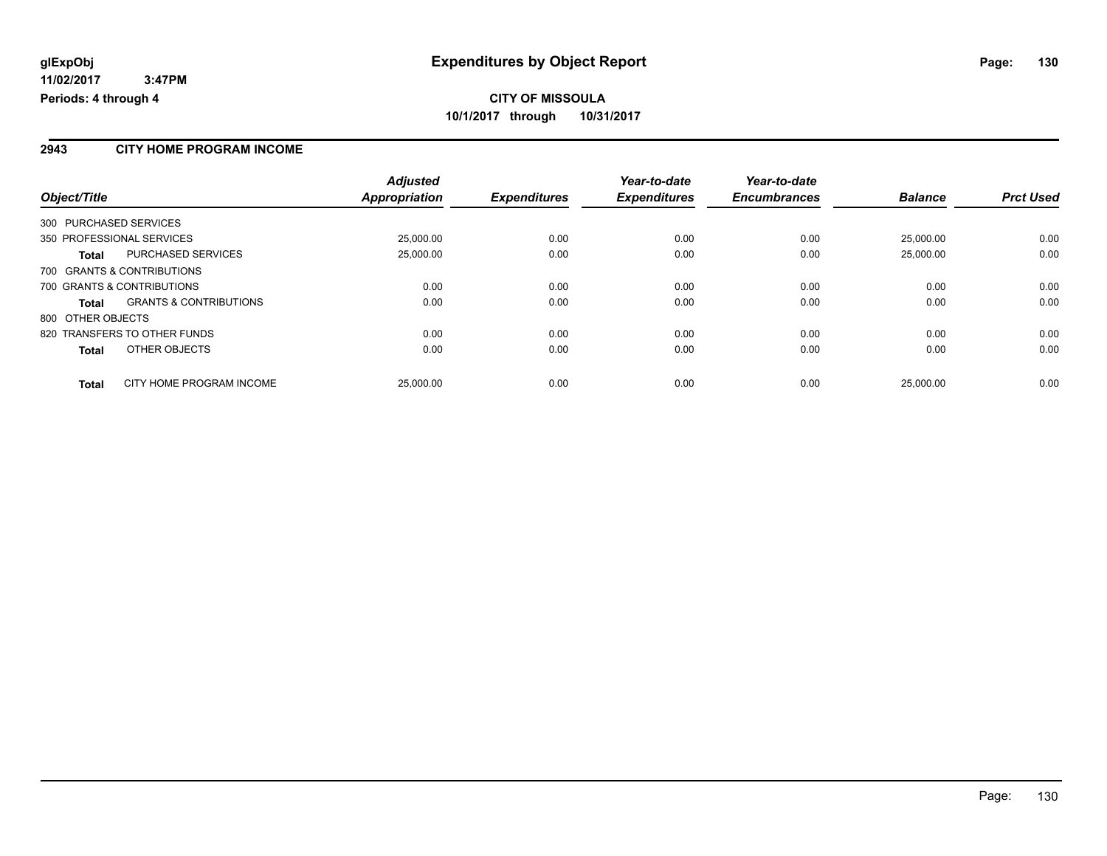#### **2943 CITY HOME PROGRAM INCOME**

|                                                   | <b>Adjusted</b> |                     | Year-to-date        | Year-to-date        |                |                  |
|---------------------------------------------------|-----------------|---------------------|---------------------|---------------------|----------------|------------------|
| Object/Title                                      | Appropriation   | <b>Expenditures</b> | <b>Expenditures</b> | <b>Encumbrances</b> | <b>Balance</b> | <b>Prct Used</b> |
| 300 PURCHASED SERVICES                            |                 |                     |                     |                     |                |                  |
| 350 PROFESSIONAL SERVICES                         | 25,000.00       | 0.00                | 0.00                | 0.00                | 25.000.00      | 0.00             |
| <b>PURCHASED SERVICES</b><br><b>Total</b>         | 25,000.00       | 0.00                | 0.00                | 0.00                | 25.000.00      | 0.00             |
| 700 GRANTS & CONTRIBUTIONS                        |                 |                     |                     |                     |                |                  |
| 700 GRANTS & CONTRIBUTIONS                        | 0.00            | 0.00                | 0.00                | 0.00                | 0.00           | 0.00             |
| <b>GRANTS &amp; CONTRIBUTIONS</b><br><b>Total</b> | 0.00            | 0.00                | 0.00                | 0.00                | 0.00           | 0.00             |
| 800 OTHER OBJECTS                                 |                 |                     |                     |                     |                |                  |
| 820 TRANSFERS TO OTHER FUNDS                      | 0.00            | 0.00                | 0.00                | 0.00                | 0.00           | 0.00             |
| OTHER OBJECTS<br><b>Total</b>                     | 0.00            | 0.00                | 0.00                | 0.00                | 0.00           | 0.00             |
| CITY HOME PROGRAM INCOME<br><b>Total</b>          | 25,000.00       | 0.00                | 0.00                | 0.00                | 25.000.00      | 0.00             |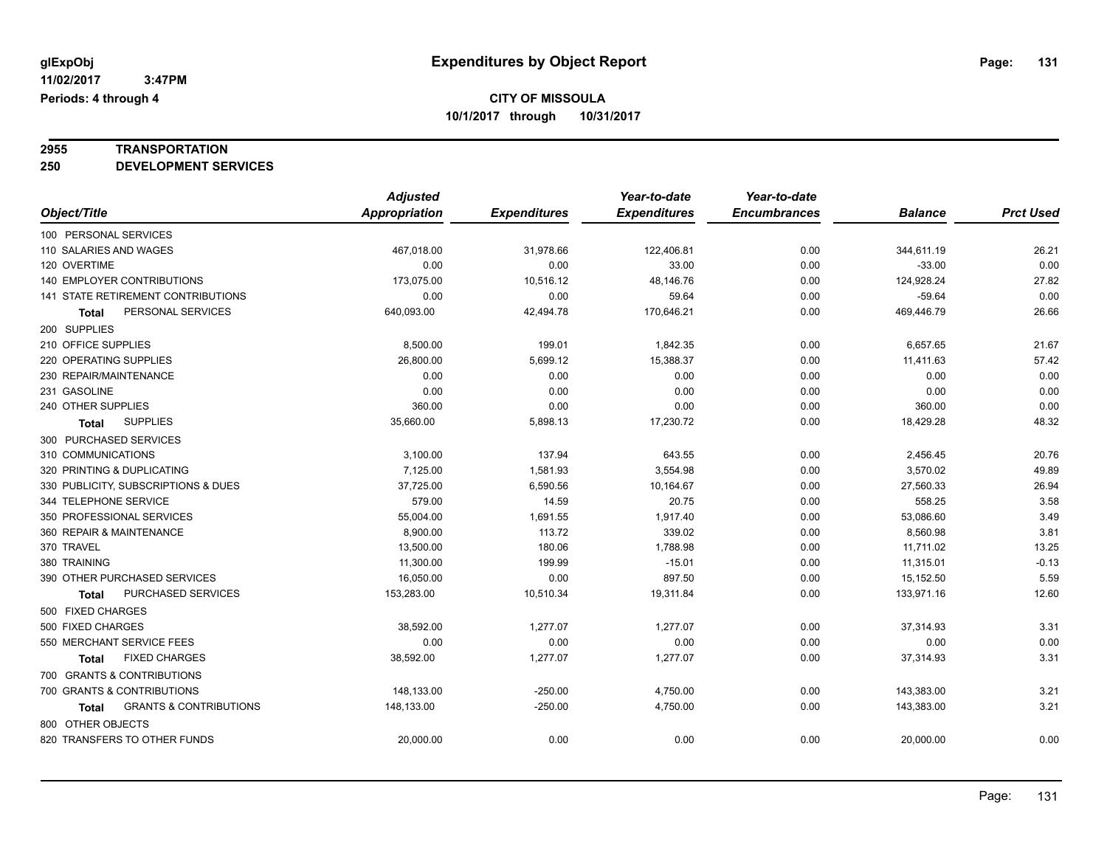# **2955 TRANSPORTATION**

**250 DEVELOPMENT SERVICES**

|                                            | <b>Adjusted</b> |                     | Year-to-date        | Year-to-date        |                |                  |
|--------------------------------------------|-----------------|---------------------|---------------------|---------------------|----------------|------------------|
| Object/Title                               | Appropriation   | <b>Expenditures</b> | <b>Expenditures</b> | <b>Encumbrances</b> | <b>Balance</b> | <b>Prct Used</b> |
| 100 PERSONAL SERVICES                      |                 |                     |                     |                     |                |                  |
| 110 SALARIES AND WAGES                     | 467,018.00      | 31,978.66           | 122,406.81          | 0.00                | 344,611.19     | 26.21            |
| 120 OVERTIME                               | 0.00            | 0.00                | 33.00               | 0.00                | $-33.00$       | 0.00             |
| 140 EMPLOYER CONTRIBUTIONS                 | 173,075.00      | 10,516.12           | 48,146.76           | 0.00                | 124,928.24     | 27.82            |
| 141 STATE RETIREMENT CONTRIBUTIONS         | 0.00            | 0.00                | 59.64               | 0.00                | $-59.64$       | 0.00             |
| PERSONAL SERVICES<br>Total                 | 640,093.00      | 42,494.78           | 170,646.21          | 0.00                | 469,446.79     | 26.66            |
| 200 SUPPLIES                               |                 |                     |                     |                     |                |                  |
| 210 OFFICE SUPPLIES                        | 8,500.00        | 199.01              | 1,842.35            | 0.00                | 6,657.65       | 21.67            |
| 220 OPERATING SUPPLIES                     | 26,800.00       | 5,699.12            | 15,388.37           | 0.00                | 11,411.63      | 57.42            |
| 230 REPAIR/MAINTENANCE                     | 0.00            | 0.00                | 0.00                | 0.00                | 0.00           | 0.00             |
| 231 GASOLINE                               | 0.00            | 0.00                | 0.00                | 0.00                | 0.00           | 0.00             |
| 240 OTHER SUPPLIES                         | 360.00          | 0.00                | 0.00                | 0.00                | 360.00         | 0.00             |
| <b>SUPPLIES</b><br>Total                   | 35,660.00       | 5,898.13            | 17,230.72           | 0.00                | 18,429.28      | 48.32            |
| 300 PURCHASED SERVICES                     |                 |                     |                     |                     |                |                  |
| 310 COMMUNICATIONS                         | 3,100.00        | 137.94              | 643.55              | 0.00                | 2,456.45       | 20.76            |
| 320 PRINTING & DUPLICATING                 | 7,125.00        | 1,581.93            | 3,554.98            | 0.00                | 3,570.02       | 49.89            |
| 330 PUBLICITY, SUBSCRIPTIONS & DUES        | 37,725.00       | 6,590.56            | 10,164.67           | 0.00                | 27,560.33      | 26.94            |
| 344 TELEPHONE SERVICE                      | 579.00          | 14.59               | 20.75               | 0.00                | 558.25         | 3.58             |
| 350 PROFESSIONAL SERVICES                  | 55,004.00       | 1,691.55            | 1,917.40            | 0.00                | 53,086.60      | 3.49             |
| 360 REPAIR & MAINTENANCE                   | 8,900.00        | 113.72              | 339.02              | 0.00                | 8,560.98       | 3.81             |
| 370 TRAVEL                                 | 13.500.00       | 180.06              | 1.788.98            | 0.00                | 11.711.02      | 13.25            |
| 380 TRAINING                               | 11,300.00       | 199.99              | $-15.01$            | 0.00                | 11,315.01      | $-0.13$          |
| 390 OTHER PURCHASED SERVICES               | 16,050.00       | 0.00                | 897.50              | 0.00                | 15,152.50      | 5.59             |
| PURCHASED SERVICES<br>Total                | 153,283.00      | 10,510.34           | 19,311.84           | 0.00                | 133,971.16     | 12.60            |
| 500 FIXED CHARGES                          |                 |                     |                     |                     |                |                  |
| 500 FIXED CHARGES                          | 38,592.00       | 1,277.07            | 1,277.07            | 0.00                | 37,314.93      | 3.31             |
| 550 MERCHANT SERVICE FEES                  | 0.00            | 0.00                | 0.00                | 0.00                | 0.00           | 0.00             |
| <b>FIXED CHARGES</b><br>Total              | 38,592.00       | 1,277.07            | 1,277.07            | 0.00                | 37,314.93      | 3.31             |
| 700 GRANTS & CONTRIBUTIONS                 |                 |                     |                     |                     |                |                  |
| 700 GRANTS & CONTRIBUTIONS                 | 148,133.00      | $-250.00$           | 4,750.00            | 0.00                | 143,383.00     | 3.21             |
| <b>GRANTS &amp; CONTRIBUTIONS</b><br>Total | 148,133.00      | $-250.00$           | 4,750.00            | 0.00                | 143,383.00     | 3.21             |
| 800 OTHER OBJECTS                          |                 |                     |                     |                     |                |                  |
| 820 TRANSFERS TO OTHER FUNDS               | 20,000.00       | 0.00                | 0.00                | 0.00                | 20,000.00      | 0.00             |
|                                            |                 |                     |                     |                     |                |                  |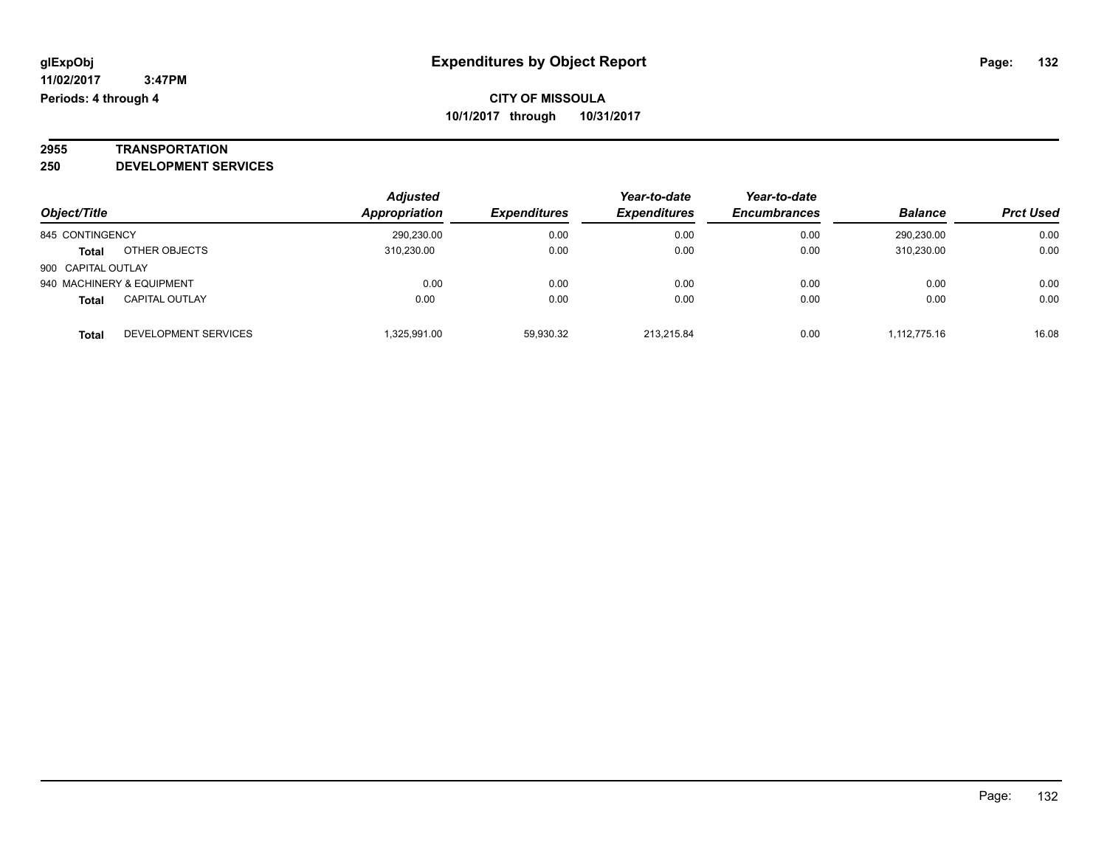# **2955 TRANSPORTATION**

**250 DEVELOPMENT SERVICES**

|                    |                           | <b>Adjusted</b> |                     | Year-to-date        | Year-to-date        |                |                  |
|--------------------|---------------------------|-----------------|---------------------|---------------------|---------------------|----------------|------------------|
| Object/Title       |                           | Appropriation   | <b>Expenditures</b> | <b>Expenditures</b> | <b>Encumbrances</b> | <b>Balance</b> | <b>Prct Used</b> |
| 845 CONTINGENCY    |                           | 290,230.00      | 0.00                | 0.00                | 0.00                | 290.230.00     | 0.00             |
| <b>Total</b>       | OTHER OBJECTS             | 310.230.00      | 0.00                | 0.00                | 0.00                | 310.230.00     | 0.00             |
| 900 CAPITAL OUTLAY |                           |                 |                     |                     |                     |                |                  |
|                    | 940 MACHINERY & EQUIPMENT | 0.00            | 0.00                | 0.00                | 0.00                | 0.00           | 0.00             |
| <b>Total</b>       | <b>CAPITAL OUTLAY</b>     | 0.00            | 0.00                | 0.00                | 0.00                | 0.00           | 0.00             |
| <b>Total</b>       | DEVELOPMENT SERVICES      | .325.991.00     | 59.930.32           | 213.215.84          | 0.00                | 1.112.775.16   | 16.08            |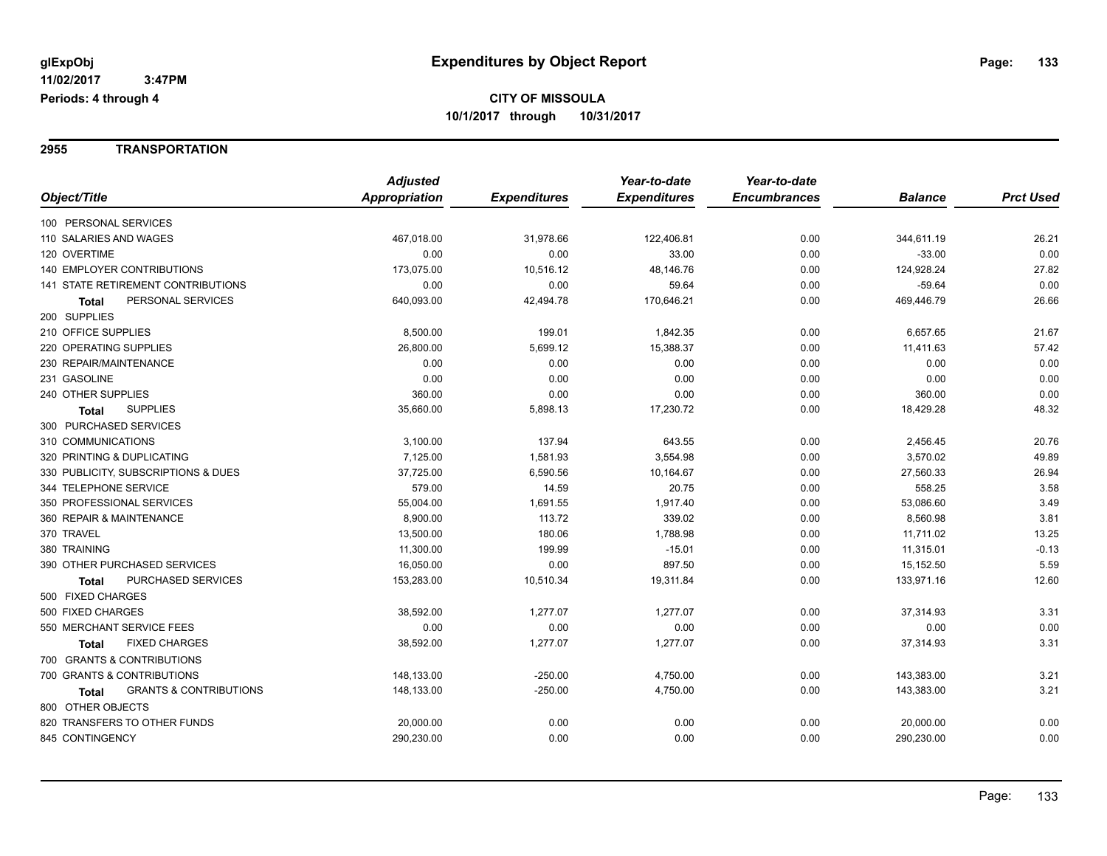**2955 TRANSPORTATION**

|                                                   | <b>Adjusted</b> |                     | Year-to-date        | Year-to-date        |                |                  |
|---------------------------------------------------|-----------------|---------------------|---------------------|---------------------|----------------|------------------|
| Object/Title                                      | Appropriation   | <b>Expenditures</b> | <b>Expenditures</b> | <b>Encumbrances</b> | <b>Balance</b> | <b>Prct Used</b> |
| 100 PERSONAL SERVICES                             |                 |                     |                     |                     |                |                  |
| 110 SALARIES AND WAGES                            | 467,018.00      | 31,978.66           | 122,406.81          | 0.00                | 344,611.19     | 26.21            |
| 120 OVERTIME                                      | 0.00            | 0.00                | 33.00               | 0.00                | $-33.00$       | 0.00             |
| <b>140 EMPLOYER CONTRIBUTIONS</b>                 | 173,075.00      | 10,516.12           | 48,146.76           | 0.00                | 124,928.24     | 27.82            |
| 141 STATE RETIREMENT CONTRIBUTIONS                | 0.00            | 0.00                | 59.64               | 0.00                | $-59.64$       | 0.00             |
| PERSONAL SERVICES<br>Total                        | 640,093.00      | 42,494.78           | 170,646.21          | 0.00                | 469,446.79     | 26.66            |
| 200 SUPPLIES                                      |                 |                     |                     |                     |                |                  |
| 210 OFFICE SUPPLIES                               | 8,500.00        | 199.01              | 1,842.35            | 0.00                | 6,657.65       | 21.67            |
| 220 OPERATING SUPPLIES                            | 26,800.00       | 5,699.12            | 15,388.37           | 0.00                | 11,411.63      | 57.42            |
| 230 REPAIR/MAINTENANCE                            | 0.00            | 0.00                | 0.00                | 0.00                | 0.00           | 0.00             |
| 231 GASOLINE                                      | 0.00            | 0.00                | 0.00                | 0.00                | 0.00           | 0.00             |
| 240 OTHER SUPPLIES                                | 360.00          | 0.00                | 0.00                | 0.00                | 360.00         | 0.00             |
| <b>SUPPLIES</b><br><b>Total</b>                   | 35,660.00       | 5,898.13            | 17,230.72           | 0.00                | 18,429.28      | 48.32            |
| 300 PURCHASED SERVICES                            |                 |                     |                     |                     |                |                  |
| 310 COMMUNICATIONS                                | 3,100.00        | 137.94              | 643.55              | 0.00                | 2,456.45       | 20.76            |
| 320 PRINTING & DUPLICATING                        | 7,125.00        | 1,581.93            | 3,554.98            | 0.00                | 3,570.02       | 49.89            |
| 330 PUBLICITY, SUBSCRIPTIONS & DUES               | 37,725.00       | 6,590.56            | 10,164.67           | 0.00                | 27,560.33      | 26.94            |
| 344 TELEPHONE SERVICE                             | 579.00          | 14.59               | 20.75               | 0.00                | 558.25         | 3.58             |
| 350 PROFESSIONAL SERVICES                         | 55,004.00       | 1,691.55            | 1,917.40            | 0.00                | 53,086.60      | 3.49             |
| 360 REPAIR & MAINTENANCE                          | 8,900.00        | 113.72              | 339.02              | 0.00                | 8,560.98       | 3.81             |
| 370 TRAVEL                                        | 13,500.00       | 180.06              | 1,788.98            | 0.00                | 11,711.02      | 13.25            |
| 380 TRAINING                                      | 11,300.00       | 199.99              | $-15.01$            | 0.00                | 11,315.01      | $-0.13$          |
| 390 OTHER PURCHASED SERVICES                      | 16,050.00       | 0.00                | 897.50              | 0.00                | 15,152.50      | 5.59             |
| PURCHASED SERVICES<br>Total                       | 153,283.00      | 10,510.34           | 19,311.84           | 0.00                | 133,971.16     | 12.60            |
| 500 FIXED CHARGES                                 |                 |                     |                     |                     |                |                  |
| 500 FIXED CHARGES                                 | 38,592.00       | 1,277.07            | 1,277.07            | 0.00                | 37,314.93      | 3.31             |
| 550 MERCHANT SERVICE FEES                         | 0.00            | 0.00                | 0.00                | 0.00                | 0.00           | 0.00             |
| <b>FIXED CHARGES</b><br>Total                     | 38,592.00       | 1,277.07            | 1,277.07            | 0.00                | 37,314.93      | 3.31             |
| 700 GRANTS & CONTRIBUTIONS                        |                 |                     |                     |                     |                |                  |
| 700 GRANTS & CONTRIBUTIONS                        | 148,133.00      | $-250.00$           | 4,750.00            | 0.00                | 143,383.00     | 3.21             |
| <b>GRANTS &amp; CONTRIBUTIONS</b><br><b>Total</b> | 148,133.00      | $-250.00$           | 4,750.00            | 0.00                | 143,383.00     | 3.21             |
| 800 OTHER OBJECTS                                 |                 |                     |                     |                     |                |                  |
| 820 TRANSFERS TO OTHER FUNDS                      | 20,000.00       | 0.00                | 0.00                | 0.00                | 20,000.00      | 0.00             |
| 845 CONTINGENCY                                   | 290,230.00      | 0.00                | 0.00                | 0.00                | 290,230.00     | 0.00             |
|                                                   |                 |                     |                     |                     |                |                  |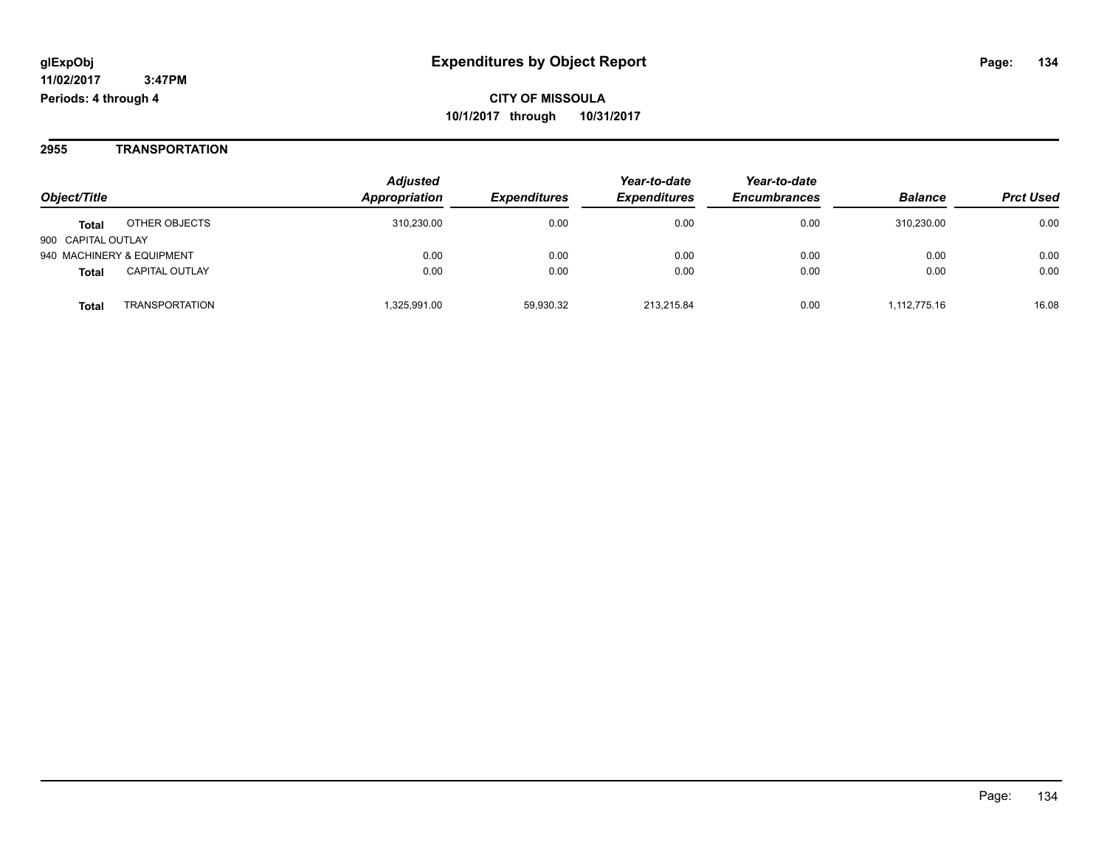**2955 TRANSPORTATION**

|                                                     | <b>Adjusted</b><br>Appropriation |                     | Year-to-date        | Year-to-date<br><b>Encumbrances</b> | <b>Balance</b> | <b>Prct Used</b> |
|-----------------------------------------------------|----------------------------------|---------------------|---------------------|-------------------------------------|----------------|------------------|
| Object/Title                                        |                                  | <b>Expenditures</b> | <b>Expenditures</b> |                                     |                |                  |
| OTHER OBJECTS<br><b>Total</b><br>900 CAPITAL OUTLAY | 310,230.00                       | 0.00                | 0.00                | 0.00                                | 310.230.00     | 0.00             |
| 940 MACHINERY & EQUIPMENT                           | 0.00                             | 0.00                | 0.00                | 0.00                                | 0.00           | 0.00             |
| <b>CAPITAL OUTLAY</b><br><b>Total</b>               | 0.00                             | 0.00                | 0.00                | 0.00                                | 0.00           | 0.00             |
| <b>TRANSPORTATION</b><br><b>Total</b>               | 1,325,991.00                     | 59,930.32           | 213.215.84          | 0.00                                | 1.112.775.16   | 16.08            |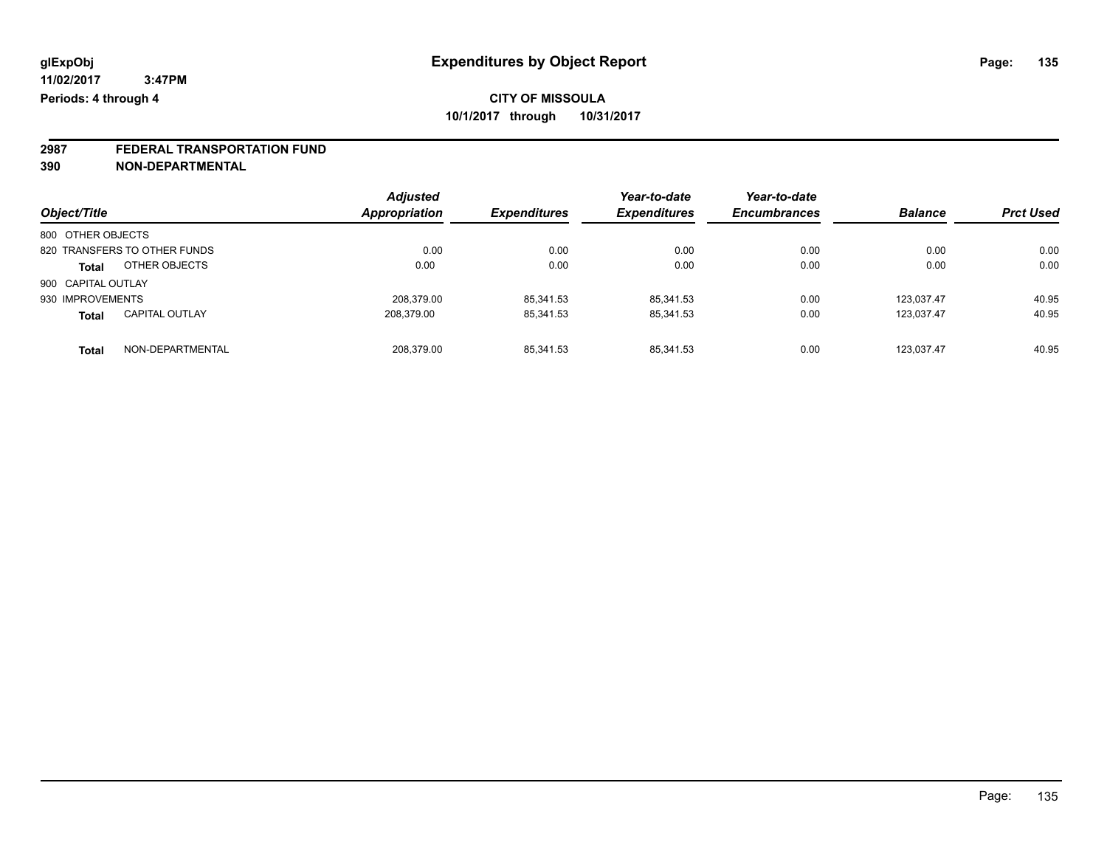# **2987 FEDERAL TRANSPORTATION FUND**

**390 NON-DEPARTMENTAL**

| Object/Title                          | <b>Adjusted</b><br>Appropriation | <b>Expenditures</b> | Year-to-date<br><b>Expenditures</b> | Year-to-date<br><b>Encumbrances</b> | <b>Balance</b> | <b>Prct Used</b> |
|---------------------------------------|----------------------------------|---------------------|-------------------------------------|-------------------------------------|----------------|------------------|
| 800 OTHER OBJECTS                     |                                  |                     |                                     |                                     |                |                  |
| 820 TRANSFERS TO OTHER FUNDS          | 0.00                             | 0.00                | 0.00                                | 0.00                                | 0.00           | 0.00             |
| OTHER OBJECTS<br><b>Total</b>         | 0.00                             | 0.00                | 0.00                                | 0.00                                | 0.00           | 0.00             |
| 900 CAPITAL OUTLAY                    |                                  |                     |                                     |                                     |                |                  |
| 930 IMPROVEMENTS                      | 208.379.00                       | 85,341.53           | 85.341.53                           | 0.00                                | 123.037.47     | 40.95            |
| <b>CAPITAL OUTLAY</b><br><b>Total</b> | 208,379.00                       | 85,341.53           | 85,341.53                           | 0.00                                | 123.037.47     | 40.95            |
| NON-DEPARTMENTAL<br><b>Total</b>      | 208.379.00                       | 85,341.53           | 85.341.53                           | 0.00                                | 123.037.47     | 40.95            |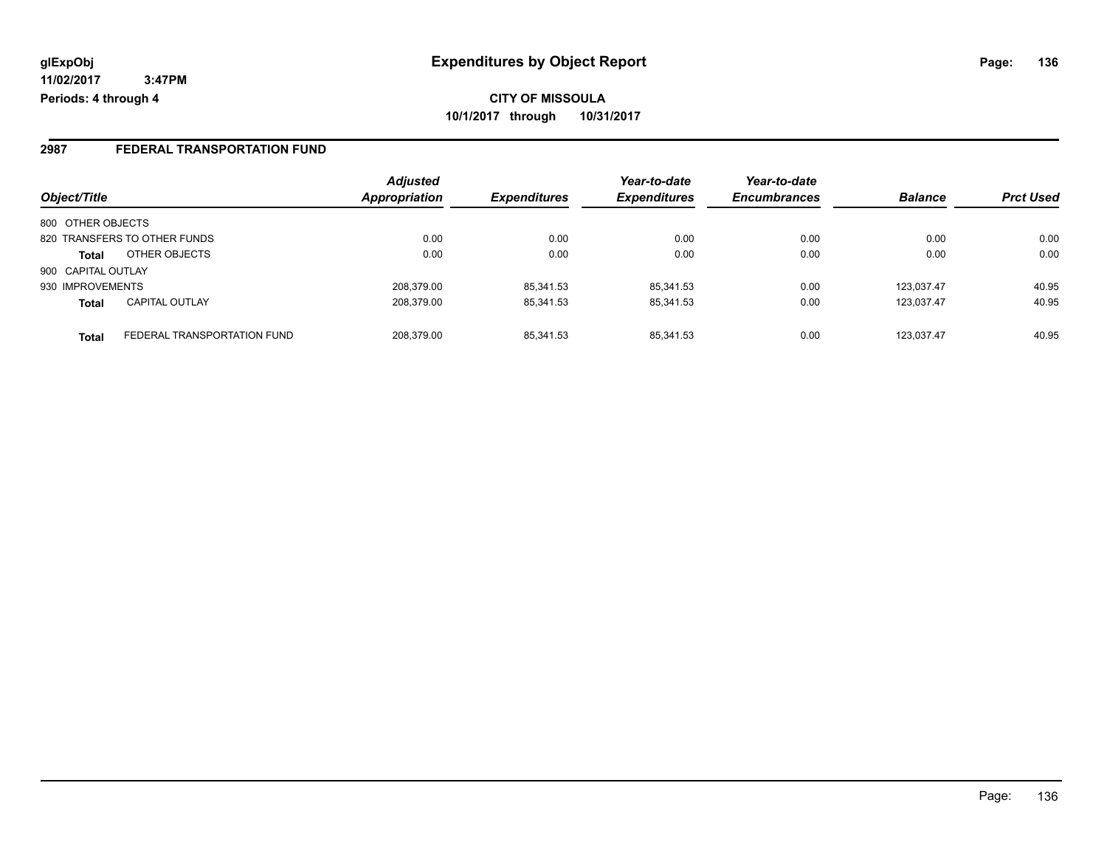**11/02/2017 3:47PM Periods: 4 through 4**

### **2987 FEDERAL TRANSPORTATION FUND**

|                    |                              | <b>Adjusted</b>      |                            | Year-to-date        | Year-to-date        |                |                  |
|--------------------|------------------------------|----------------------|----------------------------|---------------------|---------------------|----------------|------------------|
| Object/Title       |                              | <b>Appropriation</b> | <i><b>Expenditures</b></i> | <b>Expenditures</b> | <b>Encumbrances</b> | <b>Balance</b> | <b>Prct Used</b> |
| 800 OTHER OBJECTS  |                              |                      |                            |                     |                     |                |                  |
|                    | 820 TRANSFERS TO OTHER FUNDS | 0.00                 | 0.00                       | 0.00                | 0.00                | 0.00           | 0.00             |
| <b>Total</b>       | OTHER OBJECTS                | 0.00                 | 0.00                       | 0.00                | 0.00                | 0.00           | 0.00             |
| 900 CAPITAL OUTLAY |                              |                      |                            |                     |                     |                |                  |
| 930 IMPROVEMENTS   |                              | 208,379.00           | 85,341.53                  | 85.341.53           | 0.00                | 123.037.47     | 40.95            |
| <b>Total</b>       | <b>CAPITAL OUTLAY</b>        | 208,379.00           | 85,341.53                  | 85,341.53           | 0.00                | 123.037.47     | 40.95            |
| <b>Total</b>       | FEDERAL TRANSPORTATION FUND  | 208.379.00           | 85.341.53                  | 85.341.53           | 0.00                | 123.037.47     | 40.95            |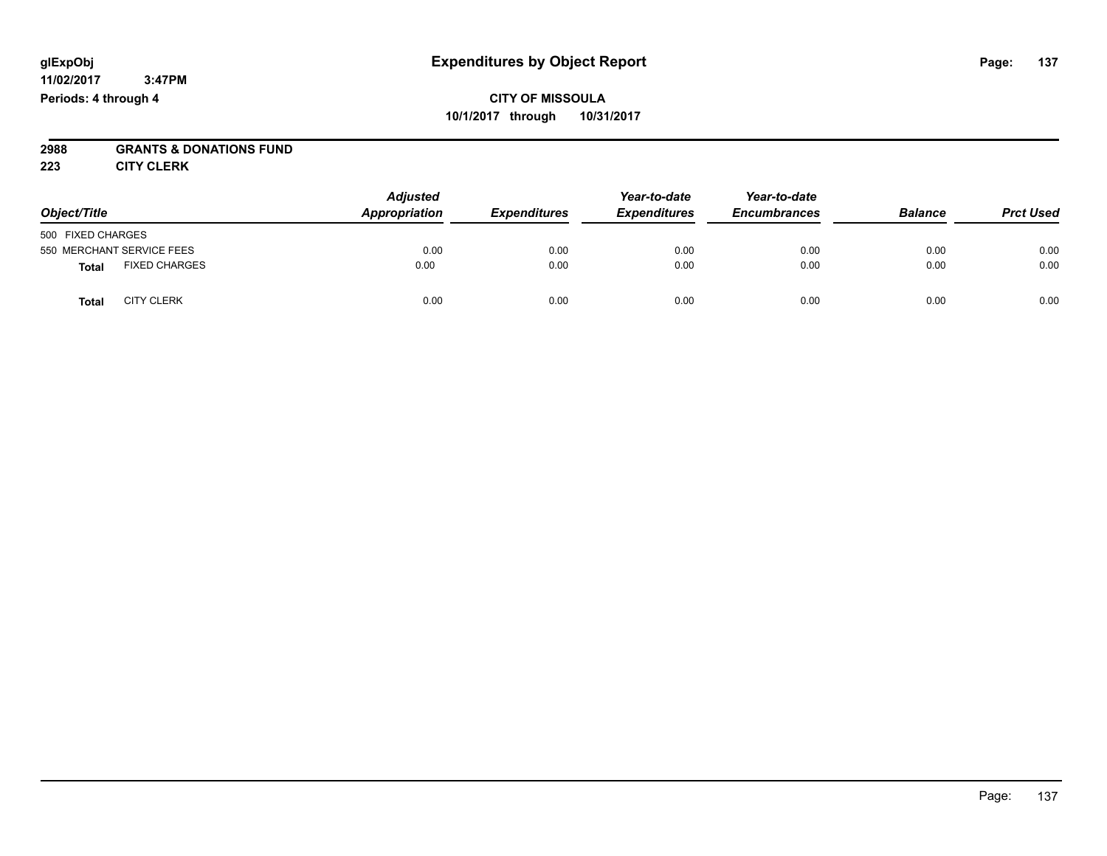#### **11/02/2017 3:47PM Periods: 4 through 4**

## **CITY OF MISSOULA 10/1/2017 through 10/31/2017**

# **2988 GRANTS & DONATIONS FUND**

**223 CITY CLERK**

| Object/Title                         | <b>Adjusted</b><br>Appropriation | <b>Expenditures</b> | Year-to-date<br><b>Expenditures</b> | Year-to-date<br><b>Encumbrances</b> | <b>Balance</b> | <b>Prct Used</b> |
|--------------------------------------|----------------------------------|---------------------|-------------------------------------|-------------------------------------|----------------|------------------|
| 500 FIXED CHARGES                    |                                  |                     |                                     |                                     |                |                  |
| 550 MERCHANT SERVICE FEES            | 0.00                             | 0.00                | 0.00                                | 0.00                                | 0.00           | 0.00             |
| <b>FIXED CHARGES</b><br><b>Total</b> | 0.00                             | 0.00                | 0.00                                | 0.00                                | 0.00           | 0.00             |
| <b>CITY CLERK</b><br>Total           | 0.00                             | 0.00                | 0.00                                | 0.00                                | 0.00           | 0.00             |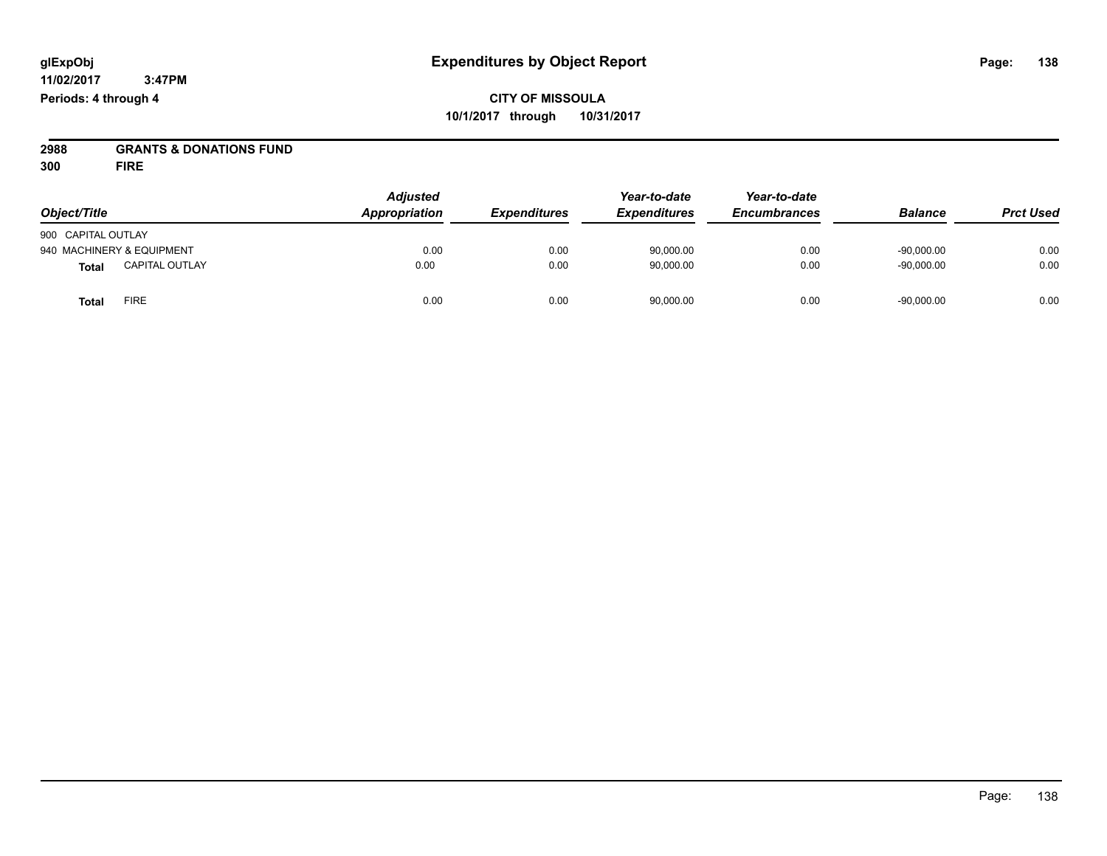**2988 GRANTS & DONATIONS FUND**

**300 FIRE**

| Object/Title                          | <b>Adjusted</b><br>Appropriation | <b>Expenditures</b> | Year-to-date<br><b>Expenditures</b> | Year-to-date<br><b>Encumbrances</b> | <b>Balance</b> | <b>Prct Used</b> |
|---------------------------------------|----------------------------------|---------------------|-------------------------------------|-------------------------------------|----------------|------------------|
|                                       |                                  |                     |                                     |                                     |                |                  |
| 900 CAPITAL OUTLAY                    |                                  |                     |                                     |                                     |                |                  |
| 940 MACHINERY & EQUIPMENT             | 0.00                             | 0.00                | 90,000.00                           | 0.00                                | $-90,000.00$   | 0.00             |
| <b>CAPITAL OUTLAY</b><br><b>Total</b> | 0.00                             | 0.00                | 90,000.00                           | 0.00                                | $-90,000.00$   | 0.00             |
| <b>FIRE</b><br>Total                  | 0.00                             | 0.00                | 90,000.00                           | 0.00                                | $-90,000.00$   | 0.00             |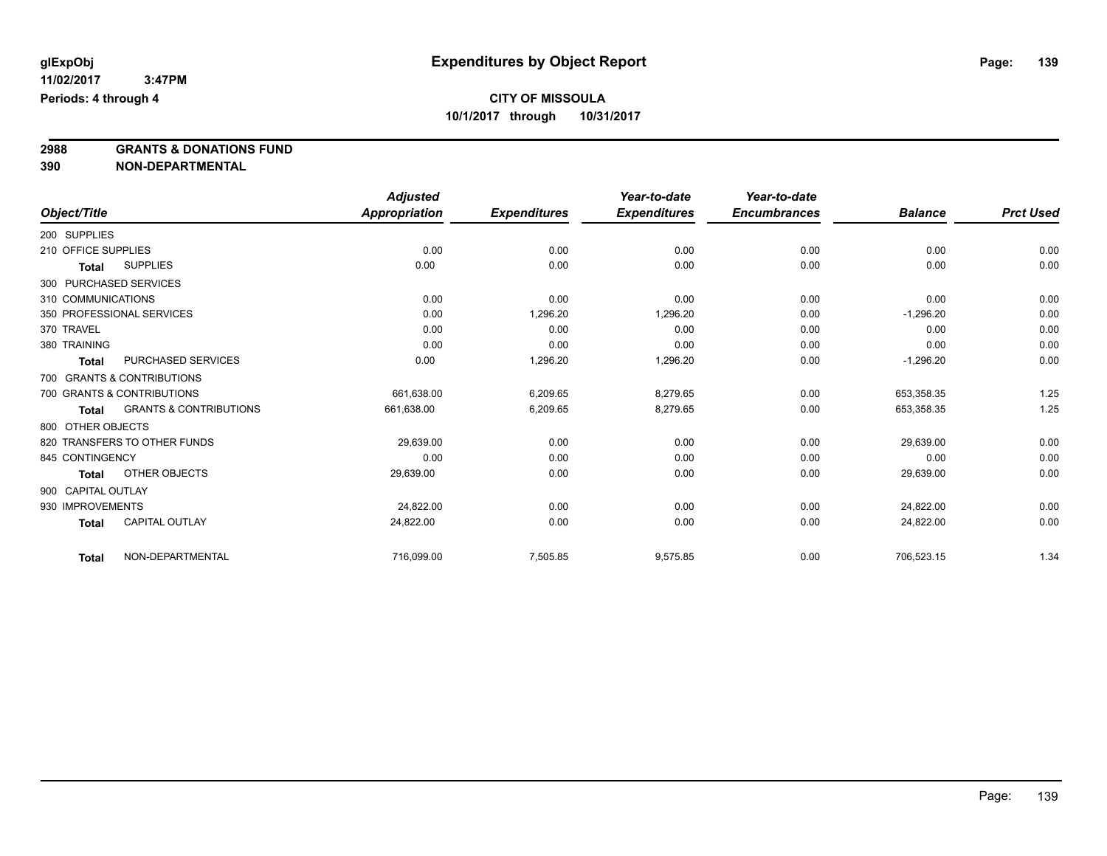**2988 GRANTS & DONATIONS FUND**

**390 NON-DEPARTMENTAL**

|                     |                                   | <b>Adjusted</b>      |                     | Year-to-date        | Year-to-date        |                |                  |
|---------------------|-----------------------------------|----------------------|---------------------|---------------------|---------------------|----------------|------------------|
| Object/Title        |                                   | <b>Appropriation</b> | <b>Expenditures</b> | <b>Expenditures</b> | <b>Encumbrances</b> | <b>Balance</b> | <b>Prct Used</b> |
| 200 SUPPLIES        |                                   |                      |                     |                     |                     |                |                  |
| 210 OFFICE SUPPLIES |                                   | 0.00                 | 0.00                | 0.00                | 0.00                | 0.00           | 0.00             |
| Total               | <b>SUPPLIES</b>                   | 0.00                 | 0.00                | 0.00                | 0.00                | 0.00           | 0.00             |
|                     | 300 PURCHASED SERVICES            |                      |                     |                     |                     |                |                  |
| 310 COMMUNICATIONS  |                                   | 0.00                 | 0.00                | 0.00                | 0.00                | 0.00           | 0.00             |
|                     | 350 PROFESSIONAL SERVICES         | 0.00                 | 1,296.20            | 1,296.20            | 0.00                | $-1,296.20$    | 0.00             |
| 370 TRAVEL          |                                   | 0.00                 | 0.00                | 0.00                | 0.00                | 0.00           | 0.00             |
| 380 TRAINING        |                                   | 0.00                 | 0.00                | 0.00                | 0.00                | 0.00           | 0.00             |
| <b>Total</b>        | PURCHASED SERVICES                | 0.00                 | 1,296.20            | 1,296.20            | 0.00                | $-1,296.20$    | 0.00             |
|                     | 700 GRANTS & CONTRIBUTIONS        |                      |                     |                     |                     |                |                  |
|                     | 700 GRANTS & CONTRIBUTIONS        | 661.638.00           | 6,209.65            | 8,279.65            | 0.00                | 653,358.35     | 1.25             |
| Total               | <b>GRANTS &amp; CONTRIBUTIONS</b> | 661,638.00           | 6,209.65            | 8,279.65            | 0.00                | 653,358.35     | 1.25             |
| 800 OTHER OBJECTS   |                                   |                      |                     |                     |                     |                |                  |
|                     | 820 TRANSFERS TO OTHER FUNDS      | 29,639.00            | 0.00                | 0.00                | 0.00                | 29,639.00      | 0.00             |
| 845 CONTINGENCY     |                                   | 0.00                 | 0.00                | 0.00                | 0.00                | 0.00           | 0.00             |
| Total               | OTHER OBJECTS                     | 29,639.00            | 0.00                | 0.00                | 0.00                | 29,639.00      | 0.00             |
| 900 CAPITAL OUTLAY  |                                   |                      |                     |                     |                     |                |                  |
| 930 IMPROVEMENTS    |                                   | 24,822.00            | 0.00                | 0.00                | 0.00                | 24.822.00      | 0.00             |
| <b>Total</b>        | <b>CAPITAL OUTLAY</b>             | 24,822.00            | 0.00                | 0.00                | 0.00                | 24,822.00      | 0.00             |
| <b>Total</b>        | NON-DEPARTMENTAL                  | 716,099.00           | 7,505.85            | 9,575.85            | 0.00                | 706,523.15     | 1.34             |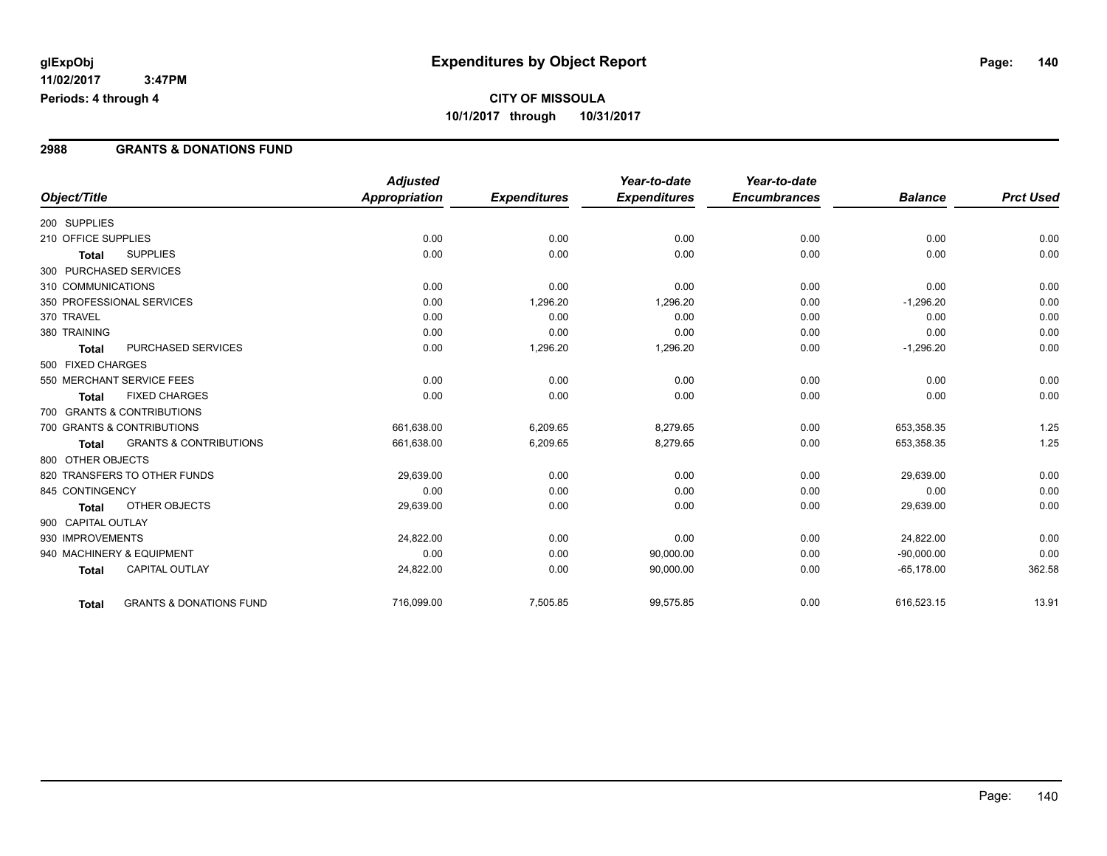#### **2988 GRANTS & DONATIONS FUND**

|                        |                                    | <b>Adjusted</b>      |                     | Year-to-date        | Year-to-date        |                |                  |
|------------------------|------------------------------------|----------------------|---------------------|---------------------|---------------------|----------------|------------------|
| Object/Title           |                                    | <b>Appropriation</b> | <b>Expenditures</b> | <b>Expenditures</b> | <b>Encumbrances</b> | <b>Balance</b> | <b>Prct Used</b> |
| 200 SUPPLIES           |                                    |                      |                     |                     |                     |                |                  |
| 210 OFFICE SUPPLIES    |                                    | 0.00                 | 0.00                | 0.00                | 0.00                | 0.00           | 0.00             |
| <b>Total</b>           | <b>SUPPLIES</b>                    | 0.00                 | 0.00                | 0.00                | 0.00                | 0.00           | 0.00             |
| 300 PURCHASED SERVICES |                                    |                      |                     |                     |                     |                |                  |
| 310 COMMUNICATIONS     |                                    | 0.00                 | 0.00                | 0.00                | 0.00                | 0.00           | 0.00             |
|                        | 350 PROFESSIONAL SERVICES          | 0.00                 | 1,296.20            | 1,296.20            | 0.00                | $-1,296.20$    | 0.00             |
| 370 TRAVEL             |                                    | 0.00                 | 0.00                | 0.00                | 0.00                | 0.00           | 0.00             |
| 380 TRAINING           |                                    | 0.00                 | 0.00                | 0.00                | 0.00                | 0.00           | 0.00             |
| <b>Total</b>           | PURCHASED SERVICES                 | 0.00                 | 1,296.20            | 1,296.20            | 0.00                | $-1,296.20$    | 0.00             |
| 500 FIXED CHARGES      |                                    |                      |                     |                     |                     |                |                  |
|                        | 550 MERCHANT SERVICE FEES          | 0.00                 | 0.00                | 0.00                | 0.00                | 0.00           | 0.00             |
| Total                  | <b>FIXED CHARGES</b>               | 0.00                 | 0.00                | 0.00                | 0.00                | 0.00           | 0.00             |
|                        | 700 GRANTS & CONTRIBUTIONS         |                      |                     |                     |                     |                |                  |
|                        | 700 GRANTS & CONTRIBUTIONS         | 661,638.00           | 6,209.65            | 8,279.65            | 0.00                | 653,358.35     | 1.25             |
| <b>Total</b>           | <b>GRANTS &amp; CONTRIBUTIONS</b>  | 661,638.00           | 6,209.65            | 8,279.65            | 0.00                | 653,358.35     | 1.25             |
| 800 OTHER OBJECTS      |                                    |                      |                     |                     |                     |                |                  |
|                        | 820 TRANSFERS TO OTHER FUNDS       | 29,639.00            | 0.00                | 0.00                | 0.00                | 29,639.00      | 0.00             |
| 845 CONTINGENCY        |                                    | 0.00                 | 0.00                | 0.00                | 0.00                | 0.00           | 0.00             |
| <b>Total</b>           | OTHER OBJECTS                      | 29,639.00            | 0.00                | 0.00                | 0.00                | 29,639.00      | 0.00             |
| 900 CAPITAL OUTLAY     |                                    |                      |                     |                     |                     |                |                  |
| 930 IMPROVEMENTS       |                                    | 24,822.00            | 0.00                | 0.00                | 0.00                | 24,822.00      | 0.00             |
|                        | 940 MACHINERY & EQUIPMENT          | 0.00                 | 0.00                | 90,000.00           | 0.00                | $-90,000.00$   | 0.00             |
| <b>Total</b>           | <b>CAPITAL OUTLAY</b>              | 24,822.00            | 0.00                | 90,000.00           | 0.00                | $-65,178.00$   | 362.58           |
| <b>Total</b>           | <b>GRANTS &amp; DONATIONS FUND</b> | 716,099.00           | 7,505.85            | 99,575.85           | 0.00                | 616,523.15     | 13.91            |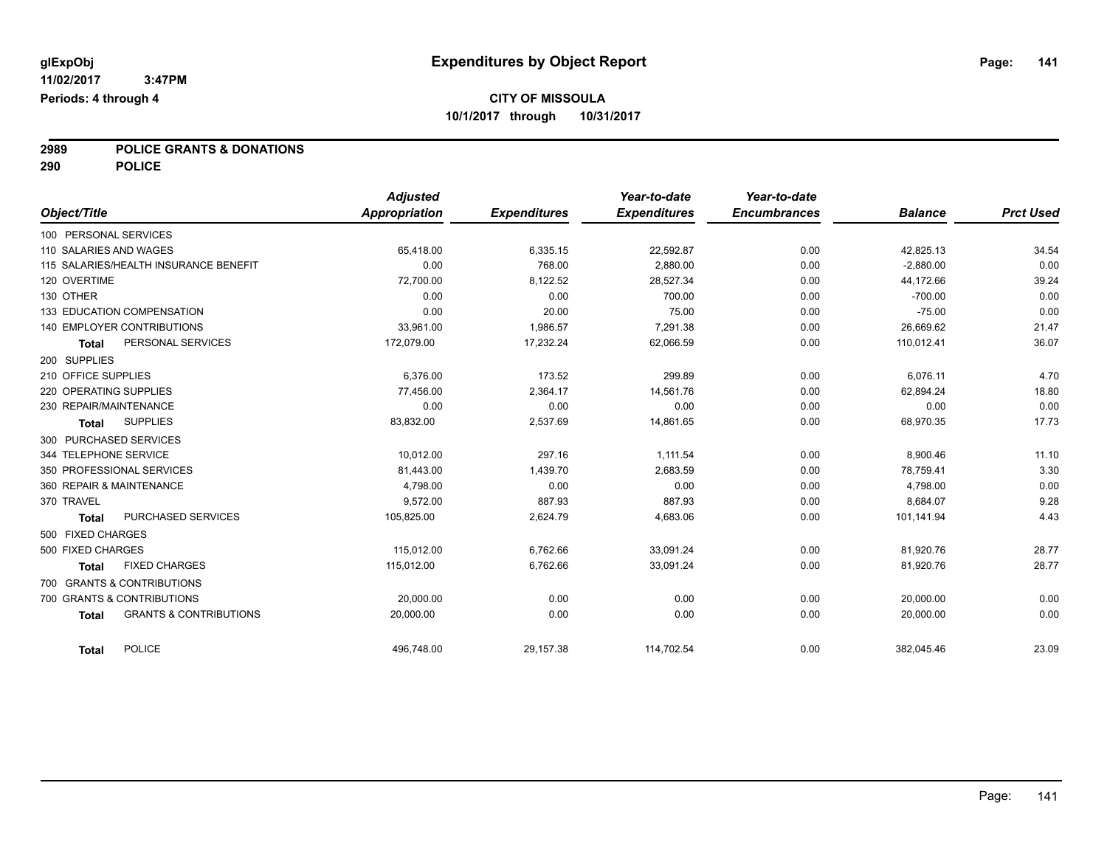# **2989 POLICE GRANTS & DONATIONS**

**290 POLICE**

| Object/Title                                      | <b>Adjusted</b><br>Appropriation | <b>Expenditures</b> | Year-to-date<br><b>Expenditures</b> | Year-to-date<br><b>Encumbrances</b> | <b>Balance</b> | <b>Prct Used</b> |
|---------------------------------------------------|----------------------------------|---------------------|-------------------------------------|-------------------------------------|----------------|------------------|
|                                                   |                                  |                     |                                     |                                     |                |                  |
| 100 PERSONAL SERVICES                             |                                  |                     |                                     |                                     |                |                  |
| 110 SALARIES AND WAGES                            | 65,418.00                        | 6,335.15            | 22,592.87                           | 0.00                                | 42,825.13      | 34.54            |
| 115 SALARIES/HEALTH INSURANCE BENEFIT             | 0.00                             | 768.00              | 2,880.00                            | 0.00                                | $-2,880.00$    | 0.00             |
| 120 OVERTIME                                      | 72,700.00                        | 8,122.52            | 28,527.34                           | 0.00                                | 44,172.66      | 39.24            |
| 130 OTHER                                         | 0.00                             | 0.00                | 700.00                              | 0.00                                | $-700.00$      | 0.00             |
| 133 EDUCATION COMPENSATION                        | 0.00                             | 20.00               | 75.00                               | 0.00                                | $-75.00$       | 0.00             |
| 140 EMPLOYER CONTRIBUTIONS                        | 33,961.00                        | 1,986.57            | 7,291.38                            | 0.00                                | 26,669.62      | 21.47            |
| PERSONAL SERVICES<br><b>Total</b>                 | 172,079.00                       | 17,232.24           | 62,066.59                           | 0.00                                | 110,012.41     | 36.07            |
| 200 SUPPLIES                                      |                                  |                     |                                     |                                     |                |                  |
| 210 OFFICE SUPPLIES                               | 6,376.00                         | 173.52              | 299.89                              | 0.00                                | 6,076.11       | 4.70             |
| 220 OPERATING SUPPLIES                            | 77.456.00                        | 2,364.17            | 14,561.76                           | 0.00                                | 62,894.24      | 18.80            |
| 230 REPAIR/MAINTENANCE                            | 0.00                             | 0.00                | 0.00                                | 0.00                                | 0.00           | 0.00             |
| <b>SUPPLIES</b><br><b>Total</b>                   | 83,832.00                        | 2,537.69            | 14,861.65                           | 0.00                                | 68,970.35      | 17.73            |
| 300 PURCHASED SERVICES                            |                                  |                     |                                     |                                     |                |                  |
| 344 TELEPHONE SERVICE                             | 10,012.00                        | 297.16              | 1,111.54                            | 0.00                                | 8,900.46       | 11.10            |
| 350 PROFESSIONAL SERVICES                         | 81,443.00                        | 1,439.70            | 2,683.59                            | 0.00                                | 78,759.41      | 3.30             |
| 360 REPAIR & MAINTENANCE                          | 4,798.00                         | 0.00                | 0.00                                | 0.00                                | 4,798.00       | 0.00             |
| 370 TRAVEL                                        | 9,572.00                         | 887.93              | 887.93                              | 0.00                                | 8,684.07       | 9.28             |
| PURCHASED SERVICES<br><b>Total</b>                | 105,825.00                       | 2,624.79            | 4,683.06                            | 0.00                                | 101,141.94     | 4.43             |
| 500 FIXED CHARGES                                 |                                  |                     |                                     |                                     |                |                  |
| 500 FIXED CHARGES                                 | 115,012.00                       | 6,762.66            | 33,091.24                           | 0.00                                | 81,920.76      | 28.77            |
| <b>FIXED CHARGES</b><br><b>Total</b>              | 115.012.00                       | 6,762.66            | 33,091.24                           | 0.00                                | 81,920.76      | 28.77            |
| 700 GRANTS & CONTRIBUTIONS                        |                                  |                     |                                     |                                     |                |                  |
| 700 GRANTS & CONTRIBUTIONS                        | 20,000.00                        | 0.00                | 0.00                                | 0.00                                | 20,000.00      | 0.00             |
| <b>GRANTS &amp; CONTRIBUTIONS</b><br><b>Total</b> | 20,000.00                        | 0.00                | 0.00                                | 0.00                                | 20,000.00      | 0.00             |
| <b>POLICE</b><br><b>Total</b>                     | 496,748.00                       | 29,157.38           | 114,702.54                          | 0.00                                | 382,045.46     | 23.09            |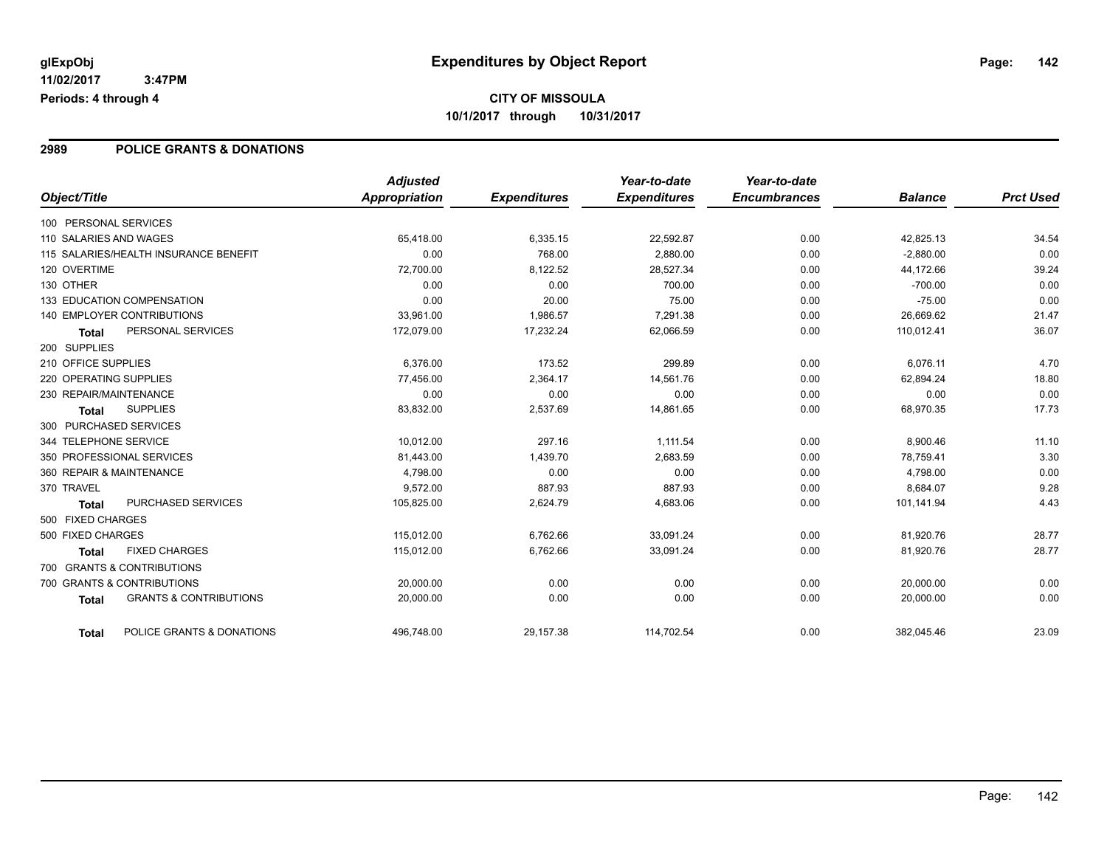#### **2989 POLICE GRANTS & DONATIONS**

|                                                   | <b>Adjusted</b> |                     | Year-to-date        | Year-to-date        |                |                  |
|---------------------------------------------------|-----------------|---------------------|---------------------|---------------------|----------------|------------------|
| Object/Title                                      | Appropriation   | <b>Expenditures</b> | <b>Expenditures</b> | <b>Encumbrances</b> | <b>Balance</b> | <b>Prct Used</b> |
| 100 PERSONAL SERVICES                             |                 |                     |                     |                     |                |                  |
| 110 SALARIES AND WAGES                            | 65,418.00       | 6,335.15            | 22,592.87           | 0.00                | 42,825.13      | 34.54            |
| 115 SALARIES/HEALTH INSURANCE BENEFIT             | 0.00            | 768.00              | 2,880.00            | 0.00                | $-2,880.00$    | 0.00             |
| 120 OVERTIME                                      | 72.700.00       | 8.122.52            | 28.527.34           | 0.00                | 44.172.66      | 39.24            |
| 130 OTHER                                         | 0.00            | 0.00                | 700.00              | 0.00                | $-700.00$      | 0.00             |
| 133 EDUCATION COMPENSATION                        | 0.00            | 20.00               | 75.00               | 0.00                | $-75.00$       | 0.00             |
| <b>140 EMPLOYER CONTRIBUTIONS</b>                 | 33,961.00       | 1,986.57            | 7,291.38            | 0.00                | 26,669.62      | 21.47            |
| PERSONAL SERVICES<br><b>Total</b>                 | 172,079.00      | 17,232.24           | 62,066.59           | 0.00                | 110,012.41     | 36.07            |
| 200 SUPPLIES                                      |                 |                     |                     |                     |                |                  |
| 210 OFFICE SUPPLIES                               | 6.376.00        | 173.52              | 299.89              | 0.00                | 6,076.11       | 4.70             |
| 220 OPERATING SUPPLIES                            | 77,456.00       | 2,364.17            | 14,561.76           | 0.00                | 62,894.24      | 18.80            |
| 230 REPAIR/MAINTENANCE                            | 0.00            | 0.00                | 0.00                | 0.00                | 0.00           | 0.00             |
| <b>SUPPLIES</b><br><b>Total</b>                   | 83,832.00       | 2,537.69            | 14,861.65           | 0.00                | 68,970.35      | 17.73            |
| 300 PURCHASED SERVICES                            |                 |                     |                     |                     |                |                  |
| 344 TELEPHONE SERVICE                             | 10,012.00       | 297.16              | 1,111.54            | 0.00                | 8,900.46       | 11.10            |
| 350 PROFESSIONAL SERVICES                         | 81,443.00       | 1,439.70            | 2,683.59            | 0.00                | 78,759.41      | 3.30             |
| 360 REPAIR & MAINTENANCE                          | 4.798.00        | 0.00                | 0.00                | 0.00                | 4,798.00       | 0.00             |
| 370 TRAVEL                                        | 9.572.00        | 887.93              | 887.93              | 0.00                | 8,684.07       | 9.28             |
| PURCHASED SERVICES<br><b>Total</b>                | 105,825.00      | 2,624.79            | 4,683.06            | 0.00                | 101,141.94     | 4.43             |
| 500 FIXED CHARGES                                 |                 |                     |                     |                     |                |                  |
| 500 FIXED CHARGES                                 | 115,012.00      | 6,762.66            | 33,091.24           | 0.00                | 81,920.76      | 28.77            |
| <b>FIXED CHARGES</b><br><b>Total</b>              | 115,012.00      | 6,762.66            | 33,091.24           | 0.00                | 81,920.76      | 28.77            |
| 700 GRANTS & CONTRIBUTIONS                        |                 |                     |                     |                     |                |                  |
| 700 GRANTS & CONTRIBUTIONS                        | 20,000.00       | 0.00                | 0.00                | 0.00                | 20,000.00      | 0.00             |
| <b>GRANTS &amp; CONTRIBUTIONS</b><br><b>Total</b> | 20,000.00       | 0.00                | 0.00                | 0.00                | 20,000.00      | 0.00             |
| POLICE GRANTS & DONATIONS<br><b>Total</b>         | 496,748.00      | 29,157.38           | 114,702.54          | 0.00                | 382,045.46     | 23.09            |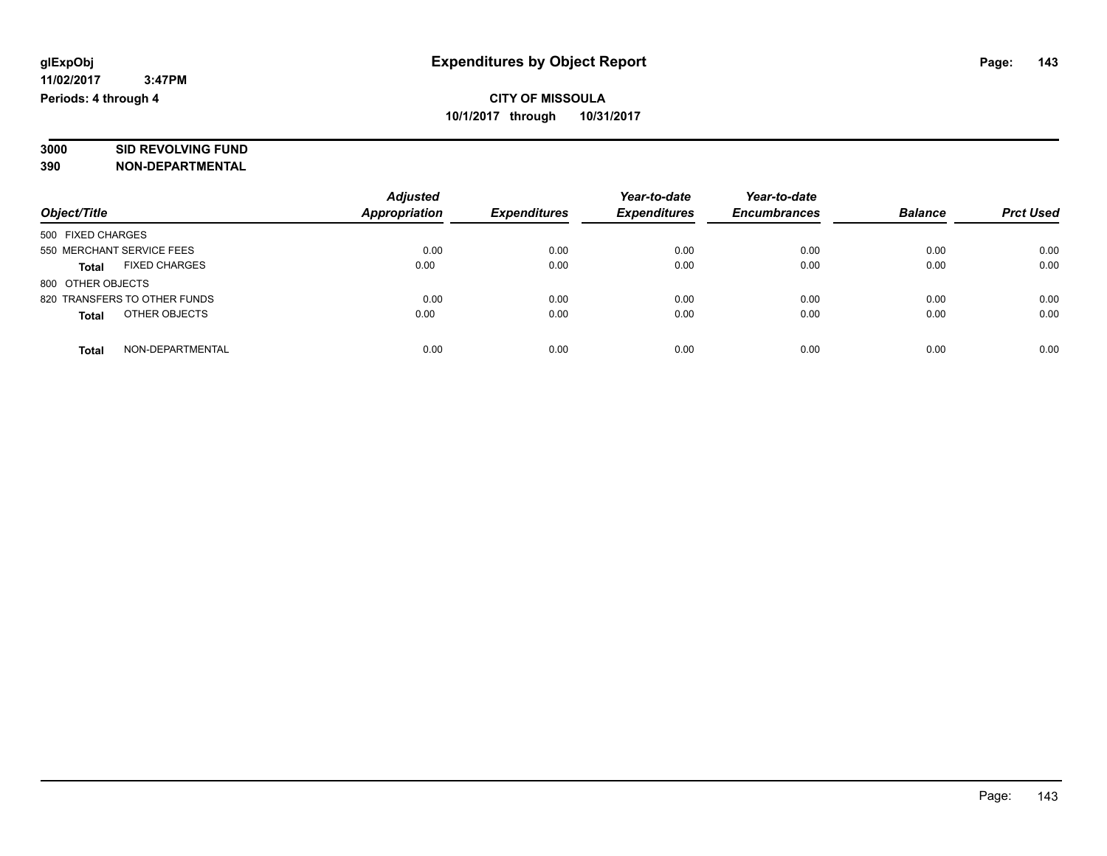# **3000 SID REVOLVING FUND**

**390 NON-DEPARTMENTAL**

|                                      | <b>Adjusted</b>      |                     | Year-to-date        | Year-to-date        |                |                  |
|--------------------------------------|----------------------|---------------------|---------------------|---------------------|----------------|------------------|
| Object/Title                         | <b>Appropriation</b> | <b>Expenditures</b> | <b>Expenditures</b> | <b>Encumbrances</b> | <b>Balance</b> | <b>Prct Used</b> |
| 500 FIXED CHARGES                    |                      |                     |                     |                     |                |                  |
| 550 MERCHANT SERVICE FEES            | 0.00                 | 0.00                | 0.00                | 0.00                | 0.00           | 0.00             |
| <b>FIXED CHARGES</b><br><b>Total</b> | 0.00                 | 0.00                | 0.00                | 0.00                | 0.00           | 0.00             |
| 800 OTHER OBJECTS                    |                      |                     |                     |                     |                |                  |
| 820 TRANSFERS TO OTHER FUNDS         | 0.00                 | 0.00                | 0.00                | 0.00                | 0.00           | 0.00             |
| OTHER OBJECTS<br><b>Total</b>        | 0.00                 | 0.00                | 0.00                | 0.00                | 0.00           | 0.00             |
| NON-DEPARTMENTAL<br>Total            | 0.00                 | 0.00                | 0.00                | 0.00                | 0.00           | 0.00             |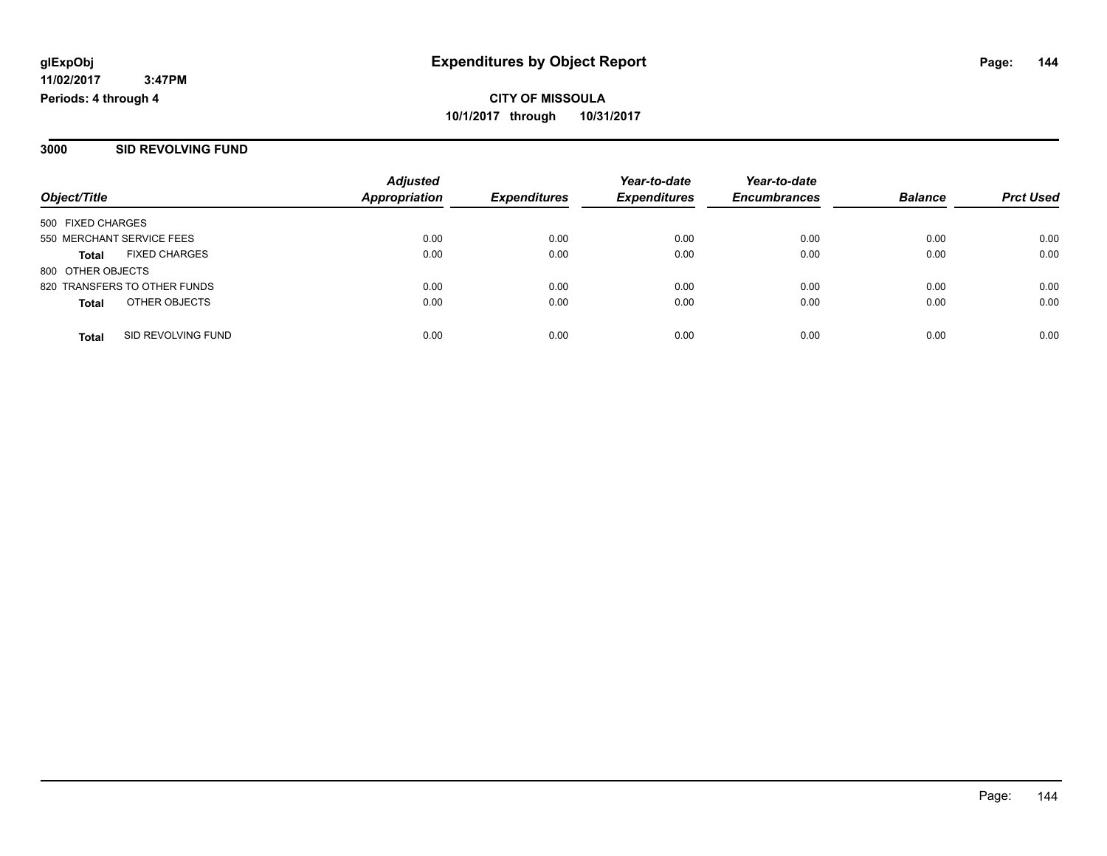**3000 SID REVOLVING FUND**

|                           |                              | <b>Adjusted</b>      |                     | Year-to-date        | Year-to-date        |                |                  |
|---------------------------|------------------------------|----------------------|---------------------|---------------------|---------------------|----------------|------------------|
| Object/Title              |                              | <b>Appropriation</b> | <b>Expenditures</b> | <b>Expenditures</b> | <b>Encumbrances</b> | <b>Balance</b> | <b>Prct Used</b> |
| 500 FIXED CHARGES         |                              |                      |                     |                     |                     |                |                  |
| 550 MERCHANT SERVICE FEES |                              | 0.00                 | 0.00                | 0.00                | 0.00                | 0.00           | 0.00             |
| <b>Total</b>              | <b>FIXED CHARGES</b>         | 0.00                 | 0.00                | 0.00                | 0.00                | 0.00           | 0.00             |
| 800 OTHER OBJECTS         |                              |                      |                     |                     |                     |                |                  |
|                           | 820 TRANSFERS TO OTHER FUNDS | 0.00                 | 0.00                | 0.00                | 0.00                | 0.00           | 0.00             |
| <b>Total</b>              | OTHER OBJECTS                | 0.00                 | 0.00                | 0.00                | 0.00                | 0.00           | 0.00             |
| <b>Total</b>              | SID REVOLVING FUND           | 0.00                 | 0.00                | 0.00                | 0.00                | 0.00           | 0.00             |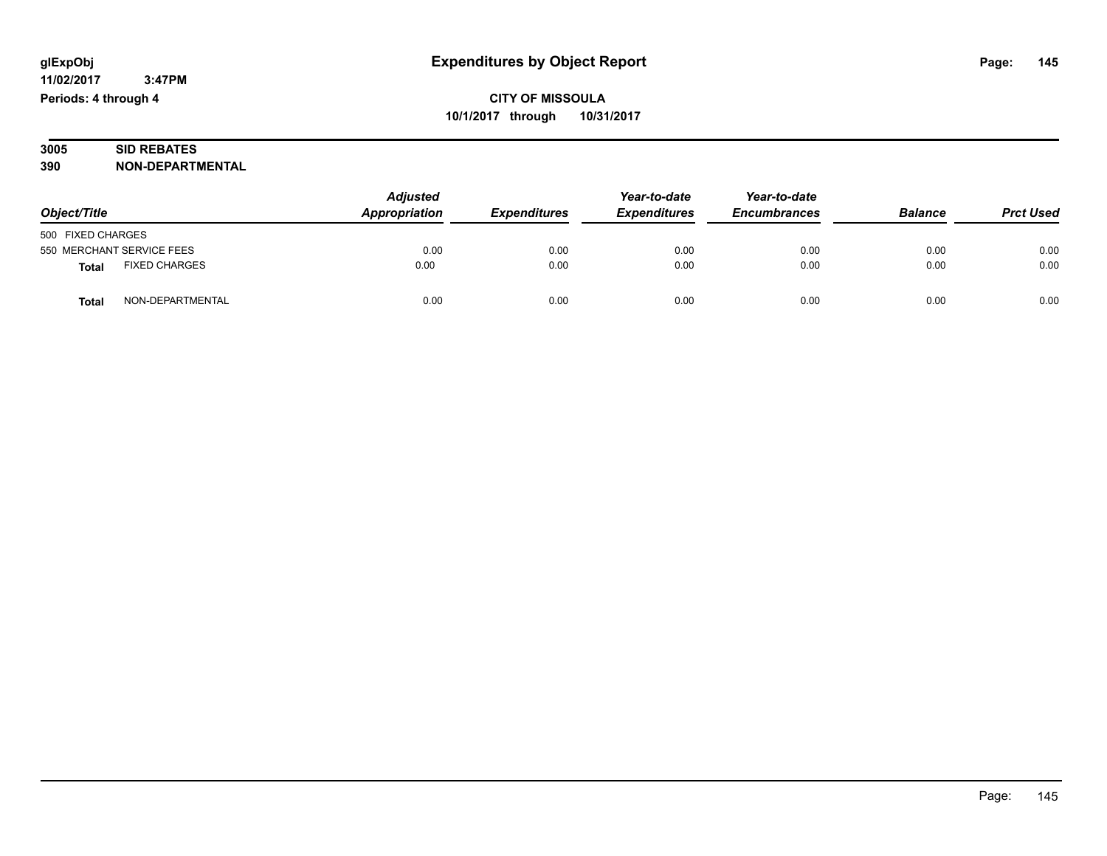| 3005 | <b>D REBATES</b><br>SID                 |
|------|-----------------------------------------|
| 390  | <b>FPARTMENTAL</b><br><b>NON</b><br>DE. |

|                                      | <b>Adjusted</b> | Year-to-date        | Year-to-date        |                     |                |                  |
|--------------------------------------|-----------------|---------------------|---------------------|---------------------|----------------|------------------|
| Object/Title                         | Appropriation   | <b>Expenditures</b> | <b>Expenditures</b> | <b>Encumbrances</b> | <b>Balance</b> | <b>Prct Used</b> |
| 500 FIXED CHARGES                    |                 |                     |                     |                     |                |                  |
| 550 MERCHANT SERVICE FEES            | 0.00            | 0.00                | 0.00                | 0.00                | 0.00           | 0.00             |
| <b>FIXED CHARGES</b><br><b>Total</b> | 0.00            | 0.00                | 0.00                | 0.00                | 0.00           | 0.00             |
| NON-DEPARTMENTAL<br><b>Tota</b>      | 0.00            | 0.00                | 0.00                | 0.00                | 0.00           | 0.00             |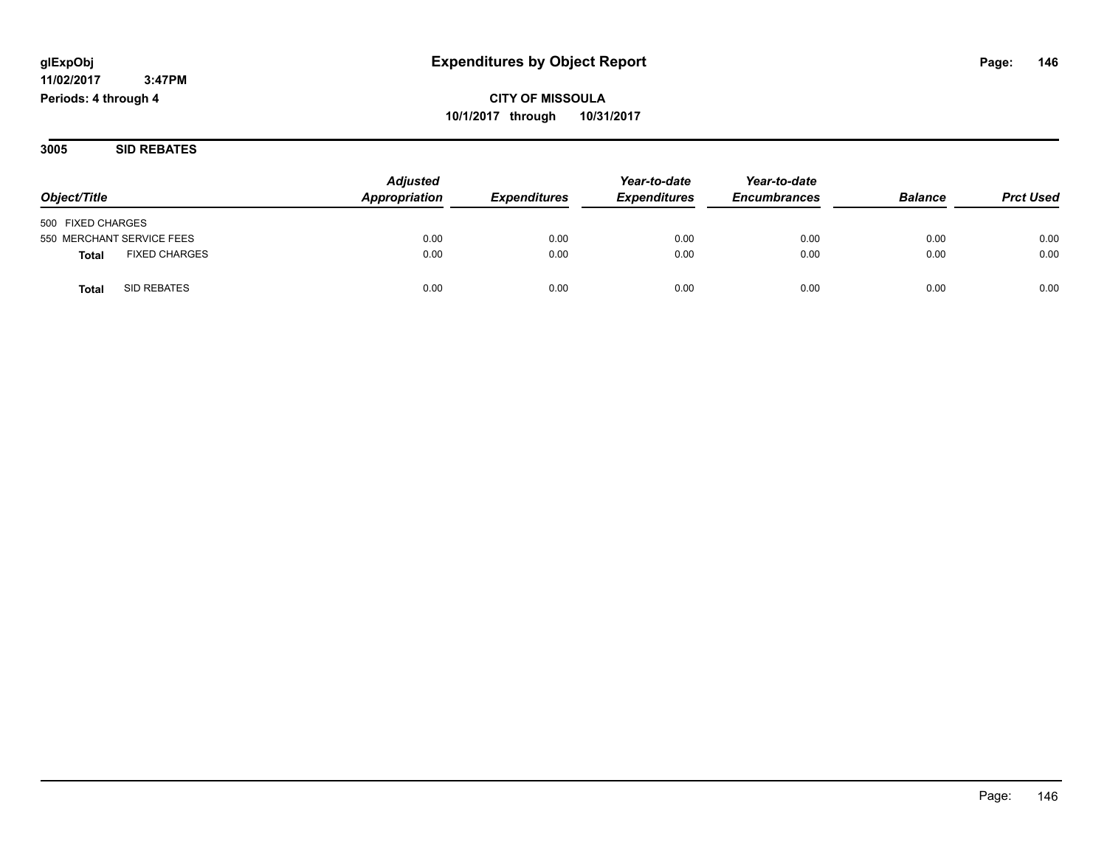# **CITY OF MISSOULA 10/1/2017 through 10/31/2017**

**3005 SID REBATES**

|                                      | <b>Adjusted</b> |                     | Year-to-date        | Year-to-date        |                |                  |
|--------------------------------------|-----------------|---------------------|---------------------|---------------------|----------------|------------------|
| Object/Title                         | Appropriation   | <b>Expenditures</b> | <b>Expenditures</b> | <b>Encumbrances</b> | <b>Balance</b> | <b>Prct Used</b> |
| 500 FIXED CHARGES                    |                 |                     |                     |                     |                |                  |
| 550 MERCHANT SERVICE FEES            | 0.00            | 0.00                | 0.00                | 0.00                | 0.00           | 0.00             |
| <b>FIXED CHARGES</b><br><b>Total</b> | 0.00            | 0.00                | 0.00                | 0.00                | 0.00           | 0.00             |
| SID REBATES<br>Tota                  | 0.00            | 0.00                | 0.00                | 0.00                | 0.00           | 0.00             |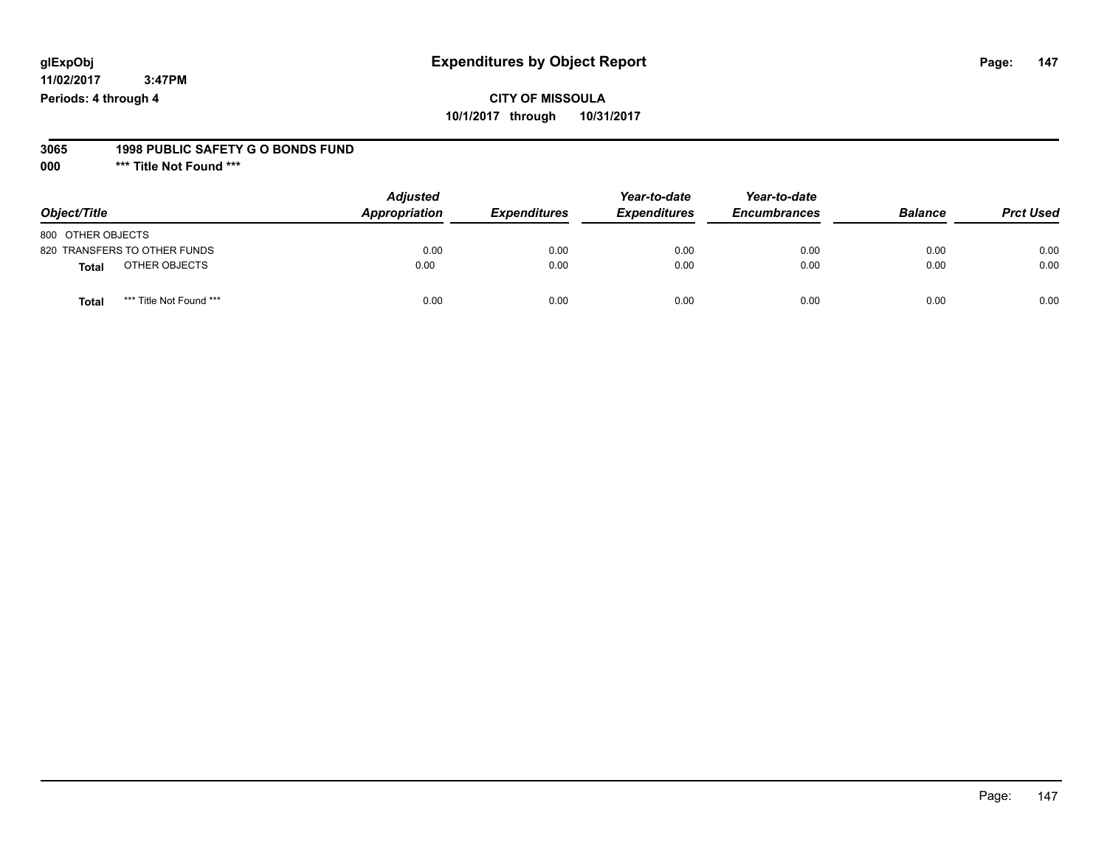### **CITY OF MISSOULA 10/1/2017 through 10/31/2017**

#### **3065 1998 PUBLIC SAFETY G O BONDS FUND**

**000 \*\*\* Title Not Found \*\*\***

| Object/Title                     | <b>Adjusted</b><br>Appropriation | <b>Expenditures</b> | Year-to-date<br><b>Expenditures</b> | Year-to-date<br><b>Encumbrances</b> | <b>Balance</b> | <b>Prct Used</b> |
|----------------------------------|----------------------------------|---------------------|-------------------------------------|-------------------------------------|----------------|------------------|
| 800 OTHER OBJECTS                |                                  |                     |                                     |                                     |                |                  |
| 820 TRANSFERS TO OTHER FUNDS     | 0.00                             | 0.00                | 0.00                                | 0.00                                | 0.00           | 0.00             |
| OTHER OBJECTS<br><b>Total</b>    | 0.00                             | 0.00                | 0.00                                | 0.00                                | 0.00           | 0.00             |
| *** Title Not Found ***<br>Total | 0.00                             | 0.00                | 0.00                                | 0.00                                | 0.00           | 0.00             |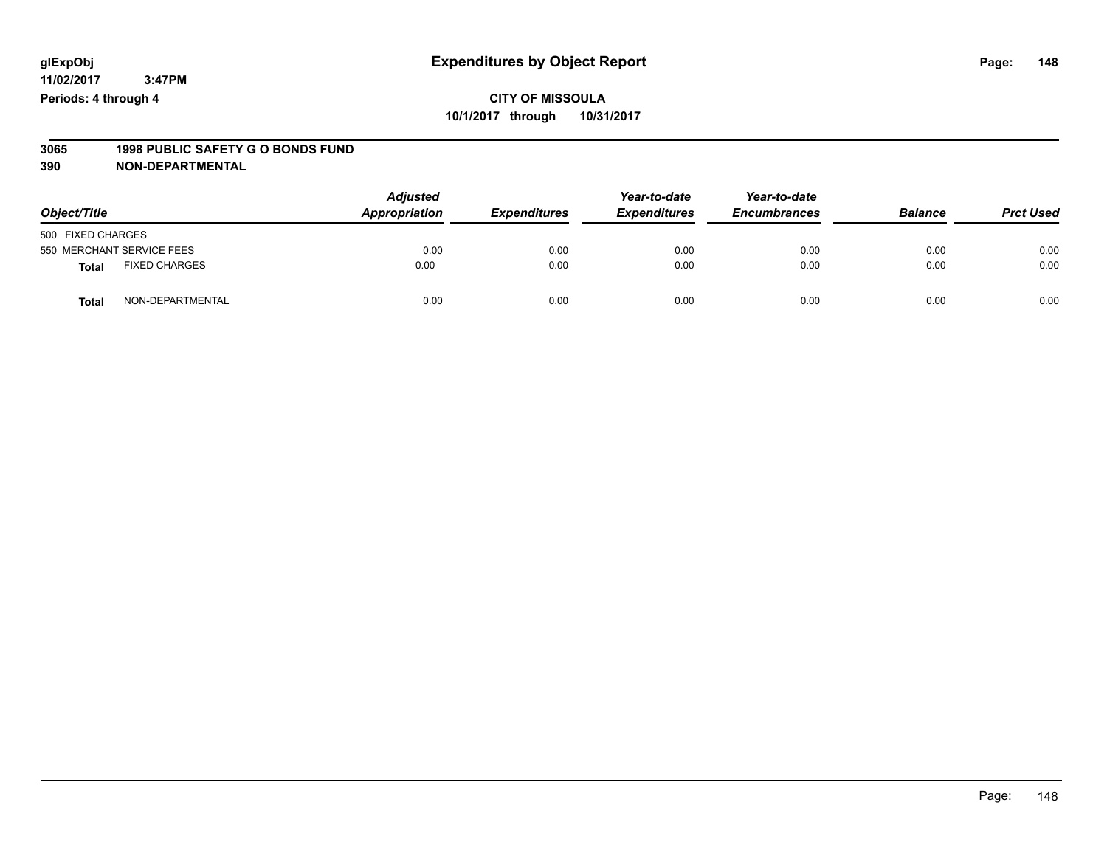# **3065 1998 PUBLIC SAFETY G O BONDS FUND**

| Object/Title                  | <b>Adjusted</b><br>Appropriation | <b>Expenditures</b> | Year-to-date<br><b>Expenditures</b> | Year-to-date<br><b>Encumbrances</b> | <b>Balance</b> | <b>Prct Used</b> |
|-------------------------------|----------------------------------|---------------------|-------------------------------------|-------------------------------------|----------------|------------------|
| 500 FIXED CHARGES             |                                  |                     |                                     |                                     |                |                  |
| 550 MERCHANT SERVICE FEES     | 0.00                             | 0.00                | 0.00                                | 0.00                                | 0.00           | 0.00             |
| <b>FIXED CHARGES</b><br>Total | 0.00                             | 0.00                | 0.00                                | 0.00                                | 0.00           | 0.00             |
| NON-DEPARTMENTAL<br>Total     | 0.00                             | 0.00                | 0.00                                | 0.00                                | 0.00           | 0.00             |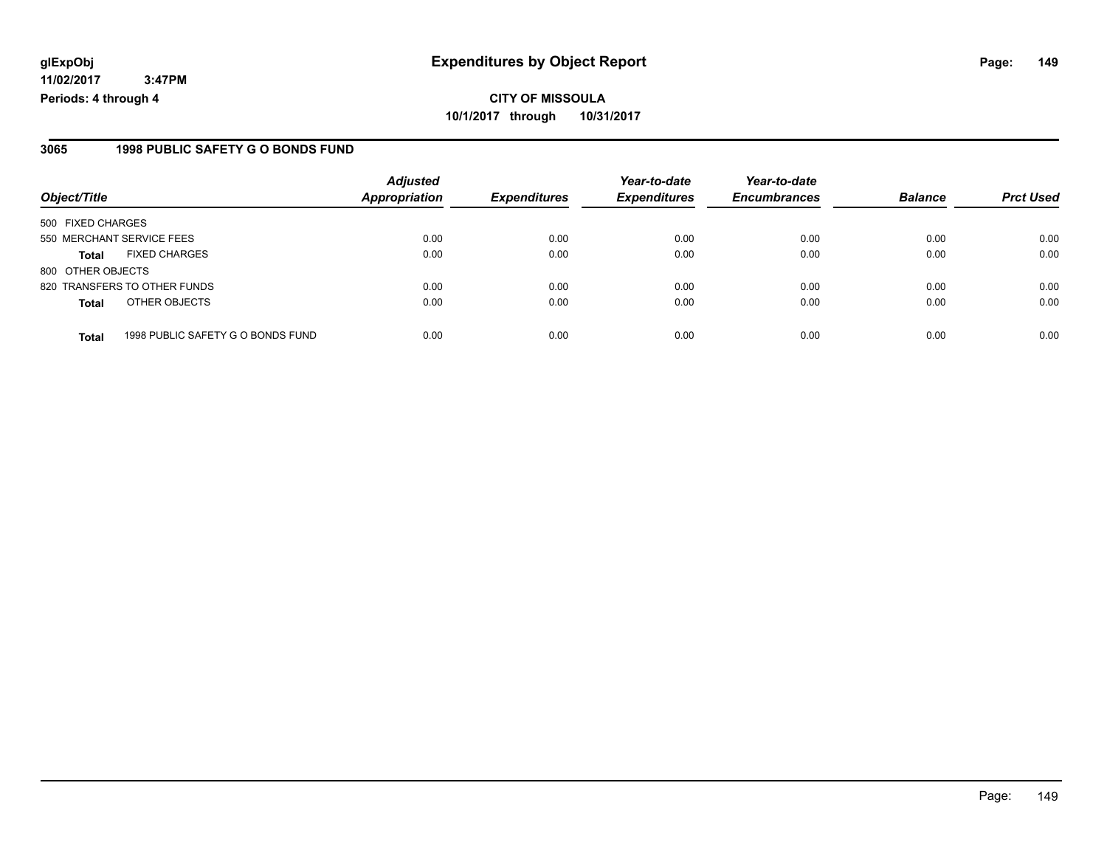# **CITY OF MISSOULA 10/1/2017 through 10/31/2017**

### **3065 1998 PUBLIC SAFETY G O BONDS FUND**

|                                                   | <b>Adjusted</b>      |                     | Year-to-date        | Year-to-date        |                |                  |
|---------------------------------------------------|----------------------|---------------------|---------------------|---------------------|----------------|------------------|
| Object/Title                                      | <b>Appropriation</b> | <b>Expenditures</b> | <b>Expenditures</b> | <b>Encumbrances</b> | <b>Balance</b> | <b>Prct Used</b> |
| 500 FIXED CHARGES                                 |                      |                     |                     |                     |                |                  |
| 550 MERCHANT SERVICE FEES                         | 0.00                 | 0.00                | 0.00                | 0.00                | 0.00           | 0.00             |
| <b>FIXED CHARGES</b><br><b>Total</b>              | 0.00                 | 0.00                | 0.00                | 0.00                | 0.00           | 0.00             |
| 800 OTHER OBJECTS                                 |                      |                     |                     |                     |                |                  |
| 820 TRANSFERS TO OTHER FUNDS                      | 0.00                 | 0.00                | 0.00                | 0.00                | 0.00           | 0.00             |
| OTHER OBJECTS<br><b>Total</b>                     | 0.00                 | 0.00                | 0.00                | 0.00                | 0.00           | 0.00             |
| 1998 PUBLIC SAFETY G O BONDS FUND<br><b>Total</b> | 0.00                 | 0.00                | 0.00                | 0.00                | 0.00           | 0.00             |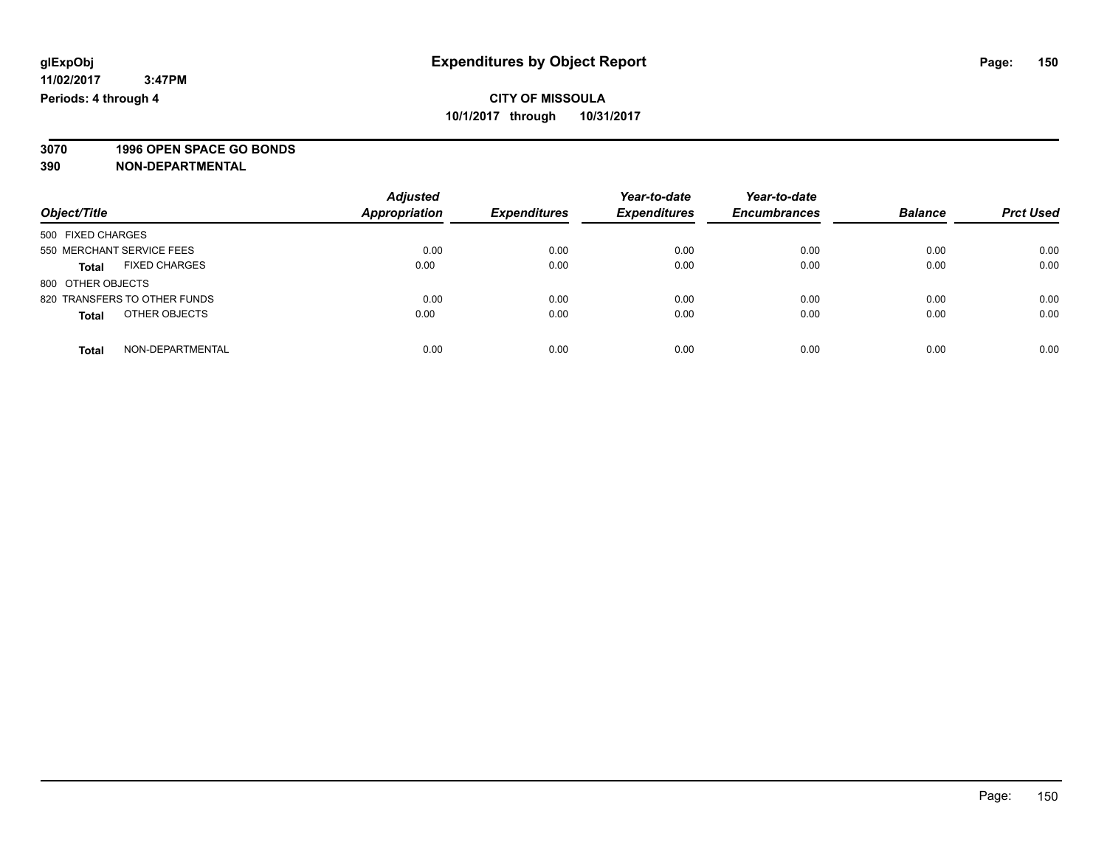**3070 1996 OPEN SPACE GO BONDS**

|                                      | <b>Adjusted</b>      |                     | Year-to-date        | Year-to-date        | <b>Balance</b> |                  |
|--------------------------------------|----------------------|---------------------|---------------------|---------------------|----------------|------------------|
| Object/Title                         | <b>Appropriation</b> | <b>Expenditures</b> | <b>Expenditures</b> | <b>Encumbrances</b> |                | <b>Prct Used</b> |
| 500 FIXED CHARGES                    |                      |                     |                     |                     |                |                  |
| 550 MERCHANT SERVICE FEES            | 0.00                 | 0.00                | 0.00                | 0.00                | 0.00           | 0.00             |
| <b>FIXED CHARGES</b><br><b>Total</b> | 0.00                 | 0.00                | 0.00                | 0.00                | 0.00           | 0.00             |
| 800 OTHER OBJECTS                    |                      |                     |                     |                     |                |                  |
| 820 TRANSFERS TO OTHER FUNDS         | 0.00                 | 0.00                | 0.00                | 0.00                | 0.00           | 0.00             |
| OTHER OBJECTS<br><b>Total</b>        | 0.00                 | 0.00                | 0.00                | 0.00                | 0.00           | 0.00             |
| NON-DEPARTMENTAL<br><b>Total</b>     | 0.00                 | 0.00                | 0.00                | 0.00                | 0.00           | 0.00             |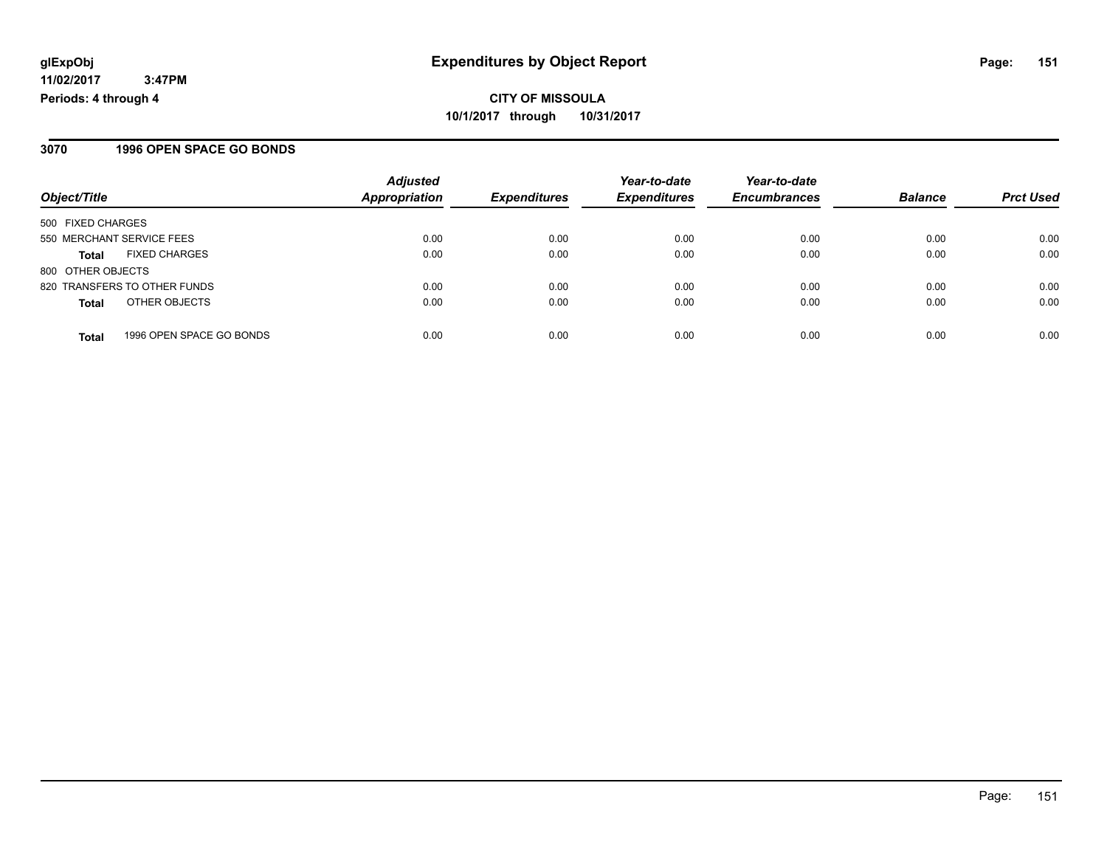**CITY OF MISSOULA 10/1/2017 through 10/31/2017**

### **3070 1996 OPEN SPACE GO BONDS**

|                                          | <b>Adjusted</b>      |                     | Year-to-date        | Year-to-date        |                |                  |
|------------------------------------------|----------------------|---------------------|---------------------|---------------------|----------------|------------------|
| Object/Title                             | <b>Appropriation</b> | <b>Expenditures</b> | <b>Expenditures</b> | <b>Encumbrances</b> | <b>Balance</b> | <b>Prct Used</b> |
| 500 FIXED CHARGES                        |                      |                     |                     |                     |                |                  |
| 550 MERCHANT SERVICE FEES                | 0.00                 | 0.00                | 0.00                | 0.00                | 0.00           | 0.00             |
| <b>FIXED CHARGES</b><br><b>Total</b>     | 0.00                 | 0.00                | 0.00                | 0.00                | 0.00           | 0.00             |
| 800 OTHER OBJECTS                        |                      |                     |                     |                     |                |                  |
| 820 TRANSFERS TO OTHER FUNDS             | 0.00                 | 0.00                | 0.00                | 0.00                | 0.00           | 0.00             |
| OTHER OBJECTS<br><b>Total</b>            | 0.00                 | 0.00                | 0.00                | 0.00                | 0.00           | 0.00             |
| 1996 OPEN SPACE GO BONDS<br><b>Total</b> | 0.00                 | 0.00                | 0.00                | 0.00                | 0.00           | 0.00             |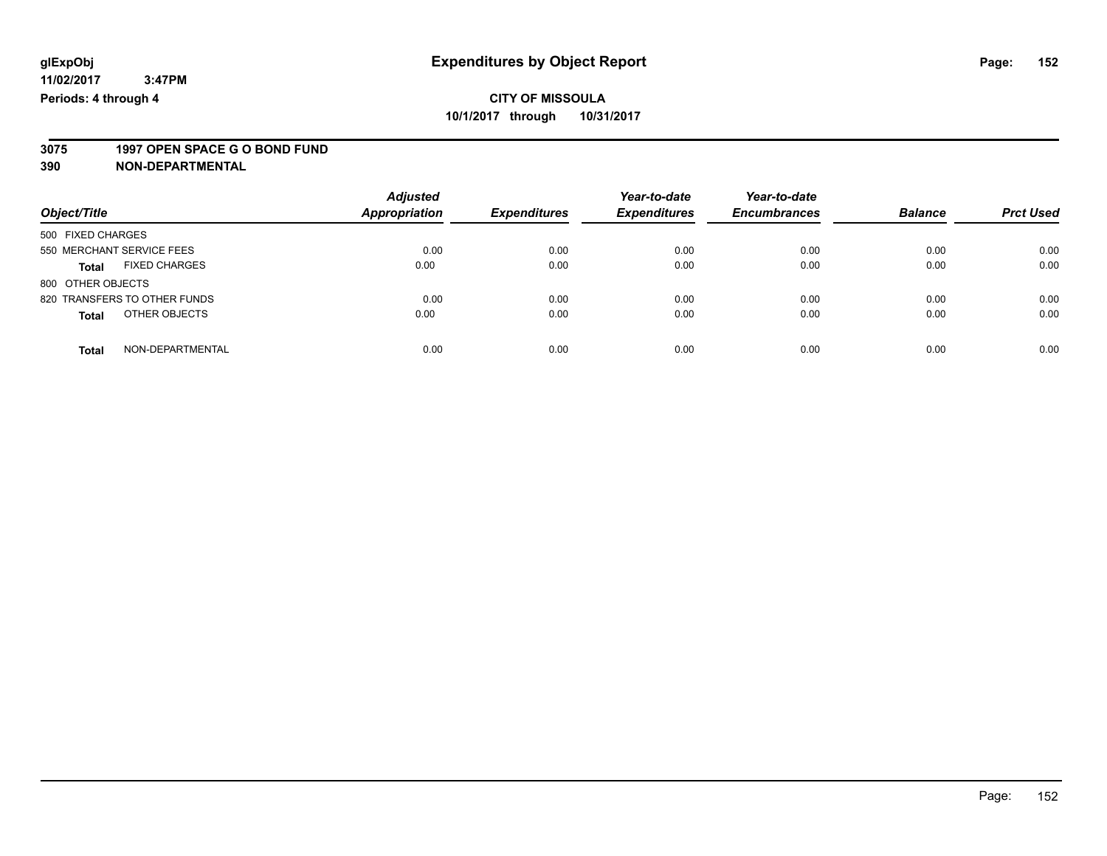# **3075 1997 OPEN SPACE G O BOND FUND**

| Object/Title                         | <b>Adjusted</b><br>Appropriation | <b>Expenditures</b> | Year-to-date<br><b>Expenditures</b> | Year-to-date<br><b>Encumbrances</b> | <b>Balance</b> | <b>Prct Used</b> |
|--------------------------------------|----------------------------------|---------------------|-------------------------------------|-------------------------------------|----------------|------------------|
| 500 FIXED CHARGES                    |                                  |                     |                                     |                                     |                |                  |
| 550 MERCHANT SERVICE FEES            | 0.00                             | 0.00                | 0.00                                | 0.00                                | 0.00           | 0.00             |
| <b>FIXED CHARGES</b><br><b>Total</b> | 0.00                             | 0.00                | 0.00                                | 0.00                                | 0.00           | 0.00             |
| 800 OTHER OBJECTS                    |                                  |                     |                                     |                                     |                |                  |
| 820 TRANSFERS TO OTHER FUNDS         | 0.00                             | 0.00                | 0.00                                | 0.00                                | 0.00           | 0.00             |
| OTHER OBJECTS<br><b>Total</b>        | 0.00                             | 0.00                | 0.00                                | 0.00                                | 0.00           | 0.00             |
| NON-DEPARTMENTAL<br><b>Total</b>     | 0.00                             | 0.00                | 0.00                                | 0.00                                | 0.00           | 0.00             |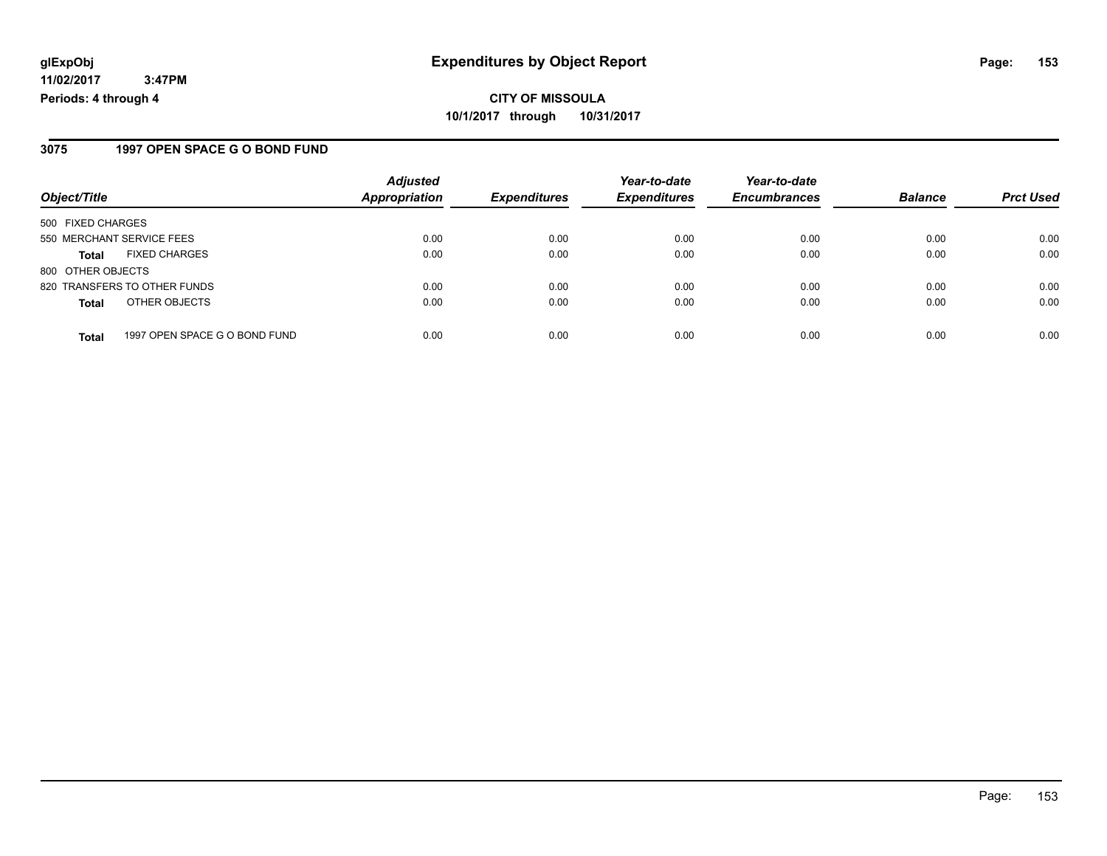### **3075 1997 OPEN SPACE G O BOND FUND**

|                           |                               | <b>Adjusted</b>      |                     | Year-to-date        | Year-to-date        |                |                  |
|---------------------------|-------------------------------|----------------------|---------------------|---------------------|---------------------|----------------|------------------|
| Object/Title              |                               | <b>Appropriation</b> | <b>Expenditures</b> | <b>Expenditures</b> | <b>Encumbrances</b> | <b>Balance</b> | <b>Prct Used</b> |
| 500 FIXED CHARGES         |                               |                      |                     |                     |                     |                |                  |
| 550 MERCHANT SERVICE FEES |                               | 0.00                 | 0.00                | 0.00                | 0.00                | 0.00           | 0.00             |
| <b>Total</b>              | <b>FIXED CHARGES</b>          | 0.00                 | 0.00                | 0.00                | 0.00                | 0.00           | 0.00             |
| 800 OTHER OBJECTS         |                               |                      |                     |                     |                     |                |                  |
|                           | 820 TRANSFERS TO OTHER FUNDS  | 0.00                 | 0.00                | 0.00                | 0.00                | 0.00           | 0.00             |
| <b>Total</b>              | OTHER OBJECTS                 | 0.00                 | 0.00                | 0.00                | 0.00                | 0.00           | 0.00             |
| <b>Total</b>              | 1997 OPEN SPACE G O BOND FUND | 0.00                 | 0.00                | 0.00                | 0.00                | 0.00           | 0.00             |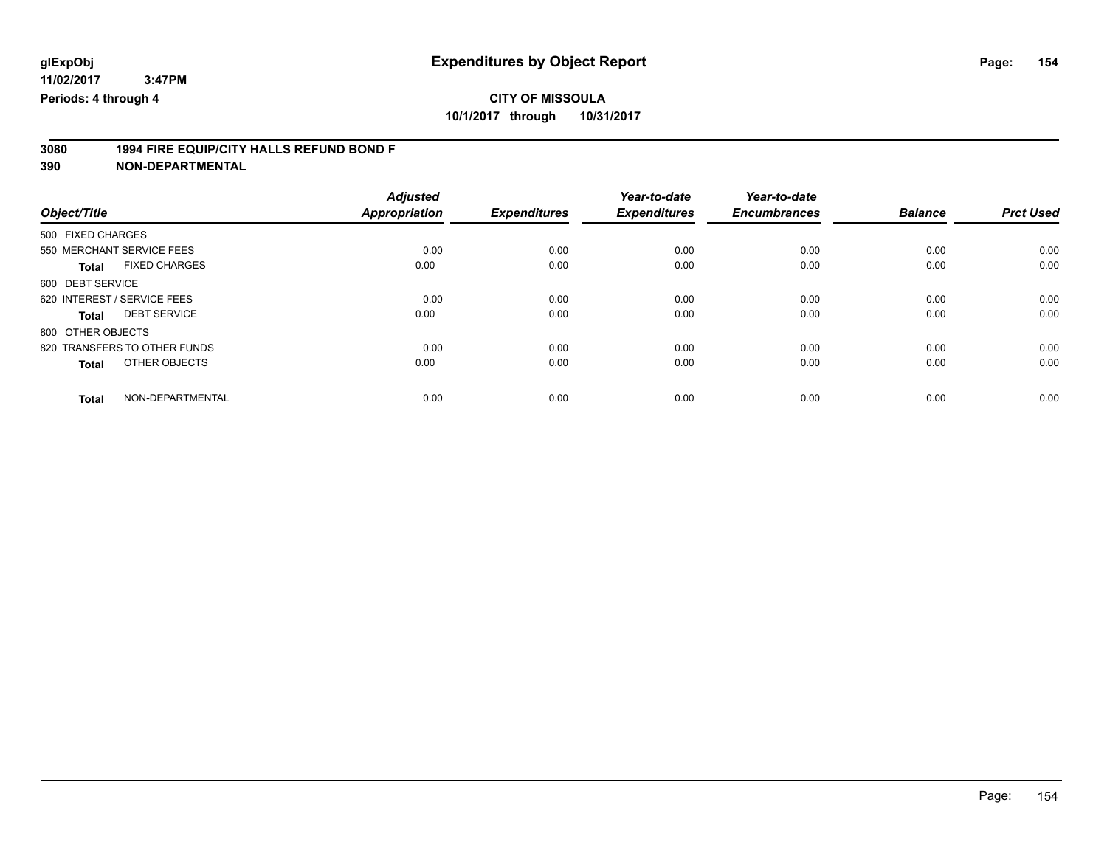**3080 1994 FIRE EQUIP/CITY HALLS REFUND BOND F**

|                                      | <b>Adjusted</b> |                     | Year-to-date        | Year-to-date        |                |                  |
|--------------------------------------|-----------------|---------------------|---------------------|---------------------|----------------|------------------|
| Object/Title                         | Appropriation   | <b>Expenditures</b> | <b>Expenditures</b> | <b>Encumbrances</b> | <b>Balance</b> | <b>Prct Used</b> |
| 500 FIXED CHARGES                    |                 |                     |                     |                     |                |                  |
| 550 MERCHANT SERVICE FEES            | 0.00            | 0.00                | 0.00                | 0.00                | 0.00           | 0.00             |
| <b>FIXED CHARGES</b><br><b>Total</b> | 0.00            | 0.00                | 0.00                | 0.00                | 0.00           | 0.00             |
| 600 DEBT SERVICE                     |                 |                     |                     |                     |                |                  |
| 620 INTEREST / SERVICE FEES          | 0.00            | 0.00                | 0.00                | 0.00                | 0.00           | 0.00             |
| <b>DEBT SERVICE</b><br><b>Total</b>  | 0.00            | 0.00                | 0.00                | 0.00                | 0.00           | 0.00             |
| 800 OTHER OBJECTS                    |                 |                     |                     |                     |                |                  |
| 820 TRANSFERS TO OTHER FUNDS         | 0.00            | 0.00                | 0.00                | 0.00                | 0.00           | 0.00             |
| OTHER OBJECTS<br><b>Total</b>        | 0.00            | 0.00                | 0.00                | 0.00                | 0.00           | 0.00             |
|                                      |                 |                     |                     |                     |                |                  |
| NON-DEPARTMENTAL<br><b>Total</b>     | 0.00            | 0.00                | 0.00                | 0.00                | 0.00           | 0.00             |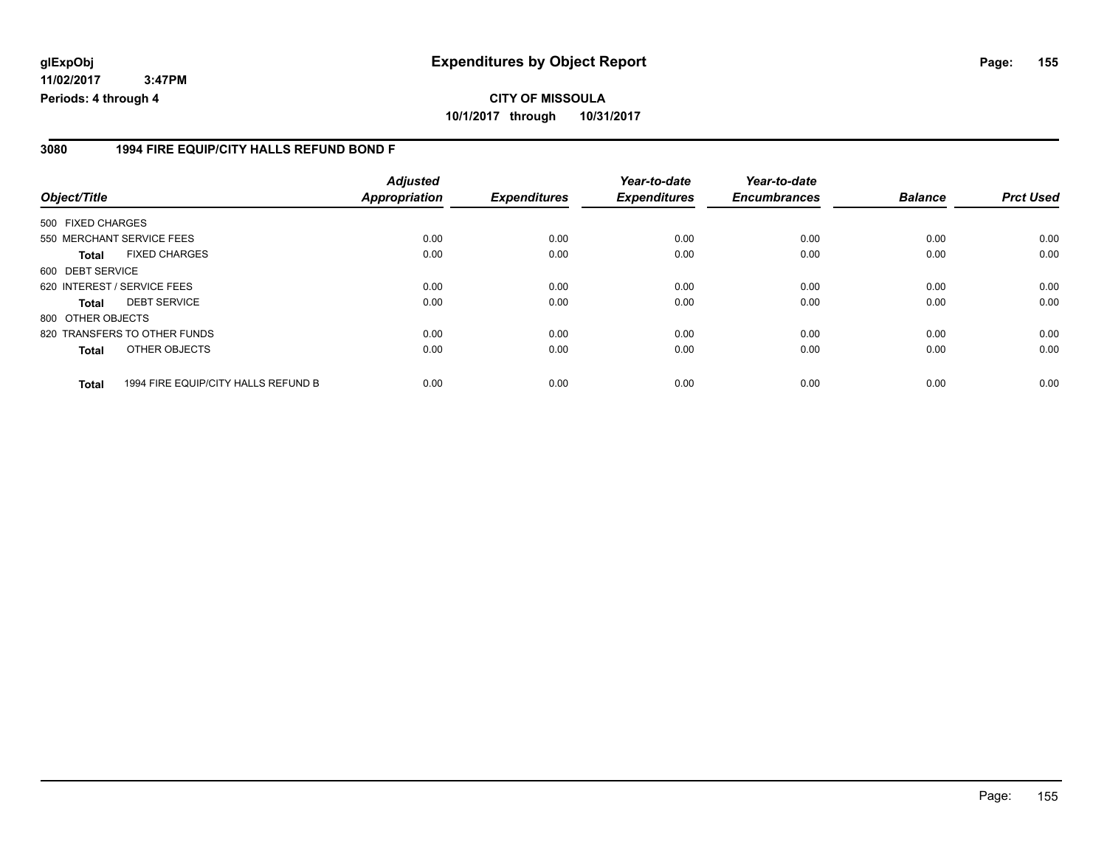### **3080 1994 FIRE EQUIP/CITY HALLS REFUND BOND F**

| Object/Title      |                                     | <b>Adjusted</b><br><b>Appropriation</b> | <b>Expenditures</b> | Year-to-date<br><b>Expenditures</b> | Year-to-date<br><b>Encumbrances</b> | <b>Balance</b> | <b>Prct Used</b> |
|-------------------|-------------------------------------|-----------------------------------------|---------------------|-------------------------------------|-------------------------------------|----------------|------------------|
| 500 FIXED CHARGES |                                     |                                         |                     |                                     |                                     |                |                  |
|                   | 550 MERCHANT SERVICE FEES           | 0.00                                    | 0.00                | 0.00                                | 0.00                                | 0.00           | 0.00             |
| <b>Total</b>      | <b>FIXED CHARGES</b>                | 0.00                                    | 0.00                | 0.00                                | 0.00                                | 0.00           | 0.00             |
| 600 DEBT SERVICE  |                                     |                                         |                     |                                     |                                     |                |                  |
|                   | 620 INTEREST / SERVICE FEES         | 0.00                                    | 0.00                | 0.00                                | 0.00                                | 0.00           | 0.00             |
| <b>Total</b>      | <b>DEBT SERVICE</b>                 | 0.00                                    | 0.00                | 0.00                                | 0.00                                | 0.00           | 0.00             |
| 800 OTHER OBJECTS |                                     |                                         |                     |                                     |                                     |                |                  |
|                   | 820 TRANSFERS TO OTHER FUNDS        | 0.00                                    | 0.00                | 0.00                                | 0.00                                | 0.00           | 0.00             |
| <b>Total</b>      | OTHER OBJECTS                       | 0.00                                    | 0.00                | 0.00                                | 0.00                                | 0.00           | 0.00             |
| <b>Total</b>      | 1994 FIRE EQUIP/CITY HALLS REFUND B | 0.00                                    | 0.00                | 0.00                                | 0.00                                | 0.00           | 0.00             |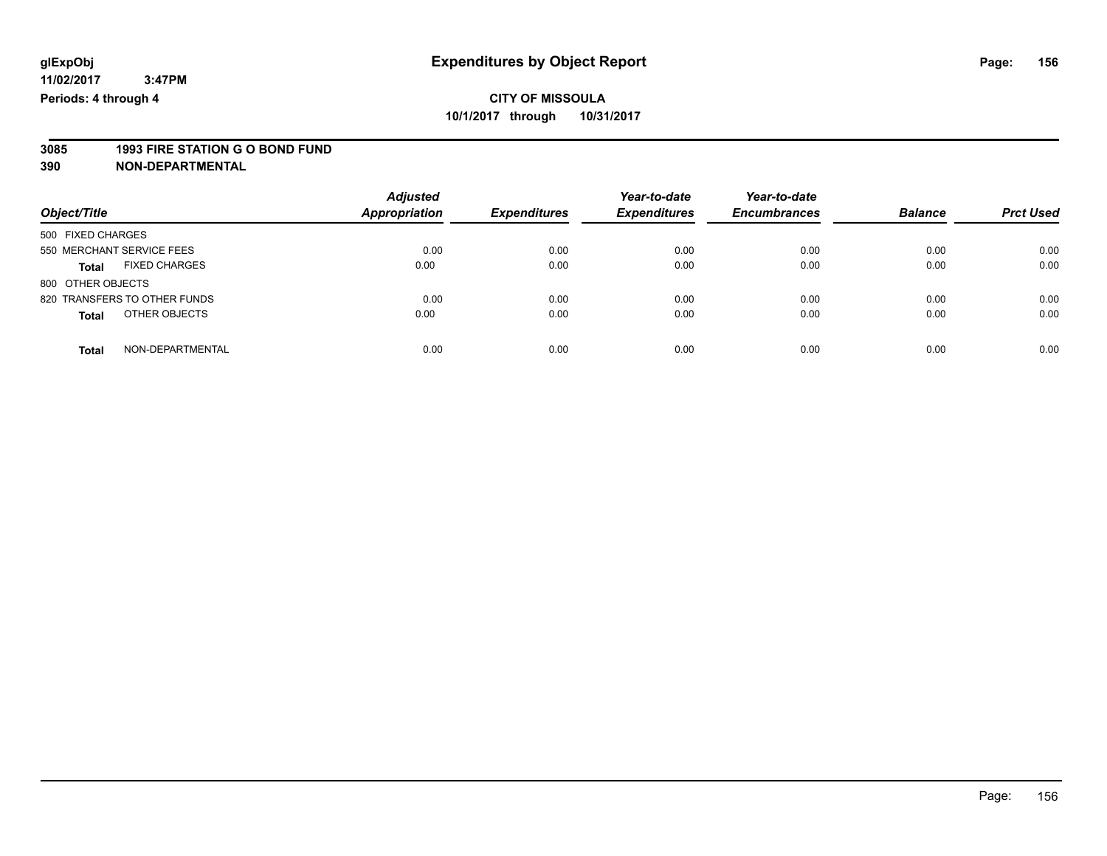# **3085 1993 FIRE STATION G O BOND FUND**

| Object/Title                         | <b>Adjusted</b><br>Appropriation | <b>Expenditures</b> | Year-to-date<br><b>Expenditures</b> | Year-to-date<br><b>Encumbrances</b> | <b>Balance</b> | <b>Prct Used</b> |
|--------------------------------------|----------------------------------|---------------------|-------------------------------------|-------------------------------------|----------------|------------------|
| 500 FIXED CHARGES                    |                                  |                     |                                     |                                     |                |                  |
| 550 MERCHANT SERVICE FEES            | 0.00                             | 0.00                | 0.00                                | 0.00                                | 0.00           | 0.00             |
| <b>FIXED CHARGES</b><br><b>Total</b> | 0.00                             | 0.00                | 0.00                                | 0.00                                | 0.00           | 0.00             |
| 800 OTHER OBJECTS                    |                                  |                     |                                     |                                     |                |                  |
| 820 TRANSFERS TO OTHER FUNDS         | 0.00                             | 0.00                | 0.00                                | 0.00                                | 0.00           | 0.00             |
| OTHER OBJECTS<br><b>Total</b>        | 0.00                             | 0.00                | 0.00                                | 0.00                                | 0.00           | 0.00             |
| NON-DEPARTMENTAL<br>Total            | 0.00                             | 0.00                | 0.00                                | 0.00                                | 0.00           | 0.00             |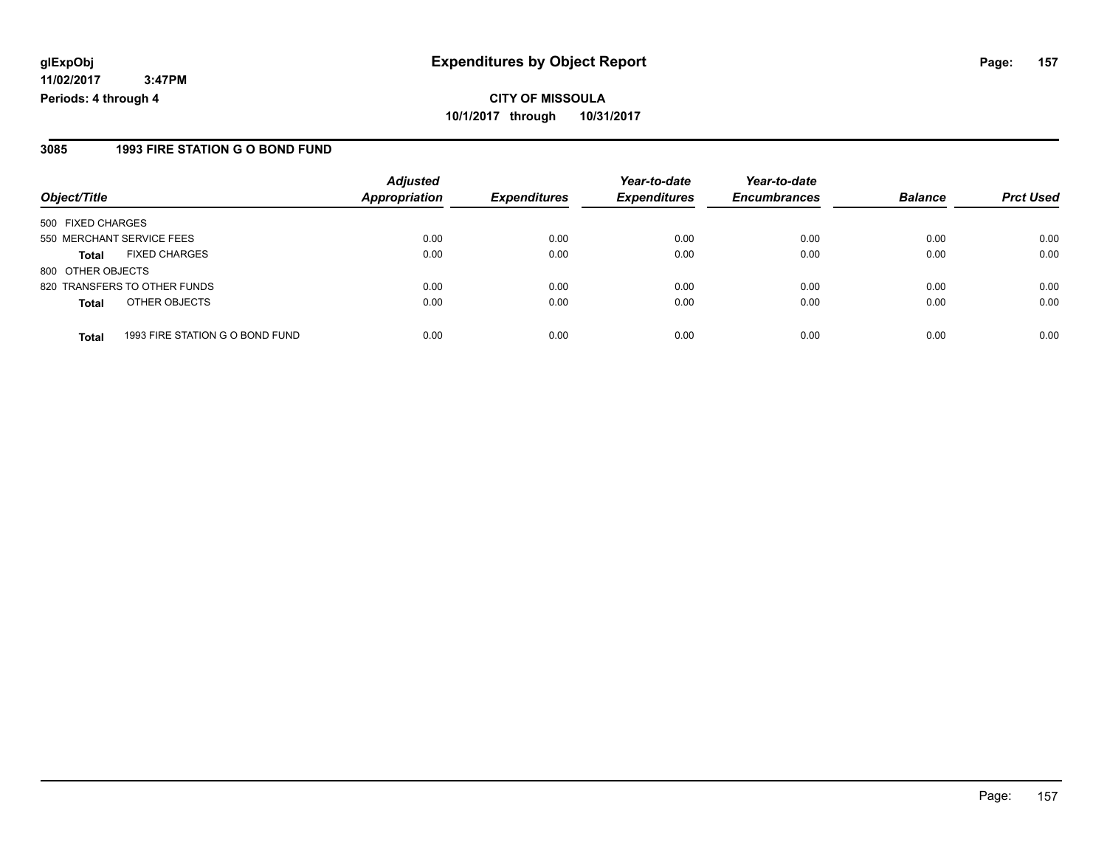### **3085 1993 FIRE STATION G O BOND FUND**

|                           |                                 | <b>Adjusted</b>      |                     | Year-to-date        | Year-to-date        |                |                  |
|---------------------------|---------------------------------|----------------------|---------------------|---------------------|---------------------|----------------|------------------|
| Object/Title              |                                 | <b>Appropriation</b> | <b>Expenditures</b> | <b>Expenditures</b> | <b>Encumbrances</b> | <b>Balance</b> | <b>Prct Used</b> |
| 500 FIXED CHARGES         |                                 |                      |                     |                     |                     |                |                  |
| 550 MERCHANT SERVICE FEES |                                 | 0.00                 | 0.00                | 0.00                | 0.00                | 0.00           | 0.00             |
| <b>Total</b>              | <b>FIXED CHARGES</b>            | 0.00                 | 0.00                | 0.00                | 0.00                | 0.00           | 0.00             |
| 800 OTHER OBJECTS         |                                 |                      |                     |                     |                     |                |                  |
|                           | 820 TRANSFERS TO OTHER FUNDS    | 0.00                 | 0.00                | 0.00                | 0.00                | 0.00           | 0.00             |
| <b>Total</b>              | OTHER OBJECTS                   | 0.00                 | 0.00                | 0.00                | 0.00                | 0.00           | 0.00             |
| <b>Total</b>              | 1993 FIRE STATION G O BOND FUND | 0.00                 | 0.00                | 0.00                | 0.00                | 0.00           | 0.00             |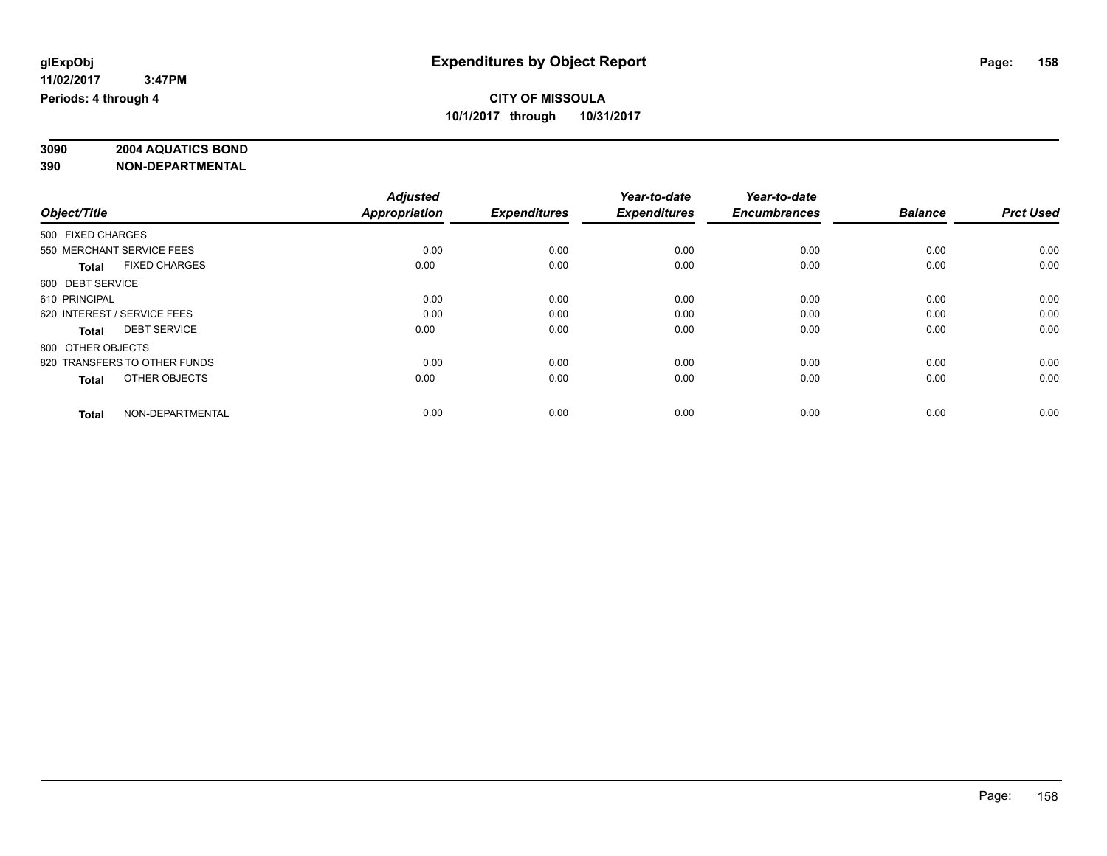# **3090 2004 AQUATICS BOND**

|                                      | <b>Adjusted</b>      |                     | Year-to-date        | Year-to-date        |                |                  |
|--------------------------------------|----------------------|---------------------|---------------------|---------------------|----------------|------------------|
| Object/Title                         | <b>Appropriation</b> | <b>Expenditures</b> | <b>Expenditures</b> | <b>Encumbrances</b> | <b>Balance</b> | <b>Prct Used</b> |
| 500 FIXED CHARGES                    |                      |                     |                     |                     |                |                  |
| 550 MERCHANT SERVICE FEES            | 0.00                 | 0.00                | 0.00                | 0.00                | 0.00           | 0.00             |
| <b>FIXED CHARGES</b><br><b>Total</b> | 0.00                 | 0.00                | 0.00                | 0.00                | 0.00           | 0.00             |
| 600 DEBT SERVICE                     |                      |                     |                     |                     |                |                  |
| 610 PRINCIPAL                        | 0.00                 | 0.00                | 0.00                | 0.00                | 0.00           | 0.00             |
| 620 INTEREST / SERVICE FEES          | 0.00                 | 0.00                | 0.00                | 0.00                | 0.00           | 0.00             |
| <b>DEBT SERVICE</b><br><b>Total</b>  | 0.00                 | 0.00                | 0.00                | 0.00                | 0.00           | 0.00             |
| 800 OTHER OBJECTS                    |                      |                     |                     |                     |                |                  |
| 820 TRANSFERS TO OTHER FUNDS         | 0.00                 | 0.00                | 0.00                | 0.00                | 0.00           | 0.00             |
| OTHER OBJECTS<br><b>Total</b>        | 0.00                 | 0.00                | 0.00                | 0.00                | 0.00           | 0.00             |
|                                      |                      |                     |                     |                     |                |                  |
| NON-DEPARTMENTAL<br><b>Total</b>     | 0.00                 | 0.00                | 0.00                | 0.00                | 0.00           | 0.00             |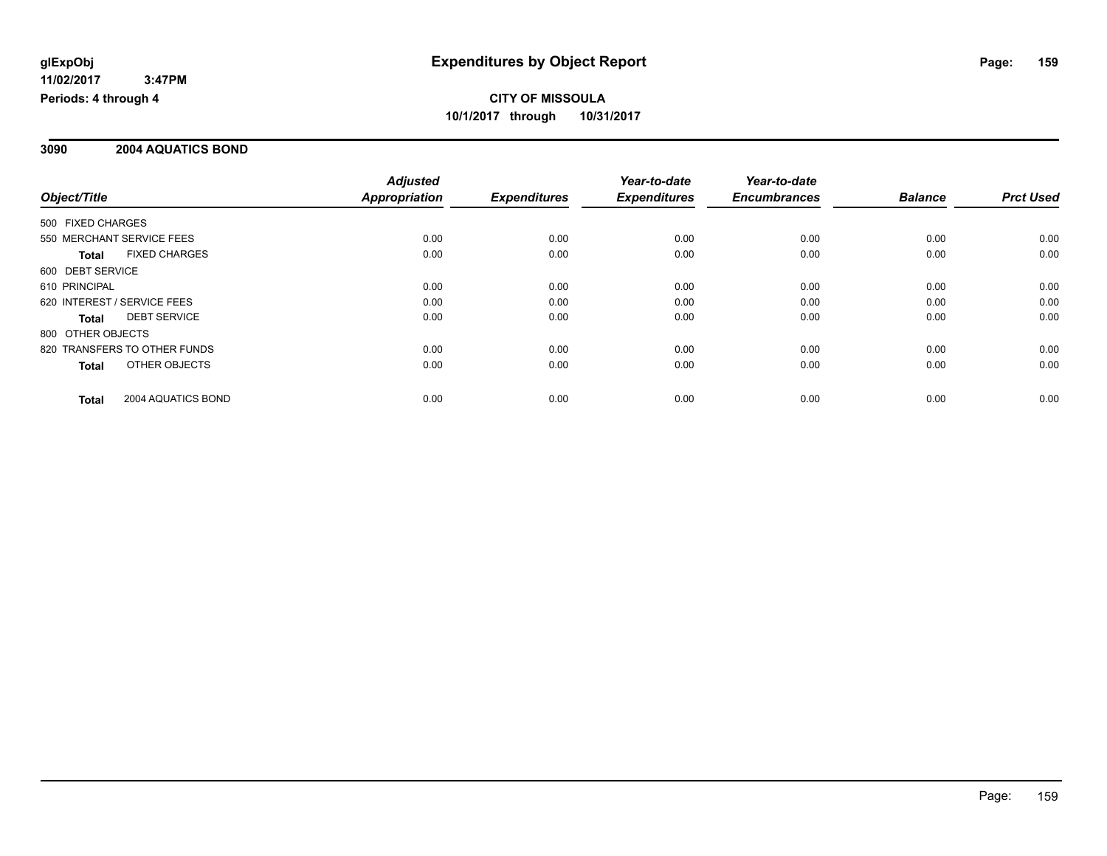### **3090 2004 AQUATICS BOND**

|                                    | <b>Adjusted</b> |                     | Year-to-date        | Year-to-date        |                |                  |
|------------------------------------|-----------------|---------------------|---------------------|---------------------|----------------|------------------|
| Object/Title                       | Appropriation   | <b>Expenditures</b> | <b>Expenditures</b> | <b>Encumbrances</b> | <b>Balance</b> | <b>Prct Used</b> |
| 500 FIXED CHARGES                  |                 |                     |                     |                     |                |                  |
| 550 MERCHANT SERVICE FEES          | 0.00            | 0.00                | 0.00                | 0.00                | 0.00           | 0.00             |
| <b>FIXED CHARGES</b><br>Total      | 0.00            | 0.00                | 0.00                | 0.00                | 0.00           | 0.00             |
| 600 DEBT SERVICE                   |                 |                     |                     |                     |                |                  |
| 610 PRINCIPAL                      | 0.00            | 0.00                | 0.00                | 0.00                | 0.00           | 0.00             |
| 620 INTEREST / SERVICE FEES        | 0.00            | 0.00                | 0.00                | 0.00                | 0.00           | 0.00             |
| <b>DEBT SERVICE</b><br>Total       | 0.00            | 0.00                | 0.00                | 0.00                | 0.00           | 0.00             |
| 800 OTHER OBJECTS                  |                 |                     |                     |                     |                |                  |
| 820 TRANSFERS TO OTHER FUNDS       | 0.00            | 0.00                | 0.00                | 0.00                | 0.00           | 0.00             |
| OTHER OBJECTS<br>Total             | 0.00            | 0.00                | 0.00                | 0.00                | 0.00           | 0.00             |
| 2004 AQUATICS BOND<br><b>Total</b> | 0.00            | 0.00                | 0.00                | 0.00                | 0.00           | 0.00             |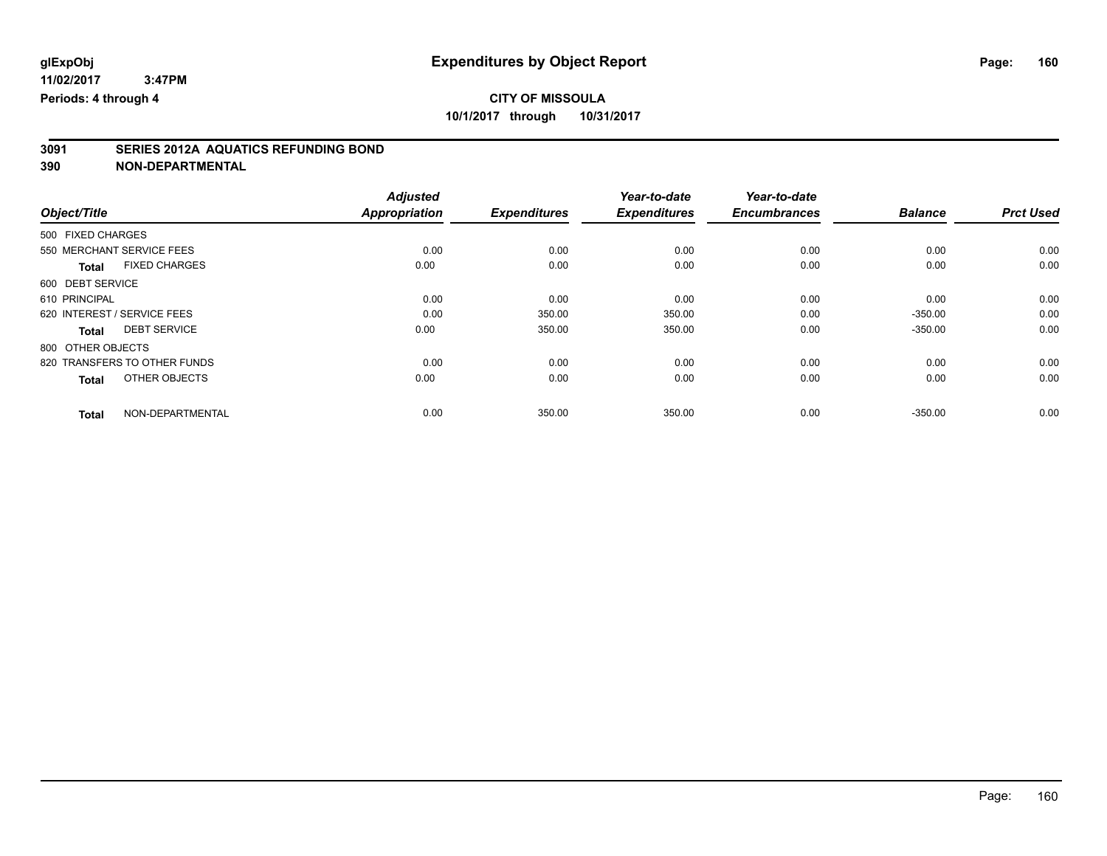# **3091 SERIES 2012A AQUATICS REFUNDING BOND**

|                   |                              | <b>Adjusted</b>      |                     | Year-to-date        | Year-to-date        |                |                  |
|-------------------|------------------------------|----------------------|---------------------|---------------------|---------------------|----------------|------------------|
| Object/Title      |                              | <b>Appropriation</b> | <b>Expenditures</b> | <b>Expenditures</b> | <b>Encumbrances</b> | <b>Balance</b> | <b>Prct Used</b> |
| 500 FIXED CHARGES |                              |                      |                     |                     |                     |                |                  |
|                   | 550 MERCHANT SERVICE FEES    | 0.00                 | 0.00                | 0.00                | 0.00                | 0.00           | 0.00             |
| <b>Total</b>      | <b>FIXED CHARGES</b>         | 0.00                 | 0.00                | 0.00                | 0.00                | 0.00           | 0.00             |
| 600 DEBT SERVICE  |                              |                      |                     |                     |                     |                |                  |
| 610 PRINCIPAL     |                              | 0.00                 | 0.00                | 0.00                | 0.00                | 0.00           | 0.00             |
|                   | 620 INTEREST / SERVICE FEES  | 0.00                 | 350.00              | 350.00              | 0.00                | $-350.00$      | 0.00             |
| <b>Total</b>      | <b>DEBT SERVICE</b>          | 0.00                 | 350.00              | 350.00              | 0.00                | $-350.00$      | 0.00             |
| 800 OTHER OBJECTS |                              |                      |                     |                     |                     |                |                  |
|                   | 820 TRANSFERS TO OTHER FUNDS | 0.00                 | 0.00                | 0.00                | 0.00                | 0.00           | 0.00             |
| <b>Total</b>      | OTHER OBJECTS                | 0.00                 | 0.00                | 0.00                | 0.00                | 0.00           | 0.00             |
| <b>Total</b>      | NON-DEPARTMENTAL             | 0.00                 | 350.00              | 350.00              | 0.00                | $-350.00$      | 0.00             |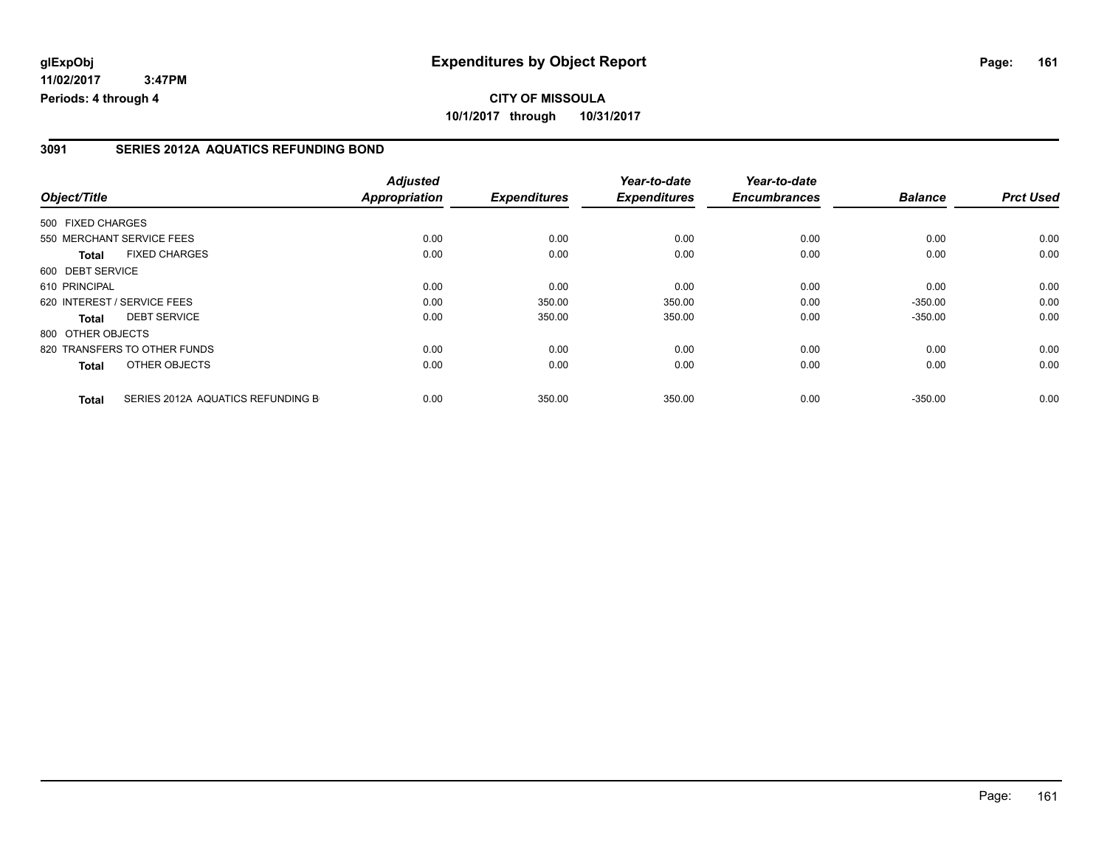#### **3091 SERIES 2012A AQUATICS REFUNDING BOND**

|                   |                                   | <b>Adjusted</b>      |                     | Year-to-date        | Year-to-date        |                |                  |
|-------------------|-----------------------------------|----------------------|---------------------|---------------------|---------------------|----------------|------------------|
| Object/Title      |                                   | <b>Appropriation</b> | <b>Expenditures</b> | <b>Expenditures</b> | <b>Encumbrances</b> | <b>Balance</b> | <b>Prct Used</b> |
| 500 FIXED CHARGES |                                   |                      |                     |                     |                     |                |                  |
|                   | 550 MERCHANT SERVICE FEES         | 0.00                 | 0.00                | 0.00                | 0.00                | 0.00           | 0.00             |
| Total             | <b>FIXED CHARGES</b>              | 0.00                 | 0.00                | 0.00                | 0.00                | 0.00           | 0.00             |
| 600 DEBT SERVICE  |                                   |                      |                     |                     |                     |                |                  |
| 610 PRINCIPAL     |                                   | 0.00                 | 0.00                | 0.00                | 0.00                | 0.00           | 0.00             |
|                   | 620 INTEREST / SERVICE FEES       | 0.00                 | 350.00              | 350.00              | 0.00                | $-350.00$      | 0.00             |
| Total             | <b>DEBT SERVICE</b>               | 0.00                 | 350.00              | 350.00              | 0.00                | $-350.00$      | 0.00             |
| 800 OTHER OBJECTS |                                   |                      |                     |                     |                     |                |                  |
|                   | 820 TRANSFERS TO OTHER FUNDS      | 0.00                 | 0.00                | 0.00                | 0.00                | 0.00           | 0.00             |
| <b>Total</b>      | OTHER OBJECTS                     | 0.00                 | 0.00                | 0.00                | 0.00                | 0.00           | 0.00             |
| <b>Total</b>      | SERIES 2012A AQUATICS REFUNDING B | 0.00                 | 350.00              | 350.00              | 0.00                | $-350.00$      | 0.00             |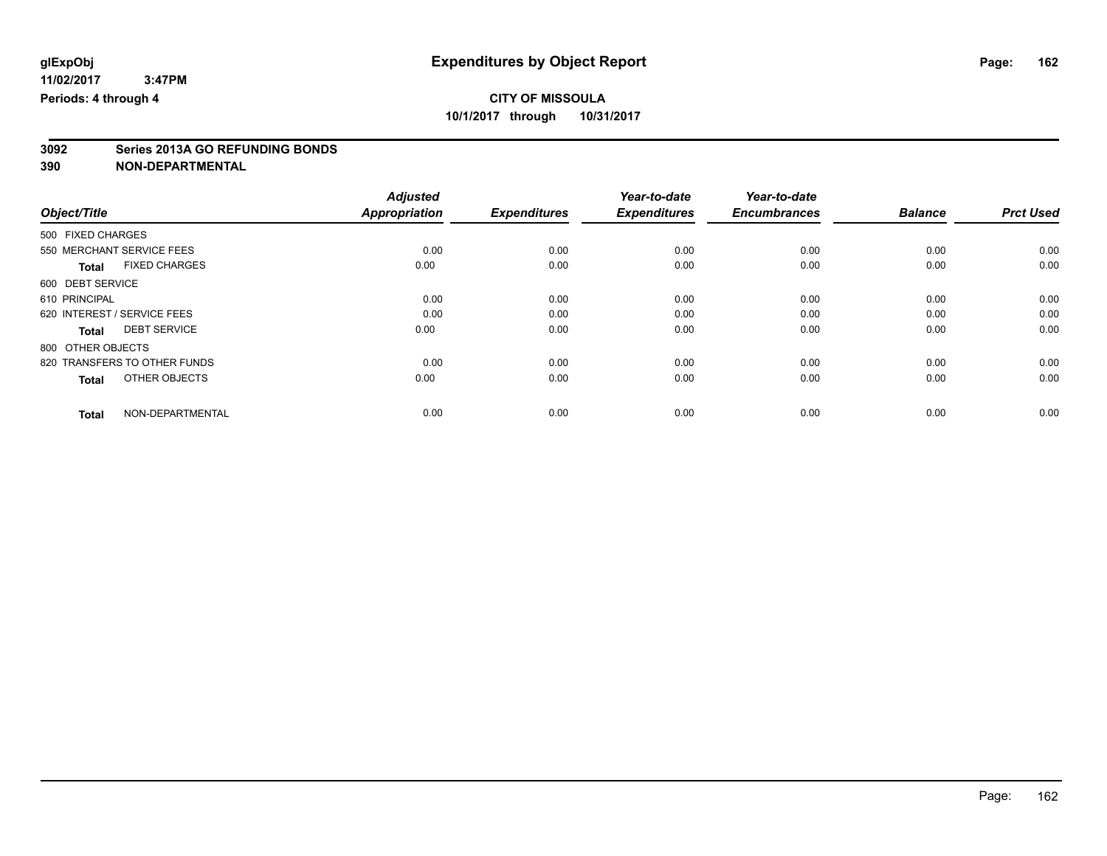# **3092 Series 2013A GO REFUNDING BONDS**

|                                      | <b>Adjusted</b>      |                     | Year-to-date        | Year-to-date        |                |                  |
|--------------------------------------|----------------------|---------------------|---------------------|---------------------|----------------|------------------|
| Object/Title                         | <b>Appropriation</b> | <b>Expenditures</b> | <b>Expenditures</b> | <b>Encumbrances</b> | <b>Balance</b> | <b>Prct Used</b> |
| 500 FIXED CHARGES                    |                      |                     |                     |                     |                |                  |
| 550 MERCHANT SERVICE FEES            | 0.00                 | 0.00                | 0.00                | 0.00                | 0.00           | 0.00             |
| <b>FIXED CHARGES</b><br><b>Total</b> | 0.00                 | 0.00                | 0.00                | 0.00                | 0.00           | 0.00             |
| 600 DEBT SERVICE                     |                      |                     |                     |                     |                |                  |
| 610 PRINCIPAL                        | 0.00                 | 0.00                | 0.00                | 0.00                | 0.00           | 0.00             |
| 620 INTEREST / SERVICE FEES          | 0.00                 | 0.00                | 0.00                | 0.00                | 0.00           | 0.00             |
| <b>DEBT SERVICE</b><br><b>Total</b>  | 0.00                 | 0.00                | 0.00                | 0.00                | 0.00           | 0.00             |
| 800 OTHER OBJECTS                    |                      |                     |                     |                     |                |                  |
| 820 TRANSFERS TO OTHER FUNDS         | 0.00                 | 0.00                | 0.00                | 0.00                | 0.00           | 0.00             |
| OTHER OBJECTS<br><b>Total</b>        | 0.00                 | 0.00                | 0.00                | 0.00                | 0.00           | 0.00             |
|                                      |                      |                     |                     |                     |                |                  |
| NON-DEPARTMENTAL<br><b>Total</b>     | 0.00                 | 0.00                | 0.00                | 0.00                | 0.00           | 0.00             |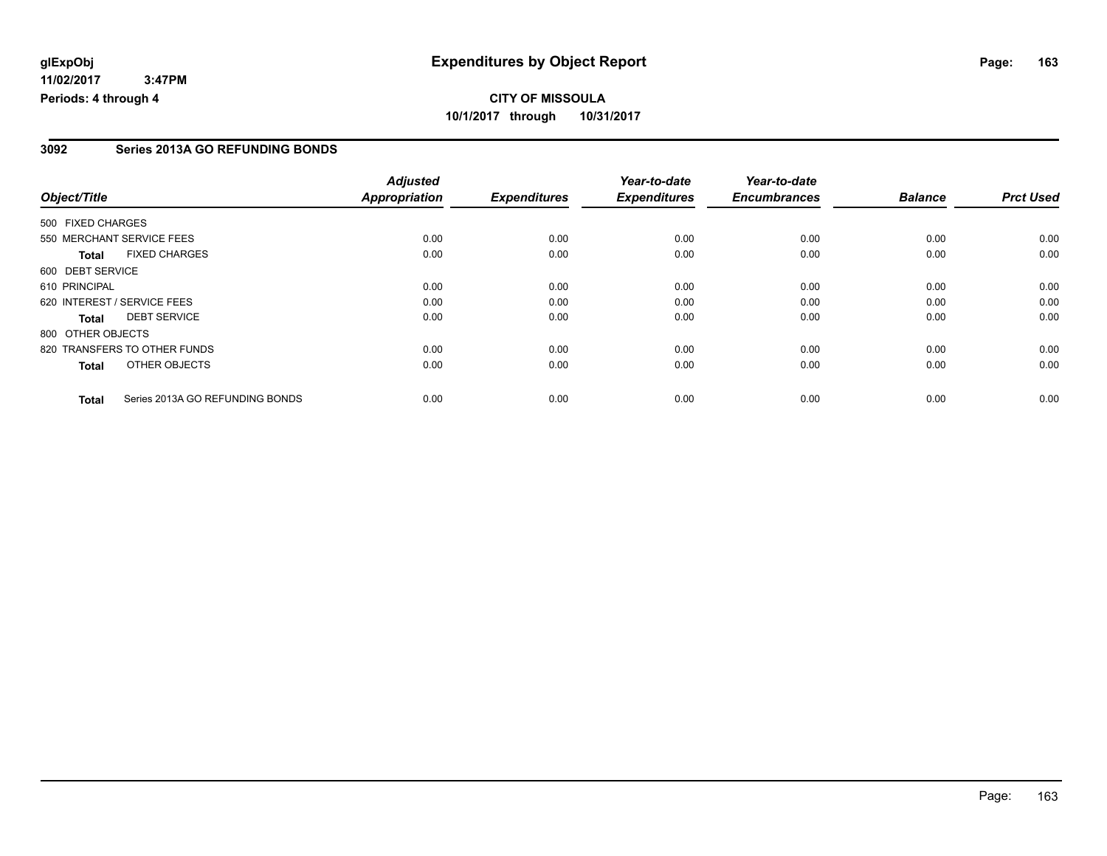# **CITY OF MISSOULA 10/1/2017 through 10/31/2017**

### **3092 Series 2013A GO REFUNDING BONDS**

|                   |                                 | <b>Adjusted</b>      |                     | Year-to-date        | Year-to-date        |                |                  |
|-------------------|---------------------------------|----------------------|---------------------|---------------------|---------------------|----------------|------------------|
| Object/Title      |                                 | <b>Appropriation</b> | <b>Expenditures</b> | <b>Expenditures</b> | <b>Encumbrances</b> | <b>Balance</b> | <b>Prct Used</b> |
| 500 FIXED CHARGES |                                 |                      |                     |                     |                     |                |                  |
|                   | 550 MERCHANT SERVICE FEES       | 0.00                 | 0.00                | 0.00                | 0.00                | 0.00           | 0.00             |
| <b>Total</b>      | <b>FIXED CHARGES</b>            | 0.00                 | 0.00                | 0.00                | 0.00                | 0.00           | 0.00             |
| 600 DEBT SERVICE  |                                 |                      |                     |                     |                     |                |                  |
| 610 PRINCIPAL     |                                 | 0.00                 | 0.00                | 0.00                | 0.00                | 0.00           | 0.00             |
|                   | 620 INTEREST / SERVICE FEES     | 0.00                 | 0.00                | 0.00                | 0.00                | 0.00           | 0.00             |
| <b>Total</b>      | <b>DEBT SERVICE</b>             | 0.00                 | 0.00                | 0.00                | 0.00                | 0.00           | 0.00             |
| 800 OTHER OBJECTS |                                 |                      |                     |                     |                     |                |                  |
|                   | 820 TRANSFERS TO OTHER FUNDS    | 0.00                 | 0.00                | 0.00                | 0.00                | 0.00           | 0.00             |
| <b>Total</b>      | OTHER OBJECTS                   | 0.00                 | 0.00                | 0.00                | 0.00                | 0.00           | 0.00             |
| <b>Total</b>      | Series 2013A GO REFUNDING BONDS | 0.00                 | 0.00                | 0.00                | 0.00                | 0.00           | 0.00             |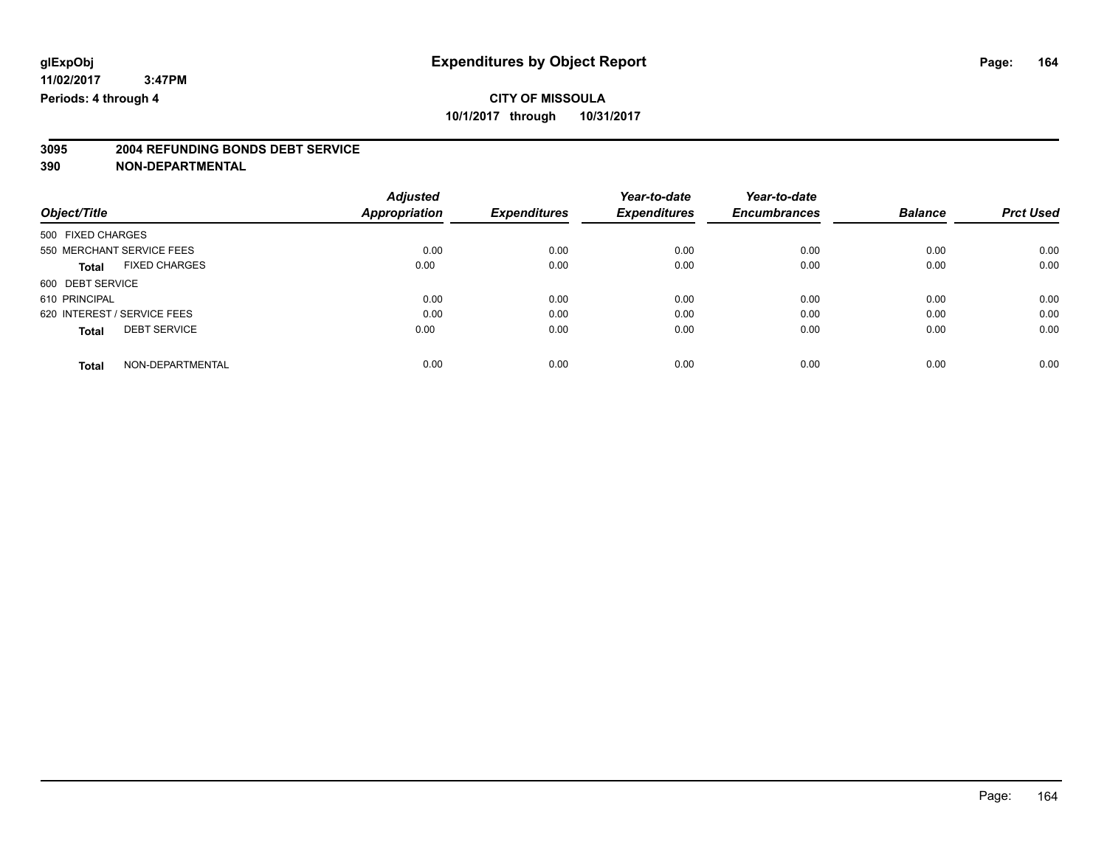# **3095 2004 REFUNDING BONDS DEBT SERVICE**

|                                      | <b>Adjusted</b> |                     | Year-to-date        | Year-to-date        |                |                  |
|--------------------------------------|-----------------|---------------------|---------------------|---------------------|----------------|------------------|
| Object/Title                         | Appropriation   | <b>Expenditures</b> | <b>Expenditures</b> | <b>Encumbrances</b> | <b>Balance</b> | <b>Prct Used</b> |
| 500 FIXED CHARGES                    |                 |                     |                     |                     |                |                  |
| 550 MERCHANT SERVICE FEES            | 0.00            | 0.00                | 0.00                | 0.00                | 0.00           | 0.00             |
| <b>FIXED CHARGES</b><br><b>Total</b> | 0.00            | 0.00                | 0.00                | 0.00                | 0.00           | 0.00             |
| 600 DEBT SERVICE                     |                 |                     |                     |                     |                |                  |
| 610 PRINCIPAL                        | 0.00            | 0.00                | 0.00                | 0.00                | 0.00           | 0.00             |
| 620 INTEREST / SERVICE FEES          | 0.00            | 0.00                | 0.00                | 0.00                | 0.00           | 0.00             |
| <b>DEBT SERVICE</b><br><b>Total</b>  | 0.00            | 0.00                | 0.00                | 0.00                | 0.00           | 0.00             |
| NON-DEPARTMENTAL<br><b>Total</b>     | 0.00            | 0.00                | 0.00                | 0.00                | 0.00           | 0.00             |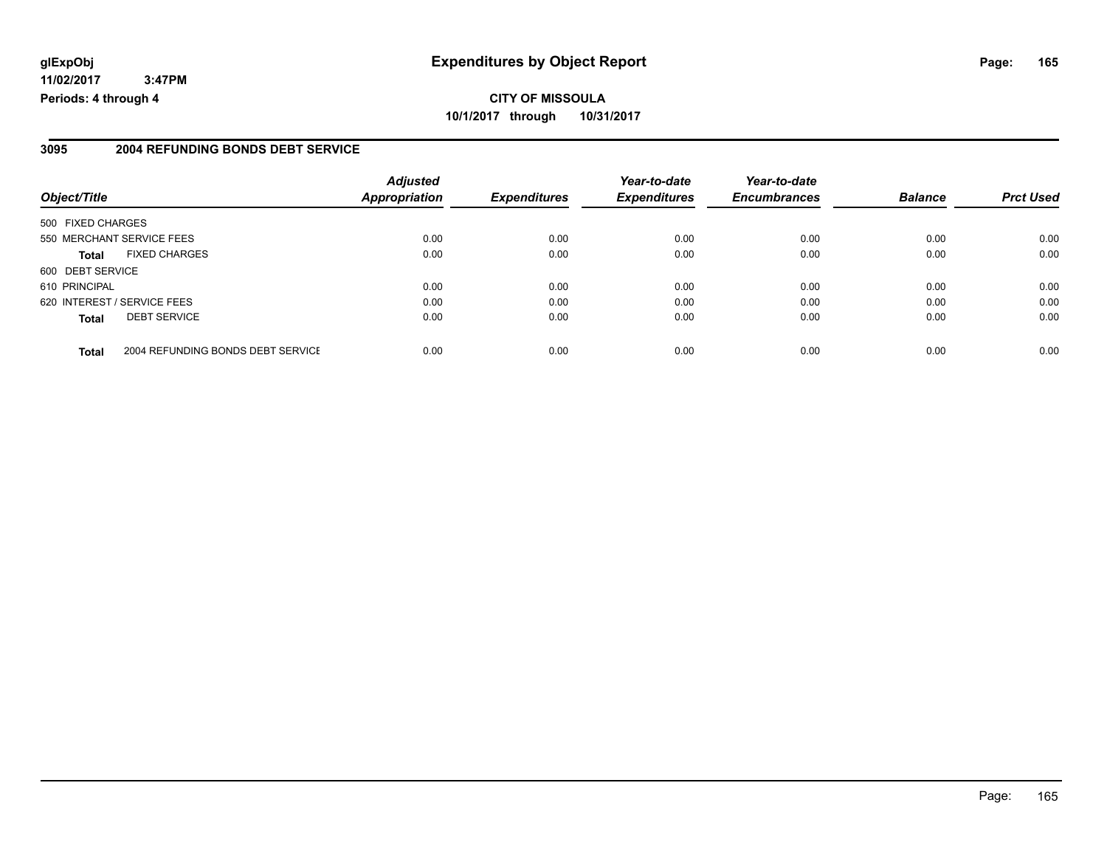# **glExpObj Expenditures by Object Report Page: 165**

**11/02/2017 3:47PM Periods: 4 through 4**

#### **3095 2004 REFUNDING BONDS DEBT SERVICE**

|                                                   | <b>Adjusted</b>      |                     | Year-to-date        | Year-to-date        |                |                  |
|---------------------------------------------------|----------------------|---------------------|---------------------|---------------------|----------------|------------------|
| Object/Title                                      | <b>Appropriation</b> | <b>Expenditures</b> | <b>Expenditures</b> | <b>Encumbrances</b> | <b>Balance</b> | <b>Prct Used</b> |
| 500 FIXED CHARGES                                 |                      |                     |                     |                     |                |                  |
| 550 MERCHANT SERVICE FEES                         | 0.00                 | 0.00                | 0.00                | 0.00                | 0.00           | 0.00             |
| <b>FIXED CHARGES</b><br><b>Total</b>              | 0.00                 | 0.00                | 0.00                | 0.00                | 0.00           | 0.00             |
| 600 DEBT SERVICE                                  |                      |                     |                     |                     |                |                  |
| 610 PRINCIPAL                                     | 0.00                 | 0.00                | 0.00                | 0.00                | 0.00           | 0.00             |
| 620 INTEREST / SERVICE FEES                       | 0.00                 | 0.00                | 0.00                | 0.00                | 0.00           | 0.00             |
| <b>DEBT SERVICE</b><br><b>Total</b>               | 0.00                 | 0.00                | 0.00                | 0.00                | 0.00           | 0.00             |
| 2004 REFUNDING BONDS DEBT SERVICE<br><b>Total</b> | 0.00                 | 0.00                | 0.00                | 0.00                | 0.00           | 0.00             |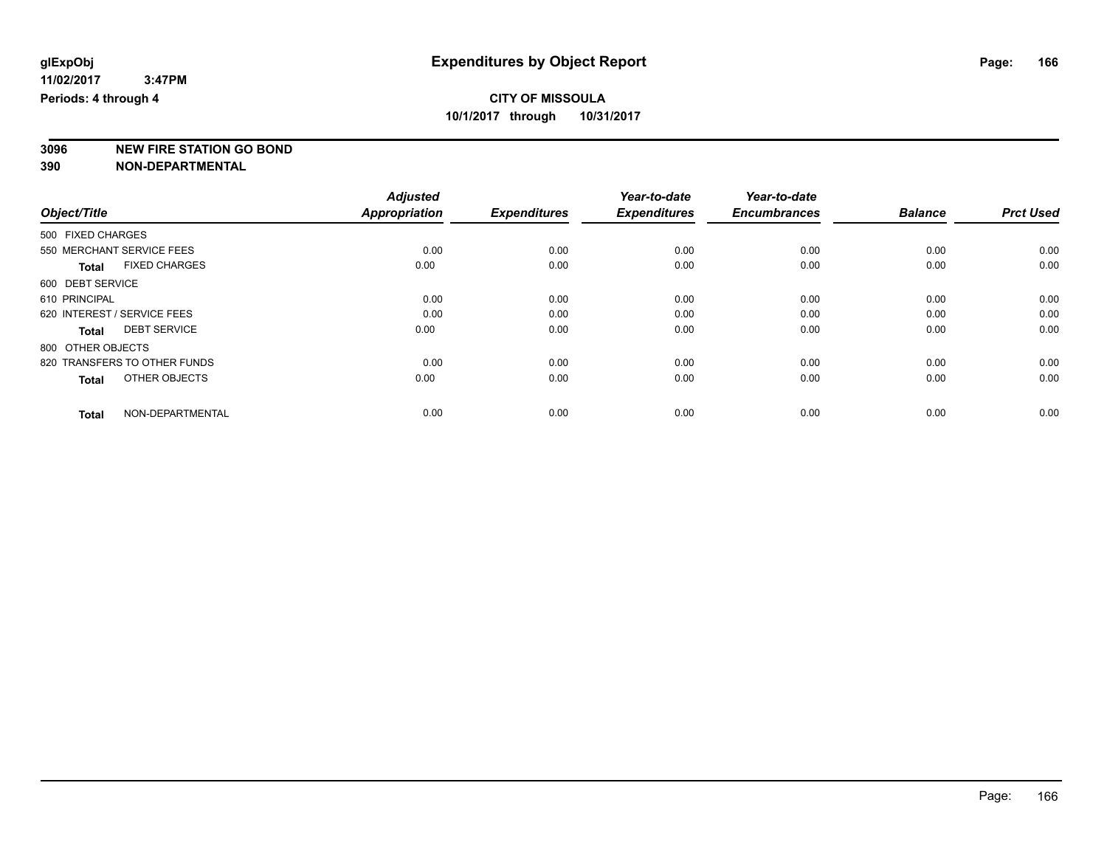**3096 NEW FIRE STATION GO BOND**

|                                      | <b>Adjusted</b>      |                     | Year-to-date        | Year-to-date        |                |                  |
|--------------------------------------|----------------------|---------------------|---------------------|---------------------|----------------|------------------|
| Object/Title                         | <b>Appropriation</b> | <b>Expenditures</b> | <b>Expenditures</b> | <b>Encumbrances</b> | <b>Balance</b> | <b>Prct Used</b> |
| 500 FIXED CHARGES                    |                      |                     |                     |                     |                |                  |
| 550 MERCHANT SERVICE FEES            | 0.00                 | 0.00                | 0.00                | 0.00                | 0.00           | 0.00             |
| <b>FIXED CHARGES</b><br><b>Total</b> | 0.00                 | 0.00                | 0.00                | 0.00                | 0.00           | 0.00             |
| 600 DEBT SERVICE                     |                      |                     |                     |                     |                |                  |
| 610 PRINCIPAL                        | 0.00                 | 0.00                | 0.00                | 0.00                | 0.00           | 0.00             |
| 620 INTEREST / SERVICE FEES          | 0.00                 | 0.00                | 0.00                | 0.00                | 0.00           | 0.00             |
| <b>DEBT SERVICE</b><br><b>Total</b>  | 0.00                 | 0.00                | 0.00                | 0.00                | 0.00           | 0.00             |
| 800 OTHER OBJECTS                    |                      |                     |                     |                     |                |                  |
| 820 TRANSFERS TO OTHER FUNDS         | 0.00                 | 0.00                | 0.00                | 0.00                | 0.00           | 0.00             |
| OTHER OBJECTS<br><b>Total</b>        | 0.00                 | 0.00                | 0.00                | 0.00                | 0.00           | 0.00             |
|                                      |                      |                     |                     |                     |                |                  |
| NON-DEPARTMENTAL<br><b>Total</b>     | 0.00                 | 0.00                | 0.00                | 0.00                | 0.00           | 0.00             |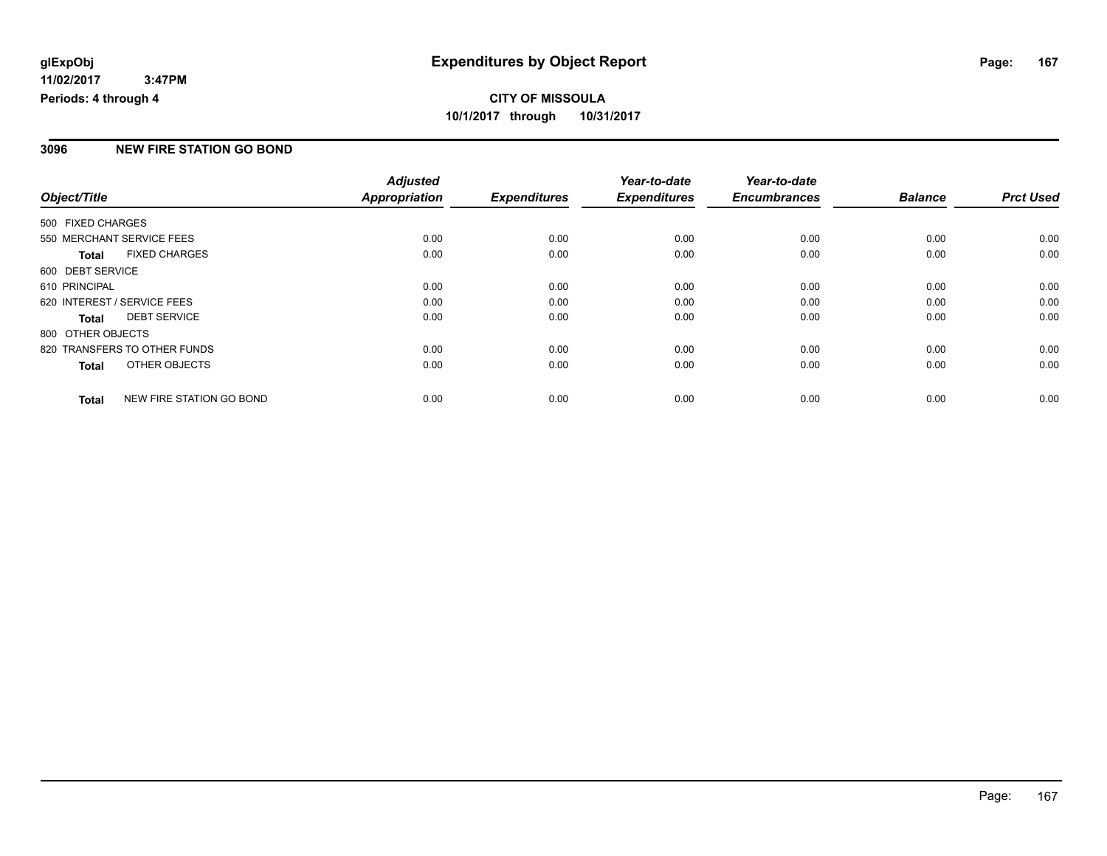### **3096 NEW FIRE STATION GO BOND**

|                             |                              | <b>Adjusted</b>      |                     | Year-to-date        | Year-to-date        |                |                  |
|-----------------------------|------------------------------|----------------------|---------------------|---------------------|---------------------|----------------|------------------|
| Object/Title                |                              | <b>Appropriation</b> | <b>Expenditures</b> | <b>Expenditures</b> | <b>Encumbrances</b> | <b>Balance</b> | <b>Prct Used</b> |
| 500 FIXED CHARGES           |                              |                      |                     |                     |                     |                |                  |
| 550 MERCHANT SERVICE FEES   |                              | 0.00                 | 0.00                | 0.00                | 0.00                | 0.00           | 0.00             |
| <b>Total</b>                | <b>FIXED CHARGES</b>         | 0.00                 | 0.00                | 0.00                | 0.00                | 0.00           | 0.00             |
| 600 DEBT SERVICE            |                              |                      |                     |                     |                     |                |                  |
| 610 PRINCIPAL               |                              | 0.00                 | 0.00                | 0.00                | 0.00                | 0.00           | 0.00             |
| 620 INTEREST / SERVICE FEES |                              | 0.00                 | 0.00                | 0.00                | 0.00                | 0.00           | 0.00             |
| Total                       | <b>DEBT SERVICE</b>          | 0.00                 | 0.00                | 0.00                | 0.00                | 0.00           | 0.00             |
| 800 OTHER OBJECTS           |                              |                      |                     |                     |                     |                |                  |
|                             | 820 TRANSFERS TO OTHER FUNDS | 0.00                 | 0.00                | 0.00                | 0.00                | 0.00           | 0.00             |
| <b>Total</b>                | OTHER OBJECTS                | 0.00                 | 0.00                | 0.00                | 0.00                | 0.00           | 0.00             |
| <b>Total</b>                | NEW FIRE STATION GO BOND     | 0.00                 | 0.00                | 0.00                | 0.00                | 0.00           | 0.00             |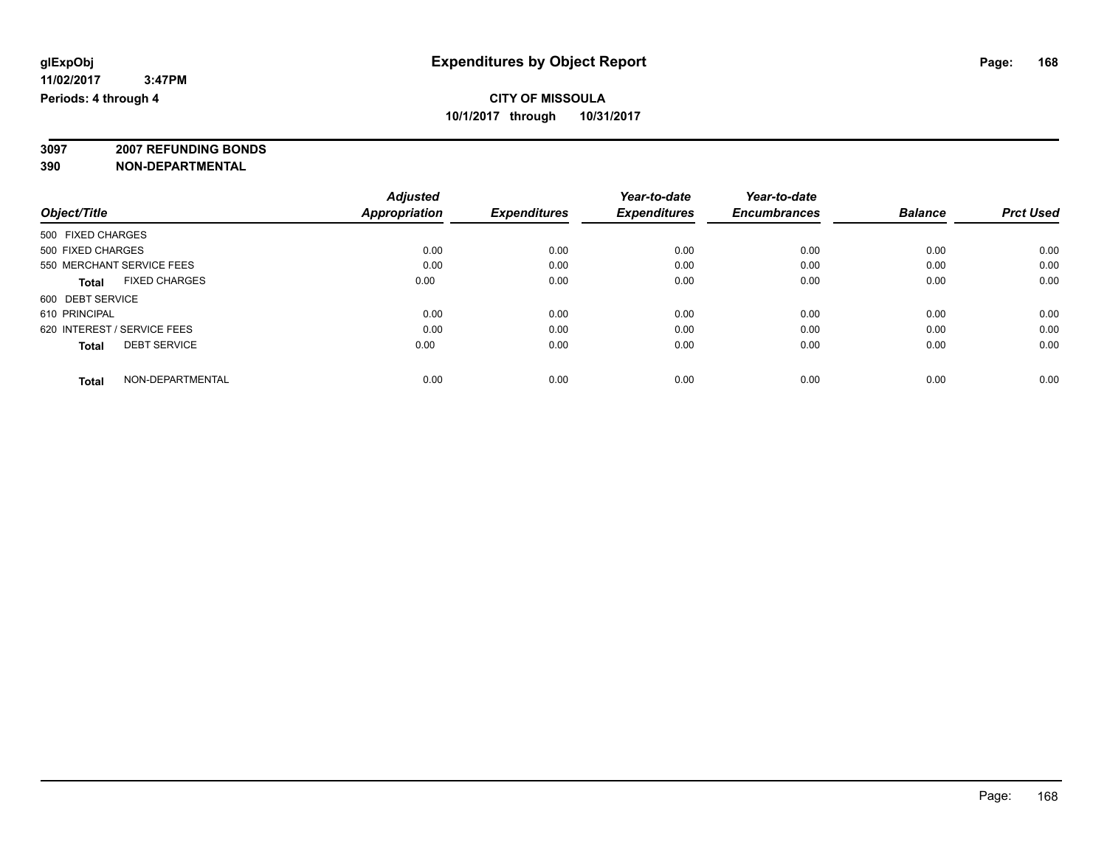**3097 2007 REFUNDING BONDS**

| Object/Title                         | <b>Adjusted</b><br><b>Appropriation</b> | <b>Expenditures</b> | Year-to-date<br><b>Expenditures</b> | Year-to-date<br><b>Encumbrances</b> | <b>Balance</b> | <b>Prct Used</b> |
|--------------------------------------|-----------------------------------------|---------------------|-------------------------------------|-------------------------------------|----------------|------------------|
|                                      |                                         |                     |                                     |                                     |                |                  |
| 500 FIXED CHARGES                    |                                         |                     |                                     |                                     |                |                  |
| 500 FIXED CHARGES                    | 0.00                                    | 0.00                | 0.00                                | 0.00                                | 0.00           | 0.00             |
| 550 MERCHANT SERVICE FEES            | 0.00                                    | 0.00                | 0.00                                | 0.00                                | 0.00           | 0.00             |
| <b>FIXED CHARGES</b><br><b>Total</b> | 0.00                                    | 0.00                | 0.00                                | 0.00                                | 0.00           | 0.00             |
| 600 DEBT SERVICE                     |                                         |                     |                                     |                                     |                |                  |
| 610 PRINCIPAL                        | 0.00                                    | 0.00                | 0.00                                | 0.00                                | 0.00           | 0.00             |
| 620 INTEREST / SERVICE FEES          | 0.00                                    | 0.00                | 0.00                                | 0.00                                | 0.00           | 0.00             |
| <b>DEBT SERVICE</b><br><b>Total</b>  | 0.00                                    | 0.00                | 0.00                                | 0.00                                | 0.00           | 0.00             |
| NON-DEPARTMENTAL<br><b>Total</b>     | 0.00                                    | 0.00                | 0.00                                | 0.00                                | 0.00           | 0.00             |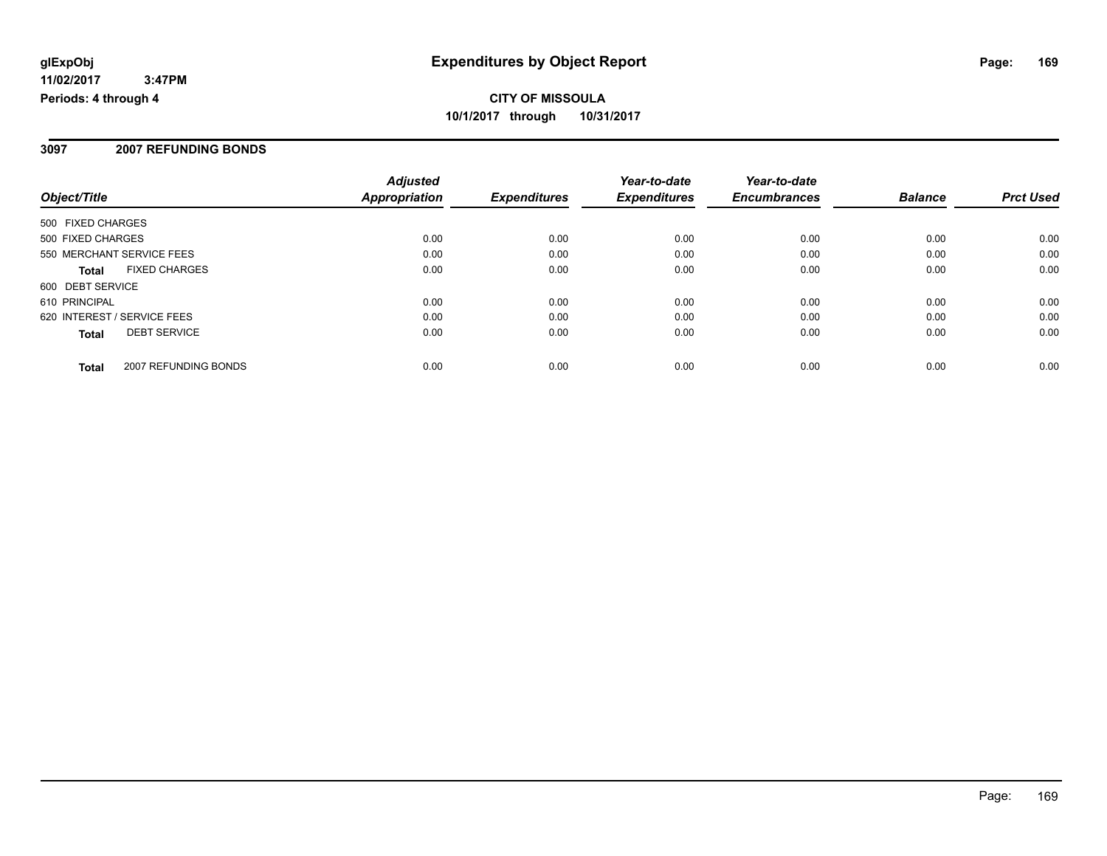#### **3097 2007 REFUNDING BONDS**

| Object/Title                |                      | <b>Adjusted</b><br><b>Appropriation</b> | <b>Expenditures</b> | Year-to-date<br><b>Expenditures</b> | Year-to-date<br><b>Encumbrances</b> | <b>Balance</b> | <b>Prct Used</b> |
|-----------------------------|----------------------|-----------------------------------------|---------------------|-------------------------------------|-------------------------------------|----------------|------------------|
|                             |                      |                                         |                     |                                     |                                     |                |                  |
| 500 FIXED CHARGES           |                      |                                         |                     |                                     |                                     |                |                  |
| 500 FIXED CHARGES           |                      | 0.00                                    | 0.00                | 0.00                                | 0.00                                | 0.00           | 0.00             |
| 550 MERCHANT SERVICE FEES   |                      | 0.00                                    | 0.00                | 0.00                                | 0.00                                | 0.00           | 0.00             |
| <b>Total</b>                | <b>FIXED CHARGES</b> | 0.00                                    | 0.00                | 0.00                                | 0.00                                | 0.00           | 0.00             |
| 600 DEBT SERVICE            |                      |                                         |                     |                                     |                                     |                |                  |
| 610 PRINCIPAL               |                      | 0.00                                    | 0.00                | 0.00                                | 0.00                                | 0.00           | 0.00             |
| 620 INTEREST / SERVICE FEES |                      | 0.00                                    | 0.00                | 0.00                                | 0.00                                | 0.00           | 0.00             |
| <b>Total</b>                | <b>DEBT SERVICE</b>  | 0.00                                    | 0.00                | 0.00                                | 0.00                                | 0.00           | 0.00             |
| <b>Total</b>                | 2007 REFUNDING BONDS | 0.00                                    | 0.00                | 0.00                                | 0.00                                | 0.00           | 0.00             |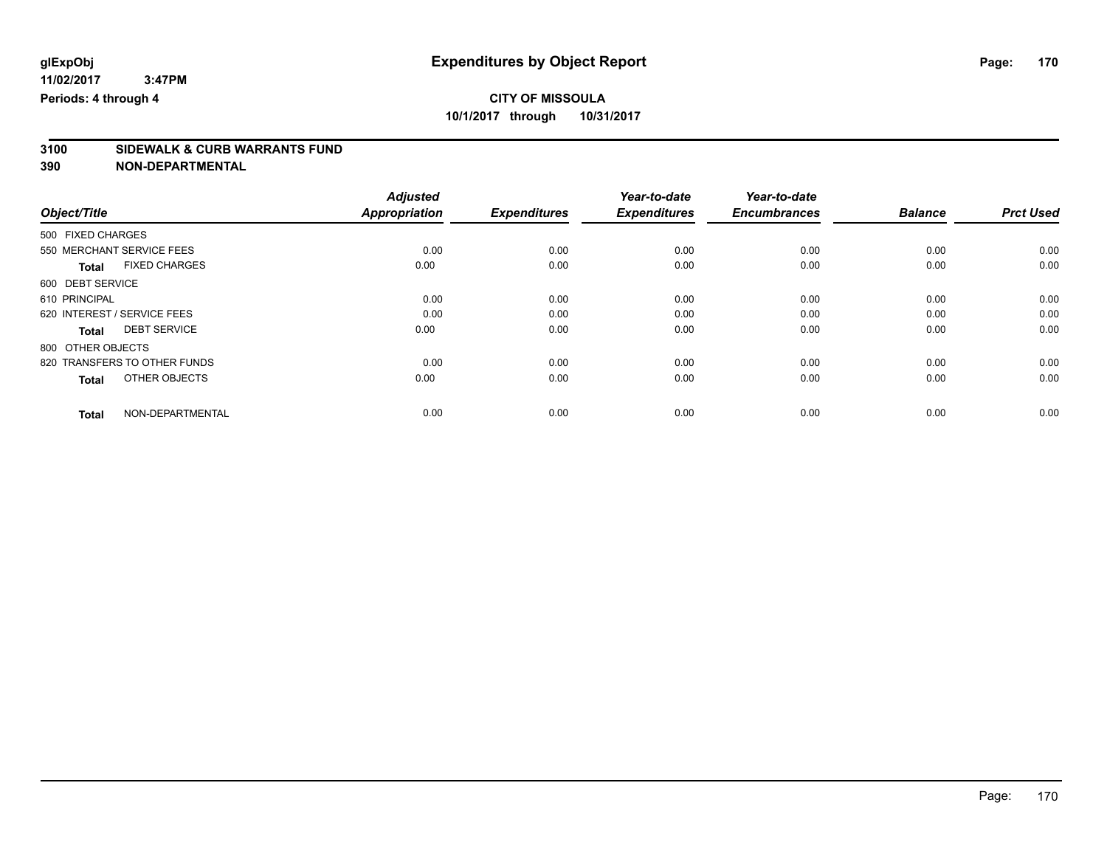# **3100 SIDEWALK & CURB WARRANTS FUND**

|                                      | <b>Adjusted</b>      |                     | Year-to-date        | Year-to-date        |                |                  |
|--------------------------------------|----------------------|---------------------|---------------------|---------------------|----------------|------------------|
| Object/Title                         | <b>Appropriation</b> | <b>Expenditures</b> | <b>Expenditures</b> | <b>Encumbrances</b> | <b>Balance</b> | <b>Prct Used</b> |
| 500 FIXED CHARGES                    |                      |                     |                     |                     |                |                  |
| 550 MERCHANT SERVICE FEES            | 0.00                 | 0.00                | 0.00                | 0.00                | 0.00           | 0.00             |
| <b>FIXED CHARGES</b><br><b>Total</b> | 0.00                 | 0.00                | 0.00                | 0.00                | 0.00           | 0.00             |
| 600 DEBT SERVICE                     |                      |                     |                     |                     |                |                  |
| 610 PRINCIPAL                        | 0.00                 | 0.00                | 0.00                | 0.00                | 0.00           | 0.00             |
| 620 INTEREST / SERVICE FEES          | 0.00                 | 0.00                | 0.00                | 0.00                | 0.00           | 0.00             |
| <b>DEBT SERVICE</b><br><b>Total</b>  | 0.00                 | 0.00                | 0.00                | 0.00                | 0.00           | 0.00             |
| 800 OTHER OBJECTS                    |                      |                     |                     |                     |                |                  |
| 820 TRANSFERS TO OTHER FUNDS         | 0.00                 | 0.00                | 0.00                | 0.00                | 0.00           | 0.00             |
| OTHER OBJECTS<br><b>Total</b>        | 0.00                 | 0.00                | 0.00                | 0.00                | 0.00           | 0.00             |
|                                      |                      |                     |                     |                     |                |                  |
| NON-DEPARTMENTAL<br><b>Total</b>     | 0.00                 | 0.00                | 0.00                | 0.00                | 0.00           | 0.00             |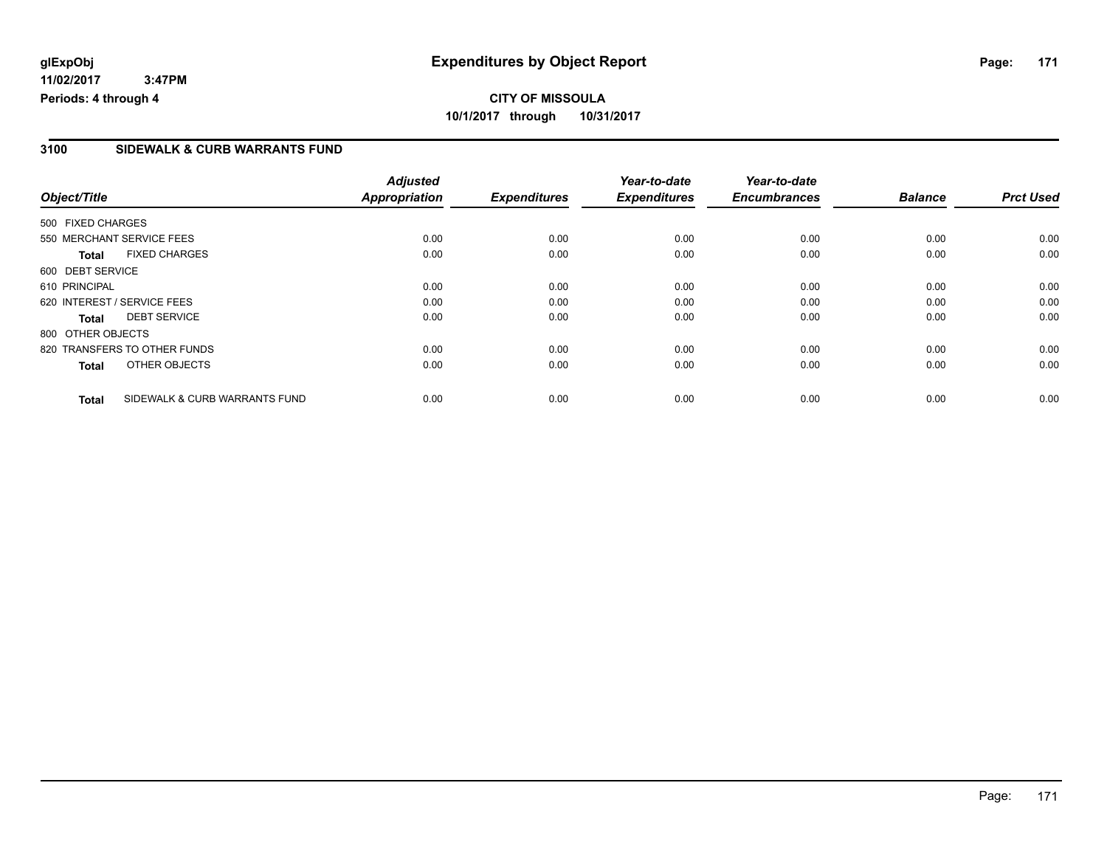# **CITY OF MISSOULA 10/1/2017 through 10/31/2017**

### **3100 SIDEWALK & CURB WARRANTS FUND**

|                   |                               | <b>Adjusted</b>      |                     | Year-to-date        | Year-to-date        |                |                  |
|-------------------|-------------------------------|----------------------|---------------------|---------------------|---------------------|----------------|------------------|
| Object/Title      |                               | <b>Appropriation</b> | <b>Expenditures</b> | <b>Expenditures</b> | <b>Encumbrances</b> | <b>Balance</b> | <b>Prct Used</b> |
| 500 FIXED CHARGES |                               |                      |                     |                     |                     |                |                  |
|                   | 550 MERCHANT SERVICE FEES     | 0.00                 | 0.00                | 0.00                | 0.00                | 0.00           | 0.00             |
| <b>Total</b>      | <b>FIXED CHARGES</b>          | 0.00                 | 0.00                | 0.00                | 0.00                | 0.00           | 0.00             |
| 600 DEBT SERVICE  |                               |                      |                     |                     |                     |                |                  |
| 610 PRINCIPAL     |                               | 0.00                 | 0.00                | 0.00                | 0.00                | 0.00           | 0.00             |
|                   | 620 INTEREST / SERVICE FEES   | 0.00                 | 0.00                | 0.00                | 0.00                | 0.00           | 0.00             |
| <b>Total</b>      | <b>DEBT SERVICE</b>           | 0.00                 | 0.00                | 0.00                | 0.00                | 0.00           | 0.00             |
| 800 OTHER OBJECTS |                               |                      |                     |                     |                     |                |                  |
|                   | 820 TRANSFERS TO OTHER FUNDS  | 0.00                 | 0.00                | 0.00                | 0.00                | 0.00           | 0.00             |
| <b>Total</b>      | OTHER OBJECTS                 | 0.00                 | 0.00                | 0.00                | 0.00                | 0.00           | 0.00             |
| <b>Total</b>      | SIDEWALK & CURB WARRANTS FUND | 0.00                 | 0.00                | 0.00                | 0.00                | 0.00           | 0.00             |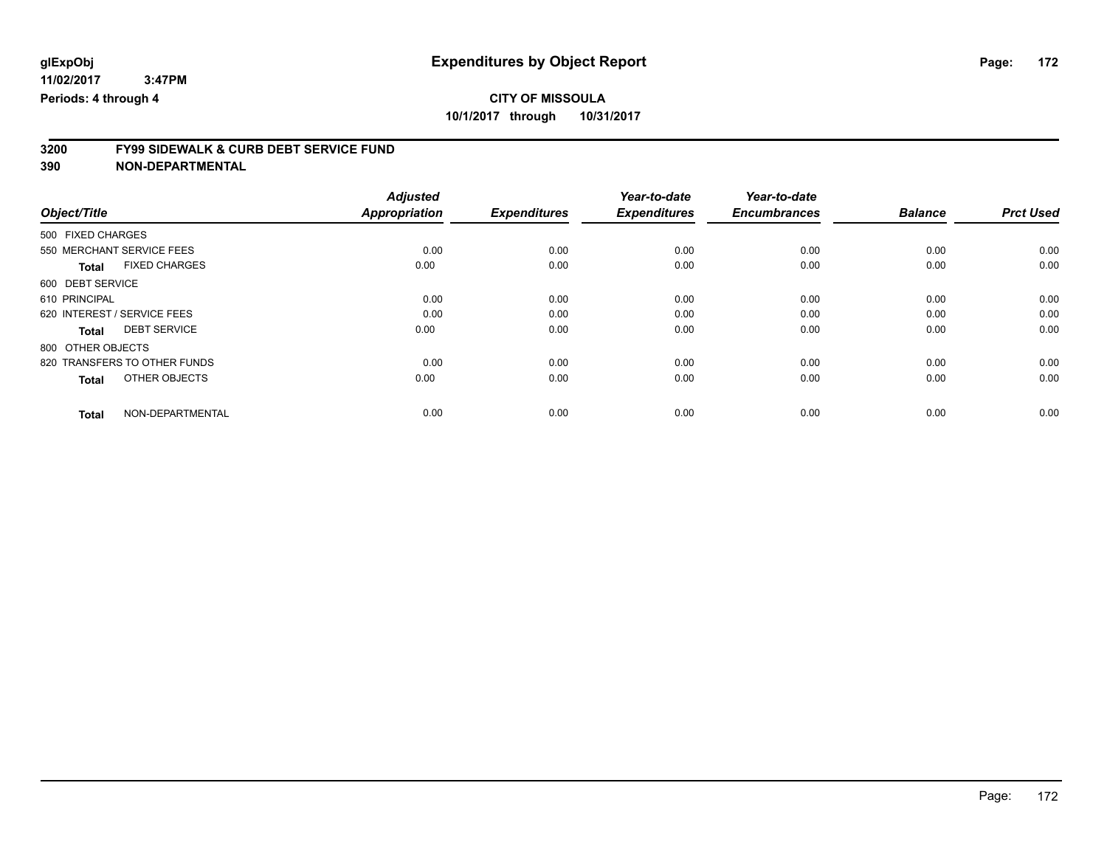# **3200 FY99 SIDEWALK & CURB DEBT SERVICE FUND**

|                                      | <b>Adjusted</b>      |                     | Year-to-date        | Year-to-date        |                |                  |
|--------------------------------------|----------------------|---------------------|---------------------|---------------------|----------------|------------------|
| Object/Title                         | <b>Appropriation</b> | <b>Expenditures</b> | <b>Expenditures</b> | <b>Encumbrances</b> | <b>Balance</b> | <b>Prct Used</b> |
| 500 FIXED CHARGES                    |                      |                     |                     |                     |                |                  |
| 550 MERCHANT SERVICE FEES            | 0.00                 | 0.00                | 0.00                | 0.00                | 0.00           | 0.00             |
| <b>FIXED CHARGES</b><br><b>Total</b> | 0.00                 | 0.00                | 0.00                | 0.00                | 0.00           | 0.00             |
| 600 DEBT SERVICE                     |                      |                     |                     |                     |                |                  |
| 610 PRINCIPAL                        | 0.00                 | 0.00                | 0.00                | 0.00                | 0.00           | 0.00             |
| 620 INTEREST / SERVICE FEES          | 0.00                 | 0.00                | 0.00                | 0.00                | 0.00           | 0.00             |
| <b>DEBT SERVICE</b><br><b>Total</b>  | 0.00                 | 0.00                | 0.00                | 0.00                | 0.00           | 0.00             |
| 800 OTHER OBJECTS                    |                      |                     |                     |                     |                |                  |
| 820 TRANSFERS TO OTHER FUNDS         | 0.00                 | 0.00                | 0.00                | 0.00                | 0.00           | 0.00             |
| OTHER OBJECTS<br><b>Total</b>        | 0.00                 | 0.00                | 0.00                | 0.00                | 0.00           | 0.00             |
|                                      |                      |                     |                     |                     |                |                  |
| NON-DEPARTMENTAL<br><b>Total</b>     | 0.00                 | 0.00                | 0.00                | 0.00                | 0.00           | 0.00             |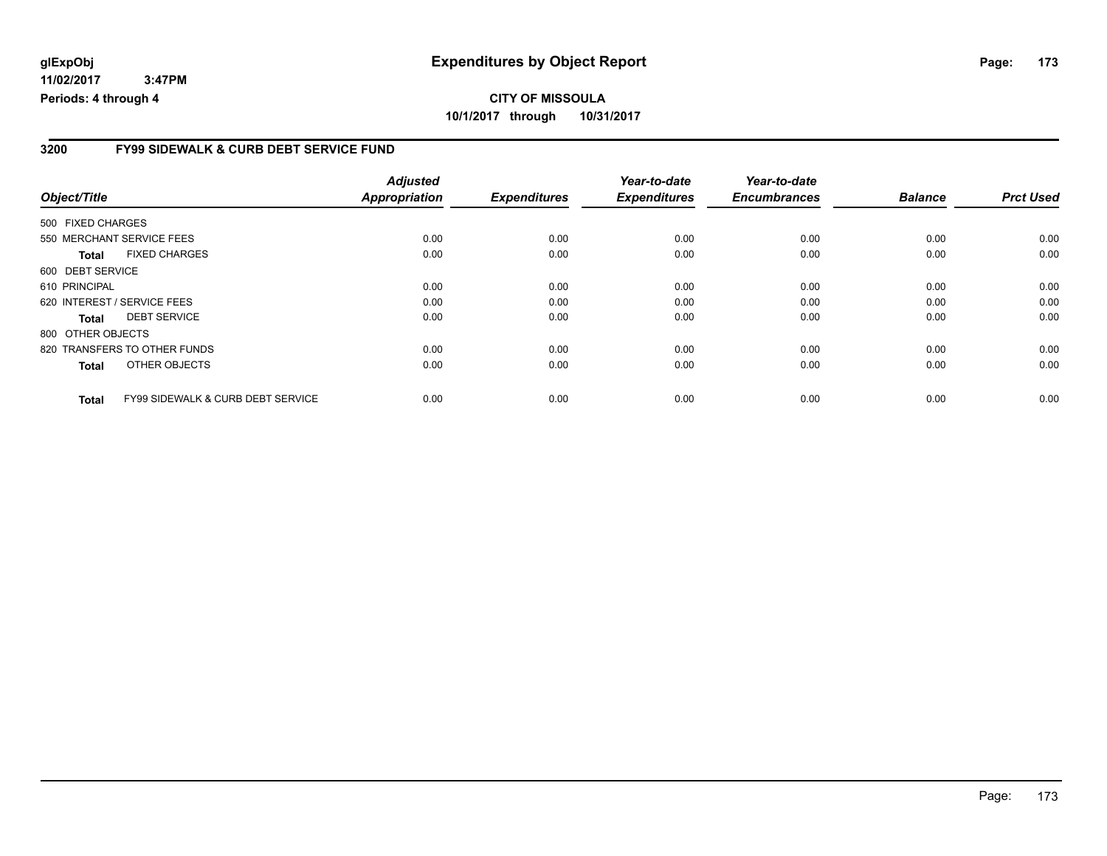#### **3200 FY99 SIDEWALK & CURB DEBT SERVICE FUND**

|                   |                                              | <b>Adjusted</b>      |                     | Year-to-date        | Year-to-date        |                |                  |
|-------------------|----------------------------------------------|----------------------|---------------------|---------------------|---------------------|----------------|------------------|
| Object/Title      |                                              | <b>Appropriation</b> | <b>Expenditures</b> | <b>Expenditures</b> | <b>Encumbrances</b> | <b>Balance</b> | <b>Prct Used</b> |
| 500 FIXED CHARGES |                                              |                      |                     |                     |                     |                |                  |
|                   | 550 MERCHANT SERVICE FEES                    | 0.00                 | 0.00                | 0.00                | 0.00                | 0.00           | 0.00             |
| Total             | <b>FIXED CHARGES</b>                         | 0.00                 | 0.00                | 0.00                | 0.00                | 0.00           | 0.00             |
| 600 DEBT SERVICE  |                                              |                      |                     |                     |                     |                |                  |
| 610 PRINCIPAL     |                                              | 0.00                 | 0.00                | 0.00                | 0.00                | 0.00           | 0.00             |
|                   | 620 INTEREST / SERVICE FEES                  | 0.00                 | 0.00                | 0.00                | 0.00                | 0.00           | 0.00             |
| Total             | <b>DEBT SERVICE</b>                          | 0.00                 | 0.00                | 0.00                | 0.00                | 0.00           | 0.00             |
| 800 OTHER OBJECTS |                                              |                      |                     |                     |                     |                |                  |
|                   | 820 TRANSFERS TO OTHER FUNDS                 | 0.00                 | 0.00                | 0.00                | 0.00                | 0.00           | 0.00             |
| <b>Total</b>      | OTHER OBJECTS                                | 0.00                 | 0.00                | 0.00                | 0.00                | 0.00           | 0.00             |
| <b>Total</b>      | <b>FY99 SIDEWALK &amp; CURB DEBT SERVICE</b> | 0.00                 | 0.00                | 0.00                | 0.00                | 0.00           | 0.00             |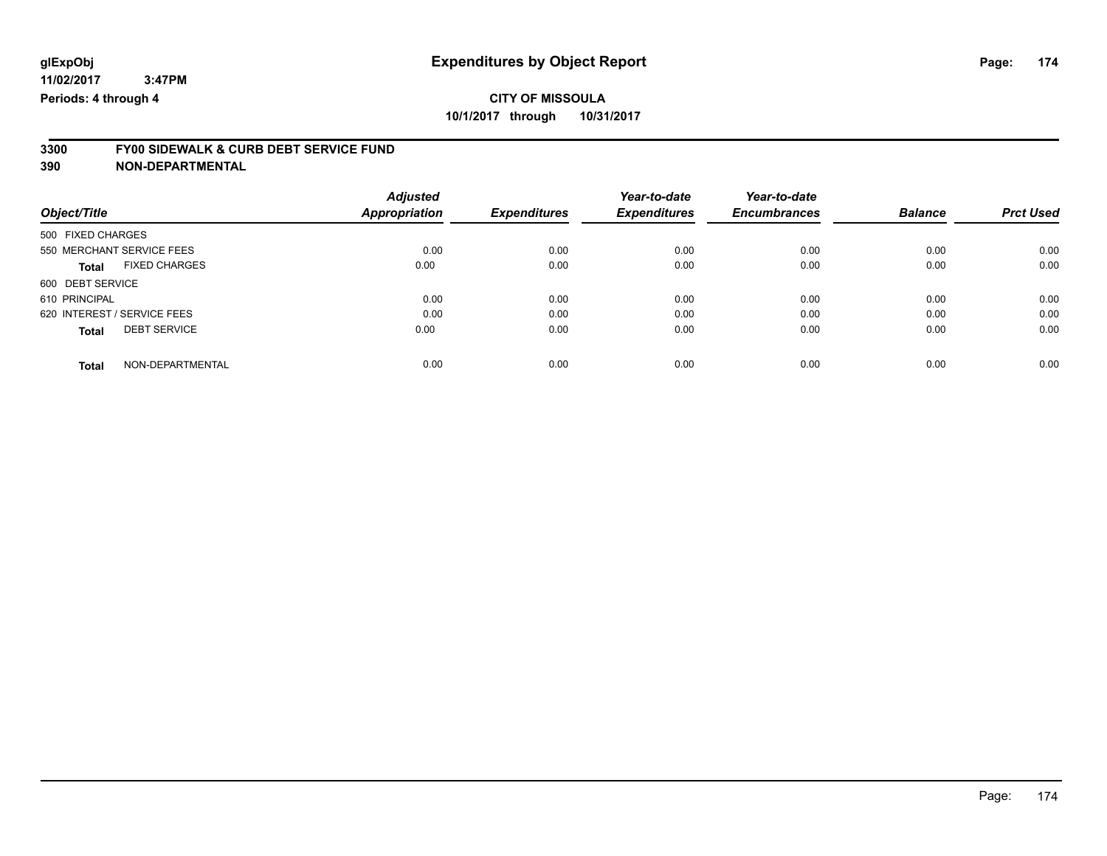# **3300 FY00 SIDEWALK & CURB DEBT SERVICE FUND**

|                                      | <b>Adjusted</b>      |                     | Year-to-date<br><b>Expenditures</b> | Year-to-date<br><b>Encumbrances</b> | <b>Balance</b> | <b>Prct Used</b> |
|--------------------------------------|----------------------|---------------------|-------------------------------------|-------------------------------------|----------------|------------------|
| Object/Title                         | <b>Appropriation</b> | <b>Expenditures</b> |                                     |                                     |                |                  |
| 500 FIXED CHARGES                    |                      |                     |                                     |                                     |                |                  |
| 550 MERCHANT SERVICE FEES            | 0.00                 | 0.00                | 0.00                                | 0.00                                | 0.00           | 0.00             |
| <b>FIXED CHARGES</b><br><b>Total</b> | 0.00                 | 0.00                | 0.00                                | 0.00                                | 0.00           | 0.00             |
| 600 DEBT SERVICE                     |                      |                     |                                     |                                     |                |                  |
| 610 PRINCIPAL                        | 0.00                 | 0.00                | 0.00                                | 0.00                                | 0.00           | 0.00             |
| 620 INTEREST / SERVICE FEES          | 0.00                 | 0.00                | 0.00                                | 0.00                                | 0.00           | 0.00             |
| <b>DEBT SERVICE</b><br><b>Total</b>  | 0.00                 | 0.00                | 0.00                                | 0.00                                | 0.00           | 0.00             |
| NON-DEPARTMENTAL<br><b>Total</b>     | 0.00                 | 0.00                | 0.00                                | 0.00                                | 0.00           | 0.00             |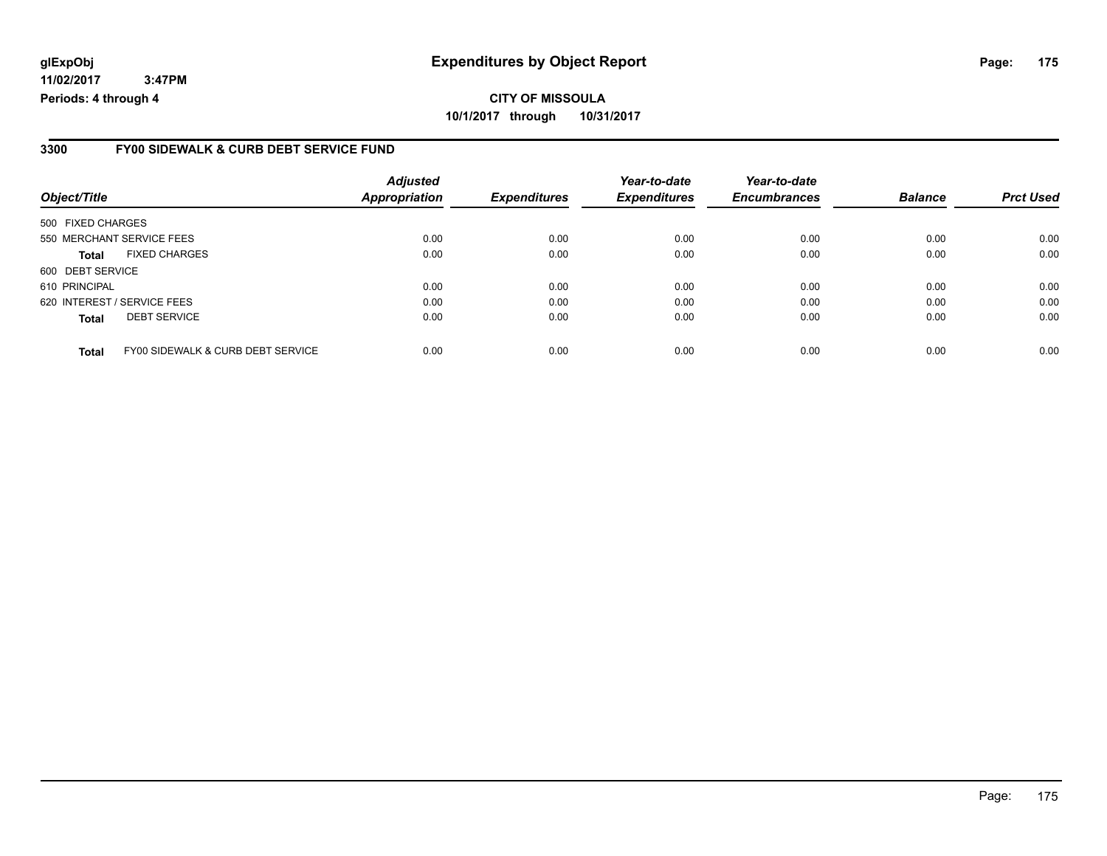### **3300 FY00 SIDEWALK & CURB DEBT SERVICE FUND**

| Object/Title                |                                   | <b>Adjusted</b><br>Appropriation | <b>Expenditures</b> | Year-to-date<br><b>Expenditures</b> | Year-to-date<br><b>Encumbrances</b> | <b>Balance</b> | <b>Prct Used</b> |
|-----------------------------|-----------------------------------|----------------------------------|---------------------|-------------------------------------|-------------------------------------|----------------|------------------|
| 500 FIXED CHARGES           |                                   |                                  |                     |                                     |                                     |                |                  |
|                             | 550 MERCHANT SERVICE FEES         | 0.00                             | 0.00                | 0.00                                | 0.00                                | 0.00           | 0.00             |
| <b>Total</b>                | <b>FIXED CHARGES</b>              | 0.00                             | 0.00                | 0.00                                | 0.00                                | 0.00           | 0.00             |
| 600 DEBT SERVICE            |                                   |                                  |                     |                                     |                                     |                |                  |
| 610 PRINCIPAL               |                                   | 0.00                             | 0.00                | 0.00                                | 0.00                                | 0.00           | 0.00             |
| 620 INTEREST / SERVICE FEES |                                   | 0.00                             | 0.00                | 0.00                                | 0.00                                | 0.00           | 0.00             |
| <b>Total</b>                | <b>DEBT SERVICE</b>               | 0.00                             | 0.00                | 0.00                                | 0.00                                | 0.00           | 0.00             |
| <b>Total</b>                | FY00 SIDEWALK & CURB DEBT SERVICE | 0.00                             | 0.00                | 0.00                                | 0.00                                | 0.00           | 0.00             |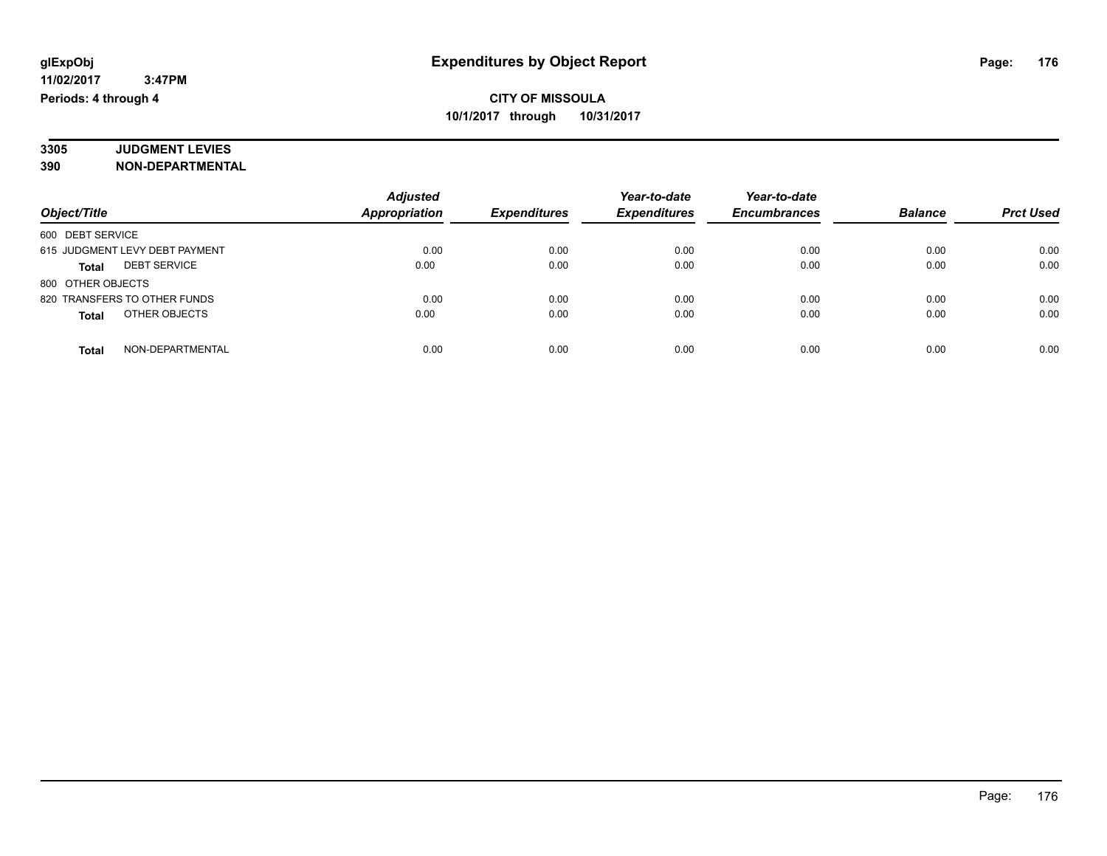#### **3305 JUDGMENT LEVIES 390 NON-DEPARTMENTAL**

| Object/Title                        | <b>Adjusted</b><br>Appropriation | <b>Expenditures</b> | Year-to-date<br><b>Expenditures</b> | Year-to-date<br><b>Encumbrances</b> | <b>Balance</b> | <b>Prct Used</b> |
|-------------------------------------|----------------------------------|---------------------|-------------------------------------|-------------------------------------|----------------|------------------|
| 600 DEBT SERVICE                    |                                  |                     |                                     |                                     |                |                  |
| 615 JUDGMENT LEVY DEBT PAYMENT      | 0.00                             | 0.00                | 0.00                                | 0.00                                | 0.00           | 0.00             |
| <b>DEBT SERVICE</b><br><b>Total</b> | 0.00                             | 0.00                | 0.00                                | 0.00                                | 0.00           | 0.00             |
| 800 OTHER OBJECTS                   |                                  |                     |                                     |                                     |                |                  |
| 820 TRANSFERS TO OTHER FUNDS        | 0.00                             | 0.00                | 0.00                                | 0.00                                | 0.00           | 0.00             |
| OTHER OBJECTS<br><b>Total</b>       | 0.00                             | 0.00                | 0.00                                | 0.00                                | 0.00           | 0.00             |
| NON-DEPARTMENTAL<br>Total           | 0.00                             | 0.00                | 0.00                                | 0.00                                | 0.00           | 0.00             |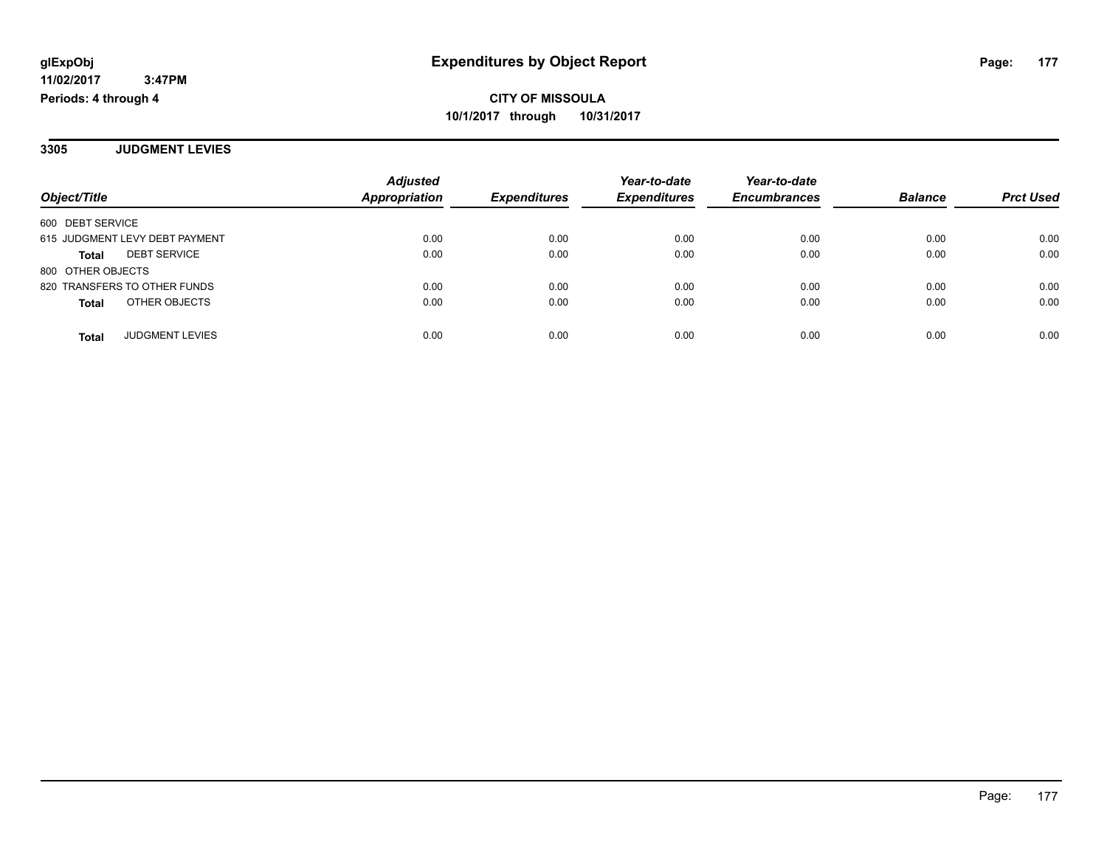**3305 JUDGMENT LEVIES**

|                                     | <b>Adjusted</b><br>Appropriation | <b>Expenditures</b> | Year-to-date<br><b>Expenditures</b> | Year-to-date        | <b>Balance</b> |                  |
|-------------------------------------|----------------------------------|---------------------|-------------------------------------|---------------------|----------------|------------------|
| Object/Title                        |                                  |                     |                                     | <b>Encumbrances</b> |                | <b>Prct Used</b> |
| 600 DEBT SERVICE                    |                                  |                     |                                     |                     |                |                  |
| 615 JUDGMENT LEVY DEBT PAYMENT      | 0.00                             | 0.00                | 0.00                                | 0.00                | 0.00           | 0.00             |
| <b>DEBT SERVICE</b><br><b>Total</b> | 0.00                             | 0.00                | 0.00                                | 0.00                | 0.00           | 0.00             |
| 800 OTHER OBJECTS                   |                                  |                     |                                     |                     |                |                  |
| 820 TRANSFERS TO OTHER FUNDS        | 0.00                             | 0.00                | 0.00                                | 0.00                | 0.00           | 0.00             |
| OTHER OBJECTS<br><b>Total</b>       | 0.00                             | 0.00                | 0.00                                | 0.00                | 0.00           | 0.00             |
| <b>JUDGMENT LEVIES</b><br>Total     | 0.00                             | 0.00                | 0.00                                | 0.00                | 0.00           | 0.00             |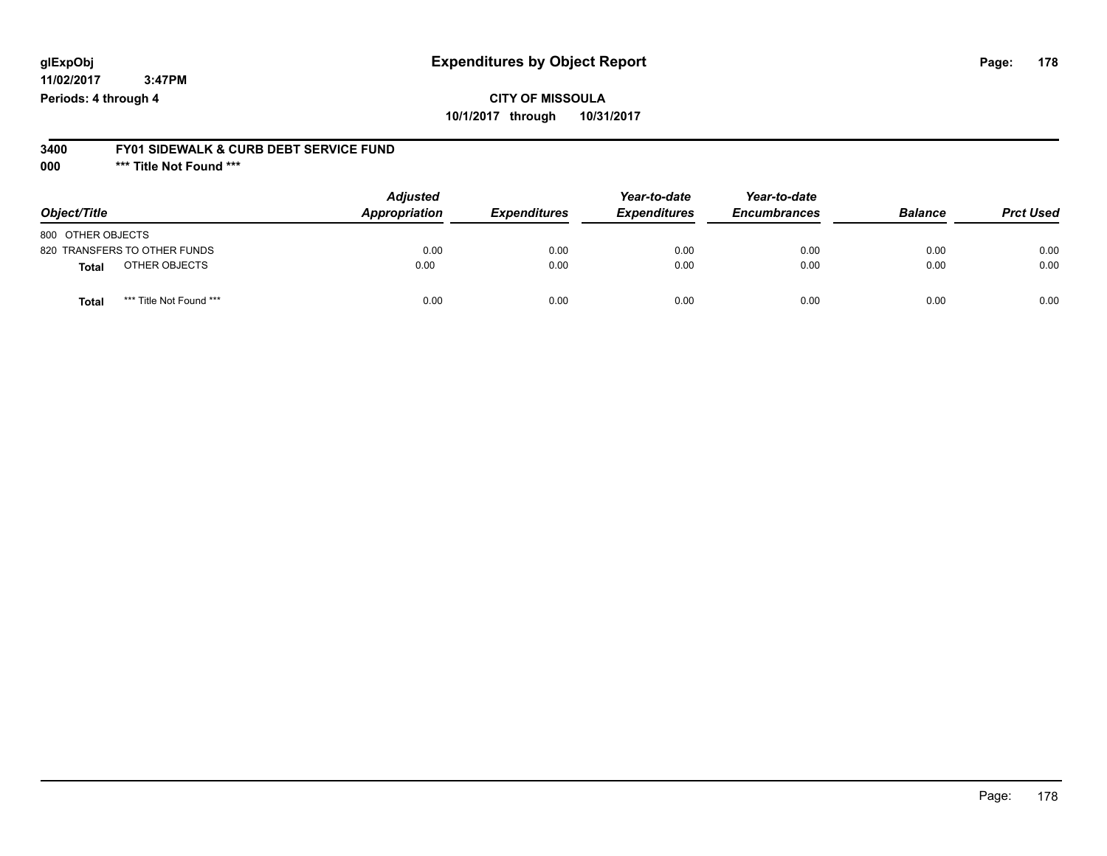## **CITY OF MISSOULA 10/1/2017 through 10/31/2017**

#### **3400 FY01 SIDEWALK & CURB DEBT SERVICE FUND**

**000 \*\*\* Title Not Found \*\*\***

| Object/Title                            | <b>Adjusted</b><br>Appropriation | <b>Expenditures</b> | Year-to-date<br><b>Expenditures</b> | Year-to-date<br><b>Encumbrances</b> | <b>Balance</b> | <b>Prct Used</b> |
|-----------------------------------------|----------------------------------|---------------------|-------------------------------------|-------------------------------------|----------------|------------------|
| 800 OTHER OBJECTS                       |                                  |                     |                                     |                                     |                |                  |
| 820 TRANSFERS TO OTHER FUNDS            | 0.00                             | 0.00                | 0.00                                | 0.00                                | 0.00           | 0.00             |
| OTHER OBJECTS<br>Total                  | 0.00                             | 0.00                | 0.00                                | 0.00                                | 0.00           | 0.00             |
| *** Title Not Found ***<br><b>Total</b> | 0.00                             | 0.00                | 0.00                                | 0.00                                | 0.00           | 0.00             |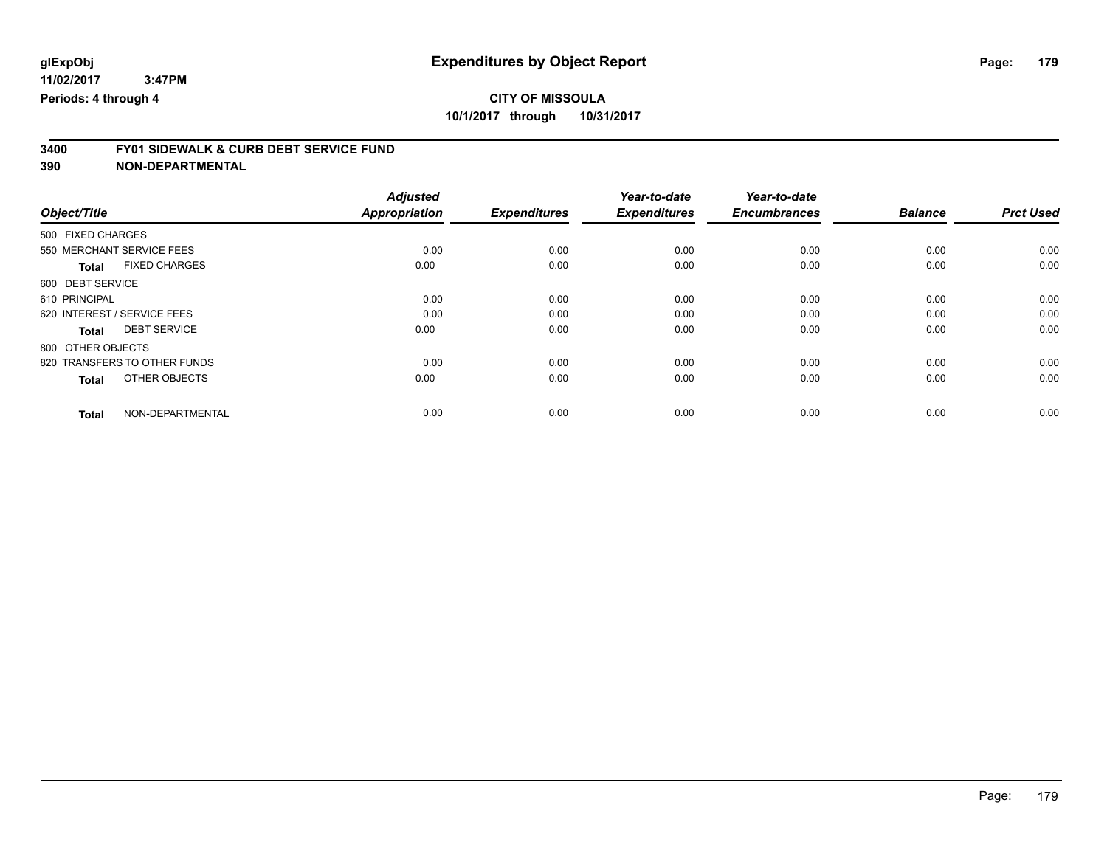# **3400 FY01 SIDEWALK & CURB DEBT SERVICE FUND**

|                                      | <b>Adjusted</b>      |                     | Year-to-date        | Year-to-date        |                |                  |
|--------------------------------------|----------------------|---------------------|---------------------|---------------------|----------------|------------------|
| Object/Title                         | <b>Appropriation</b> | <b>Expenditures</b> | <b>Expenditures</b> | <b>Encumbrances</b> | <b>Balance</b> | <b>Prct Used</b> |
| 500 FIXED CHARGES                    |                      |                     |                     |                     |                |                  |
| 550 MERCHANT SERVICE FEES            | 0.00                 | 0.00                | 0.00                | 0.00                | 0.00           | 0.00             |
| <b>FIXED CHARGES</b><br><b>Total</b> | 0.00                 | 0.00                | 0.00                | 0.00                | 0.00           | 0.00             |
| 600 DEBT SERVICE                     |                      |                     |                     |                     |                |                  |
| 610 PRINCIPAL                        | 0.00                 | 0.00                | 0.00                | 0.00                | 0.00           | 0.00             |
| 620 INTEREST / SERVICE FEES          | 0.00                 | 0.00                | 0.00                | 0.00                | 0.00           | 0.00             |
| <b>DEBT SERVICE</b><br><b>Total</b>  | 0.00                 | 0.00                | 0.00                | 0.00                | 0.00           | 0.00             |
| 800 OTHER OBJECTS                    |                      |                     |                     |                     |                |                  |
| 820 TRANSFERS TO OTHER FUNDS         | 0.00                 | 0.00                | 0.00                | 0.00                | 0.00           | 0.00             |
| OTHER OBJECTS<br><b>Total</b>        | 0.00                 | 0.00                | 0.00                | 0.00                | 0.00           | 0.00             |
|                                      |                      |                     |                     |                     |                |                  |
| NON-DEPARTMENTAL<br><b>Total</b>     | 0.00                 | 0.00                | 0.00                | 0.00                | 0.00           | 0.00             |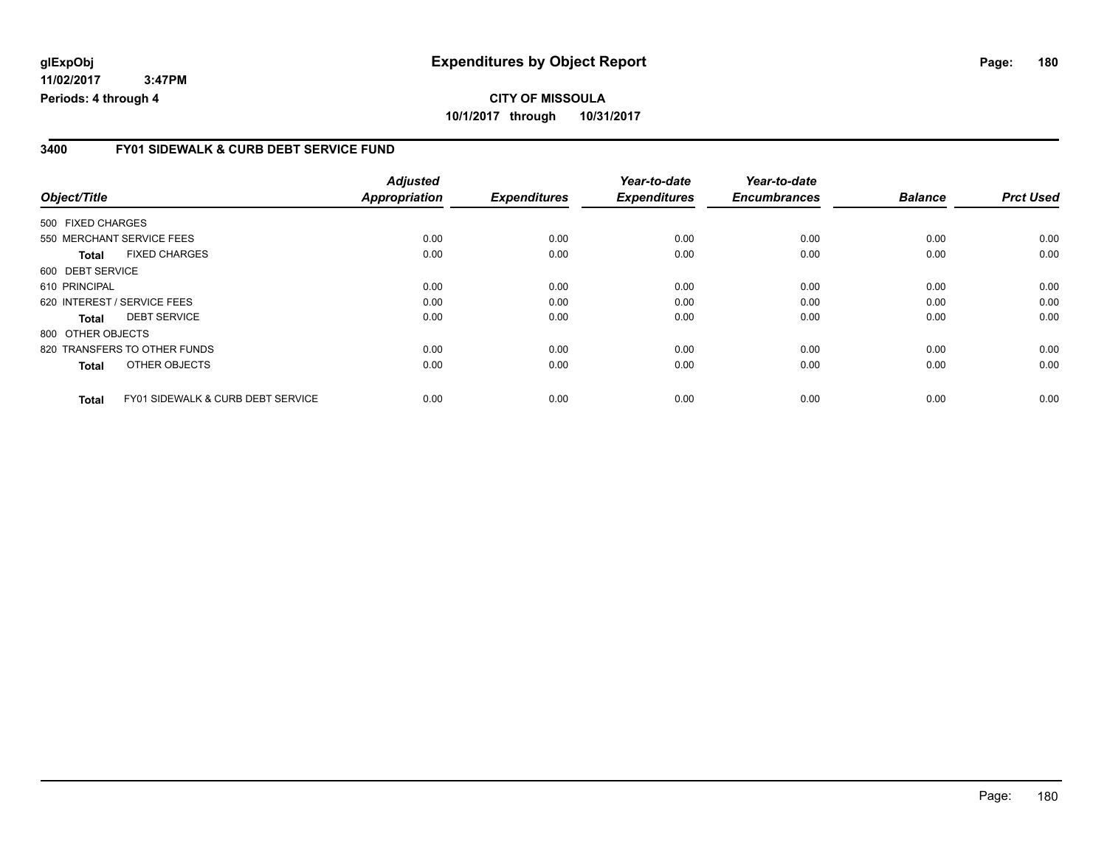# **CITY OF MISSOULA 10/1/2017 through 10/31/2017**

### **3400 FY01 SIDEWALK & CURB DEBT SERVICE FUND**

| Object/Title              |                                              | <b>Adjusted</b><br>Appropriation | <b>Expenditures</b> | Year-to-date<br><b>Expenditures</b> | Year-to-date<br><b>Encumbrances</b> | <b>Balance</b> | <b>Prct Used</b> |
|---------------------------|----------------------------------------------|----------------------------------|---------------------|-------------------------------------|-------------------------------------|----------------|------------------|
|                           |                                              |                                  |                     |                                     |                                     |                |                  |
| 550 MERCHANT SERVICE FEES |                                              | 0.00                             | 0.00                | 0.00                                | 0.00                                | 0.00           | 0.00             |
| Total                     | <b>FIXED CHARGES</b>                         | 0.00                             | 0.00                | 0.00                                | 0.00                                | 0.00           | 0.00             |
| 600 DEBT SERVICE          |                                              |                                  |                     |                                     |                                     |                |                  |
| 610 PRINCIPAL             |                                              | 0.00                             | 0.00                | 0.00                                | 0.00                                | 0.00           | 0.00             |
|                           | 620 INTEREST / SERVICE FEES                  | 0.00                             | 0.00                | 0.00                                | 0.00                                | 0.00           | 0.00             |
| Total                     | <b>DEBT SERVICE</b>                          | 0.00                             | 0.00                | 0.00                                | 0.00                                | 0.00           | 0.00             |
| 800 OTHER OBJECTS         |                                              |                                  |                     |                                     |                                     |                |                  |
|                           | 820 TRANSFERS TO OTHER FUNDS                 | 0.00                             | 0.00                | 0.00                                | 0.00                                | 0.00           | 0.00             |
| <b>Total</b>              | OTHER OBJECTS                                | 0.00                             | 0.00                | 0.00                                | 0.00                                | 0.00           | 0.00             |
| <b>Total</b>              | <b>FY01 SIDEWALK &amp; CURB DEBT SERVICE</b> | 0.00                             | 0.00                | 0.00                                | 0.00                                | 0.00           | 0.00             |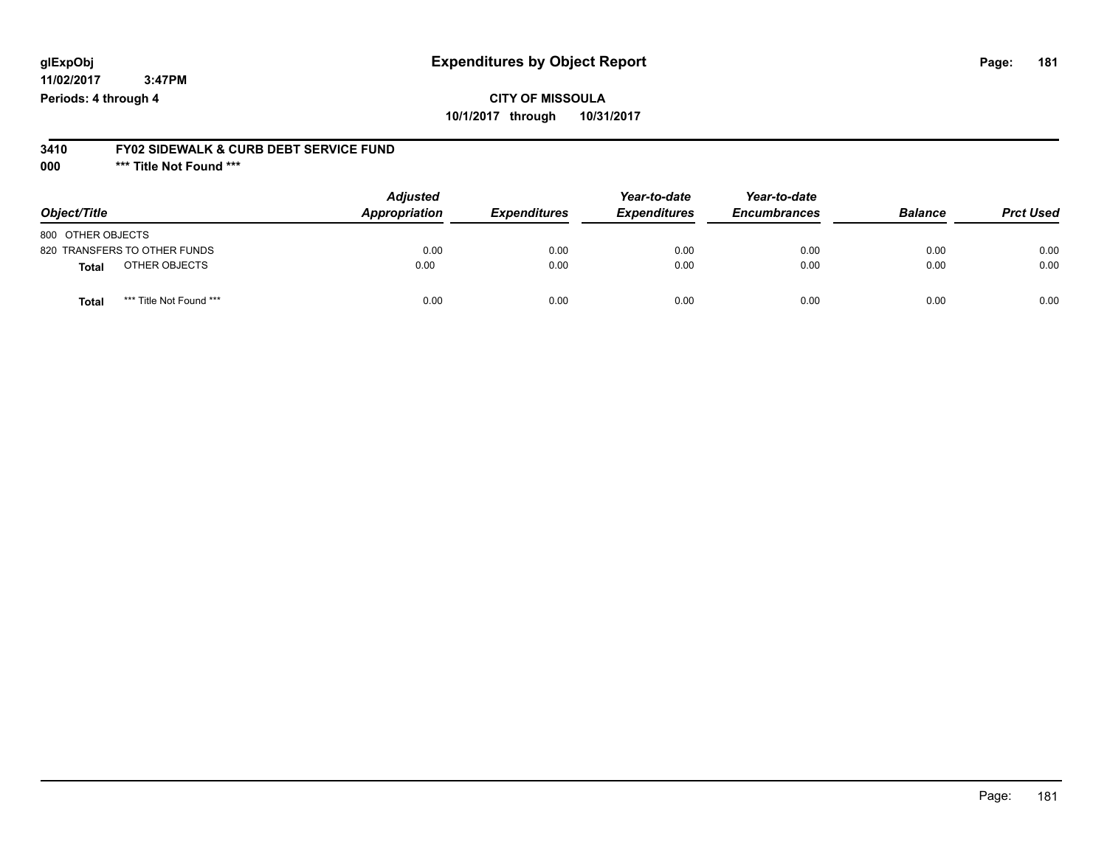## **CITY OF MISSOULA 10/1/2017 through 10/31/2017**

#### **3410 FY02 SIDEWALK & CURB DEBT SERVICE FUND**

**000 \*\*\* Title Not Found \*\*\***

| Object/Title                            | <b>Adjusted</b><br>Appropriation | <b>Expenditures</b> | Year-to-date<br><b>Expenditures</b> | Year-to-date<br><b>Encumbrances</b> | <b>Balance</b> | <b>Prct Used</b> |
|-----------------------------------------|----------------------------------|---------------------|-------------------------------------|-------------------------------------|----------------|------------------|
| 800 OTHER OBJECTS                       |                                  |                     |                                     |                                     |                |                  |
| 820 TRANSFERS TO OTHER FUNDS            | 0.00                             | 0.00                | 0.00                                | 0.00                                | 0.00           | 0.00             |
| OTHER OBJECTS<br><b>Total</b>           | 0.00                             | 0.00                | 0.00                                | 0.00                                | 0.00           | 0.00             |
| *** Title Not Found ***<br><b>Total</b> | 0.00                             | 0.00                | 0.00                                | 0.00                                | 0.00           | 0.00             |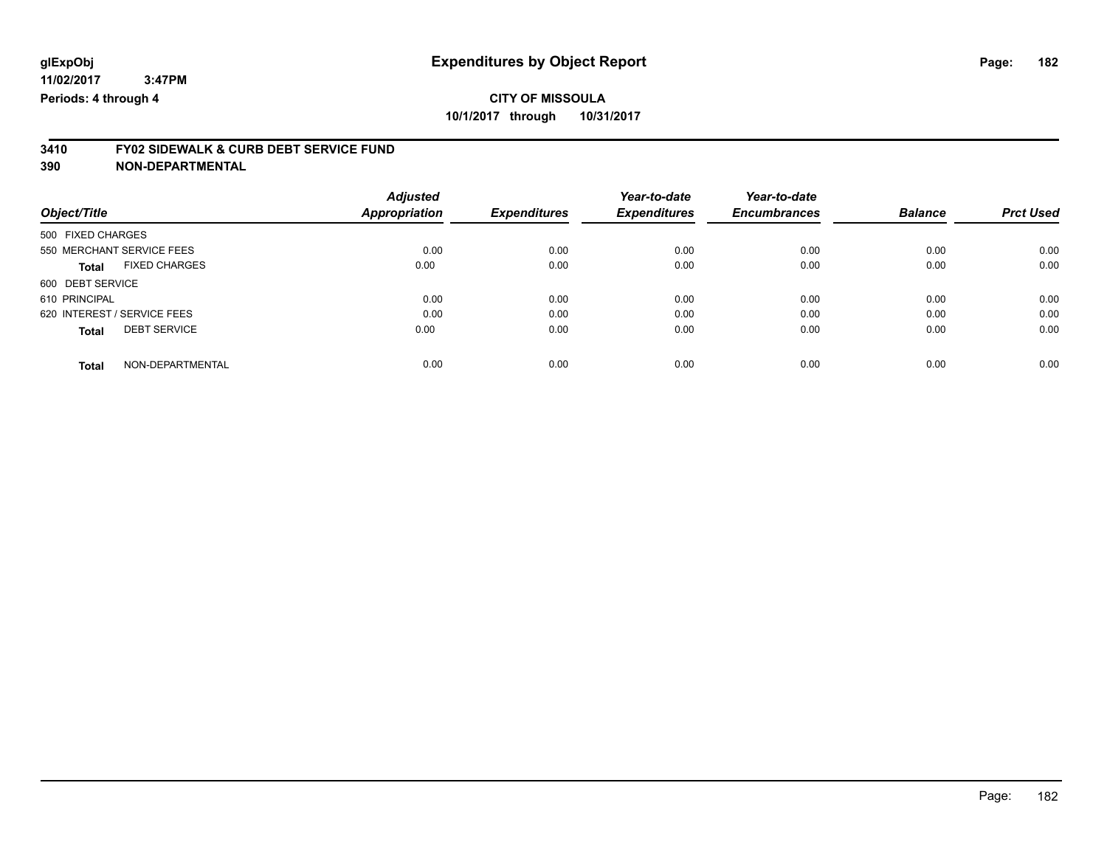# **3410 FY02 SIDEWALK & CURB DEBT SERVICE FUND**

|                                      | <b>Adjusted</b>      |                     | Year-to-date        | Year-to-date        |                |                  |
|--------------------------------------|----------------------|---------------------|---------------------|---------------------|----------------|------------------|
| Object/Title                         | <b>Appropriation</b> | <b>Expenditures</b> | <b>Expenditures</b> | <b>Encumbrances</b> | <b>Balance</b> | <b>Prct Used</b> |
| 500 FIXED CHARGES                    |                      |                     |                     |                     |                |                  |
| 550 MERCHANT SERVICE FEES            | 0.00                 | 0.00                | 0.00                | 0.00                | 0.00           | 0.00             |
| <b>FIXED CHARGES</b><br><b>Total</b> | 0.00                 | 0.00                | 0.00                | 0.00                | 0.00           | 0.00             |
| 600 DEBT SERVICE                     |                      |                     |                     |                     |                |                  |
| 610 PRINCIPAL                        | 0.00                 | 0.00                | 0.00                | 0.00                | 0.00           | 0.00             |
| 620 INTEREST / SERVICE FEES          | 0.00                 | 0.00                | 0.00                | 0.00                | 0.00           | 0.00             |
| <b>DEBT SERVICE</b><br><b>Total</b>  | 0.00                 | 0.00                | 0.00                | 0.00                | 0.00           | 0.00             |
| NON-DEPARTMENTAL<br><b>Total</b>     | 0.00                 | 0.00                | 0.00                | 0.00                | 0.00           | 0.00             |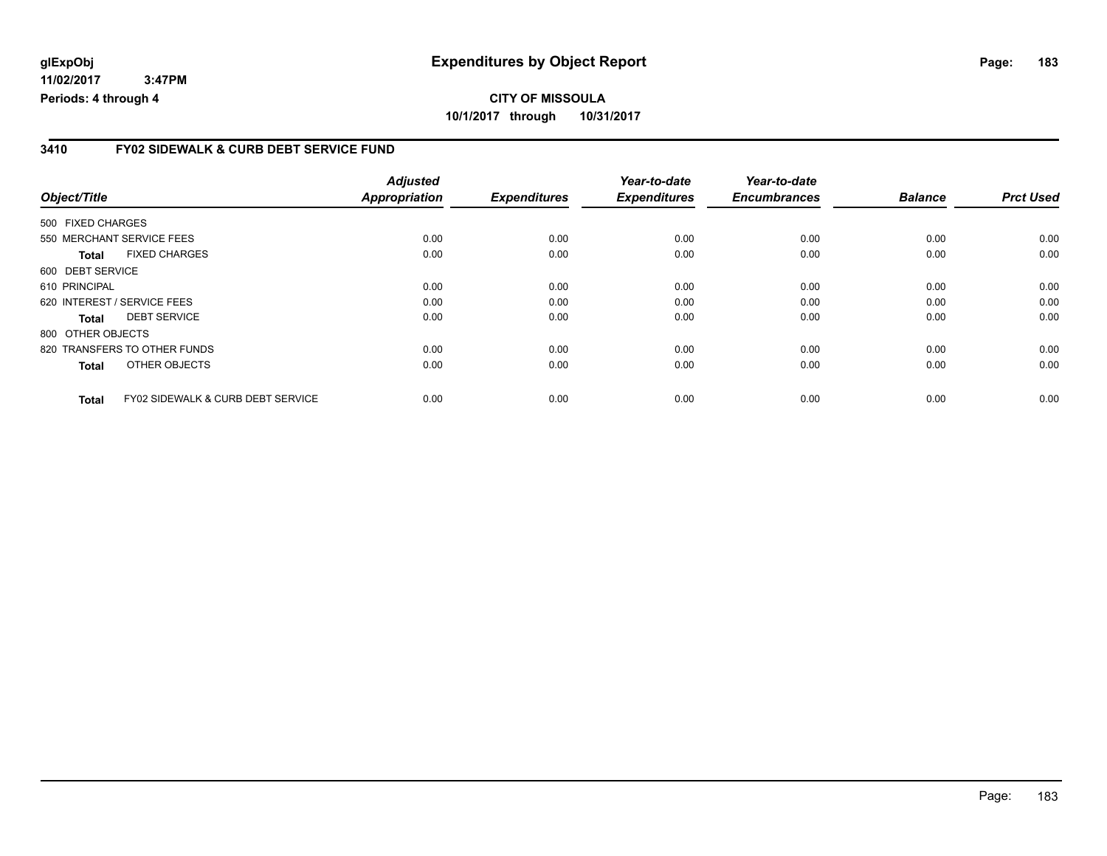# **CITY OF MISSOULA 10/1/2017 through 10/31/2017**

#### **3410 FY02 SIDEWALK & CURB DEBT SERVICE FUND**

|                   |                                              | <b>Adjusted</b> |                     | Year-to-date        | Year-to-date        |                |                  |
|-------------------|----------------------------------------------|-----------------|---------------------|---------------------|---------------------|----------------|------------------|
| Object/Title      |                                              | Appropriation   | <b>Expenditures</b> | <b>Expenditures</b> | <b>Encumbrances</b> | <b>Balance</b> | <b>Prct Used</b> |
| 500 FIXED CHARGES |                                              |                 |                     |                     |                     |                |                  |
|                   | 550 MERCHANT SERVICE FEES                    | 0.00            | 0.00                | 0.00                | 0.00                | 0.00           | 0.00             |
| Total             | <b>FIXED CHARGES</b>                         | 0.00            | 0.00                | 0.00                | 0.00                | 0.00           | 0.00             |
| 600 DEBT SERVICE  |                                              |                 |                     |                     |                     |                |                  |
| 610 PRINCIPAL     |                                              | 0.00            | 0.00                | 0.00                | 0.00                | 0.00           | 0.00             |
|                   | 620 INTEREST / SERVICE FEES                  | 0.00            | 0.00                | 0.00                | 0.00                | 0.00           | 0.00             |
| Total             | <b>DEBT SERVICE</b>                          | 0.00            | 0.00                | 0.00                | 0.00                | 0.00           | 0.00             |
| 800 OTHER OBJECTS |                                              |                 |                     |                     |                     |                |                  |
|                   | 820 TRANSFERS TO OTHER FUNDS                 | 0.00            | 0.00                | 0.00                | 0.00                | 0.00           | 0.00             |
| Total             | OTHER OBJECTS                                | 0.00            | 0.00                | 0.00                | 0.00                | 0.00           | 0.00             |
| <b>Total</b>      | <b>FY02 SIDEWALK &amp; CURB DEBT SERVICE</b> | 0.00            | 0.00                | 0.00                | 0.00                | 0.00           | 0.00             |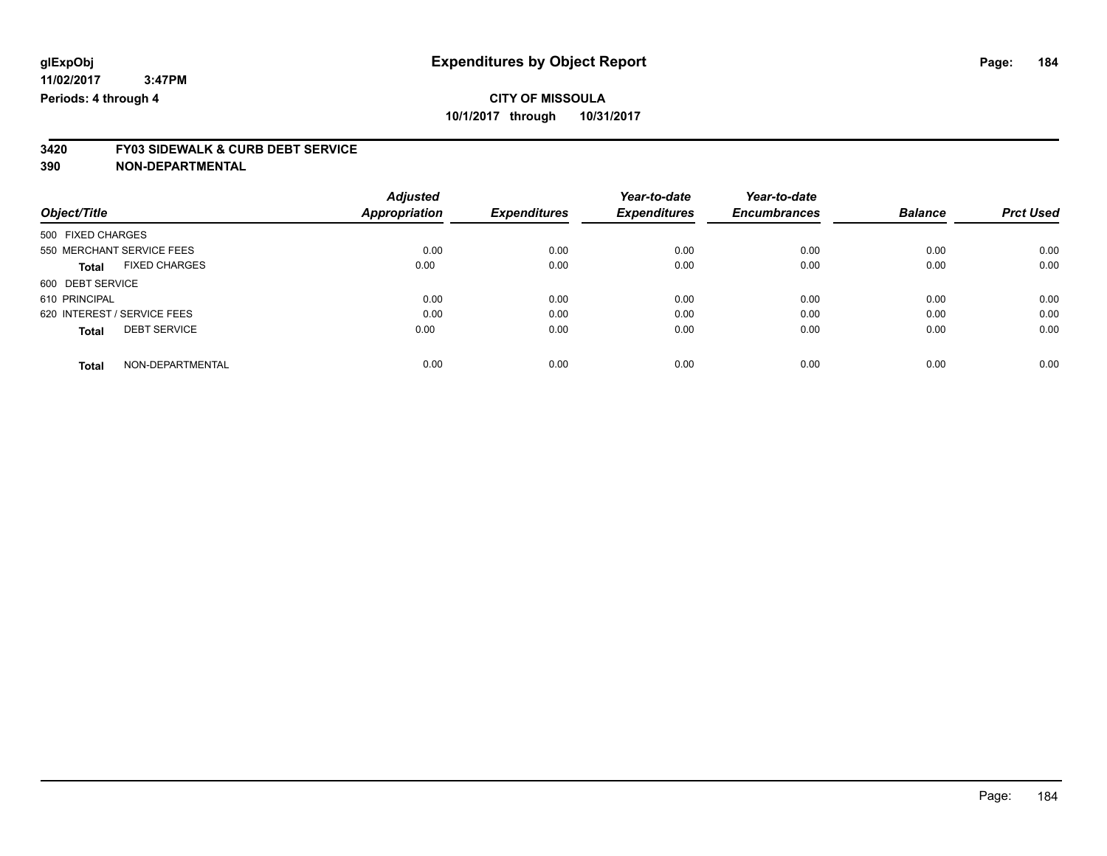# **3420 FY03 SIDEWALK & CURB DEBT SERVICE**

|                             |                      | <b>Adjusted</b>      |                     | Year-to-date        | Year-to-date        |                |                  |
|-----------------------------|----------------------|----------------------|---------------------|---------------------|---------------------|----------------|------------------|
| Object/Title                |                      | <b>Appropriation</b> | <b>Expenditures</b> | <b>Expenditures</b> | <b>Encumbrances</b> | <b>Balance</b> | <b>Prct Used</b> |
| 500 FIXED CHARGES           |                      |                      |                     |                     |                     |                |                  |
| 550 MERCHANT SERVICE FEES   |                      | 0.00                 | 0.00                | 0.00                | 0.00                | 0.00           | 0.00             |
| <b>Total</b>                | <b>FIXED CHARGES</b> | 0.00                 | 0.00                | 0.00                | 0.00                | 0.00           | 0.00             |
| 600 DEBT SERVICE            |                      |                      |                     |                     |                     |                |                  |
| 610 PRINCIPAL               |                      | 0.00                 | 0.00                | 0.00                | 0.00                | 0.00           | 0.00             |
| 620 INTEREST / SERVICE FEES |                      | 0.00                 | 0.00                | 0.00                | 0.00                | 0.00           | 0.00             |
| <b>Total</b>                | <b>DEBT SERVICE</b>  | 0.00                 | 0.00                | 0.00                | 0.00                | 0.00           | 0.00             |
| <b>Total</b>                | NON-DEPARTMENTAL     | 0.00                 | 0.00                | 0.00                | 0.00                | 0.00           | 0.00             |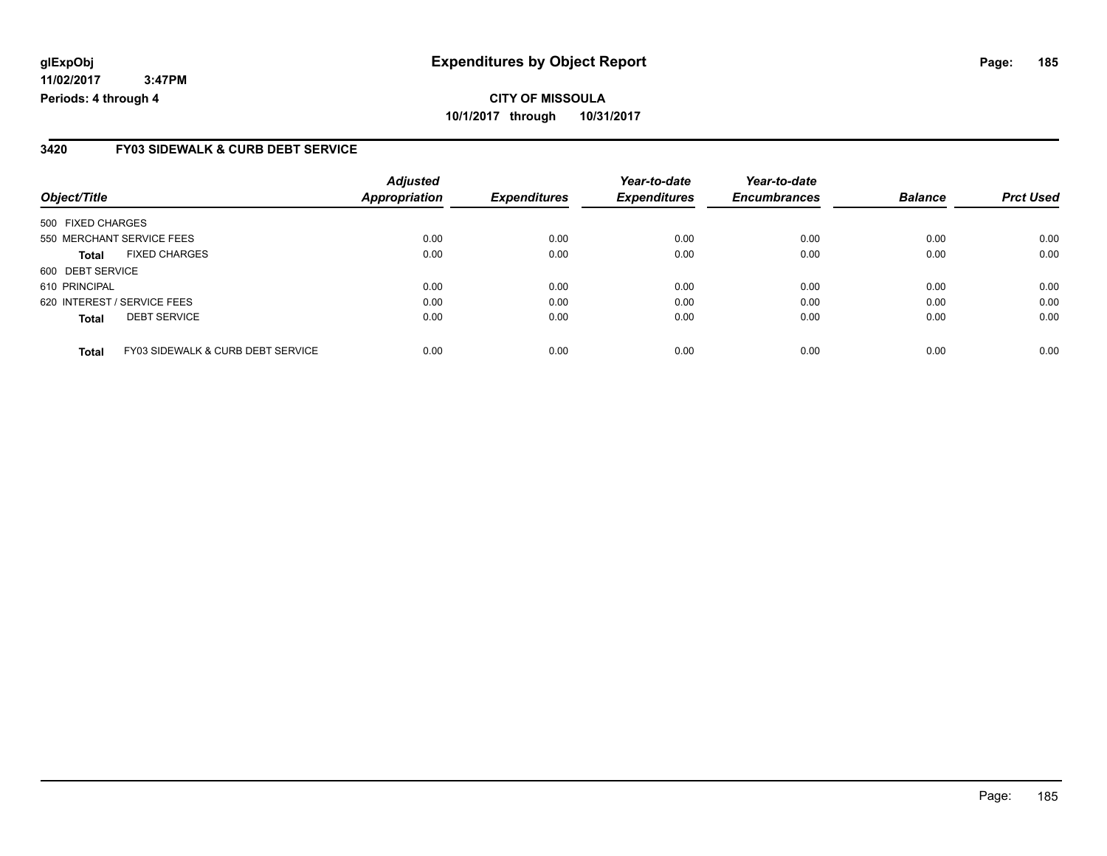#### **3420 FY03 SIDEWALK & CURB DEBT SERVICE**

|                             | <b>Adjusted</b>                              |                              | Year-to-date                | Year-to-date                |                             | <b>Prct Used</b>       |
|-----------------------------|----------------------------------------------|------------------------------|-----------------------------|-----------------------------|-----------------------------|------------------------|
|                             |                                              |                              |                             |                             |                             |                        |
| 500 FIXED CHARGES           |                                              |                              |                             |                             |                             |                        |
| 550 MERCHANT SERVICE FEES   | 0.00                                         | 0.00                         | 0.00                        | 0.00                        | 0.00                        | 0.00                   |
| <b>FIXED CHARGES</b>        | 0.00                                         | 0.00                         | 0.00                        | 0.00                        | 0.00                        | 0.00                   |
| 600 DEBT SERVICE            |                                              |                              |                             |                             |                             |                        |
| 610 PRINCIPAL               | 0.00                                         | 0.00                         | 0.00                        | 0.00                        | 0.00                        | 0.00                   |
| 620 INTEREST / SERVICE FEES | 0.00                                         | 0.00                         | 0.00                        | 0.00                        | 0.00                        | 0.00                   |
| <b>DEBT SERVICE</b>         | 0.00                                         | 0.00                         | 0.00                        | 0.00                        | 0.00                        | 0.00                   |
|                             |                                              |                              |                             |                             |                             | 0.00                   |
|                             | <b>FY03 SIDEWALK &amp; CURB DEBT SERVICE</b> | <b>Appropriation</b><br>0.00 | <b>Expenditures</b><br>0.00 | <b>Expenditures</b><br>0.00 | <b>Encumbrances</b><br>0.00 | <b>Balance</b><br>0.00 |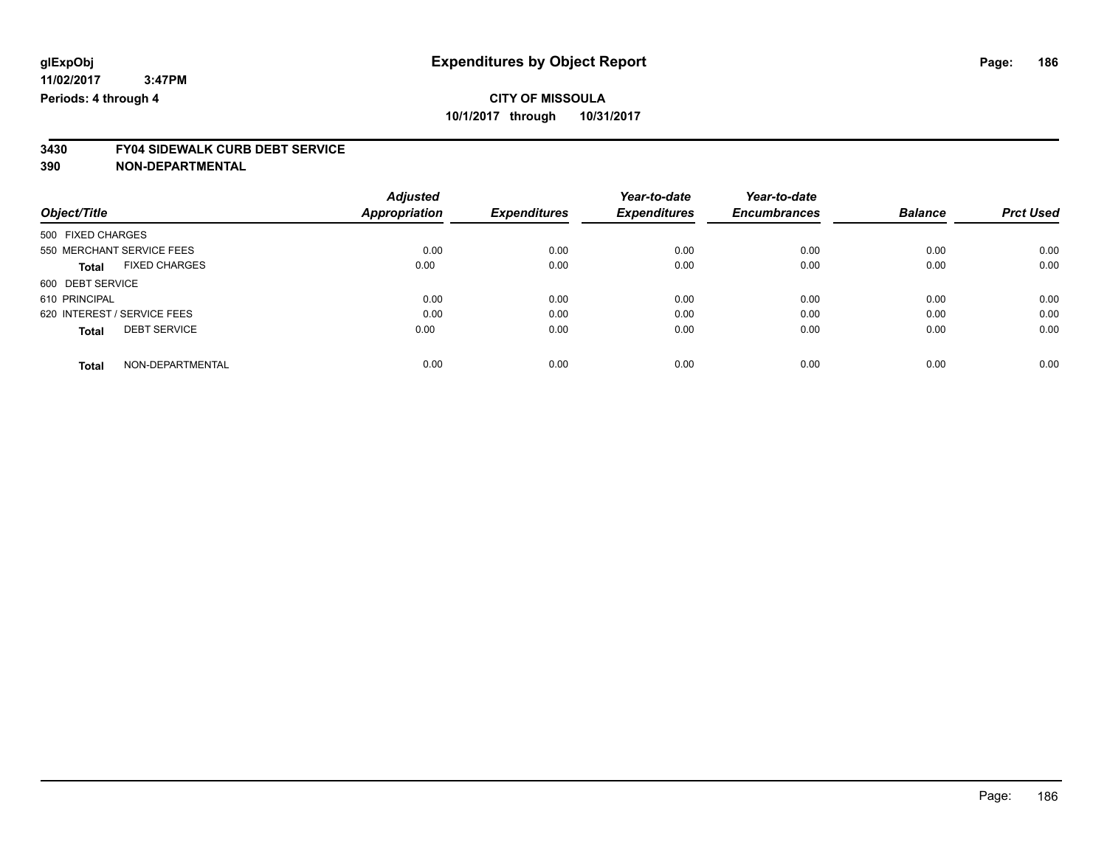# **3430 FY04 SIDEWALK CURB DEBT SERVICE**

|                                      | <b>Adjusted</b>      |                     | Year-to-date        | Year-to-date        |                |                  |
|--------------------------------------|----------------------|---------------------|---------------------|---------------------|----------------|------------------|
| Object/Title                         | <b>Appropriation</b> | <b>Expenditures</b> | <b>Expenditures</b> | <b>Encumbrances</b> | <b>Balance</b> | <b>Prct Used</b> |
| 500 FIXED CHARGES                    |                      |                     |                     |                     |                |                  |
| 550 MERCHANT SERVICE FEES            | 0.00                 | 0.00                | 0.00                | 0.00                | 0.00           | 0.00             |
| <b>FIXED CHARGES</b><br><b>Total</b> | 0.00                 | 0.00                | 0.00                | 0.00                | 0.00           | 0.00             |
| 600 DEBT SERVICE                     |                      |                     |                     |                     |                |                  |
| 610 PRINCIPAL                        | 0.00                 | 0.00                | 0.00                | 0.00                | 0.00           | 0.00             |
| 620 INTEREST / SERVICE FEES          | 0.00                 | 0.00                | 0.00                | 0.00                | 0.00           | 0.00             |
| <b>DEBT SERVICE</b><br><b>Total</b>  | 0.00                 | 0.00                | 0.00                | 0.00                | 0.00           | 0.00             |
| NON-DEPARTMENTAL<br><b>Total</b>     | 0.00                 | 0.00                | 0.00                | 0.00                | 0.00           | 0.00             |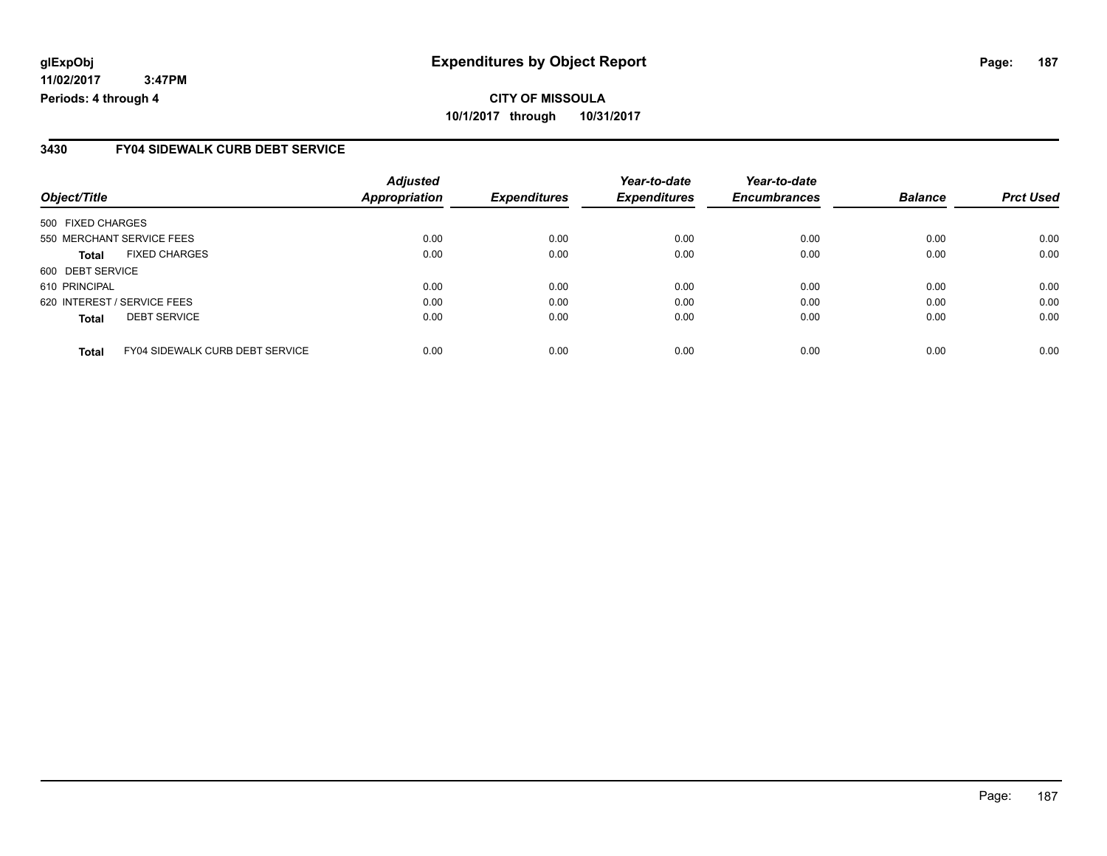#### **3430 FY04 SIDEWALK CURB DEBT SERVICE**

| Object/Title                                           | <b>Adjusted</b><br><b>Appropriation</b> | <b>Expenditures</b> | Year-to-date<br><b>Expenditures</b> | Year-to-date<br><b>Encumbrances</b> | <b>Balance</b> | <b>Prct Used</b> |
|--------------------------------------------------------|-----------------------------------------|---------------------|-------------------------------------|-------------------------------------|----------------|------------------|
|                                                        |                                         |                     |                                     |                                     |                |                  |
| 500 FIXED CHARGES                                      |                                         |                     |                                     |                                     |                |                  |
| 550 MERCHANT SERVICE FEES                              | 0.00                                    | 0.00                | 0.00                                | 0.00                                | 0.00           | 0.00             |
| <b>FIXED CHARGES</b><br>Total                          | 0.00                                    | 0.00                | 0.00                                | 0.00                                | 0.00           | 0.00             |
| 600 DEBT SERVICE                                       |                                         |                     |                                     |                                     |                |                  |
| 610 PRINCIPAL                                          | 0.00                                    | 0.00                | 0.00                                | 0.00                                | 0.00           | 0.00             |
| 620 INTEREST / SERVICE FEES                            | 0.00                                    | 0.00                | 0.00                                | 0.00                                | 0.00           | 0.00             |
| <b>DEBT SERVICE</b><br><b>Total</b>                    | 0.00                                    | 0.00                | 0.00                                | 0.00                                | 0.00           | 0.00             |
|                                                        |                                         |                     |                                     |                                     |                |                  |
| <b>FY04 SIDEWALK CURB DEBT SERVICE</b><br><b>Total</b> | 0.00                                    | 0.00                | 0.00                                | 0.00                                | 0.00           | 0.00             |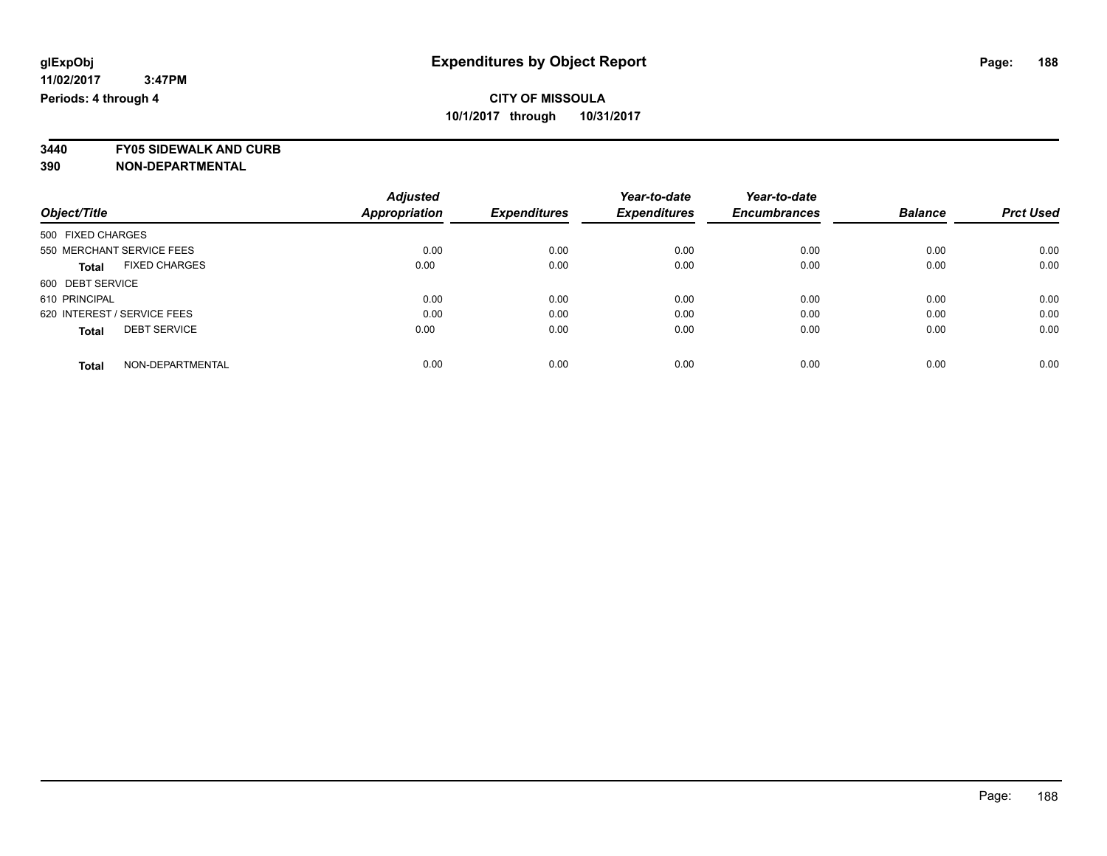**3440 FY05 SIDEWALK AND CURB**

|                                      | <b>Adjusted</b> |                     | Year-to-date        | Year-to-date        |                |                  |
|--------------------------------------|-----------------|---------------------|---------------------|---------------------|----------------|------------------|
| Object/Title                         | Appropriation   | <b>Expenditures</b> | <b>Expenditures</b> | <b>Encumbrances</b> | <b>Balance</b> | <b>Prct Used</b> |
| 500 FIXED CHARGES                    |                 |                     |                     |                     |                |                  |
| 550 MERCHANT SERVICE FEES            | 0.00            | 0.00                | 0.00                | 0.00                | 0.00           | 0.00             |
| <b>FIXED CHARGES</b><br><b>Total</b> | 0.00            | 0.00                | 0.00                | 0.00                | 0.00           | 0.00             |
| 600 DEBT SERVICE                     |                 |                     |                     |                     |                |                  |
| 610 PRINCIPAL                        | 0.00            | 0.00                | 0.00                | 0.00                | 0.00           | 0.00             |
| 620 INTEREST / SERVICE FEES          | 0.00            | 0.00                | 0.00                | 0.00                | 0.00           | 0.00             |
| <b>DEBT SERVICE</b><br><b>Total</b>  | 0.00            | 0.00                | 0.00                | 0.00                | 0.00           | 0.00             |
| NON-DEPARTMENTAL<br><b>Total</b>     | 0.00            | 0.00                | 0.00                | 0.00                | 0.00           | 0.00             |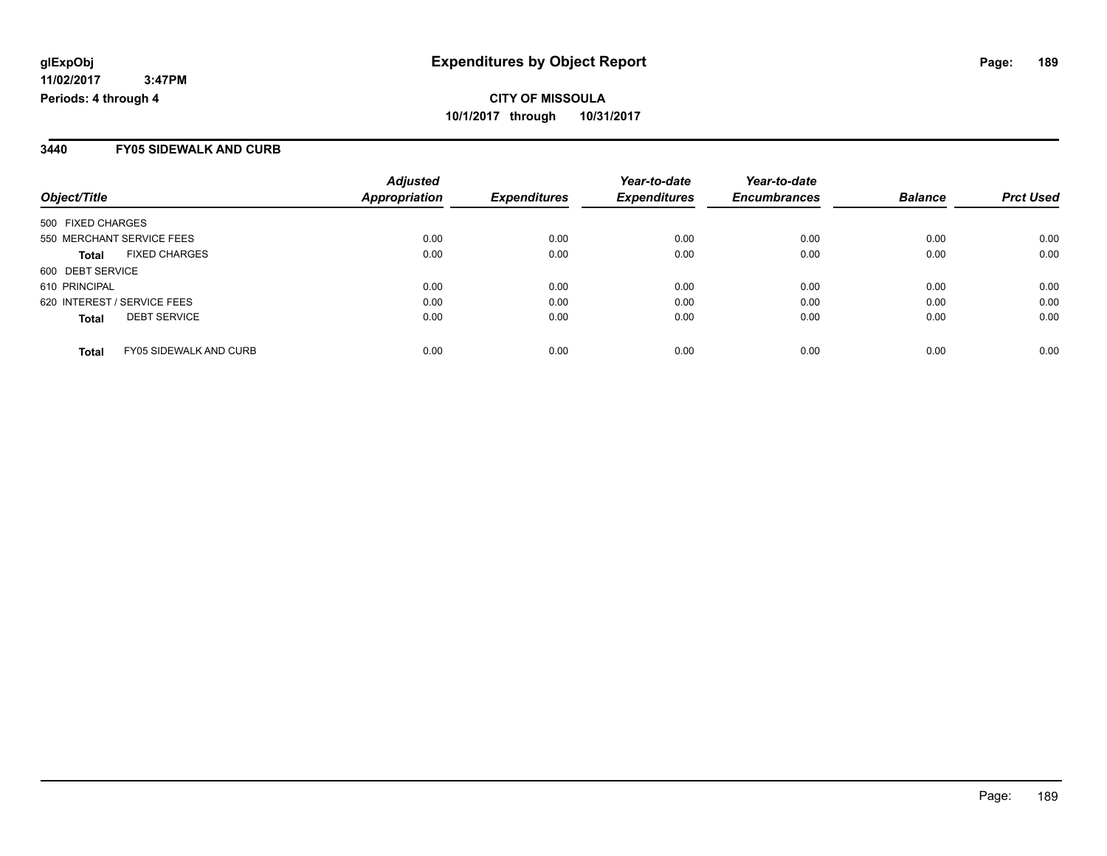#### **3440 FY05 SIDEWALK AND CURB**

| Object/Title                                  | <b>Adjusted</b><br><b>Appropriation</b> | <b>Expenditures</b> | Year-to-date<br><b>Expenditures</b> | Year-to-date<br><b>Encumbrances</b> | <b>Balance</b> | <b>Prct Used</b> |
|-----------------------------------------------|-----------------------------------------|---------------------|-------------------------------------|-------------------------------------|----------------|------------------|
| 500 FIXED CHARGES                             |                                         |                     |                                     |                                     |                |                  |
| 550 MERCHANT SERVICE FEES                     | 0.00                                    | 0.00                | 0.00                                | 0.00                                | 0.00           | 0.00             |
| <b>FIXED CHARGES</b><br><b>Total</b>          | 0.00                                    | 0.00                | 0.00                                | 0.00                                | 0.00           | 0.00             |
| 600 DEBT SERVICE                              |                                         |                     |                                     |                                     |                |                  |
| 610 PRINCIPAL                                 | 0.00                                    | 0.00                | 0.00                                | 0.00                                | 0.00           | 0.00             |
| 620 INTEREST / SERVICE FEES                   | 0.00                                    | 0.00                | 0.00                                | 0.00                                | 0.00           | 0.00             |
| <b>DEBT SERVICE</b><br><b>Total</b>           | 0.00                                    | 0.00                | 0.00                                | 0.00                                | 0.00           | 0.00             |
| <b>FY05 SIDEWALK AND CURB</b><br><b>Total</b> | 0.00                                    | 0.00                | 0.00                                | 0.00                                | 0.00           | 0.00             |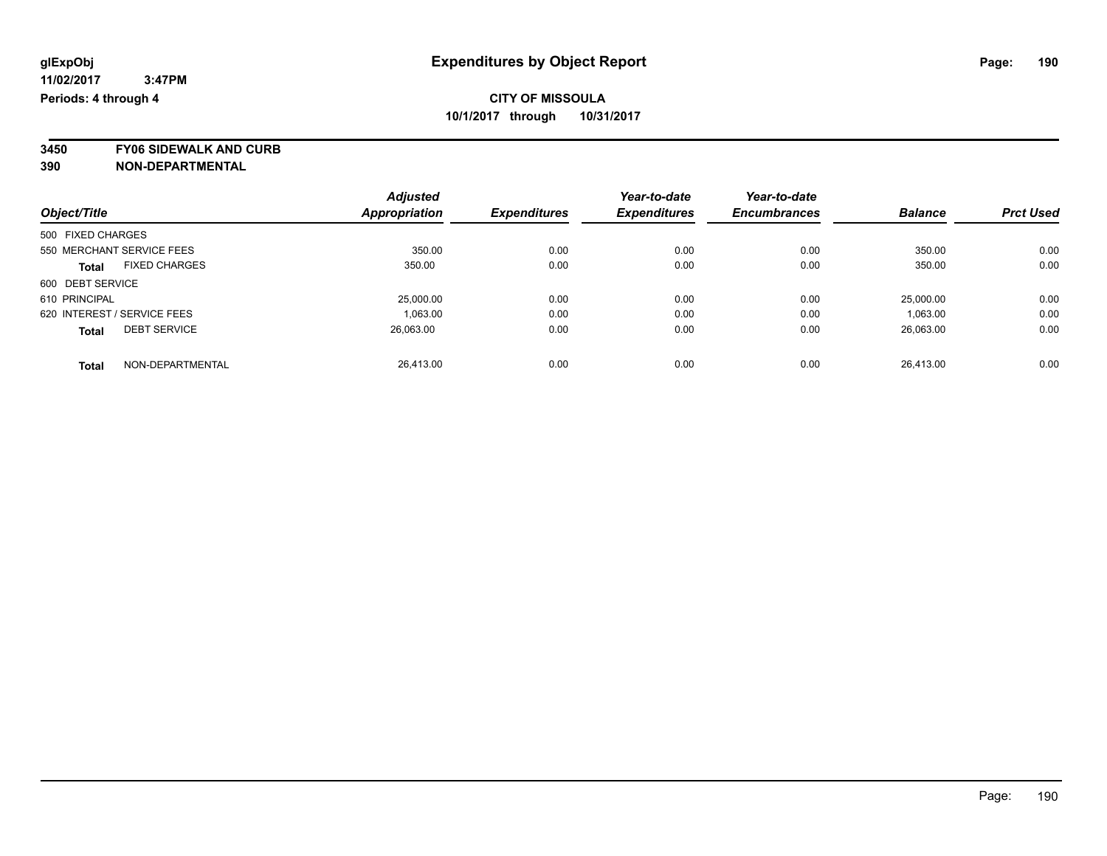**3450 FY06 SIDEWALK AND CURB**

|                                      | <b>Adjusted</b>      |                     | Year-to-date        | Year-to-date        |                |                  |
|--------------------------------------|----------------------|---------------------|---------------------|---------------------|----------------|------------------|
| Object/Title                         | <b>Appropriation</b> | <b>Expenditures</b> | <b>Expenditures</b> | <b>Encumbrances</b> | <b>Balance</b> | <b>Prct Used</b> |
| 500 FIXED CHARGES                    |                      |                     |                     |                     |                |                  |
| 550 MERCHANT SERVICE FEES            | 350.00               | 0.00                | 0.00                | 0.00                | 350.00         | 0.00             |
| <b>FIXED CHARGES</b><br><b>Total</b> | 350.00               | 0.00                | 0.00                | 0.00                | 350.00         | 0.00             |
| 600 DEBT SERVICE                     |                      |                     |                     |                     |                |                  |
| 610 PRINCIPAL                        | 25,000.00            | 0.00                | 0.00                | 0.00                | 25,000.00      | 0.00             |
| 620 INTEREST / SERVICE FEES          | 1.063.00             | 0.00                | 0.00                | 0.00                | 1,063.00       | 0.00             |
| <b>DEBT SERVICE</b><br><b>Total</b>  | 26,063.00            | 0.00                | 0.00                | 0.00                | 26,063.00      | 0.00             |
| NON-DEPARTMENTAL<br><b>Total</b>     | 26.413.00            | 0.00                | 0.00                | 0.00                | 26.413.00      | 0.00             |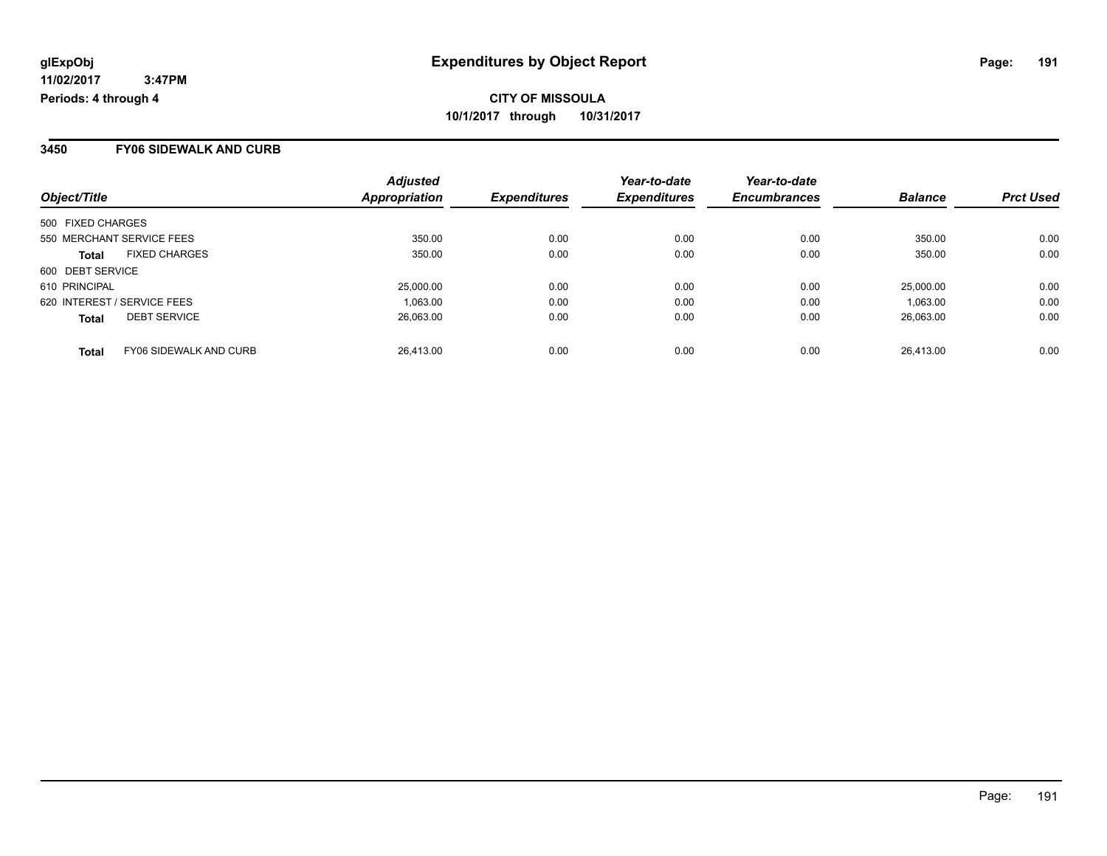#### **3450 FY06 SIDEWALK AND CURB**

| Object/Title                                  | <b>Adjusted</b><br><b>Appropriation</b> | <b>Expenditures</b> | Year-to-date<br><b>Expenditures</b> | Year-to-date<br><b>Encumbrances</b> | <b>Balance</b> | <b>Prct Used</b> |
|-----------------------------------------------|-----------------------------------------|---------------------|-------------------------------------|-------------------------------------|----------------|------------------|
| 500 FIXED CHARGES                             |                                         |                     |                                     |                                     |                |                  |
| 550 MERCHANT SERVICE FEES                     | 350.00                                  | 0.00                | 0.00                                | 0.00                                | 350.00         | 0.00             |
| <b>FIXED CHARGES</b><br><b>Total</b>          | 350.00                                  | 0.00                | 0.00                                | 0.00                                | 350.00         | 0.00             |
| 600 DEBT SERVICE                              |                                         |                     |                                     |                                     |                |                  |
| 610 PRINCIPAL                                 | 25,000.00                               | 0.00                | 0.00                                | 0.00                                | 25,000.00      | 0.00             |
| 620 INTEREST / SERVICE FEES                   | 1,063.00                                | 0.00                | 0.00                                | 0.00                                | 1.063.00       | 0.00             |
| <b>DEBT SERVICE</b><br><b>Total</b>           | 26.063.00                               | 0.00                | 0.00                                | 0.00                                | 26.063.00      | 0.00             |
| <b>FY06 SIDEWALK AND CURB</b><br><b>Total</b> | 26.413.00                               | 0.00                | 0.00                                | 0.00                                | 26.413.00      | 0.00             |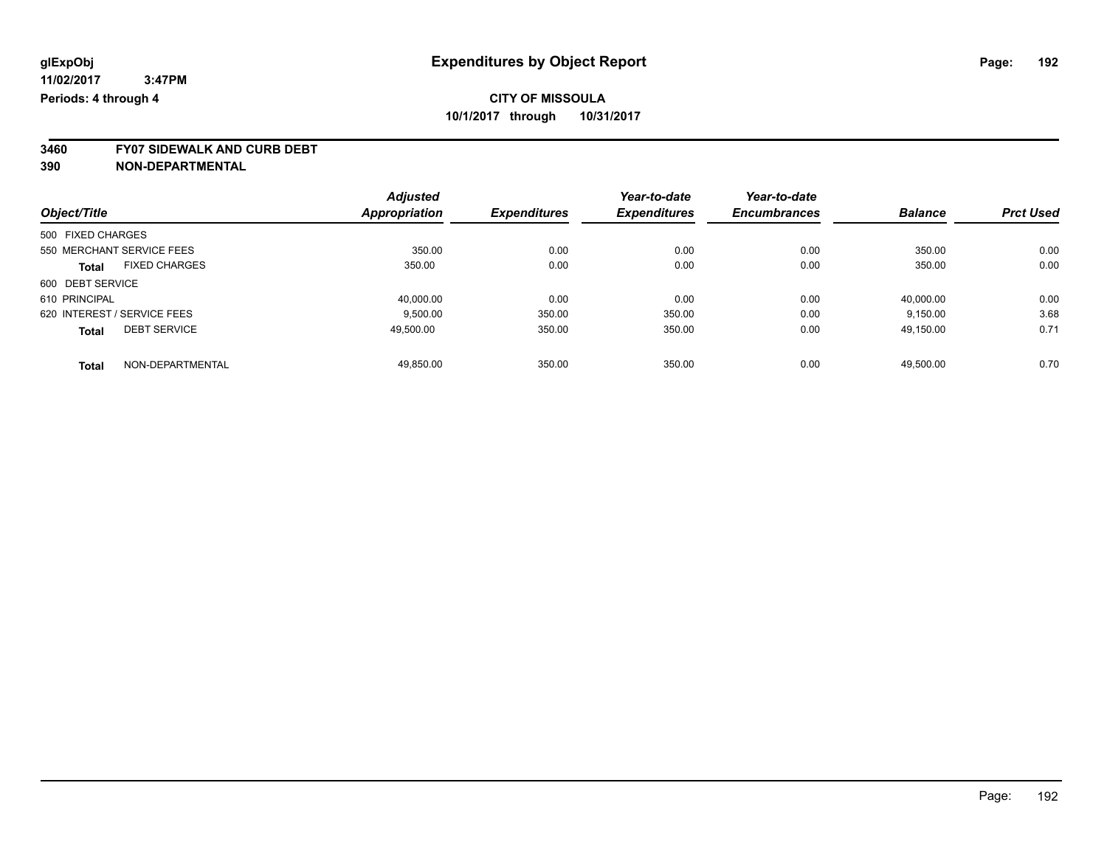**3460 FY07 SIDEWALK AND CURB DEBT**

|                                      | <b>Adjusted</b> |                     | Year-to-date        | Year-to-date        |                |                  |
|--------------------------------------|-----------------|---------------------|---------------------|---------------------|----------------|------------------|
| Object/Title                         | Appropriation   | <b>Expenditures</b> | <b>Expenditures</b> | <b>Encumbrances</b> | <b>Balance</b> | <b>Prct Used</b> |
| 500 FIXED CHARGES                    |                 |                     |                     |                     |                |                  |
| 550 MERCHANT SERVICE FEES            | 350.00          | 0.00                | 0.00                | 0.00                | 350.00         | 0.00             |
| <b>FIXED CHARGES</b><br><b>Total</b> | 350.00          | 0.00                | 0.00                | 0.00                | 350.00         | 0.00             |
| 600 DEBT SERVICE                     |                 |                     |                     |                     |                |                  |
| 610 PRINCIPAL                        | 40,000.00       | 0.00                | 0.00                | 0.00                | 40.000.00      | 0.00             |
| 620 INTEREST / SERVICE FEES          | 9.500.00        | 350.00              | 350.00              | 0.00                | 9.150.00       | 3.68             |
| <b>DEBT SERVICE</b><br><b>Total</b>  | 49.500.00       | 350.00              | 350.00              | 0.00                | 49,150.00      | 0.71             |
| NON-DEPARTMENTAL<br><b>Total</b>     | 49.850.00       | 350.00              | 350.00              | 0.00                | 49.500.00      | 0.70             |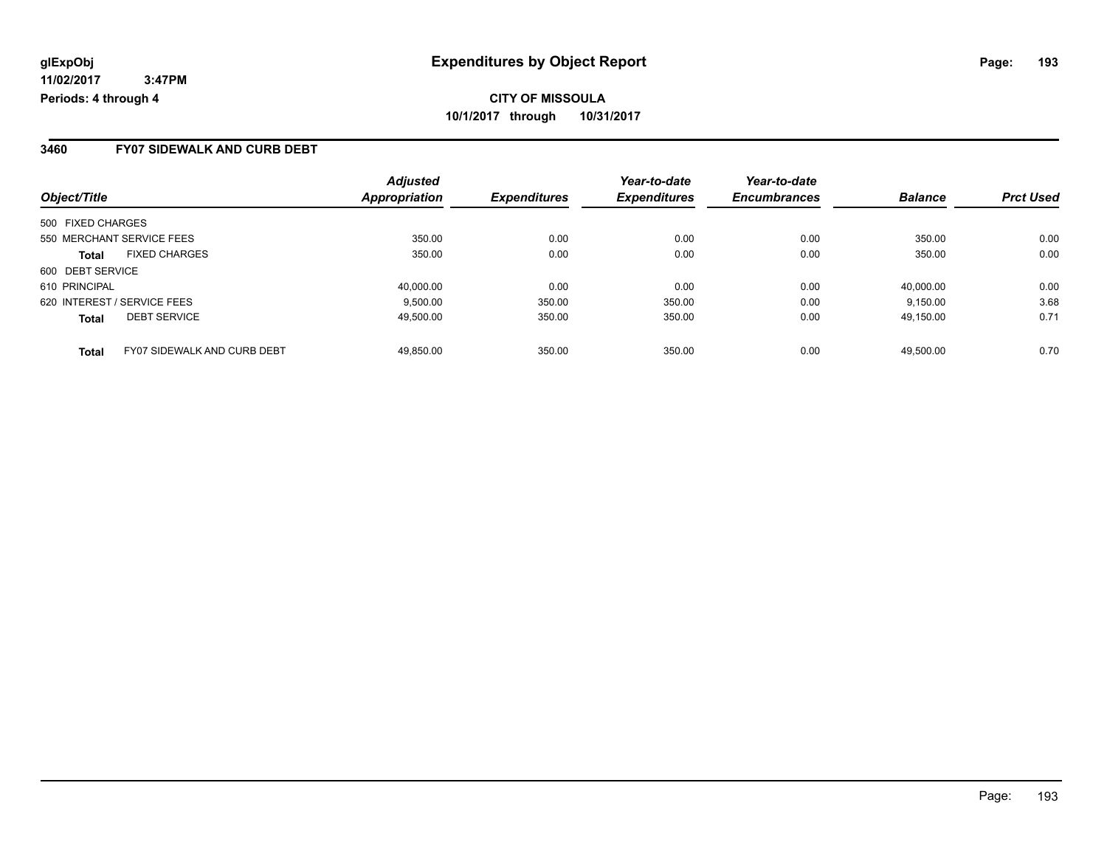#### **3460 FY07 SIDEWALK AND CURB DEBT**

| Object/Title                                       | <b>Adjusted</b><br>Appropriation | <b>Expenditures</b> | Year-to-date<br><b>Expenditures</b> | Year-to-date<br><b>Encumbrances</b> | <b>Balance</b> | <b>Prct Used</b> |
|----------------------------------------------------|----------------------------------|---------------------|-------------------------------------|-------------------------------------|----------------|------------------|
| 500 FIXED CHARGES                                  |                                  |                     |                                     |                                     |                |                  |
| 550 MERCHANT SERVICE FEES                          | 350.00                           | 0.00                | 0.00                                | 0.00                                | 350.00         | 0.00             |
| <b>FIXED CHARGES</b><br><b>Total</b>               | 350.00                           | 0.00                | 0.00                                | 0.00                                | 350.00         | 0.00             |
| 600 DEBT SERVICE                                   |                                  |                     |                                     |                                     |                |                  |
| 610 PRINCIPAL                                      | 40,000.00                        | 0.00                | 0.00                                | 0.00                                | 40,000.00      | 0.00             |
| 620 INTEREST / SERVICE FEES                        | 9.500.00                         | 350.00              | 350.00                              | 0.00                                | 9,150.00       | 3.68             |
| <b>DEBT SERVICE</b><br><b>Total</b>                | 49,500.00                        | 350.00              | 350.00                              | 0.00                                | 49.150.00      | 0.71             |
| <b>FY07 SIDEWALK AND CURB DEBT</b><br><b>Total</b> | 49.850.00                        | 350.00              | 350.00                              | 0.00                                | 49.500.00      | 0.70             |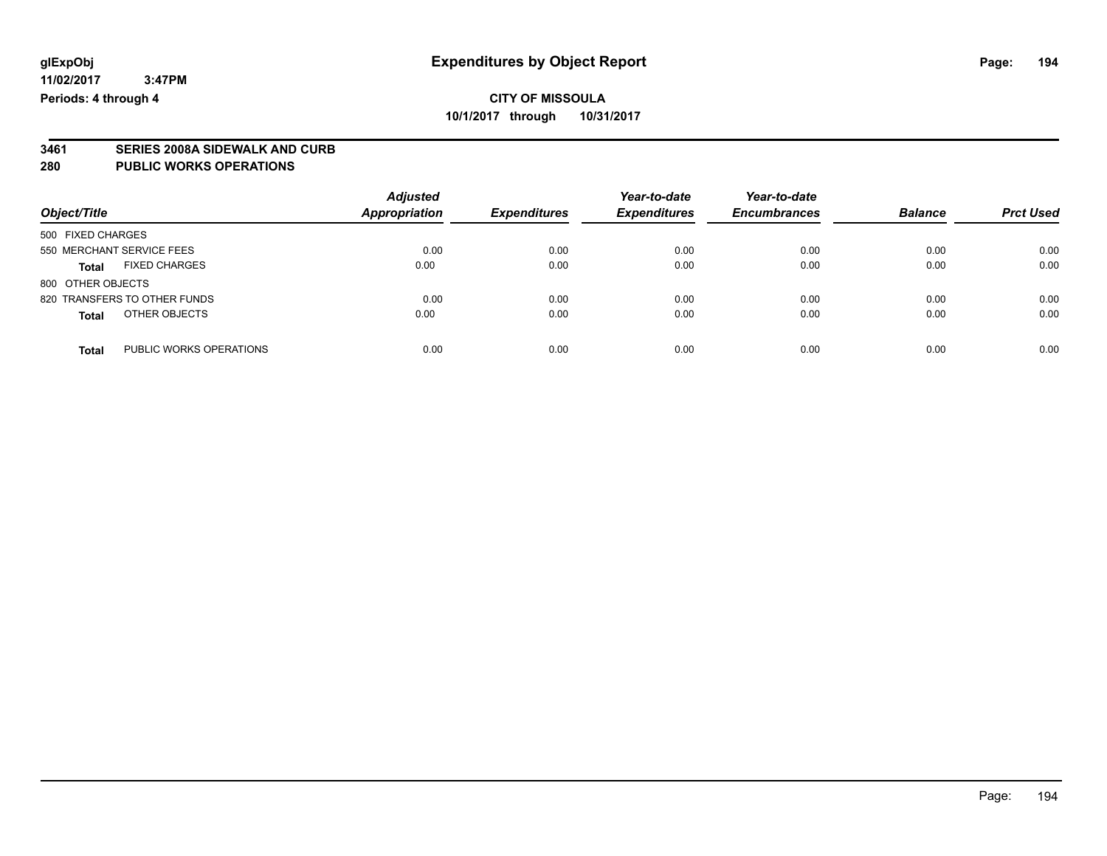# **3461 SERIES 2008A SIDEWALK AND CURB**

#### **280 PUBLIC WORKS OPERATIONS**

| Object/Title                            | <b>Adjusted</b><br><b>Appropriation</b> | <b>Expenditures</b> | Year-to-date<br><b>Expenditures</b> | Year-to-date<br><b>Encumbrances</b> | <b>Balance</b> | <b>Prct Used</b> |
|-----------------------------------------|-----------------------------------------|---------------------|-------------------------------------|-------------------------------------|----------------|------------------|
| 500 FIXED CHARGES                       |                                         |                     |                                     |                                     |                |                  |
| 550 MERCHANT SERVICE FEES               | 0.00                                    | 0.00                | 0.00                                | 0.00                                | 0.00           | 0.00             |
| <b>FIXED CHARGES</b><br><b>Total</b>    | 0.00                                    | 0.00                | 0.00                                | 0.00                                | 0.00           | 0.00             |
| 800 OTHER OBJECTS                       |                                         |                     |                                     |                                     |                |                  |
| 820 TRANSFERS TO OTHER FUNDS            | 0.00                                    | 0.00                | 0.00                                | 0.00                                | 0.00           | 0.00             |
| OTHER OBJECTS<br><b>Total</b>           | 0.00                                    | 0.00                | 0.00                                | 0.00                                | 0.00           | 0.00             |
| PUBLIC WORKS OPERATIONS<br><b>Total</b> | 0.00                                    | 0.00                | 0.00                                | 0.00                                | 0.00           | 0.00             |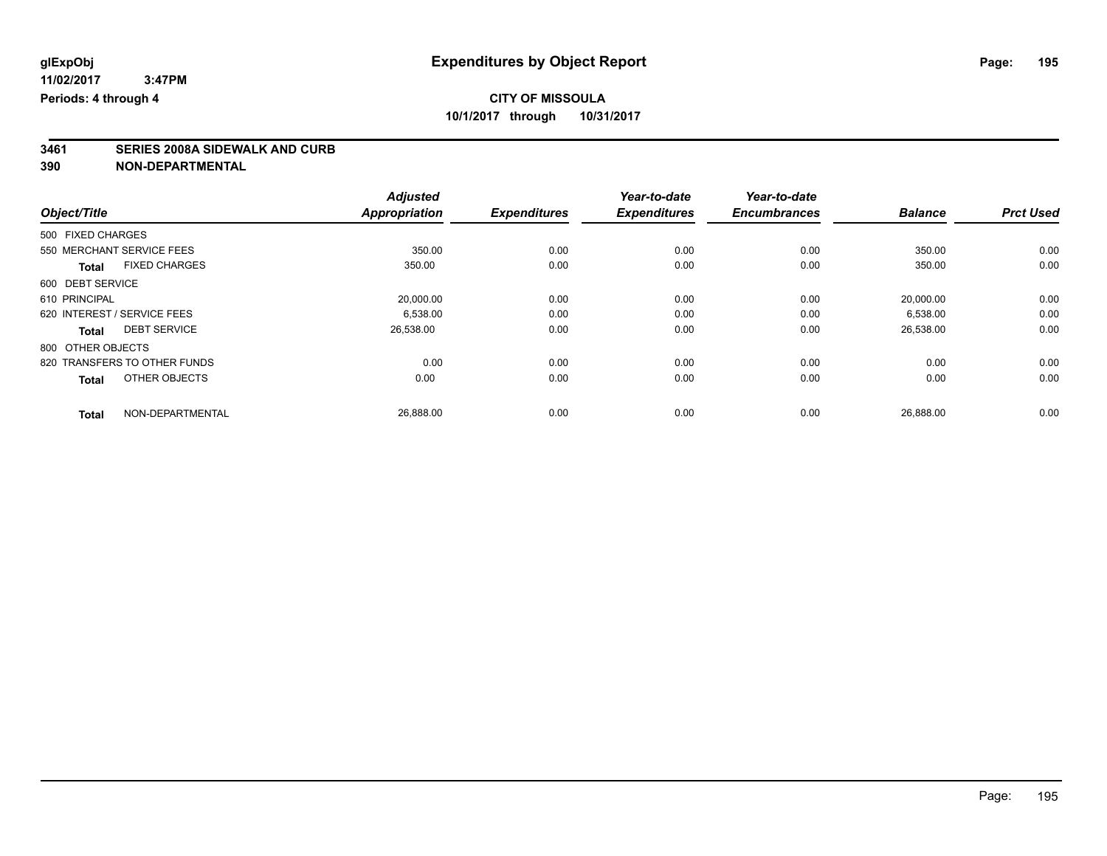# **3461 SERIES 2008A SIDEWALK AND CURB**

|                                      | <b>Adjusted</b>      |                     | Year-to-date        | Year-to-date        |                |                  |
|--------------------------------------|----------------------|---------------------|---------------------|---------------------|----------------|------------------|
| Object/Title                         | <b>Appropriation</b> | <b>Expenditures</b> | <b>Expenditures</b> | <b>Encumbrances</b> | <b>Balance</b> | <b>Prct Used</b> |
| 500 FIXED CHARGES                    |                      |                     |                     |                     |                |                  |
| 550 MERCHANT SERVICE FEES            | 350.00               | 0.00                | 0.00                | 0.00                | 350.00         | 0.00             |
| <b>FIXED CHARGES</b><br><b>Total</b> | 350.00               | 0.00                | 0.00                | 0.00                | 350.00         | 0.00             |
| 600 DEBT SERVICE                     |                      |                     |                     |                     |                |                  |
| 610 PRINCIPAL                        | 20,000.00            | 0.00                | 0.00                | 0.00                | 20,000.00      | 0.00             |
| 620 INTEREST / SERVICE FEES          | 6,538.00             | 0.00                | 0.00                | 0.00                | 6,538.00       | 0.00             |
| <b>DEBT SERVICE</b><br><b>Total</b>  | 26,538.00            | 0.00                | 0.00                | 0.00                | 26,538.00      | 0.00             |
| 800 OTHER OBJECTS                    |                      |                     |                     |                     |                |                  |
| 820 TRANSFERS TO OTHER FUNDS         | 0.00                 | 0.00                | 0.00                | 0.00                | 0.00           | 0.00             |
| OTHER OBJECTS<br><b>Total</b>        | 0.00                 | 0.00                | 0.00                | 0.00                | 0.00           | 0.00             |
| NON-DEPARTMENTAL                     | 26,888.00            | 0.00                | 0.00                | 0.00                | 26,888.00      | 0.00             |
| <b>Total</b>                         |                      |                     |                     |                     |                |                  |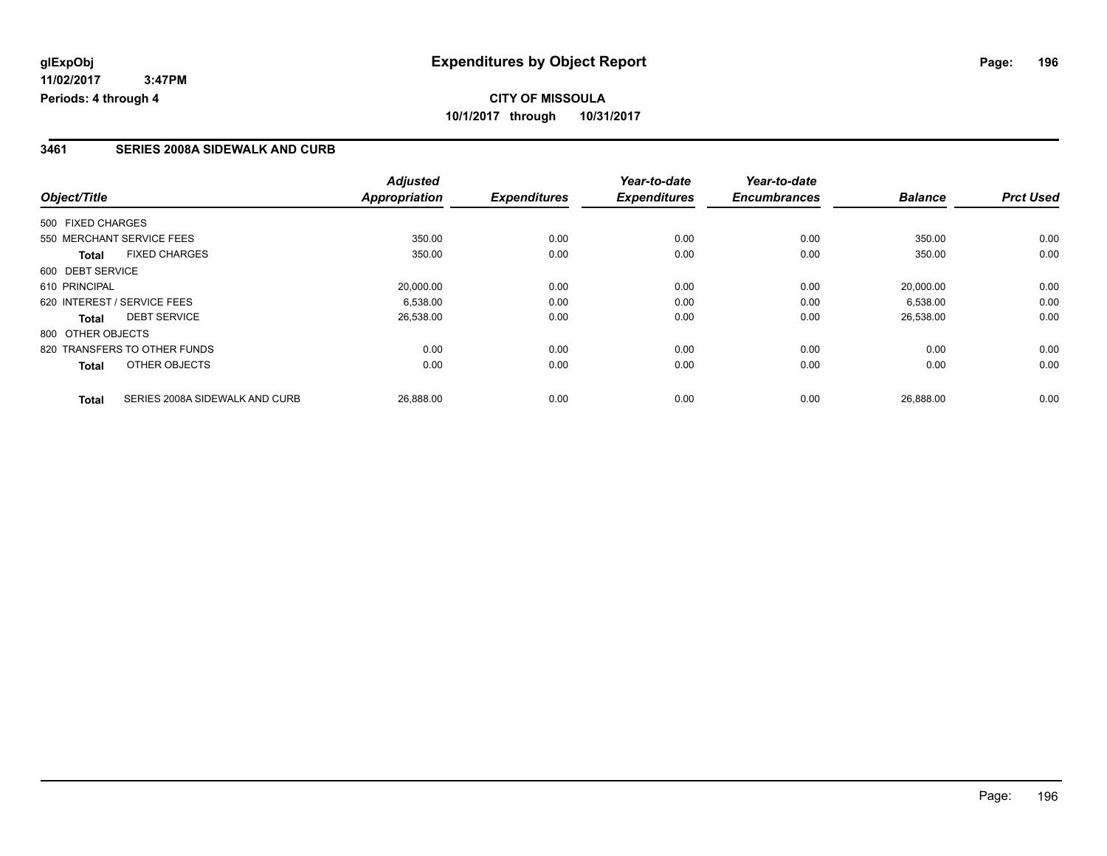# **CITY OF MISSOULA 10/1/2017 through 10/31/2017**

#### **3461 SERIES 2008A SIDEWALK AND CURB**

|                                                | <b>Adjusted</b>      |                     | Year-to-date        | Year-to-date        |                |                  |
|------------------------------------------------|----------------------|---------------------|---------------------|---------------------|----------------|------------------|
| Object/Title                                   | <b>Appropriation</b> | <b>Expenditures</b> | <b>Expenditures</b> | <b>Encumbrances</b> | <b>Balance</b> | <b>Prct Used</b> |
| 500 FIXED CHARGES                              |                      |                     |                     |                     |                |                  |
| 550 MERCHANT SERVICE FEES                      | 350.00               | 0.00                | 0.00                | 0.00                | 350.00         | 0.00             |
| <b>FIXED CHARGES</b><br><b>Total</b>           | 350.00               | 0.00                | 0.00                | 0.00                | 350.00         | 0.00             |
| 600 DEBT SERVICE                               |                      |                     |                     |                     |                |                  |
| 610 PRINCIPAL                                  | 20,000.00            | 0.00                | 0.00                | 0.00                | 20,000.00      | 0.00             |
| 620 INTEREST / SERVICE FEES                    | 6.538.00             | 0.00                | 0.00                | 0.00                | 6,538.00       | 0.00             |
| <b>DEBT SERVICE</b><br><b>Total</b>            | 26,538.00            | 0.00                | 0.00                | 0.00                | 26,538.00      | 0.00             |
| 800 OTHER OBJECTS                              |                      |                     |                     |                     |                |                  |
| 820 TRANSFERS TO OTHER FUNDS                   | 0.00                 | 0.00                | 0.00                | 0.00                | 0.00           | 0.00             |
| OTHER OBJECTS<br><b>Total</b>                  | 0.00                 | 0.00                | 0.00                | 0.00                | 0.00           | 0.00             |
| SERIES 2008A SIDEWALK AND CURB<br><b>Total</b> | 26,888.00            | 0.00                | 0.00                | 0.00                | 26,888.00      | 0.00             |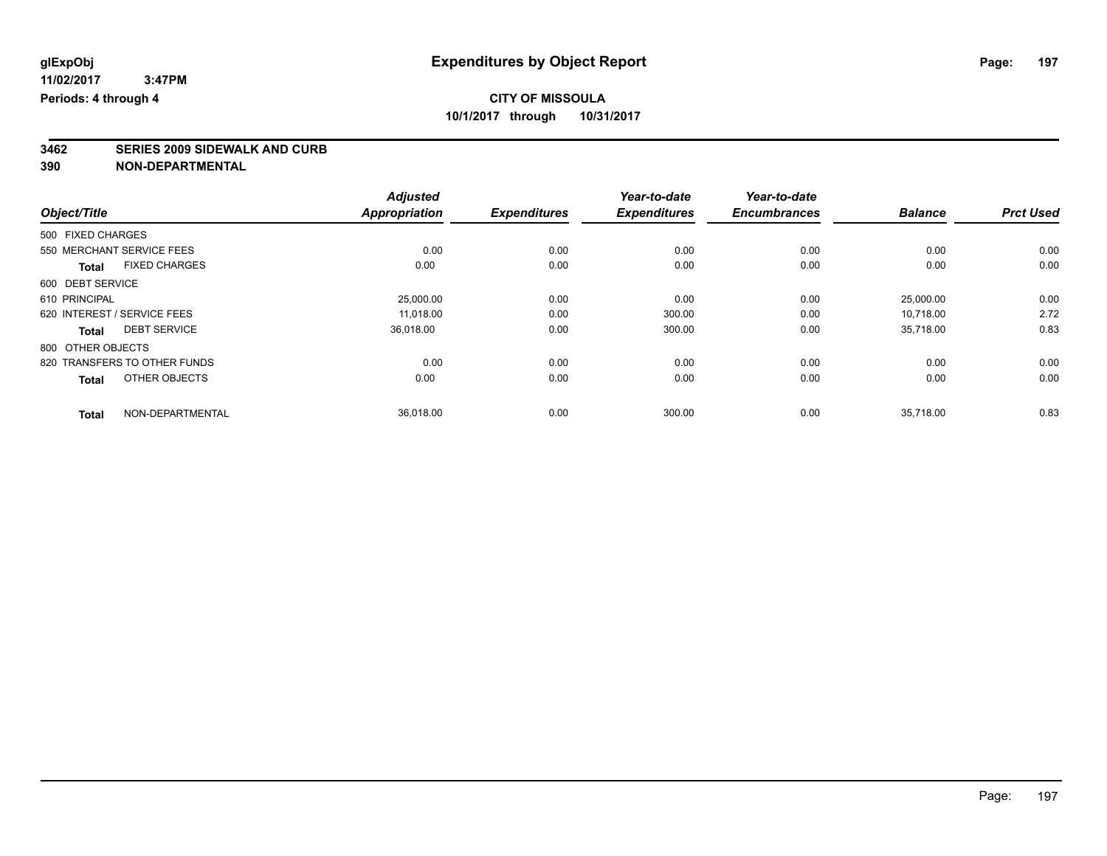# **3462 SERIES 2009 SIDEWALK AND CURB**

|                                      | <b>Adjusted</b>      |                     | Year-to-date        | Year-to-date        |                |                  |
|--------------------------------------|----------------------|---------------------|---------------------|---------------------|----------------|------------------|
| Object/Title                         | <b>Appropriation</b> | <b>Expenditures</b> | <b>Expenditures</b> | <b>Encumbrances</b> | <b>Balance</b> | <b>Prct Used</b> |
| 500 FIXED CHARGES                    |                      |                     |                     |                     |                |                  |
| 550 MERCHANT SERVICE FEES            | 0.00                 | 0.00                | 0.00                | 0.00                | 0.00           | 0.00             |
| <b>FIXED CHARGES</b><br><b>Total</b> | 0.00                 | 0.00                | 0.00                | 0.00                | 0.00           | 0.00             |
| 600 DEBT SERVICE                     |                      |                     |                     |                     |                |                  |
| 610 PRINCIPAL                        | 25,000.00            | 0.00                | 0.00                | 0.00                | 25,000.00      | 0.00             |
| 620 INTEREST / SERVICE FEES          | 11.018.00            | 0.00                | 300.00              | 0.00                | 10,718.00      | 2.72             |
| <b>DEBT SERVICE</b><br><b>Total</b>  | 36,018.00            | 0.00                | 300.00              | 0.00                | 35,718.00      | 0.83             |
| 800 OTHER OBJECTS                    |                      |                     |                     |                     |                |                  |
| 820 TRANSFERS TO OTHER FUNDS         | 0.00                 | 0.00                | 0.00                | 0.00                | 0.00           | 0.00             |
| OTHER OBJECTS<br><b>Total</b>        | 0.00                 | 0.00                | 0.00                | 0.00                | 0.00           | 0.00             |
| NON-DEPARTMENTAL<br><b>Total</b>     | 36,018.00            | 0.00                | 300.00              | 0.00                | 35,718.00      | 0.83             |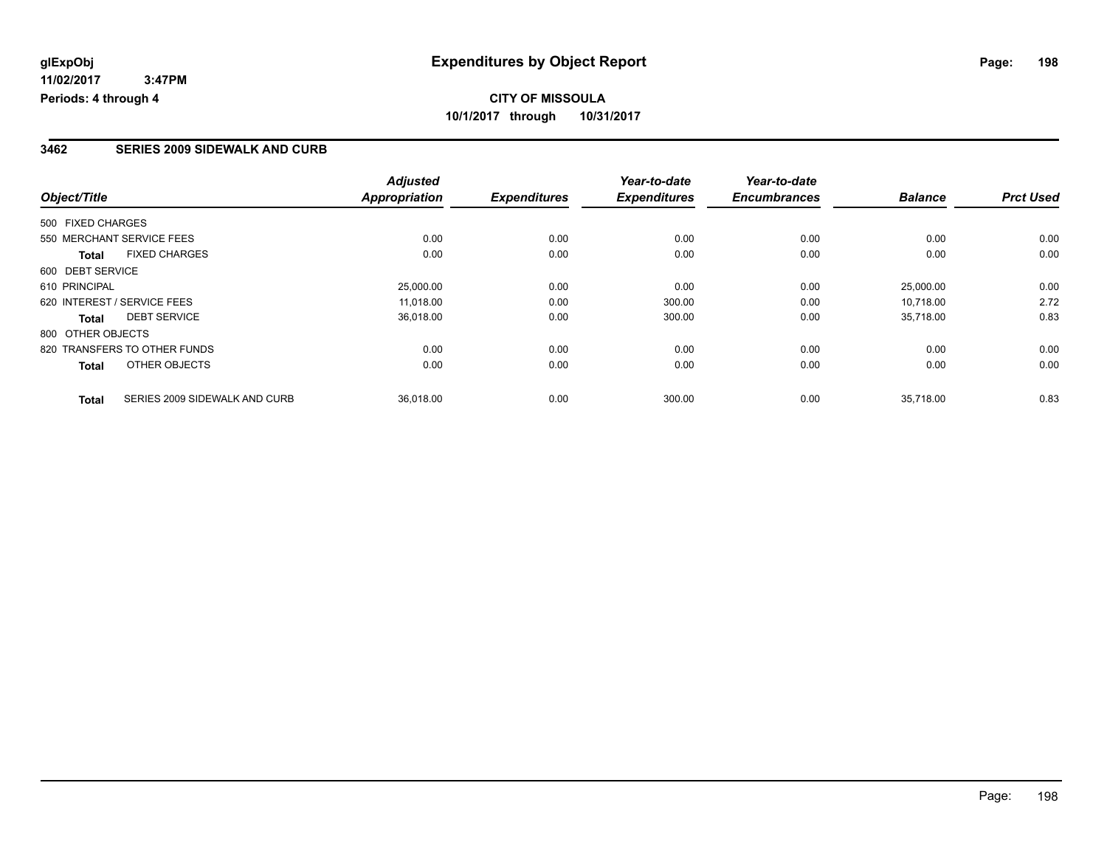## **CITY OF MISSOULA 10/1/2017 through 10/31/2017**

#### **3462 SERIES 2009 SIDEWALK AND CURB**

|                              |                               | <b>Adjusted</b>      |                     | Year-to-date        | Year-to-date        |                |                  |
|------------------------------|-------------------------------|----------------------|---------------------|---------------------|---------------------|----------------|------------------|
| Object/Title                 |                               | <b>Appropriation</b> | <b>Expenditures</b> | <b>Expenditures</b> | <b>Encumbrances</b> | <b>Balance</b> | <b>Prct Used</b> |
| 500 FIXED CHARGES            |                               |                      |                     |                     |                     |                |                  |
| 550 MERCHANT SERVICE FEES    |                               | 0.00                 | 0.00                | 0.00                | 0.00                | 0.00           | 0.00             |
| <b>Total</b>                 | <b>FIXED CHARGES</b>          | 0.00                 | 0.00                | 0.00                | 0.00                | 0.00           | 0.00             |
| 600 DEBT SERVICE             |                               |                      |                     |                     |                     |                |                  |
| 610 PRINCIPAL                |                               | 25,000.00            | 0.00                | 0.00                | 0.00                | 25,000.00      | 0.00             |
| 620 INTEREST / SERVICE FEES  |                               | 11.018.00            | 0.00                | 300.00              | 0.00                | 10.718.00      | 2.72             |
| Total                        | <b>DEBT SERVICE</b>           | 36,018.00            | 0.00                | 300.00              | 0.00                | 35,718.00      | 0.83             |
| 800 OTHER OBJECTS            |                               |                      |                     |                     |                     |                |                  |
| 820 TRANSFERS TO OTHER FUNDS |                               | 0.00                 | 0.00                | 0.00                | 0.00                | 0.00           | 0.00             |
| <b>Total</b>                 | OTHER OBJECTS                 | 0.00                 | 0.00                | 0.00                | 0.00                | 0.00           | 0.00             |
| <b>Total</b>                 | SERIES 2009 SIDEWALK AND CURB | 36,018.00            | 0.00                | 300.00              | 0.00                | 35.718.00      | 0.83             |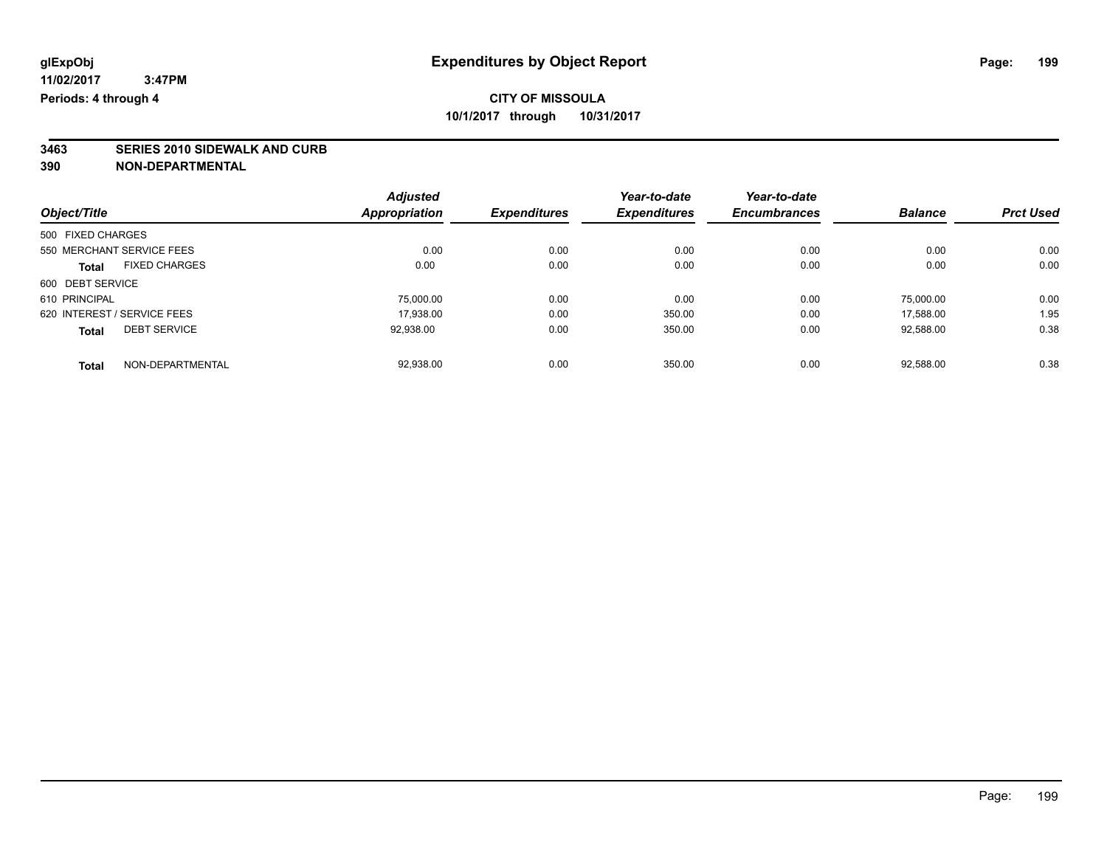# **3463 SERIES 2010 SIDEWALK AND CURB**

|                                      | <b>Adjusted</b>      |                     | Year-to-date        | Year-to-date        |                |                  |
|--------------------------------------|----------------------|---------------------|---------------------|---------------------|----------------|------------------|
| Object/Title                         | <b>Appropriation</b> | <b>Expenditures</b> | <b>Expenditures</b> | <b>Encumbrances</b> | <b>Balance</b> | <b>Prct Used</b> |
| 500 FIXED CHARGES                    |                      |                     |                     |                     |                |                  |
| 550 MERCHANT SERVICE FEES            | 0.00                 | 0.00                | 0.00                | 0.00                | 0.00           | 0.00             |
| <b>FIXED CHARGES</b><br><b>Total</b> | 0.00                 | 0.00                | 0.00                | 0.00                | 0.00           | 0.00             |
| 600 DEBT SERVICE                     |                      |                     |                     |                     |                |                  |
| 610 PRINCIPAL                        | 75,000.00            | 0.00                | 0.00                | 0.00                | 75.000.00      | 0.00             |
| 620 INTEREST / SERVICE FEES          | 17,938.00            | 0.00                | 350.00              | 0.00                | 17.588.00      | 1.95             |
| <b>DEBT SERVICE</b><br><b>Total</b>  | 92,938.00            | 0.00                | 350.00              | 0.00                | 92,588.00      | 0.38             |
| NON-DEPARTMENTAL<br><b>Total</b>     | 92.938.00            | 0.00                | 350.00              | 0.00                | 92.588.00      | 0.38             |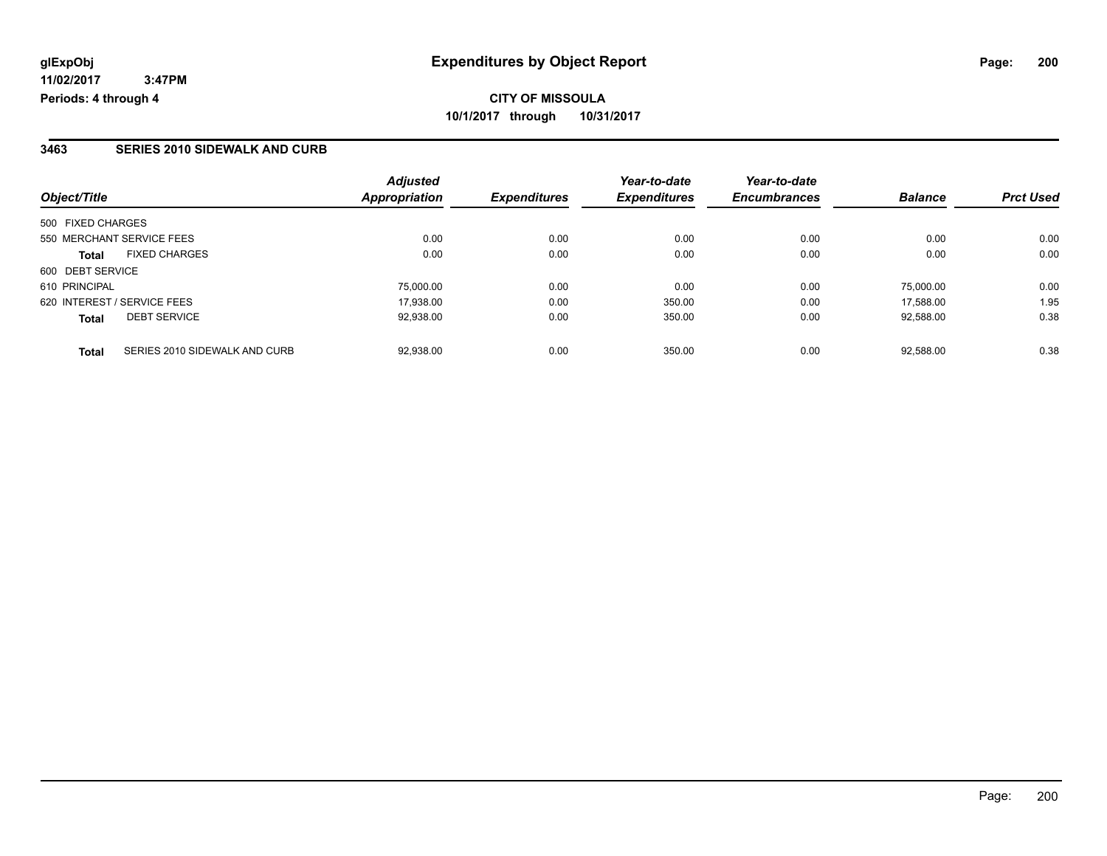# **CITY OF MISSOULA 10/1/2017 through 10/31/2017**

#### **3463 SERIES 2010 SIDEWALK AND CURB**

| Object/Title                           | <b>Adjusted</b><br><b>Appropriation</b> | <b>Expenditures</b> | Year-to-date<br><b>Expenditures</b> | Year-to-date<br><b>Encumbrances</b> | <b>Balance</b> | <b>Prct Used</b> |
|----------------------------------------|-----------------------------------------|---------------------|-------------------------------------|-------------------------------------|----------------|------------------|
| 500 FIXED CHARGES                      |                                         |                     |                                     |                                     |                |                  |
|                                        |                                         |                     |                                     |                                     |                |                  |
| 550 MERCHANT SERVICE FEES              | 0.00                                    | 0.00                | 0.00                                | 0.00                                | 0.00           | 0.00             |
| <b>FIXED CHARGES</b><br>Total          | 0.00                                    | 0.00                | 0.00                                | 0.00                                | 0.00           | 0.00             |
| 600 DEBT SERVICE                       |                                         |                     |                                     |                                     |                |                  |
| 610 PRINCIPAL                          | 75,000.00                               | 0.00                | 0.00                                | 0.00                                | 75.000.00      | 0.00             |
| 620 INTEREST / SERVICE FEES            | 17.938.00                               | 0.00                | 350.00                              | 0.00                                | 17.588.00      | 1.95             |
| <b>DEBT SERVICE</b><br><b>Total</b>    | 92.938.00                               | 0.00                | 350.00                              | 0.00                                | 92.588.00      | 0.38             |
|                                        |                                         |                     |                                     |                                     |                |                  |
| SERIES 2010 SIDEWALK AND CURB<br>Total | 92.938.00                               | 0.00                | 350.00                              | 0.00                                | 92.588.00      | 0.38             |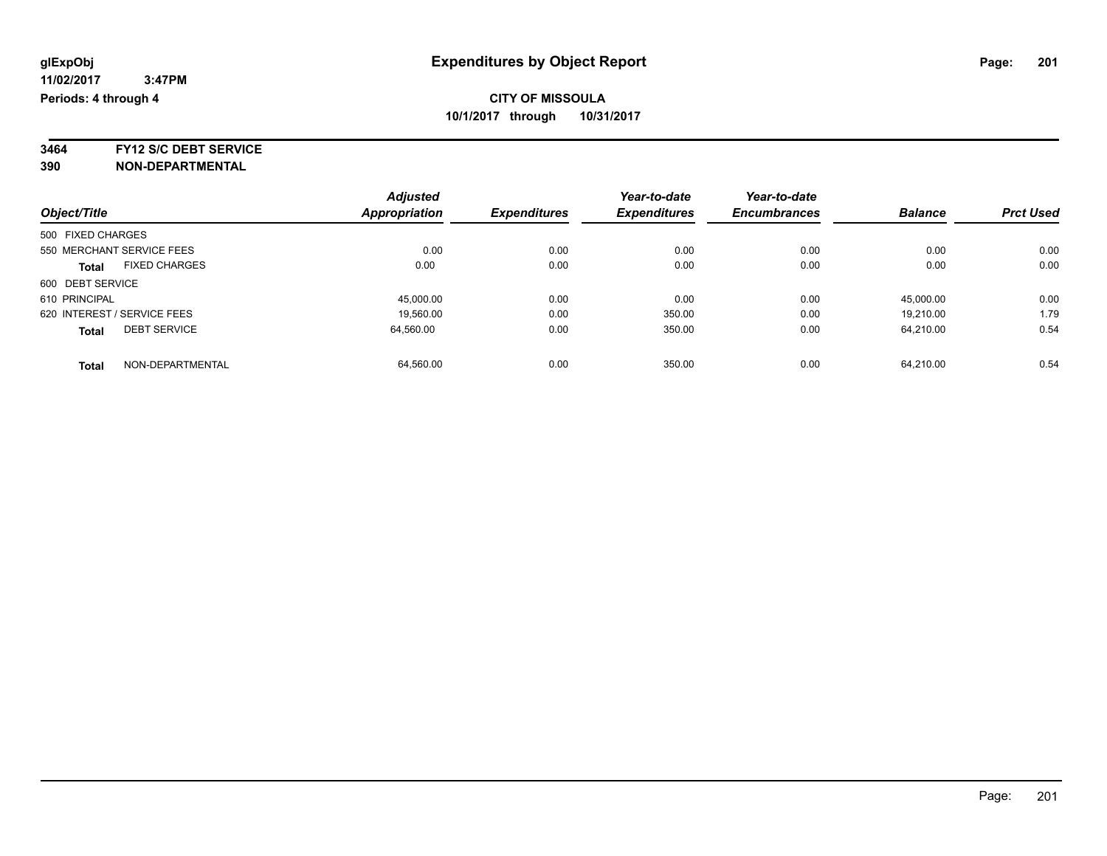**3464 FY12 S/C DEBT SERVICE**

|                                      | <b>Adjusted</b> |                     | Year-to-date        | Year-to-date        |                |                  |
|--------------------------------------|-----------------|---------------------|---------------------|---------------------|----------------|------------------|
| Object/Title                         | Appropriation   | <b>Expenditures</b> | <b>Expenditures</b> | <b>Encumbrances</b> | <b>Balance</b> | <b>Prct Used</b> |
| 500 FIXED CHARGES                    |                 |                     |                     |                     |                |                  |
| 550 MERCHANT SERVICE FEES            | 0.00            | 0.00                | 0.00                | 0.00                | 0.00           | 0.00             |
| <b>FIXED CHARGES</b><br><b>Total</b> | 0.00            | 0.00                | 0.00                | 0.00                | 0.00           | 0.00             |
| 600 DEBT SERVICE                     |                 |                     |                     |                     |                |                  |
| 610 PRINCIPAL                        | 45,000.00       | 0.00                | 0.00                | 0.00                | 45,000.00      | 0.00             |
| 620 INTEREST / SERVICE FEES          | 19,560.00       | 0.00                | 350.00              | 0.00                | 19.210.00      | 1.79             |
| <b>DEBT SERVICE</b><br><b>Total</b>  | 64.560.00       | 0.00                | 350.00              | 0.00                | 64.210.00      | 0.54             |
| NON-DEPARTMENTAL<br><b>Total</b>     | 64.560.00       | 0.00                | 350.00              | 0.00                | 64.210.00      | 0.54             |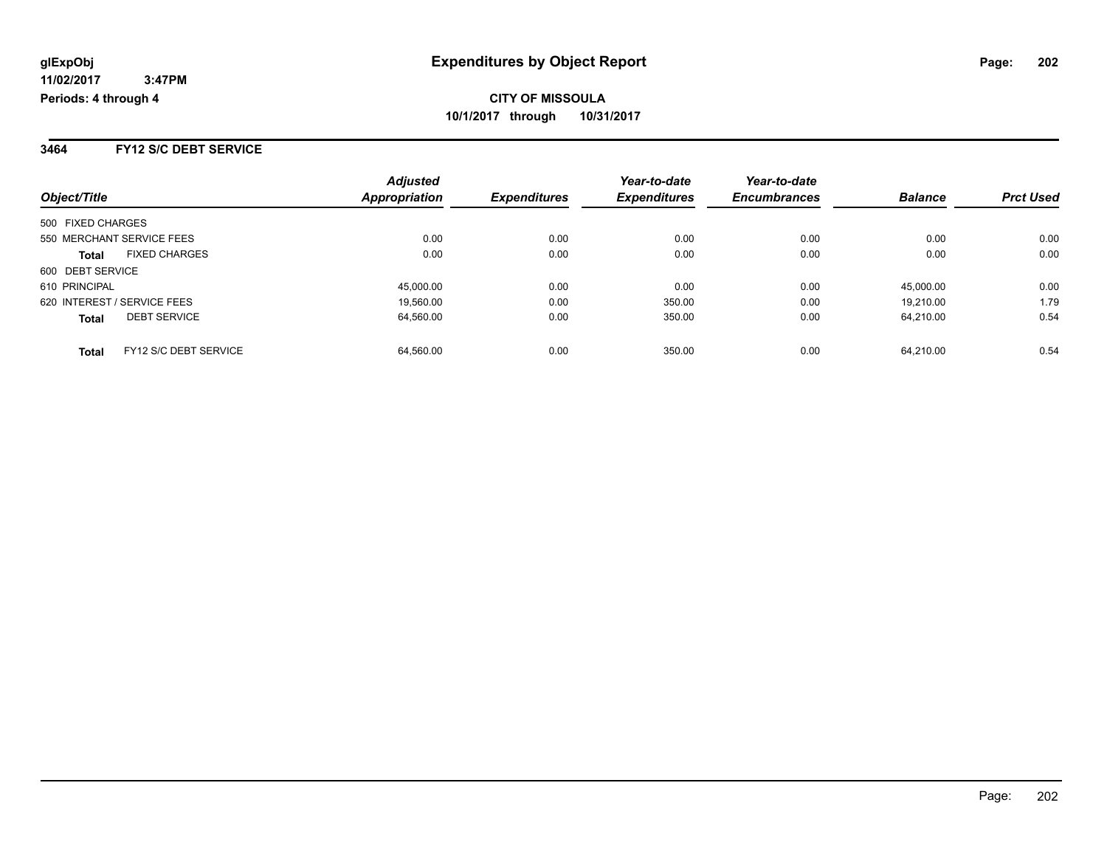**3464 FY12 S/C DEBT SERVICE**

| Object/Title                |                       | <b>Adjusted</b><br>Appropriation | <b>Expenditures</b> | Year-to-date<br><b>Expenditures</b> | Year-to-date<br><b>Encumbrances</b> | <b>Balance</b> | <b>Prct Used</b> |
|-----------------------------|-----------------------|----------------------------------|---------------------|-------------------------------------|-------------------------------------|----------------|------------------|
|                             |                       |                                  |                     |                                     |                                     |                |                  |
| 500 FIXED CHARGES           |                       |                                  |                     |                                     |                                     |                |                  |
| 550 MERCHANT SERVICE FEES   |                       | 0.00                             | 0.00                | 0.00                                | 0.00                                | 0.00           | 0.00             |
| <b>Total</b>                | <b>FIXED CHARGES</b>  | 0.00                             | 0.00                | 0.00                                | 0.00                                | 0.00           | 0.00             |
| 600 DEBT SERVICE            |                       |                                  |                     |                                     |                                     |                |                  |
| 610 PRINCIPAL               |                       | 45,000.00                        | 0.00                | 0.00                                | 0.00                                | 45.000.00      | 0.00             |
| 620 INTEREST / SERVICE FEES |                       | 19.560.00                        | 0.00                | 350.00                              | 0.00                                | 19.210.00      | 1.79             |
| <b>Total</b>                | <b>DEBT SERVICE</b>   | 64,560.00                        | 0.00                | 350.00                              | 0.00                                | 64.210.00      | 0.54             |
| <b>Total</b>                | FY12 S/C DEBT SERVICE | 64.560.00                        | 0.00                | 350.00                              | 0.00                                | 64.210.00      | 0.54             |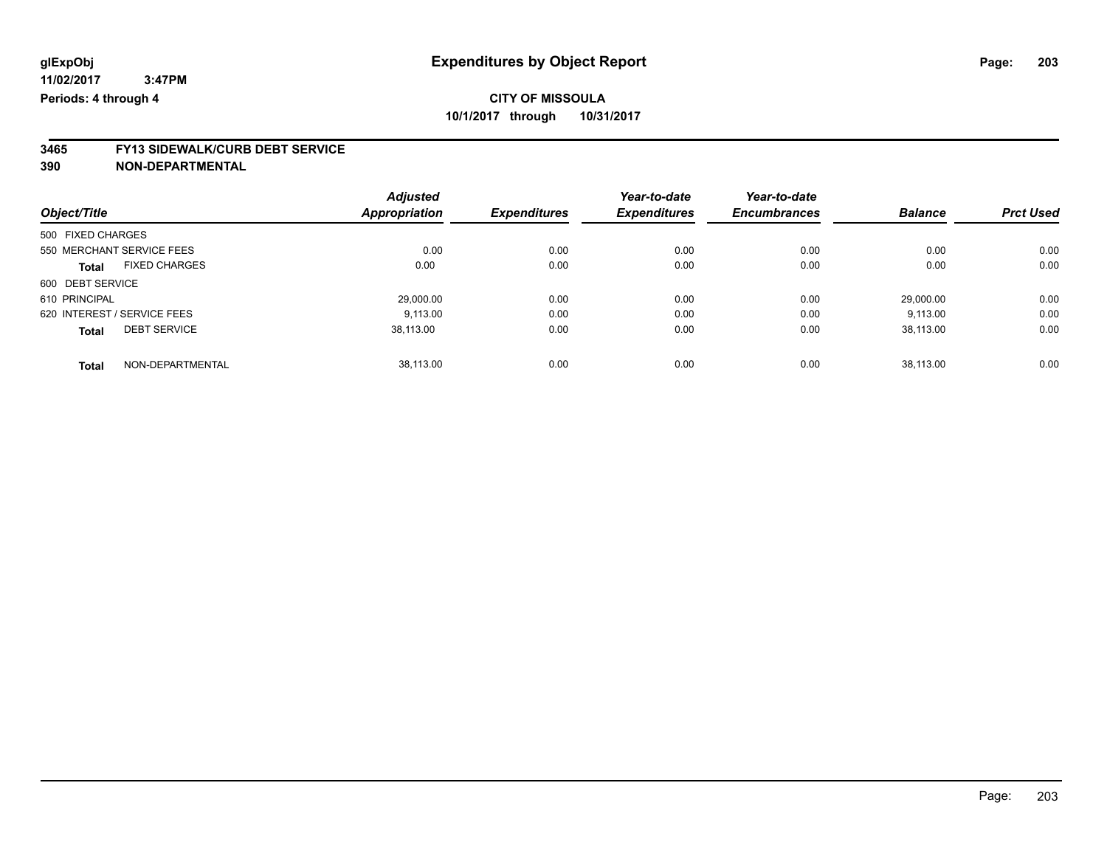# **3465 FY13 SIDEWALK/CURB DEBT SERVICE**

|                                      | <b>Adjusted</b>      |                     | Year-to-date        | Year-to-date        |                |                  |
|--------------------------------------|----------------------|---------------------|---------------------|---------------------|----------------|------------------|
| Object/Title                         | <b>Appropriation</b> | <b>Expenditures</b> | <b>Expenditures</b> | <b>Encumbrances</b> | <b>Balance</b> | <b>Prct Used</b> |
| 500 FIXED CHARGES                    |                      |                     |                     |                     |                |                  |
| 550 MERCHANT SERVICE FEES            | 0.00                 | 0.00                | 0.00                | 0.00                | 0.00           | 0.00             |
| <b>FIXED CHARGES</b><br><b>Total</b> | 0.00                 | 0.00                | 0.00                | 0.00                | 0.00           | 0.00             |
| 600 DEBT SERVICE                     |                      |                     |                     |                     |                |                  |
| 610 PRINCIPAL                        | 29,000.00            | 0.00                | 0.00                | 0.00                | 29.000.00      | 0.00             |
| 620 INTEREST / SERVICE FEES          | 9.113.00             | 0.00                | 0.00                | 0.00                | 9,113.00       | 0.00             |
| <b>DEBT SERVICE</b><br><b>Total</b>  | 38.113.00            | 0.00                | 0.00                | 0.00                | 38,113.00      | 0.00             |
| NON-DEPARTMENTAL<br><b>Total</b>     | 38.113.00            | 0.00                | 0.00                | 0.00                | 38.113.00      | 0.00             |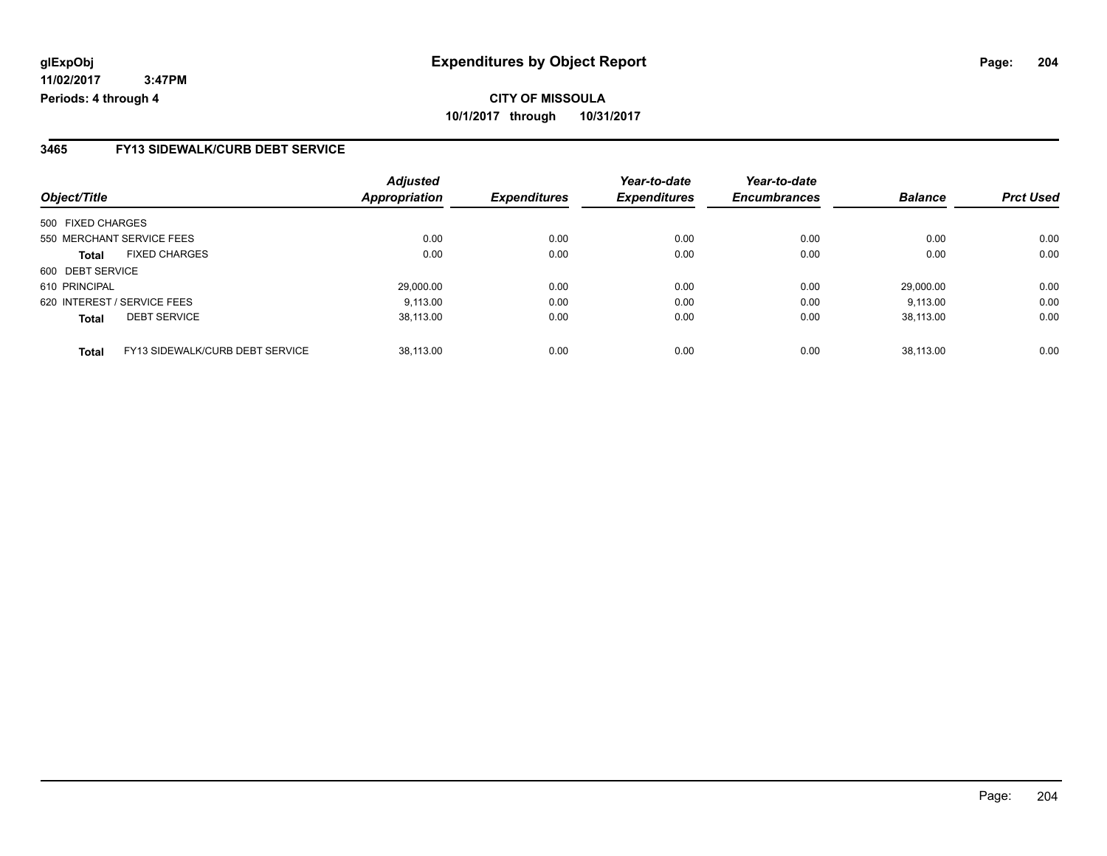#### **3465 FY13 SIDEWALK/CURB DEBT SERVICE**

|                   |                                 | <b>Adjusted</b>      |                     | Year-to-date        | Year-to-date        |                |                  |
|-------------------|---------------------------------|----------------------|---------------------|---------------------|---------------------|----------------|------------------|
| Object/Title      |                                 | <b>Appropriation</b> | <b>Expenditures</b> | <b>Expenditures</b> | <b>Encumbrances</b> | <b>Balance</b> | <b>Prct Used</b> |
| 500 FIXED CHARGES |                                 |                      |                     |                     |                     |                |                  |
|                   | 550 MERCHANT SERVICE FEES       | 0.00                 | 0.00                | 0.00                | 0.00                | 0.00           | 0.00             |
| <b>Total</b>      | <b>FIXED CHARGES</b>            | 0.00                 | 0.00                | 0.00                | 0.00                | 0.00           | 0.00             |
| 600 DEBT SERVICE  |                                 |                      |                     |                     |                     |                |                  |
| 610 PRINCIPAL     |                                 | 29.000.00            | 0.00                | 0.00                | 0.00                | 29.000.00      | 0.00             |
|                   | 620 INTEREST / SERVICE FEES     | 9.113.00             | 0.00                | 0.00                | 0.00                | 9.113.00       | 0.00             |
| <b>Total</b>      | <b>DEBT SERVICE</b>             | 38,113.00            | 0.00                | 0.00                | 0.00                | 38.113.00      | 0.00             |
| <b>Total</b>      | FY13 SIDEWALK/CURB DEBT SERVICE | 38.113.00            | 0.00                | 0.00                | 0.00                | 38.113.00      | 0.00             |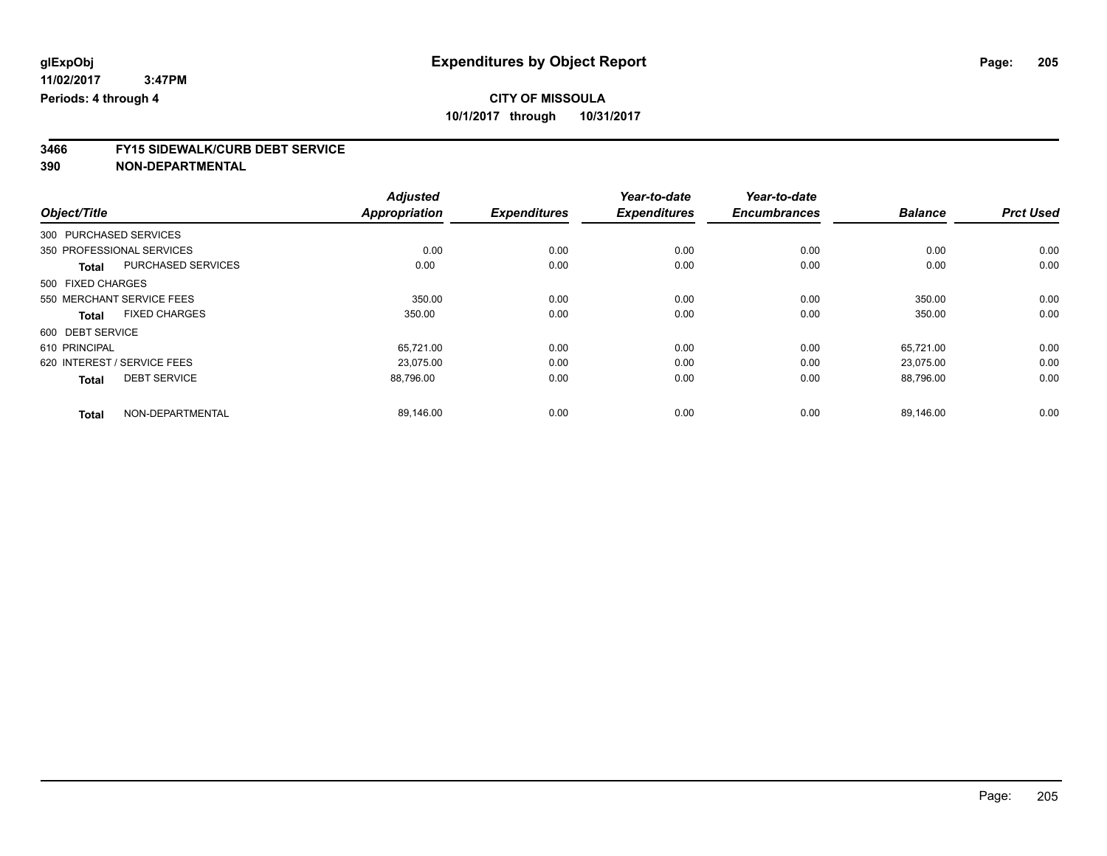# **3466 FY15 SIDEWALK/CURB DEBT SERVICE**

|                                      | <b>Adjusted</b>      |                     | Year-to-date        | Year-to-date        |                |                  |
|--------------------------------------|----------------------|---------------------|---------------------|---------------------|----------------|------------------|
| Object/Title                         | <b>Appropriation</b> | <b>Expenditures</b> | <b>Expenditures</b> | <b>Encumbrances</b> | <b>Balance</b> | <b>Prct Used</b> |
| 300 PURCHASED SERVICES               |                      |                     |                     |                     |                |                  |
| 350 PROFESSIONAL SERVICES            | 0.00                 | 0.00                | 0.00                | 0.00                | 0.00           | 0.00             |
| PURCHASED SERVICES<br><b>Total</b>   | 0.00                 | 0.00                | 0.00                | 0.00                | 0.00           | 0.00             |
| 500 FIXED CHARGES                    |                      |                     |                     |                     |                |                  |
| 550 MERCHANT SERVICE FEES            | 350.00               | 0.00                | 0.00                | 0.00                | 350.00         | 0.00             |
| <b>FIXED CHARGES</b><br><b>Total</b> | 350.00               | 0.00                | 0.00                | 0.00                | 350.00         | 0.00             |
| 600 DEBT SERVICE                     |                      |                     |                     |                     |                |                  |
| 610 PRINCIPAL                        | 65,721.00            | 0.00                | 0.00                | 0.00                | 65,721.00      | 0.00             |
| 620 INTEREST / SERVICE FEES          | 23.075.00            | 0.00                | 0.00                | 0.00                | 23,075.00      | 0.00             |
| <b>DEBT SERVICE</b><br><b>Total</b>  | 88,796.00            | 0.00                | 0.00                | 0.00                | 88,796.00      | 0.00             |
|                                      |                      |                     |                     |                     |                |                  |
| NON-DEPARTMENTAL<br><b>Total</b>     | 89,146.00            | 0.00                | 0.00                | 0.00                | 89.146.00      | 0.00             |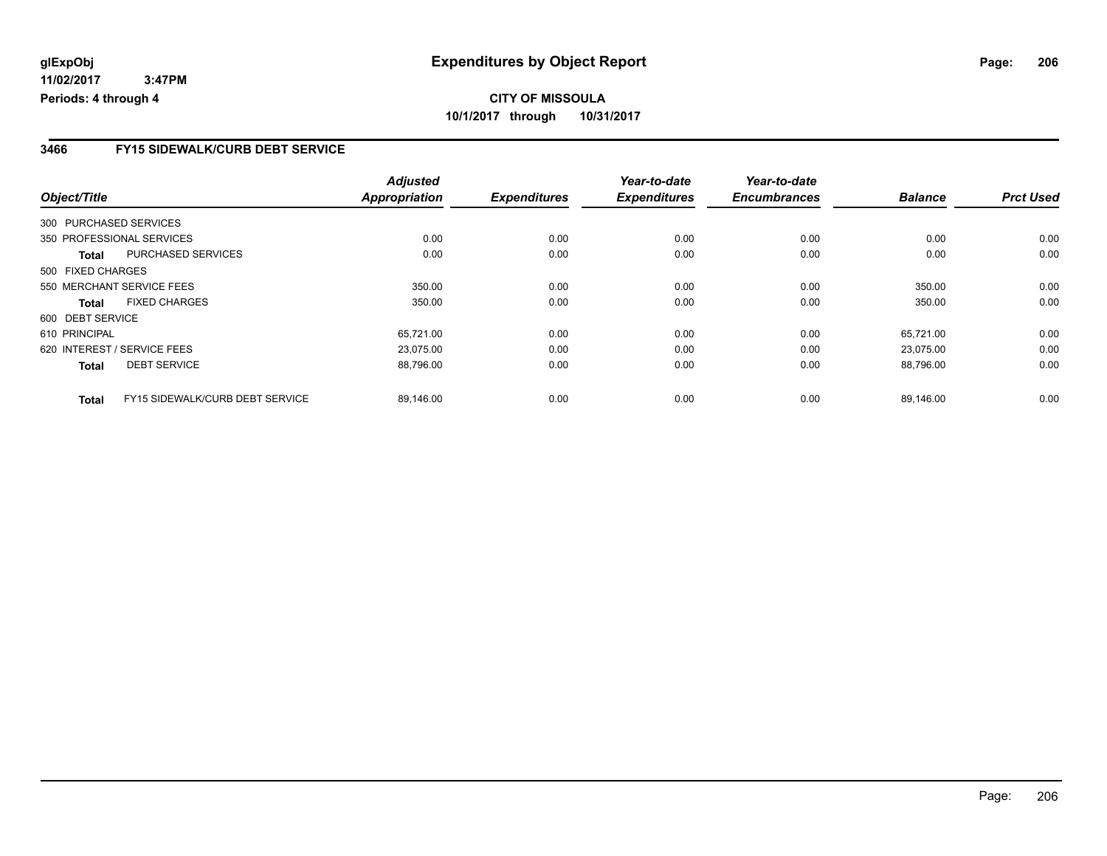## **CITY OF MISSOULA 10/1/2017 through 10/31/2017**

#### **3466 FY15 SIDEWALK/CURB DEBT SERVICE**

|                        |                                 | <b>Adjusted</b>      |                     | Year-to-date        | Year-to-date        |                |                  |
|------------------------|---------------------------------|----------------------|---------------------|---------------------|---------------------|----------------|------------------|
| Object/Title           |                                 | <b>Appropriation</b> | <b>Expenditures</b> | <b>Expenditures</b> | <b>Encumbrances</b> | <b>Balance</b> | <b>Prct Used</b> |
| 300 PURCHASED SERVICES |                                 |                      |                     |                     |                     |                |                  |
|                        | 350 PROFESSIONAL SERVICES       | 0.00                 | 0.00                | 0.00                | 0.00                | 0.00           | 0.00             |
| Total                  | PURCHASED SERVICES              | 0.00                 | 0.00                | 0.00                | 0.00                | 0.00           | 0.00             |
| 500 FIXED CHARGES      |                                 |                      |                     |                     |                     |                |                  |
|                        | 550 MERCHANT SERVICE FEES       | 350.00               | 0.00                | 0.00                | 0.00                | 350.00         | 0.00             |
| <b>Total</b>           | <b>FIXED CHARGES</b>            | 350.00               | 0.00                | 0.00                | 0.00                | 350.00         | 0.00             |
| 600 DEBT SERVICE       |                                 |                      |                     |                     |                     |                |                  |
| 610 PRINCIPAL          |                                 | 65,721.00            | 0.00                | 0.00                | 0.00                | 65.721.00      | 0.00             |
|                        | 620 INTEREST / SERVICE FEES     | 23,075.00            | 0.00                | 0.00                | 0.00                | 23.075.00      | 0.00             |
| <b>Total</b>           | <b>DEBT SERVICE</b>             | 88,796.00            | 0.00                | 0.00                | 0.00                | 88,796.00      | 0.00             |
| <b>Total</b>           | FY15 SIDEWALK/CURB DEBT SERVICE | 89,146.00            | 0.00                | 0.00                | 0.00                | 89,146.00      | 0.00             |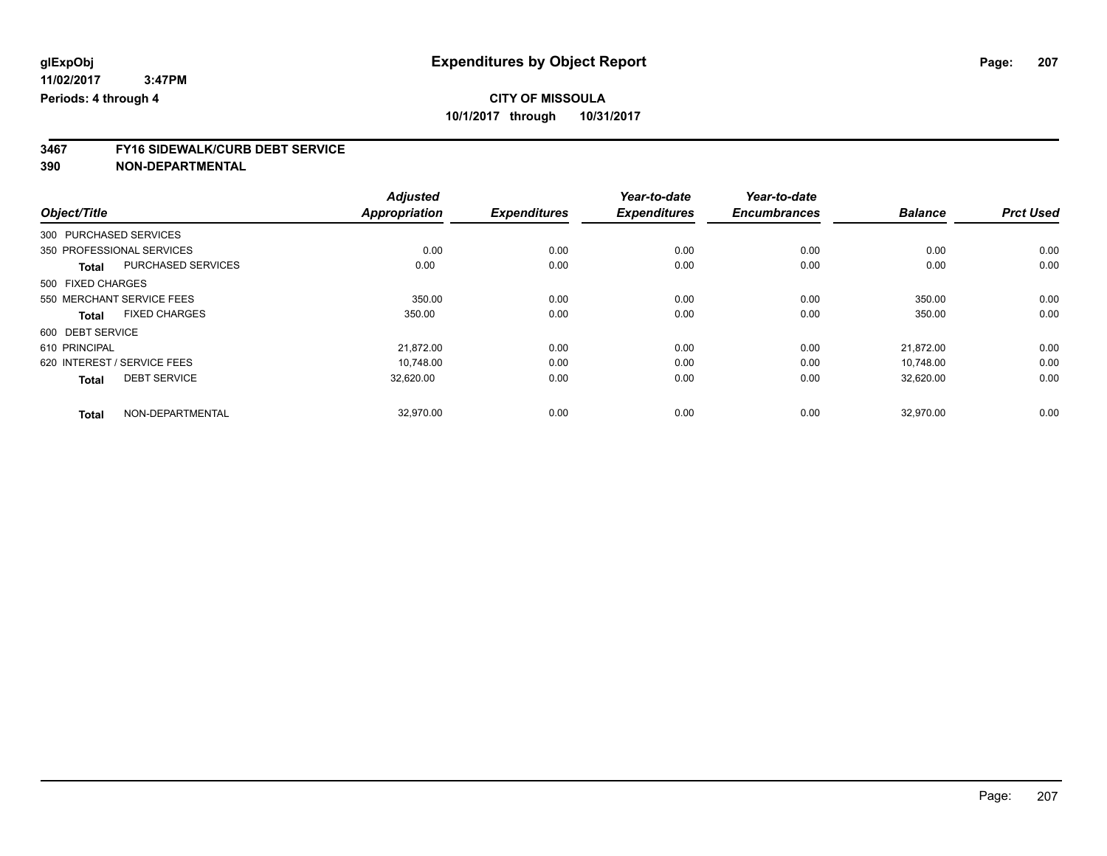# **3467 FY16 SIDEWALK/CURB DEBT SERVICE**

|                             |                      | <b>Adjusted</b>      |                     | Year-to-date        | Year-to-date<br><b>Encumbrances</b> | <b>Balance</b> | <b>Prct Used</b> |
|-----------------------------|----------------------|----------------------|---------------------|---------------------|-------------------------------------|----------------|------------------|
| Object/Title                |                      | <b>Appropriation</b> | <b>Expenditures</b> | <b>Expenditures</b> |                                     |                |                  |
| 300 PURCHASED SERVICES      |                      |                      |                     |                     |                                     |                |                  |
| 350 PROFESSIONAL SERVICES   |                      | 0.00                 | 0.00                | 0.00                | 0.00                                | 0.00           | 0.00             |
| <b>Total</b>                | PURCHASED SERVICES   | 0.00                 | 0.00                | 0.00                | 0.00                                | 0.00           | 0.00             |
| 500 FIXED CHARGES           |                      |                      |                     |                     |                                     |                |                  |
| 550 MERCHANT SERVICE FEES   |                      | 350.00               | 0.00                | 0.00                | 0.00                                | 350.00         | 0.00             |
| Total                       | <b>FIXED CHARGES</b> | 350.00               | 0.00                | 0.00                | 0.00                                | 350.00         | 0.00             |
| 600 DEBT SERVICE            |                      |                      |                     |                     |                                     |                |                  |
| 610 PRINCIPAL               |                      | 21,872.00            | 0.00                | 0.00                | 0.00                                | 21,872.00      | 0.00             |
| 620 INTEREST / SERVICE FEES |                      | 10.748.00            | 0.00                | 0.00                | 0.00                                | 10.748.00      | 0.00             |
| <b>Total</b>                | <b>DEBT SERVICE</b>  | 32,620.00            | 0.00                | 0.00                | 0.00                                | 32,620.00      | 0.00             |
|                             |                      |                      |                     |                     |                                     |                |                  |
| <b>Total</b>                | NON-DEPARTMENTAL     | 32,970.00            | 0.00                | 0.00                | 0.00                                | 32,970.00      | 0.00             |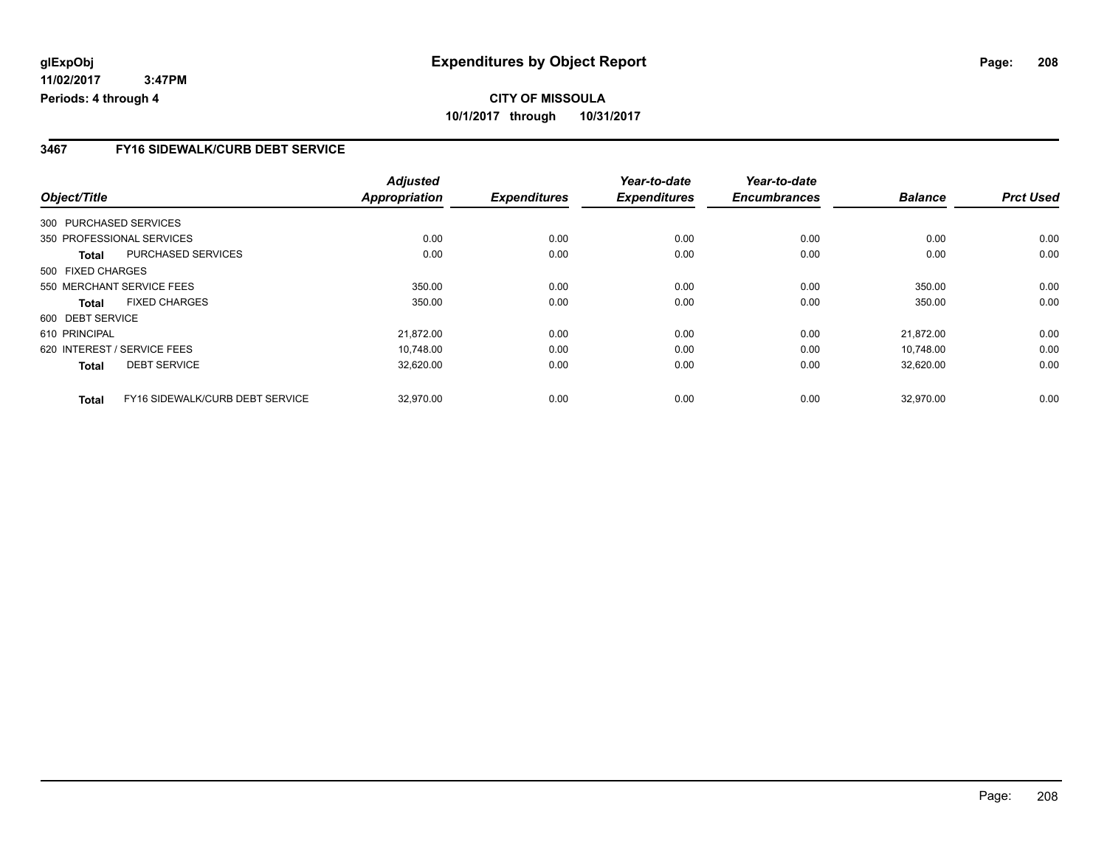# **CITY OF MISSOULA 10/1/2017 through 10/31/2017**

#### **3467 FY16 SIDEWALK/CURB DEBT SERVICE**

|                   |                                 | <b>Adjusted</b>      |                     | Year-to-date        | Year-to-date        |                |                  |
|-------------------|---------------------------------|----------------------|---------------------|---------------------|---------------------|----------------|------------------|
| Object/Title      |                                 | <b>Appropriation</b> | <b>Expenditures</b> | <b>Expenditures</b> | <b>Encumbrances</b> | <b>Balance</b> | <b>Prct Used</b> |
|                   | 300 PURCHASED SERVICES          |                      |                     |                     |                     |                |                  |
|                   | 350 PROFESSIONAL SERVICES       | 0.00                 | 0.00                | 0.00                | 0.00                | 0.00           | 0.00             |
| Total             | PURCHASED SERVICES              | 0.00                 | 0.00                | 0.00                | 0.00                | 0.00           | 0.00             |
| 500 FIXED CHARGES |                                 |                      |                     |                     |                     |                |                  |
|                   | 550 MERCHANT SERVICE FEES       | 350.00               | 0.00                | 0.00                | 0.00                | 350.00         | 0.00             |
| Total             | <b>FIXED CHARGES</b>            | 350.00               | 0.00                | 0.00                | 0.00                | 350.00         | 0.00             |
| 600 DEBT SERVICE  |                                 |                      |                     |                     |                     |                |                  |
| 610 PRINCIPAL     |                                 | 21,872.00            | 0.00                | 0.00                | 0.00                | 21,872.00      | 0.00             |
|                   | 620 INTEREST / SERVICE FEES     | 10,748.00            | 0.00                | 0.00                | 0.00                | 10.748.00      | 0.00             |
| <b>Total</b>      | <b>DEBT SERVICE</b>             | 32,620.00            | 0.00                | 0.00                | 0.00                | 32,620.00      | 0.00             |
| <b>Total</b>      | FY16 SIDEWALK/CURB DEBT SERVICE | 32.970.00            | 0.00                | 0.00                | 0.00                | 32,970.00      | 0.00             |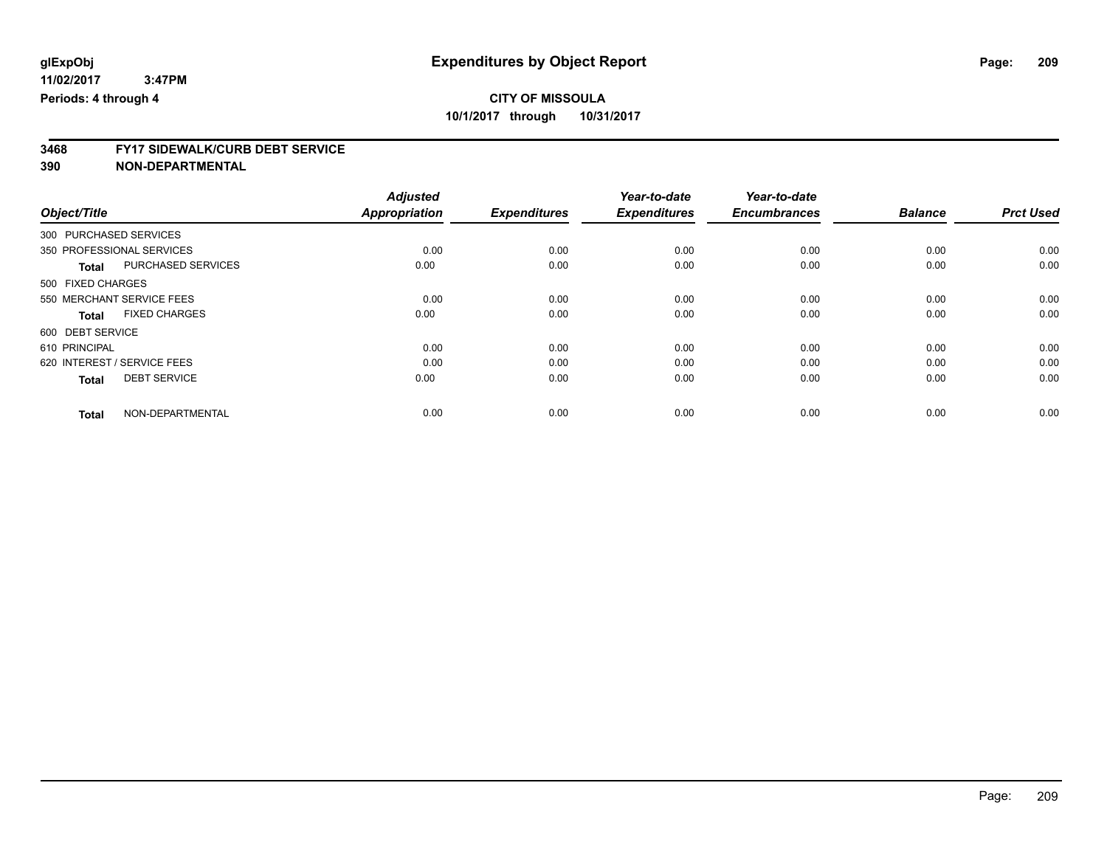# **3468 FY17 SIDEWALK/CURB DEBT SERVICE**

|                                      | <b>Adjusted</b>      |                     | Year-to-date        | Year-to-date        |                |                  |
|--------------------------------------|----------------------|---------------------|---------------------|---------------------|----------------|------------------|
| Object/Title                         | <b>Appropriation</b> | <b>Expenditures</b> | <b>Expenditures</b> | <b>Encumbrances</b> | <b>Balance</b> | <b>Prct Used</b> |
| 300 PURCHASED SERVICES               |                      |                     |                     |                     |                |                  |
| 350 PROFESSIONAL SERVICES            | 0.00                 | 0.00                | 0.00                | 0.00                | 0.00           | 0.00             |
| PURCHASED SERVICES<br><b>Total</b>   | 0.00                 | 0.00                | 0.00                | 0.00                | 0.00           | 0.00             |
| 500 FIXED CHARGES                    |                      |                     |                     |                     |                |                  |
| 550 MERCHANT SERVICE FEES            | 0.00                 | 0.00                | 0.00                | 0.00                | 0.00           | 0.00             |
| <b>FIXED CHARGES</b><br><b>Total</b> | 0.00                 | 0.00                | 0.00                | 0.00                | 0.00           | 0.00             |
| 600 DEBT SERVICE                     |                      |                     |                     |                     |                |                  |
| 610 PRINCIPAL                        | 0.00                 | 0.00                | 0.00                | 0.00                | 0.00           | 0.00             |
| 620 INTEREST / SERVICE FEES          | 0.00                 | 0.00                | 0.00                | 0.00                | 0.00           | 0.00             |
| <b>DEBT SERVICE</b><br><b>Total</b>  | 0.00                 | 0.00                | 0.00                | 0.00                | 0.00           | 0.00             |
|                                      |                      |                     |                     |                     |                |                  |
| NON-DEPARTMENTAL<br><b>Total</b>     | 0.00                 | 0.00                | 0.00                | 0.00                | 0.00           | 0.00             |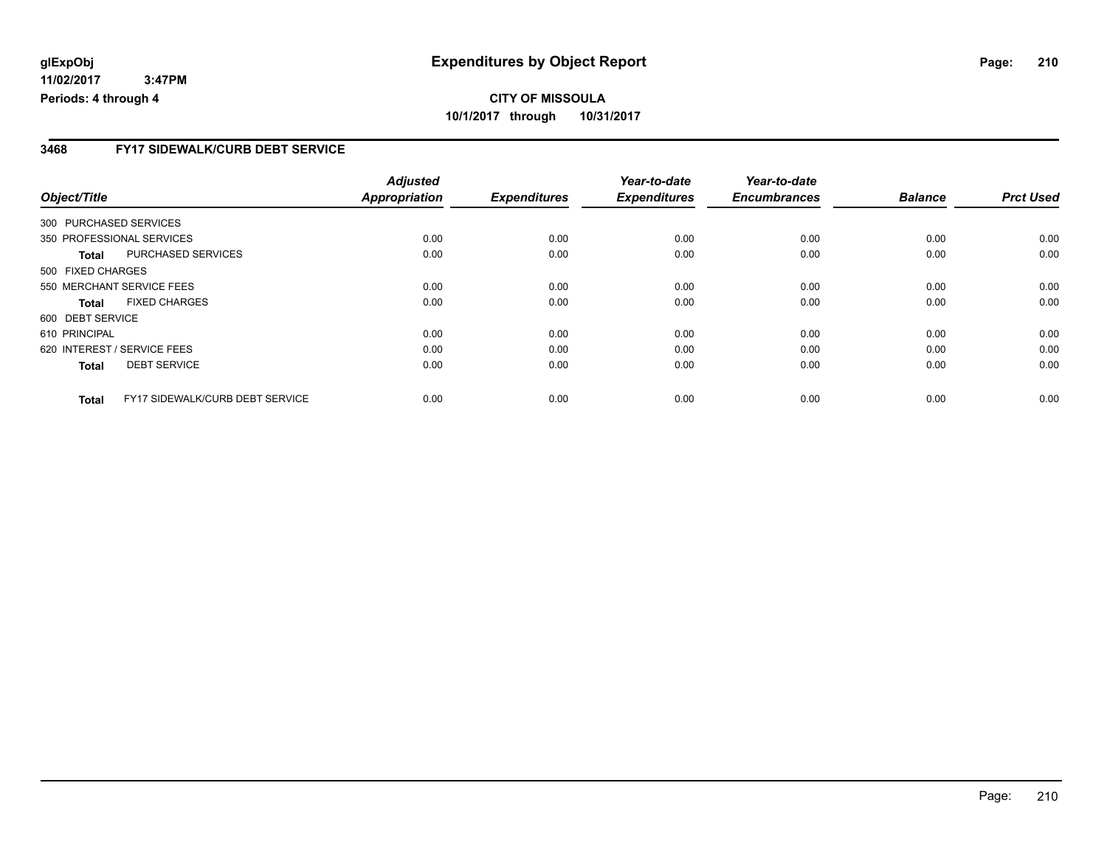#### **3468 FY17 SIDEWALK/CURB DEBT SERVICE**

|                        |                                 | <b>Adjusted</b>      |                     | Year-to-date        | Year-to-date        |                |                  |
|------------------------|---------------------------------|----------------------|---------------------|---------------------|---------------------|----------------|------------------|
| Object/Title           |                                 | <b>Appropriation</b> | <b>Expenditures</b> | <b>Expenditures</b> | <b>Encumbrances</b> | <b>Balance</b> | <b>Prct Used</b> |
| 300 PURCHASED SERVICES |                                 |                      |                     |                     |                     |                |                  |
|                        | 350 PROFESSIONAL SERVICES       | 0.00                 | 0.00                | 0.00                | 0.00                | 0.00           | 0.00             |
| Total                  | PURCHASED SERVICES              | 0.00                 | 0.00                | 0.00                | 0.00                | 0.00           | 0.00             |
| 500 FIXED CHARGES      |                                 |                      |                     |                     |                     |                |                  |
|                        | 550 MERCHANT SERVICE FEES       | 0.00                 | 0.00                | 0.00                | 0.00                | 0.00           | 0.00             |
| <b>Total</b>           | <b>FIXED CHARGES</b>            | 0.00                 | 0.00                | 0.00                | 0.00                | 0.00           | 0.00             |
| 600 DEBT SERVICE       |                                 |                      |                     |                     |                     |                |                  |
| 610 PRINCIPAL          |                                 | 0.00                 | 0.00                | 0.00                | 0.00                | 0.00           | 0.00             |
|                        | 620 INTEREST / SERVICE FEES     | 0.00                 | 0.00                | 0.00                | 0.00                | 0.00           | 0.00             |
| <b>Total</b>           | <b>DEBT SERVICE</b>             | 0.00                 | 0.00                | 0.00                | 0.00                | 0.00           | 0.00             |
| <b>Total</b>           | FY17 SIDEWALK/CURB DEBT SERVICE | 0.00                 | 0.00                | 0.00                | 0.00                | 0.00           | 0.00             |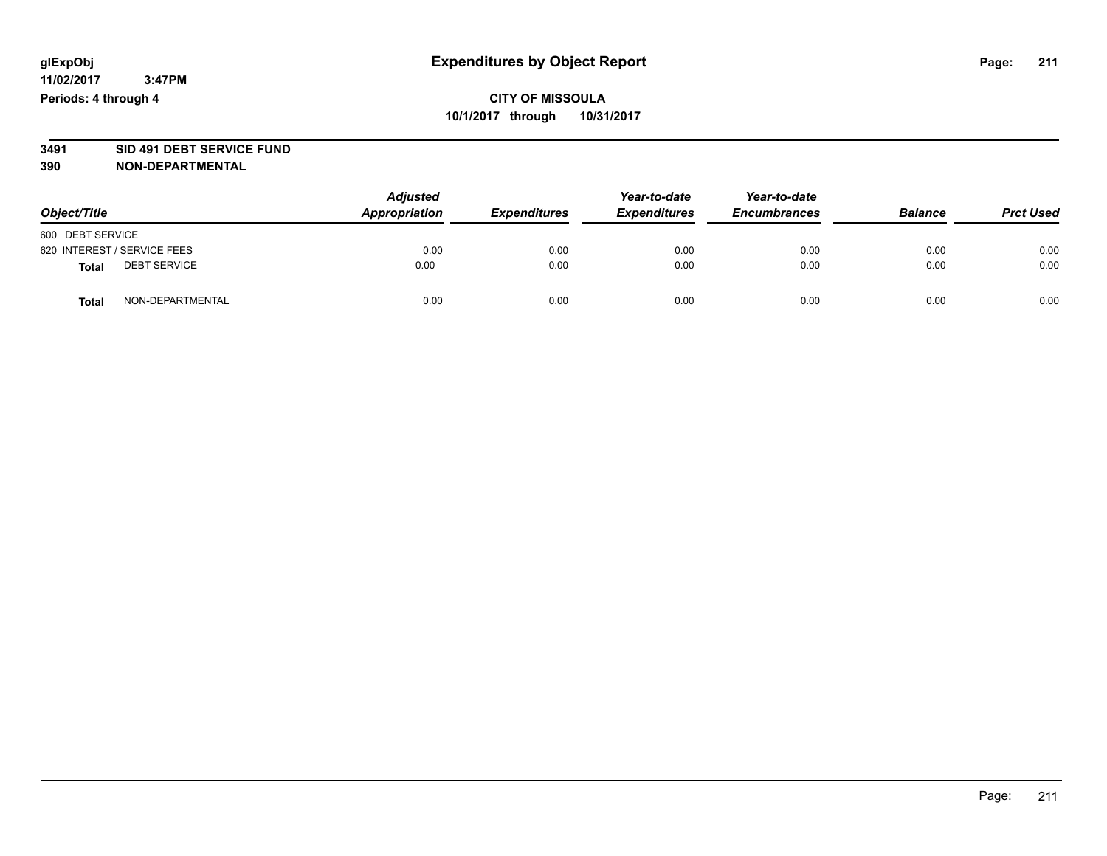# **3491 SID 491 DEBT SERVICE FUND**

| Object/Title                        | <b>Adjusted</b><br><b>Appropriation</b> | <b>Expenditures</b> | Year-to-date<br><b>Expenditures</b> | Year-to-date<br><b>Encumbrances</b> | <b>Balance</b> | <b>Prct Used</b> |
|-------------------------------------|-----------------------------------------|---------------------|-------------------------------------|-------------------------------------|----------------|------------------|
| 600 DEBT SERVICE                    |                                         |                     |                                     |                                     |                |                  |
| 620 INTEREST / SERVICE FEES         | 0.00                                    | 0.00                | 0.00                                | 0.00                                | 0.00           | 0.00             |
| <b>DEBT SERVICE</b><br><b>Total</b> | 0.00                                    | 0.00                | 0.00                                | 0.00                                | 0.00           | 0.00             |
| NON-DEPARTMENTAL<br><b>Total</b>    | 0.00                                    | 0.00                | 0.00                                | 0.00                                | 0.00           | 0.00             |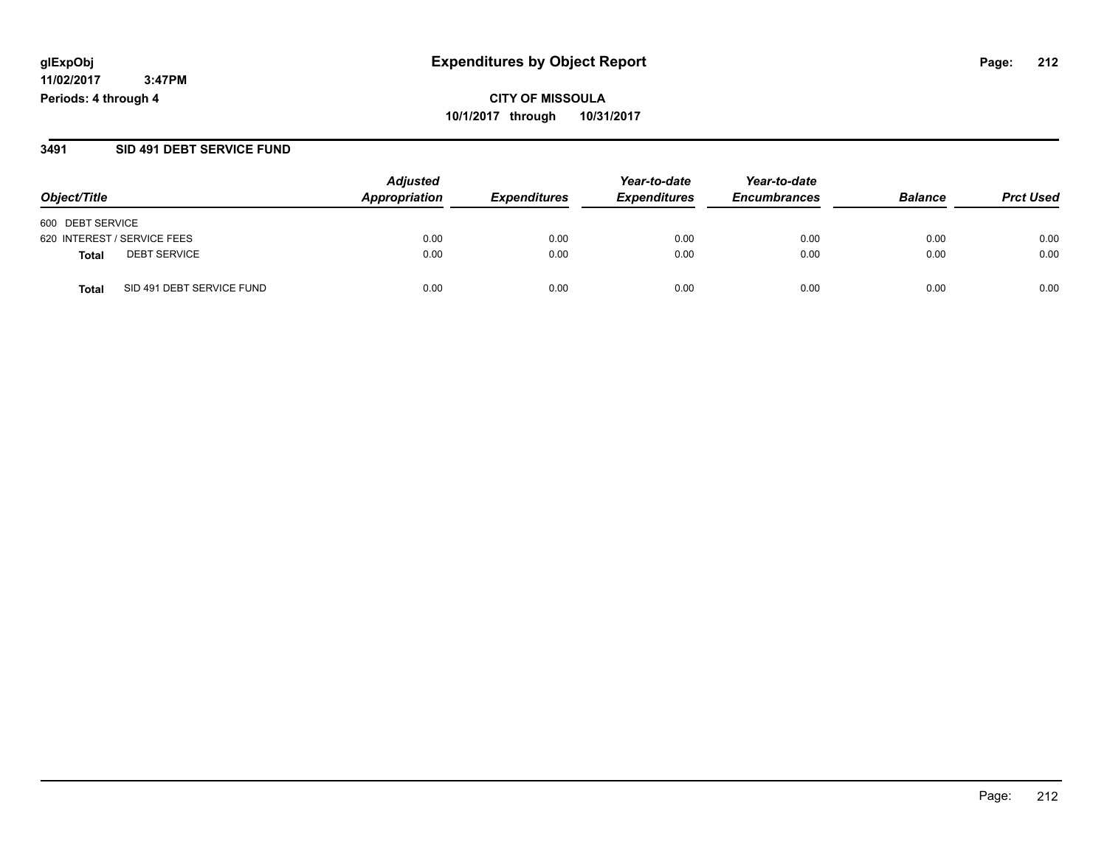**CITY OF MISSOULA 10/1/2017 through 10/31/2017**

#### **3491 SID 491 DEBT SERVICE FUND**

|                                           | <b>Adjusted</b><br>Appropriation |                     | Year-to-date        | Year-to-date        | <b>Balance</b> | <b>Prct Used</b> |
|-------------------------------------------|----------------------------------|---------------------|---------------------|---------------------|----------------|------------------|
| Object/Title                              |                                  | <b>Expenditures</b> | <b>Expenditures</b> | <b>Encumbrances</b> |                |                  |
| 600 DEBT SERVICE                          |                                  |                     |                     |                     |                |                  |
| 620 INTEREST / SERVICE FEES               | 0.00                             | 0.00                | 0.00                | 0.00                | 0.00           | 0.00             |
| <b>DEBT SERVICE</b><br>Total              | 0.00                             | 0.00                | 0.00                | 0.00                | 0.00           | 0.00             |
| SID 491 DEBT SERVICE FUND<br><b>Total</b> | 0.00                             | 0.00                | 0.00                | 0.00                | 0.00           | 0.00             |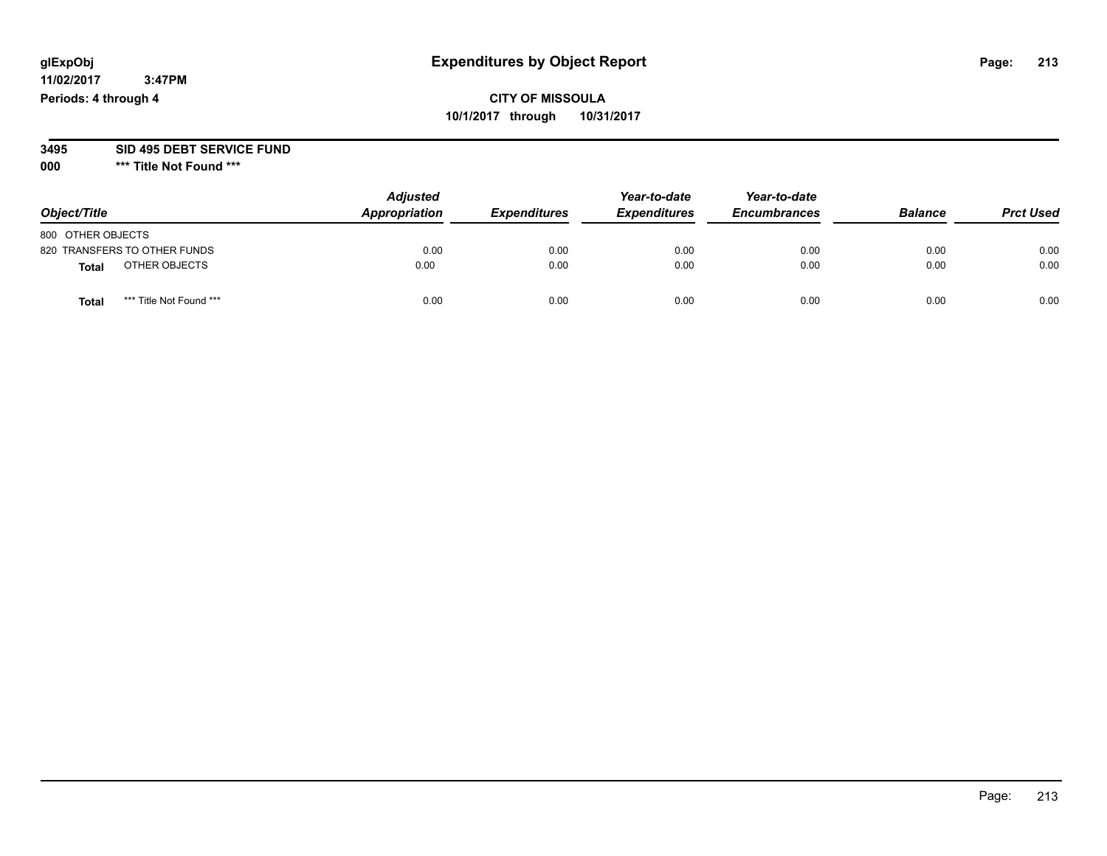## **CITY OF MISSOULA 10/1/2017 through 10/31/2017**

#### **3495 SID 495 DEBT SERVICE FUND**

**000 \*\*\* Title Not Found \*\*\***

| Object/Title                            | <b>Adjusted</b><br>Appropriation | <b>Expenditures</b> | Year-to-date<br><b>Expenditures</b> | Year-to-date<br><b>Encumbrances</b> | <b>Balance</b> | <b>Prct Used</b> |
|-----------------------------------------|----------------------------------|---------------------|-------------------------------------|-------------------------------------|----------------|------------------|
| 800 OTHER OBJECTS                       |                                  |                     |                                     |                                     |                |                  |
| 820 TRANSFERS TO OTHER FUNDS            | 0.00                             | 0.00                | 0.00                                | 0.00                                | 0.00           | 0.00             |
| OTHER OBJECTS<br><b>Total</b>           | 0.00                             | 0.00                | 0.00                                | 0.00                                | 0.00           | 0.00             |
| *** Title Not Found ***<br><b>Total</b> | 0.00                             | 0.00                | 0.00                                | 0.00                                | 0.00           | 0.00             |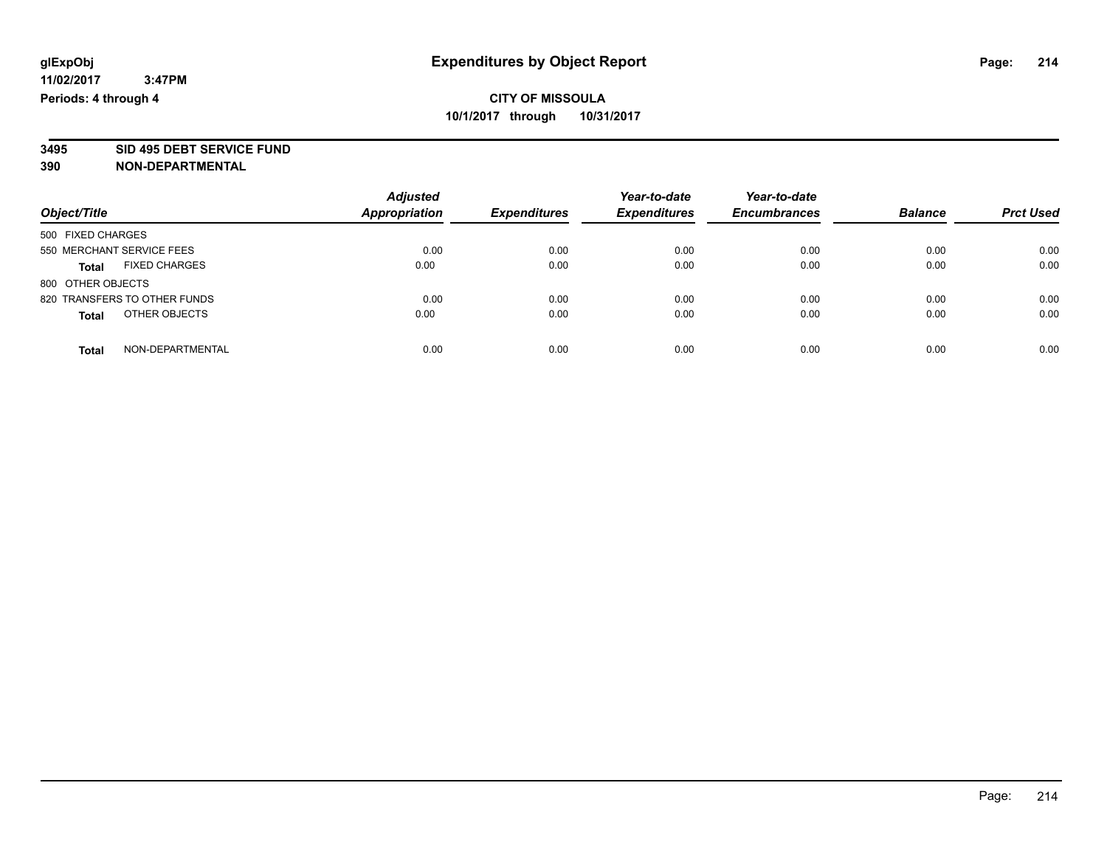**3495 SID 495 DEBT SERVICE FUND**

|                                      | <b>Adjusted</b>      |                     | Year-to-date        | Year-to-date        |                |                  |
|--------------------------------------|----------------------|---------------------|---------------------|---------------------|----------------|------------------|
| Object/Title                         | <b>Appropriation</b> | <b>Expenditures</b> | <b>Expenditures</b> | <b>Encumbrances</b> | <b>Balance</b> | <b>Prct Used</b> |
| 500 FIXED CHARGES                    |                      |                     |                     |                     |                |                  |
| 550 MERCHANT SERVICE FEES            | 0.00                 | 0.00                | 0.00                | 0.00                | 0.00           | 0.00             |
| <b>FIXED CHARGES</b><br><b>Total</b> | 0.00                 | 0.00                | 0.00                | 0.00                | 0.00           | 0.00             |
| 800 OTHER OBJECTS                    |                      |                     |                     |                     |                |                  |
| 820 TRANSFERS TO OTHER FUNDS         | 0.00                 | 0.00                | 0.00                | 0.00                | 0.00           | 0.00             |
| OTHER OBJECTS<br><b>Total</b>        | 0.00                 | 0.00                | 0.00                | 0.00                | 0.00           | 0.00             |
| NON-DEPARTMENTAL<br><b>Total</b>     | 0.00                 | 0.00                | 0.00                | 0.00                | 0.00           | 0.00             |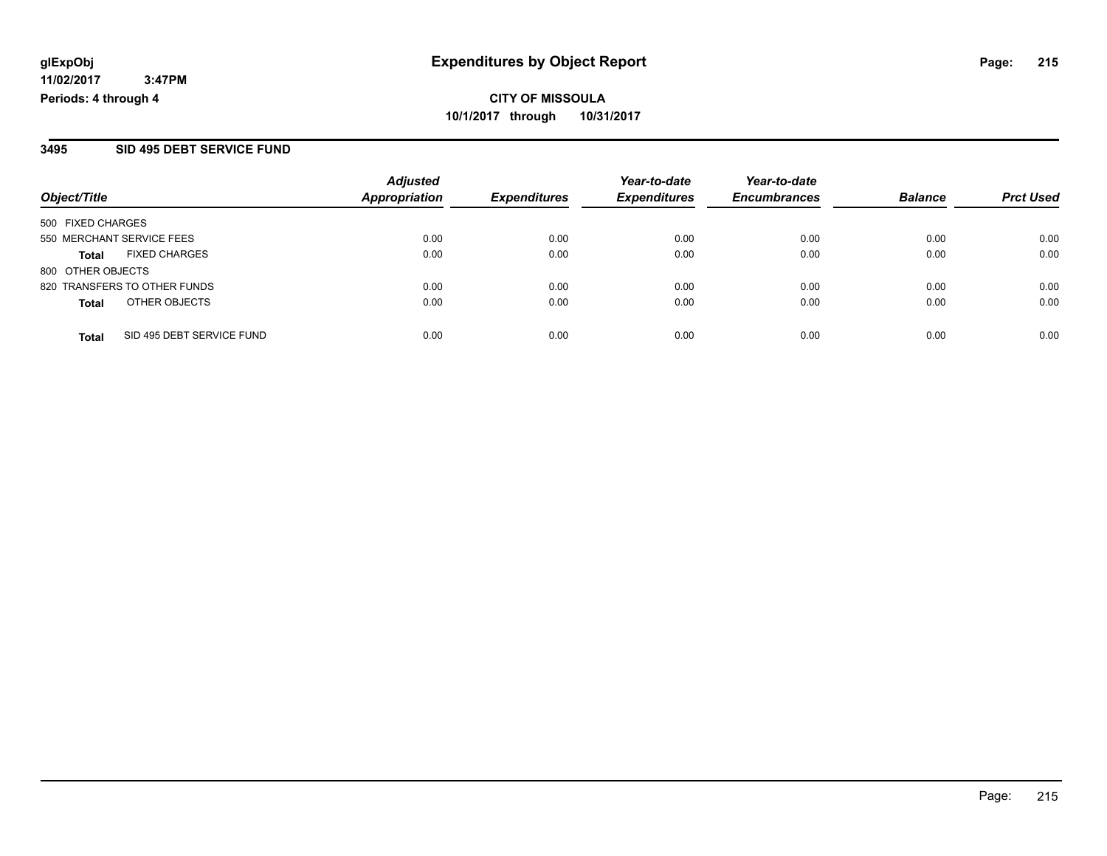# **CITY OF MISSOULA 10/1/2017 through 10/31/2017**

#### **3495 SID 495 DEBT SERVICE FUND**

| Object/Title              |                              | <b>Adjusted</b><br><b>Appropriation</b> | <b>Expenditures</b> | Year-to-date<br><b>Expenditures</b> | Year-to-date        | <b>Balance</b> | <b>Prct Used</b> |
|---------------------------|------------------------------|-----------------------------------------|---------------------|-------------------------------------|---------------------|----------------|------------------|
|                           |                              |                                         |                     |                                     | <b>Encumbrances</b> |                |                  |
| 500 FIXED CHARGES         |                              |                                         |                     |                                     |                     |                |                  |
| 550 MERCHANT SERVICE FEES |                              | 0.00                                    | 0.00                | 0.00                                | 0.00                | 0.00           | 0.00             |
| Total                     | <b>FIXED CHARGES</b>         | 0.00                                    | 0.00                | 0.00                                | 0.00                | 0.00           | 0.00             |
| 800 OTHER OBJECTS         |                              |                                         |                     |                                     |                     |                |                  |
|                           | 820 TRANSFERS TO OTHER FUNDS | 0.00                                    | 0.00                | 0.00                                | 0.00                | 0.00           | 0.00             |
| <b>Total</b>              | OTHER OBJECTS                | 0.00                                    | 0.00                | 0.00                                | 0.00                | 0.00           | 0.00             |
| <b>Total</b>              | SID 495 DEBT SERVICE FUND    | 0.00                                    | 0.00                | 0.00                                | 0.00                | 0.00           | 0.00             |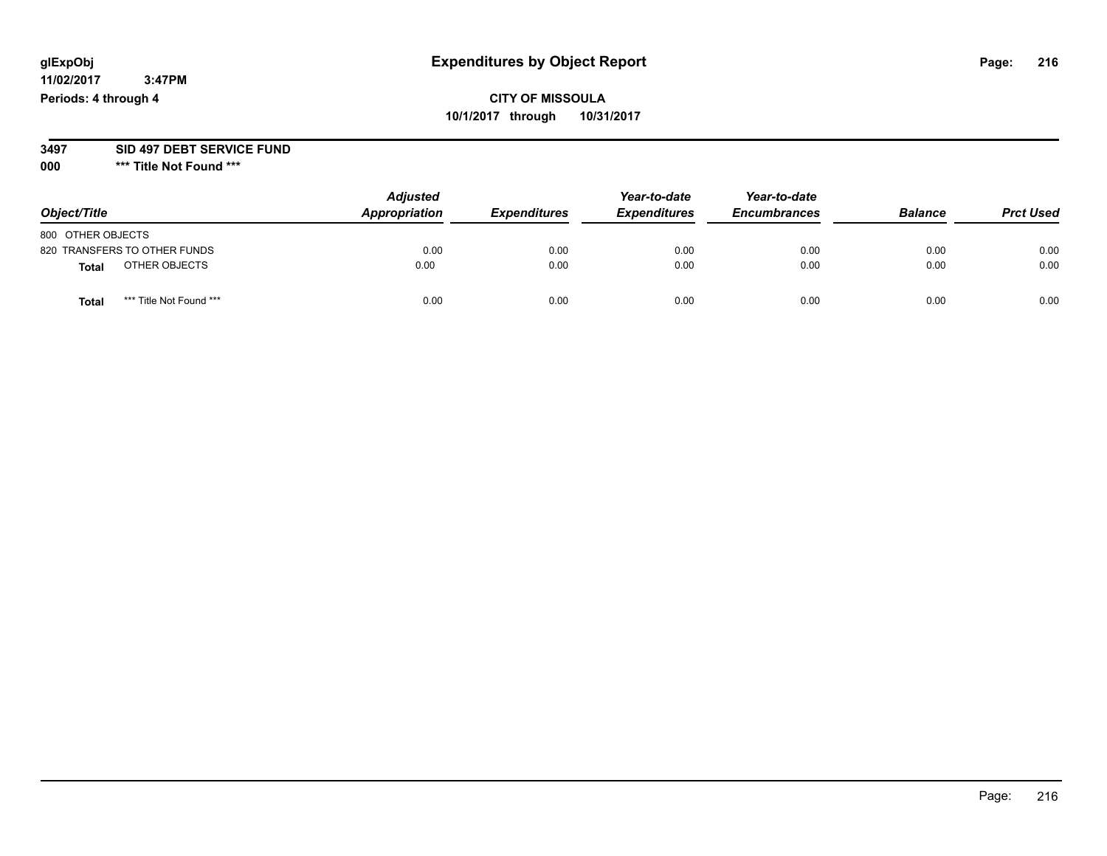## **CITY OF MISSOULA 10/1/2017 through 10/31/2017**

#### **3497 SID 497 DEBT SERVICE FUND**

**000 \*\*\* Title Not Found \*\*\***

| Object/Title                    | <b>Adjusted</b><br>Appropriation | <b>Expenditures</b> | Year-to-date<br><b>Expenditures</b> | Year-to-date<br><b>Encumbrances</b> | <b>Balance</b> | <b>Prct Used</b> |
|---------------------------------|----------------------------------|---------------------|-------------------------------------|-------------------------------------|----------------|------------------|
| 800 OTHER OBJECTS               |                                  |                     |                                     |                                     |                |                  |
| 820 TRANSFERS TO OTHER FUNDS    | 0.00                             | 0.00                | 0.00                                | 0.00                                | 0.00           | 0.00             |
| OTHER OBJECTS<br><b>Total</b>   | 0.00                             | 0.00                | 0.00                                | 0.00                                | 0.00           | 0.00             |
| *** Title Not Found ***<br>Tota | 0.00                             | 0.00                | 0.00                                | 0.00                                | 0.00           | 0.00             |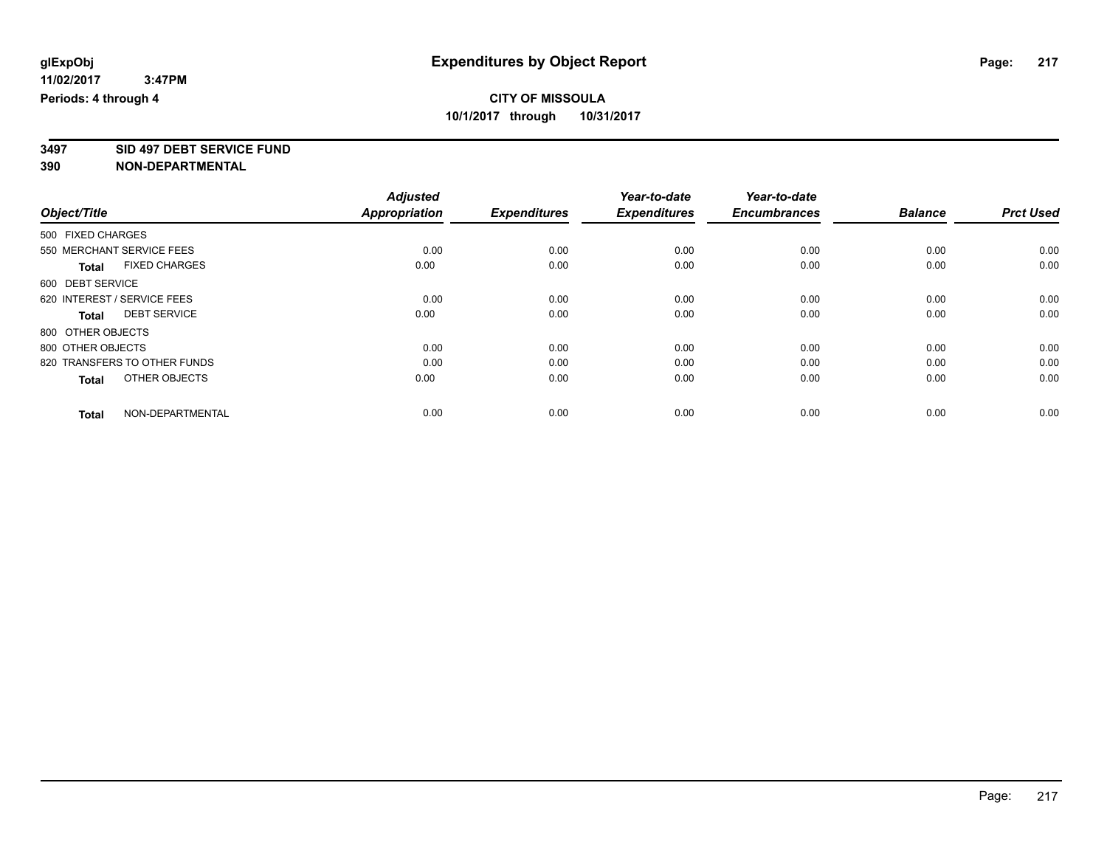**3497 SID 497 DEBT SERVICE FUND**

|                                      | <b>Adjusted</b>      |                     | Year-to-date        | Year-to-date        |                |                  |
|--------------------------------------|----------------------|---------------------|---------------------|---------------------|----------------|------------------|
| Object/Title                         | <b>Appropriation</b> | <b>Expenditures</b> | <b>Expenditures</b> | <b>Encumbrances</b> | <b>Balance</b> | <b>Prct Used</b> |
| 500 FIXED CHARGES                    |                      |                     |                     |                     |                |                  |
| 550 MERCHANT SERVICE FEES            | 0.00                 | 0.00                | 0.00                | 0.00                | 0.00           | 0.00             |
| <b>FIXED CHARGES</b><br><b>Total</b> | 0.00                 | 0.00                | 0.00                | 0.00                | 0.00           | 0.00             |
| 600 DEBT SERVICE                     |                      |                     |                     |                     |                |                  |
| 620 INTEREST / SERVICE FEES          | 0.00                 | 0.00                | 0.00                | 0.00                | 0.00           | 0.00             |
| <b>DEBT SERVICE</b><br><b>Total</b>  | 0.00                 | 0.00                | 0.00                | 0.00                | 0.00           | 0.00             |
| 800 OTHER OBJECTS                    |                      |                     |                     |                     |                |                  |
| 800 OTHER OBJECTS                    | 0.00                 | 0.00                | 0.00                | 0.00                | 0.00           | 0.00             |
| 820 TRANSFERS TO OTHER FUNDS         | 0.00                 | 0.00                | 0.00                | 0.00                | 0.00           | 0.00             |
| OTHER OBJECTS<br><b>Total</b>        | 0.00                 | 0.00                | 0.00                | 0.00                | 0.00           | 0.00             |
|                                      |                      |                     |                     |                     |                |                  |
| NON-DEPARTMENTAL<br><b>Total</b>     | 0.00                 | 0.00                | 0.00                | 0.00                | 0.00           | 0.00             |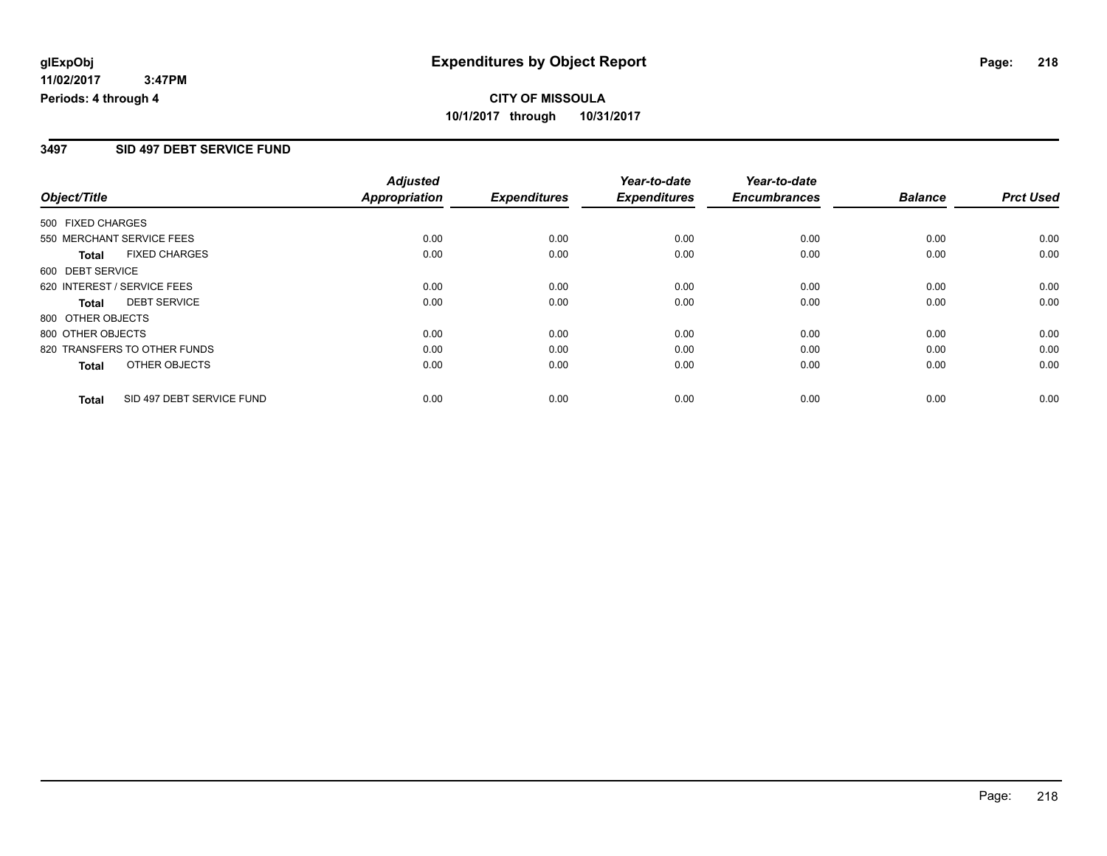### **3497 SID 497 DEBT SERVICE FUND**

|                                           | <b>Adjusted</b><br><b>Appropriation</b> |                     | Year-to-date        | Year-to-date        | <b>Balance</b> | <b>Prct Used</b> |
|-------------------------------------------|-----------------------------------------|---------------------|---------------------|---------------------|----------------|------------------|
| Object/Title                              |                                         | <b>Expenditures</b> | <b>Expenditures</b> | <b>Encumbrances</b> |                |                  |
| 500 FIXED CHARGES                         |                                         |                     |                     |                     |                |                  |
| 550 MERCHANT SERVICE FEES                 | 0.00                                    | 0.00                | 0.00                | 0.00                | 0.00           | 0.00             |
| <b>FIXED CHARGES</b><br><b>Total</b>      | 0.00                                    | 0.00                | 0.00                | 0.00                | 0.00           | 0.00             |
| 600 DEBT SERVICE                          |                                         |                     |                     |                     |                |                  |
| 620 INTEREST / SERVICE FEES               | 0.00                                    | 0.00                | 0.00                | 0.00                | 0.00           | 0.00             |
| <b>DEBT SERVICE</b><br><b>Total</b>       | 0.00                                    | 0.00                | 0.00                | 0.00                | 0.00           | 0.00             |
| 800 OTHER OBJECTS                         |                                         |                     |                     |                     |                |                  |
| 800 OTHER OBJECTS                         | 0.00                                    | 0.00                | 0.00                | 0.00                | 0.00           | 0.00             |
| 820 TRANSFERS TO OTHER FUNDS              | 0.00                                    | 0.00                | 0.00                | 0.00                | 0.00           | 0.00             |
| OTHER OBJECTS<br><b>Total</b>             | 0.00                                    | 0.00                | 0.00                | 0.00                | 0.00           | 0.00             |
| SID 497 DEBT SERVICE FUND<br><b>Total</b> | 0.00                                    | 0.00                | 0.00                | 0.00                | 0.00           | 0.00             |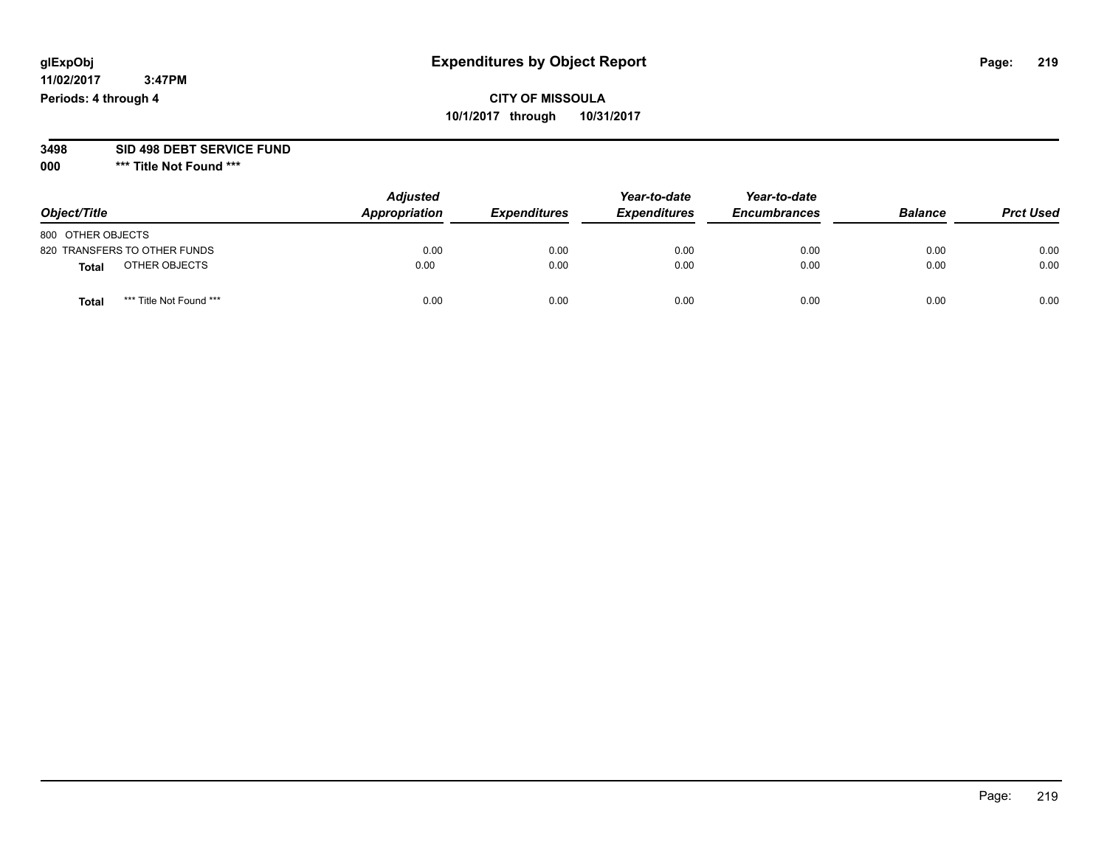## **CITY OF MISSOULA 10/1/2017 through 10/31/2017**

#### **3498 SID 498 DEBT SERVICE FUND**

| Object/Title                    | <b>Adjusted</b><br>Appropriation | <b>Expenditures</b> | Year-to-date<br><b>Expenditures</b> | Year-to-date<br><b>Encumbrances</b> | <b>Balance</b> | <b>Prct Used</b> |
|---------------------------------|----------------------------------|---------------------|-------------------------------------|-------------------------------------|----------------|------------------|
| 800 OTHER OBJECTS               |                                  |                     |                                     |                                     |                |                  |
| 820 TRANSFERS TO OTHER FUNDS    | 0.00                             | 0.00                | 0.00                                | 0.00                                | 0.00           | 0.00             |
| OTHER OBJECTS<br><b>Total</b>   | 0.00                             | 0.00                | 0.00                                | 0.00                                | 0.00           | 0.00             |
| *** Title Not Found ***<br>Tota | 0.00                             | 0.00                | 0.00                                | 0.00                                | 0.00           | 0.00             |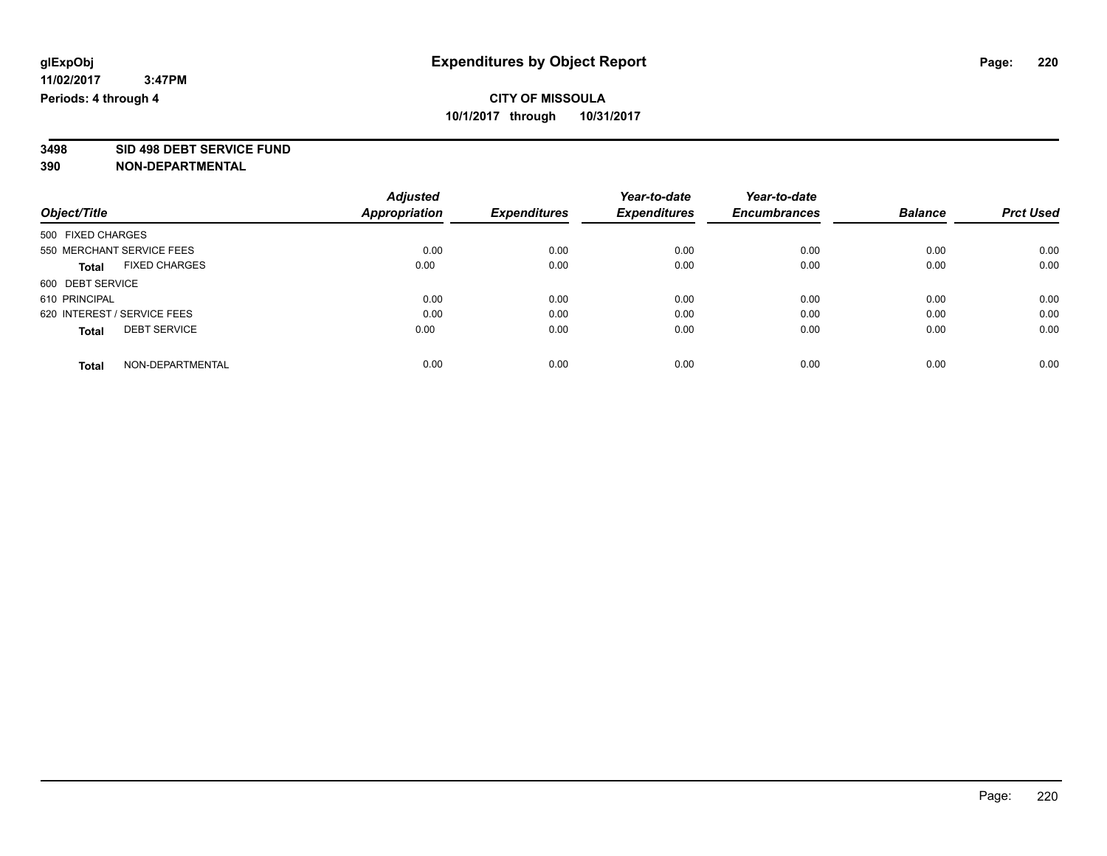**3498 SID 498 DEBT SERVICE FUND**

|                             |                           | <b>Adjusted</b>      |                     | Year-to-date        | Year-to-date        |                |                  |
|-----------------------------|---------------------------|----------------------|---------------------|---------------------|---------------------|----------------|------------------|
| Object/Title                |                           | <b>Appropriation</b> | <b>Expenditures</b> | <b>Expenditures</b> | <b>Encumbrances</b> | <b>Balance</b> | <b>Prct Used</b> |
| 500 FIXED CHARGES           |                           |                      |                     |                     |                     |                |                  |
|                             | 550 MERCHANT SERVICE FEES | 0.00                 | 0.00                | 0.00                | 0.00                | 0.00           | 0.00             |
| <b>Total</b>                | <b>FIXED CHARGES</b>      | 0.00                 | 0.00                | 0.00                | 0.00                | 0.00           | 0.00             |
| 600 DEBT SERVICE            |                           |                      |                     |                     |                     |                |                  |
| 610 PRINCIPAL               |                           | 0.00                 | 0.00                | 0.00                | 0.00                | 0.00           | 0.00             |
| 620 INTEREST / SERVICE FEES |                           | 0.00                 | 0.00                | 0.00                | 0.00                | 0.00           | 0.00             |
| <b>Total</b>                | <b>DEBT SERVICE</b>       | 0.00                 | 0.00                | 0.00                | 0.00                | 0.00           | 0.00             |
| <b>Total</b>                | NON-DEPARTMENTAL          | 0.00                 | 0.00                | 0.00                | 0.00                | 0.00           | 0.00             |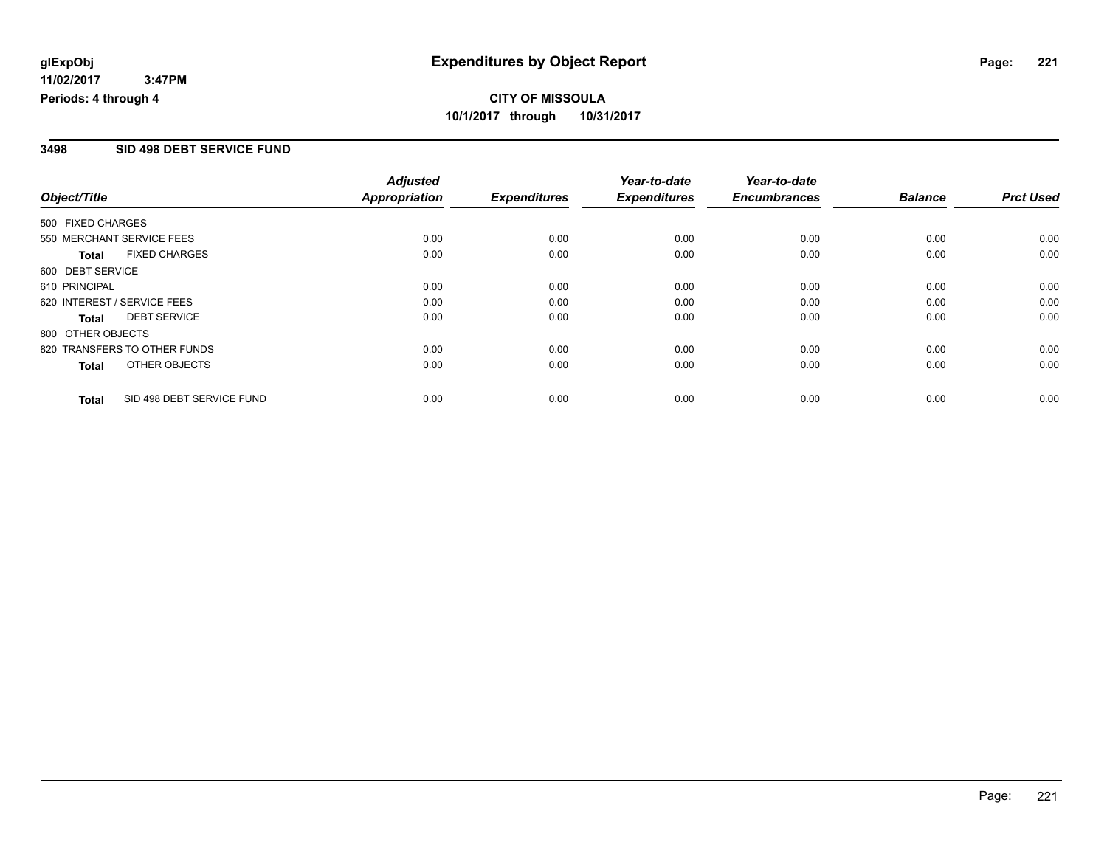#### **3498 SID 498 DEBT SERVICE FUND**

|                                           | <b>Adjusted</b>      |                     | Year-to-date        | Year-to-date        |                |                  |
|-------------------------------------------|----------------------|---------------------|---------------------|---------------------|----------------|------------------|
| Object/Title                              | <b>Appropriation</b> | <b>Expenditures</b> | <b>Expenditures</b> | <b>Encumbrances</b> | <b>Balance</b> | <b>Prct Used</b> |
| 500 FIXED CHARGES                         |                      |                     |                     |                     |                |                  |
| 550 MERCHANT SERVICE FEES                 | 0.00                 | 0.00                | 0.00                | 0.00                | 0.00           | 0.00             |
| <b>FIXED CHARGES</b><br><b>Total</b>      | 0.00                 | 0.00                | 0.00                | 0.00                | 0.00           | 0.00             |
| 600 DEBT SERVICE                          |                      |                     |                     |                     |                |                  |
| 610 PRINCIPAL                             | 0.00                 | 0.00                | 0.00                | 0.00                | 0.00           | 0.00             |
| 620 INTEREST / SERVICE FEES               | 0.00                 | 0.00                | 0.00                | 0.00                | 0.00           | 0.00             |
| <b>DEBT SERVICE</b><br><b>Total</b>       | 0.00                 | 0.00                | 0.00                | 0.00                | 0.00           | 0.00             |
| 800 OTHER OBJECTS                         |                      |                     |                     |                     |                |                  |
| 820 TRANSFERS TO OTHER FUNDS              | 0.00                 | 0.00                | 0.00                | 0.00                | 0.00           | 0.00             |
| OTHER OBJECTS<br><b>Total</b>             | 0.00                 | 0.00                | 0.00                | 0.00                | 0.00           | 0.00             |
| SID 498 DEBT SERVICE FUND<br><b>Total</b> | 0.00                 | 0.00                | 0.00                | 0.00                | 0.00           | 0.00             |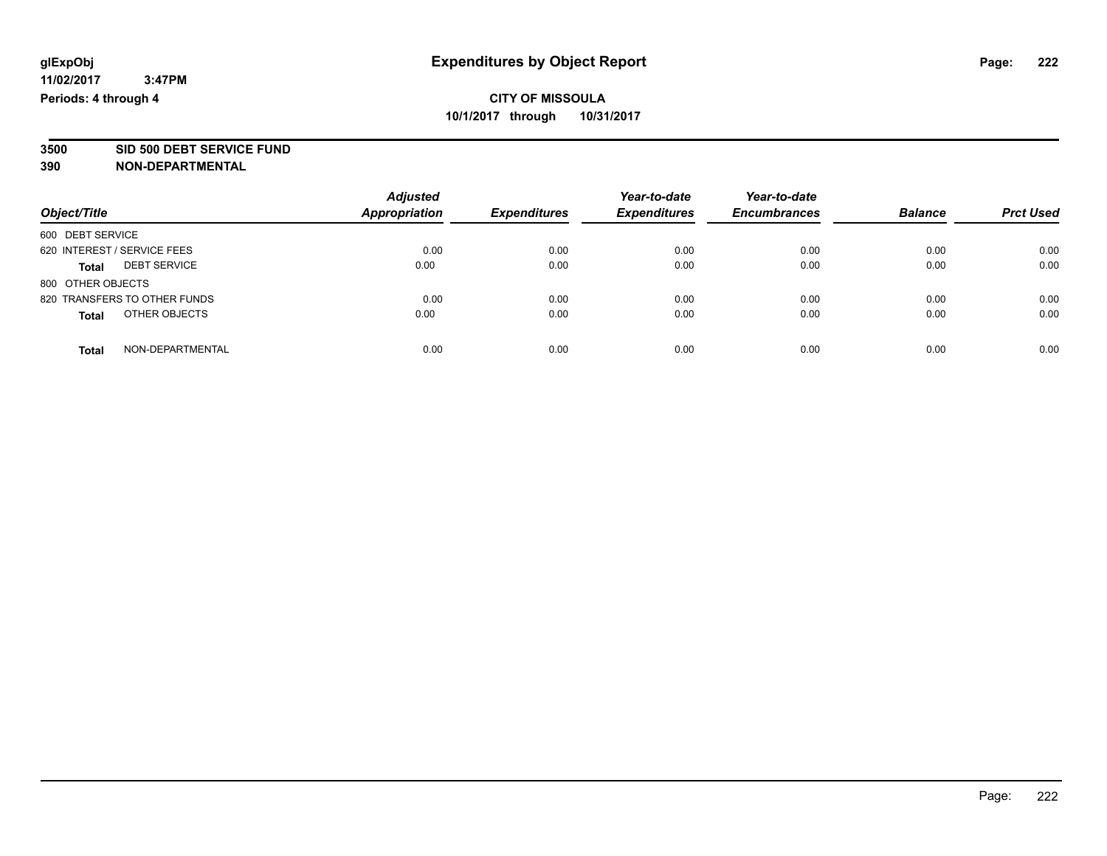**3500 SID 500 DEBT SERVICE FUND**

| Object/Title                        | <b>Adjusted</b><br><b>Appropriation</b> | <b>Expenditures</b> | Year-to-date<br><b>Expenditures</b> | Year-to-date<br><b>Encumbrances</b> | <b>Balance</b> | <b>Prct Used</b> |
|-------------------------------------|-----------------------------------------|---------------------|-------------------------------------|-------------------------------------|----------------|------------------|
|                                     |                                         |                     |                                     |                                     |                |                  |
| 600 DEBT SERVICE                    |                                         |                     |                                     |                                     |                |                  |
| 620 INTEREST / SERVICE FEES         | 0.00                                    | 0.00                | 0.00                                | 0.00                                | 0.00           | 0.00             |
| <b>DEBT SERVICE</b><br><b>Total</b> | 0.00                                    | 0.00                | 0.00                                | 0.00                                | 0.00           | 0.00             |
| 800 OTHER OBJECTS                   |                                         |                     |                                     |                                     |                |                  |
| 820 TRANSFERS TO OTHER FUNDS        | 0.00                                    | 0.00                | 0.00                                | 0.00                                | 0.00           | 0.00             |
| OTHER OBJECTS<br><b>Total</b>       | 0.00                                    | 0.00                | 0.00                                | 0.00                                | 0.00           | 0.00             |
| NON-DEPARTMENTAL<br><b>Total</b>    | 0.00                                    | 0.00                | 0.00                                | 0.00                                | 0.00           | 0.00             |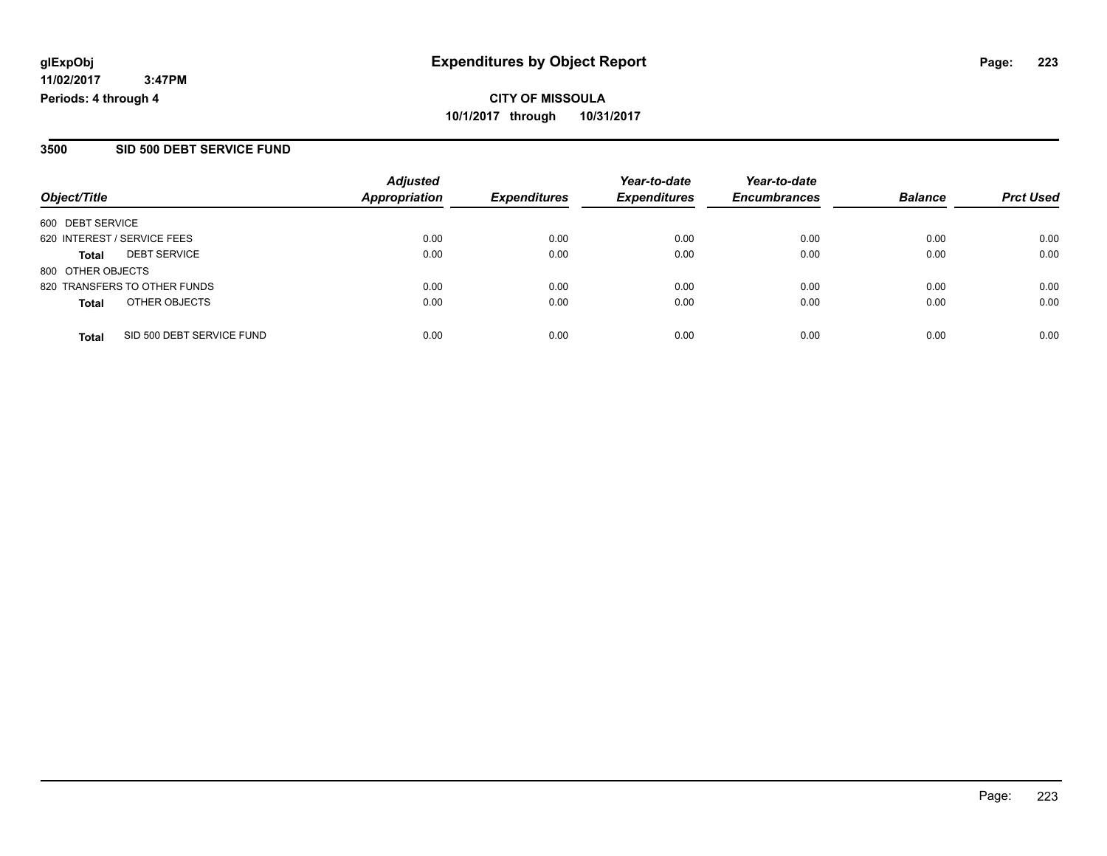**CITY OF MISSOULA 10/1/2017 through 10/31/2017**

#### **3500 SID 500 DEBT SERVICE FUND**

|                              |                           | <b>Adjusted</b> |                     | Year-to-date        | Year-to-date        |                |                  |
|------------------------------|---------------------------|-----------------|---------------------|---------------------|---------------------|----------------|------------------|
| Object/Title                 |                           | Appropriation   | <b>Expenditures</b> | <b>Expenditures</b> | <b>Encumbrances</b> | <b>Balance</b> | <b>Prct Used</b> |
| 600 DEBT SERVICE             |                           |                 |                     |                     |                     |                |                  |
| 620 INTEREST / SERVICE FEES  |                           | 0.00            | 0.00                | 0.00                | 0.00                | 0.00           | 0.00             |
| <b>Total</b>                 | <b>DEBT SERVICE</b>       | 0.00            | 0.00                | 0.00                | 0.00                | 0.00           | 0.00             |
| 800 OTHER OBJECTS            |                           |                 |                     |                     |                     |                |                  |
| 820 TRANSFERS TO OTHER FUNDS |                           | 0.00            | 0.00                | 0.00                | 0.00                | 0.00           | 0.00             |
| <b>Total</b>                 | OTHER OBJECTS             | 0.00            | 0.00                | 0.00                | 0.00                | 0.00           | 0.00             |
| <b>Total</b>                 | SID 500 DEBT SERVICE FUND | 0.00            | 0.00                | 0.00                | 0.00                | 0.00           | 0.00             |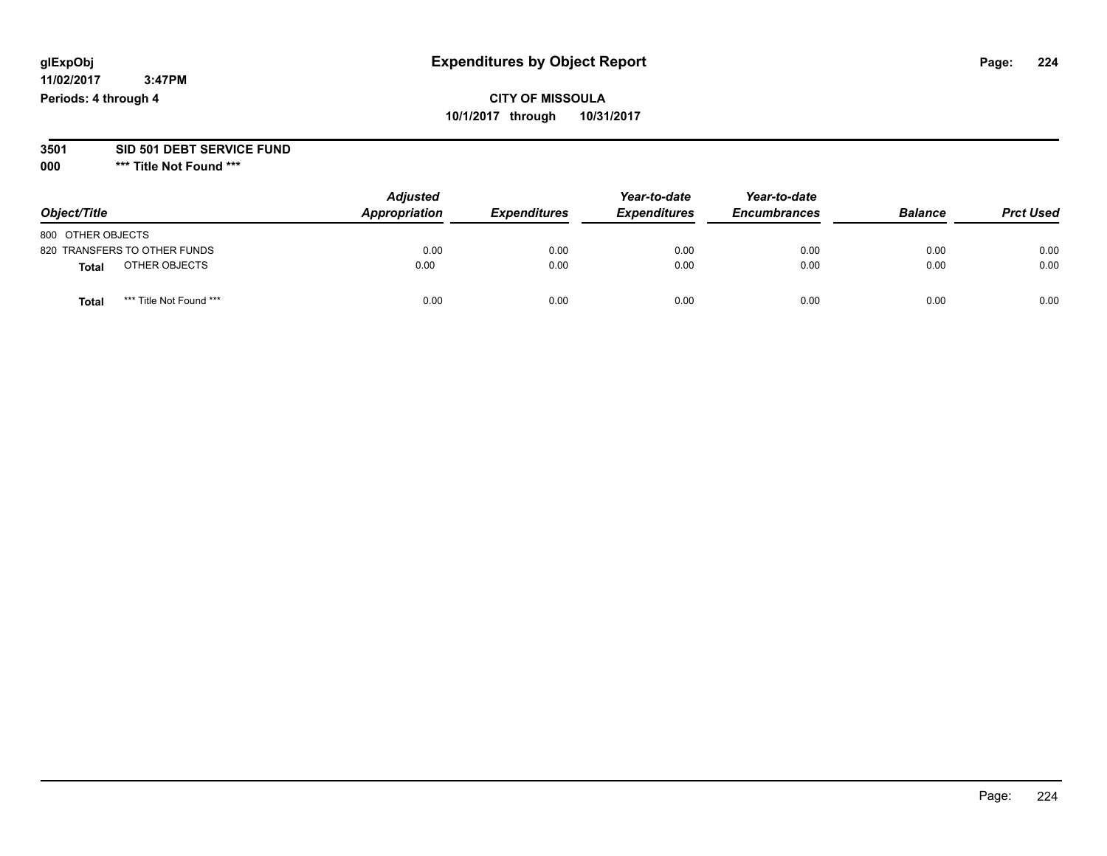## **CITY OF MISSOULA 10/1/2017 through 10/31/2017**

#### **3501 SID 501 DEBT SERVICE FUND**

| Object/Title                     | <b>Adjusted</b><br>Appropriation | <b>Expenditures</b> | Year-to-date<br><b>Expenditures</b> | Year-to-date<br><b>Encumbrances</b> | <b>Balance</b> | <b>Prct Used</b> |
|----------------------------------|----------------------------------|---------------------|-------------------------------------|-------------------------------------|----------------|------------------|
| 800 OTHER OBJECTS                |                                  |                     |                                     |                                     |                |                  |
| 820 TRANSFERS TO OTHER FUNDS     | 0.00                             | 0.00                | 0.00                                | 0.00                                | 0.00           | 0.00             |
| OTHER OBJECTS<br>Total           | 0.00                             | 0.00                | 0.00                                | 0.00                                | 0.00           | 0.00             |
| *** Title Not Found ***<br>Total | 0.00                             | 0.00                | 0.00                                | 0.00                                | 0.00           | 0.00             |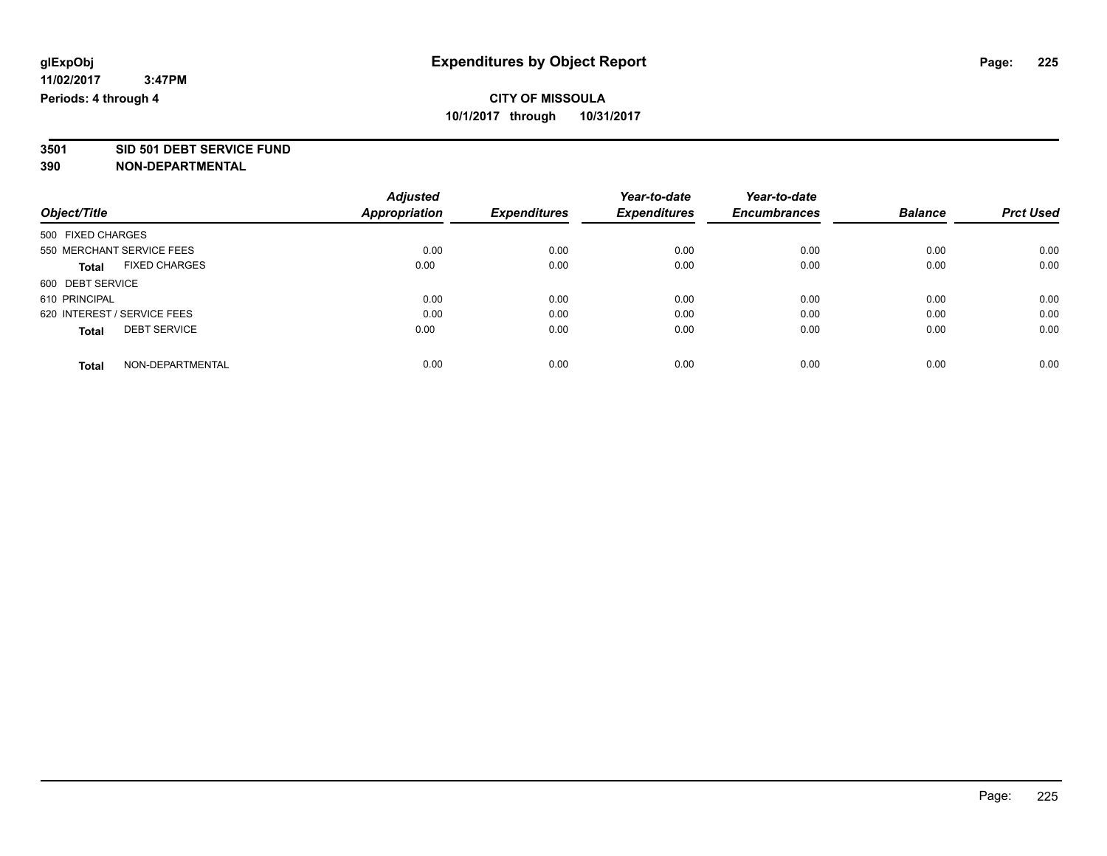# **3501 SID 501 DEBT SERVICE FUND**

|                                      | <b>Adjusted</b>      |                     | Year-to-date        | Year-to-date        |                |                  |
|--------------------------------------|----------------------|---------------------|---------------------|---------------------|----------------|------------------|
| Object/Title                         | <b>Appropriation</b> | <b>Expenditures</b> | <b>Expenditures</b> | <b>Encumbrances</b> | <b>Balance</b> | <b>Prct Used</b> |
| 500 FIXED CHARGES                    |                      |                     |                     |                     |                |                  |
| 550 MERCHANT SERVICE FEES            | 0.00                 | 0.00                | 0.00                | 0.00                | 0.00           | 0.00             |
| <b>FIXED CHARGES</b><br><b>Total</b> | 0.00                 | 0.00                | 0.00                | 0.00                | 0.00           | 0.00             |
| 600 DEBT SERVICE                     |                      |                     |                     |                     |                |                  |
| 610 PRINCIPAL                        | 0.00                 | 0.00                | 0.00                | 0.00                | 0.00           | 0.00             |
| 620 INTEREST / SERVICE FEES          | 0.00                 | 0.00                | 0.00                | 0.00                | 0.00           | 0.00             |
| <b>DEBT SERVICE</b><br><b>Total</b>  | 0.00                 | 0.00                | 0.00                | 0.00                | 0.00           | 0.00             |
| NON-DEPARTMENTAL<br><b>Total</b>     | 0.00                 | 0.00                | 0.00                | 0.00                | 0.00           | 0.00             |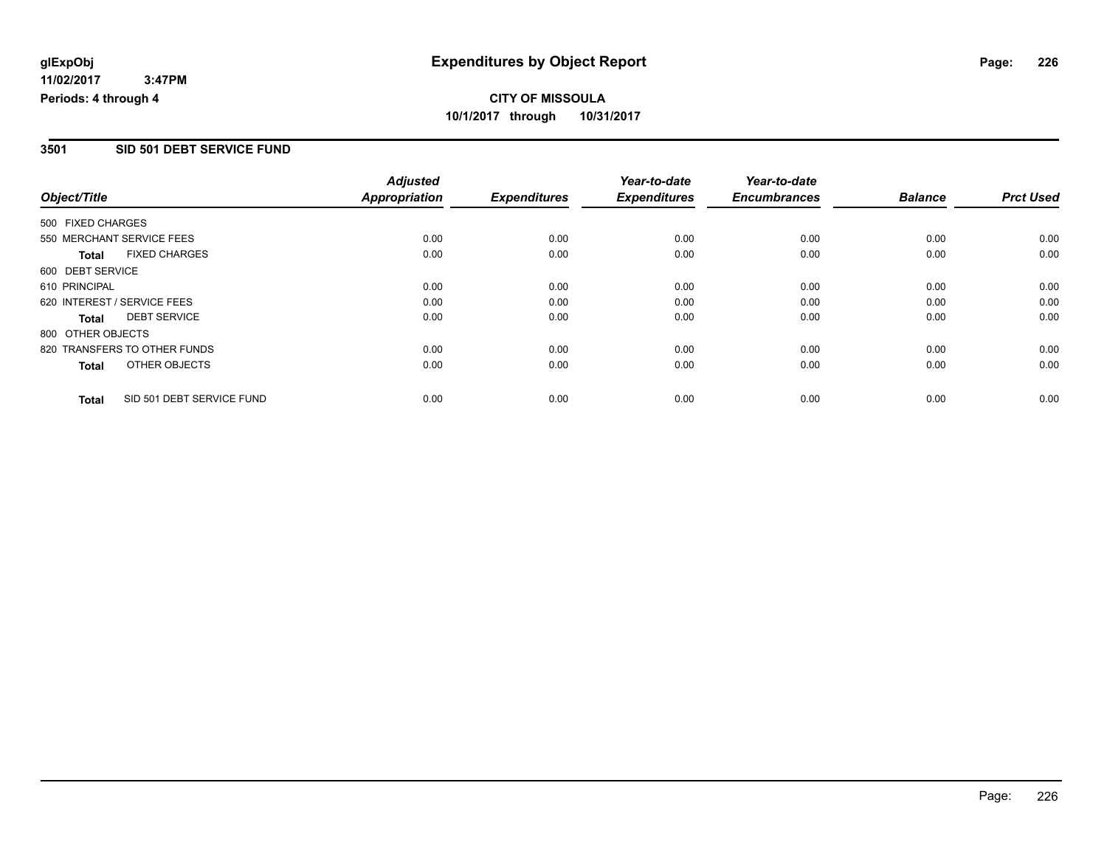#### **3501 SID 501 DEBT SERVICE FUND**

|                             |                              | <b>Adjusted</b>      |                     | Year-to-date        | Year-to-date        |                |                  |
|-----------------------------|------------------------------|----------------------|---------------------|---------------------|---------------------|----------------|------------------|
| Object/Title                |                              | <b>Appropriation</b> | <b>Expenditures</b> | <b>Expenditures</b> | <b>Encumbrances</b> | <b>Balance</b> | <b>Prct Used</b> |
| 500 FIXED CHARGES           |                              |                      |                     |                     |                     |                |                  |
| 550 MERCHANT SERVICE FEES   |                              | 0.00                 | 0.00                | 0.00                | 0.00                | 0.00           | 0.00             |
| <b>Total</b>                | <b>FIXED CHARGES</b>         | 0.00                 | 0.00                | 0.00                | 0.00                | 0.00           | 0.00             |
| 600 DEBT SERVICE            |                              |                      |                     |                     |                     |                |                  |
| 610 PRINCIPAL               |                              | 0.00                 | 0.00                | 0.00                | 0.00                | 0.00           | 0.00             |
| 620 INTEREST / SERVICE FEES |                              | 0.00                 | 0.00                | 0.00                | 0.00                | 0.00           | 0.00             |
| Total                       | <b>DEBT SERVICE</b>          | 0.00                 | 0.00                | 0.00                | 0.00                | 0.00           | 0.00             |
| 800 OTHER OBJECTS           |                              |                      |                     |                     |                     |                |                  |
|                             | 820 TRANSFERS TO OTHER FUNDS | 0.00                 | 0.00                | 0.00                | 0.00                | 0.00           | 0.00             |
| Total                       | OTHER OBJECTS                | 0.00                 | 0.00                | 0.00                | 0.00                | 0.00           | 0.00             |
| <b>Total</b>                | SID 501 DEBT SERVICE FUND    | 0.00                 | 0.00                | 0.00                | 0.00                | 0.00           | 0.00             |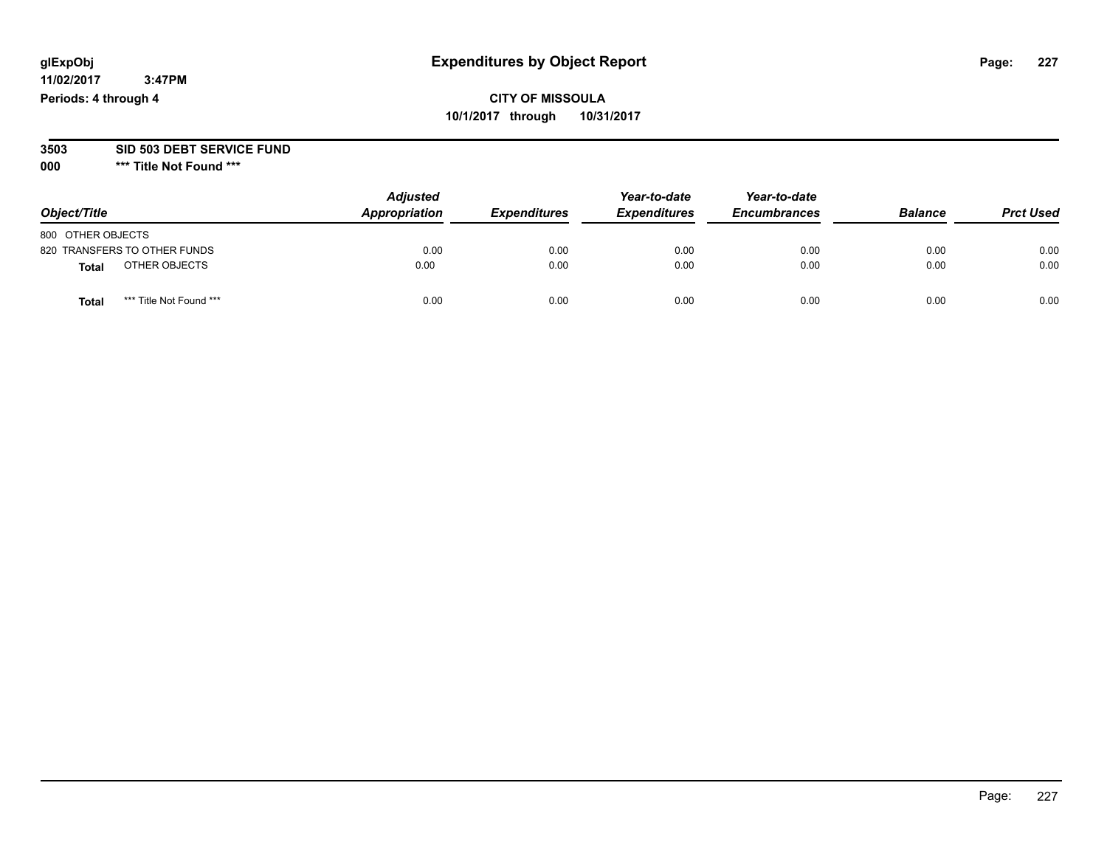## **CITY OF MISSOULA 10/1/2017 through 10/31/2017**

#### **3503 SID 503 DEBT SERVICE FUND**

| Object/Title                            | <b>Adjusted</b><br>Appropriation | <b>Expenditures</b> | Year-to-date<br><b>Expenditures</b> | Year-to-date<br><b>Encumbrances</b> | <b>Balance</b> | <b>Prct Used</b> |
|-----------------------------------------|----------------------------------|---------------------|-------------------------------------|-------------------------------------|----------------|------------------|
| 800 OTHER OBJECTS                       |                                  |                     |                                     |                                     |                |                  |
| 820 TRANSFERS TO OTHER FUNDS            | 0.00                             | 0.00                | 0.00                                | 0.00                                | 0.00           | 0.00             |
| OTHER OBJECTS<br><b>Total</b>           | 0.00                             | 0.00                | 0.00                                | 0.00                                | 0.00           | 0.00             |
| *** Title Not Found ***<br><b>Total</b> | 0.00                             | 0.00                | 0.00                                | 0.00                                | 0.00           | 0.00             |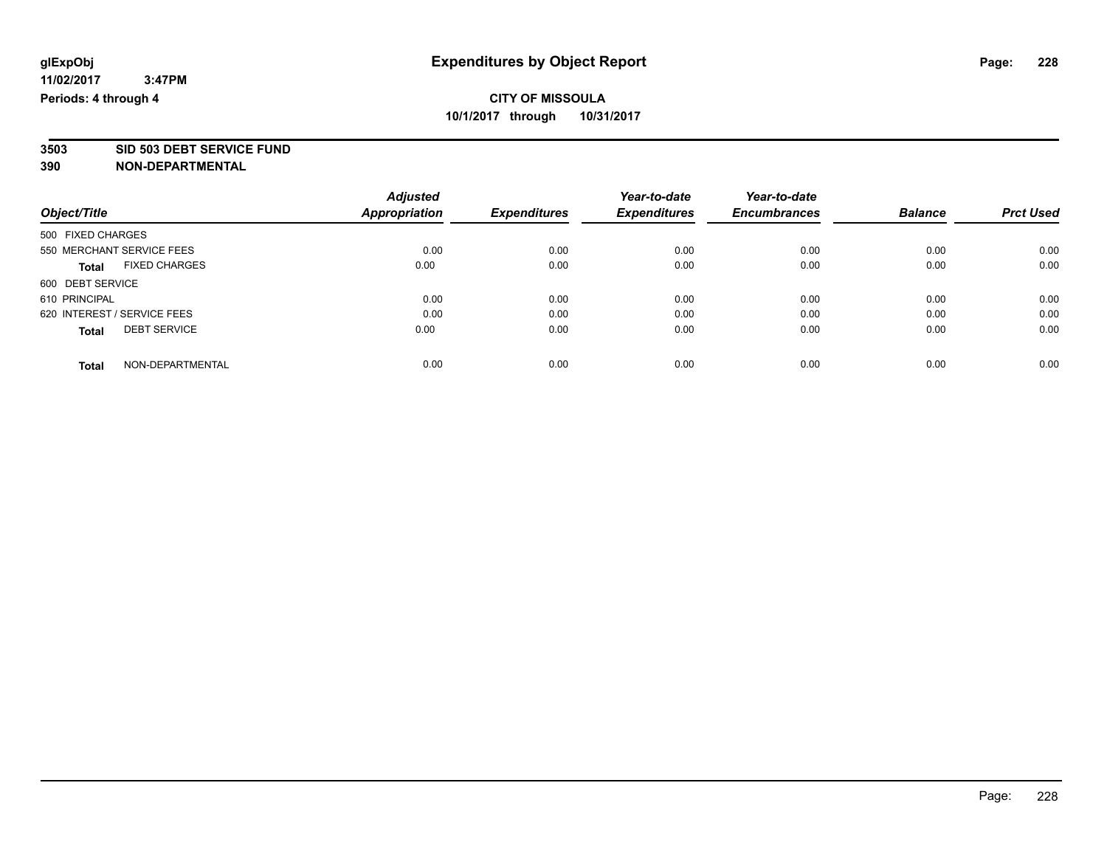**3503 SID 503 DEBT SERVICE FUND**

|                             |                           | <b>Adjusted</b>      |                     | Year-to-date        | Year-to-date        |                |                  |
|-----------------------------|---------------------------|----------------------|---------------------|---------------------|---------------------|----------------|------------------|
| Object/Title                |                           | <b>Appropriation</b> | <b>Expenditures</b> | <b>Expenditures</b> | <b>Encumbrances</b> | <b>Balance</b> | <b>Prct Used</b> |
| 500 FIXED CHARGES           |                           |                      |                     |                     |                     |                |                  |
|                             | 550 MERCHANT SERVICE FEES | 0.00                 | 0.00                | 0.00                | 0.00                | 0.00           | 0.00             |
| <b>Total</b>                | <b>FIXED CHARGES</b>      | 0.00                 | 0.00                | 0.00                | 0.00                | 0.00           | 0.00             |
| 600 DEBT SERVICE            |                           |                      |                     |                     |                     |                |                  |
| 610 PRINCIPAL               |                           | 0.00                 | 0.00                | 0.00                | 0.00                | 0.00           | 0.00             |
| 620 INTEREST / SERVICE FEES |                           | 0.00                 | 0.00                | 0.00                | 0.00                | 0.00           | 0.00             |
| <b>Total</b>                | <b>DEBT SERVICE</b>       | 0.00                 | 0.00                | 0.00                | 0.00                | 0.00           | 0.00             |
| <b>Total</b>                | NON-DEPARTMENTAL          | 0.00                 | 0.00                | 0.00                | 0.00                | 0.00           | 0.00             |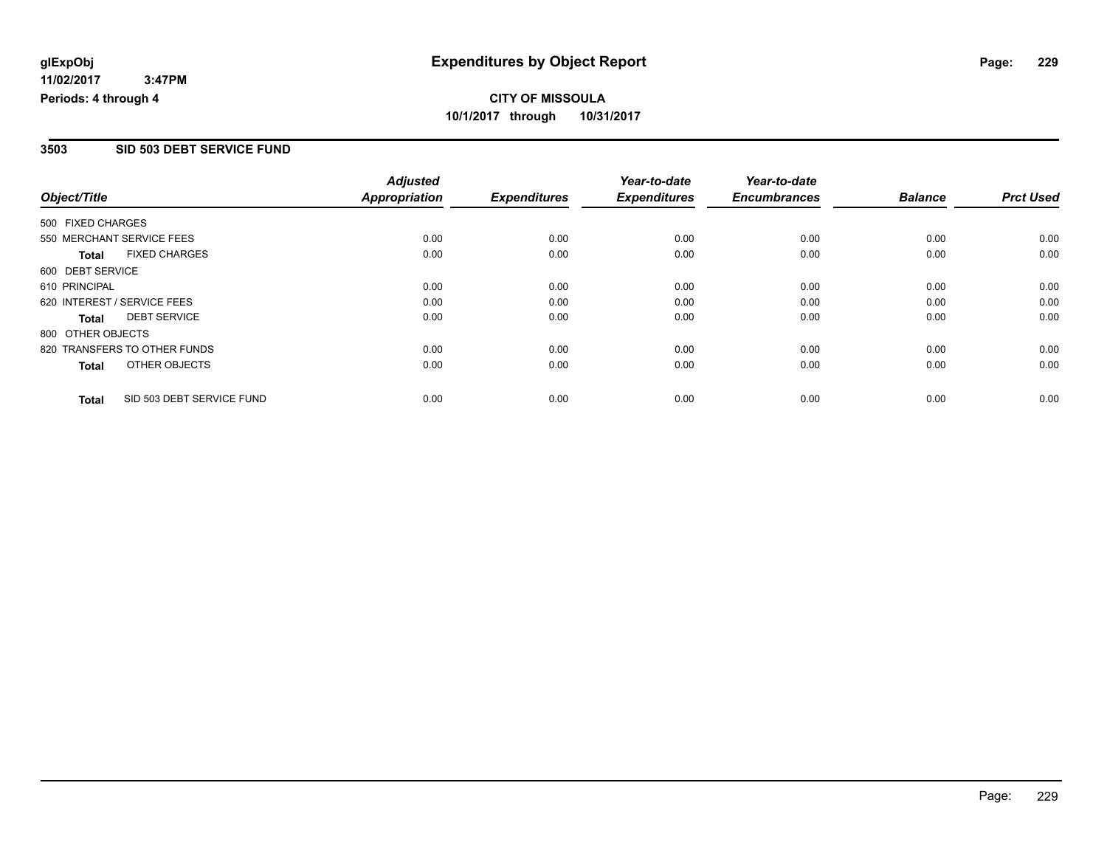### **3503 SID 503 DEBT SERVICE FUND**

|                                           | <b>Adjusted</b>      |                     | Year-to-date        | Year-to-date        |                |                  |
|-------------------------------------------|----------------------|---------------------|---------------------|---------------------|----------------|------------------|
| Object/Title                              | <b>Appropriation</b> | <b>Expenditures</b> | <b>Expenditures</b> | <b>Encumbrances</b> | <b>Balance</b> | <b>Prct Used</b> |
| 500 FIXED CHARGES                         |                      |                     |                     |                     |                |                  |
| 550 MERCHANT SERVICE FEES                 | 0.00                 | 0.00                | 0.00                | 0.00                | 0.00           | 0.00             |
| <b>FIXED CHARGES</b><br><b>Total</b>      | 0.00                 | 0.00                | 0.00                | 0.00                | 0.00           | 0.00             |
| 600 DEBT SERVICE                          |                      |                     |                     |                     |                |                  |
| 610 PRINCIPAL                             | 0.00                 | 0.00                | 0.00                | 0.00                | 0.00           | 0.00             |
| 620 INTEREST / SERVICE FEES               | 0.00                 | 0.00                | 0.00                | 0.00                | 0.00           | 0.00             |
| <b>DEBT SERVICE</b><br><b>Total</b>       | 0.00                 | 0.00                | 0.00                | 0.00                | 0.00           | 0.00             |
| 800 OTHER OBJECTS                         |                      |                     |                     |                     |                |                  |
| 820 TRANSFERS TO OTHER FUNDS              | 0.00                 | 0.00                | 0.00                | 0.00                | 0.00           | 0.00             |
| OTHER OBJECTS<br><b>Total</b>             | 0.00                 | 0.00                | 0.00                | 0.00                | 0.00           | 0.00             |
| SID 503 DEBT SERVICE FUND<br><b>Total</b> | 0.00                 | 0.00                | 0.00                | 0.00                | 0.00           | 0.00             |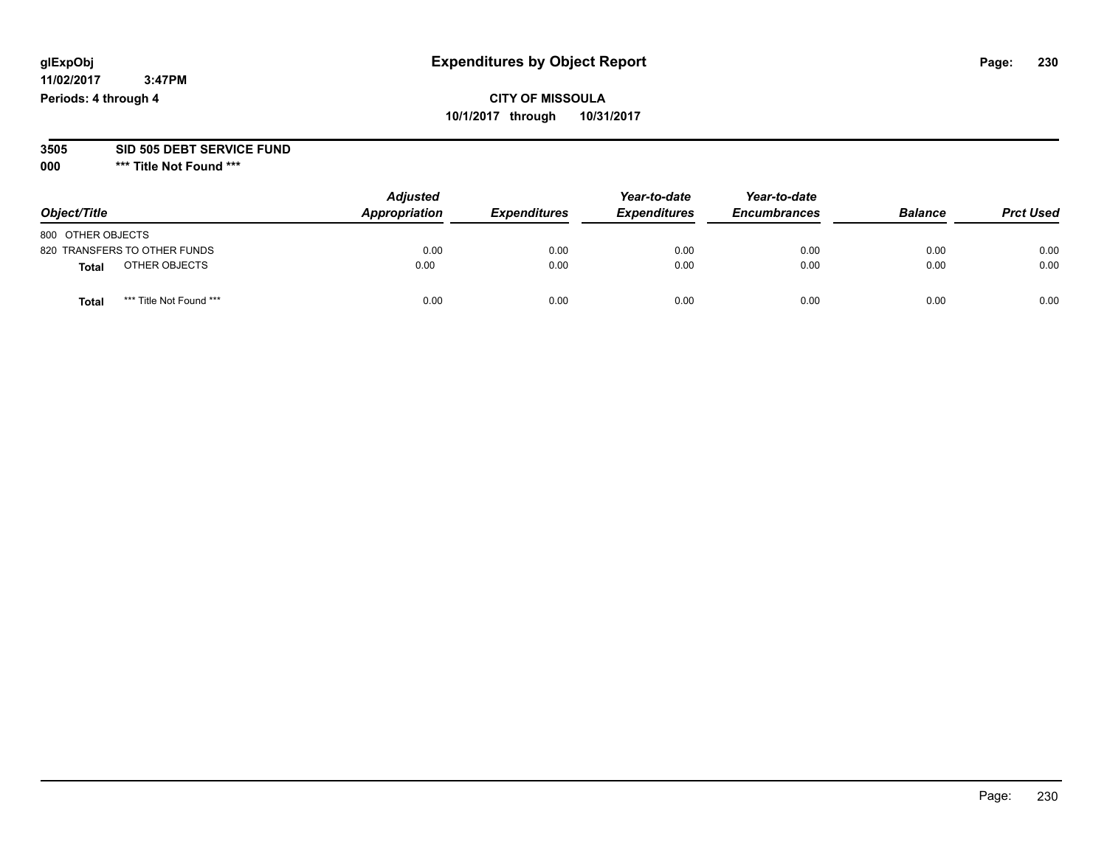## **CITY OF MISSOULA 10/1/2017 through 10/31/2017**

#### **3505 SID 505 DEBT SERVICE FUND**

| Object/Title                    | <b>Adjusted</b><br>Appropriation | <b>Expenditures</b> | Year-to-date<br><b>Expenditures</b> | Year-to-date<br><b>Encumbrances</b> | <b>Balance</b> | <b>Prct Used</b> |
|---------------------------------|----------------------------------|---------------------|-------------------------------------|-------------------------------------|----------------|------------------|
| 800 OTHER OBJECTS               |                                  |                     |                                     |                                     |                |                  |
| 820 TRANSFERS TO OTHER FUNDS    | 0.00                             | 0.00                | 0.00                                | 0.00                                | 0.00           | 0.00             |
| OTHER OBJECTS<br><b>Total</b>   | 0.00                             | 0.00                | 0.00                                | 0.00                                | 0.00           | 0.00             |
| *** Title Not Found ***<br>Tota | 0.00                             | 0.00                | 0.00                                | 0.00                                | 0.00           | 0.00             |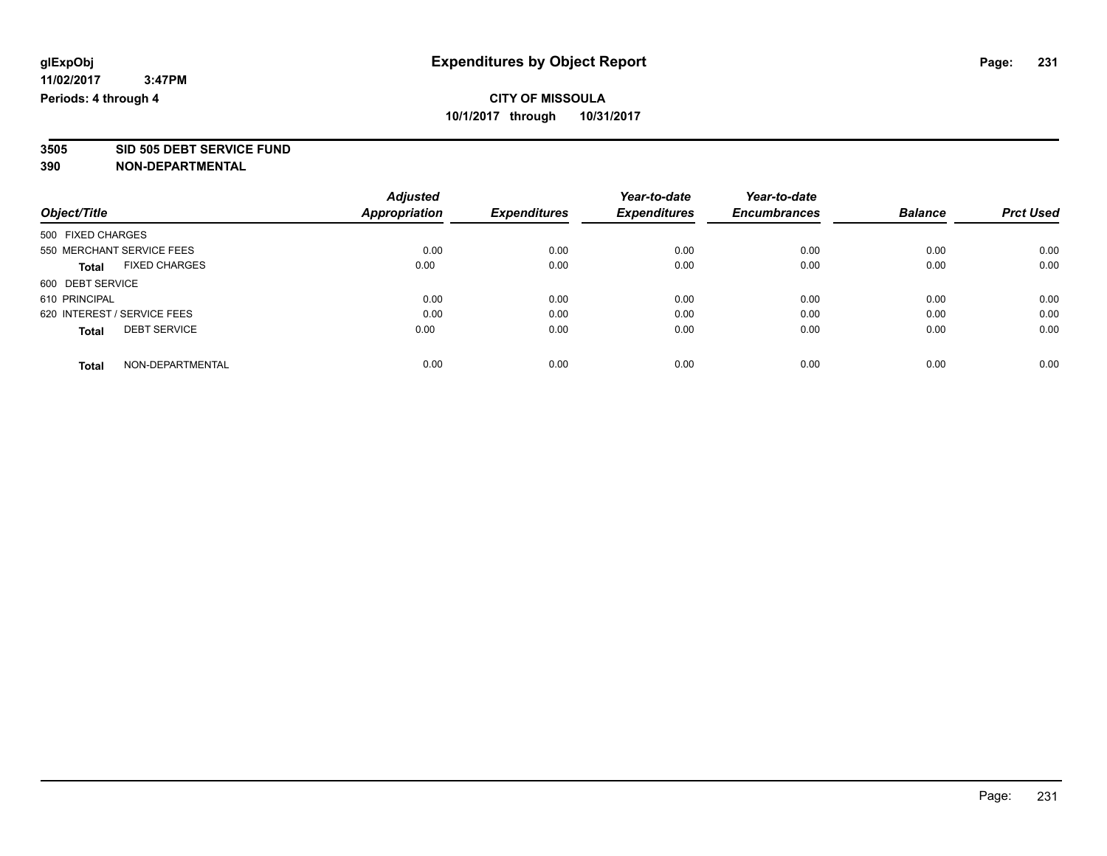**3505 SID 505 DEBT SERVICE FUND**

|                             |                           | <b>Adjusted</b>      |                     | Year-to-date        | Year-to-date        |                |                  |
|-----------------------------|---------------------------|----------------------|---------------------|---------------------|---------------------|----------------|------------------|
| Object/Title                |                           | <b>Appropriation</b> | <b>Expenditures</b> | <b>Expenditures</b> | <b>Encumbrances</b> | <b>Balance</b> | <b>Prct Used</b> |
| 500 FIXED CHARGES           |                           |                      |                     |                     |                     |                |                  |
|                             | 550 MERCHANT SERVICE FEES | 0.00                 | 0.00                | 0.00                | 0.00                | 0.00           | 0.00             |
| <b>Total</b>                | <b>FIXED CHARGES</b>      | 0.00                 | 0.00                | 0.00                | 0.00                | 0.00           | 0.00             |
| 600 DEBT SERVICE            |                           |                      |                     |                     |                     |                |                  |
| 610 PRINCIPAL               |                           | 0.00                 | 0.00                | 0.00                | 0.00                | 0.00           | 0.00             |
| 620 INTEREST / SERVICE FEES |                           | 0.00                 | 0.00                | 0.00                | 0.00                | 0.00           | 0.00             |
| <b>Total</b>                | <b>DEBT SERVICE</b>       | 0.00                 | 0.00                | 0.00                | 0.00                | 0.00           | 0.00             |
| <b>Total</b>                | NON-DEPARTMENTAL          | 0.00                 | 0.00                | 0.00                | 0.00                | 0.00           | 0.00             |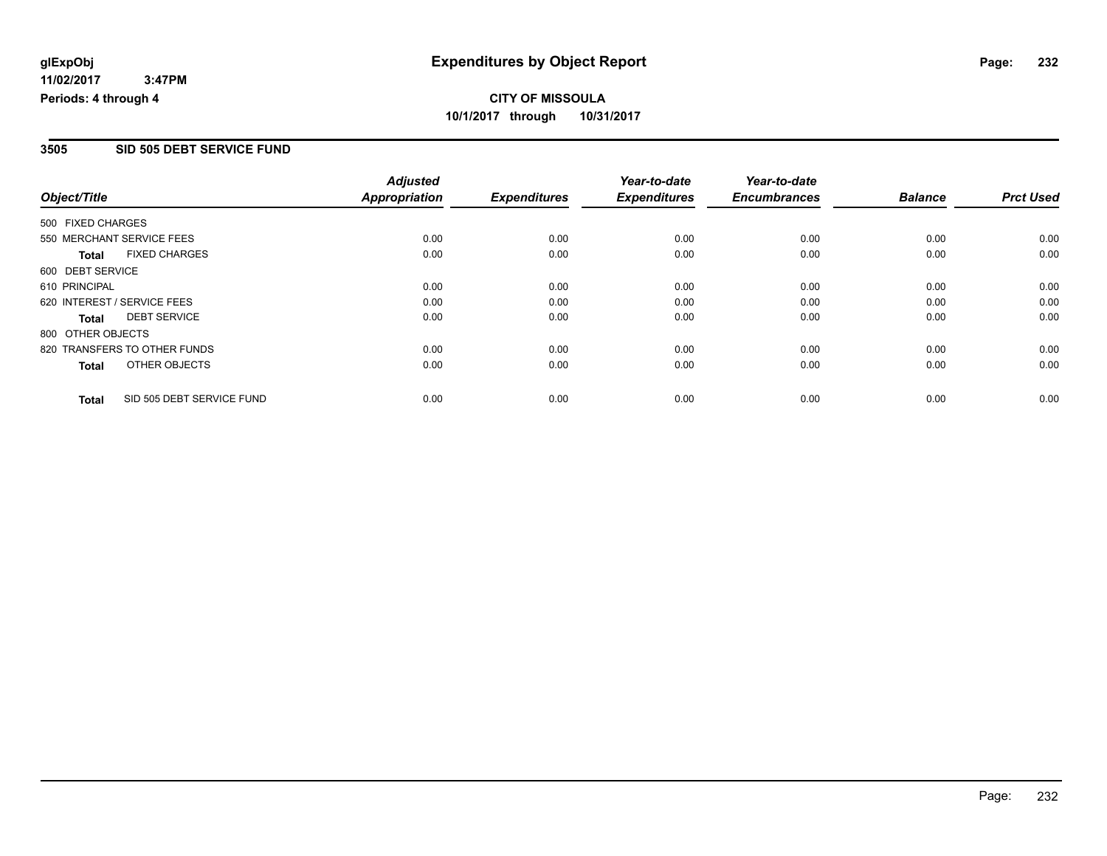#### **3505 SID 505 DEBT SERVICE FUND**

|                   |                              | <b>Adjusted</b>      |                     | Year-to-date        | Year-to-date        |                |                  |
|-------------------|------------------------------|----------------------|---------------------|---------------------|---------------------|----------------|------------------|
| Object/Title      |                              | <b>Appropriation</b> | <b>Expenditures</b> | <b>Expenditures</b> | <b>Encumbrances</b> | <b>Balance</b> | <b>Prct Used</b> |
| 500 FIXED CHARGES |                              |                      |                     |                     |                     |                |                  |
|                   | 550 MERCHANT SERVICE FEES    | 0.00                 | 0.00                | 0.00                | 0.00                | 0.00           | 0.00             |
| <b>Total</b>      | <b>FIXED CHARGES</b>         | 0.00                 | 0.00                | 0.00                | 0.00                | 0.00           | 0.00             |
| 600 DEBT SERVICE  |                              |                      |                     |                     |                     |                |                  |
| 610 PRINCIPAL     |                              | 0.00                 | 0.00                | 0.00                | 0.00                | 0.00           | 0.00             |
|                   | 620 INTEREST / SERVICE FEES  | 0.00                 | 0.00                | 0.00                | 0.00                | 0.00           | 0.00             |
| Total             | <b>DEBT SERVICE</b>          | 0.00                 | 0.00                | 0.00                | 0.00                | 0.00           | 0.00             |
| 800 OTHER OBJECTS |                              |                      |                     |                     |                     |                |                  |
|                   | 820 TRANSFERS TO OTHER FUNDS | 0.00                 | 0.00                | 0.00                | 0.00                | 0.00           | 0.00             |
| Total             | OTHER OBJECTS                | 0.00                 | 0.00                | 0.00                | 0.00                | 0.00           | 0.00             |
| <b>Total</b>      | SID 505 DEBT SERVICE FUND    | 0.00                 | 0.00                | 0.00                | 0.00                | 0.00           | 0.00             |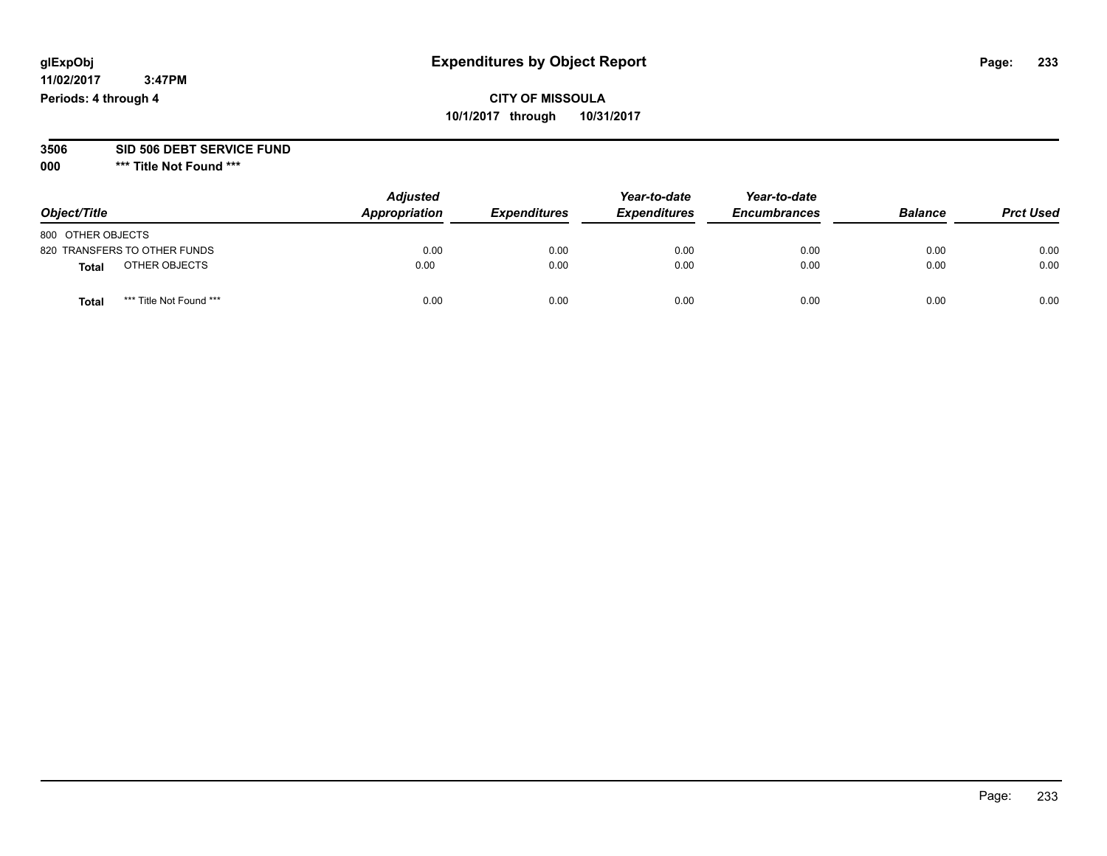## **CITY OF MISSOULA 10/1/2017 through 10/31/2017**

#### **3506 SID 506 DEBT SERVICE FUND**

| Object/Title                    | <b>Adjusted</b><br>Appropriation | <b>Expenditures</b> | Year-to-date<br><b>Expenditures</b> | Year-to-date<br><b>Encumbrances</b> | <b>Balance</b> | <b>Prct Used</b> |
|---------------------------------|----------------------------------|---------------------|-------------------------------------|-------------------------------------|----------------|------------------|
| 800 OTHER OBJECTS               |                                  |                     |                                     |                                     |                |                  |
| 820 TRANSFERS TO OTHER FUNDS    | 0.00                             | 0.00                | 0.00                                | 0.00                                | 0.00           | 0.00             |
| OTHER OBJECTS<br><b>Total</b>   | 0.00                             | 0.00                | 0.00                                | 0.00                                | 0.00           | 0.00             |
| *** Title Not Found ***<br>Tota | 0.00                             | 0.00                | 0.00                                | 0.00                                | 0.00           | 0.00             |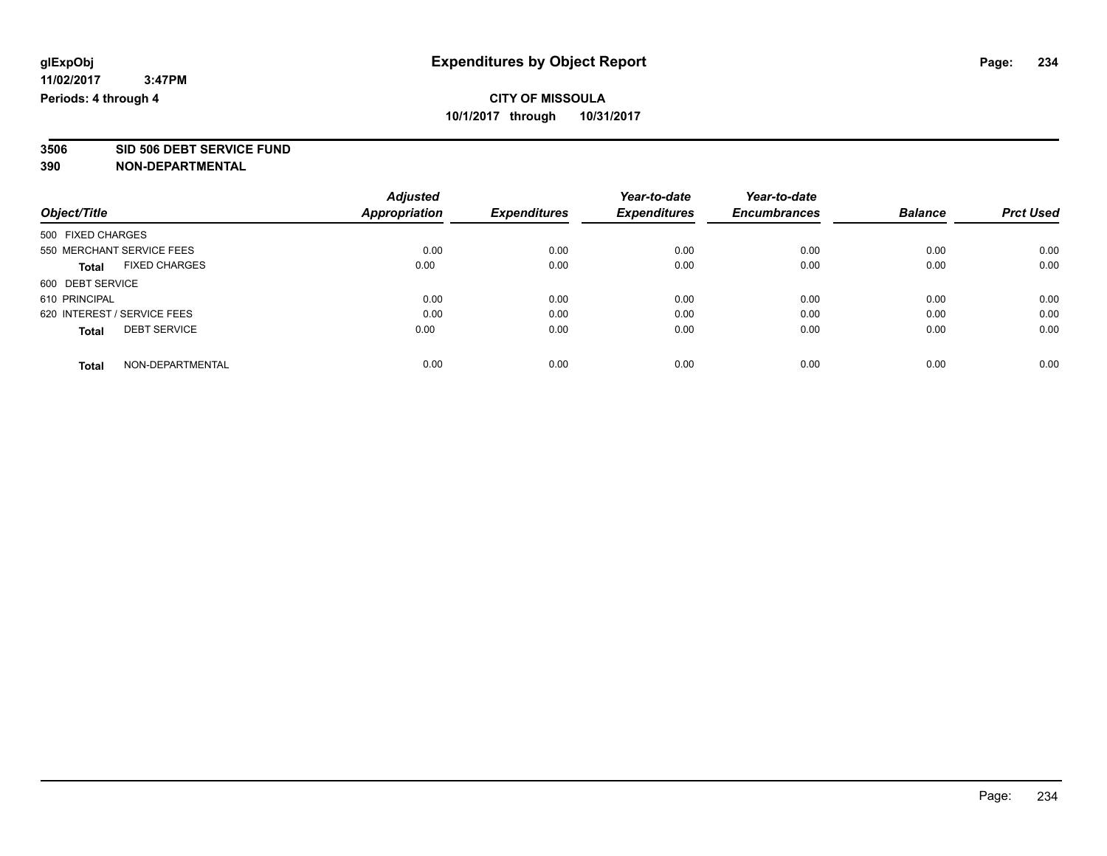**3506 SID 506 DEBT SERVICE FUND**

|                             |                           | <b>Adjusted</b>      |                     | Year-to-date        | Year-to-date        |                |                  |
|-----------------------------|---------------------------|----------------------|---------------------|---------------------|---------------------|----------------|------------------|
| Object/Title                |                           | <b>Appropriation</b> | <b>Expenditures</b> | <b>Expenditures</b> | <b>Encumbrances</b> | <b>Balance</b> | <b>Prct Used</b> |
| 500 FIXED CHARGES           |                           |                      |                     |                     |                     |                |                  |
|                             | 550 MERCHANT SERVICE FEES | 0.00                 | 0.00                | 0.00                | 0.00                | 0.00           | 0.00             |
| <b>Total</b>                | <b>FIXED CHARGES</b>      | 0.00                 | 0.00                | 0.00                | 0.00                | 0.00           | 0.00             |
| 600 DEBT SERVICE            |                           |                      |                     |                     |                     |                |                  |
| 610 PRINCIPAL               |                           | 0.00                 | 0.00                | 0.00                | 0.00                | 0.00           | 0.00             |
| 620 INTEREST / SERVICE FEES |                           | 0.00                 | 0.00                | 0.00                | 0.00                | 0.00           | 0.00             |
| <b>Total</b>                | <b>DEBT SERVICE</b>       | 0.00                 | 0.00                | 0.00                | 0.00                | 0.00           | 0.00             |
| <b>Total</b>                | NON-DEPARTMENTAL          | 0.00                 | 0.00                | 0.00                | 0.00                | 0.00           | 0.00             |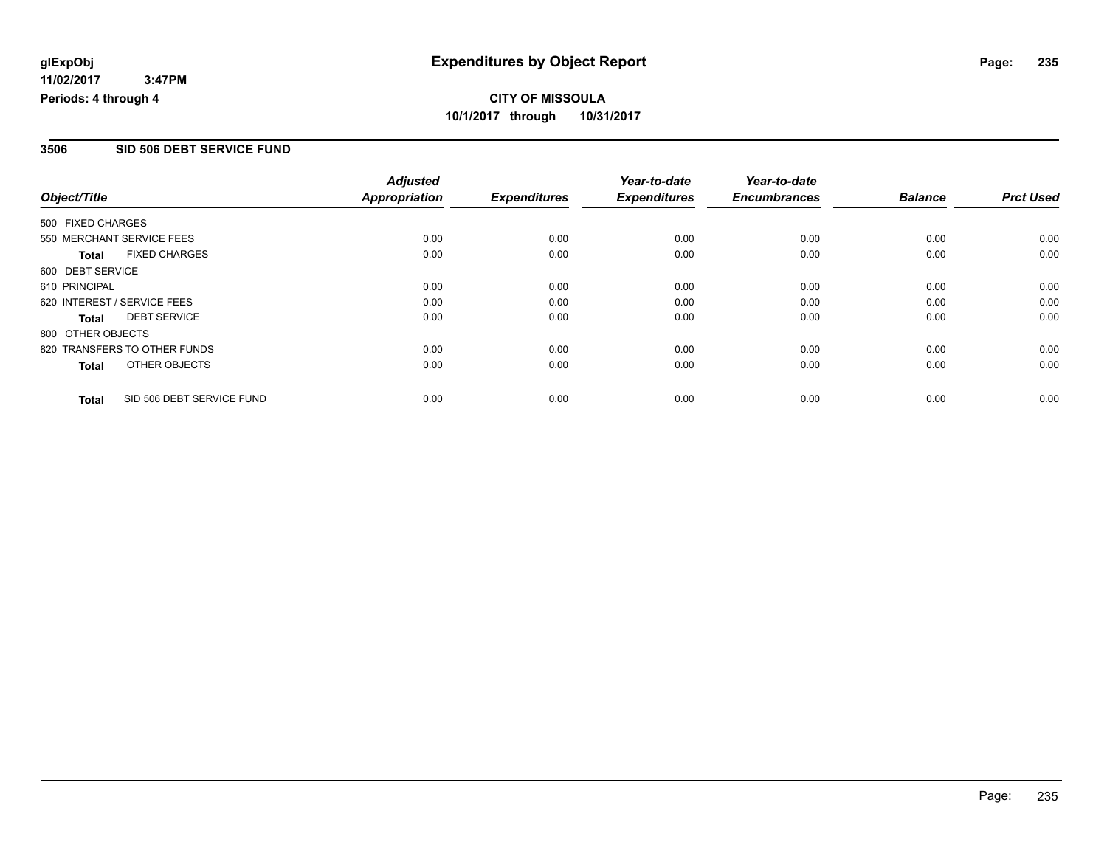#### **3506 SID 506 DEBT SERVICE FUND**

|                   |                              | <b>Adjusted</b>      |                     | Year-to-date        | Year-to-date        |                |                  |
|-------------------|------------------------------|----------------------|---------------------|---------------------|---------------------|----------------|------------------|
| Object/Title      |                              | <b>Appropriation</b> | <b>Expenditures</b> | <b>Expenditures</b> | <b>Encumbrances</b> | <b>Balance</b> | <b>Prct Used</b> |
| 500 FIXED CHARGES |                              |                      |                     |                     |                     |                |                  |
|                   | 550 MERCHANT SERVICE FEES    | 0.00                 | 0.00                | 0.00                | 0.00                | 0.00           | 0.00             |
| <b>Total</b>      | <b>FIXED CHARGES</b>         | 0.00                 | 0.00                | 0.00                | 0.00                | 0.00           | 0.00             |
| 600 DEBT SERVICE  |                              |                      |                     |                     |                     |                |                  |
| 610 PRINCIPAL     |                              | 0.00                 | 0.00                | 0.00                | 0.00                | 0.00           | 0.00             |
|                   | 620 INTEREST / SERVICE FEES  | 0.00                 | 0.00                | 0.00                | 0.00                | 0.00           | 0.00             |
| Total             | <b>DEBT SERVICE</b>          | 0.00                 | 0.00                | 0.00                | 0.00                | 0.00           | 0.00             |
| 800 OTHER OBJECTS |                              |                      |                     |                     |                     |                |                  |
|                   | 820 TRANSFERS TO OTHER FUNDS | 0.00                 | 0.00                | 0.00                | 0.00                | 0.00           | 0.00             |
| Total             | OTHER OBJECTS                | 0.00                 | 0.00                | 0.00                | 0.00                | 0.00           | 0.00             |
| <b>Total</b>      | SID 506 DEBT SERVICE FUND    | 0.00                 | 0.00                | 0.00                | 0.00                | 0.00           | 0.00             |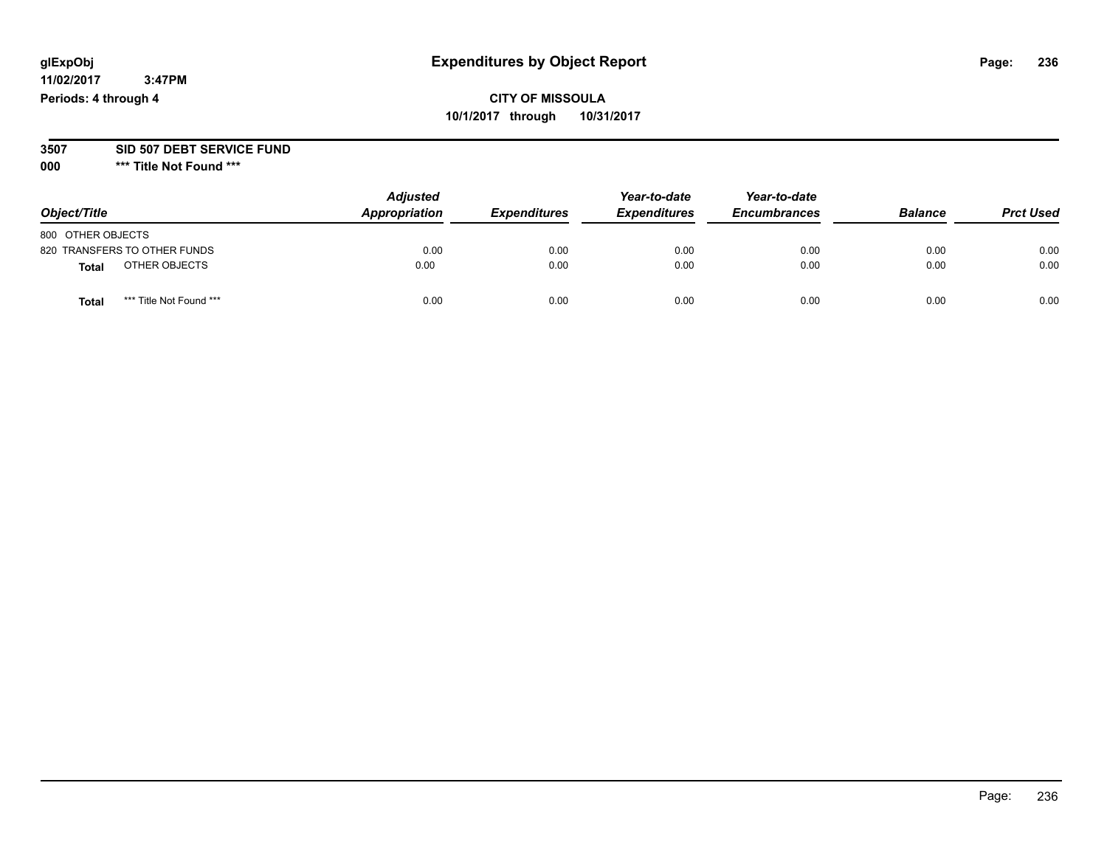## **CITY OF MISSOULA 10/1/2017 through 10/31/2017**

#### **3507 SID 507 DEBT SERVICE FUND**

|                                  | <b>Adjusted</b> |                     | Year-to-date        | Year-to-date        |                |                  |
|----------------------------------|-----------------|---------------------|---------------------|---------------------|----------------|------------------|
| Object/Title                     | Appropriation   | <b>Expenditures</b> | <b>Expenditures</b> | <b>Encumbrances</b> | <b>Balance</b> | <b>Prct Used</b> |
| 800 OTHER OBJECTS                |                 |                     |                     |                     |                |                  |
| 820 TRANSFERS TO OTHER FUNDS     | 0.00            | 0.00                | 0.00                | 0.00                | 0.00           | 0.00             |
| OTHER OBJECTS<br><b>Total</b>    | 0.00            | 0.00                | 0.00                | 0.00                | 0.00           | 0.00             |
| *** Title Not Found ***<br>Total | 0.00            | 0.00                | 0.00                | 0.00                | 0.00           | 0.00             |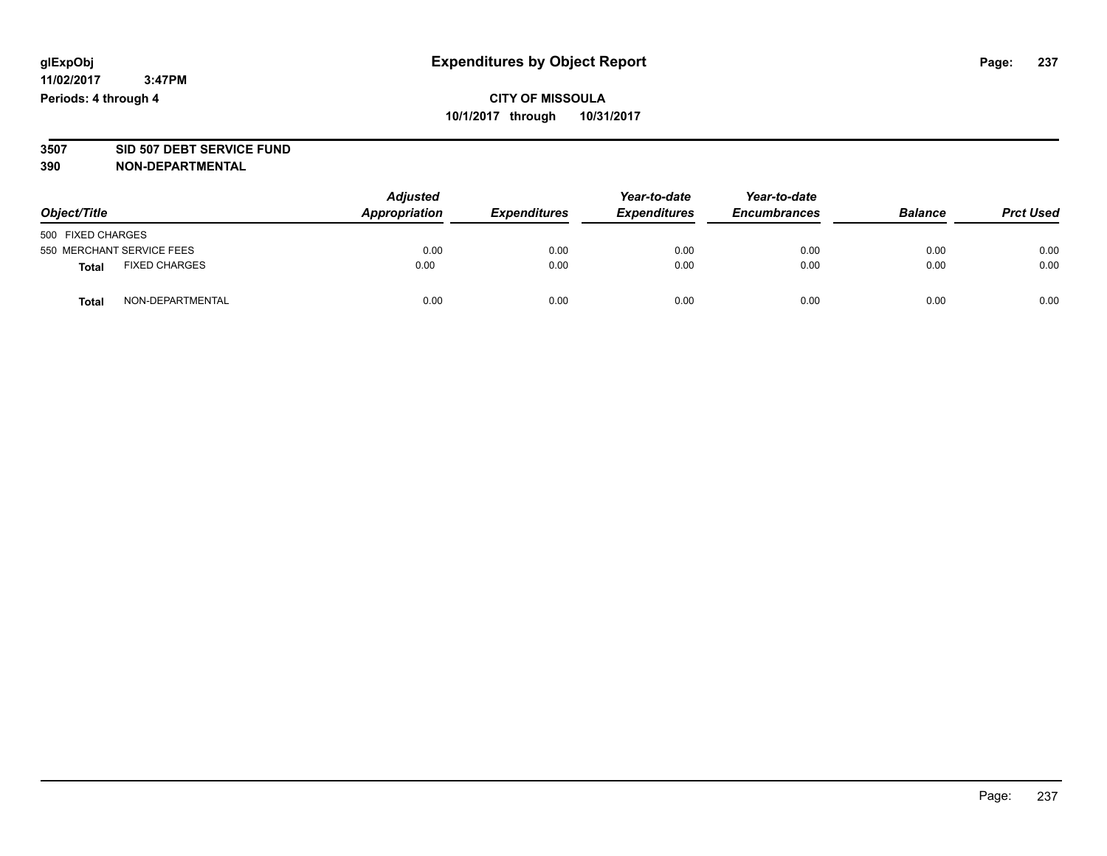# **3507 SID 507 DEBT SERVICE FUND**

| Object/Title                         | <b>Adjusted</b><br>Appropriation | <b>Expenditures</b> | Year-to-date<br><b>Expenditures</b> | Year-to-date<br><b>Encumbrances</b> | <b>Balance</b> | <b>Prct Used</b> |
|--------------------------------------|----------------------------------|---------------------|-------------------------------------|-------------------------------------|----------------|------------------|
| 500 FIXED CHARGES                    |                                  |                     |                                     |                                     |                |                  |
| 550 MERCHANT SERVICE FEES            | 0.00                             | 0.00                | 0.00                                | 0.00                                | 0.00           | 0.00             |
| <b>FIXED CHARGES</b><br><b>Total</b> | 0.00                             | 0.00                | 0.00                                | 0.00                                | 0.00           | 0.00             |
| NON-DEPARTMENTAL<br><b>Total</b>     | 0.00                             | 0.00                | 0.00                                | 0.00                                | 0.00           | 0.00             |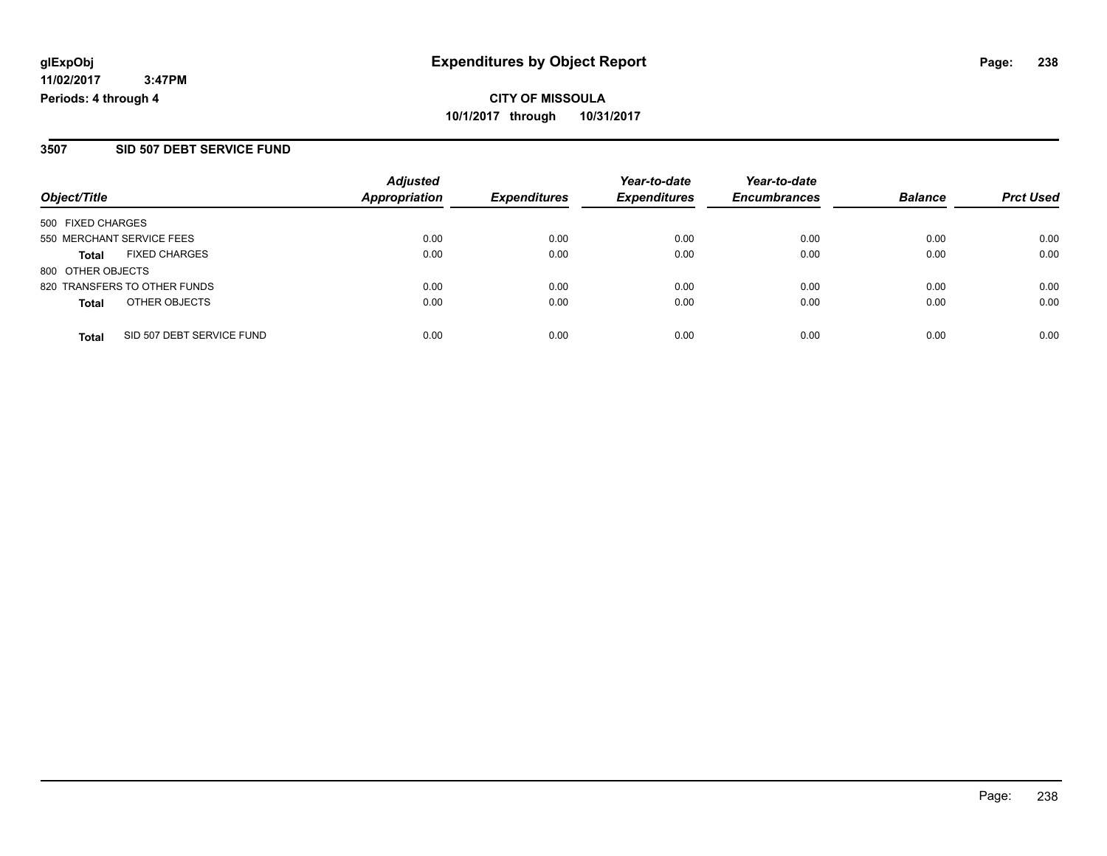**CITY OF MISSOULA 10/1/2017 through 10/31/2017**

### **3507 SID 507 DEBT SERVICE FUND**

|                              |                           | <b>Adjusted</b>      |                     | Year-to-date        | Year-to-date        |                |                  |
|------------------------------|---------------------------|----------------------|---------------------|---------------------|---------------------|----------------|------------------|
| Object/Title                 |                           | <b>Appropriation</b> | <b>Expenditures</b> | <b>Expenditures</b> | <b>Encumbrances</b> | <b>Balance</b> | <b>Prct Used</b> |
| 500 FIXED CHARGES            |                           |                      |                     |                     |                     |                |                  |
| 550 MERCHANT SERVICE FEES    |                           | 0.00                 | 0.00                | 0.00                | 0.00                | 0.00           | 0.00             |
| <b>Total</b>                 | <b>FIXED CHARGES</b>      | 0.00                 | 0.00                | 0.00                | 0.00                | 0.00           | 0.00             |
| 800 OTHER OBJECTS            |                           |                      |                     |                     |                     |                |                  |
| 820 TRANSFERS TO OTHER FUNDS |                           | 0.00                 | 0.00                | 0.00                | 0.00                | 0.00           | 0.00             |
| <b>Total</b>                 | OTHER OBJECTS             | 0.00                 | 0.00                | 0.00                | 0.00                | 0.00           | 0.00             |
| <b>Total</b>                 | SID 507 DEBT SERVICE FUND | 0.00                 | 0.00                | 0.00                | 0.00                | 0.00           | 0.00             |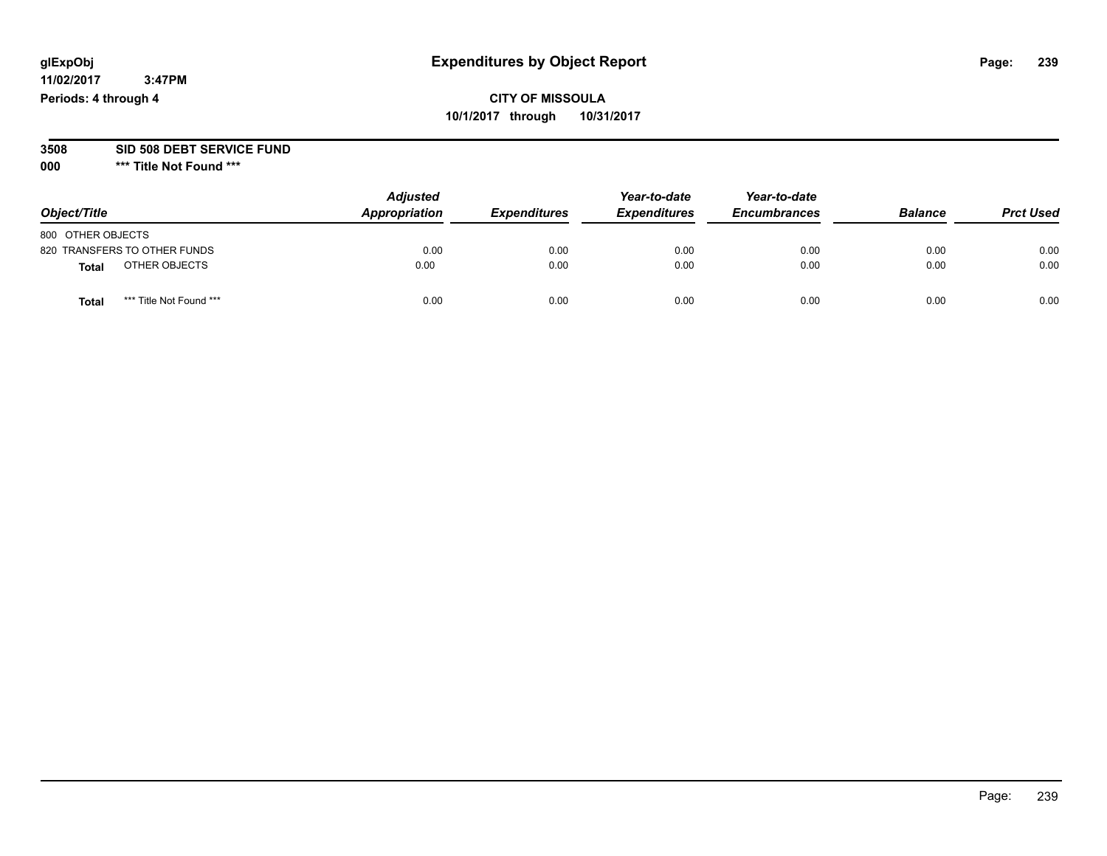## **CITY OF MISSOULA 10/1/2017 through 10/31/2017**

#### **3508 SID 508 DEBT SERVICE FUND**

| Object/Title                    | <b>Adjusted</b><br>Appropriation | <b>Expenditures</b> | Year-to-date<br><b>Expenditures</b> | Year-to-date<br><b>Encumbrances</b> | <b>Balance</b> | <b>Prct Used</b> |
|---------------------------------|----------------------------------|---------------------|-------------------------------------|-------------------------------------|----------------|------------------|
| 800 OTHER OBJECTS               |                                  |                     |                                     |                                     |                |                  |
| 820 TRANSFERS TO OTHER FUNDS    | 0.00                             | 0.00                | 0.00                                | 0.00                                | 0.00           | 0.00             |
| OTHER OBJECTS<br><b>Total</b>   | 0.00                             | 0.00                | 0.00                                | 0.00                                | 0.00           | 0.00             |
| *** Title Not Found ***<br>Tota | 0.00                             | 0.00                | 0.00                                | 0.00                                | 0.00           | 0.00             |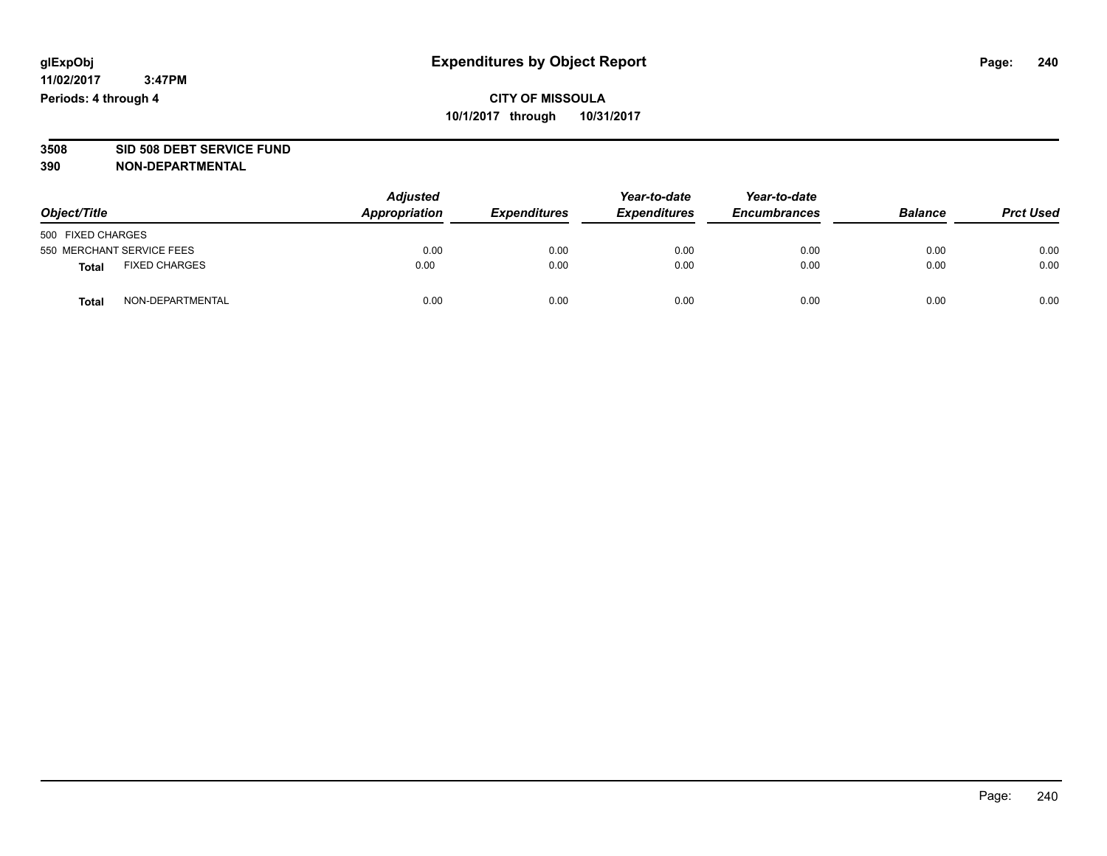# **3508 SID 508 DEBT SERVICE FUND**

| Object/Title                  |                  | <b>Adjusted</b><br>Appropriation | <b>Expenditures</b> | Year-to-date<br><b>Expenditures</b> | Year-to-date<br><b>Encumbrances</b> | <b>Balance</b> | <b>Prct Used</b> |
|-------------------------------|------------------|----------------------------------|---------------------|-------------------------------------|-------------------------------------|----------------|------------------|
| 500 FIXED CHARGES             |                  |                                  |                     |                                     |                                     |                |                  |
| 550 MERCHANT SERVICE FEES     |                  | 0.00                             | 0.00                | 0.00                                | 0.00                                | 0.00           | 0.00             |
| <b>FIXED CHARGES</b><br>Total |                  | 0.00                             | 0.00                | 0.00                                | 0.00                                | 0.00           | 0.00             |
| <b>Total</b>                  | NON-DEPARTMENTAL | 0.00                             | 0.00                | 0.00                                | 0.00                                | 0.00           | 0.00             |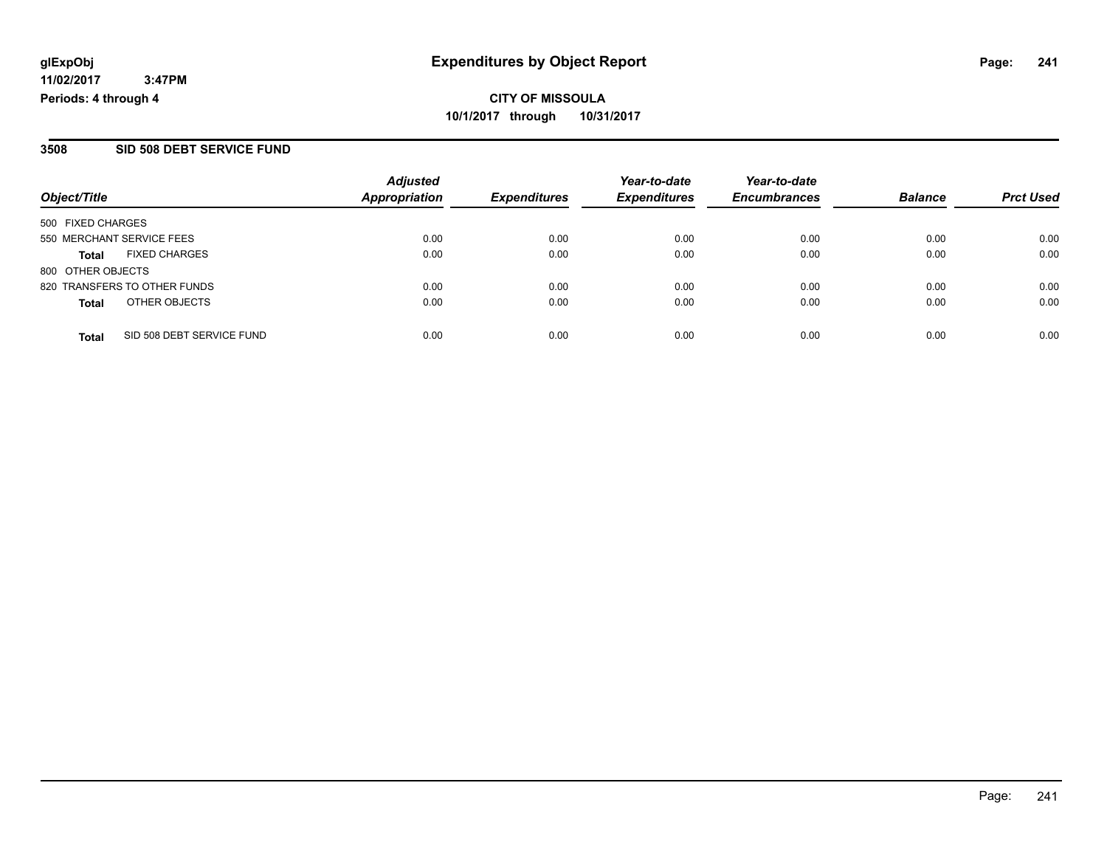**CITY OF MISSOULA 10/1/2017 through 10/31/2017**

#### **3508 SID 508 DEBT SERVICE FUND**

| Object/Title                              | <b>Adjusted</b><br>Appropriation | <b>Expenditures</b> | Year-to-date<br><b>Expenditures</b> | Year-to-date<br><b>Encumbrances</b> | <b>Balance</b> | <b>Prct Used</b> |
|-------------------------------------------|----------------------------------|---------------------|-------------------------------------|-------------------------------------|----------------|------------------|
| 500 FIXED CHARGES                         |                                  |                     |                                     |                                     |                |                  |
| 550 MERCHANT SERVICE FEES                 | 0.00                             | 0.00                | 0.00                                | 0.00                                | 0.00           | 0.00             |
| <b>FIXED CHARGES</b><br>Total             | 0.00                             | 0.00                | 0.00                                | 0.00                                | 0.00           | 0.00             |
| 800 OTHER OBJECTS                         |                                  |                     |                                     |                                     |                |                  |
| 820 TRANSFERS TO OTHER FUNDS              | 0.00                             | 0.00                | 0.00                                | 0.00                                | 0.00           | 0.00             |
| OTHER OBJECTS<br><b>Total</b>             | 0.00                             | 0.00                | 0.00                                | 0.00                                | 0.00           | 0.00             |
| SID 508 DEBT SERVICE FUND<br><b>Total</b> | 0.00                             | 0.00                | 0.00                                | 0.00                                | 0.00           | 0.00             |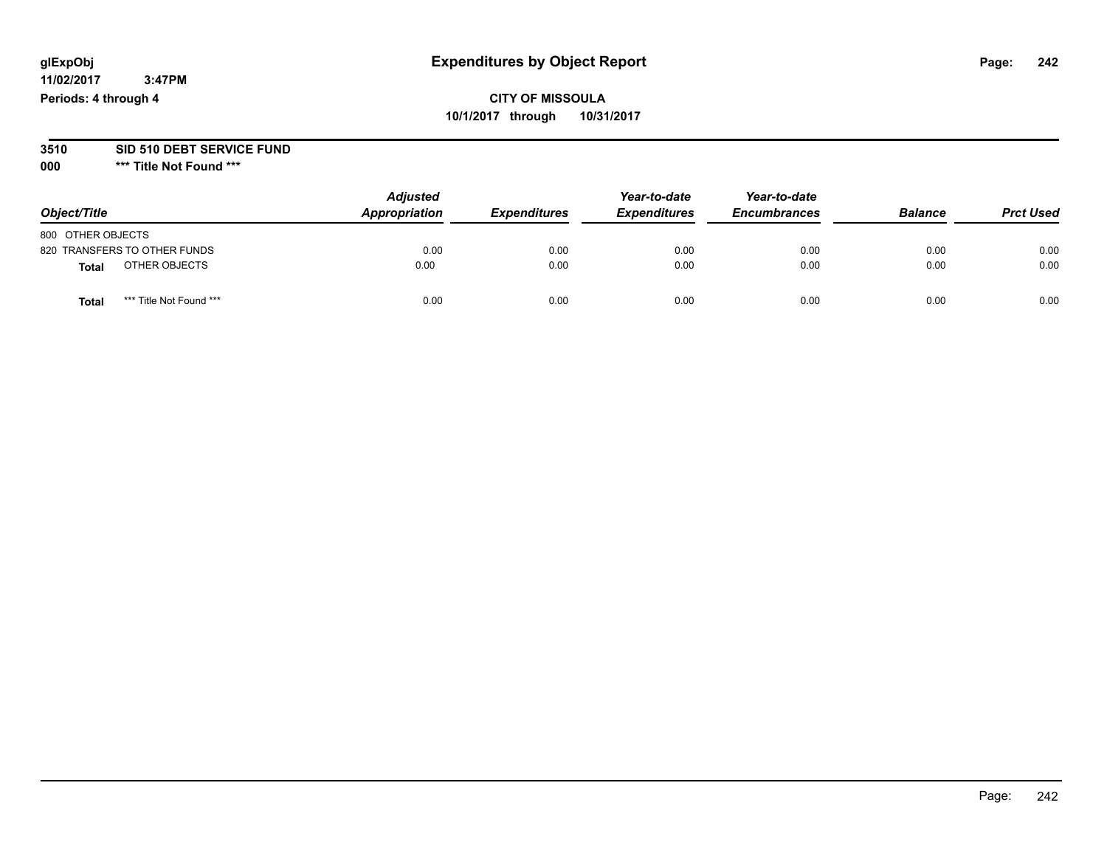## **CITY OF MISSOULA 10/1/2017 through 10/31/2017**

## **3510 SID 510 DEBT SERVICE FUND**

| Object/Title                     | <b>Adjusted</b><br>Appropriation | <b>Expenditures</b> | Year-to-date<br><b>Expenditures</b> | Year-to-date<br><b>Encumbrances</b> | <b>Balance</b> | <b>Prct Used</b> |
|----------------------------------|----------------------------------|---------------------|-------------------------------------|-------------------------------------|----------------|------------------|
| 800 OTHER OBJECTS                |                                  |                     |                                     |                                     |                |                  |
| 820 TRANSFERS TO OTHER FUNDS     | 0.00                             | 0.00                | 0.00                                | 0.00                                | 0.00           | 0.00             |
| OTHER OBJECTS<br>Total           | 0.00                             | 0.00                | 0.00                                | 0.00                                | 0.00           | 0.00             |
| *** Title Not Found ***<br>Total | 0.00                             | 0.00                | 0.00                                | 0.00                                | 0.00           | 0.00             |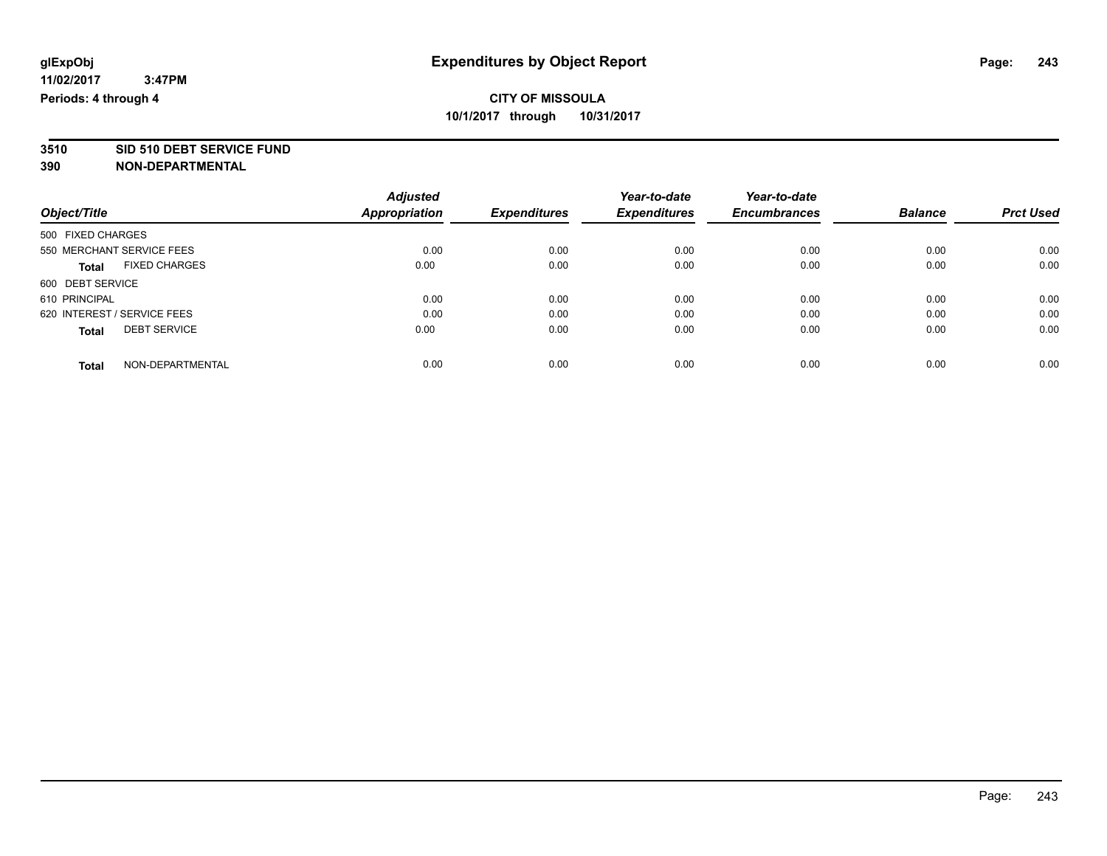# **3510 SID 510 DEBT SERVICE FUND**

|                                      | <b>Adjusted</b> | <b>Expenditures</b> | Year-to-date<br><b>Expenditures</b> | Year-to-date<br><b>Encumbrances</b> | <b>Balance</b> | <b>Prct Used</b> |
|--------------------------------------|-----------------|---------------------|-------------------------------------|-------------------------------------|----------------|------------------|
| Object/Title                         | Appropriation   |                     |                                     |                                     |                |                  |
| 500 FIXED CHARGES                    |                 |                     |                                     |                                     |                |                  |
| 550 MERCHANT SERVICE FEES            | 0.00            | 0.00                | 0.00                                | 0.00                                | 0.00           | 0.00             |
| <b>FIXED CHARGES</b><br><b>Total</b> | 0.00            | 0.00                | 0.00                                | 0.00                                | 0.00           | 0.00             |
| 600 DEBT SERVICE                     |                 |                     |                                     |                                     |                |                  |
| 610 PRINCIPAL                        | 0.00            | 0.00                | 0.00                                | 0.00                                | 0.00           | 0.00             |
| 620 INTEREST / SERVICE FEES          | 0.00            | 0.00                | 0.00                                | 0.00                                | 0.00           | 0.00             |
| <b>DEBT SERVICE</b><br><b>Total</b>  | 0.00            | 0.00                | 0.00                                | 0.00                                | 0.00           | 0.00             |
| NON-DEPARTMENTAL<br><b>Total</b>     | 0.00            | 0.00                | 0.00                                | 0.00                                | 0.00           | 0.00             |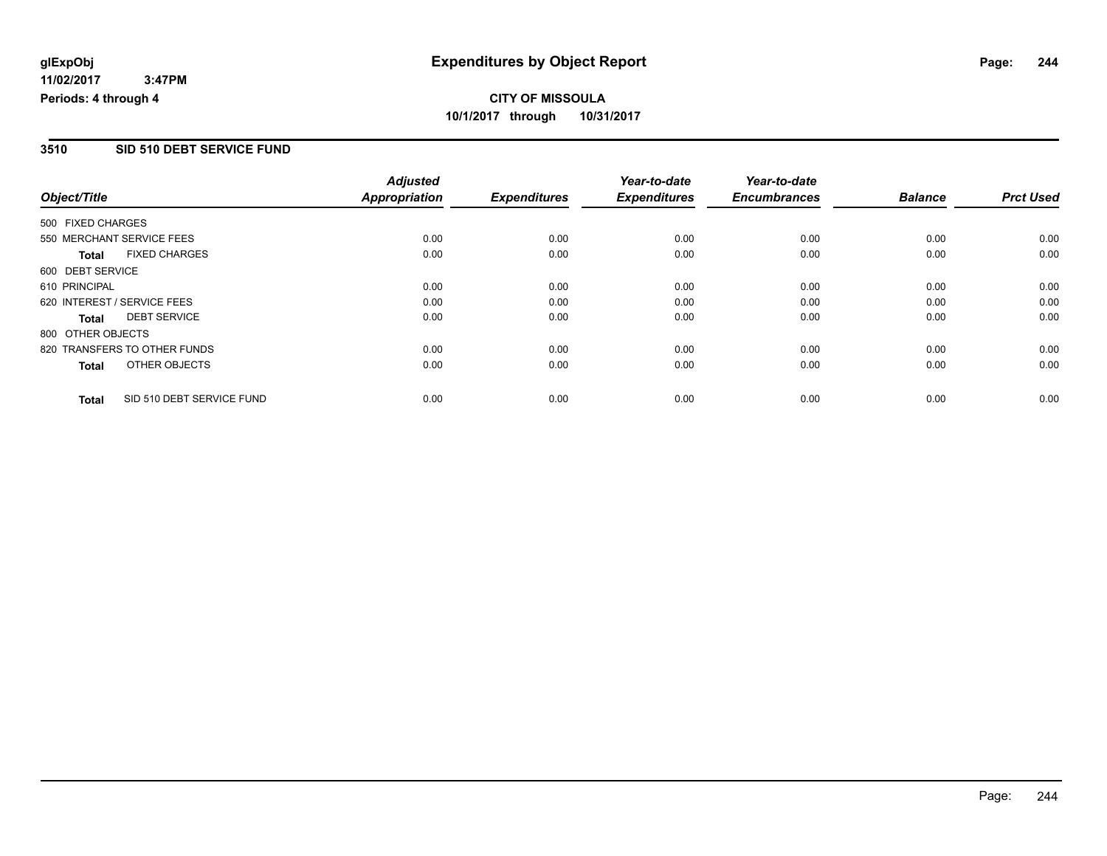### **3510 SID 510 DEBT SERVICE FUND**

|                   |                              | <b>Adjusted</b>      |                     | Year-to-date        | Year-to-date        |                |                  |
|-------------------|------------------------------|----------------------|---------------------|---------------------|---------------------|----------------|------------------|
| Object/Title      |                              | <b>Appropriation</b> | <b>Expenditures</b> | <b>Expenditures</b> | <b>Encumbrances</b> | <b>Balance</b> | <b>Prct Used</b> |
| 500 FIXED CHARGES |                              |                      |                     |                     |                     |                |                  |
|                   | 550 MERCHANT SERVICE FEES    | 0.00                 | 0.00                | 0.00                | 0.00                | 0.00           | 0.00             |
| <b>Total</b>      | <b>FIXED CHARGES</b>         | 0.00                 | 0.00                | 0.00                | 0.00                | 0.00           | 0.00             |
| 600 DEBT SERVICE  |                              |                      |                     |                     |                     |                |                  |
| 610 PRINCIPAL     |                              | 0.00                 | 0.00                | 0.00                | 0.00                | 0.00           | 0.00             |
|                   | 620 INTEREST / SERVICE FEES  | 0.00                 | 0.00                | 0.00                | 0.00                | 0.00           | 0.00             |
| Total             | <b>DEBT SERVICE</b>          | 0.00                 | 0.00                | 0.00                | 0.00                | 0.00           | 0.00             |
| 800 OTHER OBJECTS |                              |                      |                     |                     |                     |                |                  |
|                   | 820 TRANSFERS TO OTHER FUNDS | 0.00                 | 0.00                | 0.00                | 0.00                | 0.00           | 0.00             |
| Total             | OTHER OBJECTS                | 0.00                 | 0.00                | 0.00                | 0.00                | 0.00           | 0.00             |
| <b>Total</b>      | SID 510 DEBT SERVICE FUND    | 0.00                 | 0.00                | 0.00                | 0.00                | 0.00           | 0.00             |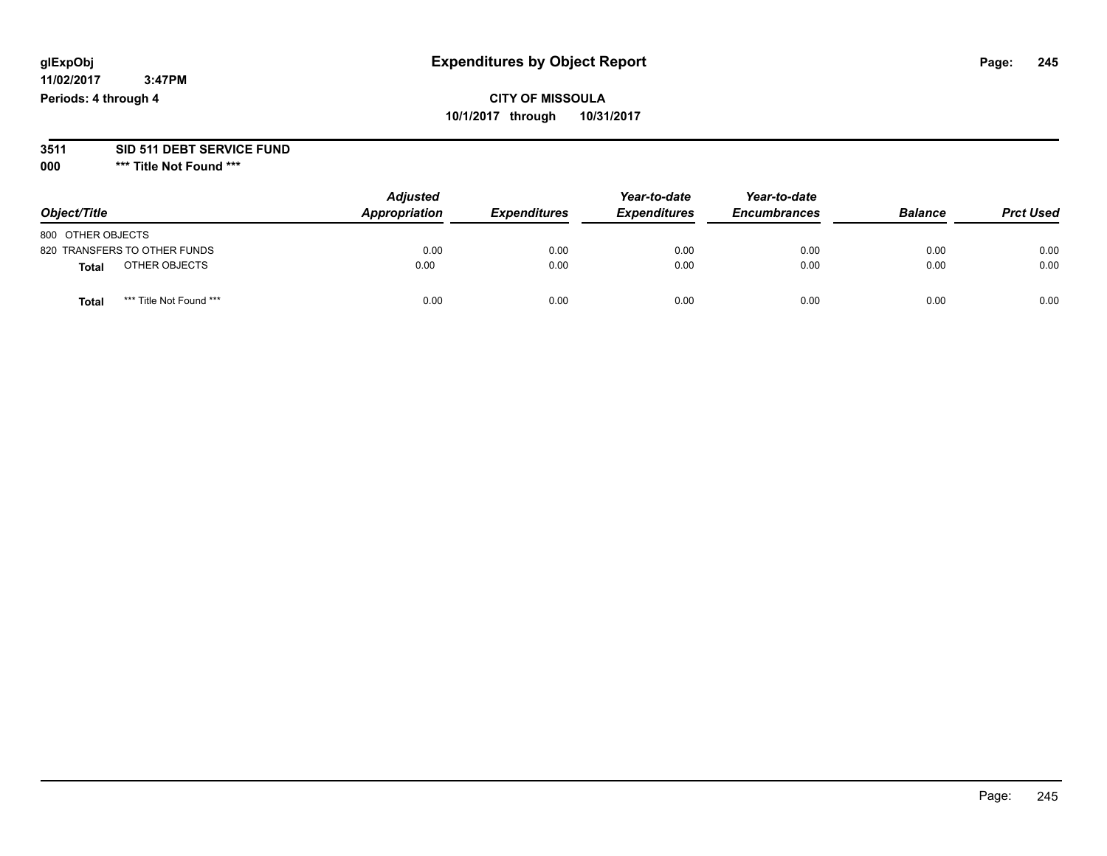## **CITY OF MISSOULA 10/1/2017 through 10/31/2017**

#### **3511 SID 511 DEBT SERVICE FUND**

| Object/Title                            | <b>Adjusted</b><br>Appropriation | <b>Expenditures</b> | Year-to-date<br><b>Expenditures</b> | Year-to-date<br><b>Encumbrances</b> | <b>Balance</b> | <b>Prct Used</b> |
|-----------------------------------------|----------------------------------|---------------------|-------------------------------------|-------------------------------------|----------------|------------------|
| 800 OTHER OBJECTS                       |                                  |                     |                                     |                                     |                |                  |
| 820 TRANSFERS TO OTHER FUNDS            | 0.00                             | 0.00                | 0.00                                | 0.00                                | 0.00           | 0.00             |
| OTHER OBJECTS<br><b>Total</b>           | 0.00                             | 0.00                | 0.00                                | 0.00                                | 0.00           | 0.00             |
| *** Title Not Found ***<br><b>Total</b> | 0.00                             | 0.00                | 0.00                                | 0.00                                | 0.00           | 0.00             |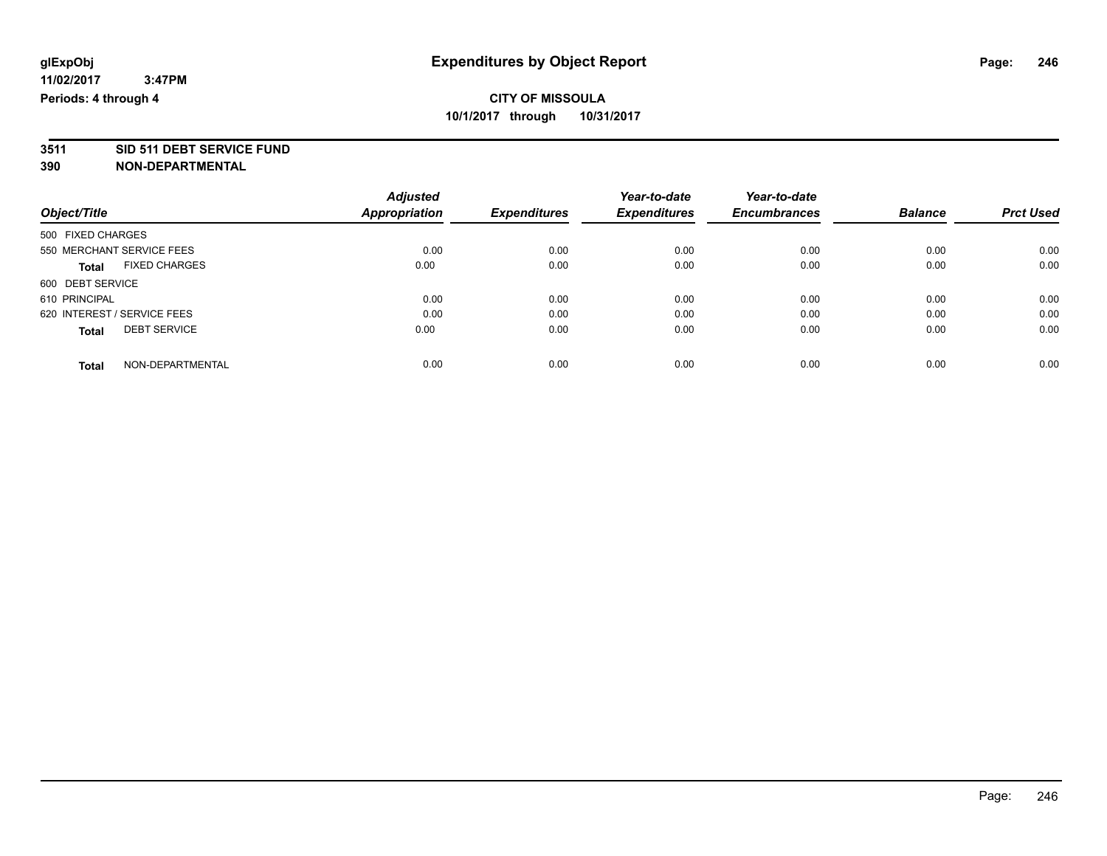# **3511 SID 511 DEBT SERVICE FUND**

| Object/Title                |                      | <b>Adjusted</b> | <b>Expenditures</b> | Year-to-date        | Year-to-date<br><b>Encumbrances</b> | <b>Balance</b> | <b>Prct Used</b> |
|-----------------------------|----------------------|-----------------|---------------------|---------------------|-------------------------------------|----------------|------------------|
|                             |                      | Appropriation   |                     | <b>Expenditures</b> |                                     |                |                  |
| 500 FIXED CHARGES           |                      |                 |                     |                     |                                     |                |                  |
| 550 MERCHANT SERVICE FEES   |                      | 0.00            | 0.00                | 0.00                | 0.00                                | 0.00           | 0.00             |
| Total                       | <b>FIXED CHARGES</b> | 0.00            | 0.00                | 0.00                | 0.00                                | 0.00           | 0.00             |
| 600 DEBT SERVICE            |                      |                 |                     |                     |                                     |                |                  |
| 610 PRINCIPAL               |                      | 0.00            | 0.00                | 0.00                | 0.00                                | 0.00           | 0.00             |
| 620 INTEREST / SERVICE FEES |                      | 0.00            | 0.00                | 0.00                | 0.00                                | 0.00           | 0.00             |
| <b>Total</b>                | <b>DEBT SERVICE</b>  | 0.00            | 0.00                | 0.00                | 0.00                                | 0.00           | 0.00             |
| <b>Total</b>                | NON-DEPARTMENTAL     | 0.00            | 0.00                | 0.00                | 0.00                                | 0.00           | 0.00             |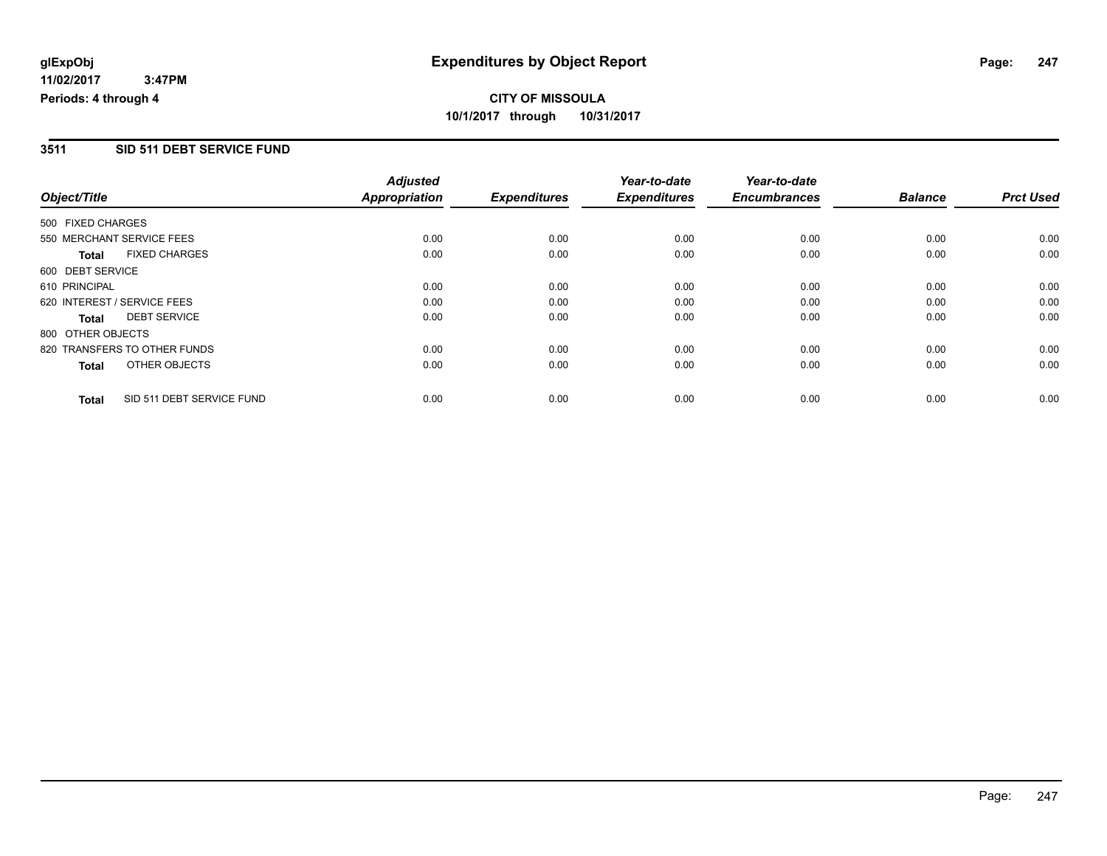### **3511 SID 511 DEBT SERVICE FUND**

|                             |                              | <b>Adjusted</b>      |                     | Year-to-date        | Year-to-date        |                |                  |
|-----------------------------|------------------------------|----------------------|---------------------|---------------------|---------------------|----------------|------------------|
| Object/Title                |                              | <b>Appropriation</b> | <b>Expenditures</b> | <b>Expenditures</b> | <b>Encumbrances</b> | <b>Balance</b> | <b>Prct Used</b> |
| 500 FIXED CHARGES           |                              |                      |                     |                     |                     |                |                  |
|                             | 550 MERCHANT SERVICE FEES    | 0.00                 | 0.00                | 0.00                | 0.00                | 0.00           | 0.00             |
| <b>Total</b>                | <b>FIXED CHARGES</b>         | 0.00                 | 0.00                | 0.00                | 0.00                | 0.00           | 0.00             |
| 600 DEBT SERVICE            |                              |                      |                     |                     |                     |                |                  |
| 610 PRINCIPAL               |                              | 0.00                 | 0.00                | 0.00                | 0.00                | 0.00           | 0.00             |
| 620 INTEREST / SERVICE FEES |                              | 0.00                 | 0.00                | 0.00                | 0.00                | 0.00           | 0.00             |
| Total                       | <b>DEBT SERVICE</b>          | 0.00                 | 0.00                | 0.00                | 0.00                | 0.00           | 0.00             |
| 800 OTHER OBJECTS           |                              |                      |                     |                     |                     |                |                  |
|                             | 820 TRANSFERS TO OTHER FUNDS | 0.00                 | 0.00                | 0.00                | 0.00                | 0.00           | 0.00             |
| Total                       | OTHER OBJECTS                | 0.00                 | 0.00                | 0.00                | 0.00                | 0.00           | 0.00             |
| <b>Total</b>                | SID 511 DEBT SERVICE FUND    | 0.00                 | 0.00                | 0.00                | 0.00                | 0.00           | 0.00             |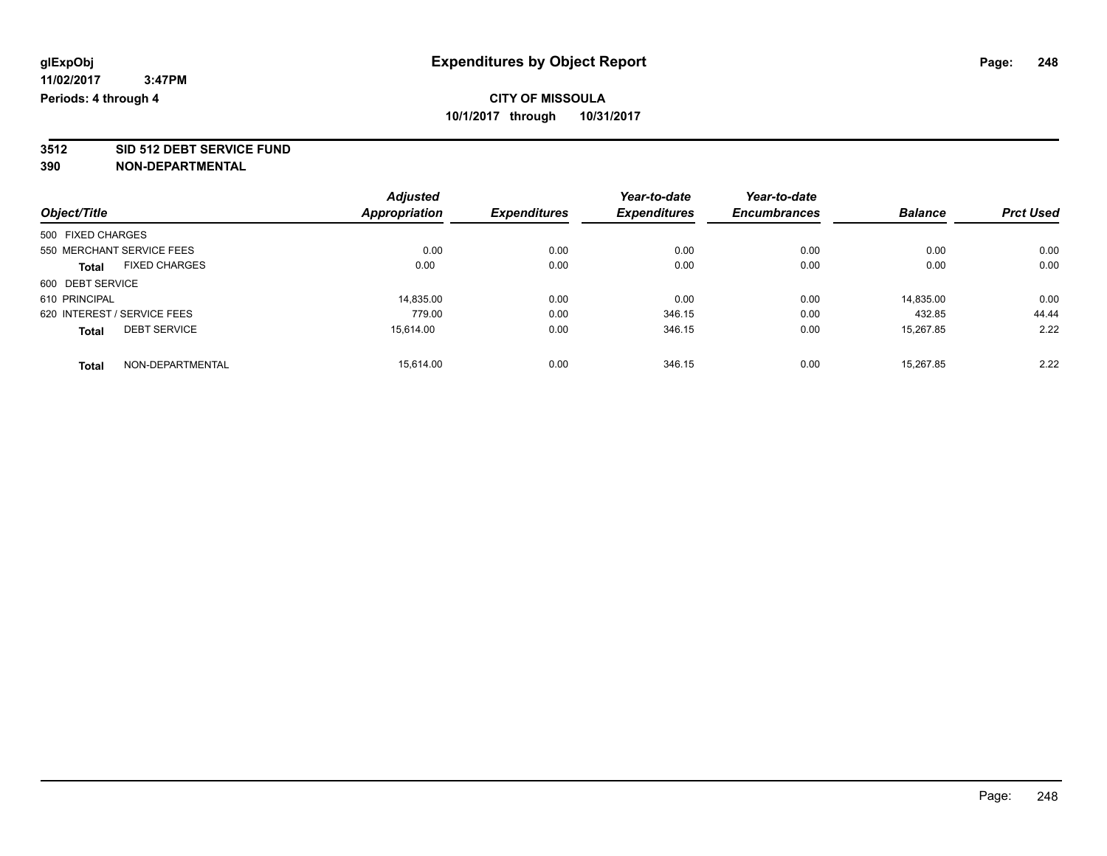**3512 SID 512 DEBT SERVICE FUND**

|                                      | <b>Adjusted</b> |                     | Year-to-date        | Year-to-date        |                |                  |
|--------------------------------------|-----------------|---------------------|---------------------|---------------------|----------------|------------------|
| Object/Title                         | Appropriation   | <b>Expenditures</b> | <b>Expenditures</b> | <b>Encumbrances</b> | <b>Balance</b> | <b>Prct Used</b> |
| 500 FIXED CHARGES                    |                 |                     |                     |                     |                |                  |
| 550 MERCHANT SERVICE FEES            | 0.00            | 0.00                | 0.00                | 0.00                | 0.00           | 0.00             |
| <b>FIXED CHARGES</b><br><b>Total</b> | 0.00            | 0.00                | 0.00                | 0.00                | 0.00           | 0.00             |
| 600 DEBT SERVICE                     |                 |                     |                     |                     |                |                  |
| 610 PRINCIPAL                        | 14,835.00       | 0.00                | 0.00                | 0.00                | 14.835.00      | 0.00             |
| 620 INTEREST / SERVICE FEES          | 779.00          | 0.00                | 346.15              | 0.00                | 432.85         | 44.44            |
| <b>DEBT SERVICE</b><br><b>Total</b>  | 15.614.00       | 0.00                | 346.15              | 0.00                | 15,267.85      | 2.22             |
| NON-DEPARTMENTAL<br><b>Total</b>     | 15.614.00       | 0.00                | 346.15              | 0.00                | 15.267.85      | 2.22             |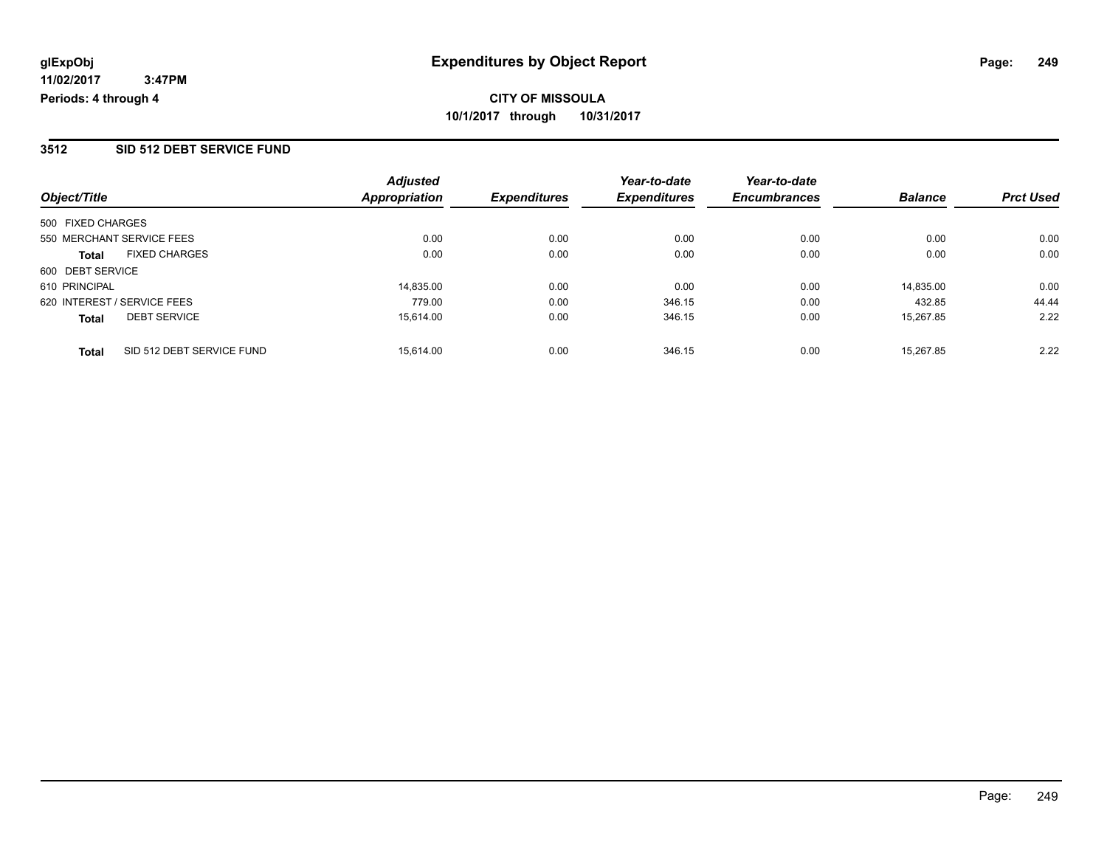### **3512 SID 512 DEBT SERVICE FUND**

| Object/Title                              | <b>Adjusted</b><br>Appropriation | <b>Expenditures</b> | Year-to-date<br><b>Expenditures</b> | Year-to-date<br><b>Encumbrances</b> | <b>Balance</b> | <b>Prct Used</b> |
|-------------------------------------------|----------------------------------|---------------------|-------------------------------------|-------------------------------------|----------------|------------------|
|                                           |                                  |                     |                                     |                                     |                |                  |
| 500 FIXED CHARGES                         |                                  |                     |                                     |                                     |                |                  |
| 550 MERCHANT SERVICE FEES                 | 0.00                             | 0.00                | 0.00                                | 0.00                                | 0.00           | 0.00             |
| <b>FIXED CHARGES</b><br><b>Total</b>      | 0.00                             | 0.00                | 0.00                                | 0.00                                | 0.00           | 0.00             |
| 600 DEBT SERVICE                          |                                  |                     |                                     |                                     |                |                  |
| 610 PRINCIPAL                             | 14.835.00                        | 0.00                | 0.00                                | 0.00                                | 14.835.00      | 0.00             |
| 620 INTEREST / SERVICE FEES               | 779.00                           | 0.00                | 346.15                              | 0.00                                | 432.85         | 44.44            |
| <b>DEBT SERVICE</b><br><b>Total</b>       | 15,614.00                        | 0.00                | 346.15                              | 0.00                                | 15,267.85      | 2.22             |
| SID 512 DEBT SERVICE FUND<br><b>Total</b> | 15.614.00                        | 0.00                | 346.15                              | 0.00                                | 15.267.85      | 2.22             |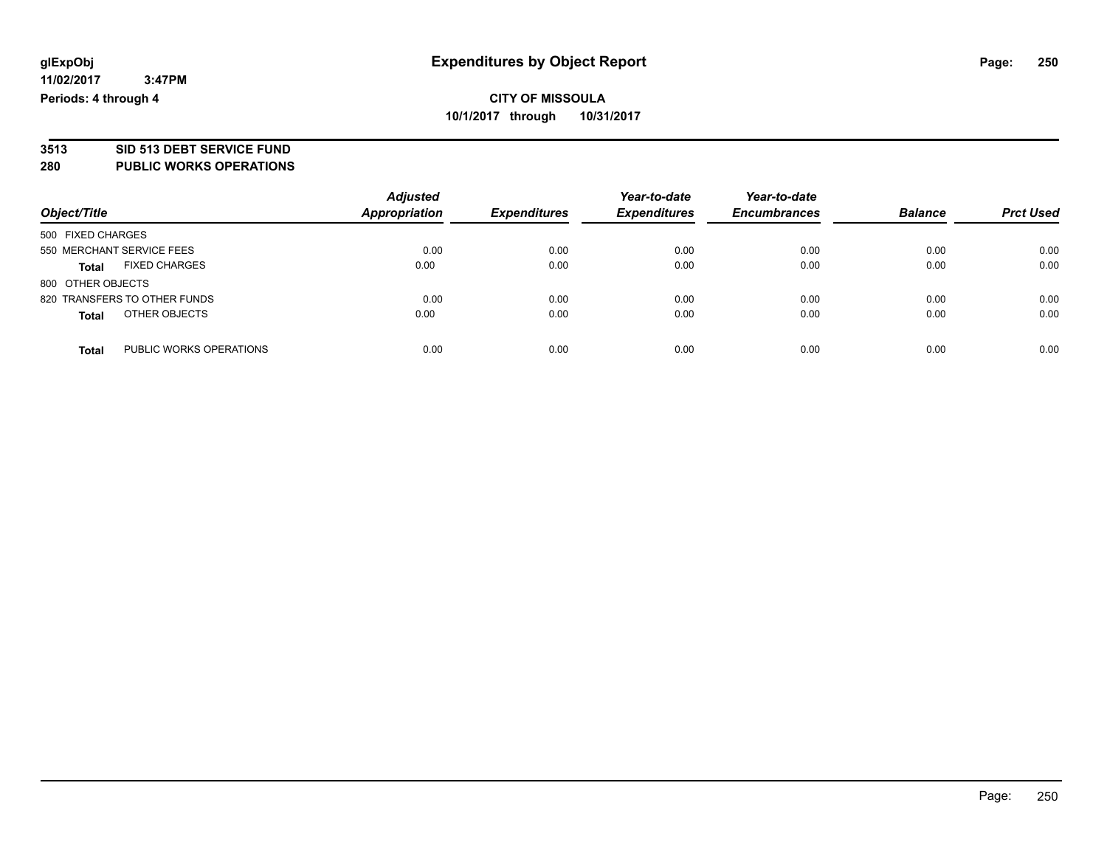# **3513 SID 513 DEBT SERVICE FUND**

**280 PUBLIC WORKS OPERATIONS**

| Object/Title                            | <b>Adjusted</b><br><b>Appropriation</b> | <b>Expenditures</b> | Year-to-date<br><b>Expenditures</b> | Year-to-date<br><b>Encumbrances</b> | <b>Balance</b> | <b>Prct Used</b> |
|-----------------------------------------|-----------------------------------------|---------------------|-------------------------------------|-------------------------------------|----------------|------------------|
| 500 FIXED CHARGES                       |                                         |                     |                                     |                                     |                |                  |
|                                         |                                         |                     |                                     |                                     |                |                  |
| 550 MERCHANT SERVICE FEES               | 0.00                                    | 0.00                | 0.00                                | 0.00                                | 0.00           | 0.00             |
| <b>FIXED CHARGES</b><br><b>Total</b>    | 0.00                                    | 0.00                | 0.00                                | 0.00                                | 0.00           | 0.00             |
| 800 OTHER OBJECTS                       |                                         |                     |                                     |                                     |                |                  |
| 820 TRANSFERS TO OTHER FUNDS            | 0.00                                    | 0.00                | 0.00                                | 0.00                                | 0.00           | 0.00             |
| OTHER OBJECTS<br><b>Total</b>           | 0.00                                    | 0.00                | 0.00                                | 0.00                                | 0.00           | 0.00             |
| PUBLIC WORKS OPERATIONS<br><b>Total</b> | 0.00                                    | 0.00                | 0.00                                | 0.00                                | 0.00           | 0.00             |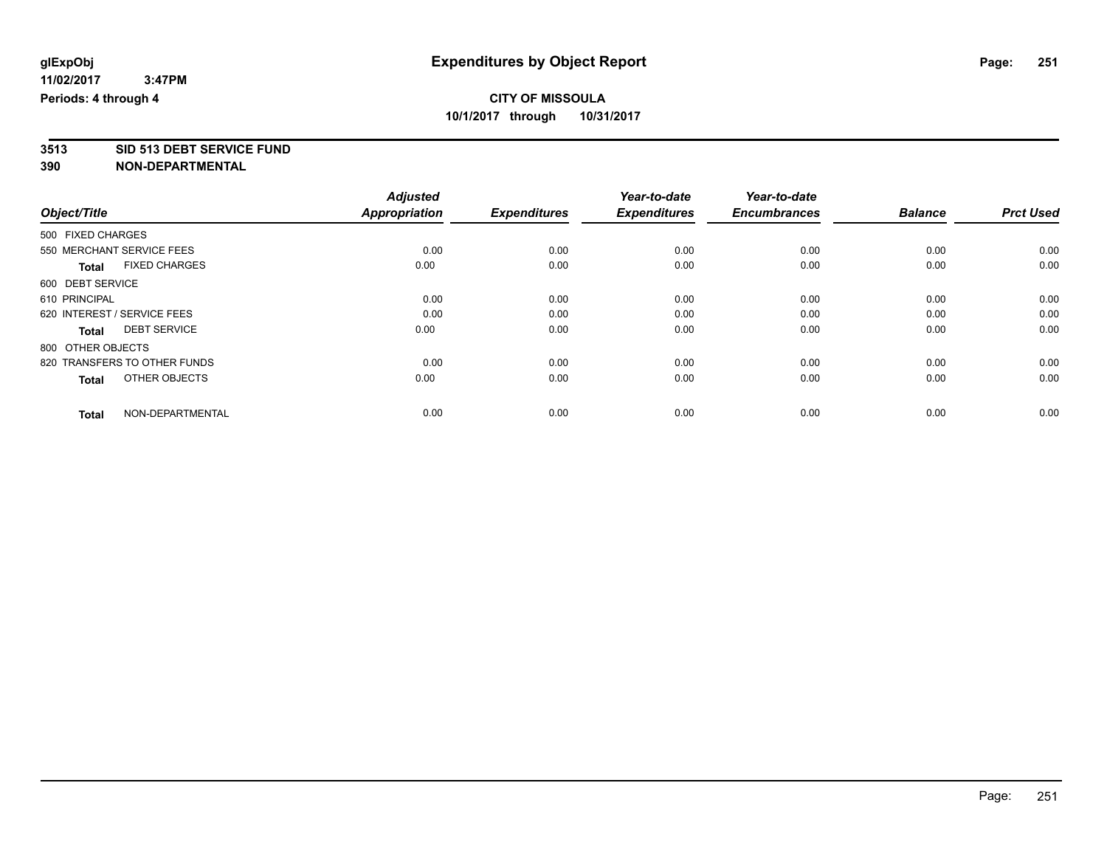# **3513 SID 513 DEBT SERVICE FUND**

|                                      | <b>Adjusted</b>      |                     | Year-to-date        | Year-to-date        |                |                  |
|--------------------------------------|----------------------|---------------------|---------------------|---------------------|----------------|------------------|
| Object/Title                         | <b>Appropriation</b> | <b>Expenditures</b> | <b>Expenditures</b> | <b>Encumbrances</b> | <b>Balance</b> | <b>Prct Used</b> |
| 500 FIXED CHARGES                    |                      |                     |                     |                     |                |                  |
| 550 MERCHANT SERVICE FEES            | 0.00                 | 0.00                | 0.00                | 0.00                | 0.00           | 0.00             |
| <b>FIXED CHARGES</b><br><b>Total</b> | 0.00                 | 0.00                | 0.00                | 0.00                | 0.00           | 0.00             |
| 600 DEBT SERVICE                     |                      |                     |                     |                     |                |                  |
| 610 PRINCIPAL                        | 0.00                 | 0.00                | 0.00                | 0.00                | 0.00           | 0.00             |
| 620 INTEREST / SERVICE FEES          | 0.00                 | 0.00                | 0.00                | 0.00                | 0.00           | 0.00             |
| <b>DEBT SERVICE</b><br>Total         | 0.00                 | 0.00                | 0.00                | 0.00                | 0.00           | 0.00             |
| 800 OTHER OBJECTS                    |                      |                     |                     |                     |                |                  |
| 820 TRANSFERS TO OTHER FUNDS         | 0.00                 | 0.00                | 0.00                | 0.00                | 0.00           | 0.00             |
| OTHER OBJECTS<br><b>Total</b>        | 0.00                 | 0.00                | 0.00                | 0.00                | 0.00           | 0.00             |
|                                      |                      |                     |                     |                     |                |                  |
| NON-DEPARTMENTAL<br><b>Total</b>     | 0.00                 | 0.00                | 0.00                | 0.00                | 0.00           | 0.00             |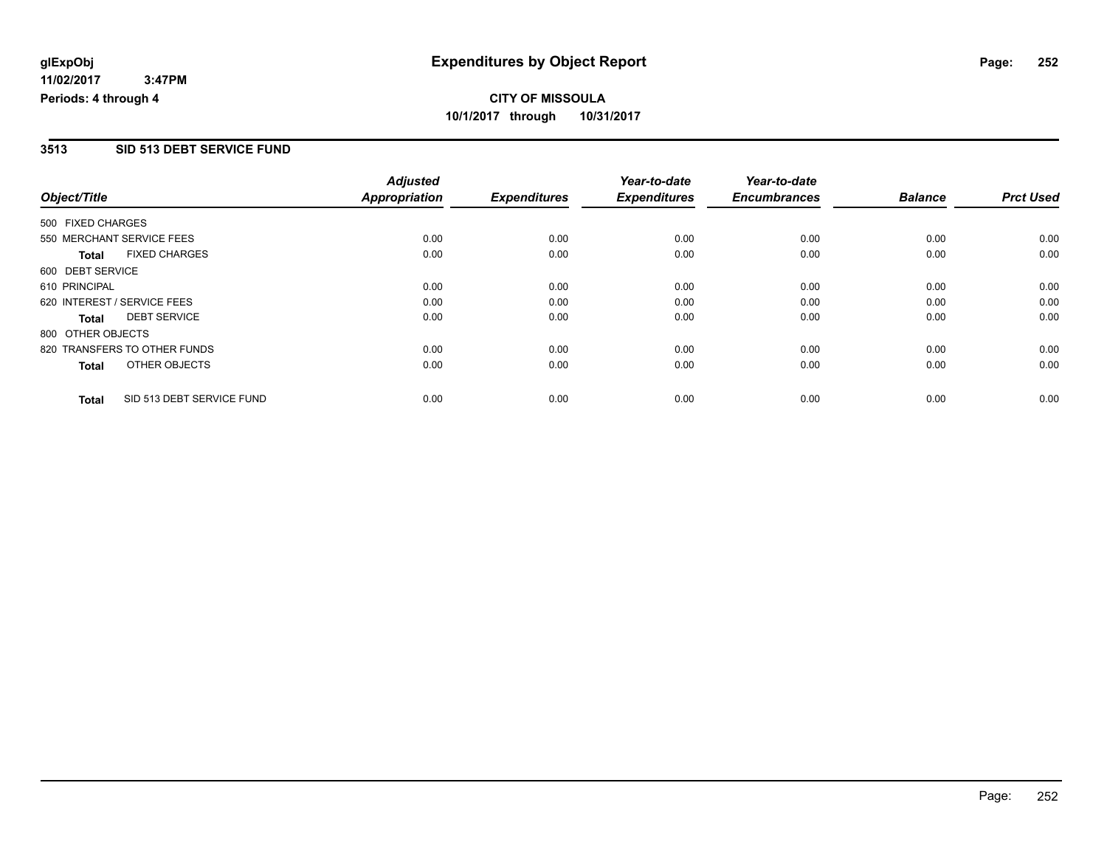### **3513 SID 513 DEBT SERVICE FUND**

|                              |                           | <b>Adjusted</b>      |                     | Year-to-date        | Year-to-date        |                |                  |
|------------------------------|---------------------------|----------------------|---------------------|---------------------|---------------------|----------------|------------------|
| Object/Title                 |                           | <b>Appropriation</b> | <b>Expenditures</b> | <b>Expenditures</b> | <b>Encumbrances</b> | <b>Balance</b> | <b>Prct Used</b> |
| 500 FIXED CHARGES            |                           |                      |                     |                     |                     |                |                  |
| 550 MERCHANT SERVICE FEES    |                           | 0.00                 | 0.00                | 0.00                | 0.00                | 0.00           | 0.00             |
| <b>Total</b>                 | <b>FIXED CHARGES</b>      | 0.00                 | 0.00                | 0.00                | 0.00                | 0.00           | 0.00             |
| 600 DEBT SERVICE             |                           |                      |                     |                     |                     |                |                  |
| 610 PRINCIPAL                |                           | 0.00                 | 0.00                | 0.00                | 0.00                | 0.00           | 0.00             |
| 620 INTEREST / SERVICE FEES  |                           | 0.00                 | 0.00                | 0.00                | 0.00                | 0.00           | 0.00             |
| Total                        | <b>DEBT SERVICE</b>       | 0.00                 | 0.00                | 0.00                | 0.00                | 0.00           | 0.00             |
| 800 OTHER OBJECTS            |                           |                      |                     |                     |                     |                |                  |
| 820 TRANSFERS TO OTHER FUNDS |                           | 0.00                 | 0.00                | 0.00                | 0.00                | 0.00           | 0.00             |
| Total                        | OTHER OBJECTS             | 0.00                 | 0.00                | 0.00                | 0.00                | 0.00           | 0.00             |
| <b>Total</b>                 | SID 513 DEBT SERVICE FUND | 0.00                 | 0.00                | 0.00                | 0.00                | 0.00           | 0.00             |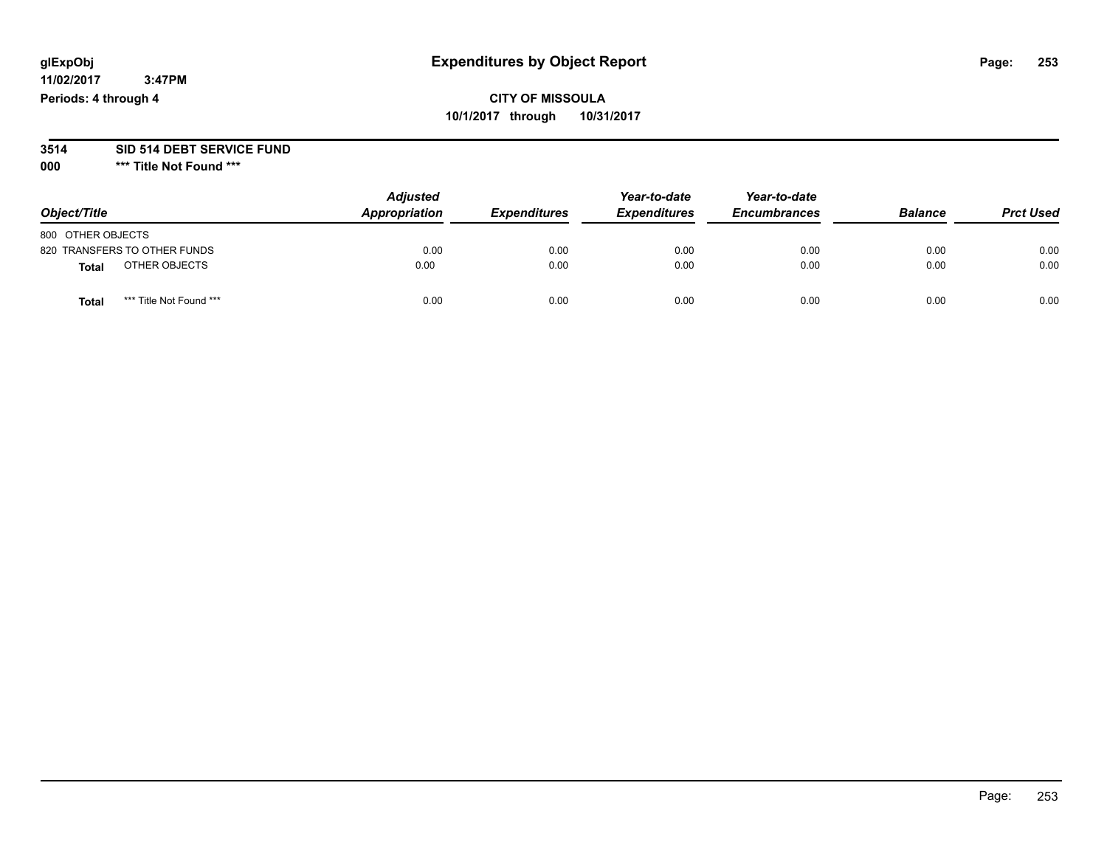#### **11/02/2017 3:47PM Periods: 4 through 4**

# **CITY OF MISSOULA 10/1/2017 through 10/31/2017**

#### **3514 SID 514 DEBT SERVICE FUND**

**000 \*\*\* Title Not Found \*\*\***

| Object/Title                     | <b>Adjusted</b><br>Appropriation | <b>Expenditures</b> | Year-to-date<br><b>Expenditures</b> | Year-to-date<br><b>Encumbrances</b> | <b>Balance</b> | <b>Prct Used</b> |
|----------------------------------|----------------------------------|---------------------|-------------------------------------|-------------------------------------|----------------|------------------|
| 800 OTHER OBJECTS                |                                  |                     |                                     |                                     |                |                  |
| 820 TRANSFERS TO OTHER FUNDS     | 0.00                             | 0.00                | 0.00                                | 0.00                                | 0.00           | 0.00             |
| OTHER OBJECTS<br>Total           | 0.00                             | 0.00                | 0.00                                | 0.00                                | 0.00           | 0.00             |
| *** Title Not Found ***<br>Total | 0.00                             | 0.00                | 0.00                                | 0.00                                | 0.00           | 0.00             |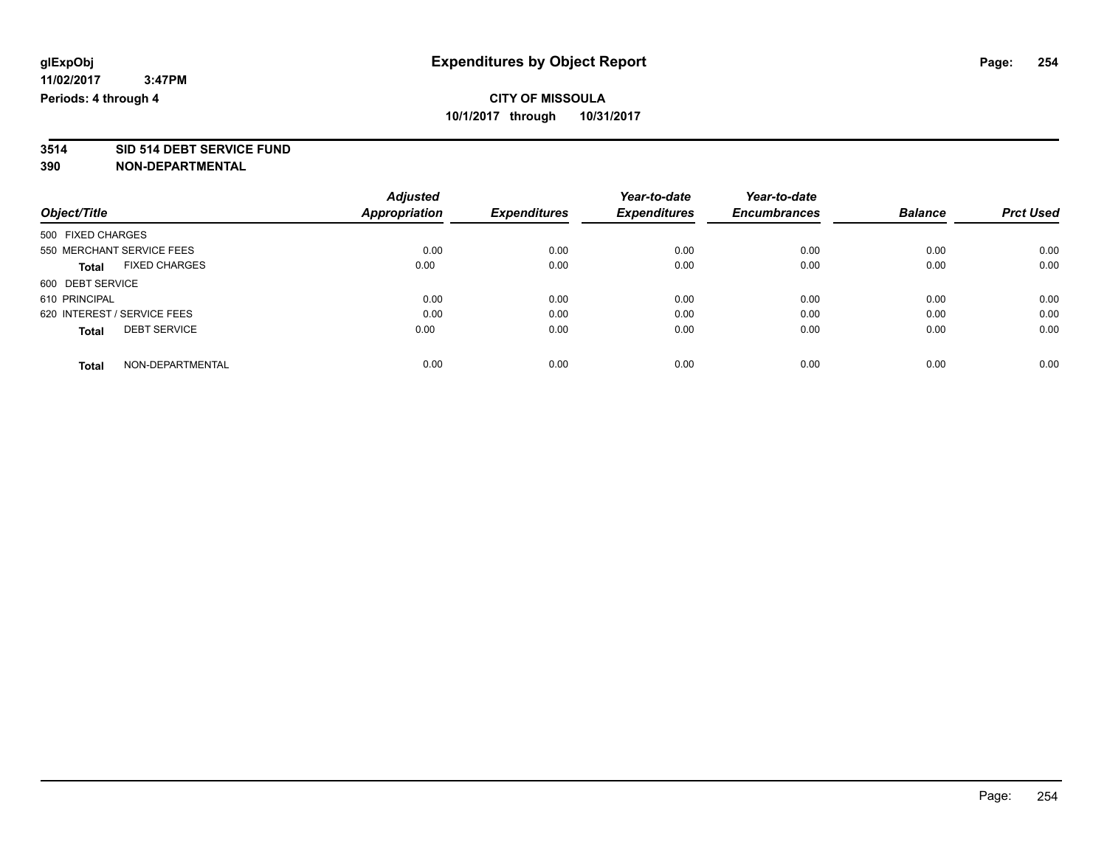# **3514 SID 514 DEBT SERVICE FUND**

|                             |                           | <b>Adjusted</b>      |                     | Year-to-date        | Year-to-date        |                |                  |
|-----------------------------|---------------------------|----------------------|---------------------|---------------------|---------------------|----------------|------------------|
| Object/Title                |                           | <b>Appropriation</b> | <b>Expenditures</b> | <b>Expenditures</b> | <b>Encumbrances</b> | <b>Balance</b> | <b>Prct Used</b> |
| 500 FIXED CHARGES           |                           |                      |                     |                     |                     |                |                  |
|                             | 550 MERCHANT SERVICE FEES | 0.00                 | 0.00                | 0.00                | 0.00                | 0.00           | 0.00             |
| <b>Total</b>                | <b>FIXED CHARGES</b>      | 0.00                 | 0.00                | 0.00                | 0.00                | 0.00           | 0.00             |
| 600 DEBT SERVICE            |                           |                      |                     |                     |                     |                |                  |
| 610 PRINCIPAL               |                           | 0.00                 | 0.00                | 0.00                | 0.00                | 0.00           | 0.00             |
| 620 INTEREST / SERVICE FEES |                           | 0.00                 | 0.00                | 0.00                | 0.00                | 0.00           | 0.00             |
| <b>Total</b>                | <b>DEBT SERVICE</b>       | 0.00                 | 0.00                | 0.00                | 0.00                | 0.00           | 0.00             |
| <b>Total</b>                | NON-DEPARTMENTAL          | 0.00                 | 0.00                | 0.00                | 0.00                | 0.00           | 0.00             |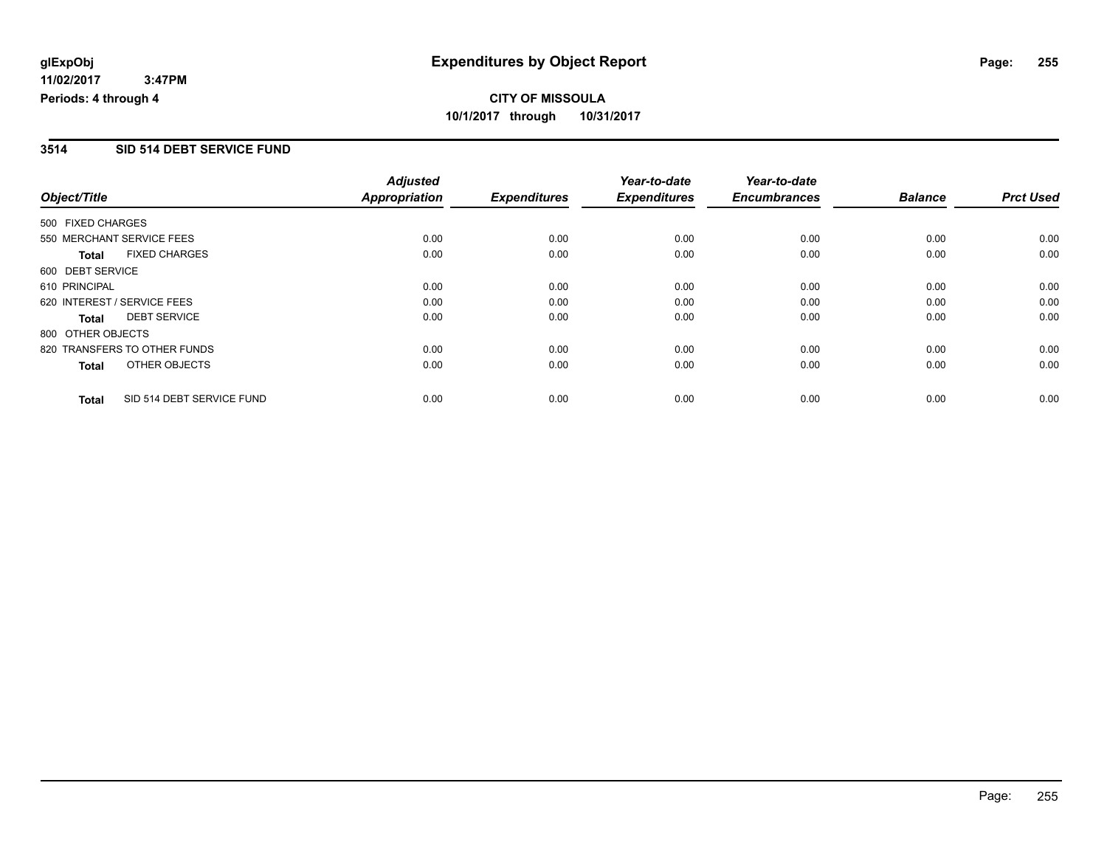### **3514 SID 514 DEBT SERVICE FUND**

|                             |                              | <b>Adjusted</b>      |                     | Year-to-date        | Year-to-date        |                |                  |
|-----------------------------|------------------------------|----------------------|---------------------|---------------------|---------------------|----------------|------------------|
| Object/Title                |                              | <b>Appropriation</b> | <b>Expenditures</b> | <b>Expenditures</b> | <b>Encumbrances</b> | <b>Balance</b> | <b>Prct Used</b> |
| 500 FIXED CHARGES           |                              |                      |                     |                     |                     |                |                  |
|                             | 550 MERCHANT SERVICE FEES    | 0.00                 | 0.00                | 0.00                | 0.00                | 0.00           | 0.00             |
| <b>Total</b>                | <b>FIXED CHARGES</b>         | 0.00                 | 0.00                | 0.00                | 0.00                | 0.00           | 0.00             |
| 600 DEBT SERVICE            |                              |                      |                     |                     |                     |                |                  |
| 610 PRINCIPAL               |                              | 0.00                 | 0.00                | 0.00                | 0.00                | 0.00           | 0.00             |
| 620 INTEREST / SERVICE FEES |                              | 0.00                 | 0.00                | 0.00                | 0.00                | 0.00           | 0.00             |
| Total                       | <b>DEBT SERVICE</b>          | 0.00                 | 0.00                | 0.00                | 0.00                | 0.00           | 0.00             |
| 800 OTHER OBJECTS           |                              |                      |                     |                     |                     |                |                  |
|                             | 820 TRANSFERS TO OTHER FUNDS | 0.00                 | 0.00                | 0.00                | 0.00                | 0.00           | 0.00             |
| Total                       | OTHER OBJECTS                | 0.00                 | 0.00                | 0.00                | 0.00                | 0.00           | 0.00             |
| <b>Total</b>                | SID 514 DEBT SERVICE FUND    | 0.00                 | 0.00                | 0.00                | 0.00                | 0.00           | 0.00             |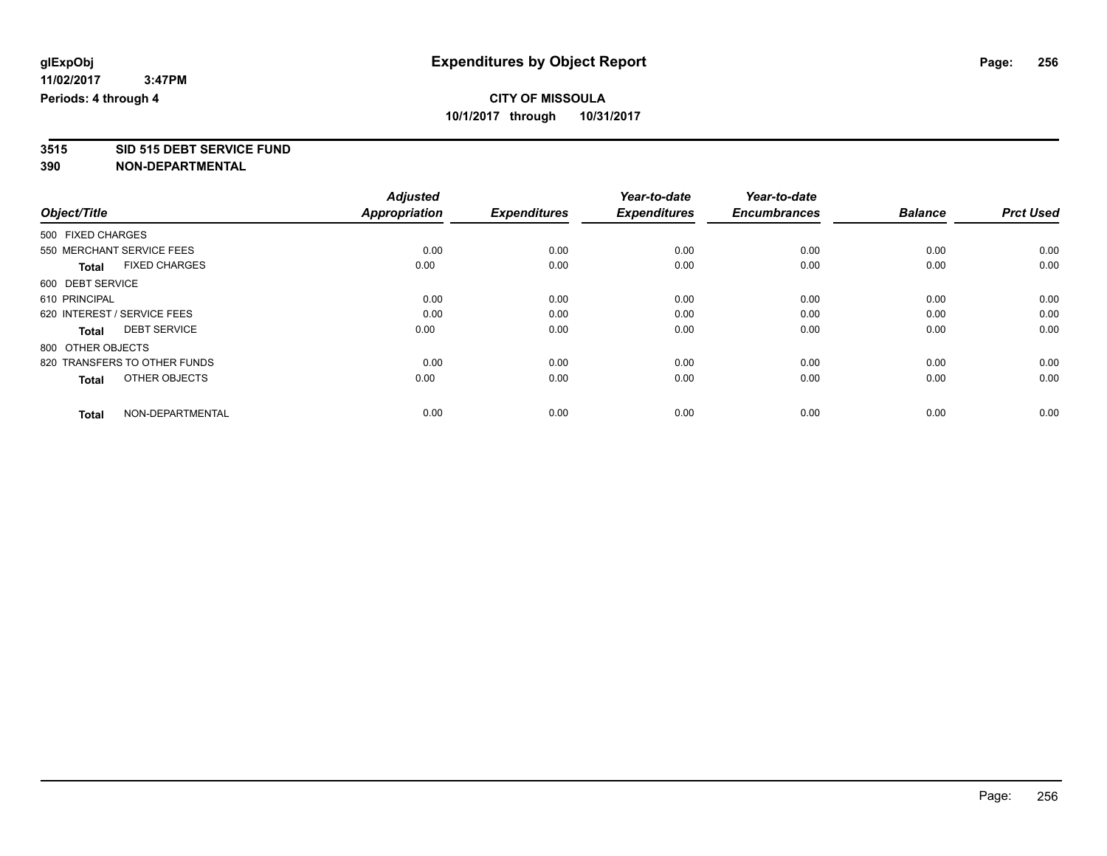# **3515 SID 515 DEBT SERVICE FUND**

|                                      | <b>Adjusted</b>      |                     | Year-to-date        | Year-to-date        |                |                  |
|--------------------------------------|----------------------|---------------------|---------------------|---------------------|----------------|------------------|
| Object/Title                         | <b>Appropriation</b> | <b>Expenditures</b> | <b>Expenditures</b> | <b>Encumbrances</b> | <b>Balance</b> | <b>Prct Used</b> |
| 500 FIXED CHARGES                    |                      |                     |                     |                     |                |                  |
| 550 MERCHANT SERVICE FEES            | 0.00                 | 0.00                | 0.00                | 0.00                | 0.00           | 0.00             |
| <b>FIXED CHARGES</b><br><b>Total</b> | 0.00                 | 0.00                | 0.00                | 0.00                | 0.00           | 0.00             |
| 600 DEBT SERVICE                     |                      |                     |                     |                     |                |                  |
| 610 PRINCIPAL                        | 0.00                 | 0.00                | 0.00                | 0.00                | 0.00           | 0.00             |
| 620 INTEREST / SERVICE FEES          | 0.00                 | 0.00                | 0.00                | 0.00                | 0.00           | 0.00             |
| <b>DEBT SERVICE</b><br><b>Total</b>  | 0.00                 | 0.00                | 0.00                | 0.00                | 0.00           | 0.00             |
| 800 OTHER OBJECTS                    |                      |                     |                     |                     |                |                  |
| 820 TRANSFERS TO OTHER FUNDS         | 0.00                 | 0.00                | 0.00                | 0.00                | 0.00           | 0.00             |
| OTHER OBJECTS<br><b>Total</b>        | 0.00                 | 0.00                | 0.00                | 0.00                | 0.00           | 0.00             |
|                                      |                      |                     |                     |                     |                |                  |
| NON-DEPARTMENTAL<br><b>Total</b>     | 0.00                 | 0.00                | 0.00                | 0.00                | 0.00           | 0.00             |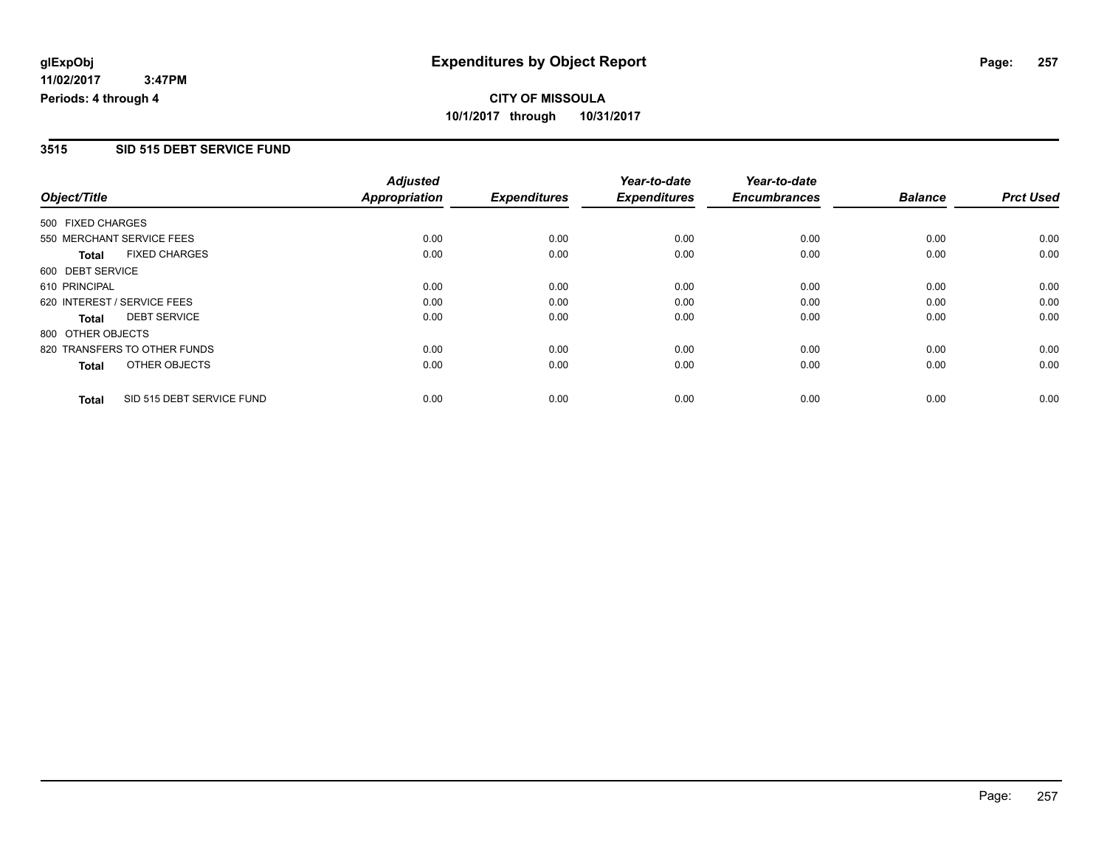### **3515 SID 515 DEBT SERVICE FUND**

|                   |                              | <b>Adjusted</b>      |                     | Year-to-date        | Year-to-date        |                |                  |
|-------------------|------------------------------|----------------------|---------------------|---------------------|---------------------|----------------|------------------|
| Object/Title      |                              | <b>Appropriation</b> | <b>Expenditures</b> | <b>Expenditures</b> | <b>Encumbrances</b> | <b>Balance</b> | <b>Prct Used</b> |
| 500 FIXED CHARGES |                              |                      |                     |                     |                     |                |                  |
|                   | 550 MERCHANT SERVICE FEES    | 0.00                 | 0.00                | 0.00                | 0.00                | 0.00           | 0.00             |
| <b>Total</b>      | <b>FIXED CHARGES</b>         | 0.00                 | 0.00                | 0.00                | 0.00                | 0.00           | 0.00             |
| 600 DEBT SERVICE  |                              |                      |                     |                     |                     |                |                  |
| 610 PRINCIPAL     |                              | 0.00                 | 0.00                | 0.00                | 0.00                | 0.00           | 0.00             |
|                   | 620 INTEREST / SERVICE FEES  | 0.00                 | 0.00                | 0.00                | 0.00                | 0.00           | 0.00             |
| Total             | <b>DEBT SERVICE</b>          | 0.00                 | 0.00                | 0.00                | 0.00                | 0.00           | 0.00             |
| 800 OTHER OBJECTS |                              |                      |                     |                     |                     |                |                  |
|                   | 820 TRANSFERS TO OTHER FUNDS | 0.00                 | 0.00                | 0.00                | 0.00                | 0.00           | 0.00             |
| Total             | OTHER OBJECTS                | 0.00                 | 0.00                | 0.00                | 0.00                | 0.00           | 0.00             |
| <b>Total</b>      | SID 515 DEBT SERVICE FUND    | 0.00                 | 0.00                | 0.00                | 0.00                | 0.00           | 0.00             |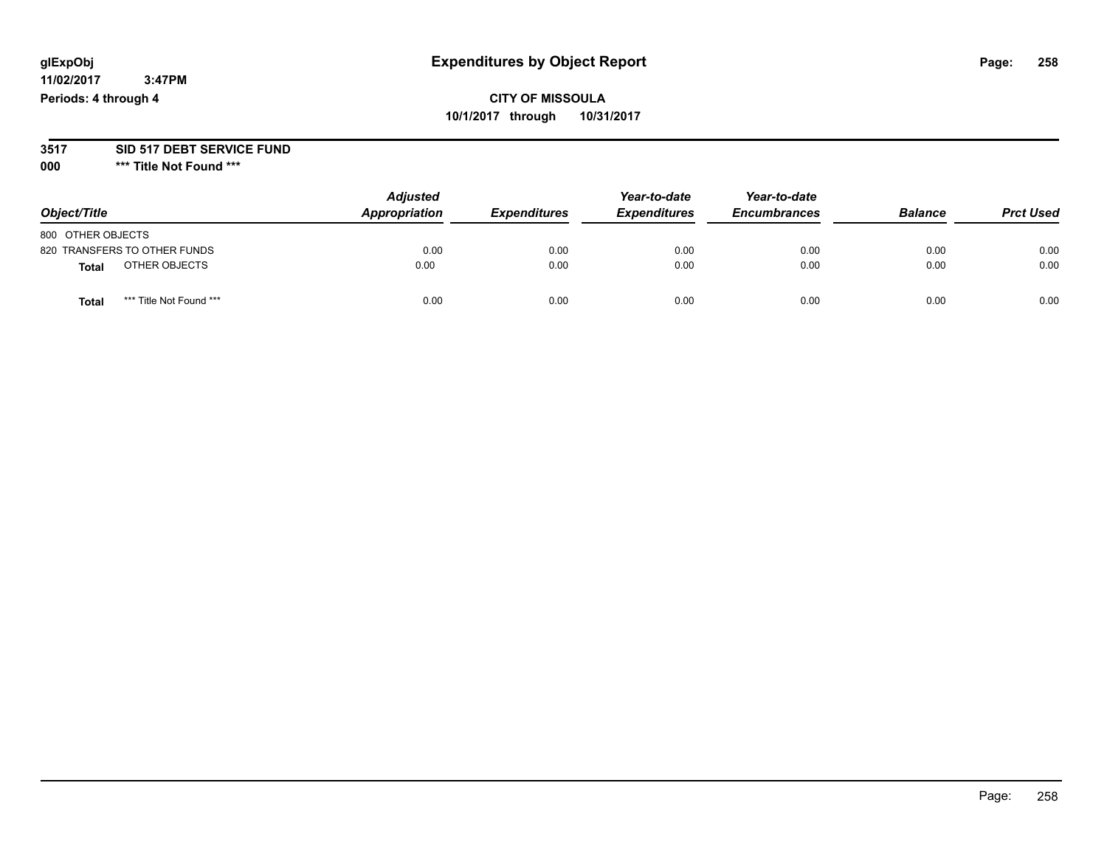#### **11/02/2017 3:47PM Periods: 4 through 4**

# **CITY OF MISSOULA 10/1/2017 through 10/31/2017**

### **3517 SID 517 DEBT SERVICE FUND**

**000 \*\*\* Title Not Found \*\*\***

| Object/Title                            | <b>Adjusted</b><br>Appropriation | <b>Expenditures</b> | Year-to-date<br><b>Expenditures</b> | Year-to-date<br><b>Encumbrances</b> | <b>Balance</b> | <b>Prct Used</b> |
|-----------------------------------------|----------------------------------|---------------------|-------------------------------------|-------------------------------------|----------------|------------------|
| 800 OTHER OBJECTS                       |                                  |                     |                                     |                                     |                |                  |
| 820 TRANSFERS TO OTHER FUNDS            | 0.00                             | 0.00                | 0.00                                | 0.00                                | 0.00           | 0.00             |
| OTHER OBJECTS<br><b>Total</b>           | 0.00                             | 0.00                | 0.00                                | 0.00                                | 0.00           | 0.00             |
| *** Title Not Found ***<br><b>Total</b> | 0.00                             | 0.00                | 0.00                                | 0.00                                | 0.00           | 0.00             |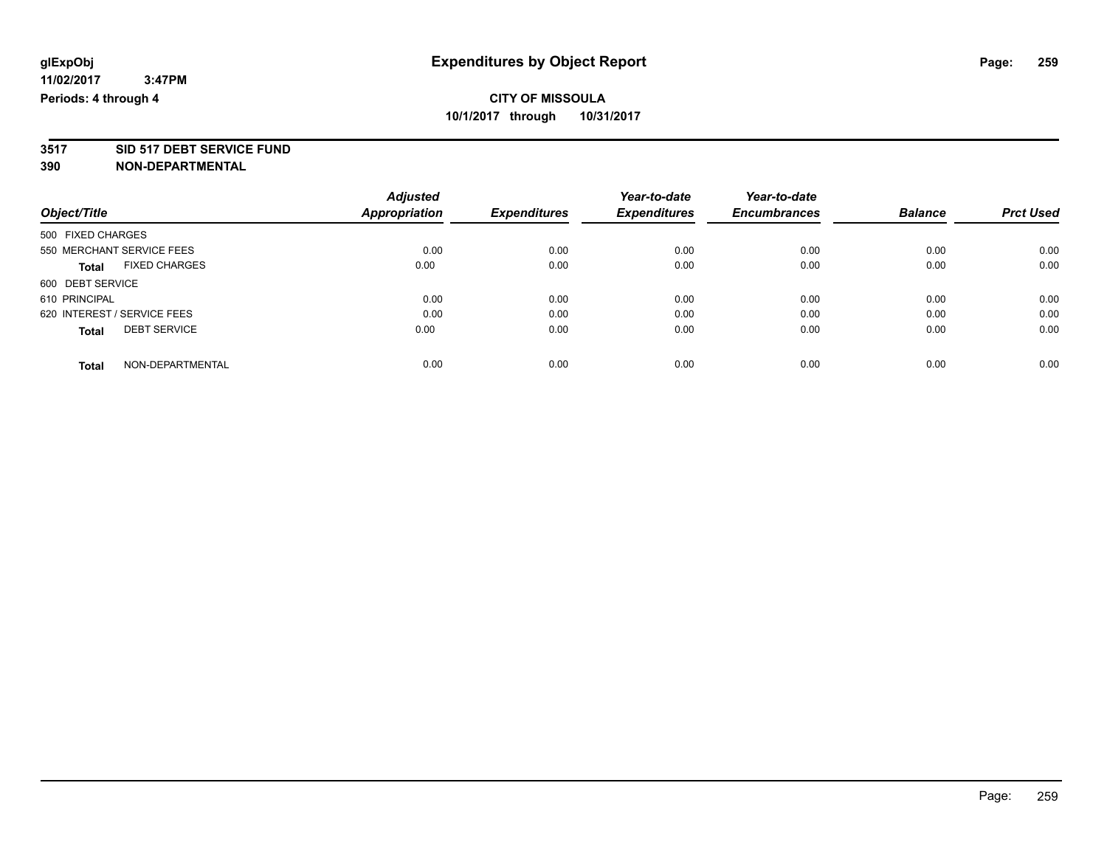# **3517 SID 517 DEBT SERVICE FUND**

|                                      | <b>Adjusted</b> |                     | Year-to-date        | Year-to-date        |                |                  |
|--------------------------------------|-----------------|---------------------|---------------------|---------------------|----------------|------------------|
| Object/Title                         | Appropriation   | <b>Expenditures</b> | <b>Expenditures</b> | <b>Encumbrances</b> | <b>Balance</b> | <b>Prct Used</b> |
| 500 FIXED CHARGES                    |                 |                     |                     |                     |                |                  |
| 550 MERCHANT SERVICE FEES            | 0.00            | 0.00                | 0.00                | 0.00                | 0.00           | 0.00             |
| <b>FIXED CHARGES</b><br><b>Total</b> | 0.00            | 0.00                | 0.00                | 0.00                | 0.00           | 0.00             |
| 600 DEBT SERVICE                     |                 |                     |                     |                     |                |                  |
| 610 PRINCIPAL                        | 0.00            | 0.00                | 0.00                | 0.00                | 0.00           | 0.00             |
| 620 INTEREST / SERVICE FEES          | 0.00            | 0.00                | 0.00                | 0.00                | 0.00           | 0.00             |
| <b>DEBT SERVICE</b><br><b>Total</b>  | 0.00            | 0.00                | 0.00                | 0.00                | 0.00           | 0.00             |
| NON-DEPARTMENTAL<br><b>Total</b>     | 0.00            | 0.00                | 0.00                | 0.00                | 0.00           | 0.00             |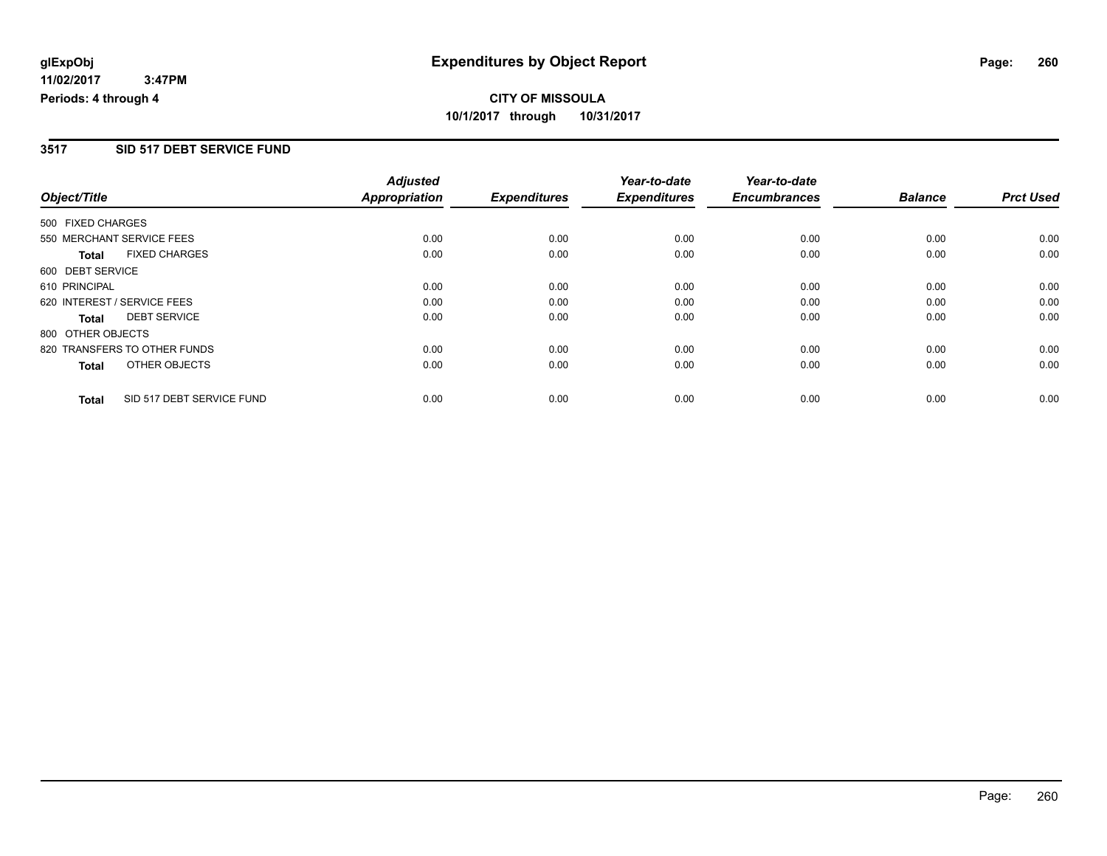### **3517 SID 517 DEBT SERVICE FUND**

|                             |                              | <b>Adjusted</b>      |                     | Year-to-date        | Year-to-date        |                |                  |
|-----------------------------|------------------------------|----------------------|---------------------|---------------------|---------------------|----------------|------------------|
| Object/Title                |                              | <b>Appropriation</b> | <b>Expenditures</b> | <b>Expenditures</b> | <b>Encumbrances</b> | <b>Balance</b> | <b>Prct Used</b> |
| 500 FIXED CHARGES           |                              |                      |                     |                     |                     |                |                  |
|                             | 550 MERCHANT SERVICE FEES    | 0.00                 | 0.00                | 0.00                | 0.00                | 0.00           | 0.00             |
| <b>Total</b>                | <b>FIXED CHARGES</b>         | 0.00                 | 0.00                | 0.00                | 0.00                | 0.00           | 0.00             |
| 600 DEBT SERVICE            |                              |                      |                     |                     |                     |                |                  |
| 610 PRINCIPAL               |                              | 0.00                 | 0.00                | 0.00                | 0.00                | 0.00           | 0.00             |
| 620 INTEREST / SERVICE FEES |                              | 0.00                 | 0.00                | 0.00                | 0.00                | 0.00           | 0.00             |
| Total                       | <b>DEBT SERVICE</b>          | 0.00                 | 0.00                | 0.00                | 0.00                | 0.00           | 0.00             |
| 800 OTHER OBJECTS           |                              |                      |                     |                     |                     |                |                  |
|                             | 820 TRANSFERS TO OTHER FUNDS | 0.00                 | 0.00                | 0.00                | 0.00                | 0.00           | 0.00             |
| Total                       | OTHER OBJECTS                | 0.00                 | 0.00                | 0.00                | 0.00                | 0.00           | 0.00             |
| <b>Total</b>                | SID 517 DEBT SERVICE FUND    | 0.00                 | 0.00                | 0.00                | 0.00                | 0.00           | 0.00             |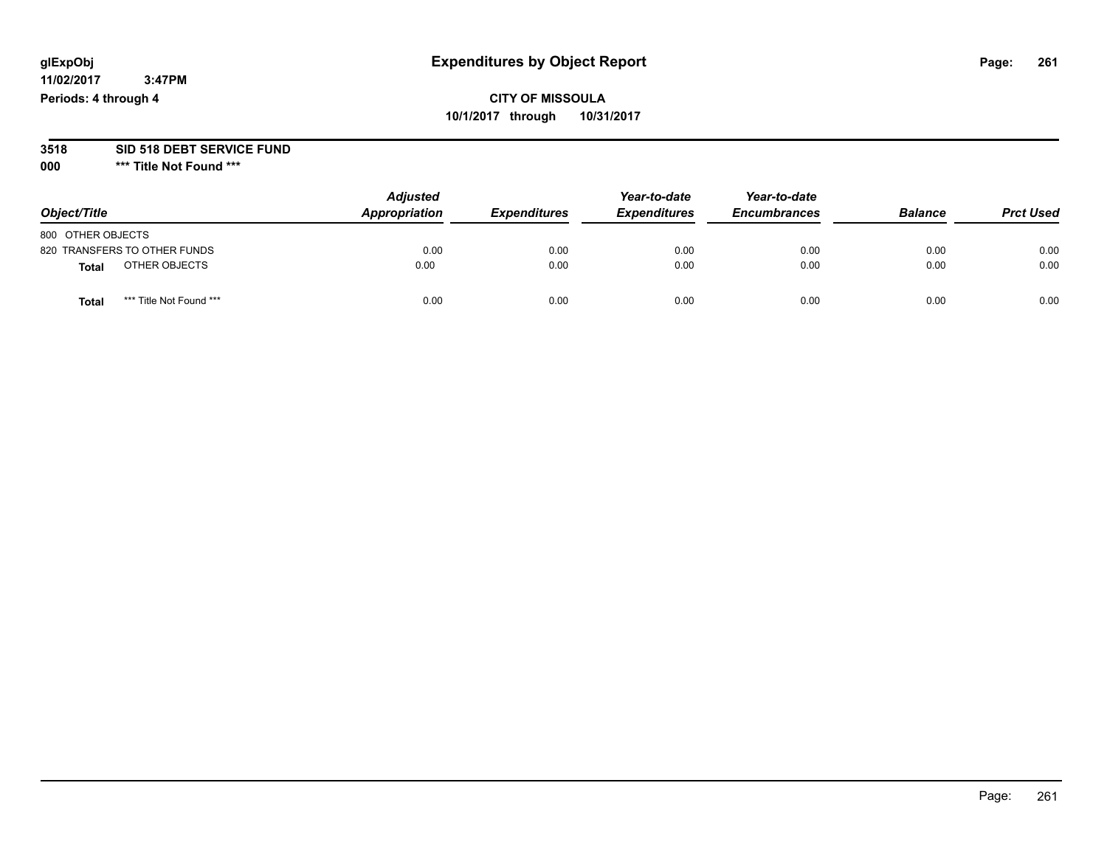#### **11/02/2017 3:47PM Periods: 4 through 4**

# **CITY OF MISSOULA 10/1/2017 through 10/31/2017**

# **3518 SID 518 DEBT SERVICE FUND**

**000 \*\*\* Title Not Found \*\*\***

| Object/Title                     | <b>Adjusted</b><br>Appropriation | <b>Expenditures</b> | Year-to-date<br><b>Expenditures</b> | Year-to-date<br><b>Encumbrances</b> | <b>Balance</b> | <b>Prct Used</b> |
|----------------------------------|----------------------------------|---------------------|-------------------------------------|-------------------------------------|----------------|------------------|
| 800 OTHER OBJECTS                |                                  |                     |                                     |                                     |                |                  |
| 820 TRANSFERS TO OTHER FUNDS     | 0.00                             | 0.00                | 0.00                                | 0.00                                | 0.00           | 0.00             |
| OTHER OBJECTS<br><b>Total</b>    | 0.00                             | 0.00                | 0.00                                | 0.00                                | 0.00           | 0.00             |
| *** Title Not Found ***<br>Total | 0.00                             | 0.00                | 0.00                                | 0.00                                | 0.00           | 0.00             |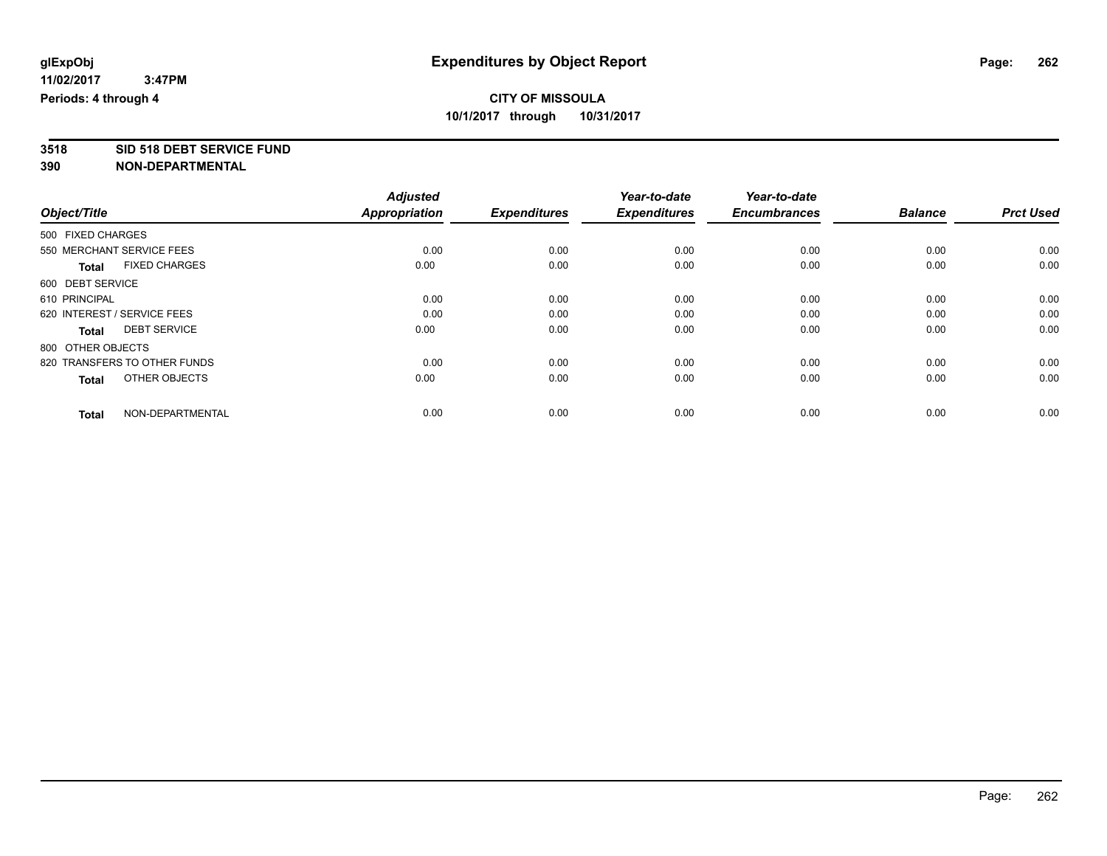# **3518 SID 518 DEBT SERVICE FUND**

|                                      | <b>Adjusted</b>      |                     | Year-to-date        | Year-to-date        |                |                  |
|--------------------------------------|----------------------|---------------------|---------------------|---------------------|----------------|------------------|
| Object/Title                         | <b>Appropriation</b> | <b>Expenditures</b> | <b>Expenditures</b> | <b>Encumbrances</b> | <b>Balance</b> | <b>Prct Used</b> |
| 500 FIXED CHARGES                    |                      |                     |                     |                     |                |                  |
| 550 MERCHANT SERVICE FEES            | 0.00                 | 0.00                | 0.00                | 0.00                | 0.00           | 0.00             |
| <b>FIXED CHARGES</b><br><b>Total</b> | 0.00                 | 0.00                | 0.00                | 0.00                | 0.00           | 0.00             |
| 600 DEBT SERVICE                     |                      |                     |                     |                     |                |                  |
| 610 PRINCIPAL                        | 0.00                 | 0.00                | 0.00                | 0.00                | 0.00           | 0.00             |
| 620 INTEREST / SERVICE FEES          | 0.00                 | 0.00                | 0.00                | 0.00                | 0.00           | 0.00             |
| <b>DEBT SERVICE</b><br><b>Total</b>  | 0.00                 | 0.00                | 0.00                | 0.00                | 0.00           | 0.00             |
| 800 OTHER OBJECTS                    |                      |                     |                     |                     |                |                  |
| 820 TRANSFERS TO OTHER FUNDS         | 0.00                 | 0.00                | 0.00                | 0.00                | 0.00           | 0.00             |
| OTHER OBJECTS<br><b>Total</b>        | 0.00                 | 0.00                | 0.00                | 0.00                | 0.00           | 0.00             |
|                                      |                      |                     |                     |                     |                |                  |
| NON-DEPARTMENTAL<br><b>Total</b>     | 0.00                 | 0.00                | 0.00                | 0.00                | 0.00           | 0.00             |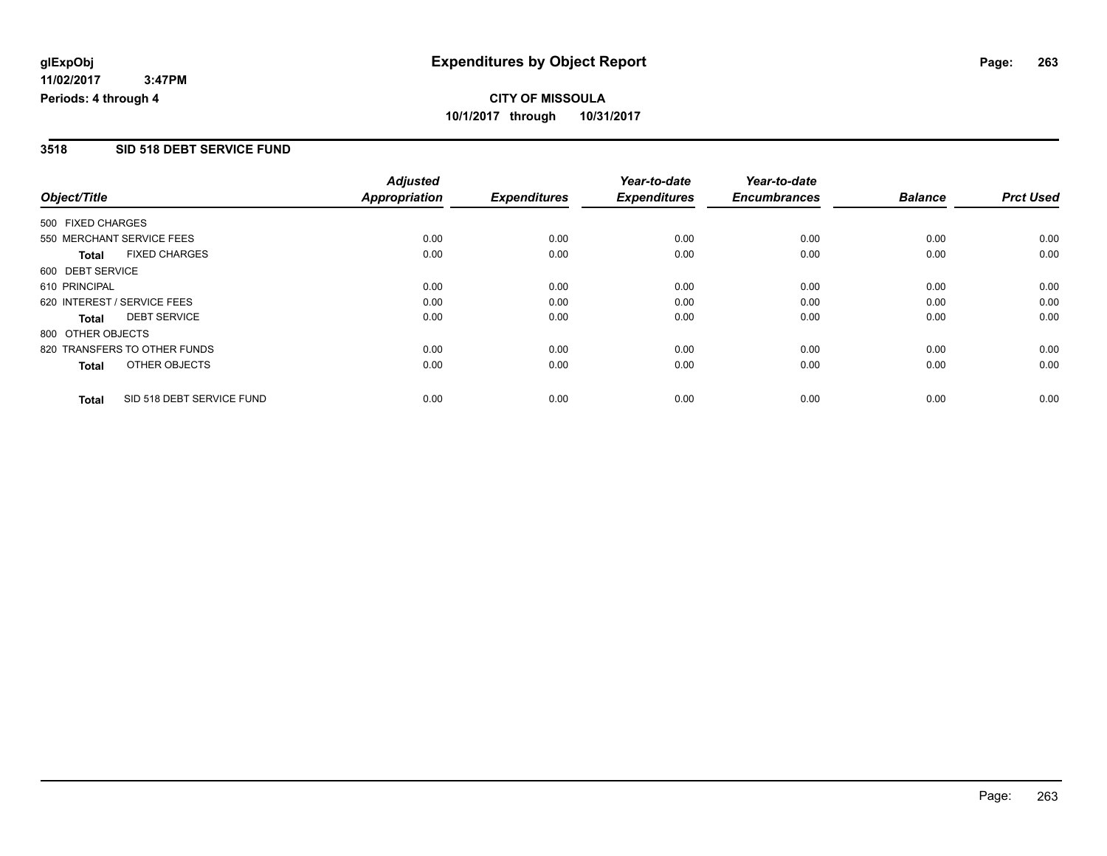### **3518 SID 518 DEBT SERVICE FUND**

|                             |                              | <b>Adjusted</b>      |                     | Year-to-date        | Year-to-date        |                |                  |
|-----------------------------|------------------------------|----------------------|---------------------|---------------------|---------------------|----------------|------------------|
| Object/Title                |                              | <b>Appropriation</b> | <b>Expenditures</b> | <b>Expenditures</b> | <b>Encumbrances</b> | <b>Balance</b> | <b>Prct Used</b> |
| 500 FIXED CHARGES           |                              |                      |                     |                     |                     |                |                  |
|                             | 550 MERCHANT SERVICE FEES    | 0.00                 | 0.00                | 0.00                | 0.00                | 0.00           | 0.00             |
| <b>Total</b>                | <b>FIXED CHARGES</b>         | 0.00                 | 0.00                | 0.00                | 0.00                | 0.00           | 0.00             |
| 600 DEBT SERVICE            |                              |                      |                     |                     |                     |                |                  |
| 610 PRINCIPAL               |                              | 0.00                 | 0.00                | 0.00                | 0.00                | 0.00           | 0.00             |
| 620 INTEREST / SERVICE FEES |                              | 0.00                 | 0.00                | 0.00                | 0.00                | 0.00           | 0.00             |
| Total                       | <b>DEBT SERVICE</b>          | 0.00                 | 0.00                | 0.00                | 0.00                | 0.00           | 0.00             |
| 800 OTHER OBJECTS           |                              |                      |                     |                     |                     |                |                  |
|                             | 820 TRANSFERS TO OTHER FUNDS | 0.00                 | 0.00                | 0.00                | 0.00                | 0.00           | 0.00             |
| Total                       | OTHER OBJECTS                | 0.00                 | 0.00                | 0.00                | 0.00                | 0.00           | 0.00             |
| <b>Total</b>                | SID 518 DEBT SERVICE FUND    | 0.00                 | 0.00                | 0.00                | 0.00                | 0.00           | 0.00             |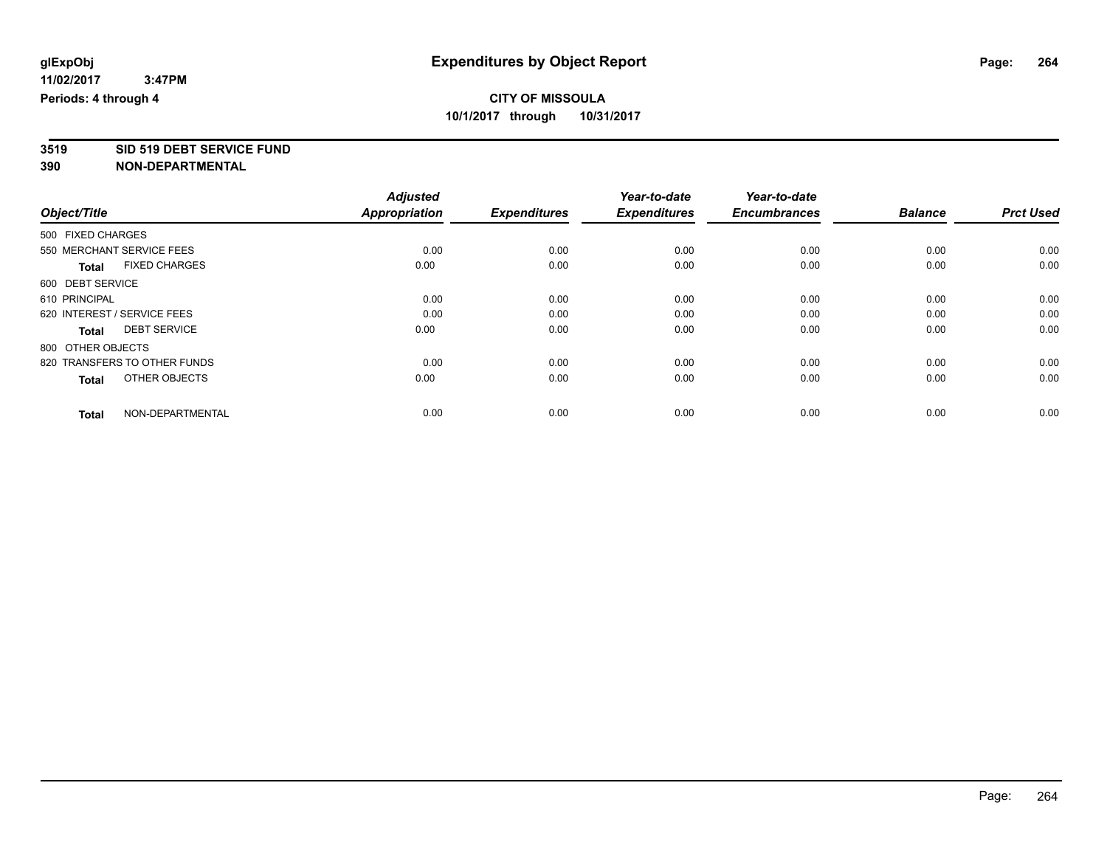# **3519 SID 519 DEBT SERVICE FUND**

|                                      | <b>Adjusted</b> |                     | Year-to-date        | Year-to-date        |                |                  |
|--------------------------------------|-----------------|---------------------|---------------------|---------------------|----------------|------------------|
| Object/Title                         | Appropriation   | <b>Expenditures</b> | <b>Expenditures</b> | <b>Encumbrances</b> | <b>Balance</b> | <b>Prct Used</b> |
| 500 FIXED CHARGES                    |                 |                     |                     |                     |                |                  |
| 550 MERCHANT SERVICE FEES            | 0.00            | 0.00                | 0.00                | 0.00                | 0.00           | 0.00             |
| <b>FIXED CHARGES</b><br><b>Total</b> | 0.00            | 0.00                | 0.00                | 0.00                | 0.00           | 0.00             |
| 600 DEBT SERVICE                     |                 |                     |                     |                     |                |                  |
| 610 PRINCIPAL                        | 0.00            | 0.00                | 0.00                | 0.00                | 0.00           | 0.00             |
| 620 INTEREST / SERVICE FEES          | 0.00            | 0.00                | 0.00                | 0.00                | 0.00           | 0.00             |
| <b>DEBT SERVICE</b><br><b>Total</b>  | 0.00            | 0.00                | 0.00                | 0.00                | 0.00           | 0.00             |
| 800 OTHER OBJECTS                    |                 |                     |                     |                     |                |                  |
| 820 TRANSFERS TO OTHER FUNDS         | 0.00            | 0.00                | 0.00                | 0.00                | 0.00           | 0.00             |
| OTHER OBJECTS<br><b>Total</b>        | 0.00            | 0.00                | 0.00                | 0.00                | 0.00           | 0.00             |
|                                      |                 |                     |                     |                     |                |                  |
| NON-DEPARTMENTAL<br><b>Total</b>     | 0.00            | 0.00                | 0.00                | 0.00                | 0.00           | 0.00             |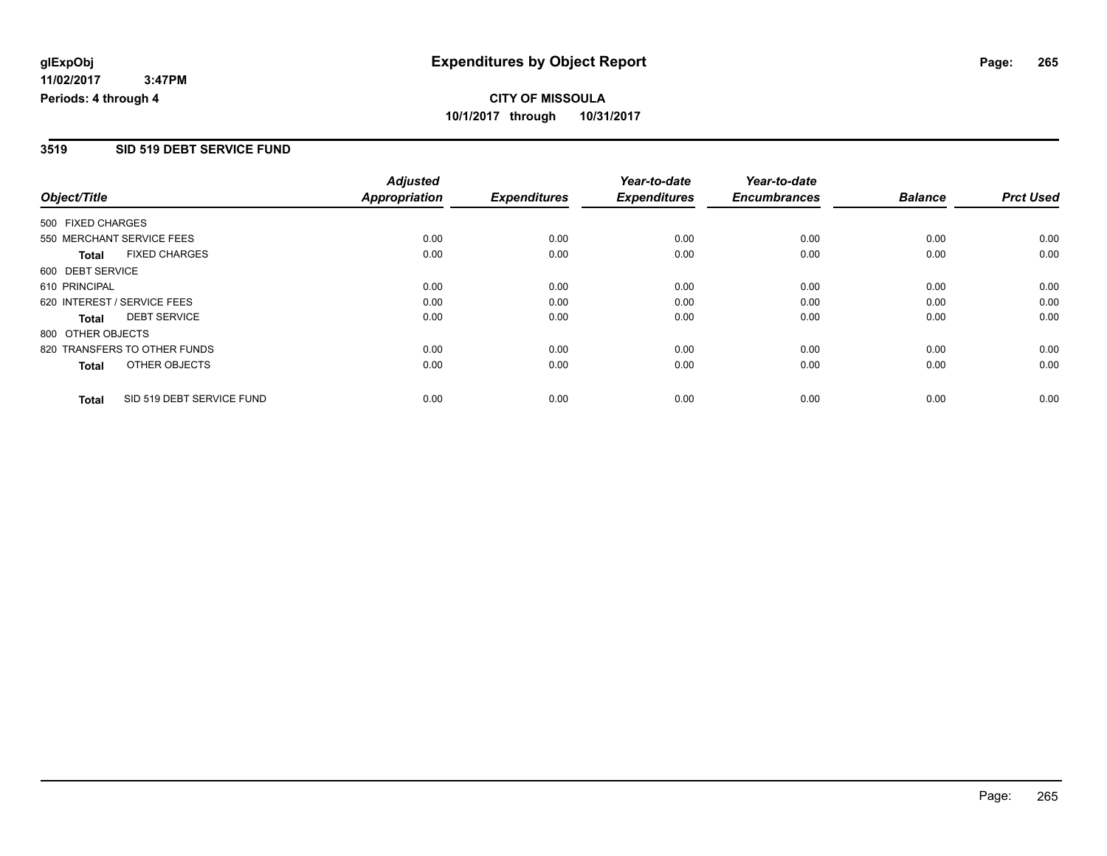### **3519 SID 519 DEBT SERVICE FUND**

|                             |                              | <b>Adjusted</b>      |                     | Year-to-date        | Year-to-date        |                |                  |
|-----------------------------|------------------------------|----------------------|---------------------|---------------------|---------------------|----------------|------------------|
| Object/Title                |                              | <b>Appropriation</b> | <b>Expenditures</b> | <b>Expenditures</b> | <b>Encumbrances</b> | <b>Balance</b> | <b>Prct Used</b> |
| 500 FIXED CHARGES           |                              |                      |                     |                     |                     |                |                  |
| 550 MERCHANT SERVICE FEES   |                              | 0.00                 | 0.00                | 0.00                | 0.00                | 0.00           | 0.00             |
| <b>Total</b>                | <b>FIXED CHARGES</b>         | 0.00                 | 0.00                | 0.00                | 0.00                | 0.00           | 0.00             |
| 600 DEBT SERVICE            |                              |                      |                     |                     |                     |                |                  |
| 610 PRINCIPAL               |                              | 0.00                 | 0.00                | 0.00                | 0.00                | 0.00           | 0.00             |
| 620 INTEREST / SERVICE FEES |                              | 0.00                 | 0.00                | 0.00                | 0.00                | 0.00           | 0.00             |
| Total                       | <b>DEBT SERVICE</b>          | 0.00                 | 0.00                | 0.00                | 0.00                | 0.00           | 0.00             |
| 800 OTHER OBJECTS           |                              |                      |                     |                     |                     |                |                  |
|                             | 820 TRANSFERS TO OTHER FUNDS | 0.00                 | 0.00                | 0.00                | 0.00                | 0.00           | 0.00             |
| Total                       | OTHER OBJECTS                | 0.00                 | 0.00                | 0.00                | 0.00                | 0.00           | 0.00             |
| <b>Total</b>                | SID 519 DEBT SERVICE FUND    | 0.00                 | 0.00                | 0.00                | 0.00                | 0.00           | 0.00             |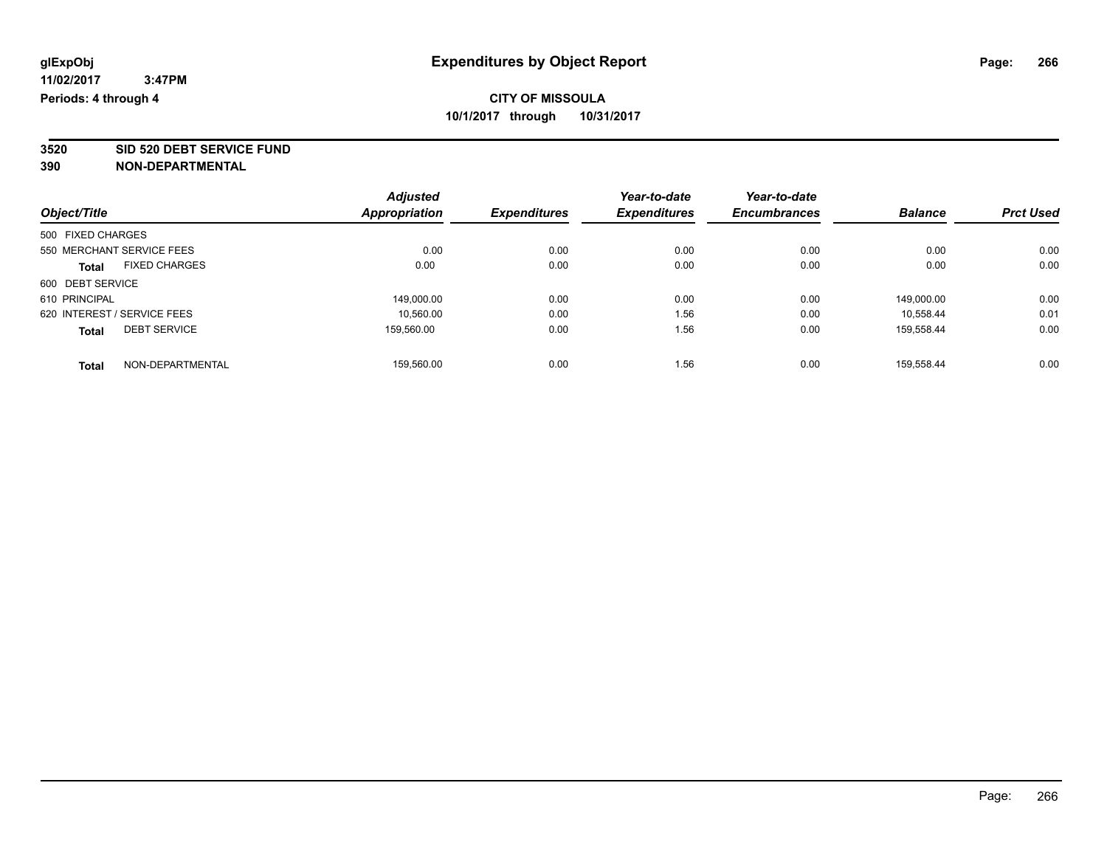**3520 SID 520 DEBT SERVICE FUND**

|                                      | <b>Adjusted</b>      |                     | Year-to-date | Year-to-date        |                |                  |
|--------------------------------------|----------------------|---------------------|--------------|---------------------|----------------|------------------|
| Object/Title                         | <b>Appropriation</b> | <b>Expenditures</b> | Expenditures | <b>Encumbrances</b> | <b>Balance</b> | <b>Prct Used</b> |
| 500 FIXED CHARGES                    |                      |                     |              |                     |                |                  |
| 550 MERCHANT SERVICE FEES            | 0.00                 | 0.00                | 0.00         | 0.00                | 0.00           | 0.00             |
| <b>FIXED CHARGES</b><br><b>Total</b> | 0.00                 | 0.00                | 0.00         | 0.00                | 0.00           | 0.00             |
| 600 DEBT SERVICE                     |                      |                     |              |                     |                |                  |
| 610 PRINCIPAL                        | 149,000.00           | 0.00                | 0.00         | 0.00                | 149.000.00     | 0.00             |
| 620 INTEREST / SERVICE FEES          | 10.560.00            | 0.00                | 1.56         | 0.00                | 10.558.44      | 0.01             |
| <b>DEBT SERVICE</b><br><b>Total</b>  | 159.560.00           | 0.00                | 1.56         | 0.00                | 159.558.44     | 0.00             |
| NON-DEPARTMENTAL<br><b>Total</b>     | 159.560.00           | 0.00                | 1.56         | 0.00                | 159.558.44     | 0.00             |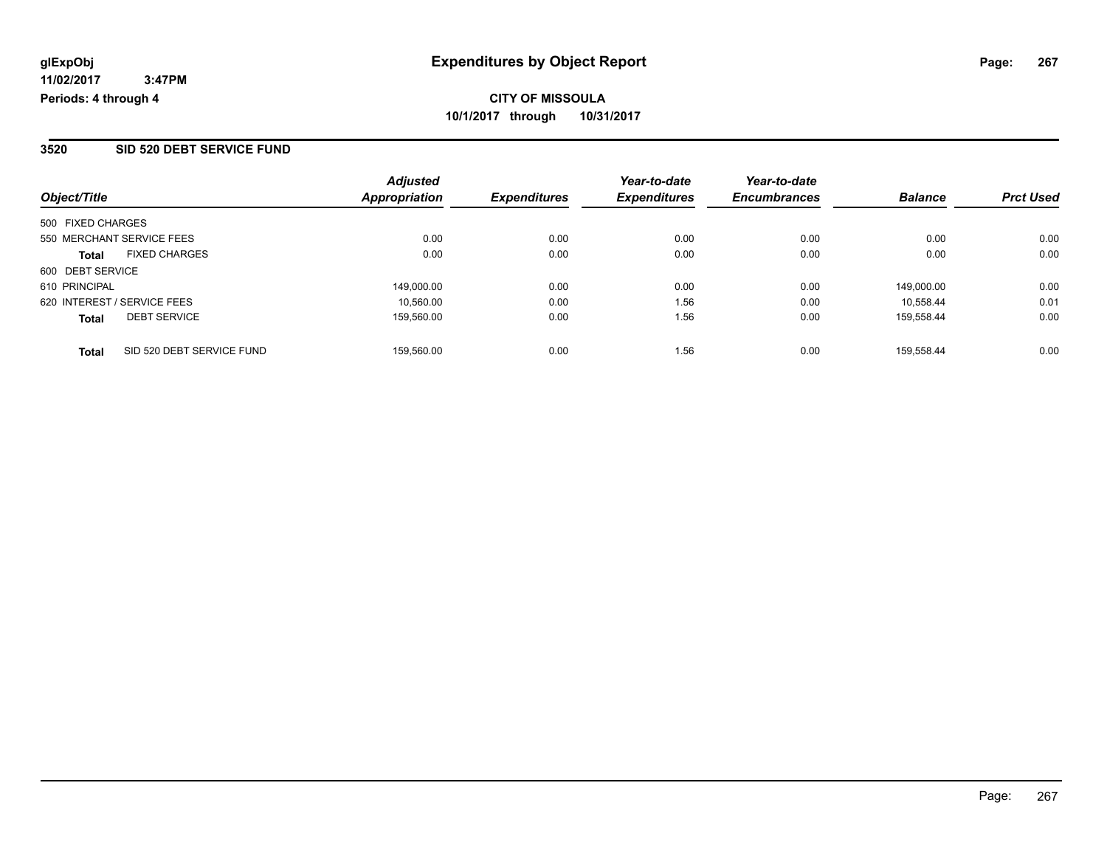#### **3520 SID 520 DEBT SERVICE FUND**

| Object/Title                              | <b>Adjusted</b><br>Appropriation | <b>Expenditures</b> | Year-to-date<br><b>Expenditures</b> | Year-to-date<br><b>Encumbrances</b> | <b>Balance</b> | <b>Prct Used</b> |
|-------------------------------------------|----------------------------------|---------------------|-------------------------------------|-------------------------------------|----------------|------------------|
| 500 FIXED CHARGES                         |                                  |                     |                                     |                                     |                |                  |
| 550 MERCHANT SERVICE FEES                 | 0.00                             | 0.00                | 0.00                                | 0.00                                | 0.00           | 0.00             |
| <b>FIXED CHARGES</b><br><b>Total</b>      | 0.00                             | 0.00                | 0.00                                | 0.00                                | 0.00           | 0.00             |
| 600 DEBT SERVICE                          |                                  |                     |                                     |                                     |                |                  |
| 610 PRINCIPAL                             | 149.000.00                       | 0.00                | 0.00                                | 0.00                                | 149.000.00     | 0.00             |
| 620 INTEREST / SERVICE FEES               | 10.560.00                        | 0.00                | 1.56                                | 0.00                                | 10.558.44      | 0.01             |
| <b>DEBT SERVICE</b><br><b>Total</b>       | 159.560.00                       | 0.00                | 1.56                                | 0.00                                | 159.558.44     | 0.00             |
| SID 520 DEBT SERVICE FUND<br><b>Total</b> | 159.560.00                       | 0.00                | 1.56                                | 0.00                                | 159.558.44     | 0.00             |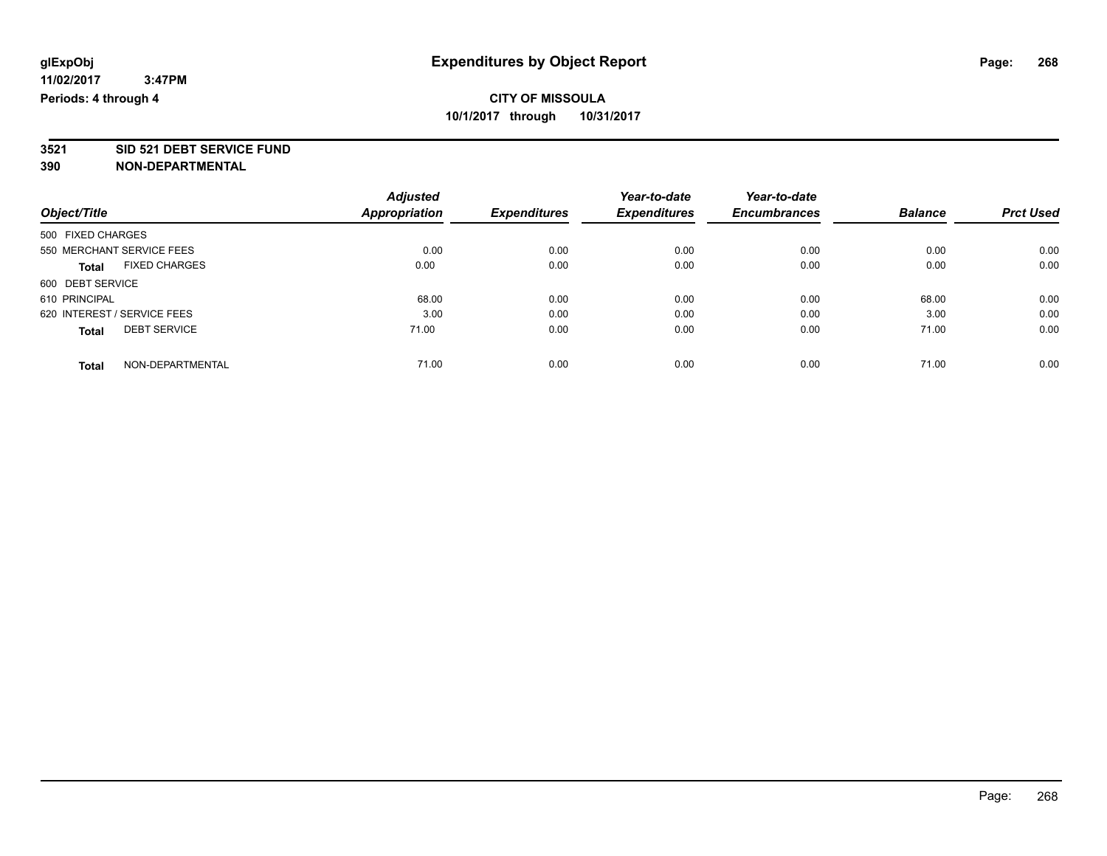# **3521 SID 521 DEBT SERVICE FUND**

|                                      | <b>Adjusted</b>      |                     | Year-to-date        | Year-to-date        |                |                  |
|--------------------------------------|----------------------|---------------------|---------------------|---------------------|----------------|------------------|
| Object/Title                         | <b>Appropriation</b> | <b>Expenditures</b> | <b>Expenditures</b> | <b>Encumbrances</b> | <b>Balance</b> | <b>Prct Used</b> |
| 500 FIXED CHARGES                    |                      |                     |                     |                     |                |                  |
| 550 MERCHANT SERVICE FEES            | 0.00                 | 0.00                | 0.00                | 0.00                | 0.00           | 0.00             |
| <b>FIXED CHARGES</b><br><b>Total</b> | 0.00                 | 0.00                | 0.00                | 0.00                | 0.00           | 0.00             |
| 600 DEBT SERVICE                     |                      |                     |                     |                     |                |                  |
| 610 PRINCIPAL                        | 68.00                | 0.00                | 0.00                | 0.00                | 68.00          | 0.00             |
| 620 INTEREST / SERVICE FEES          | 3.00                 | 0.00                | 0.00                | 0.00                | 3.00           | 0.00             |
| <b>DEBT SERVICE</b><br><b>Total</b>  | 71.00                | 0.00                | 0.00                | 0.00                | 71.00          | 0.00             |
| NON-DEPARTMENTAL<br><b>Total</b>     | 71.00                | 0.00                | 0.00                | 0.00                | 71.00          | 0.00             |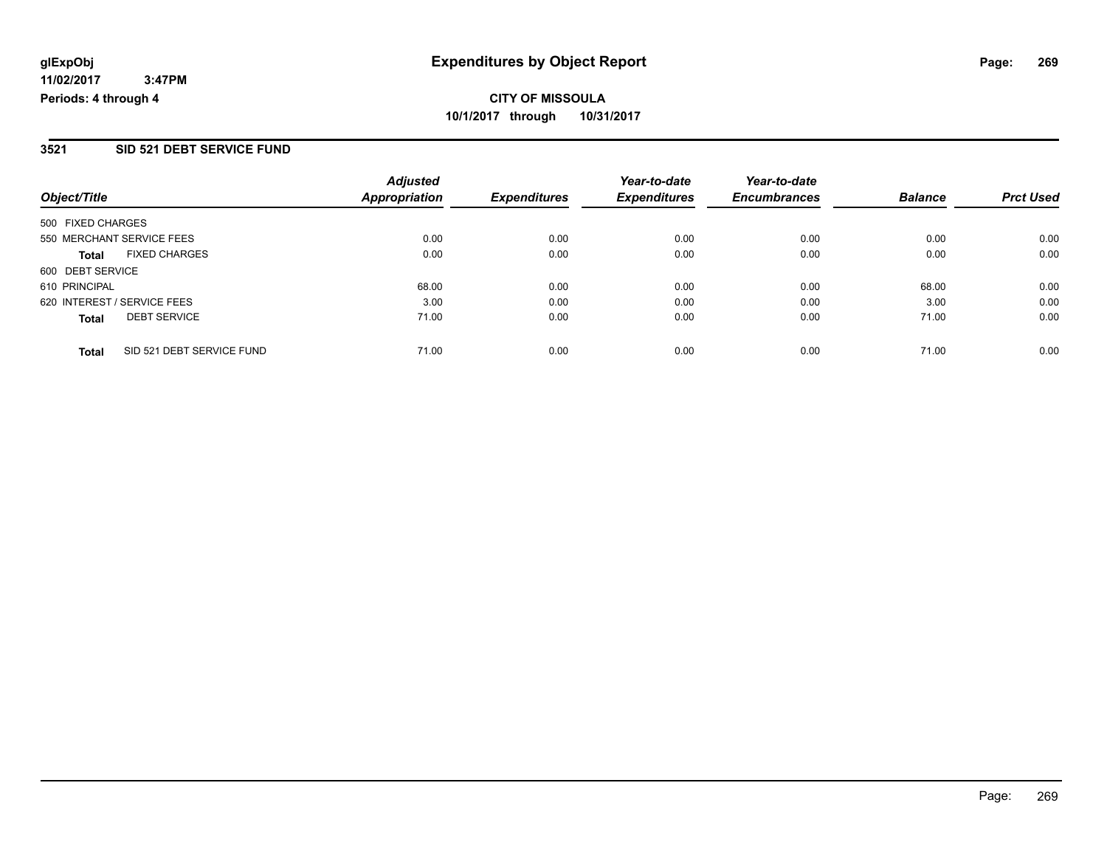### **3521 SID 521 DEBT SERVICE FUND**

|                                           | <b>Adjusted</b><br><b>Appropriation</b> | <b>Expenditures</b> | Year-to-date<br><b>Expenditures</b> | Year-to-date<br><b>Encumbrances</b> | <b>Balance</b> | <b>Prct Used</b> |
|-------------------------------------------|-----------------------------------------|---------------------|-------------------------------------|-------------------------------------|----------------|------------------|
| Object/Title                              |                                         |                     |                                     |                                     |                |                  |
| 500 FIXED CHARGES                         |                                         |                     |                                     |                                     |                |                  |
| 550 MERCHANT SERVICE FEES                 | 0.00                                    | 0.00                | 0.00                                | 0.00                                | 0.00           | 0.00             |
| <b>FIXED CHARGES</b><br><b>Total</b>      | 0.00                                    | 0.00                | 0.00                                | 0.00                                | 0.00           | 0.00             |
| 600 DEBT SERVICE                          |                                         |                     |                                     |                                     |                |                  |
| 610 PRINCIPAL                             | 68.00                                   | 0.00                | 0.00                                | 0.00                                | 68.00          | 0.00             |
| 620 INTEREST / SERVICE FEES               | 3.00                                    | 0.00                | 0.00                                | 0.00                                | 3.00           | 0.00             |
| <b>DEBT SERVICE</b><br><b>Total</b>       | 71.00                                   | 0.00                | 0.00                                | 0.00                                | 71.00          | 0.00             |
| SID 521 DEBT SERVICE FUND<br><b>Total</b> | 71.00                                   | 0.00                | 0.00                                | 0.00                                | 71.00          | 0.00             |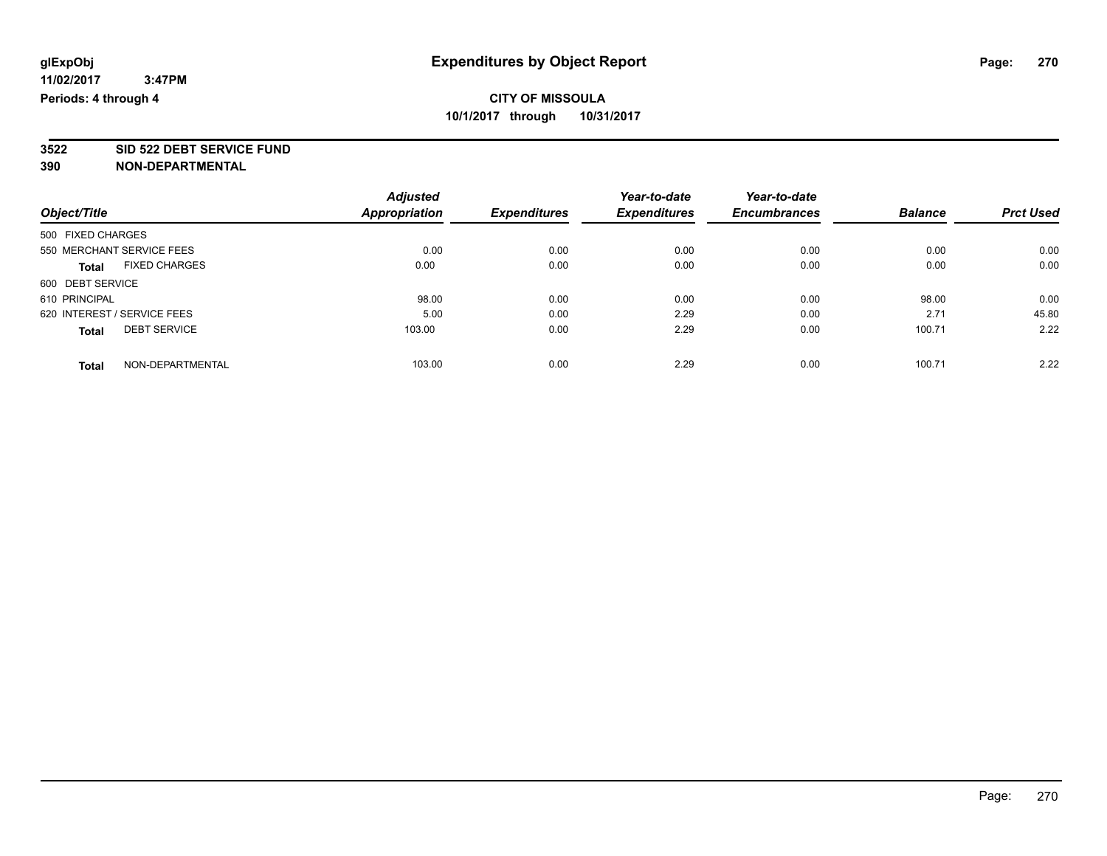**3522 SID 522 DEBT SERVICE FUND**

|                                      | <b>Adjusted</b>      |                     | Year-to-date        | Year-to-date        |                |                  |
|--------------------------------------|----------------------|---------------------|---------------------|---------------------|----------------|------------------|
| Object/Title                         | <b>Appropriation</b> | <b>Expenditures</b> | <b>Expenditures</b> | <b>Encumbrances</b> | <b>Balance</b> | <b>Prct Used</b> |
| 500 FIXED CHARGES                    |                      |                     |                     |                     |                |                  |
| 550 MERCHANT SERVICE FEES            | 0.00                 | 0.00                | 0.00                | 0.00                | 0.00           | 0.00             |
| <b>FIXED CHARGES</b><br><b>Total</b> | 0.00                 | 0.00                | 0.00                | 0.00                | 0.00           | 0.00             |
| 600 DEBT SERVICE                     |                      |                     |                     |                     |                |                  |
| 610 PRINCIPAL                        | 98.00                | 0.00                | 0.00                | 0.00                | 98.00          | 0.00             |
| 620 INTEREST / SERVICE FEES          | 5.00                 | 0.00                | 2.29                | 0.00                | 2.71           | 45.80            |
| <b>DEBT SERVICE</b><br><b>Total</b>  | 103.00               | 0.00                | 2.29                | 0.00                | 100.71         | 2.22             |
| NON-DEPARTMENTAL<br><b>Total</b>     | 103.00               | 0.00                | 2.29                | 0.00                | 100.71         | 2.22             |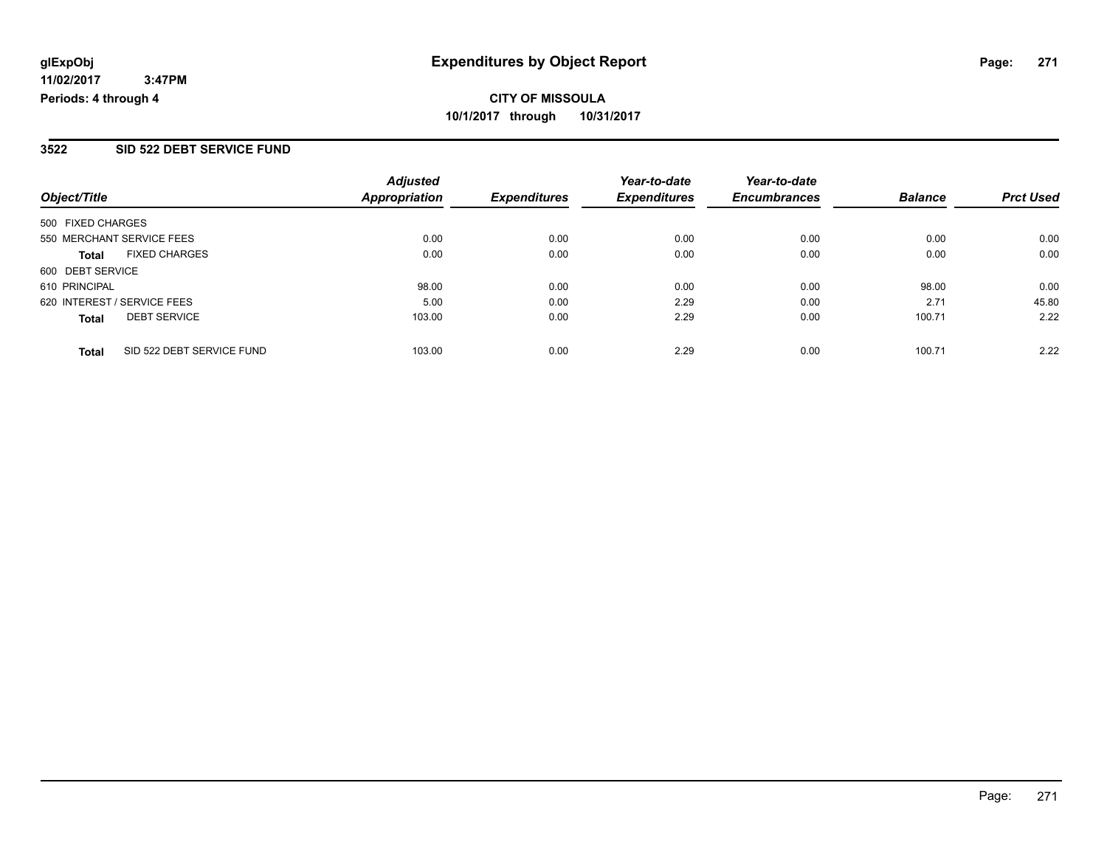## **3522 SID 522 DEBT SERVICE FUND**

| Object/Title                         | <b>Adjusted</b><br><b>Appropriation</b> | <b>Expenditures</b> | Year-to-date<br><b>Expenditures</b> | Year-to-date<br><b>Encumbrances</b> | <b>Balance</b> | <b>Prct Used</b> |
|--------------------------------------|-----------------------------------------|---------------------|-------------------------------------|-------------------------------------|----------------|------------------|
| 500 FIXED CHARGES                    |                                         |                     |                                     |                                     |                |                  |
| 550 MERCHANT SERVICE FEES            | 0.00                                    | 0.00                | 0.00                                | 0.00                                | 0.00           | 0.00             |
| <b>FIXED CHARGES</b><br><b>Total</b> | 0.00                                    | 0.00                | 0.00                                | 0.00                                | 0.00           | 0.00             |
| 600 DEBT SERVICE                     |                                         |                     |                                     |                                     |                |                  |
| 610 PRINCIPAL                        | 98.00                                   | 0.00                | 0.00                                | 0.00                                | 98.00          | 0.00             |
| 620 INTEREST / SERVICE FEES          | 5.00                                    | 0.00                | 2.29                                | 0.00                                | 2.71           | 45.80            |
| <b>DEBT SERVICE</b><br><b>Total</b>  | 103.00                                  | 0.00                | 2.29                                | 0.00                                | 100.71         | 2.22             |
| SID 522 DEBT SERVICE FUND<br>Total   | 103.00                                  | 0.00                | 2.29                                | 0.00                                | 100.71         | 2.22             |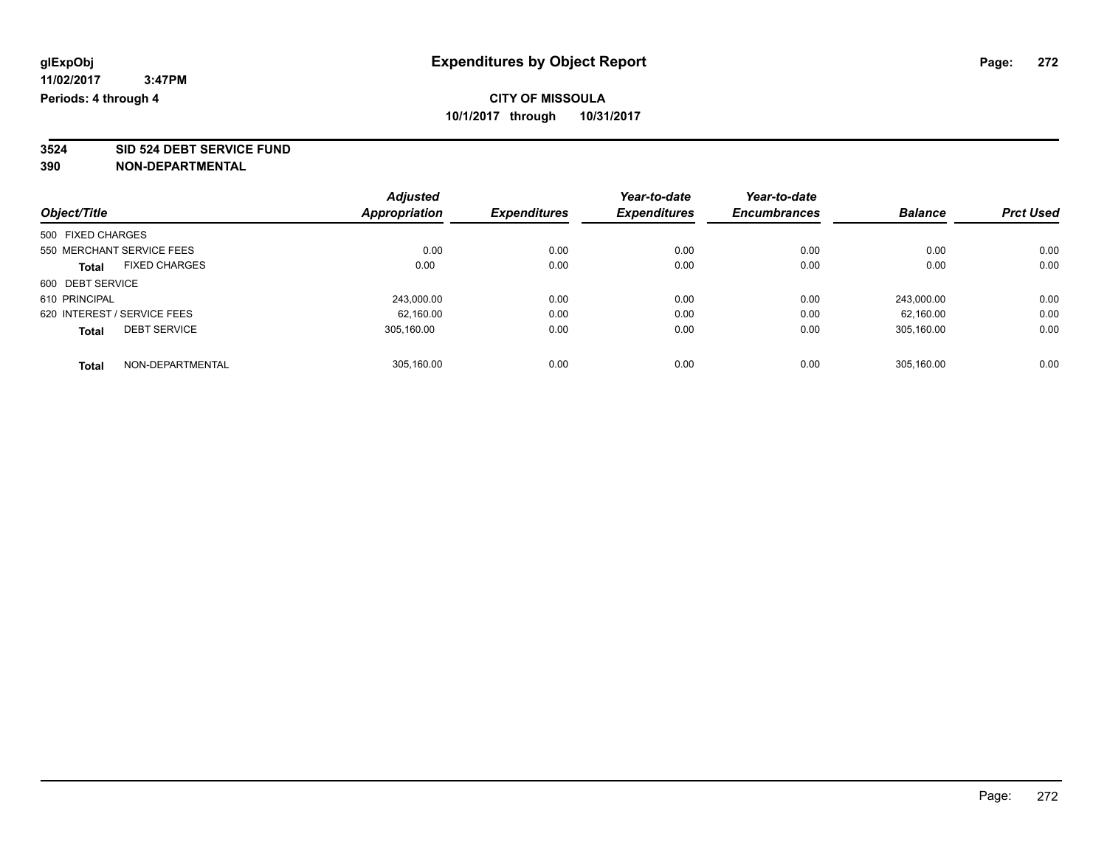**3524 SID 524 DEBT SERVICE FUND**

| Object/Title                |                      | <b>Adjusted</b> | <b>Expenditures</b> | Year-to-date<br><b>Expenditures</b> | Year-to-date        | <b>Balance</b> | <b>Prct Used</b> |
|-----------------------------|----------------------|-----------------|---------------------|-------------------------------------|---------------------|----------------|------------------|
|                             |                      | Appropriation   |                     |                                     | <b>Encumbrances</b> |                |                  |
| 500 FIXED CHARGES           |                      |                 |                     |                                     |                     |                |                  |
| 550 MERCHANT SERVICE FEES   |                      | 0.00            | 0.00                | 0.00                                | 0.00                | 0.00           | 0.00             |
| <b>Total</b>                | <b>FIXED CHARGES</b> | 0.00            | 0.00                | 0.00                                | 0.00                | 0.00           | 0.00             |
| 600 DEBT SERVICE            |                      |                 |                     |                                     |                     |                |                  |
| 610 PRINCIPAL               |                      | 243,000.00      | 0.00                | 0.00                                | 0.00                | 243.000.00     | 0.00             |
| 620 INTEREST / SERVICE FEES |                      | 62.160.00       | 0.00                | 0.00                                | 0.00                | 62.160.00      | 0.00             |
| <b>Total</b>                | <b>DEBT SERVICE</b>  | 305.160.00      | 0.00                | 0.00                                | 0.00                | 305.160.00     | 0.00             |
| <b>Total</b>                | NON-DEPARTMENTAL     | 305.160.00      | 0.00                | 0.00                                | 0.00                | 305.160.00     | 0.00             |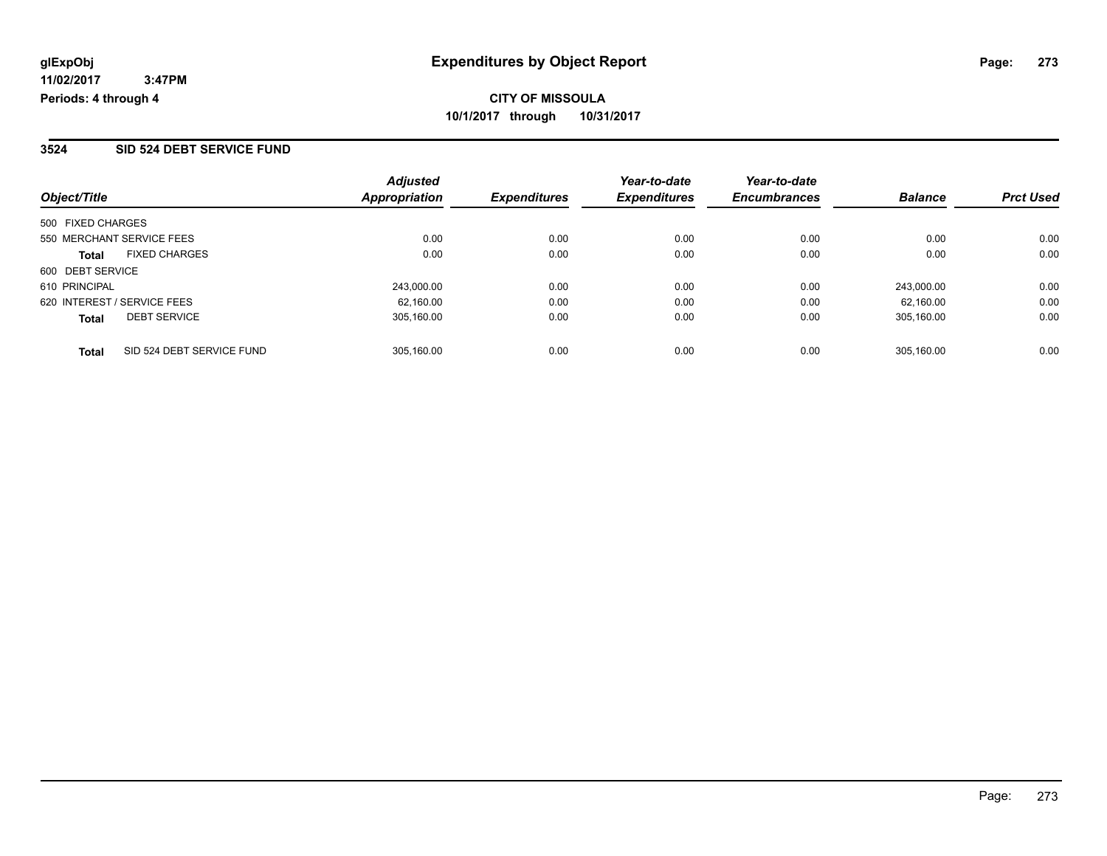#### **3524 SID 524 DEBT SERVICE FUND**

| Object/Title                |                           | <b>Adjusted</b><br><b>Appropriation</b> | <b>Expenditures</b> | Year-to-date<br><b>Expenditures</b> | Year-to-date<br><b>Encumbrances</b> | <b>Balance</b> | <b>Prct Used</b> |
|-----------------------------|---------------------------|-----------------------------------------|---------------------|-------------------------------------|-------------------------------------|----------------|------------------|
|                             |                           |                                         |                     |                                     |                                     |                |                  |
| 500 FIXED CHARGES           |                           |                                         |                     |                                     |                                     |                |                  |
| 550 MERCHANT SERVICE FEES   |                           | 0.00                                    | 0.00                | 0.00                                | 0.00                                | 0.00           | 0.00             |
| <b>Total</b>                | <b>FIXED CHARGES</b>      | 0.00                                    | 0.00                | 0.00                                | 0.00                                | 0.00           | 0.00             |
| 600 DEBT SERVICE            |                           |                                         |                     |                                     |                                     |                |                  |
| 610 PRINCIPAL               |                           | 243,000.00                              | 0.00                | 0.00                                | 0.00                                | 243.000.00     | 0.00             |
| 620 INTEREST / SERVICE FEES |                           | 62.160.00                               | 0.00                | 0.00                                | 0.00                                | 62.160.00      | 0.00             |
| <b>Total</b>                | <b>DEBT SERVICE</b>       | 305.160.00                              | 0.00                | 0.00                                | 0.00                                | 305.160.00     | 0.00             |
| <b>Total</b>                | SID 524 DEBT SERVICE FUND | 305.160.00                              | 0.00                | 0.00                                | 0.00                                | 305.160.00     | 0.00             |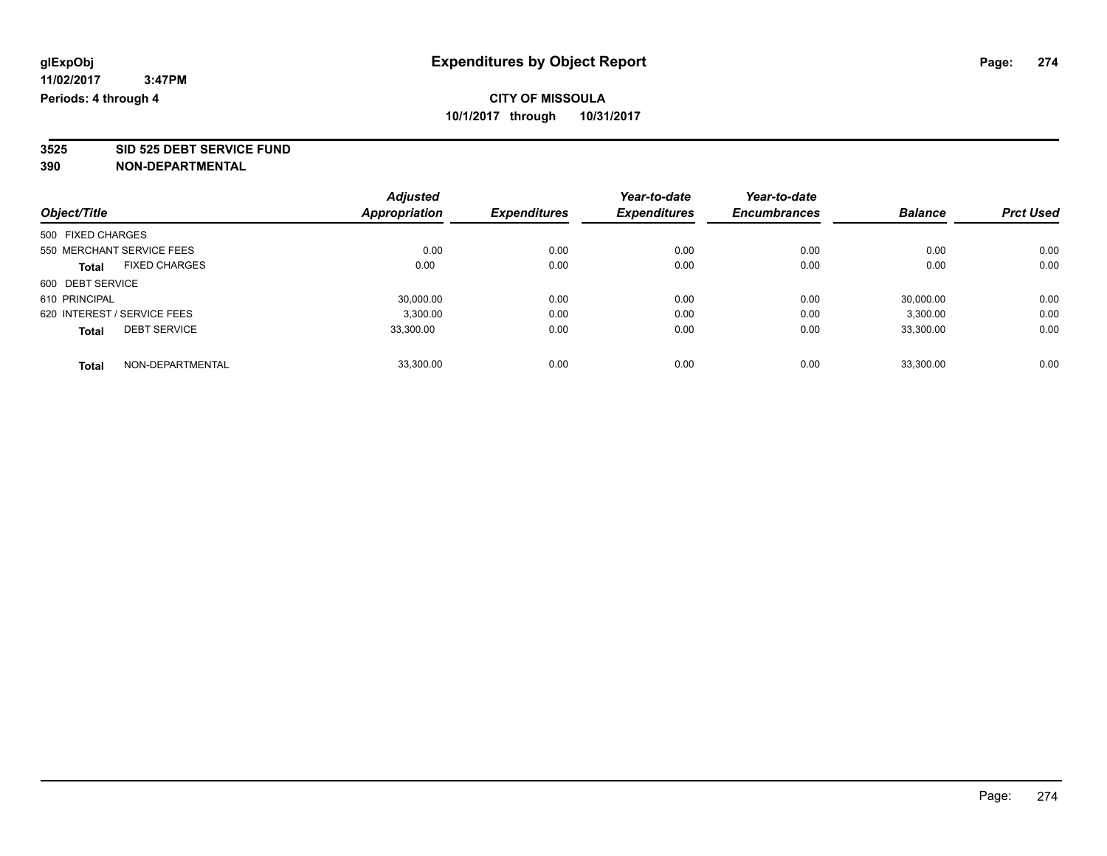**3525 SID 525 DEBT SERVICE FUND**

| Object/Title                |                      | <b>Adjusted</b> | <b>Expenditures</b> | Year-to-date        | Year-to-date<br><b>Encumbrances</b> | <b>Balance</b> | <b>Prct Used</b> |
|-----------------------------|----------------------|-----------------|---------------------|---------------------|-------------------------------------|----------------|------------------|
|                             |                      | Appropriation   |                     | <b>Expenditures</b> |                                     |                |                  |
| 500 FIXED CHARGES           |                      |                 |                     |                     |                                     |                |                  |
| 550 MERCHANT SERVICE FEES   |                      | 0.00            | 0.00                | 0.00                | 0.00                                | 0.00           | 0.00             |
| <b>Total</b>                | <b>FIXED CHARGES</b> | 0.00            | 0.00                | 0.00                | 0.00                                | 0.00           | 0.00             |
| 600 DEBT SERVICE            |                      |                 |                     |                     |                                     |                |                  |
| 610 PRINCIPAL               |                      | 30,000.00       | 0.00                | 0.00                | 0.00                                | 30,000.00      | 0.00             |
| 620 INTEREST / SERVICE FEES |                      | 3,300.00        | 0.00                | 0.00                | 0.00                                | 3,300.00       | 0.00             |
| <b>Total</b>                | <b>DEBT SERVICE</b>  | 33.300.00       | 0.00                | 0.00                | 0.00                                | 33,300.00      | 0.00             |
| <b>Total</b>                | NON-DEPARTMENTAL     | 33.300.00       | 0.00                | 0.00                | 0.00                                | 33.300.00      | 0.00             |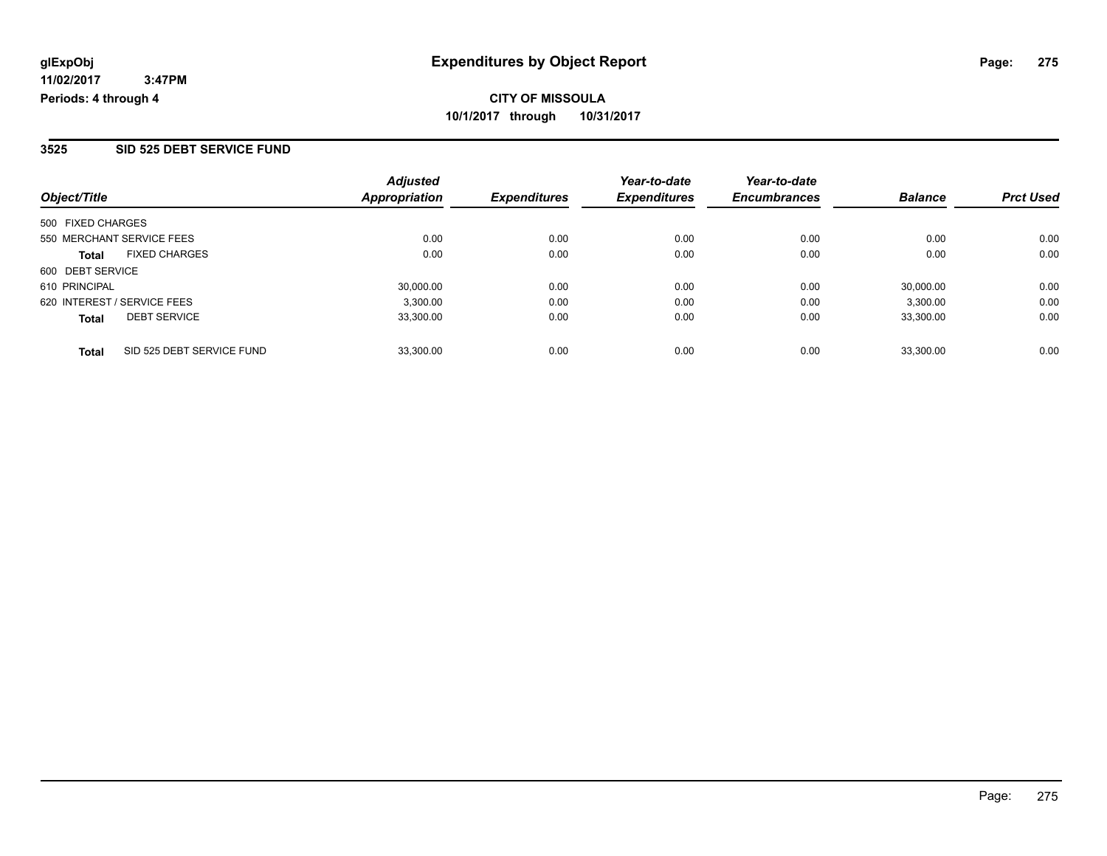#### **3525 SID 525 DEBT SERVICE FUND**

| Object/Title                              | <b>Adjusted</b><br><b>Appropriation</b> | <b>Expenditures</b> | Year-to-date<br><b>Expenditures</b> | Year-to-date<br><b>Encumbrances</b> | <b>Balance</b> | <b>Prct Used</b> |
|-------------------------------------------|-----------------------------------------|---------------------|-------------------------------------|-------------------------------------|----------------|------------------|
| 500 FIXED CHARGES                         |                                         |                     |                                     |                                     |                |                  |
| 550 MERCHANT SERVICE FEES                 | 0.00                                    | 0.00                | 0.00                                | 0.00                                | 0.00           | 0.00             |
| <b>FIXED CHARGES</b><br><b>Total</b>      | 0.00                                    | 0.00                | 0.00                                | 0.00                                | 0.00           | 0.00             |
| 600 DEBT SERVICE                          |                                         |                     |                                     |                                     |                |                  |
| 610 PRINCIPAL                             | 30,000.00                               | 0.00                | 0.00                                | 0.00                                | 30.000.00      | 0.00             |
| 620 INTEREST / SERVICE FEES               | 3,300.00                                | 0.00                | 0.00                                | 0.00                                | 3,300.00       | 0.00             |
| <b>DEBT SERVICE</b><br><b>Total</b>       | 33.300.00                               | 0.00                | 0.00                                | 0.00                                | 33.300.00      | 0.00             |
| SID 525 DEBT SERVICE FUND<br><b>Total</b> | 33.300.00                               | 0.00                | 0.00                                | 0.00                                | 33.300.00      | 0.00             |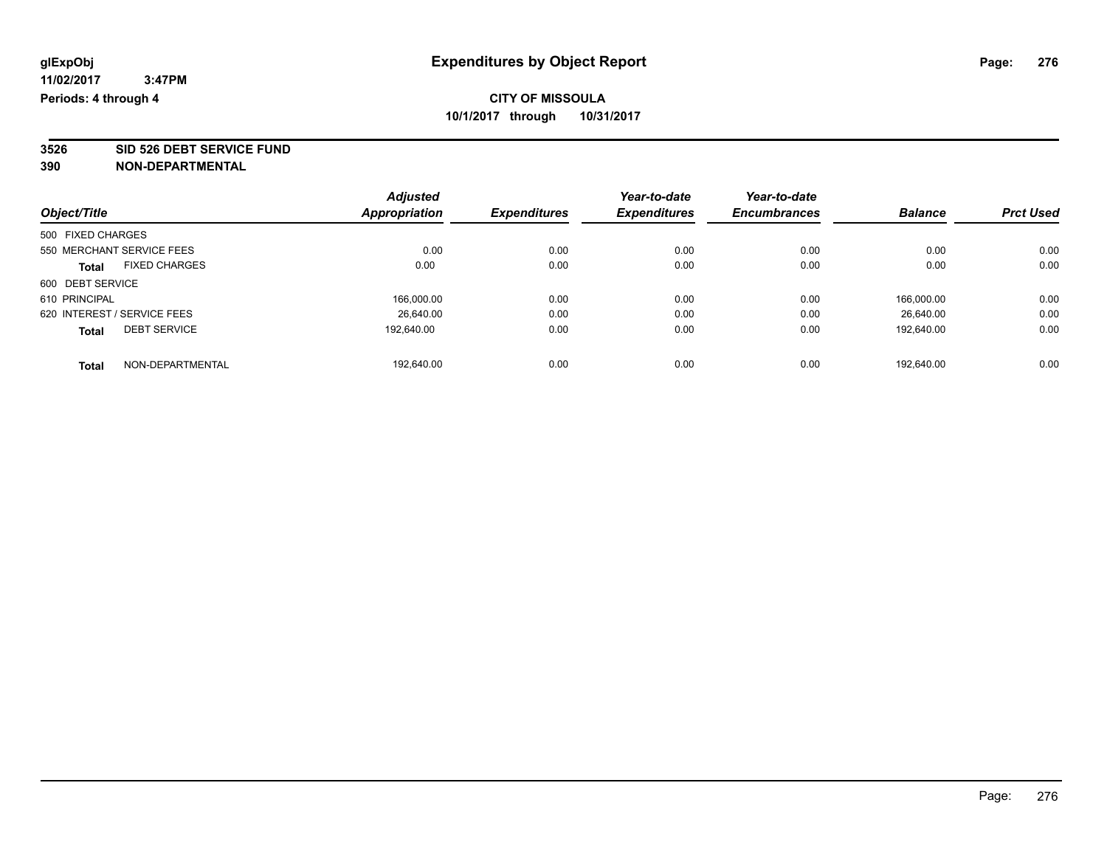**3526 SID 526 DEBT SERVICE FUND**

| Object/Title                |                      | <b>Adjusted</b> | <b>Expenditures</b> | Year-to-date        | Year-to-date<br><b>Encumbrances</b> |                | <b>Prct Used</b> |
|-----------------------------|----------------------|-----------------|---------------------|---------------------|-------------------------------------|----------------|------------------|
|                             |                      | Appropriation   |                     | <b>Expenditures</b> |                                     | <b>Balance</b> |                  |
| 500 FIXED CHARGES           |                      |                 |                     |                     |                                     |                |                  |
| 550 MERCHANT SERVICE FEES   |                      | 0.00            | 0.00                | 0.00                | 0.00                                | 0.00           | 0.00             |
| <b>Total</b>                | <b>FIXED CHARGES</b> | 0.00            | 0.00                | 0.00                | 0.00                                | 0.00           | 0.00             |
| 600 DEBT SERVICE            |                      |                 |                     |                     |                                     |                |                  |
| 610 PRINCIPAL               |                      | 166,000.00      | 0.00                | 0.00                | 0.00                                | 166.000.00     | 0.00             |
| 620 INTEREST / SERVICE FEES |                      | 26.640.00       | 0.00                | 0.00                | 0.00                                | 26.640.00      | 0.00             |
| <b>Total</b>                | <b>DEBT SERVICE</b>  | 192.640.00      | 0.00                | 0.00                | 0.00                                | 192.640.00     | 0.00             |
| <b>Total</b>                | NON-DEPARTMENTAL     | 192.640.00      | 0.00                | 0.00                | 0.00                                | 192.640.00     | 0.00             |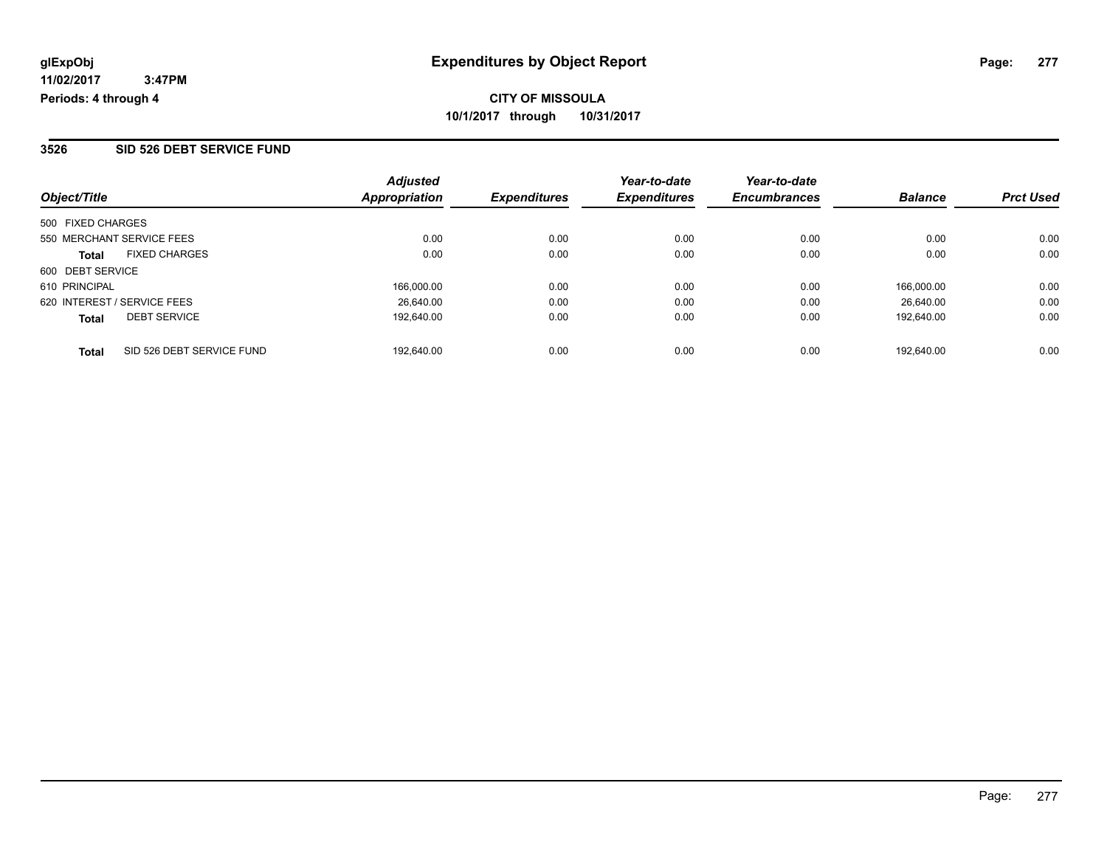#### **3526 SID 526 DEBT SERVICE FUND**

| Object/Title                              | <b>Adjusted</b><br><b>Appropriation</b> | <b>Expenditures</b> | Year-to-date<br><b>Expenditures</b> | Year-to-date<br><b>Encumbrances</b> | <b>Balance</b> | <b>Prct Used</b> |
|-------------------------------------------|-----------------------------------------|---------------------|-------------------------------------|-------------------------------------|----------------|------------------|
|                                           |                                         |                     |                                     |                                     |                |                  |
| 500 FIXED CHARGES                         |                                         |                     |                                     |                                     |                |                  |
| 550 MERCHANT SERVICE FEES                 | 0.00                                    | 0.00                | 0.00                                | 0.00                                | 0.00           | 0.00             |
| <b>FIXED CHARGES</b><br><b>Total</b>      | 0.00                                    | 0.00                | 0.00                                | 0.00                                | 0.00           | 0.00             |
| 600 DEBT SERVICE                          |                                         |                     |                                     |                                     |                |                  |
| 610 PRINCIPAL                             | 166.000.00                              | 0.00                | 0.00                                | 0.00                                | 166.000.00     | 0.00             |
| 620 INTEREST / SERVICE FEES               | 26.640.00                               | 0.00                | 0.00                                | 0.00                                | 26.640.00      | 0.00             |
| <b>DEBT SERVICE</b><br><b>Total</b>       | 192.640.00                              | 0.00                | 0.00                                | 0.00                                | 192.640.00     | 0.00             |
| SID 526 DEBT SERVICE FUND<br><b>Total</b> | 192.640.00                              | 0.00                | 0.00                                | 0.00                                | 192.640.00     | 0.00             |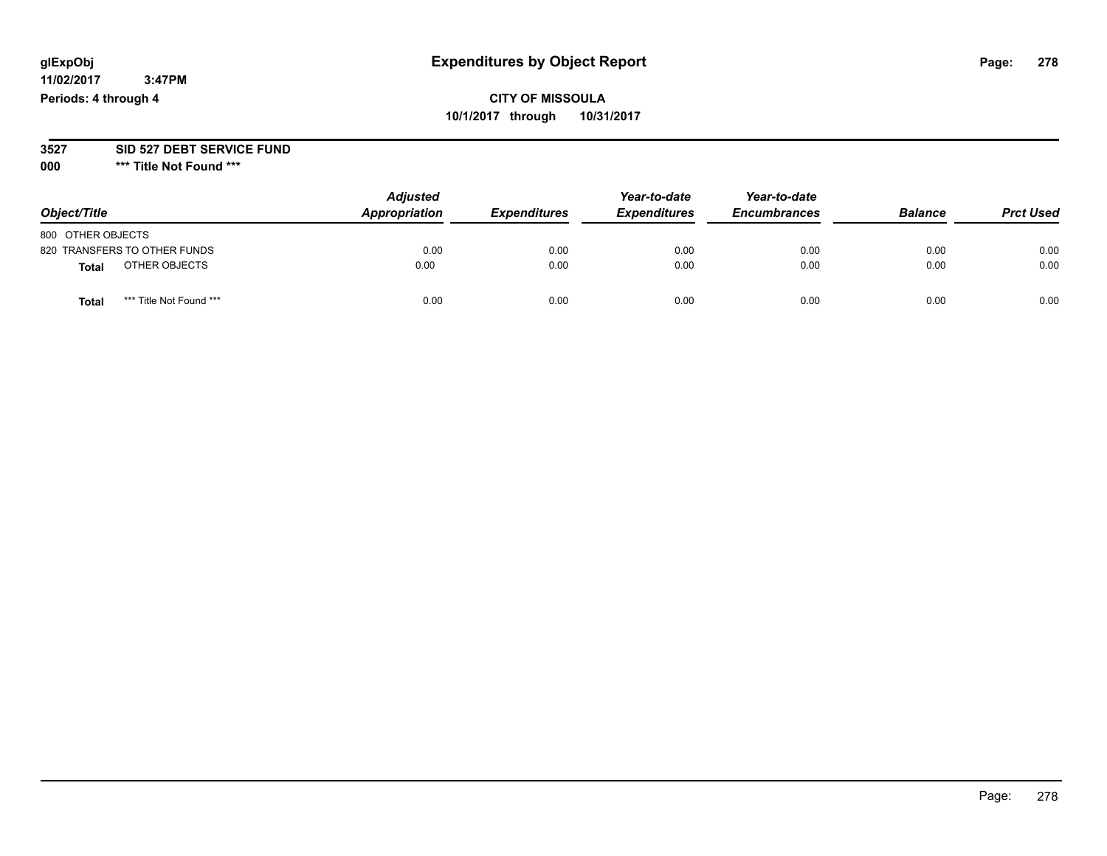#### **11/02/2017 3:47PM Periods: 4 through 4**

# **CITY OF MISSOULA 10/1/2017 through 10/31/2017**

#### **3527 SID 527 DEBT SERVICE FUND**

**000 \*\*\* Title Not Found \*\*\***

| Object/Title                            | <b>Adjusted</b><br>Appropriation | <b>Expenditures</b> | Year-to-date<br><b>Expenditures</b> | Year-to-date<br><b>Encumbrances</b> | <b>Balance</b> | <b>Prct Used</b> |
|-----------------------------------------|----------------------------------|---------------------|-------------------------------------|-------------------------------------|----------------|------------------|
| 800 OTHER OBJECTS                       |                                  |                     |                                     |                                     |                |                  |
| 820 TRANSFERS TO OTHER FUNDS            | 0.00                             | 0.00                | 0.00                                | 0.00                                | 0.00           | 0.00             |
| OTHER OBJECTS<br>Total                  | 0.00                             | 0.00                | 0.00                                | 0.00                                | 0.00           | 0.00             |
| *** Title Not Found ***<br><b>Total</b> | 0.00                             | 0.00                | 0.00                                | 0.00                                | 0.00           | 0.00             |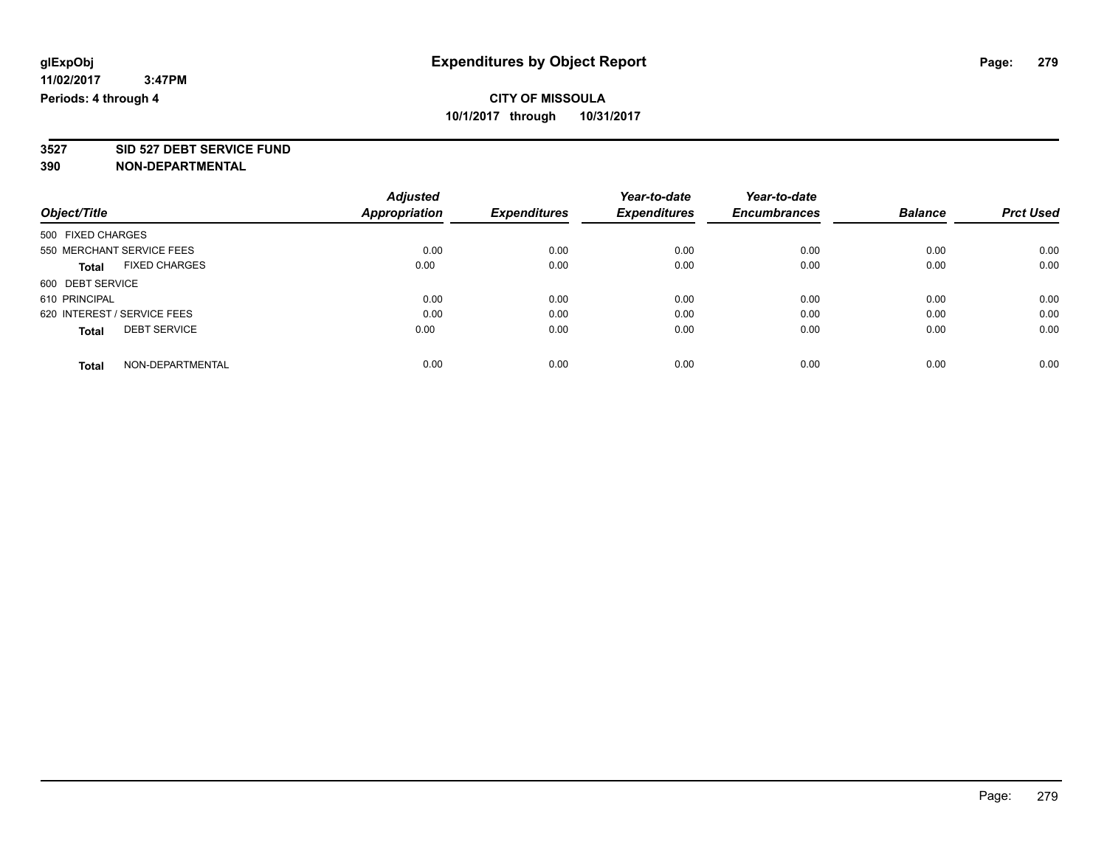**3527 SID 527 DEBT SERVICE FUND**

|                             |                           | <b>Adjusted</b>      |                     | Year-to-date        | Year-to-date        |                |                  |
|-----------------------------|---------------------------|----------------------|---------------------|---------------------|---------------------|----------------|------------------|
| Object/Title                |                           | <b>Appropriation</b> | <b>Expenditures</b> | <b>Expenditures</b> | <b>Encumbrances</b> | <b>Balance</b> | <b>Prct Used</b> |
| 500 FIXED CHARGES           |                           |                      |                     |                     |                     |                |                  |
|                             | 550 MERCHANT SERVICE FEES | 0.00                 | 0.00                | 0.00                | 0.00                | 0.00           | 0.00             |
| <b>Total</b>                | <b>FIXED CHARGES</b>      | 0.00                 | 0.00                | 0.00                | 0.00                | 0.00           | 0.00             |
| 600 DEBT SERVICE            |                           |                      |                     |                     |                     |                |                  |
| 610 PRINCIPAL               |                           | 0.00                 | 0.00                | 0.00                | 0.00                | 0.00           | 0.00             |
| 620 INTEREST / SERVICE FEES |                           | 0.00                 | 0.00                | 0.00                | 0.00                | 0.00           | 0.00             |
| <b>Total</b>                | <b>DEBT SERVICE</b>       | 0.00                 | 0.00                | 0.00                | 0.00                | 0.00           | 0.00             |
| <b>Total</b>                | NON-DEPARTMENTAL          | 0.00                 | 0.00                | 0.00                | 0.00                | 0.00           | 0.00             |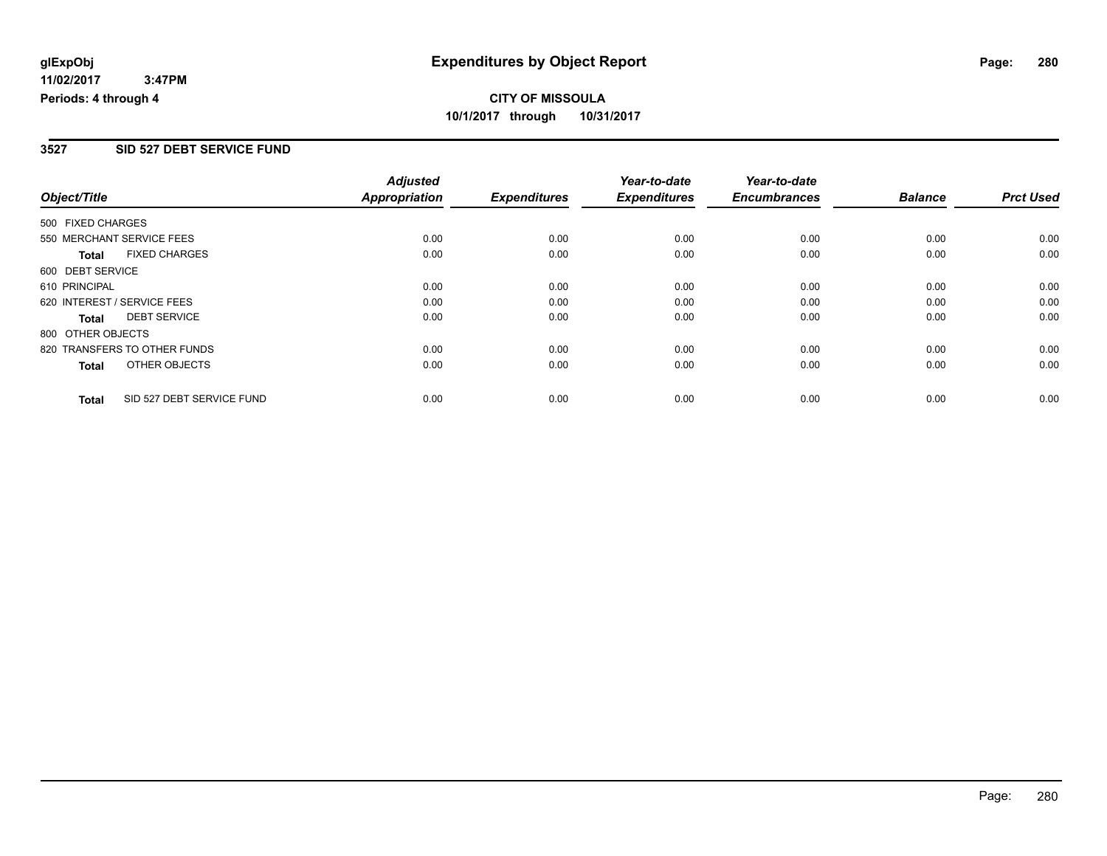### **3527 SID 527 DEBT SERVICE FUND**

|                             |                              | <b>Adjusted</b>      |                     | Year-to-date        | Year-to-date        |                |                  |
|-----------------------------|------------------------------|----------------------|---------------------|---------------------|---------------------|----------------|------------------|
| Object/Title                |                              | <b>Appropriation</b> | <b>Expenditures</b> | <b>Expenditures</b> | <b>Encumbrances</b> | <b>Balance</b> | <b>Prct Used</b> |
| 500 FIXED CHARGES           |                              |                      |                     |                     |                     |                |                  |
|                             | 550 MERCHANT SERVICE FEES    | 0.00                 | 0.00                | 0.00                | 0.00                | 0.00           | 0.00             |
| <b>Total</b>                | <b>FIXED CHARGES</b>         | 0.00                 | 0.00                | 0.00                | 0.00                | 0.00           | 0.00             |
| 600 DEBT SERVICE            |                              |                      |                     |                     |                     |                |                  |
| 610 PRINCIPAL               |                              | 0.00                 | 0.00                | 0.00                | 0.00                | 0.00           | 0.00             |
| 620 INTEREST / SERVICE FEES |                              | 0.00                 | 0.00                | 0.00                | 0.00                | 0.00           | 0.00             |
| Total                       | <b>DEBT SERVICE</b>          | 0.00                 | 0.00                | 0.00                | 0.00                | 0.00           | 0.00             |
| 800 OTHER OBJECTS           |                              |                      |                     |                     |                     |                |                  |
|                             | 820 TRANSFERS TO OTHER FUNDS | 0.00                 | 0.00                | 0.00                | 0.00                | 0.00           | 0.00             |
| Total                       | OTHER OBJECTS                | 0.00                 | 0.00                | 0.00                | 0.00                | 0.00           | 0.00             |
| <b>Total</b>                | SID 527 DEBT SERVICE FUND    | 0.00                 | 0.00                | 0.00                | 0.00                | 0.00           | 0.00             |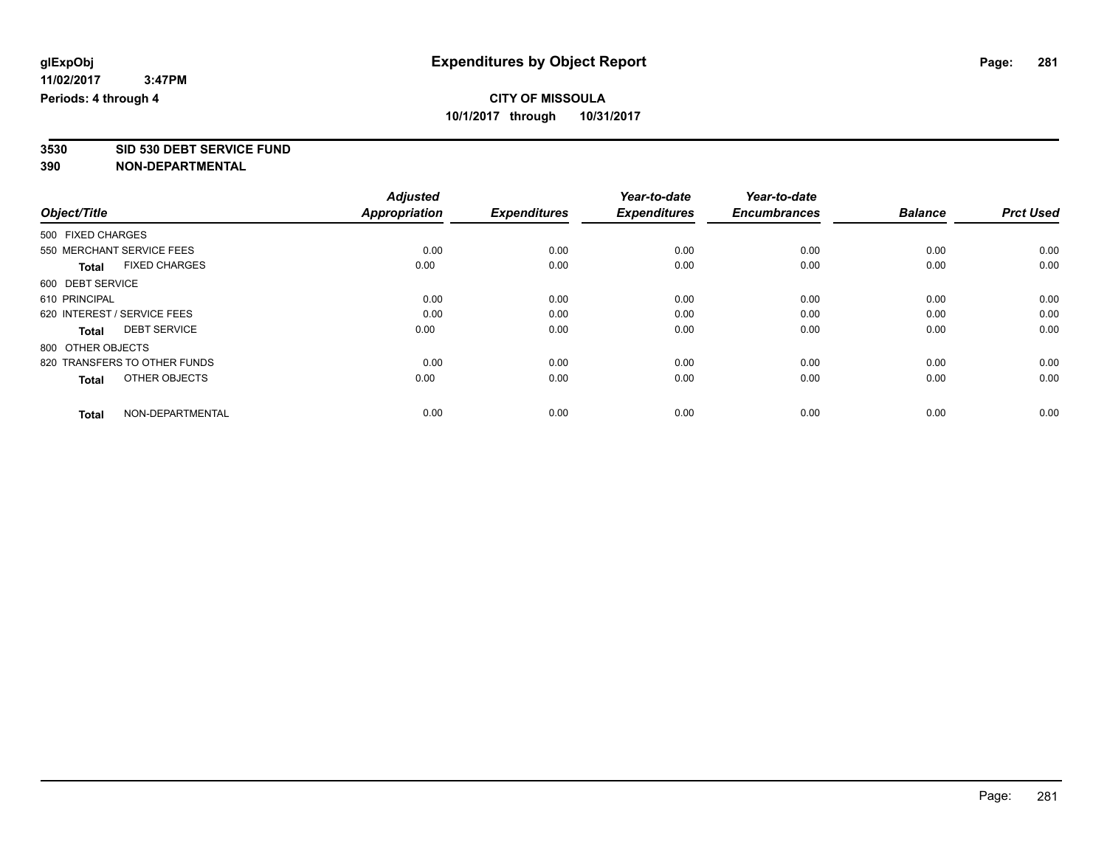**3530 SID 530 DEBT SERVICE FUND**

|                                      | <b>Adjusted</b>      |                     | Year-to-date        | Year-to-date        |                |                  |
|--------------------------------------|----------------------|---------------------|---------------------|---------------------|----------------|------------------|
| Object/Title                         | <b>Appropriation</b> | <b>Expenditures</b> | <b>Expenditures</b> | <b>Encumbrances</b> | <b>Balance</b> | <b>Prct Used</b> |
| 500 FIXED CHARGES                    |                      |                     |                     |                     |                |                  |
| 550 MERCHANT SERVICE FEES            | 0.00                 | 0.00                | 0.00                | 0.00                | 0.00           | 0.00             |
| <b>FIXED CHARGES</b><br><b>Total</b> | 0.00                 | 0.00                | 0.00                | 0.00                | 0.00           | 0.00             |
| 600 DEBT SERVICE                     |                      |                     |                     |                     |                |                  |
| 610 PRINCIPAL                        | 0.00                 | 0.00                | 0.00                | 0.00                | 0.00           | 0.00             |
| 620 INTEREST / SERVICE FEES          | 0.00                 | 0.00                | 0.00                | 0.00                | 0.00           | 0.00             |
| <b>DEBT SERVICE</b><br><b>Total</b>  | 0.00                 | 0.00                | 0.00                | 0.00                | 0.00           | 0.00             |
| 800 OTHER OBJECTS                    |                      |                     |                     |                     |                |                  |
| 820 TRANSFERS TO OTHER FUNDS         | 0.00                 | 0.00                | 0.00                | 0.00                | 0.00           | 0.00             |
| OTHER OBJECTS<br><b>Total</b>        | 0.00                 | 0.00                | 0.00                | 0.00                | 0.00           | 0.00             |
|                                      |                      |                     |                     |                     |                |                  |
| NON-DEPARTMENTAL<br><b>Total</b>     | 0.00                 | 0.00                | 0.00                | 0.00                | 0.00           | 0.00             |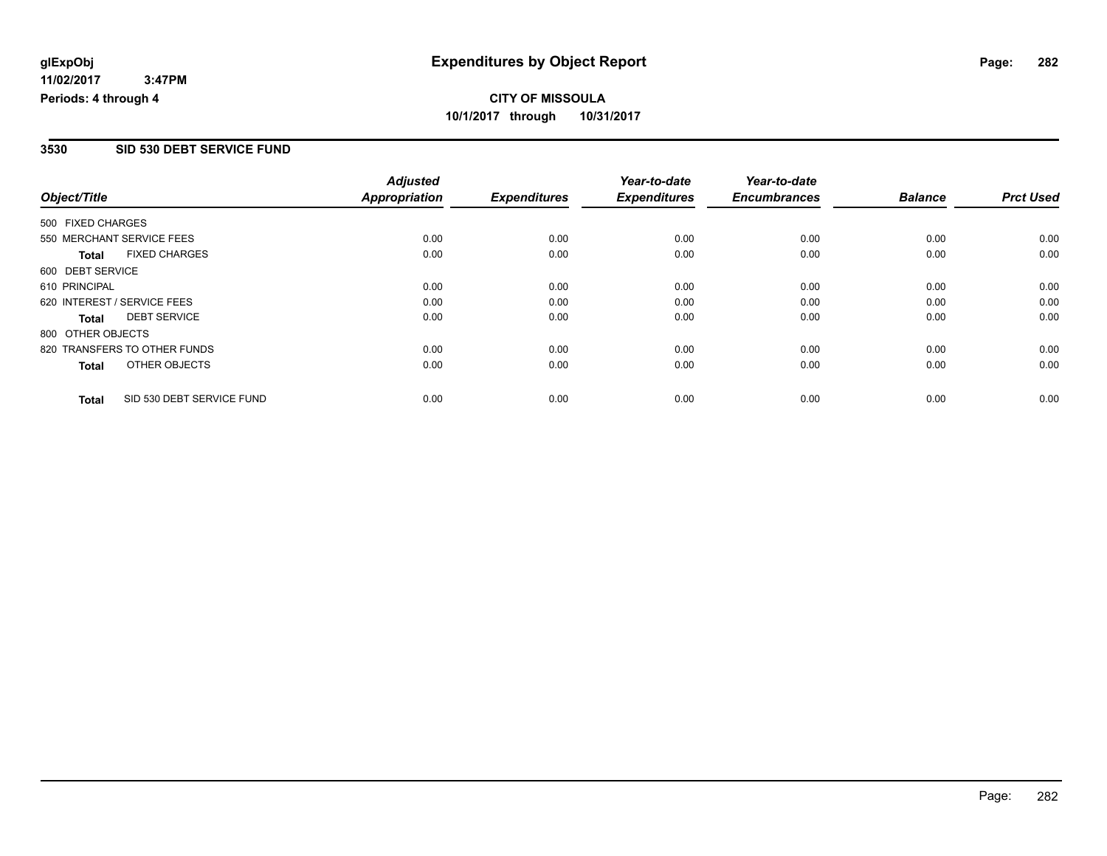#### **3530 SID 530 DEBT SERVICE FUND**

|                   |                              | <b>Adjusted</b>      |                     | Year-to-date        | Year-to-date        |                |                  |
|-------------------|------------------------------|----------------------|---------------------|---------------------|---------------------|----------------|------------------|
| Object/Title      |                              | <b>Appropriation</b> | <b>Expenditures</b> | <b>Expenditures</b> | <b>Encumbrances</b> | <b>Balance</b> | <b>Prct Used</b> |
| 500 FIXED CHARGES |                              |                      |                     |                     |                     |                |                  |
|                   | 550 MERCHANT SERVICE FEES    | 0.00                 | 0.00                | 0.00                | 0.00                | 0.00           | 0.00             |
| <b>Total</b>      | <b>FIXED CHARGES</b>         | 0.00                 | 0.00                | 0.00                | 0.00                | 0.00           | 0.00             |
| 600 DEBT SERVICE  |                              |                      |                     |                     |                     |                |                  |
| 610 PRINCIPAL     |                              | 0.00                 | 0.00                | 0.00                | 0.00                | 0.00           | 0.00             |
|                   | 620 INTEREST / SERVICE FEES  | 0.00                 | 0.00                | 0.00                | 0.00                | 0.00           | 0.00             |
| Total             | <b>DEBT SERVICE</b>          | 0.00                 | 0.00                | 0.00                | 0.00                | 0.00           | 0.00             |
| 800 OTHER OBJECTS |                              |                      |                     |                     |                     |                |                  |
|                   | 820 TRANSFERS TO OTHER FUNDS | 0.00                 | 0.00                | 0.00                | 0.00                | 0.00           | 0.00             |
| Total             | OTHER OBJECTS                | 0.00                 | 0.00                | 0.00                | 0.00                | 0.00           | 0.00             |
| <b>Total</b>      | SID 530 DEBT SERVICE FUND    | 0.00                 | 0.00                | 0.00                | 0.00                | 0.00           | 0.00             |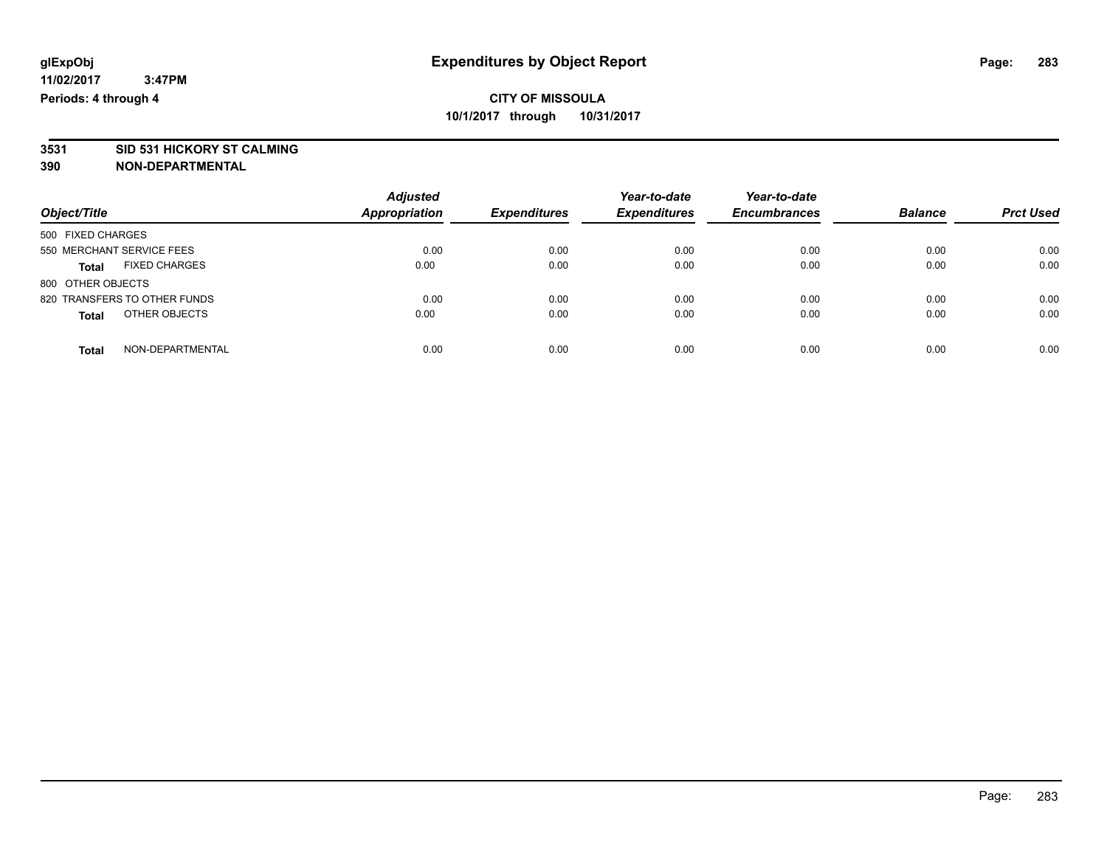# **3531 SID 531 HICKORY ST CALMING**

|                                      | <b>Adjusted</b><br><b>Appropriation</b> | <b>Expenditures</b> | Year-to-date<br><b>Expenditures</b> | Year-to-date<br><b>Encumbrances</b> | <b>Balance</b> |                  |
|--------------------------------------|-----------------------------------------|---------------------|-------------------------------------|-------------------------------------|----------------|------------------|
| Object/Title                         |                                         |                     |                                     |                                     |                | <b>Prct Used</b> |
| 500 FIXED CHARGES                    |                                         |                     |                                     |                                     |                |                  |
| 550 MERCHANT SERVICE FEES            | 0.00                                    | 0.00                | 0.00                                | 0.00                                | 0.00           | 0.00             |
| <b>FIXED CHARGES</b><br><b>Total</b> | 0.00                                    | 0.00                | 0.00                                | 0.00                                | 0.00           | 0.00             |
| 800 OTHER OBJECTS                    |                                         |                     |                                     |                                     |                |                  |
| 820 TRANSFERS TO OTHER FUNDS         | 0.00                                    | 0.00                | 0.00                                | 0.00                                | 0.00           | 0.00             |
| OTHER OBJECTS<br><b>Total</b>        | 0.00                                    | 0.00                | 0.00                                | 0.00                                | 0.00           | 0.00             |
| NON-DEPARTMENTAL<br><b>Total</b>     | 0.00                                    | 0.00                | 0.00                                | 0.00                                | 0.00           | 0.00             |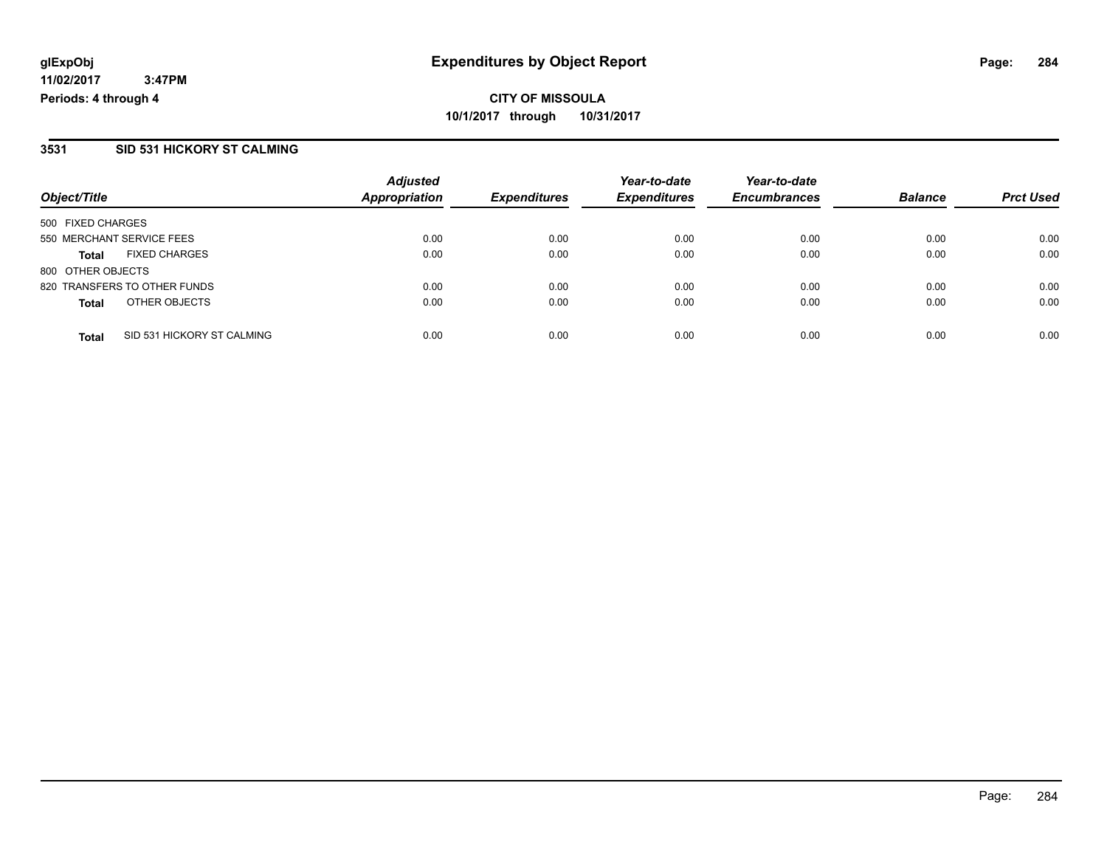#### **11/02/2017 3:47PM Periods: 4 through 4**

**CITY OF MISSOULA 10/1/2017 through 10/31/2017**

### **3531 SID 531 HICKORY ST CALMING**

|                                            | <b>Adjusted</b>      |                     | Year-to-date        | Year-to-date        |                |                  |
|--------------------------------------------|----------------------|---------------------|---------------------|---------------------|----------------|------------------|
| Object/Title                               | <b>Appropriation</b> | <b>Expenditures</b> | <b>Expenditures</b> | <b>Encumbrances</b> | <b>Balance</b> | <b>Prct Used</b> |
| 500 FIXED CHARGES                          |                      |                     |                     |                     |                |                  |
| 550 MERCHANT SERVICE FEES                  | 0.00                 | 0.00                | 0.00                | 0.00                | 0.00           | 0.00             |
| <b>FIXED CHARGES</b><br><b>Total</b>       | 0.00                 | 0.00                | 0.00                | 0.00                | 0.00           | 0.00             |
| 800 OTHER OBJECTS                          |                      |                     |                     |                     |                |                  |
| 820 TRANSFERS TO OTHER FUNDS               | 0.00                 | 0.00                | 0.00                | 0.00                | 0.00           | 0.00             |
| OTHER OBJECTS<br><b>Total</b>              | 0.00                 | 0.00                | 0.00                | 0.00                | 0.00           | 0.00             |
| SID 531 HICKORY ST CALMING<br><b>Total</b> | 0.00                 | 0.00                | 0.00                | 0.00                | 0.00           | 0.00             |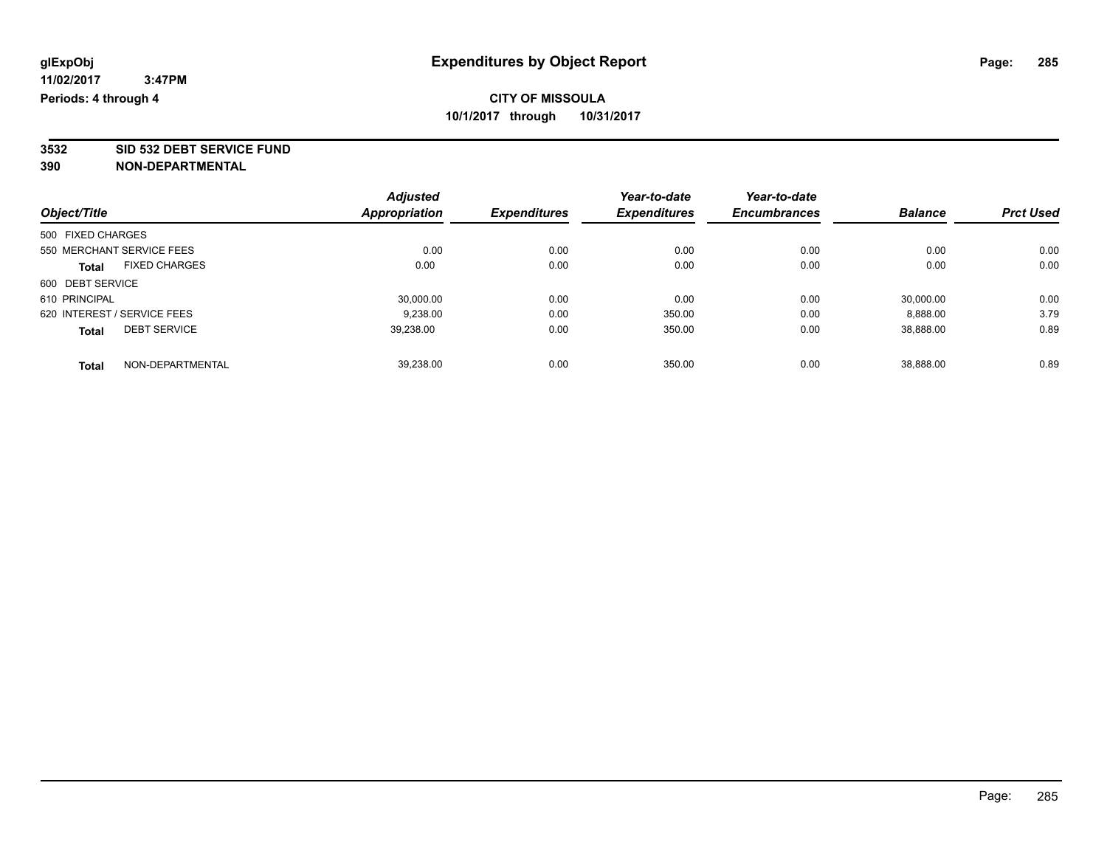**3532 SID 532 DEBT SERVICE FUND**

|                                      | <b>Adjusted</b> |                     | Year-to-date        | Year-to-date        |                |                  |
|--------------------------------------|-----------------|---------------------|---------------------|---------------------|----------------|------------------|
| Object/Title                         | Appropriation   | <b>Expenditures</b> | <b>Expenditures</b> | <b>Encumbrances</b> | <b>Balance</b> | <b>Prct Used</b> |
| 500 FIXED CHARGES                    |                 |                     |                     |                     |                |                  |
| 550 MERCHANT SERVICE FEES            | 0.00            | 0.00                | 0.00                | 0.00                | 0.00           | 0.00             |
| <b>FIXED CHARGES</b><br><b>Total</b> | 0.00            | 0.00                | 0.00                | 0.00                | 0.00           | 0.00             |
| 600 DEBT SERVICE                     |                 |                     |                     |                     |                |                  |
| 610 PRINCIPAL                        | 30,000.00       | 0.00                | 0.00                | 0.00                | 30,000.00      | 0.00             |
| 620 INTEREST / SERVICE FEES          | 9.238.00        | 0.00                | 350.00              | 0.00                | 8.888.00       | 3.79             |
| <b>DEBT SERVICE</b><br><b>Total</b>  | 39,238.00       | 0.00                | 350.00              | 0.00                | 38,888.00      | 0.89             |
| NON-DEPARTMENTAL<br><b>Total</b>     | 39.238.00       | 0.00                | 350.00              | 0.00                | 38.888.00      | 0.89             |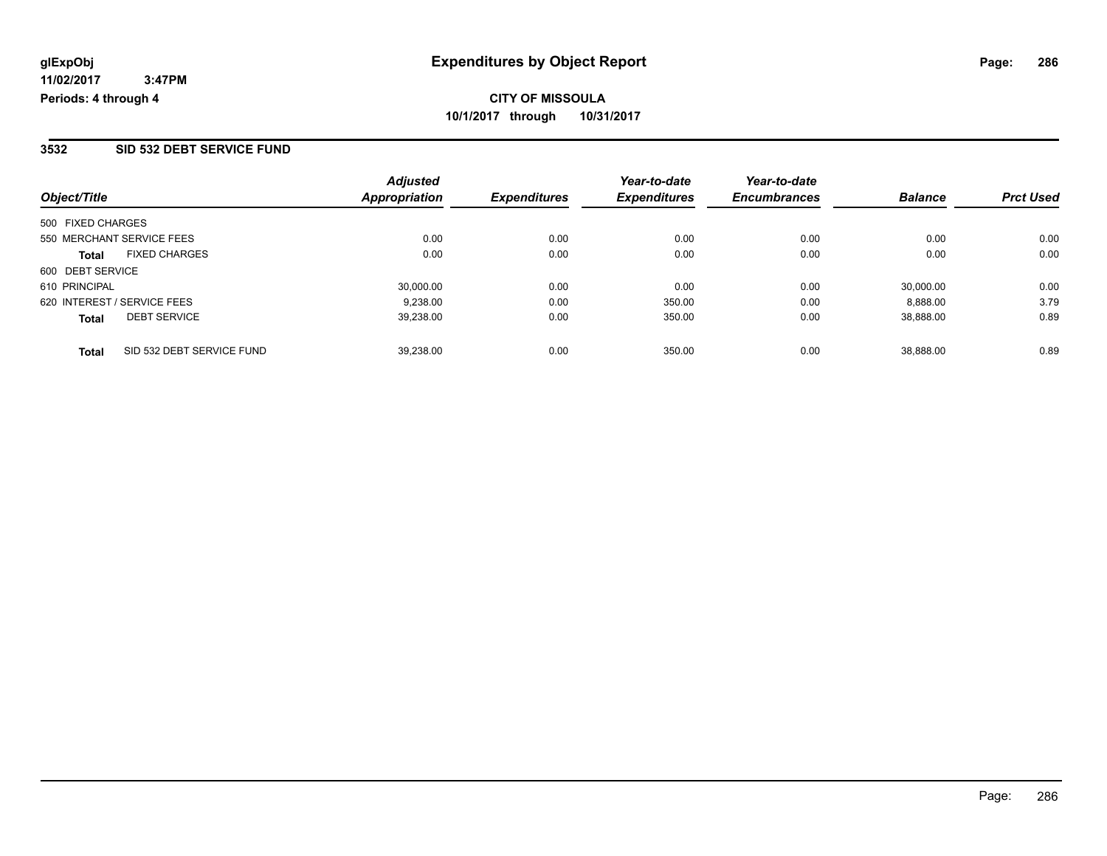### **3532 SID 532 DEBT SERVICE FUND**

| Object/Title                              | <b>Adjusted</b><br>Appropriation | <b>Expenditures</b> | Year-to-date<br><b>Expenditures</b> | Year-to-date<br><b>Encumbrances</b> | <b>Balance</b> | <b>Prct Used</b> |
|-------------------------------------------|----------------------------------|---------------------|-------------------------------------|-------------------------------------|----------------|------------------|
| 500 FIXED CHARGES                         |                                  |                     |                                     |                                     |                |                  |
| 550 MERCHANT SERVICE FEES                 | 0.00                             | 0.00                | 0.00                                | 0.00                                | 0.00           | 0.00             |
| <b>FIXED CHARGES</b><br><b>Total</b>      | 0.00                             | 0.00                | 0.00                                | 0.00                                | 0.00           | 0.00             |
| 600 DEBT SERVICE                          |                                  |                     |                                     |                                     |                |                  |
| 610 PRINCIPAL                             | 30,000.00                        | 0.00                | 0.00                                | 0.00                                | 30,000.00      | 0.00             |
| 620 INTEREST / SERVICE FEES               | 9.238.00                         | 0.00                | 350.00                              | 0.00                                | 8.888.00       | 3.79             |
| <b>DEBT SERVICE</b><br><b>Total</b>       | 39,238.00                        | 0.00                | 350.00                              | 0.00                                | 38,888.00      | 0.89             |
| SID 532 DEBT SERVICE FUND<br><b>Total</b> | 39.238.00                        | 0.00                | 350.00                              | 0.00                                | 38.888.00      | 0.89             |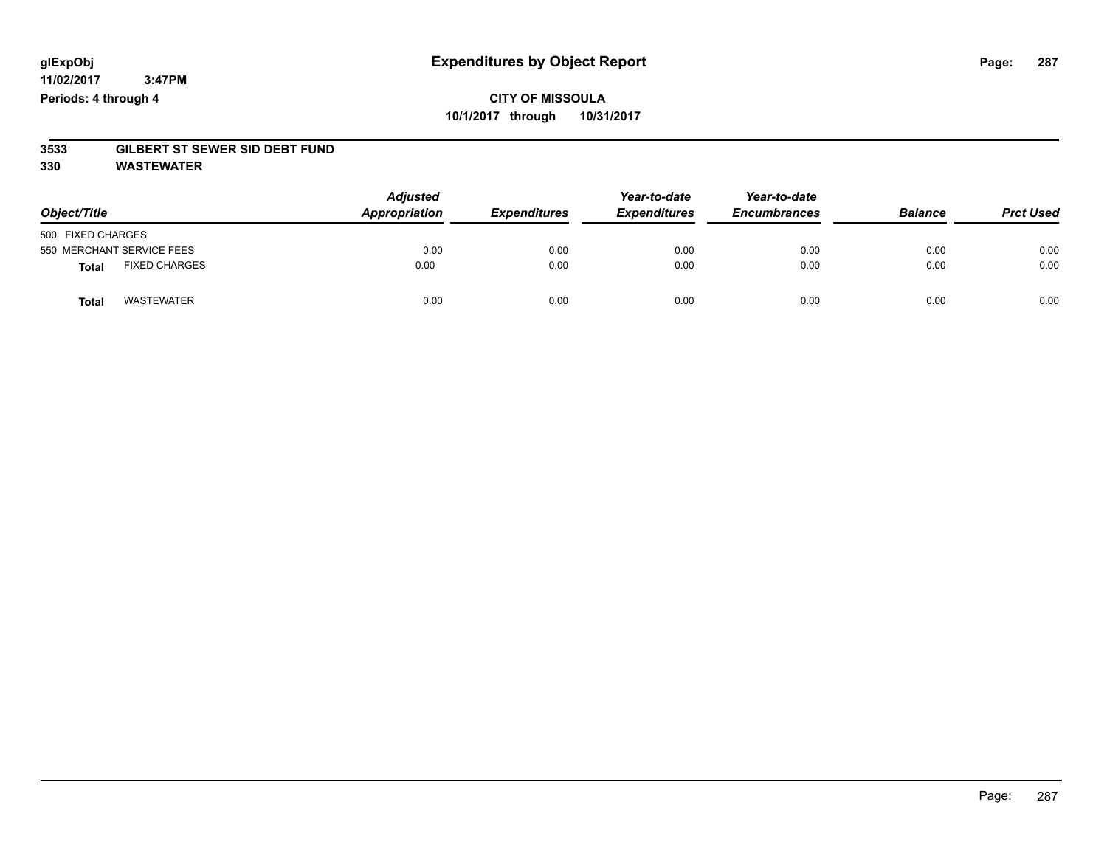**11/02/2017 3:47PM Periods: 4 through 4**

# **CITY OF MISSOULA 10/1/2017 through 10/31/2017**

# **3533 GILBERT ST SEWER SID DEBT FUND**

**330 WASTEWATER**

| Object/Title                         | <b>Adjusted</b><br>Appropriation | <b>Expenditures</b> | Year-to-date<br><b>Expenditures</b> | Year-to-date<br><b>Encumbrances</b> | <b>Balance</b> | <b>Prct Used</b> |
|--------------------------------------|----------------------------------|---------------------|-------------------------------------|-------------------------------------|----------------|------------------|
| 500 FIXED CHARGES                    |                                  |                     |                                     |                                     |                |                  |
| 550 MERCHANT SERVICE FEES            | 0.00                             | 0.00                | 0.00                                | 0.00                                | 0.00           | 0.00             |
| <b>FIXED CHARGES</b><br><b>Total</b> | 0.00                             | 0.00                | 0.00                                | 0.00                                | 0.00           | 0.00             |
| WASTEWATER<br>Total                  | 0.00                             | 0.00                | 0.00                                | 0.00                                | 0.00           | 0.00             |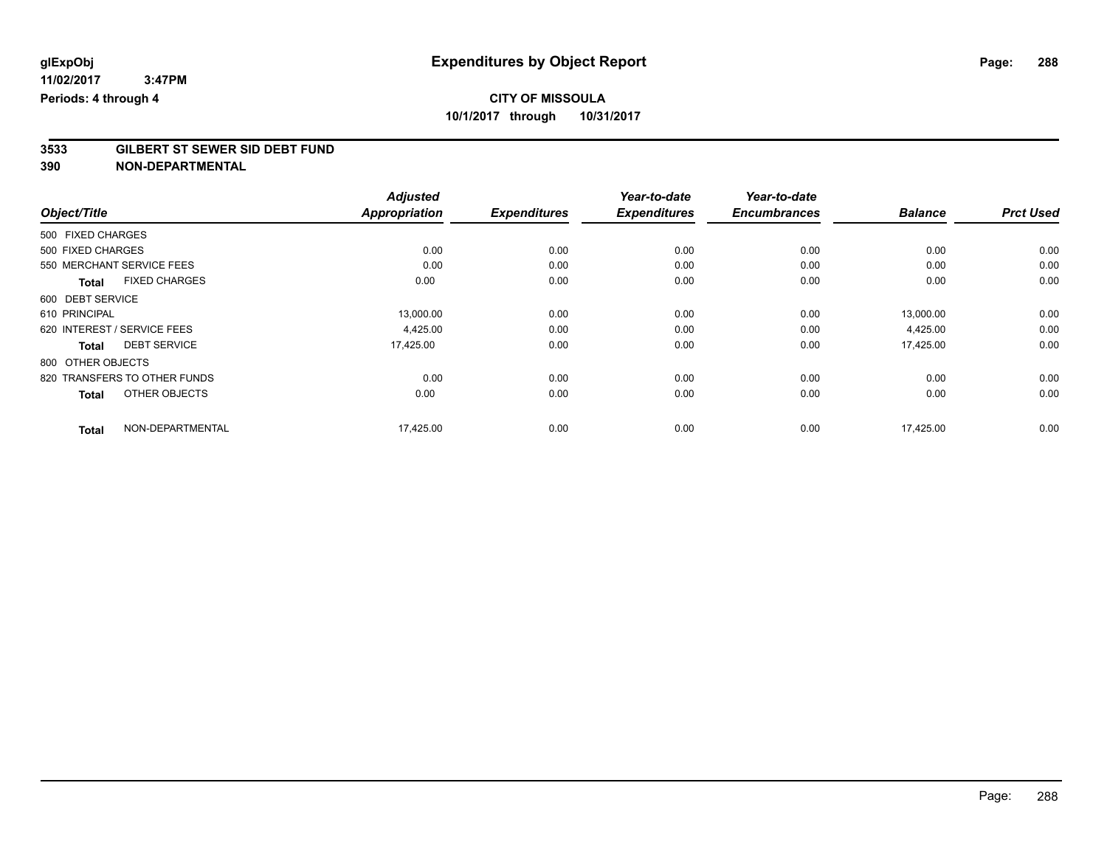# **3533 GILBERT ST SEWER SID DEBT FUND**

|                                      | <b>Adjusted</b> |                     | Year-to-date        | Year-to-date        |                |                  |
|--------------------------------------|-----------------|---------------------|---------------------|---------------------|----------------|------------------|
| Object/Title                         | Appropriation   | <b>Expenditures</b> | <b>Expenditures</b> | <b>Encumbrances</b> | <b>Balance</b> | <b>Prct Used</b> |
| 500 FIXED CHARGES                    |                 |                     |                     |                     |                |                  |
| 500 FIXED CHARGES                    | 0.00            | 0.00                | 0.00                | 0.00                | 0.00           | 0.00             |
| 550 MERCHANT SERVICE FEES            | 0.00            | 0.00                | 0.00                | 0.00                | 0.00           | 0.00             |
| <b>FIXED CHARGES</b><br><b>Total</b> | 0.00            | 0.00                | 0.00                | 0.00                | 0.00           | 0.00             |
| 600 DEBT SERVICE                     |                 |                     |                     |                     |                |                  |
| 610 PRINCIPAL                        | 13,000.00       | 0.00                | 0.00                | 0.00                | 13,000.00      | 0.00             |
| 620 INTEREST / SERVICE FEES          | 4,425.00        | 0.00                | 0.00                | 0.00                | 4,425.00       | 0.00             |
| <b>DEBT SERVICE</b><br><b>Total</b>  | 17,425.00       | 0.00                | 0.00                | 0.00                | 17,425.00      | 0.00             |
| 800 OTHER OBJECTS                    |                 |                     |                     |                     |                |                  |
| 820 TRANSFERS TO OTHER FUNDS         | 0.00            | 0.00                | 0.00                | 0.00                | 0.00           | 0.00             |
| OTHER OBJECTS<br><b>Total</b>        | 0.00            | 0.00                | 0.00                | 0.00                | 0.00           | 0.00             |
| NON-DEPARTMENTAL<br><b>Total</b>     | 17,425.00       | 0.00                | 0.00                | 0.00                | 17,425.00      | 0.00             |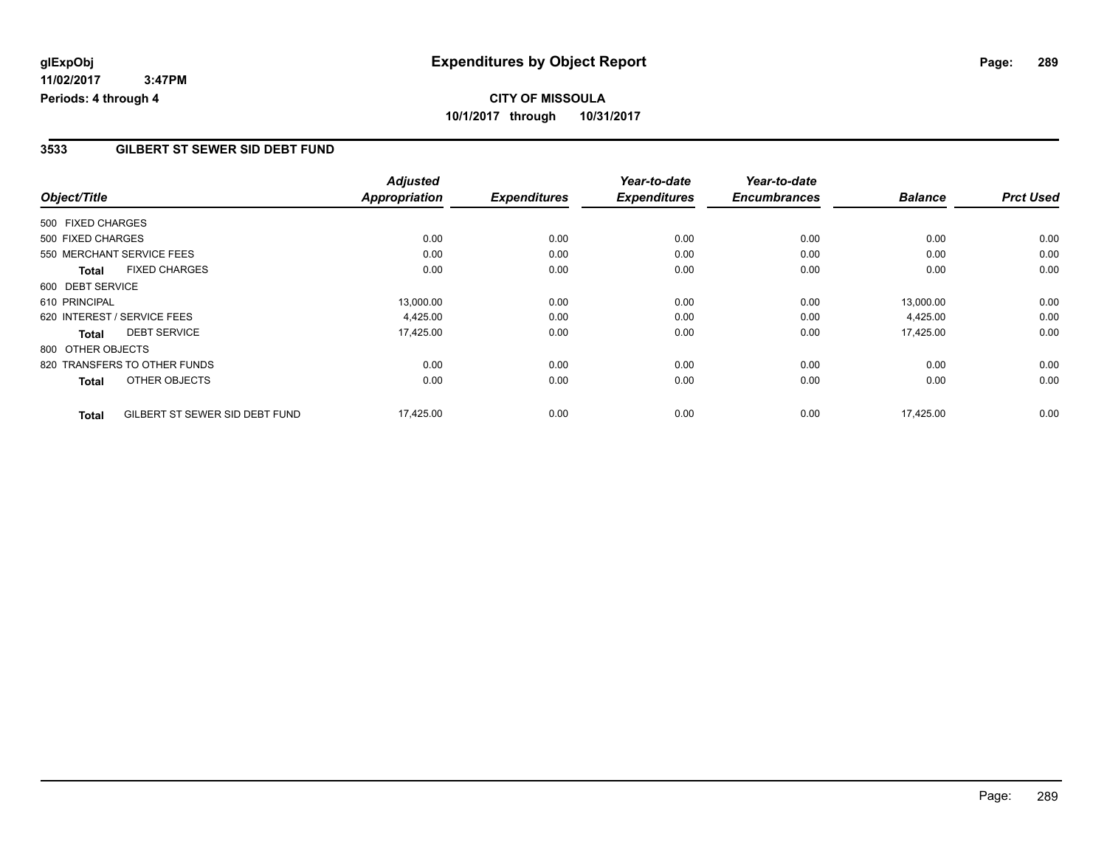## **CITY OF MISSOULA 10/1/2017 through 10/31/2017**

### **3533 GILBERT ST SEWER SID DEBT FUND**

|                                                | <b>Adjusted</b>      |                     | Year-to-date        | Year-to-date        |                |                  |
|------------------------------------------------|----------------------|---------------------|---------------------|---------------------|----------------|------------------|
| Object/Title                                   | <b>Appropriation</b> | <b>Expenditures</b> | <b>Expenditures</b> | <b>Encumbrances</b> | <b>Balance</b> | <b>Prct Used</b> |
| 500 FIXED CHARGES                              |                      |                     |                     |                     |                |                  |
| 500 FIXED CHARGES                              | 0.00                 | 0.00                | 0.00                | 0.00                | 0.00           | 0.00             |
| 550 MERCHANT SERVICE FEES                      | 0.00                 | 0.00                | 0.00                | 0.00                | 0.00           | 0.00             |
| <b>FIXED CHARGES</b><br><b>Total</b>           | 0.00                 | 0.00                | 0.00                | 0.00                | 0.00           | 0.00             |
| 600 DEBT SERVICE                               |                      |                     |                     |                     |                |                  |
| 610 PRINCIPAL                                  | 13,000.00            | 0.00                | 0.00                | 0.00                | 13,000.00      | 0.00             |
| 620 INTEREST / SERVICE FEES                    | 4,425.00             | 0.00                | 0.00                | 0.00                | 4,425.00       | 0.00             |
| <b>DEBT SERVICE</b><br><b>Total</b>            | 17,425.00            | 0.00                | 0.00                | 0.00                | 17,425.00      | 0.00             |
| 800 OTHER OBJECTS                              |                      |                     |                     |                     |                |                  |
| 820 TRANSFERS TO OTHER FUNDS                   | 0.00                 | 0.00                | 0.00                | 0.00                | 0.00           | 0.00             |
| OTHER OBJECTS<br><b>Total</b>                  | 0.00                 | 0.00                | 0.00                | 0.00                | 0.00           | 0.00             |
| GILBERT ST SEWER SID DEBT FUND<br><b>Total</b> | 17,425.00            | 0.00                | 0.00                | 0.00                | 17,425.00      | 0.00             |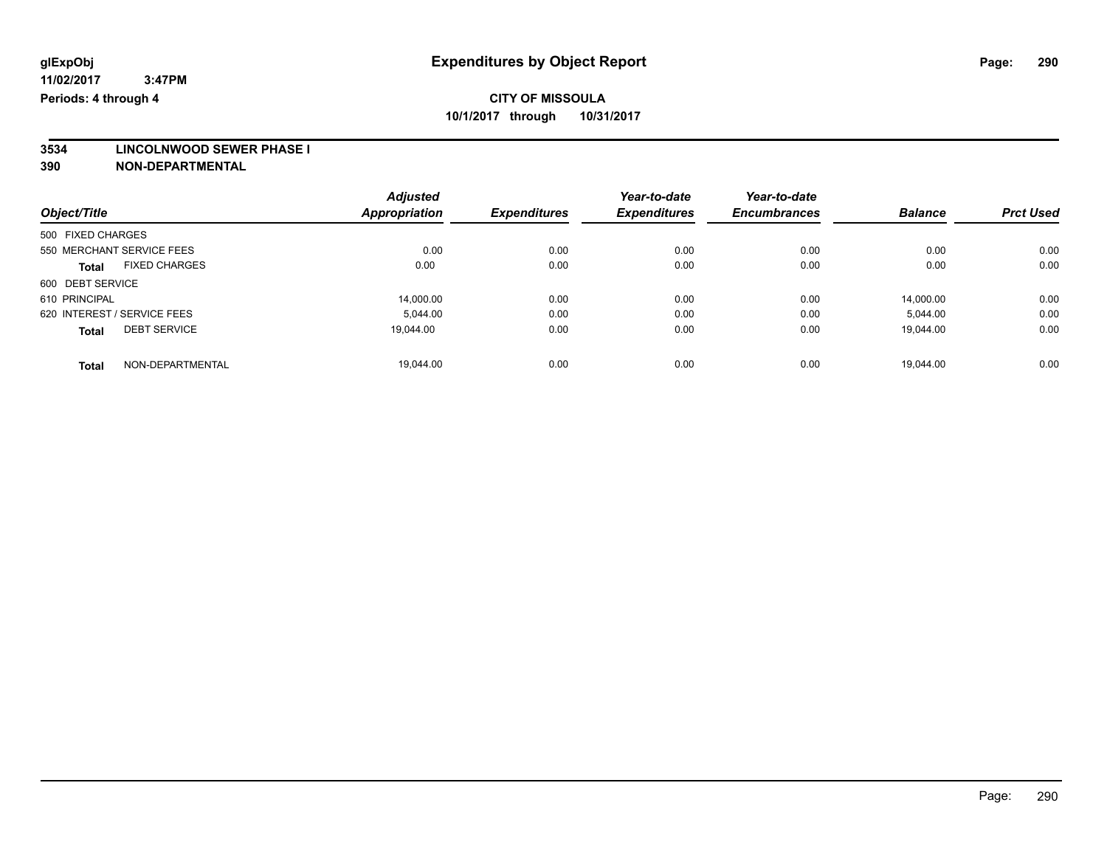**3534 LINCOLNWOOD SEWER PHASE I**

|                                      | <b>Adjusted</b>      |                     | Year-to-date        | Year-to-date        |                |                  |
|--------------------------------------|----------------------|---------------------|---------------------|---------------------|----------------|------------------|
| Object/Title                         | <b>Appropriation</b> | <b>Expenditures</b> | <b>Expenditures</b> | <b>Encumbrances</b> | <b>Balance</b> | <b>Prct Used</b> |
| 500 FIXED CHARGES                    |                      |                     |                     |                     |                |                  |
| 550 MERCHANT SERVICE FEES            | 0.00                 | 0.00                | 0.00                | 0.00                | 0.00           | 0.00             |
| <b>FIXED CHARGES</b><br><b>Total</b> | 0.00                 | 0.00                | 0.00                | 0.00                | 0.00           | 0.00             |
| 600 DEBT SERVICE                     |                      |                     |                     |                     |                |                  |
| 610 PRINCIPAL                        | 14.000.00            | 0.00                | 0.00                | 0.00                | 14.000.00      | 0.00             |
| 620 INTEREST / SERVICE FEES          | 5.044.00             | 0.00                | 0.00                | 0.00                | 5,044.00       | 0.00             |
| <b>DEBT SERVICE</b><br><b>Total</b>  | 19.044.00            | 0.00                | 0.00                | 0.00                | 19.044.00      | 0.00             |
| NON-DEPARTMENTAL<br><b>Total</b>     | 19.044.00            | 0.00                | 0.00                | 0.00                | 19.044.00      | 0.00             |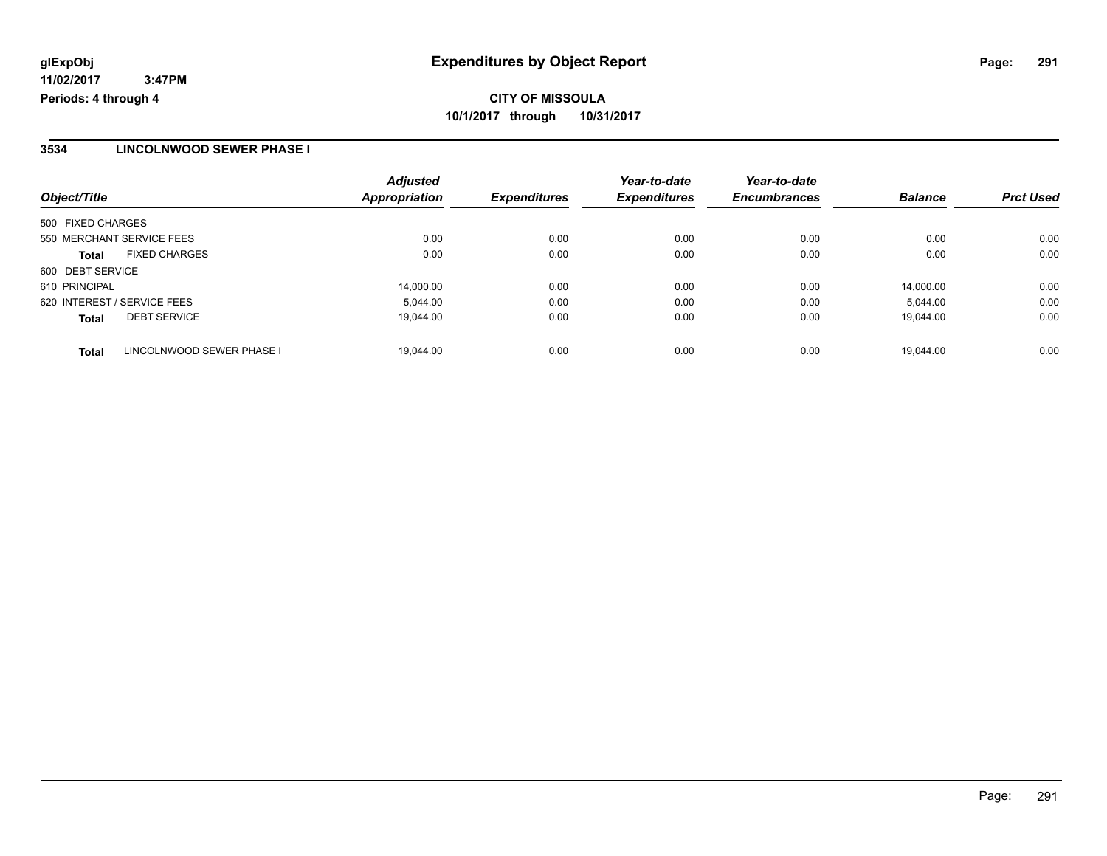### **3534 LINCOLNWOOD SEWER PHASE I**

| Object/Title                              | <b>Adjusted</b><br>Appropriation | <b>Expenditures</b> | Year-to-date<br><b>Expenditures</b> | Year-to-date<br><b>Encumbrances</b> | <b>Balance</b> | <b>Prct Used</b> |
|-------------------------------------------|----------------------------------|---------------------|-------------------------------------|-------------------------------------|----------------|------------------|
| 500 FIXED CHARGES                         |                                  |                     |                                     |                                     |                |                  |
| 550 MERCHANT SERVICE FEES                 | 0.00                             | 0.00                | 0.00                                | 0.00                                | 0.00           | 0.00             |
| <b>FIXED CHARGES</b><br><b>Total</b>      | 0.00                             | 0.00                | 0.00                                | 0.00                                | 0.00           | 0.00             |
| 600 DEBT SERVICE                          |                                  |                     |                                     |                                     |                |                  |
| 610 PRINCIPAL                             | 14,000.00                        | 0.00                | 0.00                                | 0.00                                | 14.000.00      | 0.00             |
| 620 INTEREST / SERVICE FEES               | 5,044.00                         | 0.00                | 0.00                                | 0.00                                | 5,044.00       | 0.00             |
| <b>DEBT SERVICE</b><br><b>Total</b>       | 19,044.00                        | 0.00                | 0.00                                | 0.00                                | 19.044.00      | 0.00             |
| LINCOLNWOOD SEWER PHASE I<br><b>Total</b> | 19.044.00                        | 0.00                | 0.00                                | 0.00                                | 19.044.00      | 0.00             |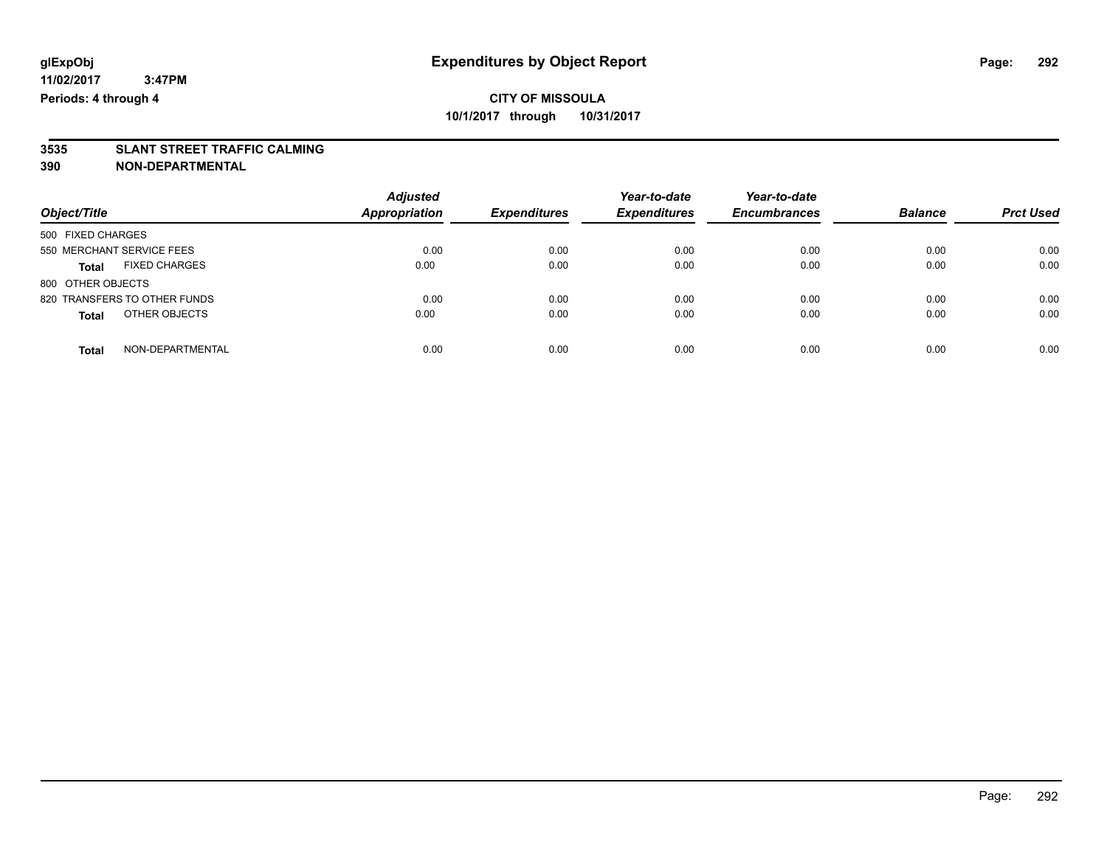# **3535 SLANT STREET TRAFFIC CALMING**

| Object/Title                         | <b>Adjusted</b><br><b>Appropriation</b> | <b>Expenditures</b> | Year-to-date<br><b>Expenditures</b> | Year-to-date<br><b>Encumbrances</b> | <b>Balance</b> | <b>Prct Used</b> |
|--------------------------------------|-----------------------------------------|---------------------|-------------------------------------|-------------------------------------|----------------|------------------|
| 500 FIXED CHARGES                    |                                         |                     |                                     |                                     |                |                  |
| 550 MERCHANT SERVICE FEES            | 0.00                                    | 0.00                | 0.00                                | 0.00                                | 0.00           | 0.00             |
| <b>FIXED CHARGES</b><br><b>Total</b> | 0.00                                    | 0.00                | 0.00                                | 0.00                                | 0.00           | 0.00             |
| 800 OTHER OBJECTS                    |                                         |                     |                                     |                                     |                |                  |
| 820 TRANSFERS TO OTHER FUNDS         | 0.00                                    | 0.00                | 0.00                                | 0.00                                | 0.00           | 0.00             |
| OTHER OBJECTS<br><b>Total</b>        | 0.00                                    | 0.00                | 0.00                                | 0.00                                | 0.00           | 0.00             |
| NON-DEPARTMENTAL<br>Total            | 0.00                                    | 0.00                | 0.00                                | 0.00                                | 0.00           | 0.00             |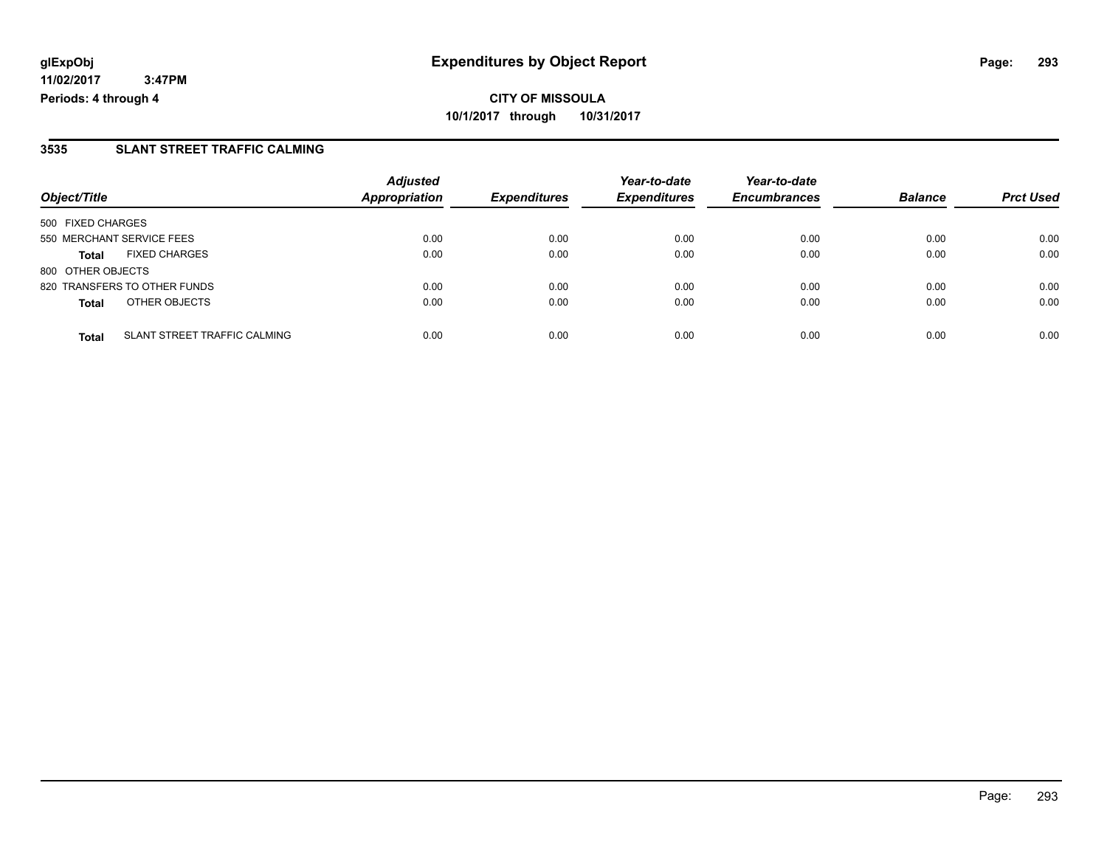### **3535 SLANT STREET TRAFFIC CALMING**

|                           |                              | <b>Adjusted</b>      |                     | Year-to-date        | Year-to-date        |                |                  |
|---------------------------|------------------------------|----------------------|---------------------|---------------------|---------------------|----------------|------------------|
| Object/Title              |                              | <b>Appropriation</b> | <b>Expenditures</b> | <b>Expenditures</b> | <b>Encumbrances</b> | <b>Balance</b> | <b>Prct Used</b> |
| 500 FIXED CHARGES         |                              |                      |                     |                     |                     |                |                  |
| 550 MERCHANT SERVICE FEES |                              | 0.00                 | 0.00                | 0.00                | 0.00                | 0.00           | 0.00             |
| <b>Total</b>              | <b>FIXED CHARGES</b>         | 0.00                 | 0.00                | 0.00                | 0.00                | 0.00           | 0.00             |
| 800 OTHER OBJECTS         |                              |                      |                     |                     |                     |                |                  |
|                           | 820 TRANSFERS TO OTHER FUNDS | 0.00                 | 0.00                | 0.00                | 0.00                | 0.00           | 0.00             |
| <b>Total</b>              | OTHER OBJECTS                | 0.00                 | 0.00                | 0.00                | 0.00                | 0.00           | 0.00             |
| <b>Total</b>              | SLANT STREET TRAFFIC CALMING | 0.00                 | 0.00                | 0.00                | 0.00                | 0.00           | 0.00             |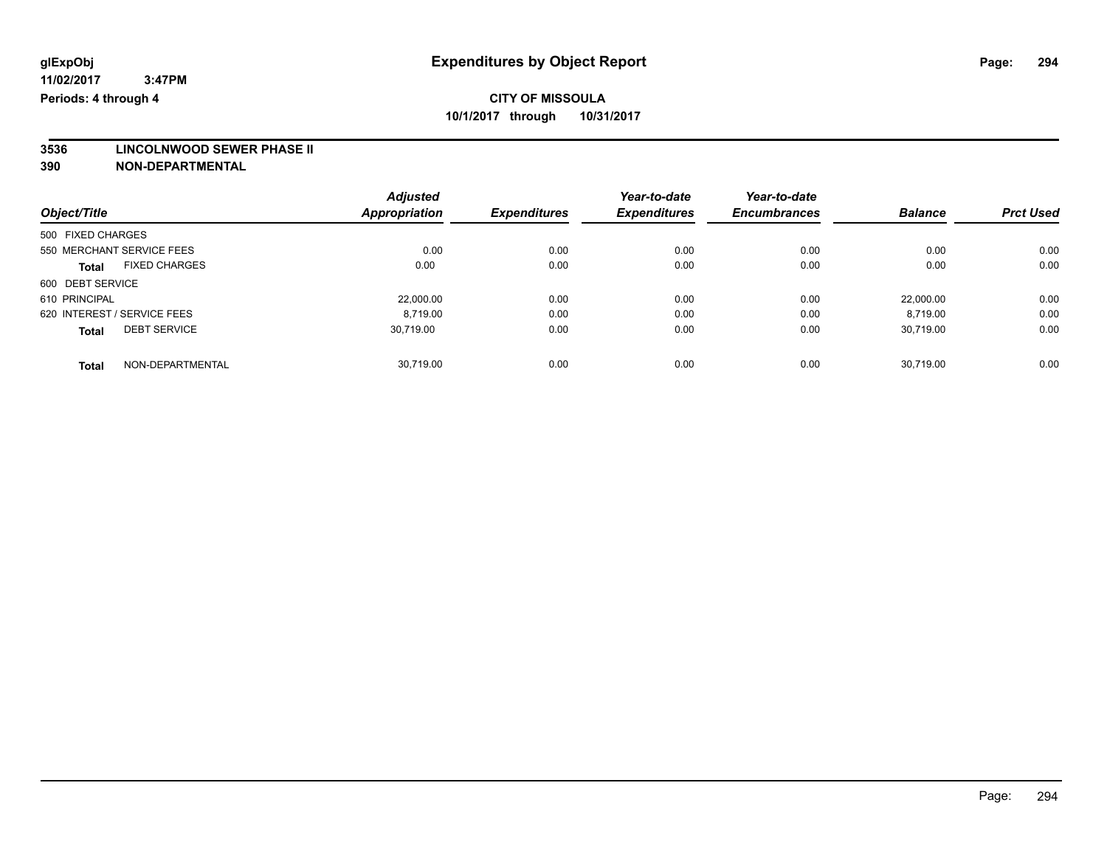# **3536 LINCOLNWOOD SEWER PHASE II**

|                                      |                  | <b>Adjusted</b> |                     | Year-to-date        | Year-to-date        |                |                  |
|--------------------------------------|------------------|-----------------|---------------------|---------------------|---------------------|----------------|------------------|
| Object/Title                         |                  | Appropriation   | <b>Expenditures</b> | <b>Expenditures</b> | <b>Encumbrances</b> | <b>Balance</b> | <b>Prct Used</b> |
| 500 FIXED CHARGES                    |                  |                 |                     |                     |                     |                |                  |
| 550 MERCHANT SERVICE FEES            |                  | 0.00            | 0.00                | 0.00                | 0.00                | 0.00           | 0.00             |
| <b>FIXED CHARGES</b><br><b>Total</b> |                  | 0.00            | 0.00                | 0.00                | 0.00                | 0.00           | 0.00             |
| 600 DEBT SERVICE                     |                  |                 |                     |                     |                     |                |                  |
| 610 PRINCIPAL                        |                  | 22,000.00       | 0.00                | 0.00                | 0.00                | 22.000.00      | 0.00             |
| 620 INTEREST / SERVICE FEES          |                  | 8.719.00        | 0.00                | 0.00                | 0.00                | 8.719.00       | 0.00             |
| <b>DEBT SERVICE</b><br><b>Total</b>  |                  | 30.719.00       | 0.00                | 0.00                | 0.00                | 30.719.00      | 0.00             |
| <b>Total</b>                         | NON-DEPARTMENTAL | 30.719.00       | 0.00                | 0.00                | 0.00                | 30.719.00      | 0.00             |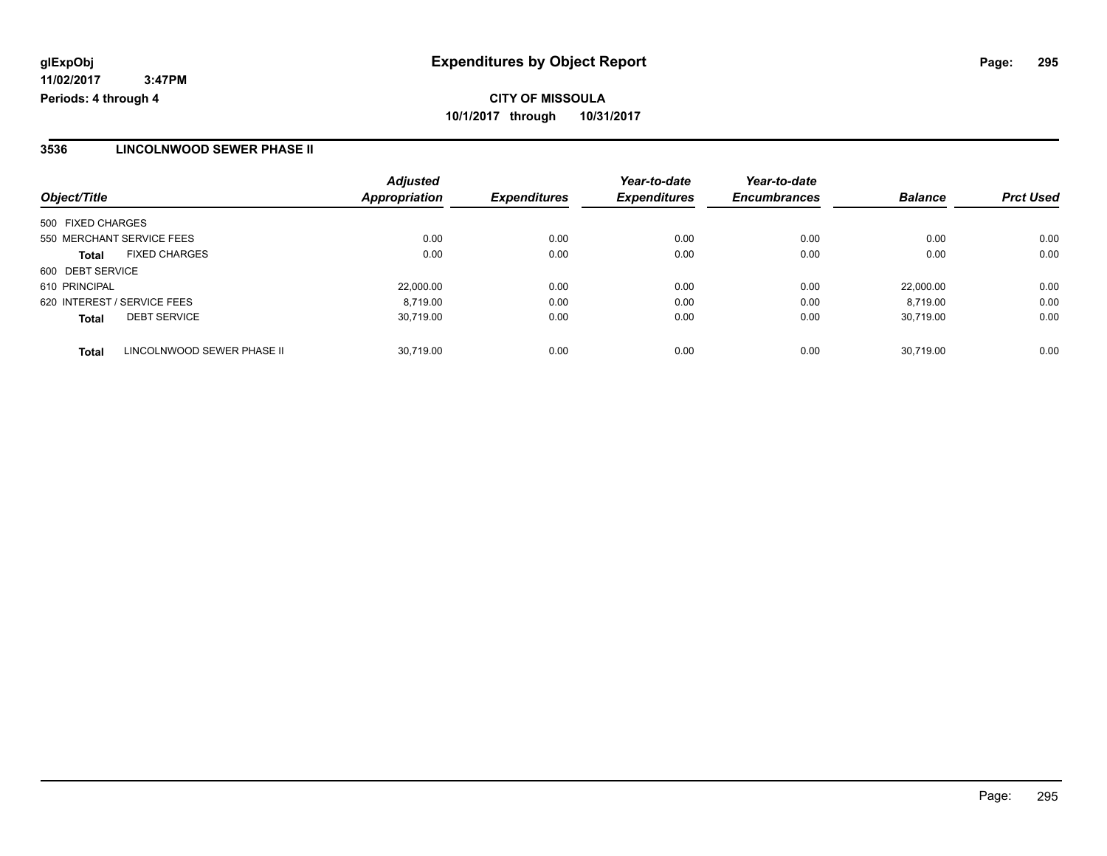### **3536 LINCOLNWOOD SEWER PHASE II**

| Object/Title                               | <b>Adjusted</b><br>Appropriation | <b>Expenditures</b> | Year-to-date<br><b>Expenditures</b> | Year-to-date<br><b>Encumbrances</b> | <b>Balance</b> | <b>Prct Used</b> |
|--------------------------------------------|----------------------------------|---------------------|-------------------------------------|-------------------------------------|----------------|------------------|
| 500 FIXED CHARGES                          |                                  |                     |                                     |                                     |                |                  |
| 550 MERCHANT SERVICE FEES                  | 0.00                             | 0.00                | 0.00                                | 0.00                                | 0.00           | 0.00             |
| <b>FIXED CHARGES</b><br><b>Total</b>       | 0.00                             | 0.00                | 0.00                                | 0.00                                | 0.00           | 0.00             |
| 600 DEBT SERVICE                           |                                  |                     |                                     |                                     |                |                  |
| 610 PRINCIPAL                              | 22.000.00                        | 0.00                | 0.00                                | 0.00                                | 22,000.00      | 0.00             |
| 620 INTEREST / SERVICE FEES                | 8.719.00                         | 0.00                | 0.00                                | 0.00                                | 8.719.00       | 0.00             |
| <b>DEBT SERVICE</b><br><b>Total</b>        | 30,719.00                        | 0.00                | 0.00                                | 0.00                                | 30.719.00      | 0.00             |
| LINCOLNWOOD SEWER PHASE II<br><b>Total</b> | 30.719.00                        | 0.00                | 0.00                                | 0.00                                | 30.719.00      | 0.00             |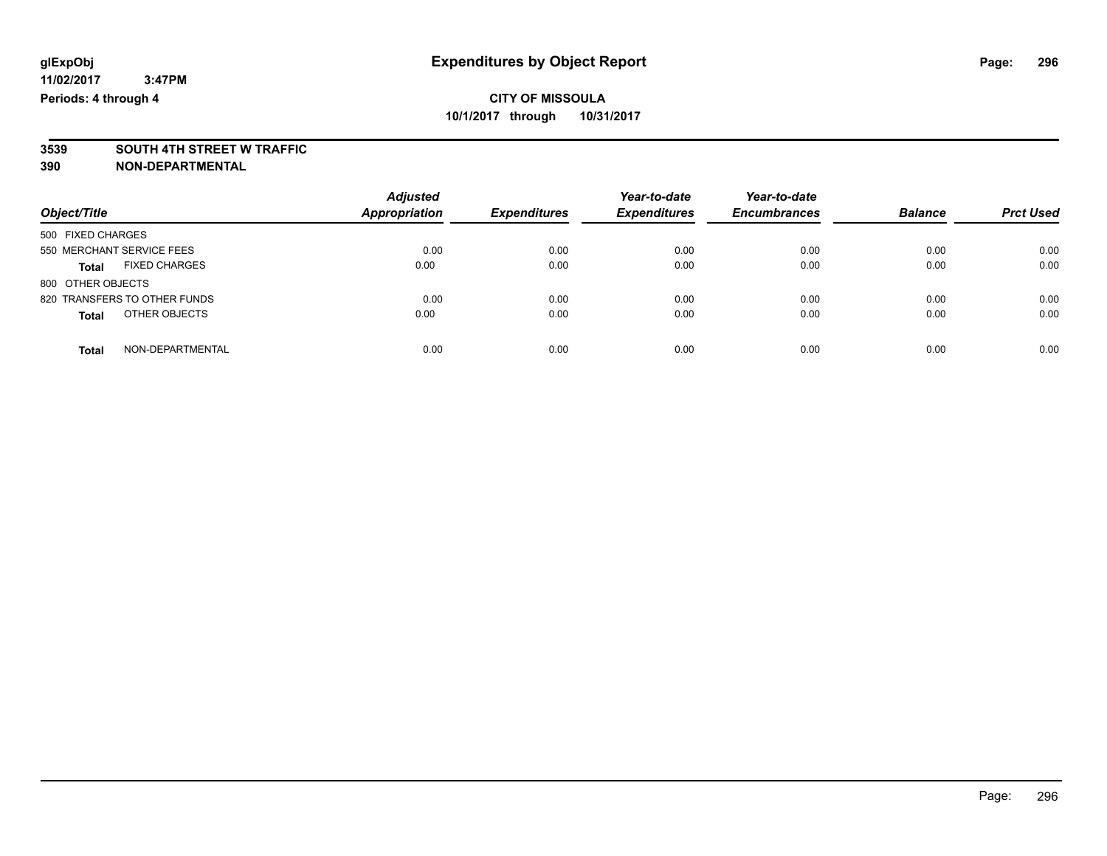# **3539 SOUTH 4TH STREET W TRAFFIC**

| Object/Title                  | <b>Adjusted</b><br>Appropriation | <b>Expenditures</b> | Year-to-date<br><b>Expenditures</b> | Year-to-date<br><b>Encumbrances</b> | <b>Balance</b> | <b>Prct Used</b> |
|-------------------------------|----------------------------------|---------------------|-------------------------------------|-------------------------------------|----------------|------------------|
| 500 FIXED CHARGES             |                                  |                     |                                     |                                     |                |                  |
| 550 MERCHANT SERVICE FEES     | 0.00                             | 0.00                | 0.00                                | 0.00                                | 0.00           | 0.00             |
| <b>FIXED CHARGES</b><br>Total | 0.00                             | 0.00                | 0.00                                | 0.00                                | 0.00           | 0.00             |
| 800 OTHER OBJECTS             |                                  |                     |                                     |                                     |                |                  |
| 820 TRANSFERS TO OTHER FUNDS  | 0.00                             | 0.00                | 0.00                                | 0.00                                | 0.00           | 0.00             |
| OTHER OBJECTS<br><b>Total</b> | 0.00                             | 0.00                | 0.00                                | 0.00                                | 0.00           | 0.00             |
| NON-DEPARTMENTAL<br>Total     | 0.00                             | 0.00                | 0.00                                | 0.00                                | 0.00           | 0.00             |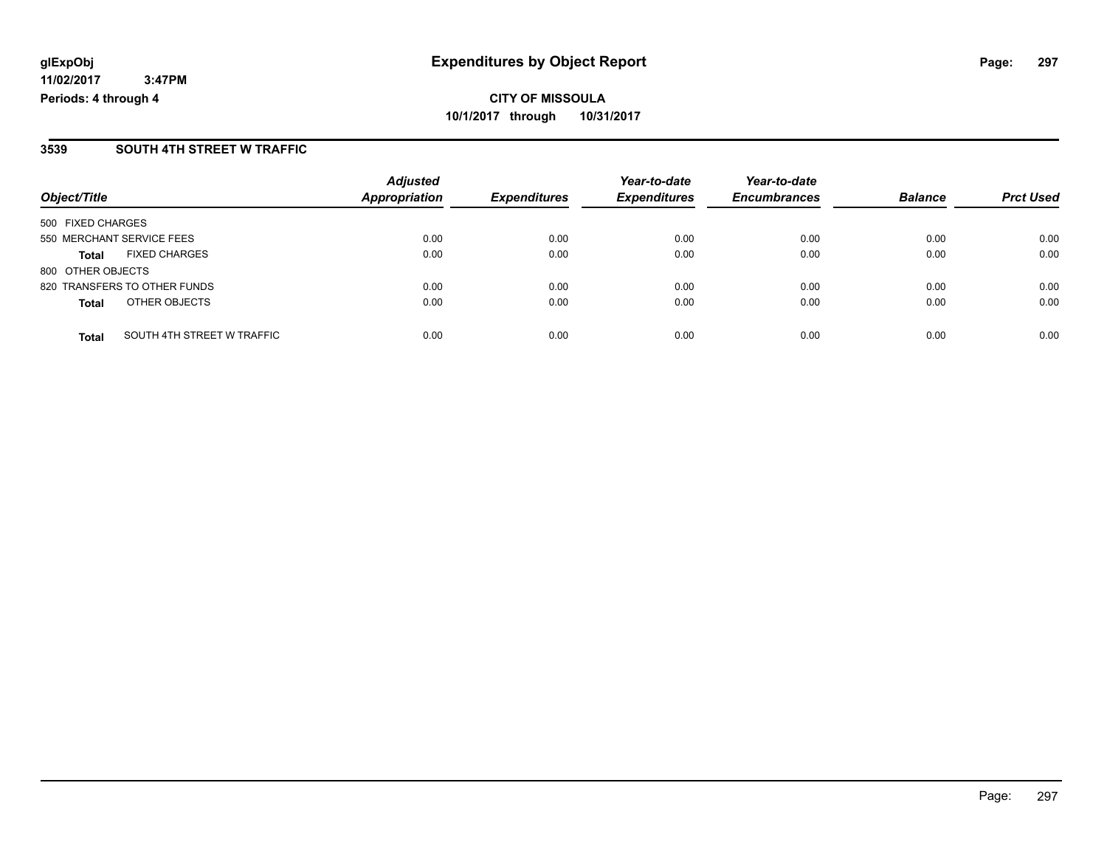### **3539 SOUTH 4TH STREET W TRAFFIC**

|                                            | <b>Adjusted</b>      |                     | Year-to-date        | Year-to-date        |                |                  |
|--------------------------------------------|----------------------|---------------------|---------------------|---------------------|----------------|------------------|
| Object/Title                               | <b>Appropriation</b> | <b>Expenditures</b> | <b>Expenditures</b> | <b>Encumbrances</b> | <b>Balance</b> | <b>Prct Used</b> |
| 500 FIXED CHARGES                          |                      |                     |                     |                     |                |                  |
| 550 MERCHANT SERVICE FEES                  | 0.00                 | 0.00                | 0.00                | 0.00                | 0.00           | 0.00             |
| <b>FIXED CHARGES</b><br><b>Total</b>       | 0.00                 | 0.00                | 0.00                | 0.00                | 0.00           | 0.00             |
| 800 OTHER OBJECTS                          |                      |                     |                     |                     |                |                  |
| 820 TRANSFERS TO OTHER FUNDS               | 0.00                 | 0.00                | 0.00                | 0.00                | 0.00           | 0.00             |
| OTHER OBJECTS<br><b>Total</b>              | 0.00                 | 0.00                | 0.00                | 0.00                | 0.00           | 0.00             |
| SOUTH 4TH STREET W TRAFFIC<br><b>Total</b> | 0.00                 | 0.00                | 0.00                | 0.00                | 0.00           | 0.00             |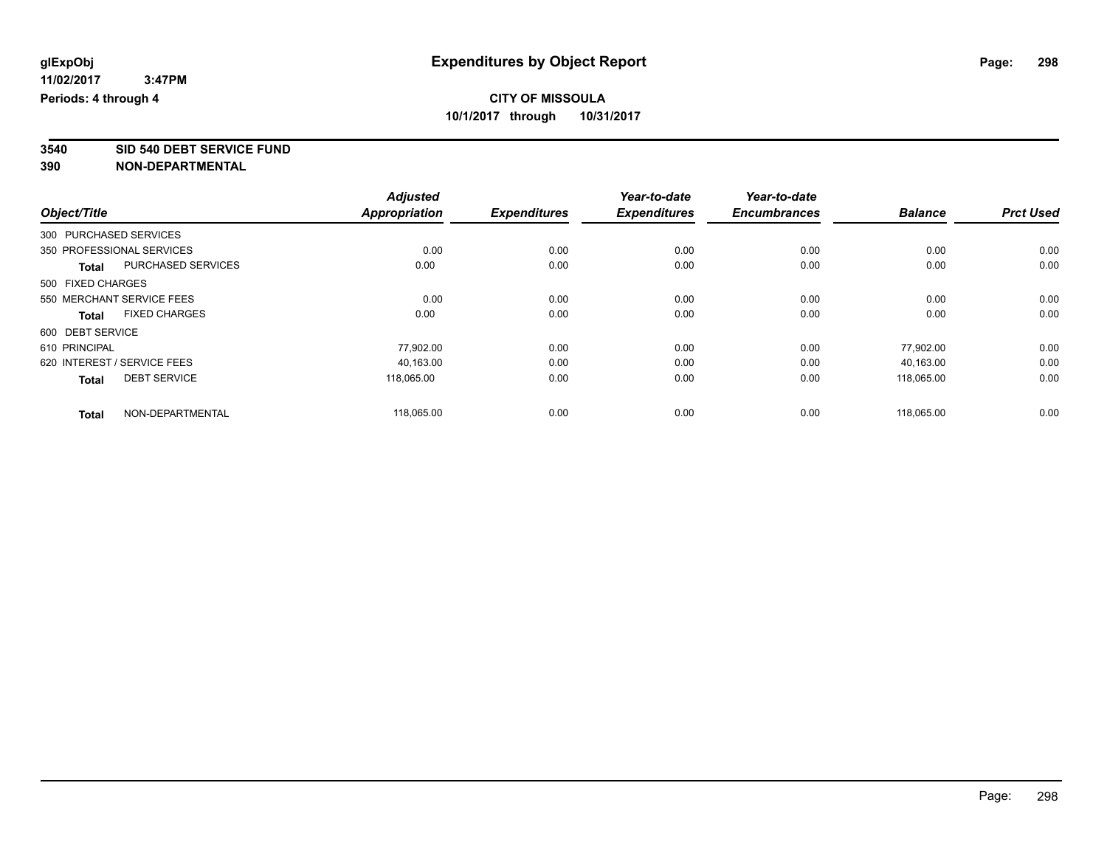**3540 SID 540 DEBT SERVICE FUND**

|                   |                             | <b>Adjusted</b>      |                     | Year-to-date        | Year-to-date        |                |                  |
|-------------------|-----------------------------|----------------------|---------------------|---------------------|---------------------|----------------|------------------|
| Object/Title      |                             | <b>Appropriation</b> | <b>Expenditures</b> | <b>Expenditures</b> | <b>Encumbrances</b> | <b>Balance</b> | <b>Prct Used</b> |
|                   | 300 PURCHASED SERVICES      |                      |                     |                     |                     |                |                  |
|                   | 350 PROFESSIONAL SERVICES   | 0.00                 | 0.00                | 0.00                | 0.00                | 0.00           | 0.00             |
| <b>Total</b>      | <b>PURCHASED SERVICES</b>   | 0.00                 | 0.00                | 0.00                | 0.00                | 0.00           | 0.00             |
| 500 FIXED CHARGES |                             |                      |                     |                     |                     |                |                  |
|                   | 550 MERCHANT SERVICE FEES   | 0.00                 | 0.00                | 0.00                | 0.00                | 0.00           | 0.00             |
| <b>Total</b>      | <b>FIXED CHARGES</b>        | 0.00                 | 0.00                | 0.00                | 0.00                | 0.00           | 0.00             |
| 600 DEBT SERVICE  |                             |                      |                     |                     |                     |                |                  |
| 610 PRINCIPAL     |                             | 77,902.00            | 0.00                | 0.00                | 0.00                | 77,902.00      | 0.00             |
|                   | 620 INTEREST / SERVICE FEES | 40,163.00            | 0.00                | 0.00                | 0.00                | 40.163.00      | 0.00             |
| <b>Total</b>      | <b>DEBT SERVICE</b>         | 118,065.00           | 0.00                | 0.00                | 0.00                | 118,065.00     | 0.00             |
| <b>Total</b>      | NON-DEPARTMENTAL            | 118,065.00           | 0.00                | 0.00                | 0.00                | 118,065.00     | 0.00             |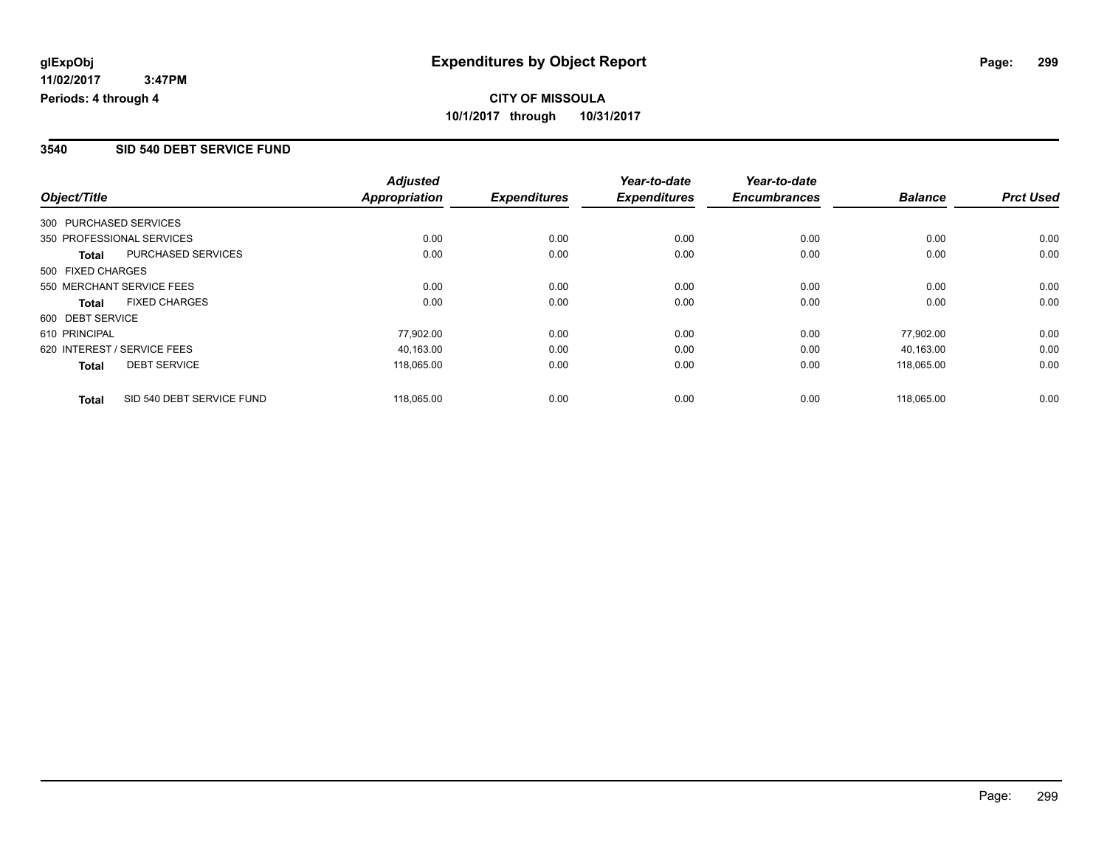#### **3540 SID 540 DEBT SERVICE FUND**

|                   |                             | <b>Adjusted</b>      |                     | Year-to-date        | Year-to-date        |                |                  |
|-------------------|-----------------------------|----------------------|---------------------|---------------------|---------------------|----------------|------------------|
| Object/Title      |                             | <b>Appropriation</b> | <b>Expenditures</b> | <b>Expenditures</b> | <b>Encumbrances</b> | <b>Balance</b> | <b>Prct Used</b> |
|                   | 300 PURCHASED SERVICES      |                      |                     |                     |                     |                |                  |
|                   | 350 PROFESSIONAL SERVICES   | 0.00                 | 0.00                | 0.00                | 0.00                | 0.00           | 0.00             |
| Total             | PURCHASED SERVICES          | 0.00                 | 0.00                | 0.00                | 0.00                | 0.00           | 0.00             |
| 500 FIXED CHARGES |                             |                      |                     |                     |                     |                |                  |
|                   | 550 MERCHANT SERVICE FEES   | 0.00                 | 0.00                | 0.00                | 0.00                | 0.00           | 0.00             |
| <b>Total</b>      | <b>FIXED CHARGES</b>        | 0.00                 | 0.00                | 0.00                | 0.00                | 0.00           | 0.00             |
| 600 DEBT SERVICE  |                             |                      |                     |                     |                     |                |                  |
| 610 PRINCIPAL     |                             | 77,902.00            | 0.00                | 0.00                | 0.00                | 77,902.00      | 0.00             |
|                   | 620 INTEREST / SERVICE FEES | 40.163.00            | 0.00                | 0.00                | 0.00                | 40.163.00      | 0.00             |
| <b>Total</b>      | <b>DEBT SERVICE</b>         | 118,065.00           | 0.00                | 0.00                | 0.00                | 118,065.00     | 0.00             |
| <b>Total</b>      | SID 540 DEBT SERVICE FUND   | 118.065.00           | 0.00                | 0.00                | 0.00                | 118.065.00     | 0.00             |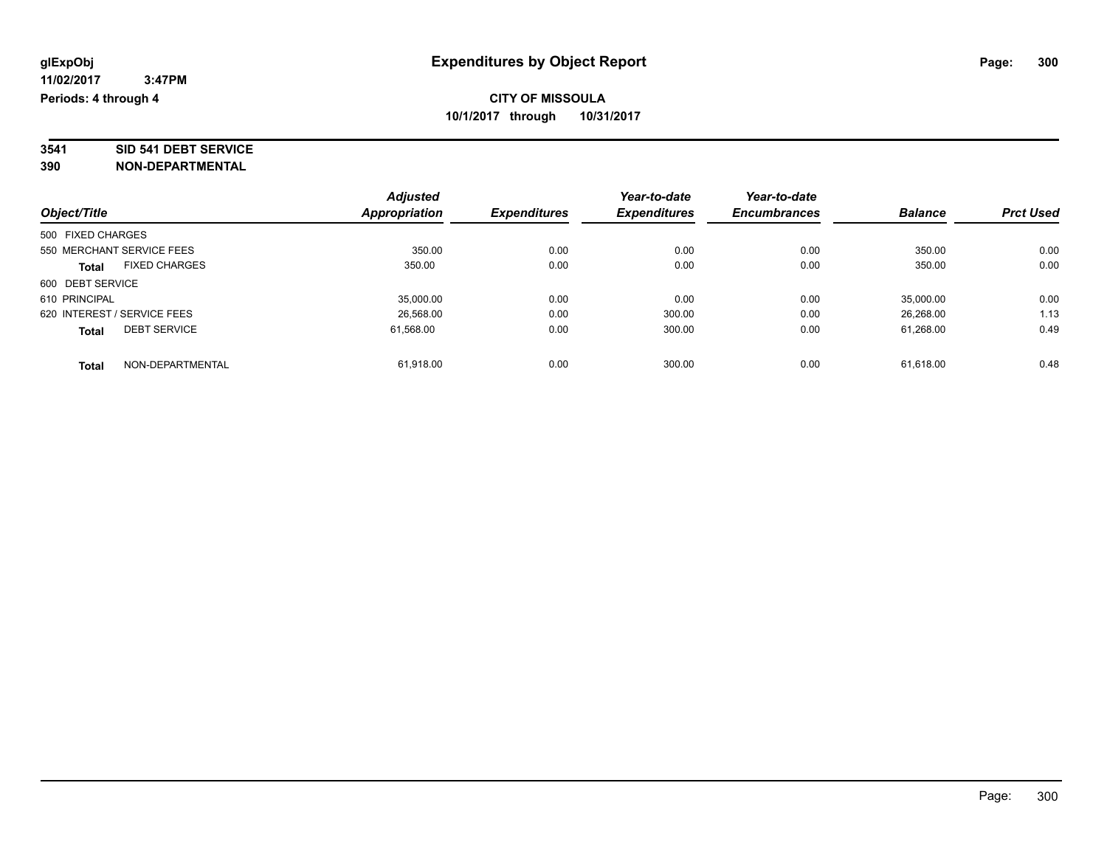# **3541 SID 541 DEBT SERVICE**

|                             |                      | <b>Adjusted</b> |                     | Year-to-date        | Year-to-date        |                |                  |
|-----------------------------|----------------------|-----------------|---------------------|---------------------|---------------------|----------------|------------------|
| Object/Title                |                      | Appropriation   | <b>Expenditures</b> | <b>Expenditures</b> | <b>Encumbrances</b> | <b>Balance</b> | <b>Prct Used</b> |
| 500 FIXED CHARGES           |                      |                 |                     |                     |                     |                |                  |
| 550 MERCHANT SERVICE FEES   |                      | 350.00          | 0.00                | 0.00                | 0.00                | 350.00         | 0.00             |
| <b>Total</b>                | <b>FIXED CHARGES</b> | 350.00          | 0.00                | 0.00                | 0.00                | 350.00         | 0.00             |
| 600 DEBT SERVICE            |                      |                 |                     |                     |                     |                |                  |
| 610 PRINCIPAL               |                      | 35,000.00       | 0.00                | 0.00                | 0.00                | 35,000.00      | 0.00             |
| 620 INTEREST / SERVICE FEES |                      | 26,568.00       | 0.00                | 300.00              | 0.00                | 26,268.00      | 1.13             |
| <b>Total</b>                | <b>DEBT SERVICE</b>  | 61.568.00       | 0.00                | 300.00              | 0.00                | 61.268.00      | 0.49             |
| <b>Total</b>                | NON-DEPARTMENTAL     | 61,918.00       | 0.00                | 300.00              | 0.00                | 61.618.00      | 0.48             |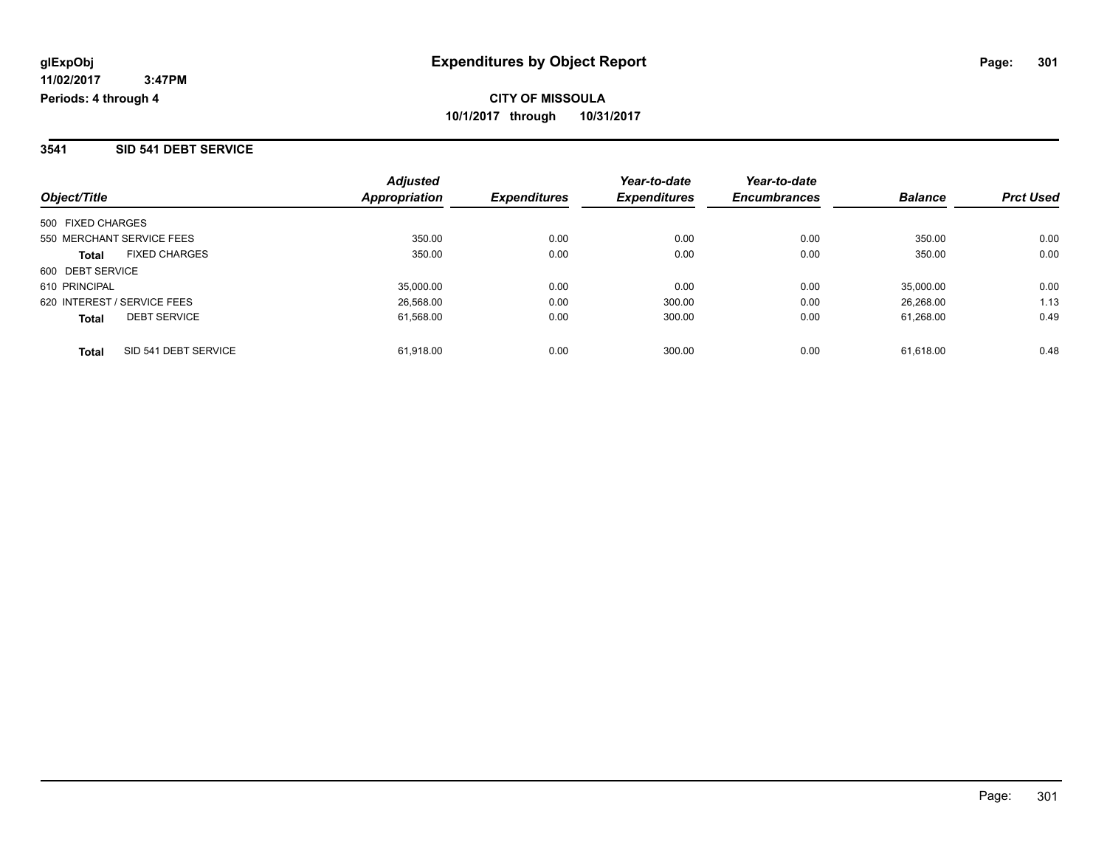#### **3541 SID 541 DEBT SERVICE**

| Object/Title                         | <b>Adjusted</b><br>Appropriation | <b>Expenditures</b> | Year-to-date<br><b>Expenditures</b> | Year-to-date<br><b>Encumbrances</b> | <b>Balance</b> | <b>Prct Used</b> |
|--------------------------------------|----------------------------------|---------------------|-------------------------------------|-------------------------------------|----------------|------------------|
| 500 FIXED CHARGES                    |                                  |                     |                                     |                                     |                |                  |
| 550 MERCHANT SERVICE FEES            | 350.00                           | 0.00                | 0.00                                | 0.00                                | 350.00         | 0.00             |
| <b>FIXED CHARGES</b><br><b>Total</b> | 350.00                           | 0.00                | 0.00                                | 0.00                                | 350.00         | 0.00             |
| 600 DEBT SERVICE                     |                                  |                     |                                     |                                     |                |                  |
| 610 PRINCIPAL                        | 35.000.00                        | 0.00                | 0.00                                | 0.00                                | 35,000.00      | 0.00             |
| 620 INTEREST / SERVICE FEES          | 26,568.00                        | 0.00                | 300.00                              | 0.00                                | 26,268.00      | 1.13             |
| <b>DEBT SERVICE</b><br><b>Total</b>  | 61,568.00                        | 0.00                | 300.00                              | 0.00                                | 61.268.00      | 0.49             |
| SID 541 DEBT SERVICE<br><b>Total</b> | 61.918.00                        | 0.00                | 300.00                              | 0.00                                | 61.618.00      | 0.48             |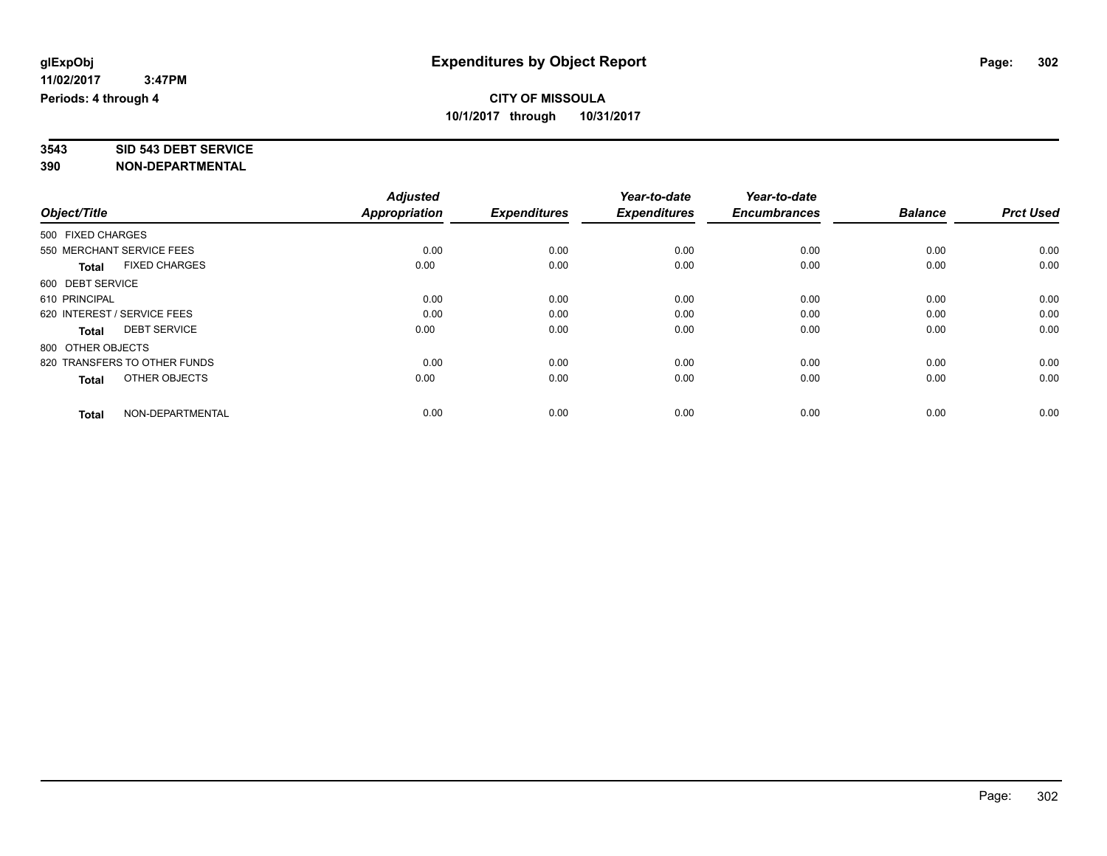# **3543 SID 543 DEBT SERVICE**

|                                      | <b>Adjusted</b><br><b>Appropriation</b> |                     | Year-to-date<br><b>Expenditures</b> | Year-to-date<br><b>Encumbrances</b> | <b>Balance</b> | <b>Prct Used</b> |
|--------------------------------------|-----------------------------------------|---------------------|-------------------------------------|-------------------------------------|----------------|------------------|
| Object/Title                         |                                         | <b>Expenditures</b> |                                     |                                     |                |                  |
| 500 FIXED CHARGES                    |                                         |                     |                                     |                                     |                |                  |
| 550 MERCHANT SERVICE FEES            | 0.00                                    | 0.00                | 0.00                                | 0.00                                | 0.00           | 0.00             |
| <b>FIXED CHARGES</b><br><b>Total</b> | 0.00                                    | 0.00                | 0.00                                | 0.00                                | 0.00           | 0.00             |
| 600 DEBT SERVICE                     |                                         |                     |                                     |                                     |                |                  |
| 610 PRINCIPAL                        | 0.00                                    | 0.00                | 0.00                                | 0.00                                | 0.00           | 0.00             |
| 620 INTEREST / SERVICE FEES          | 0.00                                    | 0.00                | 0.00                                | 0.00                                | 0.00           | 0.00             |
| <b>DEBT SERVICE</b><br><b>Total</b>  | 0.00                                    | 0.00                | 0.00                                | 0.00                                | 0.00           | 0.00             |
| 800 OTHER OBJECTS                    |                                         |                     |                                     |                                     |                |                  |
| 820 TRANSFERS TO OTHER FUNDS         | 0.00                                    | 0.00                | 0.00                                | 0.00                                | 0.00           | 0.00             |
| OTHER OBJECTS<br><b>Total</b>        | 0.00                                    | 0.00                | 0.00                                | 0.00                                | 0.00           | 0.00             |
|                                      |                                         |                     |                                     |                                     |                |                  |
| NON-DEPARTMENTAL<br><b>Total</b>     | 0.00                                    | 0.00                | 0.00                                | 0.00                                | 0.00           | 0.00             |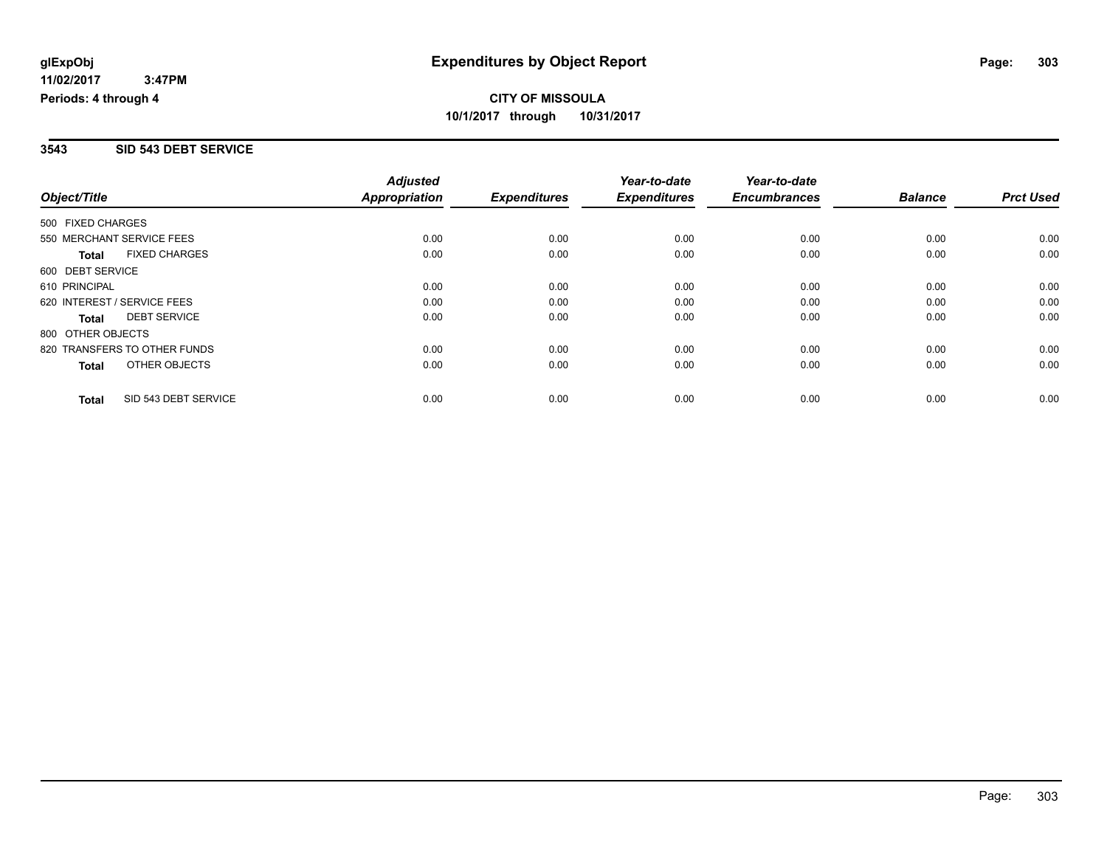#### **3543 SID 543 DEBT SERVICE**

| Object/Title                 |                      | <b>Adjusted</b>      |                     | Year-to-date        | Year-to-date        |                |                  |
|------------------------------|----------------------|----------------------|---------------------|---------------------|---------------------|----------------|------------------|
|                              |                      | <b>Appropriation</b> | <b>Expenditures</b> | <b>Expenditures</b> | <b>Encumbrances</b> | <b>Balance</b> | <b>Prct Used</b> |
| 500 FIXED CHARGES            |                      |                      |                     |                     |                     |                |                  |
| 550 MERCHANT SERVICE FEES    |                      | 0.00                 | 0.00                | 0.00                | 0.00                | 0.00           | 0.00             |
| <b>Total</b>                 | <b>FIXED CHARGES</b> | 0.00                 | 0.00                | 0.00                | 0.00                | 0.00           | 0.00             |
| 600 DEBT SERVICE             |                      |                      |                     |                     |                     |                |                  |
| 610 PRINCIPAL                |                      | 0.00                 | 0.00                | 0.00                | 0.00                | 0.00           | 0.00             |
| 620 INTEREST / SERVICE FEES  |                      | 0.00                 | 0.00                | 0.00                | 0.00                | 0.00           | 0.00             |
| Total                        | <b>DEBT SERVICE</b>  | 0.00                 | 0.00                | 0.00                | 0.00                | 0.00           | 0.00             |
| 800 OTHER OBJECTS            |                      |                      |                     |                     |                     |                |                  |
| 820 TRANSFERS TO OTHER FUNDS |                      | 0.00                 | 0.00                | 0.00                | 0.00                | 0.00           | 0.00             |
| Total                        | OTHER OBJECTS        | 0.00                 | 0.00                | 0.00                | 0.00                | 0.00           | 0.00             |
| <b>Total</b>                 | SID 543 DEBT SERVICE | 0.00                 | 0.00                | 0.00                | 0.00                | 0.00           | 0.00             |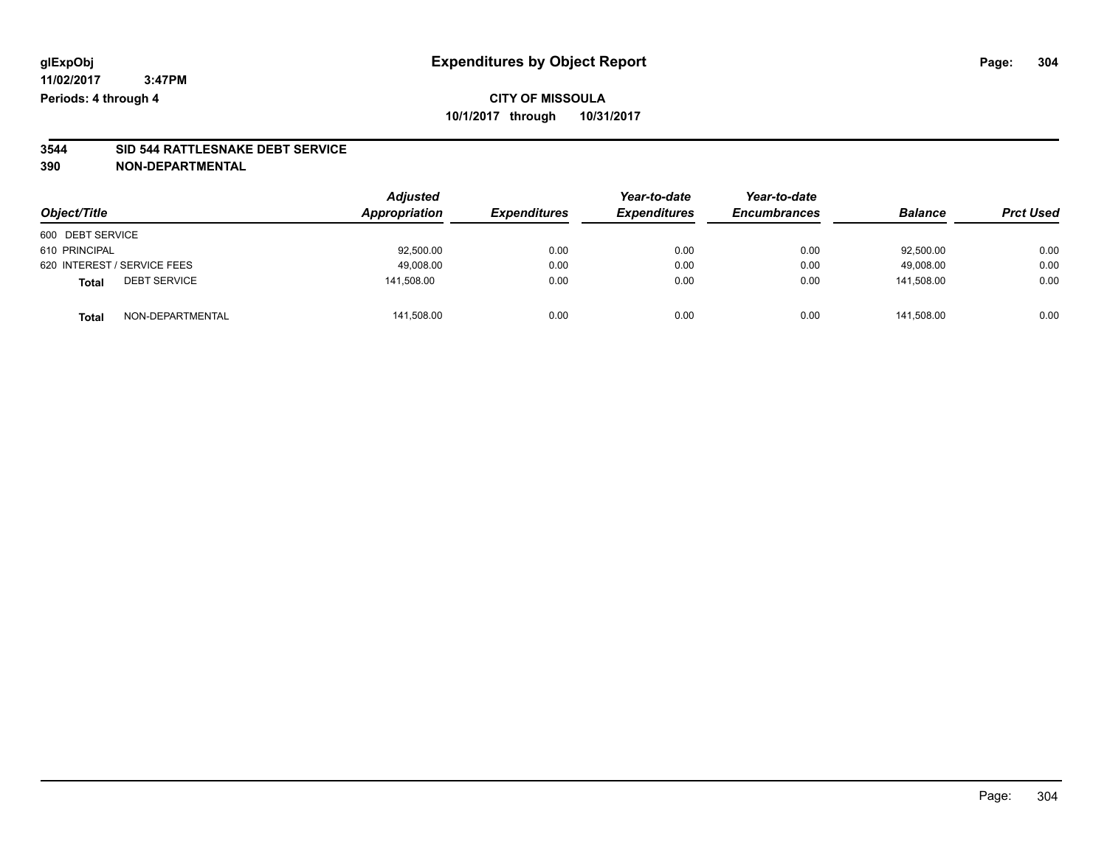# **3544 SID 544 RATTLESNAKE DEBT SERVICE**

|                                     | <b>Adjusted</b><br>Appropriation |                     | Year-to-date        | Year-to-date        |                | <b>Prct Used</b> |
|-------------------------------------|----------------------------------|---------------------|---------------------|---------------------|----------------|------------------|
| Object/Title                        |                                  | <b>Expenditures</b> | <b>Expenditures</b> | <b>Encumbrances</b> | <b>Balance</b> |                  |
| 600 DEBT SERVICE                    |                                  |                     |                     |                     |                |                  |
| 610 PRINCIPAL                       | 92,500.00                        | 0.00                | 0.00                | 0.00                | 92,500.00      | 0.00             |
| 620 INTEREST / SERVICE FEES         | 49,008.00                        | 0.00                | 0.00                | 0.00                | 49.008.00      | 0.00             |
| <b>DEBT SERVICE</b><br><b>Total</b> | 141,508.00                       | 0.00                | 0.00                | 0.00                | 141.508.00     | 0.00             |
| NON-DEPARTMENTAL<br><b>Total</b>    | 141,508.00                       | 0.00                | 0.00                | 0.00                | 141.508.00     | 0.00             |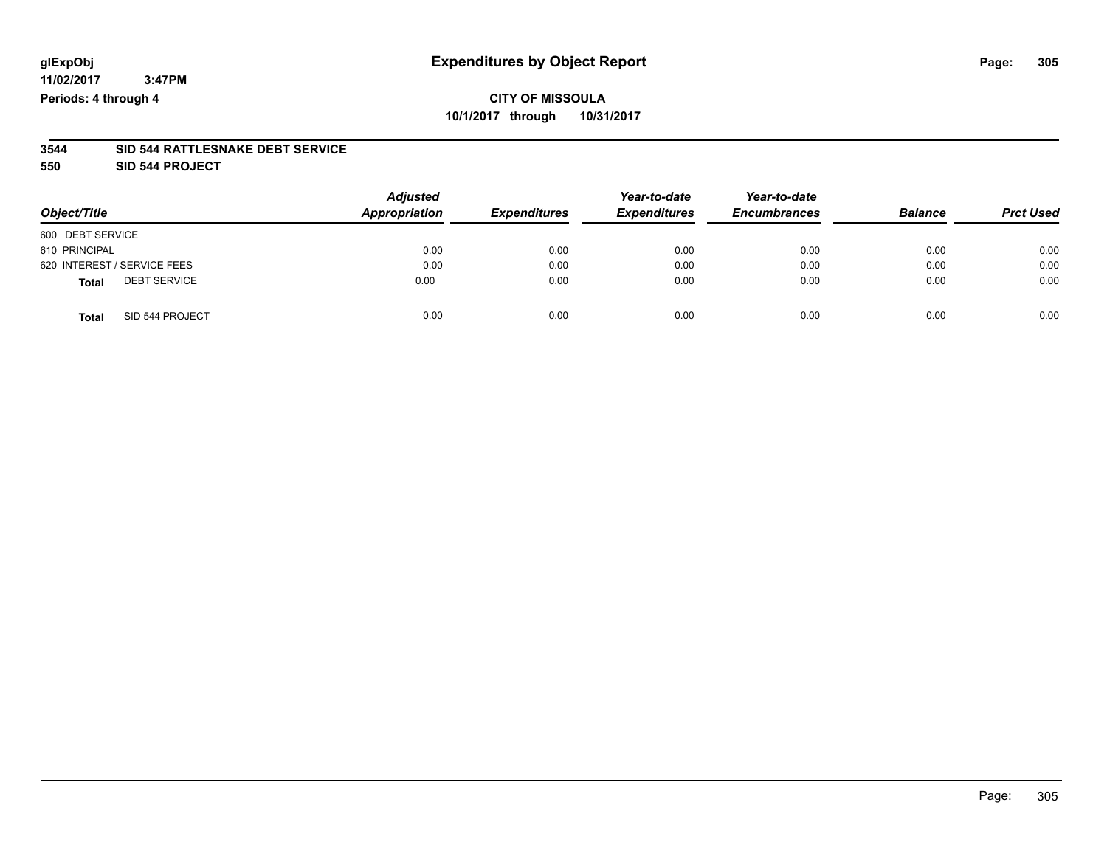## **CITY OF MISSOULA 10/1/2017 through 10/31/2017**

#### **3544 SID 544 RATTLESNAKE DEBT SERVICE**

**550 SID 544 PROJECT**

| Object/Title                        | <b>Adjusted</b><br>Appropriation | <b>Expenditures</b> | Year-to-date<br><b>Expenditures</b> | Year-to-date<br><b>Encumbrances</b> | <b>Balance</b> | <b>Prct Used</b> |
|-------------------------------------|----------------------------------|---------------------|-------------------------------------|-------------------------------------|----------------|------------------|
| 600 DEBT SERVICE                    |                                  |                     |                                     |                                     |                |                  |
| 610 PRINCIPAL                       | 0.00                             | 0.00                | 0.00                                | 0.00                                | 0.00           | 0.00             |
| 620 INTEREST / SERVICE FEES         | 0.00                             | 0.00                | 0.00                                | 0.00                                | 0.00           | 0.00             |
| <b>DEBT SERVICE</b><br><b>Total</b> | 0.00                             | 0.00                | 0.00                                | 0.00                                | 0.00           | 0.00             |
| SID 544 PROJECT<br><b>Total</b>     | 0.00                             | 0.00                | 0.00                                | 0.00                                | 0.00           | 0.00             |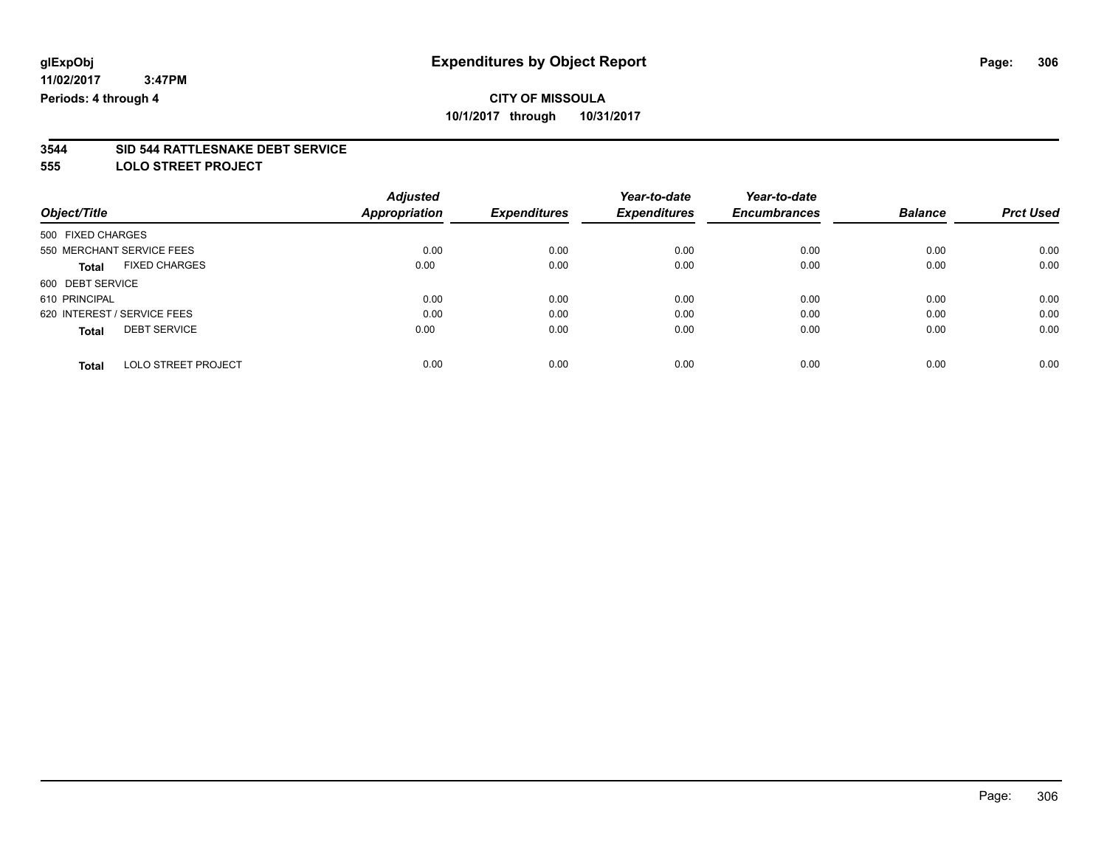#### **3544 SID 544 RATTLESNAKE DEBT SERVICE**

**555 LOLO STREET PROJECT**

| Object/Title      |                             | <b>Adjusted</b> |                     | Year-to-date<br><b>Expenditures</b> | Year-to-date<br><b>Encumbrances</b> |                | <b>Prct Used</b> |
|-------------------|-----------------------------|-----------------|---------------------|-------------------------------------|-------------------------------------|----------------|------------------|
|                   |                             | Appropriation   | <b>Expenditures</b> |                                     |                                     | <b>Balance</b> |                  |
| 500 FIXED CHARGES |                             |                 |                     |                                     |                                     |                |                  |
|                   | 550 MERCHANT SERVICE FEES   | 0.00            | 0.00                | 0.00                                | 0.00                                | 0.00           | 0.00             |
| <b>Total</b>      | <b>FIXED CHARGES</b>        | 0.00            | 0.00                | 0.00                                | 0.00                                | 0.00           | 0.00             |
| 600 DEBT SERVICE  |                             |                 |                     |                                     |                                     |                |                  |
| 610 PRINCIPAL     |                             | 0.00            | 0.00                | 0.00                                | 0.00                                | 0.00           | 0.00             |
|                   | 620 INTEREST / SERVICE FEES | 0.00            | 0.00                | 0.00                                | 0.00                                | 0.00           | 0.00             |
| <b>Total</b>      | <b>DEBT SERVICE</b>         | 0.00            | 0.00                | 0.00                                | 0.00                                | 0.00           | 0.00             |
| <b>Total</b>      | <b>LOLO STREET PROJECT</b>  | 0.00            | 0.00                | 0.00                                | 0.00                                | 0.00           | 0.00             |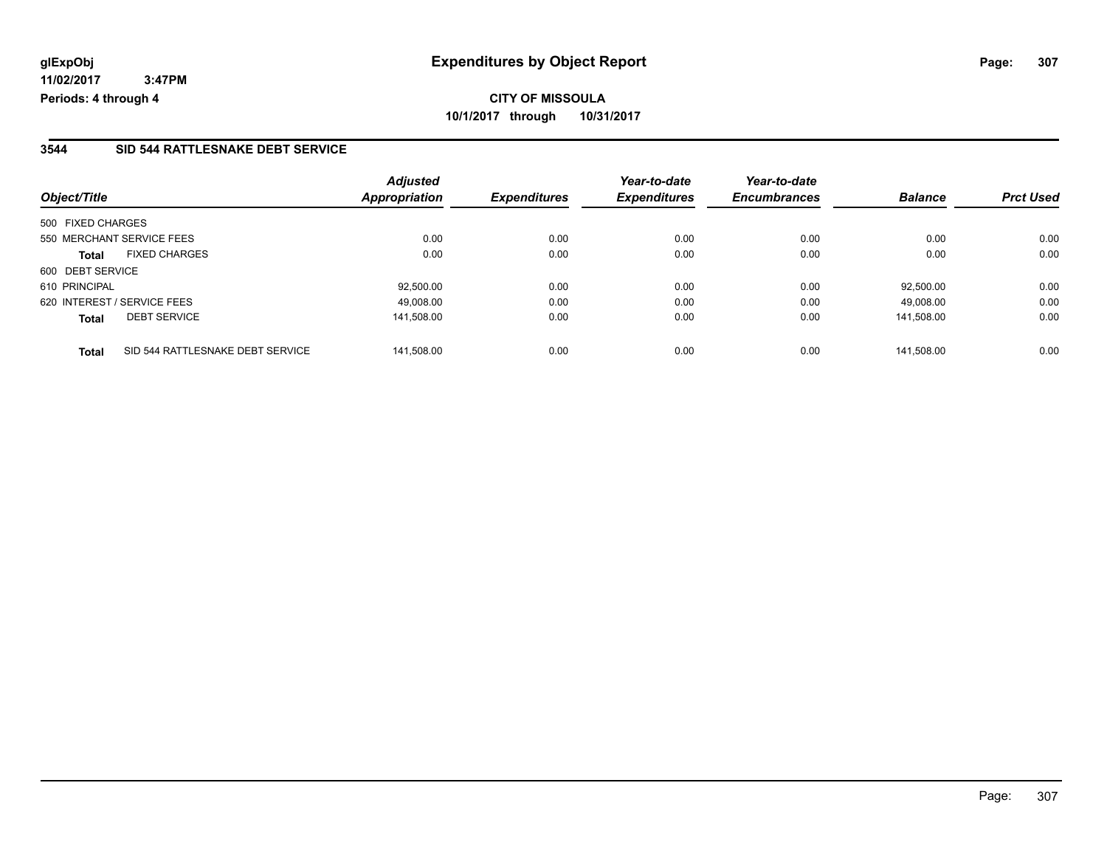### **3544 SID 544 RATTLESNAKE DEBT SERVICE**

| Object/Title                                     | <b>Adjusted</b><br><b>Appropriation</b> | <b>Expenditures</b> | Year-to-date<br><b>Expenditures</b> | Year-to-date<br><b>Encumbrances</b> | <b>Balance</b> | <b>Prct Used</b> |
|--------------------------------------------------|-----------------------------------------|---------------------|-------------------------------------|-------------------------------------|----------------|------------------|
| 500 FIXED CHARGES                                |                                         |                     |                                     |                                     |                |                  |
| 550 MERCHANT SERVICE FEES                        | 0.00                                    | 0.00                | 0.00                                | 0.00                                | 0.00           | 0.00             |
| <b>FIXED CHARGES</b><br><b>Total</b>             | 0.00                                    | 0.00                | 0.00                                | 0.00                                | 0.00           | 0.00             |
| 600 DEBT SERVICE                                 |                                         |                     |                                     |                                     |                |                  |
| 610 PRINCIPAL                                    | 92.500.00                               | 0.00                | 0.00                                | 0.00                                | 92.500.00      | 0.00             |
| 620 INTEREST / SERVICE FEES                      | 49.008.00                               | 0.00                | 0.00                                | 0.00                                | 49.008.00      | 0.00             |
| <b>DEBT SERVICE</b><br><b>Total</b>              | 141,508.00                              | 0.00                | 0.00                                | 0.00                                | 141.508.00     | 0.00             |
| SID 544 RATTLESNAKE DEBT SERVICE<br><b>Total</b> | 141.508.00                              | 0.00                | 0.00                                | 0.00                                | 141.508.00     | 0.00             |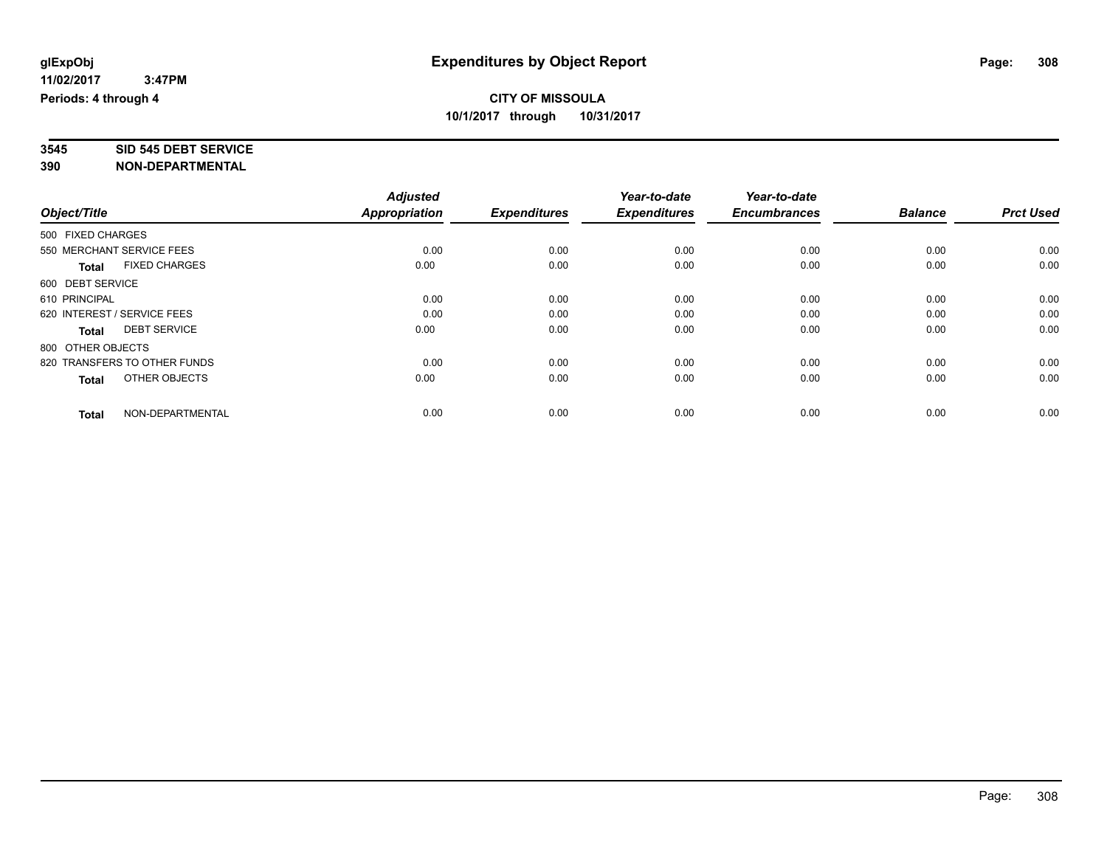# **3545 SID 545 DEBT SERVICE**

|                                      | <b>Adjusted</b>      | <b>Expenditures</b> | Year-to-date<br><b>Expenditures</b> | Year-to-date<br><b>Encumbrances</b> | <b>Balance</b> | <b>Prct Used</b> |
|--------------------------------------|----------------------|---------------------|-------------------------------------|-------------------------------------|----------------|------------------|
| Object/Title                         | <b>Appropriation</b> |                     |                                     |                                     |                |                  |
| 500 FIXED CHARGES                    |                      |                     |                                     |                                     |                |                  |
| 550 MERCHANT SERVICE FEES            | 0.00                 | 0.00                | 0.00                                | 0.00                                | 0.00           | 0.00             |
| <b>FIXED CHARGES</b><br><b>Total</b> | 0.00                 | 0.00                | 0.00                                | 0.00                                | 0.00           | 0.00             |
| 600 DEBT SERVICE                     |                      |                     |                                     |                                     |                |                  |
| 610 PRINCIPAL                        | 0.00                 | 0.00                | 0.00                                | 0.00                                | 0.00           | 0.00             |
| 620 INTEREST / SERVICE FEES          | 0.00                 | 0.00                | 0.00                                | 0.00                                | 0.00           | 0.00             |
| <b>DEBT SERVICE</b><br><b>Total</b>  | 0.00                 | 0.00                | 0.00                                | 0.00                                | 0.00           | 0.00             |
| 800 OTHER OBJECTS                    |                      |                     |                                     |                                     |                |                  |
| 820 TRANSFERS TO OTHER FUNDS         | 0.00                 | 0.00                | 0.00                                | 0.00                                | 0.00           | 0.00             |
| OTHER OBJECTS<br><b>Total</b>        | 0.00                 | 0.00                | 0.00                                | 0.00                                | 0.00           | 0.00             |
|                                      |                      |                     |                                     |                                     |                |                  |
| NON-DEPARTMENTAL<br><b>Total</b>     | 0.00                 | 0.00                | 0.00                                | 0.00                                | 0.00           | 0.00             |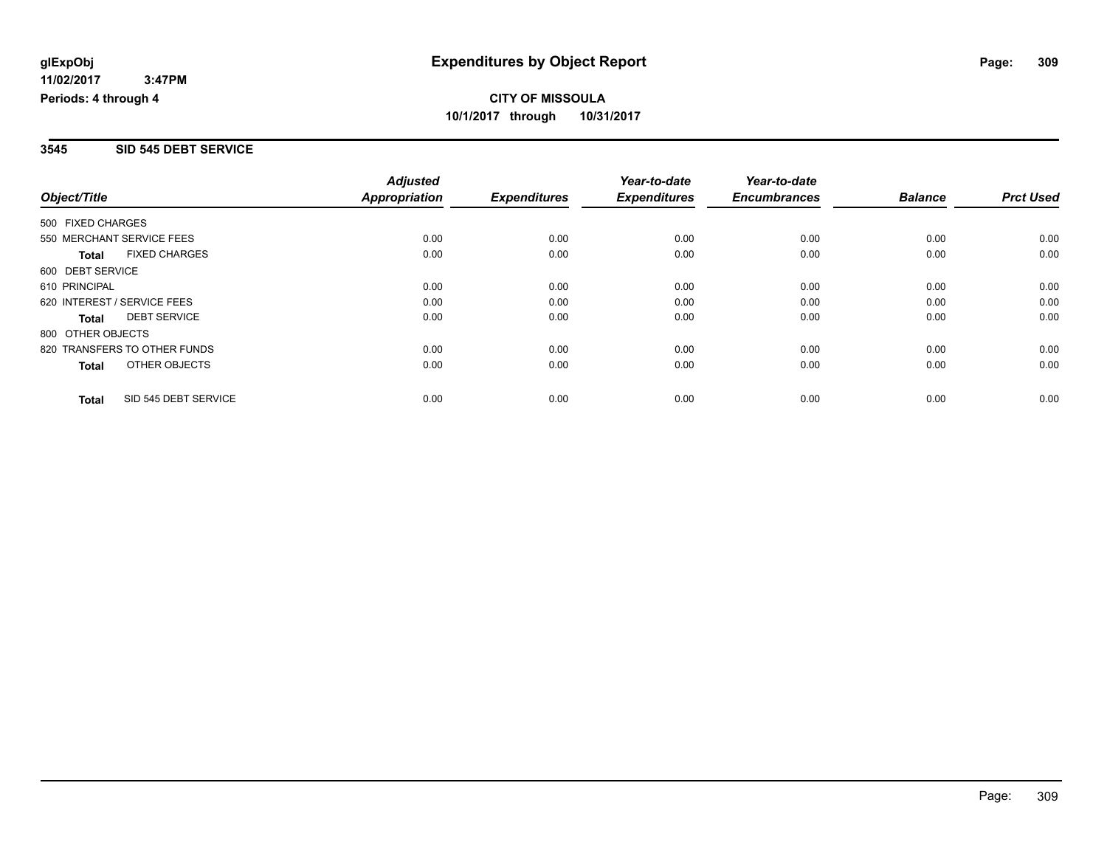#### **3545 SID 545 DEBT SERVICE**

| Object/Title                 |                      | <b>Adjusted</b><br><b>Appropriation</b> |                     | Year-to-date<br><b>Expenditures</b> | Year-to-date<br><b>Encumbrances</b> | <b>Balance</b> | <b>Prct Used</b> |
|------------------------------|----------------------|-----------------------------------------|---------------------|-------------------------------------|-------------------------------------|----------------|------------------|
|                              |                      |                                         | <b>Expenditures</b> |                                     |                                     |                |                  |
| 500 FIXED CHARGES            |                      |                                         |                     |                                     |                                     |                |                  |
| 550 MERCHANT SERVICE FEES    |                      | 0.00                                    | 0.00                | 0.00                                | 0.00                                | 0.00           | 0.00             |
| <b>Total</b>                 | <b>FIXED CHARGES</b> | 0.00                                    | 0.00                | 0.00                                | 0.00                                | 0.00           | 0.00             |
| 600 DEBT SERVICE             |                      |                                         |                     |                                     |                                     |                |                  |
| 610 PRINCIPAL                |                      | 0.00                                    | 0.00                | 0.00                                | 0.00                                | 0.00           | 0.00             |
| 620 INTEREST / SERVICE FEES  |                      | 0.00                                    | 0.00                | 0.00                                | 0.00                                | 0.00           | 0.00             |
| Total                        | <b>DEBT SERVICE</b>  | 0.00                                    | 0.00                | 0.00                                | 0.00                                | 0.00           | 0.00             |
| 800 OTHER OBJECTS            |                      |                                         |                     |                                     |                                     |                |                  |
| 820 TRANSFERS TO OTHER FUNDS |                      | 0.00                                    | 0.00                | 0.00                                | 0.00                                | 0.00           | 0.00             |
| Total                        | OTHER OBJECTS        | 0.00                                    | 0.00                | 0.00                                | 0.00                                | 0.00           | 0.00             |
| <b>Total</b>                 | SID 545 DEBT SERVICE | 0.00                                    | 0.00                | 0.00                                | 0.00                                | 0.00           | 0.00             |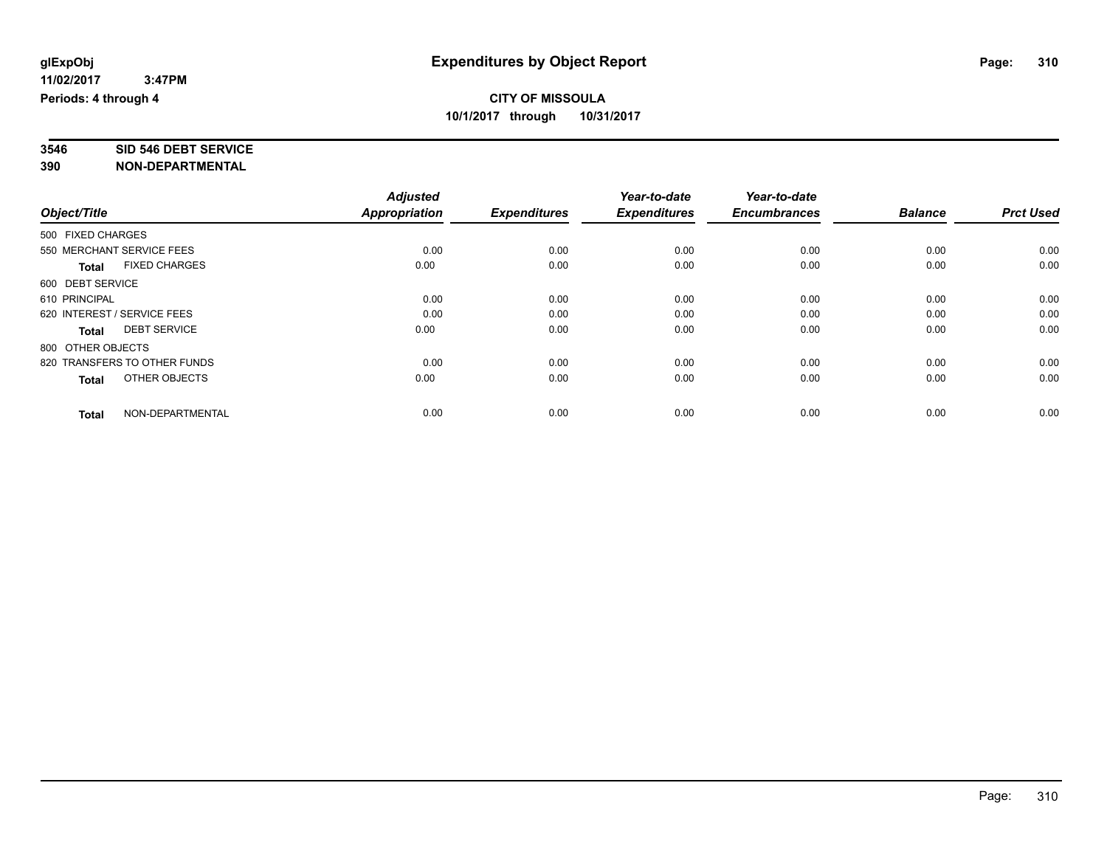# **3546 SID 546 DEBT SERVICE**

|                                      | <b>Adjusted</b>      |                     | Year-to-date<br><b>Expenditures</b> | Year-to-date<br><b>Encumbrances</b> | <b>Balance</b> | <b>Prct Used</b> |
|--------------------------------------|----------------------|---------------------|-------------------------------------|-------------------------------------|----------------|------------------|
| Object/Title                         | <b>Appropriation</b> | <b>Expenditures</b> |                                     |                                     |                |                  |
| 500 FIXED CHARGES                    |                      |                     |                                     |                                     |                |                  |
| 550 MERCHANT SERVICE FEES            | 0.00                 | 0.00                | 0.00                                | 0.00                                | 0.00           | 0.00             |
| <b>FIXED CHARGES</b><br><b>Total</b> | 0.00                 | 0.00                | 0.00                                | 0.00                                | 0.00           | 0.00             |
| 600 DEBT SERVICE                     |                      |                     |                                     |                                     |                |                  |
| 610 PRINCIPAL                        | 0.00                 | 0.00                | 0.00                                | 0.00                                | 0.00           | 0.00             |
| 620 INTEREST / SERVICE FEES          | 0.00                 | 0.00                | 0.00                                | 0.00                                | 0.00           | 0.00             |
| <b>DEBT SERVICE</b><br><b>Total</b>  | 0.00                 | 0.00                | 0.00                                | 0.00                                | 0.00           | 0.00             |
| 800 OTHER OBJECTS                    |                      |                     |                                     |                                     |                |                  |
| 820 TRANSFERS TO OTHER FUNDS         | 0.00                 | 0.00                | 0.00                                | 0.00                                | 0.00           | 0.00             |
| OTHER OBJECTS<br><b>Total</b>        | 0.00                 | 0.00                | 0.00                                | 0.00                                | 0.00           | 0.00             |
|                                      |                      |                     |                                     |                                     |                |                  |
| NON-DEPARTMENTAL<br><b>Total</b>     | 0.00                 | 0.00                | 0.00                                | 0.00                                | 0.00           | 0.00             |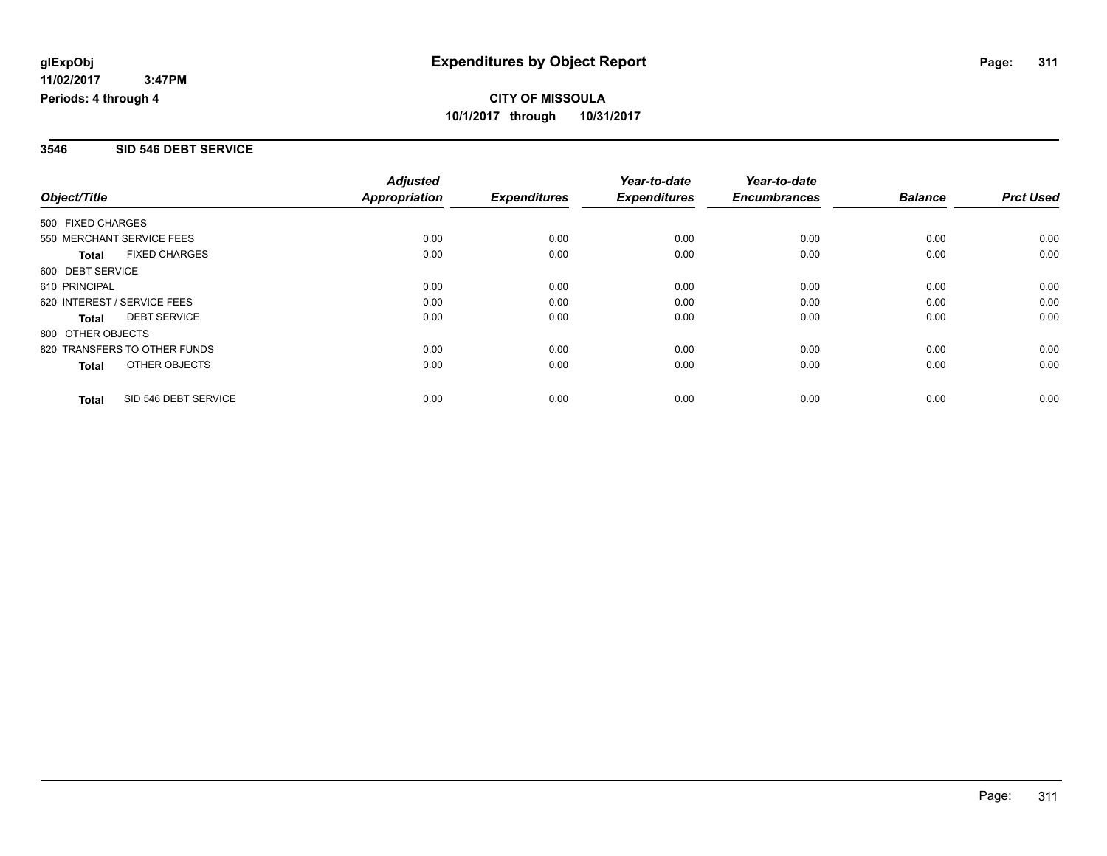### **3546 SID 546 DEBT SERVICE**

|                                      | <b>Adjusted</b>      |                     | Year-to-date        | Year-to-date        |                |                  |
|--------------------------------------|----------------------|---------------------|---------------------|---------------------|----------------|------------------|
| Object/Title                         | <b>Appropriation</b> | <b>Expenditures</b> | <b>Expenditures</b> | <b>Encumbrances</b> | <b>Balance</b> | <b>Prct Used</b> |
| 500 FIXED CHARGES                    |                      |                     |                     |                     |                |                  |
| 550 MERCHANT SERVICE FEES            | 0.00                 | 0.00                | 0.00                | 0.00                | 0.00           | 0.00             |
| <b>FIXED CHARGES</b><br><b>Total</b> | 0.00                 | 0.00                | 0.00                | 0.00                | 0.00           | 0.00             |
| 600 DEBT SERVICE                     |                      |                     |                     |                     |                |                  |
| 610 PRINCIPAL                        | 0.00                 | 0.00                | 0.00                | 0.00                | 0.00           | 0.00             |
| 620 INTEREST / SERVICE FEES          | 0.00                 | 0.00                | 0.00                | 0.00                | 0.00           | 0.00             |
| <b>DEBT SERVICE</b><br><b>Total</b>  | 0.00                 | 0.00                | 0.00                | 0.00                | 0.00           | 0.00             |
| 800 OTHER OBJECTS                    |                      |                     |                     |                     |                |                  |
| 820 TRANSFERS TO OTHER FUNDS         | 0.00                 | 0.00                | 0.00                | 0.00                | 0.00           | 0.00             |
| OTHER OBJECTS<br><b>Total</b>        | 0.00                 | 0.00                | 0.00                | 0.00                | 0.00           | 0.00             |
| SID 546 DEBT SERVICE<br><b>Total</b> | 0.00                 | 0.00                | 0.00                | 0.00                | 0.00           | 0.00             |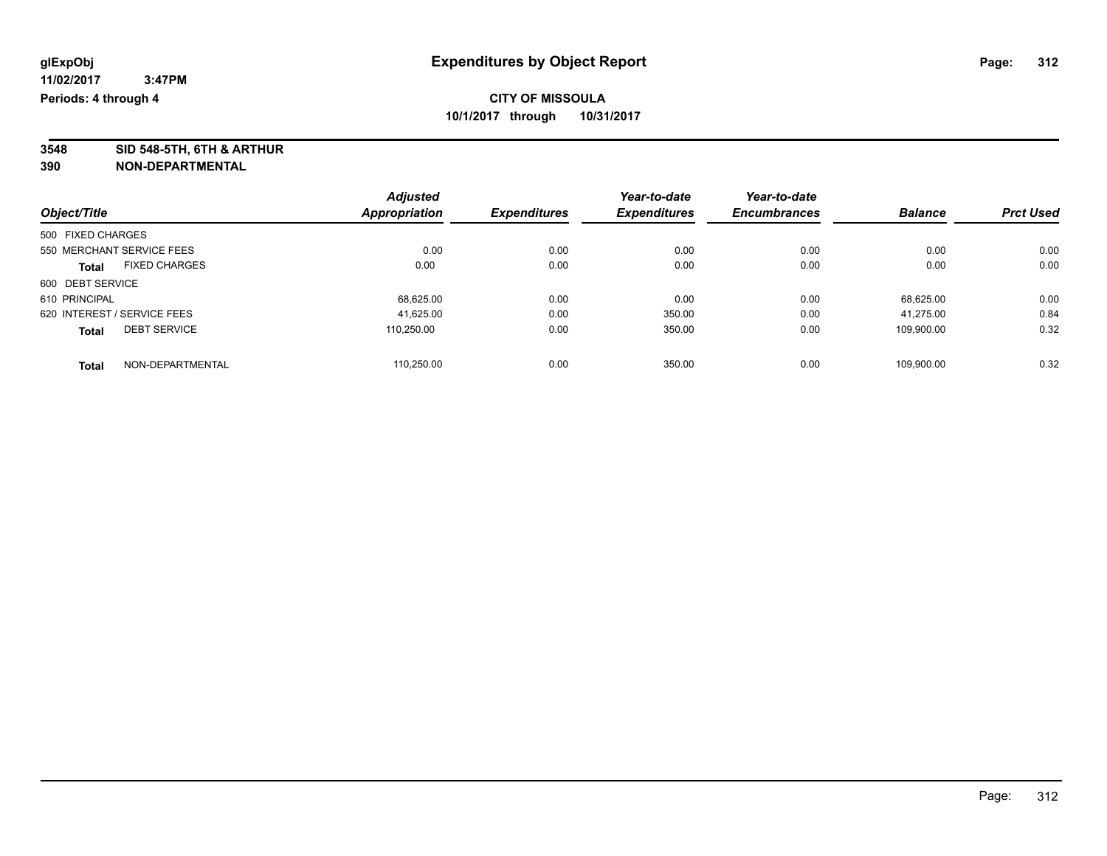**3548 SID 548-5TH, 6TH & ARTHUR**

|                                     |                      | <b>Adjusted</b>     | <b>Expenditures</b> | Year-to-date        | Year-to-date   |                  |      |
|-------------------------------------|----------------------|---------------------|---------------------|---------------------|----------------|------------------|------|
| Object/Title                        | Appropriation        | <b>Expenditures</b> |                     | <b>Encumbrances</b> | <b>Balance</b> | <b>Prct Used</b> |      |
| 500 FIXED CHARGES                   |                      |                     |                     |                     |                |                  |      |
| 550 MERCHANT SERVICE FEES           |                      | 0.00                | 0.00                | 0.00                | 0.00           | 0.00             | 0.00 |
| <b>Total</b>                        | <b>FIXED CHARGES</b> | 0.00                | 0.00                | 0.00                | 0.00           | 0.00             | 0.00 |
| 600 DEBT SERVICE                    |                      |                     |                     |                     |                |                  |      |
| 610 PRINCIPAL                       |                      | 68,625.00           | 0.00                | 0.00                | 0.00           | 68.625.00        | 0.00 |
| 620 INTEREST / SERVICE FEES         |                      | 41.625.00           | 0.00                | 350.00              | 0.00           | 41.275.00        | 0.84 |
| <b>DEBT SERVICE</b><br><b>Total</b> |                      | 110.250.00          | 0.00                | 350.00              | 0.00           | 109.900.00       | 0.32 |
| <b>Total</b>                        | NON-DEPARTMENTAL     | 110.250.00          | 0.00                | 350.00              | 0.00           | 109.900.00       | 0.32 |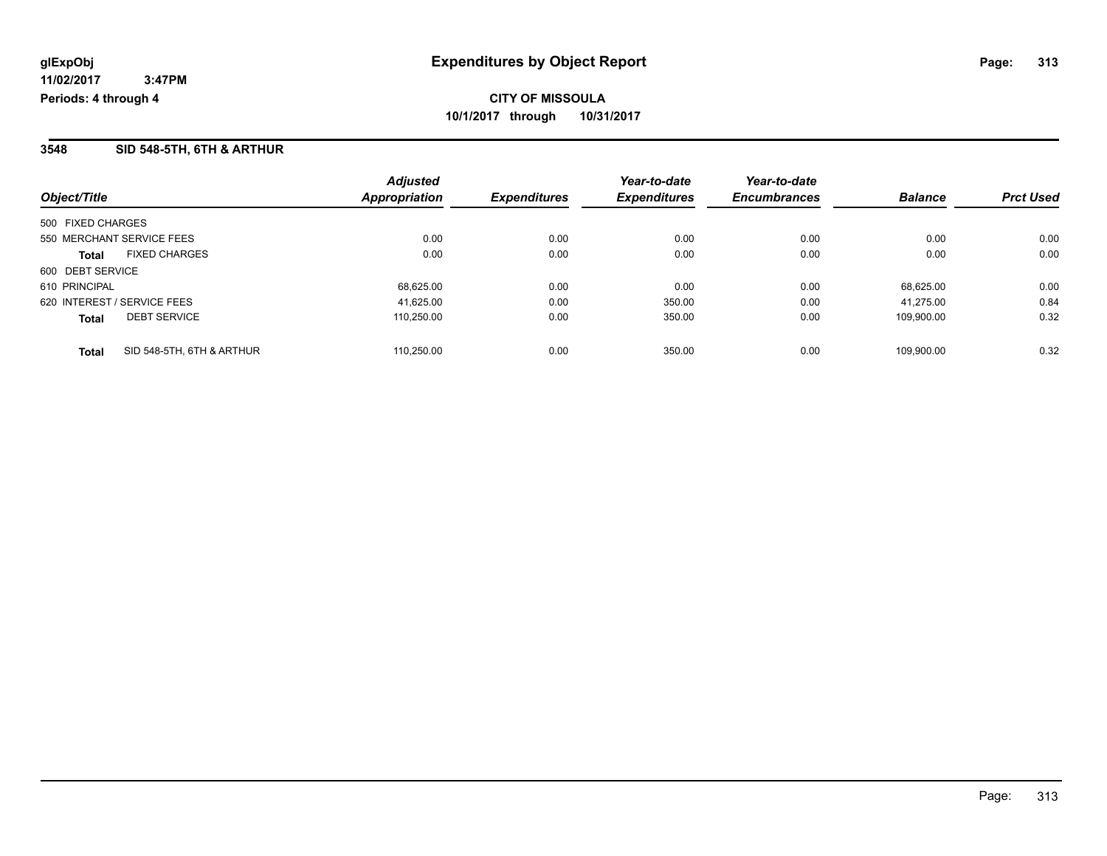### **3548 SID 548-5TH, 6TH & ARTHUR**

| Object/Title                              | <b>Adjusted</b><br><b>Appropriation</b> | <b>Expenditures</b> | Year-to-date<br><b>Expenditures</b> | Year-to-date<br><b>Encumbrances</b> | <b>Balance</b> | <b>Prct Used</b> |
|-------------------------------------------|-----------------------------------------|---------------------|-------------------------------------|-------------------------------------|----------------|------------------|
| 500 FIXED CHARGES                         |                                         |                     |                                     |                                     |                |                  |
|                                           |                                         |                     |                                     |                                     |                |                  |
| 550 MERCHANT SERVICE FEES                 | 0.00                                    | 0.00                | 0.00                                | 0.00                                | 0.00           | 0.00             |
| <b>FIXED CHARGES</b><br><b>Total</b>      | 0.00                                    | 0.00                | 0.00                                | 0.00                                | 0.00           | 0.00             |
| 600 DEBT SERVICE                          |                                         |                     |                                     |                                     |                |                  |
| 610 PRINCIPAL                             | 68,625.00                               | 0.00                | 0.00                                | 0.00                                | 68.625.00      | 0.00             |
| 620 INTEREST / SERVICE FEES               | 41.625.00                               | 0.00                | 350.00                              | 0.00                                | 41.275.00      | 0.84             |
| <b>DEBT SERVICE</b><br><b>Total</b>       | 110.250.00                              | 0.00                | 350.00                              | 0.00                                | 109.900.00     | 0.32             |
|                                           |                                         |                     |                                     |                                     |                |                  |
| SID 548-5TH, 6TH & ARTHUR<br><b>Total</b> | 110.250.00                              | 0.00                | 350.00                              | 0.00                                | 109.900.00     | 0.32             |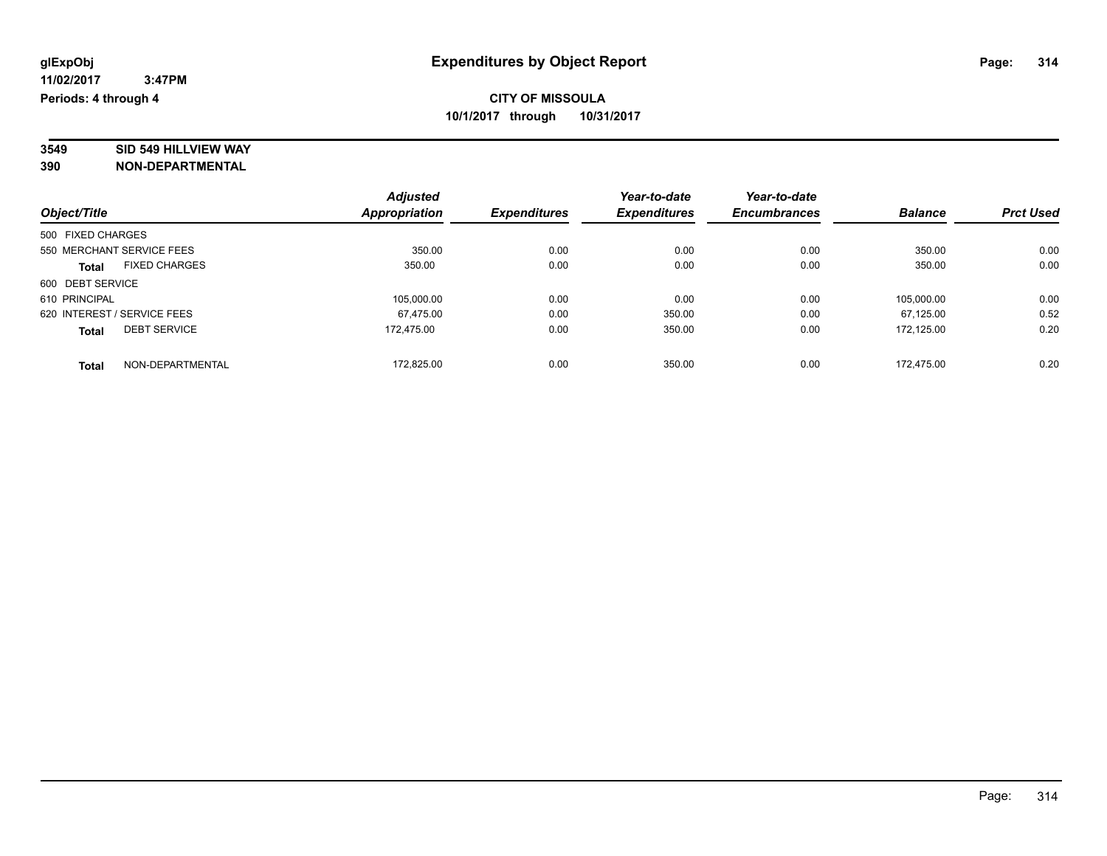# **3549 SID 549 HILLVIEW WAY**

|                             |                      | <b>Adjusted</b> |                     | Year-to-date        | Year-to-date        |                |                  |
|-----------------------------|----------------------|-----------------|---------------------|---------------------|---------------------|----------------|------------------|
| Object/Title                |                      | Appropriation   | <b>Expenditures</b> | <b>Expenditures</b> | <b>Encumbrances</b> | <b>Balance</b> | <b>Prct Used</b> |
| 500 FIXED CHARGES           |                      |                 |                     |                     |                     |                |                  |
| 550 MERCHANT SERVICE FEES   |                      | 350.00          | 0.00                | 0.00                | 0.00                | 350.00         | 0.00             |
| <b>Total</b>                | <b>FIXED CHARGES</b> | 350.00          | 0.00                | 0.00                | 0.00                | 350.00         | 0.00             |
| 600 DEBT SERVICE            |                      |                 |                     |                     |                     |                |                  |
| 610 PRINCIPAL               |                      | 105.000.00      | 0.00                | 0.00                | 0.00                | 105.000.00     | 0.00             |
| 620 INTEREST / SERVICE FEES |                      | 67.475.00       | 0.00                | 350.00              | 0.00                | 67.125.00      | 0.52             |
| <b>Total</b>                | <b>DEBT SERVICE</b>  | 172.475.00      | 0.00                | 350.00              | 0.00                | 172.125.00     | 0.20             |
| <b>Total</b>                | NON-DEPARTMENTAL     | 172.825.00      | 0.00                | 350.00              | 0.00                | 172.475.00     | 0.20             |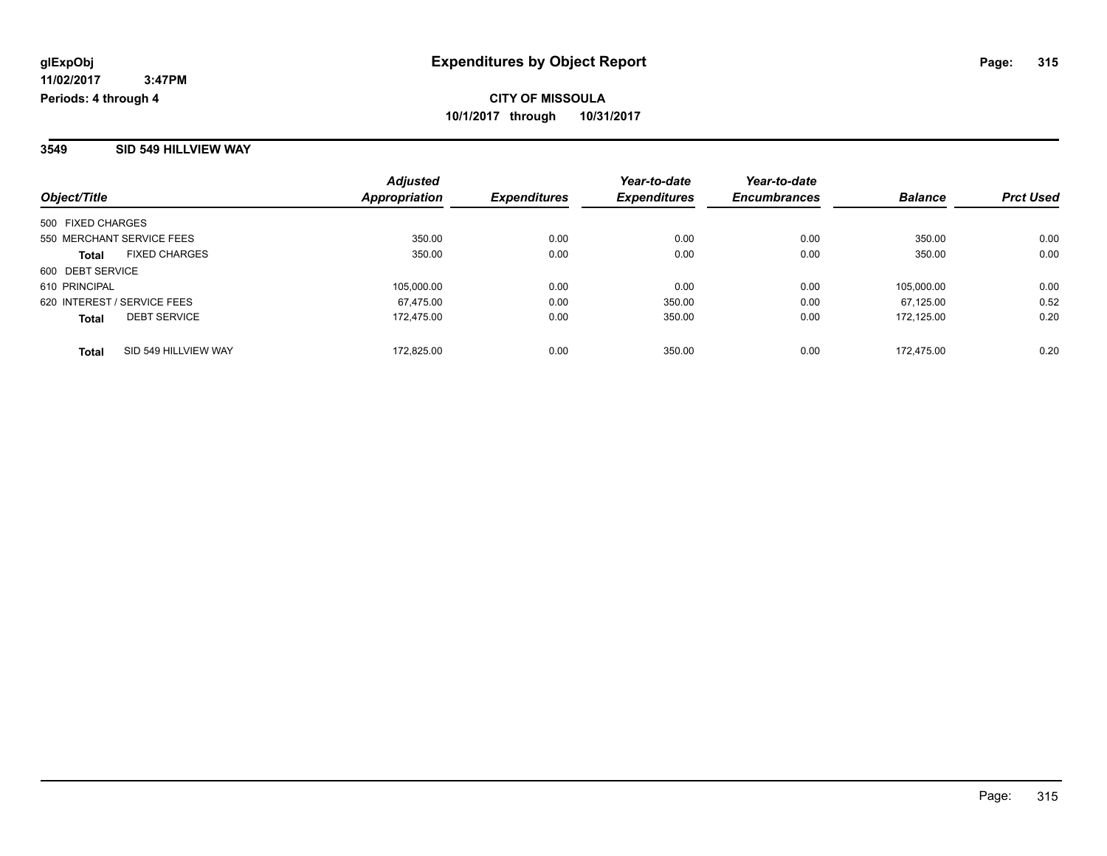#### **3549 SID 549 HILLVIEW WAY**

| Object/Title                         | <b>Adjusted</b><br>Appropriation | <b>Expenditures</b> | Year-to-date<br><b>Expenditures</b> | Year-to-date<br><b>Encumbrances</b> | <b>Balance</b> | <b>Prct Used</b> |
|--------------------------------------|----------------------------------|---------------------|-------------------------------------|-------------------------------------|----------------|------------------|
| 500 FIXED CHARGES                    |                                  |                     |                                     |                                     |                |                  |
| 550 MERCHANT SERVICE FEES            | 350.00                           | 0.00                | 0.00                                | 0.00                                | 350.00         | 0.00             |
| <b>FIXED CHARGES</b><br><b>Total</b> | 350.00                           | 0.00                | 0.00                                | 0.00                                | 350.00         | 0.00             |
| 600 DEBT SERVICE                     |                                  |                     |                                     |                                     |                |                  |
| 610 PRINCIPAL                        | 105.000.00                       | 0.00                | 0.00                                | 0.00                                | 105.000.00     | 0.00             |
| 620 INTEREST / SERVICE FEES          | 67.475.00                        | 0.00                | 350.00                              | 0.00                                | 67.125.00      | 0.52             |
| <b>DEBT SERVICE</b><br><b>Total</b>  | 172.475.00                       | 0.00                | 350.00                              | 0.00                                | 172.125.00     | 0.20             |
| SID 549 HILLVIEW WAY<br><b>Total</b> | 172.825.00                       | 0.00                | 350.00                              | 0.00                                | 172.475.00     | 0.20             |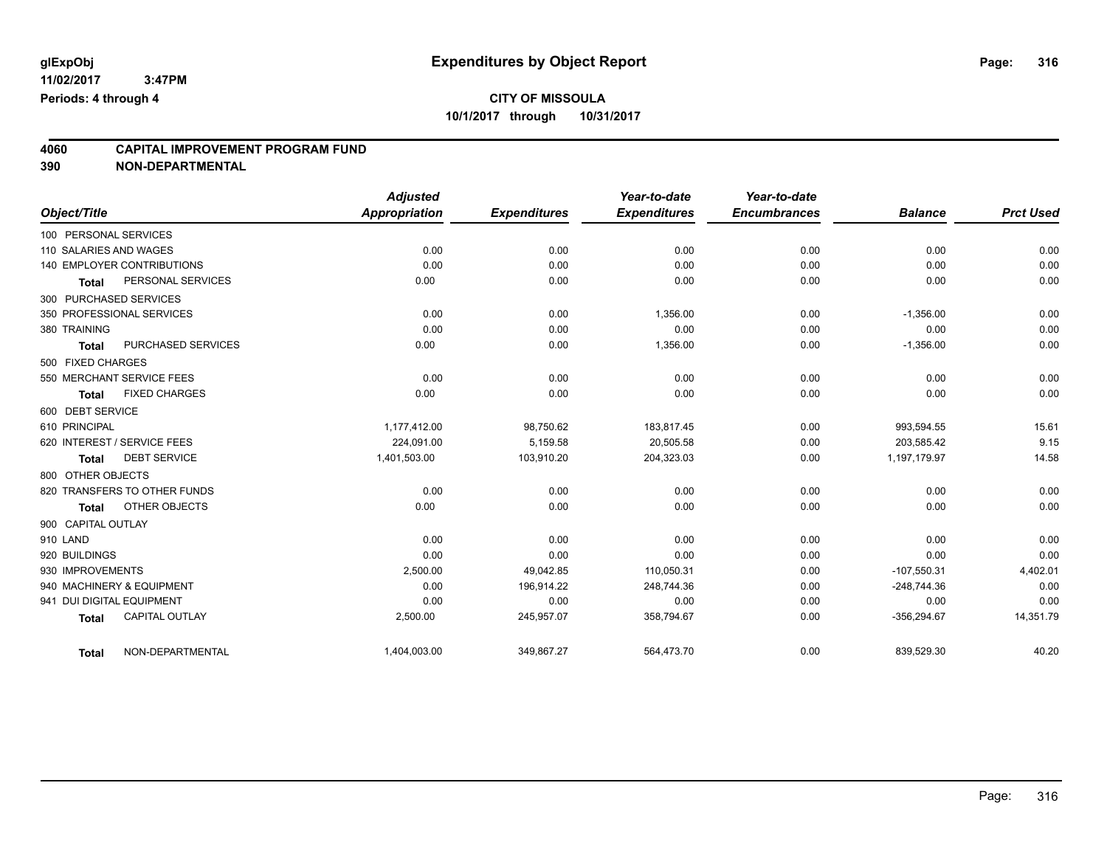## **4060 CAPITAL IMPROVEMENT PROGRAM FUND**

| Object/Title              |                                   | <b>Adjusted</b><br><b>Appropriation</b> | <b>Expenditures</b> | Year-to-date<br><b>Expenditures</b> | Year-to-date<br><b>Encumbrances</b> | <b>Balance</b> | <b>Prct Used</b> |
|---------------------------|-----------------------------------|-----------------------------------------|---------------------|-------------------------------------|-------------------------------------|----------------|------------------|
|                           |                                   |                                         |                     |                                     |                                     |                |                  |
| 100 PERSONAL SERVICES     |                                   |                                         |                     |                                     |                                     |                |                  |
| 110 SALARIES AND WAGES    |                                   | 0.00                                    | 0.00                | 0.00                                | 0.00                                | 0.00           | 0.00             |
|                           | <b>140 EMPLOYER CONTRIBUTIONS</b> | 0.00                                    | 0.00                | 0.00                                | 0.00                                | 0.00           | 0.00             |
| <b>Total</b>              | PERSONAL SERVICES                 | 0.00                                    | 0.00                | 0.00                                | 0.00                                | 0.00           | 0.00             |
| 300 PURCHASED SERVICES    |                                   |                                         |                     |                                     |                                     |                |                  |
|                           | 350 PROFESSIONAL SERVICES         | 0.00                                    | 0.00                | 1,356.00                            | 0.00                                | $-1,356.00$    | 0.00             |
| 380 TRAINING              |                                   | 0.00                                    | 0.00                | 0.00                                | 0.00                                | 0.00           | 0.00             |
| <b>Total</b>              | PURCHASED SERVICES                | 0.00                                    | 0.00                | 1,356.00                            | 0.00                                | $-1,356.00$    | 0.00             |
| 500 FIXED CHARGES         |                                   |                                         |                     |                                     |                                     |                |                  |
|                           | 550 MERCHANT SERVICE FEES         | 0.00                                    | 0.00                | 0.00                                | 0.00                                | 0.00           | 0.00             |
| <b>Total</b>              | <b>FIXED CHARGES</b>              | 0.00                                    | 0.00                | 0.00                                | 0.00                                | 0.00           | 0.00             |
| 600 DEBT SERVICE          |                                   |                                         |                     |                                     |                                     |                |                  |
| 610 PRINCIPAL             |                                   | 1,177,412.00                            | 98,750.62           | 183,817.45                          | 0.00                                | 993,594.55     | 15.61            |
|                           | 620 INTEREST / SERVICE FEES       | 224,091.00                              | 5,159.58            | 20,505.58                           | 0.00                                | 203,585.42     | 9.15             |
| <b>Total</b>              | <b>DEBT SERVICE</b>               | 1,401,503.00                            | 103,910.20          | 204,323.03                          | 0.00                                | 1,197,179.97   | 14.58            |
| 800 OTHER OBJECTS         |                                   |                                         |                     |                                     |                                     |                |                  |
|                           | 820 TRANSFERS TO OTHER FUNDS      | 0.00                                    | 0.00                | 0.00                                | 0.00                                | 0.00           | 0.00             |
| <b>Total</b>              | OTHER OBJECTS                     | 0.00                                    | 0.00                | 0.00                                | 0.00                                | 0.00           | 0.00             |
| 900 CAPITAL OUTLAY        |                                   |                                         |                     |                                     |                                     |                |                  |
| 910 LAND                  |                                   | 0.00                                    | 0.00                | 0.00                                | 0.00                                | 0.00           | 0.00             |
| 920 BUILDINGS             |                                   | 0.00                                    | 0.00                | 0.00                                | 0.00                                | 0.00           | 0.00             |
| 930 IMPROVEMENTS          |                                   | 2,500.00                                | 49,042.85           | 110,050.31                          | 0.00                                | $-107,550.31$  | 4,402.01         |
|                           | 940 MACHINERY & EQUIPMENT         | 0.00                                    | 196,914.22          | 248,744.36                          | 0.00                                | $-248,744.36$  | 0.00             |
| 941 DUI DIGITAL EQUIPMENT |                                   | 0.00                                    | 0.00                | 0.00                                | 0.00                                | 0.00           | 0.00             |
| <b>Total</b>              | <b>CAPITAL OUTLAY</b>             | 2,500.00                                | 245,957.07          | 358,794.67                          | 0.00                                | $-356,294.67$  | 14,351.79        |
| <b>Total</b>              | NON-DEPARTMENTAL                  | 1,404,003.00                            | 349,867.27          | 564,473.70                          | 0.00                                | 839,529.30     | 40.20            |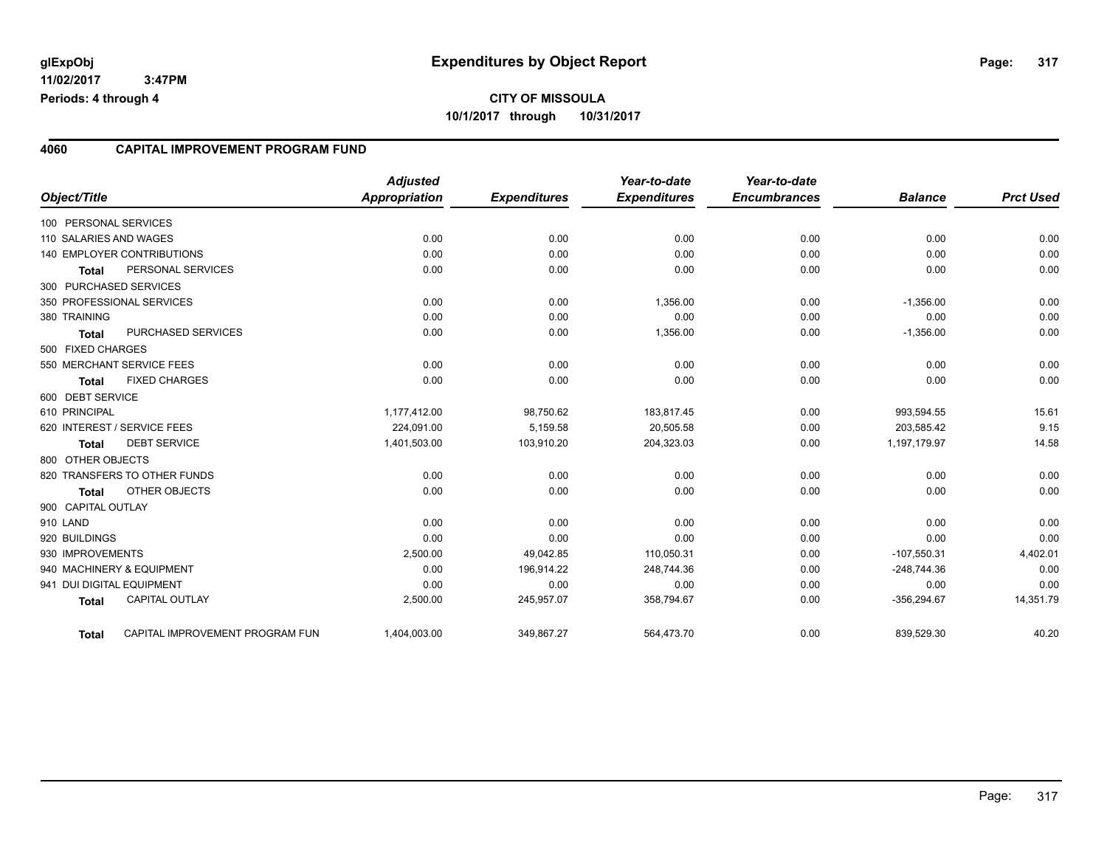#### **4060 CAPITAL IMPROVEMENT PROGRAM FUND**

| Object/Title              |                                 | <b>Adjusted</b><br><b>Appropriation</b> | <b>Expenditures</b> | Year-to-date<br><b>Expenditures</b> | Year-to-date<br><b>Encumbrances</b> | <b>Balance</b> | <b>Prct Used</b> |
|---------------------------|---------------------------------|-----------------------------------------|---------------------|-------------------------------------|-------------------------------------|----------------|------------------|
| 100 PERSONAL SERVICES     |                                 |                                         |                     |                                     |                                     |                |                  |
| 110 SALARIES AND WAGES    |                                 | 0.00                                    | 0.00                | 0.00                                | 0.00                                | 0.00           | 0.00             |
|                           | 140 EMPLOYER CONTRIBUTIONS      | 0.00                                    | 0.00                | 0.00                                | 0.00                                | 0.00           | 0.00             |
| <b>Total</b>              | PERSONAL SERVICES               | 0.00                                    | 0.00                | 0.00                                | 0.00                                | 0.00           | 0.00             |
| 300 PURCHASED SERVICES    |                                 |                                         |                     |                                     |                                     |                |                  |
|                           | 350 PROFESSIONAL SERVICES       | 0.00                                    | 0.00                | 1,356.00                            | 0.00                                | $-1,356.00$    | 0.00             |
| 380 TRAINING              |                                 | 0.00                                    | 0.00                | 0.00                                | 0.00                                | 0.00           | 0.00             |
| <b>Total</b>              | PURCHASED SERVICES              | 0.00                                    | 0.00                | 1,356.00                            | 0.00                                | $-1,356.00$    | 0.00             |
| 500 FIXED CHARGES         |                                 |                                         |                     |                                     |                                     |                |                  |
|                           | 550 MERCHANT SERVICE FEES       | 0.00                                    | 0.00                | 0.00                                | 0.00                                | 0.00           | 0.00             |
| <b>Total</b>              | <b>FIXED CHARGES</b>            | 0.00                                    | 0.00                | 0.00                                | 0.00                                | 0.00           | 0.00             |
| 600 DEBT SERVICE          |                                 |                                         |                     |                                     |                                     |                |                  |
| 610 PRINCIPAL             |                                 | 1,177,412.00                            | 98,750.62           | 183,817.45                          | 0.00                                | 993,594.55     | 15.61            |
|                           | 620 INTEREST / SERVICE FEES     | 224,091.00                              | 5,159.58            | 20,505.58                           | 0.00                                | 203,585.42     | 9.15             |
| Total                     | <b>DEBT SERVICE</b>             | 1,401,503.00                            | 103,910.20          | 204,323.03                          | 0.00                                | 1,197,179.97   | 14.58            |
| 800 OTHER OBJECTS         |                                 |                                         |                     |                                     |                                     |                |                  |
|                           | 820 TRANSFERS TO OTHER FUNDS    | 0.00                                    | 0.00                | 0.00                                | 0.00                                | 0.00           | 0.00             |
|                           | OTHER OBJECTS                   | 0.00                                    | 0.00                | 0.00                                | 0.00                                | 0.00           | 0.00             |
| <b>Total</b>              |                                 |                                         |                     |                                     |                                     |                |                  |
| 900 CAPITAL OUTLAY        |                                 |                                         |                     |                                     |                                     |                |                  |
| 910 LAND                  |                                 | 0.00                                    | 0.00                | 0.00                                | 0.00                                | 0.00           | 0.00             |
| 920 BUILDINGS             |                                 | 0.00                                    | 0.00                | 0.00                                | 0.00                                | 0.00           | 0.00             |
| 930 IMPROVEMENTS          |                                 | 2,500.00                                | 49,042.85           | 110,050.31                          | 0.00                                | $-107,550.31$  | 4,402.01         |
|                           | 940 MACHINERY & EQUIPMENT       | 0.00                                    | 196,914.22          | 248,744.36                          | 0.00                                | $-248,744.36$  | 0.00             |
| 941 DUI DIGITAL EQUIPMENT |                                 | 0.00                                    | 0.00                | 0.00                                | 0.00                                | 0.00           | 0.00             |
| <b>Total</b>              | <b>CAPITAL OUTLAY</b>           | 2,500.00                                | 245,957.07          | 358,794.67                          | 0.00                                | $-356,294.67$  | 14,351.79        |
| Total                     | CAPITAL IMPROVEMENT PROGRAM FUN | 1,404,003.00                            | 349,867.27          | 564,473.70                          | 0.00                                | 839,529.30     | 40.20            |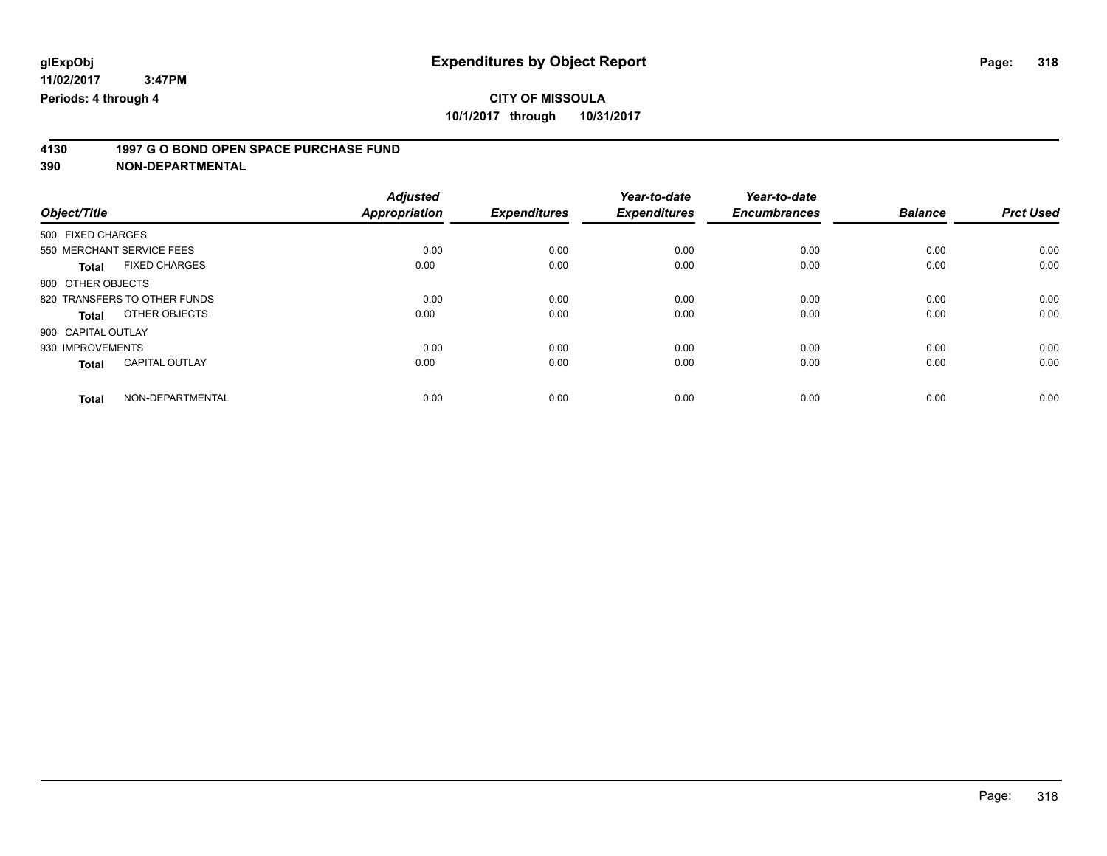# **4130 1997 G O BOND OPEN SPACE PURCHASE FUND**

|                                       | <b>Adjusted</b>      |                     | Year-to-date        | Year-to-date        |                |                  |
|---------------------------------------|----------------------|---------------------|---------------------|---------------------|----------------|------------------|
| Object/Title                          | <b>Appropriation</b> | <b>Expenditures</b> | <b>Expenditures</b> | <b>Encumbrances</b> | <b>Balance</b> | <b>Prct Used</b> |
| 500 FIXED CHARGES                     |                      |                     |                     |                     |                |                  |
| 550 MERCHANT SERVICE FEES             | 0.00                 | 0.00                | 0.00                | 0.00                | 0.00           | 0.00             |
| <b>FIXED CHARGES</b><br><b>Total</b>  | 0.00                 | 0.00                | 0.00                | 0.00                | 0.00           | 0.00             |
| 800 OTHER OBJECTS                     |                      |                     |                     |                     |                |                  |
| 820 TRANSFERS TO OTHER FUNDS          | 0.00                 | 0.00                | 0.00                | 0.00                | 0.00           | 0.00             |
| OTHER OBJECTS<br>Total                | 0.00                 | 0.00                | 0.00                | 0.00                | 0.00           | 0.00             |
| 900 CAPITAL OUTLAY                    |                      |                     |                     |                     |                |                  |
| 930 IMPROVEMENTS                      | 0.00                 | 0.00                | 0.00                | 0.00                | 0.00           | 0.00             |
| <b>CAPITAL OUTLAY</b><br><b>Total</b> | 0.00                 | 0.00                | 0.00                | 0.00                | 0.00           | 0.00             |
| NON-DEPARTMENTAL<br><b>Total</b>      | 0.00                 | 0.00                | 0.00                | 0.00                | 0.00           | 0.00             |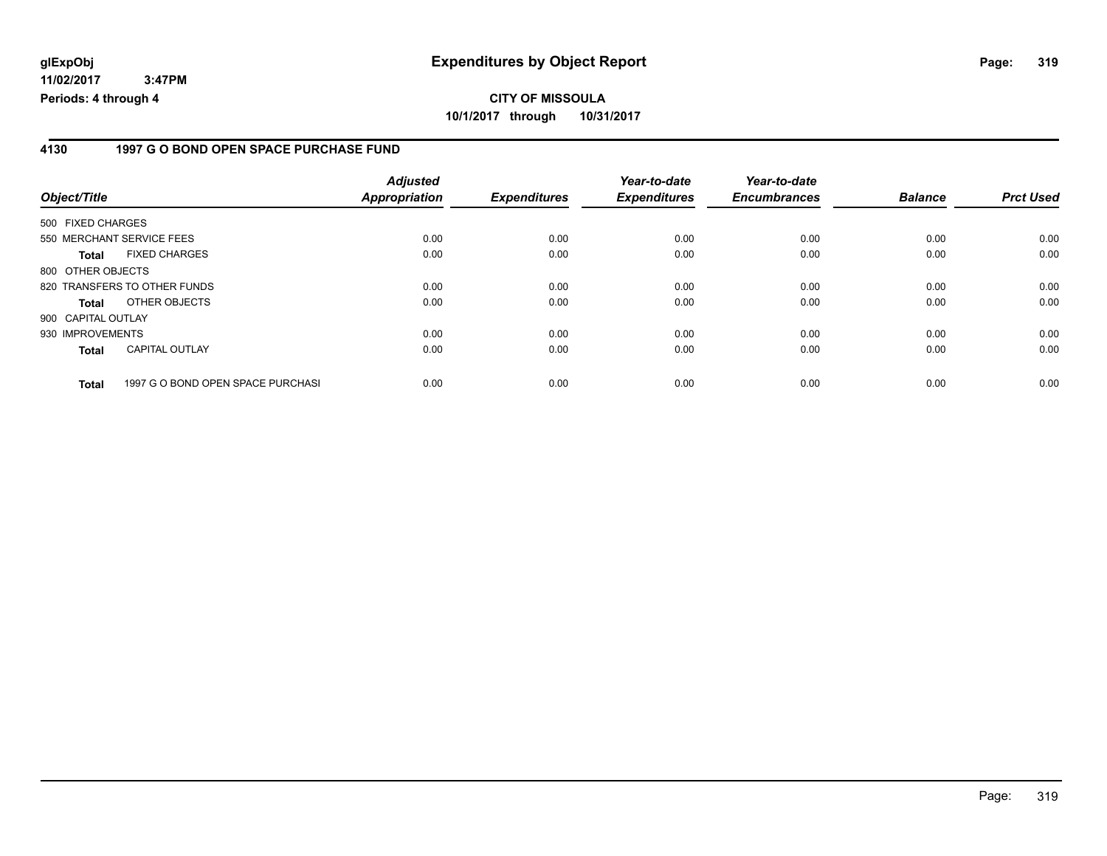### **4130 1997 G O BOND OPEN SPACE PURCHASE FUND**

| Object/Title                 |                                   | <b>Adjusted</b><br>Appropriation | <b>Expenditures</b> | Year-to-date<br><b>Expenditures</b> | Year-to-date<br><b>Encumbrances</b> | <b>Balance</b> | <b>Prct Used</b> |
|------------------------------|-----------------------------------|----------------------------------|---------------------|-------------------------------------|-------------------------------------|----------------|------------------|
| 500 FIXED CHARGES            |                                   |                                  |                     |                                     |                                     |                |                  |
| 550 MERCHANT SERVICE FEES    |                                   | 0.00                             | 0.00                | 0.00                                | 0.00                                | 0.00           | 0.00             |
| Total                        | <b>FIXED CHARGES</b>              | 0.00                             | 0.00                | 0.00                                | 0.00                                | 0.00           | 0.00             |
| 800 OTHER OBJECTS            |                                   |                                  |                     |                                     |                                     |                |                  |
| 820 TRANSFERS TO OTHER FUNDS |                                   | 0.00                             | 0.00                | 0.00                                | 0.00                                | 0.00           | 0.00             |
| <b>Total</b>                 | OTHER OBJECTS                     | 0.00                             | 0.00                | 0.00                                | 0.00                                | 0.00           | 0.00             |
| 900 CAPITAL OUTLAY           |                                   |                                  |                     |                                     |                                     |                |                  |
| 930 IMPROVEMENTS             |                                   | 0.00                             | 0.00                | 0.00                                | 0.00                                | 0.00           | 0.00             |
| <b>Total</b>                 | <b>CAPITAL OUTLAY</b>             | 0.00                             | 0.00                | 0.00                                | 0.00                                | 0.00           | 0.00             |
| <b>Total</b>                 | 1997 G O BOND OPEN SPACE PURCHASI | 0.00                             | 0.00                | 0.00                                | 0.00                                | 0.00           | 0.00             |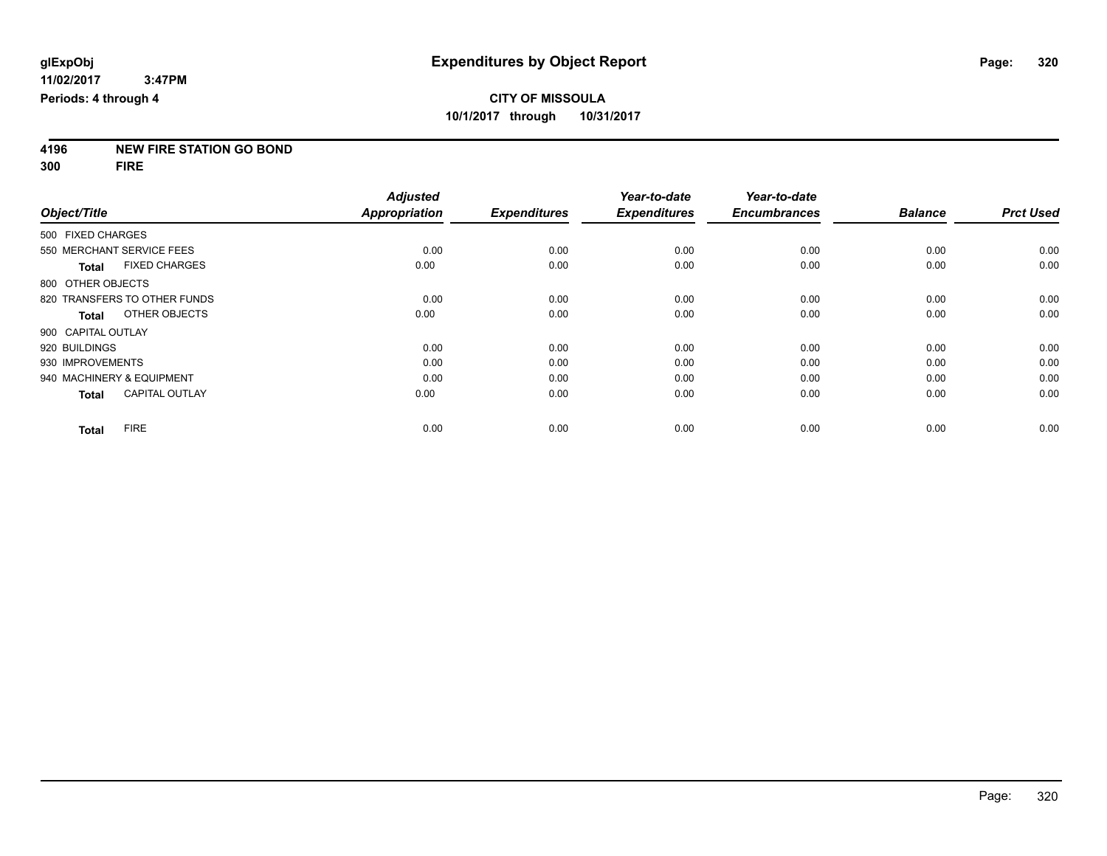**4196 NEW FIRE STATION GO BOND**

**300 FIRE**

|                    |                              | <b>Adjusted</b> |                     | Year-to-date        | Year-to-date        |                |                  |
|--------------------|------------------------------|-----------------|---------------------|---------------------|---------------------|----------------|------------------|
| Object/Title       |                              | Appropriation   | <b>Expenditures</b> | <b>Expenditures</b> | <b>Encumbrances</b> | <b>Balance</b> | <b>Prct Used</b> |
| 500 FIXED CHARGES  |                              |                 |                     |                     |                     |                |                  |
|                    | 550 MERCHANT SERVICE FEES    | 0.00            | 0.00                | 0.00                | 0.00                | 0.00           | 0.00             |
| <b>Total</b>       | <b>FIXED CHARGES</b>         | 0.00            | 0.00                | 0.00                | 0.00                | 0.00           | 0.00             |
| 800 OTHER OBJECTS  |                              |                 |                     |                     |                     |                |                  |
|                    | 820 TRANSFERS TO OTHER FUNDS | 0.00            | 0.00                | 0.00                | 0.00                | 0.00           | 0.00             |
| Total              | OTHER OBJECTS                | 0.00            | 0.00                | 0.00                | 0.00                | 0.00           | 0.00             |
| 900 CAPITAL OUTLAY |                              |                 |                     |                     |                     |                |                  |
| 920 BUILDINGS      |                              | 0.00            | 0.00                | 0.00                | 0.00                | 0.00           | 0.00             |
| 930 IMPROVEMENTS   |                              | 0.00            | 0.00                | 0.00                | 0.00                | 0.00           | 0.00             |
|                    | 940 MACHINERY & EQUIPMENT    | 0.00            | 0.00                | 0.00                | 0.00                | 0.00           | 0.00             |
| <b>Total</b>       | <b>CAPITAL OUTLAY</b>        | 0.00            | 0.00                | 0.00                | 0.00                | 0.00           | 0.00             |
| <b>Total</b>       | <b>FIRE</b>                  | 0.00            | 0.00                | 0.00                | 0.00                | 0.00           | 0.00             |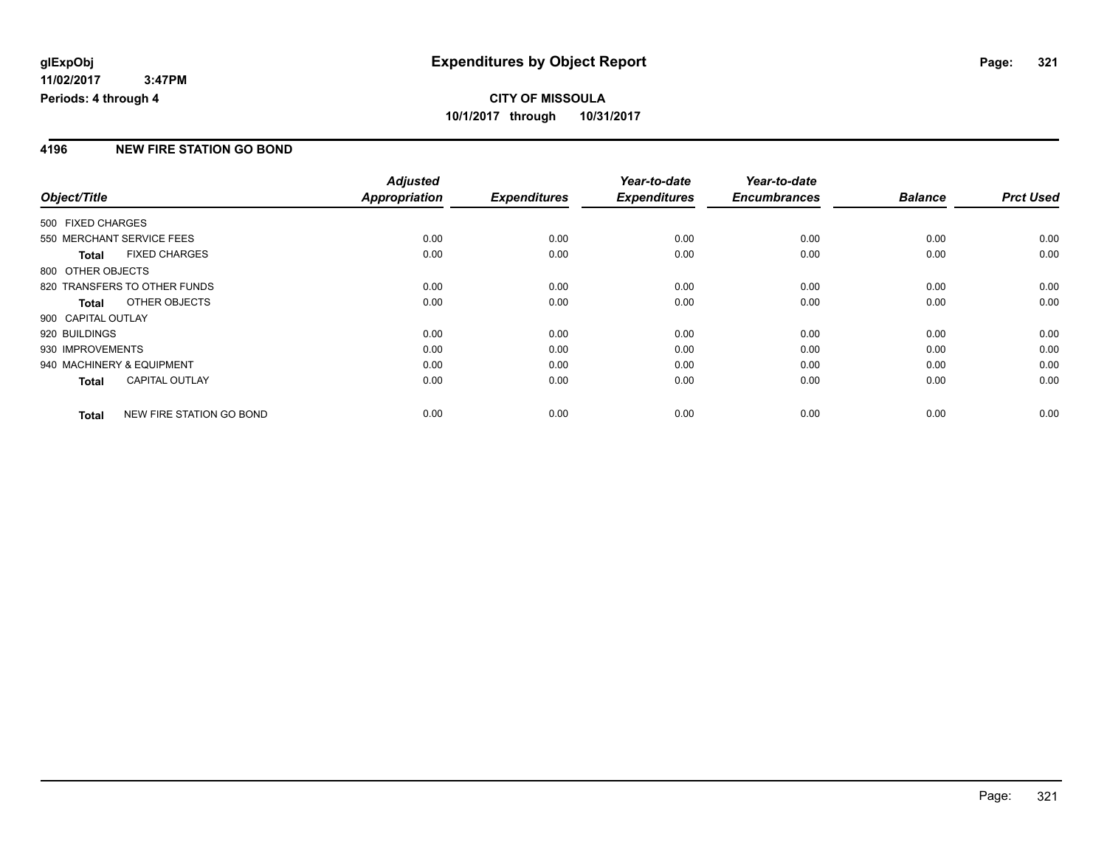### **4196 NEW FIRE STATION GO BOND**

|                           |                              | <b>Adjusted</b>      |                     | Year-to-date        | Year-to-date        |                |                  |
|---------------------------|------------------------------|----------------------|---------------------|---------------------|---------------------|----------------|------------------|
| Object/Title              |                              | <b>Appropriation</b> | <b>Expenditures</b> | <b>Expenditures</b> | <b>Encumbrances</b> | <b>Balance</b> | <b>Prct Used</b> |
| 500 FIXED CHARGES         |                              |                      |                     |                     |                     |                |                  |
| 550 MERCHANT SERVICE FEES |                              | 0.00                 | 0.00                | 0.00                | 0.00                | 0.00           | 0.00             |
| <b>Total</b>              | <b>FIXED CHARGES</b>         | 0.00                 | 0.00                | 0.00                | 0.00                | 0.00           | 0.00             |
| 800 OTHER OBJECTS         |                              |                      |                     |                     |                     |                |                  |
|                           | 820 TRANSFERS TO OTHER FUNDS | 0.00                 | 0.00                | 0.00                | 0.00                | 0.00           | 0.00             |
| Total                     | OTHER OBJECTS                | 0.00                 | 0.00                | 0.00                | 0.00                | 0.00           | 0.00             |
| 900 CAPITAL OUTLAY        |                              |                      |                     |                     |                     |                |                  |
| 920 BUILDINGS             |                              | 0.00                 | 0.00                | 0.00                | 0.00                | 0.00           | 0.00             |
| 930 IMPROVEMENTS          |                              | 0.00                 | 0.00                | 0.00                | 0.00                | 0.00           | 0.00             |
| 940 MACHINERY & EQUIPMENT |                              | 0.00                 | 0.00                | 0.00                | 0.00                | 0.00           | 0.00             |
| Total                     | CAPITAL OUTLAY               | 0.00                 | 0.00                | 0.00                | 0.00                | 0.00           | 0.00             |
| <b>Total</b>              | NEW FIRE STATION GO BOND     | 0.00                 | 0.00                | 0.00                | 0.00                | 0.00           | 0.00             |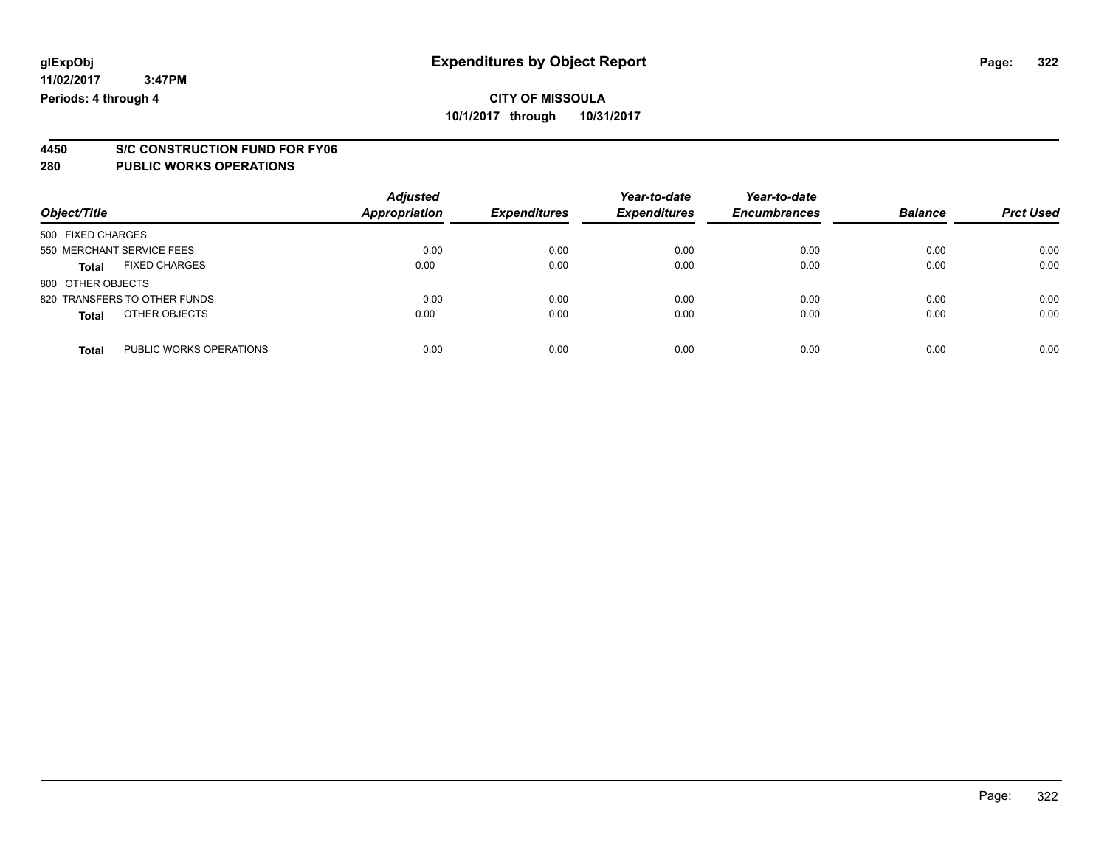# **4450 S/C CONSTRUCTION FUND FOR FY06**

#### **280 PUBLIC WORKS OPERATIONS**

| Object/Title                            | <b>Adjusted</b><br><b>Appropriation</b> | <b>Expenditures</b> | Year-to-date<br><b>Expenditures</b> | Year-to-date<br><b>Encumbrances</b> | <b>Balance</b> | <b>Prct Used</b> |
|-----------------------------------------|-----------------------------------------|---------------------|-------------------------------------|-------------------------------------|----------------|------------------|
| 500 FIXED CHARGES                       |                                         |                     |                                     |                                     |                |                  |
| 550 MERCHANT SERVICE FEES               | 0.00                                    | 0.00                | 0.00                                | 0.00                                | 0.00           | 0.00             |
| <b>FIXED CHARGES</b><br><b>Total</b>    | 0.00                                    | 0.00                | 0.00                                | 0.00                                | 0.00           | 0.00             |
| 800 OTHER OBJECTS                       |                                         |                     |                                     |                                     |                |                  |
| 820 TRANSFERS TO OTHER FUNDS            | 0.00                                    | 0.00                | 0.00                                | 0.00                                | 0.00           | 0.00             |
| OTHER OBJECTS<br><b>Total</b>           | 0.00                                    | 0.00                | 0.00                                | 0.00                                | 0.00           | 0.00             |
| PUBLIC WORKS OPERATIONS<br><b>Total</b> | 0.00                                    | 0.00                | 0.00                                | 0.00                                | 0.00           | 0.00             |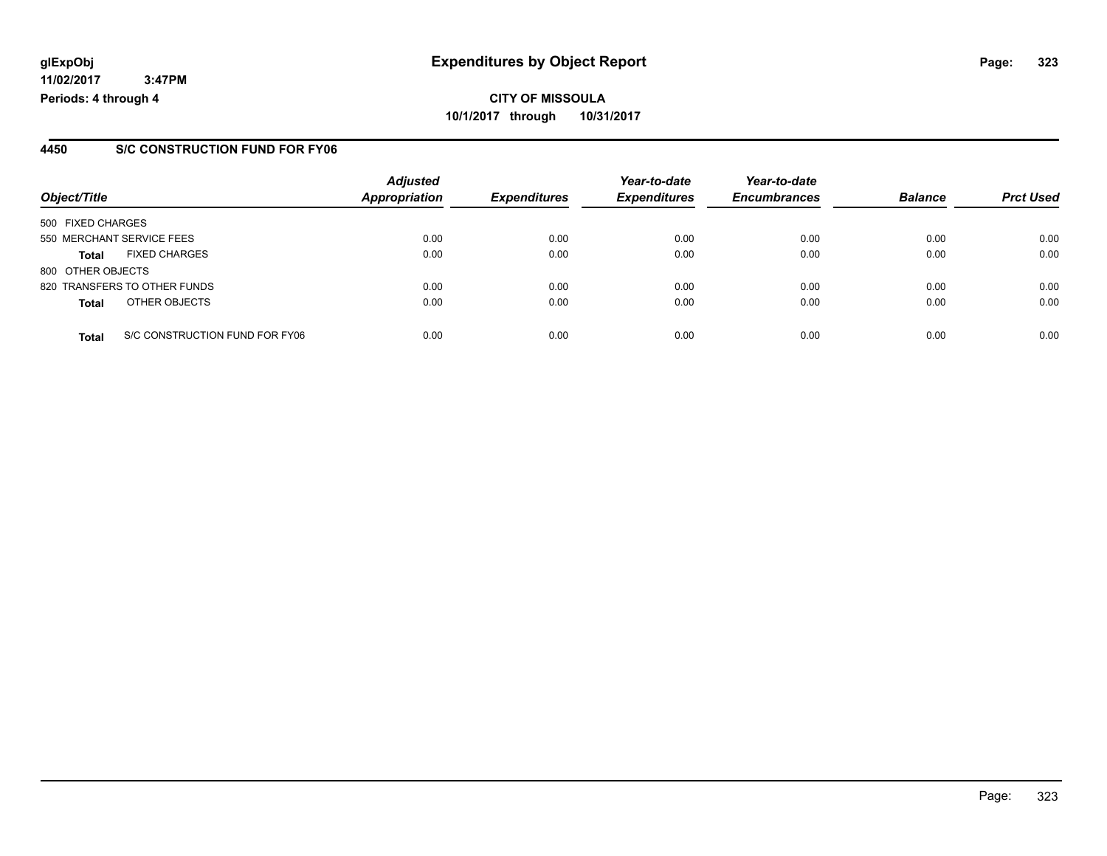### **4450 S/C CONSTRUCTION FUND FOR FY06**

| Object/Title      |                                | <b>Adjusted</b><br><b>Appropriation</b> | <b>Expenditures</b> | Year-to-date<br><b>Expenditures</b> | Year-to-date<br><b>Encumbrances</b> | <b>Balance</b> | <b>Prct Used</b> |
|-------------------|--------------------------------|-----------------------------------------|---------------------|-------------------------------------|-------------------------------------|----------------|------------------|
|                   |                                |                                         |                     |                                     |                                     |                |                  |
| 500 FIXED CHARGES |                                |                                         |                     |                                     |                                     |                |                  |
|                   | 550 MERCHANT SERVICE FEES      | 0.00                                    | 0.00                | 0.00                                | 0.00                                | 0.00           | 0.00             |
| <b>Total</b>      | <b>FIXED CHARGES</b>           | 0.00                                    | 0.00                | 0.00                                | 0.00                                | 0.00           | 0.00             |
| 800 OTHER OBJECTS |                                |                                         |                     |                                     |                                     |                |                  |
|                   | 820 TRANSFERS TO OTHER FUNDS   | 0.00                                    | 0.00                | 0.00                                | 0.00                                | 0.00           | 0.00             |
| <b>Total</b>      | OTHER OBJECTS                  | 0.00                                    | 0.00                | 0.00                                | 0.00                                | 0.00           | 0.00             |
| <b>Total</b>      | S/C CONSTRUCTION FUND FOR FY06 | 0.00                                    | 0.00                | 0.00                                | 0.00                                | 0.00           | 0.00             |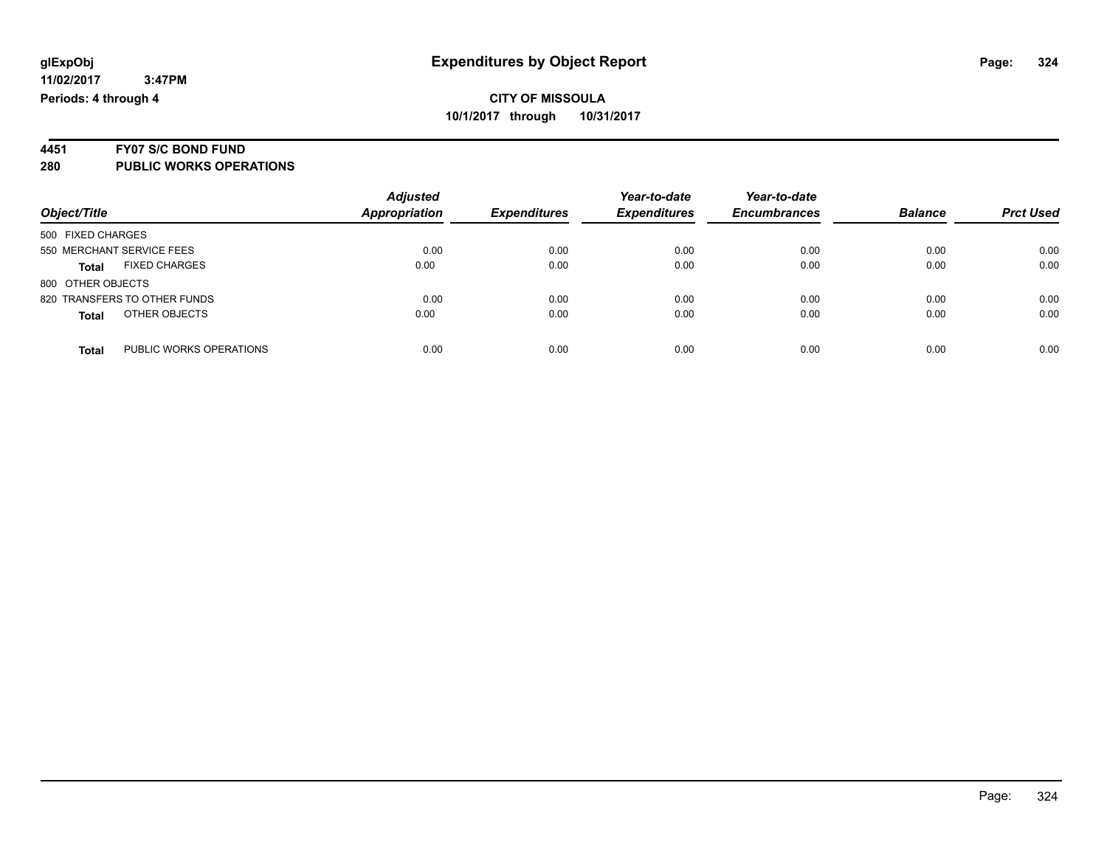# **4451 FY07 S/C BOND FUND**

**280 PUBLIC WORKS OPERATIONS**

| Object/Title                            | <b>Adjusted</b><br><b>Appropriation</b> | <b>Expenditures</b> | Year-to-date<br><b>Expenditures</b> | Year-to-date<br><b>Encumbrances</b> | <b>Balance</b> | <b>Prct Used</b> |
|-----------------------------------------|-----------------------------------------|---------------------|-------------------------------------|-------------------------------------|----------------|------------------|
|                                         |                                         |                     |                                     |                                     |                |                  |
| 500 FIXED CHARGES                       |                                         |                     |                                     |                                     |                |                  |
| 550 MERCHANT SERVICE FEES               | 0.00                                    | 0.00                | 0.00                                | 0.00                                | 0.00           | 0.00             |
| <b>FIXED CHARGES</b><br><b>Total</b>    | 0.00                                    | 0.00                | 0.00                                | 0.00                                | 0.00           | 0.00             |
| 800 OTHER OBJECTS                       |                                         |                     |                                     |                                     |                |                  |
| 820 TRANSFERS TO OTHER FUNDS            | 0.00                                    | 0.00                | 0.00                                | 0.00                                | 0.00           | 0.00             |
| OTHER OBJECTS<br><b>Total</b>           | 0.00                                    | 0.00                | 0.00                                | 0.00                                | 0.00           | 0.00             |
| PUBLIC WORKS OPERATIONS<br><b>Total</b> | 0.00                                    | 0.00                | 0.00                                | 0.00                                | 0.00           | 0.00             |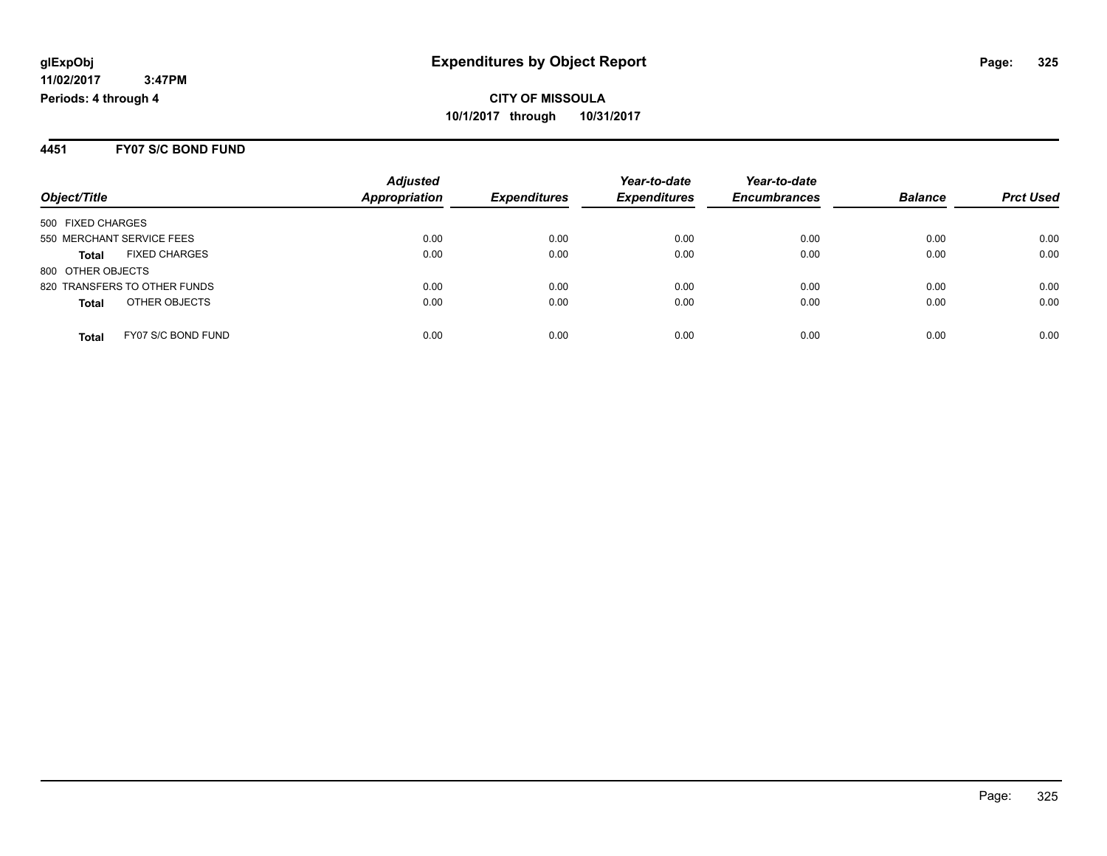#### **4451 FY07 S/C BOND FUND**

|                                      | <b>Adjusted</b>      |                     | Year-to-date        | Year-to-date        |                |                  |
|--------------------------------------|----------------------|---------------------|---------------------|---------------------|----------------|------------------|
| Object/Title                         | <b>Appropriation</b> | <b>Expenditures</b> | <b>Expenditures</b> | <b>Encumbrances</b> | <b>Balance</b> | <b>Prct Used</b> |
| 500 FIXED CHARGES                    |                      |                     |                     |                     |                |                  |
| 550 MERCHANT SERVICE FEES            | 0.00                 | 0.00                | 0.00                | 0.00                | 0.00           | 0.00             |
| <b>FIXED CHARGES</b><br><b>Total</b> | 0.00                 | 0.00                | 0.00                | 0.00                | 0.00           | 0.00             |
| 800 OTHER OBJECTS                    |                      |                     |                     |                     |                |                  |
| 820 TRANSFERS TO OTHER FUNDS         | 0.00                 | 0.00                | 0.00                | 0.00                | 0.00           | 0.00             |
| OTHER OBJECTS<br><b>Total</b>        | 0.00                 | 0.00                | 0.00                | 0.00                | 0.00           | 0.00             |
| FY07 S/C BOND FUND<br><b>Total</b>   | 0.00                 | 0.00                | 0.00                | 0.00                | 0.00           | 0.00             |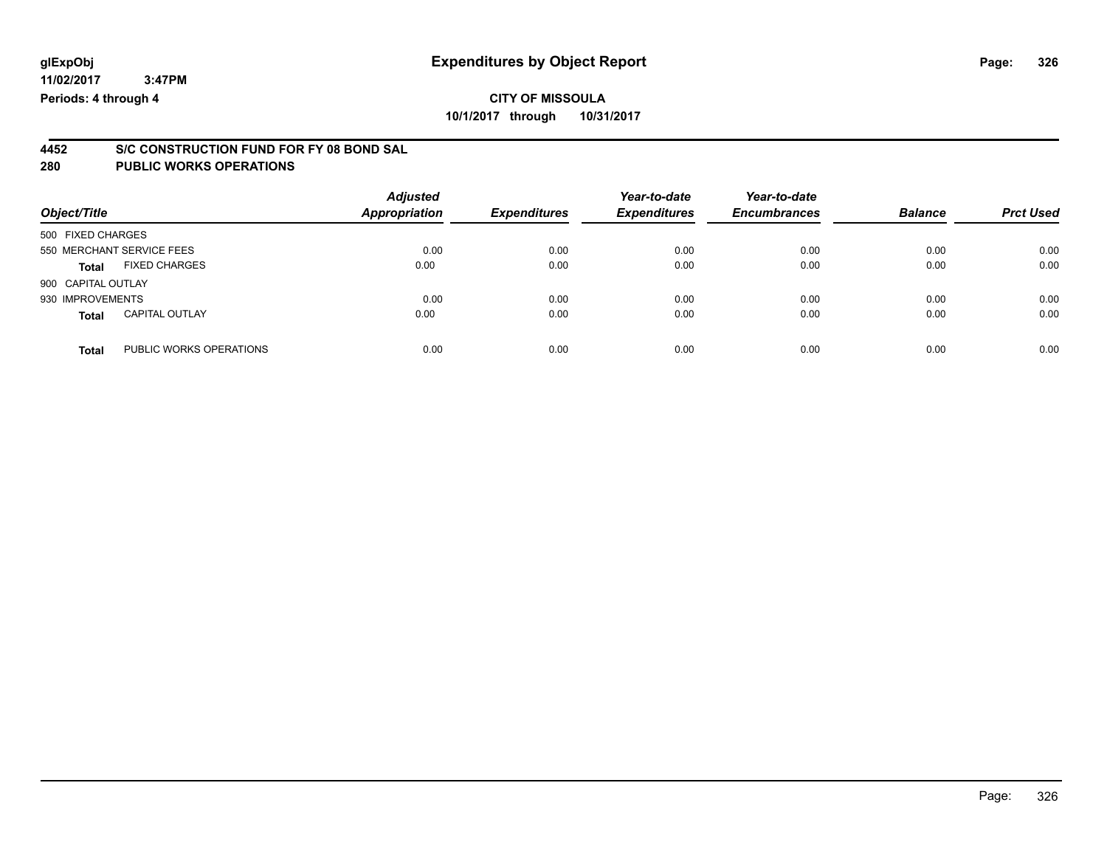**10/1/2017 through 10/31/2017**

# **4452 S/C CONSTRUCTION FUND FOR FY 08 BOND SAL**

| Object/Title       |                           | <b>Adjusted</b><br>Appropriation | <b>Expenditures</b> | Year-to-date<br><b>Expenditures</b> | Year-to-date<br><b>Encumbrances</b> | <b>Balance</b> | <b>Prct Used</b> |
|--------------------|---------------------------|----------------------------------|---------------------|-------------------------------------|-------------------------------------|----------------|------------------|
| 500 FIXED CHARGES  |                           |                                  |                     |                                     |                                     |                |                  |
|                    | 550 MERCHANT SERVICE FEES | 0.00                             | 0.00                | 0.00                                | 0.00                                | 0.00           | 0.00             |
| Total              | <b>FIXED CHARGES</b>      | 0.00                             | 0.00                | 0.00                                | 0.00                                | 0.00           | 0.00             |
| 900 CAPITAL OUTLAY |                           |                                  |                     |                                     |                                     |                |                  |
| 930 IMPROVEMENTS   |                           | 0.00                             | 0.00                | 0.00                                | 0.00                                | 0.00           | 0.00             |
| <b>Total</b>       | <b>CAPITAL OUTLAY</b>     | 0.00                             | 0.00                | 0.00                                | 0.00                                | 0.00           | 0.00             |
| <b>Total</b>       | PUBLIC WORKS OPERATIONS   | 0.00                             | 0.00                | 0.00                                | 0.00                                | 0.00           | 0.00             |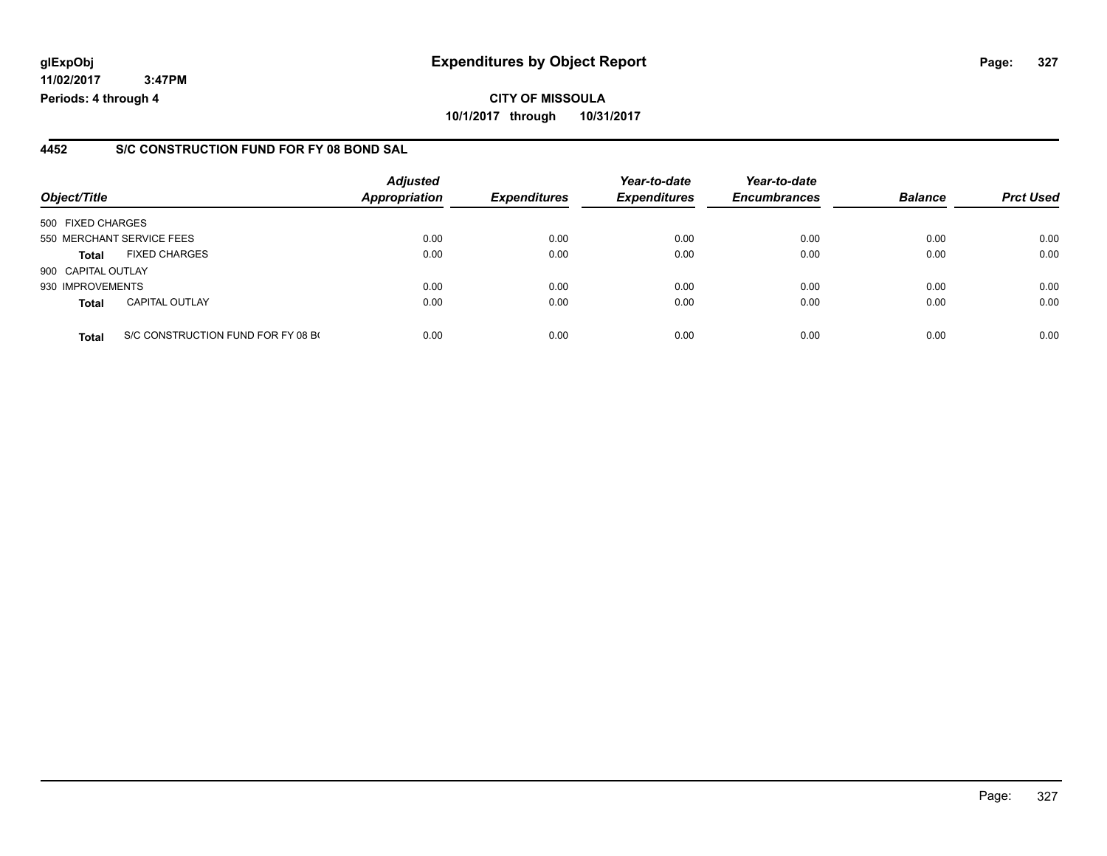## **glExpObj Expenditures by Object Report Page: 327**

**11/02/2017 3:47PM Periods: 4 through 4**

#### **4452 S/C CONSTRUCTION FUND FOR FY 08 BOND SAL**

| Object/Title       |                                    | <b>Adjusted</b><br><b>Appropriation</b> | <b>Expenditures</b> | Year-to-date<br><b>Expenditures</b> | Year-to-date<br><b>Encumbrances</b> | <b>Balance</b> | <b>Prct Used</b> |
|--------------------|------------------------------------|-----------------------------------------|---------------------|-------------------------------------|-------------------------------------|----------------|------------------|
| 500 FIXED CHARGES  |                                    |                                         |                     |                                     |                                     |                |                  |
|                    | 550 MERCHANT SERVICE FEES          | 0.00                                    | 0.00                | 0.00                                | 0.00                                | 0.00           | 0.00             |
| <b>Total</b>       | <b>FIXED CHARGES</b>               | 0.00                                    | 0.00                | 0.00                                | 0.00                                | 0.00           | 0.00             |
| 900 CAPITAL OUTLAY |                                    |                                         |                     |                                     |                                     |                |                  |
| 930 IMPROVEMENTS   |                                    | 0.00                                    | 0.00                | 0.00                                | 0.00                                | 0.00           | 0.00             |
| <b>Total</b>       | <b>CAPITAL OUTLAY</b>              | 0.00                                    | 0.00                | 0.00                                | 0.00                                | 0.00           | 0.00             |
| <b>Total</b>       | S/C CONSTRUCTION FUND FOR FY 08 BO | 0.00                                    | 0.00                | 0.00                                | 0.00                                | 0.00           | 0.00             |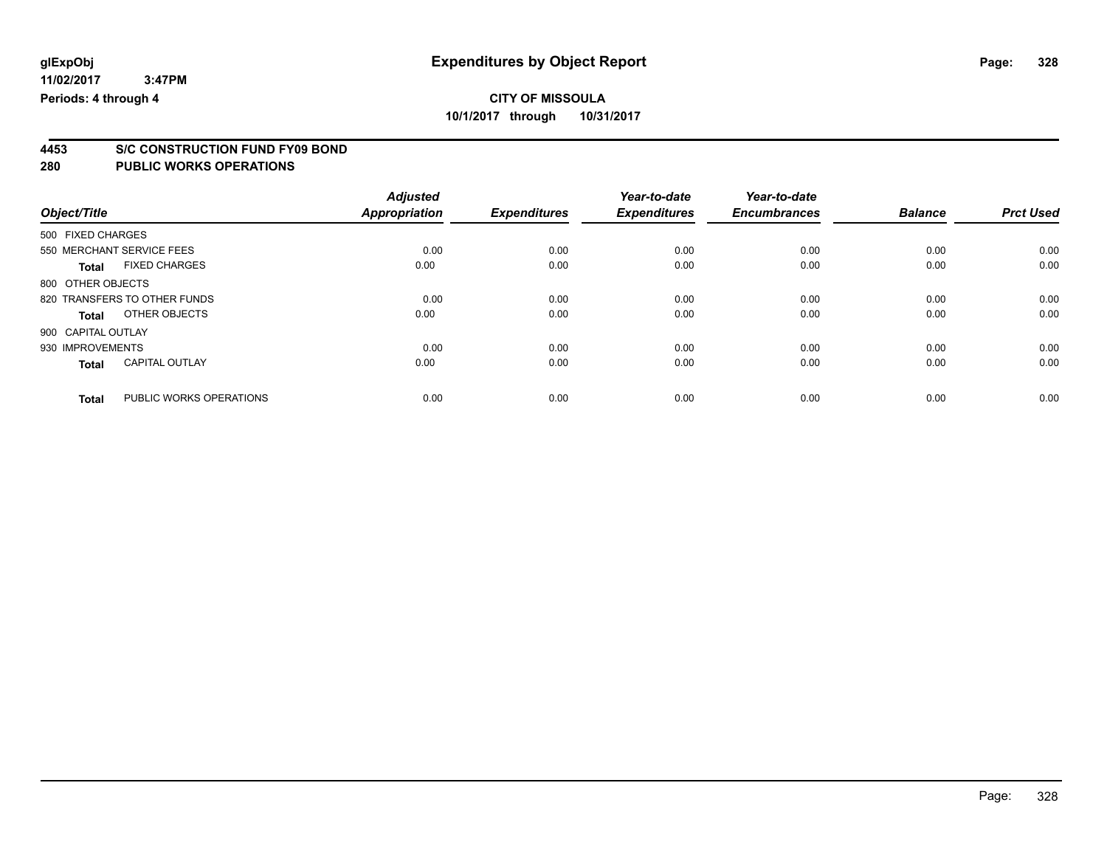# **4453 S/C CONSTRUCTION FUND FY09 BOND**

| Object/Title       |                              | <b>Adjusted</b><br><b>Appropriation</b> | <b>Expenditures</b> | Year-to-date<br><b>Expenditures</b> | Year-to-date<br><b>Encumbrances</b> | <b>Balance</b> | <b>Prct Used</b> |
|--------------------|------------------------------|-----------------------------------------|---------------------|-------------------------------------|-------------------------------------|----------------|------------------|
|                    |                              |                                         |                     |                                     |                                     |                |                  |
| 500 FIXED CHARGES  |                              |                                         |                     |                                     |                                     |                |                  |
|                    | 550 MERCHANT SERVICE FEES    | 0.00                                    | 0.00                | 0.00                                | 0.00                                | 0.00           | 0.00             |
| <b>Total</b>       | <b>FIXED CHARGES</b>         | 0.00                                    | 0.00                | 0.00                                | 0.00                                | 0.00           | 0.00             |
| 800 OTHER OBJECTS  |                              |                                         |                     |                                     |                                     |                |                  |
|                    | 820 TRANSFERS TO OTHER FUNDS | 0.00                                    | 0.00                | 0.00                                | 0.00                                | 0.00           | 0.00             |
| <b>Total</b>       | OTHER OBJECTS                | 0.00                                    | 0.00                | 0.00                                | 0.00                                | 0.00           | 0.00             |
| 900 CAPITAL OUTLAY |                              |                                         |                     |                                     |                                     |                |                  |
| 930 IMPROVEMENTS   |                              | 0.00                                    | 0.00                | 0.00                                | 0.00                                | 0.00           | 0.00             |
| <b>Total</b>       | <b>CAPITAL OUTLAY</b>        | 0.00                                    | 0.00                | 0.00                                | 0.00                                | 0.00           | 0.00             |
| <b>Total</b>       | PUBLIC WORKS OPERATIONS      | 0.00                                    | 0.00                | 0.00                                | 0.00                                | 0.00           | 0.00             |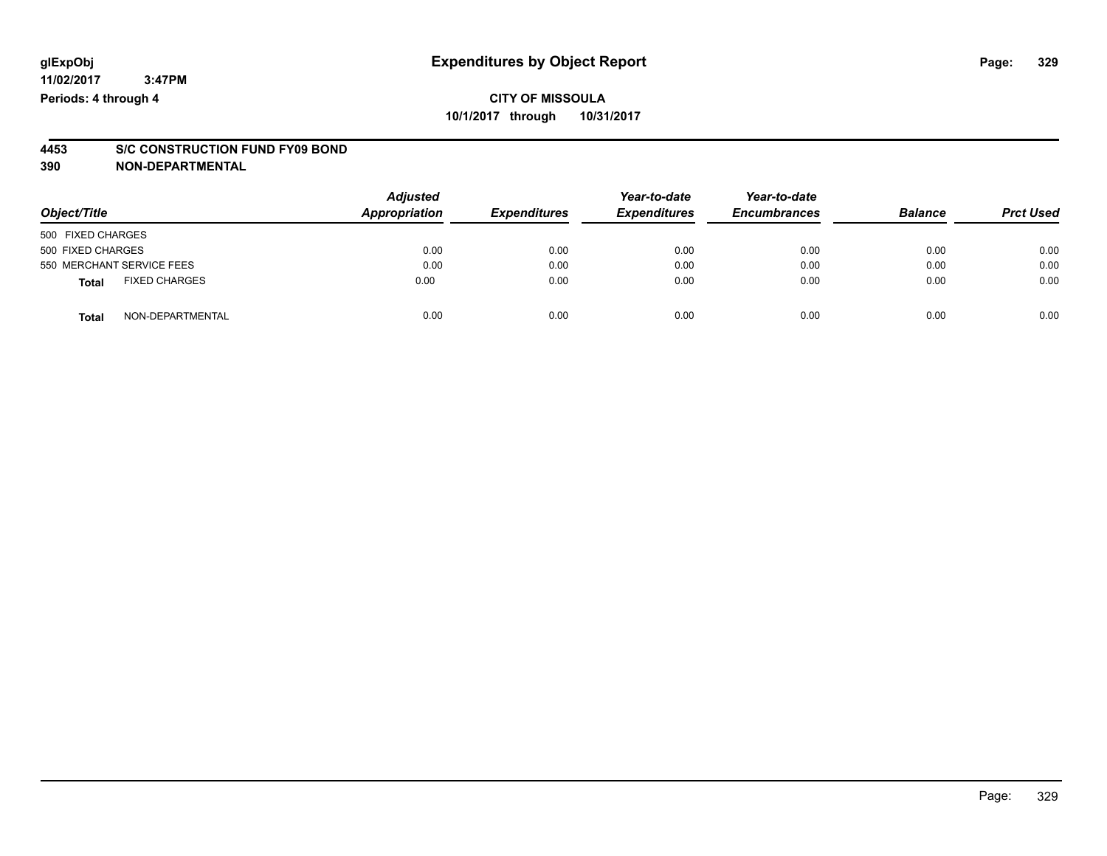# **4453 S/C CONSTRUCTION FUND FY09 BOND**

**390 NON-DEPARTMENTAL**

| Object/Title                         | <b>Adjusted</b><br>Appropriation | <b>Expenditures</b> | Year-to-date<br><b>Expenditures</b> | Year-to-date<br><b>Encumbrances</b> | <b>Balance</b> | <b>Prct Used</b> |
|--------------------------------------|----------------------------------|---------------------|-------------------------------------|-------------------------------------|----------------|------------------|
| 500 FIXED CHARGES                    |                                  |                     |                                     |                                     |                |                  |
| 500 FIXED CHARGES                    | 0.00                             | 0.00                | 0.00                                | 0.00                                | 0.00           | 0.00             |
| 550 MERCHANT SERVICE FEES            | 0.00                             | 0.00                | 0.00                                | 0.00                                | 0.00           | 0.00             |
| <b>FIXED CHARGES</b><br><b>Total</b> | 0.00                             | 0.00                | 0.00                                | 0.00                                | 0.00           | 0.00             |
| NON-DEPARTMENTAL<br><b>Total</b>     | 0.00                             | 0.00                | 0.00                                | 0.00                                | 0.00           | 0.00             |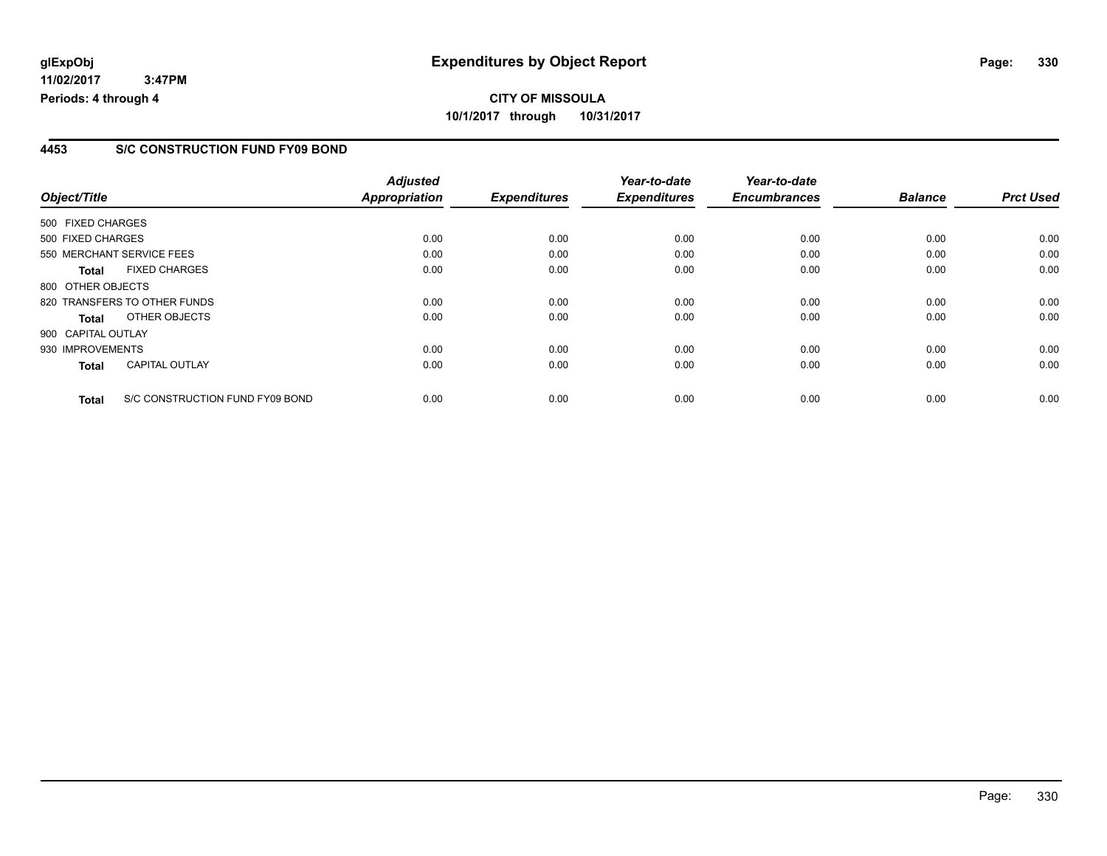#### **4453 S/C CONSTRUCTION FUND FY09 BOND**

|                    |                                 | <b>Adjusted</b>      |                     | Year-to-date        | Year-to-date        |                |                  |
|--------------------|---------------------------------|----------------------|---------------------|---------------------|---------------------|----------------|------------------|
| Object/Title       |                                 | <b>Appropriation</b> | <b>Expenditures</b> | <b>Expenditures</b> | <b>Encumbrances</b> | <b>Balance</b> | <b>Prct Used</b> |
| 500 FIXED CHARGES  |                                 |                      |                     |                     |                     |                |                  |
| 500 FIXED CHARGES  |                                 | 0.00                 | 0.00                | 0.00                | 0.00                | 0.00           | 0.00             |
|                    | 550 MERCHANT SERVICE FEES       | 0.00                 | 0.00                | 0.00                | 0.00                | 0.00           | 0.00             |
| <b>Total</b>       | <b>FIXED CHARGES</b>            | 0.00                 | 0.00                | 0.00                | 0.00                | 0.00           | 0.00             |
| 800 OTHER OBJECTS  |                                 |                      |                     |                     |                     |                |                  |
|                    | 820 TRANSFERS TO OTHER FUNDS    | 0.00                 | 0.00                | 0.00                | 0.00                | 0.00           | 0.00             |
| Total              | OTHER OBJECTS                   | 0.00                 | 0.00                | 0.00                | 0.00                | 0.00           | 0.00             |
| 900 CAPITAL OUTLAY |                                 |                      |                     |                     |                     |                |                  |
| 930 IMPROVEMENTS   |                                 | 0.00                 | 0.00                | 0.00                | 0.00                | 0.00           | 0.00             |
| <b>Total</b>       | <b>CAPITAL OUTLAY</b>           | 0.00                 | 0.00                | 0.00                | 0.00                | 0.00           | 0.00             |
| <b>Total</b>       | S/C CONSTRUCTION FUND FY09 BOND | 0.00                 | 0.00                | 0.00                | 0.00                | 0.00           | 0.00             |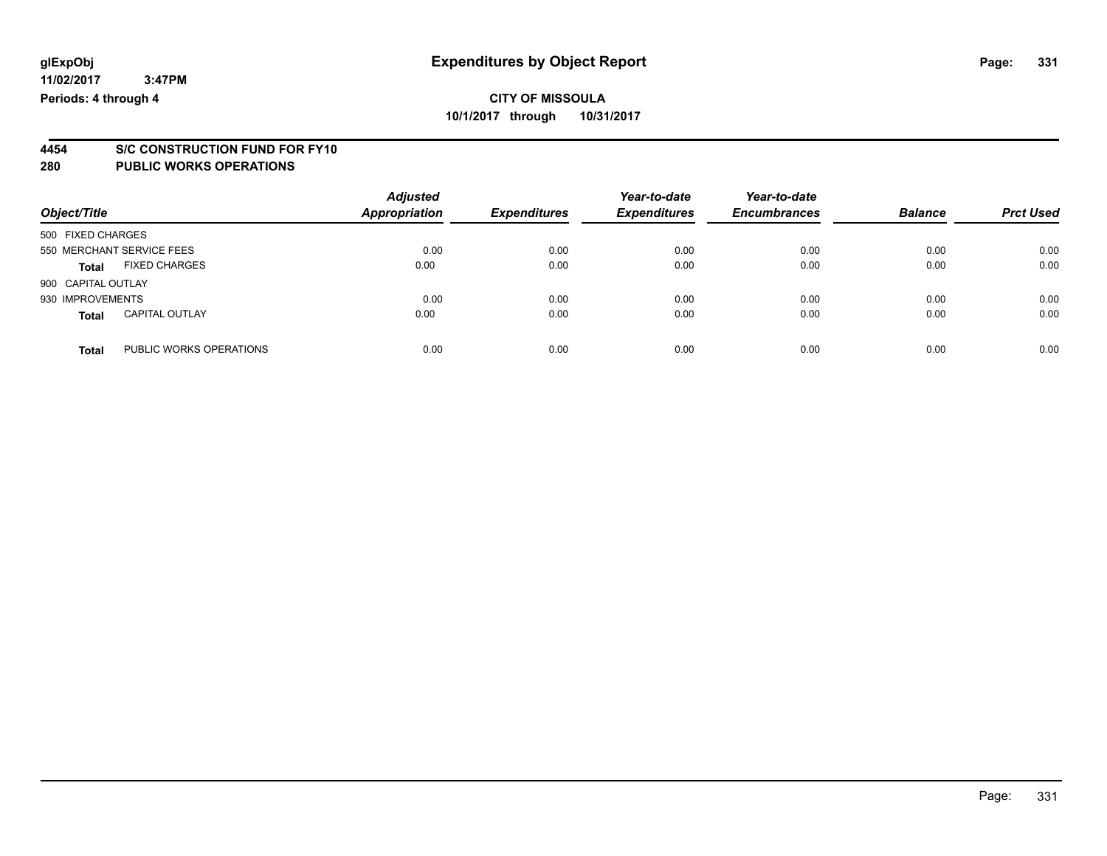# **4454 S/C CONSTRUCTION FUND FOR FY10**

#### **280 PUBLIC WORKS OPERATIONS**

**11/02/2017**

| Object/Title       |                           | <b>Adjusted</b><br>Appropriation | <b>Expenditures</b> | Year-to-date<br><b>Expenditures</b> | Year-to-date<br><b>Encumbrances</b> | <b>Balance</b> | <b>Prct Used</b> |
|--------------------|---------------------------|----------------------------------|---------------------|-------------------------------------|-------------------------------------|----------------|------------------|
| 500 FIXED CHARGES  |                           |                                  |                     |                                     |                                     |                |                  |
|                    | 550 MERCHANT SERVICE FEES | 0.00                             | 0.00                | 0.00                                | 0.00                                | 0.00           | 0.00             |
| Total              | <b>FIXED CHARGES</b>      | 0.00                             | 0.00                | 0.00                                | 0.00                                | 0.00           | 0.00             |
| 900 CAPITAL OUTLAY |                           |                                  |                     |                                     |                                     |                |                  |
| 930 IMPROVEMENTS   |                           | 0.00                             | 0.00                | 0.00                                | 0.00                                | 0.00           | 0.00             |
| <b>Total</b>       | <b>CAPITAL OUTLAY</b>     | 0.00                             | 0.00                | 0.00                                | 0.00                                | 0.00           | 0.00             |
| <b>Total</b>       | PUBLIC WORKS OPERATIONS   | 0.00                             | 0.00                | 0.00                                | 0.00                                | 0.00           | 0.00             |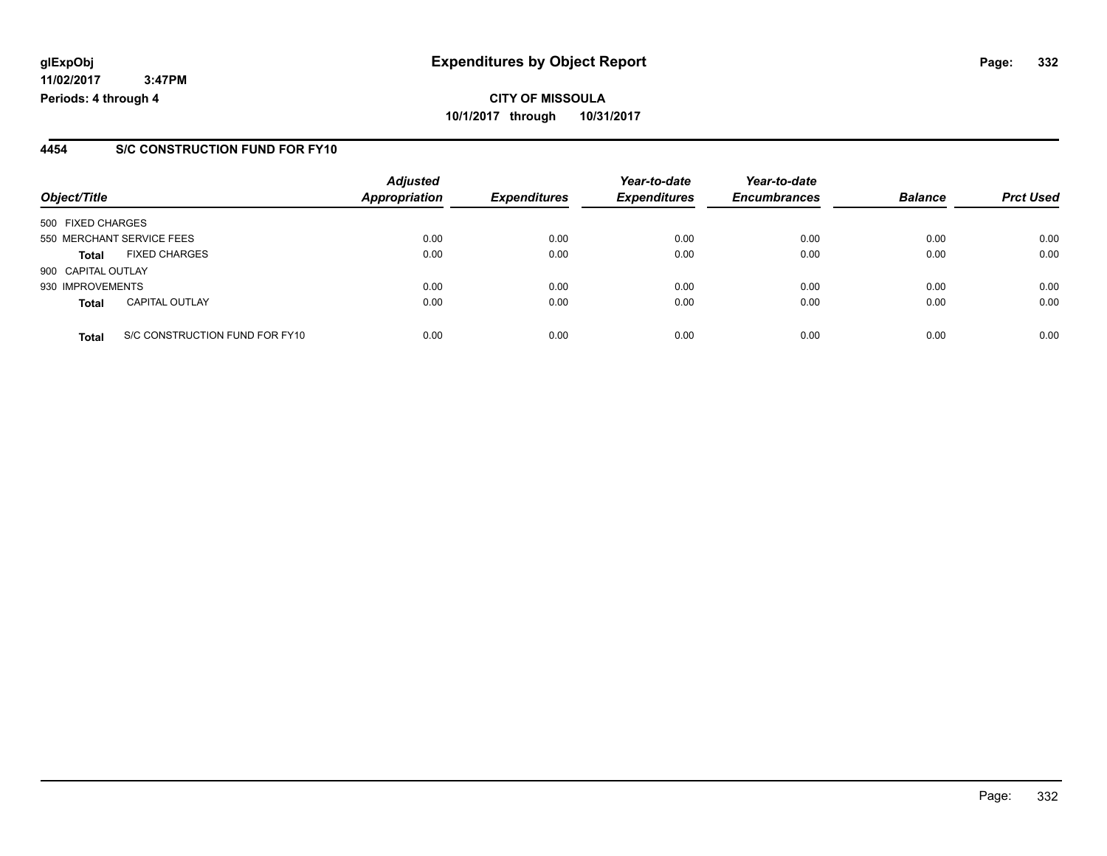#### **4454 S/C CONSTRUCTION FUND FOR FY10**

| Object/Title       |                                | <b>Adjusted</b><br><b>Appropriation</b> | <b>Expenditures</b> | Year-to-date<br><b>Expenditures</b> | Year-to-date<br><b>Encumbrances</b> | <b>Balance</b> | <b>Prct Used</b> |
|--------------------|--------------------------------|-----------------------------------------|---------------------|-------------------------------------|-------------------------------------|----------------|------------------|
| 500 FIXED CHARGES  |                                |                                         |                     |                                     |                                     |                |                  |
|                    | 550 MERCHANT SERVICE FEES      | 0.00                                    | 0.00                | 0.00                                | 0.00                                | 0.00           | 0.00             |
| <b>Total</b>       | <b>FIXED CHARGES</b>           | 0.00                                    | 0.00                | 0.00                                | 0.00                                | 0.00           | 0.00             |
| 900 CAPITAL OUTLAY |                                |                                         |                     |                                     |                                     |                |                  |
| 930 IMPROVEMENTS   |                                | 0.00                                    | 0.00                | 0.00                                | 0.00                                | 0.00           | 0.00             |
| <b>Total</b>       | <b>CAPITAL OUTLAY</b>          | 0.00                                    | 0.00                | 0.00                                | 0.00                                | 0.00           | 0.00             |
| <b>Total</b>       | S/C CONSTRUCTION FUND FOR FY10 | 0.00                                    | 0.00                | 0.00                                | 0.00                                | 0.00           | 0.00             |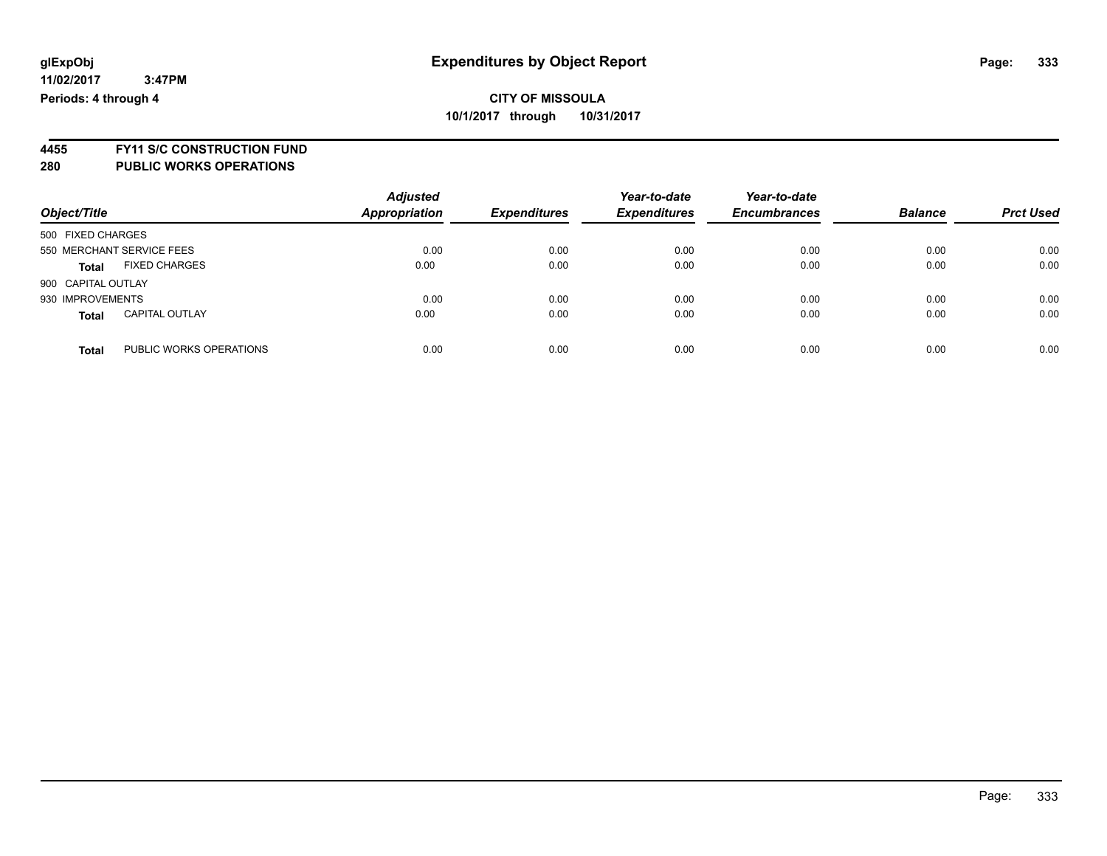**4455 FY11 S/C CONSTRUCTION FUND**

| Object/Title                            | <b>Adjusted</b><br><b>Appropriation</b> | <b>Expenditures</b> | Year-to-date<br><b>Expenditures</b> | Year-to-date<br><b>Encumbrances</b> | <b>Balance</b> | <b>Prct Used</b> |
|-----------------------------------------|-----------------------------------------|---------------------|-------------------------------------|-------------------------------------|----------------|------------------|
| 500 FIXED CHARGES                       |                                         |                     |                                     |                                     |                |                  |
| 550 MERCHANT SERVICE FEES               | 0.00                                    | 0.00                | 0.00                                | 0.00                                | 0.00           | 0.00             |
| <b>FIXED CHARGES</b><br><b>Total</b>    | 0.00                                    | 0.00                | 0.00                                | 0.00                                | 0.00           | 0.00             |
| 900 CAPITAL OUTLAY                      |                                         |                     |                                     |                                     |                |                  |
| 930 IMPROVEMENTS                        | 0.00                                    | 0.00                | 0.00                                | 0.00                                | 0.00           | 0.00             |
| <b>CAPITAL OUTLAY</b><br><b>Total</b>   | 0.00                                    | 0.00                | 0.00                                | 0.00                                | 0.00           | 0.00             |
| PUBLIC WORKS OPERATIONS<br><b>Total</b> | 0.00                                    | 0.00                | 0.00                                | 0.00                                | 0.00           | 0.00             |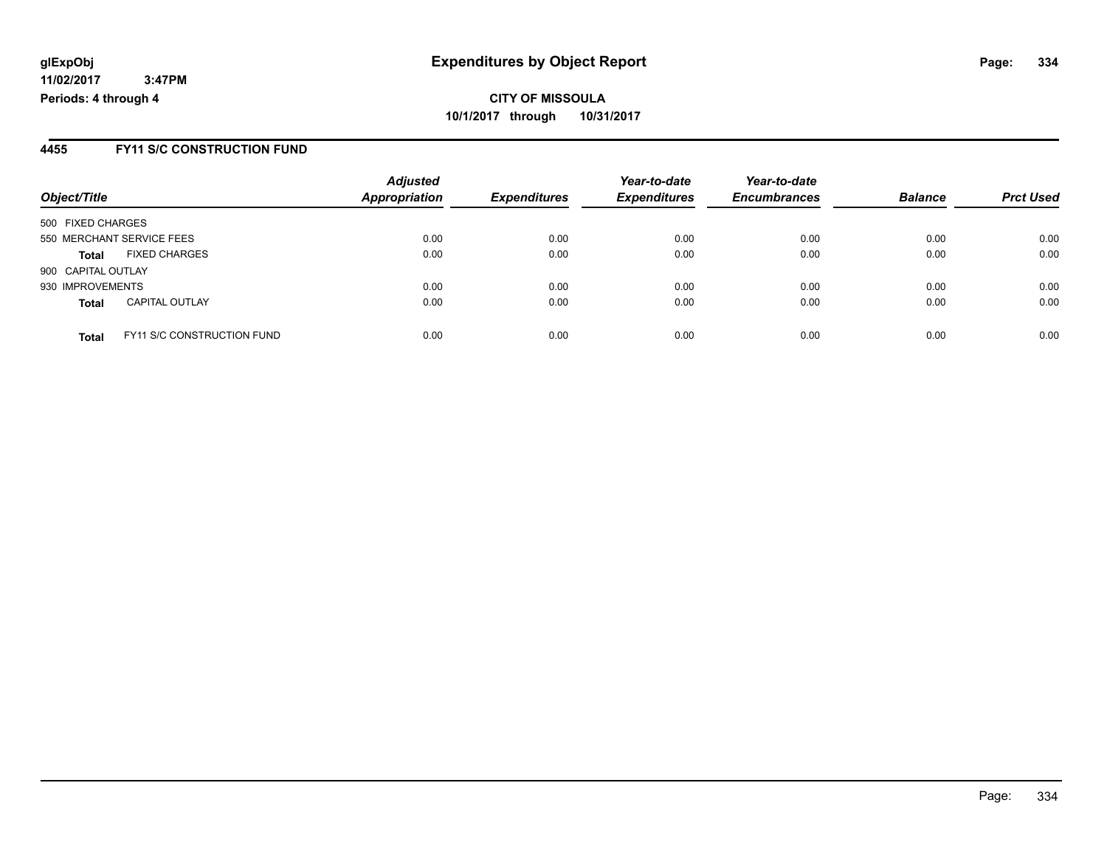**CITY OF MISSOULA 10/1/2017 through 10/31/2017**

#### **4455 FY11 S/C CONSTRUCTION FUND**

| Object/Title                                      | <b>Adjusted</b><br><b>Appropriation</b> | <b>Expenditures</b> | Year-to-date<br><b>Expenditures</b> | Year-to-date<br><b>Encumbrances</b> | <b>Balance</b> | <b>Prct Used</b> |
|---------------------------------------------------|-----------------------------------------|---------------------|-------------------------------------|-------------------------------------|----------------|------------------|
| 500 FIXED CHARGES                                 |                                         |                     |                                     |                                     |                |                  |
| 550 MERCHANT SERVICE FEES                         | 0.00                                    | 0.00                | 0.00                                | 0.00                                | 0.00           | 0.00             |
| <b>FIXED CHARGES</b><br><b>Total</b>              | 0.00                                    | 0.00                | 0.00                                | 0.00                                | 0.00           | 0.00             |
| 900 CAPITAL OUTLAY                                |                                         |                     |                                     |                                     |                |                  |
| 930 IMPROVEMENTS                                  | 0.00                                    | 0.00                | 0.00                                | 0.00                                | 0.00           | 0.00             |
| <b>CAPITAL OUTLAY</b><br><b>Total</b>             | 0.00                                    | 0.00                | 0.00                                | 0.00                                | 0.00           | 0.00             |
| <b>FY11 S/C CONSTRUCTION FUND</b><br><b>Total</b> | 0.00                                    | 0.00                | 0.00                                | 0.00                                | 0.00           | 0.00             |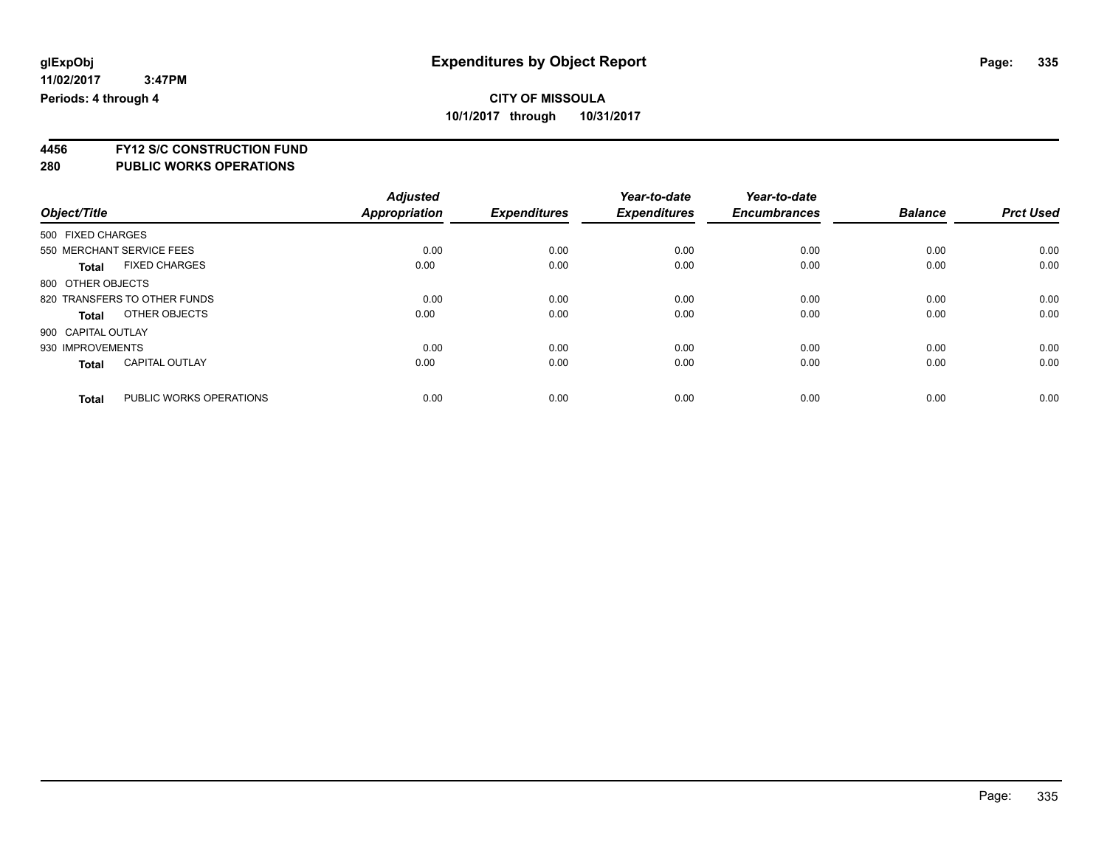**4456 FY12 S/C CONSTRUCTION FUND**

|                                         | <b>Adjusted</b> |                     | Year-to-date        | Year-to-date        |                |                  |
|-----------------------------------------|-----------------|---------------------|---------------------|---------------------|----------------|------------------|
| Object/Title                            | Appropriation   | <b>Expenditures</b> | <b>Expenditures</b> | <b>Encumbrances</b> | <b>Balance</b> | <b>Prct Used</b> |
| 500 FIXED CHARGES                       |                 |                     |                     |                     |                |                  |
| 550 MERCHANT SERVICE FEES               | 0.00            | 0.00                | 0.00                | 0.00                | 0.00           | 0.00             |
| <b>FIXED CHARGES</b><br><b>Total</b>    | 0.00            | 0.00                | 0.00                | 0.00                | 0.00           | 0.00             |
| 800 OTHER OBJECTS                       |                 |                     |                     |                     |                |                  |
| 820 TRANSFERS TO OTHER FUNDS            | 0.00            | 0.00                | 0.00                | 0.00                | 0.00           | 0.00             |
| OTHER OBJECTS<br><b>Total</b>           | 0.00            | 0.00                | 0.00                | 0.00                | 0.00           | 0.00             |
| 900 CAPITAL OUTLAY                      |                 |                     |                     |                     |                |                  |
| 930 IMPROVEMENTS                        | 0.00            | 0.00                | 0.00                | 0.00                | 0.00           | 0.00             |
| <b>CAPITAL OUTLAY</b><br><b>Total</b>   | 0.00            | 0.00                | 0.00                | 0.00                | 0.00           | 0.00             |
| PUBLIC WORKS OPERATIONS<br><b>Total</b> | 0.00            | 0.00                | 0.00                | 0.00                | 0.00           | 0.00             |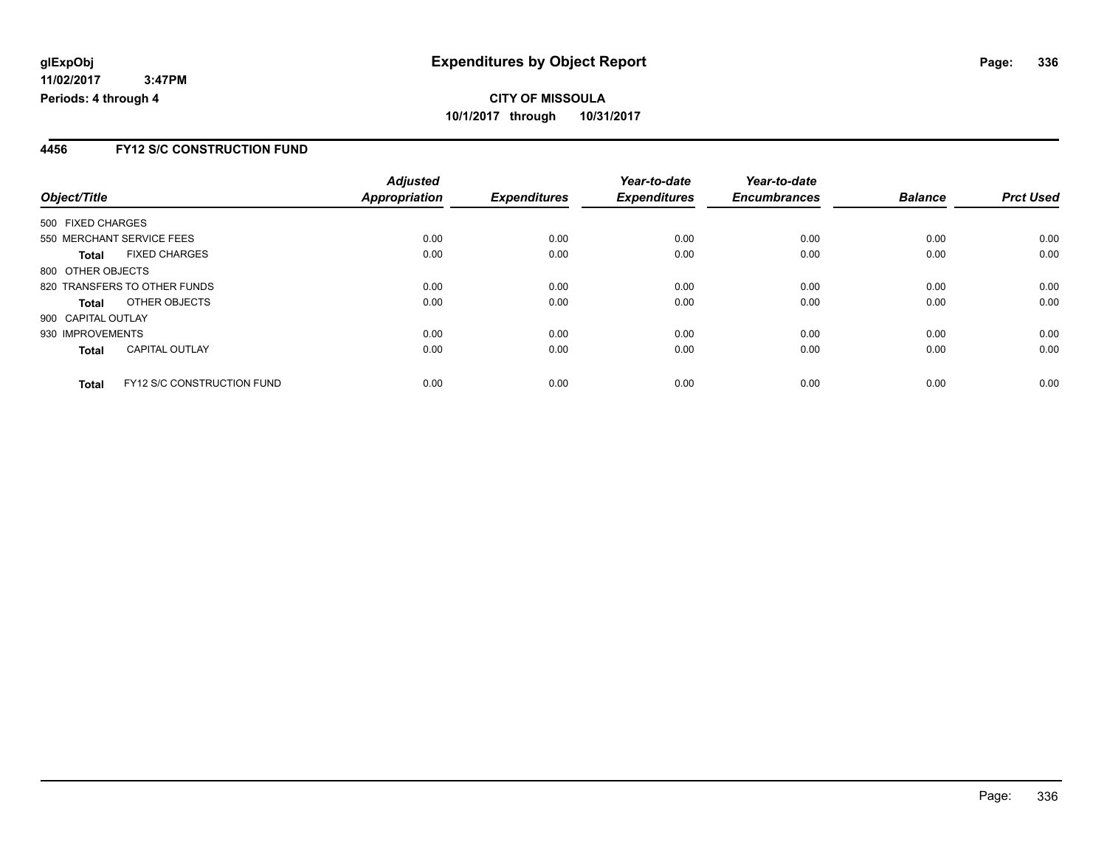### **4456 FY12 S/C CONSTRUCTION FUND**

|                              |                                   | <b>Adjusted</b> |                     | Year-to-date        | Year-to-date        |                |                  |
|------------------------------|-----------------------------------|-----------------|---------------------|---------------------|---------------------|----------------|------------------|
| Object/Title                 |                                   | Appropriation   | <b>Expenditures</b> | <b>Expenditures</b> | <b>Encumbrances</b> | <b>Balance</b> | <b>Prct Used</b> |
| 500 FIXED CHARGES            |                                   |                 |                     |                     |                     |                |                  |
| 550 MERCHANT SERVICE FEES    |                                   | 0.00            | 0.00                | 0.00                | 0.00                | 0.00           | 0.00             |
| <b>Total</b>                 | <b>FIXED CHARGES</b>              | 0.00            | 0.00                | 0.00                | 0.00                | 0.00           | 0.00             |
| 800 OTHER OBJECTS            |                                   |                 |                     |                     |                     |                |                  |
| 820 TRANSFERS TO OTHER FUNDS |                                   | 0.00            | 0.00                | 0.00                | 0.00                | 0.00           | 0.00             |
| <b>Total</b>                 | OTHER OBJECTS                     | 0.00            | 0.00                | 0.00                | 0.00                | 0.00           | 0.00             |
| 900 CAPITAL OUTLAY           |                                   |                 |                     |                     |                     |                |                  |
| 930 IMPROVEMENTS             |                                   | 0.00            | 0.00                | 0.00                | 0.00                | 0.00           | 0.00             |
| <b>Total</b>                 | <b>CAPITAL OUTLAY</b>             | 0.00            | 0.00                | 0.00                | 0.00                | 0.00           | 0.00             |
| <b>Total</b>                 | <b>FY12 S/C CONSTRUCTION FUND</b> | 0.00            | 0.00                | 0.00                | 0.00                | 0.00           | 0.00             |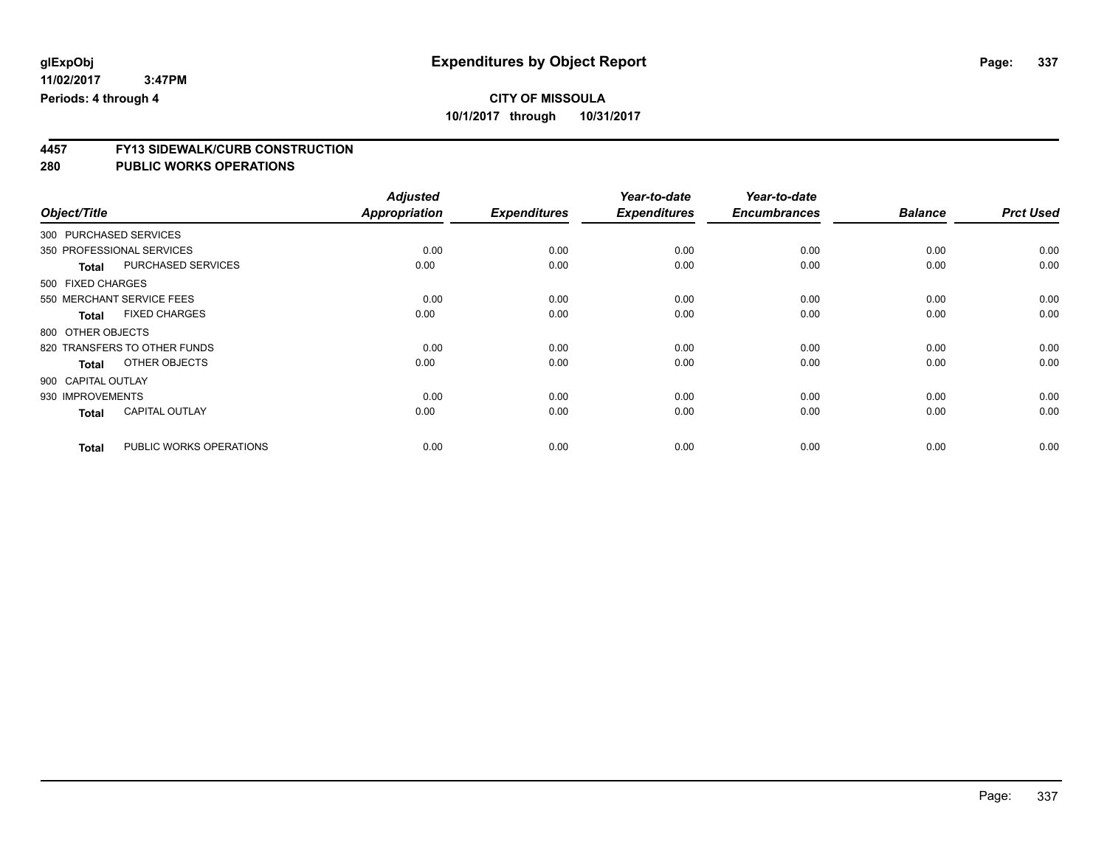**4457 FY13 SIDEWALK/CURB CONSTRUCTION**

|                        |                              | <b>Adjusted</b> |                     | Year-to-date        | Year-to-date        |                |                  |
|------------------------|------------------------------|-----------------|---------------------|---------------------|---------------------|----------------|------------------|
| Object/Title           |                              | Appropriation   | <b>Expenditures</b> | <b>Expenditures</b> | <b>Encumbrances</b> | <b>Balance</b> | <b>Prct Used</b> |
| 300 PURCHASED SERVICES |                              |                 |                     |                     |                     |                |                  |
|                        | 350 PROFESSIONAL SERVICES    | 0.00            | 0.00                | 0.00                | 0.00                | 0.00           | 0.00             |
| <b>Total</b>           | <b>PURCHASED SERVICES</b>    | 0.00            | 0.00                | 0.00                | 0.00                | 0.00           | 0.00             |
| 500 FIXED CHARGES      |                              |                 |                     |                     |                     |                |                  |
|                        | 550 MERCHANT SERVICE FEES    | 0.00            | 0.00                | 0.00                | 0.00                | 0.00           | 0.00             |
| <b>Total</b>           | <b>FIXED CHARGES</b>         | 0.00            | 0.00                | 0.00                | 0.00                | 0.00           | 0.00             |
| 800 OTHER OBJECTS      |                              |                 |                     |                     |                     |                |                  |
|                        | 820 TRANSFERS TO OTHER FUNDS | 0.00            | 0.00                | 0.00                | 0.00                | 0.00           | 0.00             |
| <b>Total</b>           | OTHER OBJECTS                | 0.00            | 0.00                | 0.00                | 0.00                | 0.00           | 0.00             |
| 900 CAPITAL OUTLAY     |                              |                 |                     |                     |                     |                |                  |
| 930 IMPROVEMENTS       |                              | 0.00            | 0.00                | 0.00                | 0.00                | 0.00           | 0.00             |
| <b>Total</b>           | <b>CAPITAL OUTLAY</b>        | 0.00            | 0.00                | 0.00                | 0.00                | 0.00           | 0.00             |
| <b>Total</b>           | PUBLIC WORKS OPERATIONS      | 0.00            | 0.00                | 0.00                | 0.00                | 0.00           | 0.00             |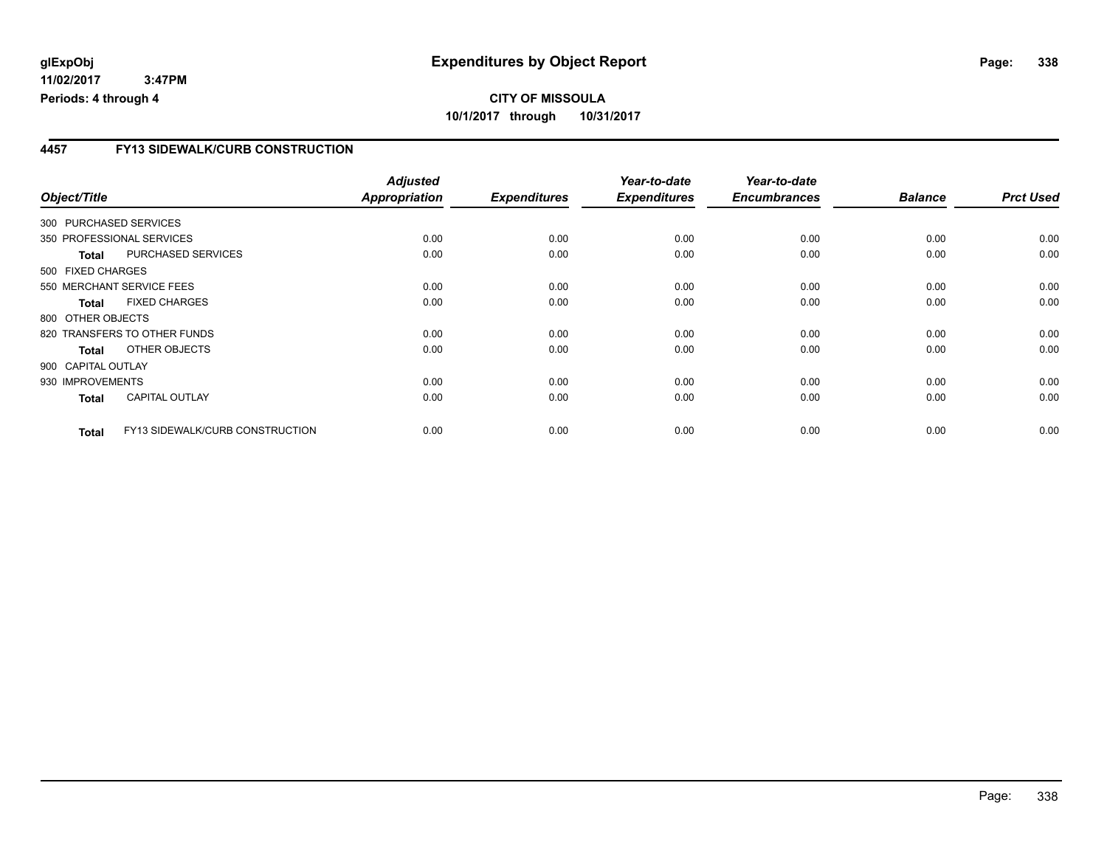### **4457 FY13 SIDEWALK/CURB CONSTRUCTION**

|                    |                                 | <b>Adjusted</b>      |                     | Year-to-date        | Year-to-date        |                |                  |
|--------------------|---------------------------------|----------------------|---------------------|---------------------|---------------------|----------------|------------------|
| Object/Title       |                                 | <b>Appropriation</b> | <b>Expenditures</b> | <b>Expenditures</b> | <b>Encumbrances</b> | <b>Balance</b> | <b>Prct Used</b> |
|                    | 300 PURCHASED SERVICES          |                      |                     |                     |                     |                |                  |
|                    | 350 PROFESSIONAL SERVICES       | 0.00                 | 0.00                | 0.00                | 0.00                | 0.00           | 0.00             |
| <b>Total</b>       | PURCHASED SERVICES              | 0.00                 | 0.00                | 0.00                | 0.00                | 0.00           | 0.00             |
| 500 FIXED CHARGES  |                                 |                      |                     |                     |                     |                |                  |
|                    | 550 MERCHANT SERVICE FEES       | 0.00                 | 0.00                | 0.00                | 0.00                | 0.00           | 0.00             |
| <b>Total</b>       | <b>FIXED CHARGES</b>            | 0.00                 | 0.00                | 0.00                | 0.00                | 0.00           | 0.00             |
| 800 OTHER OBJECTS  |                                 |                      |                     |                     |                     |                |                  |
|                    | 820 TRANSFERS TO OTHER FUNDS    | 0.00                 | 0.00                | 0.00                | 0.00                | 0.00           | 0.00             |
| Total              | OTHER OBJECTS                   | 0.00                 | 0.00                | 0.00                | 0.00                | 0.00           | 0.00             |
| 900 CAPITAL OUTLAY |                                 |                      |                     |                     |                     |                |                  |
| 930 IMPROVEMENTS   |                                 | 0.00                 | 0.00                | 0.00                | 0.00                | 0.00           | 0.00             |
| <b>Total</b>       | <b>CAPITAL OUTLAY</b>           | 0.00                 | 0.00                | 0.00                | 0.00                | 0.00           | 0.00             |
| <b>Total</b>       | FY13 SIDEWALK/CURB CONSTRUCTION | 0.00                 | 0.00                | 0.00                | 0.00                | 0.00           | 0.00             |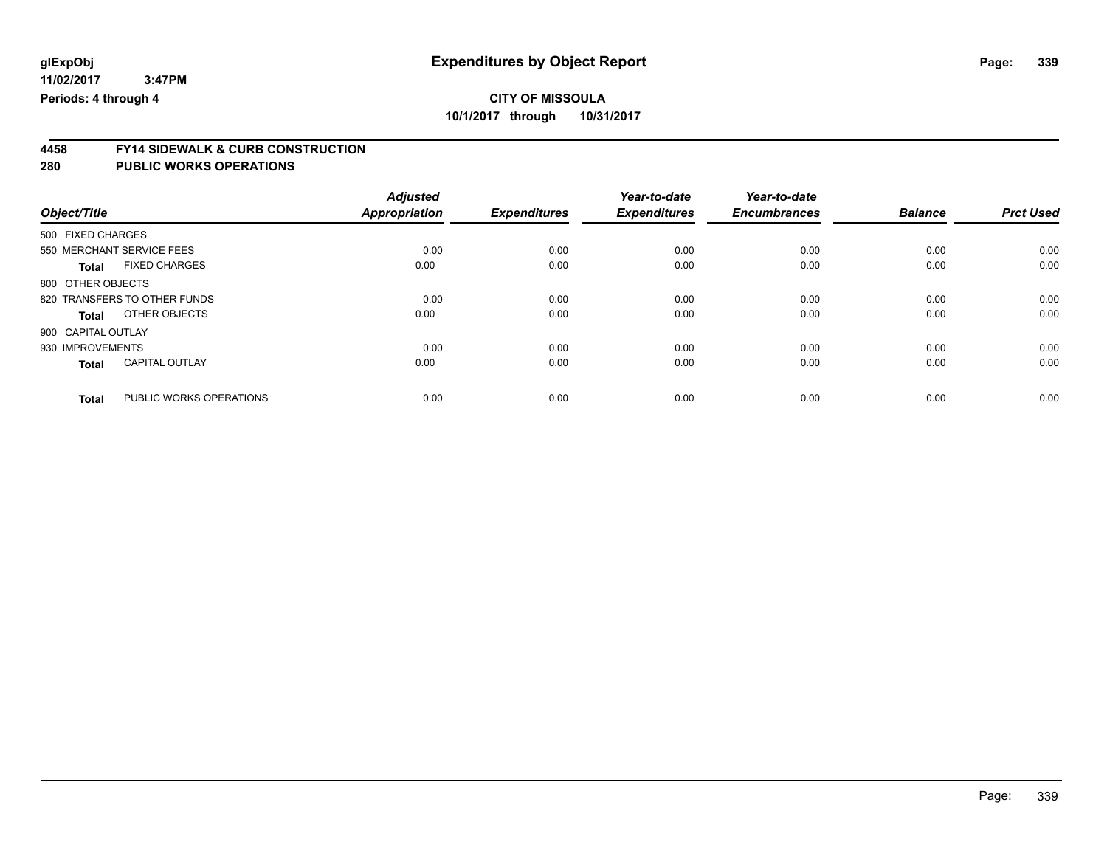**4458 FY14 SIDEWALK & CURB CONSTRUCTION**

|                    |                              | <b>Adjusted</b> |                     | Year-to-date        | Year-to-date        |                |                  |
|--------------------|------------------------------|-----------------|---------------------|---------------------|---------------------|----------------|------------------|
| Object/Title       |                              | Appropriation   | <b>Expenditures</b> | <b>Expenditures</b> | <b>Encumbrances</b> | <b>Balance</b> | <b>Prct Used</b> |
| 500 FIXED CHARGES  |                              |                 |                     |                     |                     |                |                  |
|                    | 550 MERCHANT SERVICE FEES    | 0.00            | 0.00                | 0.00                | 0.00                | 0.00           | 0.00             |
| <b>Total</b>       | <b>FIXED CHARGES</b>         | 0.00            | 0.00                | 0.00                | 0.00                | 0.00           | 0.00             |
| 800 OTHER OBJECTS  |                              |                 |                     |                     |                     |                |                  |
|                    | 820 TRANSFERS TO OTHER FUNDS | 0.00            | 0.00                | 0.00                | 0.00                | 0.00           | 0.00             |
| <b>Total</b>       | OTHER OBJECTS                | 0.00            | 0.00                | 0.00                | 0.00                | 0.00           | 0.00             |
| 900 CAPITAL OUTLAY |                              |                 |                     |                     |                     |                |                  |
| 930 IMPROVEMENTS   |                              | 0.00            | 0.00                | 0.00                | 0.00                | 0.00           | 0.00             |
| <b>Total</b>       | <b>CAPITAL OUTLAY</b>        | 0.00            | 0.00                | 0.00                | 0.00                | 0.00           | 0.00             |
| <b>Total</b>       | PUBLIC WORKS OPERATIONS      | 0.00            | 0.00                | 0.00                | 0.00                | 0.00           | 0.00             |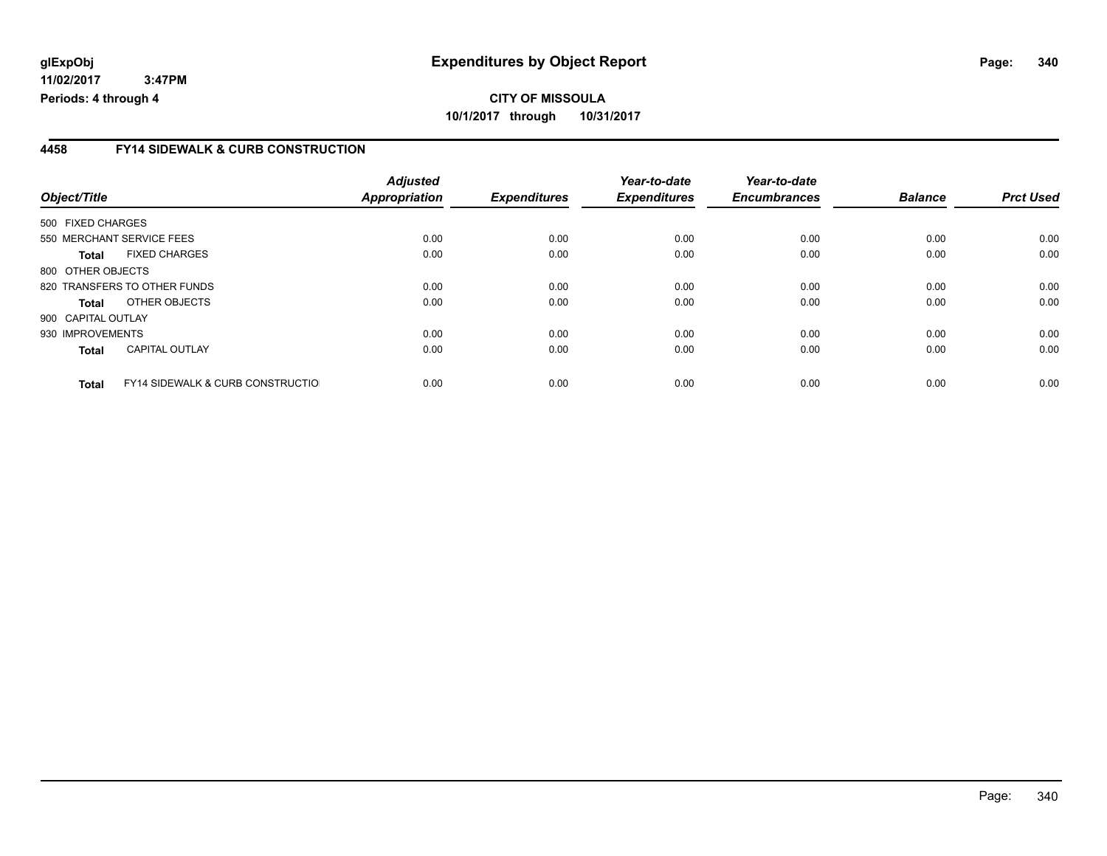#### **4458 FY14 SIDEWALK & CURB CONSTRUCTION**

| Object/Title                 |                                              | <b>Adjusted</b><br>Appropriation | <b>Expenditures</b> | Year-to-date<br><b>Expenditures</b> | Year-to-date<br><b>Encumbrances</b> | <b>Balance</b> | <b>Prct Used</b> |
|------------------------------|----------------------------------------------|----------------------------------|---------------------|-------------------------------------|-------------------------------------|----------------|------------------|
|                              |                                              |                                  |                     |                                     |                                     |                |                  |
| 500 FIXED CHARGES            |                                              |                                  |                     |                                     |                                     |                |                  |
| 550 MERCHANT SERVICE FEES    |                                              | 0.00                             | 0.00                | 0.00                                | 0.00                                | 0.00           | 0.00             |
| <b>Total</b>                 | <b>FIXED CHARGES</b>                         | 0.00                             | 0.00                | 0.00                                | 0.00                                | 0.00           | 0.00             |
| 800 OTHER OBJECTS            |                                              |                                  |                     |                                     |                                     |                |                  |
| 820 TRANSFERS TO OTHER FUNDS |                                              | 0.00                             | 0.00                | 0.00                                | 0.00                                | 0.00           | 0.00             |
| Total                        | OTHER OBJECTS                                | 0.00                             | 0.00                | 0.00                                | 0.00                                | 0.00           | 0.00             |
| 900 CAPITAL OUTLAY           |                                              |                                  |                     |                                     |                                     |                |                  |
| 930 IMPROVEMENTS             |                                              | 0.00                             | 0.00                | 0.00                                | 0.00                                | 0.00           | 0.00             |
| <b>Total</b>                 | CAPITAL OUTLAY                               | 0.00                             | 0.00                | 0.00                                | 0.00                                | 0.00           | 0.00             |
| <b>Total</b>                 | <b>FY14 SIDEWALK &amp; CURB CONSTRUCTIOL</b> | 0.00                             | 0.00                | 0.00                                | 0.00                                | 0.00           | 0.00             |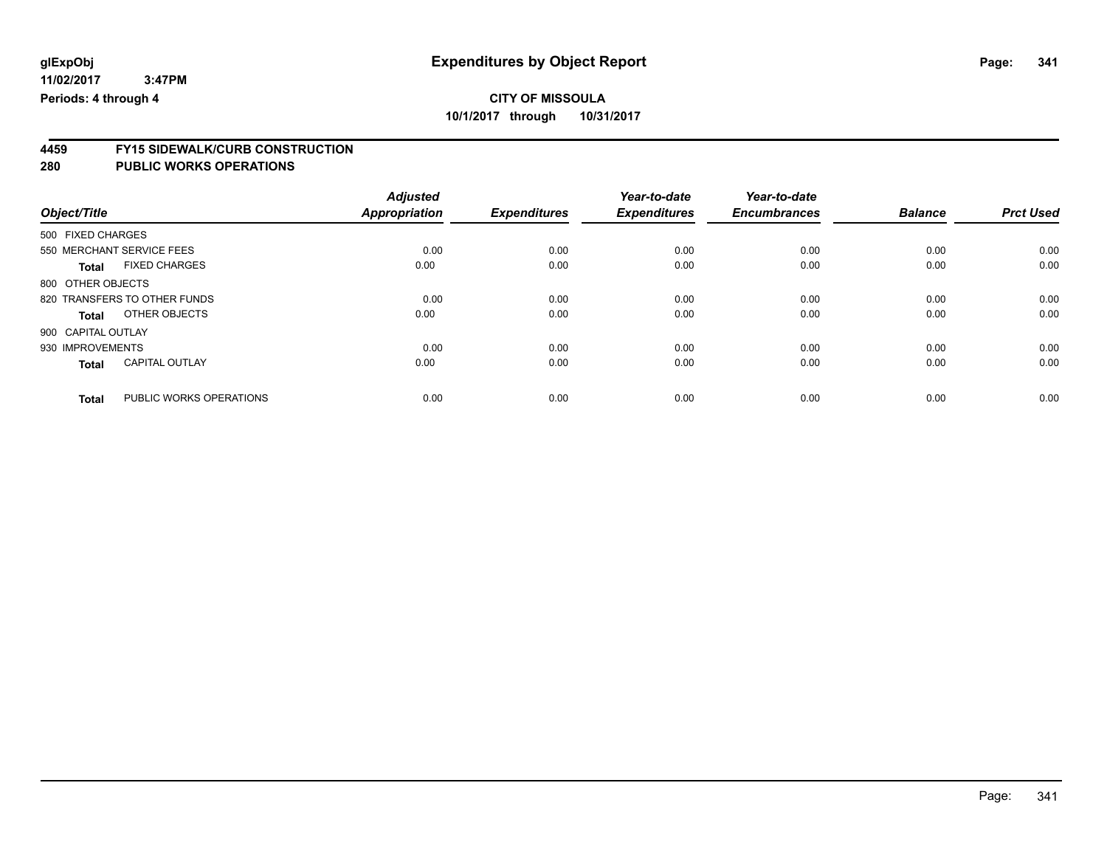# **4459 FY15 SIDEWALK/CURB CONSTRUCTION**

|                    |                              | <b>Adjusted</b>      |                     | Year-to-date        | Year-to-date        |                |                  |
|--------------------|------------------------------|----------------------|---------------------|---------------------|---------------------|----------------|------------------|
| Object/Title       |                              | <b>Appropriation</b> | <b>Expenditures</b> | <b>Expenditures</b> | <b>Encumbrances</b> | <b>Balance</b> | <b>Prct Used</b> |
| 500 FIXED CHARGES  |                              |                      |                     |                     |                     |                |                  |
|                    | 550 MERCHANT SERVICE FEES    | 0.00                 | 0.00                | 0.00                | 0.00                | 0.00           | 0.00             |
| <b>Total</b>       | <b>FIXED CHARGES</b>         | 0.00                 | 0.00                | 0.00                | 0.00                | 0.00           | 0.00             |
| 800 OTHER OBJECTS  |                              |                      |                     |                     |                     |                |                  |
|                    | 820 TRANSFERS TO OTHER FUNDS | 0.00                 | 0.00                | 0.00                | 0.00                | 0.00           | 0.00             |
| <b>Total</b>       | OTHER OBJECTS                | 0.00                 | 0.00                | 0.00                | 0.00                | 0.00           | 0.00             |
| 900 CAPITAL OUTLAY |                              |                      |                     |                     |                     |                |                  |
| 930 IMPROVEMENTS   |                              | 0.00                 | 0.00                | 0.00                | 0.00                | 0.00           | 0.00             |
| <b>Total</b>       | <b>CAPITAL OUTLAY</b>        | 0.00                 | 0.00                | 0.00                | 0.00                | 0.00           | 0.00             |
| <b>Total</b>       | PUBLIC WORKS OPERATIONS      | 0.00                 | 0.00                | 0.00                | 0.00                | 0.00           | 0.00             |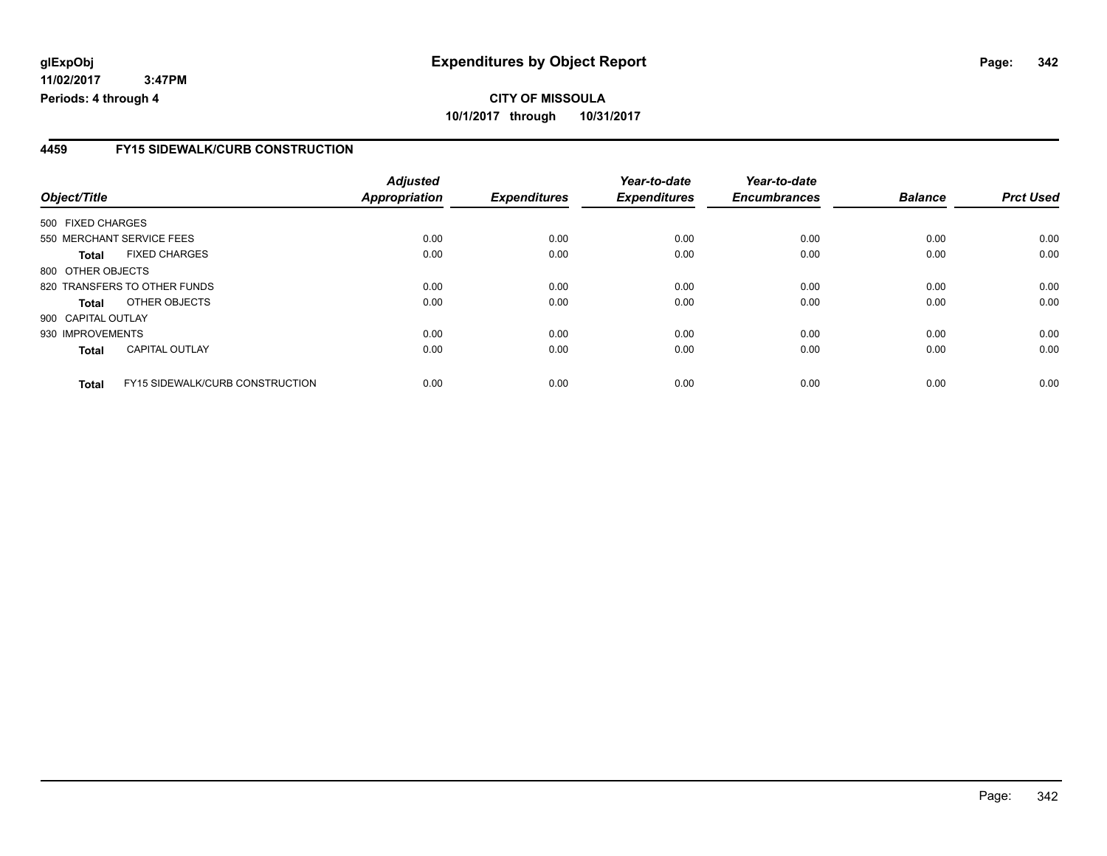## **CITY OF MISSOULA 10/1/2017 through 10/31/2017**

### **4459 FY15 SIDEWALK/CURB CONSTRUCTION**

| Object/Title       |                                        | <b>Adjusted</b><br>Appropriation | <b>Expenditures</b> | Year-to-date<br><b>Expenditures</b> | Year-to-date<br><b>Encumbrances</b> | <b>Balance</b> | <b>Prct Used</b> |
|--------------------|----------------------------------------|----------------------------------|---------------------|-------------------------------------|-------------------------------------|----------------|------------------|
|                    |                                        |                                  |                     |                                     |                                     |                |                  |
| 500 FIXED CHARGES  |                                        |                                  |                     |                                     |                                     |                |                  |
|                    | 550 MERCHANT SERVICE FEES              | 0.00                             | 0.00                | 0.00                                | 0.00                                | 0.00           | 0.00             |
| Total              | <b>FIXED CHARGES</b>                   | 0.00                             | 0.00                | 0.00                                | 0.00                                | 0.00           | 0.00             |
| 800 OTHER OBJECTS  |                                        |                                  |                     |                                     |                                     |                |                  |
|                    | 820 TRANSFERS TO OTHER FUNDS           | 0.00                             | 0.00                | 0.00                                | 0.00                                | 0.00           | 0.00             |
| Total              | OTHER OBJECTS                          | 0.00                             | 0.00                | 0.00                                | 0.00                                | 0.00           | 0.00             |
| 900 CAPITAL OUTLAY |                                        |                                  |                     |                                     |                                     |                |                  |
| 930 IMPROVEMENTS   |                                        | 0.00                             | 0.00                | 0.00                                | 0.00                                | 0.00           | 0.00             |
| <b>Total</b>       | <b>CAPITAL OUTLAY</b>                  | 0.00                             | 0.00                | 0.00                                | 0.00                                | 0.00           | 0.00             |
| <b>Total</b>       | <b>FY15 SIDEWALK/CURB CONSTRUCTION</b> | 0.00                             | 0.00                | 0.00                                | 0.00                                | 0.00           | 0.00             |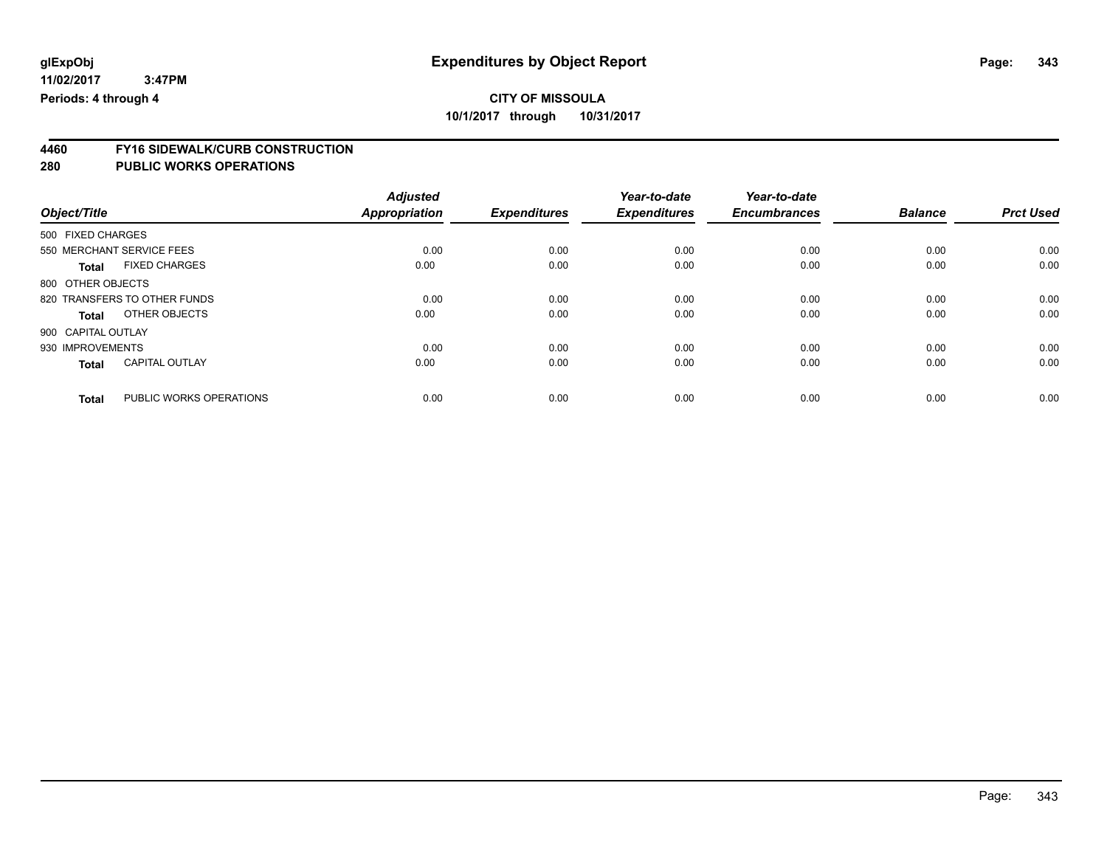# **4460 FY16 SIDEWALK/CURB CONSTRUCTION**

|                    |                              | <b>Adjusted</b>      |                     | Year-to-date        | Year-to-date        |                |                  |
|--------------------|------------------------------|----------------------|---------------------|---------------------|---------------------|----------------|------------------|
| Object/Title       |                              | <b>Appropriation</b> | <b>Expenditures</b> | <b>Expenditures</b> | <b>Encumbrances</b> | <b>Balance</b> | <b>Prct Used</b> |
| 500 FIXED CHARGES  |                              |                      |                     |                     |                     |                |                  |
|                    | 550 MERCHANT SERVICE FEES    | 0.00                 | 0.00                | 0.00                | 0.00                | 0.00           | 0.00             |
| <b>Total</b>       | <b>FIXED CHARGES</b>         | 0.00                 | 0.00                | 0.00                | 0.00                | 0.00           | 0.00             |
| 800 OTHER OBJECTS  |                              |                      |                     |                     |                     |                |                  |
|                    | 820 TRANSFERS TO OTHER FUNDS | 0.00                 | 0.00                | 0.00                | 0.00                | 0.00           | 0.00             |
| <b>Total</b>       | OTHER OBJECTS                | 0.00                 | 0.00                | 0.00                | 0.00                | 0.00           | 0.00             |
| 900 CAPITAL OUTLAY |                              |                      |                     |                     |                     |                |                  |
| 930 IMPROVEMENTS   |                              | 0.00                 | 0.00                | 0.00                | 0.00                | 0.00           | 0.00             |
| <b>Total</b>       | <b>CAPITAL OUTLAY</b>        | 0.00                 | 0.00                | 0.00                | 0.00                | 0.00           | 0.00             |
| <b>Total</b>       | PUBLIC WORKS OPERATIONS      | 0.00                 | 0.00                | 0.00                | 0.00                | 0.00           | 0.00             |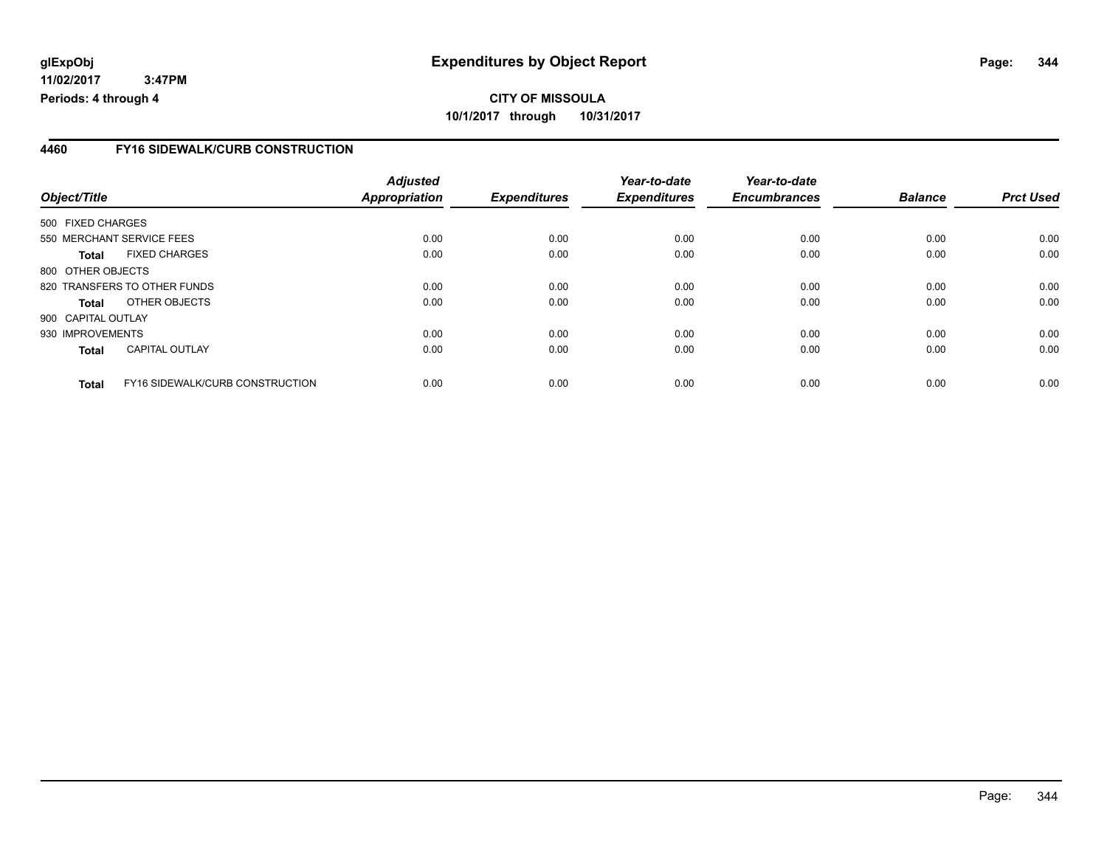## **CITY OF MISSOULA 10/1/2017 through 10/31/2017**

### **4460 FY16 SIDEWALK/CURB CONSTRUCTION**

| Object/Title       |                                 | <b>Adjusted</b><br>Appropriation | <b>Expenditures</b> | Year-to-date<br><b>Expenditures</b> | Year-to-date<br><b>Encumbrances</b> | <b>Balance</b> | <b>Prct Used</b> |
|--------------------|---------------------------------|----------------------------------|---------------------|-------------------------------------|-------------------------------------|----------------|------------------|
| 500 FIXED CHARGES  |                                 |                                  |                     |                                     |                                     |                |                  |
|                    |                                 |                                  |                     |                                     |                                     |                |                  |
|                    | 550 MERCHANT SERVICE FEES       | 0.00                             | 0.00                | 0.00                                | 0.00                                | 0.00           | 0.00             |
| Total              | <b>FIXED CHARGES</b>            | 0.00                             | 0.00                | 0.00                                | 0.00                                | 0.00           | 0.00             |
| 800 OTHER OBJECTS  |                                 |                                  |                     |                                     |                                     |                |                  |
|                    | 820 TRANSFERS TO OTHER FUNDS    | 0.00                             | 0.00                | 0.00                                | 0.00                                | 0.00           | 0.00             |
| Total              | OTHER OBJECTS                   | 0.00                             | 0.00                | 0.00                                | 0.00                                | 0.00           | 0.00             |
| 900 CAPITAL OUTLAY |                                 |                                  |                     |                                     |                                     |                |                  |
| 930 IMPROVEMENTS   |                                 | 0.00                             | 0.00                | 0.00                                | 0.00                                | 0.00           | 0.00             |
| <b>Total</b>       | <b>CAPITAL OUTLAY</b>           | 0.00                             | 0.00                | 0.00                                | 0.00                                | 0.00           | 0.00             |
| <b>Total</b>       | FY16 SIDEWALK/CURB CONSTRUCTION | 0.00                             | 0.00                | 0.00                                | 0.00                                | 0.00           | 0.00             |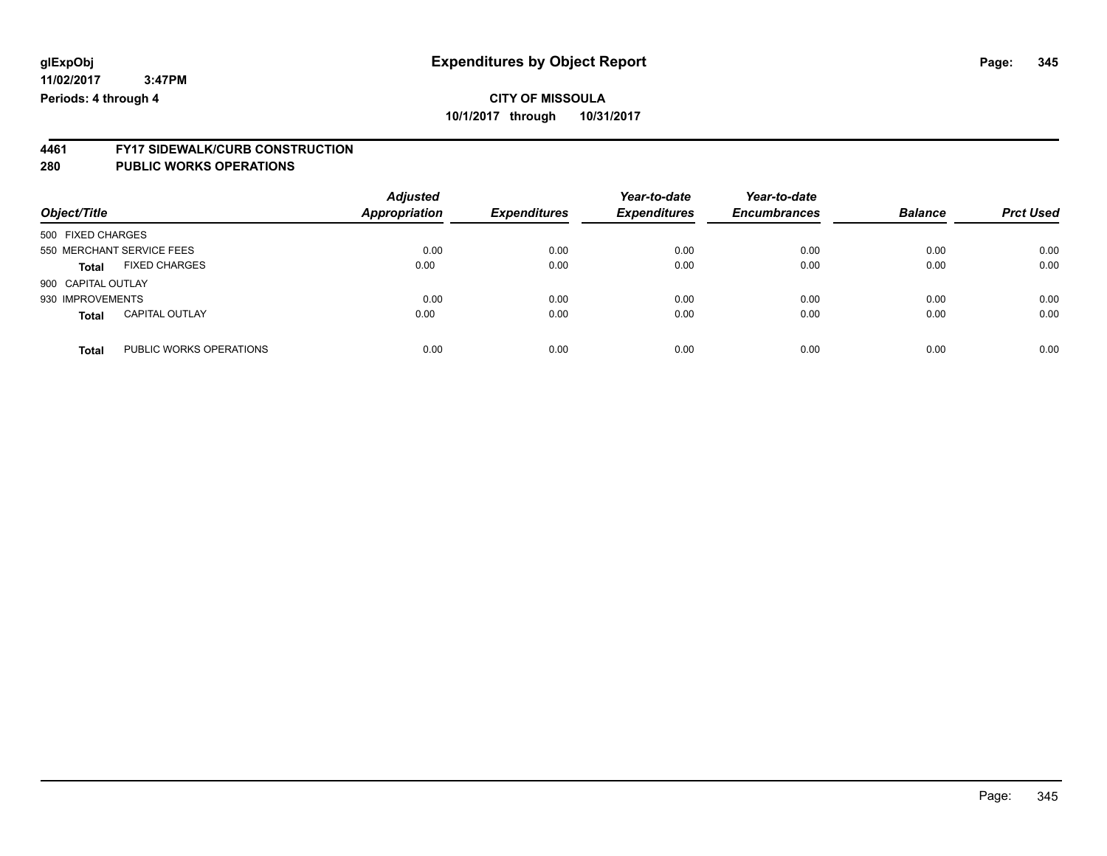**CITY OF MISSOULA**

**10/1/2017 through 10/31/2017**

# **4461 FY17 SIDEWALK/CURB CONSTRUCTION**

| Object/Title              |                         | <b>Adjusted</b><br>Appropriation | <b>Expenditures</b> | Year-to-date<br><b>Expenditures</b> | Year-to-date<br><b>Encumbrances</b> | <b>Balance</b> | <b>Prct Used</b> |
|---------------------------|-------------------------|----------------------------------|---------------------|-------------------------------------|-------------------------------------|----------------|------------------|
| 500 FIXED CHARGES         |                         |                                  |                     |                                     |                                     |                |                  |
| 550 MERCHANT SERVICE FEES |                         | 0.00                             | 0.00                | 0.00                                | 0.00                                | 0.00           | 0.00             |
| Total                     | <b>FIXED CHARGES</b>    | 0.00                             | 0.00                | 0.00                                | 0.00                                | 0.00           | 0.00             |
| 900 CAPITAL OUTLAY        |                         |                                  |                     |                                     |                                     |                |                  |
| 930 IMPROVEMENTS          |                         | 0.00                             | 0.00                | 0.00                                | 0.00                                | 0.00           | 0.00             |
| <b>Total</b>              | <b>CAPITAL OUTLAY</b>   | 0.00                             | 0.00                | 0.00                                | 0.00                                | 0.00           | 0.00             |
| <b>Total</b>              | PUBLIC WORKS OPERATIONS | 0.00                             | 0.00                | 0.00                                | 0.00                                | 0.00           | 0.00             |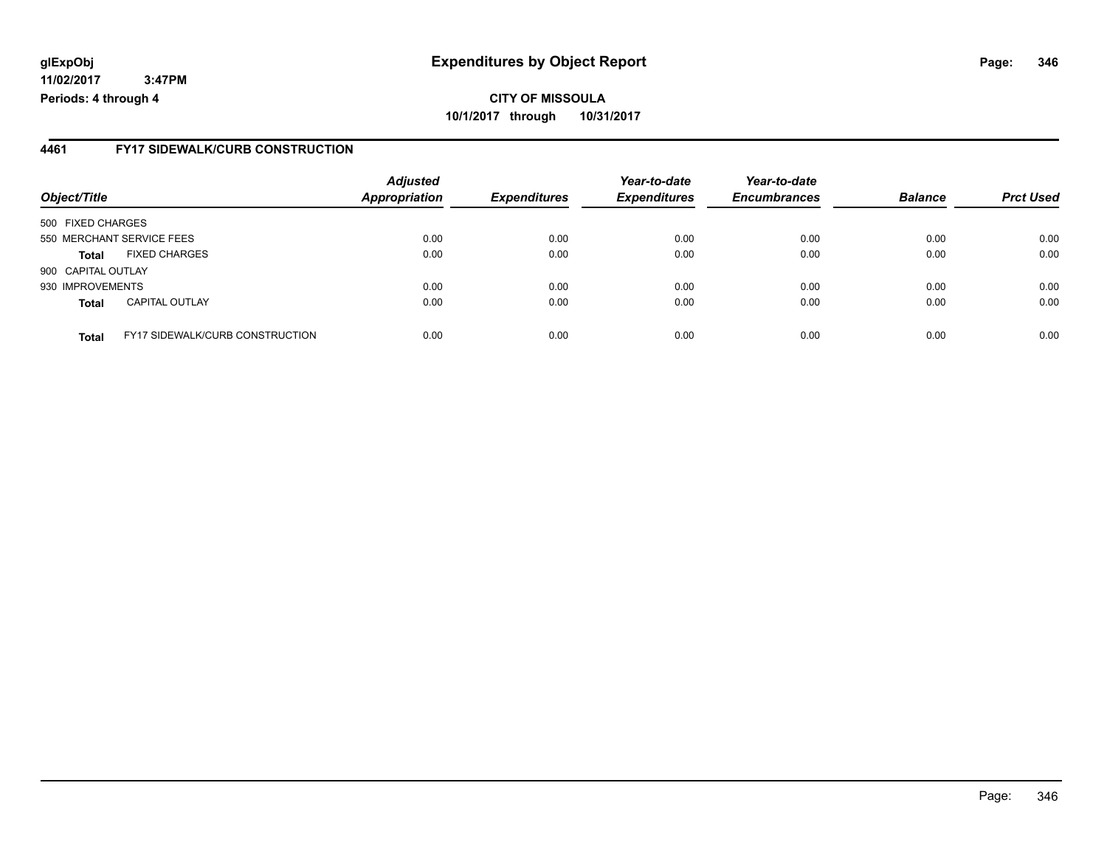#### **4461 FY17 SIDEWALK/CURB CONSTRUCTION**

| Object/Title       |                                        | <b>Adjusted</b><br><b>Appropriation</b> | <b>Expenditures</b> | Year-to-date<br><b>Expenditures</b> | Year-to-date<br><b>Encumbrances</b> | <b>Balance</b> | <b>Prct Used</b> |
|--------------------|----------------------------------------|-----------------------------------------|---------------------|-------------------------------------|-------------------------------------|----------------|------------------|
| 500 FIXED CHARGES  |                                        |                                         |                     |                                     |                                     |                |                  |
|                    | 550 MERCHANT SERVICE FEES              | 0.00                                    | 0.00                | 0.00                                | 0.00                                | 0.00           | 0.00             |
| <b>Total</b>       | <b>FIXED CHARGES</b>                   | 0.00                                    | 0.00                | 0.00                                | 0.00                                | 0.00           | 0.00             |
| 900 CAPITAL OUTLAY |                                        |                                         |                     |                                     |                                     |                |                  |
| 930 IMPROVEMENTS   |                                        | 0.00                                    | 0.00                | 0.00                                | 0.00                                | 0.00           | 0.00             |
| <b>Total</b>       | <b>CAPITAL OUTLAY</b>                  | 0.00                                    | 0.00                | 0.00                                | 0.00                                | 0.00           | 0.00             |
| <b>Total</b>       | <b>FY17 SIDEWALK/CURB CONSTRUCTION</b> | 0.00                                    | 0.00                | 0.00                                | 0.00                                | 0.00           | 0.00             |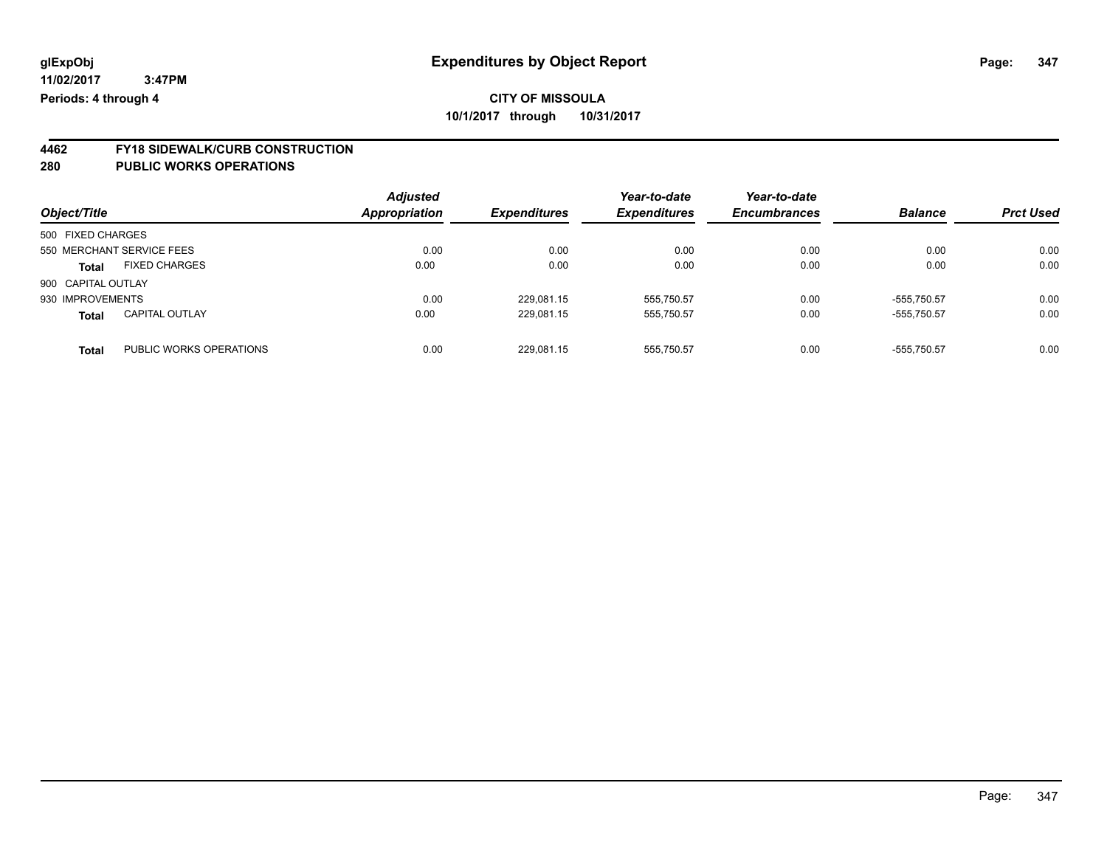# **4462 FY18 SIDEWALK/CURB CONSTRUCTION**

| Object/Title                          |                         | <b>Adjusted</b><br><b>Appropriation</b> | <b>Expenditures</b> | Year-to-date<br><b>Expenditures</b> | Year-to-date<br><b>Encumbrances</b> | <b>Balance</b> | <b>Prct Used</b> |
|---------------------------------------|-------------------------|-----------------------------------------|---------------------|-------------------------------------|-------------------------------------|----------------|------------------|
| 500 FIXED CHARGES                     |                         |                                         |                     |                                     |                                     |                |                  |
| 550 MERCHANT SERVICE FEES             |                         | 0.00                                    | 0.00                | 0.00                                | 0.00                                | 0.00           | 0.00             |
| <b>FIXED CHARGES</b><br><b>Total</b>  |                         | 0.00                                    | 0.00                | 0.00                                | 0.00                                | 0.00           | 0.00             |
| 900 CAPITAL OUTLAY                    |                         |                                         |                     |                                     |                                     |                |                  |
| 930 IMPROVEMENTS                      |                         | 0.00                                    | 229,081.15          | 555,750.57                          | 0.00                                | $-555.750.57$  | 0.00             |
| <b>CAPITAL OUTLAY</b><br><b>Total</b> |                         | 0.00                                    | 229,081.15          | 555,750.57                          | 0.00                                | -555.750.57    | 0.00             |
| <b>Total</b>                          | PUBLIC WORKS OPERATIONS | 0.00                                    | 229.081.15          | 555.750.57                          | 0.00                                | $-555.750.57$  | 0.00             |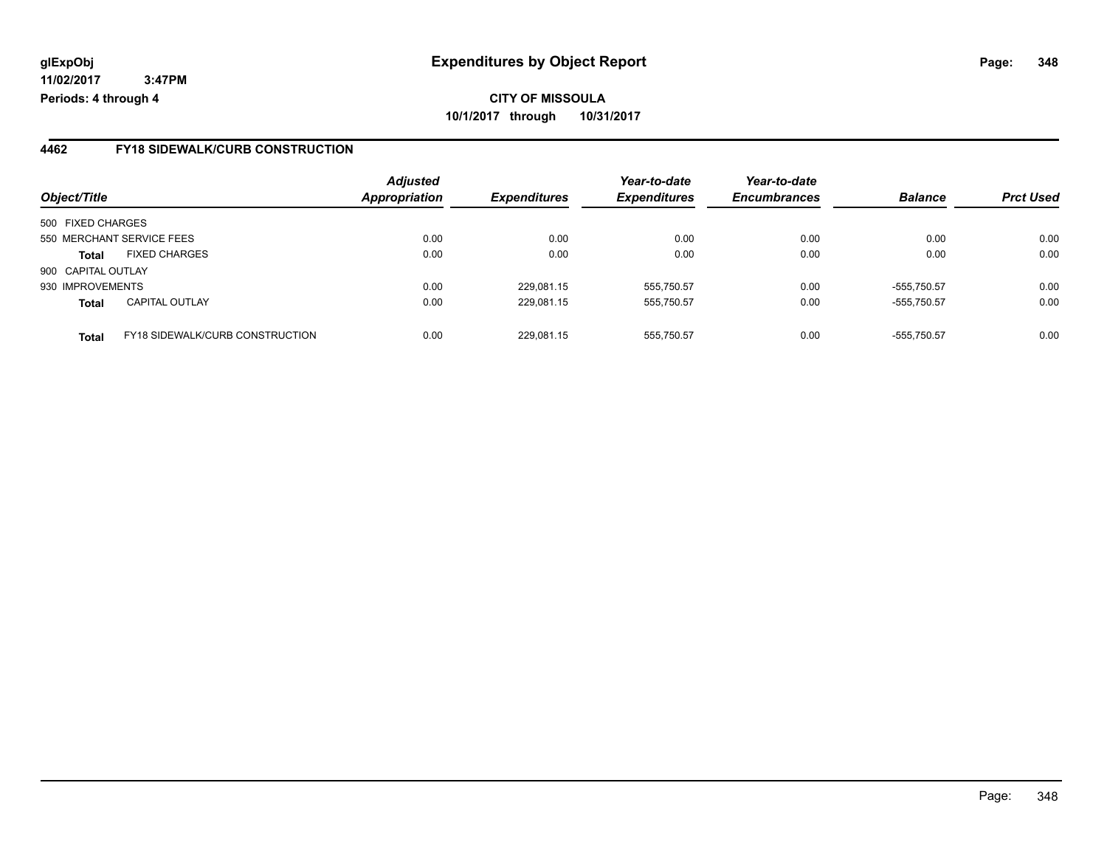## **CITY OF MISSOULA 10/1/2017 through 10/31/2017**

#### **4462 FY18 SIDEWALK/CURB CONSTRUCTION**

| Object/Title                                           | <b>Adjusted</b><br><b>Appropriation</b> | <b>Expenditures</b> | Year-to-date<br><b>Expenditures</b> | Year-to-date<br><b>Encumbrances</b> | <b>Balance</b> | <b>Prct Used</b> |
|--------------------------------------------------------|-----------------------------------------|---------------------|-------------------------------------|-------------------------------------|----------------|------------------|
|                                                        |                                         |                     |                                     |                                     |                |                  |
| 500 FIXED CHARGES                                      |                                         |                     |                                     |                                     |                |                  |
| 550 MERCHANT SERVICE FEES                              | 0.00                                    | 0.00                | 0.00                                | 0.00                                | 0.00           | 0.00             |
| <b>FIXED CHARGES</b><br><b>Total</b>                   | 0.00                                    | 0.00                | 0.00                                | 0.00                                | 0.00           | 0.00             |
| 900 CAPITAL OUTLAY                                     |                                         |                     |                                     |                                     |                |                  |
| 930 IMPROVEMENTS                                       | 0.00                                    | 229,081.15          | 555,750.57                          | 0.00                                | -555.750.57    | 0.00             |
| <b>CAPITAL OUTLAY</b><br><b>Total</b>                  | 0.00                                    | 229,081.15          | 555,750.57                          | 0.00                                | $-555,750.57$  | 0.00             |
| <b>FY18 SIDEWALK/CURB CONSTRUCTION</b><br><b>Total</b> | 0.00                                    | 229.081.15          | 555.750.57                          | 0.00                                | -555.750.57    | 0.00             |
|                                                        |                                         |                     |                                     |                                     |                |                  |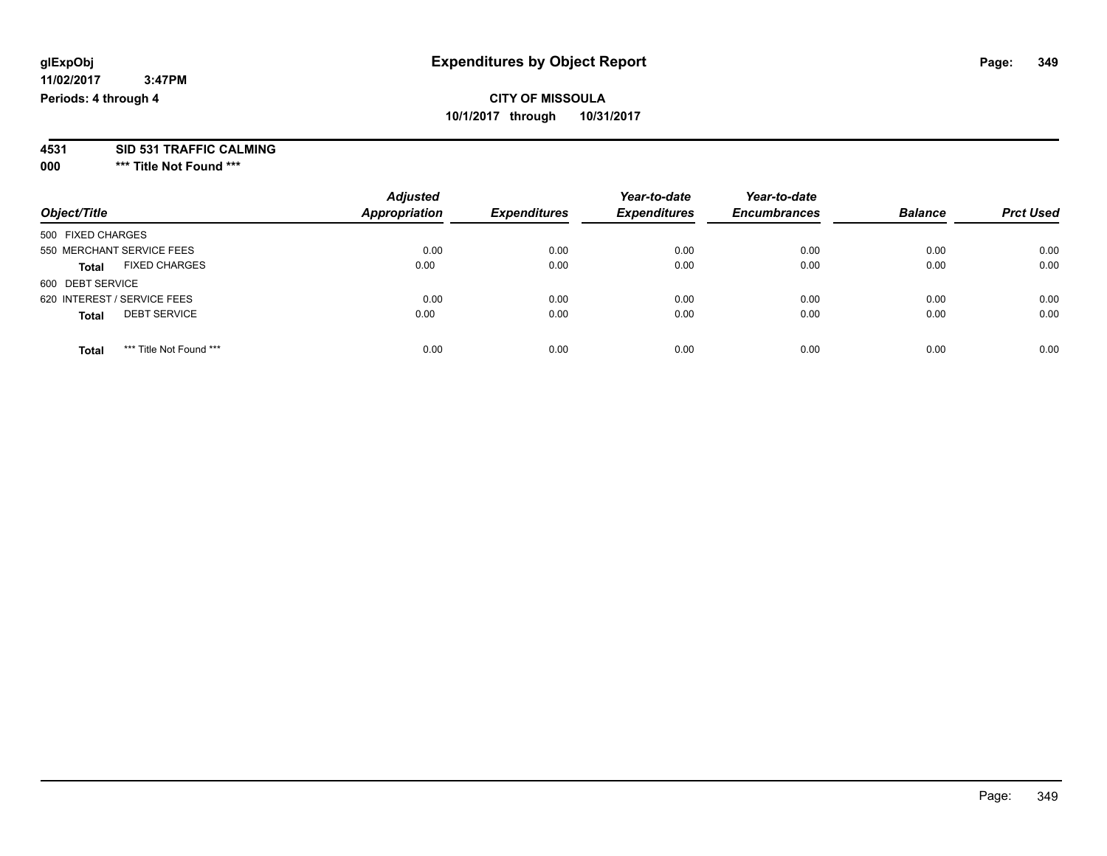# **4531 SID 531 TRAFFIC CALMING**

**000 \*\*\* Title Not Found \*\*\***

| Object/Title                            | <b>Adjusted</b><br><b>Appropriation</b> | <b>Expenditures</b> | Year-to-date<br><b>Expenditures</b> | Year-to-date<br><b>Encumbrances</b> | <b>Balance</b> | <b>Prct Used</b> |
|-----------------------------------------|-----------------------------------------|---------------------|-------------------------------------|-------------------------------------|----------------|------------------|
| 500 FIXED CHARGES                       |                                         |                     |                                     |                                     |                |                  |
| 550 MERCHANT SERVICE FEES               | 0.00                                    | 0.00                | 0.00                                | 0.00                                | 0.00           | 0.00             |
| <b>FIXED CHARGES</b><br><b>Total</b>    | 0.00                                    | 0.00                | 0.00                                | 0.00                                | 0.00           | 0.00             |
| 600 DEBT SERVICE                        |                                         |                     |                                     |                                     |                |                  |
| 620 INTEREST / SERVICE FEES             | 0.00                                    | 0.00                | 0.00                                | 0.00                                | 0.00           | 0.00             |
| <b>DEBT SERVICE</b><br><b>Total</b>     | 0.00                                    | 0.00                | 0.00                                | 0.00                                | 0.00           | 0.00             |
| *** Title Not Found ***<br><b>Total</b> | 0.00                                    | 0.00                | 0.00                                | 0.00                                | 0.00           | 0.00             |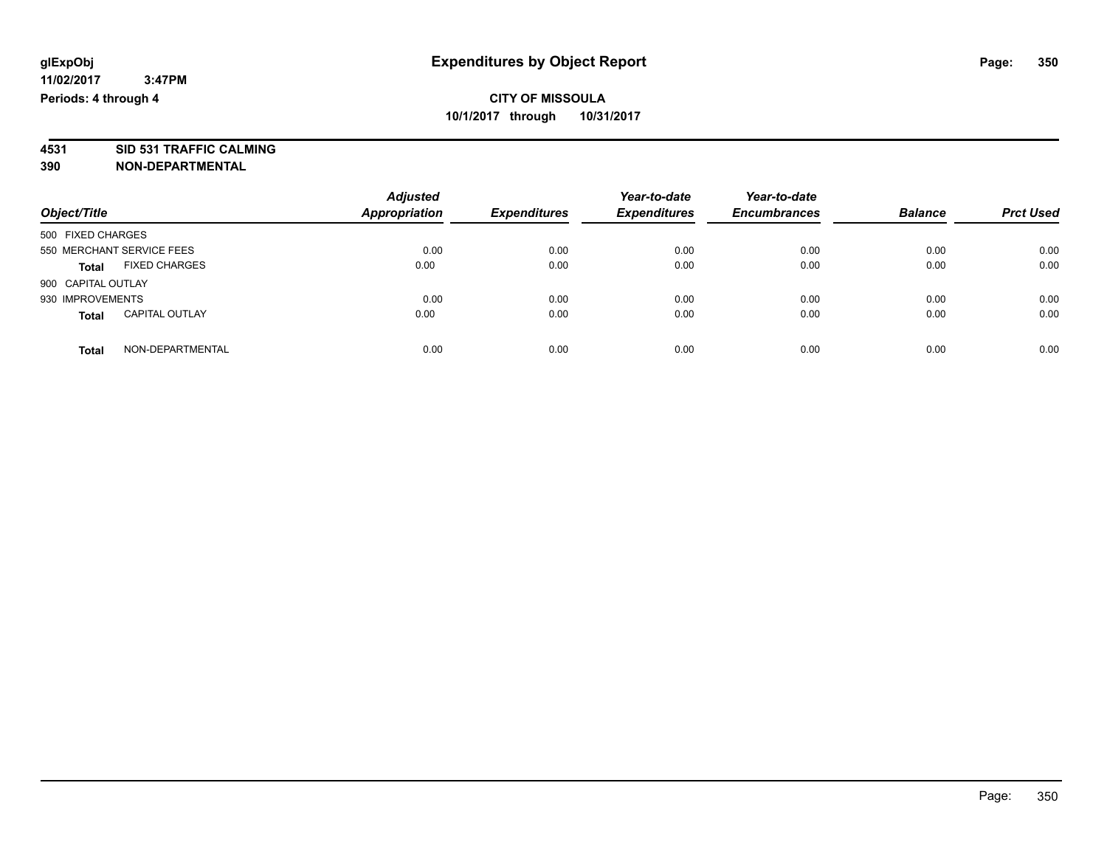**4531 SID 531 TRAFFIC CALMING 390 NON-DEPARTMENTAL**

| Object/Title                          | <b>Adjusted</b><br><b>Appropriation</b> | <b>Expenditures</b> | Year-to-date<br><b>Expenditures</b> | Year-to-date<br><b>Encumbrances</b> | <b>Balance</b> | <b>Prct Used</b> |
|---------------------------------------|-----------------------------------------|---------------------|-------------------------------------|-------------------------------------|----------------|------------------|
| 500 FIXED CHARGES                     |                                         |                     |                                     |                                     |                |                  |
| 550 MERCHANT SERVICE FEES             | 0.00                                    | 0.00                | 0.00                                | 0.00                                | 0.00           | 0.00             |
| <b>FIXED CHARGES</b><br><b>Total</b>  | 0.00                                    | 0.00                | 0.00                                | 0.00                                | 0.00           | 0.00             |
| 900 CAPITAL OUTLAY                    |                                         |                     |                                     |                                     |                |                  |
| 930 IMPROVEMENTS                      | 0.00                                    | 0.00                | 0.00                                | 0.00                                | 0.00           | 0.00             |
| <b>CAPITAL OUTLAY</b><br><b>Total</b> | 0.00                                    | 0.00                | 0.00                                | 0.00                                | 0.00           | 0.00             |
| NON-DEPARTMENTAL<br>Total             | 0.00                                    | 0.00                | 0.00                                | 0.00                                | 0.00           | 0.00             |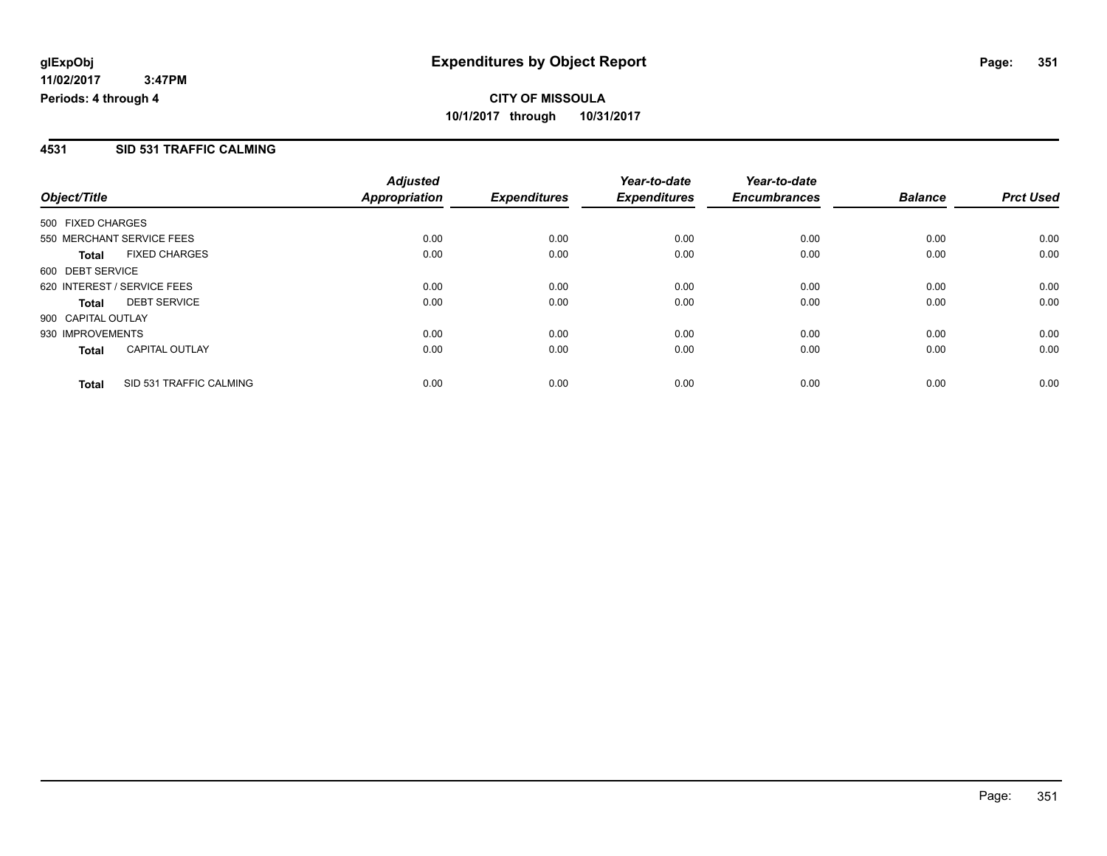#### **4531 SID 531 TRAFFIC CALMING**

|                             |                         | <b>Adjusted</b> |                     | Year-to-date        | Year-to-date        |                |                  |
|-----------------------------|-------------------------|-----------------|---------------------|---------------------|---------------------|----------------|------------------|
| Object/Title                |                         | Appropriation   | <b>Expenditures</b> | <b>Expenditures</b> | <b>Encumbrances</b> | <b>Balance</b> | <b>Prct Used</b> |
| 500 FIXED CHARGES           |                         |                 |                     |                     |                     |                |                  |
| 550 MERCHANT SERVICE FEES   |                         | 0.00            | 0.00                | 0.00                | 0.00                | 0.00           | 0.00             |
| Total                       | <b>FIXED CHARGES</b>    | 0.00            | 0.00                | 0.00                | 0.00                | 0.00           | 0.00             |
| 600 DEBT SERVICE            |                         |                 |                     |                     |                     |                |                  |
| 620 INTEREST / SERVICE FEES |                         | 0.00            | 0.00                | 0.00                | 0.00                | 0.00           | 0.00             |
| Total                       | <b>DEBT SERVICE</b>     | 0.00            | 0.00                | 0.00                | 0.00                | 0.00           | 0.00             |
| 900 CAPITAL OUTLAY          |                         |                 |                     |                     |                     |                |                  |
| 930 IMPROVEMENTS            |                         | 0.00            | 0.00                | 0.00                | 0.00                | 0.00           | 0.00             |
| <b>Total</b>                | <b>CAPITAL OUTLAY</b>   | 0.00            | 0.00                | 0.00                | 0.00                | 0.00           | 0.00             |
| <b>Total</b>                | SID 531 TRAFFIC CALMING | 0.00            | 0.00                | 0.00                | 0.00                | 0.00           | 0.00             |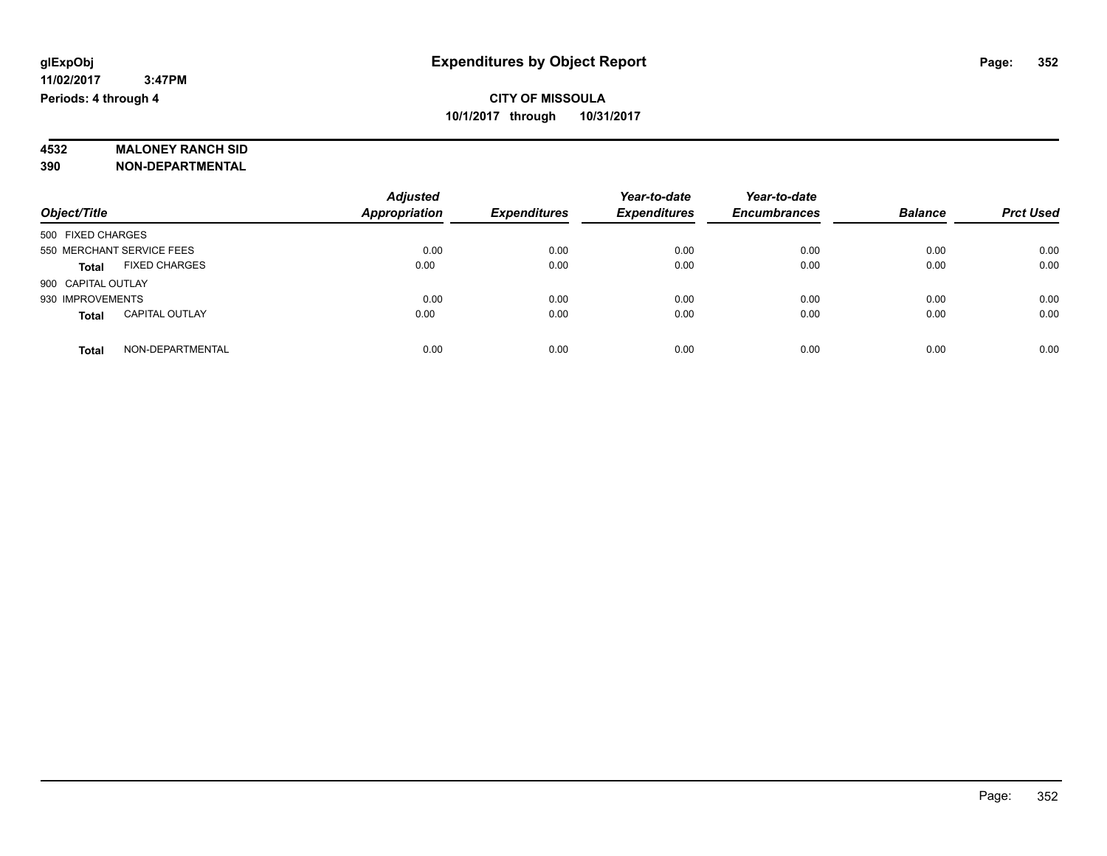# **4532 MALONEY RANCH SID**

**390 NON-DEPARTMENTAL**

|                                       | <b>Adjusted</b>      |                     | Year-to-date        | Year-to-date        |                |                  |
|---------------------------------------|----------------------|---------------------|---------------------|---------------------|----------------|------------------|
| Object/Title                          | <b>Appropriation</b> | <b>Expenditures</b> | <b>Expenditures</b> | <b>Encumbrances</b> | <b>Balance</b> | <b>Prct Used</b> |
| 500 FIXED CHARGES                     |                      |                     |                     |                     |                |                  |
| 550 MERCHANT SERVICE FEES             | 0.00                 | 0.00                | 0.00                | 0.00                | 0.00           | 0.00             |
| <b>FIXED CHARGES</b><br><b>Total</b>  | 0.00                 | 0.00                | 0.00                | 0.00                | 0.00           | 0.00             |
| 900 CAPITAL OUTLAY                    |                      |                     |                     |                     |                |                  |
| 930 IMPROVEMENTS                      | 0.00                 | 0.00                | 0.00                | 0.00                | 0.00           | 0.00             |
| <b>CAPITAL OUTLAY</b><br><b>Total</b> | 0.00                 | 0.00                | 0.00                | 0.00                | 0.00           | 0.00             |
| NON-DEPARTMENTAL<br><b>Total</b>      | 0.00                 | 0.00                | 0.00                | 0.00                | 0.00           | 0.00             |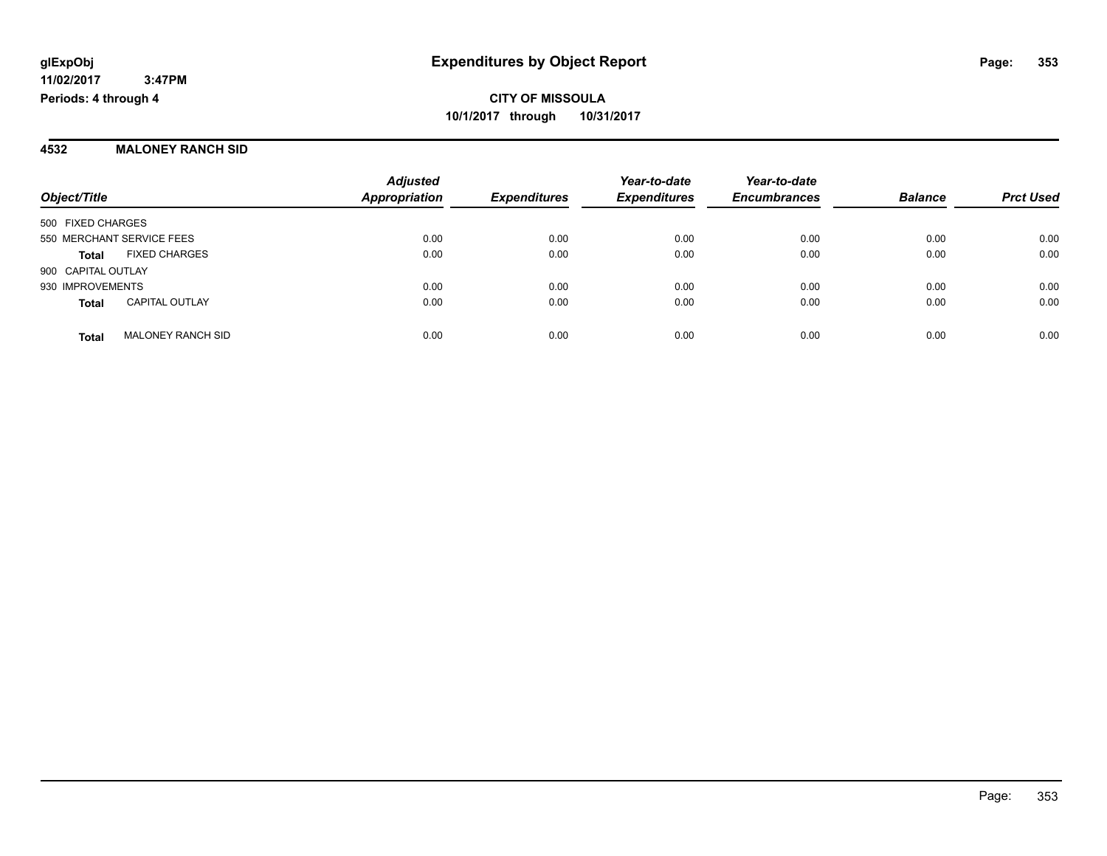#### **4532 MALONEY RANCH SID**

|                           |                          | <b>Adjusted</b><br><b>Appropriation</b> |                     | Year-to-date        | Year-to-date   |                  |      |
|---------------------------|--------------------------|-----------------------------------------|---------------------|---------------------|----------------|------------------|------|
| Object/Title              | <b>Expenditures</b>      |                                         | <b>Expenditures</b> | <b>Encumbrances</b> | <b>Balance</b> | <b>Prct Used</b> |      |
| 500 FIXED CHARGES         |                          |                                         |                     |                     |                |                  |      |
| 550 MERCHANT SERVICE FEES |                          | 0.00                                    | 0.00                | 0.00                | 0.00           | 0.00             | 0.00 |
| <b>Total</b>              | <b>FIXED CHARGES</b>     | 0.00                                    | 0.00                | 0.00                | 0.00           | 0.00             | 0.00 |
| 900 CAPITAL OUTLAY        |                          |                                         |                     |                     |                |                  |      |
| 930 IMPROVEMENTS          |                          | 0.00                                    | 0.00                | 0.00                | 0.00           | 0.00             | 0.00 |
| <b>Total</b>              | <b>CAPITAL OUTLAY</b>    | 0.00                                    | 0.00                | 0.00                | 0.00           | 0.00             | 0.00 |
| <b>Total</b>              | <b>MALONEY RANCH SID</b> | 0.00                                    | 0.00                | 0.00                | 0.00           | 0.00             | 0.00 |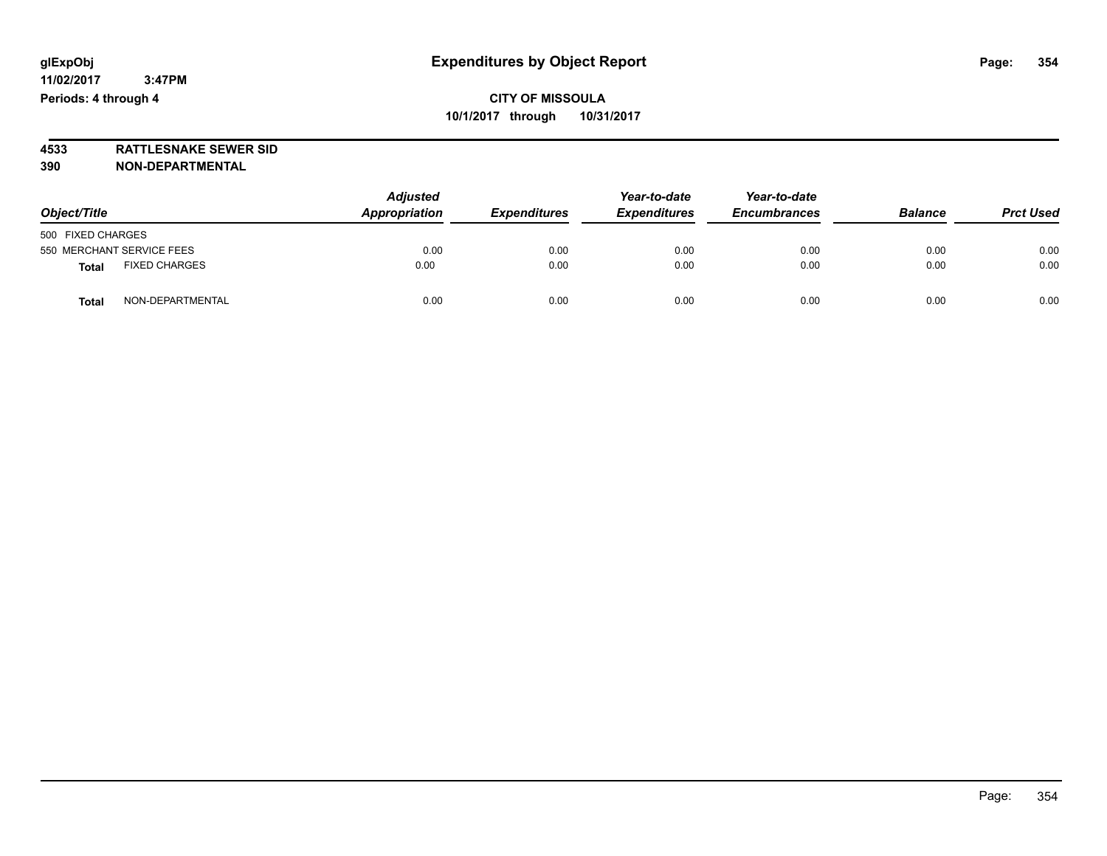**4533 RATTLESNAKE SEWER SID 390 NON-DEPARTMENTAL**

| Object/Title                         | <b>Adjusted</b><br>Appropriation | <b>Expenditures</b> | Year-to-date<br><b>Expenditures</b> | Year-to-date<br><b>Encumbrances</b> | <b>Balance</b> | <b>Prct Used</b> |
|--------------------------------------|----------------------------------|---------------------|-------------------------------------|-------------------------------------|----------------|------------------|
| 500 FIXED CHARGES                    |                                  |                     |                                     |                                     |                |                  |
| 550 MERCHANT SERVICE FEES            | 0.00                             | 0.00                | 0.00                                | 0.00                                | 0.00           | 0.00             |
| <b>FIXED CHARGES</b><br><b>Total</b> | 0.00                             | 0.00                | 0.00                                | 0.00                                | 0.00           | 0.00             |
| NON-DEPARTMENTAL<br><b>Total</b>     | 0.00                             | 0.00                | 0.00                                | 0.00                                | 0.00           | 0.00             |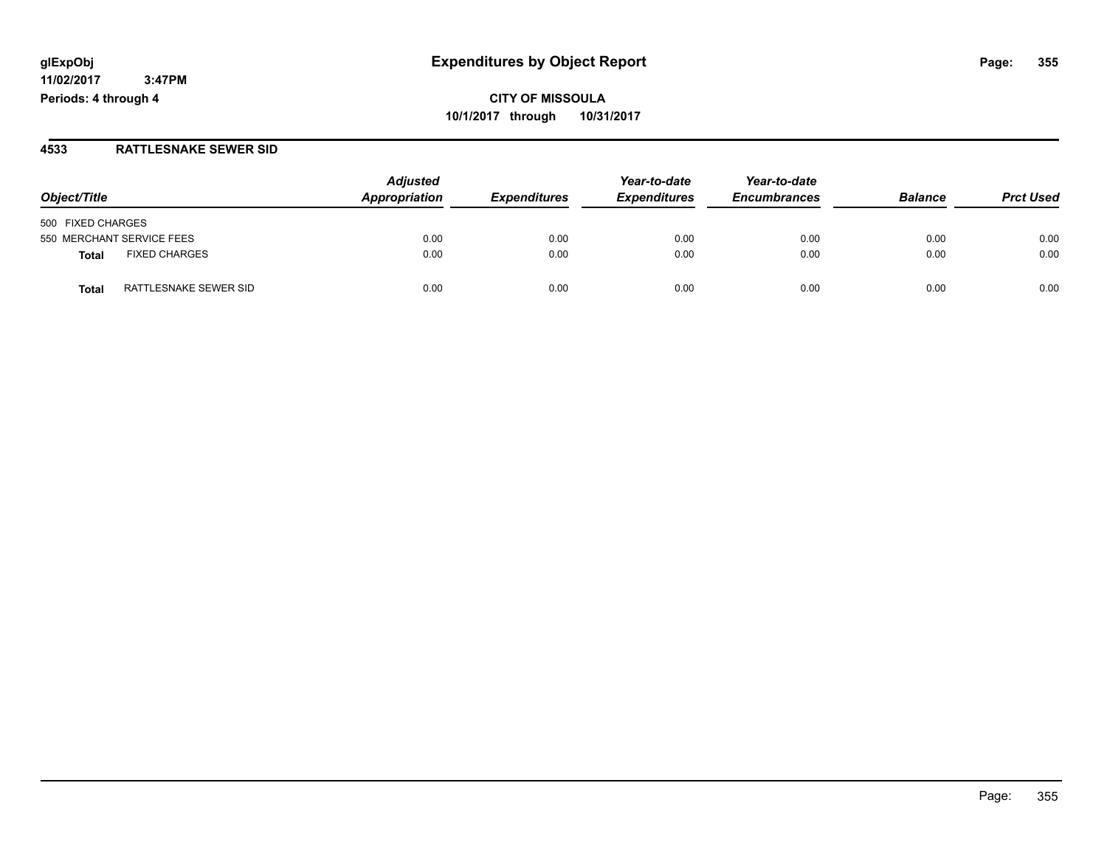**CITY OF MISSOULA 10/1/2017 through 10/31/2017**

#### **4533 RATTLESNAKE SEWER SID**

|                                | <b>Adjusted</b> |                     | Year-to-date        | Year-to-date        |                |                  |
|--------------------------------|-----------------|---------------------|---------------------|---------------------|----------------|------------------|
| Object/Title                   | Appropriation   | <b>Expenditures</b> | <b>Expenditures</b> | <b>Encumbrances</b> | <b>Balance</b> | <b>Prct Used</b> |
| 500 FIXED CHARGES              |                 |                     |                     |                     |                |                  |
| 550 MERCHANT SERVICE FEES      | 0.00            | 0.00                | 0.00                | 0.00                | 0.00           | 0.00             |
| <b>FIXED CHARGES</b><br>Total  | 0.00            | 0.00                | 0.00                | 0.00                | 0.00           | 0.00             |
| RATTLESNAKE SEWER SID<br>Total | 0.00            | 0.00                | 0.00                | 0.00                | 0.00           | 0.00             |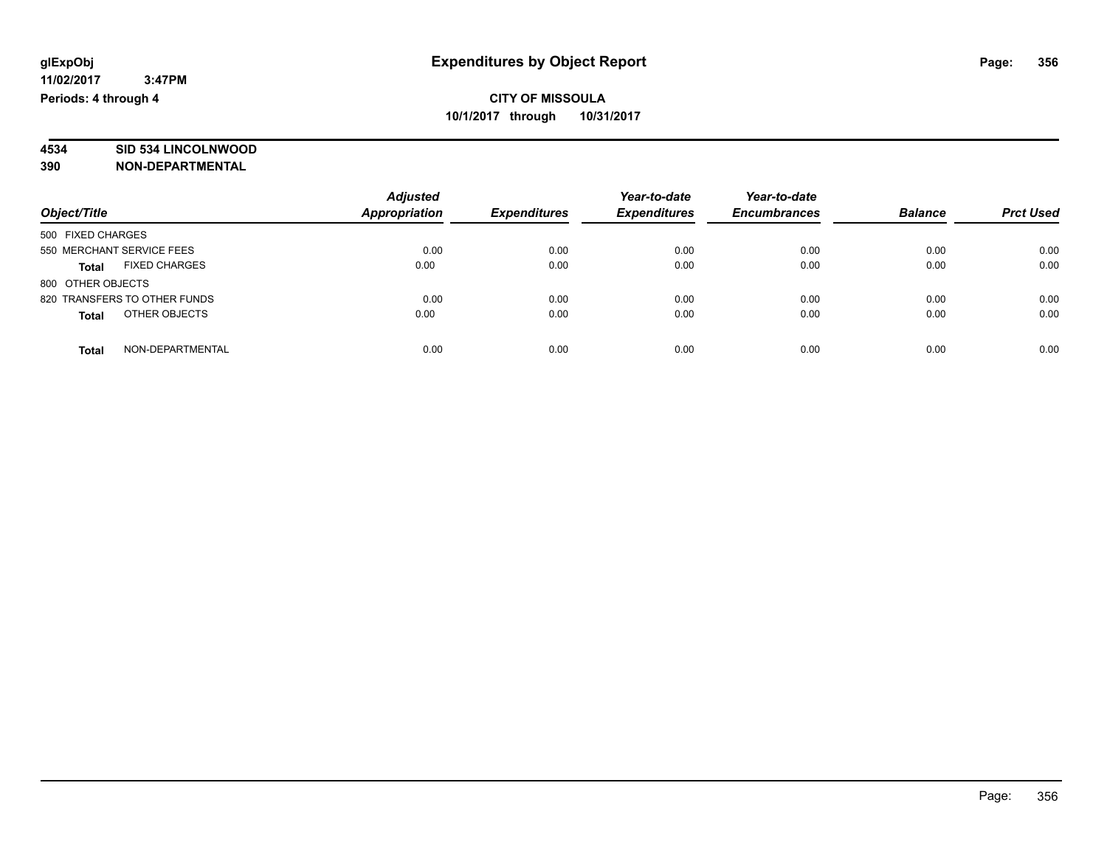# **4534 SID 534 LINCOLNWOOD**

**390 NON-DEPARTMENTAL**

|                                      | <b>Adjusted</b>      |                     | Year-to-date        | Year-to-date        |                |                  |
|--------------------------------------|----------------------|---------------------|---------------------|---------------------|----------------|------------------|
| Object/Title                         | <b>Appropriation</b> | <b>Expenditures</b> | <b>Expenditures</b> | <b>Encumbrances</b> | <b>Balance</b> | <b>Prct Used</b> |
| 500 FIXED CHARGES                    |                      |                     |                     |                     |                |                  |
| 550 MERCHANT SERVICE FEES            | 0.00                 | 0.00                | 0.00                | 0.00                | 0.00           | 0.00             |
| <b>FIXED CHARGES</b><br><b>Total</b> | 0.00                 | 0.00                | 0.00                | 0.00                | 0.00           | 0.00             |
| 800 OTHER OBJECTS                    |                      |                     |                     |                     |                |                  |
| 820 TRANSFERS TO OTHER FUNDS         | 0.00                 | 0.00                | 0.00                | 0.00                | 0.00           | 0.00             |
| OTHER OBJECTS<br><b>Total</b>        | 0.00                 | 0.00                | 0.00                | 0.00                | 0.00           | 0.00             |
| NON-DEPARTMENTAL<br>Total            | 0.00                 | 0.00                | 0.00                | 0.00                | 0.00           | 0.00             |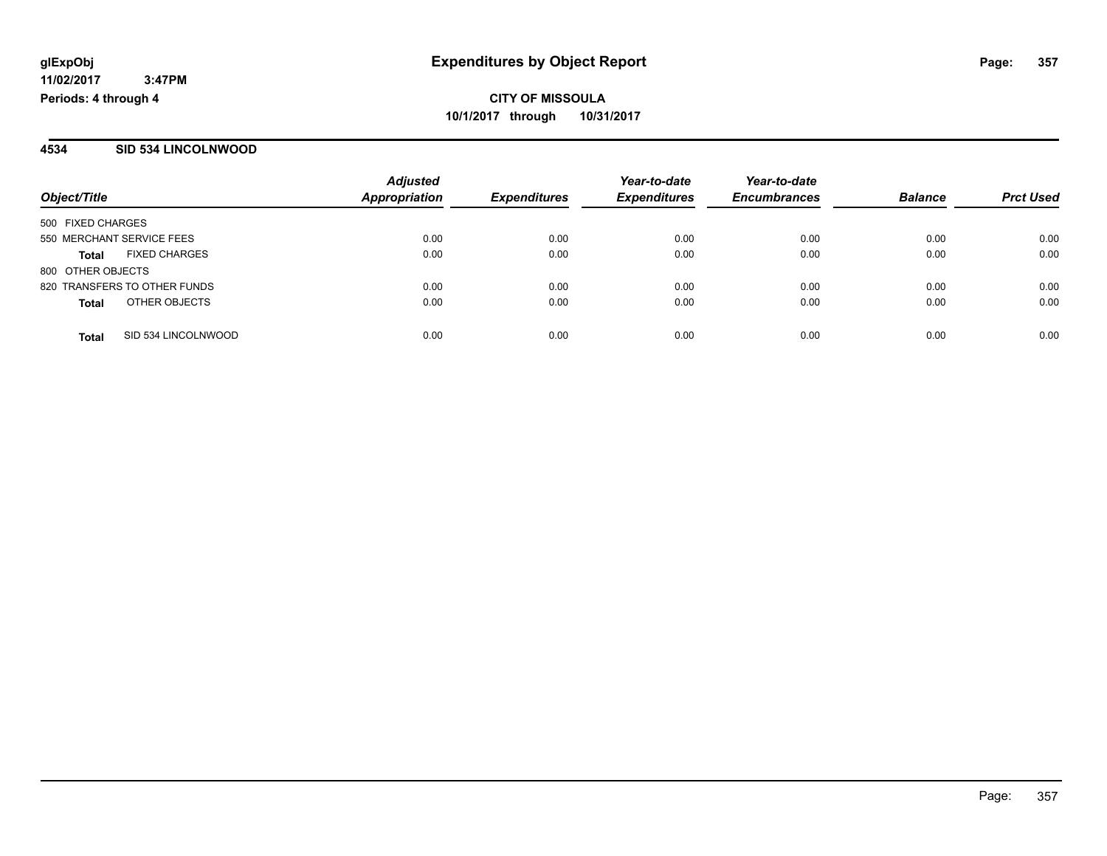#### **4534 SID 534 LINCOLNWOOD**

|                                      | <b>Adjusted</b>      |                     | Year-to-date        | Year-to-date        |                |                  |
|--------------------------------------|----------------------|---------------------|---------------------|---------------------|----------------|------------------|
| Object/Title                         | <b>Appropriation</b> | <b>Expenditures</b> | <b>Expenditures</b> | <b>Encumbrances</b> | <b>Balance</b> | <b>Prct Used</b> |
| 500 FIXED CHARGES                    |                      |                     |                     |                     |                |                  |
| 550 MERCHANT SERVICE FEES            | 0.00                 | 0.00                | 0.00                | 0.00                | 0.00           | 0.00             |
| <b>FIXED CHARGES</b><br><b>Total</b> | 0.00                 | 0.00                | 0.00                | 0.00                | 0.00           | 0.00             |
| 800 OTHER OBJECTS                    |                      |                     |                     |                     |                |                  |
| 820 TRANSFERS TO OTHER FUNDS         | 0.00                 | 0.00                | 0.00                | 0.00                | 0.00           | 0.00             |
| OTHER OBJECTS<br><b>Total</b>        | 0.00                 | 0.00                | 0.00                | 0.00                | 0.00           | 0.00             |
| SID 534 LINCOLNWOOD<br><b>Total</b>  | 0.00                 | 0.00                | 0.00                | 0.00                | 0.00           | 0.00             |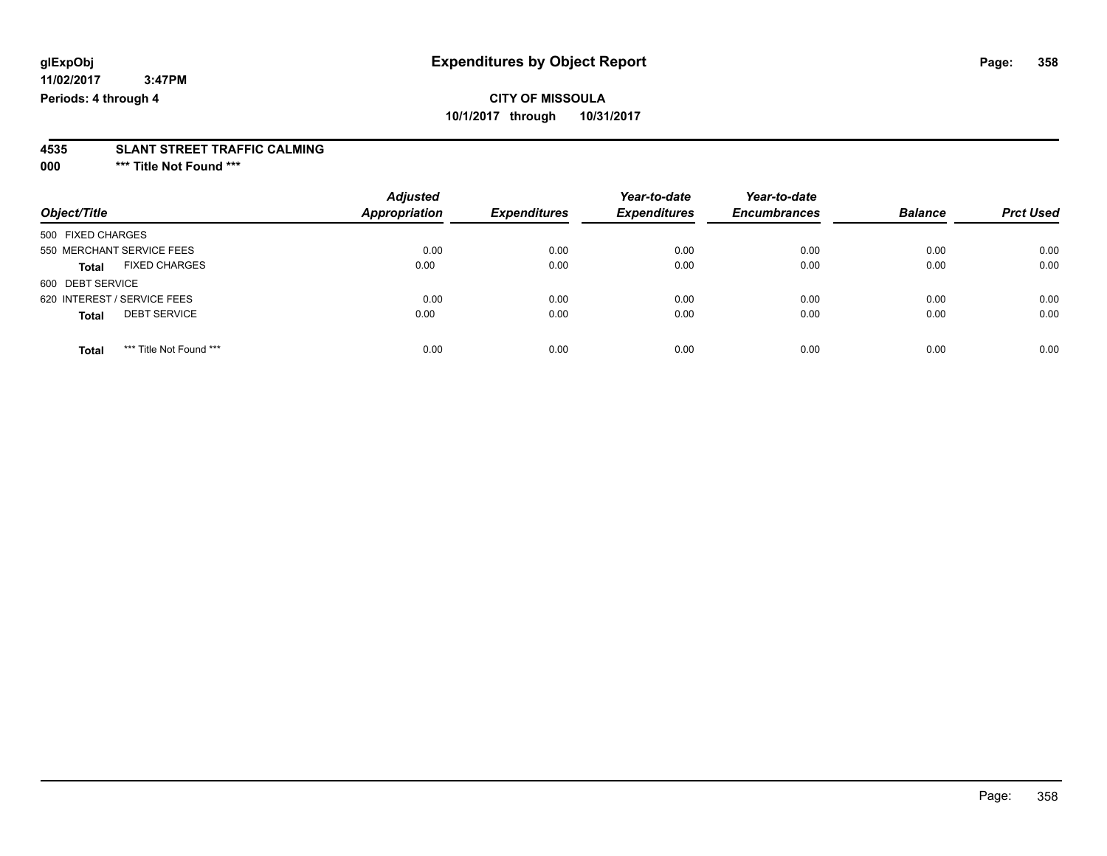### **CITY OF MISSOULA 10/1/2017 through 10/31/2017**

# **4535 SLANT STREET TRAFFIC CALMING**

**000 \*\*\* Title Not Found \*\*\***

| Object/Title                            | <b>Adjusted</b><br><b>Appropriation</b> | <b>Expenditures</b> | Year-to-date<br><b>Expenditures</b> | Year-to-date<br><b>Encumbrances</b> | <b>Balance</b> | <b>Prct Used</b> |
|-----------------------------------------|-----------------------------------------|---------------------|-------------------------------------|-------------------------------------|----------------|------------------|
| 500 FIXED CHARGES                       |                                         |                     |                                     |                                     |                |                  |
| 550 MERCHANT SERVICE FEES               | 0.00                                    | 0.00                | 0.00                                | 0.00                                | 0.00           | 0.00             |
| <b>FIXED CHARGES</b><br><b>Total</b>    | 0.00                                    | 0.00                | 0.00                                | 0.00                                | 0.00           | 0.00             |
| 600 DEBT SERVICE                        |                                         |                     |                                     |                                     |                |                  |
| 620 INTEREST / SERVICE FEES             | 0.00                                    | 0.00                | 0.00                                | 0.00                                | 0.00           | 0.00             |
| <b>DEBT SERVICE</b><br><b>Total</b>     | 0.00                                    | 0.00                | 0.00                                | 0.00                                | 0.00           | 0.00             |
| *** Title Not Found ***<br><b>Total</b> | 0.00                                    | 0.00                | 0.00                                | 0.00                                | 0.00           | 0.00             |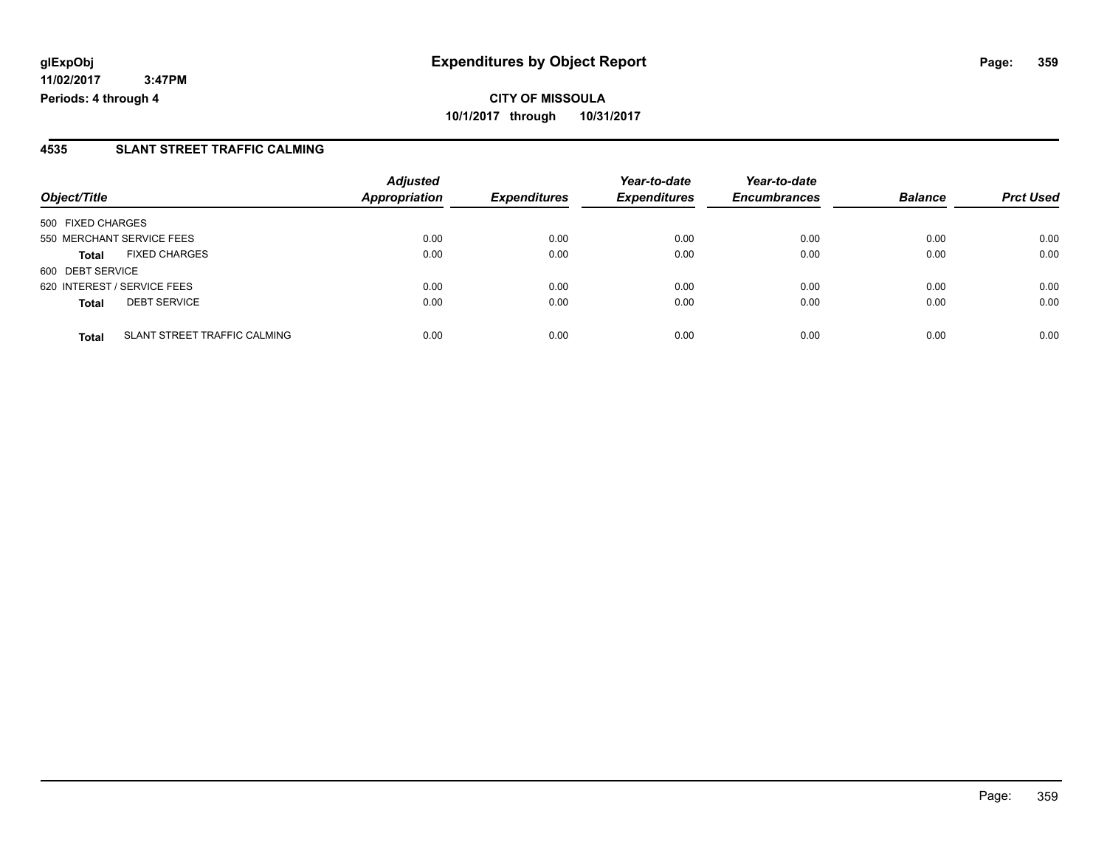**CITY OF MISSOULA 10/1/2017 through 10/31/2017**

### **4535 SLANT STREET TRAFFIC CALMING**

|                                              | <b>Adjusted</b><br>Appropriation | <b>Expenditures</b> | Year-to-date<br><b>Expenditures</b> | Year-to-date<br><b>Encumbrances</b> | <b>Balance</b> |                  |
|----------------------------------------------|----------------------------------|---------------------|-------------------------------------|-------------------------------------|----------------|------------------|
| Object/Title                                 |                                  |                     |                                     |                                     |                | <b>Prct Used</b> |
| 500 FIXED CHARGES                            |                                  |                     |                                     |                                     |                |                  |
| 550 MERCHANT SERVICE FEES                    | 0.00                             | 0.00                | 0.00                                | 0.00                                | 0.00           | 0.00             |
| <b>FIXED CHARGES</b><br><b>Total</b>         | 0.00                             | 0.00                | 0.00                                | 0.00                                | 0.00           | 0.00             |
| 600 DEBT SERVICE                             |                                  |                     |                                     |                                     |                |                  |
| 620 INTEREST / SERVICE FEES                  | 0.00                             | 0.00                | 0.00                                | 0.00                                | 0.00           | 0.00             |
| <b>DEBT SERVICE</b><br><b>Total</b>          | 0.00                             | 0.00                | 0.00                                | 0.00                                | 0.00           | 0.00             |
| SLANT STREET TRAFFIC CALMING<br><b>Total</b> | 0.00                             | 0.00                | 0.00                                | 0.00                                | 0.00           | 0.00             |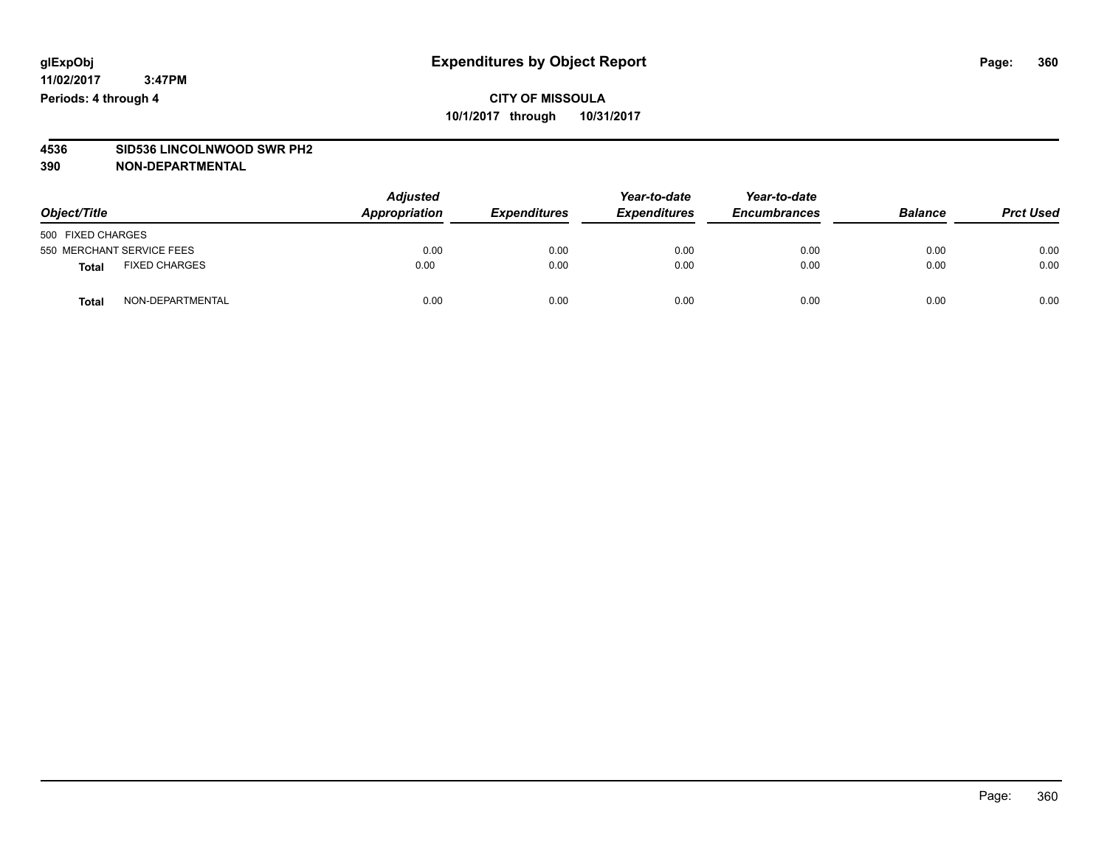# **4536 SID536 LINCOLNWOOD SWR PH2**

### **390 NON-DEPARTMENTAL**

| Object/Title                  | <b>Adjusted</b><br>Appropriation | <b>Expenditures</b> | Year-to-date<br><b>Expenditures</b> | Year-to-date<br><b>Encumbrances</b> | <b>Balance</b> | <b>Prct Used</b> |
|-------------------------------|----------------------------------|---------------------|-------------------------------------|-------------------------------------|----------------|------------------|
| 500 FIXED CHARGES             |                                  |                     |                                     |                                     |                |                  |
| 550 MERCHANT SERVICE FEES     | 0.00                             | 0.00                | 0.00                                | 0.00                                | 0.00           | 0.00             |
| <b>FIXED CHARGES</b><br>Total | 0.00                             | 0.00                | 0.00                                | 0.00                                | 0.00           | 0.00             |
| NON-DEPARTMENTAL<br>Total     | 0.00                             | 0.00                | 0.00                                | 0.00                                | 0.00           | 0.00             |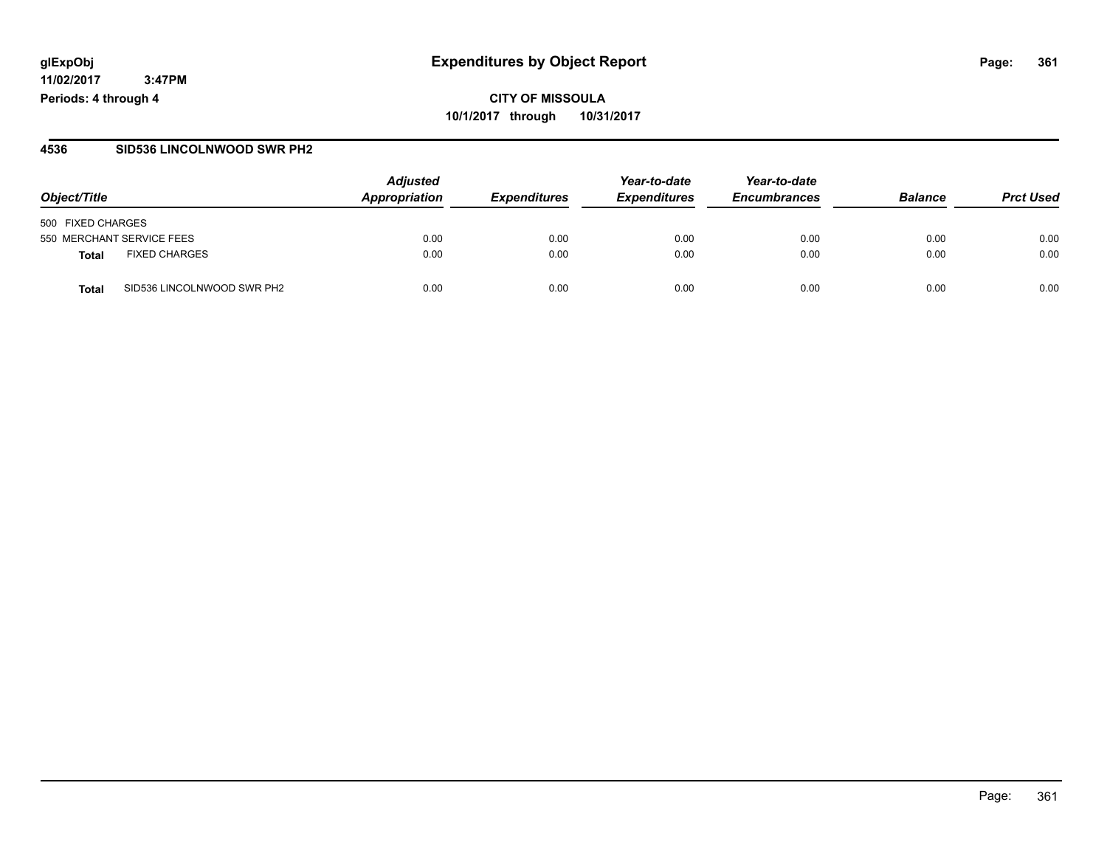**CITY OF MISSOULA 10/1/2017 through 10/31/2017**

### **4536 SID536 LINCOLNWOOD SWR PH2**

|                                      | <b>Adjusted</b> |                     | Year-to-date        | Year-to-date        |                |                  |
|--------------------------------------|-----------------|---------------------|---------------------|---------------------|----------------|------------------|
| Object/Title                         | Appropriation   | <b>Expenditures</b> | <b>Expenditures</b> | <b>Encumbrances</b> | <b>Balance</b> | <b>Prct Used</b> |
| 500 FIXED CHARGES                    |                 |                     |                     |                     |                |                  |
| 550 MERCHANT SERVICE FEES            | 0.00            | 0.00                | 0.00                | 0.00                | 0.00           | 0.00             |
| <b>FIXED CHARGES</b><br><b>Total</b> | 0.00            | 0.00                | 0.00                | 0.00                | 0.00           | 0.00             |
| SID536 LINCOLNWOOD SWR PH2<br>Total  | 0.00            | 0.00                | 0.00                | 0.00                | 0.00           | 0.00             |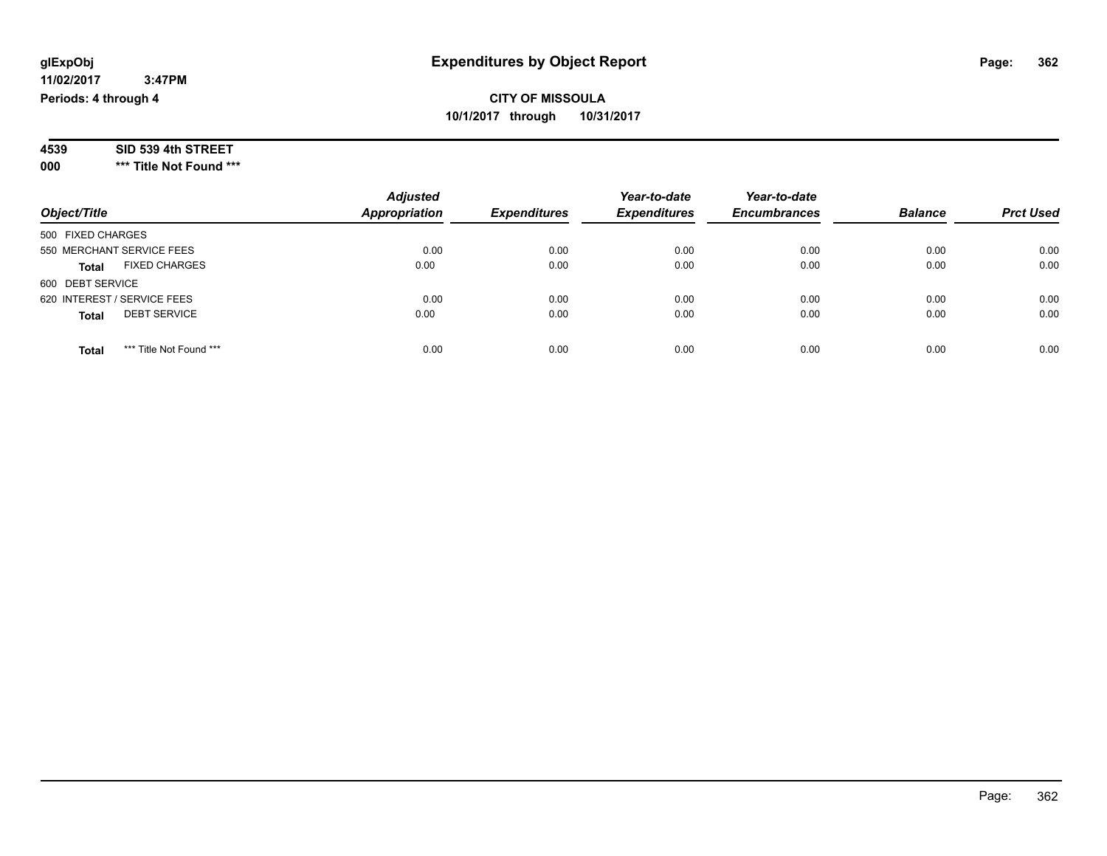**000 \*\*\* Title Not Found \*\*\***

|                                         | <b>Adjusted</b>      |                     | Year-to-date        | Year-to-date        |                |                  |
|-----------------------------------------|----------------------|---------------------|---------------------|---------------------|----------------|------------------|
| Object/Title                            | <b>Appropriation</b> | <b>Expenditures</b> | <b>Expenditures</b> | <b>Encumbrances</b> | <b>Balance</b> | <b>Prct Used</b> |
| 500 FIXED CHARGES                       |                      |                     |                     |                     |                |                  |
| 550 MERCHANT SERVICE FEES               | 0.00                 | 0.00                | 0.00                | 0.00                | 0.00           | 0.00             |
| <b>FIXED CHARGES</b><br><b>Total</b>    | 0.00                 | 0.00                | 0.00                | 0.00                | 0.00           | 0.00             |
| 600 DEBT SERVICE                        |                      |                     |                     |                     |                |                  |
| 620 INTEREST / SERVICE FEES             | 0.00                 | 0.00                | 0.00                | 0.00                | 0.00           | 0.00             |
| <b>DEBT SERVICE</b><br><b>Total</b>     | 0.00                 | 0.00                | 0.00                | 0.00                | 0.00           | 0.00             |
| *** Title Not Found ***<br><b>Total</b> | 0.00                 | 0.00                | 0.00                | 0.00                | 0.00           | 0.00             |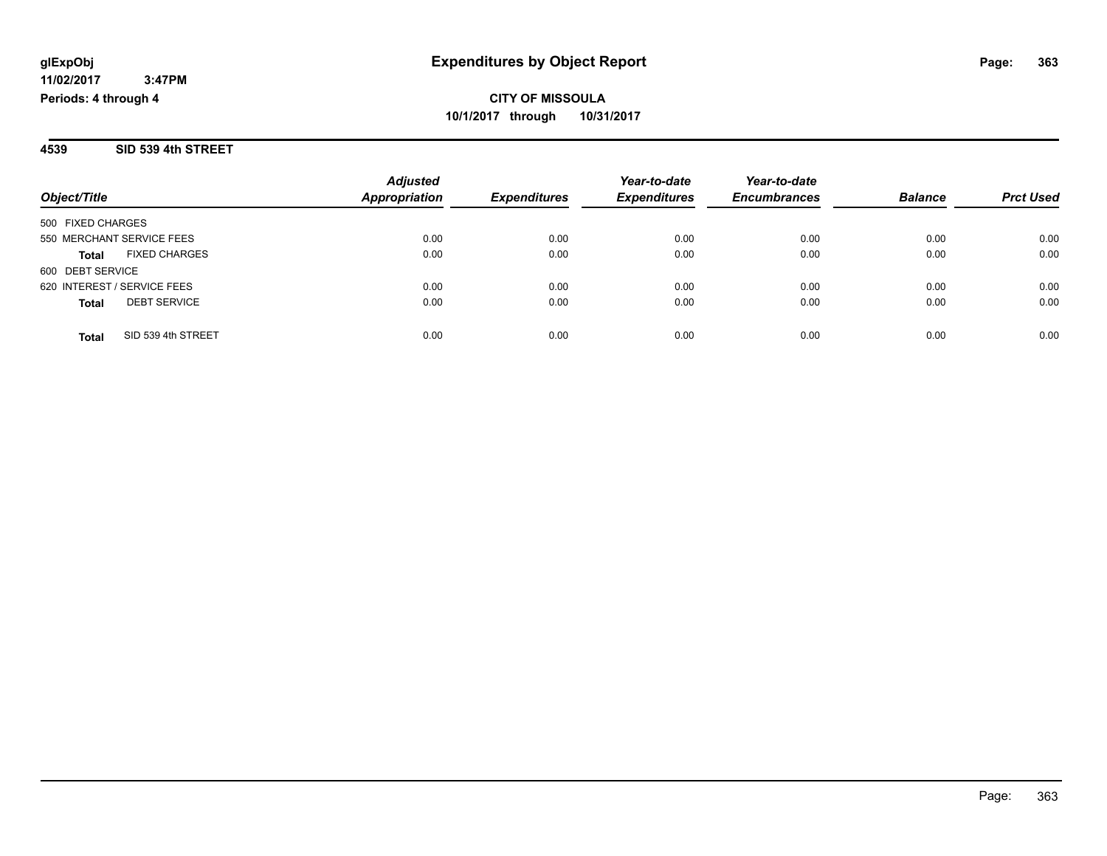**4539 SID 539 4th STREET**

|                                      | <b>Adjusted</b>      |                     | Year-to-date        | Year-to-date        |                |                  |
|--------------------------------------|----------------------|---------------------|---------------------|---------------------|----------------|------------------|
| Object/Title                         | <b>Appropriation</b> | <b>Expenditures</b> | <b>Expenditures</b> | <b>Encumbrances</b> | <b>Balance</b> | <b>Prct Used</b> |
| 500 FIXED CHARGES                    |                      |                     |                     |                     |                |                  |
| 550 MERCHANT SERVICE FEES            | 0.00                 | 0.00                | 0.00                | 0.00                | 0.00           | 0.00             |
| <b>FIXED CHARGES</b><br><b>Total</b> | 0.00                 | 0.00                | 0.00                | 0.00                | 0.00           | 0.00             |
| 600 DEBT SERVICE                     |                      |                     |                     |                     |                |                  |
| 620 INTEREST / SERVICE FEES          | 0.00                 | 0.00                | 0.00                | 0.00                | 0.00           | 0.00             |
| <b>DEBT SERVICE</b><br><b>Total</b>  | 0.00                 | 0.00                | 0.00                | 0.00                | 0.00           | 0.00             |
| SID 539 4th STREET<br><b>Total</b>   | 0.00                 | 0.00                | 0.00                | 0.00                | 0.00           | 0.00             |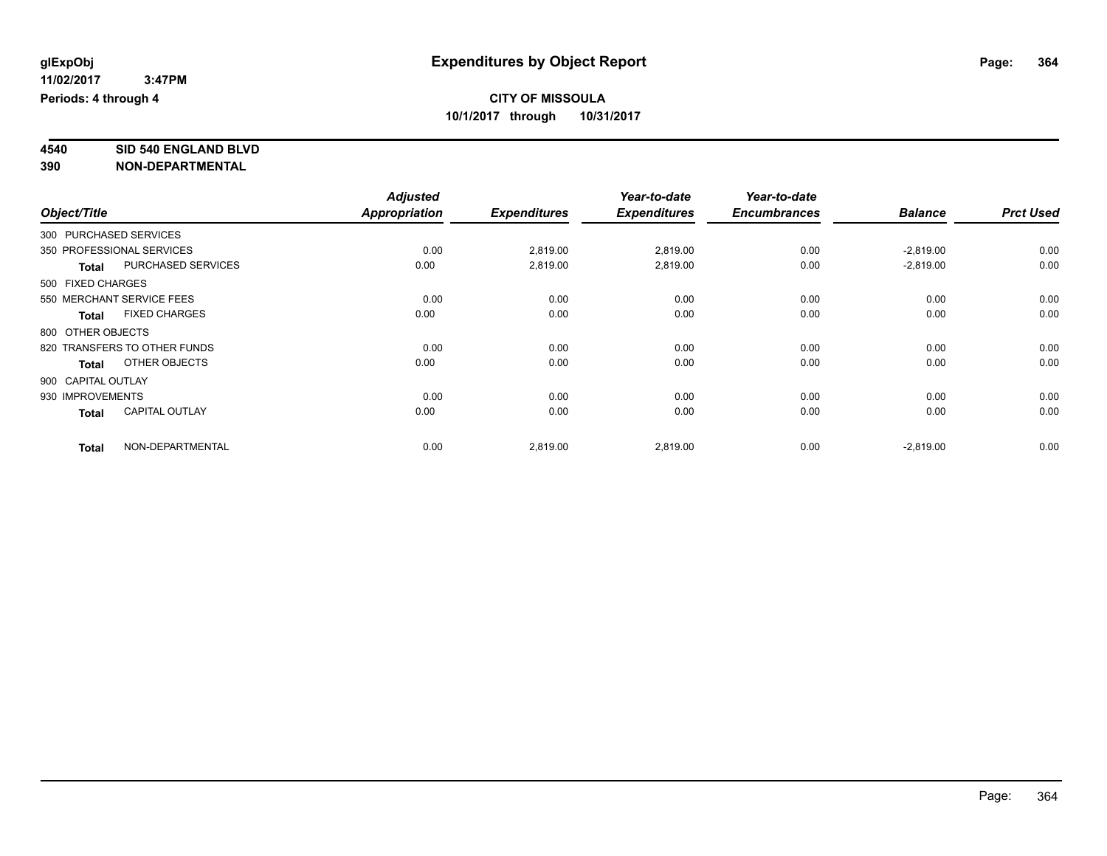# **4540 SID 540 ENGLAND BLVD**

|                        |                              | <b>Adjusted</b> |                     | Year-to-date        | Year-to-date        |                |                  |
|------------------------|------------------------------|-----------------|---------------------|---------------------|---------------------|----------------|------------------|
| Object/Title           |                              | Appropriation   | <b>Expenditures</b> | <b>Expenditures</b> | <b>Encumbrances</b> | <b>Balance</b> | <b>Prct Used</b> |
| 300 PURCHASED SERVICES |                              |                 |                     |                     |                     |                |                  |
|                        | 350 PROFESSIONAL SERVICES    | 0.00            | 2,819.00            | 2,819.00            | 0.00                | $-2,819.00$    | 0.00             |
| <b>Total</b>           | PURCHASED SERVICES           | 0.00            | 2,819.00            | 2,819.00            | 0.00                | $-2,819.00$    | 0.00             |
| 500 FIXED CHARGES      |                              |                 |                     |                     |                     |                |                  |
|                        | 550 MERCHANT SERVICE FEES    | 0.00            | 0.00                | 0.00                | 0.00                | 0.00           | 0.00             |
| <b>Total</b>           | <b>FIXED CHARGES</b>         | 0.00            | 0.00                | 0.00                | 0.00                | 0.00           | 0.00             |
| 800 OTHER OBJECTS      |                              |                 |                     |                     |                     |                |                  |
|                        | 820 TRANSFERS TO OTHER FUNDS | 0.00            | 0.00                | 0.00                | 0.00                | 0.00           | 0.00             |
| <b>Total</b>           | OTHER OBJECTS                | 0.00            | 0.00                | 0.00                | 0.00                | 0.00           | 0.00             |
| 900 CAPITAL OUTLAY     |                              |                 |                     |                     |                     |                |                  |
| 930 IMPROVEMENTS       |                              | 0.00            | 0.00                | 0.00                | 0.00                | 0.00           | 0.00             |
| <b>Total</b>           | <b>CAPITAL OUTLAY</b>        | 0.00            | 0.00                | 0.00                | 0.00                | 0.00           | 0.00             |
| <b>Total</b>           | NON-DEPARTMENTAL             | 0.00            | 2,819.00            | 2,819.00            | 0.00                | $-2,819.00$    | 0.00             |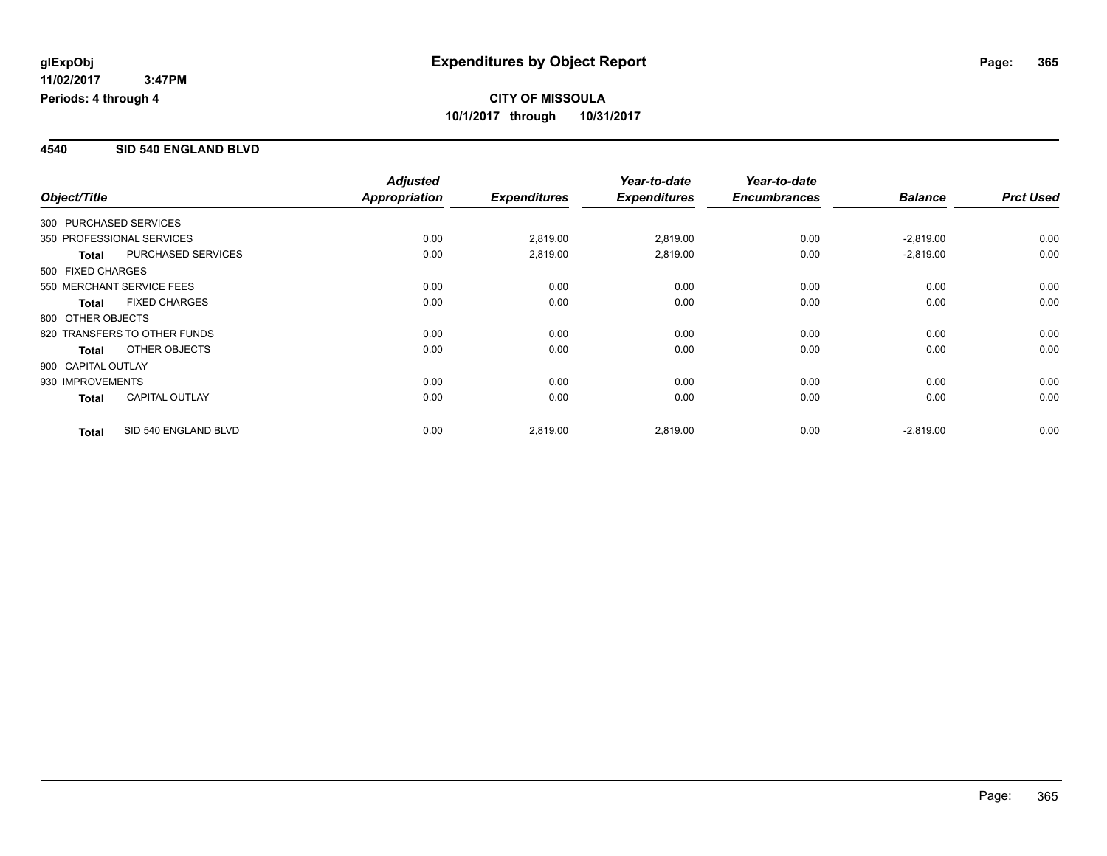### **4540 SID 540 ENGLAND BLVD**

|                        |                              | <b>Adjusted</b> |                     | Year-to-date        | Year-to-date        |                |                  |
|------------------------|------------------------------|-----------------|---------------------|---------------------|---------------------|----------------|------------------|
| Object/Title           |                              | Appropriation   | <b>Expenditures</b> | <b>Expenditures</b> | <b>Encumbrances</b> | <b>Balance</b> | <b>Prct Used</b> |
| 300 PURCHASED SERVICES |                              |                 |                     |                     |                     |                |                  |
|                        | 350 PROFESSIONAL SERVICES    | 0.00            | 2,819.00            | 2,819.00            | 0.00                | $-2,819.00$    | 0.00             |
| Total                  | PURCHASED SERVICES           | 0.00            | 2,819.00            | 2,819.00            | 0.00                | $-2,819.00$    | 0.00             |
| 500 FIXED CHARGES      |                              |                 |                     |                     |                     |                |                  |
|                        | 550 MERCHANT SERVICE FEES    | 0.00            | 0.00                | 0.00                | 0.00                | 0.00           | 0.00             |
| <b>Total</b>           | <b>FIXED CHARGES</b>         | 0.00            | 0.00                | 0.00                | 0.00                | 0.00           | 0.00             |
| 800 OTHER OBJECTS      |                              |                 |                     |                     |                     |                |                  |
|                        | 820 TRANSFERS TO OTHER FUNDS | 0.00            | 0.00                | 0.00                | 0.00                | 0.00           | 0.00             |
| <b>Total</b>           | OTHER OBJECTS                | 0.00            | 0.00                | 0.00                | 0.00                | 0.00           | 0.00             |
| 900 CAPITAL OUTLAY     |                              |                 |                     |                     |                     |                |                  |
| 930 IMPROVEMENTS       |                              | 0.00            | 0.00                | 0.00                | 0.00                | 0.00           | 0.00             |
| <b>Total</b>           | <b>CAPITAL OUTLAY</b>        | 0.00            | 0.00                | 0.00                | 0.00                | 0.00           | 0.00             |
| <b>Total</b>           | SID 540 ENGLAND BLVD         | 0.00            | 2,819.00            | 2,819.00            | 0.00                | $-2,819.00$    | 0.00             |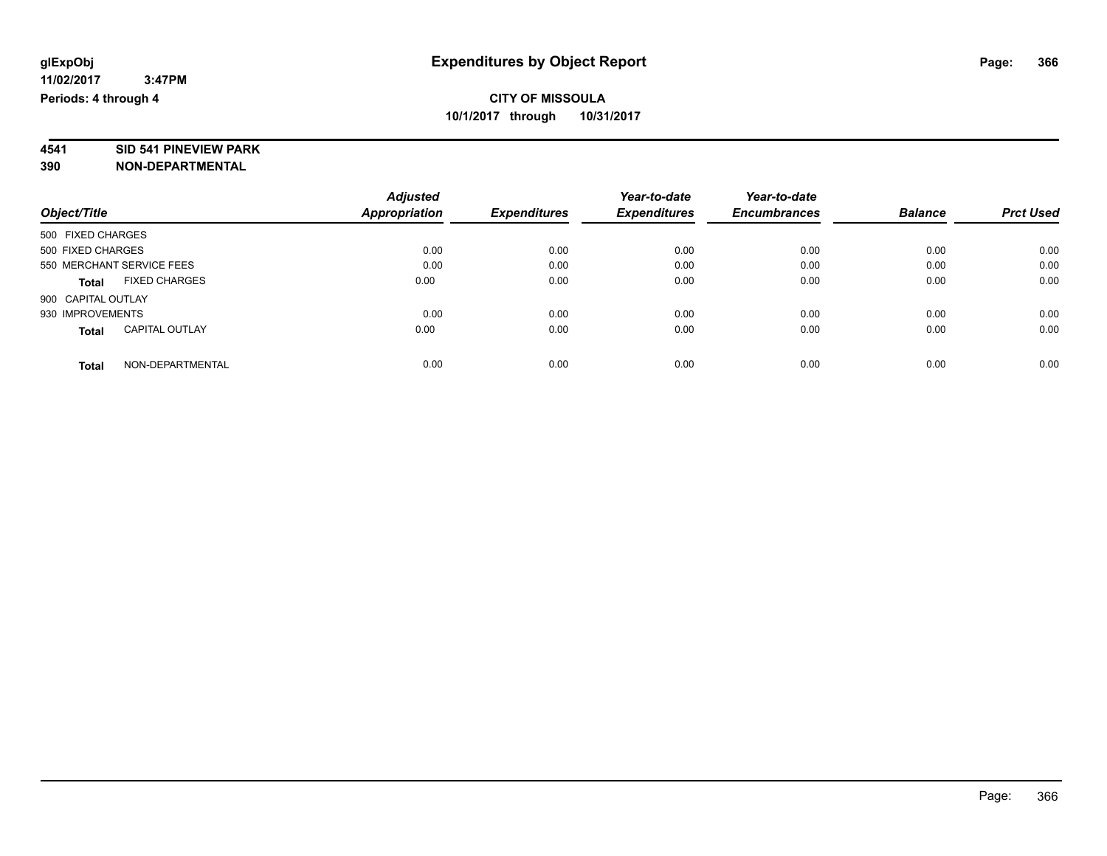# **4541 SID 541 PINEVIEW PARK**

|                                       | <b>Adjusted</b> |                     | Year-to-date        | Year-to-date        |                |                  |
|---------------------------------------|-----------------|---------------------|---------------------|---------------------|----------------|------------------|
| Object/Title                          | Appropriation   | <b>Expenditures</b> | <b>Expenditures</b> | <b>Encumbrances</b> | <b>Balance</b> | <b>Prct Used</b> |
| 500 FIXED CHARGES                     |                 |                     |                     |                     |                |                  |
| 500 FIXED CHARGES                     | 0.00            | 0.00                | 0.00                | 0.00                | 0.00           | 0.00             |
| 550 MERCHANT SERVICE FEES             | 0.00            | 0.00                | 0.00                | 0.00                | 0.00           | 0.00             |
| <b>FIXED CHARGES</b><br><b>Total</b>  | 0.00            | 0.00                | 0.00                | 0.00                | 0.00           | 0.00             |
| 900 CAPITAL OUTLAY                    |                 |                     |                     |                     |                |                  |
| 930 IMPROVEMENTS                      | 0.00            | 0.00                | 0.00                | 0.00                | 0.00           | 0.00             |
| <b>CAPITAL OUTLAY</b><br><b>Total</b> | 0.00            | 0.00                | 0.00                | 0.00                | 0.00           | 0.00             |
| NON-DEPARTMENTAL<br><b>Total</b>      | 0.00            | 0.00                | 0.00                | 0.00                | 0.00           | 0.00             |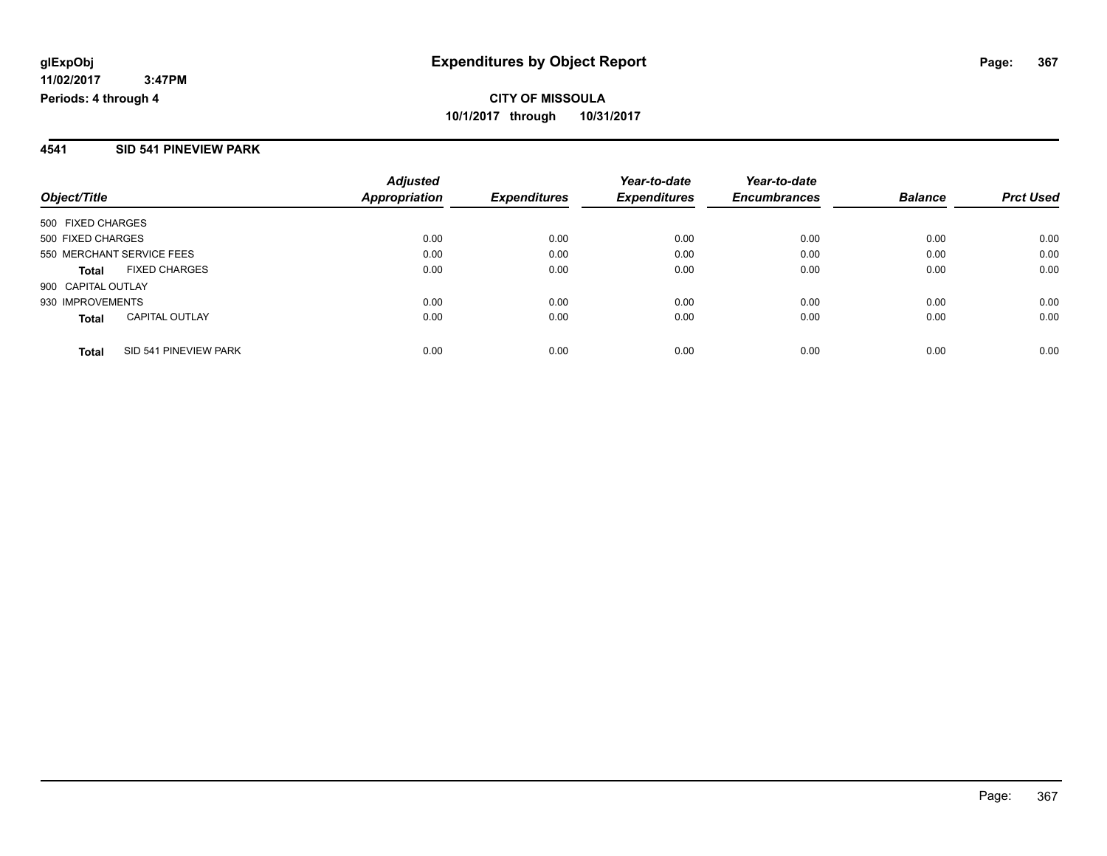### **4541 SID 541 PINEVIEW PARK**

| Object/Title                          | <b>Adjusted</b><br>Appropriation | <b>Expenditures</b> | Year-to-date<br><b>Expenditures</b> | Year-to-date<br><b>Encumbrances</b> | <b>Balance</b> | <b>Prct Used</b> |
|---------------------------------------|----------------------------------|---------------------|-------------------------------------|-------------------------------------|----------------|------------------|
| 500 FIXED CHARGES                     |                                  |                     |                                     |                                     |                |                  |
| 500 FIXED CHARGES                     | 0.00                             | 0.00                | 0.00                                | 0.00                                | 0.00           | 0.00             |
| 550 MERCHANT SERVICE FEES             | 0.00                             | 0.00                | 0.00                                | 0.00                                | 0.00           | 0.00             |
| <b>FIXED CHARGES</b><br><b>Total</b>  | 0.00                             | 0.00                | 0.00                                | 0.00                                | 0.00           | 0.00             |
| 900 CAPITAL OUTLAY                    |                                  |                     |                                     |                                     |                |                  |
| 930 IMPROVEMENTS                      | 0.00                             | 0.00                | 0.00                                | 0.00                                | 0.00           | 0.00             |
| <b>CAPITAL OUTLAY</b><br><b>Total</b> | 0.00                             | 0.00                | 0.00                                | 0.00                                | 0.00           | 0.00             |
| SID 541 PINEVIEW PARK<br><b>Total</b> | 0.00                             | 0.00                | 0.00                                | 0.00                                | 0.00           | 0.00             |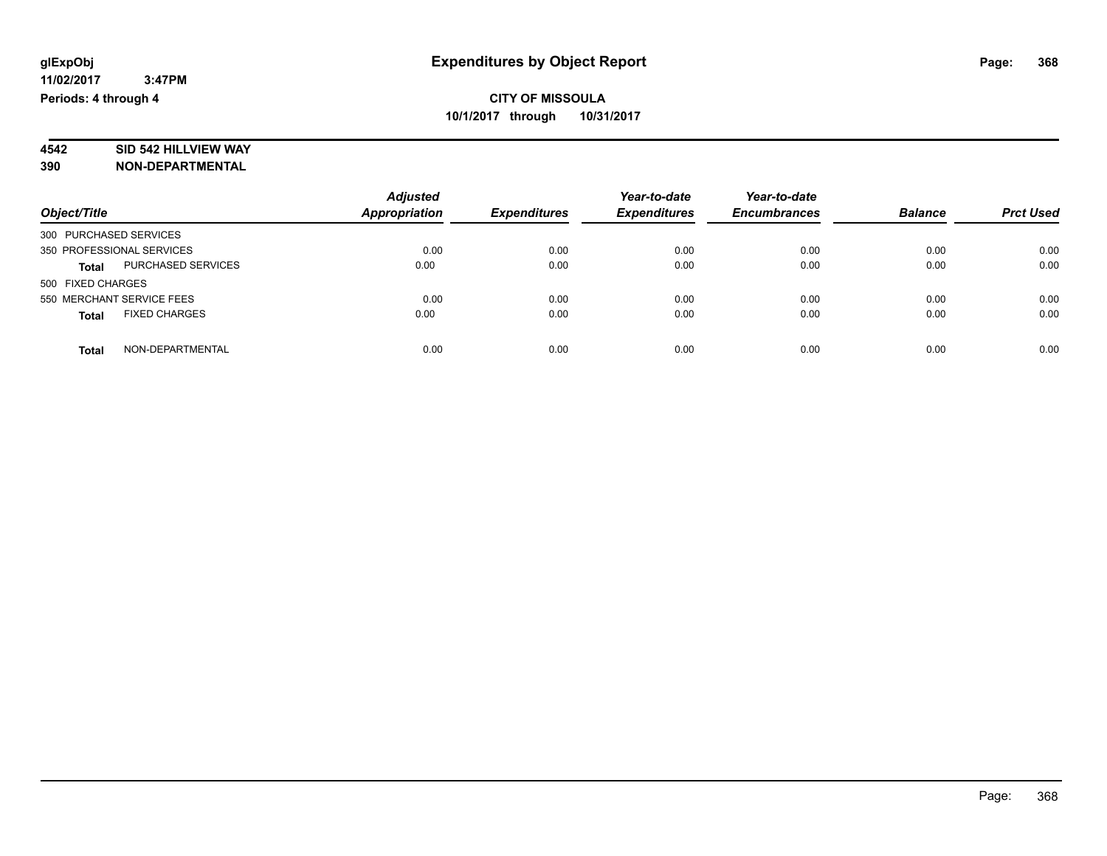# **4542 SID 542 HILLVIEW WAY**

|                                      | <b>Adjusted</b>      |                     | Year-to-date        | Year-to-date        |                |                  |
|--------------------------------------|----------------------|---------------------|---------------------|---------------------|----------------|------------------|
| Object/Title                         | <b>Appropriation</b> | <b>Expenditures</b> | <b>Expenditures</b> | <b>Encumbrances</b> | <b>Balance</b> | <b>Prct Used</b> |
| 300 PURCHASED SERVICES               |                      |                     |                     |                     |                |                  |
| 350 PROFESSIONAL SERVICES            | 0.00                 | 0.00                | 0.00                | 0.00                | 0.00           | 0.00             |
| <b>PURCHASED SERVICES</b><br>Total   | 0.00                 | 0.00                | 0.00                | 0.00                | 0.00           | 0.00             |
| 500 FIXED CHARGES                    |                      |                     |                     |                     |                |                  |
| 550 MERCHANT SERVICE FEES            | 0.00                 | 0.00                | 0.00                | 0.00                | 0.00           | 0.00             |
| <b>FIXED CHARGES</b><br><b>Total</b> | 0.00                 | 0.00                | 0.00                | 0.00                | 0.00           | 0.00             |
| NON-DEPARTMENTAL<br><b>Total</b>     | 0.00                 | 0.00                | 0.00                | 0.00                | 0.00           | 0.00             |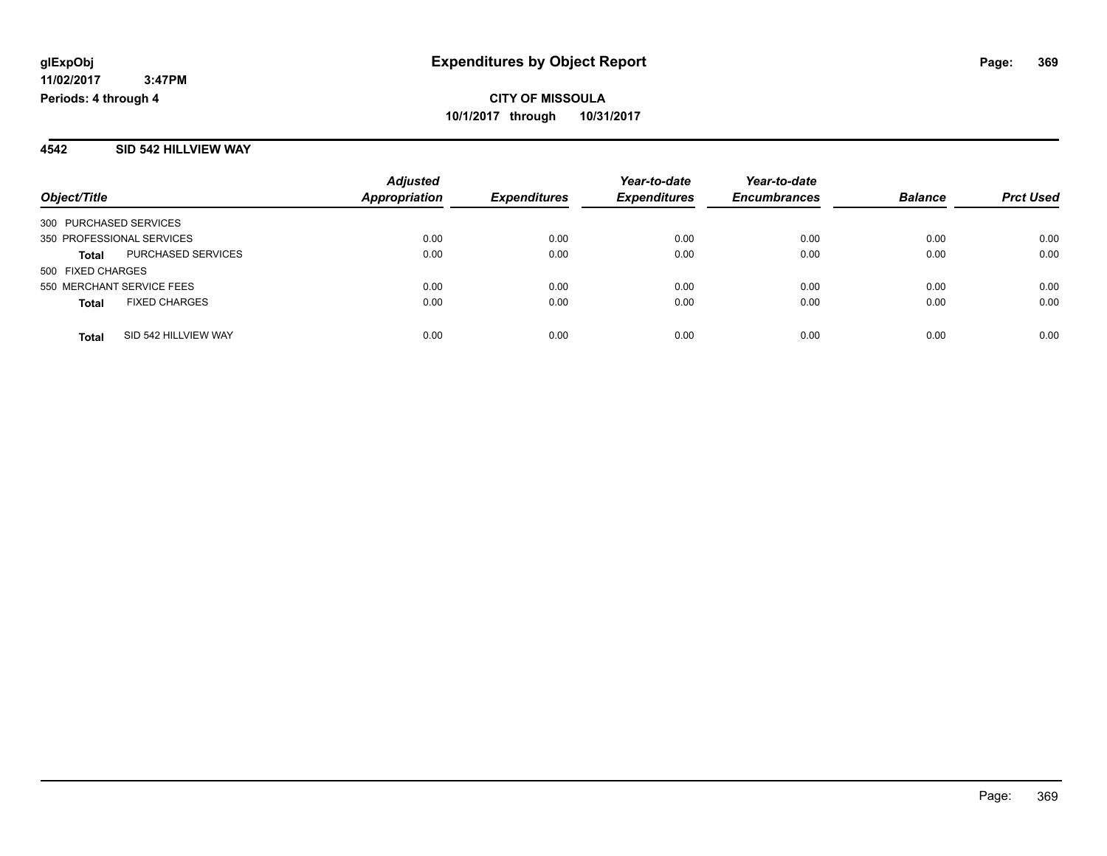#### **4542 SID 542 HILLVIEW WAY**

| Object/Title              |                      | <b>Adjusted</b>      |                                            | Year-to-date        | Year-to-date   |                  |      |
|---------------------------|----------------------|----------------------|--------------------------------------------|---------------------|----------------|------------------|------|
|                           |                      | <b>Appropriation</b> | <b>Expenditures</b><br><b>Expenditures</b> | <b>Encumbrances</b> | <b>Balance</b> | <b>Prct Used</b> |      |
| 300 PURCHASED SERVICES    |                      |                      |                                            |                     |                |                  |      |
| 350 PROFESSIONAL SERVICES |                      | 0.00                 | 0.00                                       | 0.00                | 0.00           | 0.00             | 0.00 |
| <b>Total</b>              | PURCHASED SERVICES   | 0.00                 | 0.00                                       | 0.00                | 0.00           | 0.00             | 0.00 |
| 500 FIXED CHARGES         |                      |                      |                                            |                     |                |                  |      |
| 550 MERCHANT SERVICE FEES |                      | 0.00                 | 0.00                                       | 0.00                | 0.00           | 0.00             | 0.00 |
| <b>Total</b>              | <b>FIXED CHARGES</b> | 0.00                 | 0.00                                       | 0.00                | 0.00           | 0.00             | 0.00 |
| <b>Total</b>              | SID 542 HILLVIEW WAY | 0.00                 | 0.00                                       | 0.00                | 0.00           | 0.00             | 0.00 |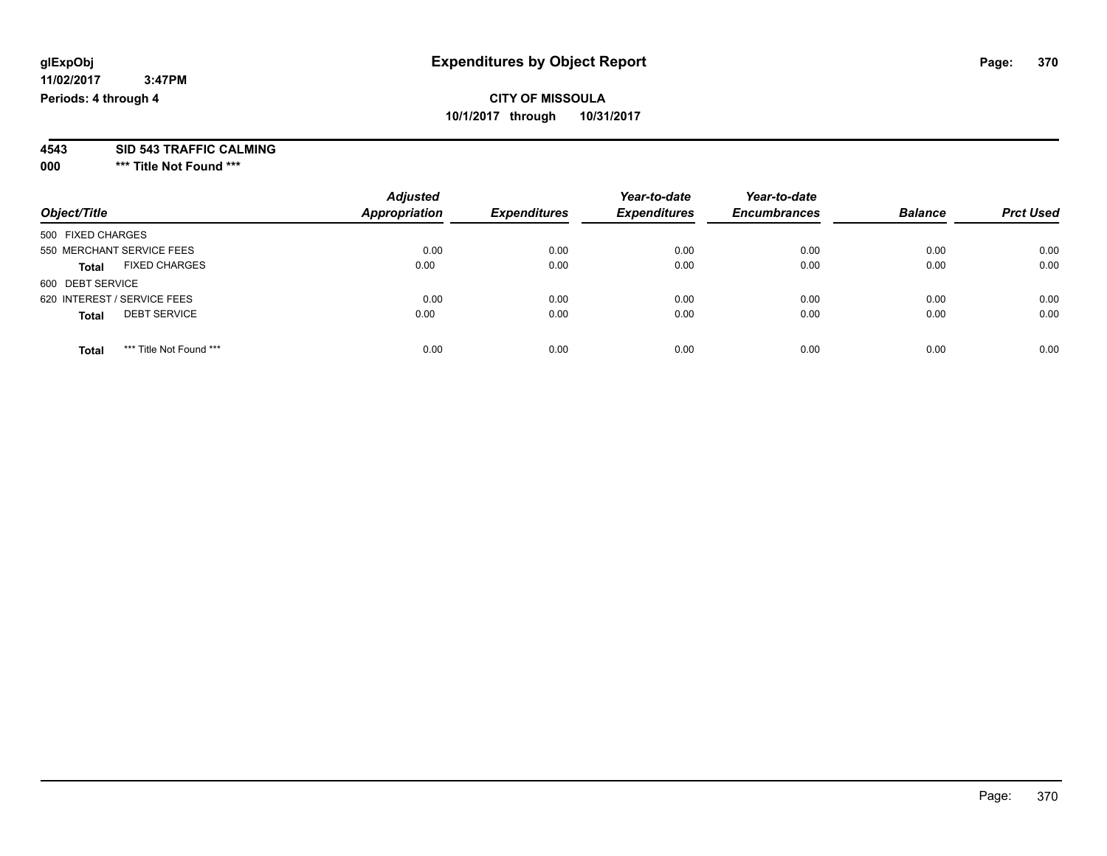**4543 SID 543 TRAFFIC CALMING**

**000 \*\*\* Title Not Found \*\*\***

| Object/Title                            | <b>Adjusted</b><br><b>Appropriation</b> | <b>Expenditures</b> | Year-to-date<br><b>Expenditures</b> | Year-to-date<br><b>Encumbrances</b> | <b>Balance</b> | <b>Prct Used</b> |
|-----------------------------------------|-----------------------------------------|---------------------|-------------------------------------|-------------------------------------|----------------|------------------|
| 500 FIXED CHARGES                       |                                         |                     |                                     |                                     |                |                  |
| 550 MERCHANT SERVICE FEES               | 0.00                                    | 0.00                | 0.00                                | 0.00                                | 0.00           | 0.00             |
| <b>FIXED CHARGES</b><br><b>Total</b>    | 0.00                                    | 0.00                | 0.00                                | 0.00                                | 0.00           | 0.00             |
| 600 DEBT SERVICE                        |                                         |                     |                                     |                                     |                |                  |
| 620 INTEREST / SERVICE FEES             | 0.00                                    | 0.00                | 0.00                                | 0.00                                | 0.00           | 0.00             |
| <b>DEBT SERVICE</b><br><b>Total</b>     | 0.00                                    | 0.00                | 0.00                                | 0.00                                | 0.00           | 0.00             |
| *** Title Not Found ***<br><b>Total</b> | 0.00                                    | 0.00                | 0.00                                | 0.00                                | 0.00           | 0.00             |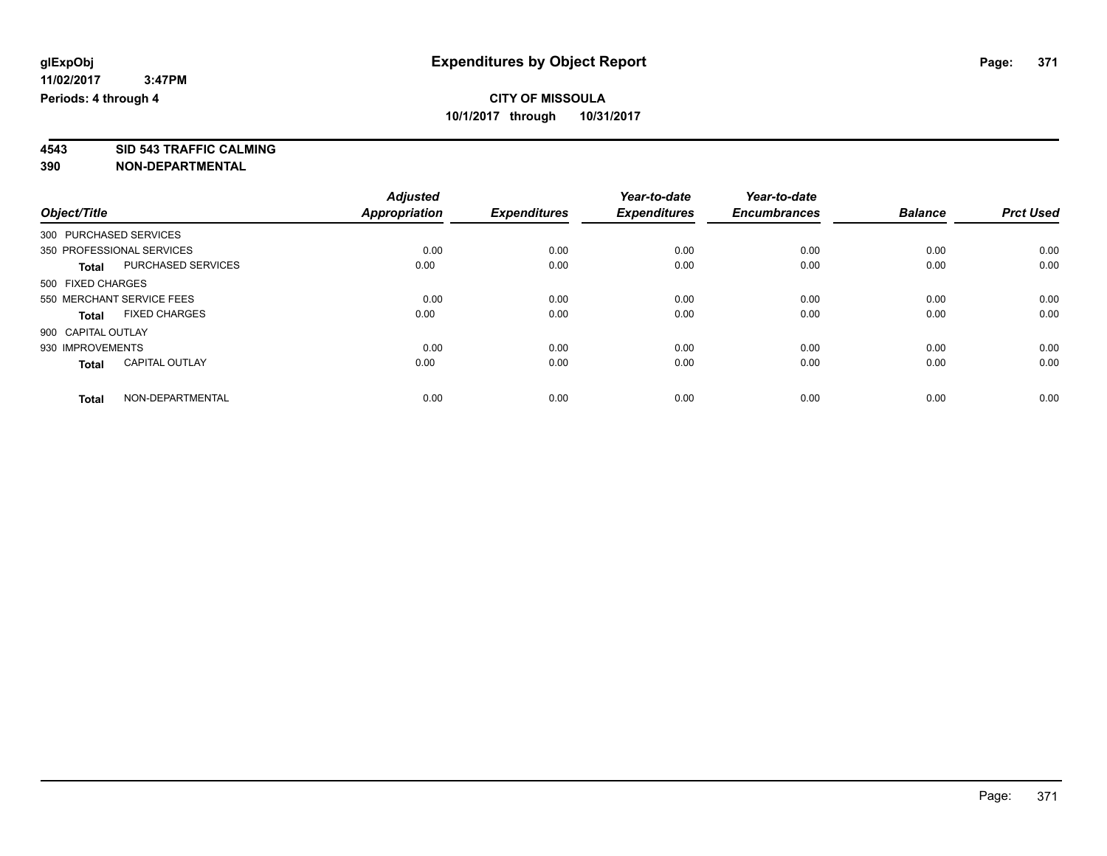**4543 SID 543 TRAFFIC CALMING 390 NON-DEPARTMENTAL**

|                        |                           | <b>Adjusted</b>      |                     | Year-to-date        | Year-to-date        |                |                  |
|------------------------|---------------------------|----------------------|---------------------|---------------------|---------------------|----------------|------------------|
| Object/Title           |                           | <b>Appropriation</b> | <b>Expenditures</b> | <b>Expenditures</b> | <b>Encumbrances</b> | <b>Balance</b> | <b>Prct Used</b> |
| 300 PURCHASED SERVICES |                           |                      |                     |                     |                     |                |                  |
|                        | 350 PROFESSIONAL SERVICES | 0.00                 | 0.00                | 0.00                | 0.00                | 0.00           | 0.00             |
| <b>Total</b>           | PURCHASED SERVICES        | 0.00                 | 0.00                | 0.00                | 0.00                | 0.00           | 0.00             |
| 500 FIXED CHARGES      |                           |                      |                     |                     |                     |                |                  |
|                        | 550 MERCHANT SERVICE FEES | 0.00                 | 0.00                | 0.00                | 0.00                | 0.00           | 0.00             |
| <b>Total</b>           | <b>FIXED CHARGES</b>      | 0.00                 | 0.00                | 0.00                | 0.00                | 0.00           | 0.00             |
| 900 CAPITAL OUTLAY     |                           |                      |                     |                     |                     |                |                  |
| 930 IMPROVEMENTS       |                           | 0.00                 | 0.00                | 0.00                | 0.00                | 0.00           | 0.00             |
| <b>Total</b>           | <b>CAPITAL OUTLAY</b>     | 0.00                 | 0.00                | 0.00                | 0.00                | 0.00           | 0.00             |
| <b>Total</b>           | NON-DEPARTMENTAL          | 0.00                 | 0.00                | 0.00                | 0.00                | 0.00           | 0.00             |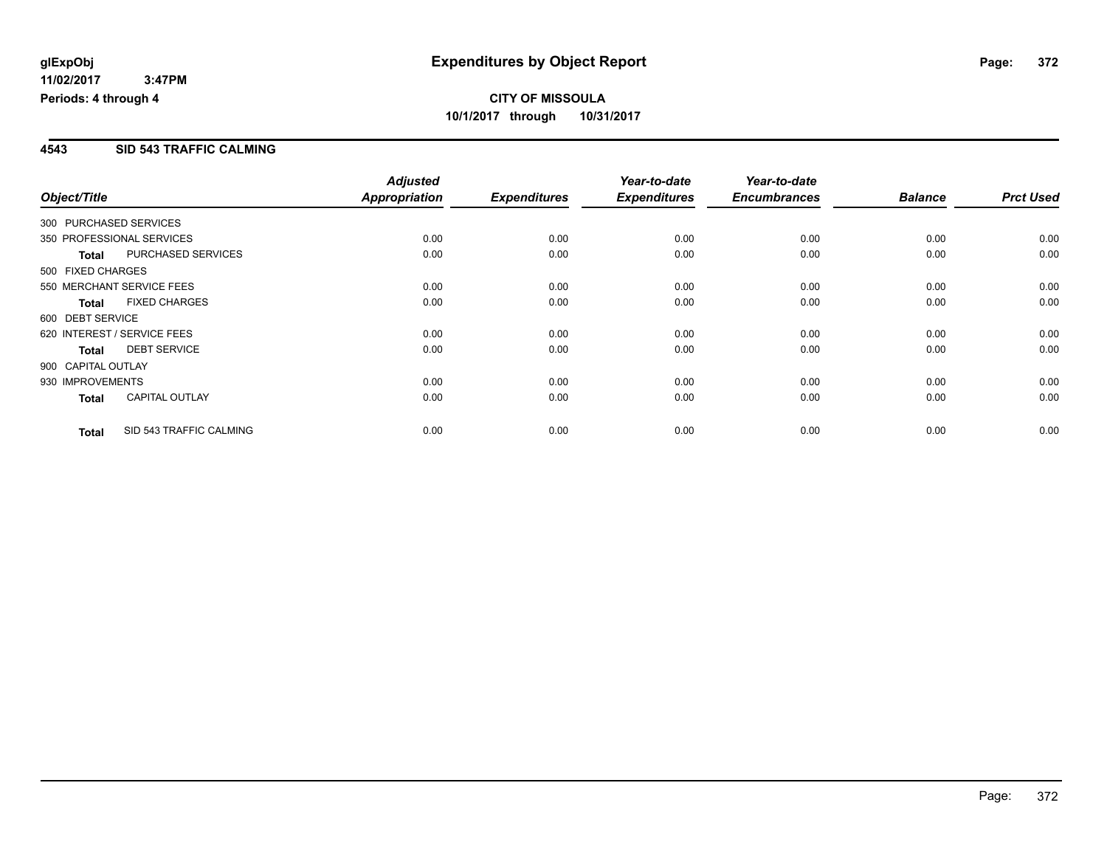### **4543 SID 543 TRAFFIC CALMING**

|                        |                             | <b>Adjusted</b> |                     | Year-to-date        | Year-to-date        |                |                  |
|------------------------|-----------------------------|-----------------|---------------------|---------------------|---------------------|----------------|------------------|
| Object/Title           |                             | Appropriation   | <b>Expenditures</b> | <b>Expenditures</b> | <b>Encumbrances</b> | <b>Balance</b> | <b>Prct Used</b> |
| 300 PURCHASED SERVICES |                             |                 |                     |                     |                     |                |                  |
|                        | 350 PROFESSIONAL SERVICES   | 0.00            | 0.00                | 0.00                | 0.00                | 0.00           | 0.00             |
| <b>Total</b>           | PURCHASED SERVICES          | 0.00            | 0.00                | 0.00                | 0.00                | 0.00           | 0.00             |
| 500 FIXED CHARGES      |                             |                 |                     |                     |                     |                |                  |
|                        | 550 MERCHANT SERVICE FEES   | 0.00            | 0.00                | 0.00                | 0.00                | 0.00           | 0.00             |
| <b>Total</b>           | <b>FIXED CHARGES</b>        | 0.00            | 0.00                | 0.00                | 0.00                | 0.00           | 0.00             |
| 600 DEBT SERVICE       |                             |                 |                     |                     |                     |                |                  |
|                        | 620 INTEREST / SERVICE FEES | 0.00            | 0.00                | 0.00                | 0.00                | 0.00           | 0.00             |
| <b>Total</b>           | <b>DEBT SERVICE</b>         | 0.00            | 0.00                | 0.00                | 0.00                | 0.00           | 0.00             |
| 900 CAPITAL OUTLAY     |                             |                 |                     |                     |                     |                |                  |
| 930 IMPROVEMENTS       |                             | 0.00            | 0.00                | 0.00                | 0.00                | 0.00           | 0.00             |
| <b>Total</b>           | <b>CAPITAL OUTLAY</b>       | 0.00            | 0.00                | 0.00                | 0.00                | 0.00           | 0.00             |
| <b>Total</b>           | SID 543 TRAFFIC CALMING     | 0.00            | 0.00                | 0.00                | 0.00                | 0.00           | 0.00             |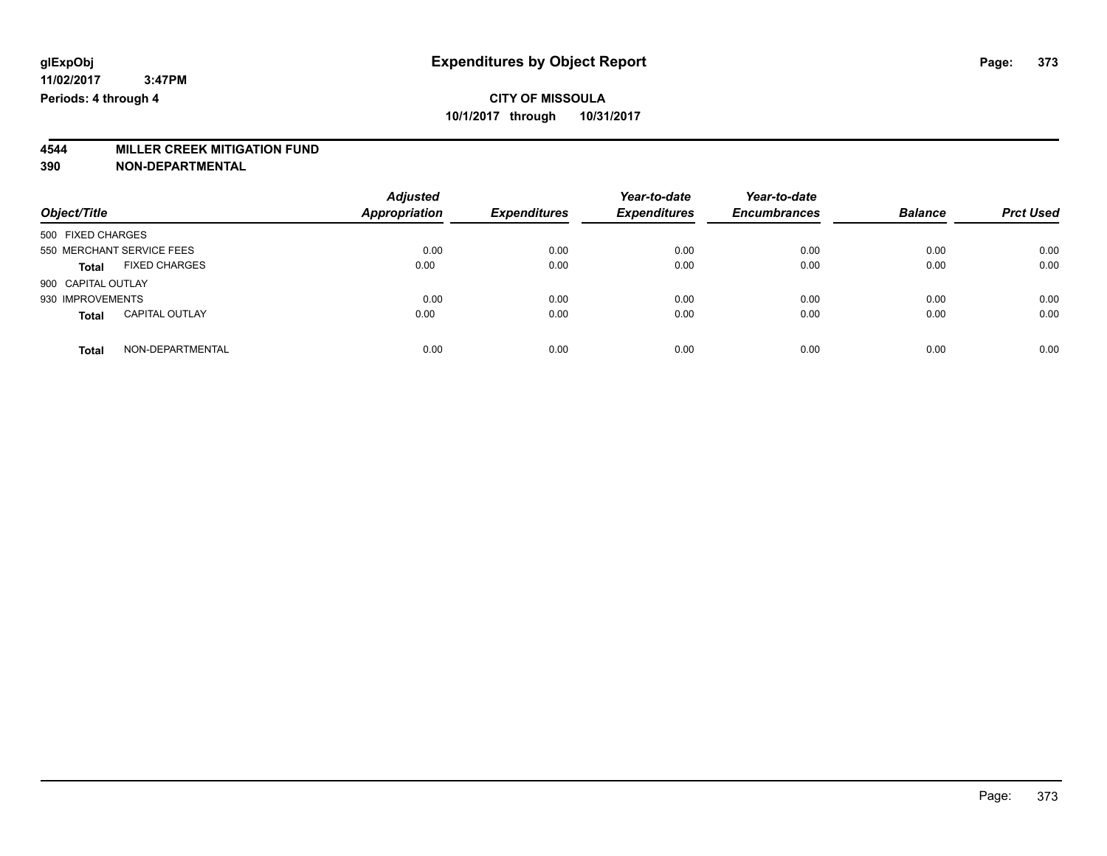# **4544 MILLER CREEK MITIGATION FUND**

| Object/Title                          | <b>Adjusted</b><br><b>Appropriation</b> | <b>Expenditures</b> | Year-to-date<br><b>Expenditures</b> | Year-to-date<br><b>Encumbrances</b> | <b>Balance</b> | <b>Prct Used</b> |
|---------------------------------------|-----------------------------------------|---------------------|-------------------------------------|-------------------------------------|----------------|------------------|
| 500 FIXED CHARGES                     |                                         |                     |                                     |                                     |                |                  |
| 550 MERCHANT SERVICE FEES             | 0.00                                    | 0.00                | 0.00                                | 0.00                                | 0.00           | 0.00             |
| <b>FIXED CHARGES</b><br><b>Total</b>  | 0.00                                    | 0.00                | 0.00                                | 0.00                                | 0.00           | 0.00             |
| 900 CAPITAL OUTLAY                    |                                         |                     |                                     |                                     |                |                  |
| 930 IMPROVEMENTS                      | 0.00                                    | 0.00                | 0.00                                | 0.00                                | 0.00           | 0.00             |
| <b>CAPITAL OUTLAY</b><br><b>Total</b> | 0.00                                    | 0.00                | 0.00                                | 0.00                                | 0.00           | 0.00             |
| NON-DEPARTMENTAL<br>Total             | 0.00                                    | 0.00                | 0.00                                | 0.00                                | 0.00           | 0.00             |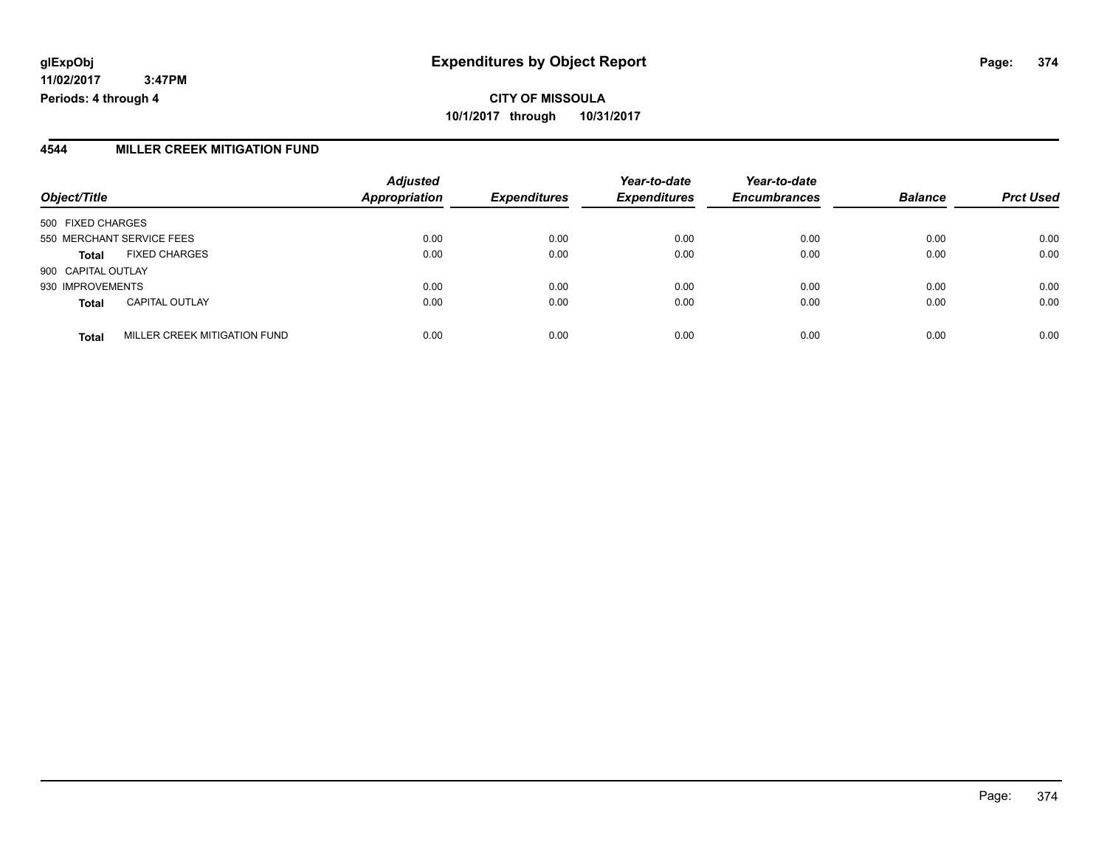**10/1/2017 through 10/31/2017**

### **4544 MILLER CREEK MITIGATION FUND**

| Object/Title              |                              | <b>Adjusted</b><br><b>Appropriation</b> | <b>Expenditures</b> | Year-to-date<br><b>Expenditures</b> | Year-to-date<br><b>Encumbrances</b> | <b>Balance</b> | <b>Prct Used</b> |
|---------------------------|------------------------------|-----------------------------------------|---------------------|-------------------------------------|-------------------------------------|----------------|------------------|
|                           |                              |                                         |                     |                                     |                                     |                |                  |
| 500 FIXED CHARGES         |                              |                                         |                     |                                     |                                     |                |                  |
| 550 MERCHANT SERVICE FEES |                              | 0.00                                    | 0.00                | 0.00                                | 0.00                                | 0.00           | 0.00             |
| <b>Total</b>              | <b>FIXED CHARGES</b>         | 0.00                                    | 0.00                | 0.00                                | 0.00                                | 0.00           | 0.00             |
| 900 CAPITAL OUTLAY        |                              |                                         |                     |                                     |                                     |                |                  |
| 930 IMPROVEMENTS          |                              | 0.00                                    | 0.00                | 0.00                                | 0.00                                | 0.00           | 0.00             |
| <b>Total</b>              | <b>CAPITAL OUTLAY</b>        | 0.00                                    | 0.00                | 0.00                                | 0.00                                | 0.00           | 0.00             |
| <b>Total</b>              | MILLER CREEK MITIGATION FUND | 0.00                                    | 0.00                | 0.00                                | 0.00                                | 0.00           | 0.00             |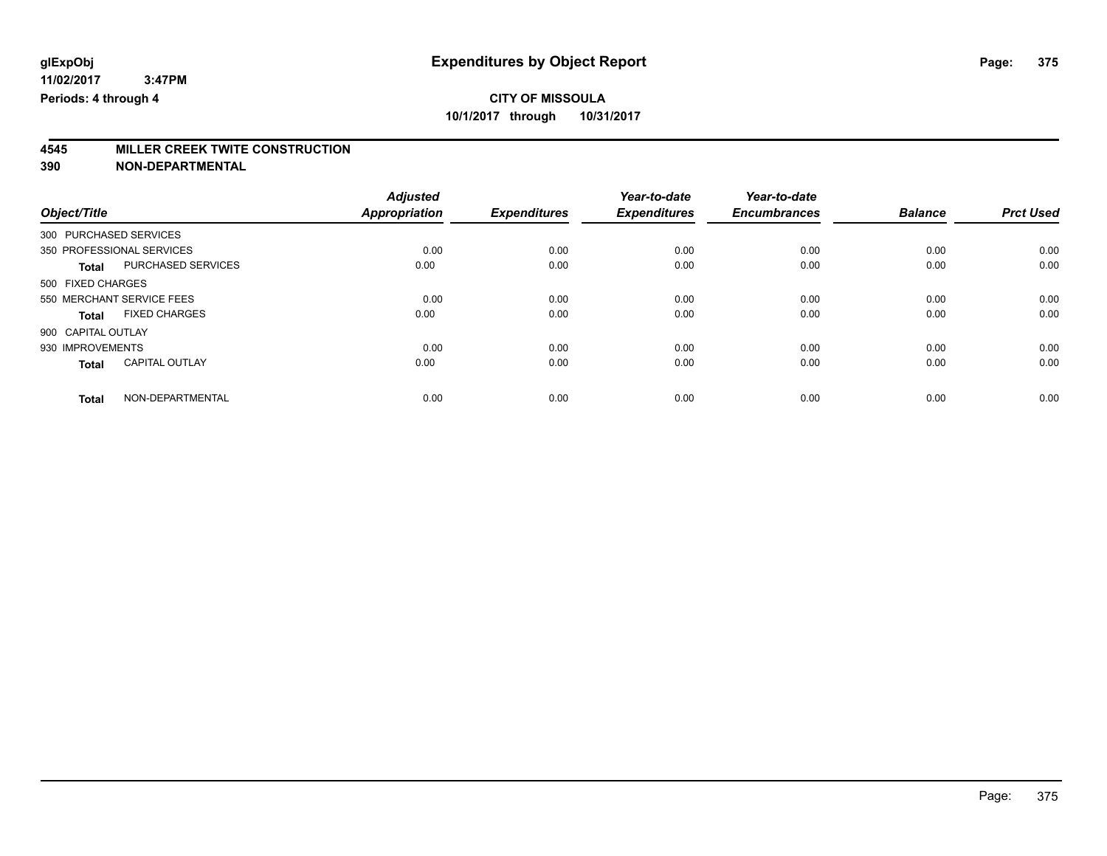# **4545 MILLER CREEK TWITE CONSTRUCTION**

|                                       | <b>Adjusted</b>      |                     | Year-to-date        | Year-to-date        |                |                  |
|---------------------------------------|----------------------|---------------------|---------------------|---------------------|----------------|------------------|
| Object/Title                          | <b>Appropriation</b> | <b>Expenditures</b> | <b>Expenditures</b> | <b>Encumbrances</b> | <b>Balance</b> | <b>Prct Used</b> |
| 300 PURCHASED SERVICES                |                      |                     |                     |                     |                |                  |
| 350 PROFESSIONAL SERVICES             | 0.00                 | 0.00                | 0.00                | 0.00                | 0.00           | 0.00             |
| PURCHASED SERVICES<br><b>Total</b>    | 0.00                 | 0.00                | 0.00                | 0.00                | 0.00           | 0.00             |
| 500 FIXED CHARGES                     |                      |                     |                     |                     |                |                  |
| 550 MERCHANT SERVICE FEES             | 0.00                 | 0.00                | 0.00                | 0.00                | 0.00           | 0.00             |
| <b>FIXED CHARGES</b><br>Total         | 0.00                 | 0.00                | 0.00                | 0.00                | 0.00           | 0.00             |
| 900 CAPITAL OUTLAY                    |                      |                     |                     |                     |                |                  |
| 930 IMPROVEMENTS                      | 0.00                 | 0.00                | 0.00                | 0.00                | 0.00           | 0.00             |
| <b>CAPITAL OUTLAY</b><br><b>Total</b> | 0.00                 | 0.00                | 0.00                | 0.00                | 0.00           | 0.00             |
|                                       |                      |                     |                     |                     |                |                  |
| NON-DEPARTMENTAL<br>Total             | 0.00                 | 0.00                | 0.00                | 0.00                | 0.00           | 0.00             |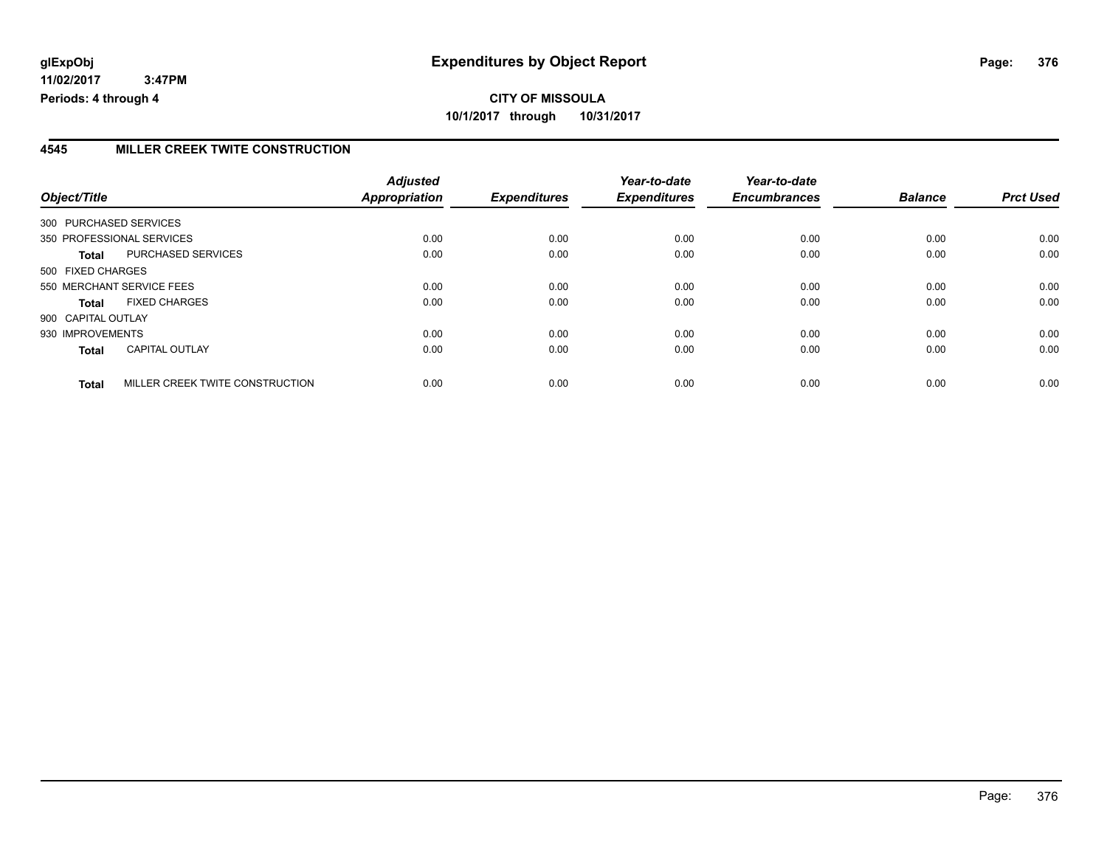### **4545 MILLER CREEK TWITE CONSTRUCTION**

|                           |                                 | <b>Adjusted</b> |                     | Year-to-date        | Year-to-date        |                |                  |
|---------------------------|---------------------------------|-----------------|---------------------|---------------------|---------------------|----------------|------------------|
| Object/Title              |                                 | Appropriation   | <b>Expenditures</b> | <b>Expenditures</b> | <b>Encumbrances</b> | <b>Balance</b> | <b>Prct Used</b> |
| 300 PURCHASED SERVICES    |                                 |                 |                     |                     |                     |                |                  |
| 350 PROFESSIONAL SERVICES |                                 | 0.00            | 0.00                | 0.00                | 0.00                | 0.00           | 0.00             |
| <b>Total</b>              | PURCHASED SERVICES              | 0.00            | 0.00                | 0.00                | 0.00                | 0.00           | 0.00             |
| 500 FIXED CHARGES         |                                 |                 |                     |                     |                     |                |                  |
| 550 MERCHANT SERVICE FEES |                                 | 0.00            | 0.00                | 0.00                | 0.00                | 0.00           | 0.00             |
| Total                     | <b>FIXED CHARGES</b>            | 0.00            | 0.00                | 0.00                | 0.00                | 0.00           | 0.00             |
| 900 CAPITAL OUTLAY        |                                 |                 |                     |                     |                     |                |                  |
| 930 IMPROVEMENTS          |                                 | 0.00            | 0.00                | 0.00                | 0.00                | 0.00           | 0.00             |
| <b>Total</b>              | <b>CAPITAL OUTLAY</b>           | 0.00            | 0.00                | 0.00                | 0.00                | 0.00           | 0.00             |
| <b>Total</b>              | MILLER CREEK TWITE CONSTRUCTION | 0.00            | 0.00                | 0.00                | 0.00                | 0.00           | 0.00             |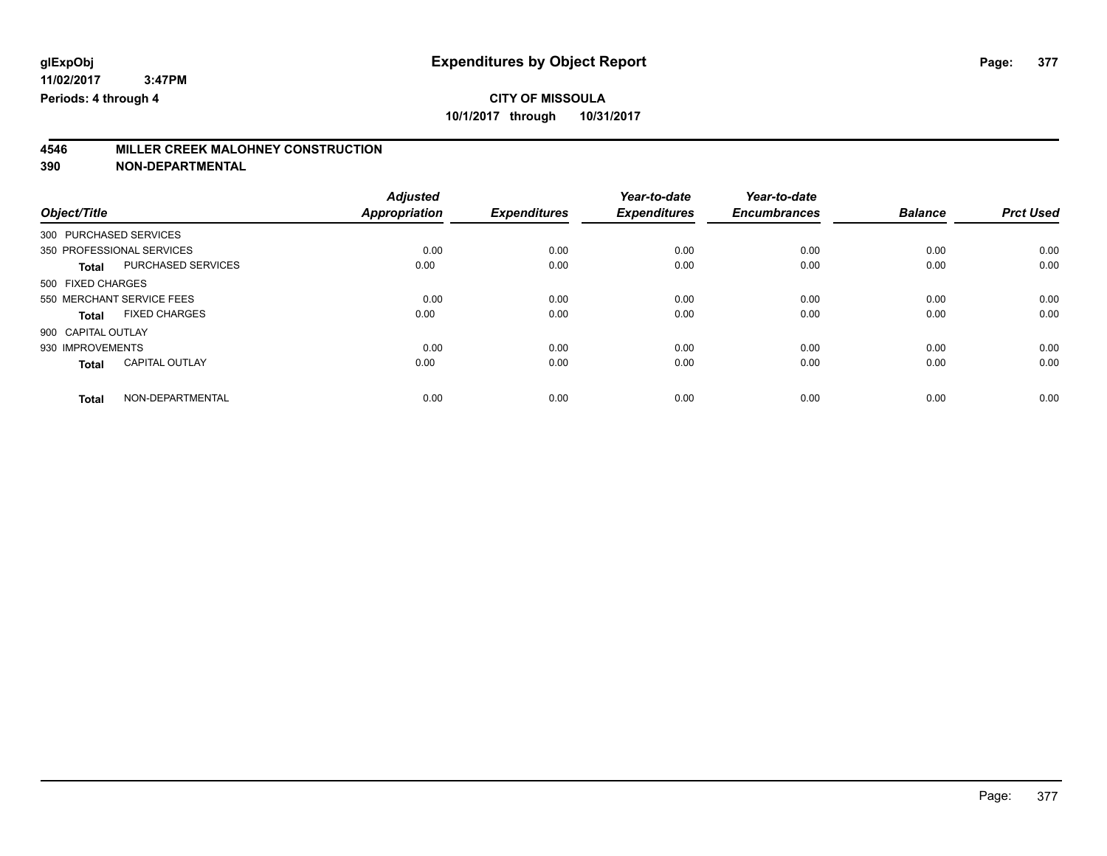# **4546 MILLER CREEK MALOHNEY CONSTRUCTION**

|                           |                       | <b>Adjusted</b>      |                     | Year-to-date        | Year-to-date        |                |                  |
|---------------------------|-----------------------|----------------------|---------------------|---------------------|---------------------|----------------|------------------|
| Object/Title              |                       | <b>Appropriation</b> | <b>Expenditures</b> | <b>Expenditures</b> | <b>Encumbrances</b> | <b>Balance</b> | <b>Prct Used</b> |
| 300 PURCHASED SERVICES    |                       |                      |                     |                     |                     |                |                  |
| 350 PROFESSIONAL SERVICES |                       | 0.00                 | 0.00                | 0.00                | 0.00                | 0.00           | 0.00             |
| <b>Total</b>              | PURCHASED SERVICES    | 0.00                 | 0.00                | 0.00                | 0.00                | 0.00           | 0.00             |
| 500 FIXED CHARGES         |                       |                      |                     |                     |                     |                |                  |
| 550 MERCHANT SERVICE FEES |                       | 0.00                 | 0.00                | 0.00                | 0.00                | 0.00           | 0.00             |
| <b>Total</b>              | <b>FIXED CHARGES</b>  | 0.00                 | 0.00                | 0.00                | 0.00                | 0.00           | 0.00             |
| 900 CAPITAL OUTLAY        |                       |                      |                     |                     |                     |                |                  |
| 930 IMPROVEMENTS          |                       | 0.00                 | 0.00                | 0.00                | 0.00                | 0.00           | 0.00             |
| <b>Total</b>              | <b>CAPITAL OUTLAY</b> | 0.00                 | 0.00                | 0.00                | 0.00                | 0.00           | 0.00             |
| <b>Total</b>              | NON-DEPARTMENTAL      | 0.00                 | 0.00                | 0.00                | 0.00                | 0.00           | 0.00             |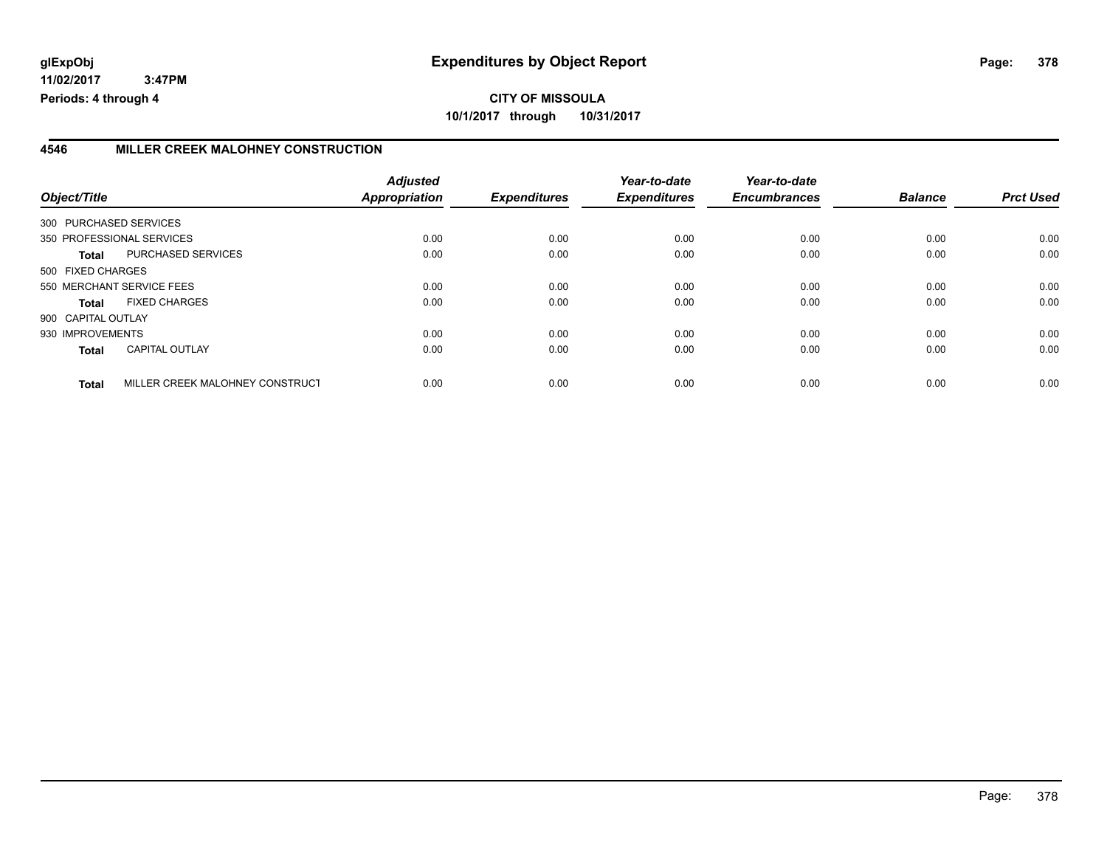### **4546 MILLER CREEK MALOHNEY CONSTRUCTION**

| Object/Title       |                                 | <b>Adjusted</b><br>Appropriation | <b>Expenditures</b> | Year-to-date<br><b>Expenditures</b> | Year-to-date<br><b>Encumbrances</b> | <b>Balance</b> | <b>Prct Used</b> |
|--------------------|---------------------------------|----------------------------------|---------------------|-------------------------------------|-------------------------------------|----------------|------------------|
|                    |                                 |                                  |                     |                                     |                                     |                |                  |
|                    | 300 PURCHASED SERVICES          |                                  |                     |                                     |                                     |                |                  |
|                    | 350 PROFESSIONAL SERVICES       | 0.00                             | 0.00                | 0.00                                | 0.00                                | 0.00           | 0.00             |
| Total              | PURCHASED SERVICES              | 0.00                             | 0.00                | 0.00                                | 0.00                                | 0.00           | 0.00             |
| 500 FIXED CHARGES  |                                 |                                  |                     |                                     |                                     |                |                  |
|                    | 550 MERCHANT SERVICE FEES       | 0.00                             | 0.00                | 0.00                                | 0.00                                | 0.00           | 0.00             |
| <b>Total</b>       | <b>FIXED CHARGES</b>            | 0.00                             | 0.00                | 0.00                                | 0.00                                | 0.00           | 0.00             |
| 900 CAPITAL OUTLAY |                                 |                                  |                     |                                     |                                     |                |                  |
| 930 IMPROVEMENTS   |                                 | 0.00                             | 0.00                | 0.00                                | 0.00                                | 0.00           | 0.00             |
| <b>Total</b>       | <b>CAPITAL OUTLAY</b>           | 0.00                             | 0.00                | 0.00                                | 0.00                                | 0.00           | 0.00             |
| <b>Total</b>       | MILLER CREEK MALOHNEY CONSTRUCT | 0.00                             | 0.00                | 0.00                                | 0.00                                | 0.00           | 0.00             |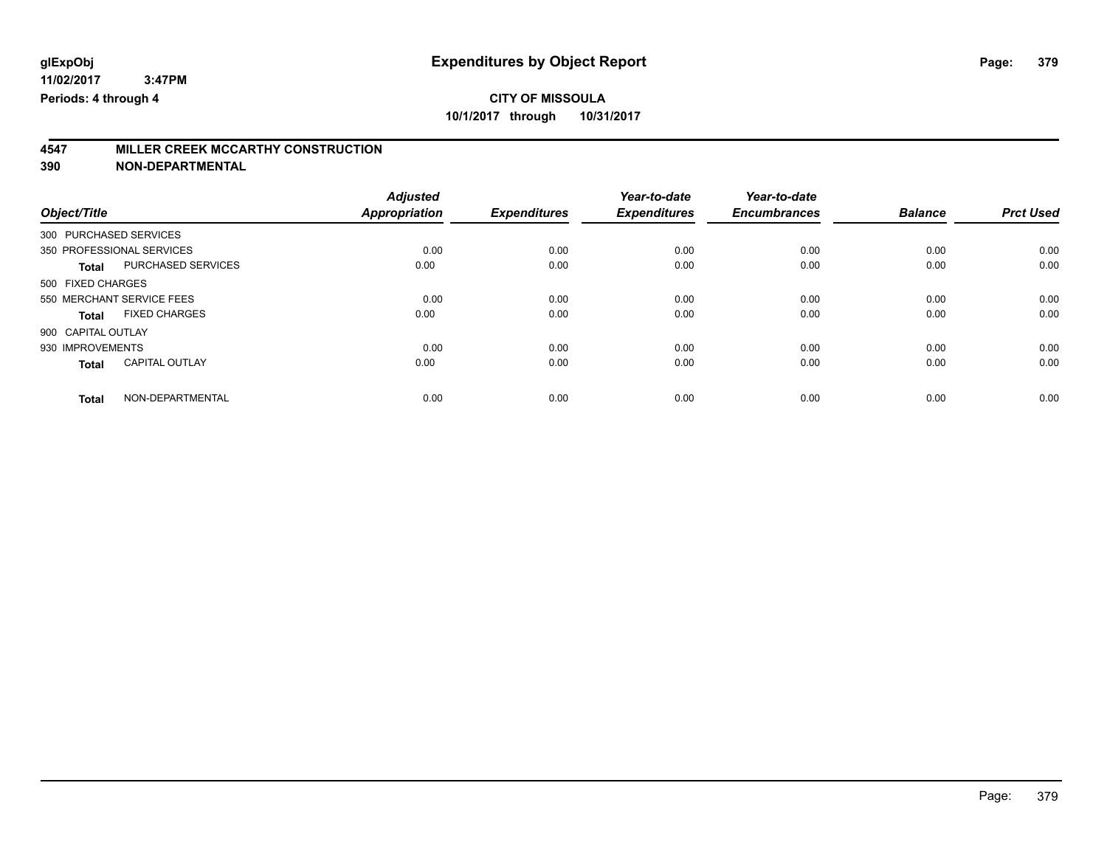# **4547 MILLER CREEK MCCARTHY CONSTRUCTION**

|                           |                       | <b>Adjusted</b>      |                     | Year-to-date        | Year-to-date        |                |                  |
|---------------------------|-----------------------|----------------------|---------------------|---------------------|---------------------|----------------|------------------|
| Object/Title              |                       | <b>Appropriation</b> | <b>Expenditures</b> | <b>Expenditures</b> | <b>Encumbrances</b> | <b>Balance</b> | <b>Prct Used</b> |
| 300 PURCHASED SERVICES    |                       |                      |                     |                     |                     |                |                  |
| 350 PROFESSIONAL SERVICES |                       | 0.00                 | 0.00                | 0.00                | 0.00                | 0.00           | 0.00             |
| <b>Total</b>              | PURCHASED SERVICES    | 0.00                 | 0.00                | 0.00                | 0.00                | 0.00           | 0.00             |
| 500 FIXED CHARGES         |                       |                      |                     |                     |                     |                |                  |
| 550 MERCHANT SERVICE FEES |                       | 0.00                 | 0.00                | 0.00                | 0.00                | 0.00           | 0.00             |
| <b>Total</b>              | <b>FIXED CHARGES</b>  | 0.00                 | 0.00                | 0.00                | 0.00                | 0.00           | 0.00             |
| 900 CAPITAL OUTLAY        |                       |                      |                     |                     |                     |                |                  |
| 930 IMPROVEMENTS          |                       | 0.00                 | 0.00                | 0.00                | 0.00                | 0.00           | 0.00             |
| <b>Total</b>              | <b>CAPITAL OUTLAY</b> | 0.00                 | 0.00                | 0.00                | 0.00                | 0.00           | 0.00             |
| <b>Total</b>              | NON-DEPARTMENTAL      | 0.00                 | 0.00                | 0.00                | 0.00                | 0.00           | 0.00             |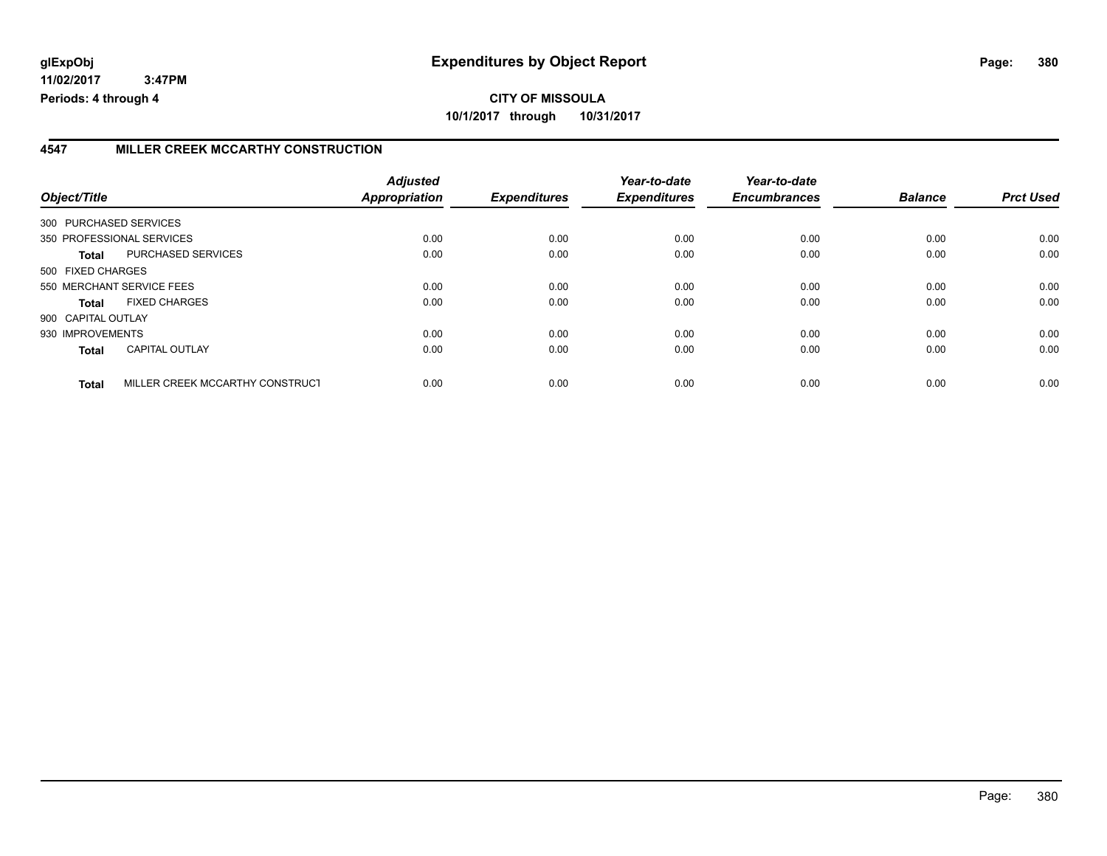### **4547 MILLER CREEK MCCARTHY CONSTRUCTION**

| Object/Title           |                                 | <b>Adjusted</b><br><b>Appropriation</b> | <b>Expenditures</b> | Year-to-date<br><b>Expenditures</b> | Year-to-date<br><b>Encumbrances</b> | <b>Balance</b> | <b>Prct Used</b> |
|------------------------|---------------------------------|-----------------------------------------|---------------------|-------------------------------------|-------------------------------------|----------------|------------------|
| 300 PURCHASED SERVICES |                                 |                                         |                     |                                     |                                     |                |                  |
|                        | 350 PROFESSIONAL SERVICES       | 0.00                                    | 0.00                | 0.00                                | 0.00                                | 0.00           | 0.00             |
|                        |                                 |                                         |                     |                                     |                                     |                |                  |
| Total                  | PURCHASED SERVICES              | 0.00                                    | 0.00                | 0.00                                | 0.00                                | 0.00           | 0.00             |
| 500 FIXED CHARGES      |                                 |                                         |                     |                                     |                                     |                |                  |
|                        | 550 MERCHANT SERVICE FEES       | 0.00                                    | 0.00                | 0.00                                | 0.00                                | 0.00           | 0.00             |
| <b>Total</b>           | <b>FIXED CHARGES</b>            | 0.00                                    | 0.00                | 0.00                                | 0.00                                | 0.00           | 0.00             |
| 900 CAPITAL OUTLAY     |                                 |                                         |                     |                                     |                                     |                |                  |
| 930 IMPROVEMENTS       |                                 | 0.00                                    | 0.00                | 0.00                                | 0.00                                | 0.00           | 0.00             |
| <b>Total</b>           | <b>CAPITAL OUTLAY</b>           | 0.00                                    | 0.00                | 0.00                                | 0.00                                | 0.00           | 0.00             |
| <b>Total</b>           | MILLER CREEK MCCARTHY CONSTRUCT | 0.00                                    | 0.00                | 0.00                                | 0.00                                | 0.00           | 0.00             |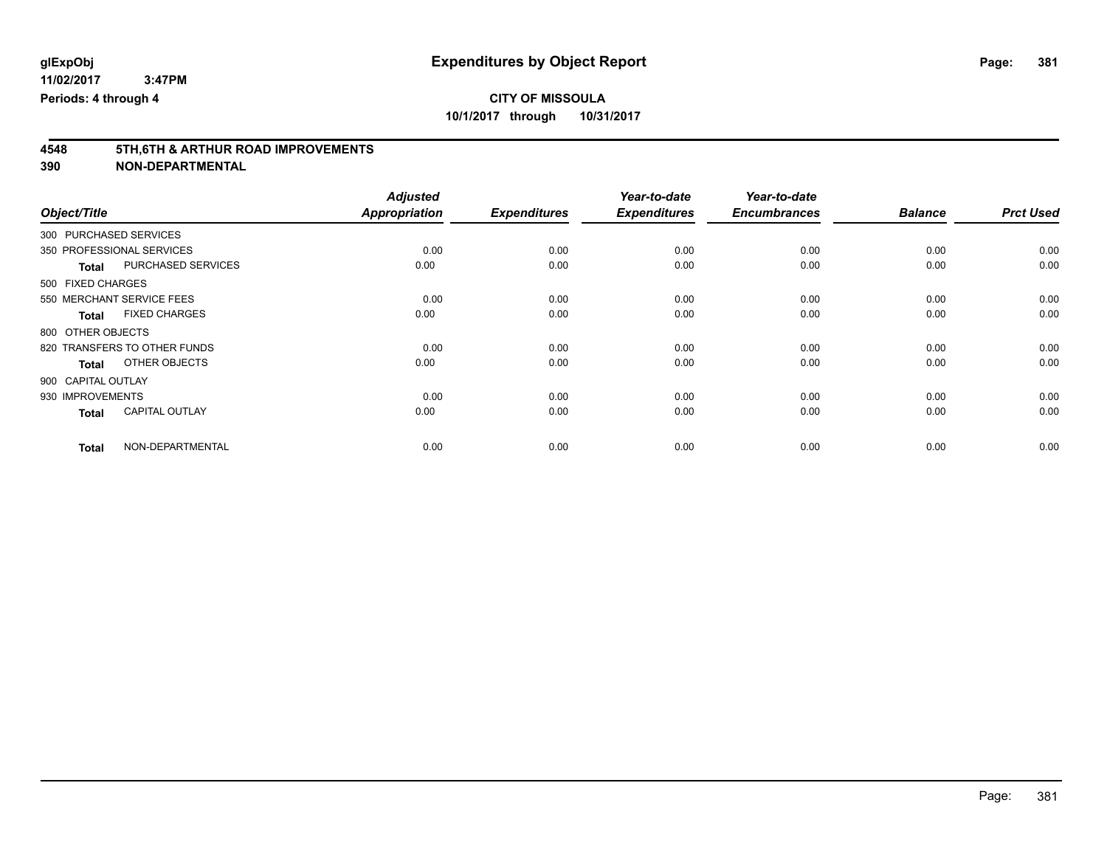# **4548 5TH,6TH & ARTHUR ROAD IMPROVEMENTS**

|                                       | <b>Adjusted</b> |                     | Year-to-date        | Year-to-date        |                |                  |
|---------------------------------------|-----------------|---------------------|---------------------|---------------------|----------------|------------------|
| Object/Title                          | Appropriation   | <b>Expenditures</b> | <b>Expenditures</b> | <b>Encumbrances</b> | <b>Balance</b> | <b>Prct Used</b> |
| 300 PURCHASED SERVICES                |                 |                     |                     |                     |                |                  |
| 350 PROFESSIONAL SERVICES             | 0.00            | 0.00                | 0.00                | 0.00                | 0.00           | 0.00             |
| PURCHASED SERVICES<br><b>Total</b>    | 0.00            | 0.00                | 0.00                | 0.00                | 0.00           | 0.00             |
| 500 FIXED CHARGES                     |                 |                     |                     |                     |                |                  |
| 550 MERCHANT SERVICE FEES             | 0.00            | 0.00                | 0.00                | 0.00                | 0.00           | 0.00             |
| <b>FIXED CHARGES</b><br><b>Total</b>  | 0.00            | 0.00                | 0.00                | 0.00                | 0.00           | 0.00             |
| 800 OTHER OBJECTS                     |                 |                     |                     |                     |                |                  |
| 820 TRANSFERS TO OTHER FUNDS          | 0.00            | 0.00                | 0.00                | 0.00                | 0.00           | 0.00             |
| OTHER OBJECTS<br><b>Total</b>         | 0.00            | 0.00                | 0.00                | 0.00                | 0.00           | 0.00             |
| 900 CAPITAL OUTLAY                    |                 |                     |                     |                     |                |                  |
| 930 IMPROVEMENTS                      | 0.00            | 0.00                | 0.00                | 0.00                | 0.00           | 0.00             |
| <b>CAPITAL OUTLAY</b><br><b>Total</b> | 0.00            | 0.00                | 0.00                | 0.00                | 0.00           | 0.00             |
| NON-DEPARTMENTAL<br><b>Total</b>      | 0.00            | 0.00                | 0.00                | 0.00                | 0.00           | 0.00             |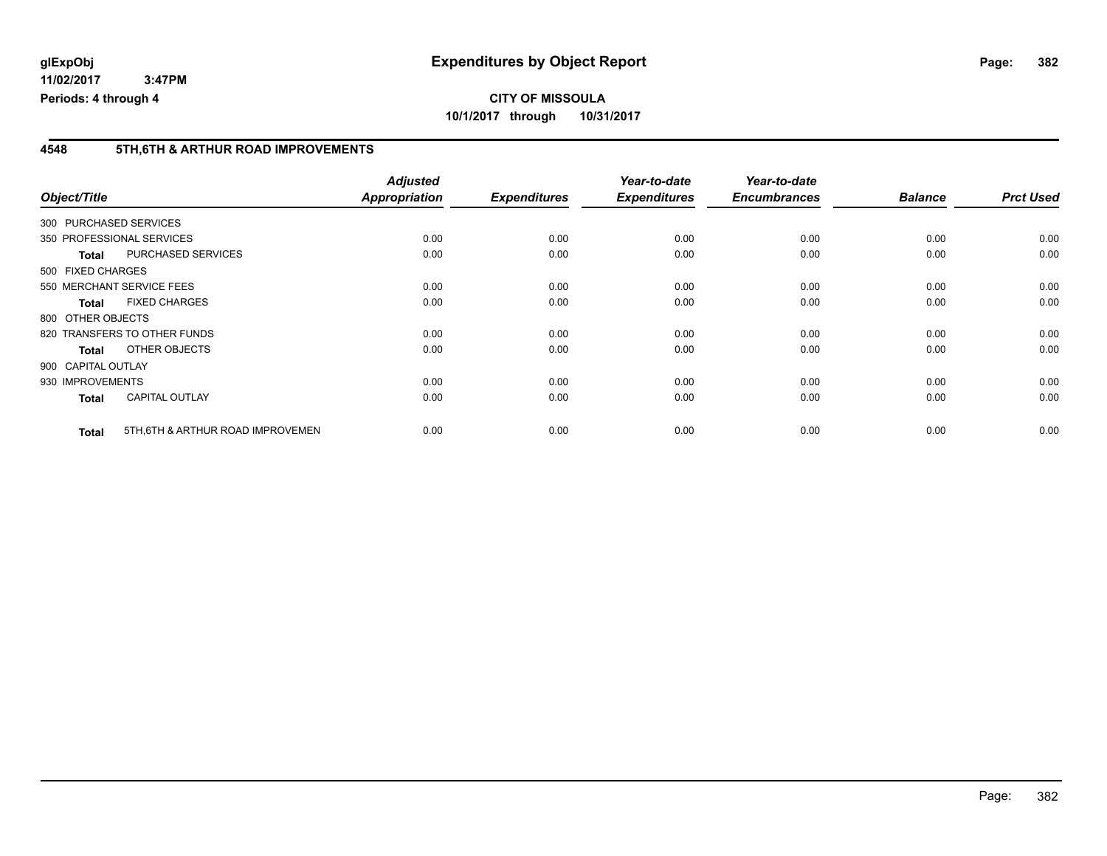# **CITY OF MISSOULA 10/1/2017 through 10/31/2017**

### **4548 5TH,6TH & ARTHUR ROAD IMPROVEMENTS**

| Object/Title       |                                   | <b>Adjusted</b><br><b>Appropriation</b> | <b>Expenditures</b> | Year-to-date<br><b>Expenditures</b> | Year-to-date<br><b>Encumbrances</b> | <b>Balance</b> | <b>Prct Used</b> |
|--------------------|-----------------------------------|-----------------------------------------|---------------------|-------------------------------------|-------------------------------------|----------------|------------------|
|                    | 300 PURCHASED SERVICES            |                                         |                     |                                     |                                     |                |                  |
|                    |                                   |                                         |                     |                                     |                                     |                |                  |
|                    | 350 PROFESSIONAL SERVICES         | 0.00                                    | 0.00                | 0.00                                | 0.00                                | 0.00           | 0.00             |
| <b>Total</b>       | <b>PURCHASED SERVICES</b>         | 0.00                                    | 0.00                | 0.00                                | 0.00                                | 0.00           | 0.00             |
| 500 FIXED CHARGES  |                                   |                                         |                     |                                     |                                     |                |                  |
|                    | 550 MERCHANT SERVICE FEES         | 0.00                                    | 0.00                | 0.00                                | 0.00                                | 0.00           | 0.00             |
| <b>Total</b>       | <b>FIXED CHARGES</b>              | 0.00                                    | 0.00                | 0.00                                | 0.00                                | 0.00           | 0.00             |
| 800 OTHER OBJECTS  |                                   |                                         |                     |                                     |                                     |                |                  |
|                    | 820 TRANSFERS TO OTHER FUNDS      | 0.00                                    | 0.00                | 0.00                                | 0.00                                | 0.00           | 0.00             |
| <b>Total</b>       | OTHER OBJECTS                     | 0.00                                    | 0.00                | 0.00                                | 0.00                                | 0.00           | 0.00             |
| 900 CAPITAL OUTLAY |                                   |                                         |                     |                                     |                                     |                |                  |
| 930 IMPROVEMENTS   |                                   | 0.00                                    | 0.00                | 0.00                                | 0.00                                | 0.00           | 0.00             |
| <b>Total</b>       | <b>CAPITAL OUTLAY</b>             | 0.00                                    | 0.00                | 0.00                                | 0.00                                | 0.00           | 0.00             |
| <b>Total</b>       | 5TH, 6TH & ARTHUR ROAD IMPROVEMEN | 0.00                                    | 0.00                | 0.00                                | 0.00                                | 0.00           | 0.00             |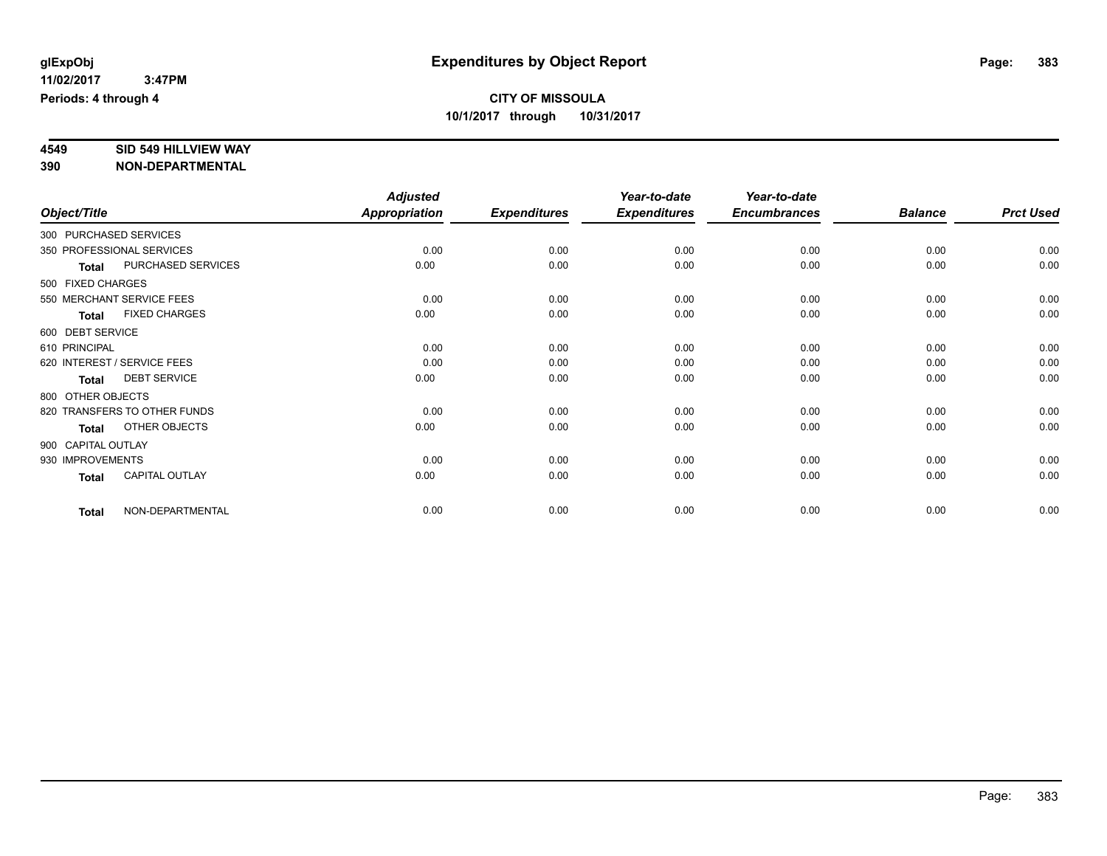# **4549 SID 549 HILLVIEW WAY**

|                    |                              | <b>Adjusted</b>      |                     | Year-to-date        | Year-to-date        |                |                  |
|--------------------|------------------------------|----------------------|---------------------|---------------------|---------------------|----------------|------------------|
| Object/Title       |                              | <b>Appropriation</b> | <b>Expenditures</b> | <b>Expenditures</b> | <b>Encumbrances</b> | <b>Balance</b> | <b>Prct Used</b> |
|                    | 300 PURCHASED SERVICES       |                      |                     |                     |                     |                |                  |
|                    | 350 PROFESSIONAL SERVICES    | 0.00                 | 0.00                | 0.00                | 0.00                | 0.00           | 0.00             |
| <b>Total</b>       | PURCHASED SERVICES           | 0.00                 | 0.00                | 0.00                | 0.00                | 0.00           | 0.00             |
| 500 FIXED CHARGES  |                              |                      |                     |                     |                     |                |                  |
|                    | 550 MERCHANT SERVICE FEES    | 0.00                 | 0.00                | 0.00                | 0.00                | 0.00           | 0.00             |
| <b>Total</b>       | <b>FIXED CHARGES</b>         | 0.00                 | 0.00                | 0.00                | 0.00                | 0.00           | 0.00             |
| 600 DEBT SERVICE   |                              |                      |                     |                     |                     |                |                  |
| 610 PRINCIPAL      |                              | 0.00                 | 0.00                | 0.00                | 0.00                | 0.00           | 0.00             |
|                    | 620 INTEREST / SERVICE FEES  | 0.00                 | 0.00                | 0.00                | 0.00                | 0.00           | 0.00             |
| <b>Total</b>       | <b>DEBT SERVICE</b>          | 0.00                 | 0.00                | 0.00                | 0.00                | 0.00           | 0.00             |
| 800 OTHER OBJECTS  |                              |                      |                     |                     |                     |                |                  |
|                    | 820 TRANSFERS TO OTHER FUNDS | 0.00                 | 0.00                | 0.00                | 0.00                | 0.00           | 0.00             |
| <b>Total</b>       | OTHER OBJECTS                | 0.00                 | 0.00                | 0.00                | 0.00                | 0.00           | 0.00             |
| 900 CAPITAL OUTLAY |                              |                      |                     |                     |                     |                |                  |
| 930 IMPROVEMENTS   |                              | 0.00                 | 0.00                | 0.00                | 0.00                | 0.00           | 0.00             |
| <b>Total</b>       | <b>CAPITAL OUTLAY</b>        | 0.00                 | 0.00                | 0.00                | 0.00                | 0.00           | 0.00             |
| <b>Total</b>       | NON-DEPARTMENTAL             | 0.00                 | 0.00                | 0.00                | 0.00                | 0.00           | 0.00             |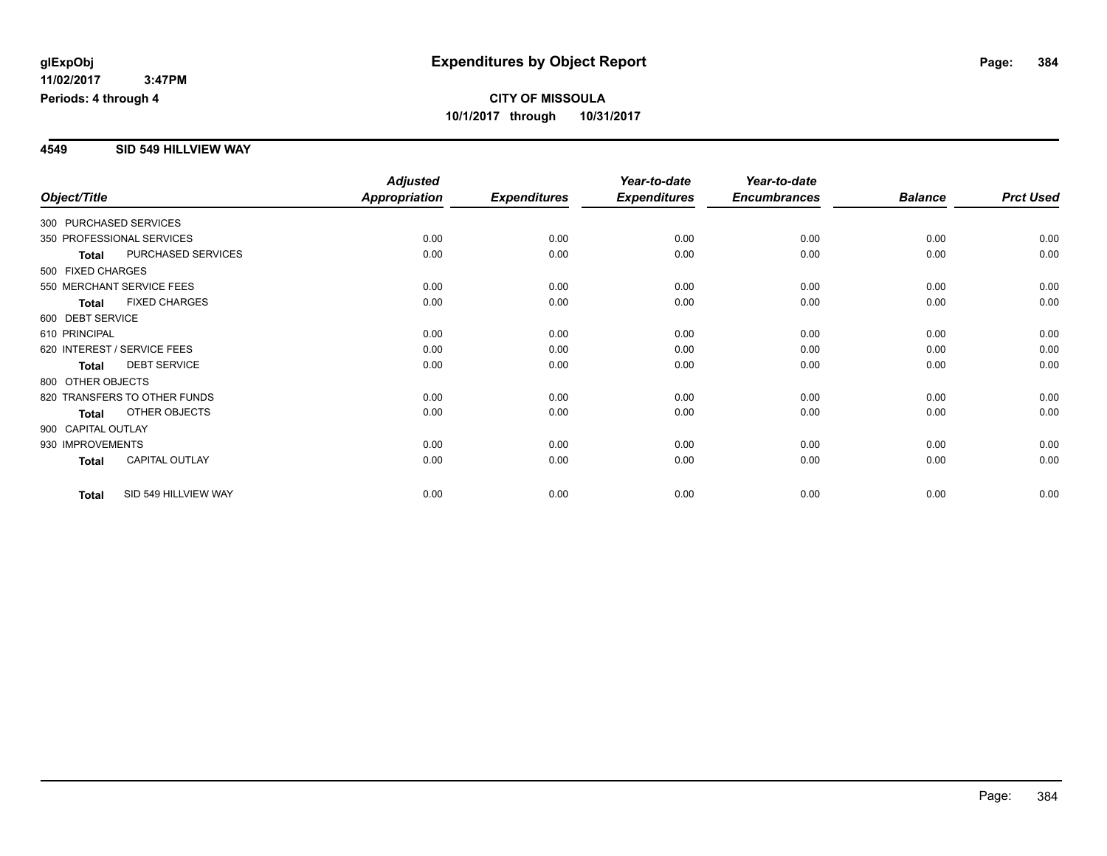### **4549 SID 549 HILLVIEW WAY**

|                        |                              | <b>Adjusted</b> |                     | Year-to-date        | Year-to-date        |                |                  |
|------------------------|------------------------------|-----------------|---------------------|---------------------|---------------------|----------------|------------------|
| Object/Title           |                              | Appropriation   | <b>Expenditures</b> | <b>Expenditures</b> | <b>Encumbrances</b> | <b>Balance</b> | <b>Prct Used</b> |
| 300 PURCHASED SERVICES |                              |                 |                     |                     |                     |                |                  |
|                        | 350 PROFESSIONAL SERVICES    | 0.00            | 0.00                | 0.00                | 0.00                | 0.00           | 0.00             |
| <b>Total</b>           | PURCHASED SERVICES           | 0.00            | 0.00                | 0.00                | 0.00                | 0.00           | 0.00             |
| 500 FIXED CHARGES      |                              |                 |                     |                     |                     |                |                  |
|                        | 550 MERCHANT SERVICE FEES    | 0.00            | 0.00                | 0.00                | 0.00                | 0.00           | 0.00             |
| <b>Total</b>           | <b>FIXED CHARGES</b>         | 0.00            | 0.00                | 0.00                | 0.00                | 0.00           | 0.00             |
| 600 DEBT SERVICE       |                              |                 |                     |                     |                     |                |                  |
| 610 PRINCIPAL          |                              | 0.00            | 0.00                | 0.00                | 0.00                | 0.00           | 0.00             |
|                        | 620 INTEREST / SERVICE FEES  | 0.00            | 0.00                | 0.00                | 0.00                | 0.00           | 0.00             |
| <b>Total</b>           | <b>DEBT SERVICE</b>          | 0.00            | 0.00                | 0.00                | 0.00                | 0.00           | 0.00             |
| 800 OTHER OBJECTS      |                              |                 |                     |                     |                     |                |                  |
|                        | 820 TRANSFERS TO OTHER FUNDS | 0.00            | 0.00                | 0.00                | 0.00                | 0.00           | 0.00             |
| <b>Total</b>           | OTHER OBJECTS                | 0.00            | 0.00                | 0.00                | 0.00                | 0.00           | 0.00             |
| 900 CAPITAL OUTLAY     |                              |                 |                     |                     |                     |                |                  |
| 930 IMPROVEMENTS       |                              | 0.00            | 0.00                | 0.00                | 0.00                | 0.00           | 0.00             |
| <b>Total</b>           | <b>CAPITAL OUTLAY</b>        | 0.00            | 0.00                | 0.00                | 0.00                | 0.00           | 0.00             |
| <b>Total</b>           | SID 549 HILLVIEW WAY         | 0.00            | 0.00                | 0.00                | 0.00                | 0.00           | 0.00             |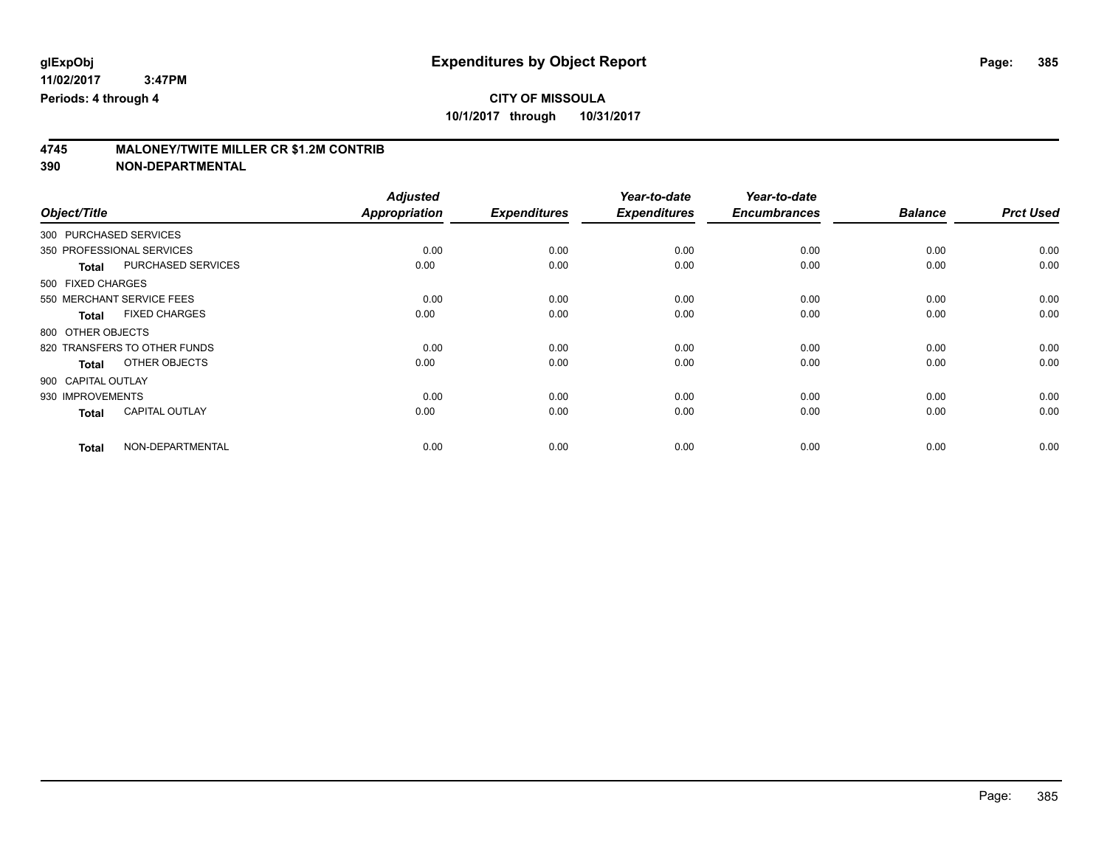# **CITY OF MISSOULA**

**10/1/2017 through 10/31/2017**

# **4745 MALONEY/TWITE MILLER CR \$1.2M CONTRIB**

|                        |                              | <b>Adjusted</b>      |                     | Year-to-date        | Year-to-date        |                |                  |
|------------------------|------------------------------|----------------------|---------------------|---------------------|---------------------|----------------|------------------|
| Object/Title           |                              | <b>Appropriation</b> | <b>Expenditures</b> | <b>Expenditures</b> | <b>Encumbrances</b> | <b>Balance</b> | <b>Prct Used</b> |
| 300 PURCHASED SERVICES |                              |                      |                     |                     |                     |                |                  |
|                        | 350 PROFESSIONAL SERVICES    | 0.00                 | 0.00                | 0.00                | 0.00                | 0.00           | 0.00             |
| <b>Total</b>           | PURCHASED SERVICES           | 0.00                 | 0.00                | 0.00                | 0.00                | 0.00           | 0.00             |
| 500 FIXED CHARGES      |                              |                      |                     |                     |                     |                |                  |
|                        | 550 MERCHANT SERVICE FEES    | 0.00                 | 0.00                | 0.00                | 0.00                | 0.00           | 0.00             |
| <b>Total</b>           | <b>FIXED CHARGES</b>         | 0.00                 | 0.00                | 0.00                | 0.00                | 0.00           | 0.00             |
| 800 OTHER OBJECTS      |                              |                      |                     |                     |                     |                |                  |
|                        | 820 TRANSFERS TO OTHER FUNDS | 0.00                 | 0.00                | 0.00                | 0.00                | 0.00           | 0.00             |
| <b>Total</b>           | OTHER OBJECTS                | 0.00                 | 0.00                | 0.00                | 0.00                | 0.00           | 0.00             |
| 900 CAPITAL OUTLAY     |                              |                      |                     |                     |                     |                |                  |
| 930 IMPROVEMENTS       |                              | 0.00                 | 0.00                | 0.00                | 0.00                | 0.00           | 0.00             |
| <b>Total</b>           | <b>CAPITAL OUTLAY</b>        | 0.00                 | 0.00                | 0.00                | 0.00                | 0.00           | 0.00             |
| <b>Total</b>           | NON-DEPARTMENTAL             | 0.00                 | 0.00                | 0.00                | 0.00                | 0.00           | 0.00             |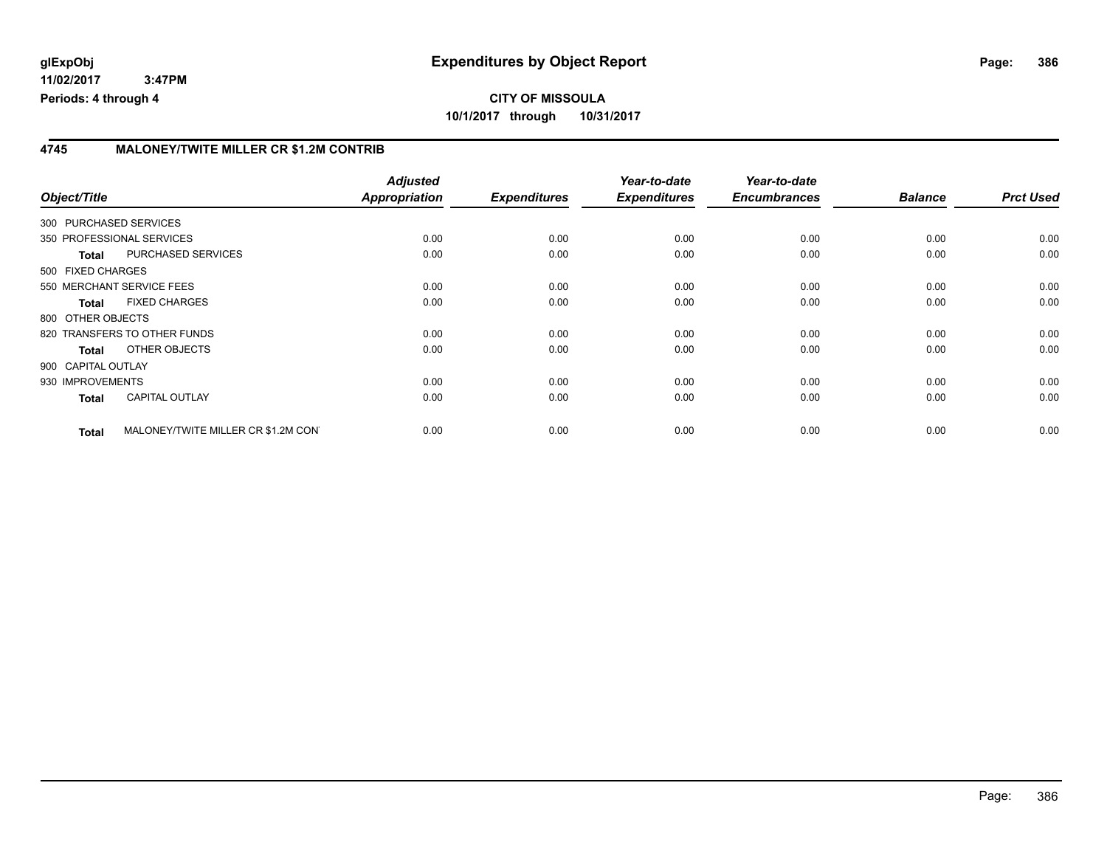### **4745 MALONEY/TWITE MILLER CR \$1.2M CONTRIB**

| Object/Title           |                                     | <b>Adjusted</b><br>Appropriation | <b>Expenditures</b> | Year-to-date<br><b>Expenditures</b> | Year-to-date<br><b>Encumbrances</b> | <b>Balance</b> | <b>Prct Used</b> |
|------------------------|-------------------------------------|----------------------------------|---------------------|-------------------------------------|-------------------------------------|----------------|------------------|
| 300 PURCHASED SERVICES |                                     |                                  |                     |                                     |                                     |                |                  |
|                        | 350 PROFESSIONAL SERVICES           | 0.00                             | 0.00                | 0.00                                | 0.00                                | 0.00           | 0.00             |
| <b>Total</b>           | PURCHASED SERVICES                  | 0.00                             | 0.00                | 0.00                                | 0.00                                | 0.00           | 0.00             |
| 500 FIXED CHARGES      |                                     |                                  |                     |                                     |                                     |                |                  |
|                        | 550 MERCHANT SERVICE FEES           | 0.00                             | 0.00                | 0.00                                | 0.00                                | 0.00           | 0.00             |
| <b>Total</b>           | <b>FIXED CHARGES</b>                | 0.00                             | 0.00                | 0.00                                | 0.00                                | 0.00           | 0.00             |
| 800 OTHER OBJECTS      |                                     |                                  |                     |                                     |                                     |                |                  |
|                        | 820 TRANSFERS TO OTHER FUNDS        | 0.00                             | 0.00                | 0.00                                | 0.00                                | 0.00           | 0.00             |
| Total                  | OTHER OBJECTS                       | 0.00                             | 0.00                | 0.00                                | 0.00                                | 0.00           | 0.00             |
| 900 CAPITAL OUTLAY     |                                     |                                  |                     |                                     |                                     |                |                  |
| 930 IMPROVEMENTS       |                                     | 0.00                             | 0.00                | 0.00                                | 0.00                                | 0.00           | 0.00             |
| <b>Total</b>           | <b>CAPITAL OUTLAY</b>               | 0.00                             | 0.00                | 0.00                                | 0.00                                | 0.00           | 0.00             |
| <b>Total</b>           | MALONEY/TWITE MILLER CR \$1.2M CONT | 0.00                             | 0.00                | 0.00                                | 0.00                                | 0.00           | 0.00             |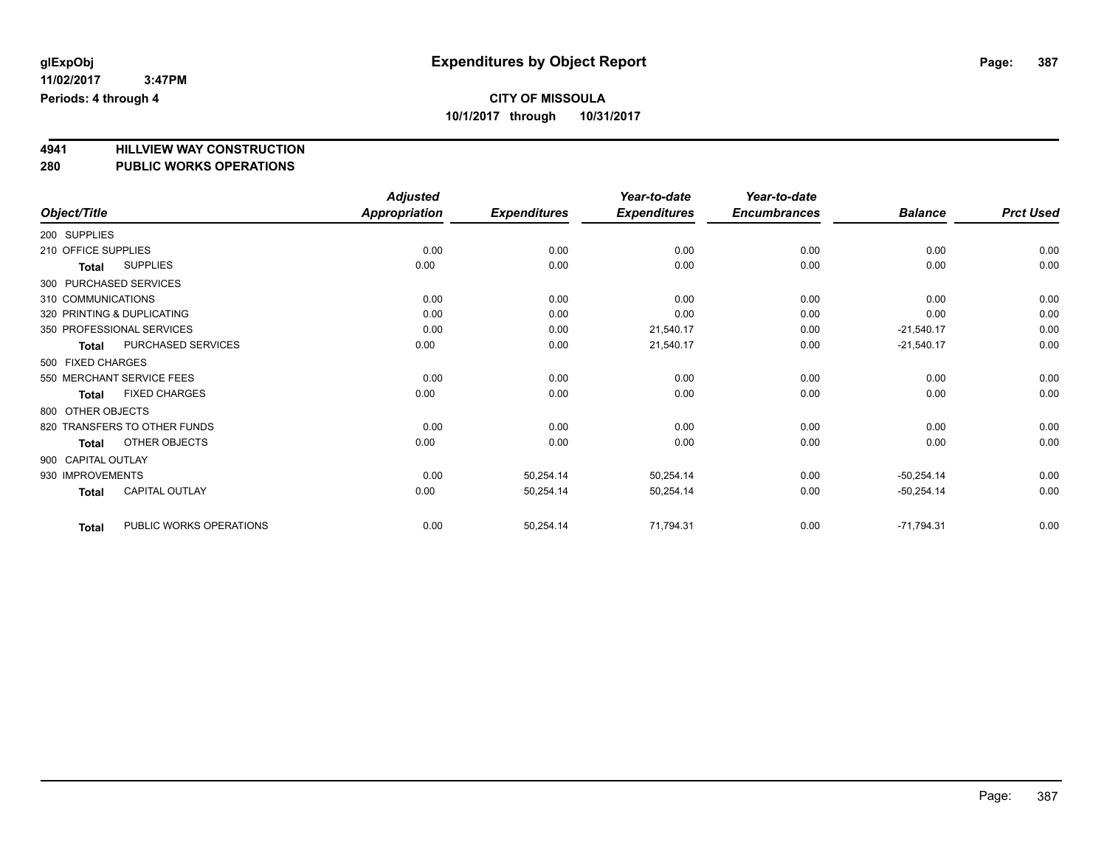**4941 HILLVIEW WAY CONSTRUCTION 280 PUBLIC WORKS OPERATIONS**

| Object/Title                          | <b>Adjusted</b><br>Appropriation | <b>Expenditures</b> | Year-to-date<br><b>Expenditures</b> | Year-to-date<br><b>Encumbrances</b> | <b>Balance</b> | <b>Prct Used</b> |
|---------------------------------------|----------------------------------|---------------------|-------------------------------------|-------------------------------------|----------------|------------------|
|                                       |                                  |                     |                                     |                                     |                |                  |
| 200 SUPPLIES                          |                                  |                     |                                     |                                     |                |                  |
| 210 OFFICE SUPPLIES                   | 0.00                             | 0.00                | 0.00                                | 0.00                                | 0.00           | 0.00             |
| <b>SUPPLIES</b><br>Total              | 0.00                             | 0.00                | 0.00                                | 0.00                                | 0.00           | 0.00             |
| 300 PURCHASED SERVICES                |                                  |                     |                                     |                                     |                |                  |
| 310 COMMUNICATIONS                    | 0.00                             | 0.00                | 0.00                                | 0.00                                | 0.00           | 0.00             |
| 320 PRINTING & DUPLICATING            | 0.00                             | 0.00                | 0.00                                | 0.00                                | 0.00           | 0.00             |
| 350 PROFESSIONAL SERVICES             | 0.00                             | 0.00                | 21,540.17                           | 0.00                                | $-21,540.17$   | 0.00             |
| PURCHASED SERVICES<br><b>Total</b>    | 0.00                             | 0.00                | 21,540.17                           | 0.00                                | $-21,540.17$   | 0.00             |
| 500 FIXED CHARGES                     |                                  |                     |                                     |                                     |                |                  |
| 550 MERCHANT SERVICE FEES             | 0.00                             | 0.00                | 0.00                                | 0.00                                | 0.00           | 0.00             |
| <b>FIXED CHARGES</b><br>Total         | 0.00                             | 0.00                | 0.00                                | 0.00                                | 0.00           | 0.00             |
| 800 OTHER OBJECTS                     |                                  |                     |                                     |                                     |                |                  |
| 820 TRANSFERS TO OTHER FUNDS          | 0.00                             | 0.00                | 0.00                                | 0.00                                | 0.00           | 0.00             |
| OTHER OBJECTS<br><b>Total</b>         | 0.00                             | 0.00                | 0.00                                | 0.00                                | 0.00           | 0.00             |
| 900 CAPITAL OUTLAY                    |                                  |                     |                                     |                                     |                |                  |
| 930 IMPROVEMENTS                      | 0.00                             | 50,254.14           | 50,254.14                           | 0.00                                | $-50,254.14$   | 0.00             |
| <b>CAPITAL OUTLAY</b><br><b>Total</b> | 0.00                             | 50,254.14           | 50,254.14                           | 0.00                                | $-50,254.14$   | 0.00             |
| PUBLIC WORKS OPERATIONS<br>Total      | 0.00                             | 50,254.14           | 71,794.31                           | 0.00                                | $-71,794.31$   | 0.00             |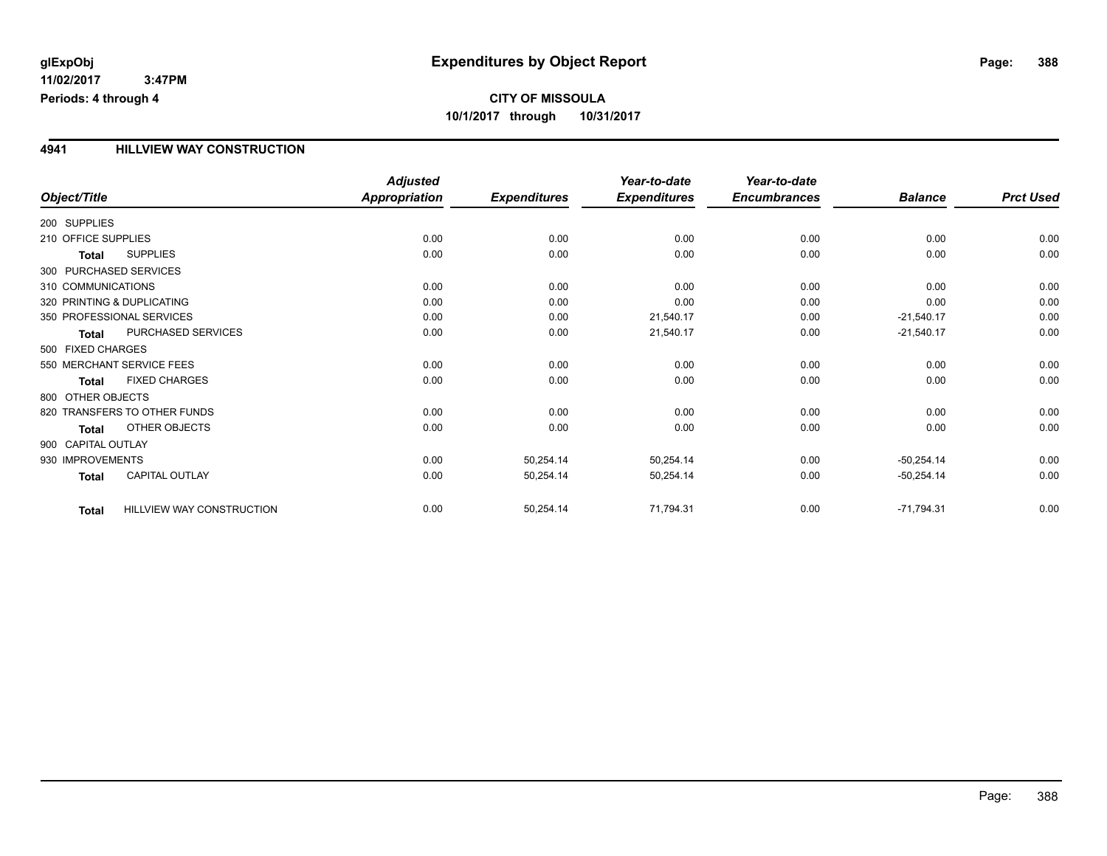### **4941 HILLVIEW WAY CONSTRUCTION**

|                            |                              | <b>Adjusted</b>      |                     | Year-to-date        | Year-to-date        |                |                  |
|----------------------------|------------------------------|----------------------|---------------------|---------------------|---------------------|----------------|------------------|
| Object/Title               |                              | <b>Appropriation</b> | <b>Expenditures</b> | <b>Expenditures</b> | <b>Encumbrances</b> | <b>Balance</b> | <b>Prct Used</b> |
| 200 SUPPLIES               |                              |                      |                     |                     |                     |                |                  |
| 210 OFFICE SUPPLIES        |                              | 0.00                 | 0.00                | 0.00                | 0.00                | 0.00           | 0.00             |
| Total                      | <b>SUPPLIES</b>              | 0.00                 | 0.00                | 0.00                | 0.00                | 0.00           | 0.00             |
| 300 PURCHASED SERVICES     |                              |                      |                     |                     |                     |                |                  |
| 310 COMMUNICATIONS         |                              | 0.00                 | 0.00                | 0.00                | 0.00                | 0.00           | 0.00             |
| 320 PRINTING & DUPLICATING |                              | 0.00                 | 0.00                | 0.00                | 0.00                | 0.00           | 0.00             |
|                            | 350 PROFESSIONAL SERVICES    | 0.00                 | 0.00                | 21,540.17           | 0.00                | $-21,540.17$   | 0.00             |
| <b>Total</b>               | PURCHASED SERVICES           | 0.00                 | 0.00                | 21,540.17           | 0.00                | $-21,540.17$   | 0.00             |
| 500 FIXED CHARGES          |                              |                      |                     |                     |                     |                |                  |
|                            | 550 MERCHANT SERVICE FEES    | 0.00                 | 0.00                | 0.00                | 0.00                | 0.00           | 0.00             |
| <b>Total</b>               | <b>FIXED CHARGES</b>         | 0.00                 | 0.00                | 0.00                | 0.00                | 0.00           | 0.00             |
| 800 OTHER OBJECTS          |                              |                      |                     |                     |                     |                |                  |
|                            | 820 TRANSFERS TO OTHER FUNDS | 0.00                 | 0.00                | 0.00                | 0.00                | 0.00           | 0.00             |
| <b>Total</b>               | OTHER OBJECTS                | 0.00                 | 0.00                | 0.00                | 0.00                | 0.00           | 0.00             |
| 900 CAPITAL OUTLAY         |                              |                      |                     |                     |                     |                |                  |
| 930 IMPROVEMENTS           |                              | 0.00                 | 50,254.14           | 50,254.14           | 0.00                | $-50,254.14$   | 0.00             |
| <b>Total</b>               | <b>CAPITAL OUTLAY</b>        | 0.00                 | 50,254.14           | 50,254.14           | 0.00                | $-50,254.14$   | 0.00             |
| <b>Total</b>               | HILLVIEW WAY CONSTRUCTION    | 0.00                 | 50,254.14           | 71,794.31           | 0.00                | $-71,794.31$   | 0.00             |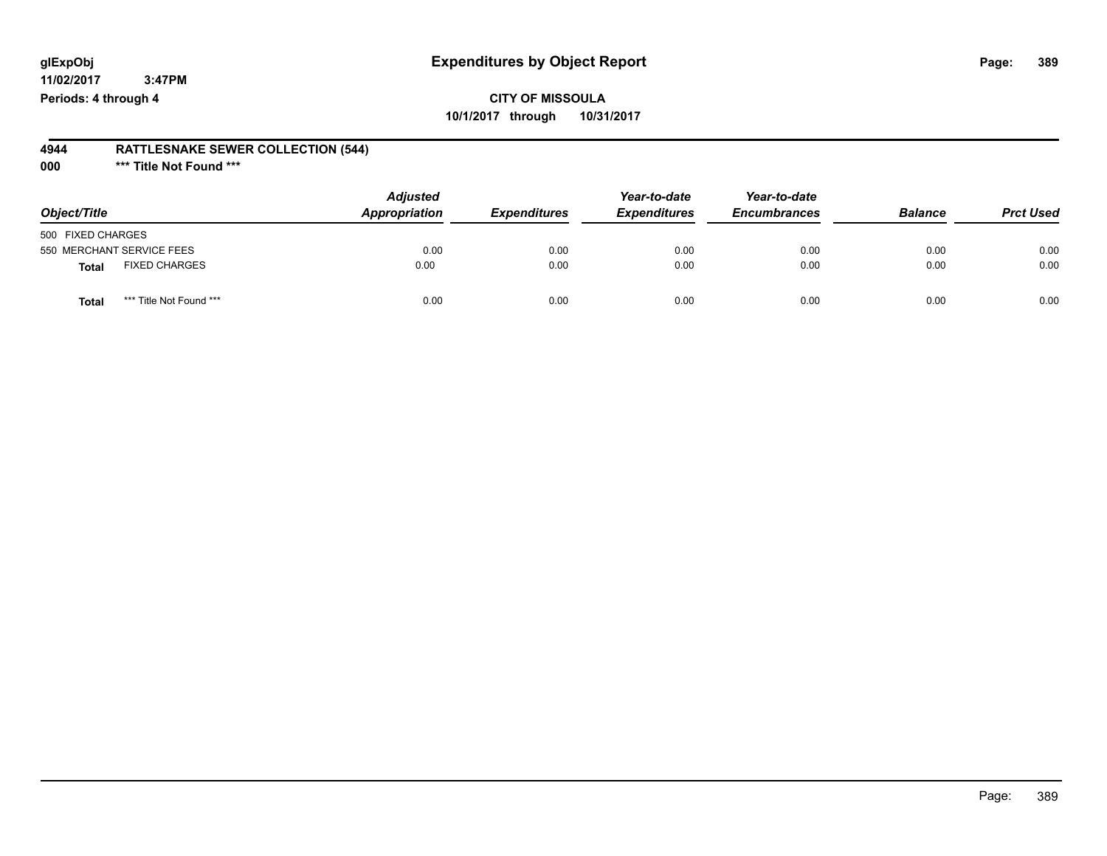## **CITY OF MISSOULA 10/1/2017 through 10/31/2017**

#### **4944 RATTLESNAKE SEWER COLLECTION (544)**

**000 \*\*\* Title Not Found \*\*\***

| Object/Title                         | <b>Adjusted</b><br>Appropriation | <b>Expenditures</b> | Year-to-date<br><b>Expenditures</b> | Year-to-date<br><b>Encumbrances</b> | <b>Balance</b> | <b>Prct Used</b> |
|--------------------------------------|----------------------------------|---------------------|-------------------------------------|-------------------------------------|----------------|------------------|
| 500 FIXED CHARGES                    |                                  |                     |                                     |                                     |                |                  |
| 550 MERCHANT SERVICE FEES            | 0.00                             | 0.00                | 0.00                                | 0.00                                | 0.00           | 0.00             |
| <b>FIXED CHARGES</b><br><b>Total</b> | 0.00                             | 0.00                | 0.00                                | 0.00                                | 0.00           | 0.00             |
| *** Title Not Found ***<br>Total     | 0.00                             | 0.00                | 0.00                                | 0.00                                | 0.00           | 0.00             |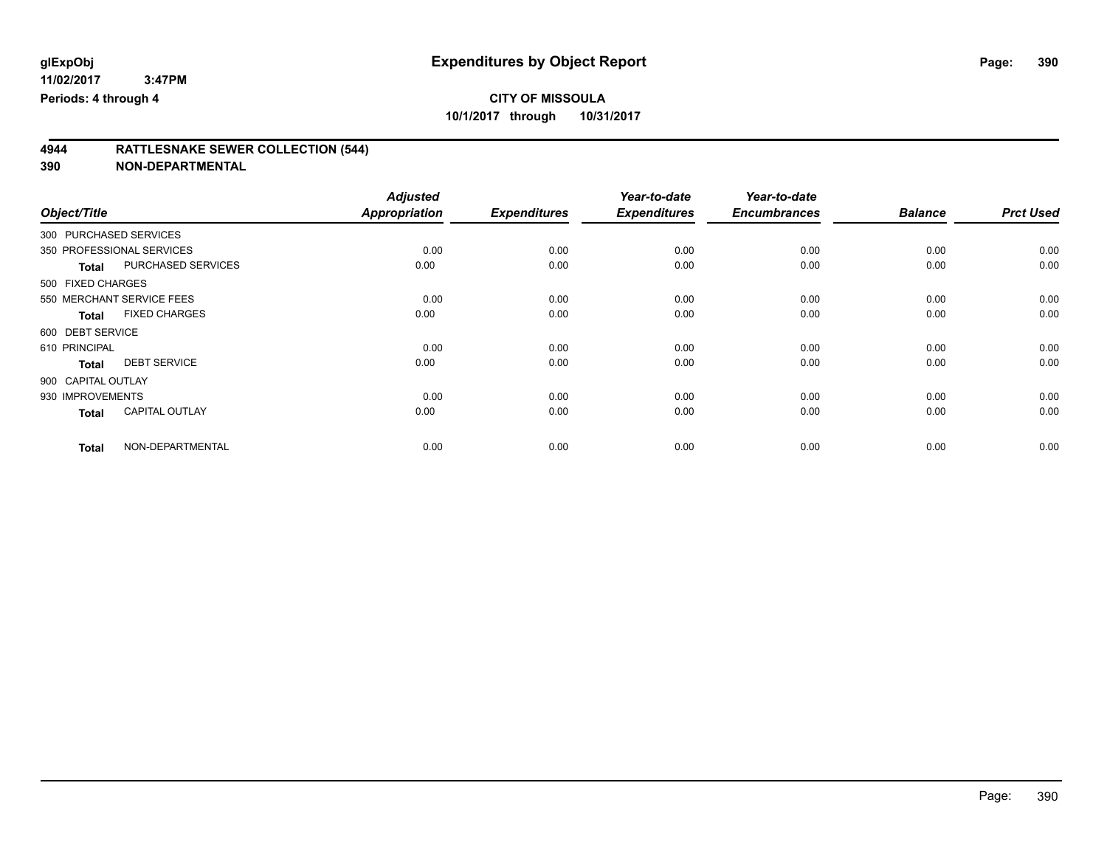# **4944 RATTLESNAKE SEWER COLLECTION (544)**

|                        |                           | <b>Adjusted</b>      |                     | Year-to-date        | Year-to-date        |                |                  |
|------------------------|---------------------------|----------------------|---------------------|---------------------|---------------------|----------------|------------------|
| Object/Title           |                           | <b>Appropriation</b> | <b>Expenditures</b> | <b>Expenditures</b> | <b>Encumbrances</b> | <b>Balance</b> | <b>Prct Used</b> |
| 300 PURCHASED SERVICES |                           |                      |                     |                     |                     |                |                  |
|                        | 350 PROFESSIONAL SERVICES | 0.00                 | 0.00                | 0.00                | 0.00                | 0.00           | 0.00             |
| <b>Total</b>           | PURCHASED SERVICES        | 0.00                 | 0.00                | 0.00                | 0.00                | 0.00           | 0.00             |
| 500 FIXED CHARGES      |                           |                      |                     |                     |                     |                |                  |
|                        | 550 MERCHANT SERVICE FEES | 0.00                 | 0.00                | 0.00                | 0.00                | 0.00           | 0.00             |
| <b>Total</b>           | <b>FIXED CHARGES</b>      | 0.00                 | 0.00                | 0.00                | 0.00                | 0.00           | 0.00             |
| 600 DEBT SERVICE       |                           |                      |                     |                     |                     |                |                  |
| 610 PRINCIPAL          |                           | 0.00                 | 0.00                | 0.00                | 0.00                | 0.00           | 0.00             |
| <b>Total</b>           | <b>DEBT SERVICE</b>       | 0.00                 | 0.00                | 0.00                | 0.00                | 0.00           | 0.00             |
| 900 CAPITAL OUTLAY     |                           |                      |                     |                     |                     |                |                  |
| 930 IMPROVEMENTS       |                           | 0.00                 | 0.00                | 0.00                | 0.00                | 0.00           | 0.00             |
| <b>Total</b>           | <b>CAPITAL OUTLAY</b>     | 0.00                 | 0.00                | 0.00                | 0.00                | 0.00           | 0.00             |
| <b>Total</b>           | NON-DEPARTMENTAL          | 0.00                 | 0.00                | 0.00                | 0.00                | 0.00           | 0.00             |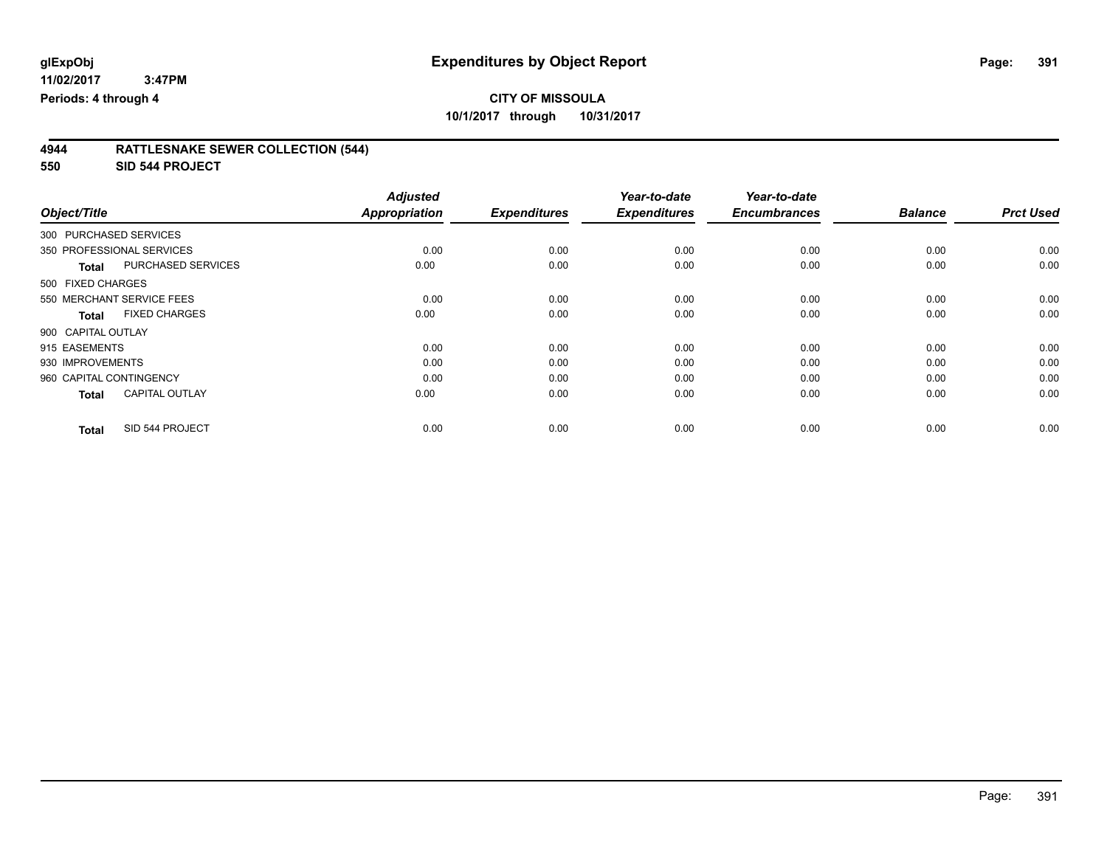# **CITY OF MISSOULA**

**10/1/2017 through 10/31/2017**

| 4944 | <b>RATTLESNAKE SEWER COLLECTION (544)</b> |  |
|------|-------------------------------------------|--|
|      |                                           |  |

**550 SID 544 PROJECT**

| Object/Title            |                           | <b>Adjusted</b><br><b>Appropriation</b> | <b>Expenditures</b> | Year-to-date<br><b>Expenditures</b> | Year-to-date<br><b>Encumbrances</b> | <b>Balance</b> | <b>Prct Used</b> |
|-------------------------|---------------------------|-----------------------------------------|---------------------|-------------------------------------|-------------------------------------|----------------|------------------|
|                         |                           |                                         |                     |                                     |                                     |                |                  |
| 300 PURCHASED SERVICES  |                           |                                         |                     |                                     |                                     |                |                  |
|                         | 350 PROFESSIONAL SERVICES | 0.00                                    | 0.00                | 0.00                                | 0.00                                | 0.00           | 0.00             |
| <b>Total</b>            | PURCHASED SERVICES        | 0.00                                    | 0.00                | 0.00                                | 0.00                                | 0.00           | 0.00             |
| 500 FIXED CHARGES       |                           |                                         |                     |                                     |                                     |                |                  |
|                         | 550 MERCHANT SERVICE FEES | 0.00                                    | 0.00                | 0.00                                | 0.00                                | 0.00           | 0.00             |
| <b>Total</b>            | <b>FIXED CHARGES</b>      | 0.00                                    | 0.00                | 0.00                                | 0.00                                | 0.00           | 0.00             |
| 900 CAPITAL OUTLAY      |                           |                                         |                     |                                     |                                     |                |                  |
| 915 EASEMENTS           |                           | 0.00                                    | 0.00                | 0.00                                | 0.00                                | 0.00           | 0.00             |
| 930 IMPROVEMENTS        |                           | 0.00                                    | 0.00                | 0.00                                | 0.00                                | 0.00           | 0.00             |
| 960 CAPITAL CONTINGENCY |                           | 0.00                                    | 0.00                | 0.00                                | 0.00                                | 0.00           | 0.00             |
| <b>Total</b>            | <b>CAPITAL OUTLAY</b>     | 0.00                                    | 0.00                | 0.00                                | 0.00                                | 0.00           | 0.00             |
| <b>Total</b>            | SID 544 PROJECT           | 0.00                                    | 0.00                | 0.00                                | 0.00                                | 0.00           | 0.00             |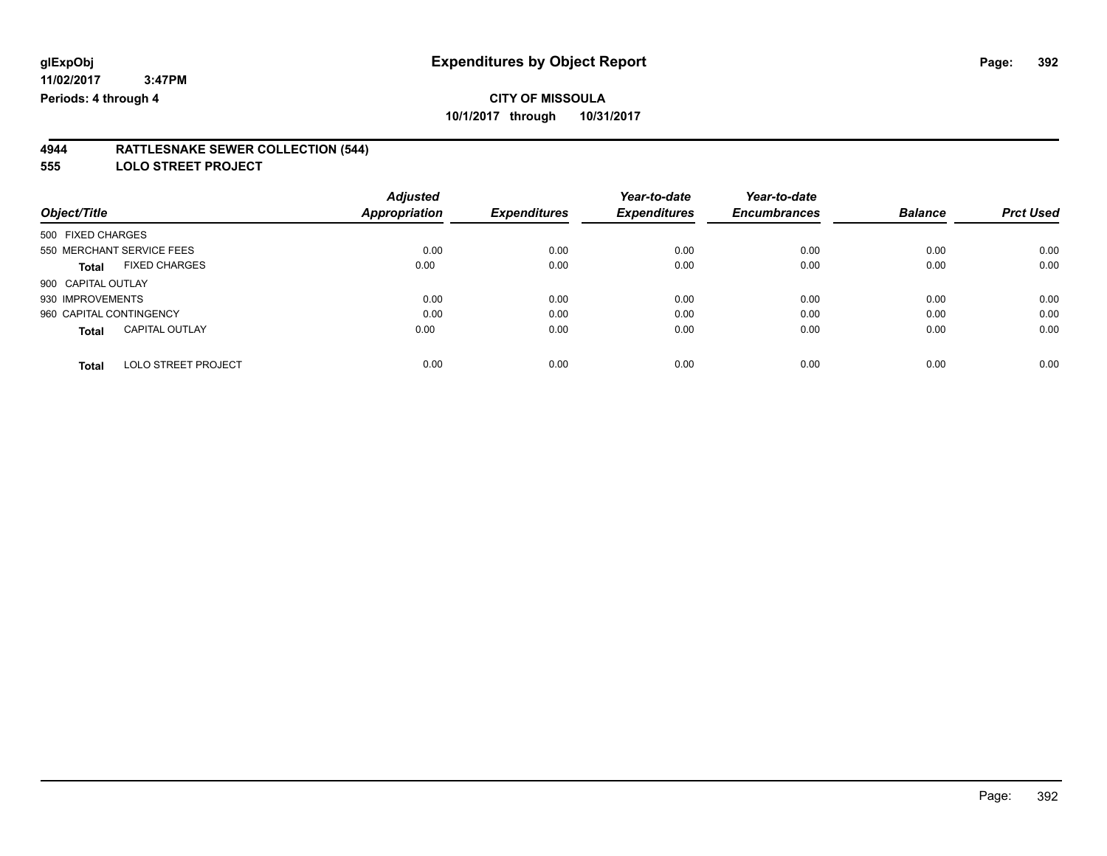#### **4944 RATTLESNAKE SEWER COLLECTION (544)**

**555 LOLO STREET PROJECT**

|                                            | <b>Adjusted</b> |                     | Year-to-date        | Year-to-date        |                |                  |
|--------------------------------------------|-----------------|---------------------|---------------------|---------------------|----------------|------------------|
| Object/Title                               | Appropriation   | <b>Expenditures</b> | <b>Expenditures</b> | <b>Encumbrances</b> | <b>Balance</b> | <b>Prct Used</b> |
| 500 FIXED CHARGES                          |                 |                     |                     |                     |                |                  |
| 550 MERCHANT SERVICE FEES                  | 0.00            | 0.00                | 0.00                | 0.00                | 0.00           | 0.00             |
| <b>FIXED CHARGES</b><br><b>Total</b>       | 0.00            | 0.00                | 0.00                | 0.00                | 0.00           | 0.00             |
| 900 CAPITAL OUTLAY                         |                 |                     |                     |                     |                |                  |
| 930 IMPROVEMENTS                           | 0.00            | 0.00                | 0.00                | 0.00                | 0.00           | 0.00             |
| 960 CAPITAL CONTINGENCY                    | 0.00            | 0.00                | 0.00                | 0.00                | 0.00           | 0.00             |
| <b>CAPITAL OUTLAY</b><br><b>Total</b>      | 0.00            | 0.00                | 0.00                | 0.00                | 0.00           | 0.00             |
| <b>LOLO STREET PROJECT</b><br><b>Total</b> | 0.00            | 0.00                | 0.00                | 0.00                | 0.00           | 0.00             |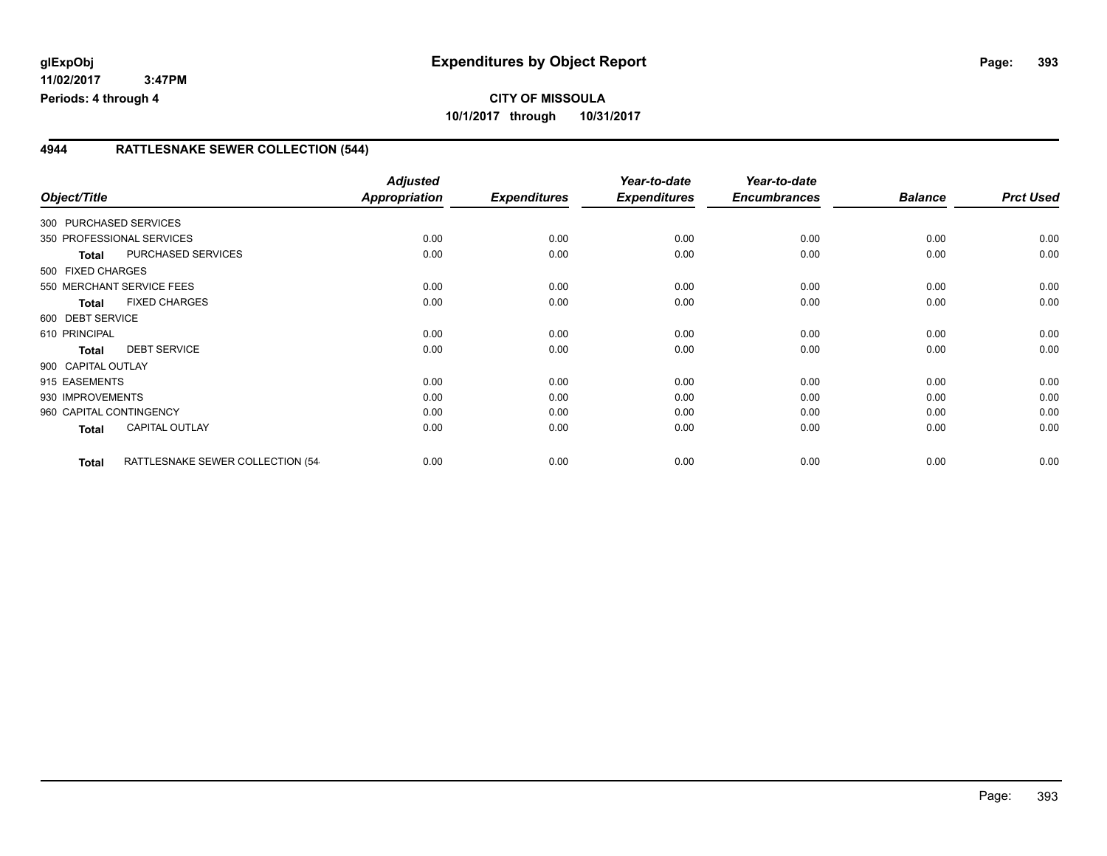### **4944 RATTLESNAKE SEWER COLLECTION (544)**

|                         |                                   | <b>Adjusted</b>      |                     | Year-to-date        | Year-to-date        |                |                  |
|-------------------------|-----------------------------------|----------------------|---------------------|---------------------|---------------------|----------------|------------------|
| Object/Title            |                                   | <b>Appropriation</b> | <b>Expenditures</b> | <b>Expenditures</b> | <b>Encumbrances</b> | <b>Balance</b> | <b>Prct Used</b> |
| 300 PURCHASED SERVICES  |                                   |                      |                     |                     |                     |                |                  |
|                         | 350 PROFESSIONAL SERVICES         | 0.00                 | 0.00                | 0.00                | 0.00                | 0.00           | 0.00             |
| <b>Total</b>            | PURCHASED SERVICES                | 0.00                 | 0.00                | 0.00                | 0.00                | 0.00           | 0.00             |
| 500 FIXED CHARGES       |                                   |                      |                     |                     |                     |                |                  |
|                         | 550 MERCHANT SERVICE FEES         | 0.00                 | 0.00                | 0.00                | 0.00                | 0.00           | 0.00             |
| <b>Total</b>            | <b>FIXED CHARGES</b>              | 0.00                 | 0.00                | 0.00                | 0.00                | 0.00           | 0.00             |
| 600 DEBT SERVICE        |                                   |                      |                     |                     |                     |                |                  |
| 610 PRINCIPAL           |                                   | 0.00                 | 0.00                | 0.00                | 0.00                | 0.00           | 0.00             |
| Total                   | <b>DEBT SERVICE</b>               | 0.00                 | 0.00                | 0.00                | 0.00                | 0.00           | 0.00             |
| 900 CAPITAL OUTLAY      |                                   |                      |                     |                     |                     |                |                  |
| 915 EASEMENTS           |                                   | 0.00                 | 0.00                | 0.00                | 0.00                | 0.00           | 0.00             |
| 930 IMPROVEMENTS        |                                   | 0.00                 | 0.00                | 0.00                | 0.00                | 0.00           | 0.00             |
| 960 CAPITAL CONTINGENCY |                                   | 0.00                 | 0.00                | 0.00                | 0.00                | 0.00           | 0.00             |
| Total                   | <b>CAPITAL OUTLAY</b>             | 0.00                 | 0.00                | 0.00                | 0.00                | 0.00           | 0.00             |
|                         |                                   |                      |                     |                     |                     |                |                  |
| <b>Total</b>            | RATTLESNAKE SEWER COLLECTION (54- | 0.00                 | 0.00                | 0.00                | 0.00                | 0.00           | 0.00             |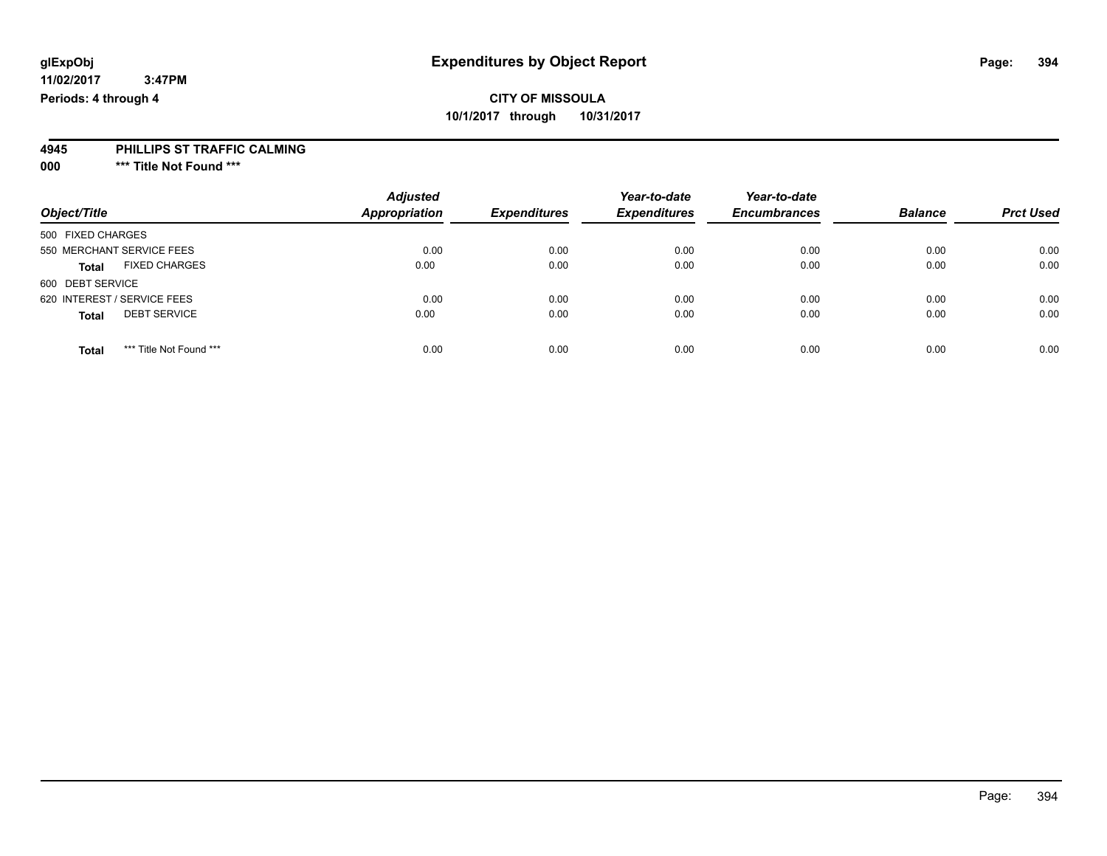## **CITY OF MISSOULA 10/1/2017 through 10/31/2017**

### **4945 PHILLIPS ST TRAFFIC CALMING**

**000 \*\*\* Title Not Found \*\*\***

|                                         | <b>Adjusted</b>      | <b>Expenditures</b> | Year-to-date<br><b>Expenditures</b> | Year-to-date<br><b>Encumbrances</b> | <b>Balance</b> | <b>Prct Used</b> |
|-----------------------------------------|----------------------|---------------------|-------------------------------------|-------------------------------------|----------------|------------------|
| Object/Title                            | <b>Appropriation</b> |                     |                                     |                                     |                |                  |
| 500 FIXED CHARGES                       |                      |                     |                                     |                                     |                |                  |
| 550 MERCHANT SERVICE FEES               | 0.00                 | 0.00                | 0.00                                | 0.00                                | 0.00           | 0.00             |
| <b>FIXED CHARGES</b><br><b>Total</b>    | 0.00                 | 0.00                | 0.00                                | 0.00                                | 0.00           | 0.00             |
| 600 DEBT SERVICE                        |                      |                     |                                     |                                     |                |                  |
| 620 INTEREST / SERVICE FEES             | 0.00                 | 0.00                | 0.00                                | 0.00                                | 0.00           | 0.00             |
| <b>DEBT SERVICE</b><br><b>Total</b>     | 0.00                 | 0.00                | 0.00                                | 0.00                                | 0.00           | 0.00             |
| *** Title Not Found ***<br><b>Total</b> | 0.00                 | 0.00                | 0.00                                | 0.00                                | 0.00           | 0.00             |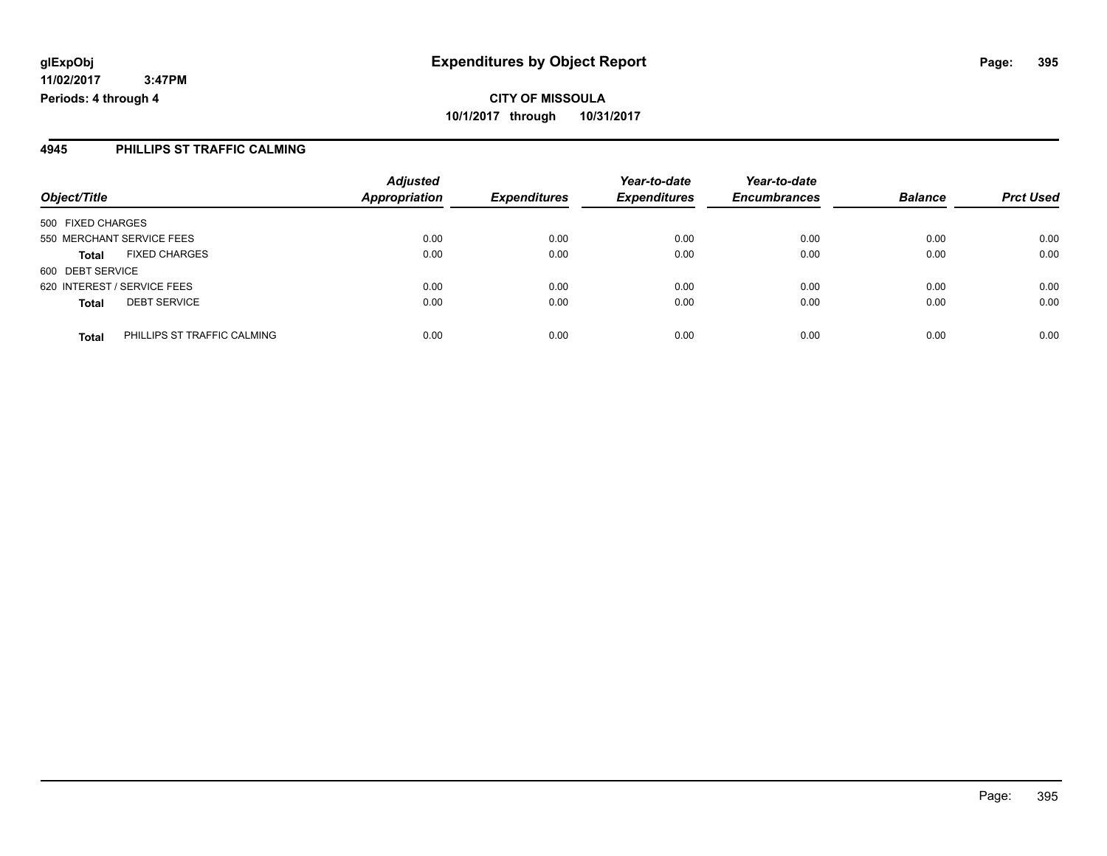**CITY OF MISSOULA 10/1/2017 through 10/31/2017**

### **4945 PHILLIPS ST TRAFFIC CALMING**

| Object/Title                |                             | <b>Adjusted</b><br><b>Appropriation</b> | <b>Expenditures</b> | Year-to-date<br><b>Expenditures</b> | Year-to-date<br><b>Encumbrances</b> | <b>Balance</b> | <b>Prct Used</b> |
|-----------------------------|-----------------------------|-----------------------------------------|---------------------|-------------------------------------|-------------------------------------|----------------|------------------|
|                             |                             |                                         |                     |                                     |                                     |                |                  |
| 550 MERCHANT SERVICE FEES   |                             | 0.00                                    | 0.00                | 0.00                                | 0.00                                | 0.00           | 0.00             |
| <b>Total</b>                | <b>FIXED CHARGES</b>        | 0.00                                    | 0.00                | 0.00                                | 0.00                                | 0.00           | 0.00             |
| 600 DEBT SERVICE            |                             |                                         |                     |                                     |                                     |                |                  |
| 620 INTEREST / SERVICE FEES |                             | 0.00                                    | 0.00                | 0.00                                | 0.00                                | 0.00           | 0.00             |
| <b>Total</b>                | <b>DEBT SERVICE</b>         | 0.00                                    | 0.00                | 0.00                                | 0.00                                | 0.00           | 0.00             |
| <b>Total</b>                | PHILLIPS ST TRAFFIC CALMING | 0.00                                    | 0.00                | 0.00                                | 0.00                                | 0.00           | 0.00             |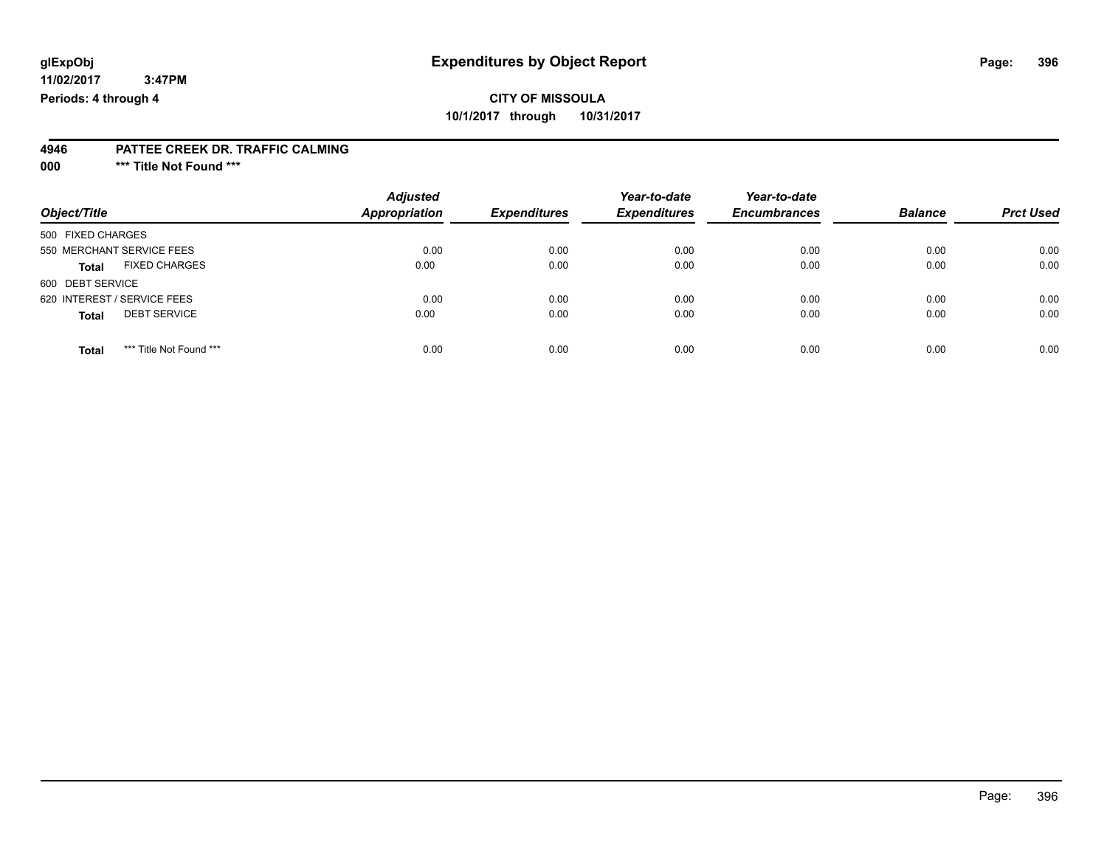## **CITY OF MISSOULA 10/1/2017 through 10/31/2017**

#### **4946 PATTEE CREEK DR. TRAFFIC CALMING**

**000 \*\*\* Title Not Found \*\*\***

| Object/Title                            | <b>Adjusted</b><br><b>Appropriation</b> | <b>Expenditures</b> | Year-to-date<br><b>Expenditures</b> | Year-to-date<br><b>Encumbrances</b> | <b>Balance</b> | <b>Prct Used</b> |
|-----------------------------------------|-----------------------------------------|---------------------|-------------------------------------|-------------------------------------|----------------|------------------|
| 500 FIXED CHARGES                       |                                         |                     |                                     |                                     |                |                  |
| 550 MERCHANT SERVICE FEES               | 0.00                                    | 0.00                | 0.00                                | 0.00                                | 0.00           | 0.00             |
| <b>FIXED CHARGES</b><br><b>Total</b>    | 0.00                                    | 0.00                | 0.00                                | 0.00                                | 0.00           | 0.00             |
| 600 DEBT SERVICE                        |                                         |                     |                                     |                                     |                |                  |
| 620 INTEREST / SERVICE FEES             | 0.00                                    | 0.00                | 0.00                                | 0.00                                | 0.00           | 0.00             |
| <b>DEBT SERVICE</b><br><b>Total</b>     | 0.00                                    | 0.00                | 0.00                                | 0.00                                | 0.00           | 0.00             |
| *** Title Not Found ***<br><b>Total</b> | 0.00                                    | 0.00                | 0.00                                | 0.00                                | 0.00           | 0.00             |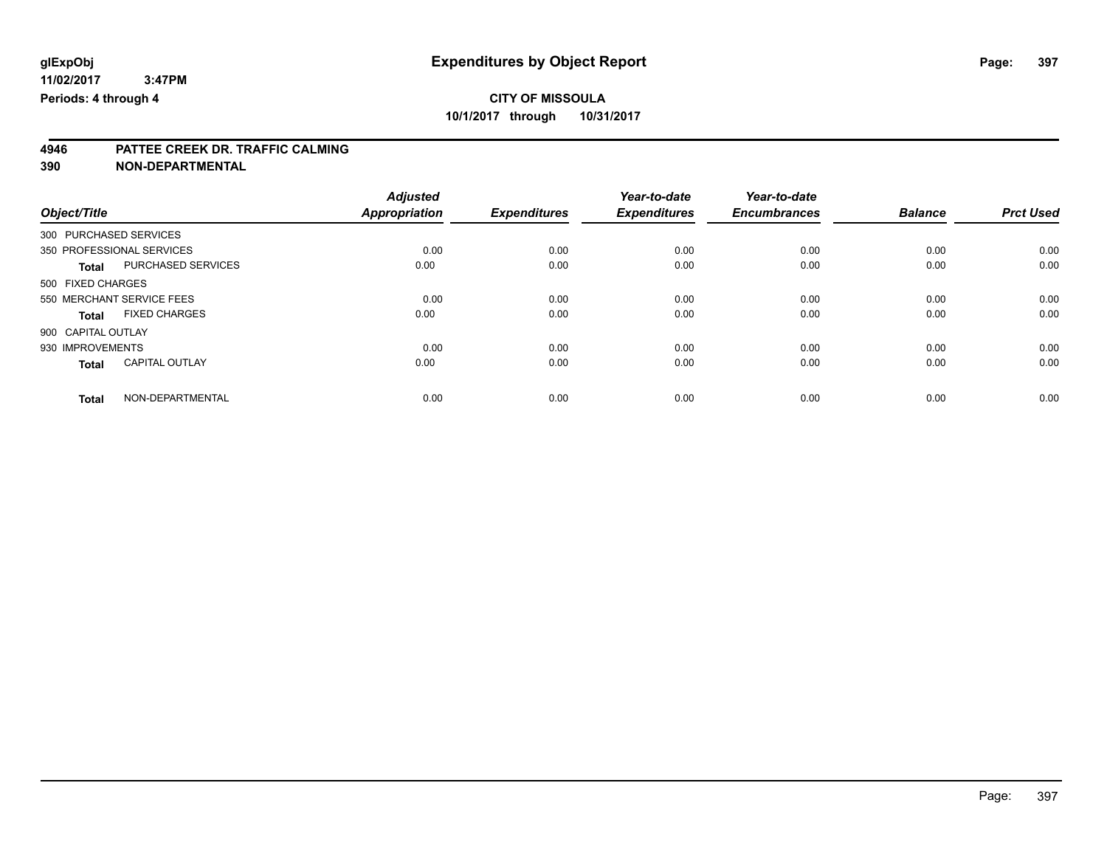### **4946 PATTEE CREEK DR. TRAFFIC CALMING**

**390 NON-DEPARTMENTAL**

|                                       | <b>Adjusted</b><br><b>Appropriation</b> | <b>Expenditures</b> | Year-to-date<br><b>Expenditures</b> | Year-to-date<br><b>Encumbrances</b> | <b>Balance</b> | <b>Prct Used</b> |
|---------------------------------------|-----------------------------------------|---------------------|-------------------------------------|-------------------------------------|----------------|------------------|
| Object/Title                          |                                         |                     |                                     |                                     |                |                  |
| 300 PURCHASED SERVICES                |                                         |                     |                                     |                                     |                |                  |
| 350 PROFESSIONAL SERVICES             | 0.00                                    | 0.00                | 0.00                                | 0.00                                | 0.00           | 0.00             |
| PURCHASED SERVICES<br><b>Total</b>    | 0.00                                    | 0.00                | 0.00                                | 0.00                                | 0.00           | 0.00             |
| 500 FIXED CHARGES                     |                                         |                     |                                     |                                     |                |                  |
| 550 MERCHANT SERVICE FEES             | 0.00                                    | 0.00                | 0.00                                | 0.00                                | 0.00           | 0.00             |
| <b>FIXED CHARGES</b><br>Total         | 0.00                                    | 0.00                | 0.00                                | 0.00                                | 0.00           | 0.00             |
| 900 CAPITAL OUTLAY                    |                                         |                     |                                     |                                     |                |                  |
| 930 IMPROVEMENTS                      | 0.00                                    | 0.00                | 0.00                                | 0.00                                | 0.00           | 0.00             |
| <b>CAPITAL OUTLAY</b><br><b>Total</b> | 0.00                                    | 0.00                | 0.00                                | 0.00                                | 0.00           | 0.00             |
|                                       |                                         |                     |                                     |                                     |                |                  |
| NON-DEPARTMENTAL<br><b>Total</b>      | 0.00                                    | 0.00                | 0.00                                | 0.00                                | 0.00           | 0.00             |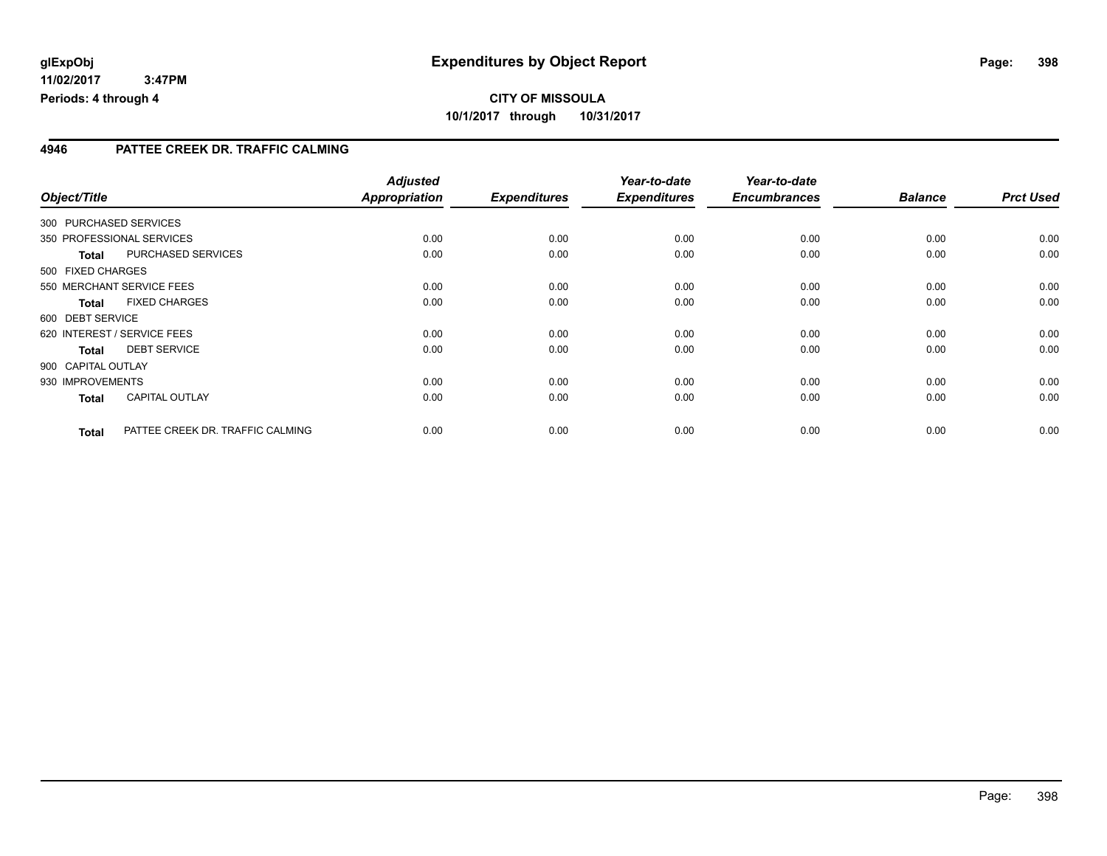#### **11/02/2017 3:47PM Periods: 4 through 4**

### **CITY OF MISSOULA 10/1/2017 through 10/31/2017**

#### **4946 PATTEE CREEK DR. TRAFFIC CALMING**

| Object/Title       |                                  | <b>Adjusted</b><br><b>Appropriation</b> | <b>Expenditures</b> | Year-to-date<br><b>Expenditures</b> | Year-to-date<br><b>Encumbrances</b> | <b>Balance</b> | <b>Prct Used</b> |
|--------------------|----------------------------------|-----------------------------------------|---------------------|-------------------------------------|-------------------------------------|----------------|------------------|
|                    | 300 PURCHASED SERVICES           |                                         |                     |                                     |                                     |                |                  |
|                    | 350 PROFESSIONAL SERVICES        | 0.00                                    | 0.00                | 0.00                                | 0.00                                | 0.00           | 0.00             |
| Total              | PURCHASED SERVICES               | 0.00                                    | 0.00                | 0.00                                | 0.00                                | 0.00           | 0.00             |
| 500 FIXED CHARGES  |                                  |                                         |                     |                                     |                                     |                |                  |
|                    | 550 MERCHANT SERVICE FEES        | 0.00                                    | 0.00                | 0.00                                | 0.00                                | 0.00           | 0.00             |
| Total              | <b>FIXED CHARGES</b>             | 0.00                                    | 0.00                | 0.00                                | 0.00                                | 0.00           | 0.00             |
| 600 DEBT SERVICE   |                                  |                                         |                     |                                     |                                     |                |                  |
|                    | 620 INTEREST / SERVICE FEES      | 0.00                                    | 0.00                | 0.00                                | 0.00                                | 0.00           | 0.00             |
| <b>Total</b>       | <b>DEBT SERVICE</b>              | 0.00                                    | 0.00                | 0.00                                | 0.00                                | 0.00           | 0.00             |
| 900 CAPITAL OUTLAY |                                  |                                         |                     |                                     |                                     |                |                  |
| 930 IMPROVEMENTS   |                                  | 0.00                                    | 0.00                | 0.00                                | 0.00                                | 0.00           | 0.00             |
| <b>Total</b>       | <b>CAPITAL OUTLAY</b>            | 0.00                                    | 0.00                | 0.00                                | 0.00                                | 0.00           | 0.00             |
| <b>Total</b>       | PATTEE CREEK DR. TRAFFIC CALMING | 0.00                                    | 0.00                | 0.00                                | 0.00                                | 0.00           | 0.00             |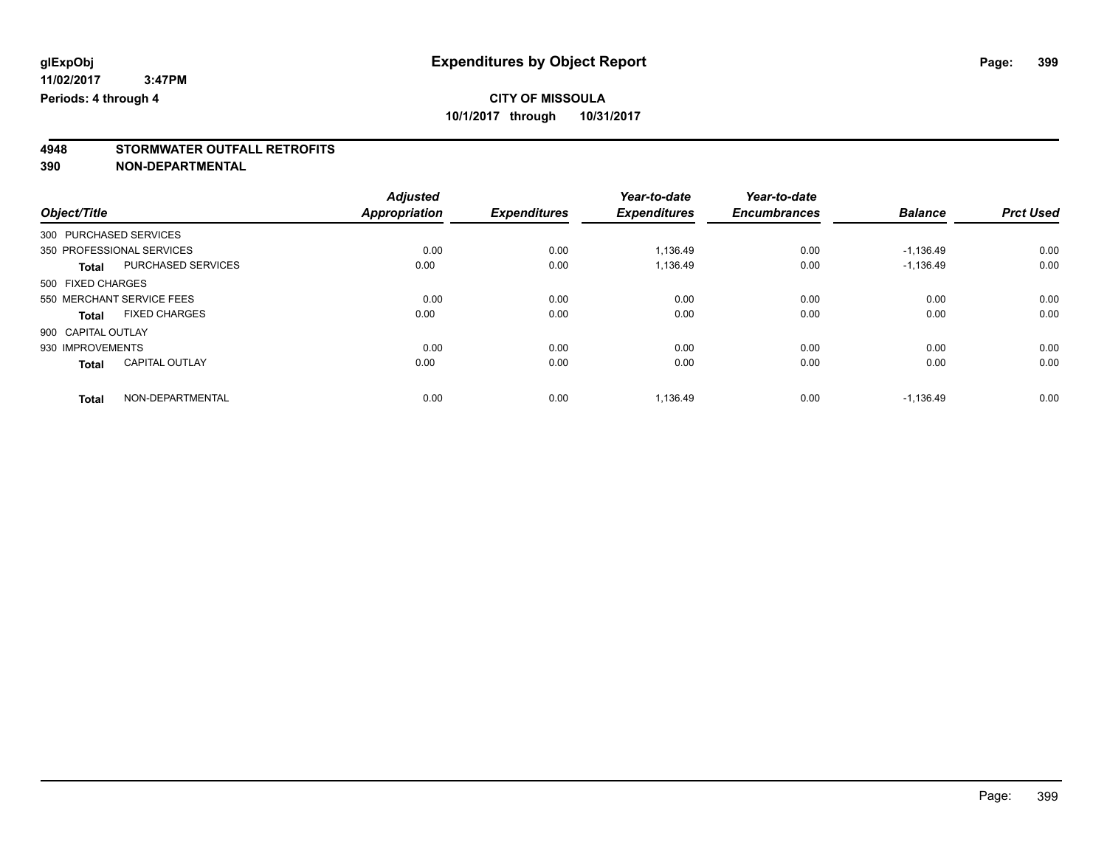# **4948 STORMWATER OUTFALL RETROFITS**

**390 NON-DEPARTMENTAL**

|                                       | <b>Adjusted</b>      |                     | Year-to-date        | Year-to-date        |                |                  |
|---------------------------------------|----------------------|---------------------|---------------------|---------------------|----------------|------------------|
| Object/Title                          | <b>Appropriation</b> | <b>Expenditures</b> | <b>Expenditures</b> | <b>Encumbrances</b> | <b>Balance</b> | <b>Prct Used</b> |
| 300 PURCHASED SERVICES                |                      |                     |                     |                     |                |                  |
| 350 PROFESSIONAL SERVICES             | 0.00                 | 0.00                | 1,136.49            | 0.00                | $-1,136.49$    | 0.00             |
| PURCHASED SERVICES<br><b>Total</b>    | 0.00                 | 0.00                | 1,136.49            | 0.00                | $-1.136.49$    | 0.00             |
| 500 FIXED CHARGES                     |                      |                     |                     |                     |                |                  |
| 550 MERCHANT SERVICE FEES             | 0.00                 | 0.00                | 0.00                | 0.00                | 0.00           | 0.00             |
| <b>FIXED CHARGES</b><br>Total         | 0.00                 | 0.00                | 0.00                | 0.00                | 0.00           | 0.00             |
| 900 CAPITAL OUTLAY                    |                      |                     |                     |                     |                |                  |
| 930 IMPROVEMENTS                      | 0.00                 | 0.00                | 0.00                | 0.00                | 0.00           | 0.00             |
| <b>CAPITAL OUTLAY</b><br><b>Total</b> | 0.00                 | 0.00                | 0.00                | 0.00                | 0.00           | 0.00             |
| NON-DEPARTMENTAL<br><b>Total</b>      | 0.00                 | 0.00                | 1,136.49            | 0.00                | $-1,136.49$    | 0.00             |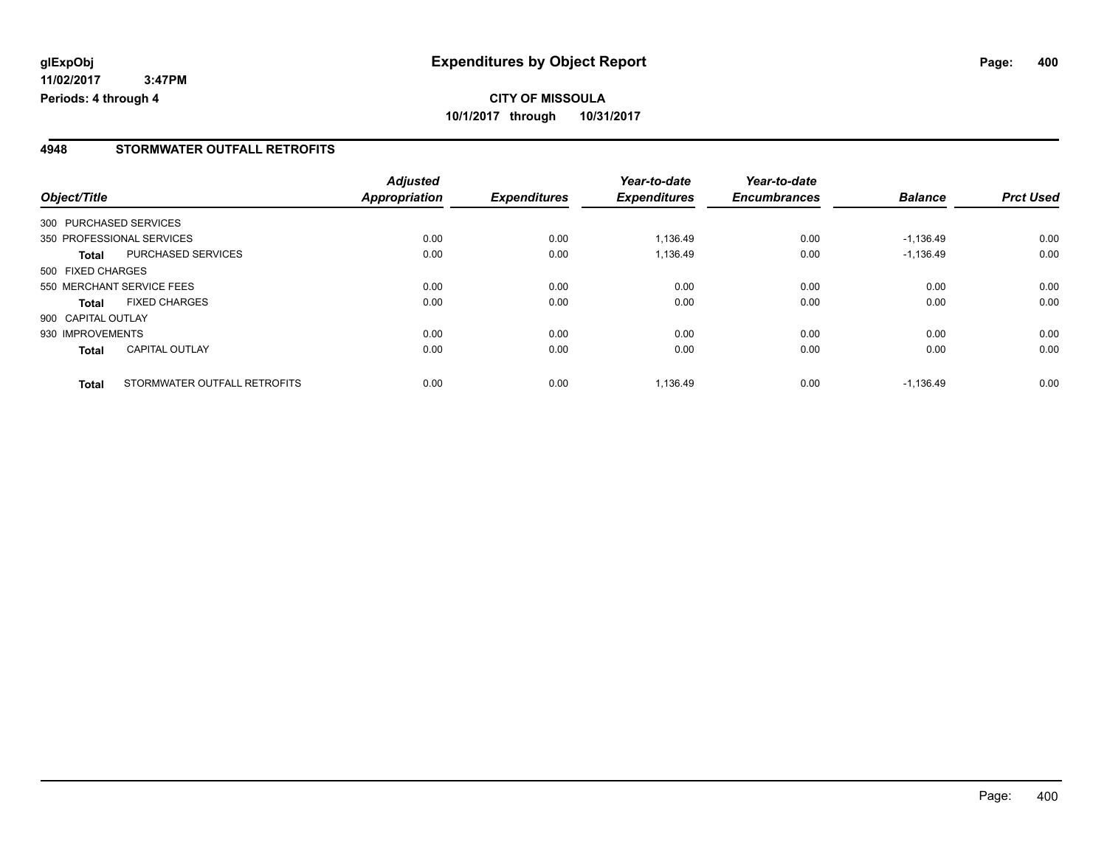**11/02/2017 3:47PM Periods: 4 through 4**

#### **4948 STORMWATER OUTFALL RETROFITS**

|                    |                              | <b>Adjusted</b> |                     | Year-to-date        | Year-to-date        |                |                  |
|--------------------|------------------------------|-----------------|---------------------|---------------------|---------------------|----------------|------------------|
| Object/Title       |                              | Appropriation   | <b>Expenditures</b> | <b>Expenditures</b> | <b>Encumbrances</b> | <b>Balance</b> | <b>Prct Used</b> |
|                    | 300 PURCHASED SERVICES       |                 |                     |                     |                     |                |                  |
|                    | 350 PROFESSIONAL SERVICES    | 0.00            | 0.00                | 1,136.49            | 0.00                | $-1,136.49$    | 0.00             |
| Total              | PURCHASED SERVICES           | 0.00            | 0.00                | 1,136.49            | 0.00                | $-1,136.49$    | 0.00             |
| 500 FIXED CHARGES  |                              |                 |                     |                     |                     |                |                  |
|                    | 550 MERCHANT SERVICE FEES    | 0.00            | 0.00                | 0.00                | 0.00                | 0.00           | 0.00             |
| <b>Total</b>       | <b>FIXED CHARGES</b>         | 0.00            | 0.00                | 0.00                | 0.00                | 0.00           | 0.00             |
| 900 CAPITAL OUTLAY |                              |                 |                     |                     |                     |                |                  |
| 930 IMPROVEMENTS   |                              | 0.00            | 0.00                | 0.00                | 0.00                | 0.00           | 0.00             |
| <b>Total</b>       | <b>CAPITAL OUTLAY</b>        | 0.00            | 0.00                | 0.00                | 0.00                | 0.00           | 0.00             |
| <b>Total</b>       | STORMWATER OUTFALL RETROFITS | 0.00            | 0.00                | 1,136.49            | 0.00                | $-1.136.49$    | 0.00             |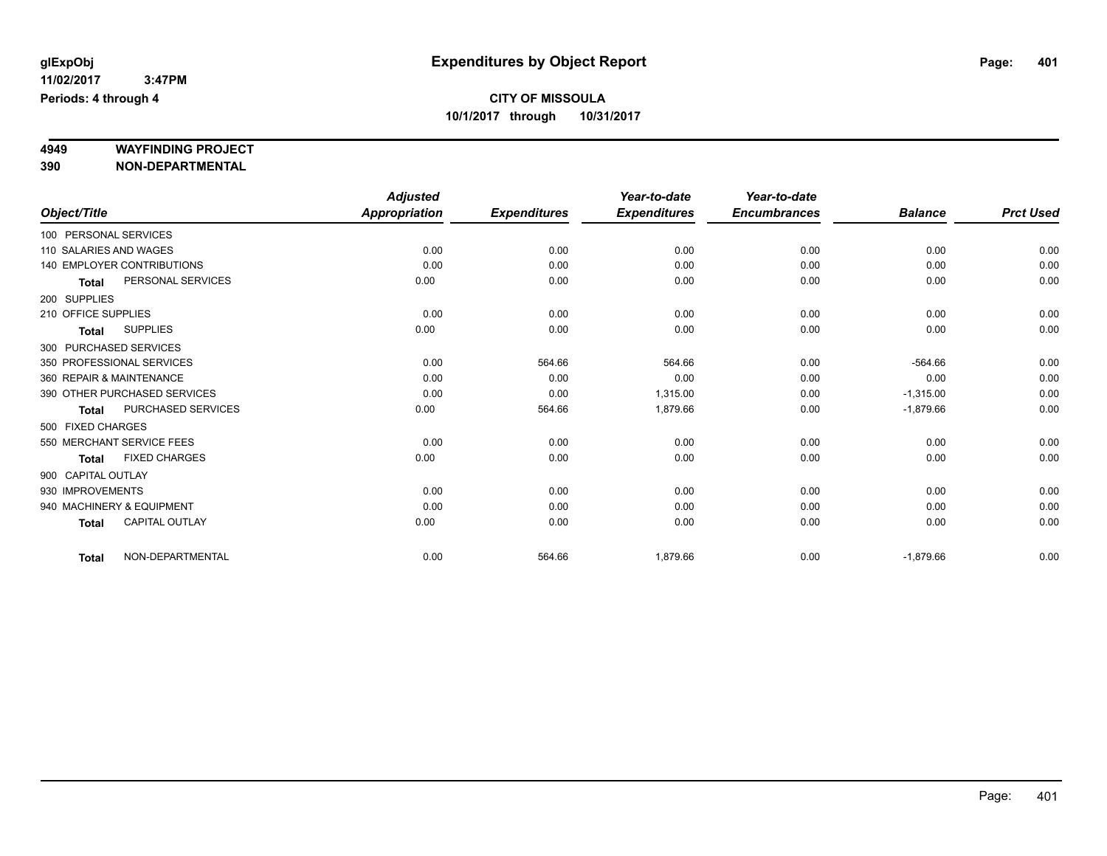# **4949 WAYFINDING PROJECT**

**390 NON-DEPARTMENTAL**

|                     |                                   | <b>Adjusted</b>      |                     | Year-to-date        | Year-to-date        |                |                  |
|---------------------|-----------------------------------|----------------------|---------------------|---------------------|---------------------|----------------|------------------|
| Object/Title        |                                   | <b>Appropriation</b> | <b>Expenditures</b> | <b>Expenditures</b> | <b>Encumbrances</b> | <b>Balance</b> | <b>Prct Used</b> |
|                     | 100 PERSONAL SERVICES             |                      |                     |                     |                     |                |                  |
|                     | 110 SALARIES AND WAGES            | 0.00                 | 0.00                | 0.00                | 0.00                | 0.00           | 0.00             |
|                     | <b>140 EMPLOYER CONTRIBUTIONS</b> | 0.00                 | 0.00                | 0.00                | 0.00                | 0.00           | 0.00             |
| <b>Total</b>        | PERSONAL SERVICES                 | 0.00                 | 0.00                | 0.00                | 0.00                | 0.00           | 0.00             |
| 200 SUPPLIES        |                                   |                      |                     |                     |                     |                |                  |
| 210 OFFICE SUPPLIES |                                   | 0.00                 | 0.00                | 0.00                | 0.00                | 0.00           | 0.00             |
| <b>Total</b>        | <b>SUPPLIES</b>                   | 0.00                 | 0.00                | 0.00                | 0.00                | 0.00           | 0.00             |
|                     | 300 PURCHASED SERVICES            |                      |                     |                     |                     |                |                  |
|                     | 350 PROFESSIONAL SERVICES         | 0.00                 | 564.66              | 564.66              | 0.00                | $-564.66$      | 0.00             |
|                     | 360 REPAIR & MAINTENANCE          | 0.00                 | 0.00                | 0.00                | 0.00                | 0.00           | 0.00             |
|                     | 390 OTHER PURCHASED SERVICES      | 0.00                 | 0.00                | 1,315.00            | 0.00                | $-1,315.00$    | 0.00             |
| <b>Total</b>        | <b>PURCHASED SERVICES</b>         | 0.00                 | 564.66              | 1,879.66            | 0.00                | $-1,879.66$    | 0.00             |
| 500 FIXED CHARGES   |                                   |                      |                     |                     |                     |                |                  |
|                     | 550 MERCHANT SERVICE FEES         | 0.00                 | 0.00                | 0.00                | 0.00                | 0.00           | 0.00             |
| <b>Total</b>        | <b>FIXED CHARGES</b>              | 0.00                 | 0.00                | 0.00                | 0.00                | 0.00           | 0.00             |
| 900 CAPITAL OUTLAY  |                                   |                      |                     |                     |                     |                |                  |
| 930 IMPROVEMENTS    |                                   | 0.00                 | 0.00                | 0.00                | 0.00                | 0.00           | 0.00             |
|                     | 940 MACHINERY & EQUIPMENT         | 0.00                 | 0.00                | 0.00                | 0.00                | 0.00           | 0.00             |
| <b>Total</b>        | <b>CAPITAL OUTLAY</b>             | 0.00                 | 0.00                | 0.00                | 0.00                | 0.00           | 0.00             |
| <b>Total</b>        | NON-DEPARTMENTAL                  | 0.00                 | 564.66              | 1,879.66            | 0.00                | $-1,879.66$    | 0.00             |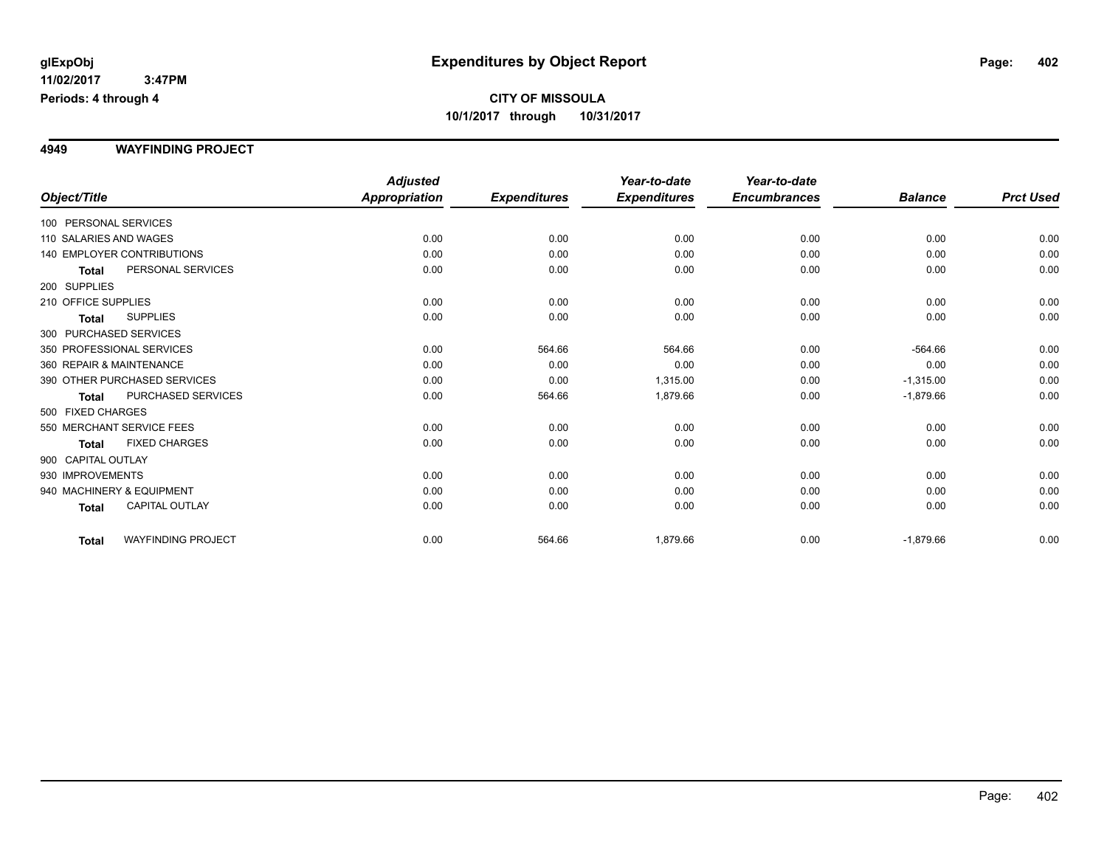#### **4949 WAYFINDING PROJECT**

|                           |                                   | <b>Adjusted</b>      |                     | Year-to-date        | Year-to-date        |                |                  |
|---------------------------|-----------------------------------|----------------------|---------------------|---------------------|---------------------|----------------|------------------|
| Object/Title              |                                   | <b>Appropriation</b> | <b>Expenditures</b> | <b>Expenditures</b> | <b>Encumbrances</b> | <b>Balance</b> | <b>Prct Used</b> |
| 100 PERSONAL SERVICES     |                                   |                      |                     |                     |                     |                |                  |
| 110 SALARIES AND WAGES    |                                   | 0.00                 | 0.00                | 0.00                | 0.00                | 0.00           | 0.00             |
|                           | <b>140 EMPLOYER CONTRIBUTIONS</b> | 0.00                 | 0.00                | 0.00                | 0.00                | 0.00           | 0.00             |
| <b>Total</b>              | PERSONAL SERVICES                 | 0.00                 | 0.00                | 0.00                | 0.00                | 0.00           | 0.00             |
| 200 SUPPLIES              |                                   |                      |                     |                     |                     |                |                  |
| 210 OFFICE SUPPLIES       |                                   | 0.00                 | 0.00                | 0.00                | 0.00                | 0.00           | 0.00             |
| Total                     | <b>SUPPLIES</b>                   | 0.00                 | 0.00                | 0.00                | 0.00                | 0.00           | 0.00             |
| 300 PURCHASED SERVICES    |                                   |                      |                     |                     |                     |                |                  |
| 350 PROFESSIONAL SERVICES |                                   | 0.00                 | 564.66              | 564.66              | 0.00                | $-564.66$      | 0.00             |
| 360 REPAIR & MAINTENANCE  |                                   | 0.00                 | 0.00                | 0.00                | 0.00                | 0.00           | 0.00             |
|                           | 390 OTHER PURCHASED SERVICES      | 0.00                 | 0.00                | 1,315.00            | 0.00                | $-1,315.00$    | 0.00             |
| <b>Total</b>              | PURCHASED SERVICES                | 0.00                 | 564.66              | 1,879.66            | 0.00                | $-1,879.66$    | 0.00             |
| 500 FIXED CHARGES         |                                   |                      |                     |                     |                     |                |                  |
|                           | 550 MERCHANT SERVICE FEES         | 0.00                 | 0.00                | 0.00                | 0.00                | 0.00           | 0.00             |
| Total                     | <b>FIXED CHARGES</b>              | 0.00                 | 0.00                | 0.00                | 0.00                | 0.00           | 0.00             |
| 900 CAPITAL OUTLAY        |                                   |                      |                     |                     |                     |                |                  |
| 930 IMPROVEMENTS          |                                   | 0.00                 | 0.00                | 0.00                | 0.00                | 0.00           | 0.00             |
| 940 MACHINERY & EQUIPMENT |                                   | 0.00                 | 0.00                | 0.00                | 0.00                | 0.00           | 0.00             |
| <b>Total</b>              | <b>CAPITAL OUTLAY</b>             | 0.00                 | 0.00                | 0.00                | 0.00                | 0.00           | 0.00             |
| <b>Total</b>              | <b>WAYFINDING PROJECT</b>         | 0.00                 | 564.66              | 1,879.66            | 0.00                | $-1,879.66$    | 0.00             |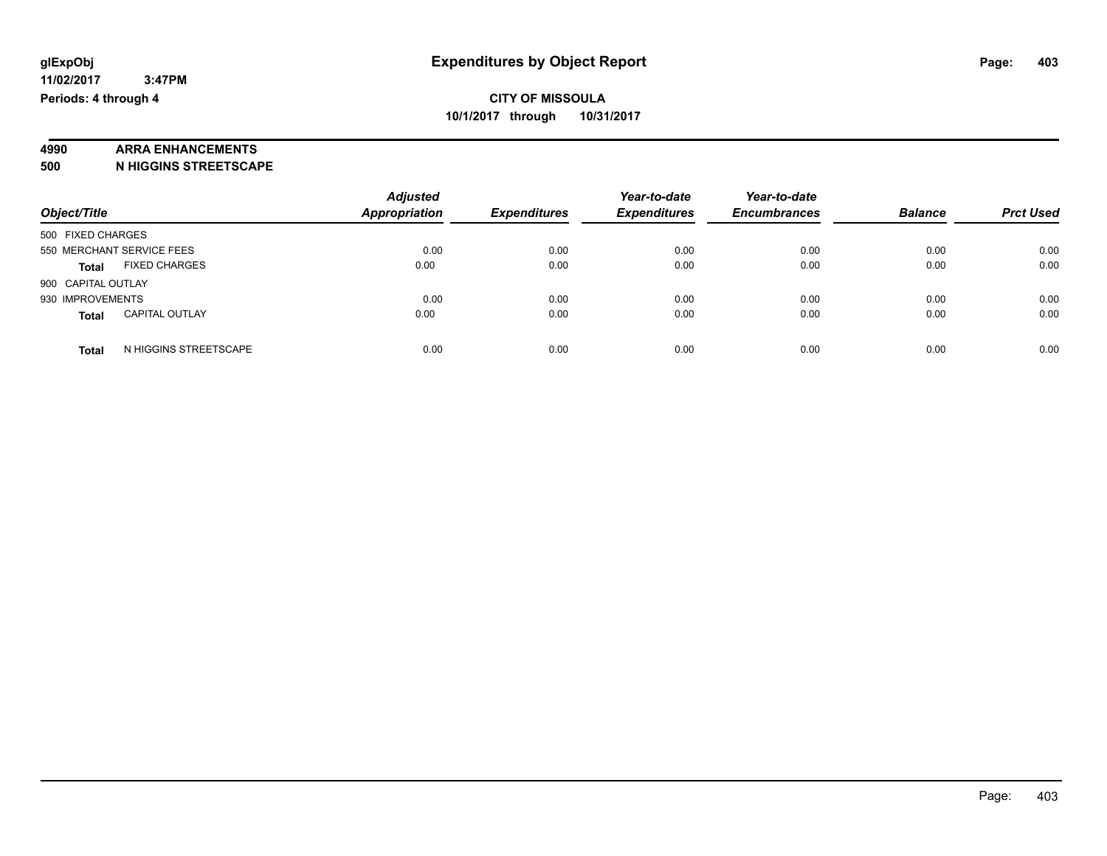### **4990 ARRA ENHANCEMENTS**

**500 N HIGGINS STREETSCAPE**

| Object/Title                          | <b>Adjusted</b><br>Appropriation | <b>Expenditures</b> | Year-to-date<br><b>Expenditures</b> | Year-to-date<br><b>Encumbrances</b> | <b>Balance</b> | <b>Prct Used</b> |
|---------------------------------------|----------------------------------|---------------------|-------------------------------------|-------------------------------------|----------------|------------------|
| 500 FIXED CHARGES                     |                                  |                     |                                     |                                     |                |                  |
| 550 MERCHANT SERVICE FEES             | 0.00                             | 0.00                | 0.00                                | 0.00                                | 0.00           | 0.00             |
| <b>FIXED CHARGES</b><br><b>Total</b>  | 0.00                             | 0.00                | 0.00                                | 0.00                                | 0.00           | 0.00             |
| 900 CAPITAL OUTLAY                    |                                  |                     |                                     |                                     |                |                  |
| 930 IMPROVEMENTS                      | 0.00                             | 0.00                | 0.00                                | 0.00                                | 0.00           | 0.00             |
| <b>CAPITAL OUTLAY</b><br><b>Total</b> | 0.00                             | 0.00                | 0.00                                | 0.00                                | 0.00           | 0.00             |
| N HIGGINS STREETSCAPE<br><b>Total</b> | 0.00                             | 0.00                | 0.00                                | 0.00                                | 0.00           | 0.00             |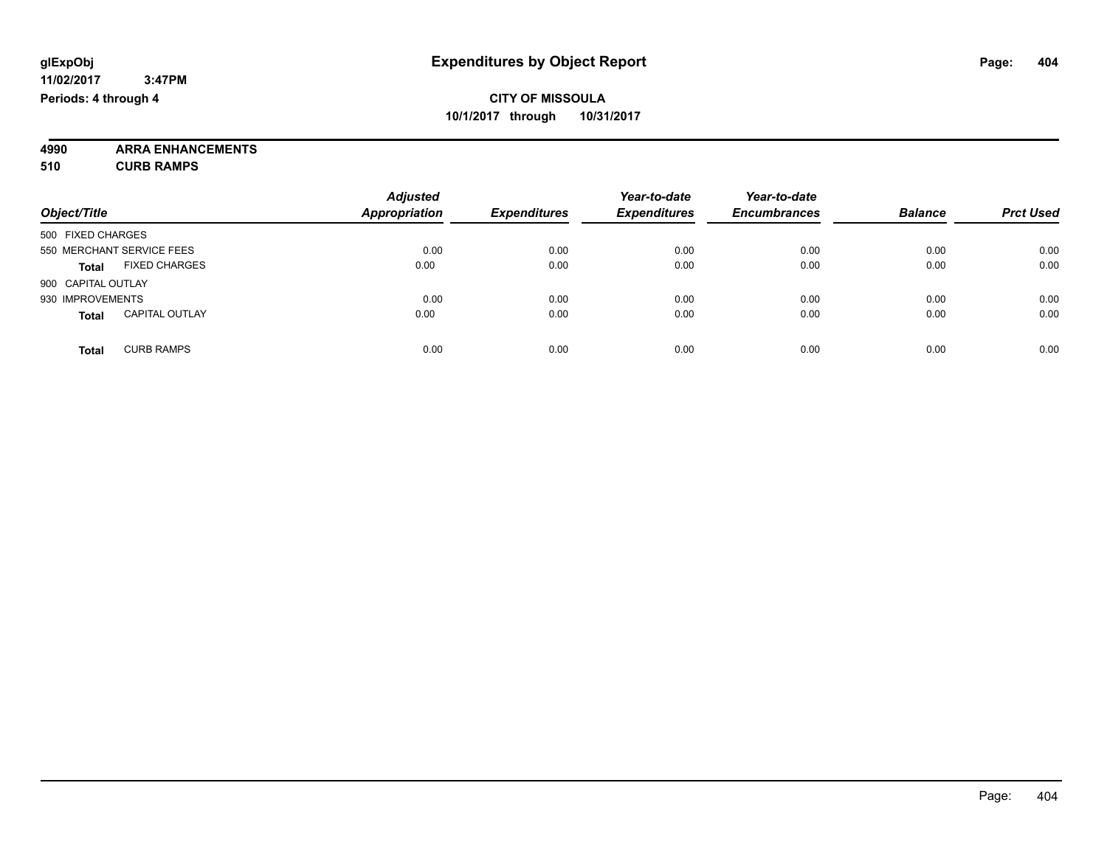**4990 ARRA ENHANCEMENTS 510 CURB RAMPS**

|                                       | <b>Adjusted</b>      |                     | Year-to-date        | Year-to-date        |                |                  |
|---------------------------------------|----------------------|---------------------|---------------------|---------------------|----------------|------------------|
| Object/Title                          | <b>Appropriation</b> | <b>Expenditures</b> | <b>Expenditures</b> | <b>Encumbrances</b> | <b>Balance</b> | <b>Prct Used</b> |
| 500 FIXED CHARGES                     |                      |                     |                     |                     |                |                  |
| 550 MERCHANT SERVICE FEES             | 0.00                 | 0.00                | 0.00                | 0.00                | 0.00           | 0.00             |
| <b>FIXED CHARGES</b><br><b>Total</b>  | 0.00                 | 0.00                | 0.00                | 0.00                | 0.00           | 0.00             |
| 900 CAPITAL OUTLAY                    |                      |                     |                     |                     |                |                  |
| 930 IMPROVEMENTS                      | 0.00                 | 0.00                | 0.00                | 0.00                | 0.00           | 0.00             |
| <b>CAPITAL OUTLAY</b><br><b>Total</b> | 0.00                 | 0.00                | 0.00                | 0.00                | 0.00           | 0.00             |
| <b>CURB RAMPS</b><br><b>Total</b>     | 0.00                 | 0.00                | 0.00                | 0.00                | 0.00           | 0.00             |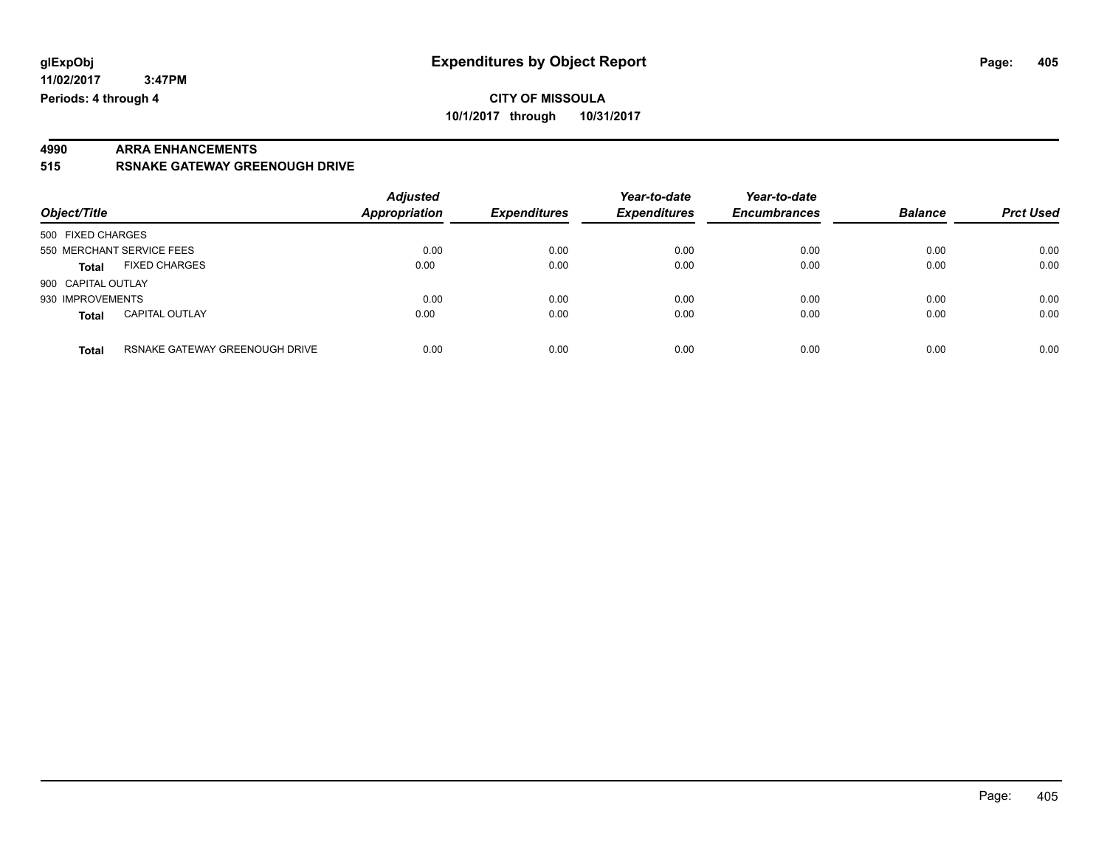**11/02/2017 3:47PM Periods: 4 through 4**

**10/1/2017 through 10/31/2017**

# **4990 ARRA ENHANCEMENTS**

**515 RSNAKE GATEWAY GREENOUGH DRIVE**

| Object/Title       |                                | <b>Adjusted</b><br>Appropriation | <b>Expenditures</b> | Year-to-date<br><b>Expenditures</b> | Year-to-date<br><b>Encumbrances</b> | <b>Balance</b> | <b>Prct Used</b> |
|--------------------|--------------------------------|----------------------------------|---------------------|-------------------------------------|-------------------------------------|----------------|------------------|
| 500 FIXED CHARGES  |                                |                                  |                     |                                     |                                     |                |                  |
|                    | 550 MERCHANT SERVICE FEES      | 0.00                             | 0.00                | 0.00                                | 0.00                                | 0.00           | 0.00             |
| <b>Total</b>       | <b>FIXED CHARGES</b>           | 0.00                             | 0.00                | 0.00                                | 0.00                                | 0.00           | 0.00             |
| 900 CAPITAL OUTLAY |                                |                                  |                     |                                     |                                     |                |                  |
| 930 IMPROVEMENTS   |                                | 0.00                             | 0.00                | 0.00                                | 0.00                                | 0.00           | 0.00             |
| <b>Total</b>       | <b>CAPITAL OUTLAY</b>          | 0.00                             | 0.00                | 0.00                                | 0.00                                | 0.00           | 0.00             |
| <b>Total</b>       | RSNAKE GATEWAY GREENOUGH DRIVE | 0.00                             | 0.00                | 0.00                                | 0.00                                | 0.00           | 0.00             |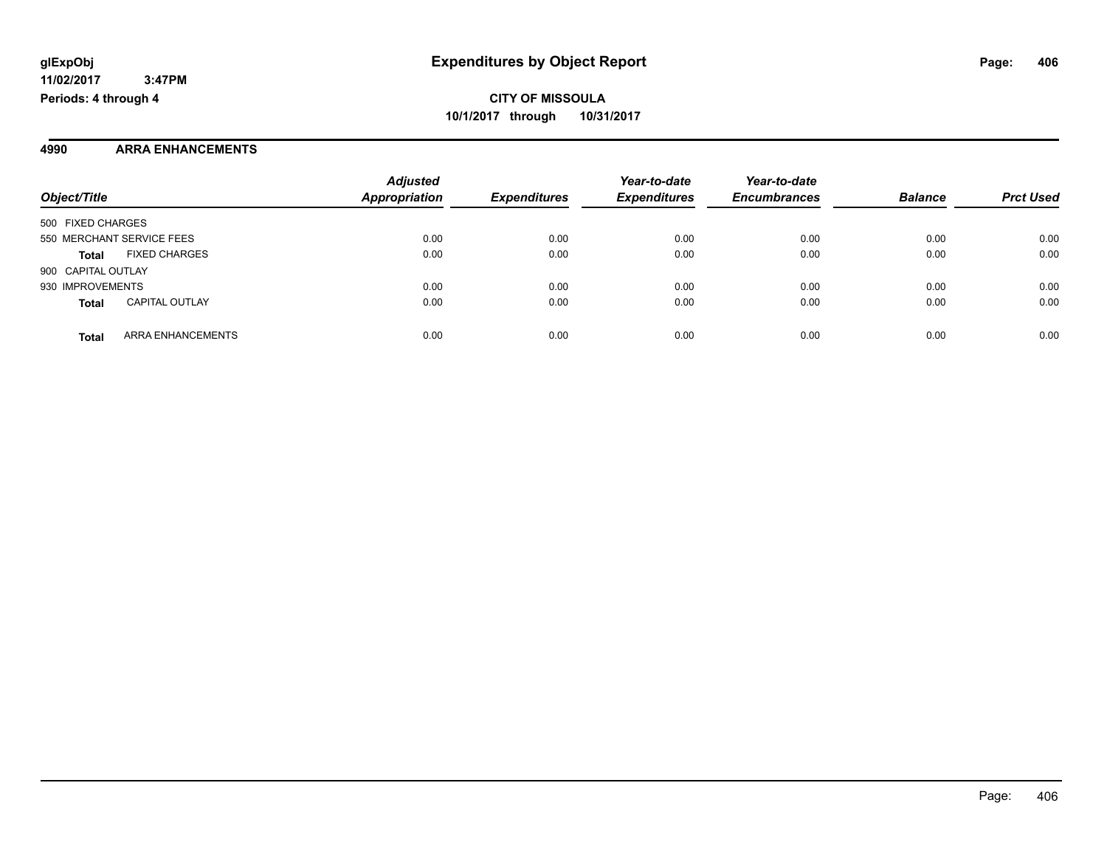#### **4990 ARRA ENHANCEMENTS**

|                                          | <b>Adjusted</b>      |                     | Year-to-date        | Year-to-date        |                |                  |
|------------------------------------------|----------------------|---------------------|---------------------|---------------------|----------------|------------------|
| Object/Title                             | <b>Appropriation</b> | <b>Expenditures</b> | <b>Expenditures</b> | <b>Encumbrances</b> | <b>Balance</b> | <b>Prct Used</b> |
| 500 FIXED CHARGES                        |                      |                     |                     |                     |                |                  |
| 550 MERCHANT SERVICE FEES                | 0.00                 | 0.00                | 0.00                | 0.00                | 0.00           | 0.00             |
| <b>FIXED CHARGES</b><br><b>Total</b>     | 0.00                 | 0.00                | 0.00                | 0.00                | 0.00           | 0.00             |
| 900 CAPITAL OUTLAY                       |                      |                     |                     |                     |                |                  |
| 930 IMPROVEMENTS                         | 0.00                 | 0.00                | 0.00                | 0.00                | 0.00           | 0.00             |
| <b>CAPITAL OUTLAY</b><br><b>Total</b>    | 0.00                 | 0.00                | 0.00                | 0.00                | 0.00           | 0.00             |
| <b>ARRA ENHANCEMENTS</b><br><b>Total</b> | 0.00                 | 0.00                | 0.00                | 0.00                | 0.00           | 0.00             |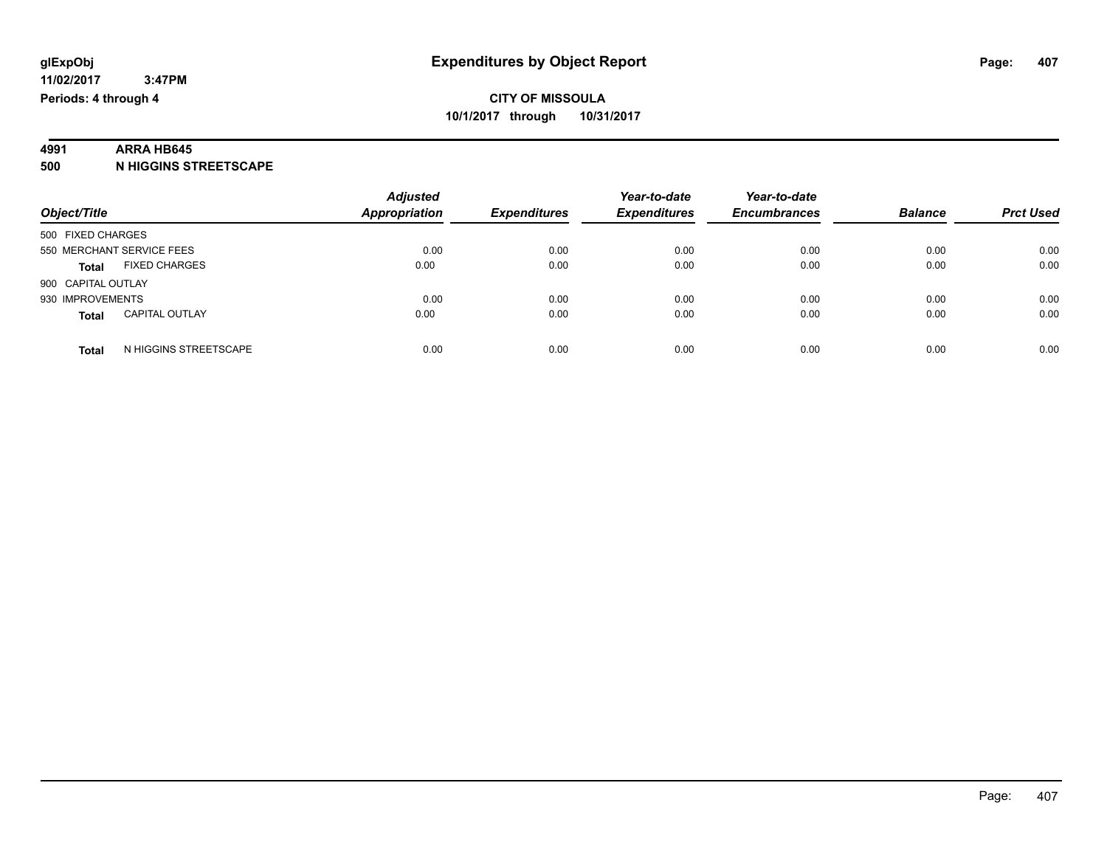### **4991 ARRA HB645**

**500 N HIGGINS STREETSCAPE**

|                                       | <b>Adjusted</b>      |                     | Year-to-date        | Year-to-date        |                |                  |
|---------------------------------------|----------------------|---------------------|---------------------|---------------------|----------------|------------------|
| Object/Title                          | <b>Appropriation</b> | <b>Expenditures</b> | <b>Expenditures</b> | <b>Encumbrances</b> | <b>Balance</b> | <b>Prct Used</b> |
| 500 FIXED CHARGES                     |                      |                     |                     |                     |                |                  |
| 550 MERCHANT SERVICE FEES             | 0.00                 | 0.00                | 0.00                | 0.00                | 0.00           | 0.00             |
| <b>FIXED CHARGES</b><br><b>Total</b>  | 0.00                 | 0.00                | 0.00                | 0.00                | 0.00           | 0.00             |
| 900 CAPITAL OUTLAY                    |                      |                     |                     |                     |                |                  |
| 930 IMPROVEMENTS                      | 0.00                 | 0.00                | 0.00                | 0.00                | 0.00           | 0.00             |
| <b>CAPITAL OUTLAY</b><br><b>Total</b> | 0.00                 | 0.00                | 0.00                | 0.00                | 0.00           | 0.00             |
| N HIGGINS STREETSCAPE<br><b>Total</b> | 0.00                 | 0.00                | 0.00                | 0.00                | 0.00           | 0.00             |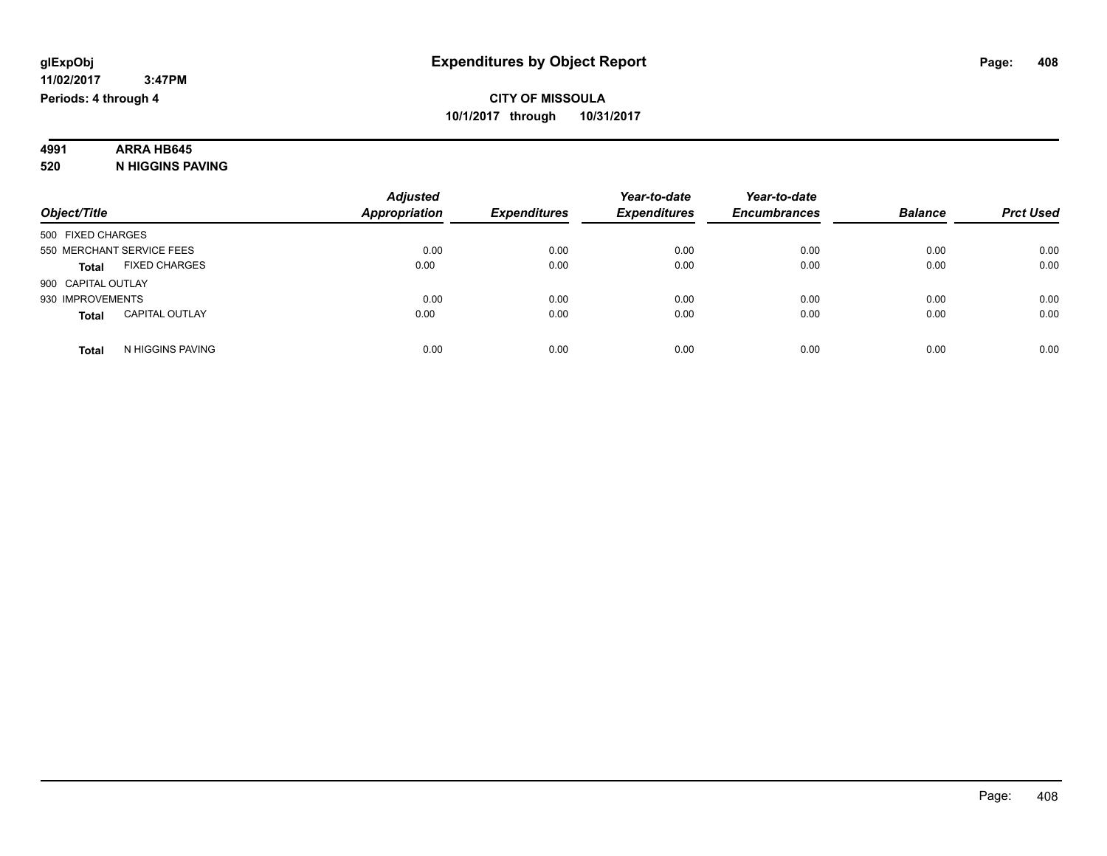### **4991 ARRA HB645**

**520 N HIGGINS PAVING**

|                                       | <b>Adjusted</b>      |                     | Year-to-date        | Year-to-date        |                |                  |
|---------------------------------------|----------------------|---------------------|---------------------|---------------------|----------------|------------------|
| Object/Title                          | <b>Appropriation</b> | <b>Expenditures</b> | <b>Expenditures</b> | <b>Encumbrances</b> | <b>Balance</b> | <b>Prct Used</b> |
| 500 FIXED CHARGES                     |                      |                     |                     |                     |                |                  |
| 550 MERCHANT SERVICE FEES             | 0.00                 | 0.00                | 0.00                | 0.00                | 0.00           | 0.00             |
| <b>FIXED CHARGES</b><br><b>Total</b>  | 0.00                 | 0.00                | 0.00                | 0.00                | 0.00           | 0.00             |
| 900 CAPITAL OUTLAY                    |                      |                     |                     |                     |                |                  |
| 930 IMPROVEMENTS                      | 0.00                 | 0.00                | 0.00                | 0.00                | 0.00           | 0.00             |
| <b>CAPITAL OUTLAY</b><br><b>Total</b> | 0.00                 | 0.00                | 0.00                | 0.00                | 0.00           | 0.00             |
| N HIGGINS PAVING<br>Total             | 0.00                 | 0.00                | 0.00                | 0.00                | 0.00           | 0.00             |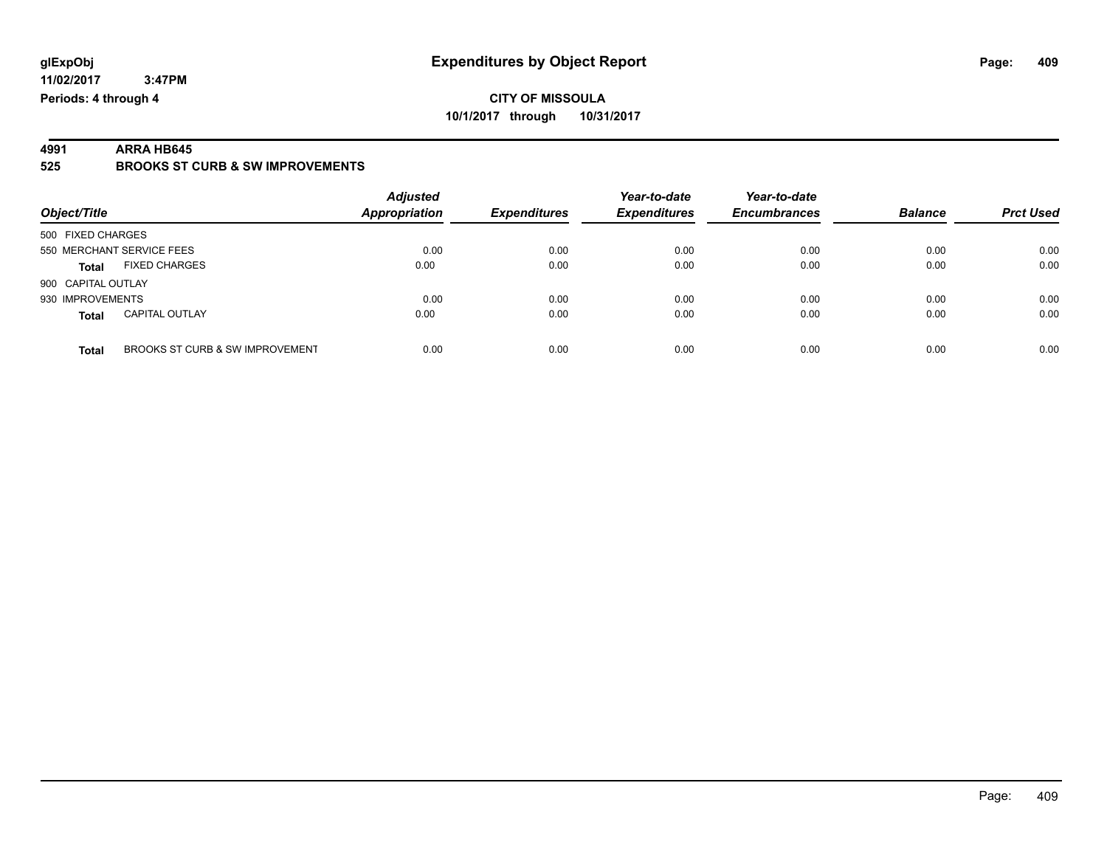**4991 ARRA HB645 525 BROOKS ST CURB & SW IMPROVEMENTS**

| Object/Title                             | <b>Adjusted</b><br>Appropriation | <b>Expenditures</b> | Year-to-date<br><b>Expenditures</b> | Year-to-date<br><b>Encumbrances</b> | <b>Balance</b> | <b>Prct Used</b> |
|------------------------------------------|----------------------------------|---------------------|-------------------------------------|-------------------------------------|----------------|------------------|
| 500 FIXED CHARGES                        |                                  |                     |                                     |                                     |                |                  |
| 550 MERCHANT SERVICE FEES                | 0.00                             | 0.00                | 0.00                                | 0.00                                | 0.00           | 0.00             |
| <b>FIXED CHARGES</b><br><b>Total</b>     | 0.00                             | 0.00                | 0.00                                | 0.00                                | 0.00           | 0.00             |
| 900 CAPITAL OUTLAY                       |                                  |                     |                                     |                                     |                |                  |
| 930 IMPROVEMENTS                         | 0.00                             | 0.00                | 0.00                                | 0.00                                | 0.00           | 0.00             |
| <b>CAPITAL OUTLAY</b><br><b>Total</b>    | 0.00                             | 0.00                | 0.00                                | 0.00                                | 0.00           | 0.00             |
| BROOKS ST CURB & SW IMPROVEMENT<br>Total | 0.00                             | 0.00                | 0.00                                | 0.00                                | 0.00           | 0.00             |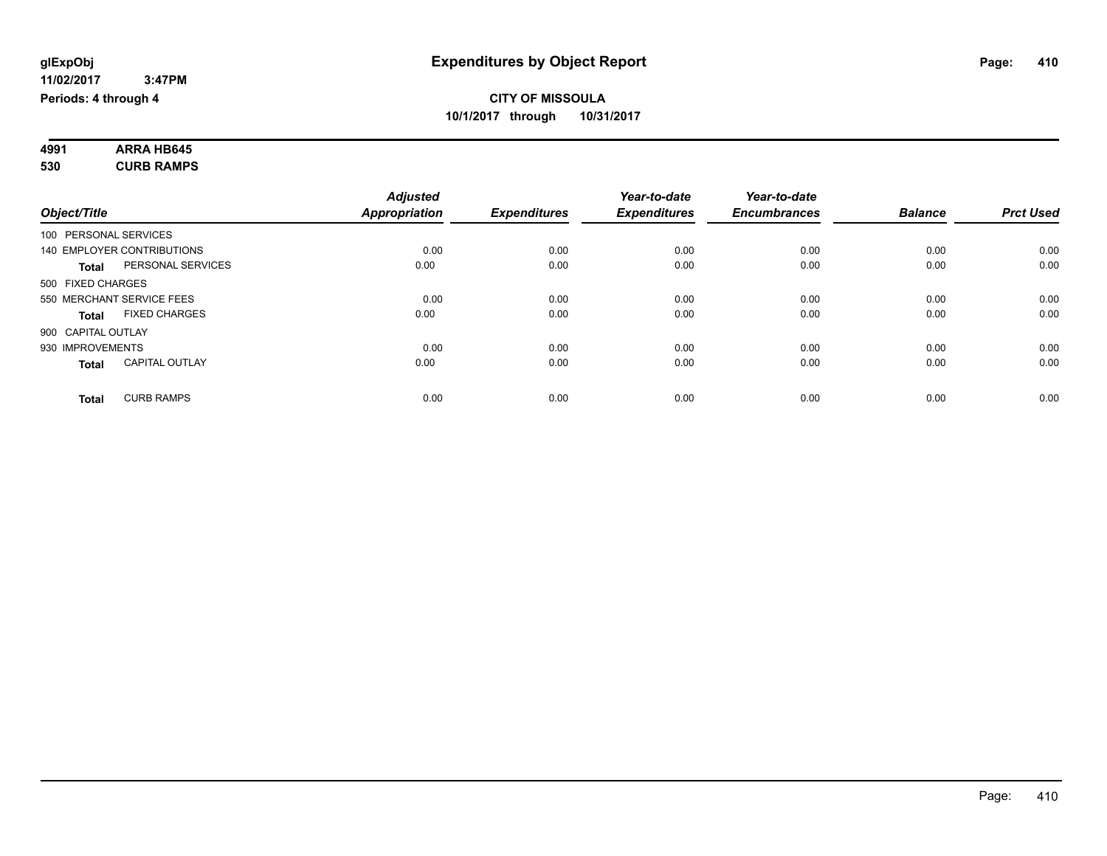| 4991 | <b>ARRA HB645</b> |  |
|------|-------------------|--|
| 530  | <b>CURB RAMPS</b> |  |

|                       |                            | <b>Adjusted</b>      |                     | Year-to-date        | Year-to-date        |                |                  |
|-----------------------|----------------------------|----------------------|---------------------|---------------------|---------------------|----------------|------------------|
| Object/Title          |                            | <b>Appropriation</b> | <b>Expenditures</b> | <b>Expenditures</b> | <b>Encumbrances</b> | <b>Balance</b> | <b>Prct Used</b> |
| 100 PERSONAL SERVICES |                            |                      |                     |                     |                     |                |                  |
|                       | 140 EMPLOYER CONTRIBUTIONS | 0.00                 | 0.00                | 0.00                | 0.00                | 0.00           | 0.00             |
| <b>Total</b>          | PERSONAL SERVICES          | 0.00                 | 0.00                | 0.00                | 0.00                | 0.00           | 0.00             |
| 500 FIXED CHARGES     |                            |                      |                     |                     |                     |                |                  |
|                       | 550 MERCHANT SERVICE FEES  | 0.00                 | 0.00                | 0.00                | 0.00                | 0.00           | 0.00             |
| <b>Total</b>          | <b>FIXED CHARGES</b>       | 0.00                 | 0.00                | 0.00                | 0.00                | 0.00           | 0.00             |
| 900 CAPITAL OUTLAY    |                            |                      |                     |                     |                     |                |                  |
| 930 IMPROVEMENTS      |                            | 0.00                 | 0.00                | 0.00                | 0.00                | 0.00           | 0.00             |
| <b>Total</b>          | <b>CAPITAL OUTLAY</b>      | 0.00                 | 0.00                | 0.00                | 0.00                | 0.00           | 0.00             |
| <b>Total</b>          | <b>CURB RAMPS</b>          | 0.00                 | 0.00                | 0.00                | 0.00                | 0.00           | 0.00             |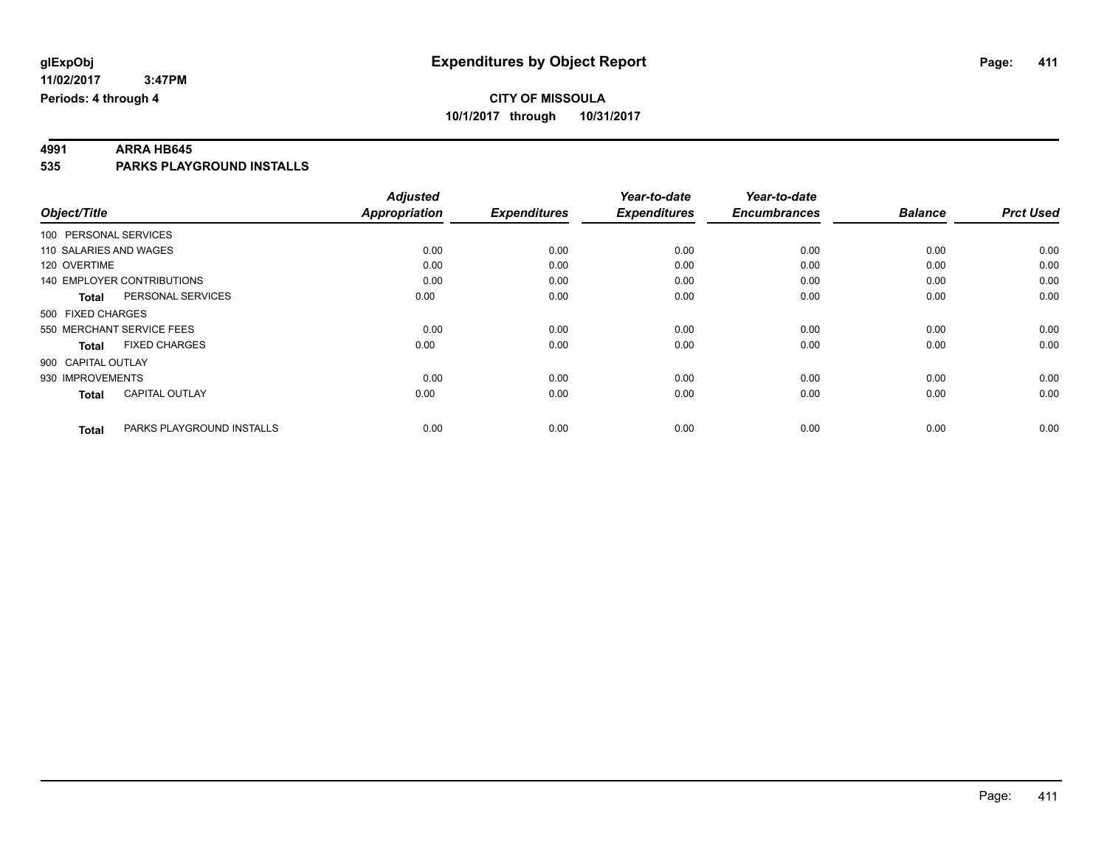# **4991 ARRA HB645**

**535 PARKS PLAYGROUND INSTALLS**

|                        |                                   | <b>Adjusted</b>      |                     | Year-to-date        | Year-to-date        |                |                  |
|------------------------|-----------------------------------|----------------------|---------------------|---------------------|---------------------|----------------|------------------|
| Object/Title           |                                   | <b>Appropriation</b> | <b>Expenditures</b> | <b>Expenditures</b> | <b>Encumbrances</b> | <b>Balance</b> | <b>Prct Used</b> |
| 100 PERSONAL SERVICES  |                                   |                      |                     |                     |                     |                |                  |
| 110 SALARIES AND WAGES |                                   | 0.00                 | 0.00                | 0.00                | 0.00                | 0.00           | 0.00             |
| 120 OVERTIME           |                                   | 0.00                 | 0.00                | 0.00                | 0.00                | 0.00           | 0.00             |
|                        | <b>140 EMPLOYER CONTRIBUTIONS</b> | 0.00                 | 0.00                | 0.00                | 0.00                | 0.00           | 0.00             |
| <b>Total</b>           | PERSONAL SERVICES                 | 0.00                 | 0.00                | 0.00                | 0.00                | 0.00           | 0.00             |
| 500 FIXED CHARGES      |                                   |                      |                     |                     |                     |                |                  |
|                        | 550 MERCHANT SERVICE FEES         | 0.00                 | 0.00                | 0.00                | 0.00                | 0.00           | 0.00             |
| <b>Total</b>           | <b>FIXED CHARGES</b>              | 0.00                 | 0.00                | 0.00                | 0.00                | 0.00           | 0.00             |
| 900 CAPITAL OUTLAY     |                                   |                      |                     |                     |                     |                |                  |
| 930 IMPROVEMENTS       |                                   | 0.00                 | 0.00                | 0.00                | 0.00                | 0.00           | 0.00             |
| <b>Total</b>           | <b>CAPITAL OUTLAY</b>             | 0.00                 | 0.00                | 0.00                | 0.00                | 0.00           | 0.00             |
| <b>Total</b>           | PARKS PLAYGROUND INSTALLS         | 0.00                 | 0.00                | 0.00                | 0.00                | 0.00           | 0.00             |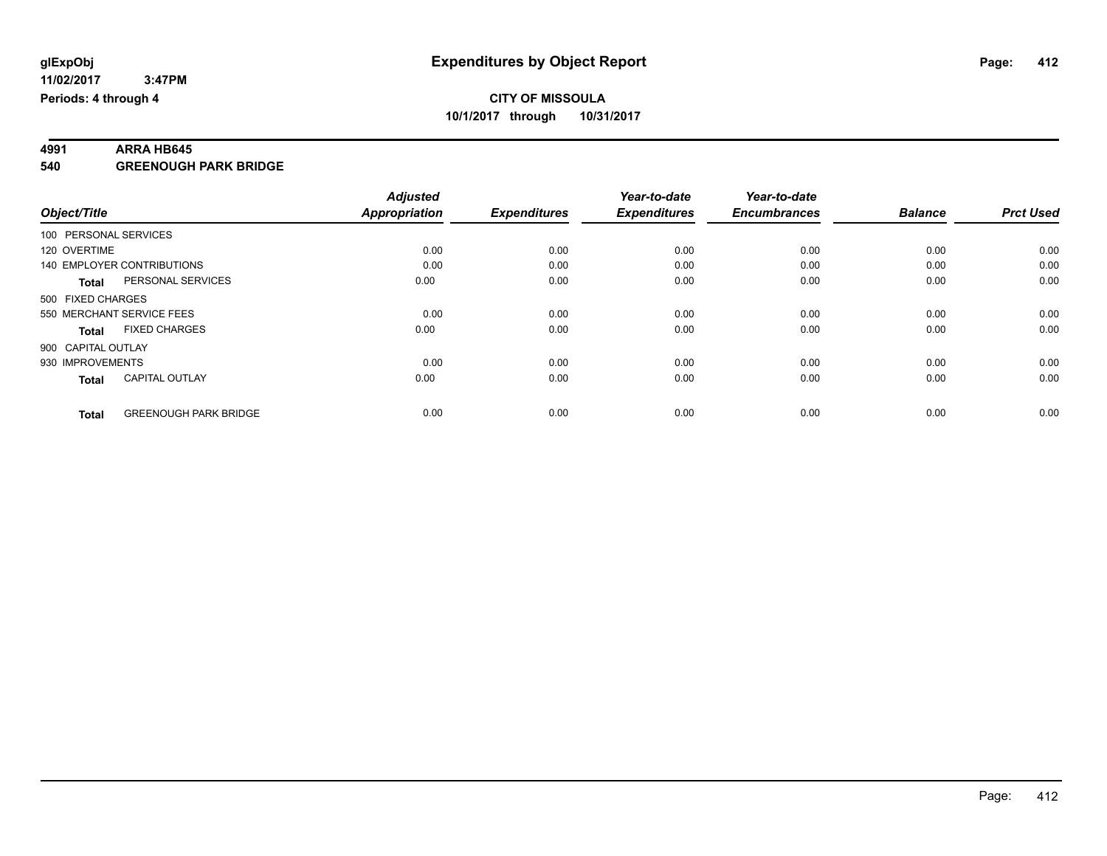# **4991 ARRA HB645**

**540 GREENOUGH PARK BRIDGE**

|                       |                                   | <b>Adjusted</b>      |                     | Year-to-date        | Year-to-date        |                |                  |
|-----------------------|-----------------------------------|----------------------|---------------------|---------------------|---------------------|----------------|------------------|
| Object/Title          |                                   | <b>Appropriation</b> | <b>Expenditures</b> | <b>Expenditures</b> | <b>Encumbrances</b> | <b>Balance</b> | <b>Prct Used</b> |
| 100 PERSONAL SERVICES |                                   |                      |                     |                     |                     |                |                  |
| 120 OVERTIME          |                                   | 0.00                 | 0.00                | 0.00                | 0.00                | 0.00           | 0.00             |
|                       | <b>140 EMPLOYER CONTRIBUTIONS</b> | 0.00                 | 0.00                | 0.00                | 0.00                | 0.00           | 0.00             |
| <b>Total</b>          | PERSONAL SERVICES                 | 0.00                 | 0.00                | 0.00                | 0.00                | 0.00           | 0.00             |
| 500 FIXED CHARGES     |                                   |                      |                     |                     |                     |                |                  |
|                       | 550 MERCHANT SERVICE FEES         | 0.00                 | 0.00                | 0.00                | 0.00                | 0.00           | 0.00             |
| <b>Total</b>          | <b>FIXED CHARGES</b>              | 0.00                 | 0.00                | 0.00                | 0.00                | 0.00           | 0.00             |
| 900 CAPITAL OUTLAY    |                                   |                      |                     |                     |                     |                |                  |
| 930 IMPROVEMENTS      |                                   | 0.00                 | 0.00                | 0.00                | 0.00                | 0.00           | 0.00             |
| <b>Total</b>          | <b>CAPITAL OUTLAY</b>             | 0.00                 | 0.00                | 0.00                | 0.00                | 0.00           | 0.00             |
|                       |                                   |                      |                     |                     |                     |                |                  |
| <b>Total</b>          | <b>GREENOUGH PARK BRIDGE</b>      | 0.00                 | 0.00                | 0.00                | 0.00                | 0.00           | 0.00             |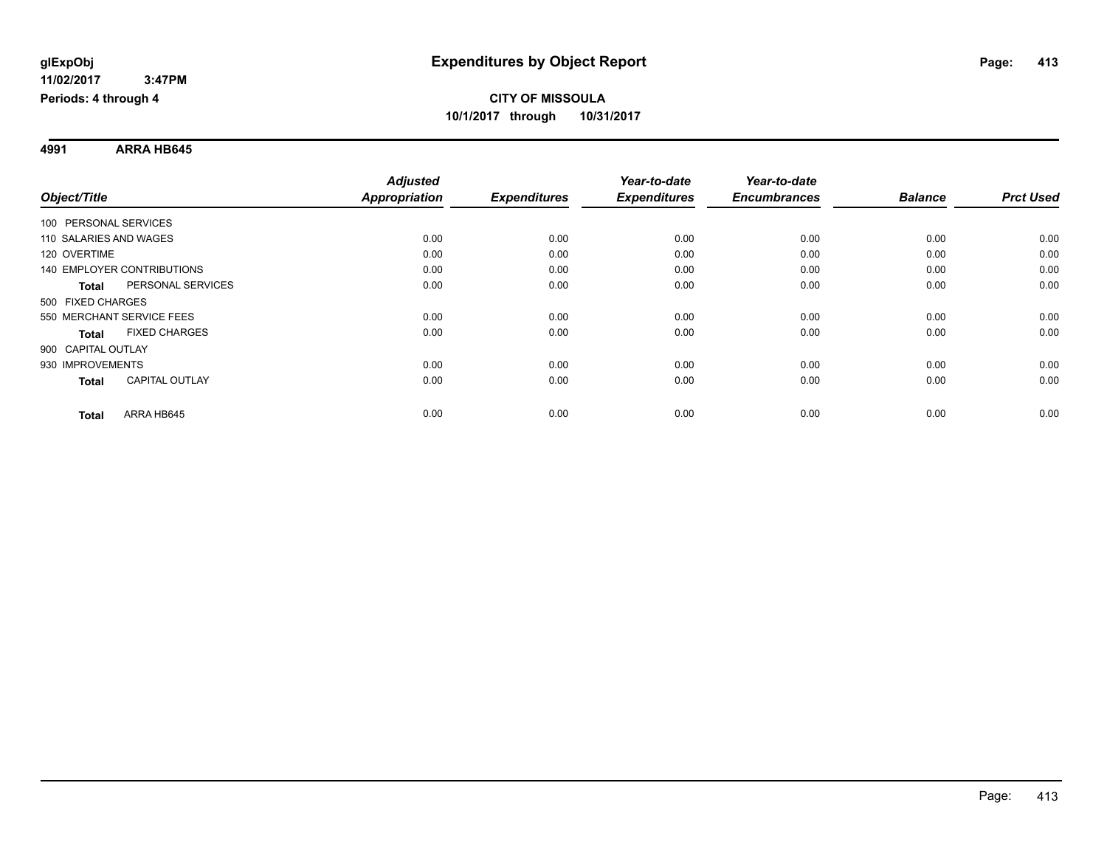**4991 ARRA HB645**

|                                       | <b>Adjusted</b>      |                     | Year-to-date        | Year-to-date        |                |                  |
|---------------------------------------|----------------------|---------------------|---------------------|---------------------|----------------|------------------|
| Object/Title                          | <b>Appropriation</b> | <b>Expenditures</b> | <b>Expenditures</b> | <b>Encumbrances</b> | <b>Balance</b> | <b>Prct Used</b> |
| 100 PERSONAL SERVICES                 |                      |                     |                     |                     |                |                  |
| 110 SALARIES AND WAGES                | 0.00                 | 0.00                | 0.00                | 0.00                | 0.00           | 0.00             |
| 120 OVERTIME                          | 0.00                 | 0.00                | 0.00                | 0.00                | 0.00           | 0.00             |
| 140 EMPLOYER CONTRIBUTIONS            | 0.00                 | 0.00                | 0.00                | 0.00                | 0.00           | 0.00             |
| PERSONAL SERVICES<br><b>Total</b>     | 0.00                 | 0.00                | 0.00                | 0.00                | 0.00           | 0.00             |
| 500 FIXED CHARGES                     |                      |                     |                     |                     |                |                  |
| 550 MERCHANT SERVICE FEES             | 0.00                 | 0.00                | 0.00                | 0.00                | 0.00           | 0.00             |
| <b>FIXED CHARGES</b><br><b>Total</b>  | 0.00                 | 0.00                | 0.00                | 0.00                | 0.00           | 0.00             |
| 900 CAPITAL OUTLAY                    |                      |                     |                     |                     |                |                  |
| 930 IMPROVEMENTS                      | 0.00                 | 0.00                | 0.00                | 0.00                | 0.00           | 0.00             |
| <b>CAPITAL OUTLAY</b><br><b>Total</b> | 0.00                 | 0.00                | 0.00                | 0.00                | 0.00           | 0.00             |
| ARRA HB645<br><b>Total</b>            | 0.00                 | 0.00                | 0.00                | 0.00                | 0.00           | 0.00             |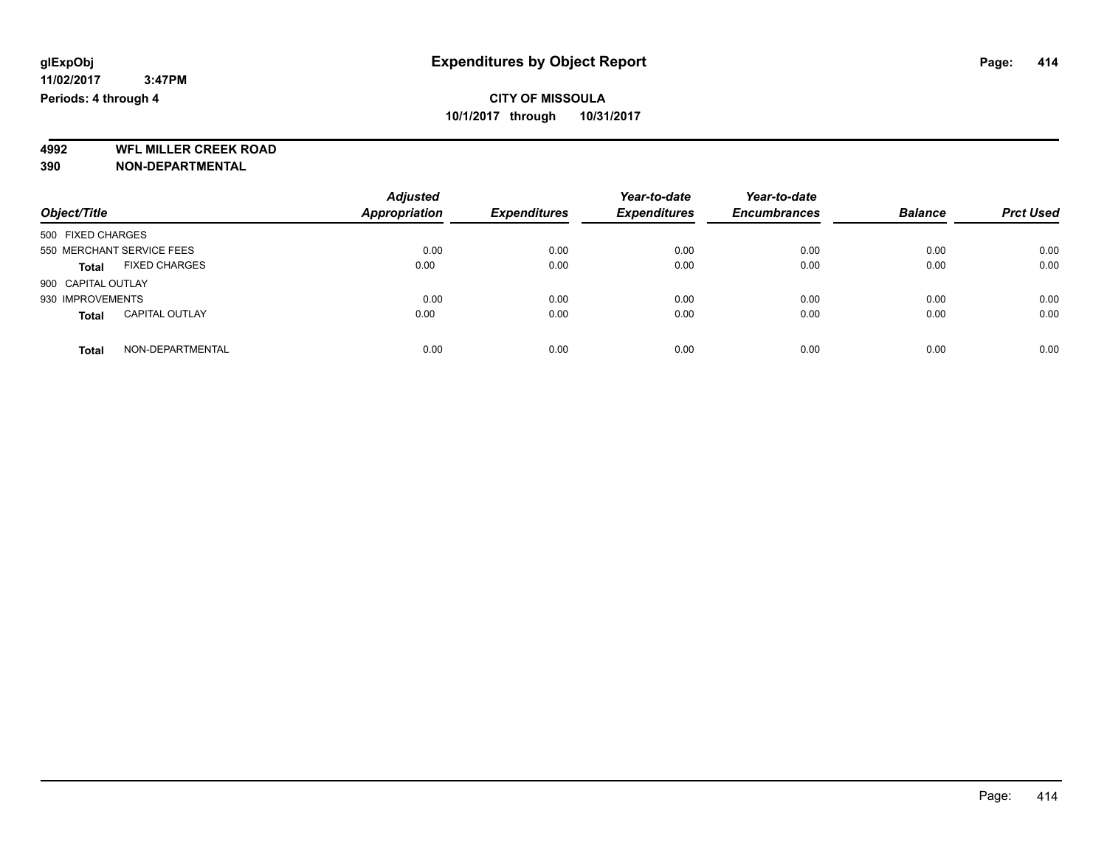**4992 WFL MILLER CREEK ROAD 390 NON-DEPARTMENTAL**

| Object/Title              |                       | <b>Adjusted</b><br><b>Appropriation</b> | <b>Expenditures</b> | Year-to-date<br><b>Expenditures</b> | Year-to-date<br><b>Encumbrances</b> | <b>Balance</b> | <b>Prct Used</b> |
|---------------------------|-----------------------|-----------------------------------------|---------------------|-------------------------------------|-------------------------------------|----------------|------------------|
| 500 FIXED CHARGES         |                       |                                         |                     |                                     |                                     |                |                  |
| 550 MERCHANT SERVICE FEES |                       | 0.00                                    | 0.00                | 0.00                                | 0.00                                | 0.00           | 0.00             |
| Total                     | <b>FIXED CHARGES</b>  | 0.00                                    | 0.00                | 0.00                                | 0.00                                | 0.00           | 0.00             |
| 900 CAPITAL OUTLAY        |                       |                                         |                     |                                     |                                     |                |                  |
| 930 IMPROVEMENTS          |                       | 0.00                                    | 0.00                | 0.00                                | 0.00                                | 0.00           | 0.00             |
| Total                     | <b>CAPITAL OUTLAY</b> | 0.00                                    | 0.00                | 0.00                                | 0.00                                | 0.00           | 0.00             |
| <b>Total</b>              | NON-DEPARTMENTAL      | 0.00                                    | 0.00                | 0.00                                | 0.00                                | 0.00           | 0.00             |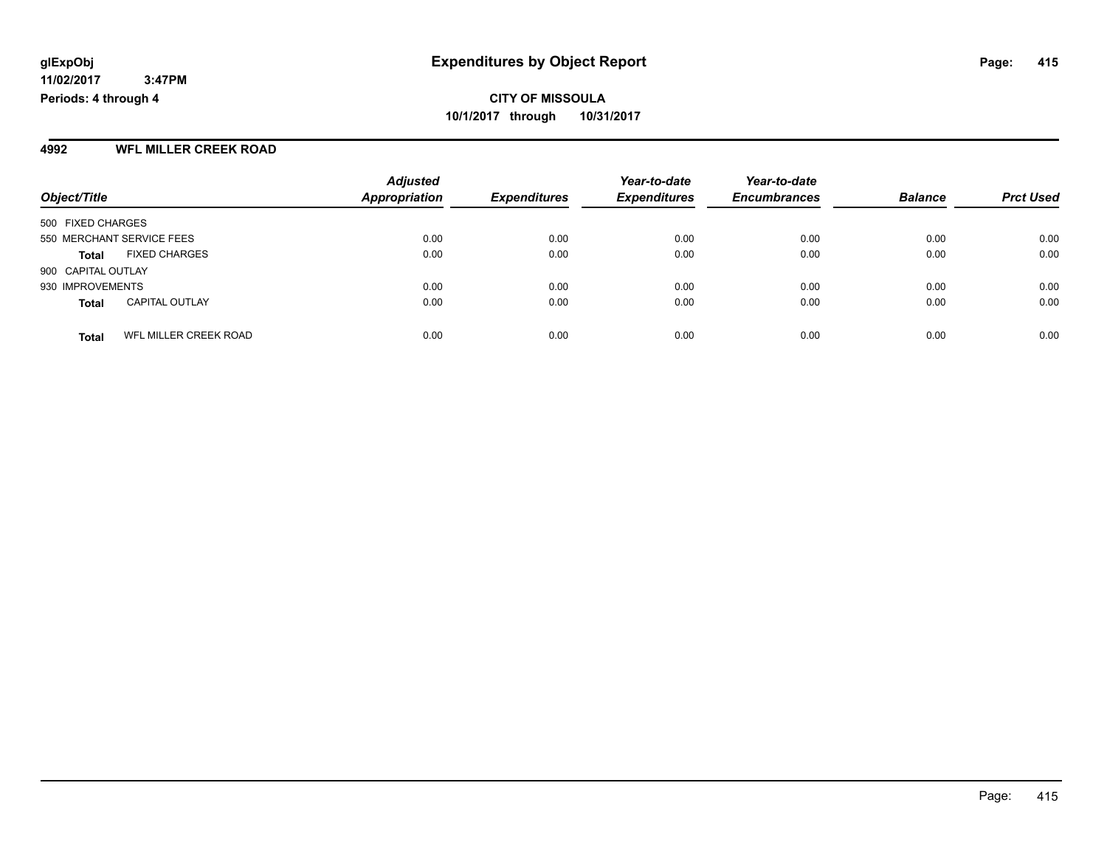#### **4992 WFL MILLER CREEK ROAD**

|                                       | <b>Adjusted</b>      |                     | Year-to-date        | Year-to-date        |                |                  |
|---------------------------------------|----------------------|---------------------|---------------------|---------------------|----------------|------------------|
| Object/Title                          | <b>Appropriation</b> | <b>Expenditures</b> | <b>Expenditures</b> | <b>Encumbrances</b> | <b>Balance</b> | <b>Prct Used</b> |
| 500 FIXED CHARGES                     |                      |                     |                     |                     |                |                  |
| 550 MERCHANT SERVICE FEES             | 0.00                 | 0.00                | 0.00                | 0.00                | 0.00           | 0.00             |
| <b>FIXED CHARGES</b><br><b>Total</b>  | 0.00                 | 0.00                | 0.00                | 0.00                | 0.00           | 0.00             |
| 900 CAPITAL OUTLAY                    |                      |                     |                     |                     |                |                  |
| 930 IMPROVEMENTS                      | 0.00                 | 0.00                | 0.00                | 0.00                | 0.00           | 0.00             |
| <b>CAPITAL OUTLAY</b><br><b>Total</b> | 0.00                 | 0.00                | 0.00                | 0.00                | 0.00           | 0.00             |
| WFL MILLER CREEK ROAD<br><b>Total</b> | 0.00                 | 0.00                | 0.00                | 0.00                | 0.00           | 0.00             |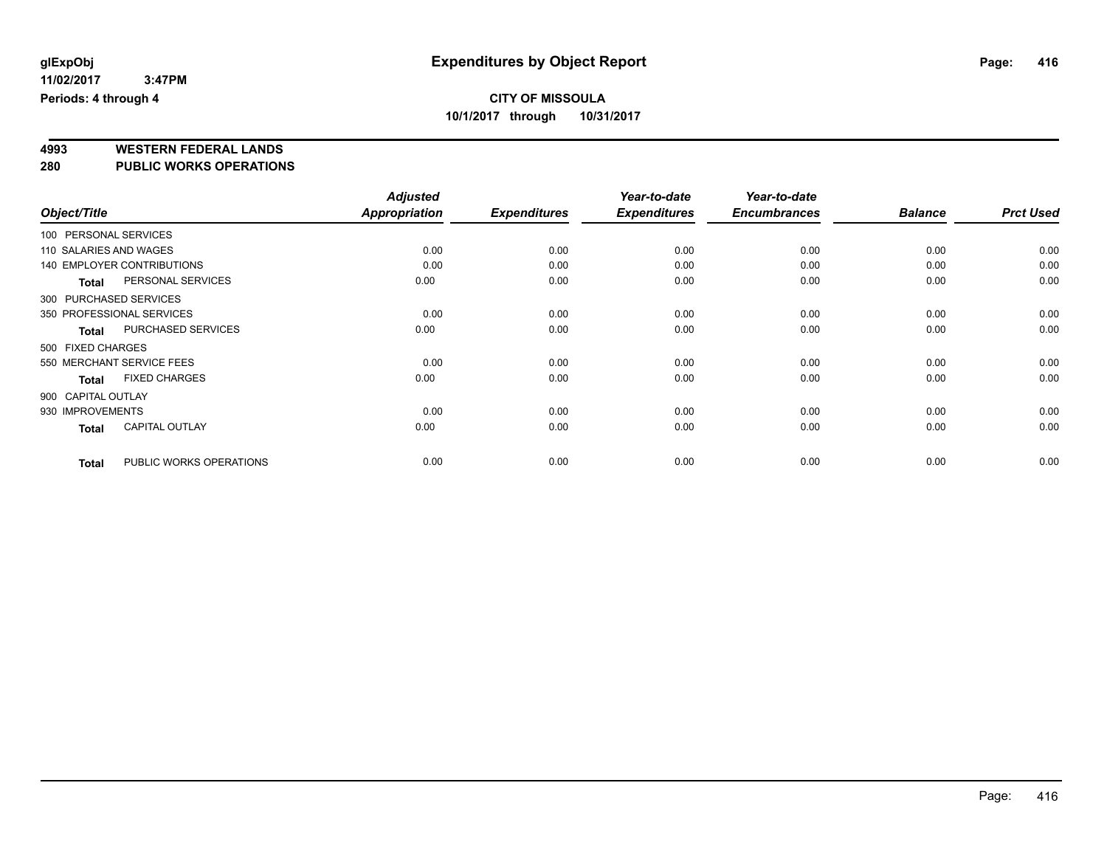# **4993 WESTERN FEDERAL LANDS**

**280 PUBLIC WORKS OPERATIONS**

|                        |                                   | <b>Adjusted</b> |                     | Year-to-date        | Year-to-date        |                |                  |
|------------------------|-----------------------------------|-----------------|---------------------|---------------------|---------------------|----------------|------------------|
| Object/Title           |                                   | Appropriation   | <b>Expenditures</b> | <b>Expenditures</b> | <b>Encumbrances</b> | <b>Balance</b> | <b>Prct Used</b> |
| 100 PERSONAL SERVICES  |                                   |                 |                     |                     |                     |                |                  |
| 110 SALARIES AND WAGES |                                   | 0.00            | 0.00                | 0.00                | 0.00                | 0.00           | 0.00             |
|                        | <b>140 EMPLOYER CONTRIBUTIONS</b> | 0.00            | 0.00                | 0.00                | 0.00                | 0.00           | 0.00             |
| Total                  | PERSONAL SERVICES                 | 0.00            | 0.00                | 0.00                | 0.00                | 0.00           | 0.00             |
|                        | 300 PURCHASED SERVICES            |                 |                     |                     |                     |                |                  |
|                        | 350 PROFESSIONAL SERVICES         | 0.00            | 0.00                | 0.00                | 0.00                | 0.00           | 0.00             |
| <b>Total</b>           | <b>PURCHASED SERVICES</b>         | 0.00            | 0.00                | 0.00                | 0.00                | 0.00           | 0.00             |
| 500 FIXED CHARGES      |                                   |                 |                     |                     |                     |                |                  |
|                        | 550 MERCHANT SERVICE FEES         | 0.00            | 0.00                | 0.00                | 0.00                | 0.00           | 0.00             |
| <b>Total</b>           | <b>FIXED CHARGES</b>              | 0.00            | 0.00                | 0.00                | 0.00                | 0.00           | 0.00             |
| 900 CAPITAL OUTLAY     |                                   |                 |                     |                     |                     |                |                  |
| 930 IMPROVEMENTS       |                                   | 0.00            | 0.00                | 0.00                | 0.00                | 0.00           | 0.00             |
| <b>Total</b>           | <b>CAPITAL OUTLAY</b>             | 0.00            | 0.00                | 0.00                | 0.00                | 0.00           | 0.00             |
| <b>Total</b>           | PUBLIC WORKS OPERATIONS           | 0.00            | 0.00                | 0.00                | 0.00                | 0.00           | 0.00             |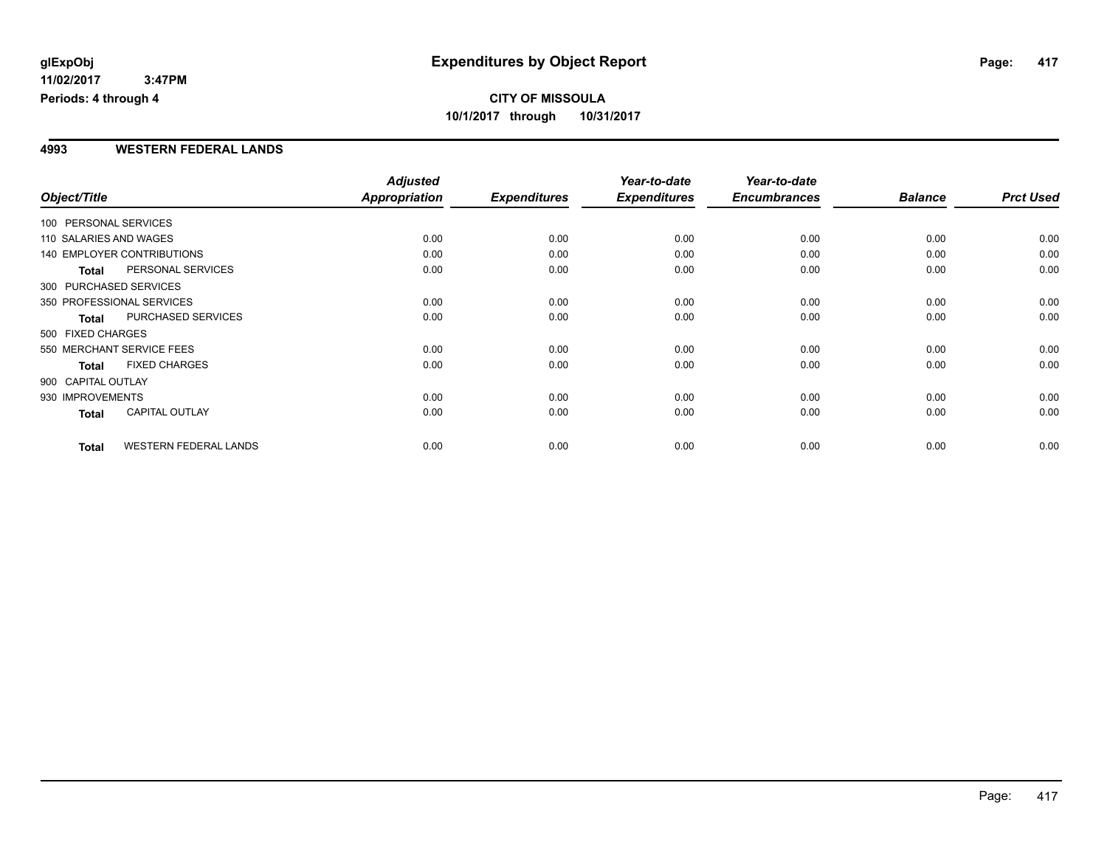#### **4993 WESTERN FEDERAL LANDS**

|                        |                                   | <b>Adjusted</b> |                     | Year-to-date        | Year-to-date        |                |                  |
|------------------------|-----------------------------------|-----------------|---------------------|---------------------|---------------------|----------------|------------------|
| Object/Title           |                                   | Appropriation   | <b>Expenditures</b> | <b>Expenditures</b> | <b>Encumbrances</b> | <b>Balance</b> | <b>Prct Used</b> |
| 100 PERSONAL SERVICES  |                                   |                 |                     |                     |                     |                |                  |
| 110 SALARIES AND WAGES |                                   | 0.00            | 0.00                | 0.00                | 0.00                | 0.00           | 0.00             |
|                        | <b>140 EMPLOYER CONTRIBUTIONS</b> | 0.00            | 0.00                | 0.00                | 0.00                | 0.00           | 0.00             |
| <b>Total</b>           | PERSONAL SERVICES                 | 0.00            | 0.00                | 0.00                | 0.00                | 0.00           | 0.00             |
|                        | 300 PURCHASED SERVICES            |                 |                     |                     |                     |                |                  |
|                        | 350 PROFESSIONAL SERVICES         | 0.00            | 0.00                | 0.00                | 0.00                | 0.00           | 0.00             |
| <b>Total</b>           | PURCHASED SERVICES                | 0.00            | 0.00                | 0.00                | 0.00                | 0.00           | 0.00             |
| 500 FIXED CHARGES      |                                   |                 |                     |                     |                     |                |                  |
|                        | 550 MERCHANT SERVICE FEES         | 0.00            | 0.00                | 0.00                | 0.00                | 0.00           | 0.00             |
| <b>Total</b>           | <b>FIXED CHARGES</b>              | 0.00            | 0.00                | 0.00                | 0.00                | 0.00           | 0.00             |
| 900 CAPITAL OUTLAY     |                                   |                 |                     |                     |                     |                |                  |
| 930 IMPROVEMENTS       |                                   | 0.00            | 0.00                | 0.00                | 0.00                | 0.00           | 0.00             |
| Total                  | <b>CAPITAL OUTLAY</b>             | 0.00            | 0.00                | 0.00                | 0.00                | 0.00           | 0.00             |
| <b>Total</b>           | <b>WESTERN FEDERAL LANDS</b>      | 0.00            | 0.00                | 0.00                | 0.00                | 0.00           | 0.00             |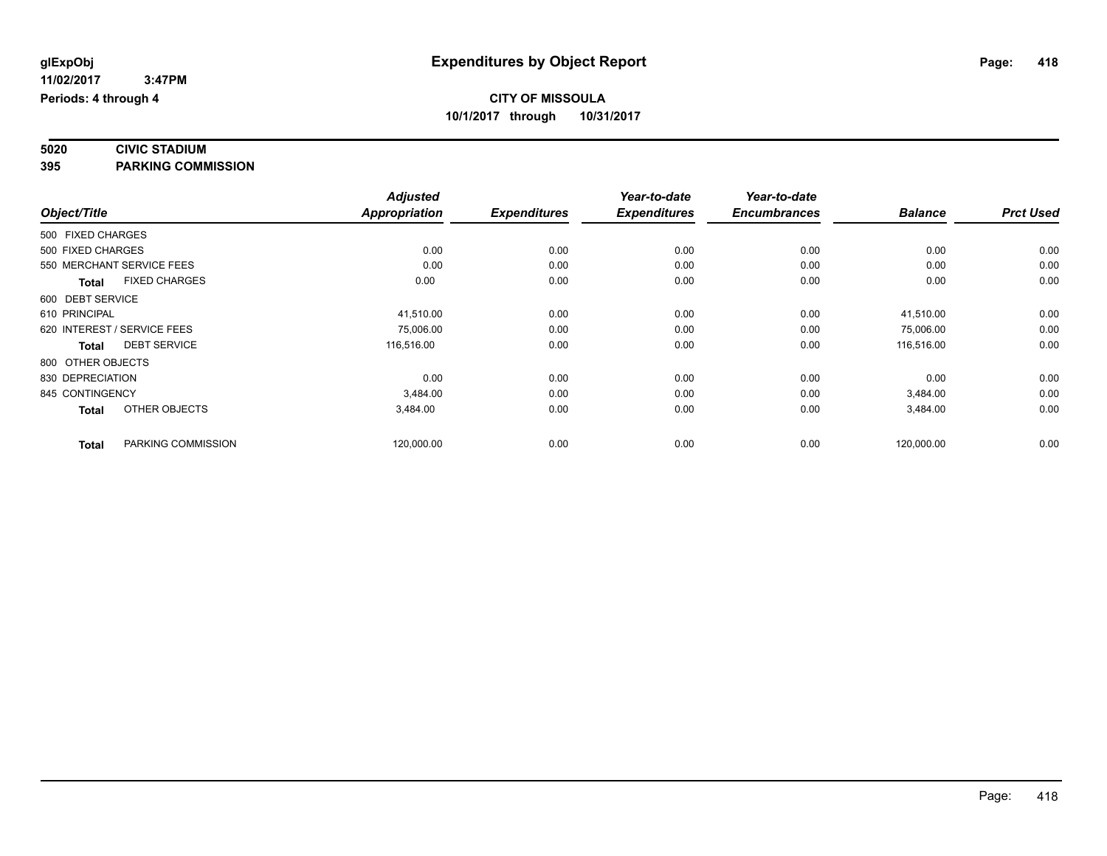#### **5020 CIVIC STADIUM 395 PARKING COMMISSION**

|                   |                             | <b>Adjusted</b> |                     | Year-to-date        | Year-to-date        |                |                  |
|-------------------|-----------------------------|-----------------|---------------------|---------------------|---------------------|----------------|------------------|
| Object/Title      |                             | Appropriation   | <b>Expenditures</b> | <b>Expenditures</b> | <b>Encumbrances</b> | <b>Balance</b> | <b>Prct Used</b> |
| 500 FIXED CHARGES |                             |                 |                     |                     |                     |                |                  |
| 500 FIXED CHARGES |                             | 0.00            | 0.00                | 0.00                | 0.00                | 0.00           | 0.00             |
|                   | 550 MERCHANT SERVICE FEES   | 0.00            | 0.00                | 0.00                | 0.00                | 0.00           | 0.00             |
| <b>Total</b>      | <b>FIXED CHARGES</b>        | 0.00            | 0.00                | 0.00                | 0.00                | 0.00           | 0.00             |
| 600 DEBT SERVICE  |                             |                 |                     |                     |                     |                |                  |
| 610 PRINCIPAL     |                             | 41,510.00       | 0.00                | 0.00                | 0.00                | 41,510.00      | 0.00             |
|                   | 620 INTEREST / SERVICE FEES | 75,006.00       | 0.00                | 0.00                | 0.00                | 75,006.00      | 0.00             |
| <b>Total</b>      | <b>DEBT SERVICE</b>         | 116,516.00      | 0.00                | 0.00                | 0.00                | 116,516.00     | 0.00             |
| 800 OTHER OBJECTS |                             |                 |                     |                     |                     |                |                  |
| 830 DEPRECIATION  |                             | 0.00            | 0.00                | 0.00                | 0.00                | 0.00           | 0.00             |
| 845 CONTINGENCY   |                             | 3,484.00        | 0.00                | 0.00                | 0.00                | 3,484.00       | 0.00             |
| <b>Total</b>      | OTHER OBJECTS               | 3,484.00        | 0.00                | 0.00                | 0.00                | 3,484.00       | 0.00             |
| <b>Total</b>      | PARKING COMMISSION          | 120,000.00      | 0.00                | 0.00                | 0.00                | 120,000.00     | 0.00             |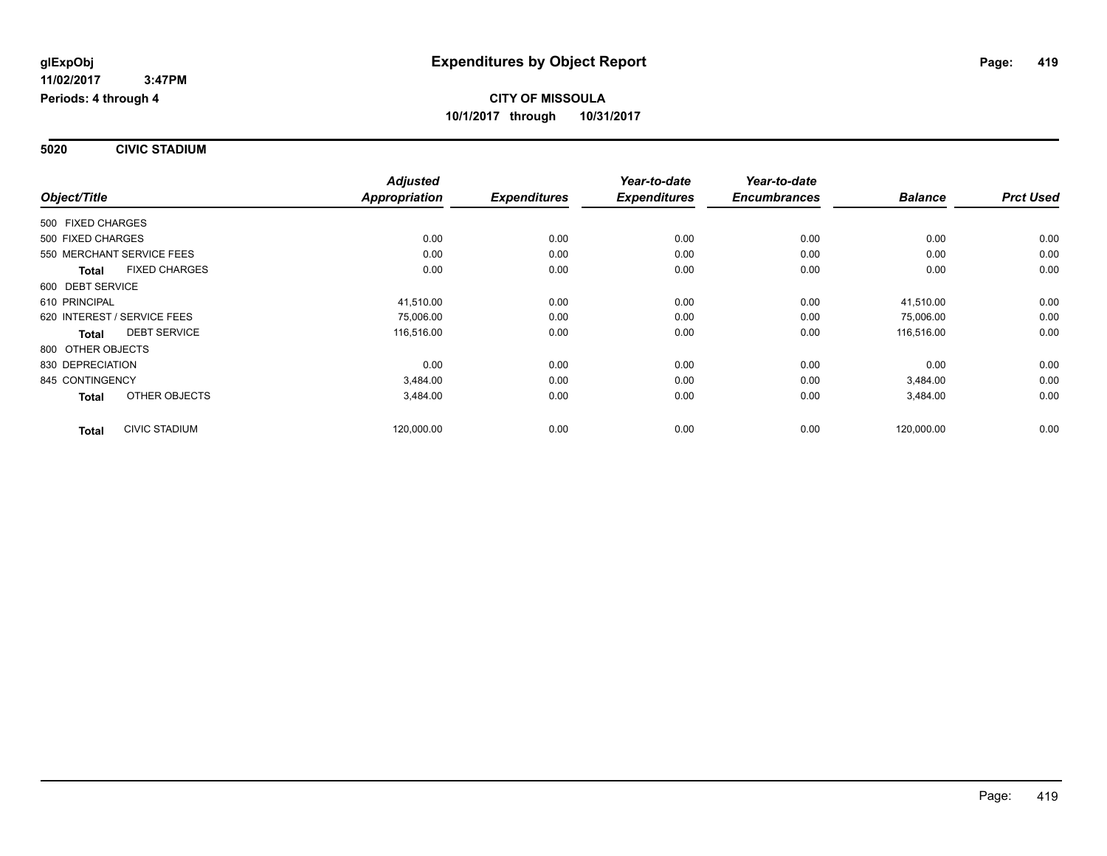**5020 CIVIC STADIUM**

|                                      | <b>Adjusted</b>      |                     | Year-to-date        | Year-to-date        |                |                  |
|--------------------------------------|----------------------|---------------------|---------------------|---------------------|----------------|------------------|
| Object/Title                         | <b>Appropriation</b> | <b>Expenditures</b> | <b>Expenditures</b> | <b>Encumbrances</b> | <b>Balance</b> | <b>Prct Used</b> |
| 500 FIXED CHARGES                    |                      |                     |                     |                     |                |                  |
| 500 FIXED CHARGES                    | 0.00                 | 0.00                | 0.00                | 0.00                | 0.00           | 0.00             |
| 550 MERCHANT SERVICE FEES            | 0.00                 | 0.00                | 0.00                | 0.00                | 0.00           | 0.00             |
| <b>FIXED CHARGES</b><br><b>Total</b> | 0.00                 | 0.00                | 0.00                | 0.00                | 0.00           | 0.00             |
| 600 DEBT SERVICE                     |                      |                     |                     |                     |                |                  |
| 610 PRINCIPAL                        | 41.510.00            | 0.00                | 0.00                | 0.00                | 41,510.00      | 0.00             |
| 620 INTEREST / SERVICE FEES          | 75,006.00            | 0.00                | 0.00                | 0.00                | 75,006.00      | 0.00             |
| <b>DEBT SERVICE</b><br><b>Total</b>  | 116,516.00           | 0.00                | 0.00                | 0.00                | 116,516.00     | 0.00             |
| 800 OTHER OBJECTS                    |                      |                     |                     |                     |                |                  |
| 830 DEPRECIATION                     | 0.00                 | 0.00                | 0.00                | 0.00                | 0.00           | 0.00             |
| 845 CONTINGENCY                      | 3,484.00             | 0.00                | 0.00                | 0.00                | 3,484.00       | 0.00             |
| OTHER OBJECTS<br><b>Total</b>        | 3,484.00             | 0.00                | 0.00                | 0.00                | 3,484.00       | 0.00             |
| <b>CIVIC STADIUM</b><br><b>Total</b> | 120,000.00           | 0.00                | 0.00                | 0.00                | 120,000.00     | 0.00             |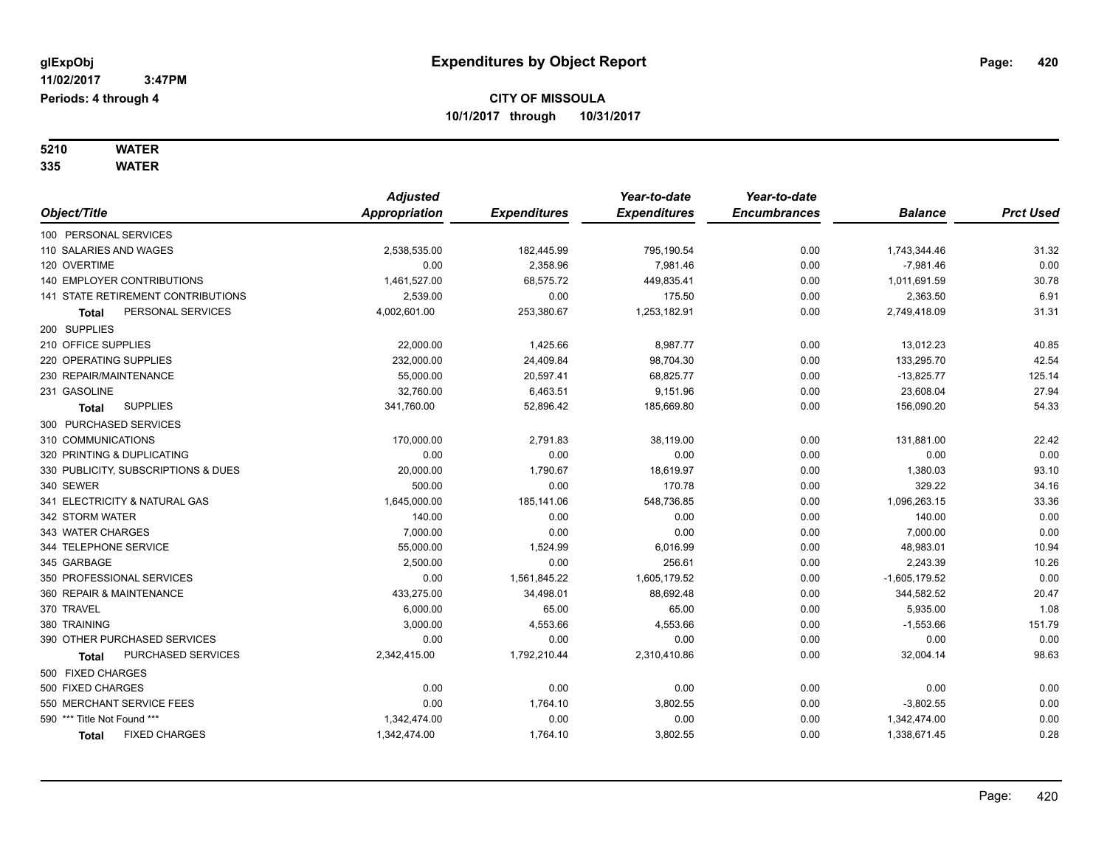#### **5210 WATER 335 WATER**

|                               |                                     | <b>Adjusted</b>      |                     | Year-to-date        | Year-to-date        |                 |                  |
|-------------------------------|-------------------------------------|----------------------|---------------------|---------------------|---------------------|-----------------|------------------|
| Object/Title                  |                                     | <b>Appropriation</b> | <b>Expenditures</b> | <b>Expenditures</b> | <b>Encumbrances</b> | <b>Balance</b>  | <b>Prct Used</b> |
| 100 PERSONAL SERVICES         |                                     |                      |                     |                     |                     |                 |                  |
| 110 SALARIES AND WAGES        |                                     | 2,538,535.00         | 182,445.99          | 795,190.54          | 0.00                | 1,743,344.46    | 31.32            |
| 120 OVERTIME                  |                                     | 0.00                 | 2,358.96            | 7,981.46            | 0.00                | $-7,981.46$     | 0.00             |
| 140 EMPLOYER CONTRIBUTIONS    |                                     | 1,461,527.00         | 68,575.72           | 449,835.41          | 0.00                | 1,011,691.59    | 30.78            |
|                               | 141 STATE RETIREMENT CONTRIBUTIONS  | 2,539.00             | 0.00                | 175.50              | 0.00                | 2,363.50        | 6.91             |
| <b>Total</b>                  | PERSONAL SERVICES                   | 4,002,601.00         | 253,380.67          | 1,253,182.91        | 0.00                | 2,749,418.09    | 31.31            |
| 200 SUPPLIES                  |                                     |                      |                     |                     |                     |                 |                  |
| 210 OFFICE SUPPLIES           |                                     | 22,000.00            | 1,425.66            | 8,987.77            | 0.00                | 13,012.23       | 40.85            |
| 220 OPERATING SUPPLIES        |                                     | 232,000.00           | 24,409.84           | 98,704.30           | 0.00                | 133,295.70      | 42.54            |
| 230 REPAIR/MAINTENANCE        |                                     | 55,000.00            | 20,597.41           | 68,825.77           | 0.00                | $-13,825.77$    | 125.14           |
| 231 GASOLINE                  |                                     | 32,760.00            | 6,463.51            | 9,151.96            | 0.00                | 23,608.04       | 27.94            |
| Total                         | <b>SUPPLIES</b>                     | 341,760.00           | 52,896.42           | 185,669.80          | 0.00                | 156,090.20      | 54.33            |
| 300 PURCHASED SERVICES        |                                     |                      |                     |                     |                     |                 |                  |
| 310 COMMUNICATIONS            |                                     | 170,000.00           | 2,791.83            | 38,119.00           | 0.00                | 131,881.00      | 22.42            |
| 320 PRINTING & DUPLICATING    |                                     | 0.00                 | 0.00                | 0.00                | 0.00                | 0.00            | 0.00             |
|                               | 330 PUBLICITY, SUBSCRIPTIONS & DUES | 20,000.00            | 1,790.67            | 18,619.97           | 0.00                | 1,380.03        | 93.10            |
| 340 SEWER                     |                                     | 500.00               | 0.00                | 170.78              | 0.00                | 329.22          | 34.16            |
| 341 ELECTRICITY & NATURAL GAS |                                     | 1,645,000.00         | 185,141.06          | 548,736.85          | 0.00                | 1,096,263.15    | 33.36            |
| 342 STORM WATER               |                                     | 140.00               | 0.00                | 0.00                | 0.00                | 140.00          | 0.00             |
| 343 WATER CHARGES             |                                     | 7,000.00             | 0.00                | 0.00                | 0.00                | 7,000.00        | 0.00             |
| 344 TELEPHONE SERVICE         |                                     | 55,000.00            | 1,524.99            | 6,016.99            | 0.00                | 48,983.01       | 10.94            |
| 345 GARBAGE                   |                                     | 2,500.00             | 0.00                | 256.61              | 0.00                | 2,243.39        | 10.26            |
| 350 PROFESSIONAL SERVICES     |                                     | 0.00                 | 1,561,845.22        | 1,605,179.52        | 0.00                | $-1,605,179.52$ | 0.00             |
| 360 REPAIR & MAINTENANCE      |                                     | 433,275.00           | 34,498.01           | 88,692.48           | 0.00                | 344,582.52      | 20.47            |
| 370 TRAVEL                    |                                     | 6,000.00             | 65.00               | 65.00               | 0.00                | 5,935.00        | 1.08             |
| 380 TRAINING                  |                                     | 3,000.00             | 4,553.66            | 4,553.66            | 0.00                | $-1,553.66$     | 151.79           |
| 390 OTHER PURCHASED SERVICES  |                                     | 0.00                 | 0.00                | 0.00                | 0.00                | 0.00            | 0.00             |
| <b>Total</b>                  | PURCHASED SERVICES                  | 2,342,415.00         | 1,792,210.44        | 2,310,410.86        | 0.00                | 32,004.14       | 98.63            |
| 500 FIXED CHARGES             |                                     |                      |                     |                     |                     |                 |                  |
| 500 FIXED CHARGES             |                                     | 0.00                 | 0.00                | 0.00                | 0.00                | 0.00            | 0.00             |
| 550 MERCHANT SERVICE FEES     |                                     | 0.00                 | 1,764.10            | 3,802.55            | 0.00                | $-3,802.55$     | 0.00             |
| 590 *** Title Not Found ***   |                                     | 1,342,474.00         | 0.00                | 0.00                | 0.00                | 1,342,474.00    | 0.00             |
| <b>Total</b>                  | <b>FIXED CHARGES</b>                | 1,342,474.00         | 1,764.10            | 3,802.55            | 0.00                | 1,338,671.45    | 0.28             |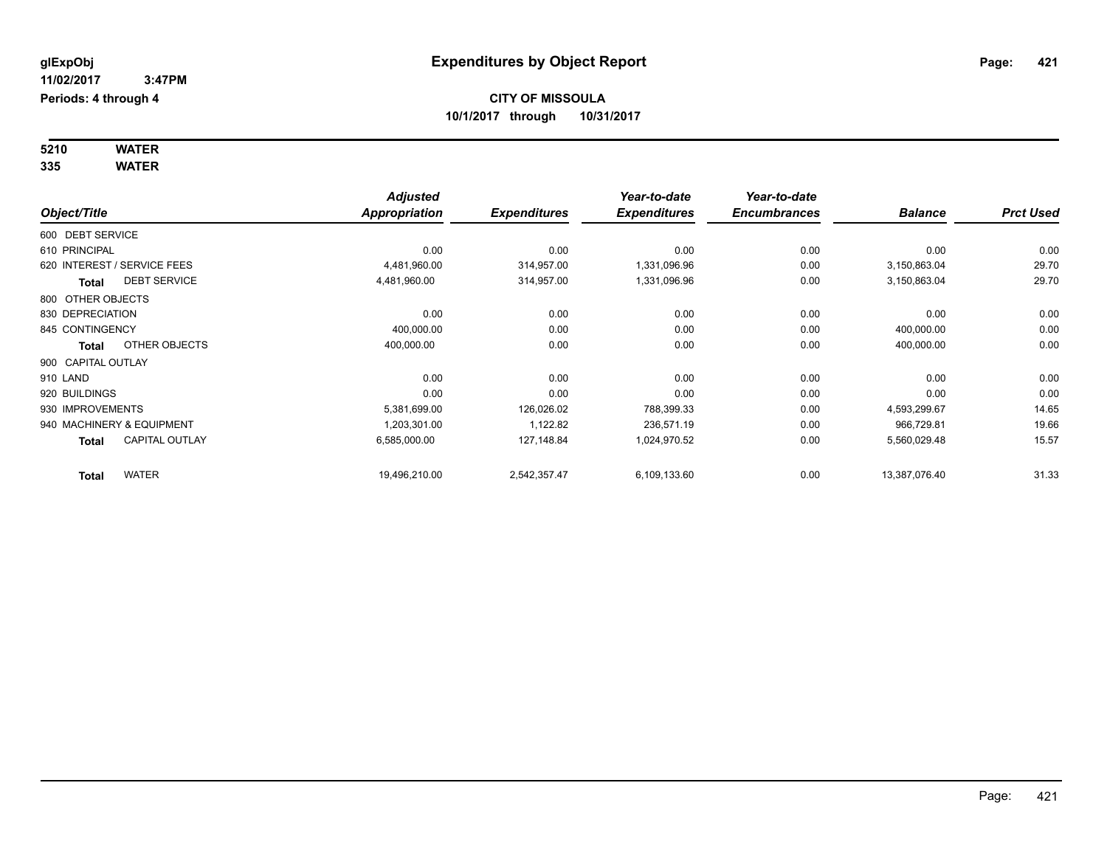#### **5210 WATER 335 WATER**

|                                       | <b>Adjusted</b>      |                     | Year-to-date        | Year-to-date        |                |                  |
|---------------------------------------|----------------------|---------------------|---------------------|---------------------|----------------|------------------|
| Object/Title                          | <b>Appropriation</b> | <b>Expenditures</b> | <b>Expenditures</b> | <b>Encumbrances</b> | <b>Balance</b> | <b>Prct Used</b> |
| 600 DEBT SERVICE                      |                      |                     |                     |                     |                |                  |
| 610 PRINCIPAL                         | 0.00                 | 0.00                | 0.00                | 0.00                | 0.00           | 0.00             |
| 620 INTEREST / SERVICE FEES           | 4,481,960.00         | 314,957.00          | 1,331,096.96        | 0.00                | 3,150,863.04   | 29.70            |
| <b>DEBT SERVICE</b><br><b>Total</b>   | 4,481,960.00         | 314,957.00          | 1,331,096.96        | 0.00                | 3,150,863.04   | 29.70            |
| 800 OTHER OBJECTS                     |                      |                     |                     |                     |                |                  |
| 830 DEPRECIATION                      | 0.00                 | 0.00                | 0.00                | 0.00                | 0.00           | 0.00             |
| 845 CONTINGENCY                       | 400,000.00           | 0.00                | 0.00                | 0.00                | 400,000.00     | 0.00             |
| OTHER OBJECTS<br><b>Total</b>         | 400,000.00           | 0.00                | 0.00                | 0.00                | 400,000.00     | 0.00             |
| 900 CAPITAL OUTLAY                    |                      |                     |                     |                     |                |                  |
| 910 LAND                              | 0.00                 | 0.00                | 0.00                | 0.00                | 0.00           | 0.00             |
| 920 BUILDINGS                         | 0.00                 | 0.00                | 0.00                | 0.00                | 0.00           | 0.00             |
| 930 IMPROVEMENTS                      | 5,381,699.00         | 126,026.02          | 788,399.33          | 0.00                | 4,593,299.67   | 14.65            |
| 940 MACHINERY & EQUIPMENT             | 1,203,301.00         | 1,122.82            | 236,571.19          | 0.00                | 966,729.81     | 19.66            |
| <b>CAPITAL OUTLAY</b><br><b>Total</b> | 6,585,000.00         | 127,148.84          | 1,024,970.52        | 0.00                | 5,560,029.48   | 15.57            |
| <b>WATER</b><br><b>Total</b>          | 19,496,210.00        | 2,542,357.47        | 6,109,133.60        | 0.00                | 13,387,076.40  | 31.33            |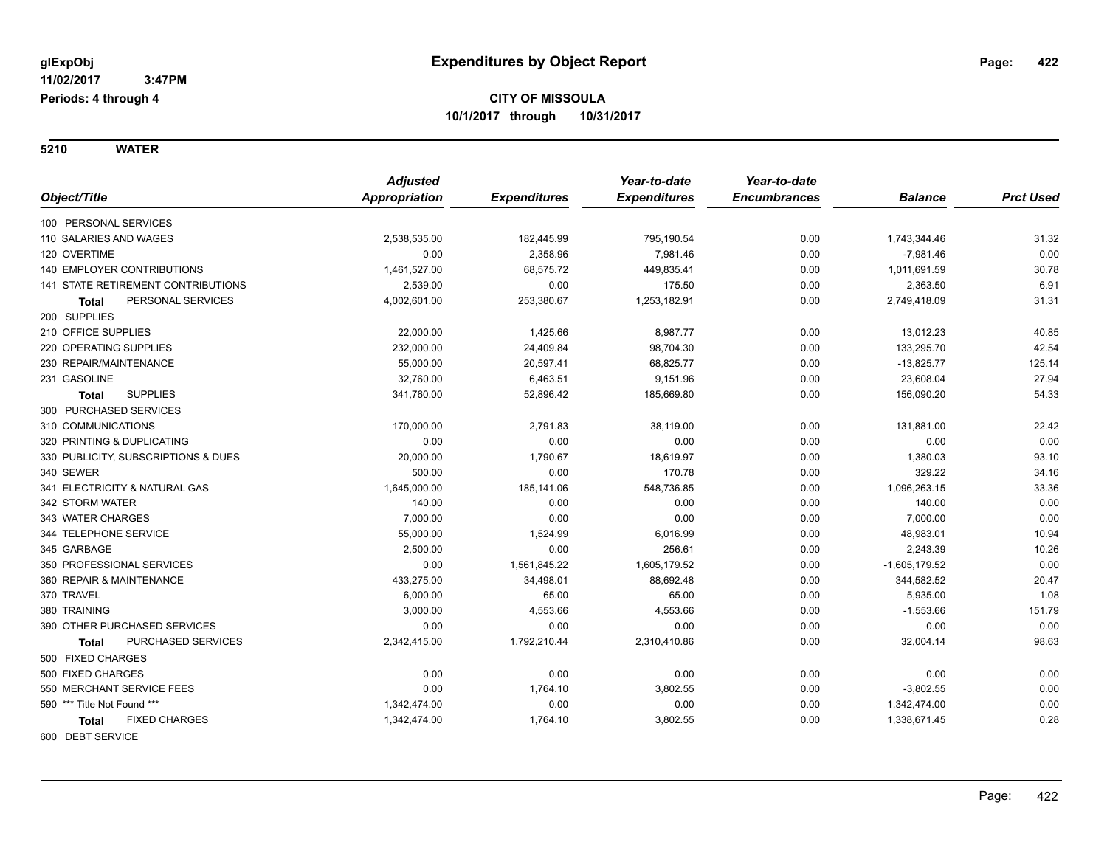**5210 WATER**

|                                           | <b>Adjusted</b> |                     | Year-to-date        | Year-to-date        |                 |                  |
|-------------------------------------------|-----------------|---------------------|---------------------|---------------------|-----------------|------------------|
| Object/Title                              | Appropriation   | <b>Expenditures</b> | <b>Expenditures</b> | <b>Encumbrances</b> | <b>Balance</b>  | <b>Prct Used</b> |
| 100 PERSONAL SERVICES                     |                 |                     |                     |                     |                 |                  |
| 110 SALARIES AND WAGES                    | 2,538,535.00    | 182,445.99          | 795,190.54          | 0.00                | 1,743,344.46    | 31.32            |
| 120 OVERTIME                              | 0.00            | 2,358.96            | 7.981.46            | 0.00                | $-7,981.46$     | 0.00             |
| <b>140 EMPLOYER CONTRIBUTIONS</b>         | 1,461,527.00    | 68,575.72           | 449,835.41          | 0.00                | 1,011,691.59    | 30.78            |
| <b>141 STATE RETIREMENT CONTRIBUTIONS</b> | 2,539.00        | 0.00                | 175.50              | 0.00                | 2,363.50        | 6.91             |
| PERSONAL SERVICES<br><b>Total</b>         | 4,002,601.00    | 253,380.67          | 1,253,182.91        | 0.00                | 2,749,418.09    | 31.31            |
| 200 SUPPLIES                              |                 |                     |                     |                     |                 |                  |
| 210 OFFICE SUPPLIES                       | 22,000.00       | 1,425.66            | 8,987.77            | 0.00                | 13,012.23       | 40.85            |
| 220 OPERATING SUPPLIES                    | 232,000.00      | 24,409.84           | 98,704.30           | 0.00                | 133,295.70      | 42.54            |
| 230 REPAIR/MAINTENANCE                    | 55,000.00       | 20,597.41           | 68,825.77           | 0.00                | $-13,825.77$    | 125.14           |
| 231 GASOLINE                              | 32,760.00       | 6,463.51            | 9,151.96            | 0.00                | 23,608.04       | 27.94            |
| <b>SUPPLIES</b><br><b>Total</b>           | 341,760.00      | 52,896.42           | 185,669.80          | 0.00                | 156,090.20      | 54.33            |
| 300 PURCHASED SERVICES                    |                 |                     |                     |                     |                 |                  |
| 310 COMMUNICATIONS                        | 170,000.00      | 2,791.83            | 38,119.00           | 0.00                | 131,881.00      | 22.42            |
| 320 PRINTING & DUPLICATING                | 0.00            | 0.00                | 0.00                | 0.00                | 0.00            | 0.00             |
| 330 PUBLICITY, SUBSCRIPTIONS & DUES       | 20,000.00       | 1,790.67            | 18,619.97           | 0.00                | 1,380.03        | 93.10            |
| 340 SEWER                                 | 500.00          | 0.00                | 170.78              | 0.00                | 329.22          | 34.16            |
| 341 ELECTRICITY & NATURAL GAS             | 1,645,000.00    | 185,141.06          | 548,736.85          | 0.00                | 1,096,263.15    | 33.36            |
| 342 STORM WATER                           | 140.00          | 0.00                | 0.00                | 0.00                | 140.00          | 0.00             |
| 343 WATER CHARGES                         | 7,000.00        | 0.00                | 0.00                | 0.00                | 7,000.00        | 0.00             |
| 344 TELEPHONE SERVICE                     | 55,000.00       | 1,524.99            | 6,016.99            | 0.00                | 48,983.01       | 10.94            |
| 345 GARBAGE                               | 2,500.00        | 0.00                | 256.61              | 0.00                | 2,243.39        | 10.26            |
| 350 PROFESSIONAL SERVICES                 | 0.00            | 1,561,845.22        | 1,605,179.52        | 0.00                | $-1,605,179.52$ | 0.00             |
| 360 REPAIR & MAINTENANCE                  | 433,275.00      | 34,498.01           | 88,692.48           | 0.00                | 344,582.52      | 20.47            |
| 370 TRAVEL                                | 6,000.00        | 65.00               | 65.00               | 0.00                | 5,935.00        | 1.08             |
| 380 TRAINING                              | 3.000.00        | 4,553.66            | 4,553.66            | 0.00                | $-1,553.66$     | 151.79           |
| 390 OTHER PURCHASED SERVICES              | 0.00            | 0.00                | 0.00                | 0.00                | 0.00            | 0.00             |
| PURCHASED SERVICES<br>Total               | 2,342,415.00    | 1,792,210.44        | 2,310,410.86        | 0.00                | 32,004.14       | 98.63            |
| 500 FIXED CHARGES                         |                 |                     |                     |                     |                 |                  |
| 500 FIXED CHARGES                         | 0.00            | 0.00                | 0.00                | 0.00                | 0.00            | 0.00             |
| 550 MERCHANT SERVICE FEES                 | 0.00            | 1,764.10            | 3,802.55            | 0.00                | $-3,802.55$     | 0.00             |
| 590 *** Title Not Found ***               | 1,342,474.00    | 0.00                | 0.00                | 0.00                | 1,342,474.00    | 0.00             |
| <b>FIXED CHARGES</b><br><b>Total</b>      | 1,342,474.00    | 1,764.10            | 3,802.55            | 0.00                | 1,338,671.45    | 0.28             |
| 600 DEBT SERVICE                          |                 |                     |                     |                     |                 |                  |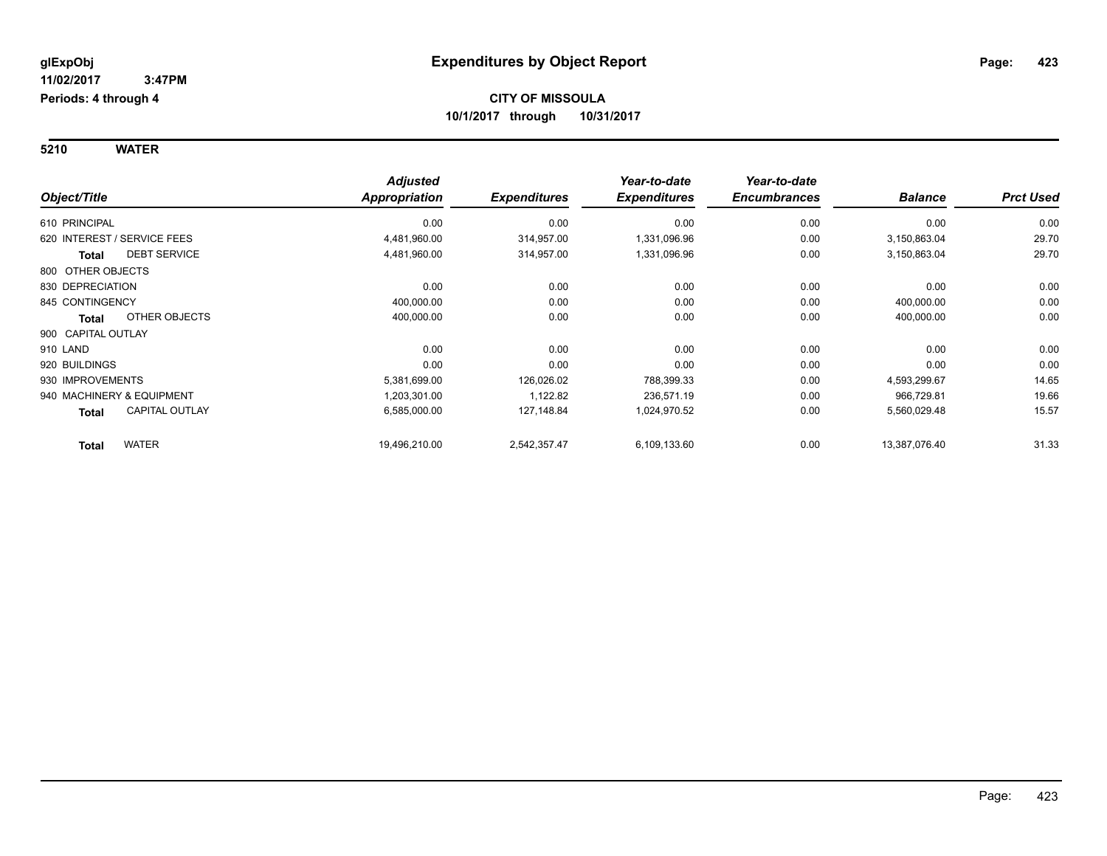**5210 WATER**

|                                       | <b>Adjusted</b>      |                     | Year-to-date        | Year-to-date        |                |                  |
|---------------------------------------|----------------------|---------------------|---------------------|---------------------|----------------|------------------|
| Object/Title                          | <b>Appropriation</b> | <b>Expenditures</b> | <b>Expenditures</b> | <b>Encumbrances</b> | <b>Balance</b> | <b>Prct Used</b> |
| 610 PRINCIPAL                         | 0.00                 | 0.00                | 0.00                | 0.00                | 0.00           | 0.00             |
| 620 INTEREST / SERVICE FEES           | 4,481,960.00         | 314,957.00          | 1,331,096.96        | 0.00                | 3,150,863.04   | 29.70            |
| <b>DEBT SERVICE</b><br><b>Total</b>   | 4,481,960.00         | 314,957.00          | 1,331,096.96        | 0.00                | 3,150,863.04   | 29.70            |
| 800 OTHER OBJECTS                     |                      |                     |                     |                     |                |                  |
| 830 DEPRECIATION                      | 0.00                 | 0.00                | 0.00                | 0.00                | 0.00           | 0.00             |
| 845 CONTINGENCY                       | 400,000.00           | 0.00                | 0.00                | 0.00                | 400,000.00     | 0.00             |
| OTHER OBJECTS<br><b>Total</b>         | 400,000.00           | 0.00                | 0.00                | 0.00                | 400,000.00     | 0.00             |
| 900 CAPITAL OUTLAY                    |                      |                     |                     |                     |                |                  |
| 910 LAND                              | 0.00                 | 0.00                | 0.00                | 0.00                | 0.00           | 0.00             |
| 920 BUILDINGS                         | 0.00                 | 0.00                | 0.00                | 0.00                | 0.00           | 0.00             |
| 930 IMPROVEMENTS                      | 5,381,699.00         | 126,026.02          | 788,399.33          | 0.00                | 4,593,299.67   | 14.65            |
| 940 MACHINERY & EQUIPMENT             | 1,203,301.00         | 1,122.82            | 236,571.19          | 0.00                | 966,729.81     | 19.66            |
| <b>CAPITAL OUTLAY</b><br><b>Total</b> | 6,585,000.00         | 127,148.84          | 1,024,970.52        | 0.00                | 5,560,029.48   | 15.57            |
| <b>WATER</b><br><b>Total</b>          | 19,496,210.00        | 2,542,357.47        | 6,109,133.60        | 0.00                | 13,387,076.40  | 31.33            |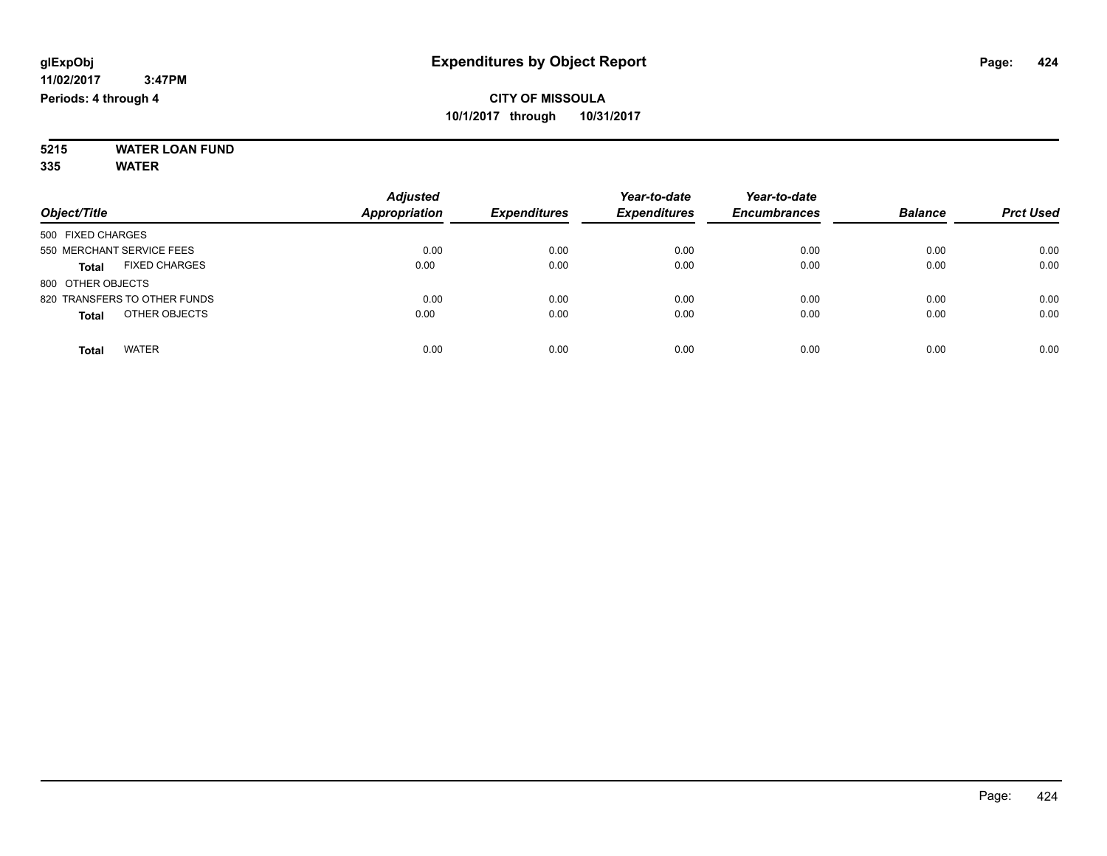#### **5215 WATER LOAN FUND 335 WATER**

| Object/Title                         | <b>Adjusted</b><br>Appropriation | <b>Expenditures</b> | Year-to-date<br><b>Expenditures</b> | Year-to-date<br><b>Encumbrances</b> | <b>Balance</b> | <b>Prct Used</b> |
|--------------------------------------|----------------------------------|---------------------|-------------------------------------|-------------------------------------|----------------|------------------|
| 500 FIXED CHARGES                    |                                  |                     |                                     |                                     |                |                  |
| 550 MERCHANT SERVICE FEES            | 0.00                             | 0.00                | 0.00                                | 0.00                                | 0.00           | 0.00             |
| <b>FIXED CHARGES</b><br><b>Total</b> | 0.00                             | 0.00                | 0.00                                | 0.00                                | 0.00           | 0.00             |
| 800 OTHER OBJECTS                    |                                  |                     |                                     |                                     |                |                  |
| 820 TRANSFERS TO OTHER FUNDS         | 0.00                             | 0.00                | 0.00                                | 0.00                                | 0.00           | 0.00             |
| OTHER OBJECTS<br><b>Total</b>        | 0.00                             | 0.00                | 0.00                                | 0.00                                | 0.00           | 0.00             |
| <b>WATER</b><br><b>Total</b>         | 0.00                             | 0.00                | 0.00                                | 0.00                                | 0.00           | 0.00             |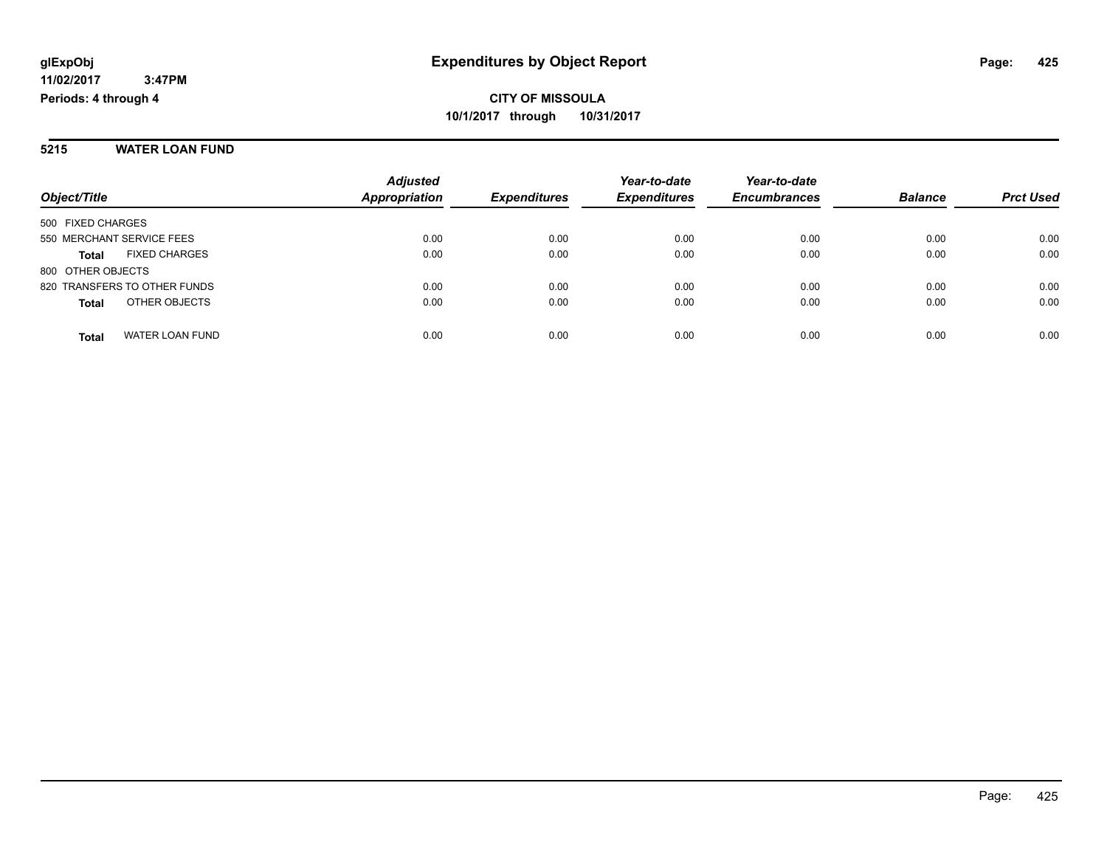#### **5215 WATER LOAN FUND**

|                                        | <b>Adjusted</b><br><b>Appropriation</b> | <b>Expenditures</b> | Year-to-date<br><b>Expenditures</b> | Year-to-date        | <b>Balance</b> |                  |
|----------------------------------------|-----------------------------------------|---------------------|-------------------------------------|---------------------|----------------|------------------|
| Object/Title                           |                                         |                     |                                     | <b>Encumbrances</b> |                | <b>Prct Used</b> |
| 500 FIXED CHARGES                      |                                         |                     |                                     |                     |                |                  |
| 550 MERCHANT SERVICE FEES              | 0.00                                    | 0.00                | 0.00                                | 0.00                | 0.00           | 0.00             |
| <b>FIXED CHARGES</b><br><b>Total</b>   | 0.00                                    | 0.00                | 0.00                                | 0.00                | 0.00           | 0.00             |
| 800 OTHER OBJECTS                      |                                         |                     |                                     |                     |                |                  |
| 820 TRANSFERS TO OTHER FUNDS           | 0.00                                    | 0.00                | 0.00                                | 0.00                | 0.00           | 0.00             |
| OTHER OBJECTS<br><b>Total</b>          | 0.00                                    | 0.00                | 0.00                                | 0.00                | 0.00           | 0.00             |
| <b>WATER LOAN FUND</b><br><b>Total</b> | 0.00                                    | 0.00                | 0.00                                | 0.00                | 0.00           | 0.00             |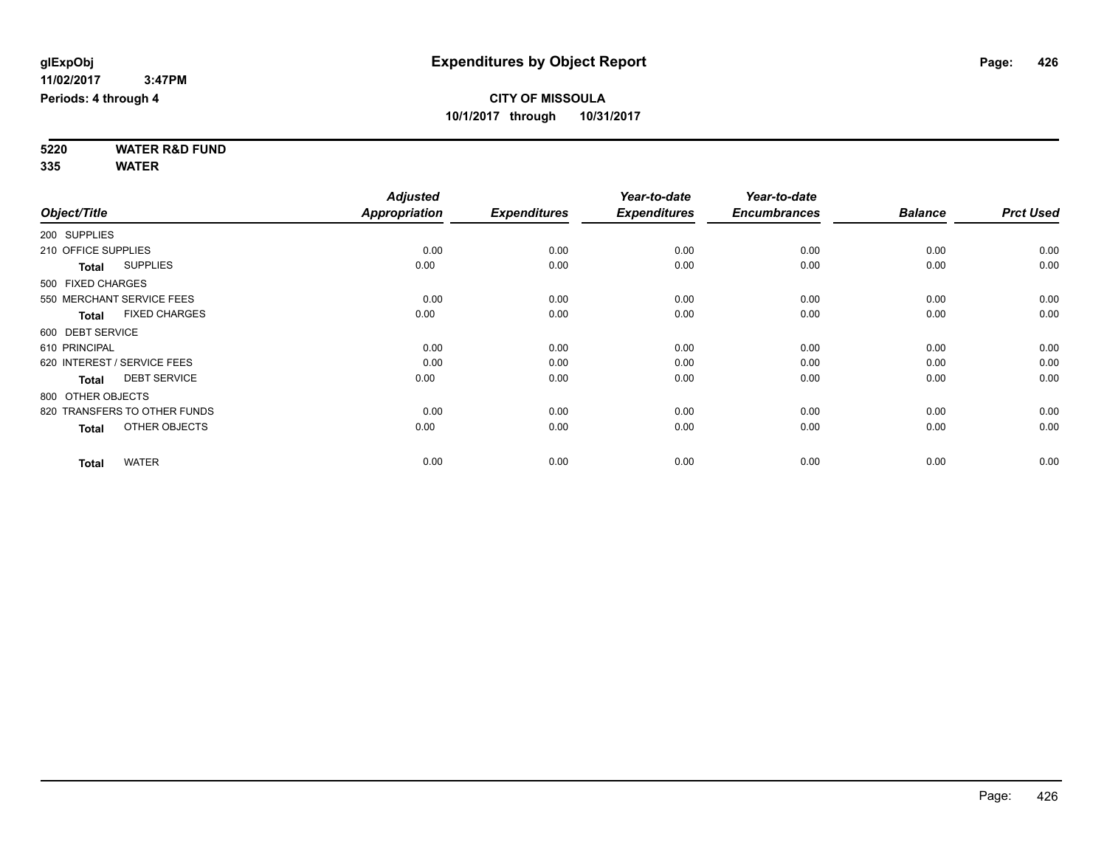**5220 WATER R&D FUND 335 WATER**

|                     |                              | <b>Adjusted</b> |                     | Year-to-date        | Year-to-date        |                |                  |
|---------------------|------------------------------|-----------------|---------------------|---------------------|---------------------|----------------|------------------|
| Object/Title        |                              | Appropriation   | <b>Expenditures</b> | <b>Expenditures</b> | <b>Encumbrances</b> | <b>Balance</b> | <b>Prct Used</b> |
| 200 SUPPLIES        |                              |                 |                     |                     |                     |                |                  |
| 210 OFFICE SUPPLIES |                              | 0.00            | 0.00                | 0.00                | 0.00                | 0.00           | 0.00             |
| <b>Total</b>        | <b>SUPPLIES</b>              | 0.00            | 0.00                | 0.00                | 0.00                | 0.00           | 0.00             |
| 500 FIXED CHARGES   |                              |                 |                     |                     |                     |                |                  |
|                     | 550 MERCHANT SERVICE FEES    | 0.00            | 0.00                | 0.00                | 0.00                | 0.00           | 0.00             |
| <b>Total</b>        | <b>FIXED CHARGES</b>         | 0.00            | 0.00                | 0.00                | 0.00                | 0.00           | 0.00             |
| 600 DEBT SERVICE    |                              |                 |                     |                     |                     |                |                  |
| 610 PRINCIPAL       |                              | 0.00            | 0.00                | 0.00                | 0.00                | 0.00           | 0.00             |
|                     | 620 INTEREST / SERVICE FEES  | 0.00            | 0.00                | 0.00                | 0.00                | 0.00           | 0.00             |
| <b>Total</b>        | <b>DEBT SERVICE</b>          | 0.00            | 0.00                | 0.00                | 0.00                | 0.00           | 0.00             |
| 800 OTHER OBJECTS   |                              |                 |                     |                     |                     |                |                  |
|                     | 820 TRANSFERS TO OTHER FUNDS | 0.00            | 0.00                | 0.00                | 0.00                | 0.00           | 0.00             |
| <b>Total</b>        | OTHER OBJECTS                | 0.00            | 0.00                | 0.00                | 0.00                | 0.00           | 0.00             |
| <b>Total</b>        | <b>WATER</b>                 | 0.00            | 0.00                | 0.00                | 0.00                | 0.00           | 0.00             |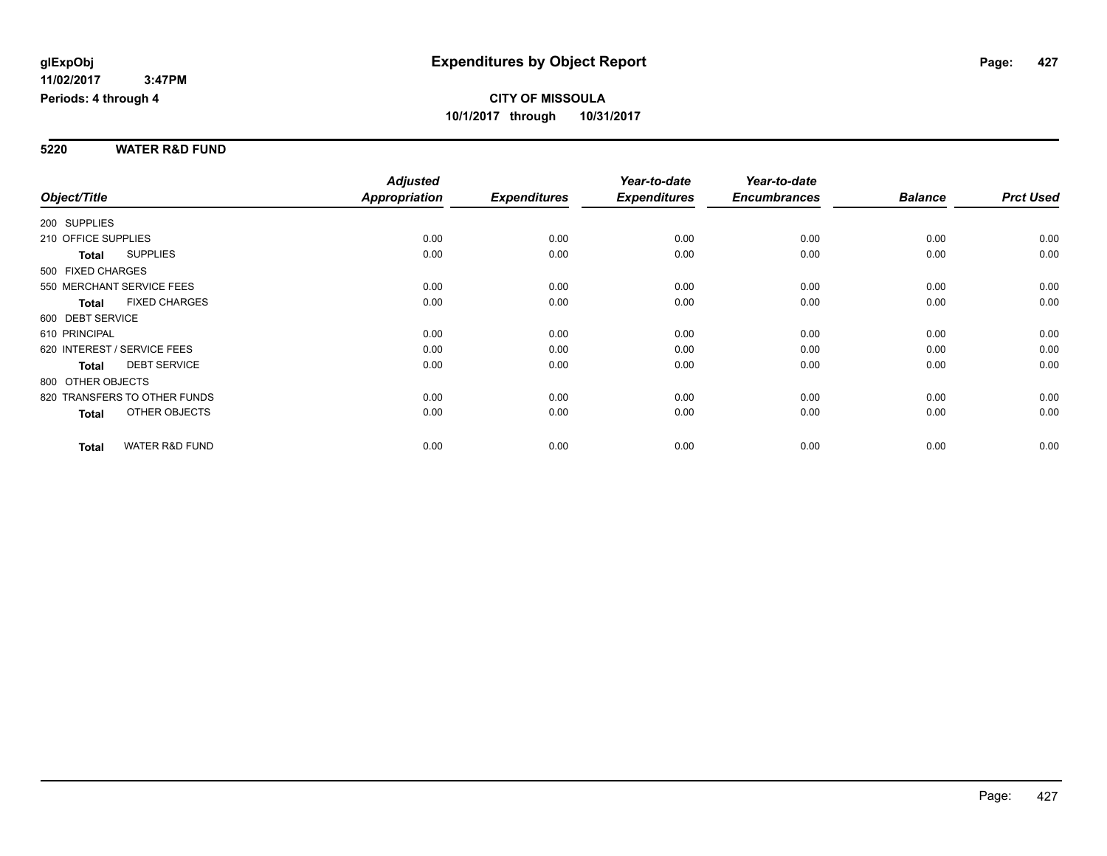#### **5220 WATER R&D FUND**

|                             |                              | <b>Adjusted</b>      |                     | Year-to-date        | Year-to-date        |                |                  |
|-----------------------------|------------------------------|----------------------|---------------------|---------------------|---------------------|----------------|------------------|
| Object/Title                |                              | <b>Appropriation</b> | <b>Expenditures</b> | <b>Expenditures</b> | <b>Encumbrances</b> | <b>Balance</b> | <b>Prct Used</b> |
| 200 SUPPLIES                |                              |                      |                     |                     |                     |                |                  |
| 210 OFFICE SUPPLIES         |                              | 0.00                 | 0.00                | 0.00                | 0.00                | 0.00           | 0.00             |
| Total                       | <b>SUPPLIES</b>              | 0.00                 | 0.00                | 0.00                | 0.00                | 0.00           | 0.00             |
| 500 FIXED CHARGES           |                              |                      |                     |                     |                     |                |                  |
| 550 MERCHANT SERVICE FEES   |                              | 0.00                 | 0.00                | 0.00                | 0.00                | 0.00           | 0.00             |
| <b>Total</b>                | <b>FIXED CHARGES</b>         | 0.00                 | 0.00                | 0.00                | 0.00                | 0.00           | 0.00             |
| 600 DEBT SERVICE            |                              |                      |                     |                     |                     |                |                  |
| 610 PRINCIPAL               |                              | 0.00                 | 0.00                | 0.00                | 0.00                | 0.00           | 0.00             |
| 620 INTEREST / SERVICE FEES |                              | 0.00                 | 0.00                | 0.00                | 0.00                | 0.00           | 0.00             |
| <b>Total</b>                | <b>DEBT SERVICE</b>          | 0.00                 | 0.00                | 0.00                | 0.00                | 0.00           | 0.00             |
| 800 OTHER OBJECTS           |                              |                      |                     |                     |                     |                |                  |
|                             | 820 TRANSFERS TO OTHER FUNDS | 0.00                 | 0.00                | 0.00                | 0.00                | 0.00           | 0.00             |
| Total                       | OTHER OBJECTS                | 0.00                 | 0.00                | 0.00                | 0.00                | 0.00           | 0.00             |
| <b>Total</b>                | <b>WATER R&amp;D FUND</b>    | 0.00                 | 0.00                | 0.00                | 0.00                | 0.00           | 0.00             |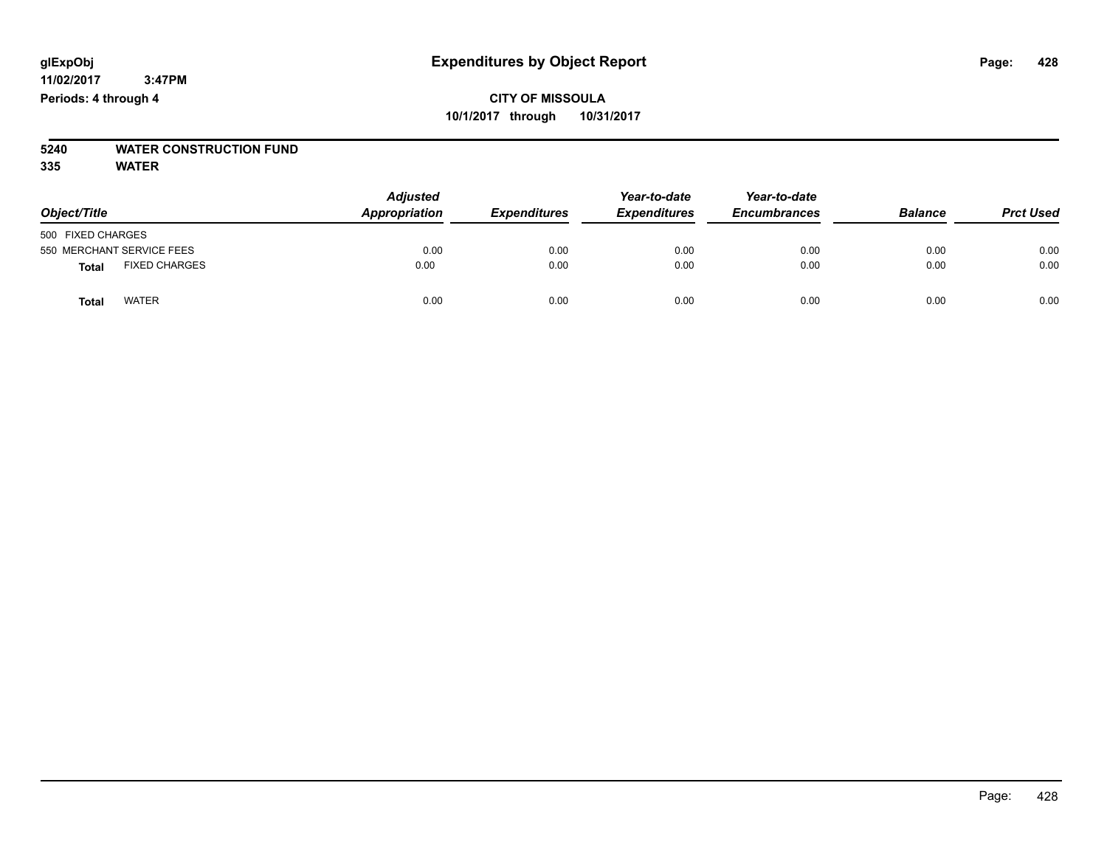# **5240 WATER CONSTRUCTION FUND**

**335 WATER**

| Object/Title                         | <b>Adjusted</b><br>Appropriation | <b>Expenditures</b> | Year-to-date<br><b>Expenditures</b> | Year-to-date<br><b>Encumbrances</b> | <b>Balance</b> | <b>Prct Used</b> |
|--------------------------------------|----------------------------------|---------------------|-------------------------------------|-------------------------------------|----------------|------------------|
| 500 FIXED CHARGES                    |                                  |                     |                                     |                                     |                |                  |
| 550 MERCHANT SERVICE FEES            | 0.00                             | 0.00                | 0.00                                | 0.00                                | 0.00           | 0.00             |
| <b>FIXED CHARGES</b><br><b>Total</b> | 0.00                             | 0.00                | 0.00                                | 0.00                                | 0.00           | 0.00             |
| <b>WATER</b><br>Total                | 0.00                             | 0.00                | 0.00                                | 0.00                                | 0.00           | 0.00             |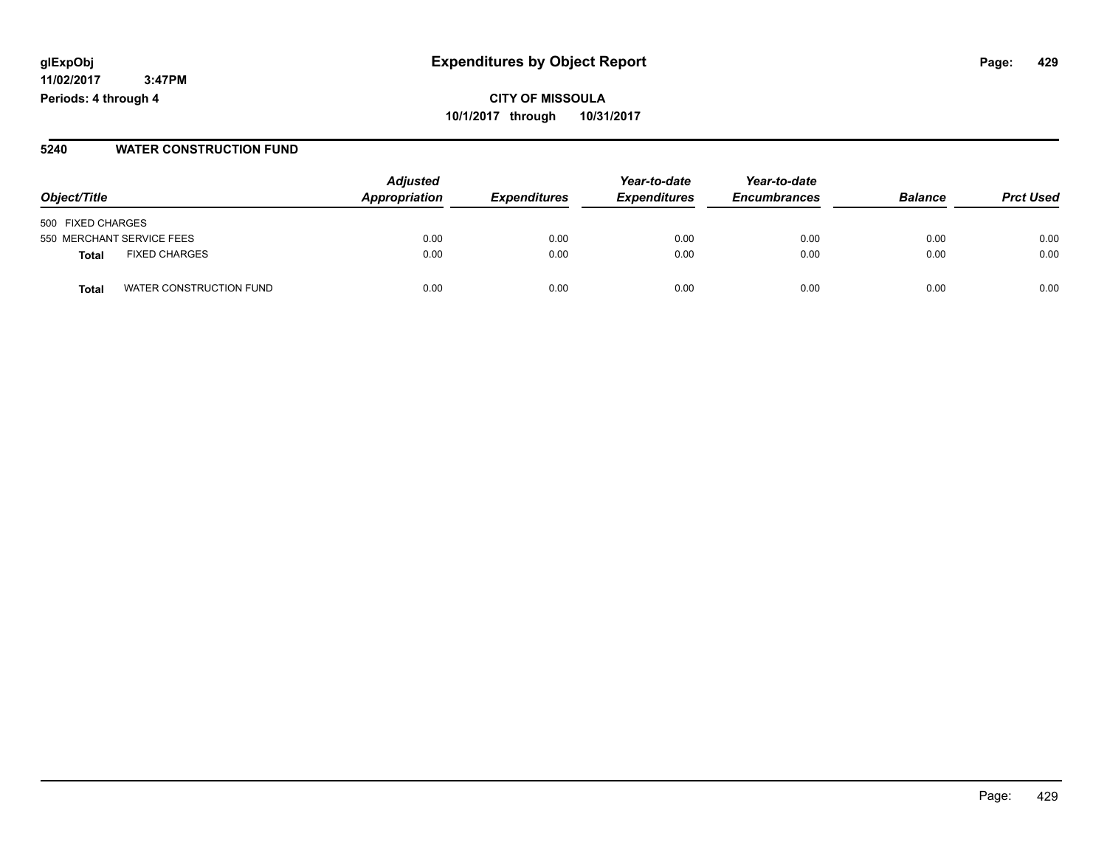**11/02/2017 3:47PM Periods: 4 through 4**

**CITY OF MISSOULA 10/1/2017 through 10/31/2017**

#### **5240 WATER CONSTRUCTION FUND**

| Object/Title                     | <b>Adjusted</b><br>Appropriation | <i><b>Expenditures</b></i> | Year-to-date<br><b>Expenditures</b> | Year-to-date<br><b>Encumbrances</b> | <b>Balance</b> | <b>Prct Used</b> |
|----------------------------------|----------------------------------|----------------------------|-------------------------------------|-------------------------------------|----------------|------------------|
|                                  |                                  |                            |                                     |                                     |                |                  |
| 500 FIXED CHARGES                |                                  |                            |                                     |                                     |                |                  |
| 550 MERCHANT SERVICE FEES        | 0.00                             | 0.00                       | 0.00                                | 0.00                                | 0.00           | 0.00             |
| <b>FIXED CHARGES</b><br>Total    | 0.00                             | 0.00                       | 0.00                                | 0.00                                | 0.00           | 0.00             |
| WATER CONSTRUCTION FUND<br>Total | 0.00                             | 0.00                       | 0.00                                | 0.00                                | 0.00           | 0.00             |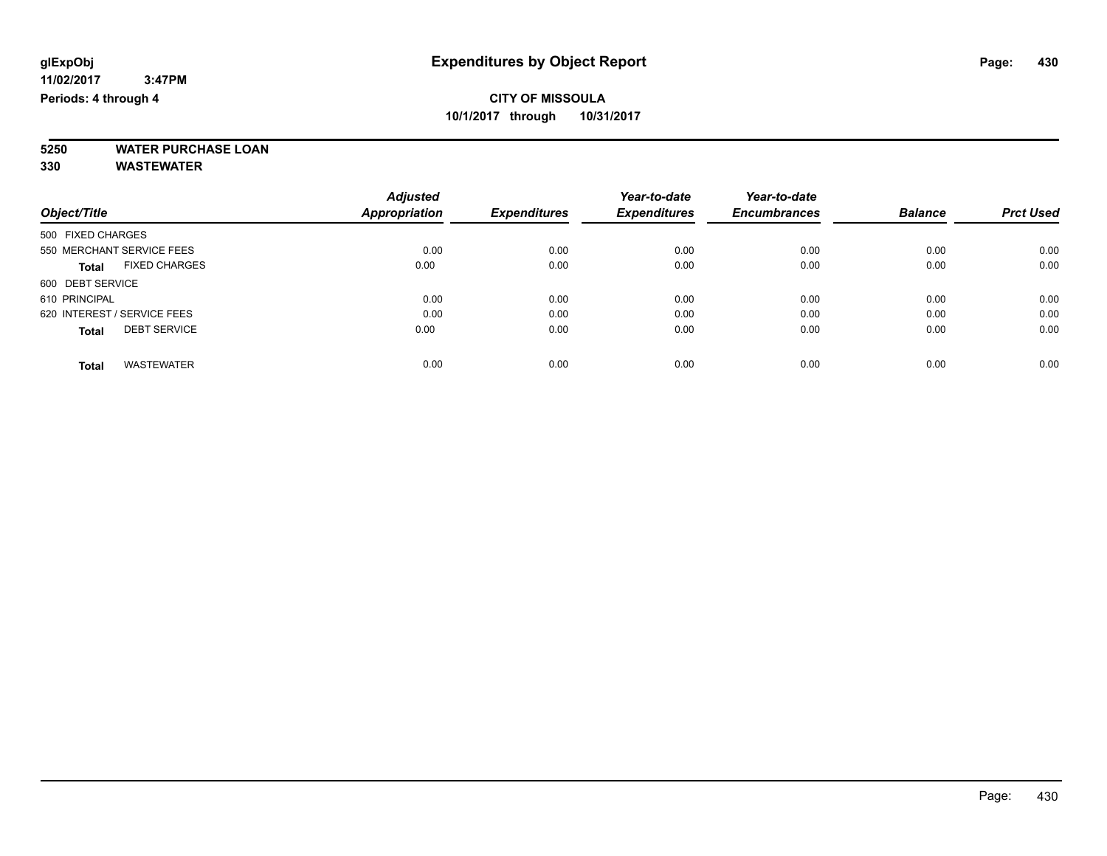**5250 WATER PURCHASE LOAN**

**330 WASTEWATER**

| <b>Adjusted</b>      | <b>Expenditures</b> | Year-to-date<br><b>Expenditures</b> | Year-to-date<br><b>Encumbrances</b> | <b>Balance</b> | <b>Prct Used</b> |
|----------------------|---------------------|-------------------------------------|-------------------------------------|----------------|------------------|
| <b>Appropriation</b> |                     |                                     |                                     |                |                  |
|                      |                     |                                     |                                     |                |                  |
| 0.00                 | 0.00                | 0.00                                | 0.00                                | 0.00           | 0.00             |
| 0.00                 | 0.00                | 0.00                                | 0.00                                | 0.00           | 0.00             |
|                      |                     |                                     |                                     |                |                  |
| 0.00                 | 0.00                | 0.00                                | 0.00                                | 0.00           | 0.00             |
| 0.00                 | 0.00                | 0.00                                | 0.00                                | 0.00           | 0.00             |
| 0.00                 | 0.00                | 0.00                                | 0.00                                | 0.00           | 0.00             |
|                      |                     |                                     |                                     |                | 0.00             |
|                      | 0.00                | 0.00                                | 0.00                                | 0.00           | 0.00             |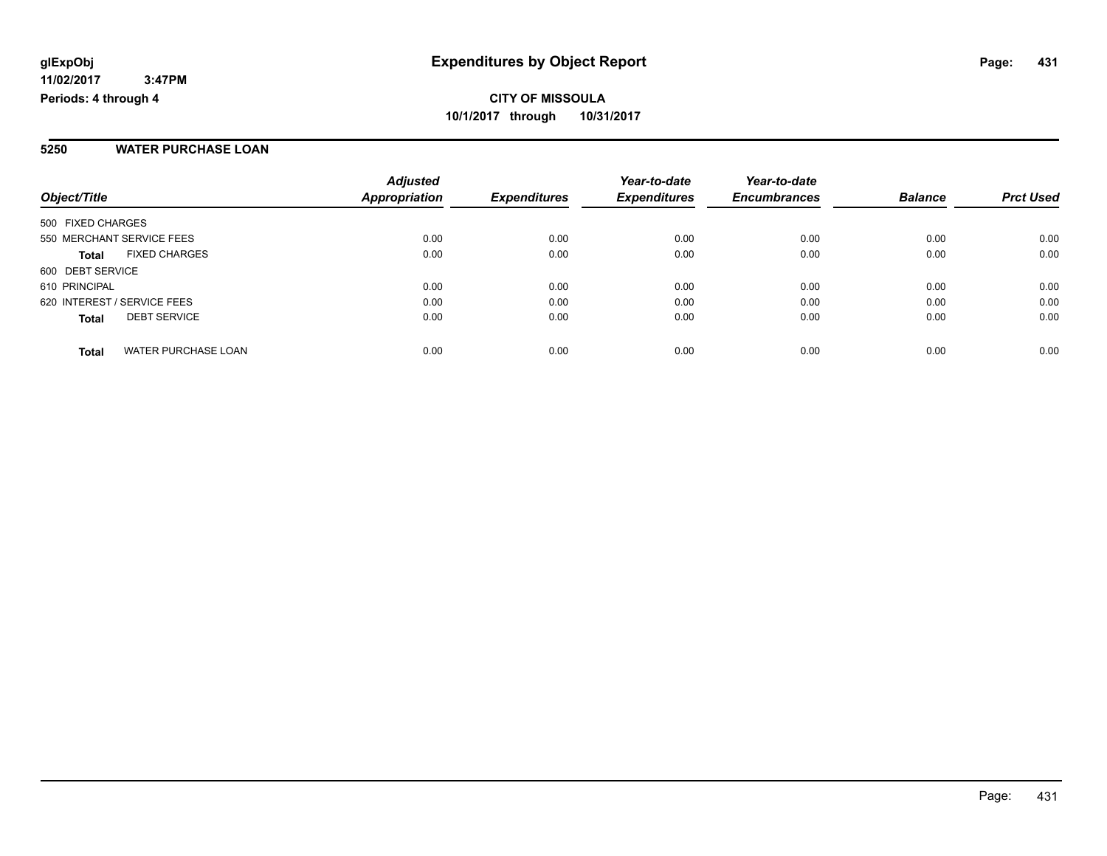#### **5250 WATER PURCHASE LOAN**

| Object/Title                               | <b>Adjusted</b><br><b>Appropriation</b> | <b>Expenditures</b> | Year-to-date<br><b>Expenditures</b> | Year-to-date<br><b>Encumbrances</b> | <b>Balance</b> | <b>Prct Used</b> |
|--------------------------------------------|-----------------------------------------|---------------------|-------------------------------------|-------------------------------------|----------------|------------------|
|                                            |                                         |                     |                                     |                                     |                |                  |
| 500 FIXED CHARGES                          |                                         |                     |                                     |                                     |                |                  |
| 550 MERCHANT SERVICE FEES                  | 0.00                                    | 0.00                | 0.00                                | 0.00                                | 0.00           | 0.00             |
| <b>FIXED CHARGES</b><br><b>Total</b>       | 0.00                                    | 0.00                | 0.00                                | 0.00                                | 0.00           | 0.00             |
| 600 DEBT SERVICE                           |                                         |                     |                                     |                                     |                |                  |
| 610 PRINCIPAL                              | 0.00                                    | 0.00                | 0.00                                | 0.00                                | 0.00           | 0.00             |
| 620 INTEREST / SERVICE FEES                | 0.00                                    | 0.00                | 0.00                                | 0.00                                | 0.00           | 0.00             |
| <b>DEBT SERVICE</b><br><b>Total</b>        | 0.00                                    | 0.00                | 0.00                                | 0.00                                | 0.00           | 0.00             |
| <b>WATER PURCHASE LOAN</b><br><b>Total</b> | 0.00                                    | 0.00                | 0.00                                | 0.00                                | 0.00           | 0.00             |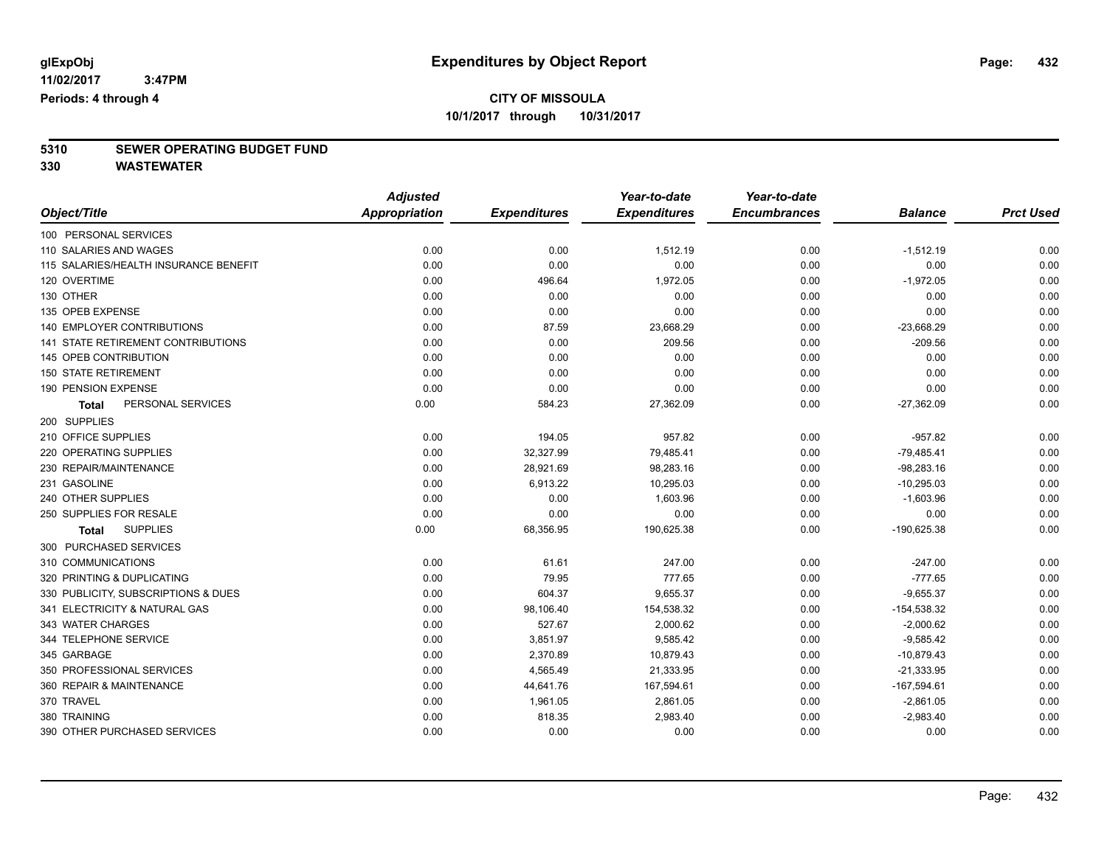# **5310 SEWER OPERATING BUDGET FUND**

**330 WASTEWATER**

| Object/Title                          | <b>Adjusted</b>      |                     | Year-to-date        | Year-to-date        |                |                  |
|---------------------------------------|----------------------|---------------------|---------------------|---------------------|----------------|------------------|
|                                       | <b>Appropriation</b> | <b>Expenditures</b> | <b>Expenditures</b> | <b>Encumbrances</b> | <b>Balance</b> | <b>Prct Used</b> |
| 100 PERSONAL SERVICES                 |                      |                     |                     |                     |                |                  |
| 110 SALARIES AND WAGES                | 0.00                 | 0.00                | 1,512.19            | 0.00                | $-1,512.19$    | 0.00             |
| 115 SALARIES/HEALTH INSURANCE BENEFIT | 0.00                 | 0.00                | 0.00                | 0.00                | 0.00           | 0.00             |
| 120 OVERTIME                          | 0.00                 | 496.64              | 1,972.05            | 0.00                | $-1,972.05$    | 0.00             |
| 130 OTHER                             | 0.00                 | 0.00                | 0.00                | 0.00                | 0.00           | 0.00             |
| 135 OPEB EXPENSE                      | 0.00                 | 0.00                | 0.00                | 0.00                | 0.00           | 0.00             |
| 140 EMPLOYER CONTRIBUTIONS            | 0.00                 | 87.59               | 23,668.29           | 0.00                | $-23,668.29$   | 0.00             |
| 141 STATE RETIREMENT CONTRIBUTIONS    | 0.00                 | 0.00                | 209.56              | 0.00                | $-209.56$      | 0.00             |
| 145 OPEB CONTRIBUTION                 | 0.00                 | 0.00                | 0.00                | 0.00                | 0.00           | 0.00             |
| <b>150 STATE RETIREMENT</b>           | 0.00                 | 0.00                | 0.00                | 0.00                | 0.00           | 0.00             |
| 190 PENSION EXPENSE                   | 0.00                 | 0.00                | 0.00                | 0.00                | 0.00           | 0.00             |
| PERSONAL SERVICES<br><b>Total</b>     | 0.00                 | 584.23              | 27,362.09           | 0.00                | $-27,362.09$   | 0.00             |
| 200 SUPPLIES                          |                      |                     |                     |                     |                |                  |
| 210 OFFICE SUPPLIES                   | 0.00                 | 194.05              | 957.82              | 0.00                | $-957.82$      | 0.00             |
| 220 OPERATING SUPPLIES                | 0.00                 | 32,327.99           | 79,485.41           | 0.00                | $-79,485.41$   | 0.00             |
| 230 REPAIR/MAINTENANCE                | 0.00                 | 28,921.69           | 98,283.16           | 0.00                | $-98,283.16$   | 0.00             |
| 231 GASOLINE                          | 0.00                 | 6,913.22            | 10,295.03           | 0.00                | $-10,295.03$   | 0.00             |
| 240 OTHER SUPPLIES                    | 0.00                 | 0.00                | 1,603.96            | 0.00                | $-1,603.96$    | 0.00             |
| 250 SUPPLIES FOR RESALE               | 0.00                 | 0.00                | 0.00                | 0.00                | 0.00           | 0.00             |
| <b>SUPPLIES</b><br>Total              | 0.00                 | 68,356.95           | 190,625.38          | 0.00                | $-190,625.38$  | 0.00             |
| 300 PURCHASED SERVICES                |                      |                     |                     |                     |                |                  |
| 310 COMMUNICATIONS                    | 0.00                 | 61.61               | 247.00              | 0.00                | $-247.00$      | 0.00             |
| 320 PRINTING & DUPLICATING            | 0.00                 | 79.95               | 777.65              | 0.00                | $-777.65$      | 0.00             |
| 330 PUBLICITY, SUBSCRIPTIONS & DUES   | 0.00                 | 604.37              | 9,655.37            | 0.00                | $-9,655.37$    | 0.00             |
| 341 ELECTRICITY & NATURAL GAS         | 0.00                 | 98,106.40           | 154,538.32          | 0.00                | $-154,538.32$  | 0.00             |
| 343 WATER CHARGES                     | 0.00                 | 527.67              | 2,000.62            | 0.00                | $-2,000.62$    | 0.00             |
| 344 TELEPHONE SERVICE                 | 0.00                 | 3,851.97            | 9,585.42            | 0.00                | $-9,585.42$    | 0.00             |
| 345 GARBAGE                           | 0.00                 | 2,370.89            | 10,879.43           | 0.00                | $-10,879.43$   | 0.00             |
| 350 PROFESSIONAL SERVICES             | 0.00                 | 4,565.49            | 21,333.95           | 0.00                | $-21,333.95$   | 0.00             |
| 360 REPAIR & MAINTENANCE              | 0.00                 | 44,641.76           | 167,594.61          | 0.00                | $-167,594.61$  | 0.00             |
| 370 TRAVEL                            | 0.00                 | 1,961.05            | 2,861.05            | 0.00                | $-2,861.05$    | 0.00             |
| 380 TRAINING                          | 0.00                 | 818.35              | 2,983.40            | 0.00                | $-2,983.40$    | 0.00             |
| 390 OTHER PURCHASED SERVICES          | 0.00                 | 0.00                | 0.00                | 0.00                | 0.00           | 0.00             |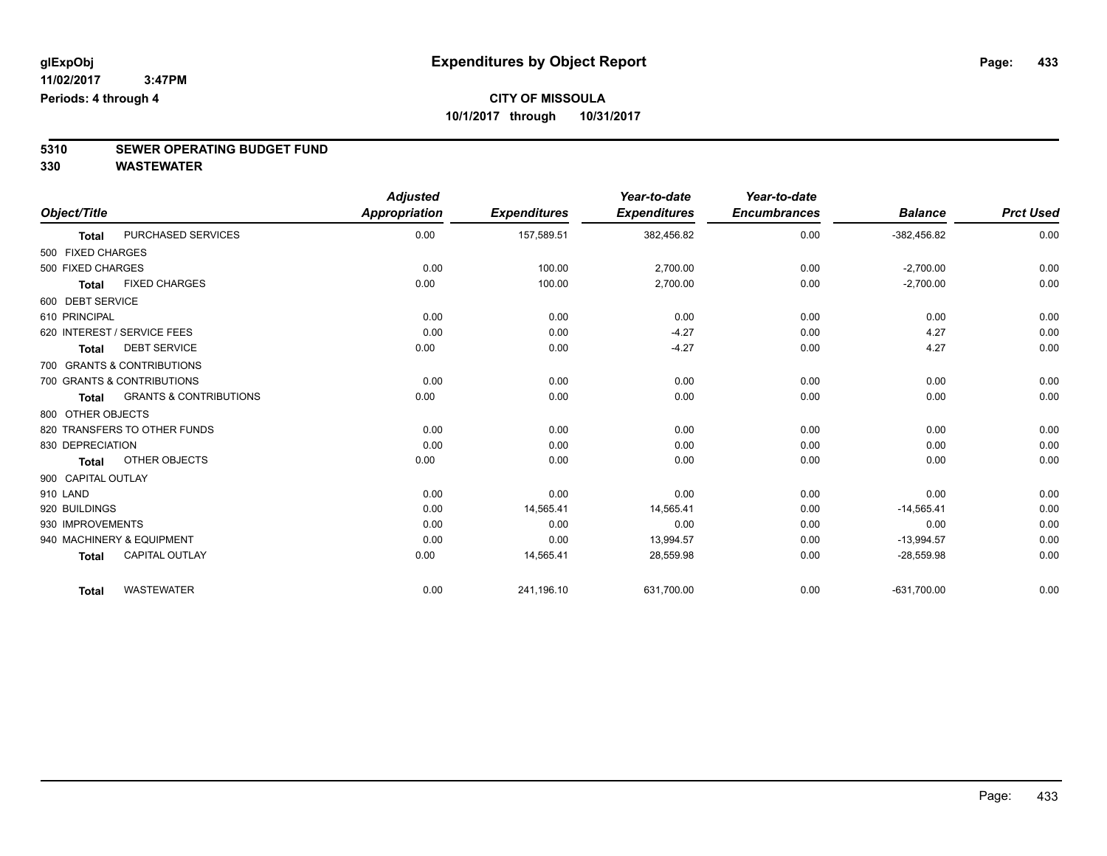# **5310 SEWER OPERATING BUDGET FUND**

|                    |                                   | <b>Adjusted</b>      |                     | Year-to-date        | Year-to-date        |                |                  |
|--------------------|-----------------------------------|----------------------|---------------------|---------------------|---------------------|----------------|------------------|
| Object/Title       |                                   | <b>Appropriation</b> | <b>Expenditures</b> | <b>Expenditures</b> | <b>Encumbrances</b> | <b>Balance</b> | <b>Prct Used</b> |
| <b>Total</b>       | PURCHASED SERVICES                | 0.00                 | 157,589.51          | 382,456.82          | 0.00                | $-382,456.82$  | 0.00             |
| 500 FIXED CHARGES  |                                   |                      |                     |                     |                     |                |                  |
| 500 FIXED CHARGES  |                                   | 0.00                 | 100.00              | 2,700.00            | 0.00                | $-2,700.00$    | 0.00             |
| <b>Total</b>       | <b>FIXED CHARGES</b>              | 0.00                 | 100.00              | 2,700.00            | 0.00                | $-2,700.00$    | 0.00             |
| 600 DEBT SERVICE   |                                   |                      |                     |                     |                     |                |                  |
| 610 PRINCIPAL      |                                   | 0.00                 | 0.00                | 0.00                | 0.00                | 0.00           | 0.00             |
|                    | 620 INTEREST / SERVICE FEES       | 0.00                 | 0.00                | $-4.27$             | 0.00                | 4.27           | 0.00             |
| <b>Total</b>       | <b>DEBT SERVICE</b>               | 0.00                 | 0.00                | $-4.27$             | 0.00                | 4.27           | 0.00             |
|                    | 700 GRANTS & CONTRIBUTIONS        |                      |                     |                     |                     |                |                  |
|                    | 700 GRANTS & CONTRIBUTIONS        | 0.00                 | 0.00                | 0.00                | 0.00                | 0.00           | 0.00             |
| <b>Total</b>       | <b>GRANTS &amp; CONTRIBUTIONS</b> | 0.00                 | 0.00                | 0.00                | 0.00                | 0.00           | 0.00             |
| 800 OTHER OBJECTS  |                                   |                      |                     |                     |                     |                |                  |
|                    | 820 TRANSFERS TO OTHER FUNDS      | 0.00                 | 0.00                | 0.00                | 0.00                | 0.00           | 0.00             |
| 830 DEPRECIATION   |                                   | 0.00                 | 0.00                | 0.00                | 0.00                | 0.00           | 0.00             |
| <b>Total</b>       | OTHER OBJECTS                     | 0.00                 | 0.00                | 0.00                | 0.00                | 0.00           | 0.00             |
| 900 CAPITAL OUTLAY |                                   |                      |                     |                     |                     |                |                  |
| 910 LAND           |                                   | 0.00                 | 0.00                | 0.00                | 0.00                | 0.00           | 0.00             |
| 920 BUILDINGS      |                                   | 0.00                 | 14,565.41           | 14,565.41           | 0.00                | $-14,565.41$   | 0.00             |
| 930 IMPROVEMENTS   |                                   | 0.00                 | 0.00                | 0.00                | 0.00                | 0.00           | 0.00             |
|                    | 940 MACHINERY & EQUIPMENT         | 0.00                 | 0.00                | 13,994.57           | 0.00                | $-13,994.57$   | 0.00             |
| <b>Total</b>       | <b>CAPITAL OUTLAY</b>             | 0.00                 | 14,565.41           | 28,559.98           | 0.00                | $-28,559.98$   | 0.00             |
| <b>Total</b>       | <b>WASTEWATER</b>                 | 0.00                 | 241,196.10          | 631,700.00          | 0.00                | $-631,700.00$  | 0.00             |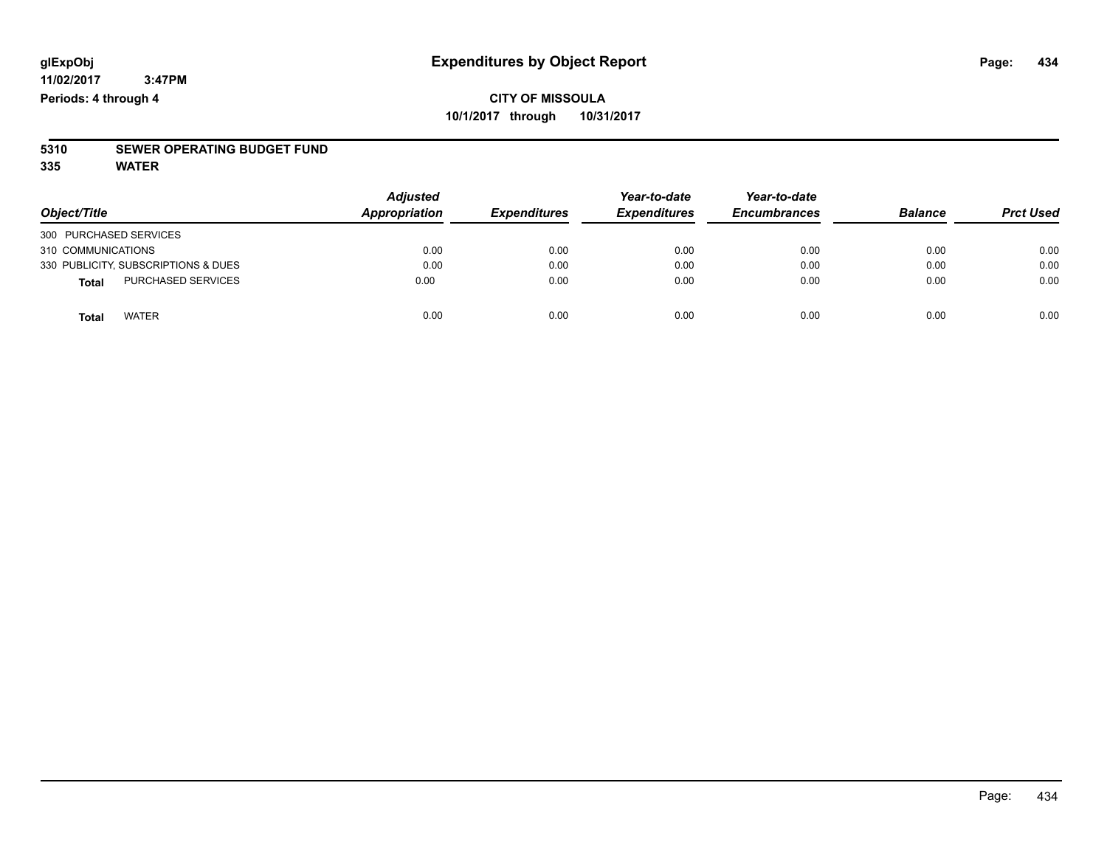## **CITY OF MISSOULA 10/1/2017 through 10/31/2017**

# **5310 SEWER OPERATING BUDGET FUND**

**335 WATER**

| Object/Title                              | <b>Adjusted</b><br>Appropriation | <b>Expenditures</b> | Year-to-date<br><b>Expenditures</b> | Year-to-date<br><b>Encumbrances</b> | <b>Balance</b> | <b>Prct Used</b> |
|-------------------------------------------|----------------------------------|---------------------|-------------------------------------|-------------------------------------|----------------|------------------|
| 300 PURCHASED SERVICES                    |                                  |                     |                                     |                                     |                |                  |
| 310 COMMUNICATIONS                        | 0.00                             | 0.00                | 0.00                                | 0.00                                | 0.00           | 0.00             |
| 330 PUBLICITY, SUBSCRIPTIONS & DUES       | 0.00                             | 0.00                | 0.00                                | 0.00                                | 0.00           | 0.00             |
| <b>PURCHASED SERVICES</b><br><b>Total</b> | 0.00                             | 0.00                | 0.00                                | 0.00                                | 0.00           | 0.00             |
| <b>WATER</b><br>Total                     | 0.00                             | 0.00                | 0.00                                | 0.00                                | 0.00           | 0.00             |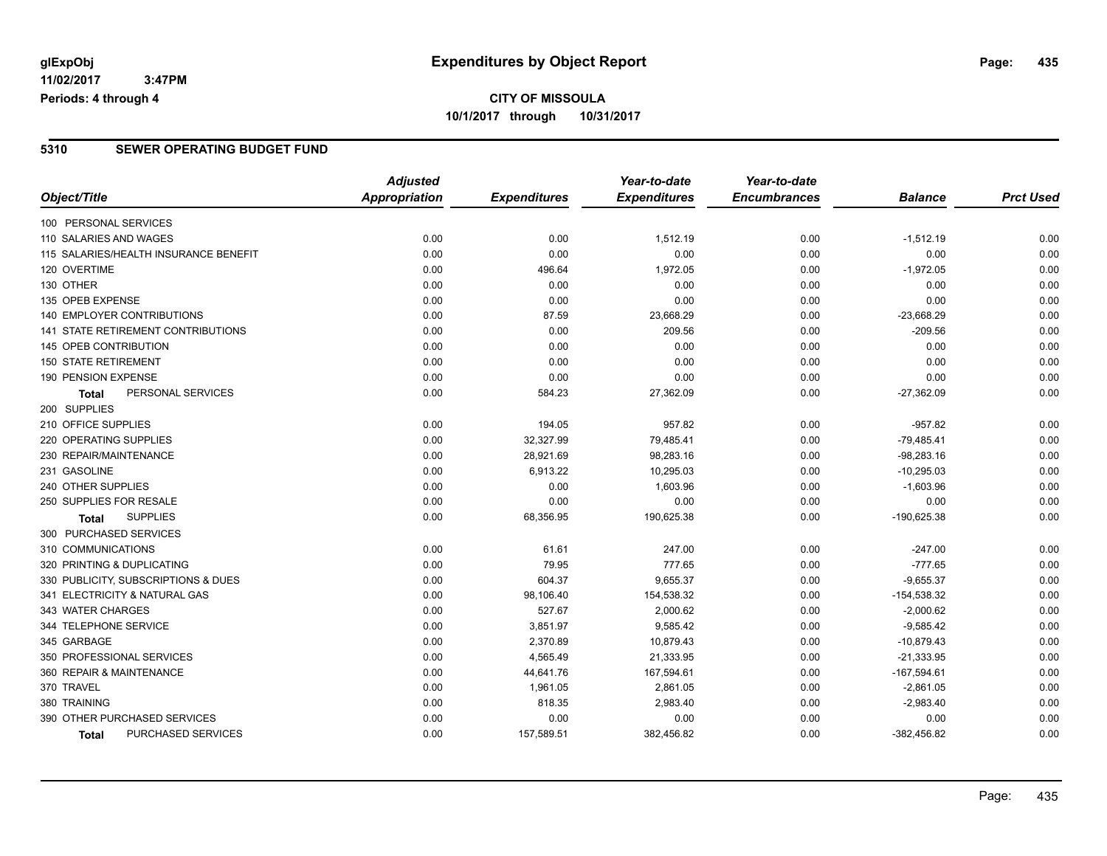## **CITY OF MISSOULA 10/1/2017 through 10/31/2017**

### **5310 SEWER OPERATING BUDGET FUND**

|                                       | <b>Adjusted</b>      |                     | Year-to-date        | Year-to-date        |                |                  |
|---------------------------------------|----------------------|---------------------|---------------------|---------------------|----------------|------------------|
| Object/Title                          | <b>Appropriation</b> | <b>Expenditures</b> | <b>Expenditures</b> | <b>Encumbrances</b> | <b>Balance</b> | <b>Prct Used</b> |
| 100 PERSONAL SERVICES                 |                      |                     |                     |                     |                |                  |
| 110 SALARIES AND WAGES                | 0.00                 | 0.00                | 1,512.19            | 0.00                | $-1,512.19$    | 0.00             |
| 115 SALARIES/HEALTH INSURANCE BENEFIT | 0.00                 | 0.00                | 0.00                | 0.00                | 0.00           | 0.00             |
| 120 OVERTIME                          | 0.00                 | 496.64              | 1,972.05            | 0.00                | $-1,972.05$    | 0.00             |
| 130 OTHER                             | 0.00                 | 0.00                | 0.00                | 0.00                | 0.00           | 0.00             |
| 135 OPEB EXPENSE                      | 0.00                 | 0.00                | 0.00                | 0.00                | 0.00           | 0.00             |
| 140 EMPLOYER CONTRIBUTIONS            | 0.00                 | 87.59               | 23,668.29           | 0.00                | $-23,668.29$   | 0.00             |
| 141 STATE RETIREMENT CONTRIBUTIONS    | 0.00                 | 0.00                | 209.56              | 0.00                | $-209.56$      | 0.00             |
| 145 OPEB CONTRIBUTION                 | 0.00                 | 0.00                | 0.00                | 0.00                | 0.00           | 0.00             |
| <b>150 STATE RETIREMENT</b>           | 0.00                 | 0.00                | 0.00                | 0.00                | 0.00           | 0.00             |
| 190 PENSION EXPENSE                   | 0.00                 | 0.00                | 0.00                | 0.00                | 0.00           | 0.00             |
| PERSONAL SERVICES<br><b>Total</b>     | 0.00                 | 584.23              | 27,362.09           | 0.00                | $-27,362.09$   | 0.00             |
| 200 SUPPLIES                          |                      |                     |                     |                     |                |                  |
| 210 OFFICE SUPPLIES                   | 0.00                 | 194.05              | 957.82              | 0.00                | $-957.82$      | 0.00             |
| 220 OPERATING SUPPLIES                | 0.00                 | 32,327.99           | 79,485.41           | 0.00                | $-79,485.41$   | 0.00             |
| 230 REPAIR/MAINTENANCE                | 0.00                 | 28,921.69           | 98,283.16           | 0.00                | $-98,283.16$   | 0.00             |
| 231 GASOLINE                          | 0.00                 | 6,913.22            | 10,295.03           | 0.00                | $-10,295.03$   | 0.00             |
| 240 OTHER SUPPLIES                    | 0.00                 | 0.00                | 1,603.96            | 0.00                | $-1,603.96$    | 0.00             |
| 250 SUPPLIES FOR RESALE               | 0.00                 | 0.00                | 0.00                | 0.00                | 0.00           | 0.00             |
| <b>SUPPLIES</b><br><b>Total</b>       | 0.00                 | 68,356.95           | 190,625.38          | 0.00                | -190,625.38    | 0.00             |
| 300 PURCHASED SERVICES                |                      |                     |                     |                     |                |                  |
| 310 COMMUNICATIONS                    | 0.00                 | 61.61               | 247.00              | 0.00                | $-247.00$      | 0.00             |
| 320 PRINTING & DUPLICATING            | 0.00                 | 79.95               | 777.65              | 0.00                | $-777.65$      | 0.00             |
| 330 PUBLICITY, SUBSCRIPTIONS & DUES   | 0.00                 | 604.37              | 9,655.37            | 0.00                | $-9,655.37$    | 0.00             |
| 341 ELECTRICITY & NATURAL GAS         | 0.00                 | 98,106.40           | 154,538.32          | 0.00                | $-154,538.32$  | 0.00             |
| 343 WATER CHARGES                     | 0.00                 | 527.67              | 2,000.62            | 0.00                | $-2,000.62$    | 0.00             |
| 344 TELEPHONE SERVICE                 | 0.00                 | 3,851.97            | 9,585.42            | 0.00                | $-9,585.42$    | 0.00             |
| 345 GARBAGE                           | 0.00                 | 2,370.89            | 10,879.43           | 0.00                | $-10,879.43$   | 0.00             |
| 350 PROFESSIONAL SERVICES             | 0.00                 | 4,565.49            | 21,333.95           | 0.00                | $-21,333.95$   | 0.00             |
| 360 REPAIR & MAINTENANCE              | 0.00                 | 44,641.76           | 167,594.61          | 0.00                | $-167,594.61$  | 0.00             |
| 370 TRAVEL                            | 0.00                 | 1,961.05            | 2,861.05            | 0.00                | $-2,861.05$    | 0.00             |
| 380 TRAINING                          | 0.00                 | 818.35              | 2,983.40            | 0.00                | $-2,983.40$    | 0.00             |
| 390 OTHER PURCHASED SERVICES          | 0.00                 | 0.00                | 0.00                | 0.00                | 0.00           | 0.00             |
| PURCHASED SERVICES<br><b>Total</b>    | 0.00                 | 157,589.51          | 382,456.82          | 0.00                | $-382,456.82$  | 0.00             |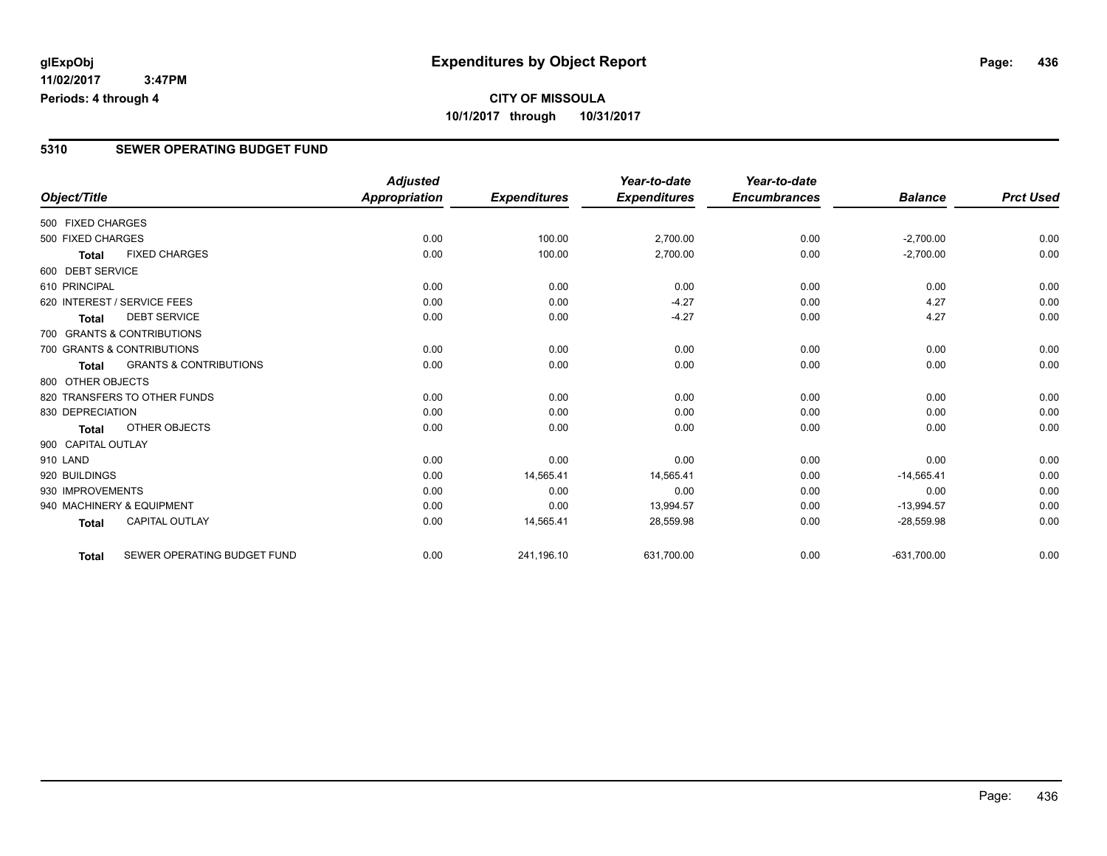**CITY OF MISSOULA 10/1/2017 through 10/31/2017**

### **5310 SEWER OPERATING BUDGET FUND**

|                    |                                   | <b>Adjusted</b>      |                     | Year-to-date        | Year-to-date        |                |                  |
|--------------------|-----------------------------------|----------------------|---------------------|---------------------|---------------------|----------------|------------------|
| Object/Title       |                                   | <b>Appropriation</b> | <b>Expenditures</b> | <b>Expenditures</b> | <b>Encumbrances</b> | <b>Balance</b> | <b>Prct Used</b> |
| 500 FIXED CHARGES  |                                   |                      |                     |                     |                     |                |                  |
| 500 FIXED CHARGES  |                                   | 0.00                 | 100.00              | 2,700.00            | 0.00                | $-2,700.00$    | 0.00             |
| <b>Total</b>       | <b>FIXED CHARGES</b>              | 0.00                 | 100.00              | 2,700.00            | 0.00                | $-2,700.00$    | 0.00             |
| 600 DEBT SERVICE   |                                   |                      |                     |                     |                     |                |                  |
| 610 PRINCIPAL      |                                   | 0.00                 | 0.00                | 0.00                | 0.00                | 0.00           | 0.00             |
|                    | 620 INTEREST / SERVICE FEES       | 0.00                 | 0.00                | $-4.27$             | 0.00                | 4.27           | 0.00             |
| <b>Total</b>       | <b>DEBT SERVICE</b>               | 0.00                 | 0.00                | $-4.27$             | 0.00                | 4.27           | 0.00             |
|                    | 700 GRANTS & CONTRIBUTIONS        |                      |                     |                     |                     |                |                  |
|                    | 700 GRANTS & CONTRIBUTIONS        | 0.00                 | 0.00                | 0.00                | 0.00                | 0.00           | 0.00             |
| <b>Total</b>       | <b>GRANTS &amp; CONTRIBUTIONS</b> | 0.00                 | 0.00                | 0.00                | 0.00                | 0.00           | 0.00             |
| 800 OTHER OBJECTS  |                                   |                      |                     |                     |                     |                |                  |
|                    | 820 TRANSFERS TO OTHER FUNDS      | 0.00                 | 0.00                | 0.00                | 0.00                | 0.00           | 0.00             |
| 830 DEPRECIATION   |                                   | 0.00                 | 0.00                | 0.00                | 0.00                | 0.00           | 0.00             |
| <b>Total</b>       | OTHER OBJECTS                     | 0.00                 | 0.00                | 0.00                | 0.00                | 0.00           | 0.00             |
| 900 CAPITAL OUTLAY |                                   |                      |                     |                     |                     |                |                  |
| 910 LAND           |                                   | 0.00                 | 0.00                | 0.00                | 0.00                | 0.00           | 0.00             |
| 920 BUILDINGS      |                                   | 0.00                 | 14,565.41           | 14,565.41           | 0.00                | $-14,565.41$   | 0.00             |
| 930 IMPROVEMENTS   |                                   | 0.00                 | 0.00                | 0.00                | 0.00                | 0.00           | 0.00             |
|                    | 940 MACHINERY & EQUIPMENT         | 0.00                 | 0.00                | 13,994.57           | 0.00                | $-13,994.57$   | 0.00             |
| <b>Total</b>       | <b>CAPITAL OUTLAY</b>             | 0.00                 | 14,565.41           | 28,559.98           | 0.00                | $-28,559.98$   | 0.00             |
| Total              | SEWER OPERATING BUDGET FUND       | 0.00                 | 241,196.10          | 631,700.00          | 0.00                | $-631,700.00$  | 0.00             |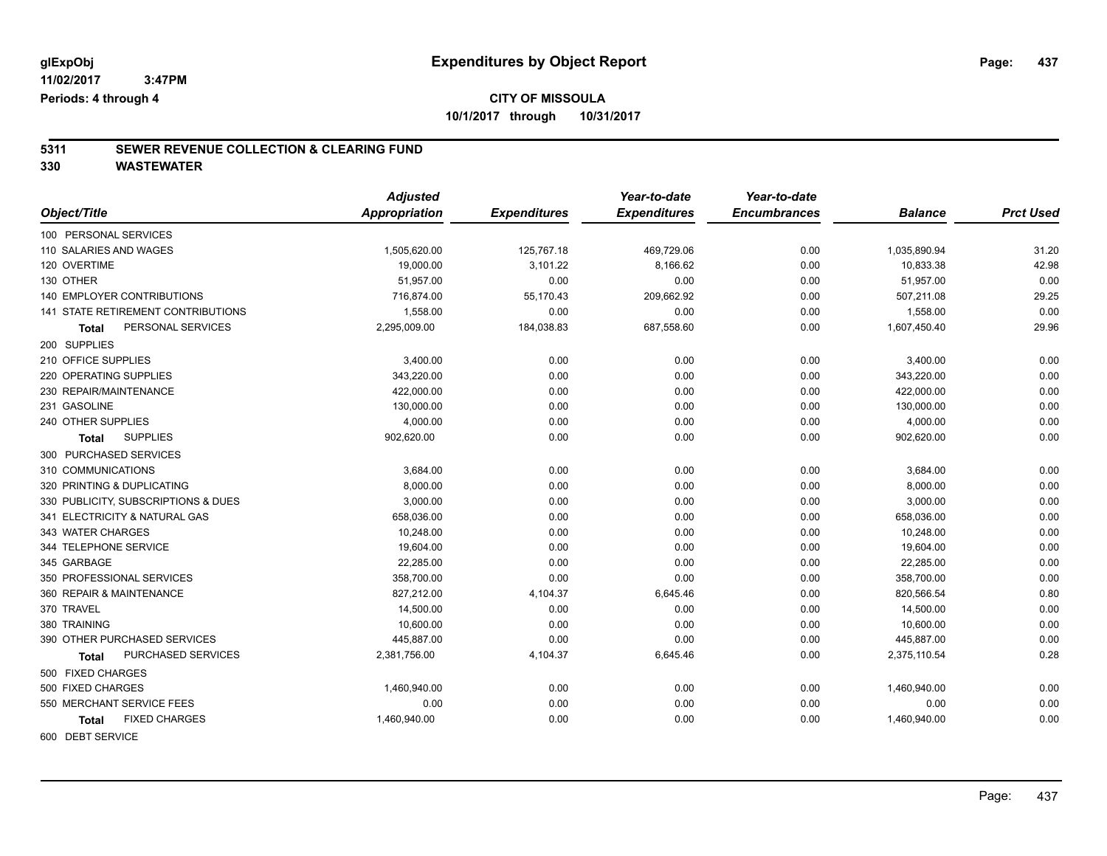# **5311 SEWER REVENUE COLLECTION & CLEARING FUND**

**330 WASTEWATER**

|                                           | <b>Adjusted</b>      |                     | Year-to-date        | Year-to-date        |                |                  |
|-------------------------------------------|----------------------|---------------------|---------------------|---------------------|----------------|------------------|
| Object/Title                              | <b>Appropriation</b> | <b>Expenditures</b> | <b>Expenditures</b> | <b>Encumbrances</b> | <b>Balance</b> | <b>Prct Used</b> |
| 100 PERSONAL SERVICES                     |                      |                     |                     |                     |                |                  |
| 110 SALARIES AND WAGES                    | 1,505,620.00         | 125,767.18          | 469,729.06          | 0.00                | 1,035,890.94   | 31.20            |
| 120 OVERTIME                              | 19,000.00            | 3,101.22            | 8,166.62            | 0.00                | 10,833.38      | 42.98            |
| 130 OTHER                                 | 51,957.00            | 0.00                | 0.00                | 0.00                | 51,957.00      | 0.00             |
| <b>140 EMPLOYER CONTRIBUTIONS</b>         | 716,874.00           | 55,170.43           | 209,662.92          | 0.00                | 507,211.08     | 29.25            |
| <b>141 STATE RETIREMENT CONTRIBUTIONS</b> | 1,558.00             | 0.00                | 0.00                | 0.00                | 1,558.00       | 0.00             |
| PERSONAL SERVICES<br>Total                | 2,295,009.00         | 184,038.83          | 687,558.60          | 0.00                | 1,607,450.40   | 29.96            |
| 200 SUPPLIES                              |                      |                     |                     |                     |                |                  |
| 210 OFFICE SUPPLIES                       | 3,400.00             | 0.00                | 0.00                | 0.00                | 3,400.00       | 0.00             |
| 220 OPERATING SUPPLIES                    | 343,220.00           | 0.00                | 0.00                | 0.00                | 343,220.00     | 0.00             |
| 230 REPAIR/MAINTENANCE                    | 422,000.00           | 0.00                | 0.00                | 0.00                | 422,000.00     | 0.00             |
| 231 GASOLINE                              | 130,000.00           | 0.00                | 0.00                | 0.00                | 130,000.00     | 0.00             |
| 240 OTHER SUPPLIES                        | 4,000.00             | 0.00                | 0.00                | 0.00                | 4,000.00       | 0.00             |
| <b>SUPPLIES</b><br>Total                  | 902,620.00           | 0.00                | 0.00                | 0.00                | 902,620.00     | 0.00             |
| 300 PURCHASED SERVICES                    |                      |                     |                     |                     |                |                  |
| 310 COMMUNICATIONS                        | 3,684.00             | 0.00                | 0.00                | 0.00                | 3,684.00       | 0.00             |
| 320 PRINTING & DUPLICATING                | 8,000.00             | 0.00                | 0.00                | 0.00                | 8,000.00       | 0.00             |
| 330 PUBLICITY, SUBSCRIPTIONS & DUES       | 3,000.00             | 0.00                | 0.00                | 0.00                | 3,000.00       | 0.00             |
| 341 ELECTRICITY & NATURAL GAS             | 658,036.00           | 0.00                | 0.00                | 0.00                | 658,036.00     | 0.00             |
| 343 WATER CHARGES                         | 10,248.00            | 0.00                | 0.00                | 0.00                | 10,248.00      | 0.00             |
| 344 TELEPHONE SERVICE                     | 19,604.00            | 0.00                | 0.00                | 0.00                | 19,604.00      | 0.00             |
| 345 GARBAGE                               | 22,285.00            | 0.00                | 0.00                | 0.00                | 22,285.00      | 0.00             |
| 350 PROFESSIONAL SERVICES                 | 358,700.00           | 0.00                | 0.00                | 0.00                | 358,700.00     | 0.00             |
| 360 REPAIR & MAINTENANCE                  | 827,212.00           | 4,104.37            | 6,645.46            | 0.00                | 820,566.54     | 0.80             |
| 370 TRAVEL                                | 14,500.00            | 0.00                | 0.00                | 0.00                | 14,500.00      | 0.00             |
| 380 TRAINING                              | 10,600.00            | 0.00                | 0.00                | 0.00                | 10,600.00      | 0.00             |
| 390 OTHER PURCHASED SERVICES              | 445,887.00           | 0.00                | 0.00                | 0.00                | 445,887.00     | 0.00             |
| PURCHASED SERVICES<br>Total               | 2,381,756.00         | 4,104.37            | 6,645.46            | 0.00                | 2,375,110.54   | 0.28             |
| 500 FIXED CHARGES                         |                      |                     |                     |                     |                |                  |
| 500 FIXED CHARGES                         | 1,460,940.00         | 0.00                | 0.00                | 0.00                | 1,460,940.00   | 0.00             |
| 550 MERCHANT SERVICE FEES                 | 0.00                 | 0.00                | 0.00                | 0.00                | 0.00           | 0.00             |
| <b>FIXED CHARGES</b><br>Total             | 1,460,940.00         | 0.00                | 0.00                | 0.00                | 1,460,940.00   | 0.00             |
| COO DEDIT CEDULOF                         |                      |                     |                     |                     |                |                  |

600 DEBT SERVICE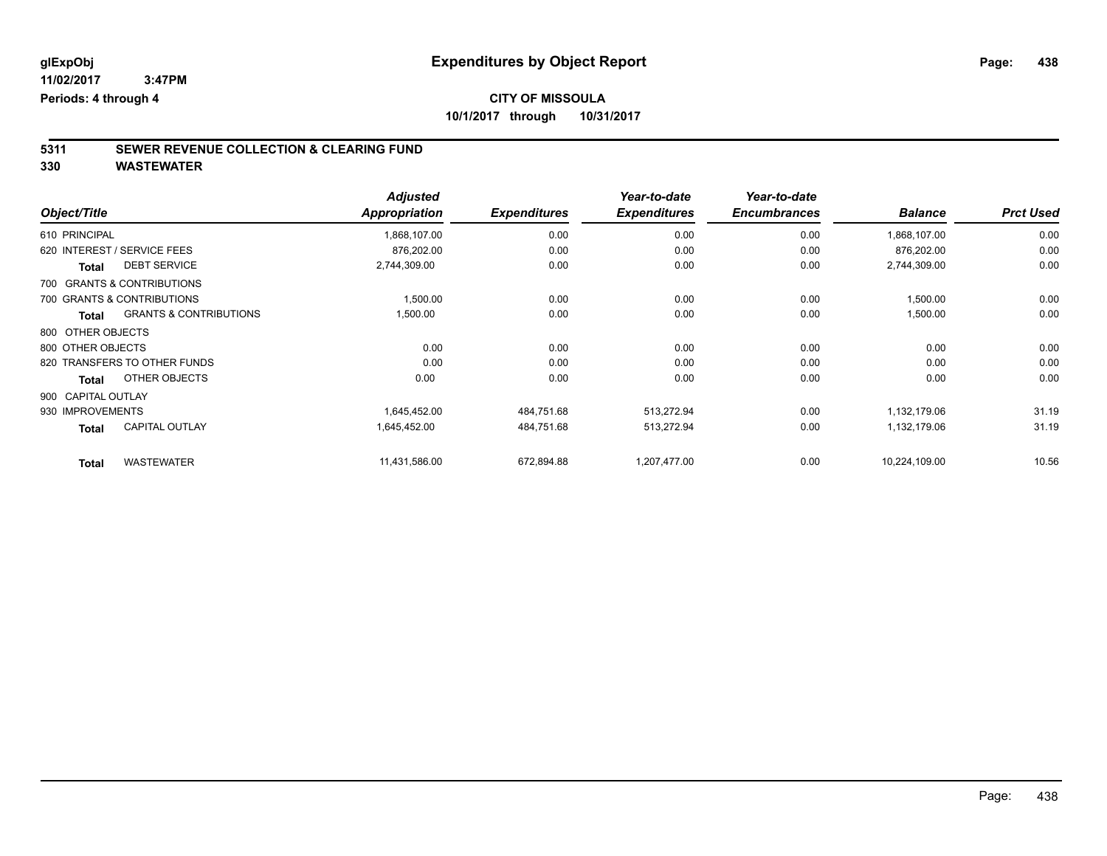## **CITY OF MISSOULA**

**10/1/2017 through 10/31/2017**

# **5311 SEWER REVENUE COLLECTION & CLEARING FUND**

| Object/Title       |                                   | <b>Adjusted</b><br>Appropriation | <b>Expenditures</b> | Year-to-date<br><b>Expenditures</b> | Year-to-date<br><b>Encumbrances</b> | <b>Balance</b> | <b>Prct Used</b> |
|--------------------|-----------------------------------|----------------------------------|---------------------|-------------------------------------|-------------------------------------|----------------|------------------|
|                    |                                   |                                  |                     |                                     |                                     |                |                  |
| 610 PRINCIPAL      |                                   | 1,868,107.00                     | 0.00                | 0.00                                | 0.00                                | 1,868,107.00   | 0.00             |
|                    | 620 INTEREST / SERVICE FEES       | 876,202.00                       | 0.00                | 0.00                                | 0.00                                | 876,202.00     | 0.00             |
| <b>Total</b>       | <b>DEBT SERVICE</b>               | 2,744,309.00                     | 0.00                | 0.00                                | 0.00                                | 2,744,309.00   | 0.00             |
|                    | 700 GRANTS & CONTRIBUTIONS        |                                  |                     |                                     |                                     |                |                  |
|                    | 700 GRANTS & CONTRIBUTIONS        | 1,500.00                         | 0.00                | 0.00                                | 0.00                                | 1,500.00       | 0.00             |
| <b>Total</b>       | <b>GRANTS &amp; CONTRIBUTIONS</b> | 1,500.00                         | 0.00                | 0.00                                | 0.00                                | 1,500.00       | 0.00             |
| 800 OTHER OBJECTS  |                                   |                                  |                     |                                     |                                     |                |                  |
| 800 OTHER OBJECTS  |                                   | 0.00                             | 0.00                | 0.00                                | 0.00                                | 0.00           | 0.00             |
|                    | 820 TRANSFERS TO OTHER FUNDS      | 0.00                             | 0.00                | 0.00                                | 0.00                                | 0.00           | 0.00             |
| Total              | OTHER OBJECTS                     | 0.00                             | 0.00                | 0.00                                | 0.00                                | 0.00           | 0.00             |
| 900 CAPITAL OUTLAY |                                   |                                  |                     |                                     |                                     |                |                  |
| 930 IMPROVEMENTS   |                                   | 1,645,452.00                     | 484,751.68          | 513,272.94                          | 0.00                                | 1,132,179.06   | 31.19            |
| <b>Total</b>       | <b>CAPITAL OUTLAY</b>             | 1,645,452.00                     | 484,751.68          | 513,272.94                          | 0.00                                | 1,132,179.06   | 31.19            |
| <b>Total</b>       | <b>WASTEWATER</b>                 | 11,431,586.00                    | 672,894.88          | 1,207,477.00                        | 0.00                                | 10,224,109.00  | 10.56            |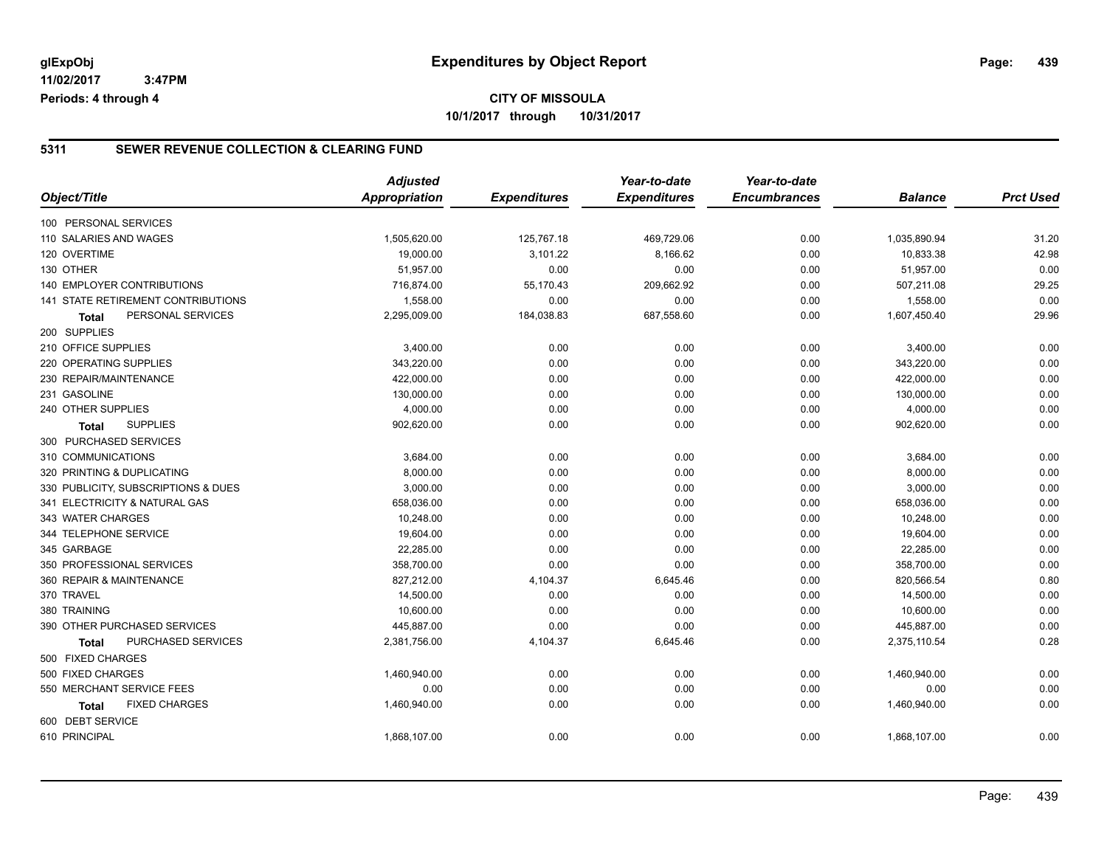**CITY OF MISSOULA 10/1/2017 through 10/31/2017**

### **5311 SEWER REVENUE COLLECTION & CLEARING FUND**

|                                     | <b>Adjusted</b> |                     | Year-to-date        | Year-to-date        |                |                  |
|-------------------------------------|-----------------|---------------------|---------------------|---------------------|----------------|------------------|
| Object/Title                        | Appropriation   | <b>Expenditures</b> | <b>Expenditures</b> | <b>Encumbrances</b> | <b>Balance</b> | <b>Prct Used</b> |
| 100 PERSONAL SERVICES               |                 |                     |                     |                     |                |                  |
| 110 SALARIES AND WAGES              | 1,505,620.00    | 125,767.18          | 469,729.06          | 0.00                | 1,035,890.94   | 31.20            |
| 120 OVERTIME                        | 19,000.00       | 3,101.22            | 8,166.62            | 0.00                | 10,833.38      | 42.98            |
| 130 OTHER                           | 51,957.00       | 0.00                | 0.00                | 0.00                | 51,957.00      | 0.00             |
| 140 EMPLOYER CONTRIBUTIONS          | 716,874.00      | 55,170.43           | 209,662.92          | 0.00                | 507,211.08     | 29.25            |
| 141 STATE RETIREMENT CONTRIBUTIONS  | 1,558.00        | 0.00                | 0.00                | 0.00                | 1,558.00       | 0.00             |
| PERSONAL SERVICES<br><b>Total</b>   | 2,295,009.00    | 184,038.83          | 687,558.60          | 0.00                | 1,607,450.40   | 29.96            |
| 200 SUPPLIES                        |                 |                     |                     |                     |                |                  |
| 210 OFFICE SUPPLIES                 | 3,400.00        | 0.00                | 0.00                | 0.00                | 3,400.00       | 0.00             |
| 220 OPERATING SUPPLIES              | 343,220.00      | 0.00                | 0.00                | 0.00                | 343,220.00     | 0.00             |
| 230 REPAIR/MAINTENANCE              | 422,000.00      | 0.00                | 0.00                | 0.00                | 422,000.00     | 0.00             |
| 231 GASOLINE                        | 130,000.00      | 0.00                | 0.00                | 0.00                | 130,000.00     | 0.00             |
| 240 OTHER SUPPLIES                  | 4,000.00        | 0.00                | 0.00                | 0.00                | 4,000.00       | 0.00             |
| <b>SUPPLIES</b><br>Total            | 902,620.00      | 0.00                | 0.00                | 0.00                | 902,620.00     | 0.00             |
| 300 PURCHASED SERVICES              |                 |                     |                     |                     |                |                  |
| 310 COMMUNICATIONS                  | 3,684.00        | 0.00                | 0.00                | 0.00                | 3,684.00       | 0.00             |
| 320 PRINTING & DUPLICATING          | 8,000.00        | 0.00                | 0.00                | 0.00                | 8,000.00       | 0.00             |
| 330 PUBLICITY, SUBSCRIPTIONS & DUES | 3,000.00        | 0.00                | 0.00                | 0.00                | 3,000.00       | 0.00             |
| 341 ELECTRICITY & NATURAL GAS       | 658,036.00      | 0.00                | 0.00                | 0.00                | 658,036.00     | 0.00             |
| 343 WATER CHARGES                   | 10,248.00       | 0.00                | 0.00                | 0.00                | 10,248.00      | 0.00             |
| 344 TELEPHONE SERVICE               | 19,604.00       | 0.00                | 0.00                | 0.00                | 19,604.00      | 0.00             |
| 345 GARBAGE                         | 22,285.00       | 0.00                | 0.00                | 0.00                | 22,285.00      | 0.00             |
| 350 PROFESSIONAL SERVICES           | 358,700.00      | 0.00                | 0.00                | 0.00                | 358,700.00     | 0.00             |
| 360 REPAIR & MAINTENANCE            | 827,212.00      | 4,104.37            | 6,645.46            | 0.00                | 820,566.54     | 0.80             |
| 370 TRAVEL                          | 14,500.00       | 0.00                | 0.00                | 0.00                | 14,500.00      | 0.00             |
| 380 TRAINING                        | 10,600.00       | 0.00                | 0.00                | 0.00                | 10,600.00      | 0.00             |
| 390 OTHER PURCHASED SERVICES        | 445,887.00      | 0.00                | 0.00                | 0.00                | 445,887.00     | 0.00             |
| PURCHASED SERVICES<br>Total         | 2,381,756.00    | 4,104.37            | 6,645.46            | 0.00                | 2,375,110.54   | 0.28             |
| 500 FIXED CHARGES                   |                 |                     |                     |                     |                |                  |
| 500 FIXED CHARGES                   | 1,460,940.00    | 0.00                | 0.00                | 0.00                | 1,460,940.00   | 0.00             |
| 550 MERCHANT SERVICE FEES           | 0.00            | 0.00                | 0.00                | 0.00                | 0.00           | 0.00             |
| <b>FIXED CHARGES</b><br>Total       | 1,460,940.00    | 0.00                | 0.00                | 0.00                | 1,460,940.00   | 0.00             |
| 600 DEBT SERVICE                    |                 |                     |                     |                     |                |                  |
| 610 PRINCIPAL                       | 1,868,107.00    | 0.00                | 0.00                | 0.00                | 1,868,107.00   | 0.00             |
|                                     |                 |                     |                     |                     |                |                  |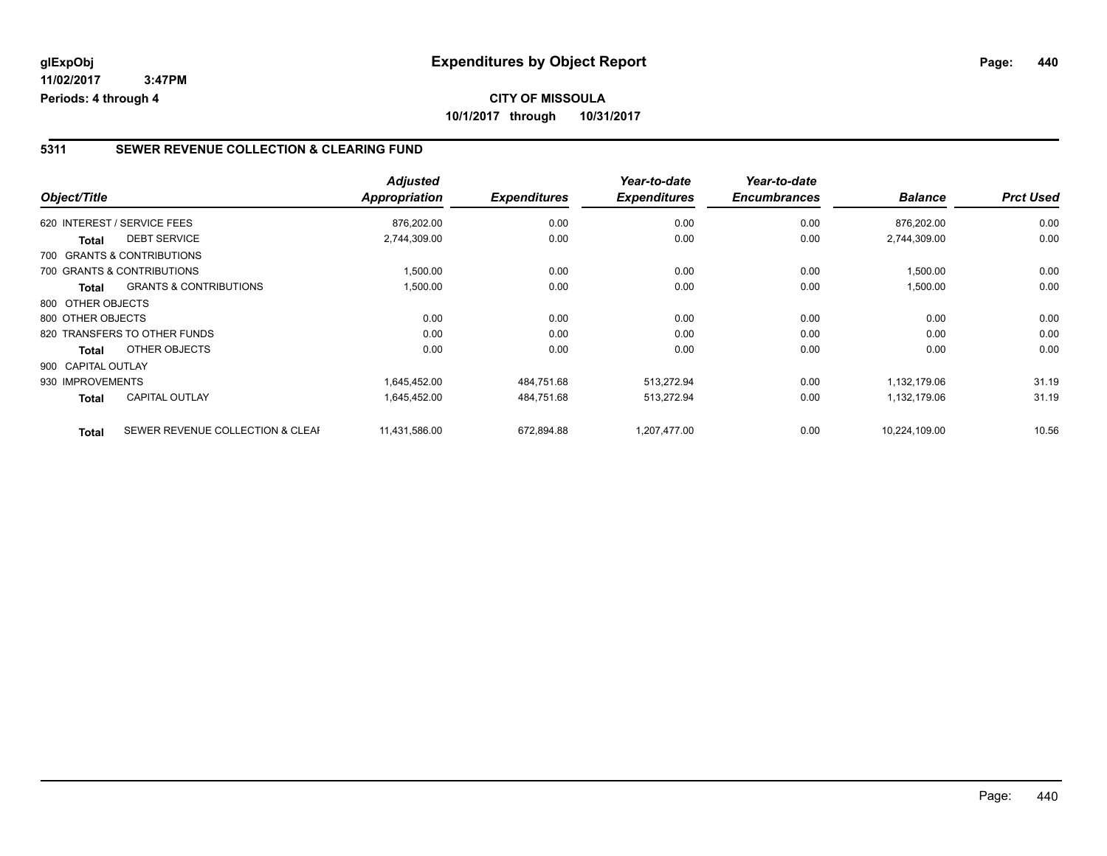## **CITY OF MISSOULA 10/1/2017 through 10/31/2017**

### **5311 SEWER REVENUE COLLECTION & CLEARING FUND**

| Object/Title       |                                   | <b>Adjusted</b><br>Appropriation | <b>Expenditures</b> | Year-to-date<br><b>Expenditures</b> | Year-to-date<br><b>Encumbrances</b> | <b>Balance</b> | <b>Prct Used</b> |
|--------------------|-----------------------------------|----------------------------------|---------------------|-------------------------------------|-------------------------------------|----------------|------------------|
|                    | 620 INTEREST / SERVICE FEES       | 876,202.00                       | 0.00                | 0.00                                | 0.00                                | 876,202.00     | 0.00             |
| <b>Total</b>       | <b>DEBT SERVICE</b>               | 2,744,309.00                     | 0.00                | 0.00                                | 0.00                                | 2,744,309.00   | 0.00             |
|                    | 700 GRANTS & CONTRIBUTIONS        |                                  |                     |                                     |                                     |                |                  |
|                    | 700 GRANTS & CONTRIBUTIONS        | 1,500.00                         | 0.00                | 0.00                                | 0.00                                | 1,500.00       | 0.00             |
| Total              | <b>GRANTS &amp; CONTRIBUTIONS</b> | 1,500.00                         | 0.00                | 0.00                                | 0.00                                | 1,500.00       | 0.00             |
| 800 OTHER OBJECTS  |                                   |                                  |                     |                                     |                                     |                |                  |
| 800 OTHER OBJECTS  |                                   | 0.00                             | 0.00                | 0.00                                | 0.00                                | 0.00           | 0.00             |
|                    | 820 TRANSFERS TO OTHER FUNDS      | 0.00                             | 0.00                | 0.00                                | 0.00                                | 0.00           | 0.00             |
| Total              | OTHER OBJECTS                     | 0.00                             | 0.00                | 0.00                                | 0.00                                | 0.00           | 0.00             |
| 900 CAPITAL OUTLAY |                                   |                                  |                     |                                     |                                     |                |                  |
| 930 IMPROVEMENTS   |                                   | 1,645,452.00                     | 484,751.68          | 513,272.94                          | 0.00                                | 1,132,179.06   | 31.19            |
| <b>Total</b>       | <b>CAPITAL OUTLAY</b>             | 1.645.452.00                     | 484,751.68          | 513,272.94                          | 0.00                                | 1,132,179.06   | 31.19            |
| <b>Total</b>       | SEWER REVENUE COLLECTION & CLEAF  | 11,431,586.00                    | 672,894.88          | 1,207,477.00                        | 0.00                                | 10,224,109.00  | 10.56            |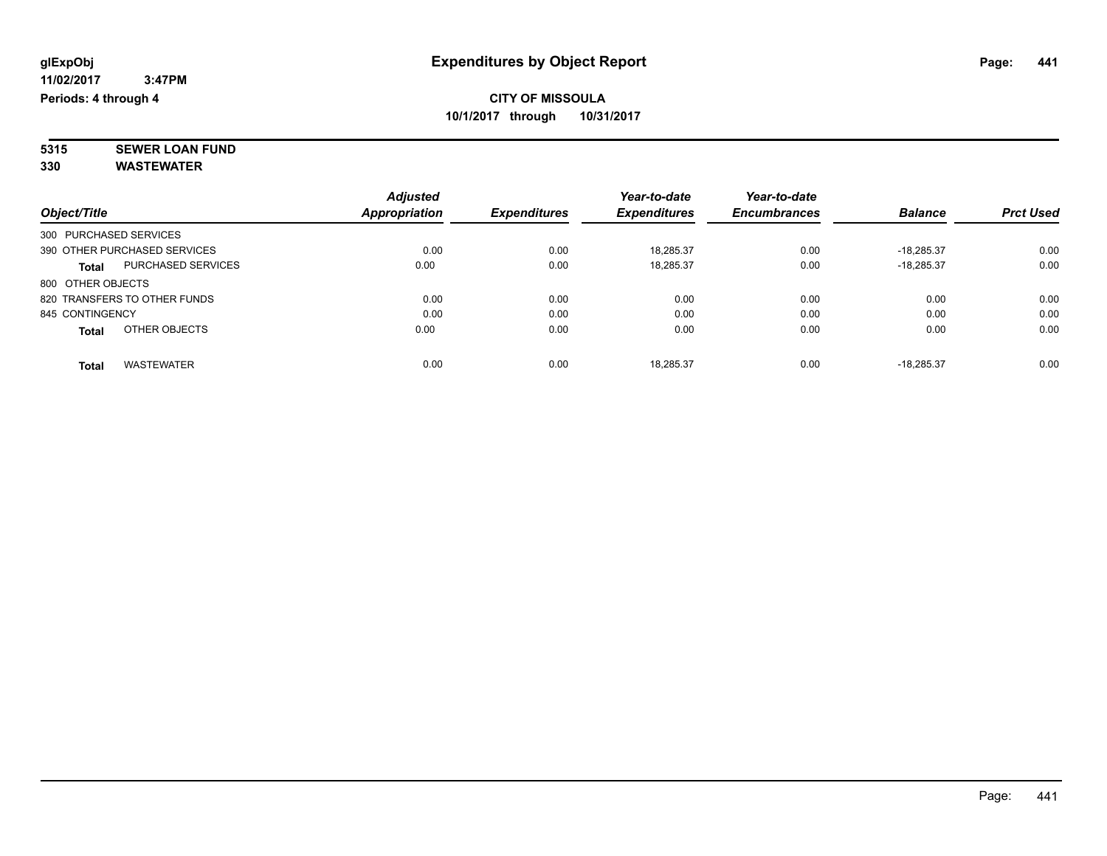**5315 SEWER LOAN FUND 330 WASTEWATER**

|                                           | <b>Adjusted</b>      |      |                     | Year-to-date        | Year-to-date        |                |                  |
|-------------------------------------------|----------------------|------|---------------------|---------------------|---------------------|----------------|------------------|
| Object/Title                              | <b>Appropriation</b> |      | <b>Expenditures</b> | <b>Expenditures</b> | <b>Encumbrances</b> | <b>Balance</b> | <b>Prct Used</b> |
| 300 PURCHASED SERVICES                    |                      |      |                     |                     |                     |                |                  |
| 390 OTHER PURCHASED SERVICES              |                      | 0.00 | 0.00                | 18.285.37           | 0.00                | $-18.285.37$   | 0.00             |
| <b>PURCHASED SERVICES</b><br><b>Total</b> |                      | 0.00 | 0.00                | 18,285.37           | 0.00                | $-18,285.37$   | 0.00             |
| 800 OTHER OBJECTS                         |                      |      |                     |                     |                     |                |                  |
| 820 TRANSFERS TO OTHER FUNDS              |                      | 0.00 | 0.00                | 0.00                | 0.00                | 0.00           | 0.00             |
| 845 CONTINGENCY                           |                      | 0.00 | 0.00                | 0.00                | 0.00                | 0.00           | 0.00             |
| OTHER OBJECTS<br><b>Total</b>             |                      | 0.00 | 0.00                | 0.00                | 0.00                | 0.00           | 0.00             |
| <b>WASTEWATER</b><br>Total                |                      | 0.00 | 0.00                | 18.285.37           | 0.00                | $-18.285.37$   | 0.00             |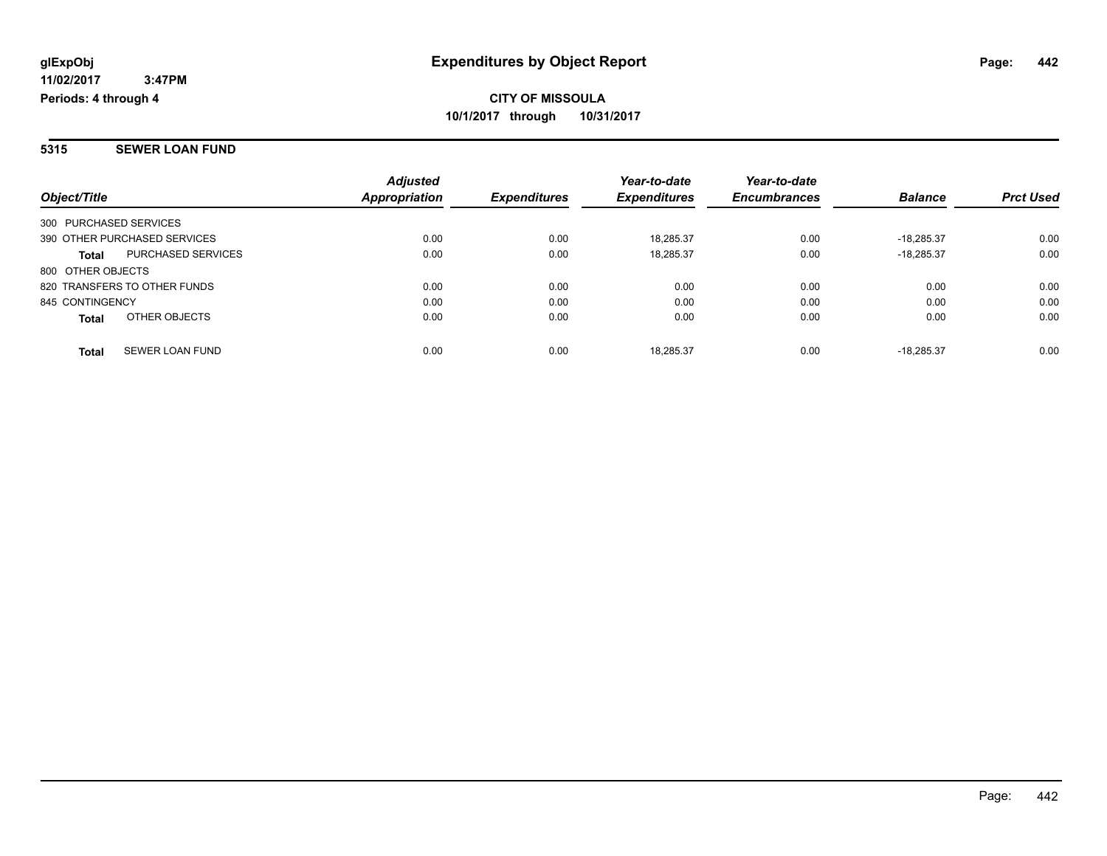#### **5315 SEWER LOAN FUND**

|                                        | <b>Adjusted</b> |                     | Year-to-date        | Year-to-date        |                |                  |
|----------------------------------------|-----------------|---------------------|---------------------|---------------------|----------------|------------------|
| Object/Title                           | Appropriation   | <b>Expenditures</b> | <b>Expenditures</b> | <b>Encumbrances</b> | <b>Balance</b> | <b>Prct Used</b> |
| 300 PURCHASED SERVICES                 |                 |                     |                     |                     |                |                  |
| 390 OTHER PURCHASED SERVICES           | 0.00            | 0.00                | 18.285.37           | 0.00                | $-18.285.37$   | 0.00             |
| PURCHASED SERVICES<br><b>Total</b>     | 0.00            | 0.00                | 18,285.37           | 0.00                | $-18.285.37$   | 0.00             |
| 800 OTHER OBJECTS                      |                 |                     |                     |                     |                |                  |
| 820 TRANSFERS TO OTHER FUNDS           | 0.00            | 0.00                | 0.00                | 0.00                | 0.00           | 0.00             |
| 845 CONTINGENCY                        | 0.00            | 0.00                | 0.00                | 0.00                | 0.00           | 0.00             |
| OTHER OBJECTS<br><b>Total</b>          | 0.00            | 0.00                | 0.00                | 0.00                | 0.00           | 0.00             |
| <b>SEWER LOAN FUND</b><br><b>Total</b> | 0.00            | 0.00                | 18.285.37           | 0.00                | $-18.285.37$   | 0.00             |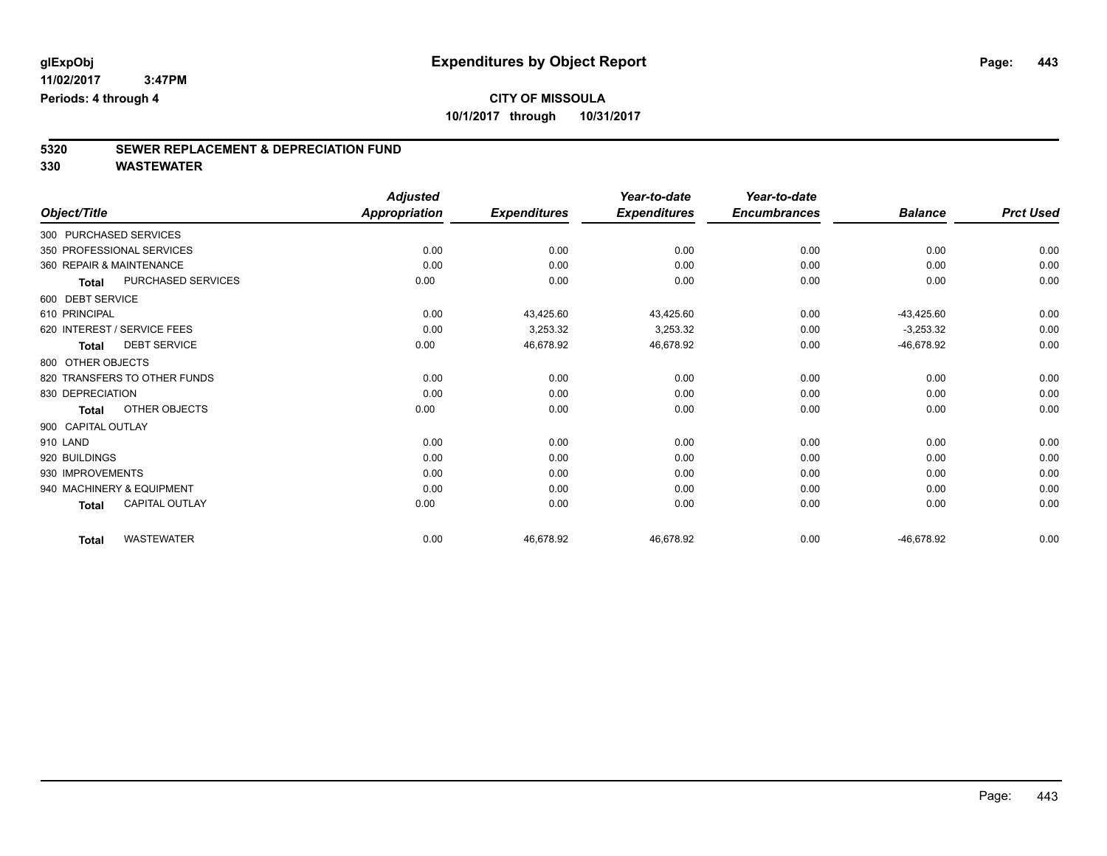# **5320 SEWER REPLACEMENT & DEPRECIATION FUND**

|                                       | <b>Adjusted</b>      |                     | Year-to-date        | Year-to-date        |                |                  |
|---------------------------------------|----------------------|---------------------|---------------------|---------------------|----------------|------------------|
| Object/Title                          | <b>Appropriation</b> | <b>Expenditures</b> | <b>Expenditures</b> | <b>Encumbrances</b> | <b>Balance</b> | <b>Prct Used</b> |
| 300 PURCHASED SERVICES                |                      |                     |                     |                     |                |                  |
| 350 PROFESSIONAL SERVICES             | 0.00                 | 0.00                | 0.00                | 0.00                | 0.00           | 0.00             |
| 360 REPAIR & MAINTENANCE              | 0.00                 | 0.00                | 0.00                | 0.00                | 0.00           | 0.00             |
| PURCHASED SERVICES<br><b>Total</b>    | 0.00                 | 0.00                | 0.00                | 0.00                | 0.00           | 0.00             |
| 600 DEBT SERVICE                      |                      |                     |                     |                     |                |                  |
| 610 PRINCIPAL                         | 0.00                 | 43,425.60           | 43,425.60           | 0.00                | $-43,425.60$   | 0.00             |
| 620 INTEREST / SERVICE FEES           | 0.00                 | 3,253.32            | 3,253.32            | 0.00                | $-3,253.32$    | 0.00             |
| <b>DEBT SERVICE</b><br><b>Total</b>   | 0.00                 | 46,678.92           | 46,678.92           | 0.00                | -46,678.92     | 0.00             |
| 800 OTHER OBJECTS                     |                      |                     |                     |                     |                |                  |
| 820 TRANSFERS TO OTHER FUNDS          | 0.00                 | 0.00                | 0.00                | 0.00                | 0.00           | 0.00             |
| 830 DEPRECIATION                      | 0.00                 | 0.00                | 0.00                | 0.00                | 0.00           | 0.00             |
| OTHER OBJECTS<br><b>Total</b>         | 0.00                 | 0.00                | 0.00                | 0.00                | 0.00           | 0.00             |
| 900 CAPITAL OUTLAY                    |                      |                     |                     |                     |                |                  |
| 910 LAND                              | 0.00                 | 0.00                | 0.00                | 0.00                | 0.00           | 0.00             |
| 920 BUILDINGS                         | 0.00                 | 0.00                | 0.00                | 0.00                | 0.00           | 0.00             |
| 930 IMPROVEMENTS                      | 0.00                 | 0.00                | 0.00                | 0.00                | 0.00           | 0.00             |
| 940 MACHINERY & EQUIPMENT             | 0.00                 | 0.00                | 0.00                | 0.00                | 0.00           | 0.00             |
| <b>CAPITAL OUTLAY</b><br><b>Total</b> | 0.00                 | 0.00                | 0.00                | 0.00                | 0.00           | 0.00             |
| <b>WASTEWATER</b><br><b>Total</b>     | 0.00                 | 46,678.92           | 46,678.92           | 0.00                | -46,678.92     | 0.00             |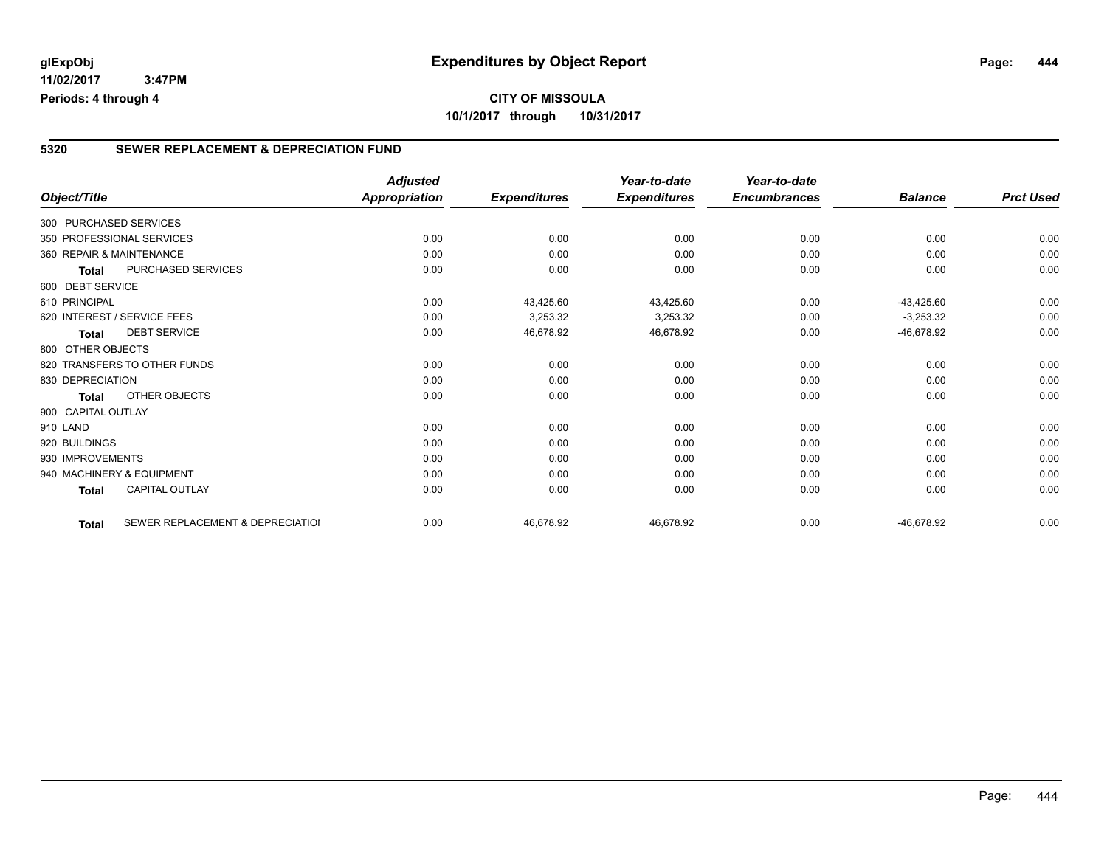## **CITY OF MISSOULA 10/1/2017 through 10/31/2017**

## **5320 SEWER REPLACEMENT & DEPRECIATION FUND**

|                          |                                  | <b>Adjusted</b>      |                     | Year-to-date        | Year-to-date        |                |                  |
|--------------------------|----------------------------------|----------------------|---------------------|---------------------|---------------------|----------------|------------------|
| Object/Title             |                                  | <b>Appropriation</b> | <b>Expenditures</b> | <b>Expenditures</b> | <b>Encumbrances</b> | <b>Balance</b> | <b>Prct Used</b> |
| 300 PURCHASED SERVICES   |                                  |                      |                     |                     |                     |                |                  |
|                          | 350 PROFESSIONAL SERVICES        | 0.00                 | 0.00                | 0.00                | 0.00                | 0.00           | 0.00             |
| 360 REPAIR & MAINTENANCE |                                  | 0.00                 | 0.00                | 0.00                | 0.00                | 0.00           | 0.00             |
| <b>Total</b>             | PURCHASED SERVICES               | 0.00                 | 0.00                | 0.00                | 0.00                | 0.00           | 0.00             |
| 600 DEBT SERVICE         |                                  |                      |                     |                     |                     |                |                  |
| 610 PRINCIPAL            |                                  | 0.00                 | 43,425.60           | 43,425.60           | 0.00                | $-43,425.60$   | 0.00             |
|                          | 620 INTEREST / SERVICE FEES      | 0.00                 | 3,253.32            | 3,253.32            | 0.00                | $-3,253.32$    | 0.00             |
| <b>Total</b>             | <b>DEBT SERVICE</b>              | 0.00                 | 46,678.92           | 46,678.92           | 0.00                | $-46,678.92$   | 0.00             |
| 800 OTHER OBJECTS        |                                  |                      |                     |                     |                     |                |                  |
|                          | 820 TRANSFERS TO OTHER FUNDS     | 0.00                 | 0.00                | 0.00                | 0.00                | 0.00           | 0.00             |
| 830 DEPRECIATION         |                                  | 0.00                 | 0.00                | 0.00                | 0.00                | 0.00           | 0.00             |
| <b>Total</b>             | <b>OTHER OBJECTS</b>             | 0.00                 | 0.00                | 0.00                | 0.00                | 0.00           | 0.00             |
| 900 CAPITAL OUTLAY       |                                  |                      |                     |                     |                     |                |                  |
| 910 LAND                 |                                  | 0.00                 | 0.00                | 0.00                | 0.00                | 0.00           | 0.00             |
| 920 BUILDINGS            |                                  | 0.00                 | 0.00                | 0.00                | 0.00                | 0.00           | 0.00             |
| 930 IMPROVEMENTS         |                                  | 0.00                 | 0.00                | 0.00                | 0.00                | 0.00           | 0.00             |
|                          | 940 MACHINERY & EQUIPMENT        | 0.00                 | 0.00                | 0.00                | 0.00                | 0.00           | 0.00             |
| <b>Total</b>             | <b>CAPITAL OUTLAY</b>            | 0.00                 | 0.00                | 0.00                | 0.00                | 0.00           | 0.00             |
| <b>Total</b>             | SEWER REPLACEMENT & DEPRECIATION | 0.00                 | 46,678.92           | 46,678.92           | 0.00                | $-46,678.92$   | 0.00             |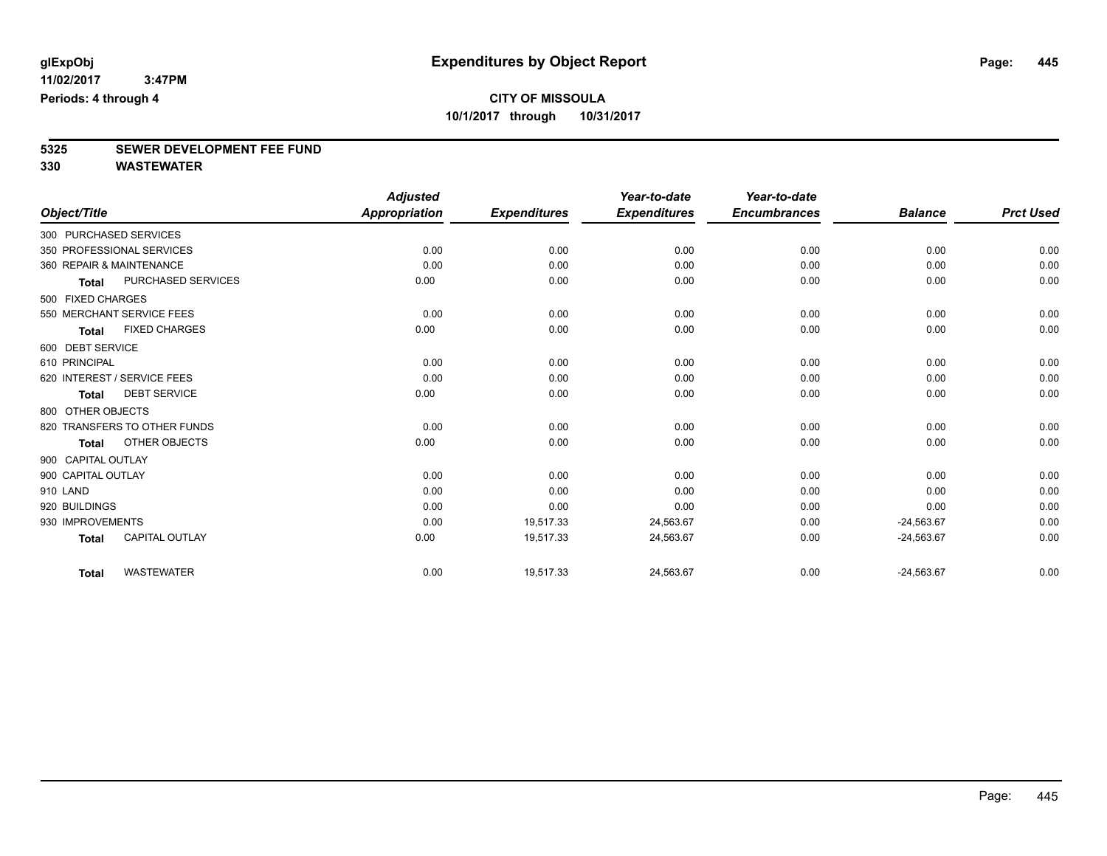# **5325 SEWER DEVELOPMENT FEE FUND**

|                          |                              | <b>Adjusted</b>      |                     | Year-to-date        | Year-to-date        |                |                  |
|--------------------------|------------------------------|----------------------|---------------------|---------------------|---------------------|----------------|------------------|
| Object/Title             |                              | <b>Appropriation</b> | <b>Expenditures</b> | <b>Expenditures</b> | <b>Encumbrances</b> | <b>Balance</b> | <b>Prct Used</b> |
| 300 PURCHASED SERVICES   |                              |                      |                     |                     |                     |                |                  |
|                          | 350 PROFESSIONAL SERVICES    | 0.00                 | 0.00                | 0.00                | 0.00                | 0.00           | 0.00             |
| 360 REPAIR & MAINTENANCE |                              | 0.00                 | 0.00                | 0.00                | 0.00                | 0.00           | 0.00             |
| <b>Total</b>             | PURCHASED SERVICES           | 0.00                 | 0.00                | 0.00                | 0.00                | 0.00           | 0.00             |
| 500 FIXED CHARGES        |                              |                      |                     |                     |                     |                |                  |
|                          | 550 MERCHANT SERVICE FEES    | 0.00                 | 0.00                | 0.00                | 0.00                | 0.00           | 0.00             |
| <b>Total</b>             | <b>FIXED CHARGES</b>         | 0.00                 | 0.00                | 0.00                | 0.00                | 0.00           | 0.00             |
| 600 DEBT SERVICE         |                              |                      |                     |                     |                     |                |                  |
| 610 PRINCIPAL            |                              | 0.00                 | 0.00                | 0.00                | 0.00                | 0.00           | 0.00             |
|                          | 620 INTEREST / SERVICE FEES  | 0.00                 | 0.00                | 0.00                | 0.00                | 0.00           | 0.00             |
| <b>Total</b>             | <b>DEBT SERVICE</b>          | 0.00                 | 0.00                | 0.00                | 0.00                | 0.00           | 0.00             |
| 800 OTHER OBJECTS        |                              |                      |                     |                     |                     |                |                  |
|                          | 820 TRANSFERS TO OTHER FUNDS | 0.00                 | 0.00                | 0.00                | 0.00                | 0.00           | 0.00             |
| <b>Total</b>             | OTHER OBJECTS                | 0.00                 | 0.00                | 0.00                | 0.00                | 0.00           | 0.00             |
| 900 CAPITAL OUTLAY       |                              |                      |                     |                     |                     |                |                  |
| 900 CAPITAL OUTLAY       |                              | 0.00                 | 0.00                | 0.00                | 0.00                | 0.00           | 0.00             |
| 910 LAND                 |                              | 0.00                 | 0.00                | 0.00                | 0.00                | 0.00           | 0.00             |
| 920 BUILDINGS            |                              | 0.00                 | 0.00                | 0.00                | 0.00                | 0.00           | 0.00             |
| 930 IMPROVEMENTS         |                              | 0.00                 | 19,517.33           | 24,563.67           | 0.00                | $-24,563.67$   | 0.00             |
| <b>Total</b>             | <b>CAPITAL OUTLAY</b>        | 0.00                 | 19,517.33           | 24,563.67           | 0.00                | $-24,563.67$   | 0.00             |
| <b>Total</b>             | <b>WASTEWATER</b>            | 0.00                 | 19,517.33           | 24,563.67           | 0.00                | $-24,563.67$   | 0.00             |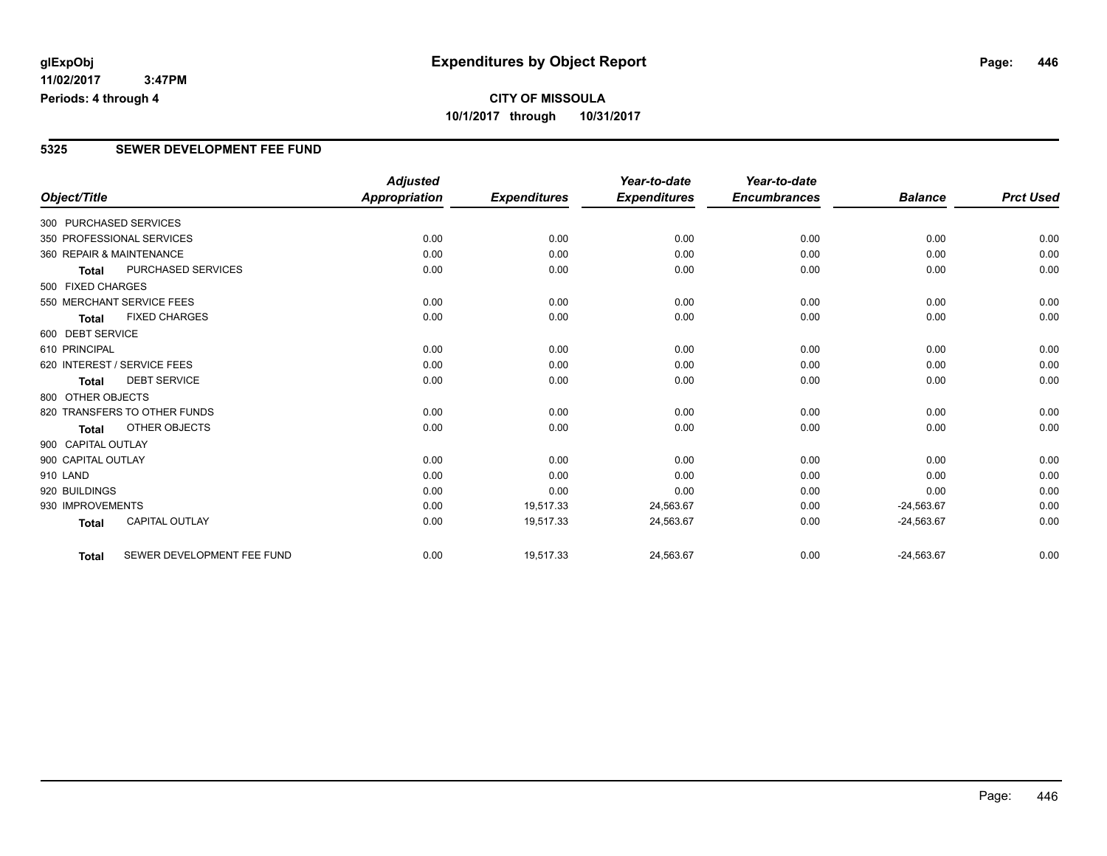## **CITY OF MISSOULA 10/1/2017 through 10/31/2017**

### **5325 SEWER DEVELOPMENT FEE FUND**

|                          |                              | <b>Adjusted</b>      |                     | Year-to-date        | Year-to-date        |                |                  |
|--------------------------|------------------------------|----------------------|---------------------|---------------------|---------------------|----------------|------------------|
| Object/Title             |                              | <b>Appropriation</b> | <b>Expenditures</b> | <b>Expenditures</b> | <b>Encumbrances</b> | <b>Balance</b> | <b>Prct Used</b> |
| 300 PURCHASED SERVICES   |                              |                      |                     |                     |                     |                |                  |
|                          | 350 PROFESSIONAL SERVICES    | 0.00                 | 0.00                | 0.00                | 0.00                | 0.00           | 0.00             |
| 360 REPAIR & MAINTENANCE |                              | 0.00                 | 0.00                | 0.00                | 0.00                | 0.00           | 0.00             |
| <b>Total</b>             | PURCHASED SERVICES           | 0.00                 | 0.00                | 0.00                | 0.00                | 0.00           | 0.00             |
| 500 FIXED CHARGES        |                              |                      |                     |                     |                     |                |                  |
|                          | 550 MERCHANT SERVICE FEES    | 0.00                 | 0.00                | 0.00                | 0.00                | 0.00           | 0.00             |
| <b>Total</b>             | <b>FIXED CHARGES</b>         | 0.00                 | 0.00                | 0.00                | 0.00                | 0.00           | 0.00             |
| 600 DEBT SERVICE         |                              |                      |                     |                     |                     |                |                  |
| 610 PRINCIPAL            |                              | 0.00                 | 0.00                | 0.00                | 0.00                | 0.00           | 0.00             |
|                          | 620 INTEREST / SERVICE FEES  | 0.00                 | 0.00                | 0.00                | 0.00                | 0.00           | 0.00             |
| <b>Total</b>             | <b>DEBT SERVICE</b>          | 0.00                 | 0.00                | 0.00                | 0.00                | 0.00           | 0.00             |
| 800 OTHER OBJECTS        |                              |                      |                     |                     |                     |                |                  |
|                          | 820 TRANSFERS TO OTHER FUNDS | 0.00                 | 0.00                | 0.00                | 0.00                | 0.00           | 0.00             |
| Total                    | OTHER OBJECTS                | 0.00                 | 0.00                | 0.00                | 0.00                | 0.00           | 0.00             |
| 900 CAPITAL OUTLAY       |                              |                      |                     |                     |                     |                |                  |
| 900 CAPITAL OUTLAY       |                              | 0.00                 | 0.00                | 0.00                | 0.00                | 0.00           | 0.00             |
| 910 LAND                 |                              | 0.00                 | 0.00                | 0.00                | 0.00                | 0.00           | 0.00             |
| 920 BUILDINGS            |                              | 0.00                 | 0.00                | 0.00                | 0.00                | 0.00           | 0.00             |
| 930 IMPROVEMENTS         |                              | 0.00                 | 19,517.33           | 24,563.67           | 0.00                | $-24,563.67$   | 0.00             |
| <b>Total</b>             | <b>CAPITAL OUTLAY</b>        | 0.00                 | 19,517.33           | 24,563.67           | 0.00                | $-24,563.67$   | 0.00             |
| <b>Total</b>             | SEWER DEVELOPMENT FEE FUND   | 0.00                 | 19,517.33           | 24,563.67           | 0.00                | $-24,563.67$   | 0.00             |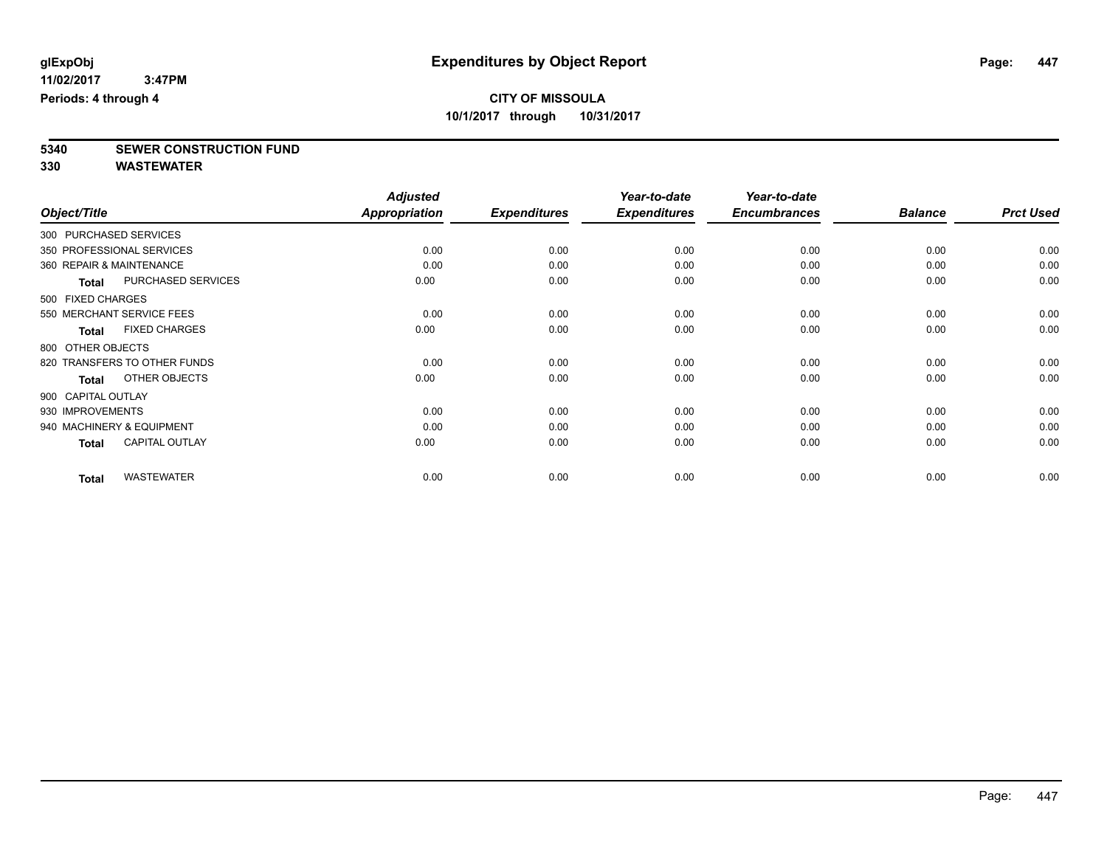# **5340 SEWER CONSTRUCTION FUND**

|                                       | <b>Adjusted</b>      |                     | Year-to-date        | Year-to-date        |                |                  |
|---------------------------------------|----------------------|---------------------|---------------------|---------------------|----------------|------------------|
| Object/Title                          | <b>Appropriation</b> | <b>Expenditures</b> | <b>Expenditures</b> | <b>Encumbrances</b> | <b>Balance</b> | <b>Prct Used</b> |
| 300 PURCHASED SERVICES                |                      |                     |                     |                     |                |                  |
| 350 PROFESSIONAL SERVICES             | 0.00                 | 0.00                | 0.00                | 0.00                | 0.00           | 0.00             |
| 360 REPAIR & MAINTENANCE              | 0.00                 | 0.00                | 0.00                | 0.00                | 0.00           | 0.00             |
| PURCHASED SERVICES<br><b>Total</b>    | 0.00                 | 0.00                | 0.00                | 0.00                | 0.00           | 0.00             |
| 500 FIXED CHARGES                     |                      |                     |                     |                     |                |                  |
| 550 MERCHANT SERVICE FEES             | 0.00                 | 0.00                | 0.00                | 0.00                | 0.00           | 0.00             |
| <b>FIXED CHARGES</b><br><b>Total</b>  | 0.00                 | 0.00                | 0.00                | 0.00                | 0.00           | 0.00             |
| 800 OTHER OBJECTS                     |                      |                     |                     |                     |                |                  |
| 820 TRANSFERS TO OTHER FUNDS          | 0.00                 | 0.00                | 0.00                | 0.00                | 0.00           | 0.00             |
| OTHER OBJECTS<br><b>Total</b>         | 0.00                 | 0.00                | 0.00                | 0.00                | 0.00           | 0.00             |
| 900 CAPITAL OUTLAY                    |                      |                     |                     |                     |                |                  |
| 930 IMPROVEMENTS                      | 0.00                 | 0.00                | 0.00                | 0.00                | 0.00           | 0.00             |
| 940 MACHINERY & EQUIPMENT             | 0.00                 | 0.00                | 0.00                | 0.00                | 0.00           | 0.00             |
| <b>CAPITAL OUTLAY</b><br><b>Total</b> | 0.00                 | 0.00                | 0.00                | 0.00                | 0.00           | 0.00             |
| <b>WASTEWATER</b><br><b>Total</b>     | 0.00                 | 0.00                | 0.00                | 0.00                | 0.00           | 0.00             |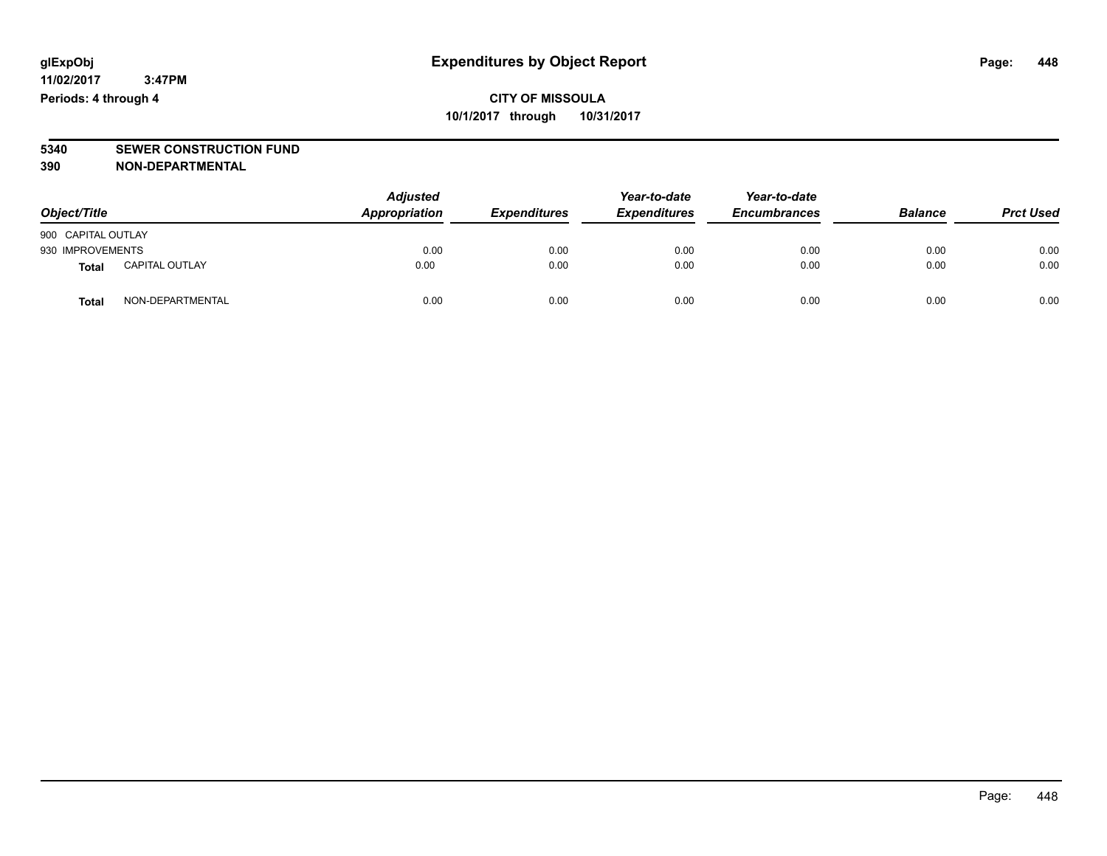# **5340 SEWER CONSTRUCTION FUND**

**390 NON-DEPARTMENTAL**

| Object/Title       |                       | <b>Adjusted</b><br><b>Appropriation</b> | <b>Expenditures</b> | Year-to-date<br><b>Expenditures</b> | Year-to-date<br><b>Encumbrances</b> | <b>Balance</b> | <b>Prct Used</b> |
|--------------------|-----------------------|-----------------------------------------|---------------------|-------------------------------------|-------------------------------------|----------------|------------------|
| 900 CAPITAL OUTLAY |                       |                                         |                     |                                     |                                     |                |                  |
| 930 IMPROVEMENTS   |                       | 0.00                                    | 0.00                | 0.00                                | 0.00                                | 0.00           | 0.00             |
| Total              | <b>CAPITAL OUTLAY</b> | 0.00                                    | 0.00                | 0.00                                | 0.00                                | 0.00           | 0.00             |
| <b>Total</b>       | NON-DEPARTMENTAL      | 0.00                                    | 0.00                | 0.00                                | 0.00                                | 0.00           | 0.00             |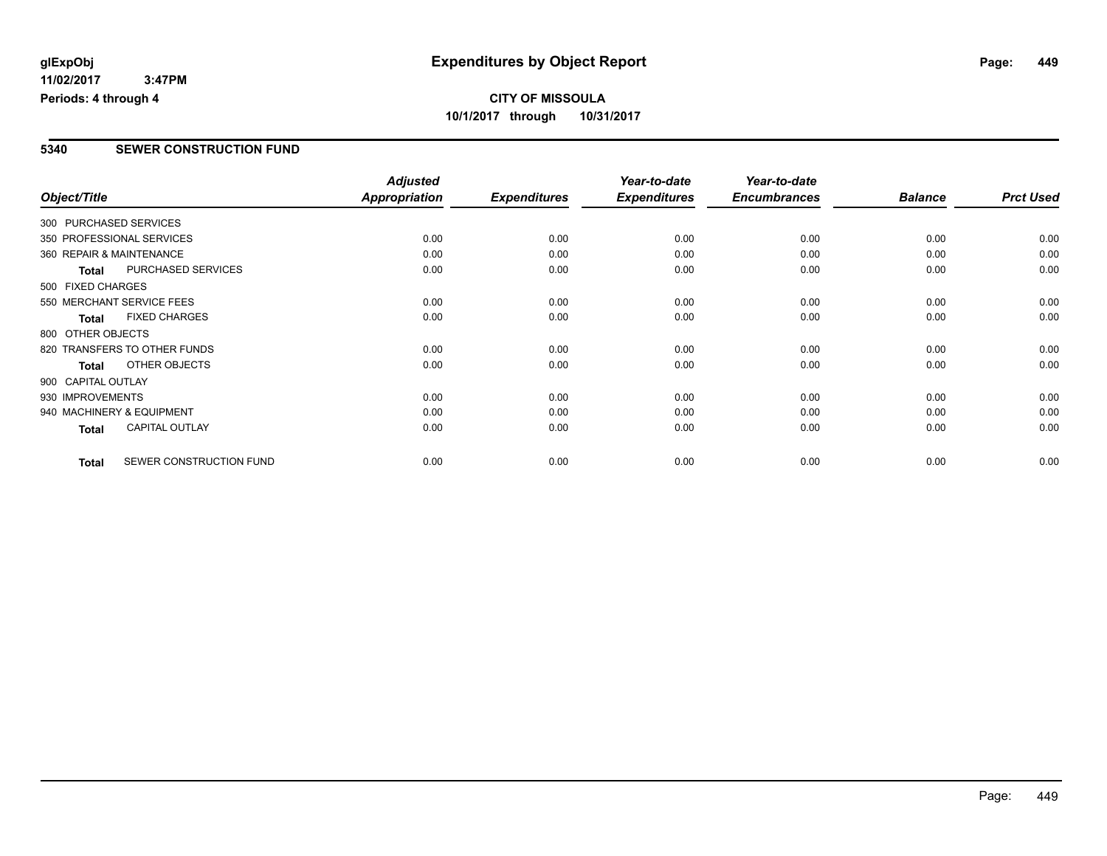## **CITY OF MISSOULA 10/1/2017 through 10/31/2017**

### **5340 SEWER CONSTRUCTION FUND**

| Object/Title             |                              | <b>Adjusted</b><br><b>Appropriation</b> | <b>Expenditures</b> | Year-to-date<br><b>Expenditures</b> | Year-to-date<br><b>Encumbrances</b> | <b>Balance</b> | <b>Prct Used</b> |
|--------------------------|------------------------------|-----------------------------------------|---------------------|-------------------------------------|-------------------------------------|----------------|------------------|
| 300 PURCHASED SERVICES   |                              |                                         |                     |                                     |                                     |                |                  |
|                          | 350 PROFESSIONAL SERVICES    | 0.00                                    | 0.00                | 0.00                                | 0.00                                | 0.00           | 0.00             |
| 360 REPAIR & MAINTENANCE |                              | 0.00                                    | 0.00                | 0.00                                | 0.00                                | 0.00           | 0.00             |
| <b>Total</b>             | PURCHASED SERVICES           | 0.00                                    | 0.00                | 0.00                                | 0.00                                | 0.00           | 0.00             |
| 500 FIXED CHARGES        |                              |                                         |                     |                                     |                                     |                |                  |
|                          | 550 MERCHANT SERVICE FEES    | 0.00                                    | 0.00                | 0.00                                | 0.00                                | 0.00           | 0.00             |
| Total                    | <b>FIXED CHARGES</b>         | 0.00                                    | 0.00                | 0.00                                | 0.00                                | 0.00           | 0.00             |
| 800 OTHER OBJECTS        |                              |                                         |                     |                                     |                                     |                |                  |
|                          | 820 TRANSFERS TO OTHER FUNDS | 0.00                                    | 0.00                | 0.00                                | 0.00                                | 0.00           | 0.00             |
| <b>Total</b>             | OTHER OBJECTS                | 0.00                                    | 0.00                | 0.00                                | 0.00                                | 0.00           | 0.00             |
| 900 CAPITAL OUTLAY       |                              |                                         |                     |                                     |                                     |                |                  |
| 930 IMPROVEMENTS         |                              | 0.00                                    | 0.00                | 0.00                                | 0.00                                | 0.00           | 0.00             |
|                          | 940 MACHINERY & EQUIPMENT    | 0.00                                    | 0.00                | 0.00                                | 0.00                                | 0.00           | 0.00             |
| <b>Total</b>             | <b>CAPITAL OUTLAY</b>        | 0.00                                    | 0.00                | 0.00                                | 0.00                                | 0.00           | 0.00             |
| <b>Total</b>             | SEWER CONSTRUCTION FUND      | 0.00                                    | 0.00                | 0.00                                | 0.00                                | 0.00           | 0.00             |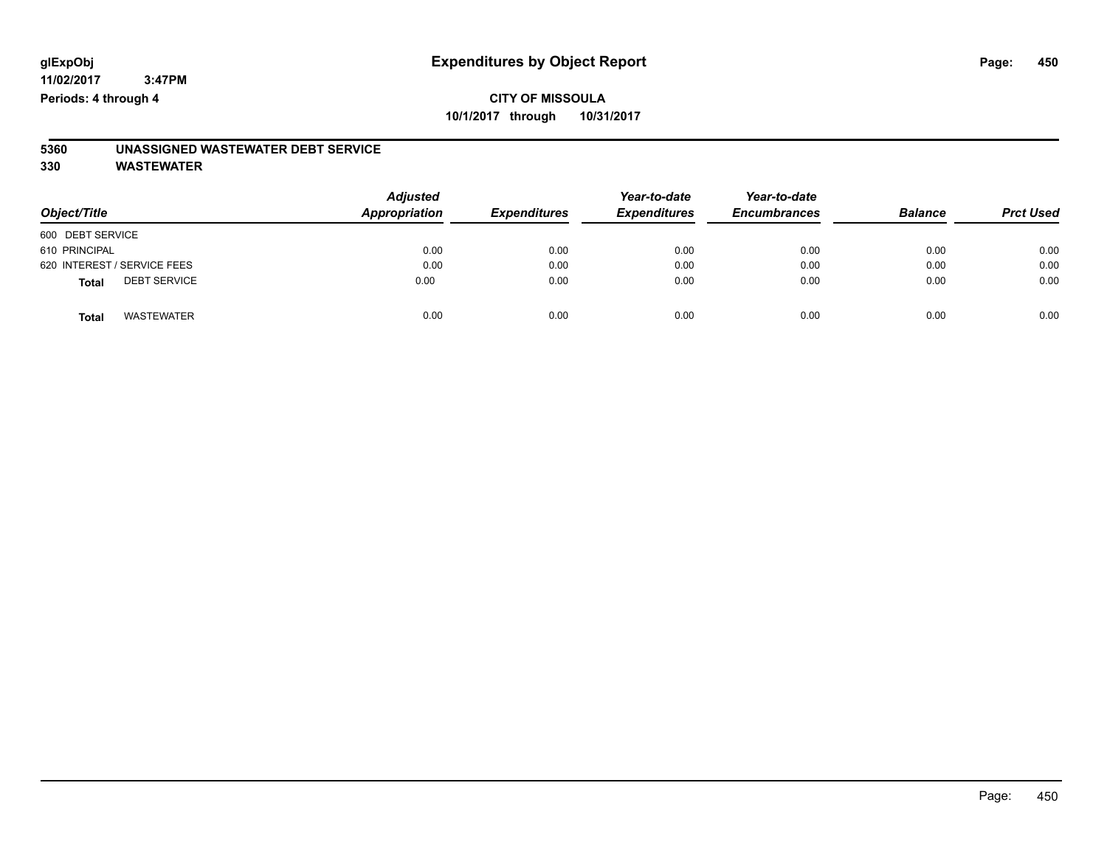## **CITY OF MISSOULA 10/1/2017 through 10/31/2017**

# **5360 UNASSIGNED WASTEWATER DEBT SERVICE**

|                                     | <b>Adjusted</b><br>Appropriation |                     | Year-to-date        | Year-to-date<br><b>Encumbrances</b> |                |                  |
|-------------------------------------|----------------------------------|---------------------|---------------------|-------------------------------------|----------------|------------------|
| Object/Title                        |                                  | <b>Expenditures</b> | <b>Expenditures</b> |                                     | <b>Balance</b> | <b>Prct Used</b> |
| 600 DEBT SERVICE                    |                                  |                     |                     |                                     |                |                  |
| 610 PRINCIPAL                       | 0.00                             | 0.00                | 0.00                | 0.00                                | 0.00           | 0.00             |
| 620 INTEREST / SERVICE FEES         | 0.00                             | 0.00                | 0.00                | 0.00                                | 0.00           | 0.00             |
| <b>DEBT SERVICE</b><br><b>Total</b> | 0.00                             | 0.00                | 0.00                | 0.00                                | 0.00           | 0.00             |
| <b>WASTEWATER</b><br><b>Total</b>   | 0.00                             | 0.00                | 0.00                | 0.00                                | 0.00           | 0.00             |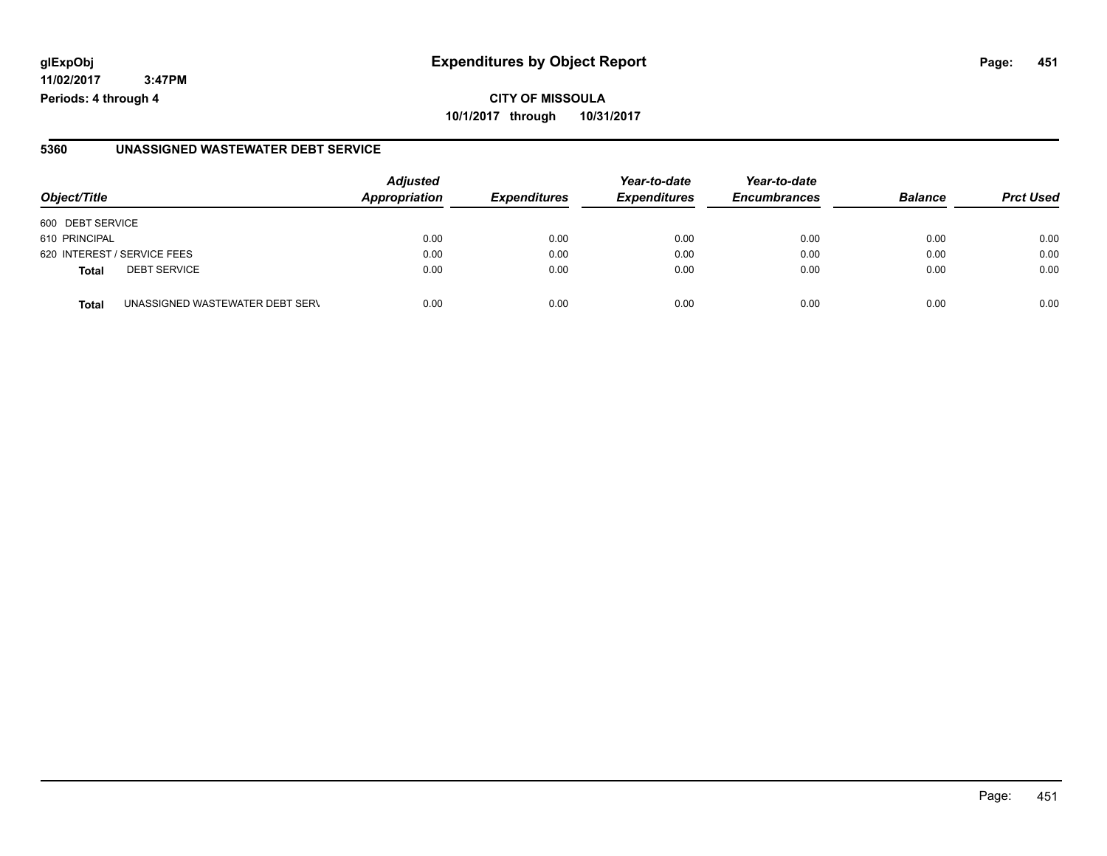## **glExpObj Expenditures by Object Report Page: 451**

**11/02/2017 3:47PM Periods: 4 through 4**

#### **5360 UNASSIGNED WASTEWATER DEBT SERVICE**

| Object/Title                                    | <b>Adjusted</b><br><b>Appropriation</b> | <b>Expenditures</b> | Year-to-date<br><b>Expenditures</b> | Year-to-date<br><b>Encumbrances</b> | <b>Balance</b> | <b>Prct Used</b> |
|-------------------------------------------------|-----------------------------------------|---------------------|-------------------------------------|-------------------------------------|----------------|------------------|
| 600 DEBT SERVICE                                |                                         |                     |                                     |                                     |                |                  |
| 610 PRINCIPAL                                   | 0.00                                    | 0.00                | 0.00                                | 0.00                                | 0.00           | 0.00             |
| 620 INTEREST / SERVICE FEES                     | 0.00                                    | 0.00                | 0.00                                | 0.00                                | 0.00           | 0.00             |
| <b>DEBT SERVICE</b><br><b>Total</b>             | 0.00                                    | 0.00                | 0.00                                | 0.00                                | 0.00           | 0.00             |
| UNASSIGNED WASTEWATER DEBT SERV<br><b>Total</b> | 0.00                                    | 0.00                | 0.00                                | 0.00                                | 0.00           | 0.00             |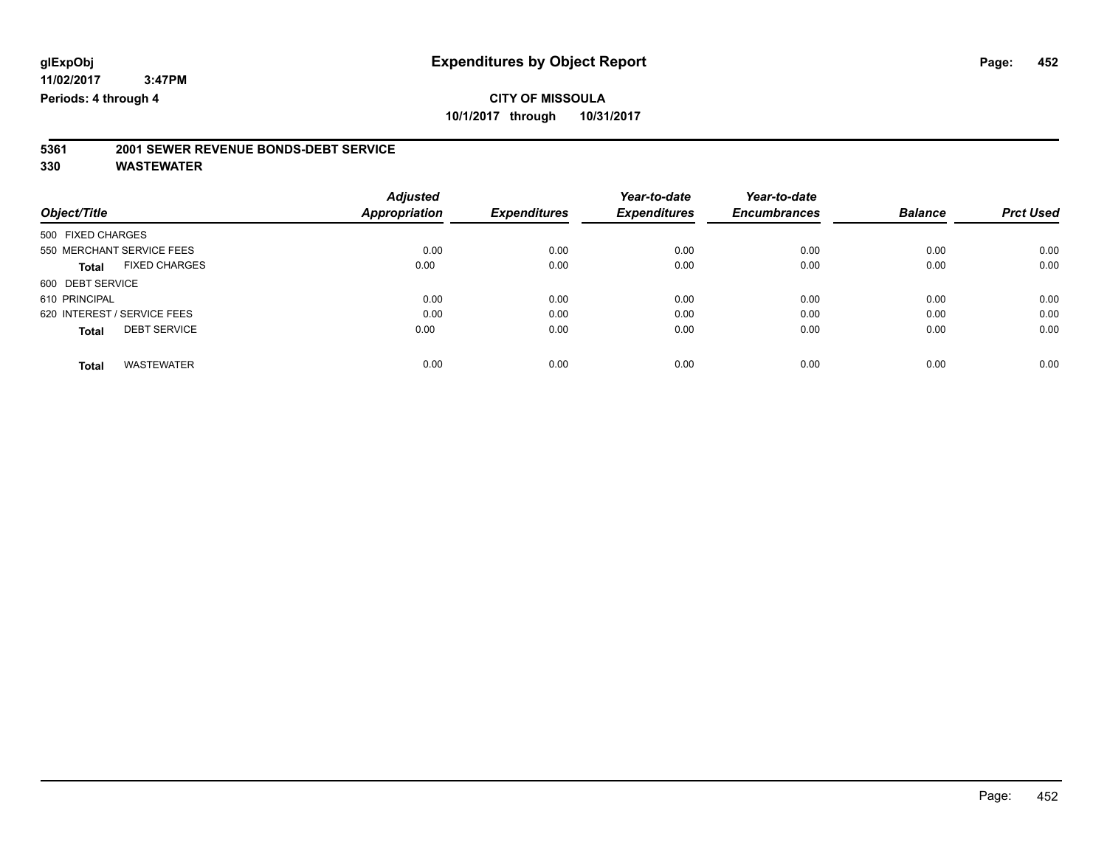### **CITY OF MISSOULA 10/1/2017 through 10/31/2017**

# **5361 2001 SEWER REVENUE BONDS-DEBT SERVICE**

|                                      | <b>Adjusted</b>      |                     | Year-to-date        | Year-to-date        |                |                  |
|--------------------------------------|----------------------|---------------------|---------------------|---------------------|----------------|------------------|
| Object/Title                         | <b>Appropriation</b> | <b>Expenditures</b> | <b>Expenditures</b> | <b>Encumbrances</b> | <b>Balance</b> | <b>Prct Used</b> |
| 500 FIXED CHARGES                    |                      |                     |                     |                     |                |                  |
| 550 MERCHANT SERVICE FEES            | 0.00                 | 0.00                | 0.00                | 0.00                | 0.00           | 0.00             |
| <b>FIXED CHARGES</b><br><b>Total</b> | 0.00                 | 0.00                | 0.00                | 0.00                | 0.00           | 0.00             |
| 600 DEBT SERVICE                     |                      |                     |                     |                     |                |                  |
| 610 PRINCIPAL                        | 0.00                 | 0.00                | 0.00                | 0.00                | 0.00           | 0.00             |
| 620 INTEREST / SERVICE FEES          | 0.00                 | 0.00                | 0.00                | 0.00                | 0.00           | 0.00             |
| <b>DEBT SERVICE</b><br><b>Total</b>  | 0.00                 | 0.00                | 0.00                | 0.00                | 0.00           | 0.00             |
| <b>WASTEWATER</b><br>Total           | 0.00                 | 0.00                | 0.00                | 0.00                | 0.00           | 0.00             |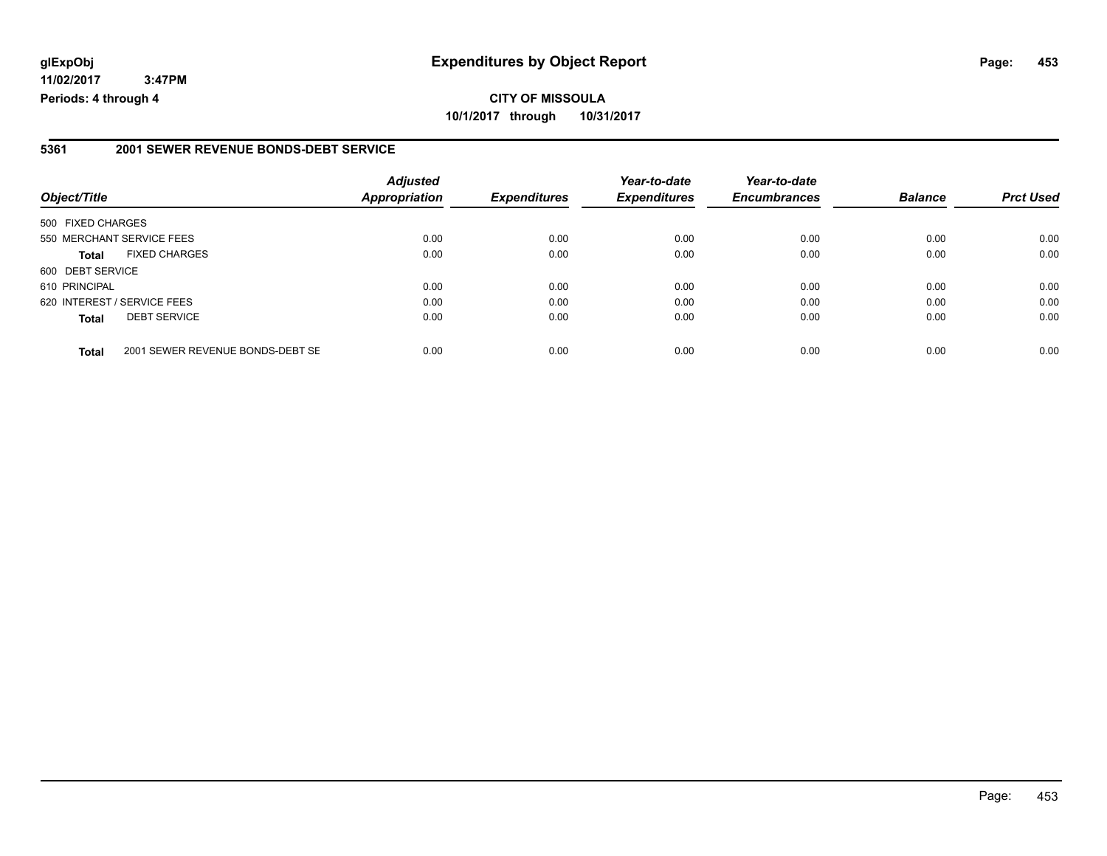## **CITY OF MISSOULA 10/1/2017 through 10/31/2017**

### **5361 2001 SEWER REVENUE BONDS-DEBT SERVICE**

| Object/Title                |                                  | <b>Adjusted</b><br>Appropriation | <b>Expenditures</b> | Year-to-date<br><b>Expenditures</b> | Year-to-date<br><b>Encumbrances</b> | <b>Balance</b> | <b>Prct Used</b> |
|-----------------------------|----------------------------------|----------------------------------|---------------------|-------------------------------------|-------------------------------------|----------------|------------------|
| 500 FIXED CHARGES           |                                  |                                  |                     |                                     |                                     |                |                  |
|                             | 550 MERCHANT SERVICE FEES        | 0.00                             | 0.00                | 0.00                                | 0.00                                | 0.00           | 0.00             |
| <b>Total</b>                | <b>FIXED CHARGES</b>             | 0.00                             | 0.00                | 0.00                                | 0.00                                | 0.00           | 0.00             |
| 600 DEBT SERVICE            |                                  |                                  |                     |                                     |                                     |                |                  |
| 610 PRINCIPAL               |                                  | 0.00                             | 0.00                | 0.00                                | 0.00                                | 0.00           | 0.00             |
| 620 INTEREST / SERVICE FEES |                                  | 0.00                             | 0.00                | 0.00                                | 0.00                                | 0.00           | 0.00             |
| <b>Total</b>                | <b>DEBT SERVICE</b>              | 0.00                             | 0.00                | 0.00                                | 0.00                                | 0.00           | 0.00             |
| <b>Total</b>                | 2001 SEWER REVENUE BONDS-DEBT SE | 0.00                             | 0.00                | 0.00                                | 0.00                                | 0.00           | 0.00             |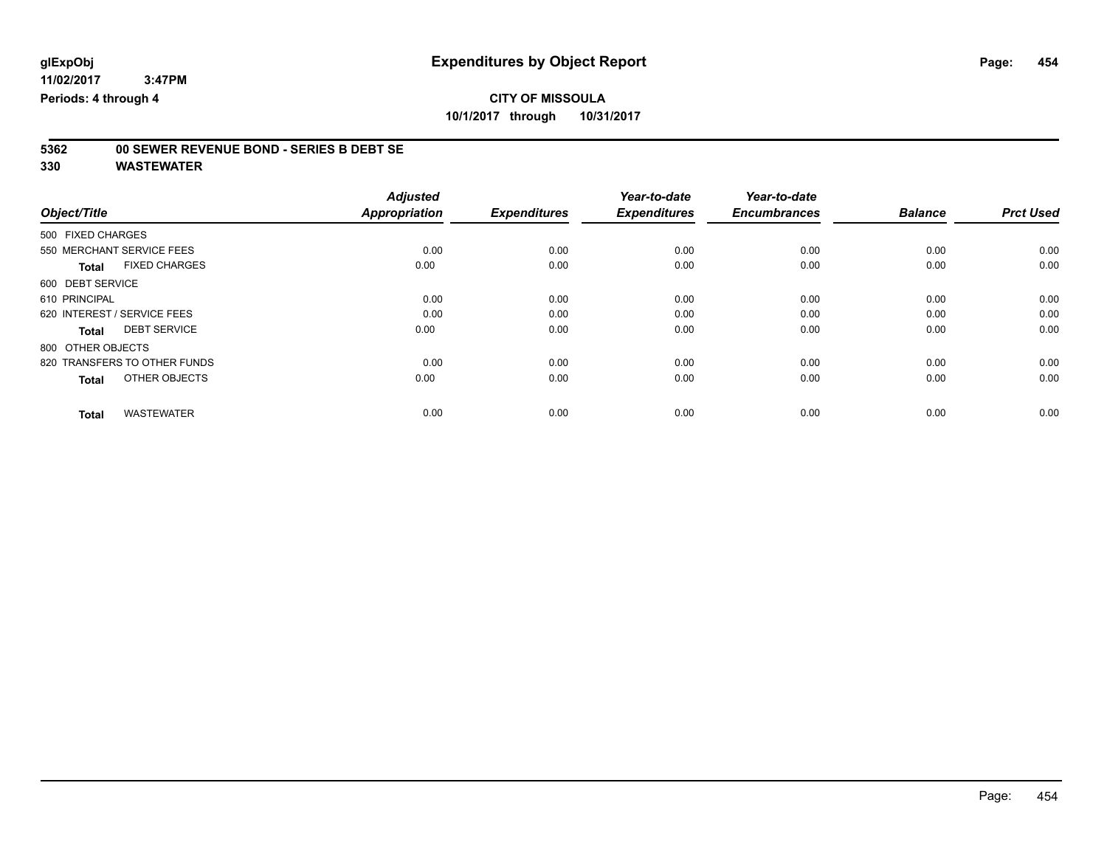**CITY OF MISSOULA 10/1/2017 through 10/31/2017**

# **5362 00 SEWER REVENUE BOND - SERIES B DEBT SE**

|                                      | <b>Adjusted</b>      |                     | Year-to-date        | Year-to-date        |                |                  |
|--------------------------------------|----------------------|---------------------|---------------------|---------------------|----------------|------------------|
| Object/Title                         | <b>Appropriation</b> | <b>Expenditures</b> | <b>Expenditures</b> | <b>Encumbrances</b> | <b>Balance</b> | <b>Prct Used</b> |
| 500 FIXED CHARGES                    |                      |                     |                     |                     |                |                  |
| 550 MERCHANT SERVICE FEES            | 0.00                 | 0.00                | 0.00                | 0.00                | 0.00           | 0.00             |
| <b>FIXED CHARGES</b><br><b>Total</b> | 0.00                 | 0.00                | 0.00                | 0.00                | 0.00           | 0.00             |
| 600 DEBT SERVICE                     |                      |                     |                     |                     |                |                  |
| 610 PRINCIPAL                        | 0.00                 | 0.00                | 0.00                | 0.00                | 0.00           | 0.00             |
| 620 INTEREST / SERVICE FEES          | 0.00                 | 0.00                | 0.00                | 0.00                | 0.00           | 0.00             |
| <b>DEBT SERVICE</b><br>Total         | 0.00                 | 0.00                | 0.00                | 0.00                | 0.00           | 0.00             |
| 800 OTHER OBJECTS                    |                      |                     |                     |                     |                |                  |
| 820 TRANSFERS TO OTHER FUNDS         | 0.00                 | 0.00                | 0.00                | 0.00                | 0.00           | 0.00             |
| OTHER OBJECTS<br><b>Total</b>        | 0.00                 | 0.00                | 0.00                | 0.00                | 0.00           | 0.00             |
|                                      |                      |                     |                     |                     |                |                  |
| <b>WASTEWATER</b><br><b>Total</b>    | 0.00                 | 0.00                | 0.00                | 0.00                | 0.00           | 0.00             |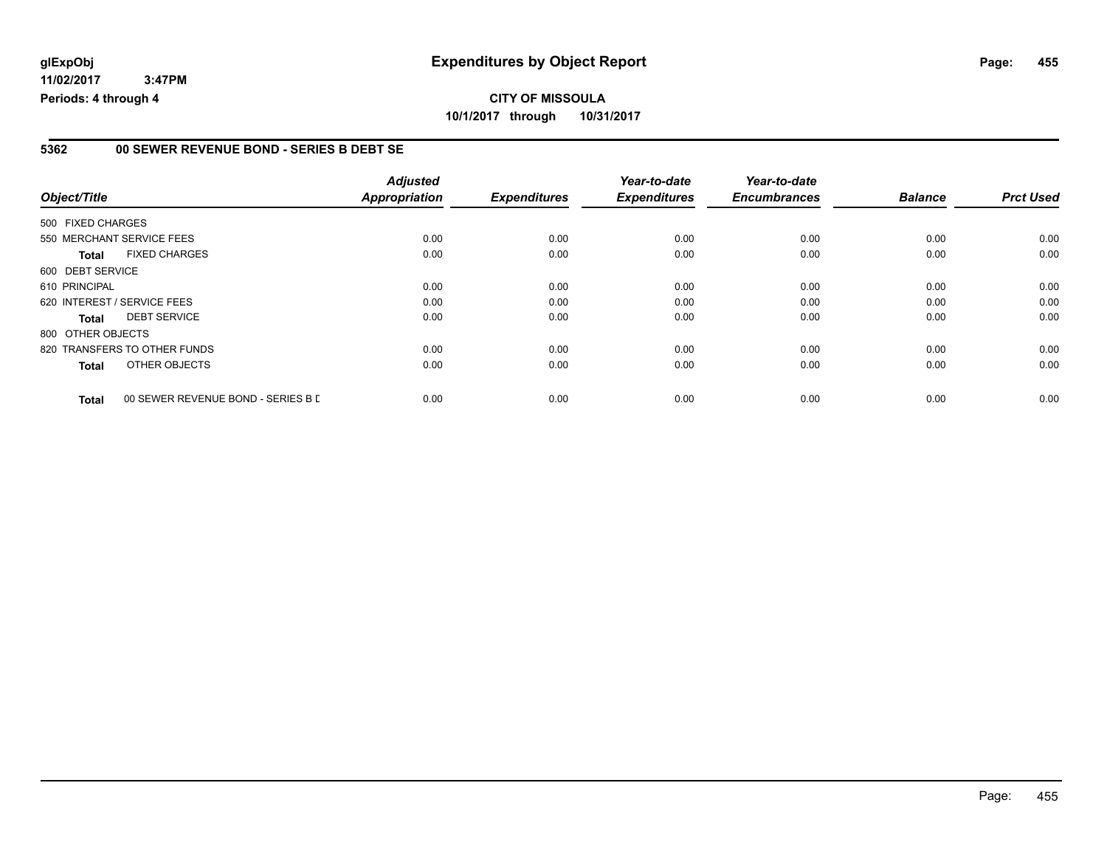## **CITY OF MISSOULA 10/1/2017 through 10/31/2017**

#### **5362 00 SEWER REVENUE BOND - SERIES B DEBT SE**

|                   |                                    | <b>Adjusted</b> |                     | Year-to-date        | Year-to-date        |                |                  |
|-------------------|------------------------------------|-----------------|---------------------|---------------------|---------------------|----------------|------------------|
| Object/Title      |                                    | Appropriation   | <b>Expenditures</b> | <b>Expenditures</b> | <b>Encumbrances</b> | <b>Balance</b> | <b>Prct Used</b> |
| 500 FIXED CHARGES |                                    |                 |                     |                     |                     |                |                  |
|                   | 550 MERCHANT SERVICE FEES          | 0.00            | 0.00                | 0.00                | 0.00                | 0.00           | 0.00             |
| <b>Total</b>      | <b>FIXED CHARGES</b>               | 0.00            | 0.00                | 0.00                | 0.00                | 0.00           | 0.00             |
| 600 DEBT SERVICE  |                                    |                 |                     |                     |                     |                |                  |
| 610 PRINCIPAL     |                                    | 0.00            | 0.00                | 0.00                | 0.00                | 0.00           | 0.00             |
|                   | 620 INTEREST / SERVICE FEES        | 0.00            | 0.00                | 0.00                | 0.00                | 0.00           | 0.00             |
| <b>Total</b>      | <b>DEBT SERVICE</b>                | 0.00            | 0.00                | 0.00                | 0.00                | 0.00           | 0.00             |
| 800 OTHER OBJECTS |                                    |                 |                     |                     |                     |                |                  |
|                   | 820 TRANSFERS TO OTHER FUNDS       | 0.00            | 0.00                | 0.00                | 0.00                | 0.00           | 0.00             |
| Total             | OTHER OBJECTS                      | 0.00            | 0.00                | 0.00                | 0.00                | 0.00           | 0.00             |
| <b>Total</b>      | 00 SEWER REVENUE BOND - SERIES B D | 0.00            | 0.00                | 0.00                | 0.00                | 0.00           | 0.00             |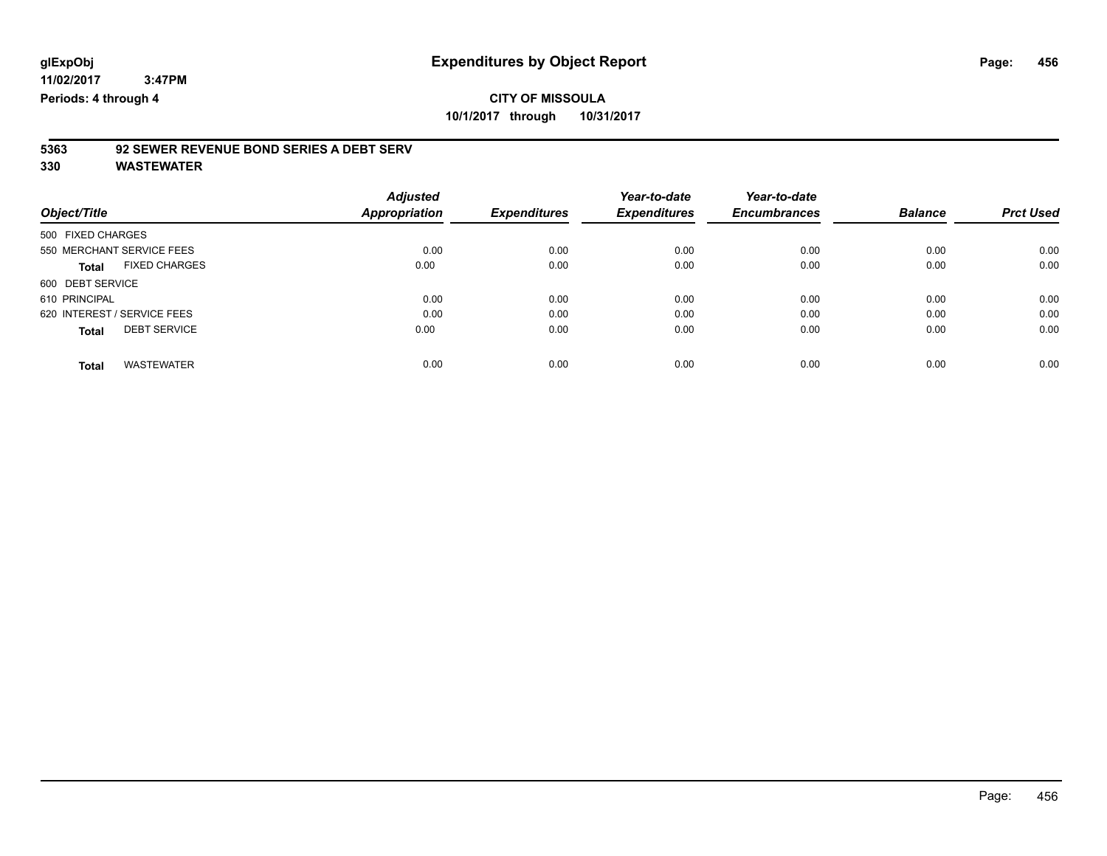**CITY OF MISSOULA 10/1/2017 through 10/31/2017**

# **5363 92 SEWER REVENUE BOND SERIES A DEBT SERV**

|                                      | <b>Adjusted</b> |                     | Year-to-date        | Year-to-date        |                |                  |
|--------------------------------------|-----------------|---------------------|---------------------|---------------------|----------------|------------------|
| Object/Title                         | Appropriation   | <b>Expenditures</b> | <b>Expenditures</b> | <b>Encumbrances</b> | <b>Balance</b> | <b>Prct Used</b> |
| 500 FIXED CHARGES                    |                 |                     |                     |                     |                |                  |
| 550 MERCHANT SERVICE FEES            | 0.00            | 0.00                | 0.00                | 0.00                | 0.00           | 0.00             |
| <b>FIXED CHARGES</b><br><b>Total</b> | 0.00            | 0.00                | 0.00                | 0.00                | 0.00           | 0.00             |
| 600 DEBT SERVICE                     |                 |                     |                     |                     |                |                  |
| 610 PRINCIPAL                        | 0.00            | 0.00                | 0.00                | 0.00                | 0.00           | 0.00             |
| 620 INTEREST / SERVICE FEES          | 0.00            | 0.00                | 0.00                | 0.00                | 0.00           | 0.00             |
| <b>DEBT SERVICE</b><br><b>Total</b>  | 0.00            | 0.00                | 0.00                | 0.00                | 0.00           | 0.00             |
| <b>WASTEWATER</b><br><b>Total</b>    | 0.00            | 0.00                | 0.00                | 0.00                | 0.00           | 0.00             |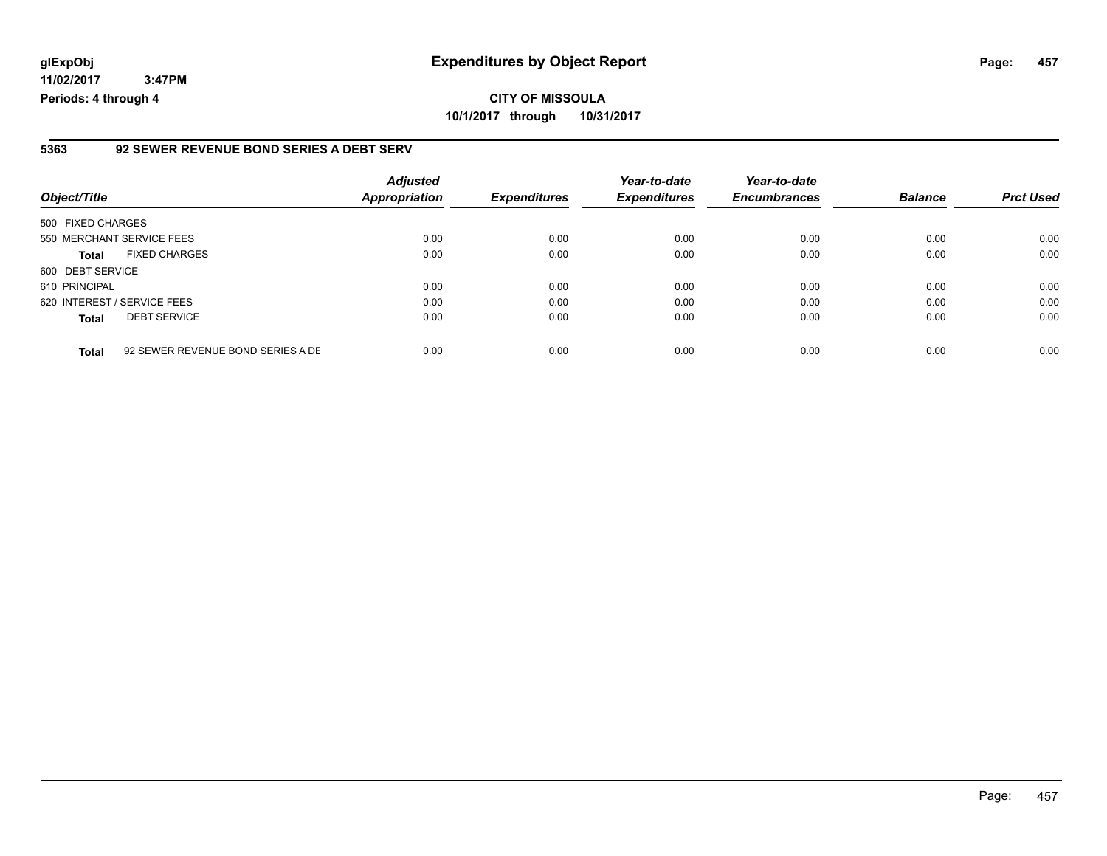### **glExpObj Expenditures by Object Report Page: 457**

**11/02/2017 3:47PM Periods: 4 through 4**

#### **5363 92 SEWER REVENUE BOND SERIES A DEBT SERV**

| Object/Title                |                                   | <b>Adjusted</b><br><b>Appropriation</b> | <b>Expenditures</b> | Year-to-date<br><b>Expenditures</b> | Year-to-date<br><b>Encumbrances</b> | <b>Balance</b> | <b>Prct Used</b> |
|-----------------------------|-----------------------------------|-----------------------------------------|---------------------|-------------------------------------|-------------------------------------|----------------|------------------|
| 500 FIXED CHARGES           |                                   |                                         |                     |                                     |                                     |                |                  |
| 550 MERCHANT SERVICE FEES   |                                   | 0.00                                    | 0.00                | 0.00                                | 0.00                                | 0.00           | 0.00             |
| <b>Total</b>                | <b>FIXED CHARGES</b>              | 0.00                                    | 0.00                | 0.00                                | 0.00                                | 0.00           | 0.00             |
| 600 DEBT SERVICE            |                                   |                                         |                     |                                     |                                     |                |                  |
| 610 PRINCIPAL               |                                   | 0.00                                    | 0.00                | 0.00                                | 0.00                                | 0.00           | 0.00             |
| 620 INTEREST / SERVICE FEES |                                   | 0.00                                    | 0.00                | 0.00                                | 0.00                                | 0.00           | 0.00             |
| <b>Total</b>                | <b>DEBT SERVICE</b>               | 0.00                                    | 0.00                | 0.00                                | 0.00                                | 0.00           | 0.00             |
| <b>Total</b>                | 92 SEWER REVENUE BOND SERIES A DE | 0.00                                    | 0.00                | 0.00                                | 0.00                                | 0.00           | 0.00             |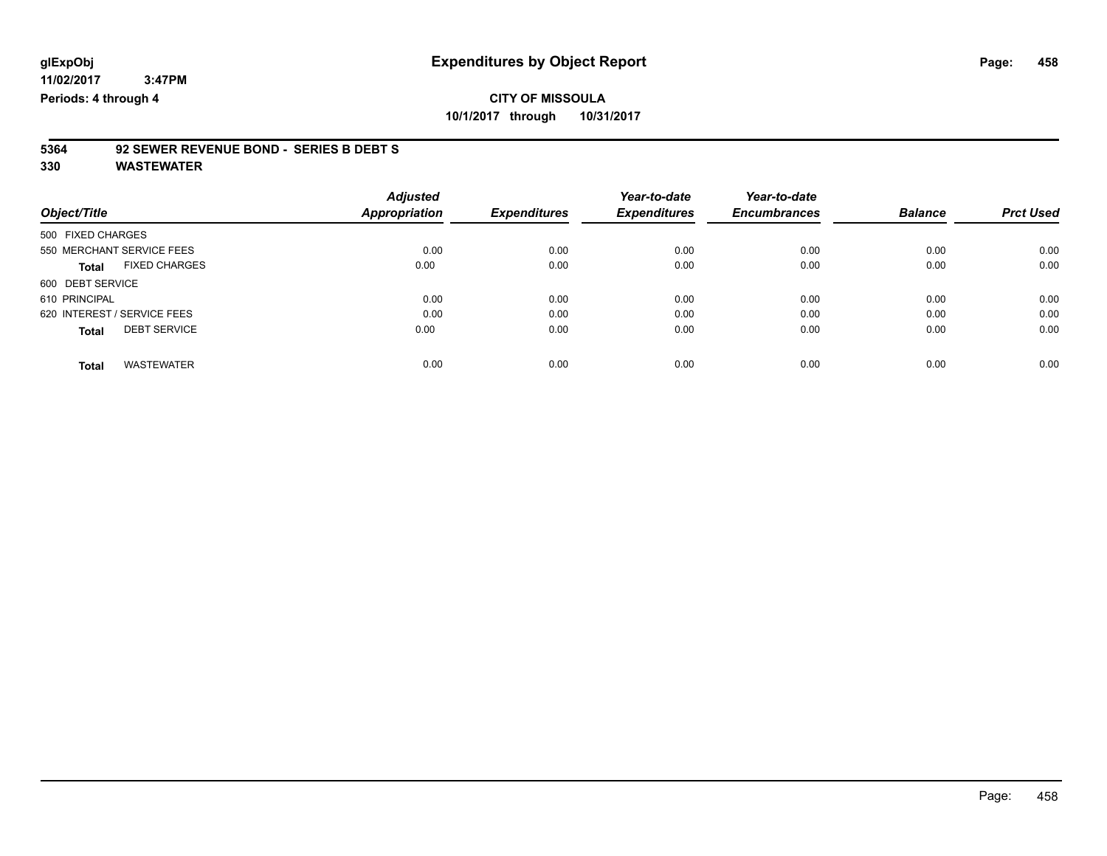### **CITY OF MISSOULA 10/1/2017 through 10/31/2017**

# **5364 92 SEWER REVENUE BOND - SERIES B DEBT S**

|                                      | <b>Adjusted</b>      |                     | Year-to-date        | Year-to-date        |                |                  |
|--------------------------------------|----------------------|---------------------|---------------------|---------------------|----------------|------------------|
| Object/Title                         | <b>Appropriation</b> | <b>Expenditures</b> | <b>Expenditures</b> | <b>Encumbrances</b> | <b>Balance</b> | <b>Prct Used</b> |
| 500 FIXED CHARGES                    |                      |                     |                     |                     |                |                  |
| 550 MERCHANT SERVICE FEES            | 0.00                 | 0.00                | 0.00                | 0.00                | 0.00           | 0.00             |
| <b>FIXED CHARGES</b><br><b>Total</b> | 0.00                 | 0.00                | 0.00                | 0.00                | 0.00           | 0.00             |
| 600 DEBT SERVICE                     |                      |                     |                     |                     |                |                  |
| 610 PRINCIPAL                        | 0.00                 | 0.00                | 0.00                | 0.00                | 0.00           | 0.00             |
| 620 INTEREST / SERVICE FEES          | 0.00                 | 0.00                | 0.00                | 0.00                | 0.00           | 0.00             |
| <b>DEBT SERVICE</b><br><b>Total</b>  | 0.00                 | 0.00                | 0.00                | 0.00                | 0.00           | 0.00             |
|                                      |                      |                     |                     |                     |                |                  |
| <b>WASTEWATER</b><br>Total           | 0.00                 | 0.00                | 0.00                | 0.00                | 0.00           | 0.00             |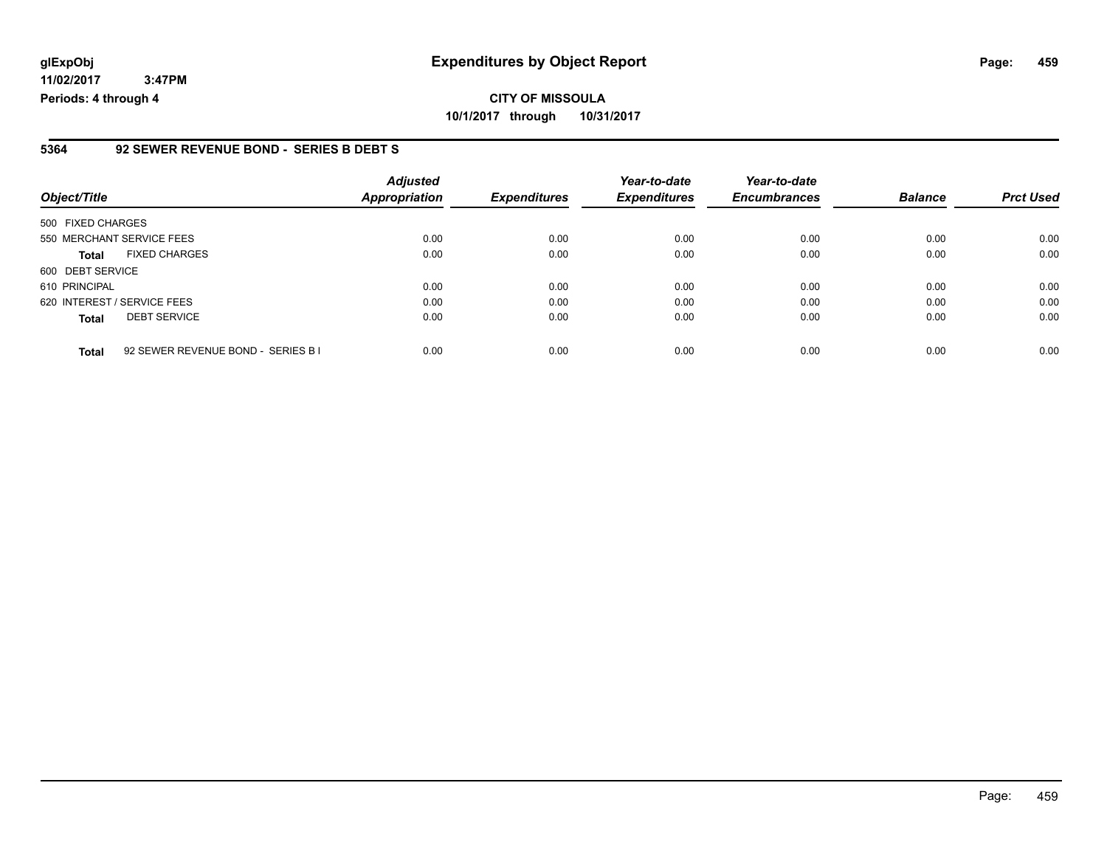#### **5364 92 SEWER REVENUE BOND - SERIES B DEBT S**

| Object/Title                                       | <b>Adjusted</b><br>Appropriation | <b>Expenditures</b> | Year-to-date<br><b>Expenditures</b> | Year-to-date<br><b>Encumbrances</b> | <b>Balance</b> | <b>Prct Used</b> |
|----------------------------------------------------|----------------------------------|---------------------|-------------------------------------|-------------------------------------|----------------|------------------|
| 500 FIXED CHARGES                                  |                                  |                     |                                     |                                     |                |                  |
| 550 MERCHANT SERVICE FEES                          | 0.00                             | 0.00                | 0.00                                | 0.00                                | 0.00           | 0.00             |
| <b>FIXED CHARGES</b><br><b>Total</b>               | 0.00                             | 0.00                | 0.00                                | 0.00                                | 0.00           | 0.00             |
| 600 DEBT SERVICE                                   |                                  |                     |                                     |                                     |                |                  |
| 610 PRINCIPAL                                      | 0.00                             | 0.00                | 0.00                                | 0.00                                | 0.00           | 0.00             |
| 620 INTEREST / SERVICE FEES                        | 0.00                             | 0.00                | 0.00                                | 0.00                                | 0.00           | 0.00             |
| <b>DEBT SERVICE</b><br><b>Total</b>                | 0.00                             | 0.00                | 0.00                                | 0.00                                | 0.00           | 0.00             |
| 92 SEWER REVENUE BOND - SERIES B I<br><b>Total</b> | 0.00                             | 0.00                | 0.00                                | 0.00                                | 0.00           | 0.00             |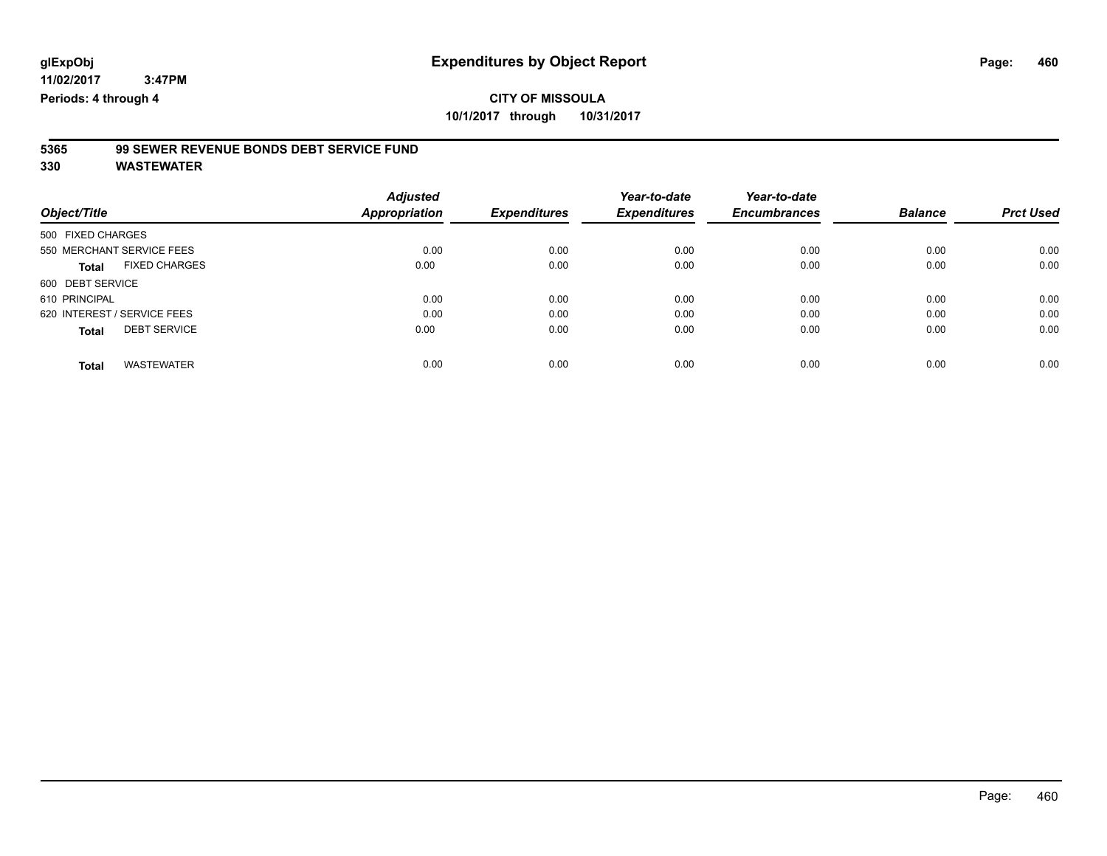# **5365 99 SEWER REVENUE BONDS DEBT SERVICE FUND**

|                             |                      | <b>Adjusted</b> |                     | Year-to-date        | Year-to-date        |                |                  |
|-----------------------------|----------------------|-----------------|---------------------|---------------------|---------------------|----------------|------------------|
| Object/Title                |                      | Appropriation   | <b>Expenditures</b> | <b>Expenditures</b> | <b>Encumbrances</b> | <b>Balance</b> | <b>Prct Used</b> |
| 500 FIXED CHARGES           |                      |                 |                     |                     |                     |                |                  |
| 550 MERCHANT SERVICE FEES   |                      | 0.00            | 0.00                | 0.00                | 0.00                | 0.00           | 0.00             |
| <b>Total</b>                | <b>FIXED CHARGES</b> | 0.00            | 0.00                | 0.00                | 0.00                | 0.00           | 0.00             |
| 600 DEBT SERVICE            |                      |                 |                     |                     |                     |                |                  |
| 610 PRINCIPAL               |                      | 0.00            | 0.00                | 0.00                | 0.00                | 0.00           | 0.00             |
| 620 INTEREST / SERVICE FEES |                      | 0.00            | 0.00                | 0.00                | 0.00                | 0.00           | 0.00             |
| <b>Total</b>                | <b>DEBT SERVICE</b>  | 0.00            | 0.00                | 0.00                | 0.00                | 0.00           | 0.00             |
| <b>Total</b>                | <b>WASTEWATER</b>    | 0.00            | 0.00                | 0.00                | 0.00                | 0.00           | 0.00             |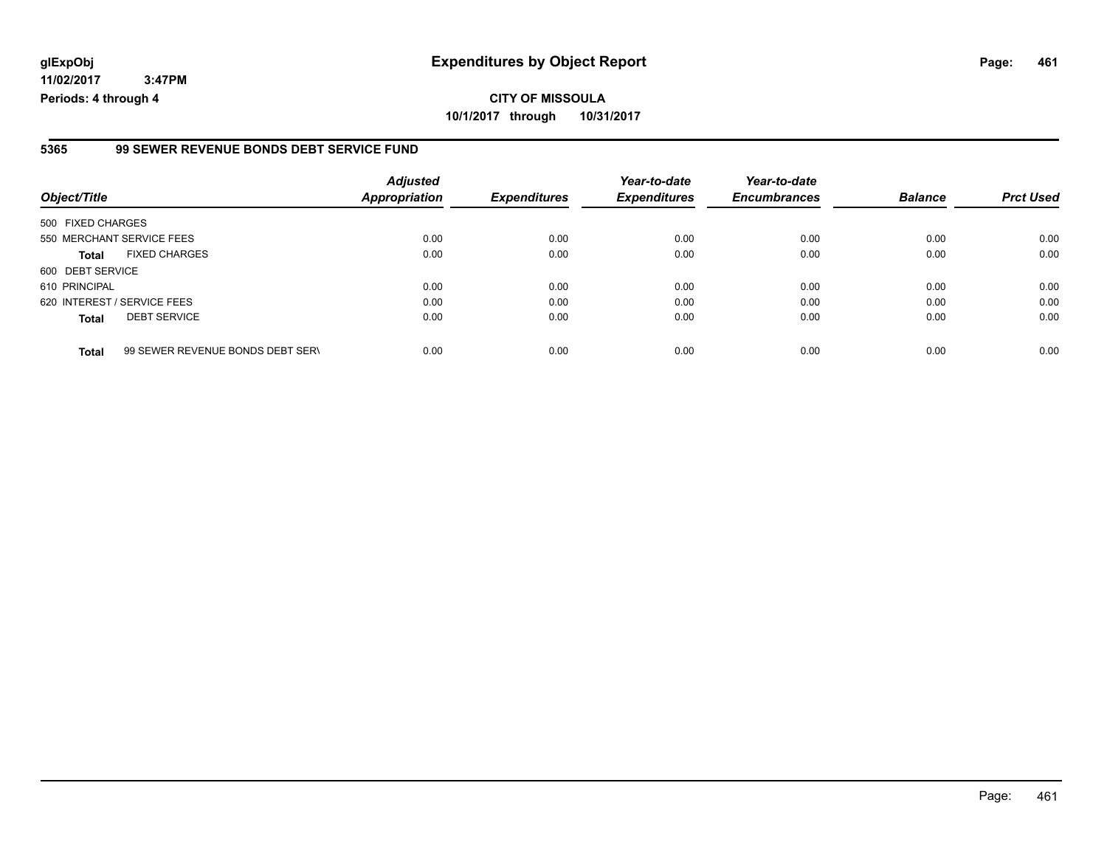### **glExpObj Expenditures by Object Report Page: 461**

**11/02/2017 3:47PM Periods: 4 through 4**

#### **5365 99 SEWER REVENUE BONDS DEBT SERVICE FUND**

| Object/Title                |                                  | <b>Adjusted</b><br>Appropriation | <b>Expenditures</b> | Year-to-date<br><b>Expenditures</b> | Year-to-date<br><b>Encumbrances</b> | <b>Balance</b> | <b>Prct Used</b> |
|-----------------------------|----------------------------------|----------------------------------|---------------------|-------------------------------------|-------------------------------------|----------------|------------------|
| 500 FIXED CHARGES           |                                  |                                  |                     |                                     |                                     |                |                  |
| 550 MERCHANT SERVICE FEES   |                                  | 0.00                             | 0.00                | 0.00                                | 0.00                                | 0.00           | 0.00             |
| <b>Total</b>                | <b>FIXED CHARGES</b>             | 0.00                             | 0.00                | 0.00                                | 0.00                                | 0.00           | 0.00             |
| 600 DEBT SERVICE            |                                  |                                  |                     |                                     |                                     |                |                  |
| 610 PRINCIPAL               |                                  | 0.00                             | 0.00                | 0.00                                | 0.00                                | 0.00           | 0.00             |
| 620 INTEREST / SERVICE FEES |                                  | 0.00                             | 0.00                | 0.00                                | 0.00                                | 0.00           | 0.00             |
| <b>Total</b>                | <b>DEBT SERVICE</b>              | 0.00                             | 0.00                | 0.00                                | 0.00                                | 0.00           | 0.00             |
| <b>Total</b>                | 99 SEWER REVENUE BONDS DEBT SERV | 0.00                             | 0.00                | 0.00                                | 0.00                                | 0.00           | 0.00             |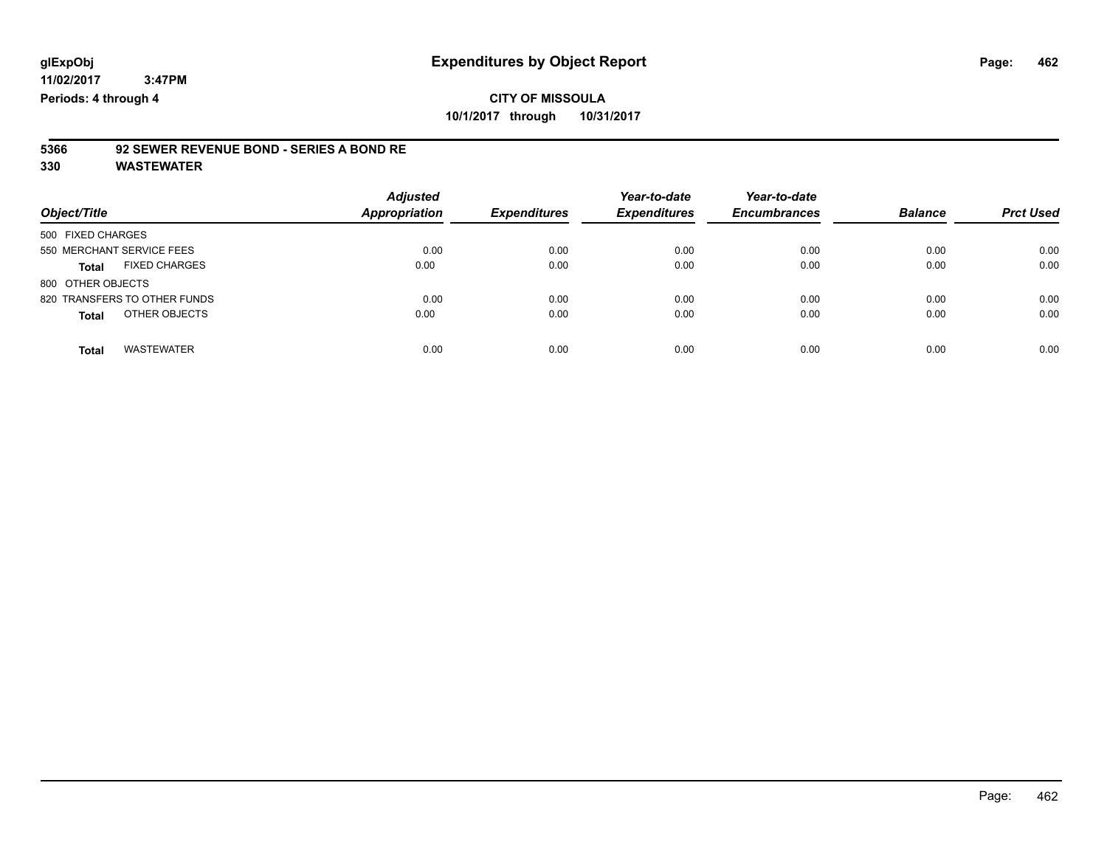**11/02/2017**

 **3:47PM Periods: 4 through 4**

## **CITY OF MISSOULA 10/1/2017 through 10/31/2017**

# **5366 92 SEWER REVENUE BOND - SERIES A BOND RE**

| Object/Title                      | <b>Adjusted</b><br><b>Appropriation</b> | <b>Expenditures</b> | Year-to-date<br><b>Expenditures</b> | Year-to-date<br><b>Encumbrances</b> | <b>Balance</b> | <b>Prct Used</b> |
|-----------------------------------|-----------------------------------------|---------------------|-------------------------------------|-------------------------------------|----------------|------------------|
| 500 FIXED CHARGES                 |                                         |                     |                                     |                                     |                |                  |
| 550 MERCHANT SERVICE FEES         | 0.00                                    | 0.00                | 0.00                                | 0.00                                | 0.00           | 0.00             |
| <b>FIXED CHARGES</b><br>Total     | 0.00                                    | 0.00                | 0.00                                | 0.00                                | 0.00           | 0.00             |
| 800 OTHER OBJECTS                 |                                         |                     |                                     |                                     |                |                  |
| 820 TRANSFERS TO OTHER FUNDS      | 0.00                                    | 0.00                | 0.00                                | 0.00                                | 0.00           | 0.00             |
| OTHER OBJECTS<br><b>Total</b>     | 0.00                                    | 0.00                | 0.00                                | 0.00                                | 0.00           | 0.00             |
| <b>WASTEWATER</b><br><b>Total</b> | 0.00                                    | 0.00                | 0.00                                | 0.00                                | 0.00           | 0.00             |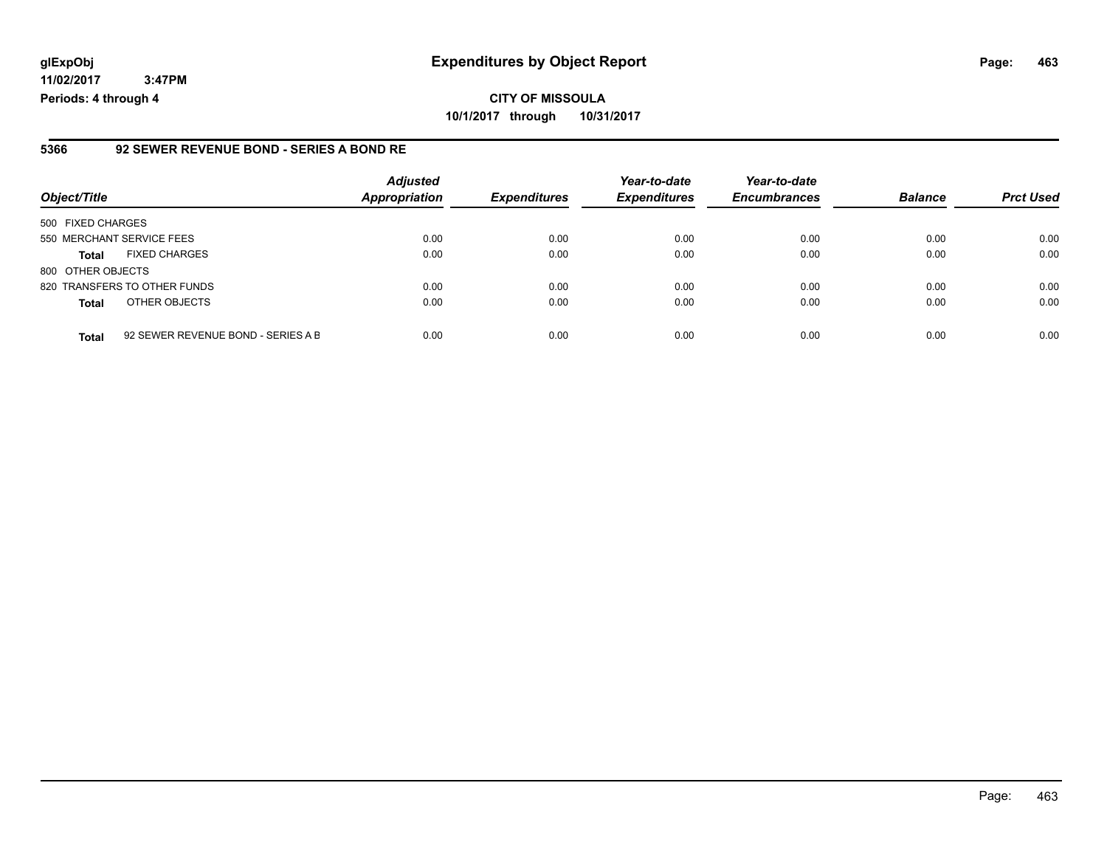### **glExpObj Expenditures by Object Report Page: 463**

**11/02/2017 3:47PM Periods: 4 through 4**

#### **5366 92 SEWER REVENUE BOND - SERIES A BOND RE**

| Object/Title              |                                    | <b>Adjusted</b><br><b>Appropriation</b> | <b>Expenditures</b> | Year-to-date<br><b>Expenditures</b> | Year-to-date<br><b>Encumbrances</b> | <b>Balance</b> | <b>Prct Used</b> |
|---------------------------|------------------------------------|-----------------------------------------|---------------------|-------------------------------------|-------------------------------------|----------------|------------------|
| 500 FIXED CHARGES         |                                    |                                         |                     |                                     |                                     |                |                  |
| 550 MERCHANT SERVICE FEES |                                    | 0.00                                    | 0.00                | 0.00                                | 0.00                                | 0.00           | 0.00             |
| <b>Total</b>              | <b>FIXED CHARGES</b>               | 0.00                                    | 0.00                | 0.00                                | 0.00                                | 0.00           | 0.00             |
| 800 OTHER OBJECTS         |                                    |                                         |                     |                                     |                                     |                |                  |
|                           | 820 TRANSFERS TO OTHER FUNDS       | 0.00                                    | 0.00                | 0.00                                | 0.00                                | 0.00           | 0.00             |
| <b>Total</b>              | OTHER OBJECTS                      | 0.00                                    | 0.00                | 0.00                                | 0.00                                | 0.00           | 0.00             |
| <b>Total</b>              | 92 SEWER REVENUE BOND - SERIES A B | 0.00                                    | 0.00                | 0.00                                | 0.00                                | 0.00           | 0.00             |

Page: 463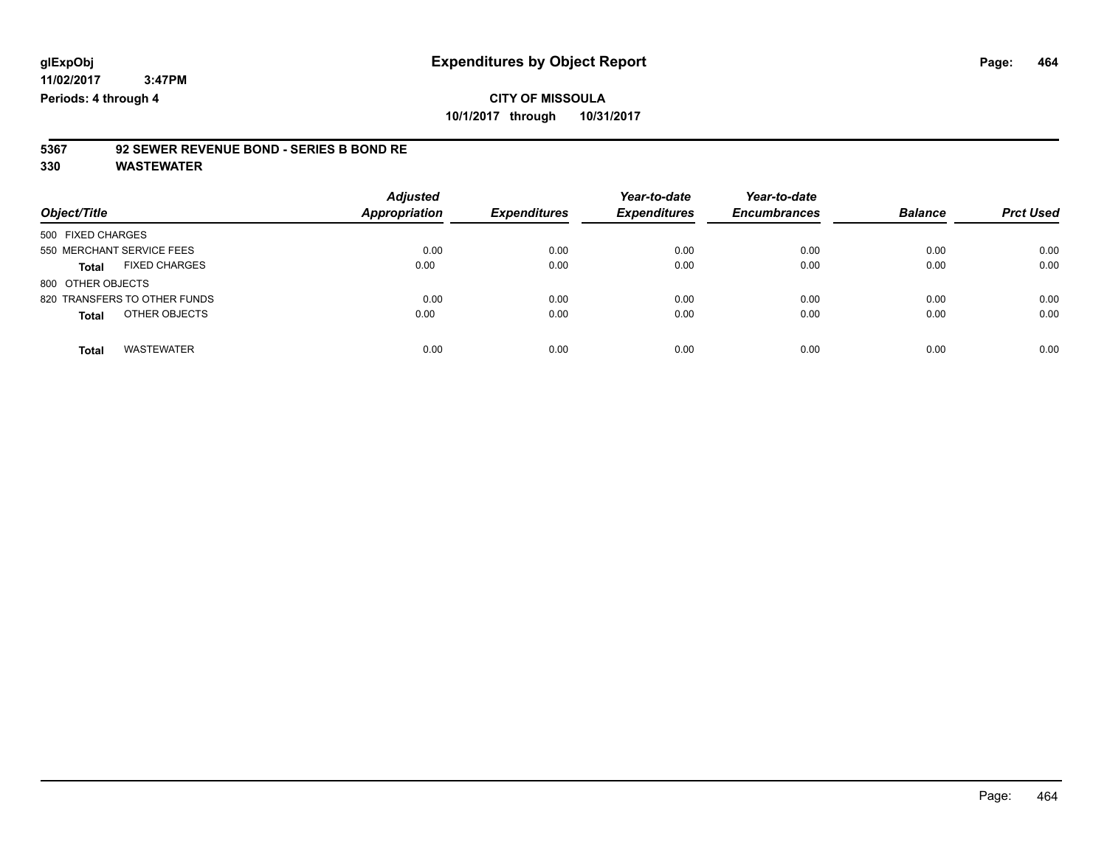### **CITY OF MISSOULA 10/1/2017 through 10/31/2017**

# **5367 92 SEWER REVENUE BOND - SERIES B BOND RE**

| Object/Title                         | <b>Adjusted</b><br><b>Appropriation</b> | <b>Expenditures</b> | Year-to-date<br><b>Expenditures</b> | Year-to-date<br><b>Encumbrances</b> | <b>Balance</b> | <b>Prct Used</b> |
|--------------------------------------|-----------------------------------------|---------------------|-------------------------------------|-------------------------------------|----------------|------------------|
| 500 FIXED CHARGES                    |                                         |                     |                                     |                                     |                |                  |
| 550 MERCHANT SERVICE FEES            | 0.00                                    | 0.00                | 0.00                                | 0.00                                | 0.00           | 0.00             |
| <b>FIXED CHARGES</b><br><b>Total</b> | 0.00                                    | 0.00                | 0.00                                | 0.00                                | 0.00           | 0.00             |
| 800 OTHER OBJECTS                    |                                         |                     |                                     |                                     |                |                  |
| 820 TRANSFERS TO OTHER FUNDS         | 0.00                                    | 0.00                | 0.00                                | 0.00                                | 0.00           | 0.00             |
| OTHER OBJECTS<br><b>Total</b>        | 0.00                                    | 0.00                | 0.00                                | 0.00                                | 0.00           | 0.00             |
| <b>WASTEWATER</b><br>Total           | 0.00                                    | 0.00                | 0.00                                | 0.00                                | 0.00           | 0.00             |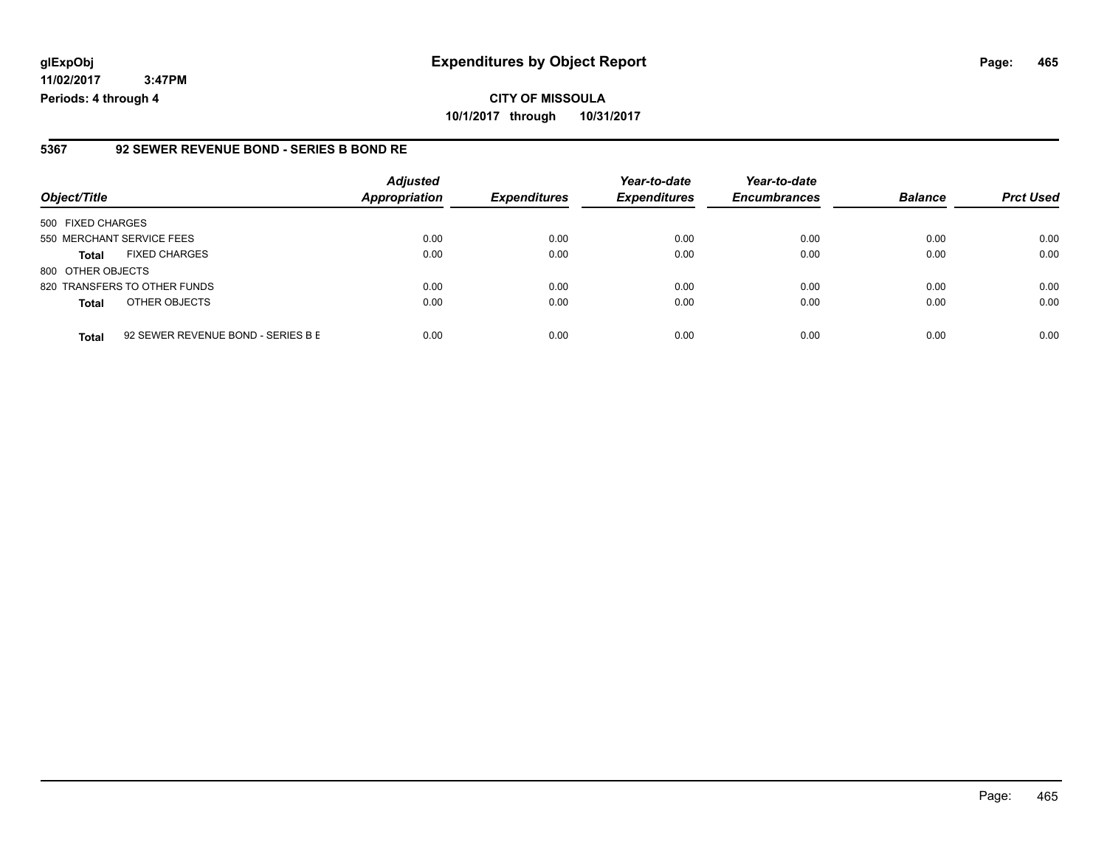### **glExpObj Expenditures by Object Report Page: 465**

**11/02/2017 3:47PM Periods: 4 through 4**

#### **5367 92 SEWER REVENUE BOND - SERIES B BOND RE**

| Object/Title              |                                    | <b>Adjusted</b><br><b>Appropriation</b> | <b>Expenditures</b> | Year-to-date<br><b>Expenditures</b> | Year-to-date<br><b>Encumbrances</b> | <b>Balance</b> | <b>Prct Used</b> |
|---------------------------|------------------------------------|-----------------------------------------|---------------------|-------------------------------------|-------------------------------------|----------------|------------------|
| 500 FIXED CHARGES         |                                    |                                         |                     |                                     |                                     |                |                  |
| 550 MERCHANT SERVICE FEES |                                    | 0.00                                    | 0.00                | 0.00                                | 0.00                                | 0.00           | 0.00             |
| <b>Total</b>              | <b>FIXED CHARGES</b>               | 0.00                                    | 0.00                | 0.00                                | 0.00                                | 0.00           | 0.00             |
| 800 OTHER OBJECTS         |                                    |                                         |                     |                                     |                                     |                |                  |
|                           | 820 TRANSFERS TO OTHER FUNDS       | 0.00                                    | 0.00                | 0.00                                | 0.00                                | 0.00           | 0.00             |
| <b>Total</b>              | OTHER OBJECTS                      | 0.00                                    | 0.00                | 0.00                                | 0.00                                | 0.00           | 0.00             |
| <b>Total</b>              | 92 SEWER REVENUE BOND - SERIES B E | 0.00                                    | 0.00                | 0.00                                | 0.00                                | 0.00           | 0.00             |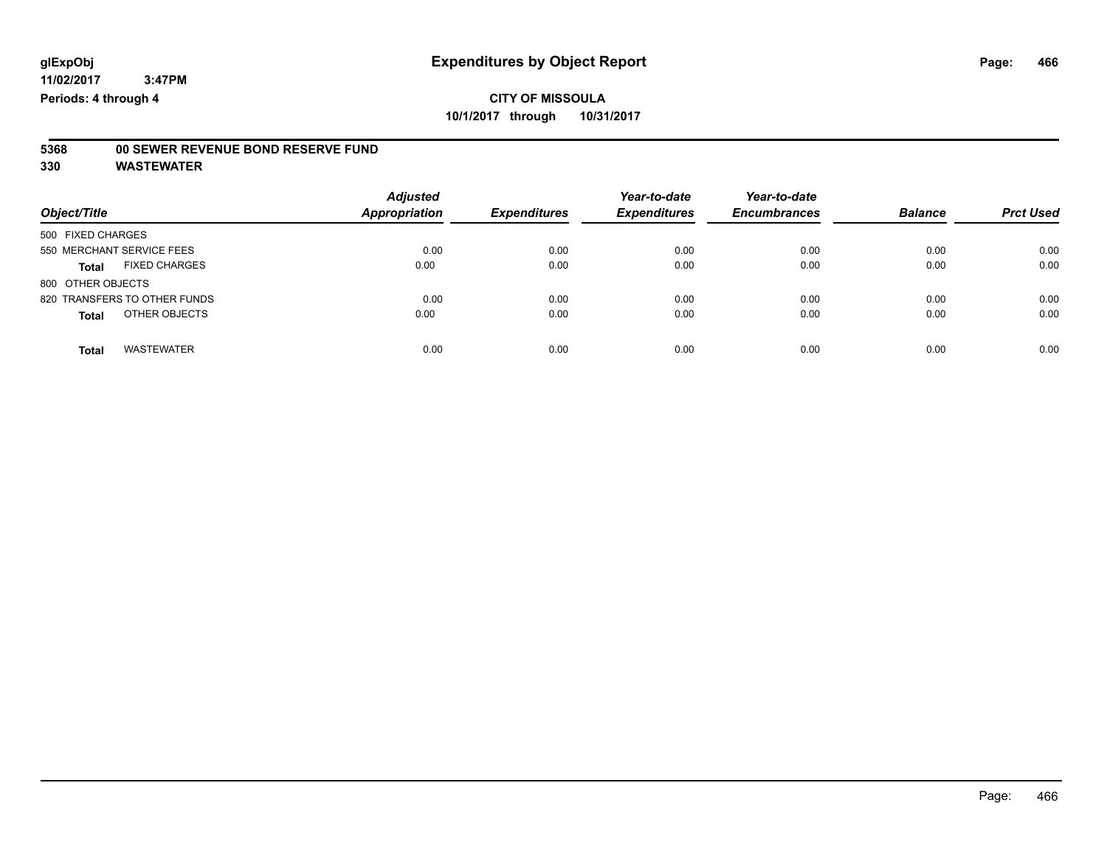# **5368 00 SEWER REVENUE BOND RESERVE FUND**

| Object/Title                  | <b>Adjusted</b><br><b>Appropriation</b> | <b>Expenditures</b> | Year-to-date<br><b>Expenditures</b> | Year-to-date<br><b>Encumbrances</b> | <b>Balance</b> | <b>Prct Used</b> |
|-------------------------------|-----------------------------------------|---------------------|-------------------------------------|-------------------------------------|----------------|------------------|
| 500 FIXED CHARGES             |                                         |                     |                                     |                                     |                |                  |
| 550 MERCHANT SERVICE FEES     | 0.00                                    | 0.00                | 0.00                                | 0.00                                | 0.00           | 0.00             |
| <b>FIXED CHARGES</b><br>Total | 0.00                                    | 0.00                | 0.00                                | 0.00                                | 0.00           | 0.00             |
| 800 OTHER OBJECTS             |                                         |                     |                                     |                                     |                |                  |
| 820 TRANSFERS TO OTHER FUNDS  | 0.00                                    | 0.00                | 0.00                                | 0.00                                | 0.00           | 0.00             |
| OTHER OBJECTS<br><b>Total</b> | 0.00                                    | 0.00                | 0.00                                | 0.00                                | 0.00           | 0.00             |
| <b>WASTEWATER</b><br>Total    | 0.00                                    | 0.00                | 0.00                                | 0.00                                | 0.00           | 0.00             |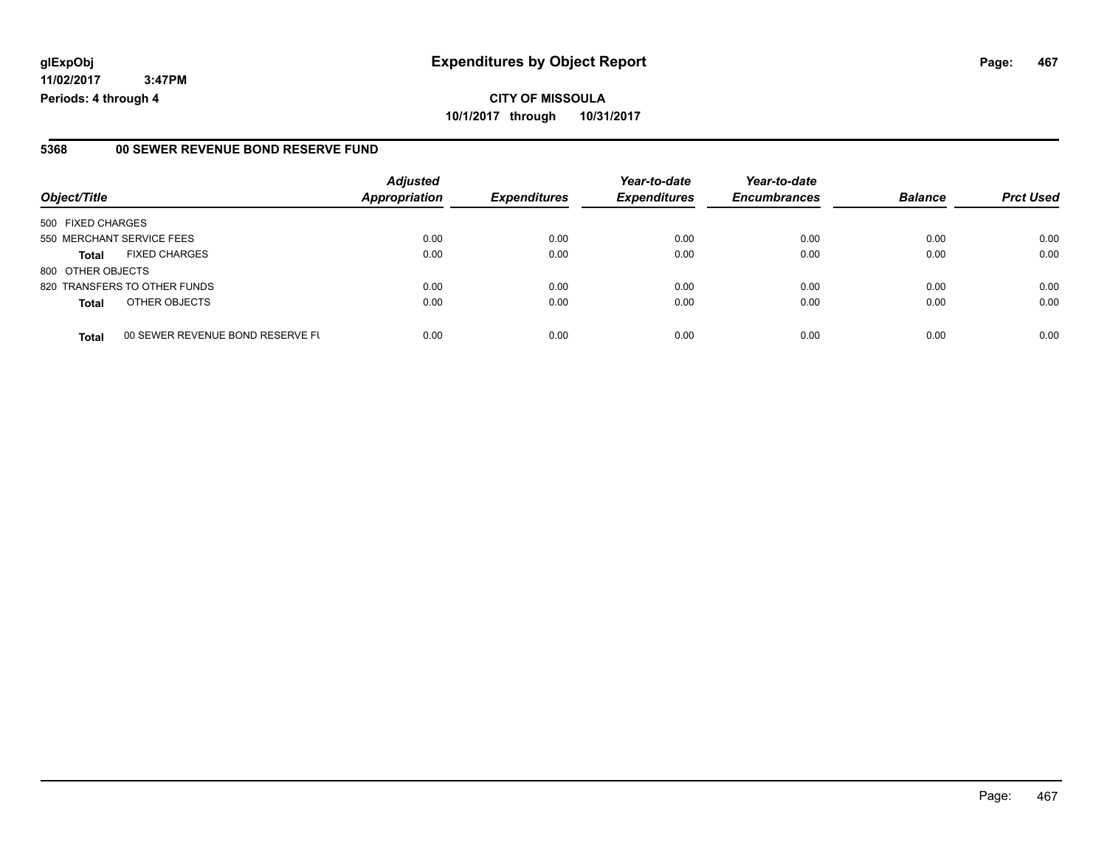#### **5368 00 SEWER REVENUE BOND RESERVE FUND**

|                           |                                  | <b>Adjusted</b>      |                     | Year-to-date        | Year-to-date        |                |                  |
|---------------------------|----------------------------------|----------------------|---------------------|---------------------|---------------------|----------------|------------------|
| Object/Title              |                                  | <b>Appropriation</b> | <b>Expenditures</b> | <b>Expenditures</b> | <b>Encumbrances</b> | <b>Balance</b> | <b>Prct Used</b> |
| 500 FIXED CHARGES         |                                  |                      |                     |                     |                     |                |                  |
| 550 MERCHANT SERVICE FEES |                                  | 0.00                 | 0.00                | 0.00                | 0.00                | 0.00           | 0.00             |
| <b>Total</b>              | <b>FIXED CHARGES</b>             | 0.00                 | 0.00                | 0.00                | 0.00                | 0.00           | 0.00             |
| 800 OTHER OBJECTS         |                                  |                      |                     |                     |                     |                |                  |
|                           | 820 TRANSFERS TO OTHER FUNDS     | 0.00                 | 0.00                | 0.00                | 0.00                | 0.00           | 0.00             |
| <b>Total</b>              | OTHER OBJECTS                    | 0.00                 | 0.00                | 0.00                | 0.00                | 0.00           | 0.00             |
| <b>Total</b>              | 00 SEWER REVENUE BOND RESERVE FU | 0.00                 | 0.00                | 0.00                | 0.00                | 0.00           | 0.00             |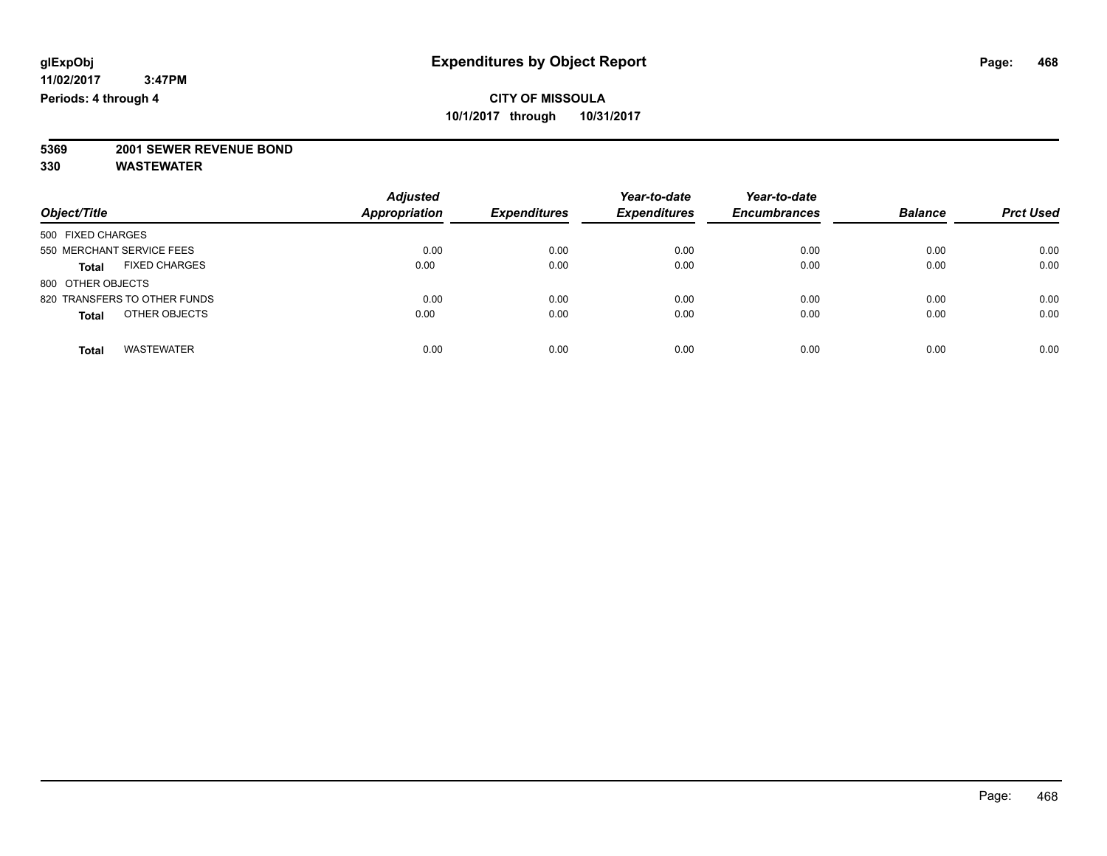# **5369 2001 SEWER REVENUE BOND**

| Object/Title                         | <b>Adjusted</b><br><b>Appropriation</b> | <b>Expenditures</b> | Year-to-date<br><b>Expenditures</b> | Year-to-date<br><b>Encumbrances</b> | <b>Balance</b> | <b>Prct Used</b> |
|--------------------------------------|-----------------------------------------|---------------------|-------------------------------------|-------------------------------------|----------------|------------------|
| 500 FIXED CHARGES                    |                                         |                     |                                     |                                     |                |                  |
| 550 MERCHANT SERVICE FEES            | 0.00                                    | 0.00                | 0.00                                | 0.00                                | 0.00           | 0.00             |
| <b>FIXED CHARGES</b><br><b>Total</b> | 0.00                                    | 0.00                | 0.00                                | 0.00                                | 0.00           | 0.00             |
| 800 OTHER OBJECTS                    |                                         |                     |                                     |                                     |                |                  |
| 820 TRANSFERS TO OTHER FUNDS         | 0.00                                    | 0.00                | 0.00                                | 0.00                                | 0.00           | 0.00             |
| OTHER OBJECTS<br><b>Total</b>        | 0.00                                    | 0.00                | 0.00                                | 0.00                                | 0.00           | 0.00             |
| <b>WASTEWATER</b><br>Total           | 0.00                                    | 0.00                | 0.00                                | 0.00                                | 0.00           | 0.00             |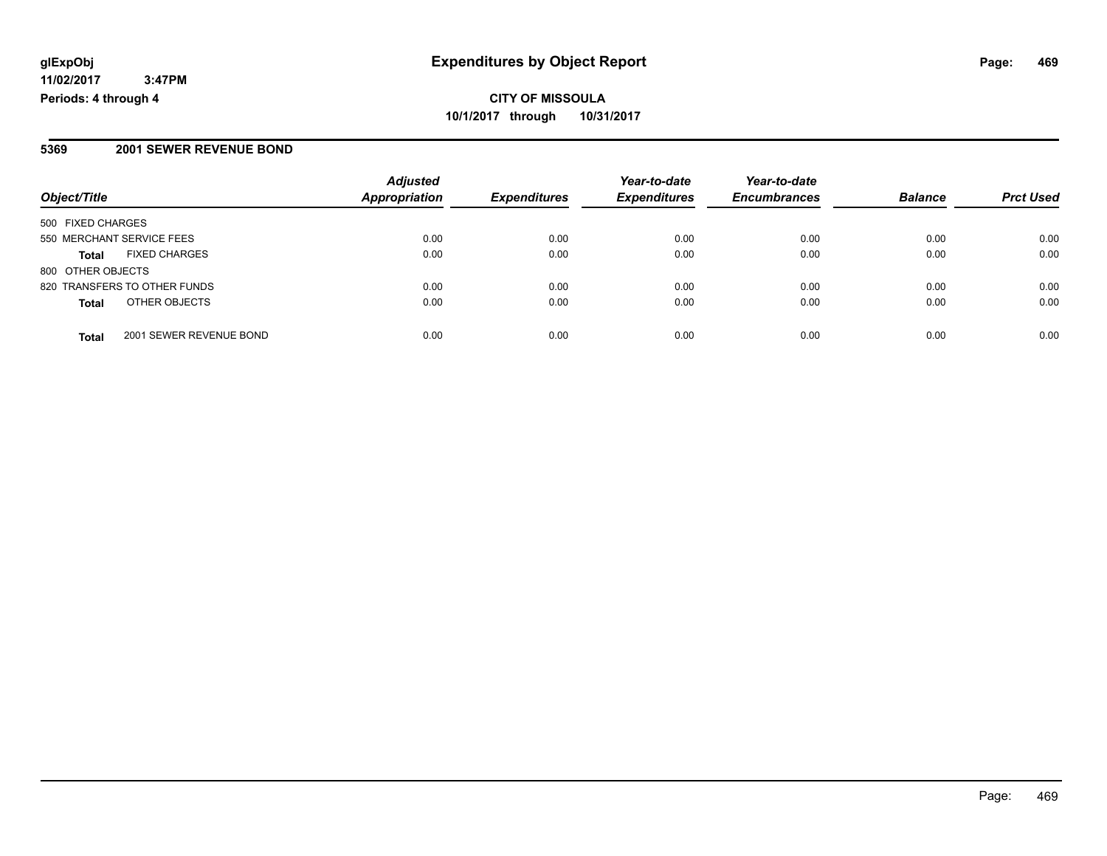**CITY OF MISSOULA 10/1/2017 through 10/31/2017**

#### **5369 2001 SEWER REVENUE BOND**

|                                         | <b>Adjusted</b><br><b>Appropriation</b> | <b>Expenditures</b> | Year-to-date        | Year-to-date<br><b>Encumbrances</b> | <b>Balance</b> |                  |
|-----------------------------------------|-----------------------------------------|---------------------|---------------------|-------------------------------------|----------------|------------------|
| Object/Title                            |                                         |                     | <b>Expenditures</b> |                                     |                | <b>Prct Used</b> |
| 500 FIXED CHARGES                       |                                         |                     |                     |                                     |                |                  |
| 550 MERCHANT SERVICE FEES               | 0.00                                    | 0.00                | 0.00                | 0.00                                | 0.00           | 0.00             |
| <b>FIXED CHARGES</b><br><b>Total</b>    | 0.00                                    | 0.00                | 0.00                | 0.00                                | 0.00           | 0.00             |
| 800 OTHER OBJECTS                       |                                         |                     |                     |                                     |                |                  |
| 820 TRANSFERS TO OTHER FUNDS            | 0.00                                    | 0.00                | 0.00                | 0.00                                | 0.00           | 0.00             |
| OTHER OBJECTS<br><b>Total</b>           | 0.00                                    | 0.00                | 0.00                | 0.00                                | 0.00           | 0.00             |
| 2001 SEWER REVENUE BOND<br><b>Total</b> | 0.00                                    | 0.00                | 0.00                | 0.00                                | 0.00           | 0.00             |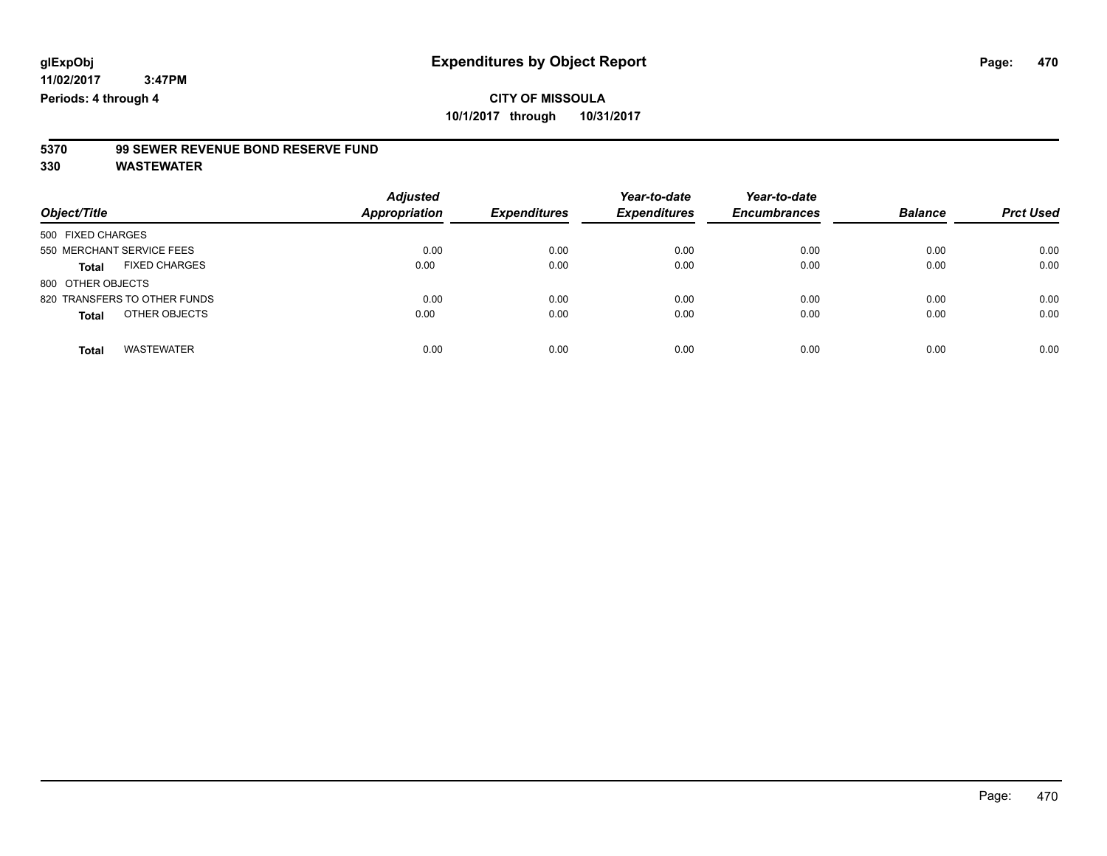# **5370 99 SEWER REVENUE BOND RESERVE FUND**

| Object/Title                         | <b>Adjusted</b><br><b>Appropriation</b> | <b>Expenditures</b> | Year-to-date<br><b>Expenditures</b> | Year-to-date<br><b>Encumbrances</b> | <b>Balance</b> | <b>Prct Used</b> |
|--------------------------------------|-----------------------------------------|---------------------|-------------------------------------|-------------------------------------|----------------|------------------|
| 500 FIXED CHARGES                    |                                         |                     |                                     |                                     |                |                  |
| 550 MERCHANT SERVICE FEES            | 0.00                                    | 0.00                | 0.00                                | 0.00                                | 0.00           | 0.00             |
| <b>FIXED CHARGES</b><br><b>Total</b> | 0.00                                    | 0.00                | 0.00                                | 0.00                                | 0.00           | 0.00             |
| 800 OTHER OBJECTS                    |                                         |                     |                                     |                                     |                |                  |
| 820 TRANSFERS TO OTHER FUNDS         | 0.00                                    | 0.00                | 0.00                                | 0.00                                | 0.00           | 0.00             |
| OTHER OBJECTS<br><b>Total</b>        | 0.00                                    | 0.00                | 0.00                                | 0.00                                | 0.00           | 0.00             |
| <b>WASTEWATER</b><br><b>Total</b>    | 0.00                                    | 0.00                | 0.00                                | 0.00                                | 0.00           | 0.00             |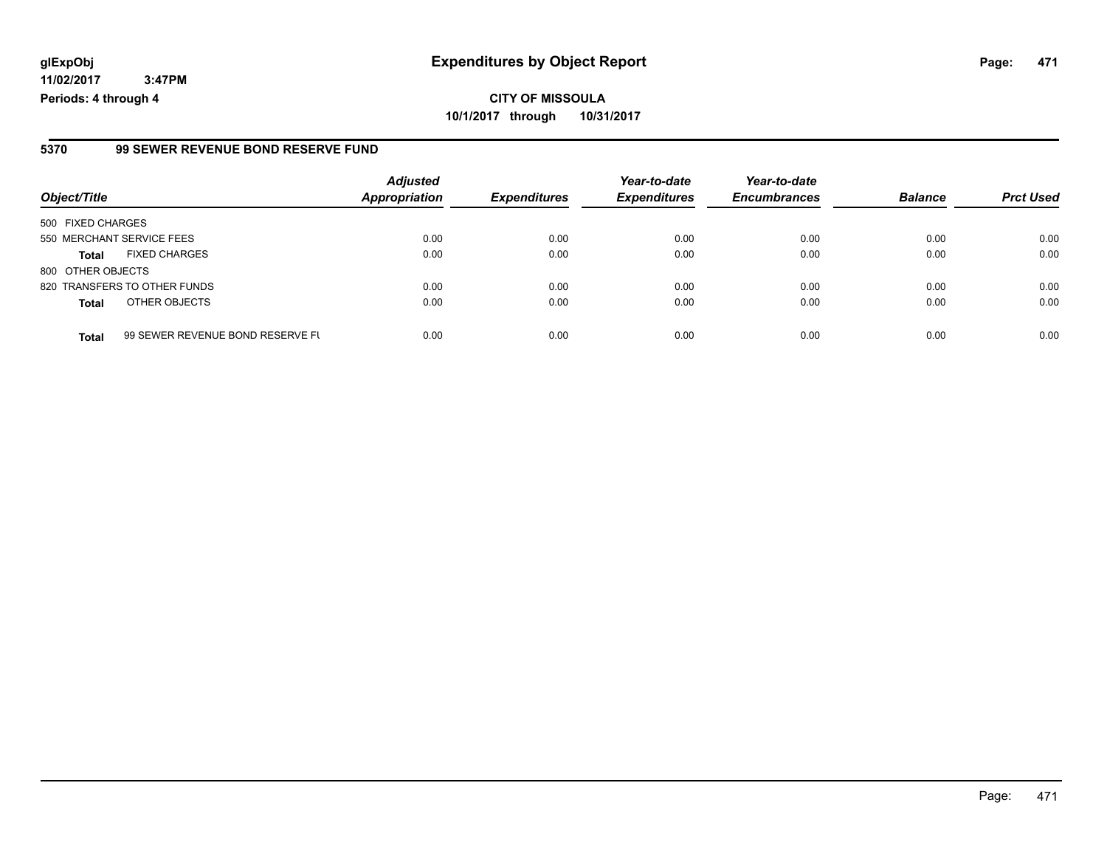#### **5370 99 SEWER REVENUE BOND RESERVE FUND**

| Object/Title              |                                  | <b>Adjusted</b><br><b>Appropriation</b> | <b>Expenditures</b> | Year-to-date<br><b>Expenditures</b> | Year-to-date<br><b>Encumbrances</b> | <b>Balance</b> | <b>Prct Used</b> |
|---------------------------|----------------------------------|-----------------------------------------|---------------------|-------------------------------------|-------------------------------------|----------------|------------------|
| 500 FIXED CHARGES         |                                  |                                         |                     |                                     |                                     |                |                  |
| 550 MERCHANT SERVICE FEES |                                  | 0.00                                    | 0.00                | 0.00                                | 0.00                                | 0.00           | 0.00             |
| <b>Total</b>              | <b>FIXED CHARGES</b>             | 0.00                                    | 0.00                | 0.00                                | 0.00                                | 0.00           | 0.00             |
| 800 OTHER OBJECTS         |                                  |                                         |                     |                                     |                                     |                |                  |
|                           | 820 TRANSFERS TO OTHER FUNDS     | 0.00                                    | 0.00                | 0.00                                | 0.00                                | 0.00           | 0.00             |
| <b>Total</b>              | OTHER OBJECTS                    | 0.00                                    | 0.00                | 0.00                                | 0.00                                | 0.00           | 0.00             |
|                           |                                  |                                         |                     |                                     |                                     |                |                  |
| <b>Total</b>              | 99 SEWER REVENUE BOND RESERVE FL | 0.00                                    | 0.00                | 0.00                                | 0.00                                | 0.00           | 0.00             |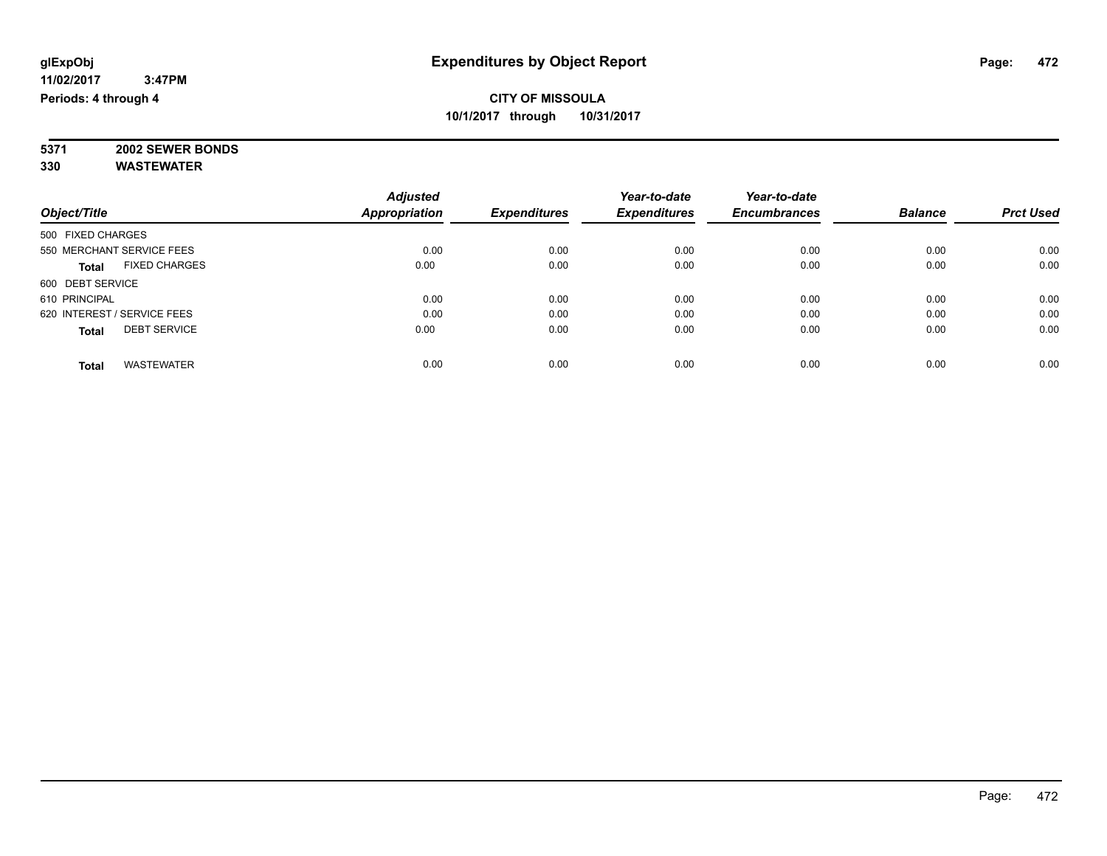**5371 2002 SEWER BONDS 330 WASTEWATER**

|                                      | <b>Adjusted</b>      | <b>Expenditures</b> | Year-to-date<br><b>Expenditures</b> | Year-to-date        | <b>Balance</b> |                  |
|--------------------------------------|----------------------|---------------------|-------------------------------------|---------------------|----------------|------------------|
| Object/Title                         | <b>Appropriation</b> |                     |                                     | <b>Encumbrances</b> |                | <b>Prct Used</b> |
| 500 FIXED CHARGES                    |                      |                     |                                     |                     |                |                  |
| 550 MERCHANT SERVICE FEES            | 0.00                 | 0.00                | 0.00                                | 0.00                | 0.00           | 0.00             |
| <b>FIXED CHARGES</b><br><b>Total</b> | 0.00                 | 0.00                | 0.00                                | 0.00                | 0.00           | 0.00             |
| 600 DEBT SERVICE                     |                      |                     |                                     |                     |                |                  |
| 610 PRINCIPAL                        | 0.00                 | 0.00                | 0.00                                | 0.00                | 0.00           | 0.00             |
| 620 INTEREST / SERVICE FEES          | 0.00                 | 0.00                | 0.00                                | 0.00                | 0.00           | 0.00             |
| <b>DEBT SERVICE</b><br><b>Total</b>  | 0.00                 | 0.00                | 0.00                                | 0.00                | 0.00           | 0.00             |
| <b>WASTEWATER</b><br><b>Total</b>    | 0.00                 | 0.00                | 0.00                                | 0.00                | 0.00           | 0.00             |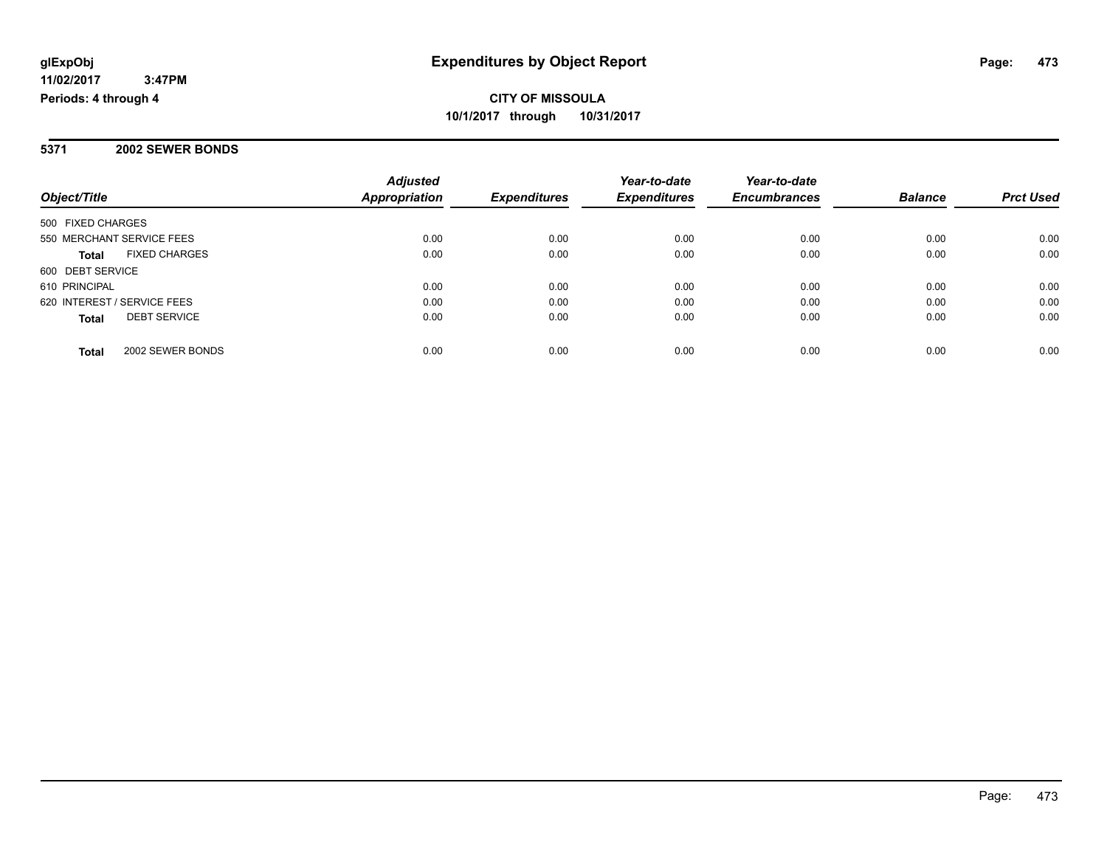**Periods: 4 through 4**

## **CITY OF MISSOULA 10/1/2017 through 10/31/2017**

### **5371 2002 SEWER BONDS**

 **3:47PM**

|                                      | <b>Adjusted</b>      |                     | Year-to-date        | Year-to-date        |                |                  |
|--------------------------------------|----------------------|---------------------|---------------------|---------------------|----------------|------------------|
| Object/Title                         | <b>Appropriation</b> | <b>Expenditures</b> | <b>Expenditures</b> | <b>Encumbrances</b> | <b>Balance</b> | <b>Prct Used</b> |
| 500 FIXED CHARGES                    |                      |                     |                     |                     |                |                  |
| 550 MERCHANT SERVICE FEES            | 0.00                 | 0.00                | 0.00                | 0.00                | 0.00           | 0.00             |
| <b>FIXED CHARGES</b><br><b>Total</b> | 0.00                 | 0.00                | 0.00                | 0.00                | 0.00           | 0.00             |
| 600 DEBT SERVICE                     |                      |                     |                     |                     |                |                  |
| 610 PRINCIPAL                        | 0.00                 | 0.00                | 0.00                | 0.00                | 0.00           | 0.00             |
| 620 INTEREST / SERVICE FEES          | 0.00                 | 0.00                | 0.00                | 0.00                | 0.00           | 0.00             |
| <b>DEBT SERVICE</b><br><b>Total</b>  | 0.00                 | 0.00                | 0.00                | 0.00                | 0.00           | 0.00             |
| 2002 SEWER BONDS<br>Total            | 0.00                 | 0.00                | 0.00                | 0.00                | 0.00           | 0.00             |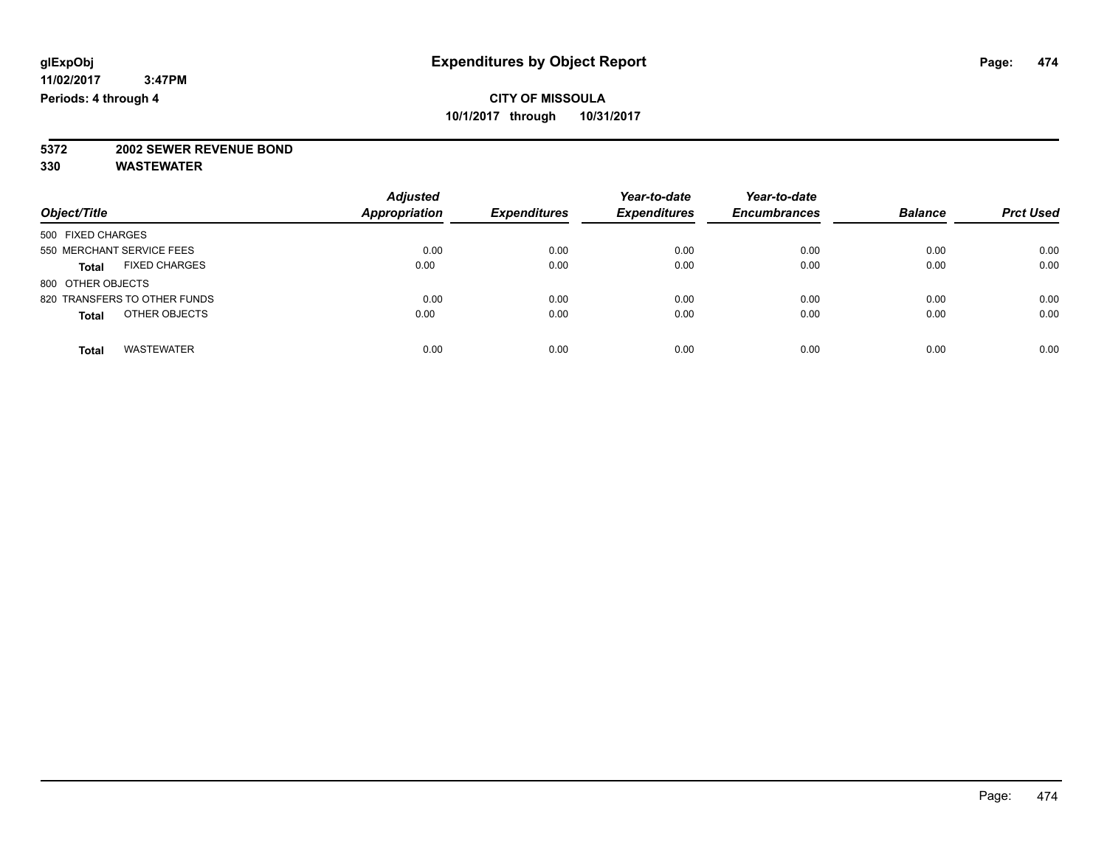# **5372 2002 SEWER REVENUE BOND**

| Object/Title                         | <b>Adjusted</b><br><b>Appropriation</b> | <b>Expenditures</b> | Year-to-date<br><b>Expenditures</b> | Year-to-date<br><b>Encumbrances</b> | <b>Balance</b> | <b>Prct Used</b> |
|--------------------------------------|-----------------------------------------|---------------------|-------------------------------------|-------------------------------------|----------------|------------------|
| 500 FIXED CHARGES                    |                                         |                     |                                     |                                     |                |                  |
| 550 MERCHANT SERVICE FEES            | 0.00                                    | 0.00                | 0.00                                | 0.00                                | 0.00           | 0.00             |
| <b>FIXED CHARGES</b><br><b>Total</b> | 0.00                                    | 0.00                | 0.00                                | 0.00                                | 0.00           | 0.00             |
| 800 OTHER OBJECTS                    |                                         |                     |                                     |                                     |                |                  |
| 820 TRANSFERS TO OTHER FUNDS         | 0.00                                    | 0.00                | 0.00                                | 0.00                                | 0.00           | 0.00             |
| OTHER OBJECTS<br><b>Total</b>        | 0.00                                    | 0.00                | 0.00                                | 0.00                                | 0.00           | 0.00             |
| <b>WASTEWATER</b><br>Total           | 0.00                                    | 0.00                | 0.00                                | 0.00                                | 0.00           | 0.00             |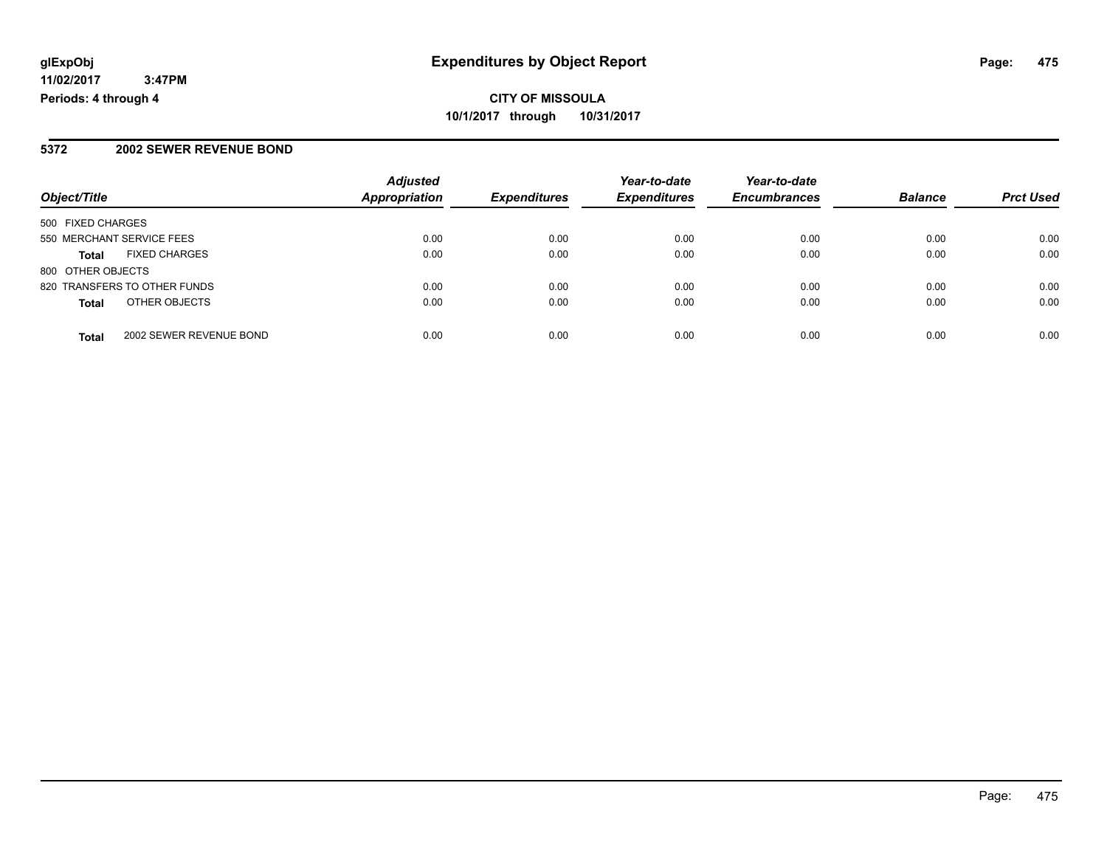## **CITY OF MISSOULA 10/1/2017 through 10/31/2017**

### **5372 2002 SEWER REVENUE BOND**

|                                         | <b>Adjusted</b>      |                     | Year-to-date        | Year-to-date        |                |                  |
|-----------------------------------------|----------------------|---------------------|---------------------|---------------------|----------------|------------------|
| Object/Title                            | <b>Appropriation</b> | <b>Expenditures</b> | <b>Expenditures</b> | <b>Encumbrances</b> | <b>Balance</b> | <b>Prct Used</b> |
| 500 FIXED CHARGES                       |                      |                     |                     |                     |                |                  |
| 550 MERCHANT SERVICE FEES               | 0.00                 | 0.00                | 0.00                | 0.00                | 0.00           | 0.00             |
| <b>FIXED CHARGES</b><br>Total           | 0.00                 | 0.00                | 0.00                | 0.00                | 0.00           | 0.00             |
| 800 OTHER OBJECTS                       |                      |                     |                     |                     |                |                  |
| 820 TRANSFERS TO OTHER FUNDS            | 0.00                 | 0.00                | 0.00                | 0.00                | 0.00           | 0.00             |
| OTHER OBJECTS<br><b>Total</b>           | 0.00                 | 0.00                | 0.00                | 0.00                | 0.00           | 0.00             |
| 2002 SEWER REVENUE BOND<br><b>Total</b> | 0.00                 | 0.00                | 0.00                | 0.00                | 0.00           | 0.00             |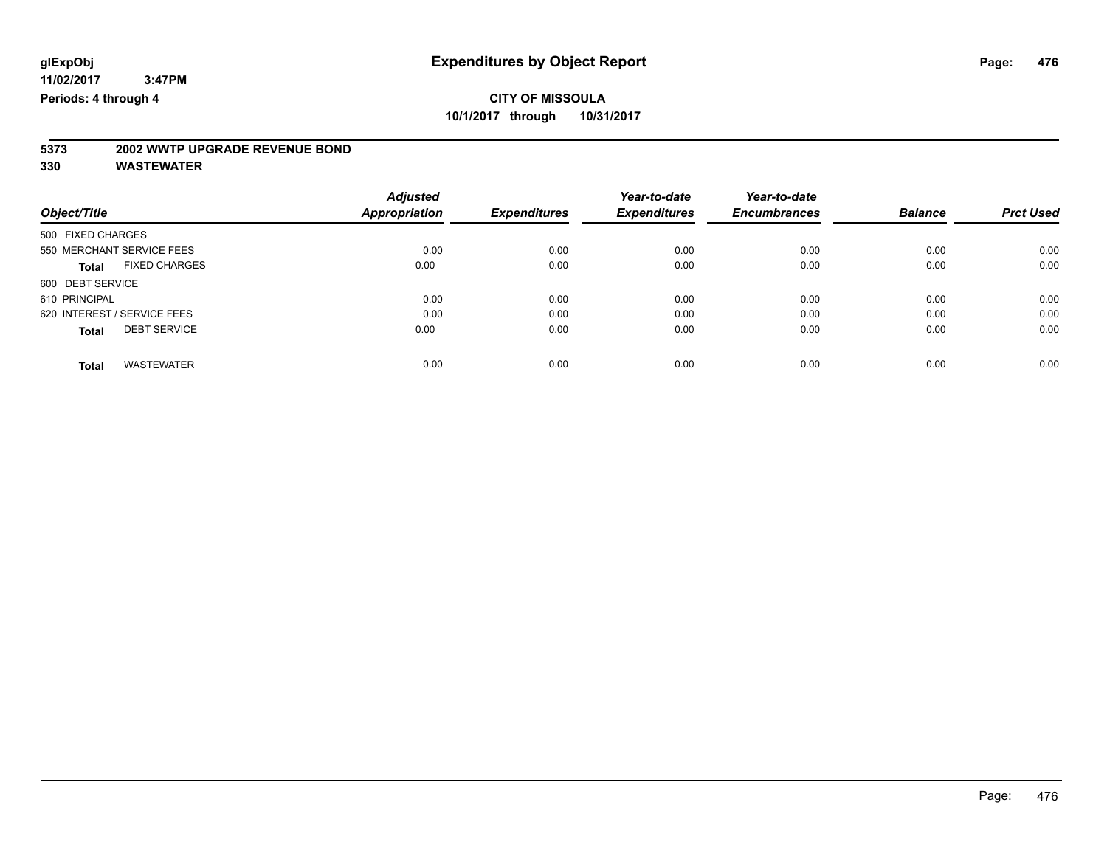# **5373 2002 WWTP UPGRADE REVENUE BOND**

| Object/Title                         | <b>Adjusted</b><br>Appropriation | <b>Expenditures</b> | Year-to-date<br><b>Expenditures</b> | Year-to-date<br><b>Encumbrances</b> | <b>Balance</b> | <b>Prct Used</b> |
|--------------------------------------|----------------------------------|---------------------|-------------------------------------|-------------------------------------|----------------|------------------|
|                                      |                                  |                     |                                     |                                     |                |                  |
| 500 FIXED CHARGES                    |                                  |                     |                                     |                                     |                |                  |
| 550 MERCHANT SERVICE FEES            | 0.00                             | 0.00                | 0.00                                | 0.00                                | 0.00           | 0.00             |
| <b>FIXED CHARGES</b><br><b>Total</b> | 0.00                             | 0.00                | 0.00                                | 0.00                                | 0.00           | 0.00             |
| 600 DEBT SERVICE                     |                                  |                     |                                     |                                     |                |                  |
| 610 PRINCIPAL                        | 0.00                             | 0.00                | 0.00                                | 0.00                                | 0.00           | 0.00             |
| 620 INTEREST / SERVICE FEES          | 0.00                             | 0.00                | 0.00                                | 0.00                                | 0.00           | 0.00             |
| <b>DEBT SERVICE</b><br><b>Total</b>  | 0.00                             | 0.00                | 0.00                                | 0.00                                | 0.00           | 0.00             |
| <b>WASTEWATER</b><br>Total           | 0.00                             | 0.00                | 0.00                                | 0.00                                | 0.00           | 0.00             |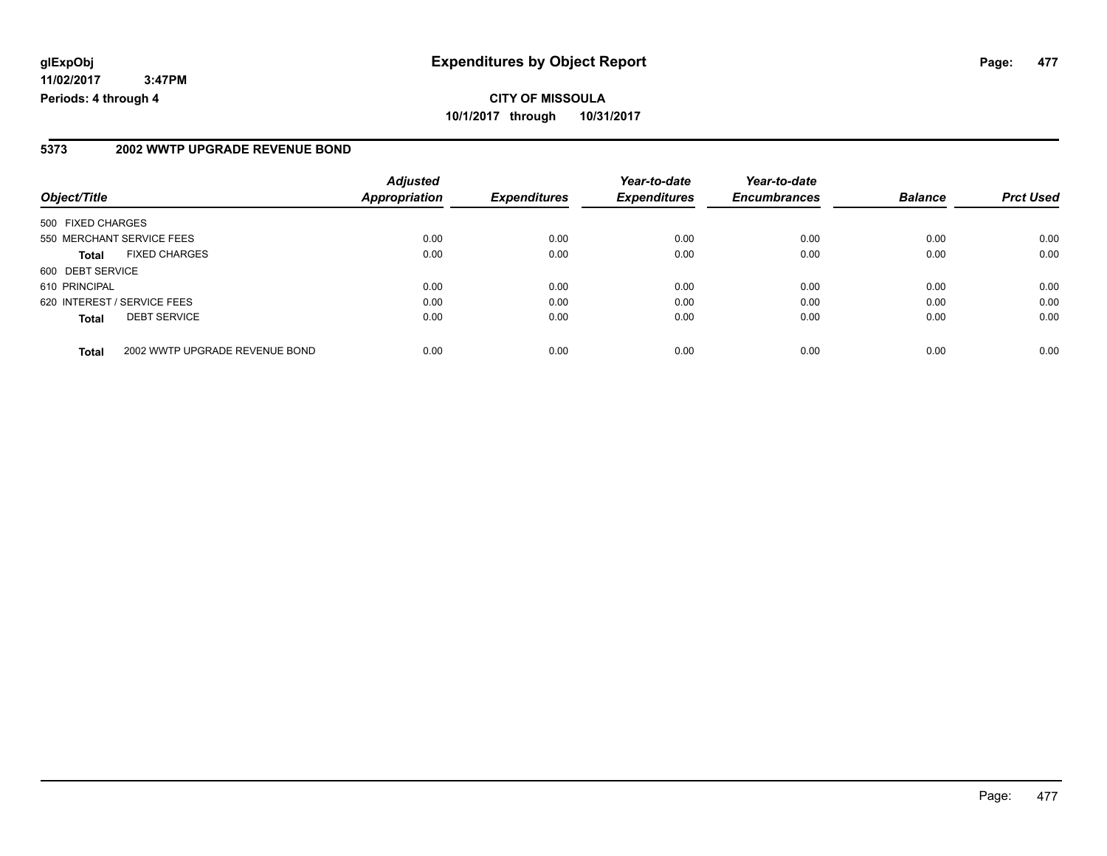### **5373 2002 WWTP UPGRADE REVENUE BOND**

| Object/Title                                   | <b>Adjusted</b><br><b>Appropriation</b> | <b>Expenditures</b> | Year-to-date<br><b>Expenditures</b> | Year-to-date<br><b>Encumbrances</b> | <b>Balance</b> | <b>Prct Used</b> |
|------------------------------------------------|-----------------------------------------|---------------------|-------------------------------------|-------------------------------------|----------------|------------------|
|                                                |                                         |                     |                                     |                                     |                |                  |
| 500 FIXED CHARGES                              |                                         |                     |                                     |                                     |                |                  |
| 550 MERCHANT SERVICE FEES                      | 0.00                                    | 0.00                | 0.00                                | 0.00                                | 0.00           | 0.00             |
| <b>FIXED CHARGES</b><br>Total                  | 0.00                                    | 0.00                | 0.00                                | 0.00                                | 0.00           | 0.00             |
| 600 DEBT SERVICE                               |                                         |                     |                                     |                                     |                |                  |
| 610 PRINCIPAL                                  | 0.00                                    | 0.00                | 0.00                                | 0.00                                | 0.00           | 0.00             |
| 620 INTEREST / SERVICE FEES                    | 0.00                                    | 0.00                | 0.00                                | 0.00                                | 0.00           | 0.00             |
| <b>DEBT SERVICE</b><br><b>Total</b>            | 0.00                                    | 0.00                | 0.00                                | 0.00                                | 0.00           | 0.00             |
|                                                |                                         |                     |                                     |                                     |                |                  |
| 2002 WWTP UPGRADE REVENUE BOND<br><b>Total</b> | 0.00                                    | 0.00                | 0.00                                | 0.00                                | 0.00           | 0.00             |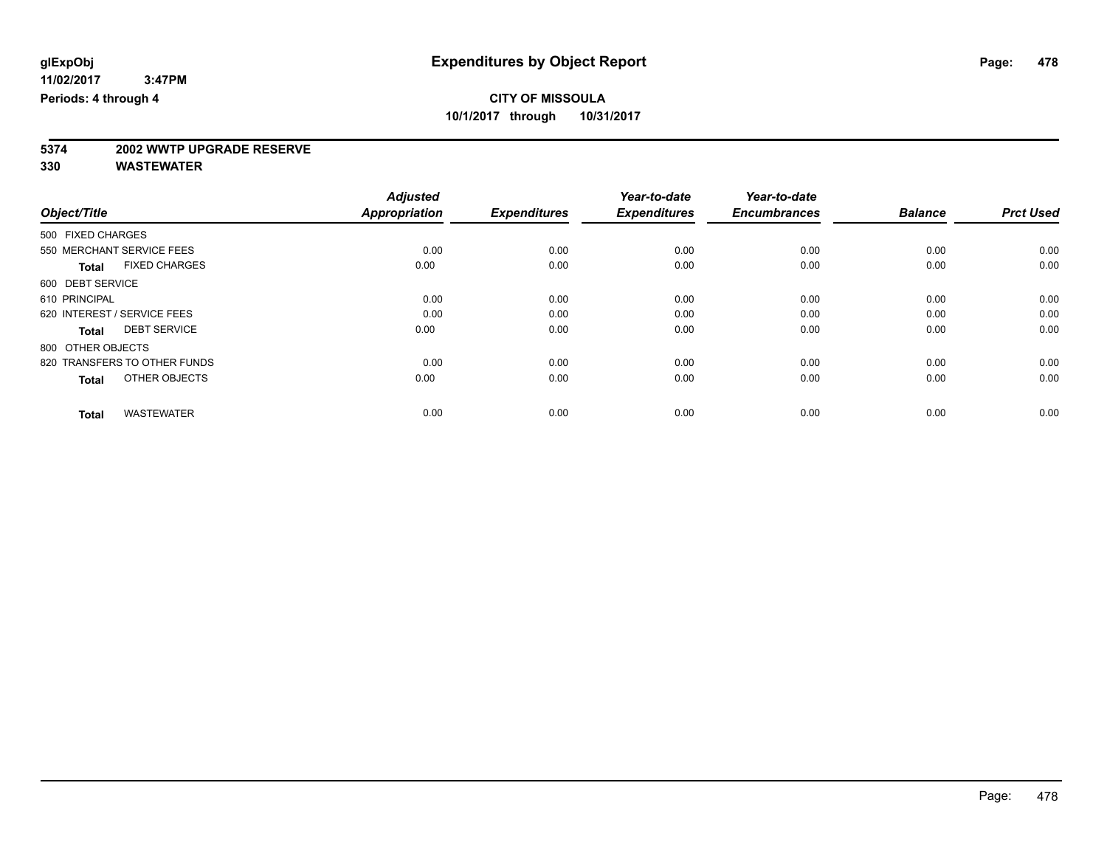# **5374 2002 WWTP UPGRADE RESERVE**

|                                      | <b>Adjusted</b>      | <b>Expenditures</b> | Year-to-date<br><b>Expenditures</b> | Year-to-date<br><b>Encumbrances</b> | <b>Balance</b> | <b>Prct Used</b> |
|--------------------------------------|----------------------|---------------------|-------------------------------------|-------------------------------------|----------------|------------------|
| Object/Title                         | <b>Appropriation</b> |                     |                                     |                                     |                |                  |
| 500 FIXED CHARGES                    |                      |                     |                                     |                                     |                |                  |
| 550 MERCHANT SERVICE FEES            | 0.00                 | 0.00                | 0.00                                | 0.00                                | 0.00           | 0.00             |
| <b>FIXED CHARGES</b><br><b>Total</b> | 0.00                 | 0.00                | 0.00                                | 0.00                                | 0.00           | 0.00             |
| 600 DEBT SERVICE                     |                      |                     |                                     |                                     |                |                  |
| 610 PRINCIPAL                        | 0.00                 | 0.00                | 0.00                                | 0.00                                | 0.00           | 0.00             |
| 620 INTEREST / SERVICE FEES          | 0.00                 | 0.00                | 0.00                                | 0.00                                | 0.00           | 0.00             |
| <b>DEBT SERVICE</b><br><b>Total</b>  | 0.00                 | 0.00                | 0.00                                | 0.00                                | 0.00           | 0.00             |
| 800 OTHER OBJECTS                    |                      |                     |                                     |                                     |                |                  |
| 820 TRANSFERS TO OTHER FUNDS         | 0.00                 | 0.00                | 0.00                                | 0.00                                | 0.00           | 0.00             |
| OTHER OBJECTS<br><b>Total</b>        | 0.00                 | 0.00                | 0.00                                | 0.00                                | 0.00           | 0.00             |
|                                      |                      |                     |                                     |                                     |                |                  |
| <b>WASTEWATER</b><br><b>Total</b>    | 0.00                 | 0.00                | 0.00                                | 0.00                                | 0.00           | 0.00             |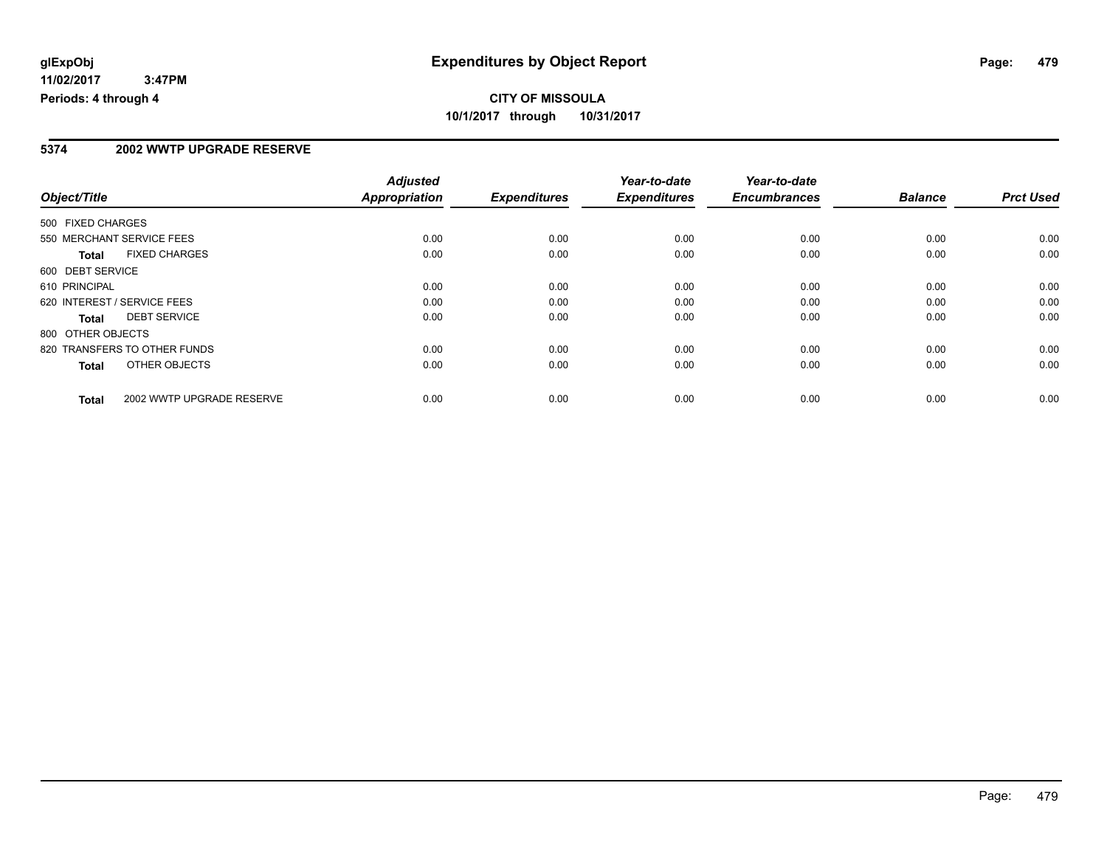### **5374 2002 WWTP UPGRADE RESERVE**

|                   |                              | <b>Adjusted</b>      |                     | Year-to-date        | Year-to-date        |                |                  |
|-------------------|------------------------------|----------------------|---------------------|---------------------|---------------------|----------------|------------------|
| Object/Title      |                              | <b>Appropriation</b> | <b>Expenditures</b> | <b>Expenditures</b> | <b>Encumbrances</b> | <b>Balance</b> | <b>Prct Used</b> |
| 500 FIXED CHARGES |                              |                      |                     |                     |                     |                |                  |
|                   | 550 MERCHANT SERVICE FEES    | 0.00                 | 0.00                | 0.00                | 0.00                | 0.00           | 0.00             |
| <b>Total</b>      | <b>FIXED CHARGES</b>         | 0.00                 | 0.00                | 0.00                | 0.00                | 0.00           | 0.00             |
| 600 DEBT SERVICE  |                              |                      |                     |                     |                     |                |                  |
| 610 PRINCIPAL     |                              | 0.00                 | 0.00                | 0.00                | 0.00                | 0.00           | 0.00             |
|                   | 620 INTEREST / SERVICE FEES  | 0.00                 | 0.00                | 0.00                | 0.00                | 0.00           | 0.00             |
| Total             | <b>DEBT SERVICE</b>          | 0.00                 | 0.00                | 0.00                | 0.00                | 0.00           | 0.00             |
| 800 OTHER OBJECTS |                              |                      |                     |                     |                     |                |                  |
|                   | 820 TRANSFERS TO OTHER FUNDS | 0.00                 | 0.00                | 0.00                | 0.00                | 0.00           | 0.00             |
| Total             | OTHER OBJECTS                | 0.00                 | 0.00                | 0.00                | 0.00                | 0.00           | 0.00             |
| <b>Total</b>      | 2002 WWTP UPGRADE RESERVE    | 0.00                 | 0.00                | 0.00                | 0.00                | 0.00           | 0.00             |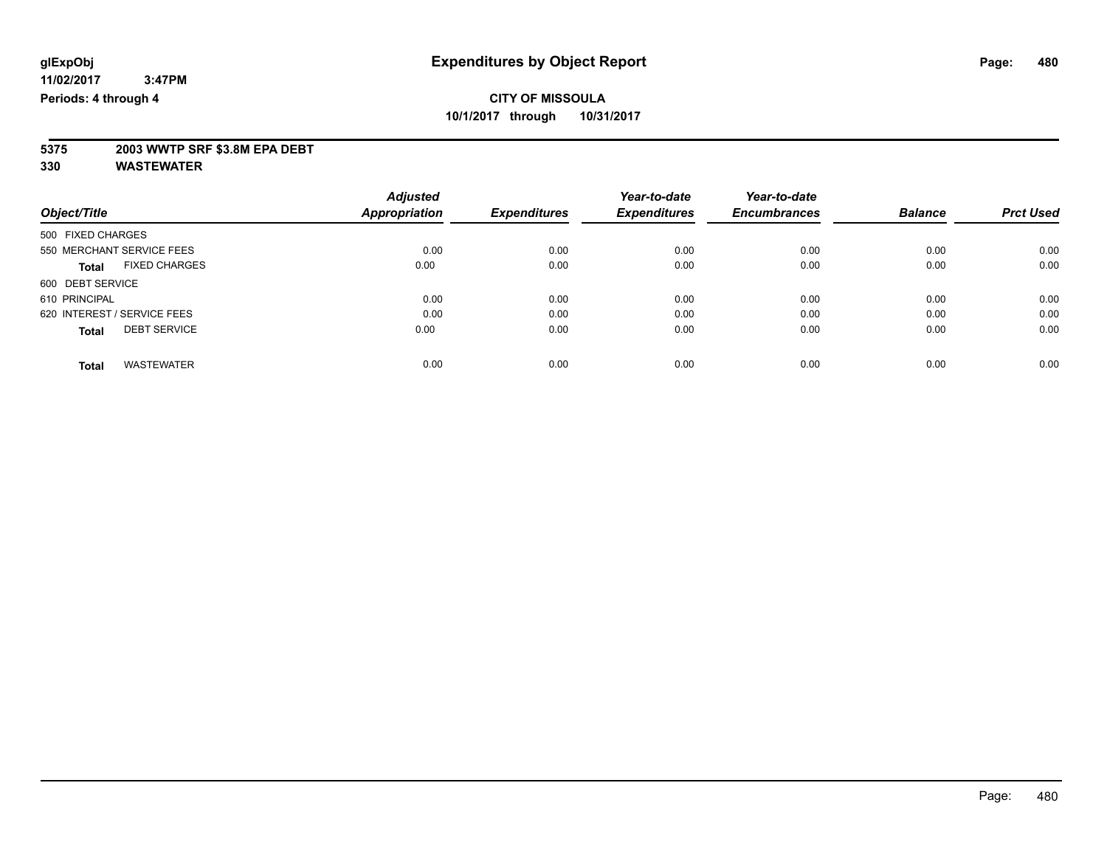# **5375 2003 WWTP SRF \$3.8M EPA DEBT**

|                                     | <b>Adjusted</b>      |                     | Year-to-date        | Year-to-date<br><b>Encumbrances</b> | <b>Balance</b> | <b>Prct Used</b> |
|-------------------------------------|----------------------|---------------------|---------------------|-------------------------------------|----------------|------------------|
| Object/Title                        | <b>Appropriation</b> | <b>Expenditures</b> | <b>Expenditures</b> |                                     |                |                  |
| 500 FIXED CHARGES                   |                      |                     |                     |                                     |                |                  |
| 550 MERCHANT SERVICE FEES           | 0.00                 | 0.00                | 0.00                | 0.00                                | 0.00           | 0.00             |
| <b>FIXED CHARGES</b><br>Total       | 0.00                 | 0.00                | 0.00                | 0.00                                | 0.00           | 0.00             |
| 600 DEBT SERVICE                    |                      |                     |                     |                                     |                |                  |
| 610 PRINCIPAL                       | 0.00                 | 0.00                | 0.00                | 0.00                                | 0.00           | 0.00             |
| 620 INTEREST / SERVICE FEES         | 0.00                 | 0.00                | 0.00                | 0.00                                | 0.00           | 0.00             |
| <b>DEBT SERVICE</b><br><b>Total</b> | 0.00                 | 0.00                | 0.00                | 0.00                                | 0.00           | 0.00             |
|                                     |                      |                     |                     |                                     |                |                  |
| <b>WASTEWATER</b><br><b>Total</b>   | 0.00                 | 0.00                | 0.00                | 0.00                                | 0.00           | 0.00             |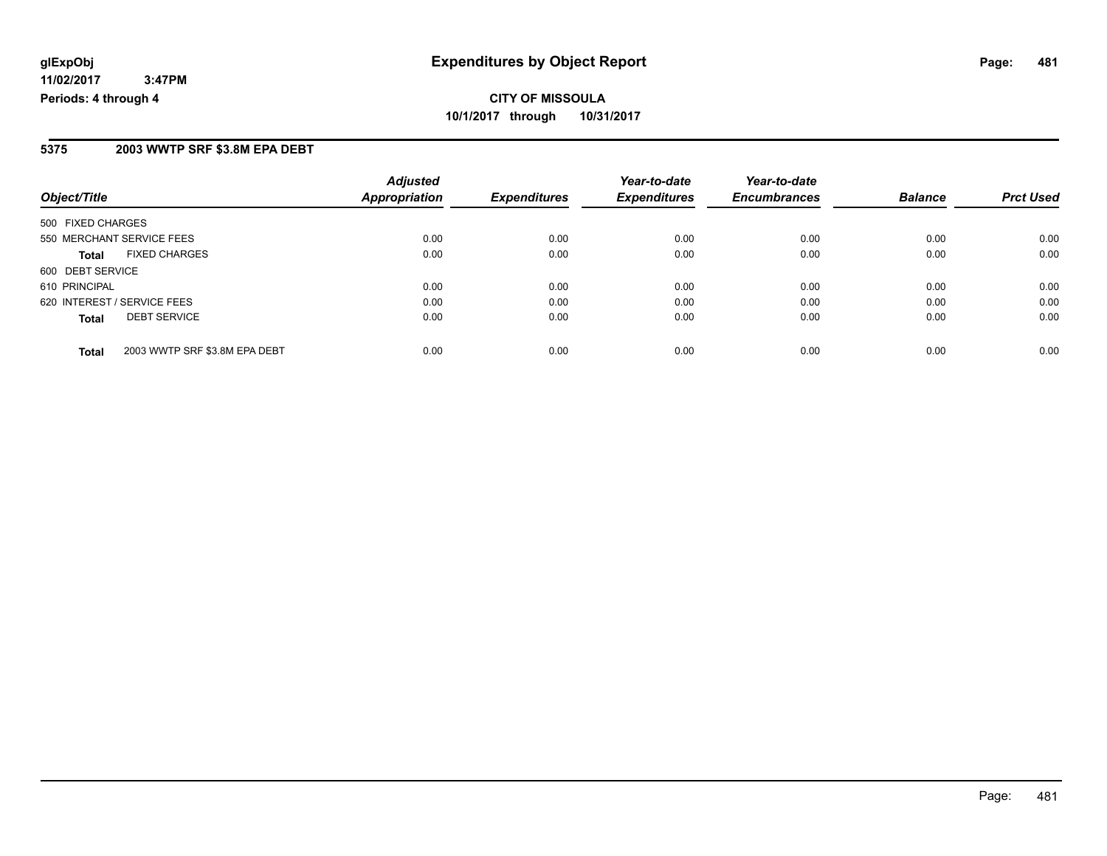# **CITY OF MISSOULA 10/1/2017 through 10/31/2017**

#### **5375 2003 WWTP SRF \$3.8M EPA DEBT**

| Object/Title                                  | <b>Adjusted</b><br><b>Appropriation</b> | <b>Expenditures</b> | Year-to-date<br><b>Expenditures</b> | Year-to-date<br><b>Encumbrances</b> | <b>Balance</b> | <b>Prct Used</b> |
|-----------------------------------------------|-----------------------------------------|---------------------|-------------------------------------|-------------------------------------|----------------|------------------|
| 500 FIXED CHARGES                             |                                         |                     |                                     |                                     |                |                  |
| 550 MERCHANT SERVICE FEES                     | 0.00                                    | 0.00                | 0.00                                | 0.00                                | 0.00           | 0.00             |
| <b>FIXED CHARGES</b><br><b>Total</b>          | 0.00                                    | 0.00                | 0.00                                | 0.00                                | 0.00           | 0.00             |
| 600 DEBT SERVICE                              |                                         |                     |                                     |                                     |                |                  |
| 610 PRINCIPAL                                 | 0.00                                    | 0.00                | 0.00                                | 0.00                                | 0.00           | 0.00             |
| 620 INTEREST / SERVICE FEES                   | 0.00                                    | 0.00                | 0.00                                | 0.00                                | 0.00           | 0.00             |
| <b>DEBT SERVICE</b><br><b>Total</b>           | 0.00                                    | 0.00                | 0.00                                | 0.00                                | 0.00           | 0.00             |
| 2003 WWTP SRF \$3.8M EPA DEBT<br><b>Total</b> | 0.00                                    | 0.00                | 0.00                                | 0.00                                | 0.00           | 0.00             |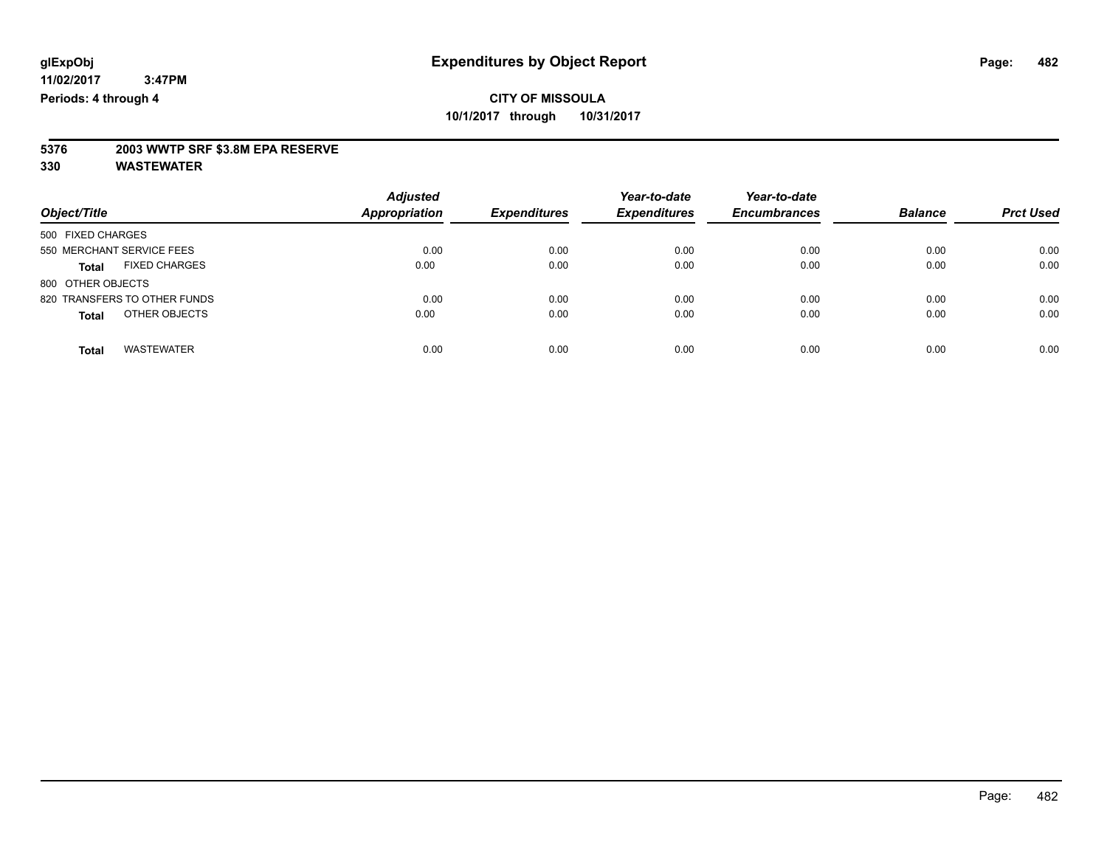# **5376 2003 WWTP SRF \$3.8M EPA RESERVE**

| Object/Title                         | <b>Adjusted</b><br><b>Appropriation</b> | <b>Expenditures</b> | Year-to-date<br><b>Expenditures</b> | Year-to-date<br><b>Encumbrances</b> | <b>Balance</b> | <b>Prct Used</b> |
|--------------------------------------|-----------------------------------------|---------------------|-------------------------------------|-------------------------------------|----------------|------------------|
| 500 FIXED CHARGES                    |                                         |                     |                                     |                                     |                |                  |
| 550 MERCHANT SERVICE FEES            | 0.00                                    | 0.00                | 0.00                                | 0.00                                | 0.00           | 0.00             |
| <b>FIXED CHARGES</b><br><b>Total</b> | 0.00                                    | 0.00                | 0.00                                | 0.00                                | 0.00           | 0.00             |
| 800 OTHER OBJECTS                    |                                         |                     |                                     |                                     |                |                  |
| 820 TRANSFERS TO OTHER FUNDS         | 0.00                                    | 0.00                | 0.00                                | 0.00                                | 0.00           | 0.00             |
| OTHER OBJECTS<br><b>Total</b>        | 0.00                                    | 0.00                | 0.00                                | 0.00                                | 0.00           | 0.00             |
| <b>WASTEWATER</b><br>Total           | 0.00                                    | 0.00                | 0.00                                | 0.00                                | 0.00           | 0.00             |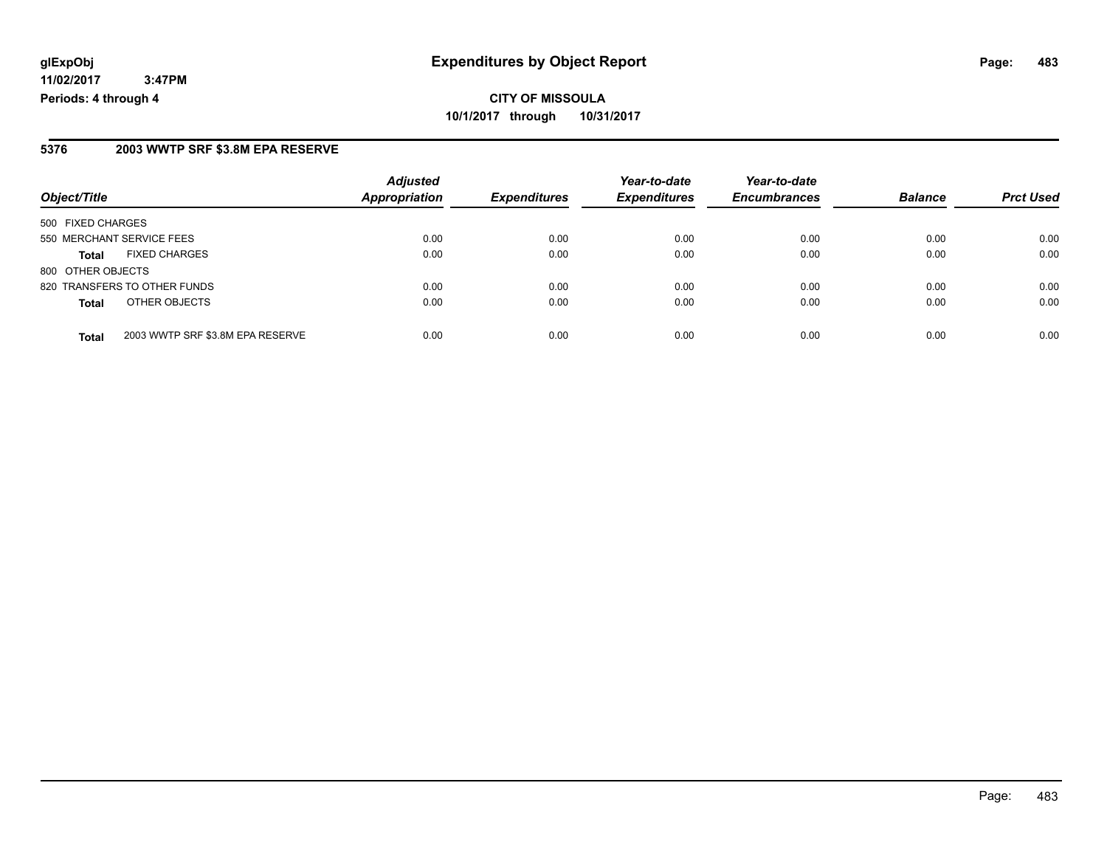#### **5376 2003 WWTP SRF \$3.8M EPA RESERVE**

| Object/Title              |                                  | <b>Adjusted</b>      |                     | Year-to-date        | Year-to-date        | <b>Balance</b> |                  |
|---------------------------|----------------------------------|----------------------|---------------------|---------------------|---------------------|----------------|------------------|
|                           |                                  | <b>Appropriation</b> | <b>Expenditures</b> | <b>Expenditures</b> | <b>Encumbrances</b> |                | <b>Prct Used</b> |
| 500 FIXED CHARGES         |                                  |                      |                     |                     |                     |                |                  |
| 550 MERCHANT SERVICE FEES |                                  | 0.00                 | 0.00                | 0.00                | 0.00                | 0.00           | 0.00             |
| <b>Total</b>              | <b>FIXED CHARGES</b>             | 0.00                 | 0.00                | 0.00                | 0.00                | 0.00           | 0.00             |
| 800 OTHER OBJECTS         |                                  |                      |                     |                     |                     |                |                  |
|                           | 820 TRANSFERS TO OTHER FUNDS     | 0.00                 | 0.00                | 0.00                | 0.00                | 0.00           | 0.00             |
| <b>Total</b>              | OTHER OBJECTS                    | 0.00                 | 0.00                | 0.00                | 0.00                | 0.00           | 0.00             |
| <b>Total</b>              | 2003 WWTP SRF \$3.8M EPA RESERVE | 0.00                 | 0.00                | 0.00                | 0.00                | 0.00           | 0.00             |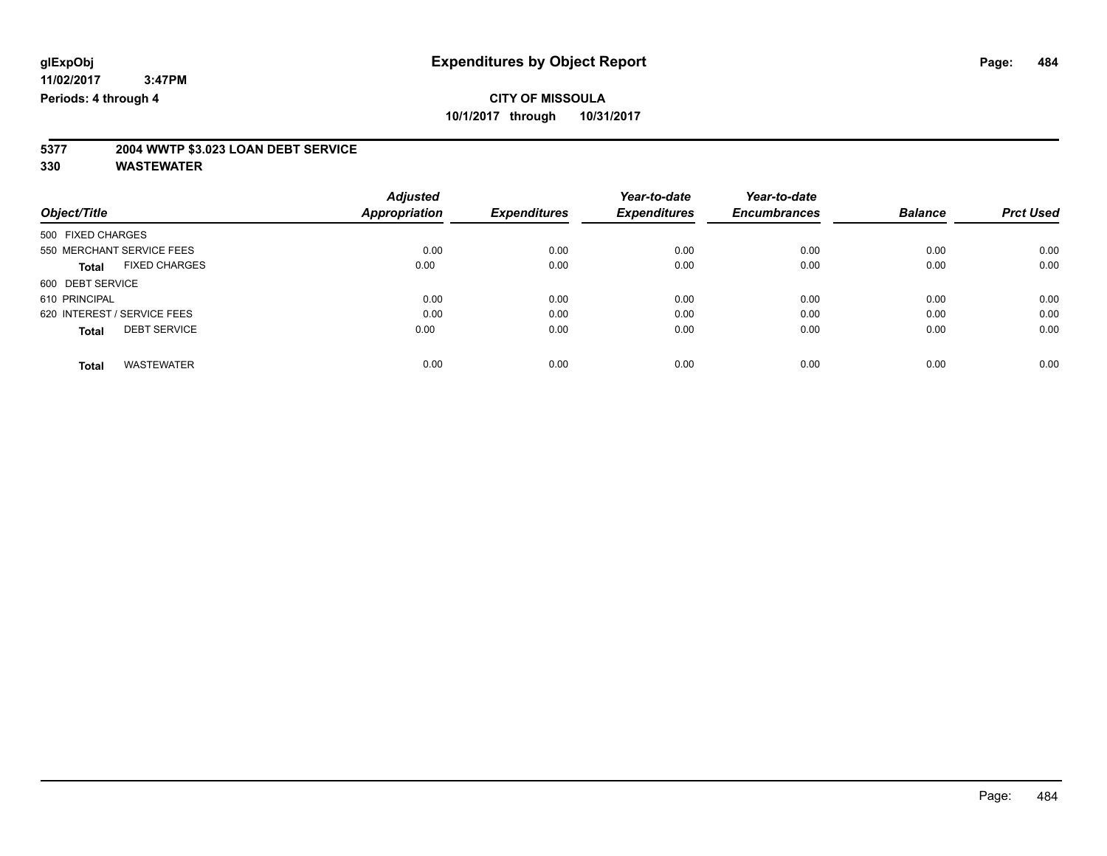# **5377 2004 WWTP \$3.023 LOAN DEBT SERVICE**

|                                      | <b>Adjusted</b>      |                     | Year-to-date        | Year-to-date        |                |                  |
|--------------------------------------|----------------------|---------------------|---------------------|---------------------|----------------|------------------|
| Object/Title                         | <b>Appropriation</b> | <b>Expenditures</b> | <b>Expenditures</b> | <b>Encumbrances</b> | <b>Balance</b> | <b>Prct Used</b> |
| 500 FIXED CHARGES                    |                      |                     |                     |                     |                |                  |
| 550 MERCHANT SERVICE FEES            | 0.00                 | 0.00                | 0.00                | 0.00                | 0.00           | 0.00             |
| <b>FIXED CHARGES</b><br><b>Total</b> | 0.00                 | 0.00                | 0.00                | 0.00                | 0.00           | 0.00             |
| 600 DEBT SERVICE                     |                      |                     |                     |                     |                |                  |
| 610 PRINCIPAL                        | 0.00                 | 0.00                | 0.00                | 0.00                | 0.00           | 0.00             |
| 620 INTEREST / SERVICE FEES          | 0.00                 | 0.00                | 0.00                | 0.00                | 0.00           | 0.00             |
| <b>DEBT SERVICE</b><br><b>Total</b>  | 0.00                 | 0.00                | 0.00                | 0.00                | 0.00           | 0.00             |
| <b>WASTEWATER</b><br>Total           | 0.00                 | 0.00                | 0.00                | 0.00                | 0.00           | 0.00             |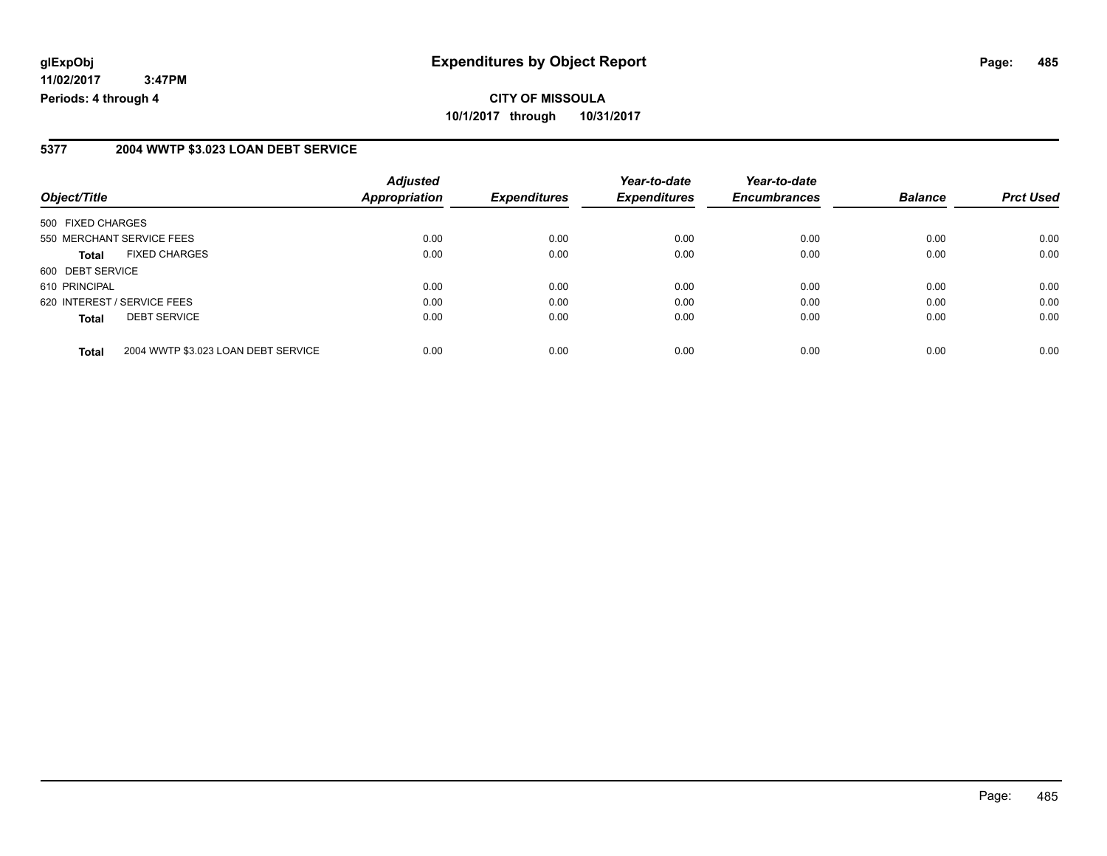### **5377 2004 WWTP \$3.023 LOAN DEBT SERVICE**

| Object/Title                |                                     | <b>Adjusted</b><br>Appropriation | <b>Expenditures</b> | Year-to-date<br><b>Expenditures</b> | Year-to-date<br><b>Encumbrances</b> | <b>Balance</b> | <b>Prct Used</b> |
|-----------------------------|-------------------------------------|----------------------------------|---------------------|-------------------------------------|-------------------------------------|----------------|------------------|
|                             |                                     |                                  |                     |                                     |                                     |                |                  |
| 500 FIXED CHARGES           |                                     |                                  |                     |                                     |                                     |                |                  |
|                             | 550 MERCHANT SERVICE FEES           | 0.00                             | 0.00                | 0.00                                | 0.00                                | 0.00           | 0.00             |
| <b>Total</b>                | <b>FIXED CHARGES</b>                | 0.00                             | 0.00                | 0.00                                | 0.00                                | 0.00           | 0.00             |
| 600 DEBT SERVICE            |                                     |                                  |                     |                                     |                                     |                |                  |
| 610 PRINCIPAL               |                                     | 0.00                             | 0.00                | 0.00                                | 0.00                                | 0.00           | 0.00             |
| 620 INTEREST / SERVICE FEES |                                     | 0.00                             | 0.00                | 0.00                                | 0.00                                | 0.00           | 0.00             |
| <b>Total</b>                | <b>DEBT SERVICE</b>                 | 0.00                             | 0.00                | 0.00                                | 0.00                                | 0.00           | 0.00             |
| <b>Total</b>                | 2004 WWTP \$3.023 LOAN DEBT SERVICE | 0.00                             | 0.00                | 0.00                                | 0.00                                | 0.00           | 0.00             |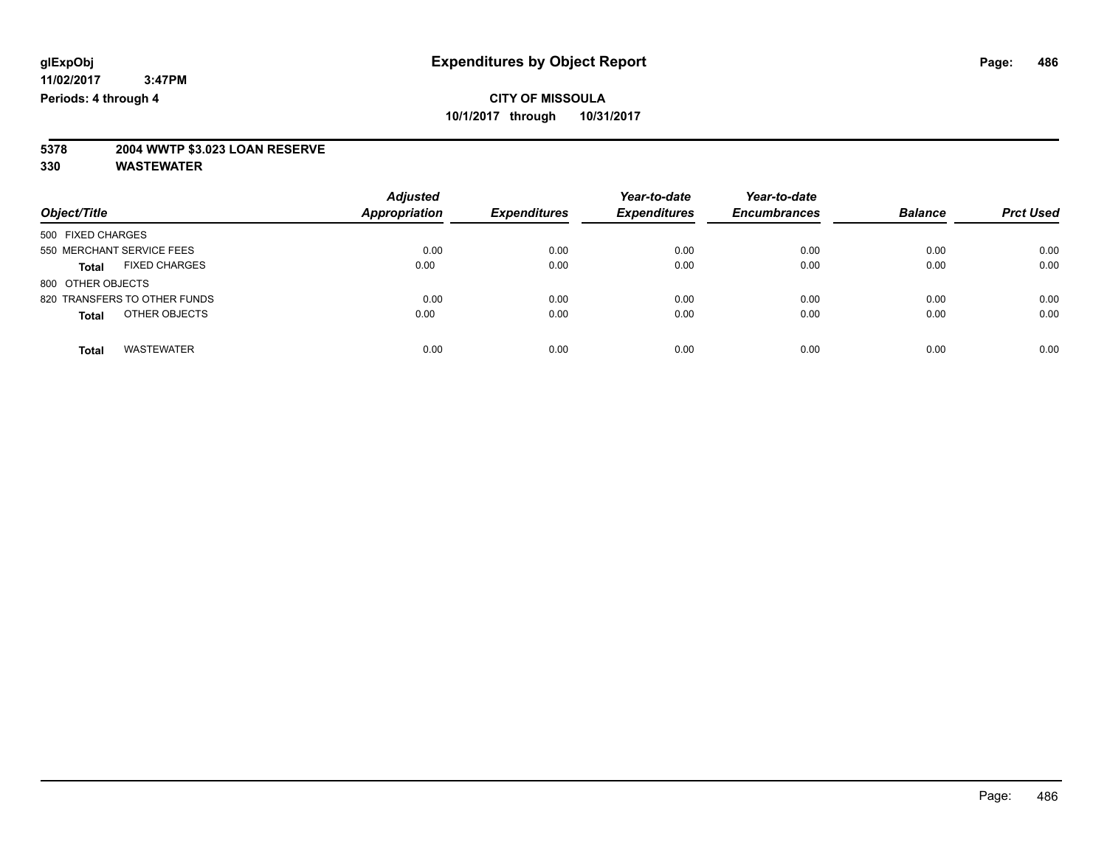# **5378 2004 WWTP \$3.023 LOAN RESERVE**

| Object/Title                         | <b>Adjusted</b><br><b>Appropriation</b> | <b>Expenditures</b> | Year-to-date<br><b>Expenditures</b> | Year-to-date<br><b>Encumbrances</b> | <b>Balance</b> | <b>Prct Used</b> |
|--------------------------------------|-----------------------------------------|---------------------|-------------------------------------|-------------------------------------|----------------|------------------|
| 500 FIXED CHARGES                    |                                         |                     |                                     |                                     |                |                  |
| 550 MERCHANT SERVICE FEES            | 0.00                                    | 0.00                | 0.00                                | 0.00                                | 0.00           | 0.00             |
| <b>FIXED CHARGES</b><br><b>Total</b> | 0.00                                    | 0.00                | 0.00                                | 0.00                                | 0.00           | 0.00             |
| 800 OTHER OBJECTS                    |                                         |                     |                                     |                                     |                |                  |
| 820 TRANSFERS TO OTHER FUNDS         | 0.00                                    | 0.00                | 0.00                                | 0.00                                | 0.00           | 0.00             |
| OTHER OBJECTS<br><b>Total</b>        | 0.00                                    | 0.00                | 0.00                                | 0.00                                | 0.00           | 0.00             |
|                                      |                                         |                     |                                     |                                     |                |                  |
| <b>WASTEWATER</b><br>Total           | 0.00                                    | 0.00                | 0.00                                | 0.00                                | 0.00           | 0.00             |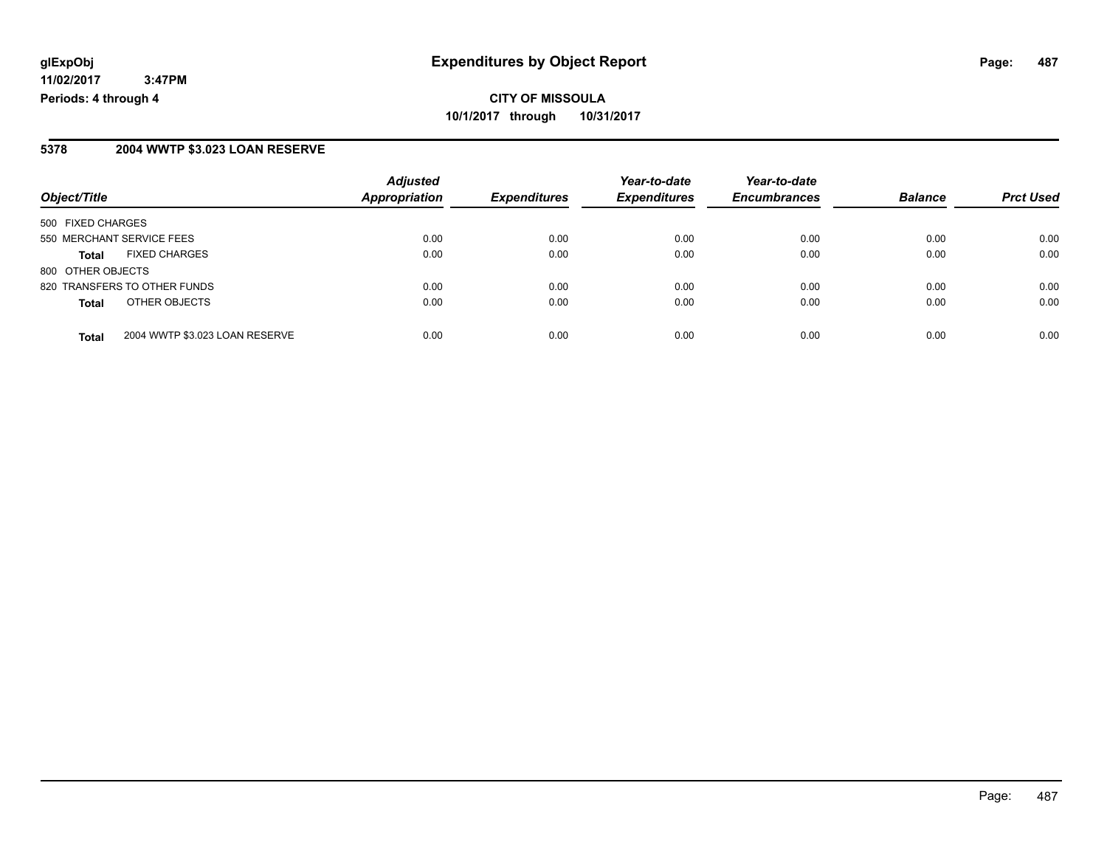#### **5378 2004 WWTP \$3.023 LOAN RESERVE**

| Object/Title                 |                                | <b>Adjusted</b>      |                     | Year-to-date        | Year-to-date        |                |                  |
|------------------------------|--------------------------------|----------------------|---------------------|---------------------|---------------------|----------------|------------------|
|                              |                                | <b>Appropriation</b> | <b>Expenditures</b> | <b>Expenditures</b> | <b>Encumbrances</b> | <b>Balance</b> | <b>Prct Used</b> |
| 500 FIXED CHARGES            |                                |                      |                     |                     |                     |                |                  |
| 550 MERCHANT SERVICE FEES    |                                | 0.00                 | 0.00                | 0.00                | 0.00                | 0.00           | 0.00             |
| Total                        | <b>FIXED CHARGES</b>           | 0.00                 | 0.00                | 0.00                | 0.00                | 0.00           | 0.00             |
| 800 OTHER OBJECTS            |                                |                      |                     |                     |                     |                |                  |
| 820 TRANSFERS TO OTHER FUNDS |                                | 0.00                 | 0.00                | 0.00                | 0.00                | 0.00           | 0.00             |
| <b>Total</b>                 | OTHER OBJECTS                  | 0.00                 | 0.00                | 0.00                | 0.00                | 0.00           | 0.00             |
| <b>Total</b>                 | 2004 WWTP \$3.023 LOAN RESERVE | 0.00                 | 0.00                | 0.00                | 0.00                | 0.00           | 0.00             |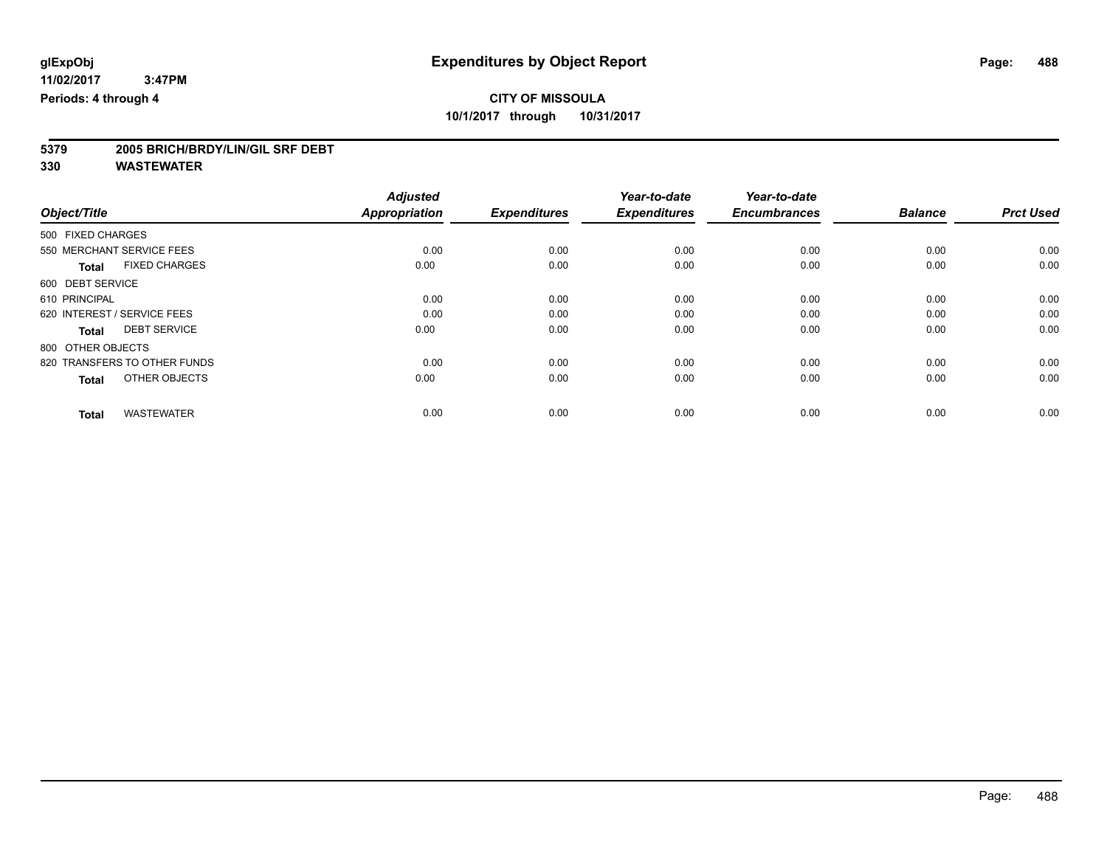# **5379 2005 BRICH/BRDY/LIN/GIL SRF DEBT**

|                                      | <b>Adjusted</b>      |                     | Year-to-date        | Year-to-date        |                |                  |
|--------------------------------------|----------------------|---------------------|---------------------|---------------------|----------------|------------------|
| Object/Title                         | <b>Appropriation</b> | <b>Expenditures</b> | <b>Expenditures</b> | <b>Encumbrances</b> | <b>Balance</b> | <b>Prct Used</b> |
| 500 FIXED CHARGES                    |                      |                     |                     |                     |                |                  |
| 550 MERCHANT SERVICE FEES            | 0.00                 | 0.00                | 0.00                | 0.00                | 0.00           | 0.00             |
| <b>FIXED CHARGES</b><br><b>Total</b> | 0.00                 | 0.00                | 0.00                | 0.00                | 0.00           | 0.00             |
| 600 DEBT SERVICE                     |                      |                     |                     |                     |                |                  |
| 610 PRINCIPAL                        | 0.00                 | 0.00                | 0.00                | 0.00                | 0.00           | 0.00             |
| 620 INTEREST / SERVICE FEES          | 0.00                 | 0.00                | 0.00                | 0.00                | 0.00           | 0.00             |
| <b>DEBT SERVICE</b><br><b>Total</b>  | 0.00                 | 0.00                | 0.00                | 0.00                | 0.00           | 0.00             |
| 800 OTHER OBJECTS                    |                      |                     |                     |                     |                |                  |
| 820 TRANSFERS TO OTHER FUNDS         | 0.00                 | 0.00                | 0.00                | 0.00                | 0.00           | 0.00             |
| OTHER OBJECTS<br><b>Total</b>        | 0.00                 | 0.00                | 0.00                | 0.00                | 0.00           | 0.00             |
|                                      |                      |                     |                     |                     |                |                  |
| <b>WASTEWATER</b><br><b>Total</b>    | 0.00                 | 0.00                | 0.00                | 0.00                | 0.00           | 0.00             |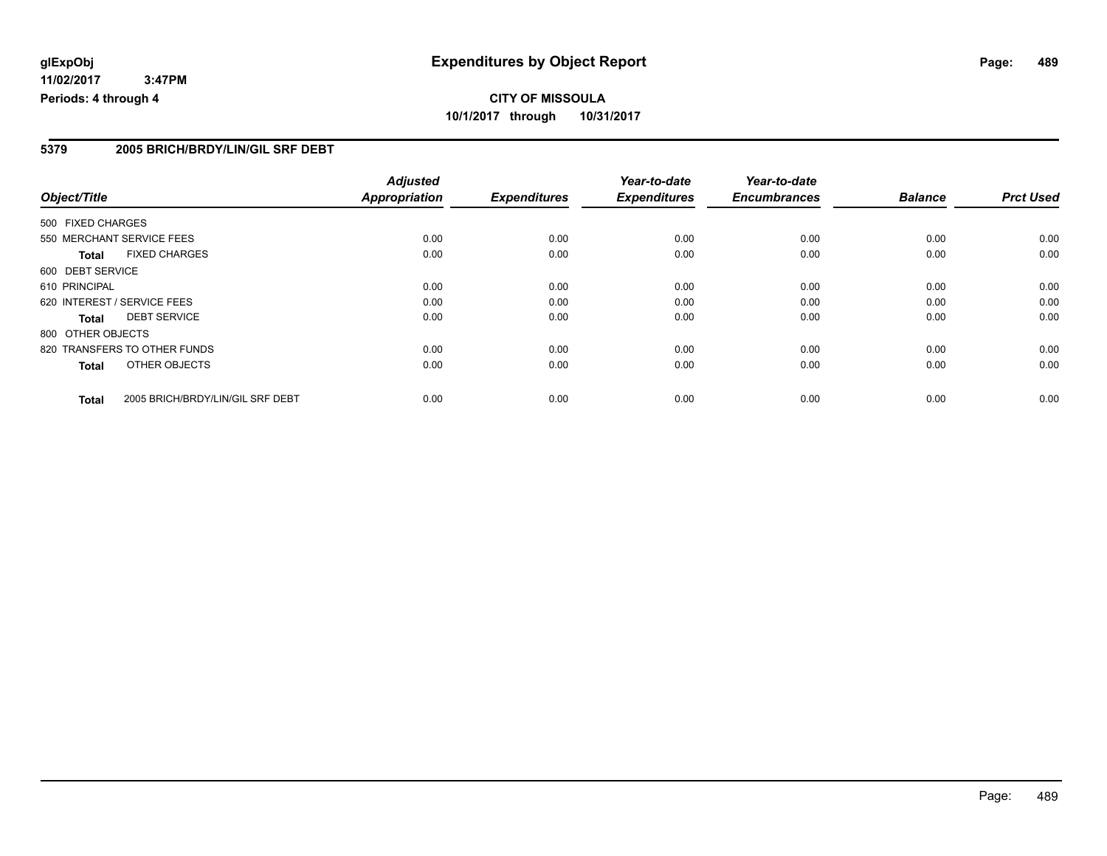# **CITY OF MISSOULA 10/1/2017 through 10/31/2017**

#### **5379 2005 BRICH/BRDY/LIN/GIL SRF DEBT**

|                   |                                  | <b>Adjusted</b>      |                     | Year-to-date        | Year-to-date        |                |                  |
|-------------------|----------------------------------|----------------------|---------------------|---------------------|---------------------|----------------|------------------|
| Object/Title      |                                  | <b>Appropriation</b> | <b>Expenditures</b> | <b>Expenditures</b> | <b>Encumbrances</b> | <b>Balance</b> | <b>Prct Used</b> |
| 500 FIXED CHARGES |                                  |                      |                     |                     |                     |                |                  |
|                   | 550 MERCHANT SERVICE FEES        | 0.00                 | 0.00                | 0.00                | 0.00                | 0.00           | 0.00             |
| <b>Total</b>      | <b>FIXED CHARGES</b>             | 0.00                 | 0.00                | 0.00                | 0.00                | 0.00           | 0.00             |
| 600 DEBT SERVICE  |                                  |                      |                     |                     |                     |                |                  |
| 610 PRINCIPAL     |                                  | 0.00                 | 0.00                | 0.00                | 0.00                | 0.00           | 0.00             |
|                   | 620 INTEREST / SERVICE FEES      | 0.00                 | 0.00                | 0.00                | 0.00                | 0.00           | 0.00             |
| <b>Total</b>      | <b>DEBT SERVICE</b>              | 0.00                 | 0.00                | 0.00                | 0.00                | 0.00           | 0.00             |
| 800 OTHER OBJECTS |                                  |                      |                     |                     |                     |                |                  |
|                   | 820 TRANSFERS TO OTHER FUNDS     | 0.00                 | 0.00                | 0.00                | 0.00                | 0.00           | 0.00             |
| <b>Total</b>      | OTHER OBJECTS                    | 0.00                 | 0.00                | 0.00                | 0.00                | 0.00           | 0.00             |
| <b>Total</b>      | 2005 BRICH/BRDY/LIN/GIL SRF DEBT | 0.00                 | 0.00                | 0.00                | 0.00                | 0.00           | 0.00             |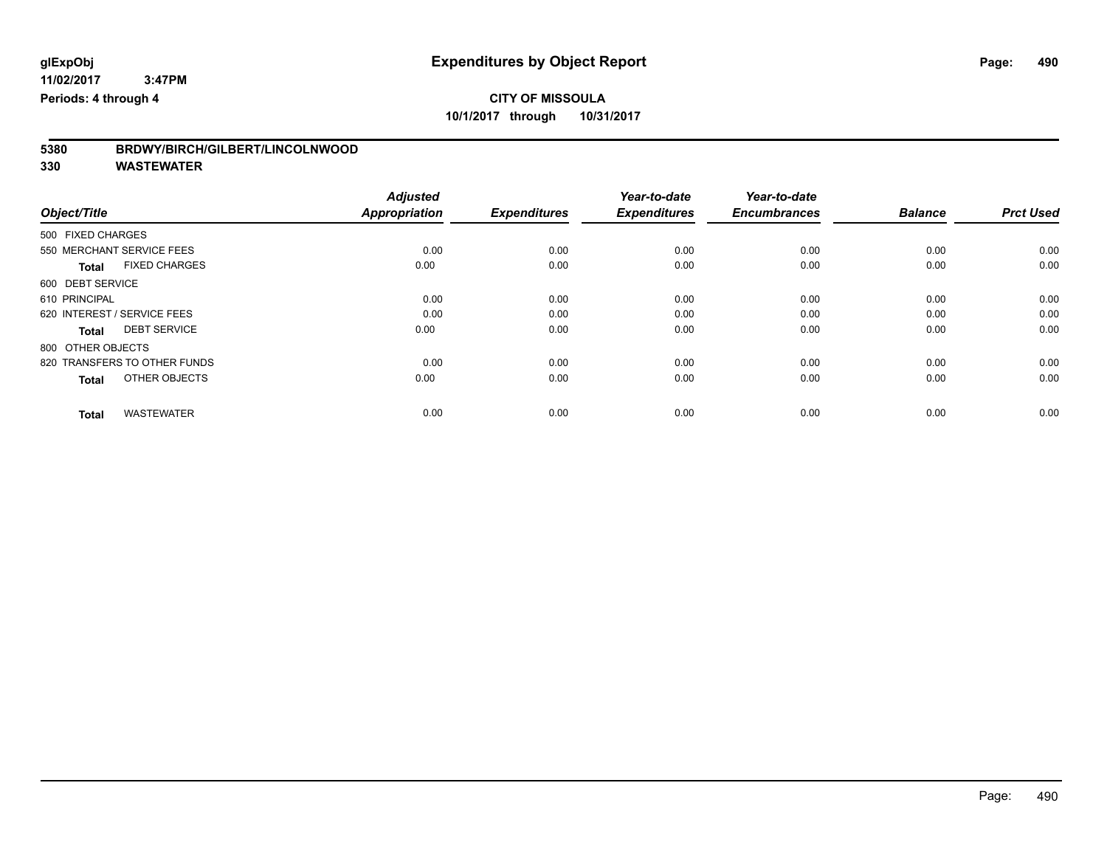| 5380 | BRDWY/BIRCH/GILBERT/LINCOLNWOOD |
|------|---------------------------------|
|------|---------------------------------|

|                                      | <b>Adjusted</b>      |                     | Year-to-date        | Year-to-date        |                |                  |
|--------------------------------------|----------------------|---------------------|---------------------|---------------------|----------------|------------------|
| Object/Title                         | <b>Appropriation</b> | <b>Expenditures</b> | <b>Expenditures</b> | <b>Encumbrances</b> | <b>Balance</b> | <b>Prct Used</b> |
| 500 FIXED CHARGES                    |                      |                     |                     |                     |                |                  |
| 550 MERCHANT SERVICE FEES            | 0.00                 | 0.00                | 0.00                | 0.00                | 0.00           | 0.00             |
| <b>FIXED CHARGES</b><br><b>Total</b> | 0.00                 | 0.00                | 0.00                | 0.00                | 0.00           | 0.00             |
| 600 DEBT SERVICE                     |                      |                     |                     |                     |                |                  |
| 610 PRINCIPAL                        | 0.00                 | 0.00                | 0.00                | 0.00                | 0.00           | 0.00             |
| 620 INTEREST / SERVICE FEES          | 0.00                 | 0.00                | 0.00                | 0.00                | 0.00           | 0.00             |
| <b>DEBT SERVICE</b><br><b>Total</b>  | 0.00                 | 0.00                | 0.00                | 0.00                | 0.00           | 0.00             |
| 800 OTHER OBJECTS                    |                      |                     |                     |                     |                |                  |
| 820 TRANSFERS TO OTHER FUNDS         | 0.00                 | 0.00                | 0.00                | 0.00                | 0.00           | 0.00             |
| OTHER OBJECTS<br><b>Total</b>        | 0.00                 | 0.00                | 0.00                | 0.00                | 0.00           | 0.00             |
|                                      |                      |                     |                     |                     |                |                  |
| <b>WASTEWATER</b><br><b>Total</b>    | 0.00                 | 0.00                | 0.00                | 0.00                | 0.00           | 0.00             |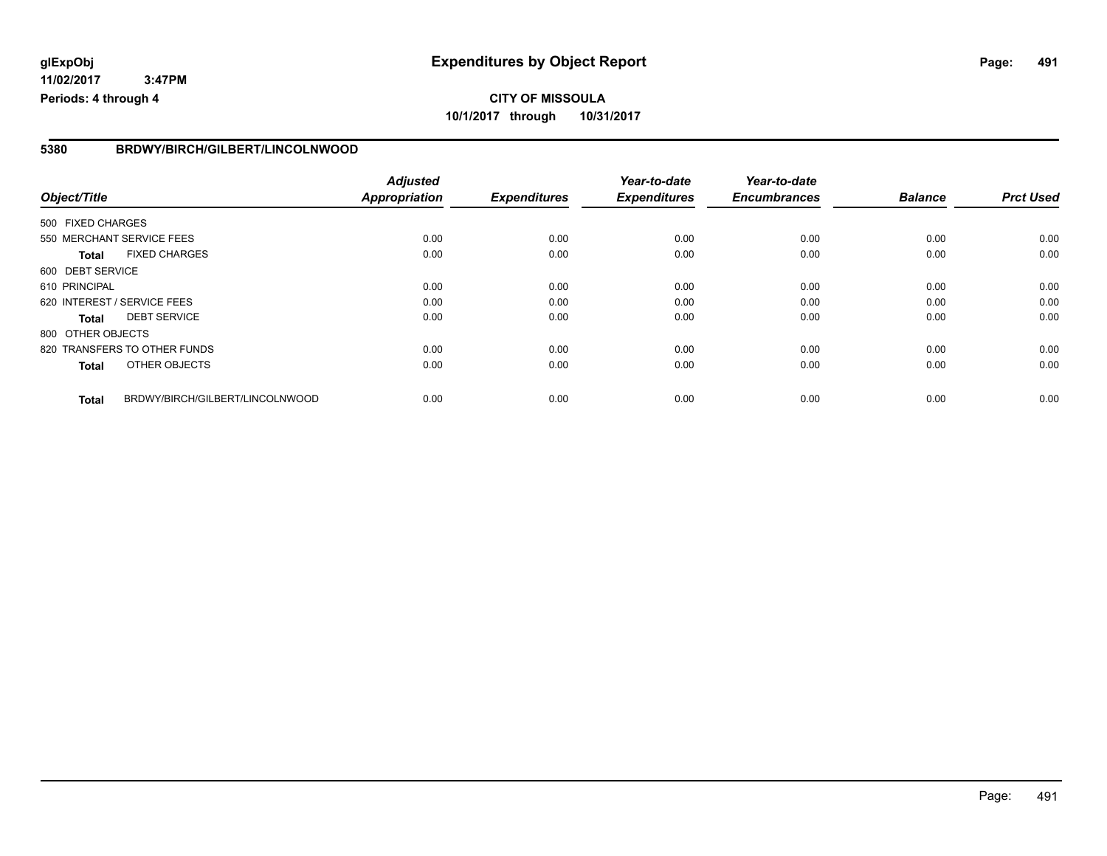# **CITY OF MISSOULA 10/1/2017 through 10/31/2017**

#### **5380 BRDWY/BIRCH/GILBERT/LINCOLNWOOD**

|                              |                                 | <b>Adjusted</b>      |                     | Year-to-date        | Year-to-date        |                |                  |
|------------------------------|---------------------------------|----------------------|---------------------|---------------------|---------------------|----------------|------------------|
| Object/Title                 |                                 | <b>Appropriation</b> | <b>Expenditures</b> | <b>Expenditures</b> | <b>Encumbrances</b> | <b>Balance</b> | <b>Prct Used</b> |
| 500 FIXED CHARGES            |                                 |                      |                     |                     |                     |                |                  |
| 550 MERCHANT SERVICE FEES    |                                 | 0.00                 | 0.00                | 0.00                | 0.00                | 0.00           | 0.00             |
| <b>Total</b>                 | <b>FIXED CHARGES</b>            | 0.00                 | 0.00                | 0.00                | 0.00                | 0.00           | 0.00             |
| 600 DEBT SERVICE             |                                 |                      |                     |                     |                     |                |                  |
| 610 PRINCIPAL                |                                 | 0.00                 | 0.00                | 0.00                | 0.00                | 0.00           | 0.00             |
| 620 INTEREST / SERVICE FEES  |                                 | 0.00                 | 0.00                | 0.00                | 0.00                | 0.00           | 0.00             |
| <b>Total</b>                 | <b>DEBT SERVICE</b>             | 0.00                 | 0.00                | 0.00                | 0.00                | 0.00           | 0.00             |
| 800 OTHER OBJECTS            |                                 |                      |                     |                     |                     |                |                  |
| 820 TRANSFERS TO OTHER FUNDS |                                 | 0.00                 | 0.00                | 0.00                | 0.00                | 0.00           | 0.00             |
| <b>Total</b>                 | OTHER OBJECTS                   | 0.00                 | 0.00                | 0.00                | 0.00                | 0.00           | 0.00             |
| <b>Total</b>                 | BRDWY/BIRCH/GILBERT/LINCOLNWOOD | 0.00                 | 0.00                | 0.00                | 0.00                | 0.00           | 0.00             |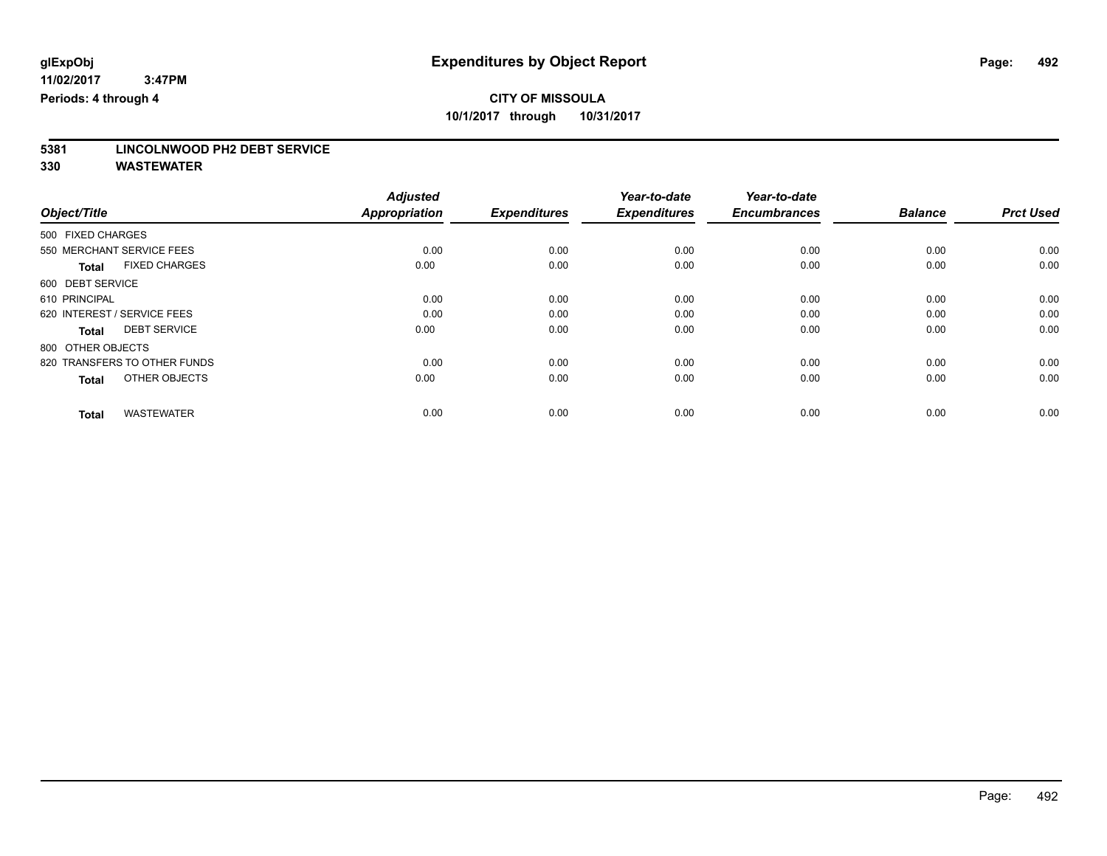# **5381 LINCOLNWOOD PH2 DEBT SERVICE**

|                                      | <b>Adjusted</b>      |                     | Year-to-date        | Year-to-date        |                |                  |
|--------------------------------------|----------------------|---------------------|---------------------|---------------------|----------------|------------------|
| Object/Title                         | <b>Appropriation</b> | <b>Expenditures</b> | <b>Expenditures</b> | <b>Encumbrances</b> | <b>Balance</b> | <b>Prct Used</b> |
| 500 FIXED CHARGES                    |                      |                     |                     |                     |                |                  |
| 550 MERCHANT SERVICE FEES            | 0.00                 | 0.00                | 0.00                | 0.00                | 0.00           | 0.00             |
| <b>FIXED CHARGES</b><br><b>Total</b> | 0.00                 | 0.00                | 0.00                | 0.00                | 0.00           | 0.00             |
| 600 DEBT SERVICE                     |                      |                     |                     |                     |                |                  |
| 610 PRINCIPAL                        | 0.00                 | 0.00                | 0.00                | 0.00                | 0.00           | 0.00             |
| 620 INTEREST / SERVICE FEES          | 0.00                 | 0.00                | 0.00                | 0.00                | 0.00           | 0.00             |
| <b>DEBT SERVICE</b><br><b>Total</b>  | 0.00                 | 0.00                | 0.00                | 0.00                | 0.00           | 0.00             |
| 800 OTHER OBJECTS                    |                      |                     |                     |                     |                |                  |
| 820 TRANSFERS TO OTHER FUNDS         | 0.00                 | 0.00                | 0.00                | 0.00                | 0.00           | 0.00             |
| OTHER OBJECTS<br><b>Total</b>        | 0.00                 | 0.00                | 0.00                | 0.00                | 0.00           | 0.00             |
|                                      |                      |                     |                     |                     |                |                  |
| <b>WASTEWATER</b><br><b>Total</b>    | 0.00                 | 0.00                | 0.00                | 0.00                | 0.00           | 0.00             |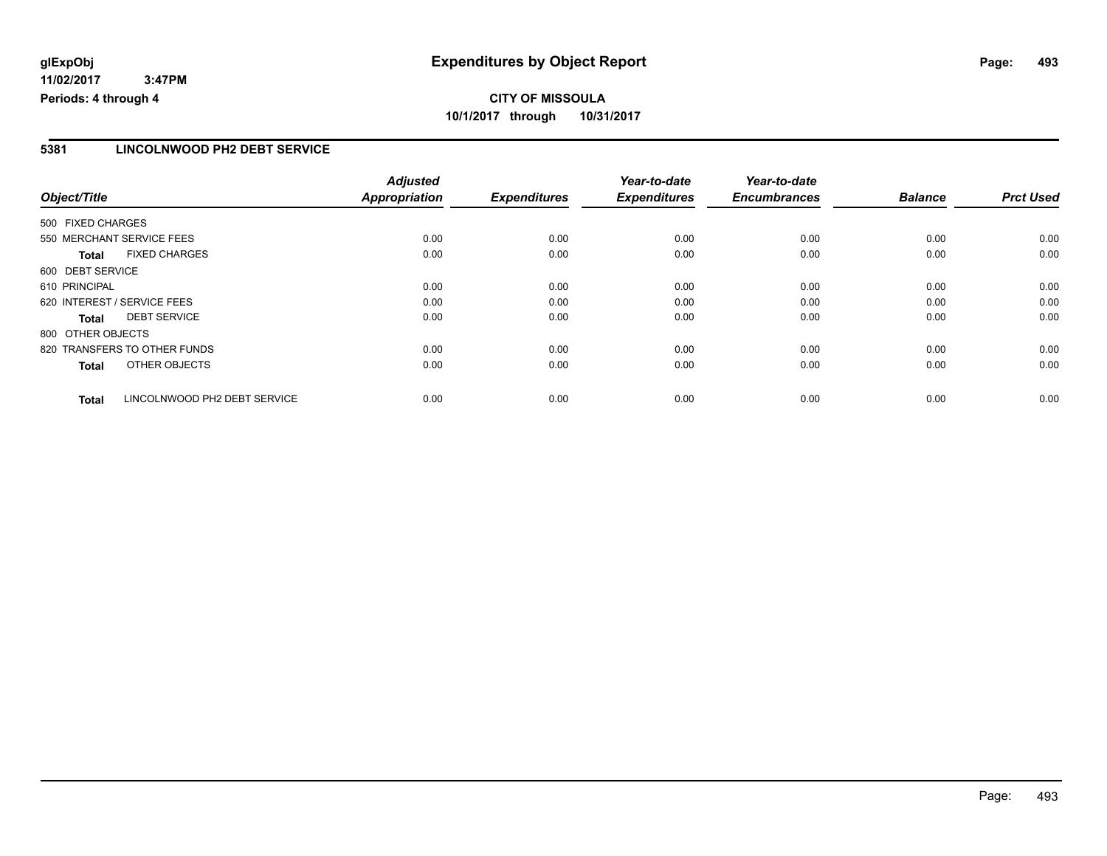# **CITY OF MISSOULA 10/1/2017 through 10/31/2017**

### **5381 LINCOLNWOOD PH2 DEBT SERVICE**

|                   |                              | <b>Adjusted</b>      |                     | Year-to-date        | Year-to-date        |                |                  |
|-------------------|------------------------------|----------------------|---------------------|---------------------|---------------------|----------------|------------------|
| Object/Title      |                              | <b>Appropriation</b> | <b>Expenditures</b> | <b>Expenditures</b> | <b>Encumbrances</b> | <b>Balance</b> | <b>Prct Used</b> |
| 500 FIXED CHARGES |                              |                      |                     |                     |                     |                |                  |
|                   | 550 MERCHANT SERVICE FEES    | 0.00                 | 0.00                | 0.00                | 0.00                | 0.00           | 0.00             |
| <b>Total</b>      | <b>FIXED CHARGES</b>         | 0.00                 | 0.00                | 0.00                | 0.00                | 0.00           | 0.00             |
| 600 DEBT SERVICE  |                              |                      |                     |                     |                     |                |                  |
| 610 PRINCIPAL     |                              | 0.00                 | 0.00                | 0.00                | 0.00                | 0.00           | 0.00             |
|                   | 620 INTEREST / SERVICE FEES  | 0.00                 | 0.00                | 0.00                | 0.00                | 0.00           | 0.00             |
| Total             | <b>DEBT SERVICE</b>          | 0.00                 | 0.00                | 0.00                | 0.00                | 0.00           | 0.00             |
| 800 OTHER OBJECTS |                              |                      |                     |                     |                     |                |                  |
|                   | 820 TRANSFERS TO OTHER FUNDS | 0.00                 | 0.00                | 0.00                | 0.00                | 0.00           | 0.00             |
| <b>Total</b>      | OTHER OBJECTS                | 0.00                 | 0.00                | 0.00                | 0.00                | 0.00           | 0.00             |
| <b>Total</b>      | LINCOLNWOOD PH2 DEBT SERVICE | 0.00                 | 0.00                | 0.00                | 0.00                | 0.00           | 0.00             |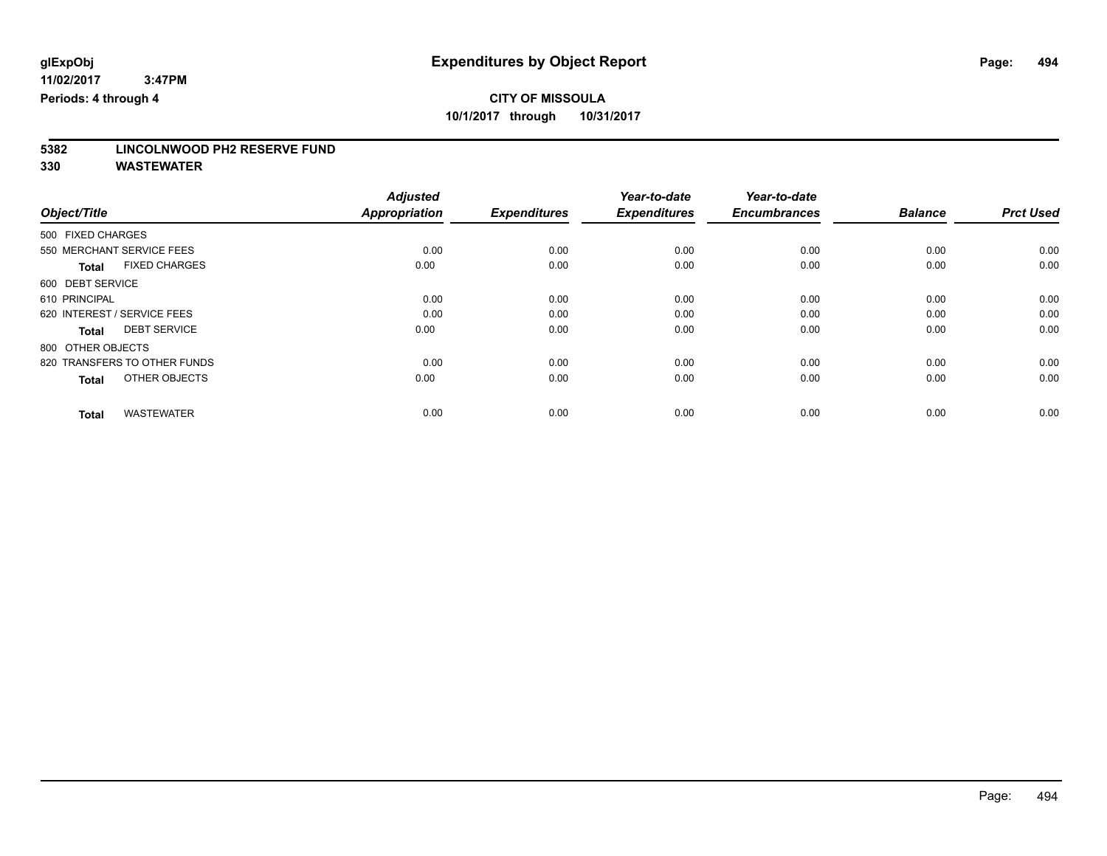# **5382 LINCOLNWOOD PH2 RESERVE FUND**

|                                      | <b>Adjusted</b>      |                     | Year-to-date        | Year-to-date        |                |                  |
|--------------------------------------|----------------------|---------------------|---------------------|---------------------|----------------|------------------|
| Object/Title                         | <b>Appropriation</b> | <b>Expenditures</b> | <b>Expenditures</b> | <b>Encumbrances</b> | <b>Balance</b> | <b>Prct Used</b> |
| 500 FIXED CHARGES                    |                      |                     |                     |                     |                |                  |
| 550 MERCHANT SERVICE FEES            | 0.00                 | 0.00                | 0.00                | 0.00                | 0.00           | 0.00             |
| <b>FIXED CHARGES</b><br><b>Total</b> | 0.00                 | 0.00                | 0.00                | 0.00                | 0.00           | 0.00             |
| 600 DEBT SERVICE                     |                      |                     |                     |                     |                |                  |
| 610 PRINCIPAL                        | 0.00                 | 0.00                | 0.00                | 0.00                | 0.00           | 0.00             |
| 620 INTEREST / SERVICE FEES          | 0.00                 | 0.00                | 0.00                | 0.00                | 0.00           | 0.00             |
| <b>DEBT SERVICE</b><br><b>Total</b>  | 0.00                 | 0.00                | 0.00                | 0.00                | 0.00           | 0.00             |
| 800 OTHER OBJECTS                    |                      |                     |                     |                     |                |                  |
| 820 TRANSFERS TO OTHER FUNDS         | 0.00                 | 0.00                | 0.00                | 0.00                | 0.00           | 0.00             |
| OTHER OBJECTS<br><b>Total</b>        | 0.00                 | 0.00                | 0.00                | 0.00                | 0.00           | 0.00             |
|                                      |                      |                     |                     |                     |                |                  |
| <b>WASTEWATER</b><br><b>Total</b>    | 0.00                 | 0.00                | 0.00                | 0.00                | 0.00           | 0.00             |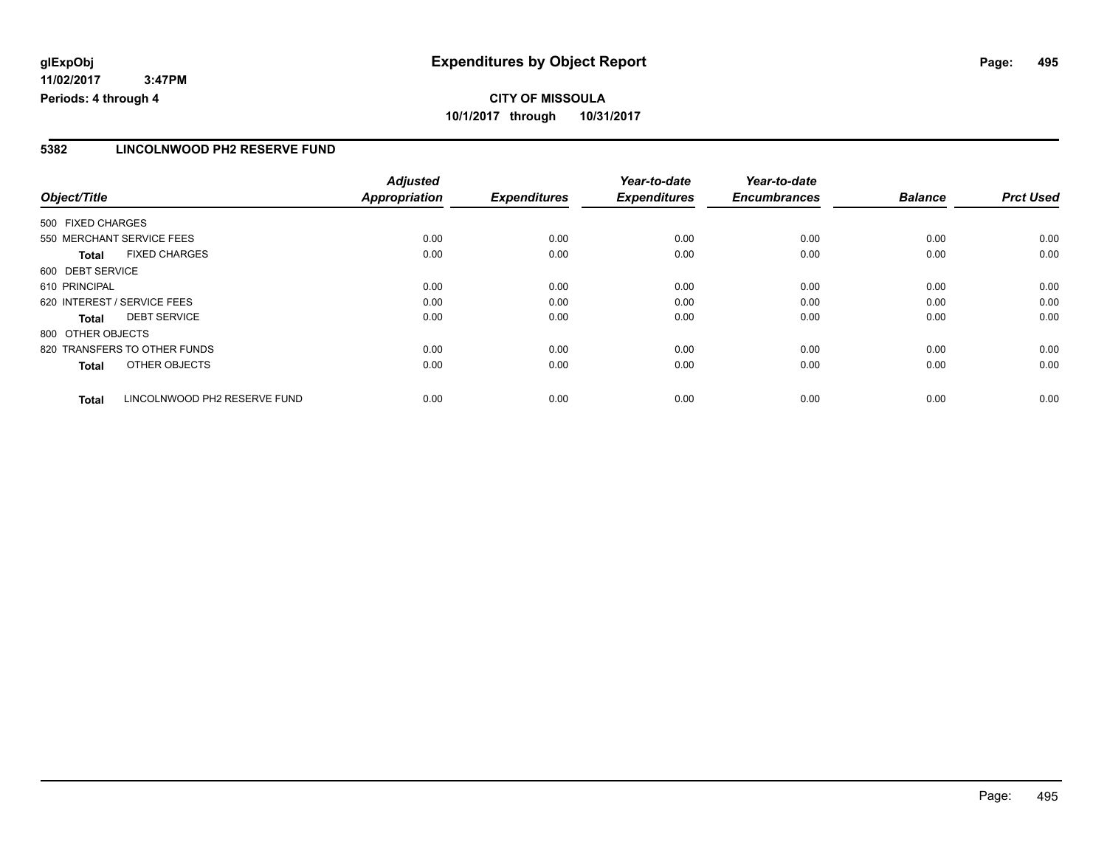# **CITY OF MISSOULA 10/1/2017 through 10/31/2017**

### **5382 LINCOLNWOOD PH2 RESERVE FUND**

|                   |                              | <b>Adjusted</b>      |                     | Year-to-date        | Year-to-date        |                |                  |
|-------------------|------------------------------|----------------------|---------------------|---------------------|---------------------|----------------|------------------|
| Object/Title      |                              | <b>Appropriation</b> | <b>Expenditures</b> | <b>Expenditures</b> | <b>Encumbrances</b> | <b>Balance</b> | <b>Prct Used</b> |
| 500 FIXED CHARGES |                              |                      |                     |                     |                     |                |                  |
|                   | 550 MERCHANT SERVICE FEES    | 0.00                 | 0.00                | 0.00                | 0.00                | 0.00           | 0.00             |
| <b>Total</b>      | <b>FIXED CHARGES</b>         | 0.00                 | 0.00                | 0.00                | 0.00                | 0.00           | 0.00             |
| 600 DEBT SERVICE  |                              |                      |                     |                     |                     |                |                  |
| 610 PRINCIPAL     |                              | 0.00                 | 0.00                | 0.00                | 0.00                | 0.00           | 0.00             |
|                   | 620 INTEREST / SERVICE FEES  | 0.00                 | 0.00                | 0.00                | 0.00                | 0.00           | 0.00             |
| <b>Total</b>      | <b>DEBT SERVICE</b>          | 0.00                 | 0.00                | 0.00                | 0.00                | 0.00           | 0.00             |
| 800 OTHER OBJECTS |                              |                      |                     |                     |                     |                |                  |
|                   | 820 TRANSFERS TO OTHER FUNDS | 0.00                 | 0.00                | 0.00                | 0.00                | 0.00           | 0.00             |
| <b>Total</b>      | OTHER OBJECTS                | 0.00                 | 0.00                | 0.00                | 0.00                | 0.00           | 0.00             |
| <b>Total</b>      | LINCOLNWOOD PH2 RESERVE FUND | 0.00                 | 0.00                | 0.00                | 0.00                | 0.00           | 0.00             |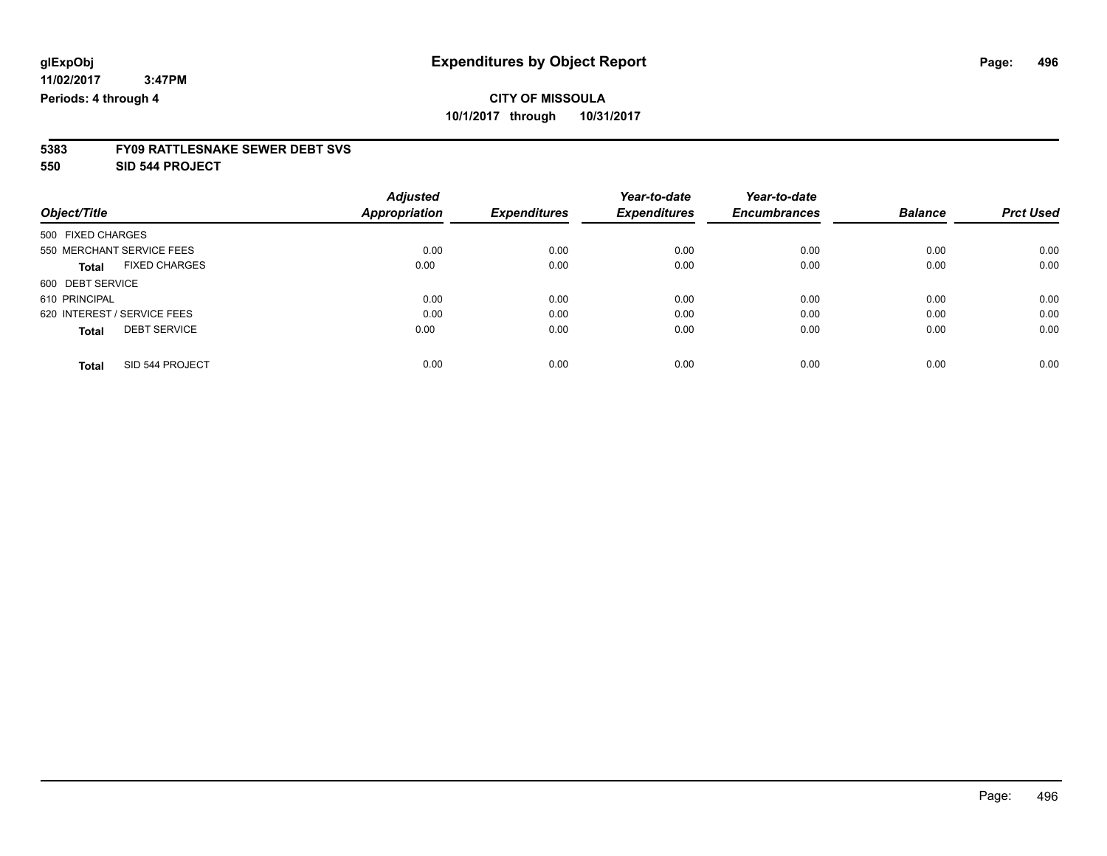# **5383 FY09 RATTLESNAKE SEWER DEBT SVS**

**550 SID 544 PROJECT**

|                                      | <b>Adjusted</b> |                     | Year-to-date        | Year-to-date        |                |                  |
|--------------------------------------|-----------------|---------------------|---------------------|---------------------|----------------|------------------|
| Object/Title                         | Appropriation   | <b>Expenditures</b> | <b>Expenditures</b> | <b>Encumbrances</b> | <b>Balance</b> | <b>Prct Used</b> |
| 500 FIXED CHARGES                    |                 |                     |                     |                     |                |                  |
| 550 MERCHANT SERVICE FEES            | 0.00            | 0.00                | 0.00                | 0.00                | 0.00           | 0.00             |
| <b>FIXED CHARGES</b><br><b>Total</b> | 0.00            | 0.00                | 0.00                | 0.00                | 0.00           | 0.00             |
| 600 DEBT SERVICE                     |                 |                     |                     |                     |                |                  |
| 610 PRINCIPAL                        | 0.00            | 0.00                | 0.00                | 0.00                | 0.00           | 0.00             |
| 620 INTEREST / SERVICE FEES          | 0.00            | 0.00                | 0.00                | 0.00                | 0.00           | 0.00             |
| <b>DEBT SERVICE</b><br><b>Total</b>  | 0.00            | 0.00                | 0.00                | 0.00                | 0.00           | 0.00             |
| SID 544 PROJECT<br><b>Total</b>      | 0.00            | 0.00                | 0.00                | 0.00                | 0.00           | 0.00             |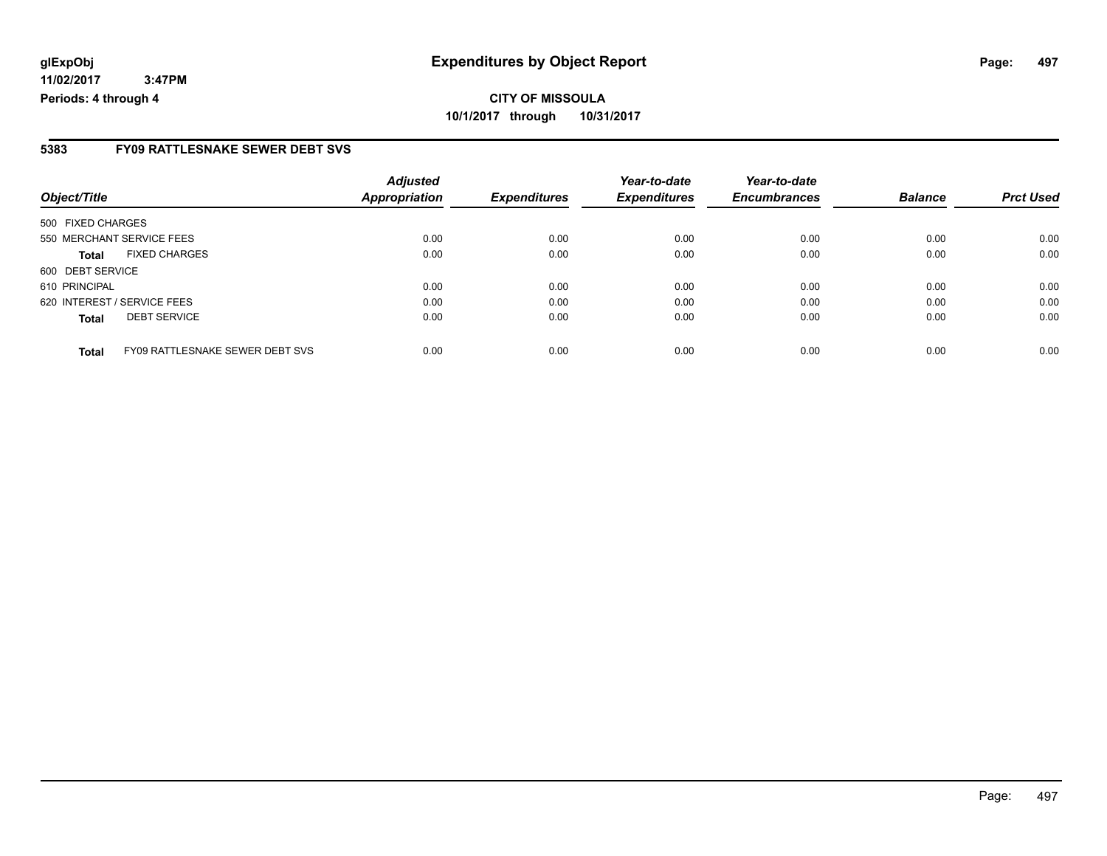### **5383 FY09 RATTLESNAKE SEWER DEBT SVS**

| Object/Title                                    | <b>Adjusted</b><br><b>Appropriation</b> | <b>Expenditures</b> | Year-to-date<br><b>Expenditures</b> | Year-to-date<br><b>Encumbrances</b> | <b>Balance</b> | <b>Prct Used</b> |
|-------------------------------------------------|-----------------------------------------|---------------------|-------------------------------------|-------------------------------------|----------------|------------------|
|                                                 |                                         |                     |                                     |                                     |                |                  |
| 500 FIXED CHARGES                               |                                         |                     |                                     |                                     |                |                  |
| 550 MERCHANT SERVICE FEES                       | 0.00                                    | 0.00                | 0.00                                | 0.00                                | 0.00           | 0.00             |
| <b>FIXED CHARGES</b><br>Total                   | 0.00                                    | 0.00                | 0.00                                | 0.00                                | 0.00           | 0.00             |
| 600 DEBT SERVICE                                |                                         |                     |                                     |                                     |                |                  |
| 610 PRINCIPAL                                   | 0.00                                    | 0.00                | 0.00                                | 0.00                                | 0.00           | 0.00             |
| 620 INTEREST / SERVICE FEES                     | 0.00                                    | 0.00                | 0.00                                | 0.00                                | 0.00           | 0.00             |
| <b>DEBT SERVICE</b><br><b>Total</b>             | 0.00                                    | 0.00                | 0.00                                | 0.00                                | 0.00           | 0.00             |
|                                                 |                                         |                     |                                     |                                     |                |                  |
| FY09 RATTLESNAKE SEWER DEBT SVS<br><b>Total</b> | 0.00                                    | 0.00                | 0.00                                | 0.00                                | 0.00           | 0.00             |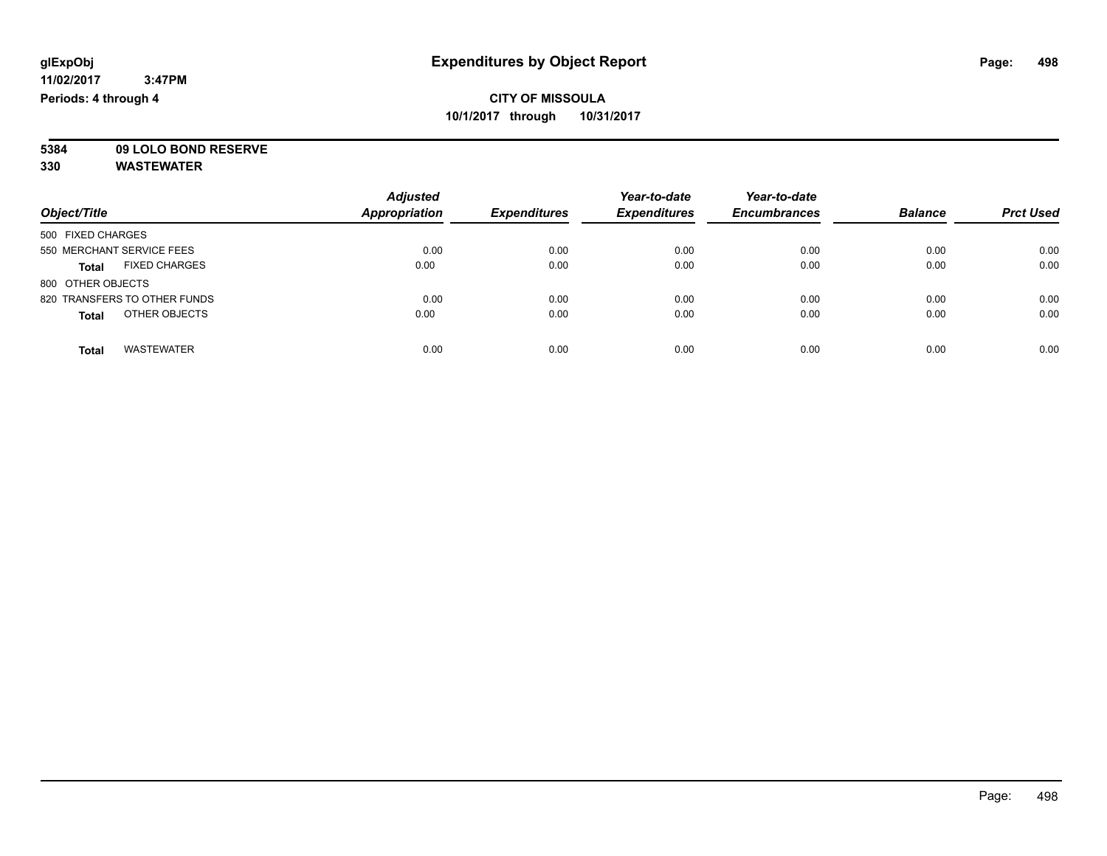**5384 09 LOLO BOND RESERVE**

| Object/Title                         | <b>Adjusted</b><br><b>Appropriation</b> | <b>Expenditures</b> | Year-to-date<br><b>Expenditures</b> | Year-to-date<br><b>Encumbrances</b> | <b>Balance</b> | <b>Prct Used</b> |
|--------------------------------------|-----------------------------------------|---------------------|-------------------------------------|-------------------------------------|----------------|------------------|
| 500 FIXED CHARGES                    |                                         |                     |                                     |                                     |                |                  |
| 550 MERCHANT SERVICE FEES            | 0.00                                    | 0.00                | 0.00                                | 0.00                                | 0.00           | 0.00             |
| <b>FIXED CHARGES</b><br><b>Total</b> | 0.00                                    | 0.00                | 0.00                                | 0.00                                | 0.00           | 0.00             |
| 800 OTHER OBJECTS                    |                                         |                     |                                     |                                     |                |                  |
| 820 TRANSFERS TO OTHER FUNDS         | 0.00                                    | 0.00                | 0.00                                | 0.00                                | 0.00           | 0.00             |
| OTHER OBJECTS<br><b>Total</b>        | 0.00                                    | 0.00                | 0.00                                | 0.00                                | 0.00           | 0.00             |
| <b>WASTEWATER</b><br>Total           | 0.00                                    | 0.00                | 0.00                                | 0.00                                | 0.00           | 0.00             |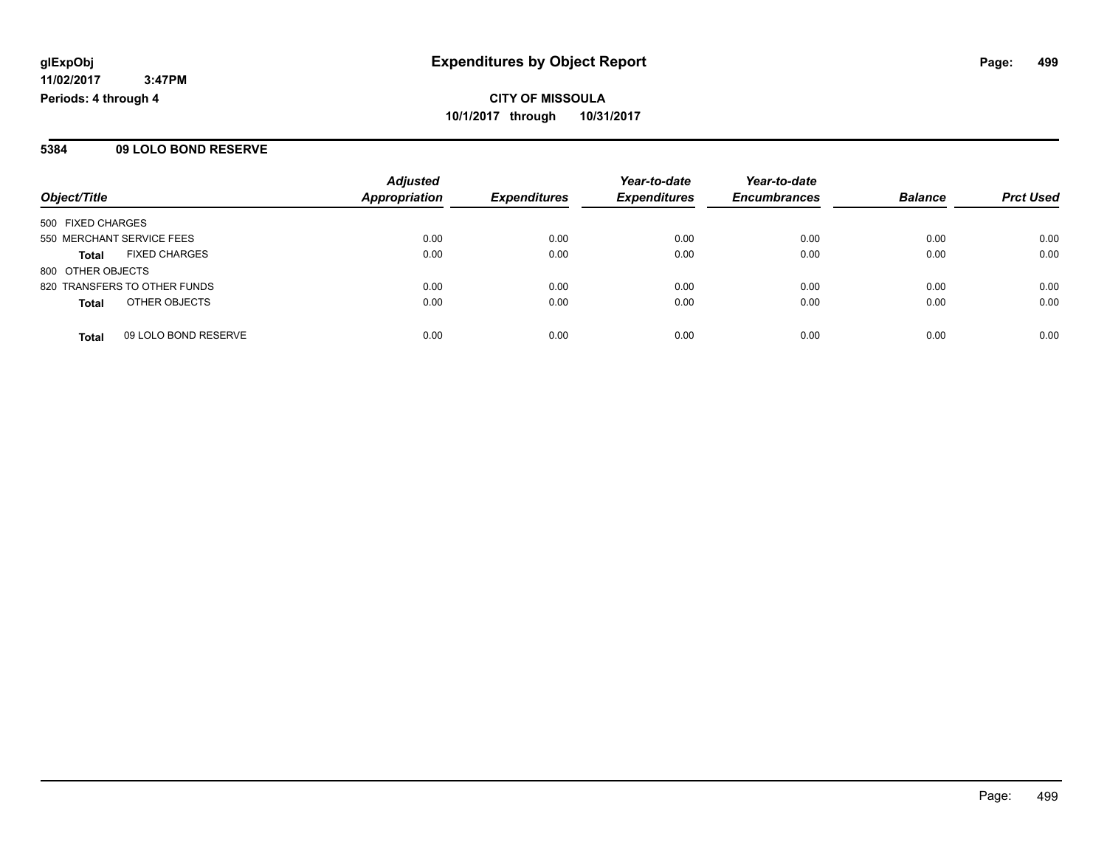#### **5384 09 LOLO BOND RESERVE**

|                              |                      | <b>Adjusted</b>      |                     | Year-to-date        | Year-to-date        |                |                  |
|------------------------------|----------------------|----------------------|---------------------|---------------------|---------------------|----------------|------------------|
| Object/Title                 |                      | <b>Appropriation</b> | <b>Expenditures</b> | <b>Expenditures</b> | <b>Encumbrances</b> | <b>Balance</b> | <b>Prct Used</b> |
| 500 FIXED CHARGES            |                      |                      |                     |                     |                     |                |                  |
| 550 MERCHANT SERVICE FEES    |                      | 0.00                 | 0.00                | 0.00                | 0.00                | 0.00           | 0.00             |
| <b>Total</b>                 | <b>FIXED CHARGES</b> | 0.00                 | 0.00                | 0.00                | 0.00                | 0.00           | 0.00             |
| 800 OTHER OBJECTS            |                      |                      |                     |                     |                     |                |                  |
| 820 TRANSFERS TO OTHER FUNDS |                      | 0.00                 | 0.00                | 0.00                | 0.00                | 0.00           | 0.00             |
| <b>Total</b>                 | OTHER OBJECTS        | 0.00                 | 0.00                | 0.00                | 0.00                | 0.00           | 0.00             |
| <b>Total</b>                 | 09 LOLO BOND RESERVE | 0.00                 | 0.00                | 0.00                | 0.00                | 0.00           | 0.00             |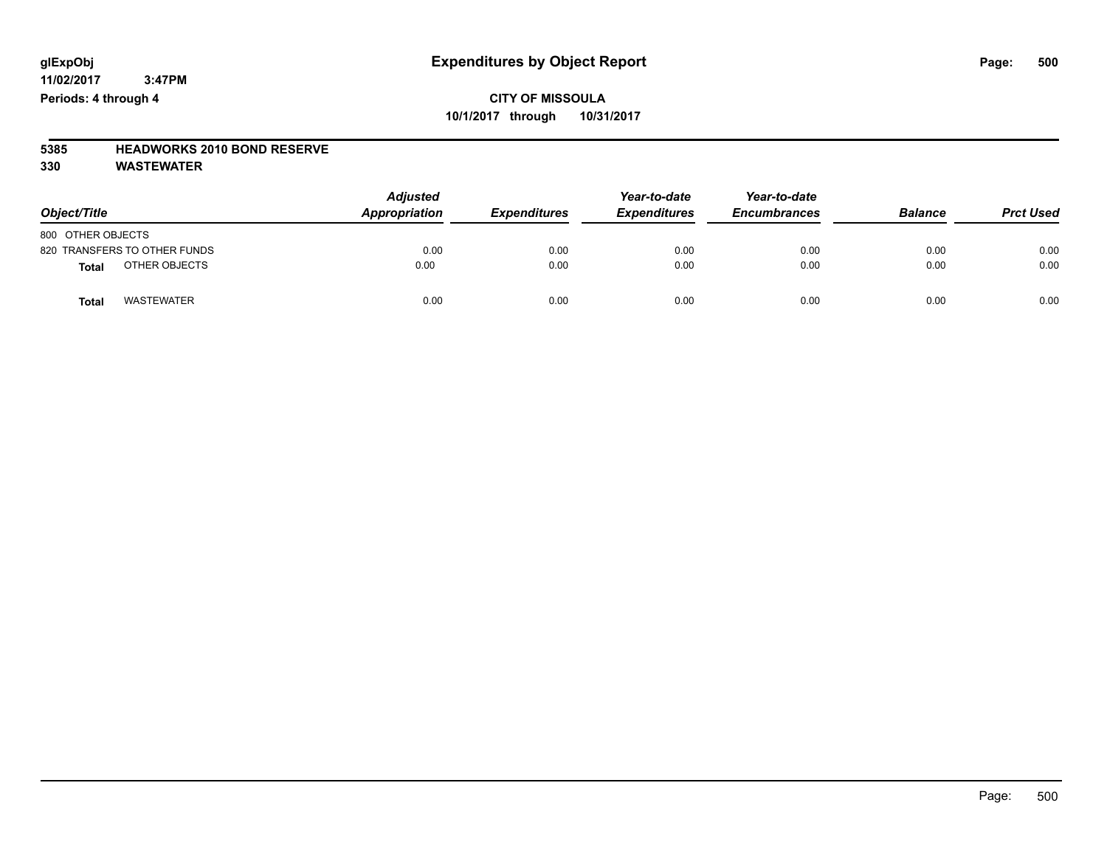## **CITY OF MISSOULA 10/1/2017 through 10/31/2017**

# **5385 HEADWORKS 2010 BOND RESERVE**

| Object/Title                      | <b>Adjusted</b><br>Appropriation | <b>Expenditures</b> | Year-to-date<br><b>Expenditures</b> | Year-to-date<br><b>Encumbrances</b> | <b>Balance</b> | <b>Prct Used</b> |
|-----------------------------------|----------------------------------|---------------------|-------------------------------------|-------------------------------------|----------------|------------------|
| 800 OTHER OBJECTS                 |                                  |                     |                                     |                                     |                |                  |
| 820 TRANSFERS TO OTHER FUNDS      | 0.00                             | 0.00                | 0.00                                | 0.00                                | 0.00           | 0.00             |
| OTHER OBJECTS<br><b>Total</b>     | 0.00                             | 0.00                | 0.00                                | 0.00                                | 0.00           | 0.00             |
| <b>WASTEWATER</b><br><b>Total</b> | 0.00                             | 0.00                | 0.00                                | 0.00                                | 0.00           | 0.00             |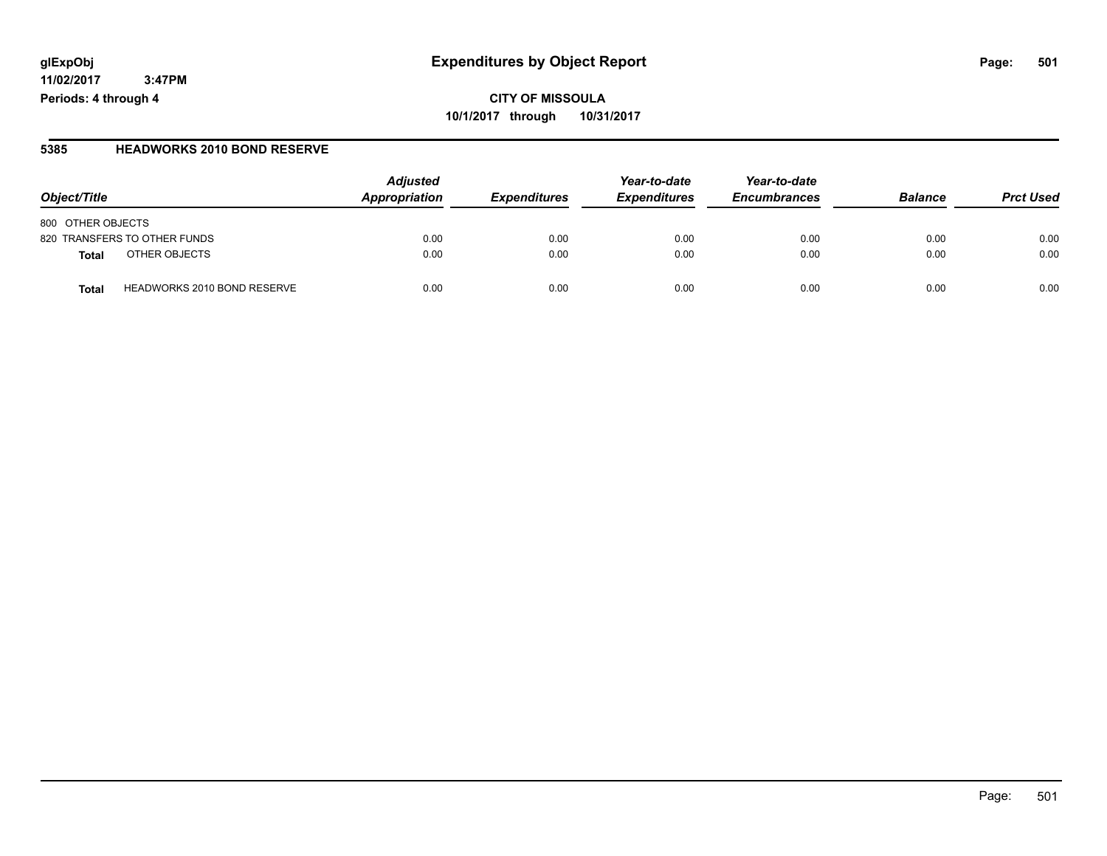**CITY OF MISSOULA 10/1/2017 through 10/31/2017**

#### **5385 HEADWORKS 2010 BOND RESERVE**

| Object/Title                                | <b>Adjusted</b><br>Appropriation | <b>Expenditures</b> | Year-to-date<br><b>Expenditures</b> | Year-to-date<br><b>Encumbrances</b> | <b>Balance</b> | <b>Prct Used</b> |
|---------------------------------------------|----------------------------------|---------------------|-------------------------------------|-------------------------------------|----------------|------------------|
| 800 OTHER OBJECTS                           |                                  |                     |                                     |                                     |                |                  |
| 820 TRANSFERS TO OTHER FUNDS                | 0.00                             | 0.00                | 0.00                                | 0.00                                | 0.00           | 0.00             |
| OTHER OBJECTS<br>Total                      | 0.00                             | 0.00                | 0.00                                | 0.00                                | 0.00           | 0.00             |
| <b>HEADWORKS 2010 BOND RESERVE</b><br>Total | 0.00                             | 0.00                | 0.00                                | 0.00                                | 0.00           | 0.00             |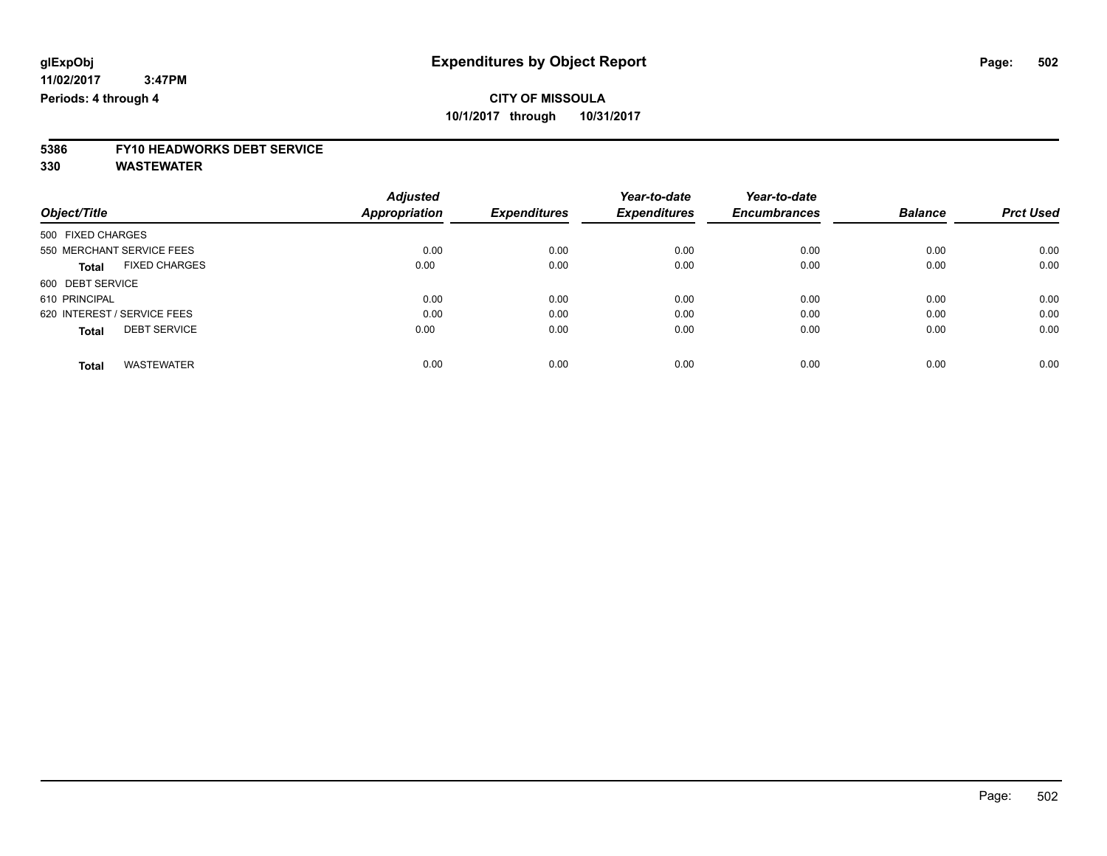# **5386 FY10 HEADWORKS DEBT SERVICE**

|                                      | <b>Adjusted</b> | <b>Expenditures</b> | Year-to-date<br><b>Expenditures</b> | Year-to-date<br><b>Encumbrances</b> | <b>Balance</b> | <b>Prct Used</b> |
|--------------------------------------|-----------------|---------------------|-------------------------------------|-------------------------------------|----------------|------------------|
| Object/Title                         | Appropriation   |                     |                                     |                                     |                |                  |
| 500 FIXED CHARGES                    |                 |                     |                                     |                                     |                |                  |
| 550 MERCHANT SERVICE FEES            | 0.00            | 0.00                | 0.00                                | 0.00                                | 0.00           | 0.00             |
| <b>FIXED CHARGES</b><br><b>Total</b> | 0.00            | 0.00                | 0.00                                | 0.00                                | 0.00           | 0.00             |
| 600 DEBT SERVICE                     |                 |                     |                                     |                                     |                |                  |
| 610 PRINCIPAL                        | 0.00            | 0.00                | 0.00                                | 0.00                                | 0.00           | 0.00             |
| 620 INTEREST / SERVICE FEES          | 0.00            | 0.00                | 0.00                                | 0.00                                | 0.00           | 0.00             |
| <b>DEBT SERVICE</b><br><b>Total</b>  | 0.00            | 0.00                | 0.00                                | 0.00                                | 0.00           | 0.00             |
| <b>WASTEWATER</b><br><b>Total</b>    | 0.00            | 0.00                | 0.00                                | 0.00                                | 0.00           | 0.00             |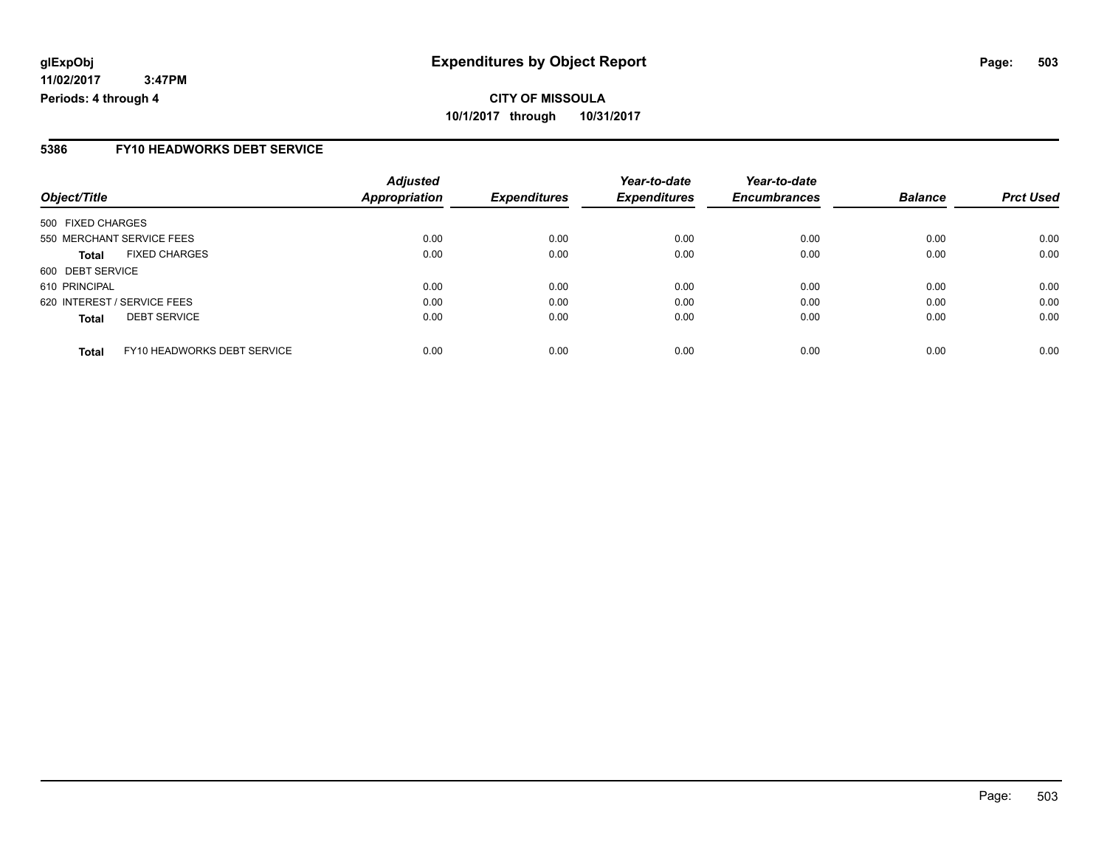### **5386 FY10 HEADWORKS DEBT SERVICE**

| Object/Title                                | <b>Adjusted</b><br><b>Appropriation</b> | <b>Expenditures</b> | Year-to-date<br><b>Expenditures</b> | Year-to-date<br><b>Encumbrances</b> | <b>Balance</b> | <b>Prct Used</b> |
|---------------------------------------------|-----------------------------------------|---------------------|-------------------------------------|-------------------------------------|----------------|------------------|
| 500 FIXED CHARGES                           |                                         |                     |                                     |                                     |                |                  |
| 550 MERCHANT SERVICE FEES                   | 0.00                                    | 0.00                | 0.00                                | 0.00                                | 0.00           | 0.00             |
| <b>FIXED CHARGES</b><br><b>Total</b>        | 0.00                                    | 0.00                | 0.00                                | 0.00                                | 0.00           | 0.00             |
| 600 DEBT SERVICE                            |                                         |                     |                                     |                                     |                |                  |
| 610 PRINCIPAL                               | 0.00                                    | 0.00                | 0.00                                | 0.00                                | 0.00           | 0.00             |
| 620 INTEREST / SERVICE FEES                 | 0.00                                    | 0.00                | 0.00                                | 0.00                                | 0.00           | 0.00             |
| <b>DEBT SERVICE</b><br><b>Total</b>         | 0.00                                    | 0.00                | 0.00                                | 0.00                                | 0.00           | 0.00             |
| FY10 HEADWORKS DEBT SERVICE<br><b>Total</b> | 0.00                                    | 0.00                | 0.00                                | 0.00                                | 0.00           | 0.00             |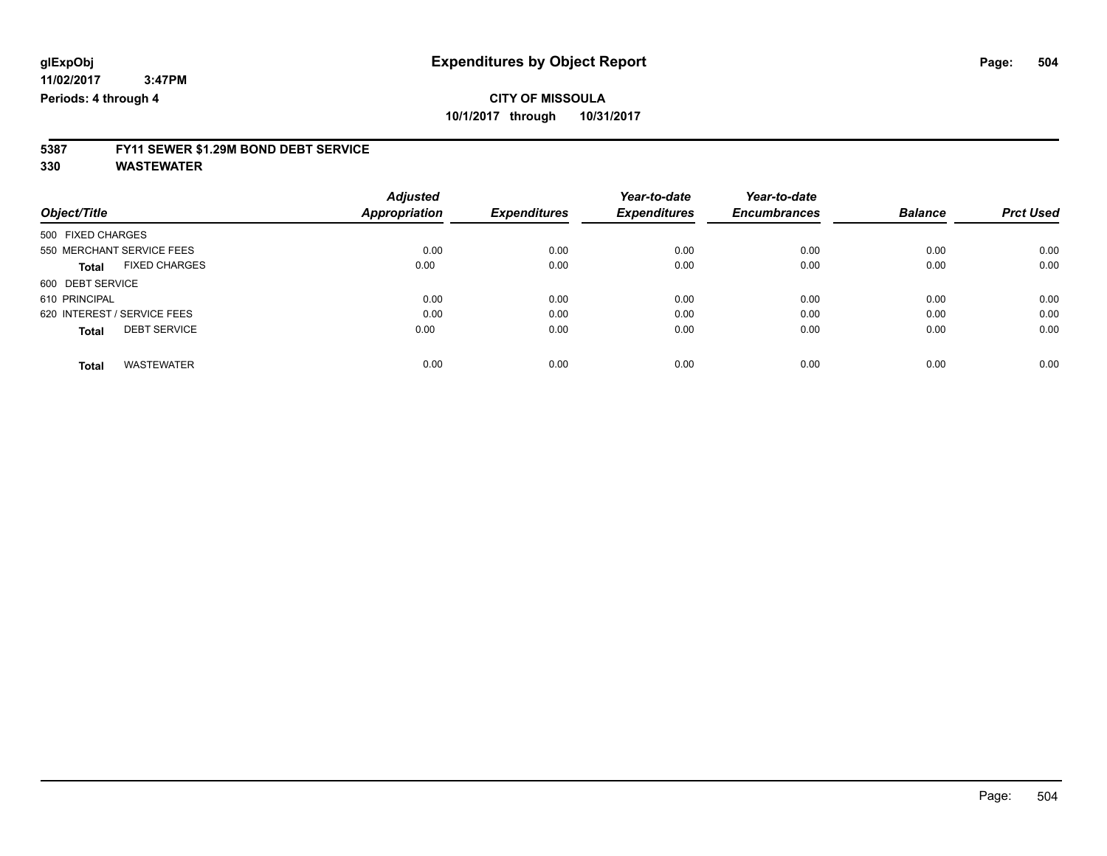# **5387 FY11 SEWER \$1.29M BOND DEBT SERVICE**

| Object/Title                         | <b>Adjusted</b><br>Appropriation | <b>Expenditures</b> | Year-to-date<br><b>Expenditures</b> | Year-to-date<br><b>Encumbrances</b> | <b>Balance</b> | <b>Prct Used</b> |
|--------------------------------------|----------------------------------|---------------------|-------------------------------------|-------------------------------------|----------------|------------------|
|                                      |                                  |                     |                                     |                                     |                |                  |
| 550 MERCHANT SERVICE FEES            | 0.00                             | 0.00                | 0.00                                | 0.00                                | 0.00           | 0.00             |
| <b>FIXED CHARGES</b><br><b>Total</b> | 0.00                             | 0.00                | 0.00                                | 0.00                                | 0.00           | 0.00             |
| 600 DEBT SERVICE                     |                                  |                     |                                     |                                     |                |                  |
| 610 PRINCIPAL                        | 0.00                             | 0.00                | 0.00                                | 0.00                                | 0.00           | 0.00             |
| 620 INTEREST / SERVICE FEES          | 0.00                             | 0.00                | 0.00                                | 0.00                                | 0.00           | 0.00             |
| <b>DEBT SERVICE</b><br><b>Total</b>  | 0.00                             | 0.00                | 0.00                                | 0.00                                | 0.00           | 0.00             |
| <b>WASTEWATER</b><br>Total           | 0.00                             | 0.00                | 0.00                                | 0.00                                | 0.00           | 0.00             |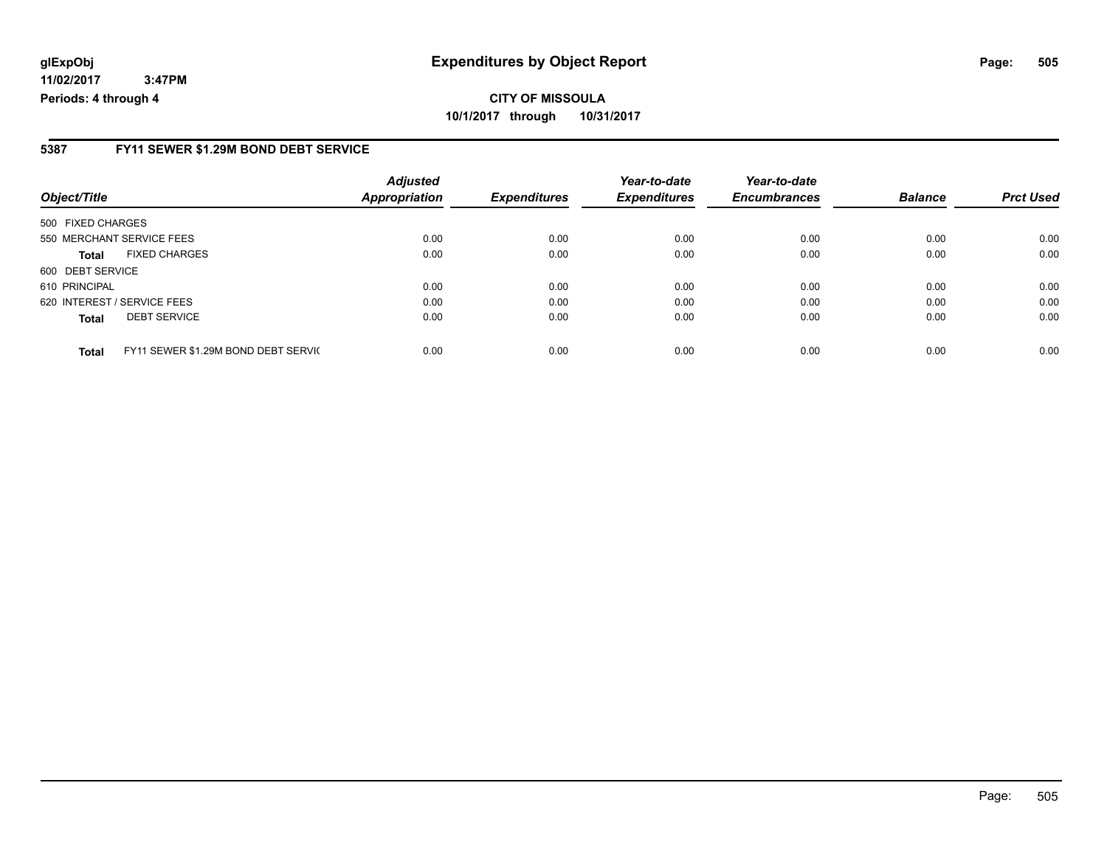#### **5387 FY11 SEWER \$1.29M BOND DEBT SERVICE**

| Object/Title      |                                     | <b>Adjusted</b><br><b>Appropriation</b> | <b>Expenditures</b> | Year-to-date<br><b>Expenditures</b> | Year-to-date<br><b>Encumbrances</b> | <b>Balance</b> | <b>Prct Used</b> |
|-------------------|-------------------------------------|-----------------------------------------|---------------------|-------------------------------------|-------------------------------------|----------------|------------------|
| 500 FIXED CHARGES |                                     |                                         |                     |                                     |                                     |                |                  |
|                   | 550 MERCHANT SERVICE FEES           | 0.00                                    | 0.00                | 0.00                                | 0.00                                | 0.00           | 0.00             |
| Total             | <b>FIXED CHARGES</b>                | 0.00                                    | 0.00                | 0.00                                | 0.00                                | 0.00           | 0.00             |
| 600 DEBT SERVICE  |                                     |                                         |                     |                                     |                                     |                |                  |
| 610 PRINCIPAL     |                                     | 0.00                                    | 0.00                | 0.00                                | 0.00                                | 0.00           | 0.00             |
|                   | 620 INTEREST / SERVICE FEES         | 0.00                                    | 0.00                | 0.00                                | 0.00                                | 0.00           | 0.00             |
| <b>Total</b>      | <b>DEBT SERVICE</b>                 | 0.00                                    | 0.00                | 0.00                                | 0.00                                | 0.00           | 0.00             |
| <b>Total</b>      | FY11 SEWER \$1.29M BOND DEBT SERVIC | 0.00                                    | 0.00                | 0.00                                | 0.00                                | 0.00           | 0.00             |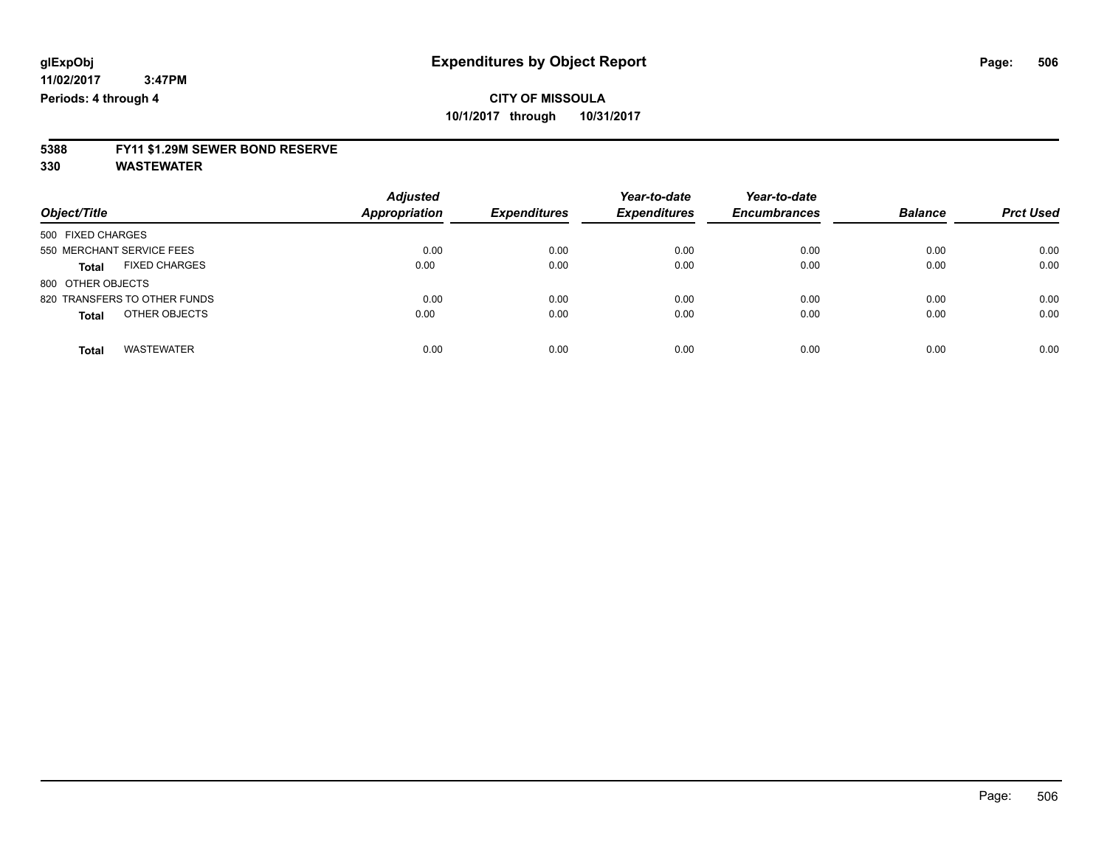# **5388 FY11 \$1.29M SEWER BOND RESERVE**

**330 WASTEWATER**

| Object/Title                         | <b>Adjusted</b><br><b>Appropriation</b> | <b>Expenditures</b> | Year-to-date<br><b>Expenditures</b> | Year-to-date<br><b>Encumbrances</b> | <b>Balance</b> | <b>Prct Used</b> |
|--------------------------------------|-----------------------------------------|---------------------|-------------------------------------|-------------------------------------|----------------|------------------|
| 500 FIXED CHARGES                    |                                         |                     |                                     |                                     |                |                  |
| 550 MERCHANT SERVICE FEES            | 0.00                                    | 0.00                | 0.00                                | 0.00                                | 0.00           | 0.00             |
| <b>FIXED CHARGES</b><br><b>Total</b> | 0.00                                    | 0.00                | 0.00                                | 0.00                                | 0.00           | 0.00             |
| 800 OTHER OBJECTS                    |                                         |                     |                                     |                                     |                |                  |
| 820 TRANSFERS TO OTHER FUNDS         | 0.00                                    | 0.00                | 0.00                                | 0.00                                | 0.00           | 0.00             |
| OTHER OBJECTS<br><b>Total</b>        | 0.00                                    | 0.00                | 0.00                                | 0.00                                | 0.00           | 0.00             |
| <b>WASTEWATER</b><br><b>Total</b>    | 0.00                                    | 0.00                | 0.00                                | 0.00                                | 0.00           | 0.00             |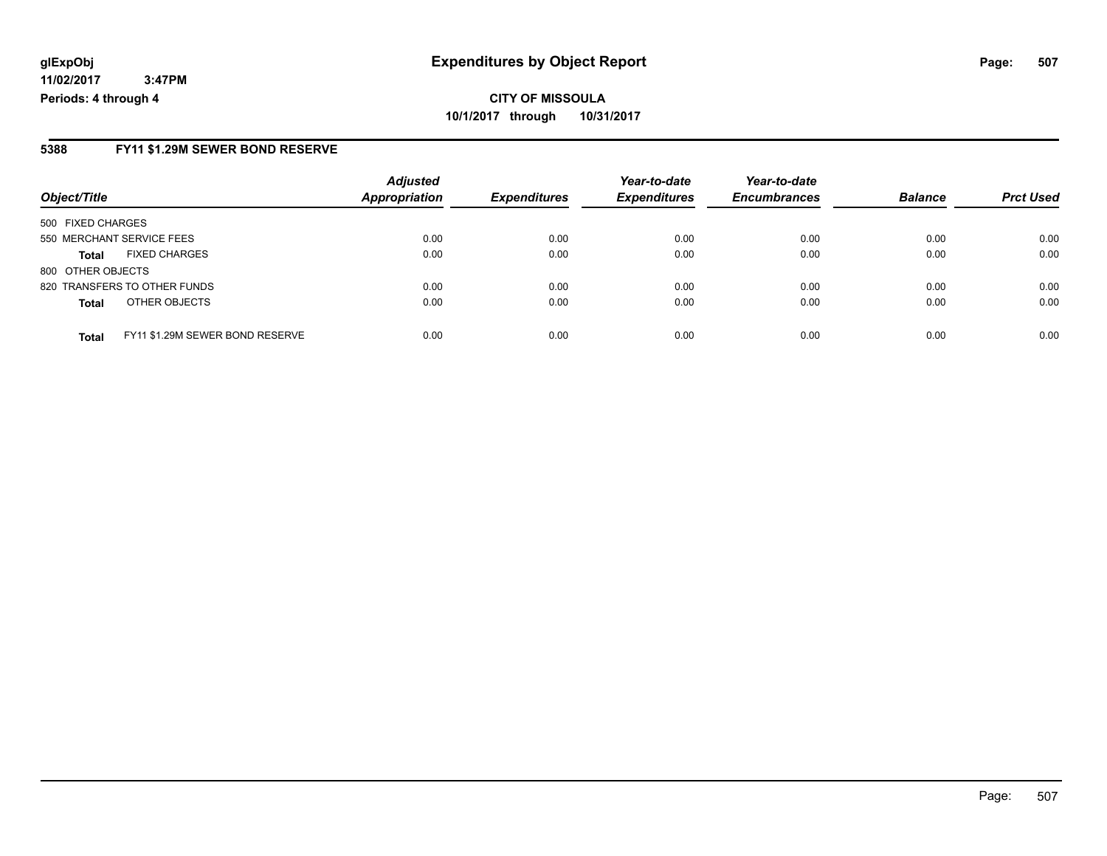# **CITY OF MISSOULA 10/1/2017 through 10/31/2017**

#### **5388 FY11 \$1.29M SEWER BOND RESERVE**

| Object/Title                                    | <b>Adjusted</b><br><b>Appropriation</b> | <b>Expenditures</b> | Year-to-date<br><b>Expenditures</b> | Year-to-date<br><b>Encumbrances</b> | <b>Balance</b> | <b>Prct Used</b> |
|-------------------------------------------------|-----------------------------------------|---------------------|-------------------------------------|-------------------------------------|----------------|------------------|
|                                                 |                                         |                     |                                     |                                     |                |                  |
| 500 FIXED CHARGES                               |                                         |                     |                                     |                                     |                |                  |
| 550 MERCHANT SERVICE FEES                       | 0.00                                    | 0.00                | 0.00                                | 0.00                                | 0.00           | 0.00             |
| <b>FIXED CHARGES</b><br><b>Total</b>            | 0.00                                    | 0.00                | 0.00                                | 0.00                                | 0.00           | 0.00             |
| 800 OTHER OBJECTS                               |                                         |                     |                                     |                                     |                |                  |
| 820 TRANSFERS TO OTHER FUNDS                    | 0.00                                    | 0.00                | 0.00                                | 0.00                                | 0.00           | 0.00             |
| OTHER OBJECTS<br><b>Total</b>                   | 0.00                                    | 0.00                | 0.00                                | 0.00                                | 0.00           | 0.00             |
|                                                 |                                         |                     |                                     |                                     |                |                  |
| FY11 \$1.29M SEWER BOND RESERVE<br><b>Total</b> | 0.00                                    | 0.00                | 0.00                                | 0.00                                | 0.00           | 0.00             |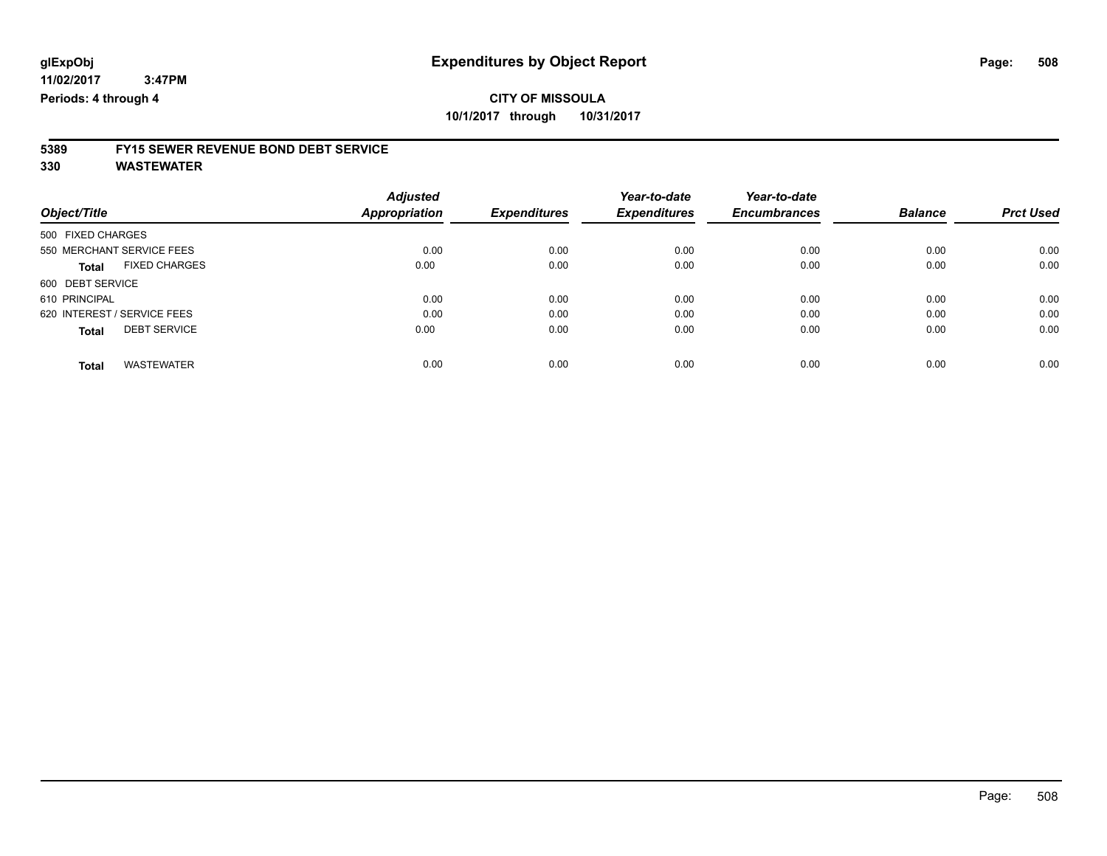### **CITY OF MISSOULA 10/1/2017 through 10/31/2017**

# **5389 FY15 SEWER REVENUE BOND DEBT SERVICE**

**330 WASTEWATER**

| Object/Title                         | <b>Adjusted</b><br><b>Appropriation</b> | <b>Expenditures</b> | Year-to-date<br><b>Expenditures</b> | Year-to-date<br><b>Encumbrances</b> | <b>Balance</b> | <b>Prct Used</b> |
|--------------------------------------|-----------------------------------------|---------------------|-------------------------------------|-------------------------------------|----------------|------------------|
|                                      |                                         |                     |                                     |                                     |                |                  |
| 500 FIXED CHARGES                    |                                         |                     |                                     |                                     |                |                  |
| 550 MERCHANT SERVICE FEES            | 0.00                                    | 0.00                | 0.00                                | 0.00                                | 0.00           | 0.00             |
| <b>FIXED CHARGES</b><br><b>Total</b> | 0.00                                    | 0.00                | 0.00                                | 0.00                                | 0.00           | 0.00             |
| 600 DEBT SERVICE                     |                                         |                     |                                     |                                     |                |                  |
| 610 PRINCIPAL                        | 0.00                                    | 0.00                | 0.00                                | 0.00                                | 0.00           | 0.00             |
| 620 INTEREST / SERVICE FEES          | 0.00                                    | 0.00                | 0.00                                | 0.00                                | 0.00           | 0.00             |
| <b>DEBT SERVICE</b><br><b>Total</b>  | 0.00                                    | 0.00                | 0.00                                | 0.00                                | 0.00           | 0.00             |
| <b>WASTEWATER</b><br>Total           | 0.00                                    | 0.00                | 0.00                                | 0.00                                | 0.00           | 0.00             |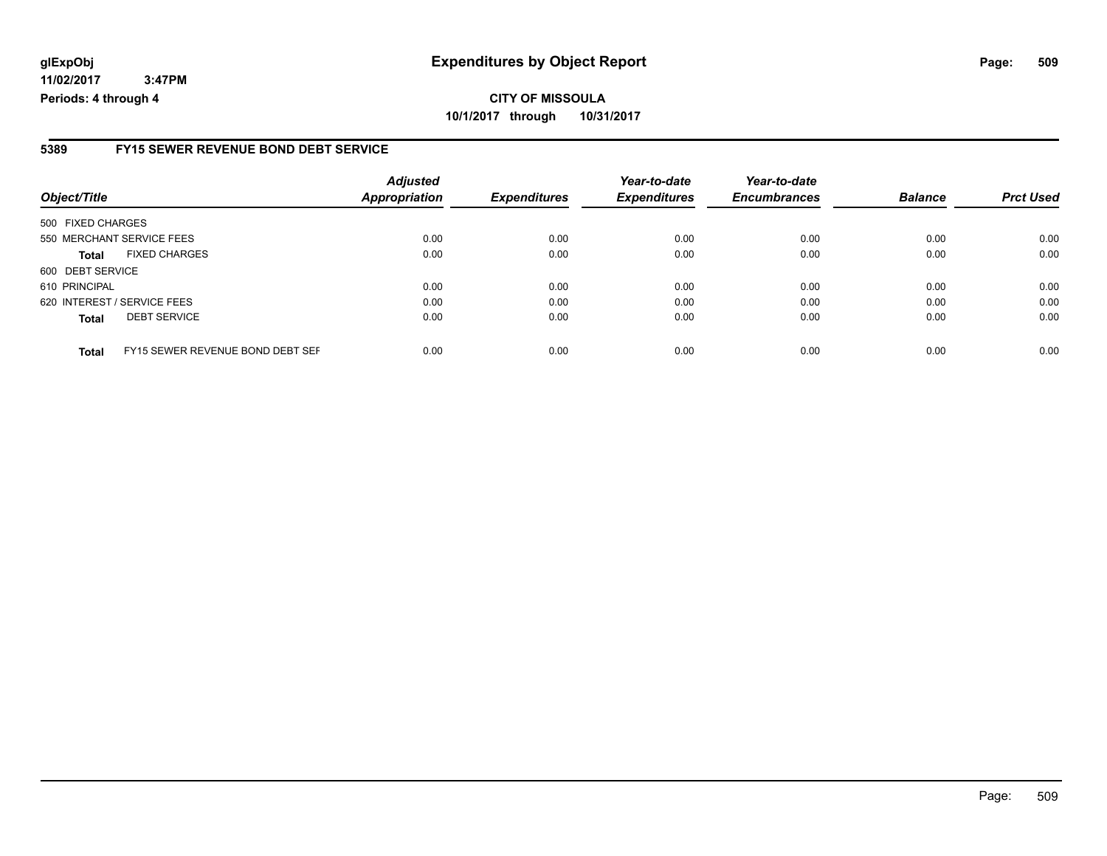# **glExpObj Expenditures by Object Report Page: 509**

**11/02/2017 3:47PM Periods: 4 through 4**

#### **5389 FY15 SEWER REVENUE BOND DEBT SERVICE**

| Object/Title                                     | <b>Adjusted</b><br>Appropriation | <b>Expenditures</b> | Year-to-date<br><b>Expenditures</b> | Year-to-date<br><b>Encumbrances</b> | <b>Balance</b> | <b>Prct Used</b> |
|--------------------------------------------------|----------------------------------|---------------------|-------------------------------------|-------------------------------------|----------------|------------------|
| 500 FIXED CHARGES                                |                                  |                     |                                     |                                     |                |                  |
| 550 MERCHANT SERVICE FEES                        | 0.00                             | 0.00                | 0.00                                | 0.00                                | 0.00           | 0.00             |
| <b>FIXED CHARGES</b><br><b>Total</b>             | 0.00                             | 0.00                | 0.00                                | 0.00                                | 0.00           | 0.00             |
| 600 DEBT SERVICE                                 |                                  |                     |                                     |                                     |                |                  |
| 610 PRINCIPAL                                    | 0.00                             | 0.00                | 0.00                                | 0.00                                | 0.00           | 0.00             |
| 620 INTEREST / SERVICE FEES                      | 0.00                             | 0.00                | 0.00                                | 0.00                                | 0.00           | 0.00             |
| <b>DEBT SERVICE</b><br><b>Total</b>              | 0.00                             | 0.00                | 0.00                                | 0.00                                | 0.00           | 0.00             |
| FY15 SEWER REVENUE BOND DEBT SEF<br><b>Total</b> | 0.00                             | 0.00                | 0.00                                | 0.00                                | 0.00           | 0.00             |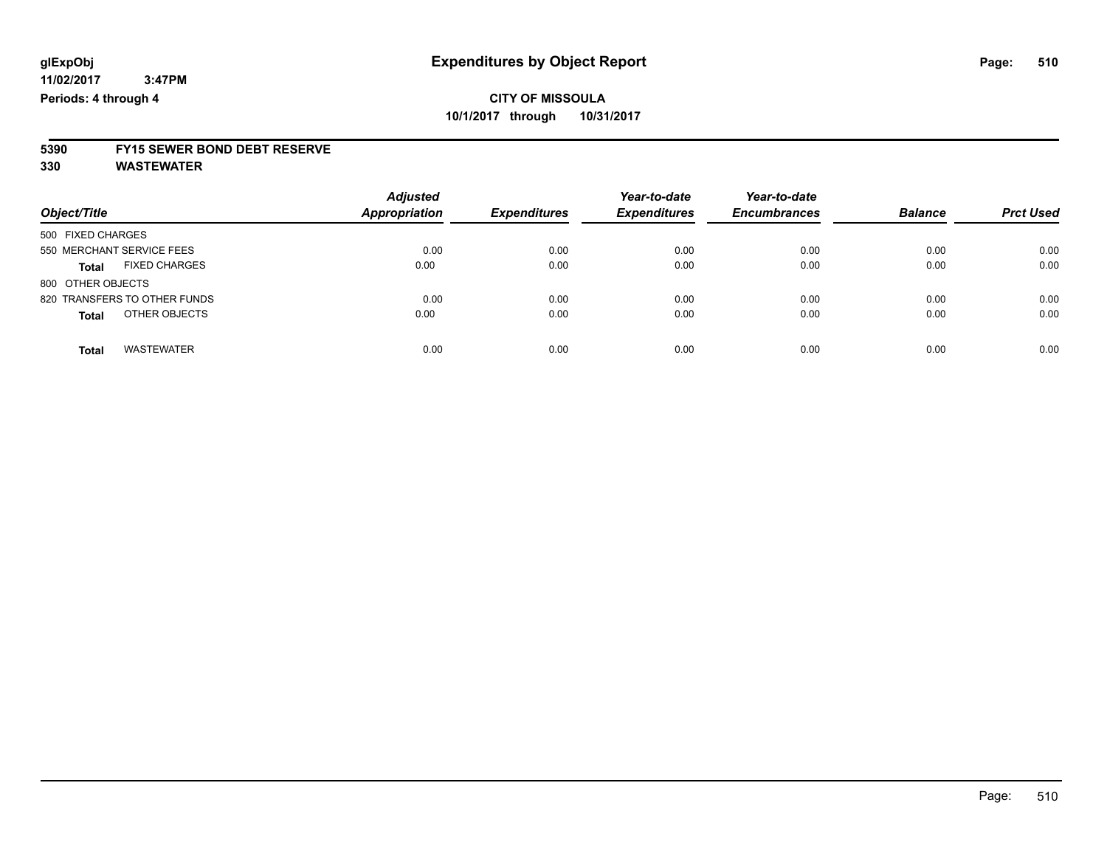# **5390 FY15 SEWER BOND DEBT RESERVE**

**330 WASTEWATER**

| Object/Title                         | <b>Adjusted</b><br>Appropriation | <b>Expenditures</b> | Year-to-date<br><b>Expenditures</b> | Year-to-date<br><b>Encumbrances</b> | <b>Balance</b> | <b>Prct Used</b> |
|--------------------------------------|----------------------------------|---------------------|-------------------------------------|-------------------------------------|----------------|------------------|
| 500 FIXED CHARGES                    |                                  |                     |                                     |                                     |                |                  |
| 550 MERCHANT SERVICE FEES            | 0.00                             | 0.00                | 0.00                                | 0.00                                | 0.00           | 0.00             |
| <b>FIXED CHARGES</b><br><b>Total</b> | 0.00                             | 0.00                | 0.00                                | 0.00                                | 0.00           | 0.00             |
| 800 OTHER OBJECTS                    |                                  |                     |                                     |                                     |                |                  |
| 820 TRANSFERS TO OTHER FUNDS         | 0.00                             | 0.00                | 0.00                                | 0.00                                | 0.00           | 0.00             |
| OTHER OBJECTS<br><b>Total</b>        | 0.00                             | 0.00                | 0.00                                | 0.00                                | 0.00           | 0.00             |
| <b>WASTEWATER</b><br><b>Total</b>    | 0.00                             | 0.00                | 0.00                                | 0.00                                | 0.00           | 0.00             |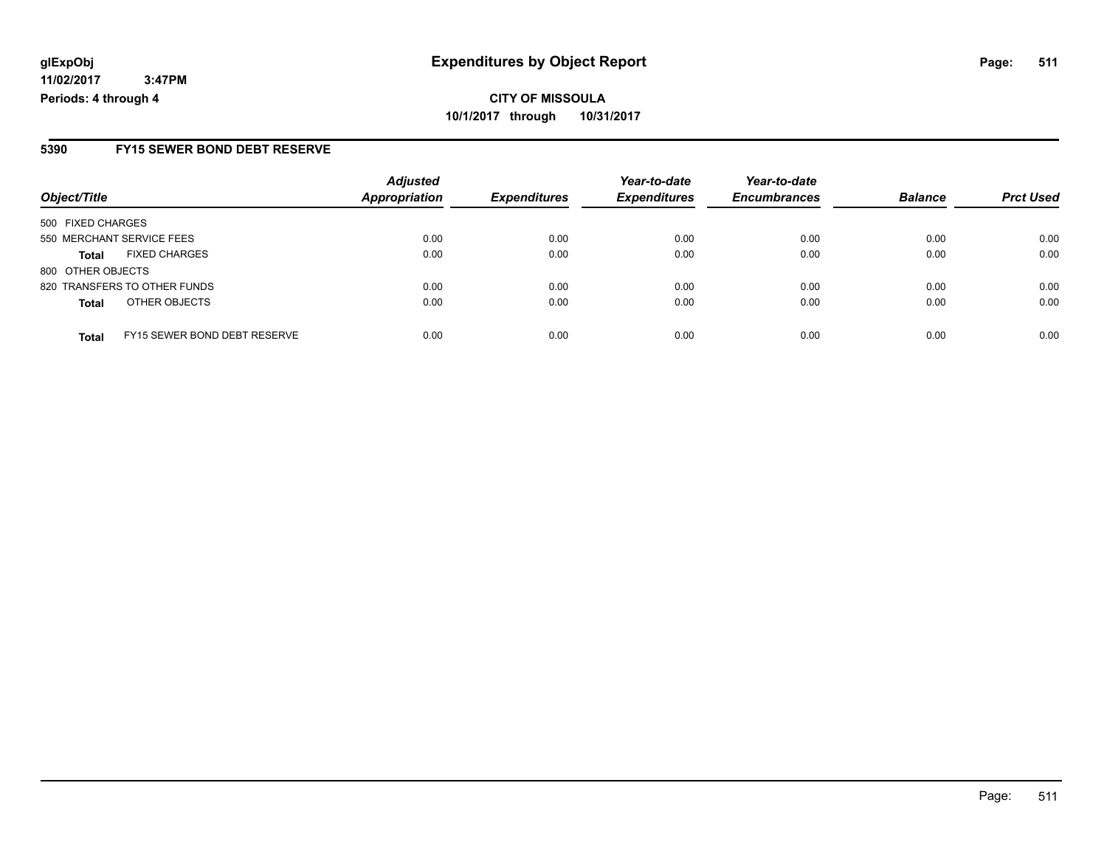# **CITY OF MISSOULA 10/1/2017 through 10/31/2017**

### **5390 FY15 SEWER BOND DEBT RESERVE**

|                   |                              | <b>Adjusted</b>      |                     | Year-to-date        | Year-to-date        |                |                  |
|-------------------|------------------------------|----------------------|---------------------|---------------------|---------------------|----------------|------------------|
| Object/Title      |                              | <b>Appropriation</b> | <b>Expenditures</b> | <b>Expenditures</b> | <b>Encumbrances</b> | <b>Balance</b> | <b>Prct Used</b> |
| 500 FIXED CHARGES |                              |                      |                     |                     |                     |                |                  |
|                   | 550 MERCHANT SERVICE FEES    | 0.00                 | 0.00                | 0.00                | 0.00                | 0.00           | 0.00             |
| <b>Total</b>      | <b>FIXED CHARGES</b>         | 0.00                 | 0.00                | 0.00                | 0.00                | 0.00           | 0.00             |
| 800 OTHER OBJECTS |                              |                      |                     |                     |                     |                |                  |
|                   | 820 TRANSFERS TO OTHER FUNDS | 0.00                 | 0.00                | 0.00                | 0.00                | 0.00           | 0.00             |
| <b>Total</b>      | OTHER OBJECTS                | 0.00                 | 0.00                | 0.00                | 0.00                | 0.00           | 0.00             |
| <b>Total</b>      | FY15 SEWER BOND DEBT RESERVE | 0.00                 | 0.00                | 0.00                | 0.00                | 0.00           | 0.00             |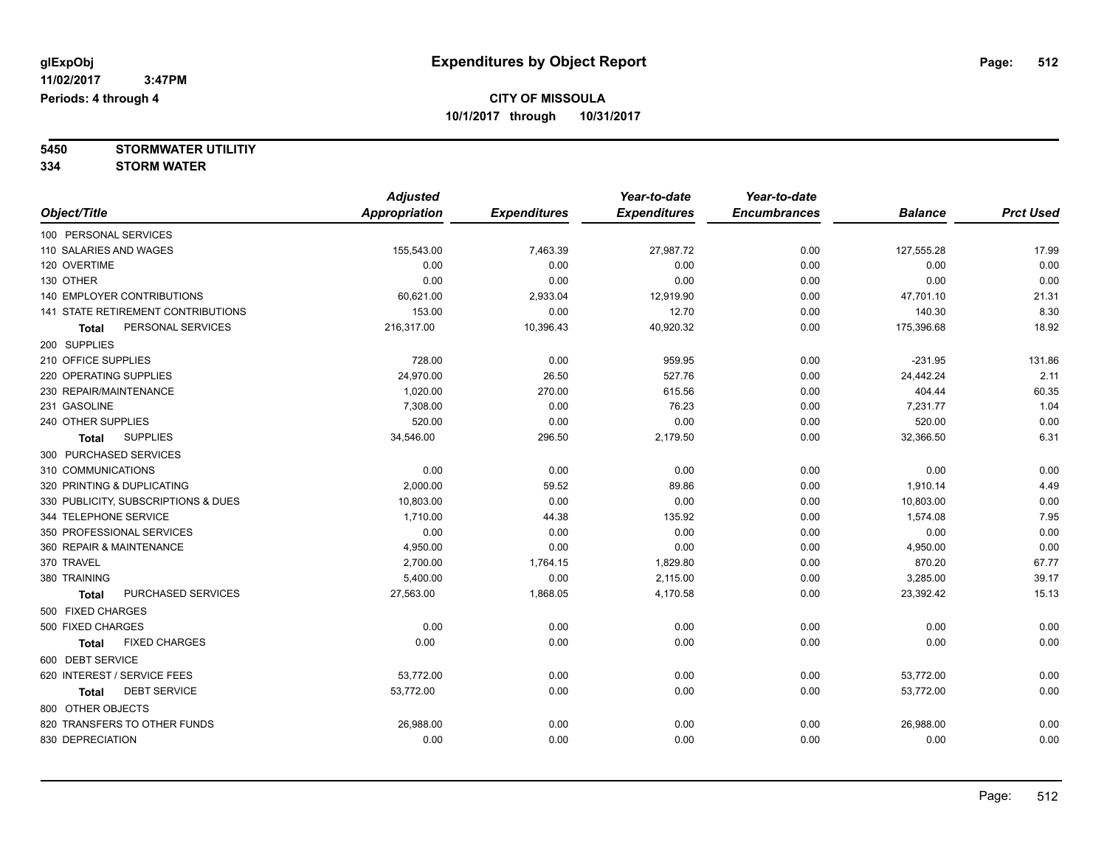**5450 STORMWATER UTILITIY 334 STORM WATER**

|                                     | <b>Adjusted</b>      |                     | Year-to-date        | Year-to-date        |                |                  |
|-------------------------------------|----------------------|---------------------|---------------------|---------------------|----------------|------------------|
| Object/Title                        | <b>Appropriation</b> | <b>Expenditures</b> | <b>Expenditures</b> | <b>Encumbrances</b> | <b>Balance</b> | <b>Prct Used</b> |
| 100 PERSONAL SERVICES               |                      |                     |                     |                     |                |                  |
| 110 SALARIES AND WAGES              | 155,543.00           | 7,463.39            | 27,987.72           | 0.00                | 127,555.28     | 17.99            |
| 120 OVERTIME                        | 0.00                 | 0.00                | 0.00                | 0.00                | 0.00           | 0.00             |
| 130 OTHER                           | 0.00                 | 0.00                | 0.00                | 0.00                | 0.00           | 0.00             |
| 140 EMPLOYER CONTRIBUTIONS          | 60,621.00            | 2,933.04            | 12,919.90           | 0.00                | 47,701.10      | 21.31            |
| 141 STATE RETIREMENT CONTRIBUTIONS  | 153.00               | 0.00                | 12.70               | 0.00                | 140.30         | 8.30             |
| PERSONAL SERVICES<br><b>Total</b>   | 216,317.00           | 10,396.43           | 40,920.32           | 0.00                | 175,396.68     | 18.92            |
| 200 SUPPLIES                        |                      |                     |                     |                     |                |                  |
| 210 OFFICE SUPPLIES                 | 728.00               | 0.00                | 959.95              | 0.00                | $-231.95$      | 131.86           |
| 220 OPERATING SUPPLIES              | 24,970.00            | 26.50               | 527.76              | 0.00                | 24,442.24      | 2.11             |
| 230 REPAIR/MAINTENANCE              | 1,020.00             | 270.00              | 615.56              | 0.00                | 404.44         | 60.35            |
| 231 GASOLINE                        | 7,308.00             | 0.00                | 76.23               | 0.00                | 7,231.77       | 1.04             |
| 240 OTHER SUPPLIES                  | 520.00               | 0.00                | 0.00                | 0.00                | 520.00         | 0.00             |
| <b>SUPPLIES</b><br><b>Total</b>     | 34,546.00            | 296.50              | 2,179.50            | 0.00                | 32,366.50      | 6.31             |
| 300 PURCHASED SERVICES              |                      |                     |                     |                     |                |                  |
| 310 COMMUNICATIONS                  | 0.00                 | 0.00                | 0.00                | 0.00                | 0.00           | 0.00             |
| 320 PRINTING & DUPLICATING          | 2,000.00             | 59.52               | 89.86               | 0.00                | 1,910.14       | 4.49             |
| 330 PUBLICITY, SUBSCRIPTIONS & DUES | 10,803.00            | 0.00                | 0.00                | 0.00                | 10,803.00      | 0.00             |
| 344 TELEPHONE SERVICE               | 1,710.00             | 44.38               | 135.92              | 0.00                | 1,574.08       | 7.95             |
| 350 PROFESSIONAL SERVICES           | 0.00                 | 0.00                | 0.00                | 0.00                | 0.00           | 0.00             |
| 360 REPAIR & MAINTENANCE            | 4,950.00             | 0.00                | 0.00                | 0.00                | 4,950.00       | 0.00             |
| 370 TRAVEL                          | 2,700.00             | 1,764.15            | 1,829.80            | 0.00                | 870.20         | 67.77            |
| 380 TRAINING                        | 5,400.00             | 0.00                | 2,115.00            | 0.00                | 3,285.00       | 39.17            |
| PURCHASED SERVICES<br><b>Total</b>  | 27,563.00            | 1,868.05            | 4,170.58            | 0.00                | 23,392.42      | 15.13            |
| 500 FIXED CHARGES                   |                      |                     |                     |                     |                |                  |
| 500 FIXED CHARGES                   | 0.00                 | 0.00                | 0.00                | 0.00                | 0.00           | 0.00             |
| <b>FIXED CHARGES</b><br>Total       | 0.00                 | 0.00                | 0.00                | 0.00                | 0.00           | 0.00             |
| 600 DEBT SERVICE                    |                      |                     |                     |                     |                |                  |
| 620 INTEREST / SERVICE FEES         | 53,772.00            | 0.00                | 0.00                | 0.00                | 53,772.00      | 0.00             |
| <b>DEBT SERVICE</b><br>Total        | 53,772.00            | 0.00                | 0.00                | 0.00                | 53,772.00      | 0.00             |
| 800 OTHER OBJECTS                   |                      |                     |                     |                     |                |                  |
| 820 TRANSFERS TO OTHER FUNDS        | 26,988.00            | 0.00                | 0.00                | 0.00                | 26,988.00      | 0.00             |
| 830 DEPRECIATION                    | 0.00                 | 0.00                | 0.00                | 0.00                | 0.00           | 0.00             |
|                                     |                      |                     |                     |                     |                |                  |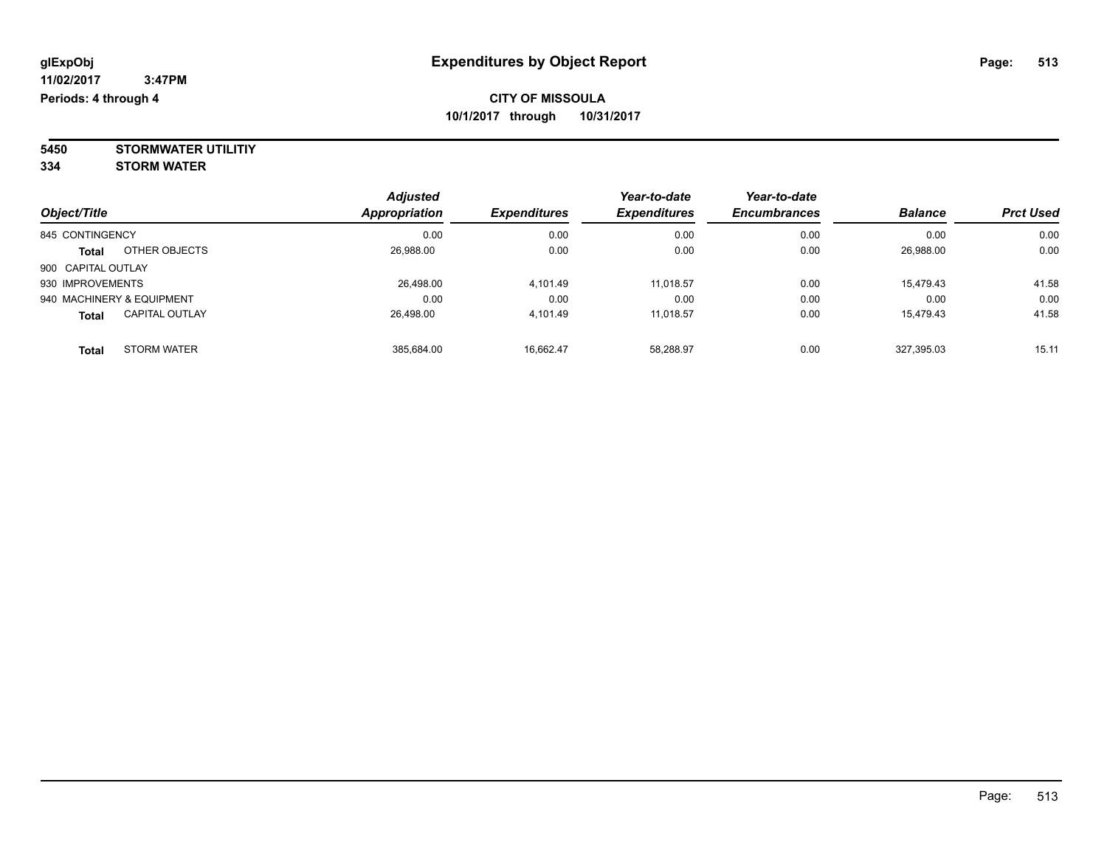**5450 STORMWATER UTILITIY 334 STORM WATER**

| Object/Title                          | <b>Adjusted</b><br>Appropriation | <b>Expenditures</b> | Year-to-date<br><b>Expenditures</b> | Year-to-date<br><b>Encumbrances</b> | <b>Balance</b> | <b>Prct Used</b> |
|---------------------------------------|----------------------------------|---------------------|-------------------------------------|-------------------------------------|----------------|------------------|
| 845 CONTINGENCY                       | 0.00                             | 0.00                | 0.00                                | 0.00                                | 0.00           | 0.00             |
| OTHER OBJECTS<br><b>Total</b>         | 26,988.00                        | 0.00                | 0.00                                | 0.00                                | 26,988.00      | 0.00             |
| 900 CAPITAL OUTLAY                    |                                  |                     |                                     |                                     |                |                  |
| 930 IMPROVEMENTS                      | 26.498.00                        | 4.101.49            | 11.018.57                           | 0.00                                | 15.479.43      | 41.58            |
| 940 MACHINERY & EQUIPMENT             | 0.00                             | 0.00                | 0.00                                | 0.00                                | 0.00           | 0.00             |
| <b>CAPITAL OUTLAY</b><br><b>Total</b> | 26,498.00                        | 4.101.49            | 11,018.57                           | 0.00                                | 15,479.43      | 41.58            |
| <b>STORM WATER</b><br>Total           | 385,684.00                       | 16.662.47           | 58,288.97                           | 0.00                                | 327.395.03     | 15.11            |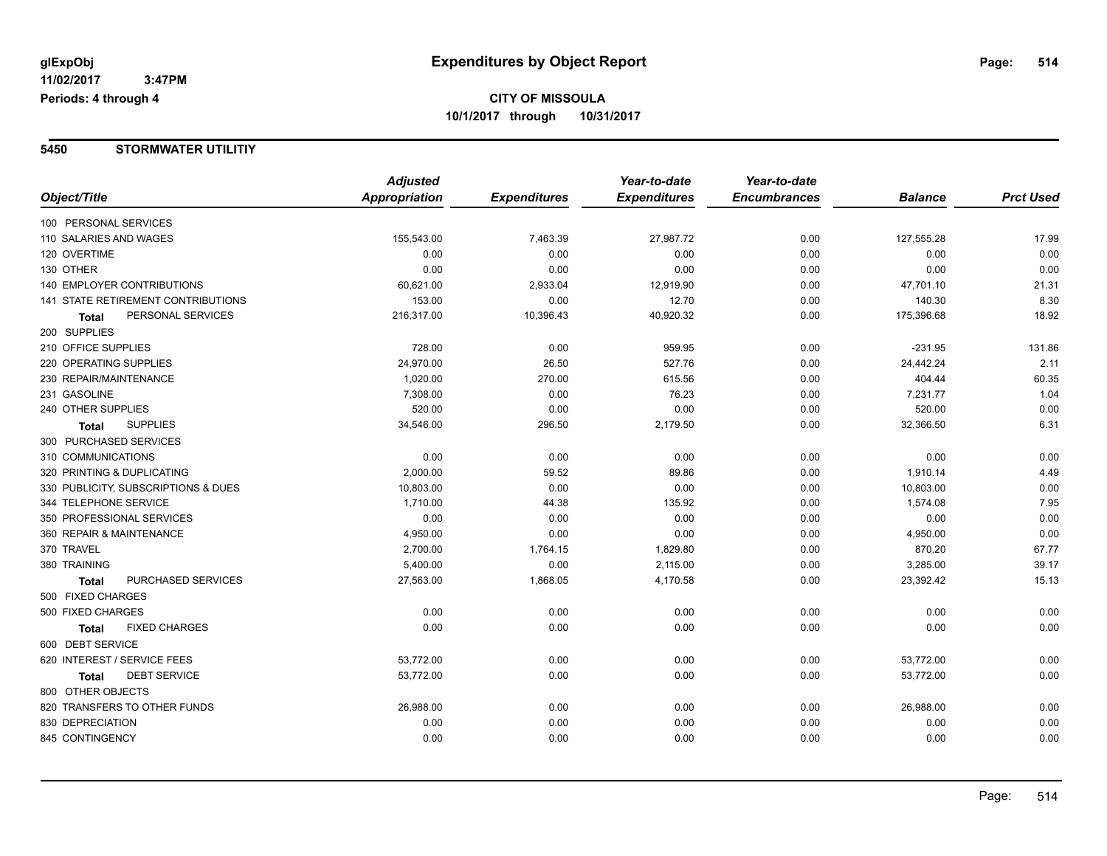#### **5450 STORMWATER UTILITIY**

|                                     | <b>Adjusted</b>      |                     | Year-to-date        | Year-to-date        |                |                  |
|-------------------------------------|----------------------|---------------------|---------------------|---------------------|----------------|------------------|
| Object/Title                        | <b>Appropriation</b> | <b>Expenditures</b> | <b>Expenditures</b> | <b>Encumbrances</b> | <b>Balance</b> | <b>Prct Used</b> |
| 100 PERSONAL SERVICES               |                      |                     |                     |                     |                |                  |
| 110 SALARIES AND WAGES              | 155,543.00           | 7,463.39            | 27,987.72           | 0.00                | 127,555.28     | 17.99            |
| 120 OVERTIME                        | 0.00                 | 0.00                | 0.00                | 0.00                | 0.00           | 0.00             |
| 130 OTHER                           | 0.00                 | 0.00                | 0.00                | 0.00                | 0.00           | 0.00             |
| <b>140 EMPLOYER CONTRIBUTIONS</b>   | 60,621.00            | 2,933.04            | 12,919.90           | 0.00                | 47,701.10      | 21.31            |
| 141 STATE RETIREMENT CONTRIBUTIONS  | 153.00               | 0.00                | 12.70               | 0.00                | 140.30         | 8.30             |
| PERSONAL SERVICES<br><b>Total</b>   | 216,317.00           | 10,396.43           | 40,920.32           | 0.00                | 175,396.68     | 18.92            |
| 200 SUPPLIES                        |                      |                     |                     |                     |                |                  |
| 210 OFFICE SUPPLIES                 | 728.00               | 0.00                | 959.95              | 0.00                | $-231.95$      | 131.86           |
| 220 OPERATING SUPPLIES              | 24,970.00            | 26.50               | 527.76              | 0.00                | 24,442.24      | 2.11             |
| 230 REPAIR/MAINTENANCE              | 1,020.00             | 270.00              | 615.56              | 0.00                | 404.44         | 60.35            |
| 231 GASOLINE                        | 7,308.00             | 0.00                | 76.23               | 0.00                | 7,231.77       | 1.04             |
| 240 OTHER SUPPLIES                  | 520.00               | 0.00                | 0.00                | 0.00                | 520.00         | 0.00             |
| <b>SUPPLIES</b><br><b>Total</b>     | 34,546.00            | 296.50              | 2,179.50            | 0.00                | 32,366.50      | 6.31             |
| 300 PURCHASED SERVICES              |                      |                     |                     |                     |                |                  |
| 310 COMMUNICATIONS                  | 0.00                 | 0.00                | 0.00                | 0.00                | 0.00           | 0.00             |
| 320 PRINTING & DUPLICATING          | 2,000.00             | 59.52               | 89.86               | 0.00                | 1,910.14       | 4.49             |
| 330 PUBLICITY, SUBSCRIPTIONS & DUES | 10,803.00            | 0.00                | 0.00                | 0.00                | 10,803.00      | 0.00             |
| 344 TELEPHONE SERVICE               | 1,710.00             | 44.38               | 135.92              | 0.00                | 1,574.08       | 7.95             |
| 350 PROFESSIONAL SERVICES           | 0.00                 | 0.00                | 0.00                | 0.00                | 0.00           | 0.00             |
| 360 REPAIR & MAINTENANCE            | 4,950.00             | 0.00                | 0.00                | 0.00                | 4,950.00       | 0.00             |
| 370 TRAVEL                          | 2,700.00             | 1,764.15            | 1,829.80            | 0.00                | 870.20         | 67.77            |
| 380 TRAINING                        | 5,400.00             | 0.00                | 2,115.00            | 0.00                | 3,285.00       | 39.17            |
| PURCHASED SERVICES<br><b>Total</b>  | 27,563.00            | 1,868.05            | 4,170.58            | 0.00                | 23,392.42      | 15.13            |
| 500 FIXED CHARGES                   |                      |                     |                     |                     |                |                  |
| 500 FIXED CHARGES                   | 0.00                 | 0.00                | 0.00                | 0.00                | 0.00           | 0.00             |
| <b>FIXED CHARGES</b><br>Total       | 0.00                 | 0.00                | 0.00                | 0.00                | 0.00           | 0.00             |
| 600 DEBT SERVICE                    |                      |                     |                     |                     |                |                  |
| 620 INTEREST / SERVICE FEES         | 53,772.00            | 0.00                | 0.00                | 0.00                | 53,772.00      | 0.00             |
| <b>DEBT SERVICE</b><br><b>Total</b> | 53,772.00            | 0.00                | 0.00                | 0.00                | 53,772.00      | 0.00             |
| 800 OTHER OBJECTS                   |                      |                     |                     |                     |                |                  |
| 820 TRANSFERS TO OTHER FUNDS        | 26,988.00            | 0.00                | 0.00                | 0.00                | 26,988.00      | 0.00             |
| 830 DEPRECIATION                    | 0.00                 | 0.00                | 0.00                | 0.00                | 0.00           | 0.00             |
| 845 CONTINGENCY                     | 0.00                 | 0.00                | 0.00                | 0.00                | 0.00           | 0.00             |
|                                     |                      |                     |                     |                     |                |                  |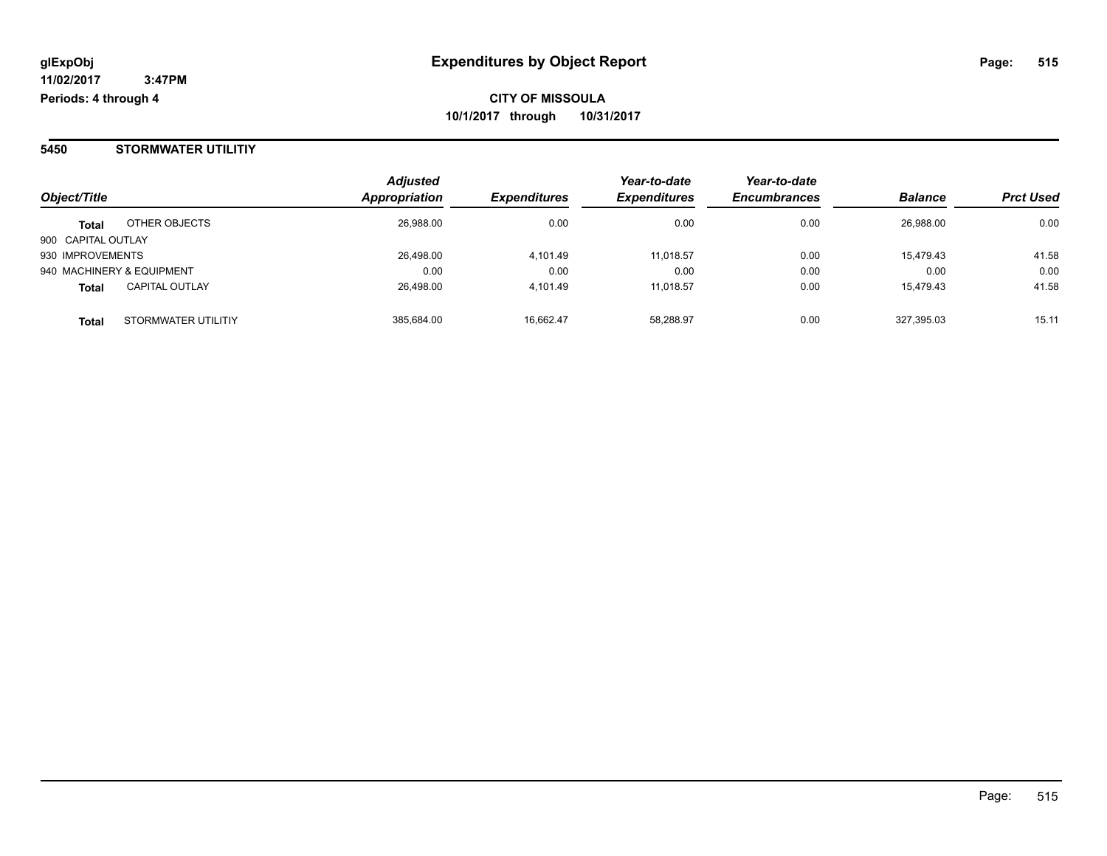#### **5450 STORMWATER UTILITIY**

| Object/Title       |                           | <b>Adjusted</b><br>Appropriation | <b>Expenditures</b> | Year-to-date<br><b>Expenditures</b> | Year-to-date<br><b>Encumbrances</b> | <b>Balance</b> | <b>Prct Used</b> |
|--------------------|---------------------------|----------------------------------|---------------------|-------------------------------------|-------------------------------------|----------------|------------------|
| <b>Total</b>       | OTHER OBJECTS             | 26,988.00                        | 0.00                | 0.00                                | 0.00                                | 26,988.00      | 0.00             |
| 900 CAPITAL OUTLAY |                           |                                  |                     |                                     |                                     |                |                  |
| 930 IMPROVEMENTS   |                           | 26,498.00                        | 4.101.49            | 11.018.57                           | 0.00                                | 15,479.43      | 41.58            |
|                    | 940 MACHINERY & EQUIPMENT | 0.00                             | 0.00                | 0.00                                | 0.00                                | 0.00           | 0.00             |
| <b>Total</b>       | <b>CAPITAL OUTLAY</b>     | 26,498.00                        | 4.101.49            | 11.018.57                           | 0.00                                | 15,479.43      | 41.58            |
| <b>Total</b>       | STORMWATER UTILITIY       | 385,684.00                       | 16,662.47           | 58.288.97                           | 0.00                                | 327,395.03     | 15.11            |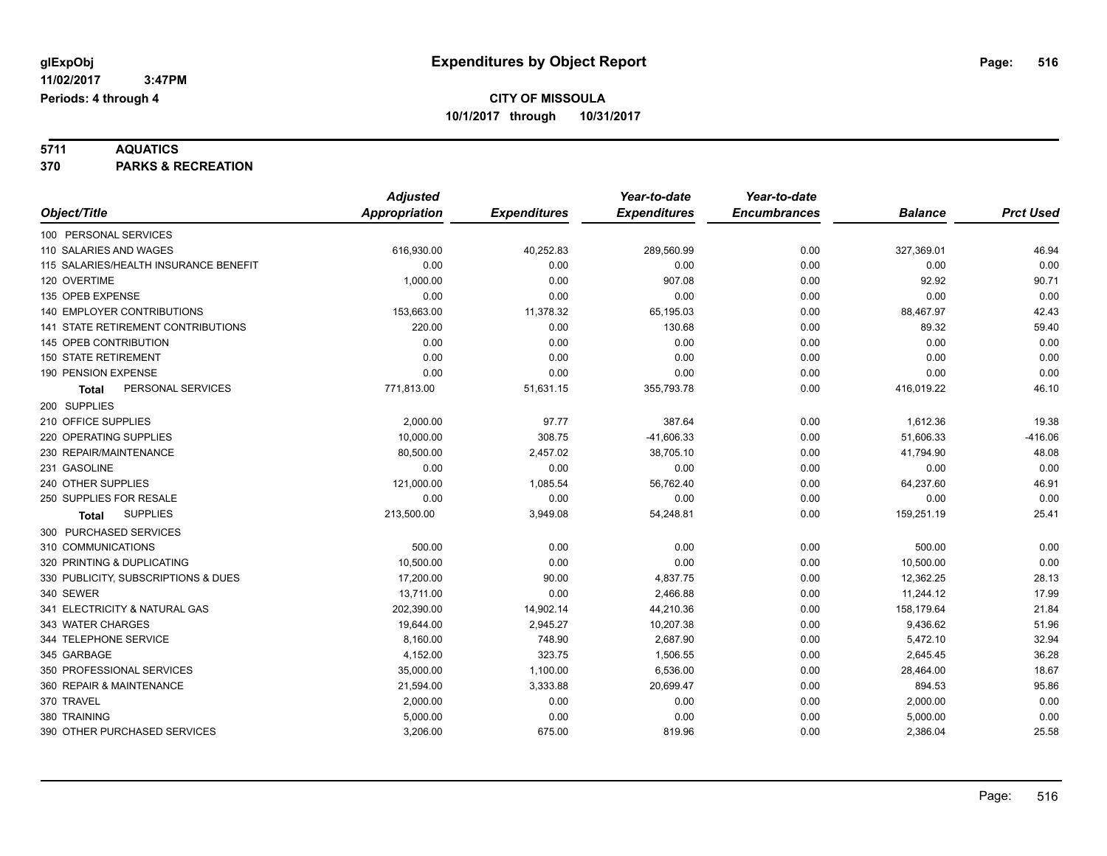# **5711 AQUATICS**

**370 PARKS & RECREATION**

|                                       | <b>Adjusted</b>      |                     | Year-to-date        | Year-to-date        |                |                  |
|---------------------------------------|----------------------|---------------------|---------------------|---------------------|----------------|------------------|
| Object/Title                          | <b>Appropriation</b> | <b>Expenditures</b> | <b>Expenditures</b> | <b>Encumbrances</b> | <b>Balance</b> | <b>Prct Used</b> |
| 100 PERSONAL SERVICES                 |                      |                     |                     |                     |                |                  |
| 110 SALARIES AND WAGES                | 616,930.00           | 40,252.83           | 289,560.99          | 0.00                | 327,369.01     | 46.94            |
| 115 SALARIES/HEALTH INSURANCE BENEFIT | 0.00                 | 0.00                | 0.00                | 0.00                | 0.00           | 0.00             |
| 120 OVERTIME                          | 1,000.00             | 0.00                | 907.08              | 0.00                | 92.92          | 90.71            |
| 135 OPEB EXPENSE                      | 0.00                 | 0.00                | 0.00                | 0.00                | 0.00           | 0.00             |
| 140 EMPLOYER CONTRIBUTIONS            | 153,663.00           | 11,378.32           | 65,195.03           | 0.00                | 88,467.97      | 42.43            |
| 141 STATE RETIREMENT CONTRIBUTIONS    | 220.00               | 0.00                | 130.68              | 0.00                | 89.32          | 59.40            |
| 145 OPEB CONTRIBUTION                 | 0.00                 | 0.00                | 0.00                | 0.00                | 0.00           | 0.00             |
| <b>150 STATE RETIREMENT</b>           | 0.00                 | 0.00                | 0.00                | 0.00                | 0.00           | 0.00             |
| 190 PENSION EXPENSE                   | 0.00                 | 0.00                | 0.00                | 0.00                | 0.00           | 0.00             |
| PERSONAL SERVICES<br><b>Total</b>     | 771,813.00           | 51,631.15           | 355,793.78          | 0.00                | 416,019.22     | 46.10            |
| 200 SUPPLIES                          |                      |                     |                     |                     |                |                  |
| 210 OFFICE SUPPLIES                   | 2,000.00             | 97.77               | 387.64              | 0.00                | 1,612.36       | 19.38            |
| 220 OPERATING SUPPLIES                | 10,000.00            | 308.75              | $-41,606.33$        | 0.00                | 51,606.33      | $-416.06$        |
| 230 REPAIR/MAINTENANCE                | 80,500.00            | 2,457.02            | 38,705.10           | 0.00                | 41,794.90      | 48.08            |
| 231 GASOLINE                          | 0.00                 | 0.00                | 0.00                | 0.00                | 0.00           | 0.00             |
| 240 OTHER SUPPLIES                    | 121,000.00           | 1,085.54            | 56,762.40           | 0.00                | 64,237.60      | 46.91            |
| 250 SUPPLIES FOR RESALE               | 0.00                 | 0.00                | 0.00                | 0.00                | 0.00           | 0.00             |
| <b>SUPPLIES</b><br>Total              | 213,500.00           | 3,949.08            | 54,248.81           | 0.00                | 159,251.19     | 25.41            |
| 300 PURCHASED SERVICES                |                      |                     |                     |                     |                |                  |
| 310 COMMUNICATIONS                    | 500.00               | 0.00                | 0.00                | 0.00                | 500.00         | 0.00             |
| 320 PRINTING & DUPLICATING            | 10,500.00            | 0.00                | 0.00                | 0.00                | 10,500.00      | 0.00             |
| 330 PUBLICITY, SUBSCRIPTIONS & DUES   | 17,200.00            | 90.00               | 4,837.75            | 0.00                | 12,362.25      | 28.13            |
| 340 SEWER                             | 13,711.00            | 0.00                | 2,466.88            | 0.00                | 11,244.12      | 17.99            |
| 341 ELECTRICITY & NATURAL GAS         | 202,390.00           | 14,902.14           | 44,210.36           | 0.00                | 158,179.64     | 21.84            |
| 343 WATER CHARGES                     | 19,644.00            | 2,945.27            | 10,207.38           | 0.00                | 9,436.62       | 51.96            |
| 344 TELEPHONE SERVICE                 | 8,160.00             | 748.90              | 2,687.90            | 0.00                | 5,472.10       | 32.94            |
| 345 GARBAGE                           | 4,152.00             | 323.75              | 1,506.55            | 0.00                | 2,645.45       | 36.28            |
| 350 PROFESSIONAL SERVICES             | 35,000.00            | 1,100.00            | 6,536.00            | 0.00                | 28,464.00      | 18.67            |
| 360 REPAIR & MAINTENANCE              | 21,594.00            | 3,333.88            | 20,699.47           | 0.00                | 894.53         | 95.86            |
| 370 TRAVEL                            | 2,000.00             | 0.00                | 0.00                | 0.00                | 2,000.00       | 0.00             |
| 380 TRAINING                          | 5,000.00             | 0.00                | 0.00                | 0.00                | 5,000.00       | 0.00             |
| 390 OTHER PURCHASED SERVICES          | 3,206.00             | 675.00              | 819.96              | 0.00                | 2,386.04       | 25.58            |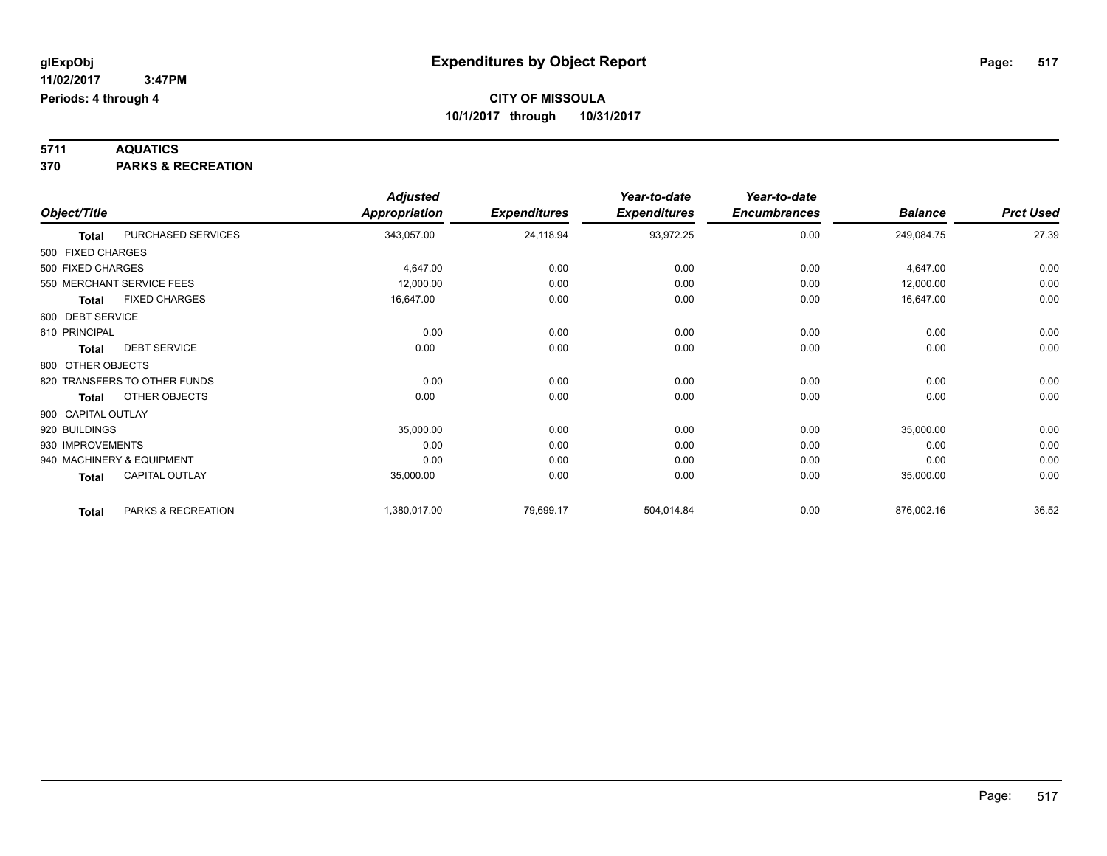# **5711 AQUATICS**

**370 PARKS & RECREATION**

|                    |                              | <b>Adjusted</b> |                     | Year-to-date        | Year-to-date        |                |                  |
|--------------------|------------------------------|-----------------|---------------------|---------------------|---------------------|----------------|------------------|
| Object/Title       |                              | Appropriation   | <b>Expenditures</b> | <b>Expenditures</b> | <b>Encumbrances</b> | <b>Balance</b> | <b>Prct Used</b> |
| <b>Total</b>       | PURCHASED SERVICES           | 343,057.00      | 24,118.94           | 93,972.25           | 0.00                | 249,084.75     | 27.39            |
| 500 FIXED CHARGES  |                              |                 |                     |                     |                     |                |                  |
| 500 FIXED CHARGES  |                              | 4,647.00        | 0.00                | 0.00                | 0.00                | 4,647.00       | 0.00             |
|                    | 550 MERCHANT SERVICE FEES    | 12,000.00       | 0.00                | 0.00                | 0.00                | 12,000.00      | 0.00             |
| <b>Total</b>       | <b>FIXED CHARGES</b>         | 16,647.00       | 0.00                | 0.00                | 0.00                | 16,647.00      | 0.00             |
| 600 DEBT SERVICE   |                              |                 |                     |                     |                     |                |                  |
| 610 PRINCIPAL      |                              | 0.00            | 0.00                | 0.00                | 0.00                | 0.00           | 0.00             |
| <b>Total</b>       | <b>DEBT SERVICE</b>          | 0.00            | 0.00                | 0.00                | 0.00                | 0.00           | 0.00             |
| 800 OTHER OBJECTS  |                              |                 |                     |                     |                     |                |                  |
|                    | 820 TRANSFERS TO OTHER FUNDS | 0.00            | 0.00                | 0.00                | 0.00                | 0.00           | 0.00             |
| <b>Total</b>       | OTHER OBJECTS                | 0.00            | 0.00                | 0.00                | 0.00                | 0.00           | 0.00             |
| 900 CAPITAL OUTLAY |                              |                 |                     |                     |                     |                |                  |
| 920 BUILDINGS      |                              | 35,000.00       | 0.00                | 0.00                | 0.00                | 35,000.00      | 0.00             |
| 930 IMPROVEMENTS   |                              | 0.00            | 0.00                | 0.00                | 0.00                | 0.00           | 0.00             |
|                    | 940 MACHINERY & EQUIPMENT    | 0.00            | 0.00                | 0.00                | 0.00                | 0.00           | 0.00             |
| <b>Total</b>       | <b>CAPITAL OUTLAY</b>        | 35,000.00       | 0.00                | 0.00                | 0.00                | 35,000.00      | 0.00             |
| <b>Total</b>       | PARKS & RECREATION           | 1,380,017.00    | 79,699.17           | 504,014.84          | 0.00                | 876,002.16     | 36.52            |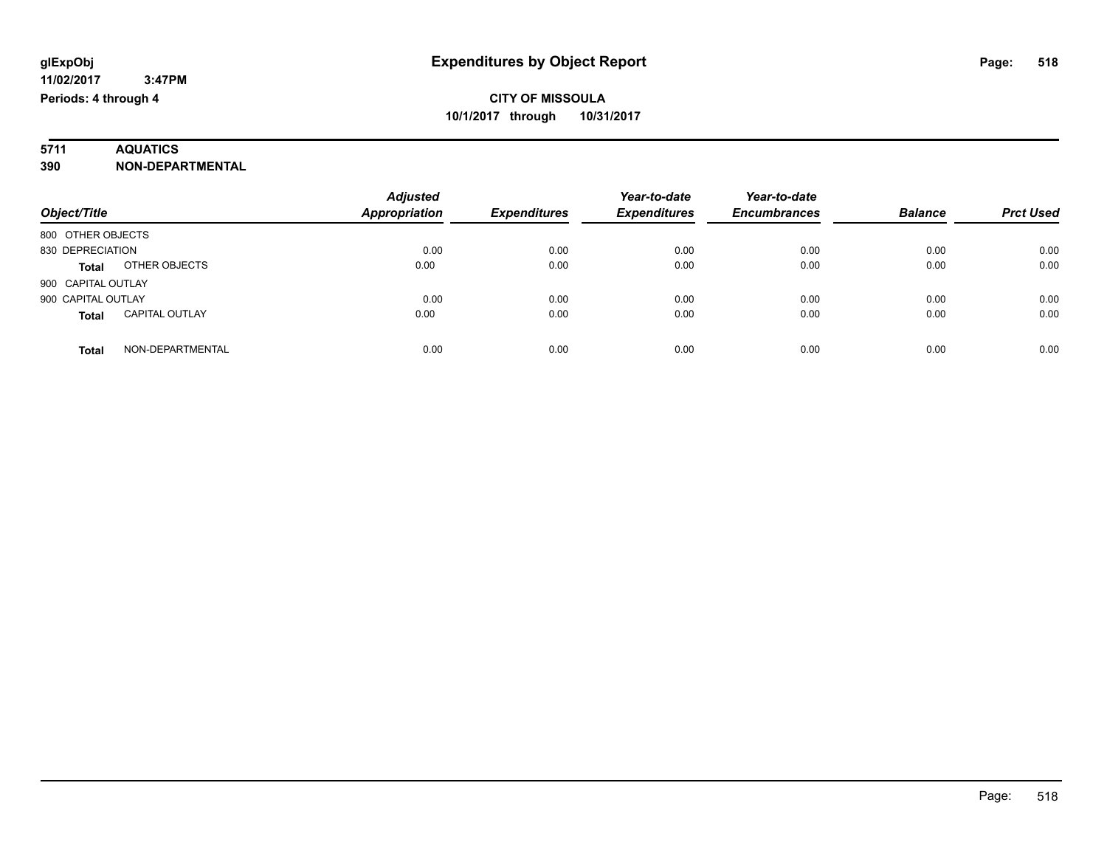# **5711 AQUATICS**

**390 NON-DEPARTMENTAL**

| Object/Title                          | <b>Adjusted</b><br>Appropriation | <b>Expenditures</b> | Year-to-date<br><b>Expenditures</b> | Year-to-date<br><b>Encumbrances</b> | <b>Balance</b> | <b>Prct Used</b> |
|---------------------------------------|----------------------------------|---------------------|-------------------------------------|-------------------------------------|----------------|------------------|
|                                       |                                  |                     |                                     |                                     |                |                  |
| 800 OTHER OBJECTS                     |                                  |                     |                                     |                                     |                |                  |
| 830 DEPRECIATION                      | 0.00                             | 0.00                | 0.00                                | 0.00                                | 0.00           | 0.00             |
| OTHER OBJECTS<br><b>Total</b>         | 0.00                             | 0.00                | 0.00                                | 0.00                                | 0.00           | 0.00             |
| 900 CAPITAL OUTLAY                    |                                  |                     |                                     |                                     |                |                  |
| 900 CAPITAL OUTLAY                    | 0.00                             | 0.00                | 0.00                                | 0.00                                | 0.00           | 0.00             |
| <b>CAPITAL OUTLAY</b><br><b>Total</b> | 0.00                             | 0.00                | 0.00                                | 0.00                                | 0.00           | 0.00             |
| NON-DEPARTMENTAL<br>Total             | 0.00                             | 0.00                | 0.00                                | 0.00                                | 0.00           | 0.00             |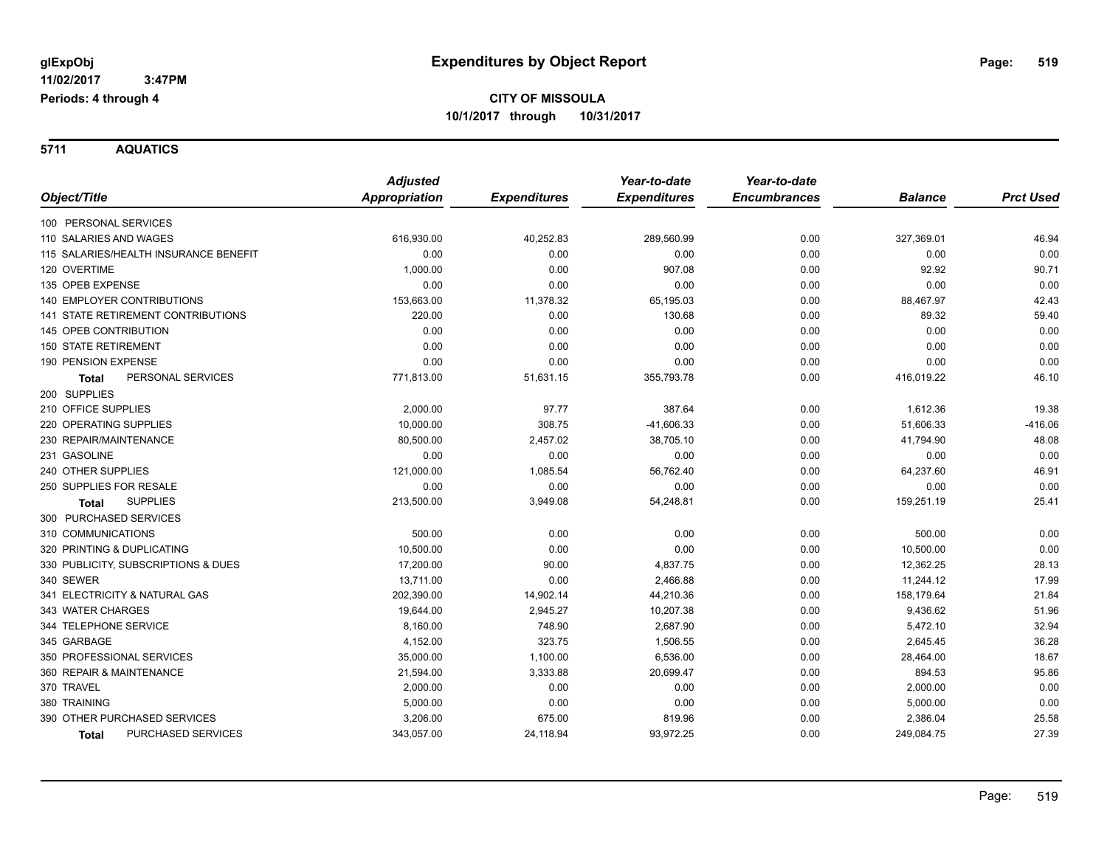**5711 AQUATICS**

|                                           | <b>Adjusted</b> |                     | Year-to-date        | Year-to-date        |                |                  |
|-------------------------------------------|-----------------|---------------------|---------------------|---------------------|----------------|------------------|
| Object/Title                              | Appropriation   | <b>Expenditures</b> | <b>Expenditures</b> | <b>Encumbrances</b> | <b>Balance</b> | <b>Prct Used</b> |
| 100 PERSONAL SERVICES                     |                 |                     |                     |                     |                |                  |
| 110 SALARIES AND WAGES                    | 616,930.00      | 40,252.83           | 289,560.99          | 0.00                | 327,369.01     | 46.94            |
| 115 SALARIES/HEALTH INSURANCE BENEFIT     | 0.00            | 0.00                | 0.00                | 0.00                | 0.00           | 0.00             |
| 120 OVERTIME                              | 1,000.00        | 0.00                | 907.08              | 0.00                | 92.92          | 90.71            |
| 135 OPEB EXPENSE                          | 0.00            | 0.00                | 0.00                | 0.00                | 0.00           | 0.00             |
| <b>140 EMPLOYER CONTRIBUTIONS</b>         | 153,663.00      | 11,378.32           | 65,195.03           | 0.00                | 88,467.97      | 42.43            |
| 141 STATE RETIREMENT CONTRIBUTIONS        | 220.00          | 0.00                | 130.68              | 0.00                | 89.32          | 59.40            |
| 145 OPEB CONTRIBUTION                     | 0.00            | 0.00                | 0.00                | 0.00                | 0.00           | 0.00             |
| <b>150 STATE RETIREMENT</b>               | 0.00            | 0.00                | 0.00                | 0.00                | 0.00           | 0.00             |
| 190 PENSION EXPENSE                       | 0.00            | 0.00                | 0.00                | 0.00                | 0.00           | 0.00             |
| PERSONAL SERVICES<br><b>Total</b>         | 771,813.00      | 51,631.15           | 355,793.78          | 0.00                | 416,019.22     | 46.10            |
| 200 SUPPLIES                              |                 |                     |                     |                     |                |                  |
| 210 OFFICE SUPPLIES                       | 2,000.00        | 97.77               | 387.64              | 0.00                | 1,612.36       | 19.38            |
| 220 OPERATING SUPPLIES                    | 10,000.00       | 308.75              | $-41,606.33$        | 0.00                | 51,606.33      | $-416.06$        |
| 230 REPAIR/MAINTENANCE                    | 80,500.00       | 2,457.02            | 38,705.10           | 0.00                | 41,794.90      | 48.08            |
| 231 GASOLINE                              | 0.00            | 0.00                | 0.00                | 0.00                | 0.00           | 0.00             |
| 240 OTHER SUPPLIES                        | 121,000.00      | 1,085.54            | 56,762.40           | 0.00                | 64,237.60      | 46.91            |
| 250 SUPPLIES FOR RESALE                   | 0.00            | 0.00                | 0.00                | 0.00                | 0.00           | 0.00             |
| <b>SUPPLIES</b><br><b>Total</b>           | 213,500.00      | 3,949.08            | 54,248.81           | 0.00                | 159,251.19     | 25.41            |
| 300 PURCHASED SERVICES                    |                 |                     |                     |                     |                |                  |
| 310 COMMUNICATIONS                        | 500.00          | 0.00                | 0.00                | 0.00                | 500.00         | 0.00             |
| 320 PRINTING & DUPLICATING                | 10,500.00       | 0.00                | 0.00                | 0.00                | 10,500.00      | 0.00             |
| 330 PUBLICITY, SUBSCRIPTIONS & DUES       | 17,200.00       | 90.00               | 4,837.75            | 0.00                | 12,362.25      | 28.13            |
| 340 SEWER                                 | 13,711.00       | 0.00                | 2,466.88            | 0.00                | 11,244.12      | 17.99            |
| 341 ELECTRICITY & NATURAL GAS             | 202,390.00      | 14,902.14           | 44,210.36           | 0.00                | 158,179.64     | 21.84            |
| 343 WATER CHARGES                         | 19,644.00       | 2,945.27            | 10,207.38           | 0.00                | 9,436.62       | 51.96            |
| 344 TELEPHONE SERVICE                     | 8,160.00        | 748.90              | 2,687.90            | 0.00                | 5,472.10       | 32.94            |
| 345 GARBAGE                               | 4,152.00        | 323.75              | 1,506.55            | 0.00                | 2,645.45       | 36.28            |
| 350 PROFESSIONAL SERVICES                 | 35,000.00       | 1,100.00            | 6,536.00            | 0.00                | 28,464.00      | 18.67            |
| 360 REPAIR & MAINTENANCE                  | 21,594.00       | 3,333.88            | 20,699.47           | 0.00                | 894.53         | 95.86            |
| 370 TRAVEL                                | 2,000.00        | 0.00                | 0.00                | 0.00                | 2,000.00       | 0.00             |
| 380 TRAINING                              | 5,000.00        | 0.00                | 0.00                | 0.00                | 5,000.00       | 0.00             |
| 390 OTHER PURCHASED SERVICES              | 3,206.00        | 675.00              | 819.96              | 0.00                | 2,386.04       | 25.58            |
| <b>PURCHASED SERVICES</b><br><b>Total</b> | 343,057.00      | 24,118.94           | 93,972.25           | 0.00                | 249,084.75     | 27.39            |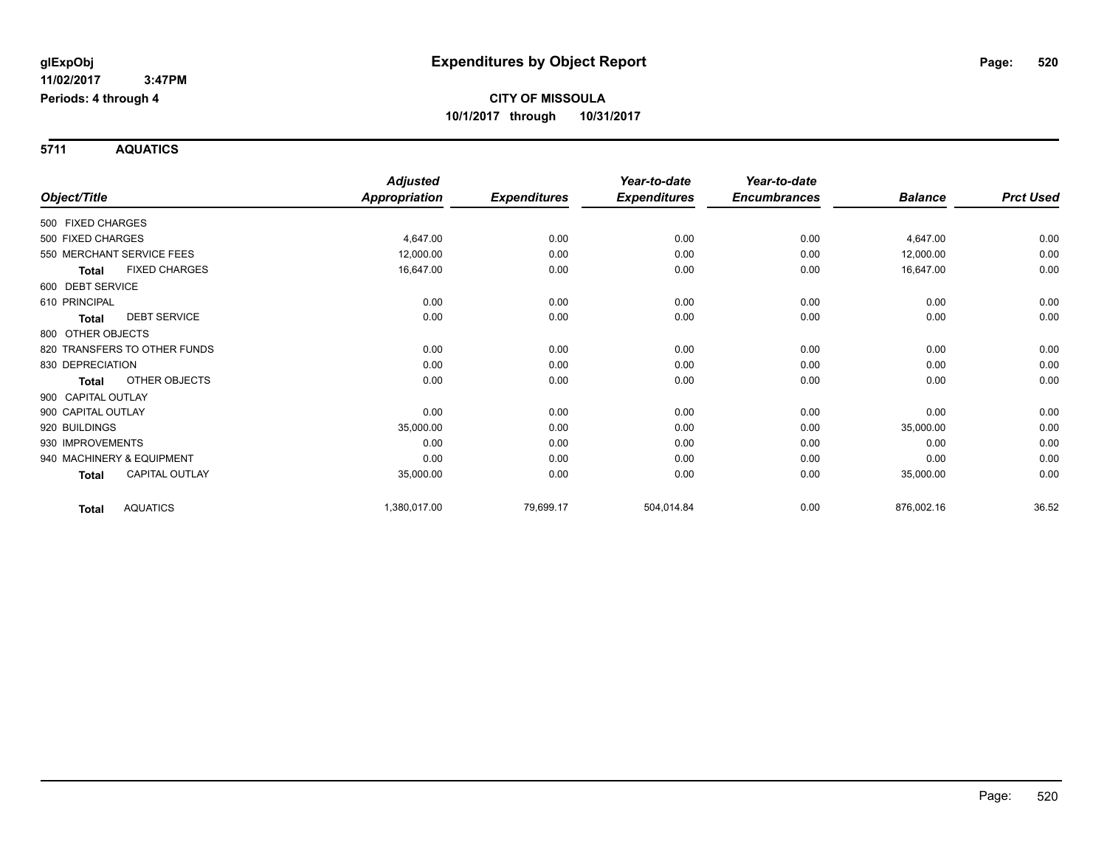**5711 AQUATICS**

|                    |                              | <b>Adjusted</b>      |                     | Year-to-date        | Year-to-date        |                |                  |
|--------------------|------------------------------|----------------------|---------------------|---------------------|---------------------|----------------|------------------|
| Object/Title       |                              | <b>Appropriation</b> | <b>Expenditures</b> | <b>Expenditures</b> | <b>Encumbrances</b> | <b>Balance</b> | <b>Prct Used</b> |
| 500 FIXED CHARGES  |                              |                      |                     |                     |                     |                |                  |
| 500 FIXED CHARGES  |                              | 4,647.00             | 0.00                | 0.00                | 0.00                | 4,647.00       | 0.00             |
|                    | 550 MERCHANT SERVICE FEES    | 12,000.00            | 0.00                | 0.00                | 0.00                | 12,000.00      | 0.00             |
| <b>Total</b>       | <b>FIXED CHARGES</b>         | 16,647.00            | 0.00                | 0.00                | 0.00                | 16,647.00      | 0.00             |
| 600 DEBT SERVICE   |                              |                      |                     |                     |                     |                |                  |
| 610 PRINCIPAL      |                              | 0.00                 | 0.00                | 0.00                | 0.00                | 0.00           | 0.00             |
| <b>Total</b>       | <b>DEBT SERVICE</b>          | 0.00                 | 0.00                | 0.00                | 0.00                | 0.00           | 0.00             |
| 800 OTHER OBJECTS  |                              |                      |                     |                     |                     |                |                  |
|                    | 820 TRANSFERS TO OTHER FUNDS | 0.00                 | 0.00                | 0.00                | 0.00                | 0.00           | 0.00             |
| 830 DEPRECIATION   |                              | 0.00                 | 0.00                | 0.00                | 0.00                | 0.00           | 0.00             |
| Total              | OTHER OBJECTS                | 0.00                 | 0.00                | 0.00                | 0.00                | 0.00           | 0.00             |
| 900 CAPITAL OUTLAY |                              |                      |                     |                     |                     |                |                  |
| 900 CAPITAL OUTLAY |                              | 0.00                 | 0.00                | 0.00                | 0.00                | 0.00           | 0.00             |
| 920 BUILDINGS      |                              | 35,000.00            | 0.00                | 0.00                | 0.00                | 35,000.00      | 0.00             |
| 930 IMPROVEMENTS   |                              | 0.00                 | 0.00                | 0.00                | 0.00                | 0.00           | 0.00             |
|                    | 940 MACHINERY & EQUIPMENT    | 0.00                 | 0.00                | 0.00                | 0.00                | 0.00           | 0.00             |
| Total              | <b>CAPITAL OUTLAY</b>        | 35,000.00            | 0.00                | 0.00                | 0.00                | 35,000.00      | 0.00             |
| <b>Total</b>       | <b>AQUATICS</b>              | 1,380,017.00         | 79,699.17           | 504,014.84          | 0.00                | 876,002.16     | 36.52            |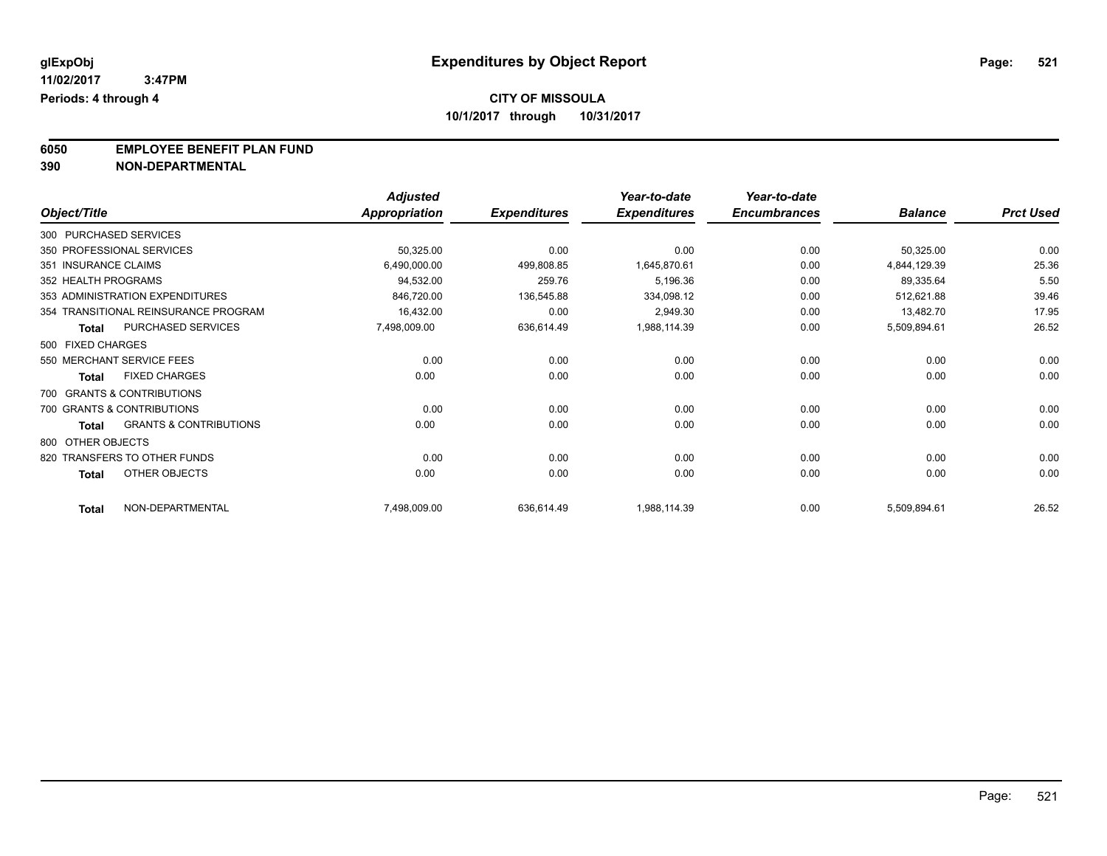**6050 EMPLOYEE BENEFIT PLAN FUND**<br>390 NON-DEPARTMENTAL

**390 NON-DEPARTMENTAL**

|                      |                                      | <b>Adjusted</b>      |                     | Year-to-date        | Year-to-date        |                |                  |
|----------------------|--------------------------------------|----------------------|---------------------|---------------------|---------------------|----------------|------------------|
| Object/Title         |                                      | <b>Appropriation</b> | <b>Expenditures</b> | <b>Expenditures</b> | <b>Encumbrances</b> | <b>Balance</b> | <b>Prct Used</b> |
|                      | 300 PURCHASED SERVICES               |                      |                     |                     |                     |                |                  |
|                      | 350 PROFESSIONAL SERVICES            | 50,325.00            | 0.00                | 0.00                | 0.00                | 50,325.00      | 0.00             |
| 351 INSURANCE CLAIMS |                                      | 6,490,000.00         | 499,808.85          | 1,645,870.61        | 0.00                | 4,844,129.39   | 25.36            |
| 352 HEALTH PROGRAMS  |                                      | 94,532.00            | 259.76              | 5,196.36            | 0.00                | 89,335.64      | 5.50             |
|                      | 353 ADMINISTRATION EXPENDITURES      | 846,720.00           | 136,545.88          | 334,098.12          | 0.00                | 512,621.88     | 39.46            |
|                      | 354 TRANSITIONAL REINSURANCE PROGRAM | 16,432.00            | 0.00                | 2,949.30            | 0.00                | 13,482.70      | 17.95            |
| <b>Total</b>         | PURCHASED SERVICES                   | 7,498,009.00         | 636,614.49          | 1,988,114.39        | 0.00                | 5,509,894.61   | 26.52            |
| 500 FIXED CHARGES    |                                      |                      |                     |                     |                     |                |                  |
|                      | 550 MERCHANT SERVICE FEES            | 0.00                 | 0.00                | 0.00                | 0.00                | 0.00           | 0.00             |
| <b>Total</b>         | <b>FIXED CHARGES</b>                 | 0.00                 | 0.00                | 0.00                | 0.00                | 0.00           | 0.00             |
|                      | 700 GRANTS & CONTRIBUTIONS           |                      |                     |                     |                     |                |                  |
|                      | 700 GRANTS & CONTRIBUTIONS           | 0.00                 | 0.00                | 0.00                | 0.00                | 0.00           | 0.00             |
| <b>Total</b>         | <b>GRANTS &amp; CONTRIBUTIONS</b>    | 0.00                 | 0.00                | 0.00                | 0.00                | 0.00           | 0.00             |
| 800 OTHER OBJECTS    |                                      |                      |                     |                     |                     |                |                  |
|                      | 820 TRANSFERS TO OTHER FUNDS         | 0.00                 | 0.00                | 0.00                | 0.00                | 0.00           | 0.00             |
| <b>Total</b>         | <b>OTHER OBJECTS</b>                 | 0.00                 | 0.00                | 0.00                | 0.00                | 0.00           | 0.00             |
| <b>Total</b>         | NON-DEPARTMENTAL                     | 7,498,009.00         | 636,614.49          | 1,988,114.39        | 0.00                | 5,509,894.61   | 26.52            |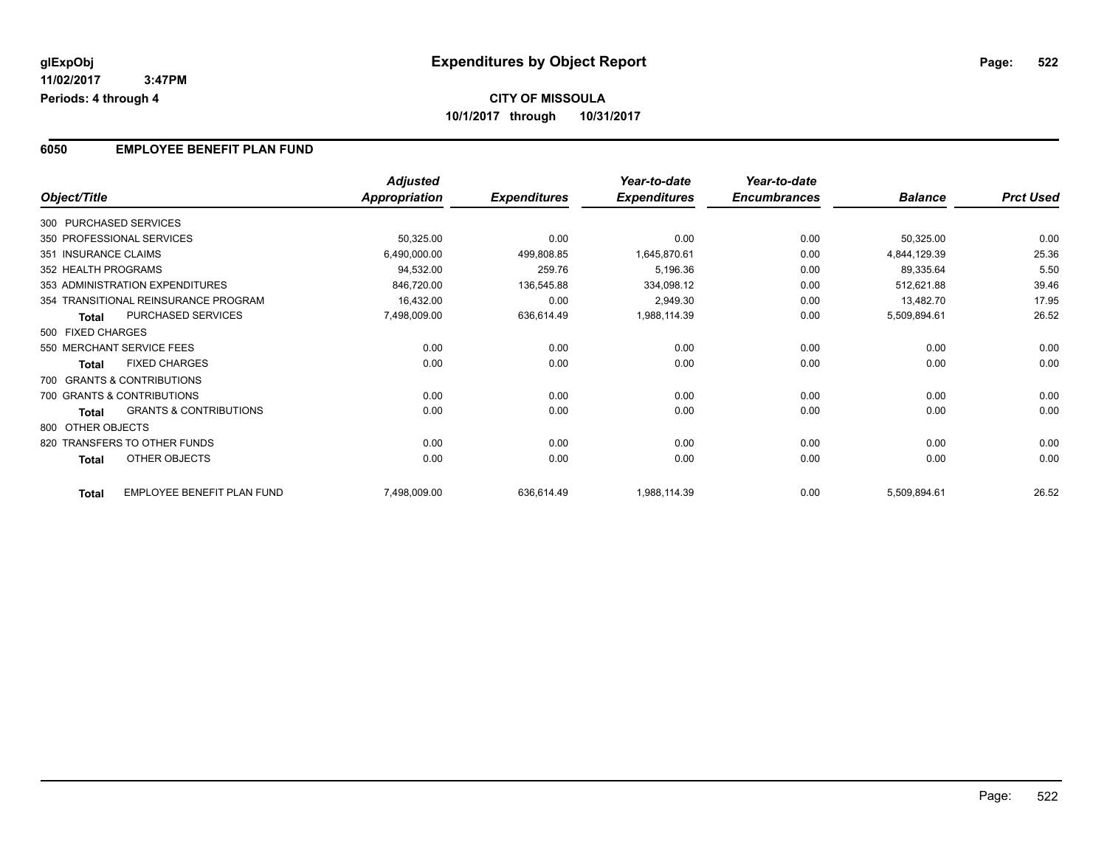### **6050 EMPLOYEE BENEFIT PLAN FUND**

|                      |                                      | <b>Adjusted</b> |                     | Year-to-date        | Year-to-date        |                |                  |
|----------------------|--------------------------------------|-----------------|---------------------|---------------------|---------------------|----------------|------------------|
| Object/Title         |                                      | Appropriation   | <b>Expenditures</b> | <b>Expenditures</b> | <b>Encumbrances</b> | <b>Balance</b> | <b>Prct Used</b> |
|                      | 300 PURCHASED SERVICES               |                 |                     |                     |                     |                |                  |
|                      | 350 PROFESSIONAL SERVICES            | 50,325.00       | 0.00                | 0.00                | 0.00                | 50,325.00      | 0.00             |
| 351 INSURANCE CLAIMS |                                      | 6,490,000.00    | 499,808.85          | 1,645,870.61        | 0.00                | 4,844,129.39   | 25.36            |
| 352 HEALTH PROGRAMS  |                                      | 94,532.00       | 259.76              | 5,196.36            | 0.00                | 89,335.64      | 5.50             |
|                      | 353 ADMINISTRATION EXPENDITURES      | 846,720.00      | 136,545.88          | 334,098.12          | 0.00                | 512,621.88     | 39.46            |
|                      | 354 TRANSITIONAL REINSURANCE PROGRAM | 16,432.00       | 0.00                | 2,949.30            | 0.00                | 13,482.70      | 17.95            |
| <b>Total</b>         | PURCHASED SERVICES                   | 7,498,009.00    | 636,614.49          | 1,988,114.39        | 0.00                | 5,509,894.61   | 26.52            |
| 500 FIXED CHARGES    |                                      |                 |                     |                     |                     |                |                  |
|                      | 550 MERCHANT SERVICE FEES            | 0.00            | 0.00                | 0.00                | 0.00                | 0.00           | 0.00             |
| <b>Total</b>         | <b>FIXED CHARGES</b>                 | 0.00            | 0.00                | 0.00                | 0.00                | 0.00           | 0.00             |
|                      | 700 GRANTS & CONTRIBUTIONS           |                 |                     |                     |                     |                |                  |
|                      | 700 GRANTS & CONTRIBUTIONS           | 0.00            | 0.00                | 0.00                | 0.00                | 0.00           | 0.00             |
| Total                | <b>GRANTS &amp; CONTRIBUTIONS</b>    | 0.00            | 0.00                | 0.00                | 0.00                | 0.00           | 0.00             |
| 800 OTHER OBJECTS    |                                      |                 |                     |                     |                     |                |                  |
|                      | 820 TRANSFERS TO OTHER FUNDS         | 0.00            | 0.00                | 0.00                | 0.00                | 0.00           | 0.00             |
| Total                | OTHER OBJECTS                        | 0.00            | 0.00                | 0.00                | 0.00                | 0.00           | 0.00             |
| <b>Total</b>         | EMPLOYEE BENEFIT PLAN FUND           | 7,498,009.00    | 636,614.49          | 1,988,114.39        | 0.00                | 5,509,894.61   | 26.52            |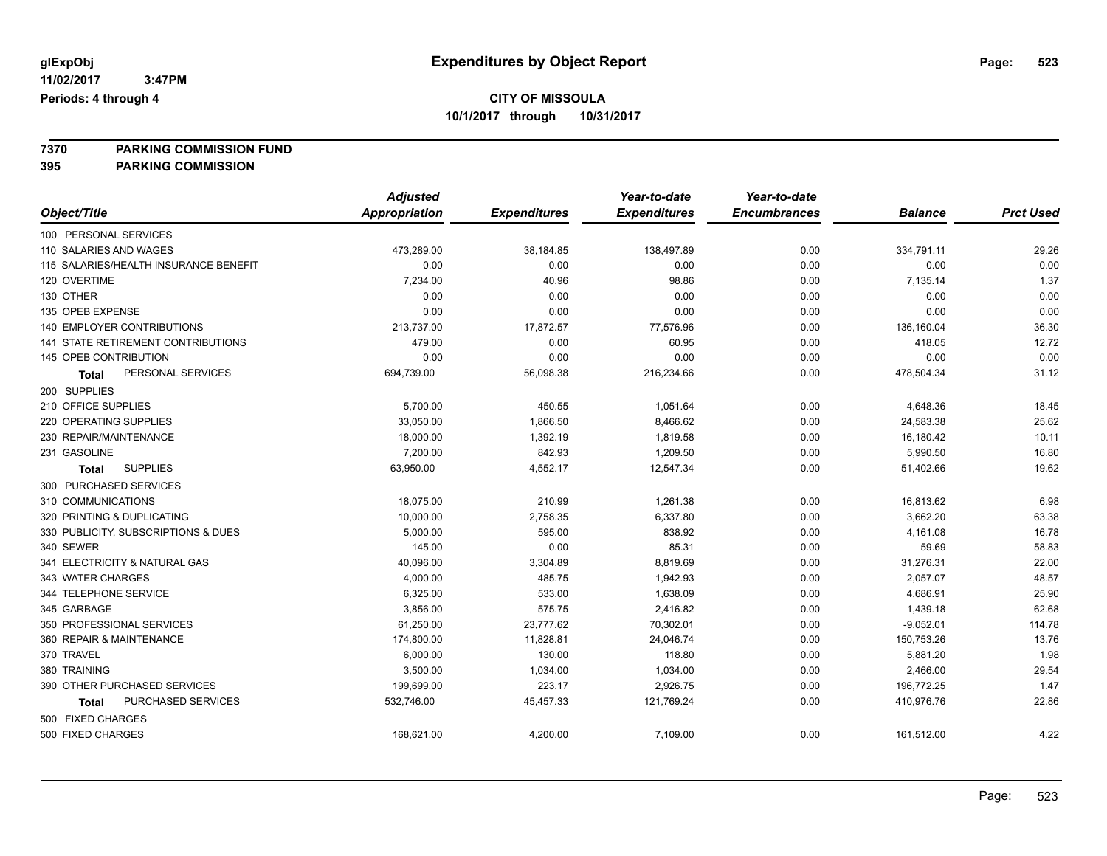**7370 PARKING COMMISSION FUND**

**395 PARKING COMMISSION**

|                                       | <b>Adjusted</b>      |                     | Year-to-date        | Year-to-date        |                |                  |
|---------------------------------------|----------------------|---------------------|---------------------|---------------------|----------------|------------------|
| Object/Title                          | <b>Appropriation</b> | <b>Expenditures</b> | <b>Expenditures</b> | <b>Encumbrances</b> | <b>Balance</b> | <b>Prct Used</b> |
| 100 PERSONAL SERVICES                 |                      |                     |                     |                     |                |                  |
| 110 SALARIES AND WAGES                | 473,289.00           | 38,184.85           | 138,497.89          | 0.00                | 334,791.11     | 29.26            |
| 115 SALARIES/HEALTH INSURANCE BENEFIT | 0.00                 | 0.00                | 0.00                | 0.00                | 0.00           | 0.00             |
| 120 OVERTIME                          | 7,234.00             | 40.96               | 98.86               | 0.00                | 7,135.14       | 1.37             |
| 130 OTHER                             | 0.00                 | 0.00                | 0.00                | 0.00                | 0.00           | 0.00             |
| 135 OPEB EXPENSE                      | 0.00                 | 0.00                | 0.00                | 0.00                | 0.00           | 0.00             |
| <b>140 EMPLOYER CONTRIBUTIONS</b>     | 213,737.00           | 17,872.57           | 77,576.96           | 0.00                | 136,160.04     | 36.30            |
| 141 STATE RETIREMENT CONTRIBUTIONS    | 479.00               | 0.00                | 60.95               | 0.00                | 418.05         | 12.72            |
| 145 OPEB CONTRIBUTION                 | 0.00                 | 0.00                | 0.00                | 0.00                | 0.00           | 0.00             |
| PERSONAL SERVICES<br>Total            | 694,739.00           | 56,098.38           | 216,234.66          | 0.00                | 478,504.34     | 31.12            |
| 200 SUPPLIES                          |                      |                     |                     |                     |                |                  |
| 210 OFFICE SUPPLIES                   | 5,700.00             | 450.55              | 1,051.64            | 0.00                | 4,648.36       | 18.45            |
| 220 OPERATING SUPPLIES                | 33,050.00            | 1,866.50            | 8,466.62            | 0.00                | 24,583.38      | 25.62            |
| 230 REPAIR/MAINTENANCE                | 18,000.00            | 1,392.19            | 1,819.58            | 0.00                | 16,180.42      | 10.11            |
| 231 GASOLINE                          | 7,200.00             | 842.93              | 1,209.50            | 0.00                | 5,990.50       | 16.80            |
| <b>SUPPLIES</b><br><b>Total</b>       | 63,950.00            | 4,552.17            | 12,547.34           | 0.00                | 51,402.66      | 19.62            |
| 300 PURCHASED SERVICES                |                      |                     |                     |                     |                |                  |
| 310 COMMUNICATIONS                    | 18,075.00            | 210.99              | 1,261.38            | 0.00                | 16,813.62      | 6.98             |
| 320 PRINTING & DUPLICATING            | 10,000.00            | 2,758.35            | 6,337.80            | 0.00                | 3,662.20       | 63.38            |
| 330 PUBLICITY, SUBSCRIPTIONS & DUES   | 5,000.00             | 595.00              | 838.92              | 0.00                | 4,161.08       | 16.78            |
| 340 SEWER                             | 145.00               | 0.00                | 85.31               | 0.00                | 59.69          | 58.83            |
| 341 ELECTRICITY & NATURAL GAS         | 40,096.00            | 3,304.89            | 8,819.69            | 0.00                | 31,276.31      | 22.00            |
| 343 WATER CHARGES                     | 4,000.00             | 485.75              | 1,942.93            | 0.00                | 2,057.07       | 48.57            |
| 344 TELEPHONE SERVICE                 | 6,325.00             | 533.00              | 1,638.09            | 0.00                | 4,686.91       | 25.90            |
| 345 GARBAGE                           | 3,856.00             | 575.75              | 2,416.82            | 0.00                | 1,439.18       | 62.68            |
| 350 PROFESSIONAL SERVICES             | 61,250.00            | 23,777.62           | 70,302.01           | 0.00                | $-9,052.01$    | 114.78           |
| 360 REPAIR & MAINTENANCE              | 174,800.00           | 11,828.81           | 24,046.74           | 0.00                | 150,753.26     | 13.76            |
| 370 TRAVEL                            | 6,000.00             | 130.00              | 118.80              | 0.00                | 5,881.20       | 1.98             |
| 380 TRAINING                          | 3,500.00             | 1,034.00            | 1,034.00            | 0.00                | 2,466.00       | 29.54            |
| 390 OTHER PURCHASED SERVICES          | 199,699.00           | 223.17              | 2,926.75            | 0.00                | 196,772.25     | 1.47             |
| PURCHASED SERVICES<br>Total           | 532,746.00           | 45,457.33           | 121,769.24          | 0.00                | 410,976.76     | 22.86            |
| 500 FIXED CHARGES                     |                      |                     |                     |                     |                |                  |
| 500 FIXED CHARGES                     | 168,621.00           | 4,200.00            | 7,109.00            | 0.00                | 161,512.00     | 4.22             |
|                                       |                      |                     |                     |                     |                |                  |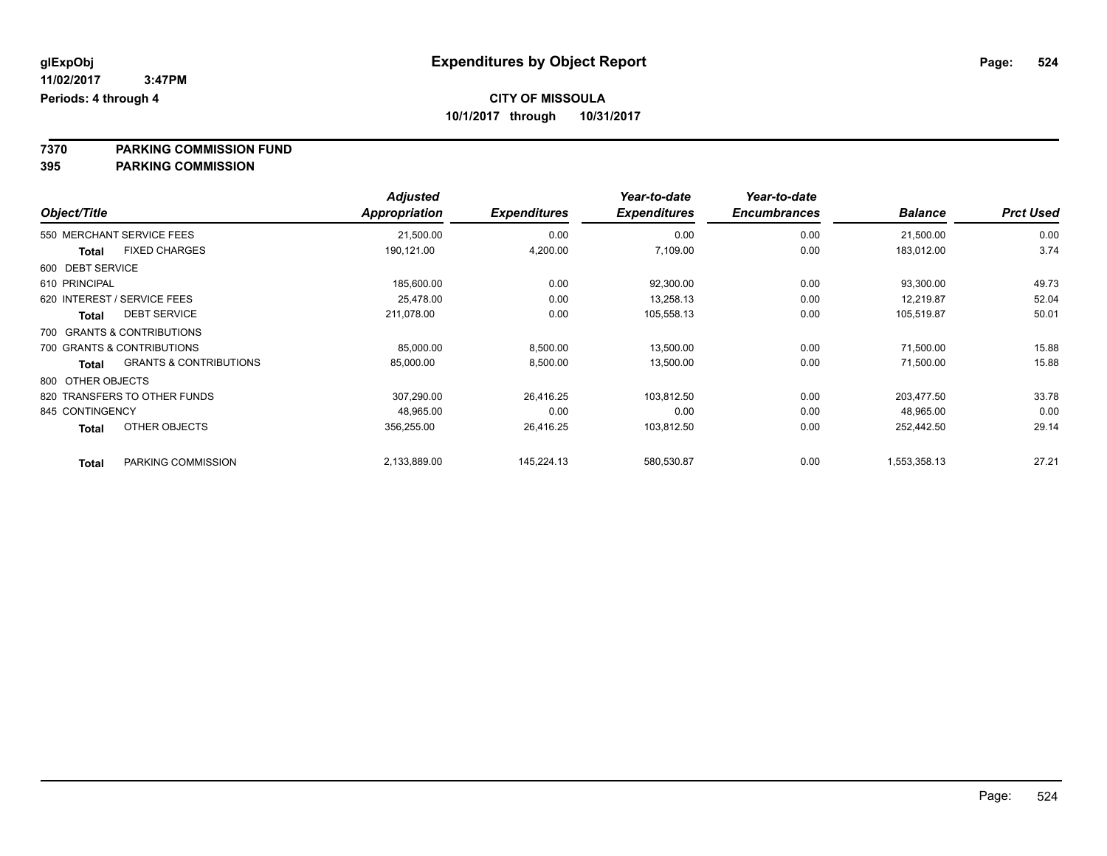**7370 PARKING COMMISSION FUND**

**395 PARKING COMMISSION**

|                   |                                   | <b>Adjusted</b>      |                     | Year-to-date        | Year-to-date        |                |                  |
|-------------------|-----------------------------------|----------------------|---------------------|---------------------|---------------------|----------------|------------------|
| Object/Title      |                                   | <b>Appropriation</b> | <b>Expenditures</b> | <b>Expenditures</b> | <b>Encumbrances</b> | <b>Balance</b> | <b>Prct Used</b> |
|                   | 550 MERCHANT SERVICE FEES         | 21,500.00            | 0.00                | 0.00                | 0.00                | 21,500.00      | 0.00             |
| Total             | <b>FIXED CHARGES</b>              | 190,121.00           | 4,200.00            | 7,109.00            | 0.00                | 183,012.00     | 3.74             |
| 600 DEBT SERVICE  |                                   |                      |                     |                     |                     |                |                  |
| 610 PRINCIPAL     |                                   | 185,600.00           | 0.00                | 92,300.00           | 0.00                | 93,300.00      | 49.73            |
|                   | 620 INTEREST / SERVICE FEES       | 25,478.00            | 0.00                | 13,258.13           | 0.00                | 12,219.87      | 52.04            |
| <b>Total</b>      | <b>DEBT SERVICE</b>               | 211.078.00           | 0.00                | 105,558.13          | 0.00                | 105,519.87     | 50.01            |
|                   | 700 GRANTS & CONTRIBUTIONS        |                      |                     |                     |                     |                |                  |
|                   | 700 GRANTS & CONTRIBUTIONS        | 85,000.00            | 8,500.00            | 13,500.00           | 0.00                | 71,500.00      | 15.88            |
| Total             | <b>GRANTS &amp; CONTRIBUTIONS</b> | 85,000.00            | 8,500.00            | 13,500.00           | 0.00                | 71,500.00      | 15.88            |
| 800 OTHER OBJECTS |                                   |                      |                     |                     |                     |                |                  |
|                   | 820 TRANSFERS TO OTHER FUNDS      | 307,290.00           | 26,416.25           | 103.812.50          | 0.00                | 203,477.50     | 33.78            |
| 845 CONTINGENCY   |                                   | 48,965.00            | 0.00                | 0.00                | 0.00                | 48,965.00      | 0.00             |
| <b>Total</b>      | OTHER OBJECTS                     | 356,255.00           | 26,416.25           | 103,812.50          | 0.00                | 252,442.50     | 29.14            |
| <b>Total</b>      | PARKING COMMISSION                | 2,133,889.00         | 145,224.13          | 580,530.87          | 0.00                | 1,553,358.13   | 27.21            |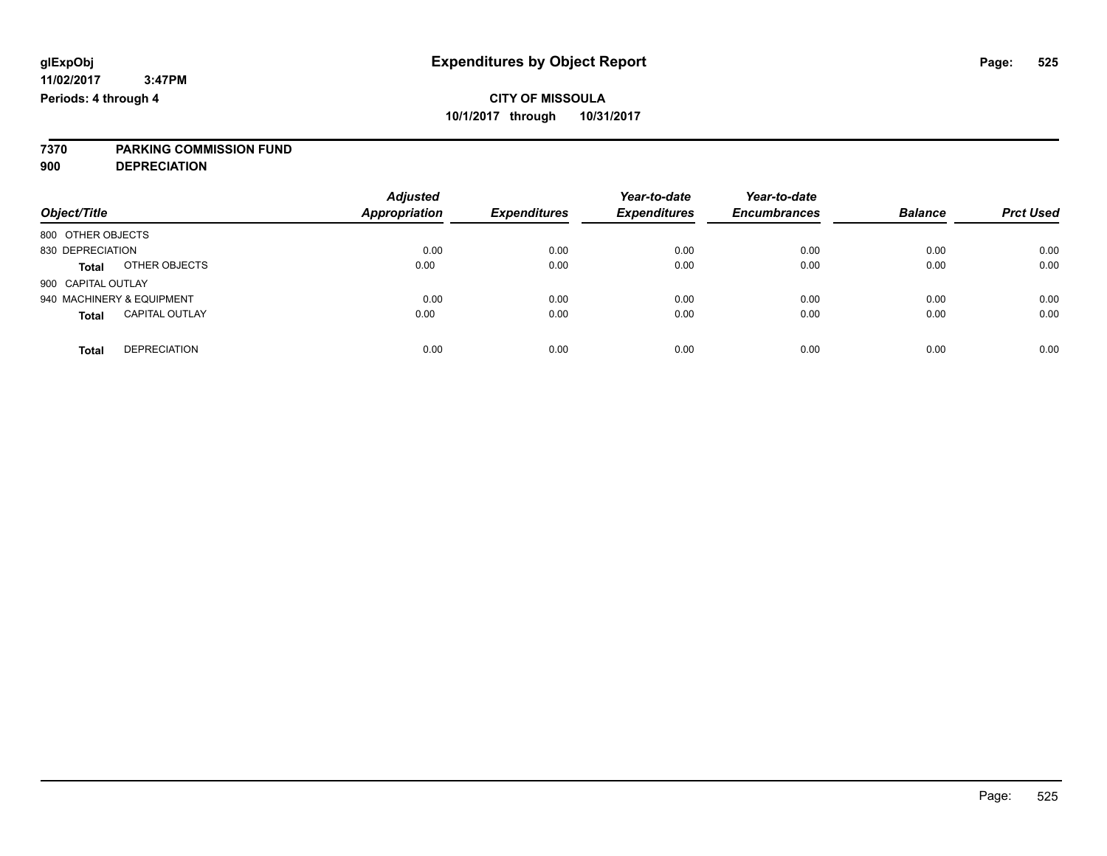# **7370 PARKING COMMISSION FUND**

**900 DEPRECIATION**

| Object/Title                          | <b>Adjusted</b><br><b>Appropriation</b> | <b>Expenditures</b> | Year-to-date<br><b>Expenditures</b> | Year-to-date<br><b>Encumbrances</b> | <b>Balance</b> | <b>Prct Used</b> |
|---------------------------------------|-----------------------------------------|---------------------|-------------------------------------|-------------------------------------|----------------|------------------|
| 800 OTHER OBJECTS                     |                                         |                     |                                     |                                     |                |                  |
| 830 DEPRECIATION                      | 0.00                                    | 0.00                | 0.00                                | 0.00                                | 0.00           | 0.00             |
| OTHER OBJECTS<br><b>Total</b>         | 0.00                                    | 0.00                | 0.00                                | 0.00                                | 0.00           | 0.00             |
| 900 CAPITAL OUTLAY                    |                                         |                     |                                     |                                     |                |                  |
| 940 MACHINERY & EQUIPMENT             | 0.00                                    | 0.00                | 0.00                                | 0.00                                | 0.00           | 0.00             |
| <b>CAPITAL OUTLAY</b><br><b>Total</b> | 0.00                                    | 0.00                | 0.00                                | 0.00                                | 0.00           | 0.00             |
| <b>DEPRECIATION</b><br><b>Total</b>   | 0.00                                    | 0.00                | 0.00                                | 0.00                                | 0.00           | 0.00             |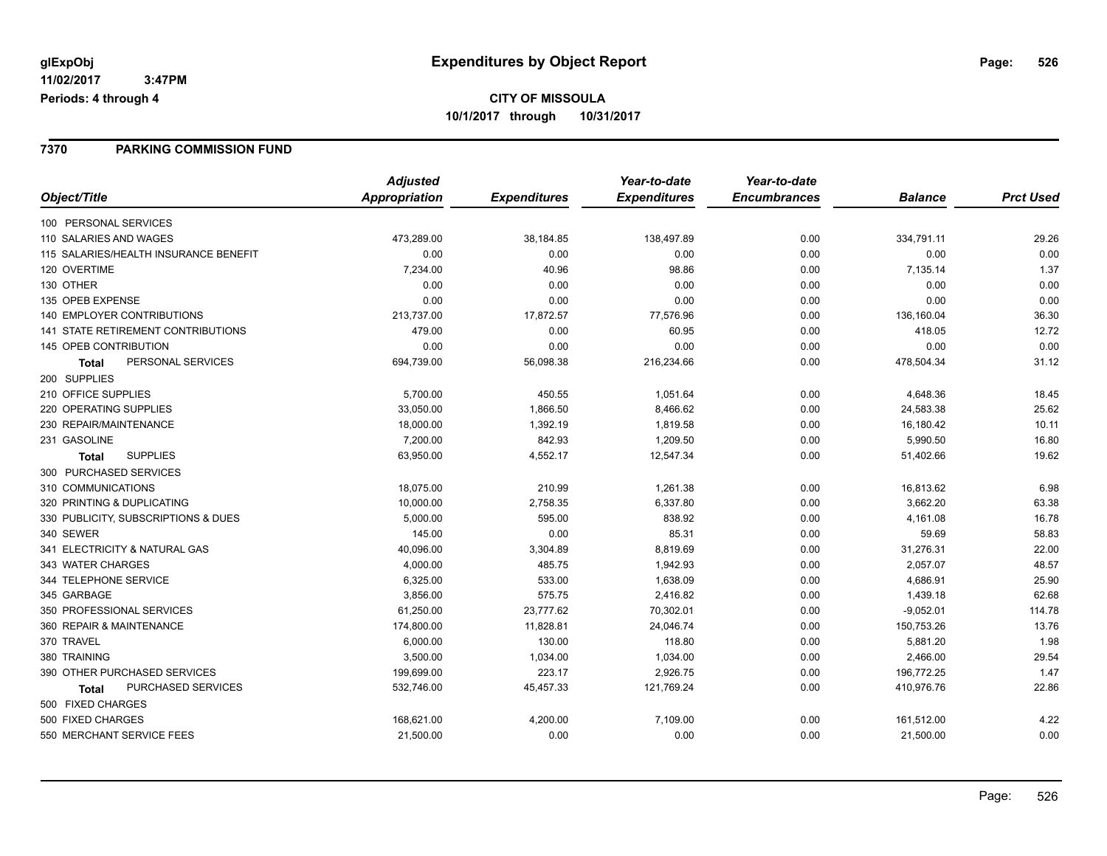### **7370 PARKING COMMISSION FUND**

|                                           | <b>Adjusted</b> |                     | Year-to-date        | Year-to-date        |                |                  |
|-------------------------------------------|-----------------|---------------------|---------------------|---------------------|----------------|------------------|
| Object/Title                              | Appropriation   | <b>Expenditures</b> | <b>Expenditures</b> | <b>Encumbrances</b> | <b>Balance</b> | <b>Prct Used</b> |
| 100 PERSONAL SERVICES                     |                 |                     |                     |                     |                |                  |
| 110 SALARIES AND WAGES                    | 473,289.00      | 38,184.85           | 138,497.89          | 0.00                | 334,791.11     | 29.26            |
| 115 SALARIES/HEALTH INSURANCE BENEFIT     | 0.00            | 0.00                | 0.00                | 0.00                | 0.00           | 0.00             |
| 120 OVERTIME                              | 7,234.00        | 40.96               | 98.86               | 0.00                | 7,135.14       | 1.37             |
| 130 OTHER                                 | 0.00            | 0.00                | 0.00                | 0.00                | 0.00           | 0.00             |
| 135 OPEB EXPENSE                          | 0.00            | 0.00                | 0.00                | 0.00                | 0.00           | 0.00             |
| <b>140 EMPLOYER CONTRIBUTIONS</b>         | 213,737.00      | 17,872.57           | 77,576.96           | 0.00                | 136,160.04     | 36.30            |
| 141 STATE RETIREMENT CONTRIBUTIONS        | 479.00          | 0.00                | 60.95               | 0.00                | 418.05         | 12.72            |
| 145 OPEB CONTRIBUTION                     | 0.00            | 0.00                | 0.00                | 0.00                | 0.00           | 0.00             |
| PERSONAL SERVICES<br><b>Total</b>         | 694,739.00      | 56,098.38           | 216,234.66          | 0.00                | 478,504.34     | 31.12            |
| 200 SUPPLIES                              |                 |                     |                     |                     |                |                  |
| 210 OFFICE SUPPLIES                       | 5,700.00        | 450.55              | 1,051.64            | 0.00                | 4,648.36       | 18.45            |
| 220 OPERATING SUPPLIES                    | 33,050.00       | 1,866.50            | 8,466.62            | 0.00                | 24,583.38      | 25.62            |
| 230 REPAIR/MAINTENANCE                    | 18,000.00       | 1,392.19            | 1,819.58            | 0.00                | 16,180.42      | 10.11            |
| 231 GASOLINE                              | 7,200.00        | 842.93              | 1,209.50            | 0.00                | 5,990.50       | 16.80            |
| <b>SUPPLIES</b><br>Total                  | 63,950.00       | 4,552.17            | 12,547.34           | 0.00                | 51,402.66      | 19.62            |
| 300 PURCHASED SERVICES                    |                 |                     |                     |                     |                |                  |
| 310 COMMUNICATIONS                        | 18,075.00       | 210.99              | 1,261.38            | 0.00                | 16,813.62      | 6.98             |
| 320 PRINTING & DUPLICATING                | 10,000.00       | 2,758.35            | 6,337.80            | 0.00                | 3,662.20       | 63.38            |
| 330 PUBLICITY, SUBSCRIPTIONS & DUES       | 5,000.00        | 595.00              | 838.92              | 0.00                | 4,161.08       | 16.78            |
| 340 SEWER                                 | 145.00          | 0.00                | 85.31               | 0.00                | 59.69          | 58.83            |
| 341 ELECTRICITY & NATURAL GAS             | 40,096.00       | 3,304.89            | 8,819.69            | 0.00                | 31,276.31      | 22.00            |
| 343 WATER CHARGES                         | 4,000.00        | 485.75              | 1,942.93            | 0.00                | 2,057.07       | 48.57            |
| 344 TELEPHONE SERVICE                     | 6,325.00        | 533.00              | 1,638.09            | 0.00                | 4,686.91       | 25.90            |
| 345 GARBAGE                               | 3,856.00        | 575.75              | 2,416.82            | 0.00                | 1,439.18       | 62.68            |
| 350 PROFESSIONAL SERVICES                 | 61,250.00       | 23,777.62           | 70,302.01           | 0.00                | $-9,052.01$    | 114.78           |
| 360 REPAIR & MAINTENANCE                  | 174,800.00      | 11,828.81           | 24,046.74           | 0.00                | 150,753.26     | 13.76            |
| 370 TRAVEL                                | 6,000.00        | 130.00              | 118.80              | 0.00                | 5,881.20       | 1.98             |
| 380 TRAINING                              | 3,500.00        | 1,034.00            | 1,034.00            | 0.00                | 2,466.00       | 29.54            |
| 390 OTHER PURCHASED SERVICES              | 199,699.00      | 223.17              | 2,926.75            | 0.00                | 196,772.25     | 1.47             |
| <b>PURCHASED SERVICES</b><br><b>Total</b> | 532,746.00      | 45,457.33           | 121,769.24          | 0.00                | 410,976.76     | 22.86            |
| 500 FIXED CHARGES                         |                 |                     |                     |                     |                |                  |
| 500 FIXED CHARGES                         | 168,621.00      | 4,200.00            | 7,109.00            | 0.00                | 161,512.00     | 4.22             |
| 550 MERCHANT SERVICE FEES                 | 21,500.00       | 0.00                | 0.00                | 0.00                | 21,500.00      | 0.00             |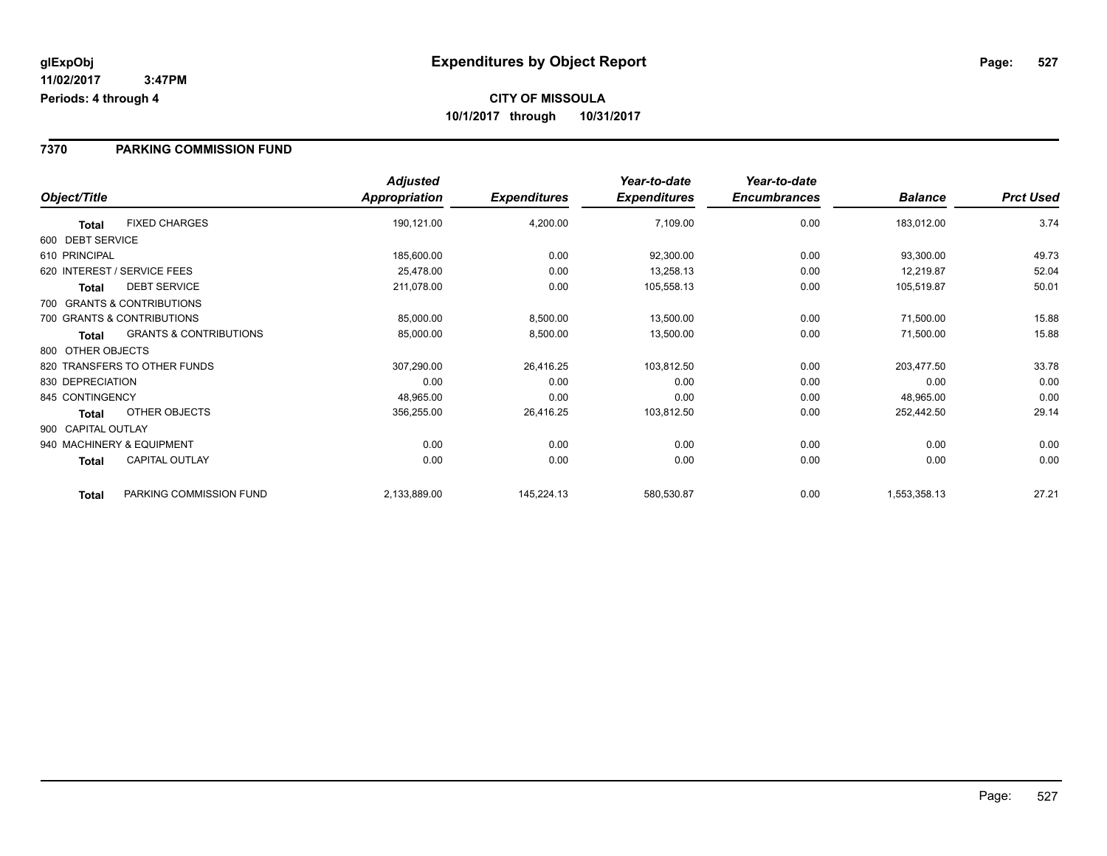#### **7370 PARKING COMMISSION FUND**

|                    |                                   | <b>Adjusted</b> |                     | Year-to-date        | Year-to-date        |                |                  |
|--------------------|-----------------------------------|-----------------|---------------------|---------------------|---------------------|----------------|------------------|
| Object/Title       |                                   | Appropriation   | <b>Expenditures</b> | <b>Expenditures</b> | <b>Encumbrances</b> | <b>Balance</b> | <b>Prct Used</b> |
| <b>Total</b>       | <b>FIXED CHARGES</b>              | 190,121.00      | 4,200.00            | 7,109.00            | 0.00                | 183,012.00     | 3.74             |
| 600 DEBT SERVICE   |                                   |                 |                     |                     |                     |                |                  |
| 610 PRINCIPAL      |                                   | 185,600.00      | 0.00                | 92,300.00           | 0.00                | 93,300.00      | 49.73            |
|                    | 620 INTEREST / SERVICE FEES       | 25,478.00       | 0.00                | 13,258.13           | 0.00                | 12,219.87      | 52.04            |
| <b>Total</b>       | <b>DEBT SERVICE</b>               | 211,078.00      | 0.00                | 105,558.13          | 0.00                | 105,519.87     | 50.01            |
|                    | 700 GRANTS & CONTRIBUTIONS        |                 |                     |                     |                     |                |                  |
|                    | 700 GRANTS & CONTRIBUTIONS        | 85,000.00       | 8,500.00            | 13,500.00           | 0.00                | 71,500.00      | 15.88            |
| <b>Total</b>       | <b>GRANTS &amp; CONTRIBUTIONS</b> | 85,000.00       | 8,500.00            | 13,500.00           | 0.00                | 71,500.00      | 15.88            |
| 800 OTHER OBJECTS  |                                   |                 |                     |                     |                     |                |                  |
|                    | 820 TRANSFERS TO OTHER FUNDS      | 307,290.00      | 26,416.25           | 103,812.50          | 0.00                | 203,477.50     | 33.78            |
| 830 DEPRECIATION   |                                   | 0.00            | 0.00                | 0.00                | 0.00                | 0.00           | 0.00             |
| 845 CONTINGENCY    |                                   | 48,965.00       | 0.00                | 0.00                | 0.00                | 48,965.00      | 0.00             |
| Total              | OTHER OBJECTS                     | 356,255.00      | 26,416.25           | 103,812.50          | 0.00                | 252,442.50     | 29.14            |
| 900 CAPITAL OUTLAY |                                   |                 |                     |                     |                     |                |                  |
|                    | 940 MACHINERY & EQUIPMENT         | 0.00            | 0.00                | 0.00                | 0.00                | 0.00           | 0.00             |
| Total              | <b>CAPITAL OUTLAY</b>             | 0.00            | 0.00                | 0.00                | 0.00                | 0.00           | 0.00             |
| <b>Total</b>       | PARKING COMMISSION FUND           | 2,133,889.00    | 145,224.13          | 580,530.87          | 0.00                | 1,553,358.13   | 27.21            |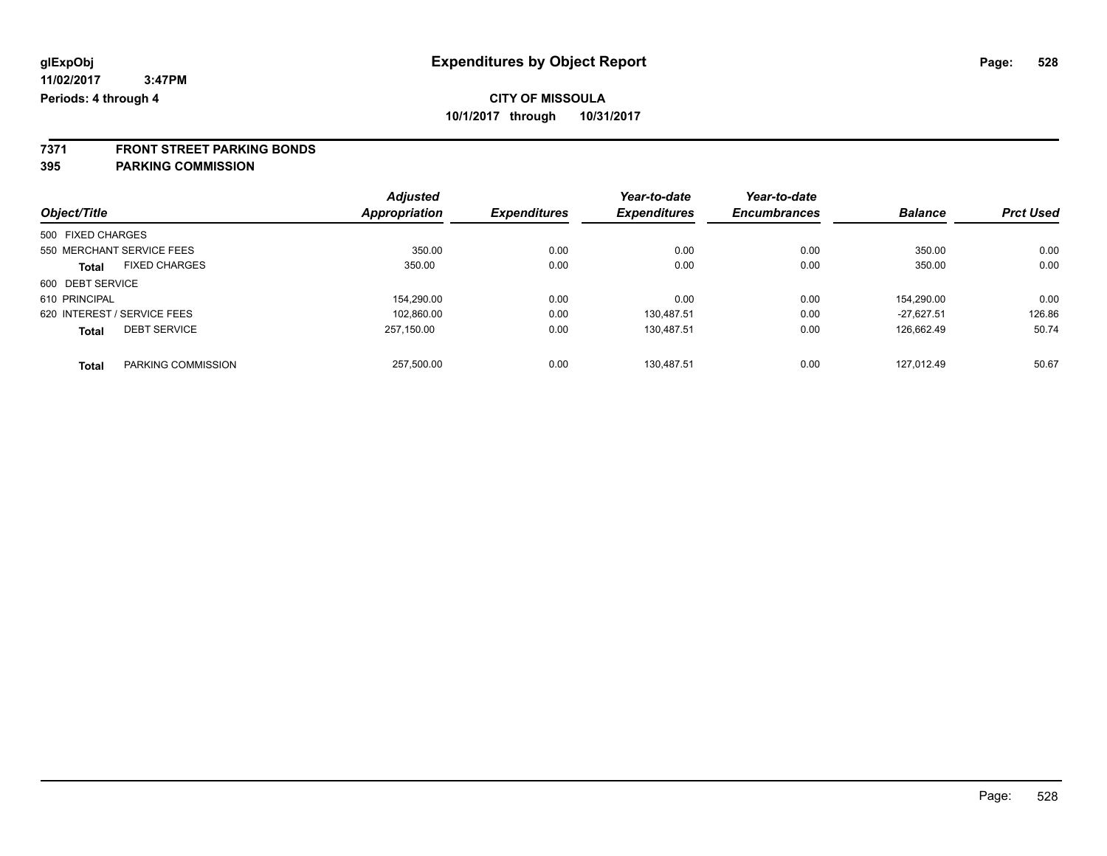**7371 FRONT STREET PARKING BONDS**

**395 PARKING COMMISSION**

|                   |                             | <b>Adjusted</b> |                     | Year-to-date        | Year-to-date        |                |                  |
|-------------------|-----------------------------|-----------------|---------------------|---------------------|---------------------|----------------|------------------|
| Object/Title      |                             | Appropriation   | <b>Expenditures</b> | <b>Expenditures</b> | <b>Encumbrances</b> | <b>Balance</b> | <b>Prct Used</b> |
| 500 FIXED CHARGES |                             |                 |                     |                     |                     |                |                  |
|                   | 550 MERCHANT SERVICE FEES   | 350.00          | 0.00                | 0.00                | 0.00                | 350.00         | 0.00             |
| <b>Total</b>      | <b>FIXED CHARGES</b>        | 350.00          | 0.00                | 0.00                | 0.00                | 350.00         | 0.00             |
| 600 DEBT SERVICE  |                             |                 |                     |                     |                     |                |                  |
| 610 PRINCIPAL     |                             | 154,290.00      | 0.00                | 0.00                | 0.00                | 154.290.00     | 0.00             |
|                   | 620 INTEREST / SERVICE FEES | 102,860.00      | 0.00                | 130,487.51          | 0.00                | $-27.627.51$   | 126.86           |
| <b>Total</b>      | <b>DEBT SERVICE</b>         | 257.150.00      | 0.00                | 130.487.51          | 0.00                | 126.662.49     | 50.74            |
| <b>Total</b>      | PARKING COMMISSION          | 257.500.00      | 0.00                | 130.487.51          | 0.00                | 127.012.49     | 50.67            |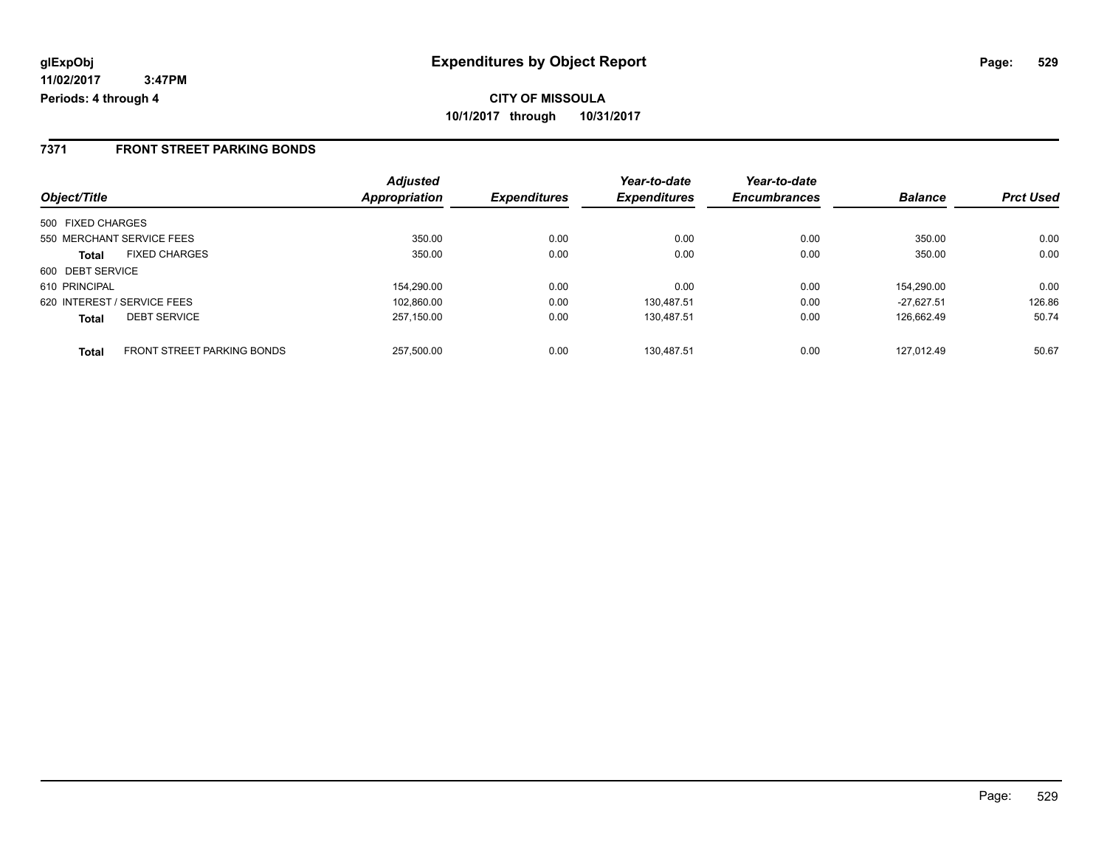### **7371 FRONT STREET PARKING BONDS**

| Object/Title                                      | <b>Adjusted</b><br>Appropriation | <b>Expenditures</b> | Year-to-date<br><b>Expenditures</b> | Year-to-date<br><b>Encumbrances</b> | <b>Balance</b> | <b>Prct Used</b> |
|---------------------------------------------------|----------------------------------|---------------------|-------------------------------------|-------------------------------------|----------------|------------------|
|                                                   |                                  |                     |                                     |                                     |                |                  |
| 500 FIXED CHARGES                                 |                                  |                     |                                     |                                     |                |                  |
| 550 MERCHANT SERVICE FEES                         | 350.00                           | 0.00                | 0.00                                | 0.00                                | 350.00         | 0.00             |
| <b>FIXED CHARGES</b><br><b>Total</b>              | 350.00                           | 0.00                | 0.00                                | 0.00                                | 350.00         | 0.00             |
| 600 DEBT SERVICE                                  |                                  |                     |                                     |                                     |                |                  |
| 610 PRINCIPAL                                     | 154.290.00                       | 0.00                | 0.00                                | 0.00                                | 154,290.00     | 0.00             |
| 620 INTEREST / SERVICE FEES                       | 102,860.00                       | 0.00                | 130.487.51                          | 0.00                                | $-27.627.51$   | 126.86           |
| <b>DEBT SERVICE</b><br><b>Total</b>               | 257.150.00                       | 0.00                | 130.487.51                          | 0.00                                | 126.662.49     | 50.74            |
| <b>FRONT STREET PARKING BONDS</b><br><b>Total</b> | 257.500.00                       | 0.00                | 130.487.51                          | 0.00                                | 127.012.49     | 50.67            |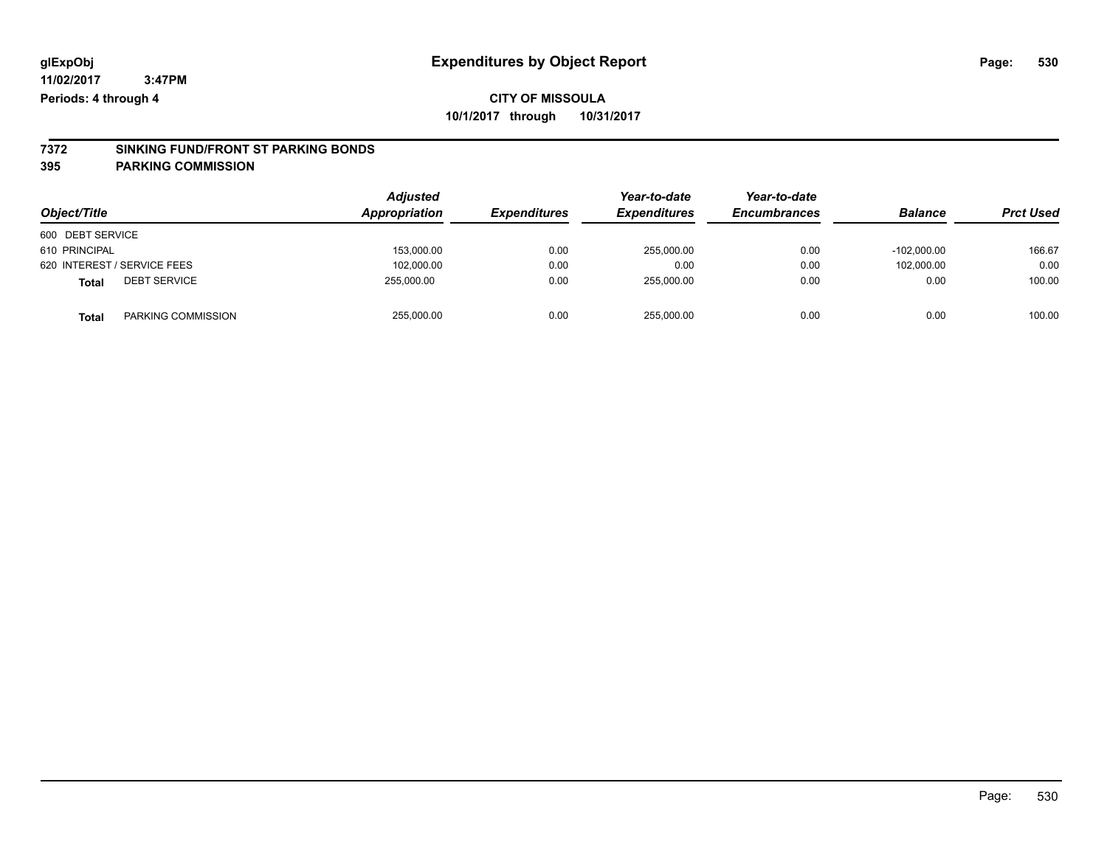# **7372 SINKING FUND/FRONT ST PARKING BONDS**

**395 PARKING COMMISSION**

| Object/Title                        | Adjusted<br>Appropriation | <b>Expenditures</b> | Year-to-date<br><b>Expenditures</b> | Year-to-date<br><b>Encumbrances</b> | <b>Balance</b> | <b>Prct Used</b> |
|-------------------------------------|---------------------------|---------------------|-------------------------------------|-------------------------------------|----------------|------------------|
| 600 DEBT SERVICE                    |                           |                     |                                     |                                     |                |                  |
| 610 PRINCIPAL                       | 153,000.00                | 0.00                | 255.000.00                          | 0.00                                | $-102.000.00$  | 166.67           |
| 620 INTEREST / SERVICE FEES         | 102,000.00                | 0.00                | 0.00                                | 0.00                                | 102.000.00     | 0.00             |
| <b>DEBT SERVICE</b><br><b>Total</b> | 255.000.00                | 0.00                | 255,000.00                          | 0.00                                | 0.00           | 100.00           |
| PARKING COMMISSION<br>Total         | 255,000.00                | 0.00                | 255.000.00                          | 0.00                                | 0.00           | 100.00           |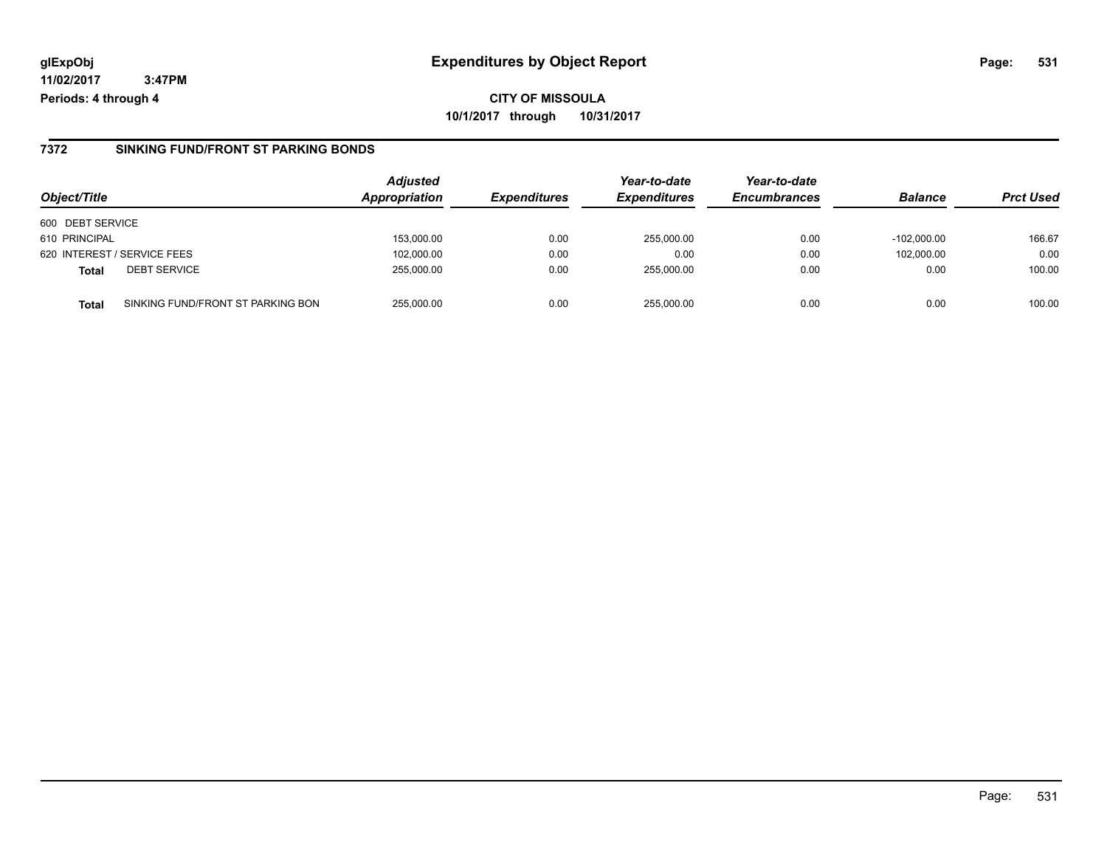### **7372 SINKING FUND/FRONT ST PARKING BONDS**

| Object/Title                |                                   | <b>Adjusted</b><br><b>Appropriation</b> | <b>Expenditures</b> | Year-to-date<br><b>Expenditures</b> | Year-to-date<br><b>Encumbrances</b> | <b>Balance</b> | <b>Prct Used</b> |
|-----------------------------|-----------------------------------|-----------------------------------------|---------------------|-------------------------------------|-------------------------------------|----------------|------------------|
| 600 DEBT SERVICE            |                                   |                                         |                     |                                     |                                     |                |                  |
| 610 PRINCIPAL               |                                   | 153,000.00                              | 0.00                | 255,000.00                          | 0.00                                | $-102.000.00$  | 166.67           |
| 620 INTEREST / SERVICE FEES |                                   | 102,000.00                              | 0.00                | 0.00                                | 0.00                                | 102.000.00     | 0.00             |
| <b>Total</b>                | <b>DEBT SERVICE</b>               | 255,000.00                              | 0.00                | 255.000.00                          | 0.00                                | 0.00           | 100.00           |
| <b>Total</b>                | SINKING FUND/FRONT ST PARKING BON | 255.000.00                              | 0.00                | 255.000.00                          | 0.00                                | 0.00           | 100.00           |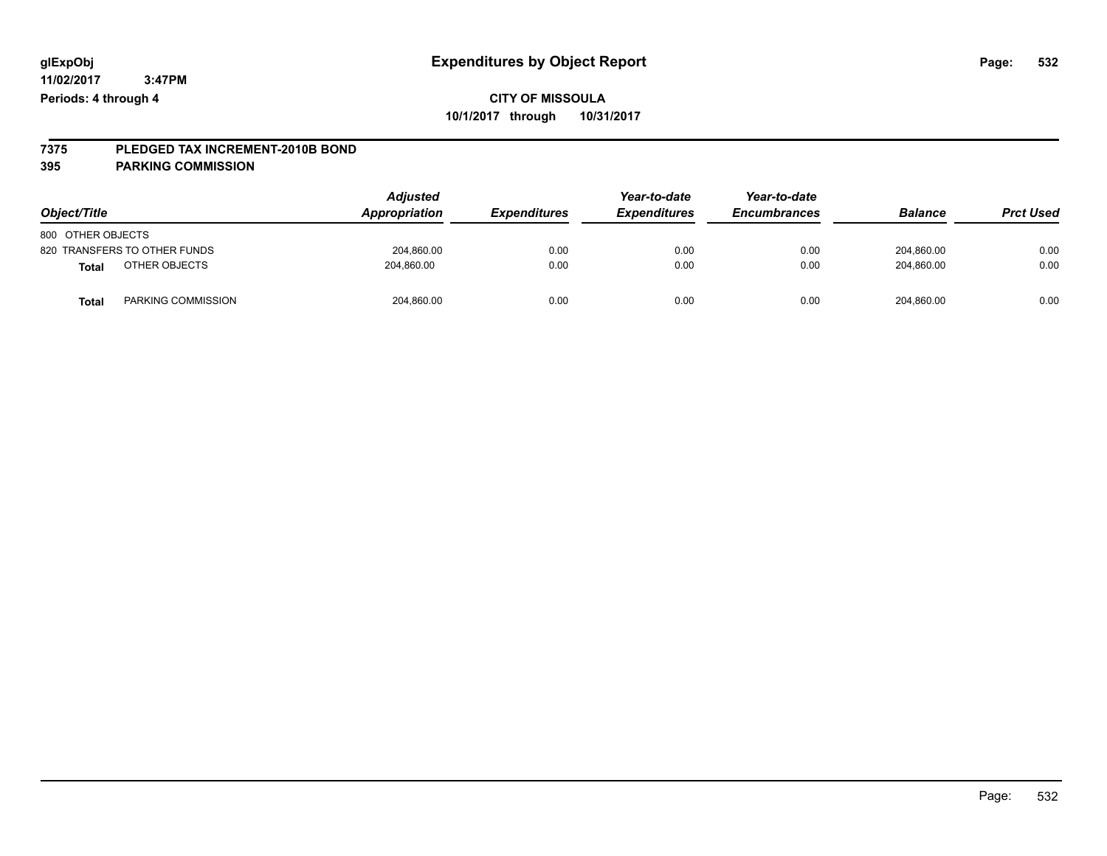# **7375 PLEDGED TAX INCREMENT-2010B BOND**

### **395 PARKING COMMISSION**

| Object/Title                       | <b>Adjusted</b><br>Appropriation | <b>Expenditures</b> | Year-to-date<br><b>Expenditures</b> | Year-to-date<br><b>Encumbrances</b> | <b>Balance</b> | <b>Prct Used</b> |
|------------------------------------|----------------------------------|---------------------|-------------------------------------|-------------------------------------|----------------|------------------|
| 800 OTHER OBJECTS                  |                                  |                     |                                     |                                     |                |                  |
| 820 TRANSFERS TO OTHER FUNDS       | 204.860.00                       | 0.00                | 0.00                                | 0.00                                | 204.860.00     | 0.00             |
| OTHER OBJECTS<br><b>Total</b>      | 204.860.00                       | 0.00                | 0.00                                | 0.00                                | 204.860.00     | 0.00             |
| PARKING COMMISSION<br><b>Total</b> | 204,860.00                       | 0.00                | 0.00                                | 0.00                                | 204,860.00     | 0.00             |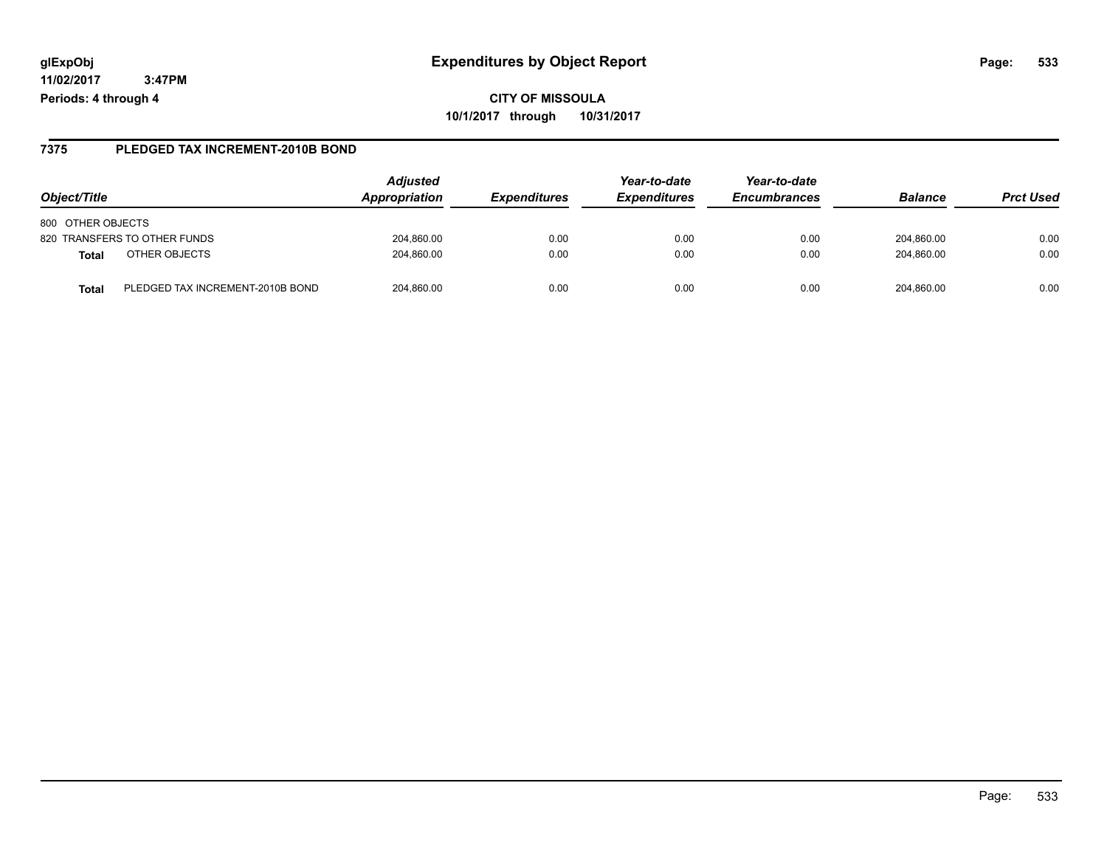**CITY OF MISSOULA 10/1/2017 through 10/31/2017**

### **7375 PLEDGED TAX INCREMENT-2010B BOND**

| Object/Title                              | <b>Adjusted</b><br>Appropriation | <i><b>Expenditures</b></i> | Year-to-date<br><b>Expenditures</b> | Year-to-date<br><b>Encumbrances</b> | <b>Balance</b> | <b>Prct Used</b> |
|-------------------------------------------|----------------------------------|----------------------------|-------------------------------------|-------------------------------------|----------------|------------------|
| 800 OTHER OBJECTS                         |                                  |                            |                                     |                                     |                |                  |
| 820 TRANSFERS TO OTHER FUNDS              | 204,860.00                       | 0.00                       | 0.00                                | 0.00                                | 204,860.00     | 0.00             |
| OTHER OBJECTS<br>Total                    | 204,860.00                       | 0.00                       | 0.00                                | 0.00                                | 204,860.00     | 0.00             |
| PLEDGED TAX INCREMENT-2010B BOND<br>Total | 204.860.00                       | 0.00                       | 0.00                                | 0.00                                | 204.860.00     | 0.00             |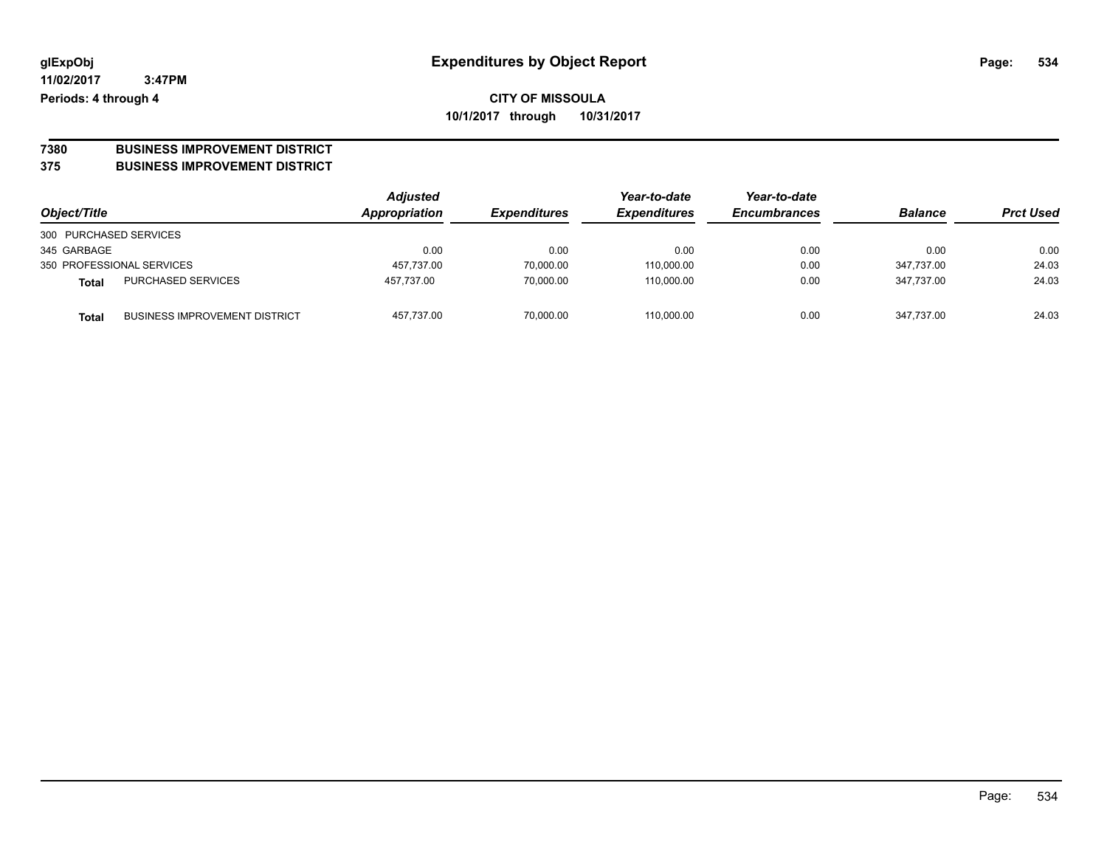**CITY OF MISSOULA 10/1/2017 through 10/31/2017**

# **7380 BUSINESS IMPROVEMENT DISTRICT**

**375 BUSINESS IMPROVEMENT DISTRICT**

| Object/Title                                  | <b>Adjusted</b><br><b>Appropriation</b> | <b>Expenditures</b> | Year-to-date<br><b>Expenditures</b> | Year-to-date<br><b>Encumbrances</b> | <b>Balance</b> | <b>Prct Used</b> |
|-----------------------------------------------|-----------------------------------------|---------------------|-------------------------------------|-------------------------------------|----------------|------------------|
| 300 PURCHASED SERVICES                        |                                         |                     |                                     |                                     |                |                  |
| 345 GARBAGE                                   | 0.00                                    | 0.00                | 0.00                                | 0.00                                | 0.00           | 0.00             |
| 350 PROFESSIONAL SERVICES                     | 457.737.00                              | 70,000.00           | 110,000.00                          | 0.00                                | 347.737.00     | 24.03            |
| PURCHASED SERVICES<br>Total                   | 457.737.00                              | 70.000.00           | 110.000.00                          | 0.00                                | 347.737.00     | 24.03            |
| <b>BUSINESS IMPROVEMENT DISTRICT</b><br>Total | 457,737.00                              | 70.000.00           | 110,000.00                          | 0.00                                | 347.737.00     | 24.03            |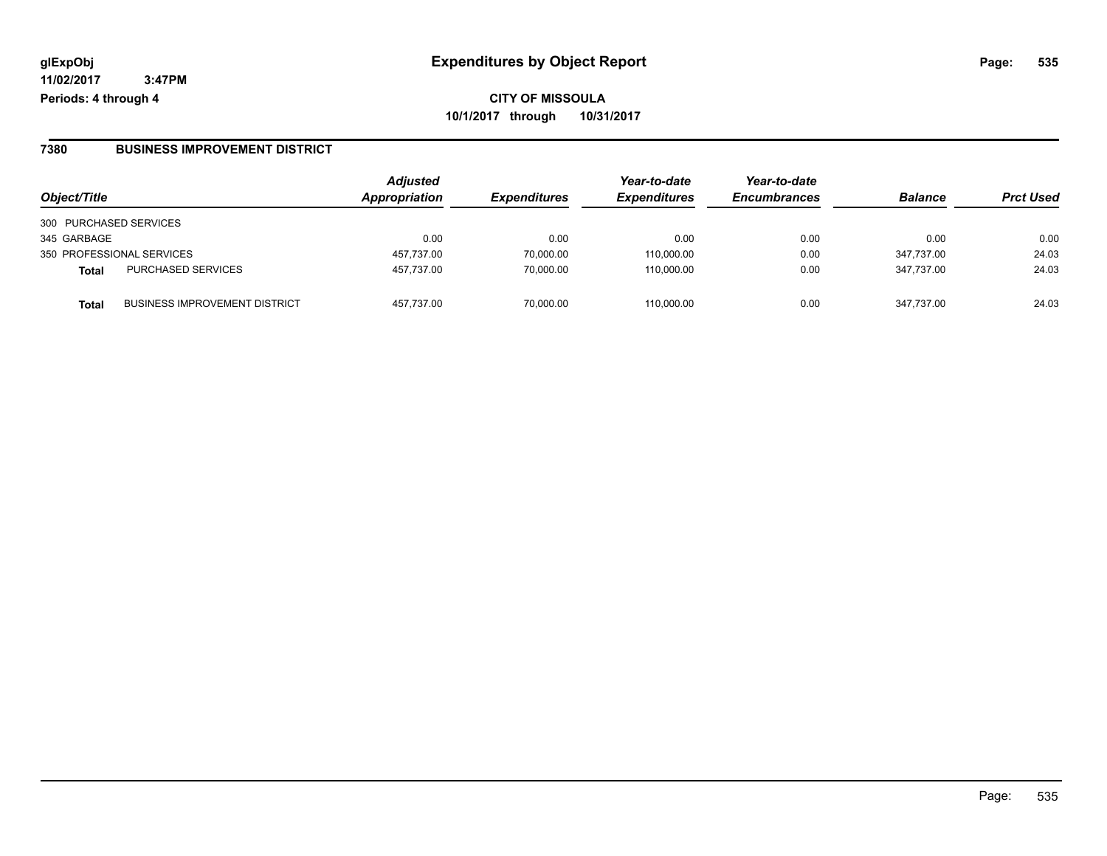**CITY OF MISSOULA 10/1/2017 through 10/31/2017**

#### **7380 BUSINESS IMPROVEMENT DISTRICT**

| Object/Title           |                                      | <b>Adjusted</b><br>Appropriation | <b>Expenditures</b> | Year-to-date<br><b>Expenditures</b> | Year-to-date<br><b>Encumbrances</b> | <b>Balance</b> | <b>Prct Used</b> |
|------------------------|--------------------------------------|----------------------------------|---------------------|-------------------------------------|-------------------------------------|----------------|------------------|
| 300 PURCHASED SERVICES |                                      |                                  |                     |                                     |                                     |                |                  |
| 345 GARBAGE            |                                      | 0.00                             | 0.00                | 0.00                                | 0.00                                | 0.00           | 0.00             |
|                        | 350 PROFESSIONAL SERVICES            | 457,737.00                       | 70,000.00           | 110,000.00                          | 0.00                                | 347.737.00     | 24.03            |
| <b>Total</b>           | <b>PURCHASED SERVICES</b>            | 457.737.00                       | 70.000.00           | 110.000.00                          | 0.00                                | 347.737.00     | 24.03            |
| <b>Total</b>           | <b>BUSINESS IMPROVEMENT DISTRICT</b> | 457.737.00                       | 70.000.00           | 110.000.00                          | 0.00                                | 347.737.00     | 24.03            |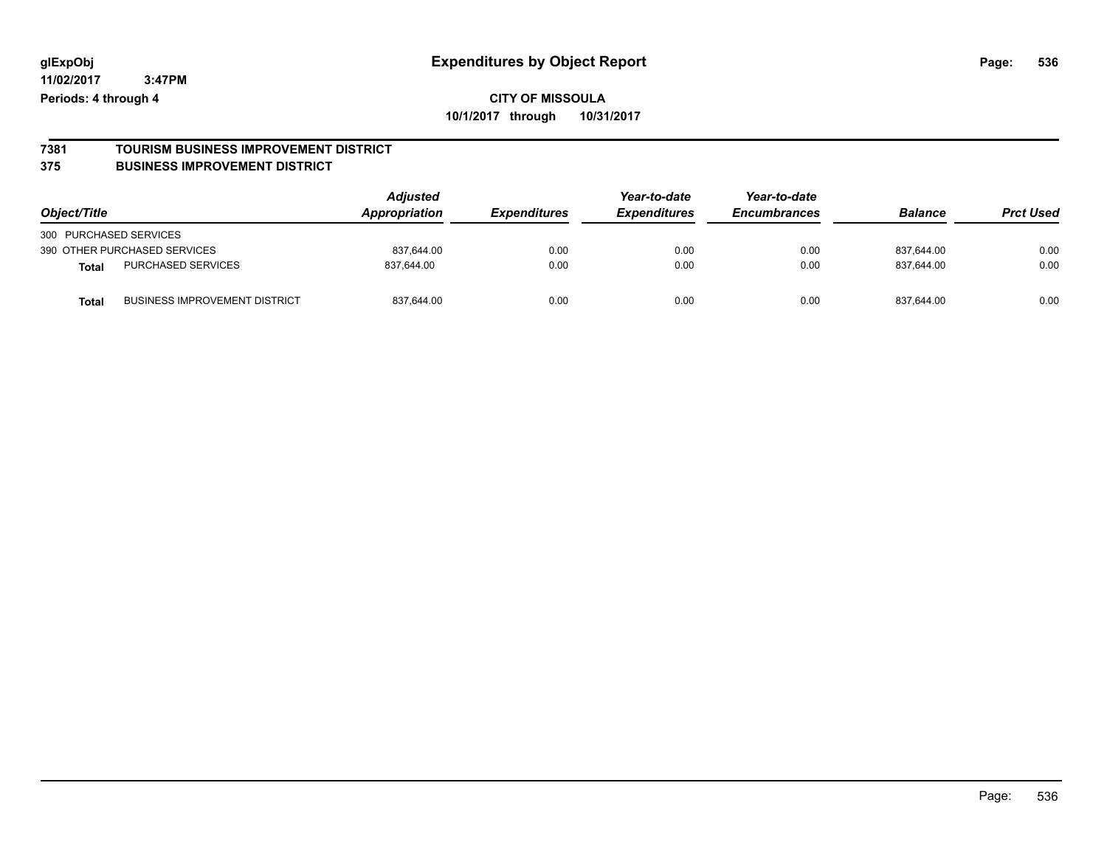### **CITY OF MISSOULA 10/1/2017 through 10/31/2017**

#### **7381 TOURISM BUSINESS IMPROVEMENT DISTRICT 375 BUSINESS IMPROVEMENT DISTRICT**

| Object/Title                                         | <b>Adjusted</b><br>Appropriation | <b>Expenditures</b> | Year-to-date<br><b>Expenditures</b> | Year-to-date<br><b>Encumbrances</b> | <b>Balance</b> | <b>Prct Used</b> |
|------------------------------------------------------|----------------------------------|---------------------|-------------------------------------|-------------------------------------|----------------|------------------|
| 300 PURCHASED SERVICES                               |                                  |                     |                                     |                                     |                |                  |
| 390 OTHER PURCHASED SERVICES                         | 837.644.00                       | 0.00                | 0.00                                | 0.00                                | 837.644.00     | 0.00             |
| <b>PURCHASED SERVICES</b><br>Total                   | 837.644.00                       | 0.00                | 0.00                                | 0.00                                | 837.644.00     | 0.00             |
| <b>BUSINESS IMPROVEMENT DISTRICT</b><br><b>Total</b> | 837,644.00                       | 0.00                | 0.00                                | 0.00                                | 837,644.00     | 0.00             |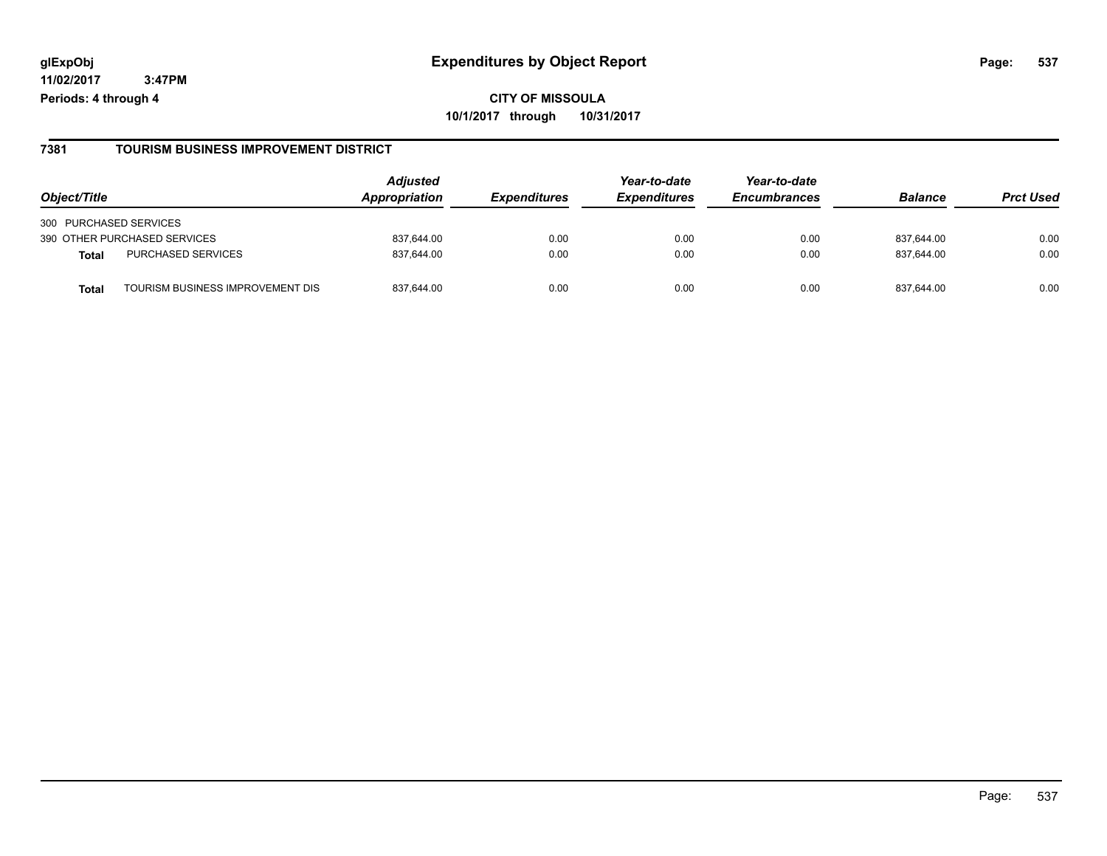### **7381 TOURISM BUSINESS IMPROVEMENT DISTRICT**

| Object/Title           |                                  | <b>Adjusted</b><br><b>Appropriation</b> | <b>Expenditures</b> | Year-to-date<br><b>Expenditures</b> | Year-to-date<br><b>Encumbrances</b> | <b>Balance</b> | <b>Prct Used</b> |
|------------------------|----------------------------------|-----------------------------------------|---------------------|-------------------------------------|-------------------------------------|----------------|------------------|
|                        |                                  |                                         |                     |                                     |                                     |                |                  |
| 300 PURCHASED SERVICES |                                  |                                         |                     |                                     |                                     |                |                  |
|                        | 390 OTHER PURCHASED SERVICES     | 837.644.00                              | 0.00                | 0.00                                | 0.00                                | 837.644.00     | 0.00             |
| <b>Total</b>           | PURCHASED SERVICES               | 837,644.00                              | 0.00                | 0.00                                | 0.00                                | 837.644.00     | 0.00             |
| Tota                   | TOURISM BUSINESS IMPROVEMENT DIS | 837.644.00                              | 0.00                | 0.00                                | 0.00                                | 837.644.00     | 0.00             |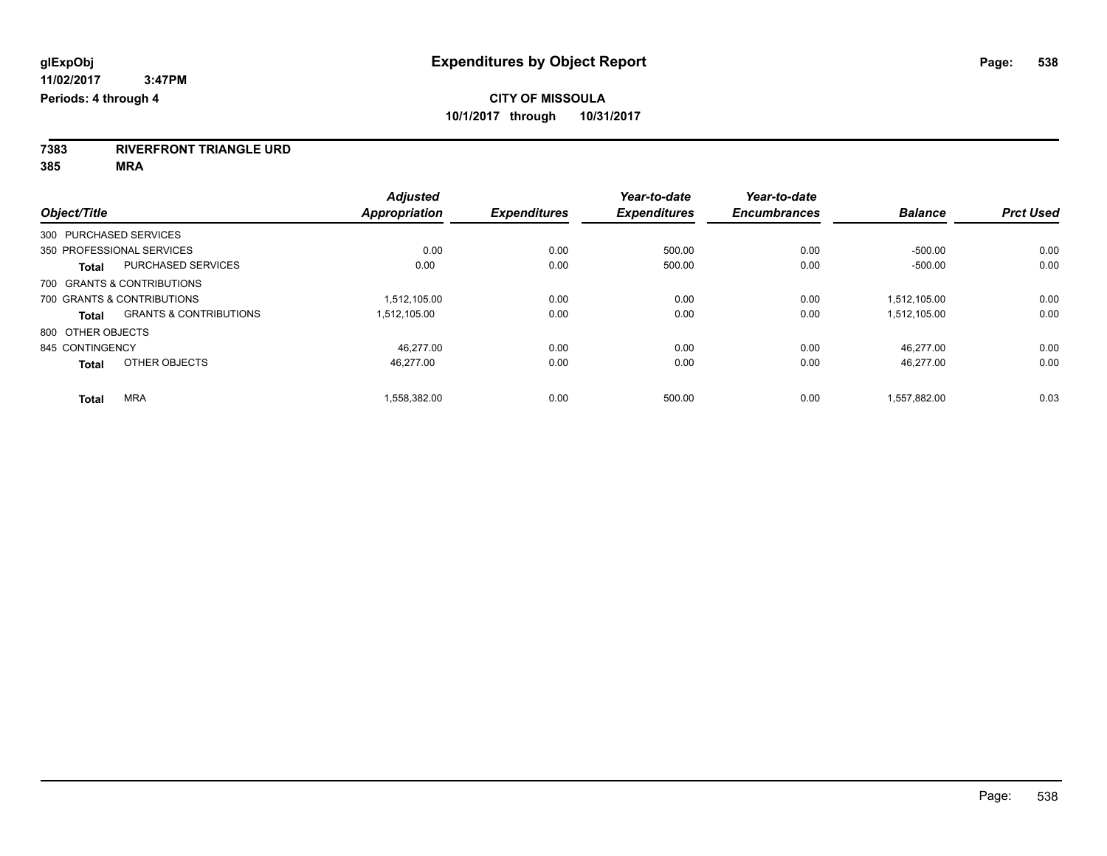**7383 RIVERFRONT TRIANGLE URD**

**385 MRA**

|                        |                                   | <b>Adjusted</b> |                     | Year-to-date        | Year-to-date        |                |                  |
|------------------------|-----------------------------------|-----------------|---------------------|---------------------|---------------------|----------------|------------------|
| Object/Title           |                                   | Appropriation   | <b>Expenditures</b> | <b>Expenditures</b> | <b>Encumbrances</b> | <b>Balance</b> | <b>Prct Used</b> |
| 300 PURCHASED SERVICES |                                   |                 |                     |                     |                     |                |                  |
|                        | 350 PROFESSIONAL SERVICES         | 0.00            | 0.00                | 500.00              | 0.00                | $-500.00$      | 0.00             |
| <b>Total</b>           | <b>PURCHASED SERVICES</b>         | 0.00            | 0.00                | 500.00              | 0.00                | $-500.00$      | 0.00             |
|                        | 700 GRANTS & CONTRIBUTIONS        |                 |                     |                     |                     |                |                  |
|                        | 700 GRANTS & CONTRIBUTIONS        | 1.512.105.00    | 0.00                | 0.00                | 0.00                | 1,512,105.00   | 0.00             |
| <b>Total</b>           | <b>GRANTS &amp; CONTRIBUTIONS</b> | 1.512.105.00    | 0.00                | 0.00                | 0.00                | 1,512,105.00   | 0.00             |
| 800 OTHER OBJECTS      |                                   |                 |                     |                     |                     |                |                  |
| 845 CONTINGENCY        |                                   | 46.277.00       | 0.00                | 0.00                | 0.00                | 46.277.00      | 0.00             |
| <b>Total</b>           | OTHER OBJECTS                     | 46.277.00       | 0.00                | 0.00                | 0.00                | 46,277.00      | 0.00             |
| <b>Total</b>           | <b>MRA</b>                        | 1,558,382.00    | 0.00                | 500.00              | 0.00                | 1,557,882.00   | 0.03             |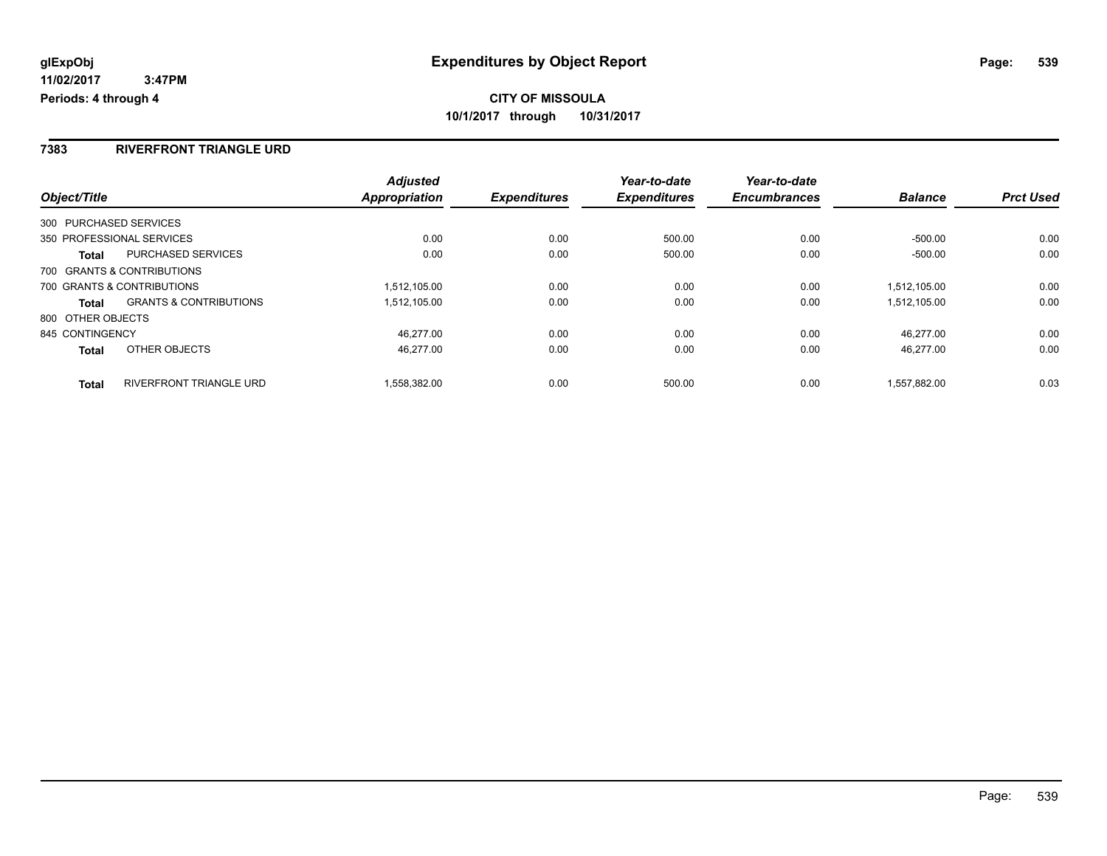### **7383 RIVERFRONT TRIANGLE URD**

|                        |                                   | <b>Adjusted</b>      |                     | Year-to-date        | Year-to-date        |                |                  |
|------------------------|-----------------------------------|----------------------|---------------------|---------------------|---------------------|----------------|------------------|
| Object/Title           |                                   | <b>Appropriation</b> | <b>Expenditures</b> | <b>Expenditures</b> | <b>Encumbrances</b> | <b>Balance</b> | <b>Prct Used</b> |
| 300 PURCHASED SERVICES |                                   |                      |                     |                     |                     |                |                  |
|                        | 350 PROFESSIONAL SERVICES         | 0.00                 | 0.00                | 500.00              | 0.00                | $-500.00$      | 0.00             |
| Total                  | <b>PURCHASED SERVICES</b>         | 0.00                 | 0.00                | 500.00              | 0.00                | $-500.00$      | 0.00             |
|                        | 700 GRANTS & CONTRIBUTIONS        |                      |                     |                     |                     |                |                  |
|                        | 700 GRANTS & CONTRIBUTIONS        | 1.512.105.00         | 0.00                | 0.00                | 0.00                | 1.512.105.00   | 0.00             |
| <b>Total</b>           | <b>GRANTS &amp; CONTRIBUTIONS</b> | 1,512,105.00         | 0.00                | 0.00                | 0.00                | 1.512.105.00   | 0.00             |
| 800 OTHER OBJECTS      |                                   |                      |                     |                     |                     |                |                  |
| 845 CONTINGENCY        |                                   | 46.277.00            | 0.00                | 0.00                | 0.00                | 46.277.00      | 0.00             |
| <b>Total</b>           | OTHER OBJECTS                     | 46.277.00            | 0.00                | 0.00                | 0.00                | 46.277.00      | 0.00             |
| <b>Total</b>           | <b>RIVERFRONT TRIANGLE URD</b>    | 1.558.382.00         | 0.00                | 500.00              | 0.00                | 1.557.882.00   | 0.03             |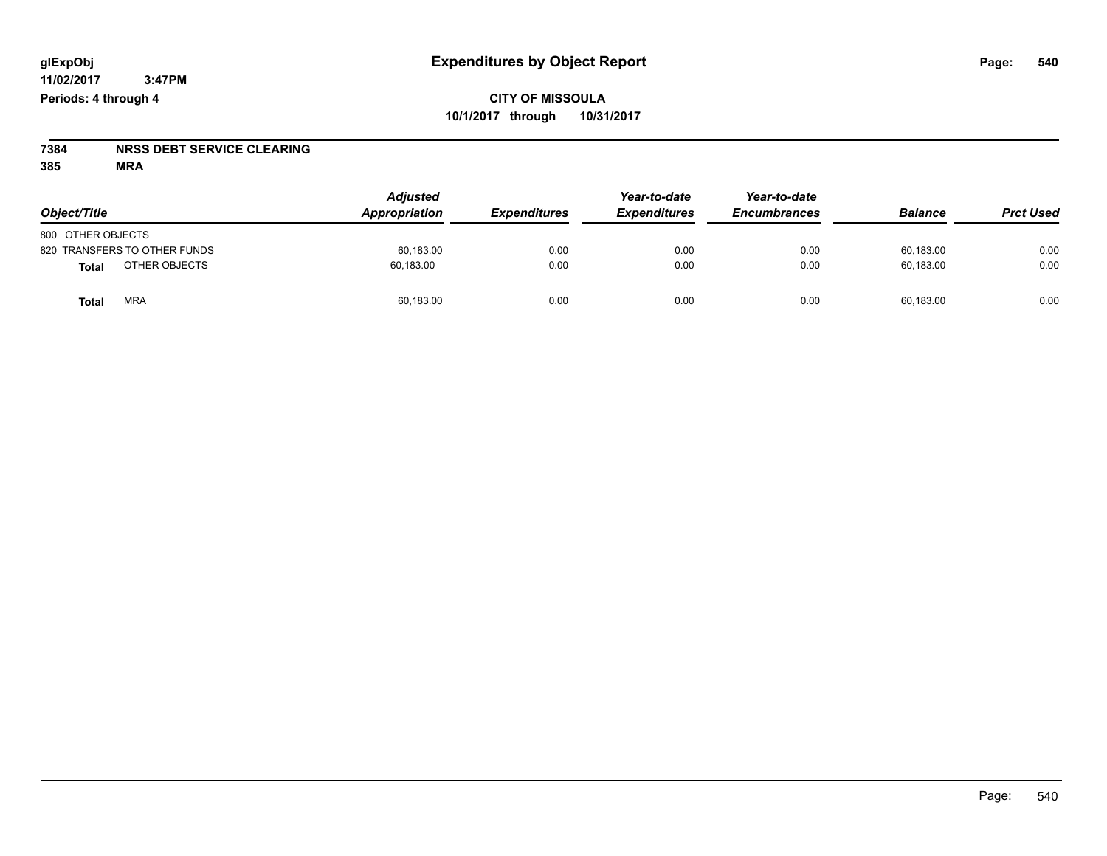# **7384 NRSS DEBT SERVICE CLEARING**

**385 MRA**

| Object/Title                 | <b>Adjusted</b><br>Appropriation | <b>Expenditures</b> | Year-to-date<br><b>Expenditures</b> | Year-to-date<br><b>Encumbrances</b> | <b>Balance</b> | <b>Prct Used</b> |
|------------------------------|----------------------------------|---------------------|-------------------------------------|-------------------------------------|----------------|------------------|
| 800 OTHER OBJECTS            |                                  |                     |                                     |                                     |                |                  |
| 820 TRANSFERS TO OTHER FUNDS | 60,183.00                        | 0.00                | 0.00                                | 0.00                                | 60,183.00      | 0.00             |
| OTHER OBJECTS<br>Total       | 60,183.00                        | 0.00                | 0.00                                | 0.00                                | 60,183.00      | 0.00             |
| <b>MRA</b><br>Total          | 60,183.00                        | 0.00                | 0.00                                | 0.00                                | 60,183.00      | 0.00             |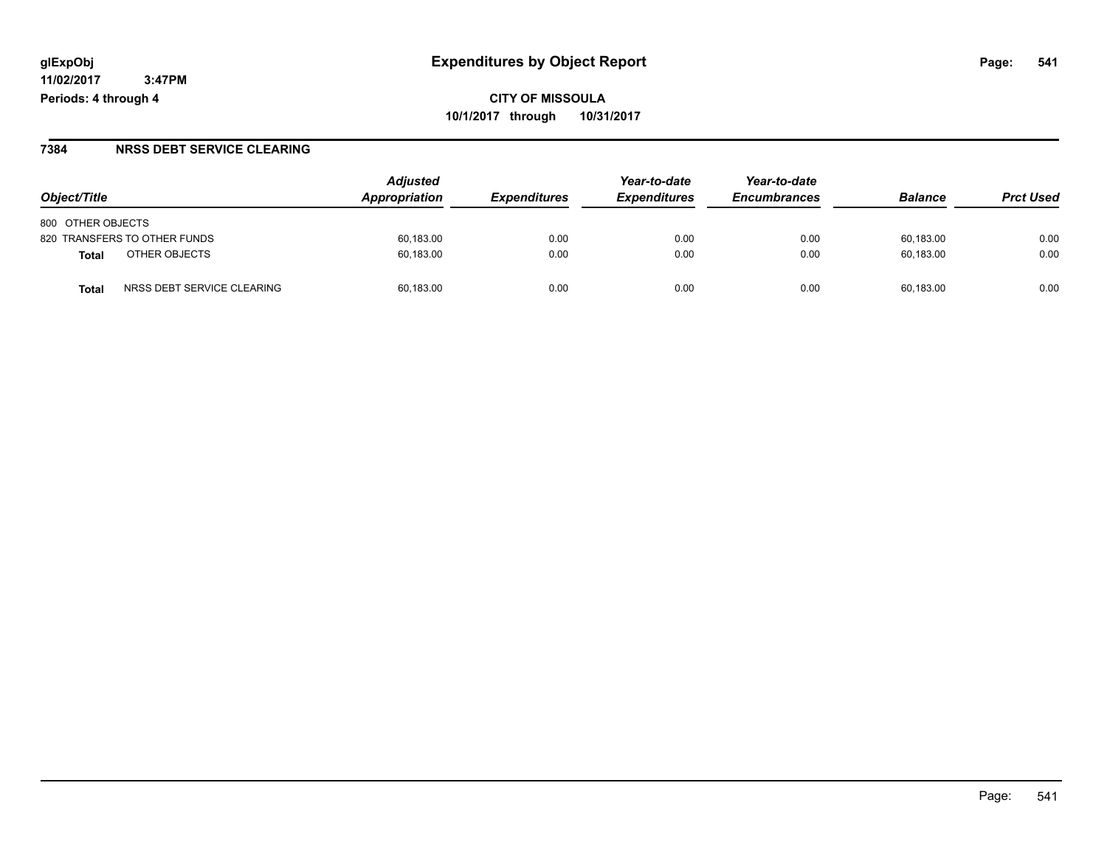#### **7384 NRSS DEBT SERVICE CLEARING**

| Object/Title                       | <b>Adjusted</b><br>Appropriation | <i><b>Expenditures</b></i> | Year-to-date<br><b>Expenditures</b> | Year-to-date<br><b>Encumbrances</b> | <b>Balance</b> | <b>Prct Used</b> |
|------------------------------------|----------------------------------|----------------------------|-------------------------------------|-------------------------------------|----------------|------------------|
| 800 OTHER OBJECTS                  |                                  |                            |                                     |                                     |                |                  |
| 820 TRANSFERS TO OTHER FUNDS       | 60,183.00                        | 0.00                       | 0.00                                | 0.00                                | 60.183.00      | 0.00             |
| OTHER OBJECTS<br>Total             | 60,183.00                        | 0.00                       | 0.00                                | 0.00                                | 60.183.00      | 0.00             |
| NRSS DEBT SERVICE CLEARING<br>Tota | 60.183.00                        | 0.00                       | 0.00                                | 0.00                                | 60.183.00      | 0.00             |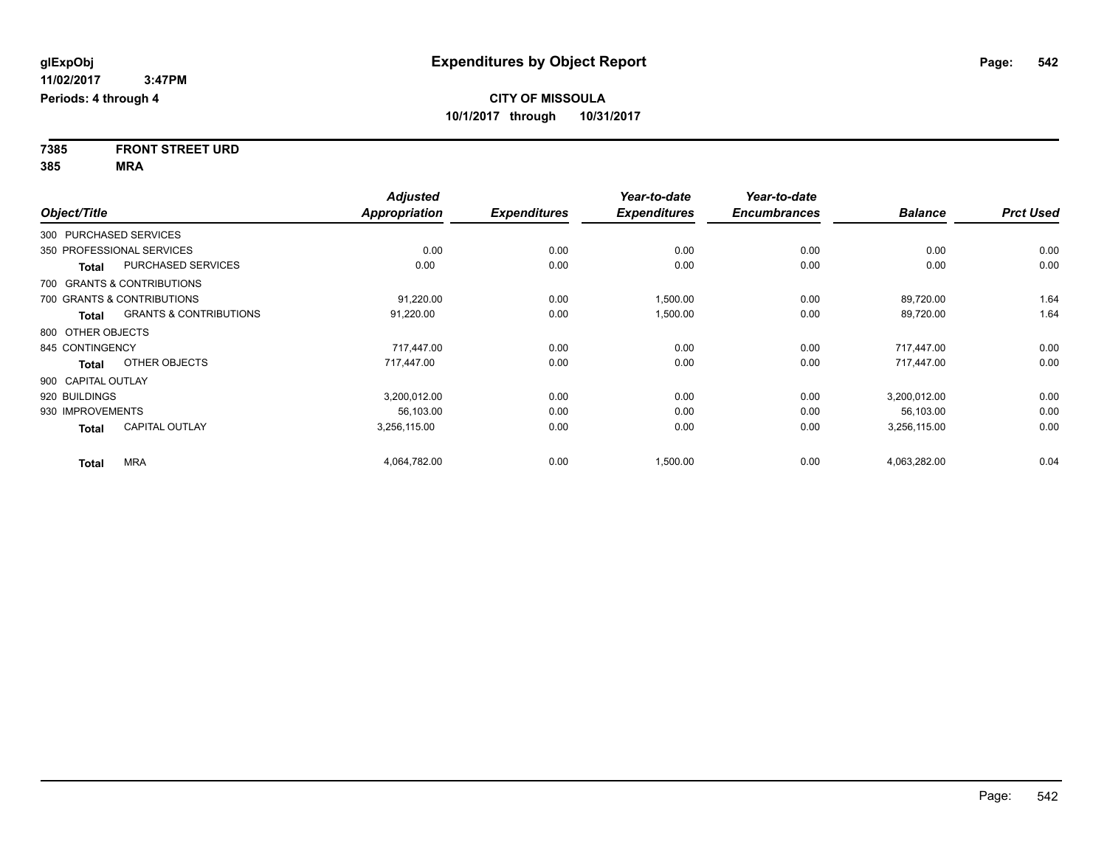**7385 FRONT STREET URD 385 MRA**

|                        |                                   | <b>Adjusted</b>      |                     | Year-to-date        | Year-to-date        |                |                  |
|------------------------|-----------------------------------|----------------------|---------------------|---------------------|---------------------|----------------|------------------|
| Object/Title           |                                   | <b>Appropriation</b> | <b>Expenditures</b> | <b>Expenditures</b> | <b>Encumbrances</b> | <b>Balance</b> | <b>Prct Used</b> |
| 300 PURCHASED SERVICES |                                   |                      |                     |                     |                     |                |                  |
|                        | 350 PROFESSIONAL SERVICES         | 0.00                 | 0.00                | 0.00                | 0.00                | 0.00           | 0.00             |
| <b>Total</b>           | PURCHASED SERVICES                | 0.00                 | 0.00                | 0.00                | 0.00                | 0.00           | 0.00             |
|                        | 700 GRANTS & CONTRIBUTIONS        |                      |                     |                     |                     |                |                  |
|                        | 700 GRANTS & CONTRIBUTIONS        | 91,220.00            | 0.00                | 1,500.00            | 0.00                | 89,720.00      | 1.64             |
| <b>Total</b>           | <b>GRANTS &amp; CONTRIBUTIONS</b> | 91,220.00            | 0.00                | 1,500.00            | 0.00                | 89,720.00      | 1.64             |
| 800 OTHER OBJECTS      |                                   |                      |                     |                     |                     |                |                  |
| 845 CONTINGENCY        |                                   | 717,447.00           | 0.00                | 0.00                | 0.00                | 717,447.00     | 0.00             |
| <b>Total</b>           | OTHER OBJECTS                     | 717,447.00           | 0.00                | 0.00                | 0.00                | 717,447.00     | 0.00             |
| 900 CAPITAL OUTLAY     |                                   |                      |                     |                     |                     |                |                  |
| 920 BUILDINGS          |                                   | 3,200,012.00         | 0.00                | 0.00                | 0.00                | 3,200,012.00   | 0.00             |
| 930 IMPROVEMENTS       |                                   | 56,103.00            | 0.00                | 0.00                | 0.00                | 56,103.00      | 0.00             |
| <b>Total</b>           | <b>CAPITAL OUTLAY</b>             | 3,256,115.00         | 0.00                | 0.00                | 0.00                | 3,256,115.00   | 0.00             |
| <b>Total</b>           | <b>MRA</b>                        | 4,064,782.00         | 0.00                | 1,500.00            | 0.00                | 4,063,282.00   | 0.04             |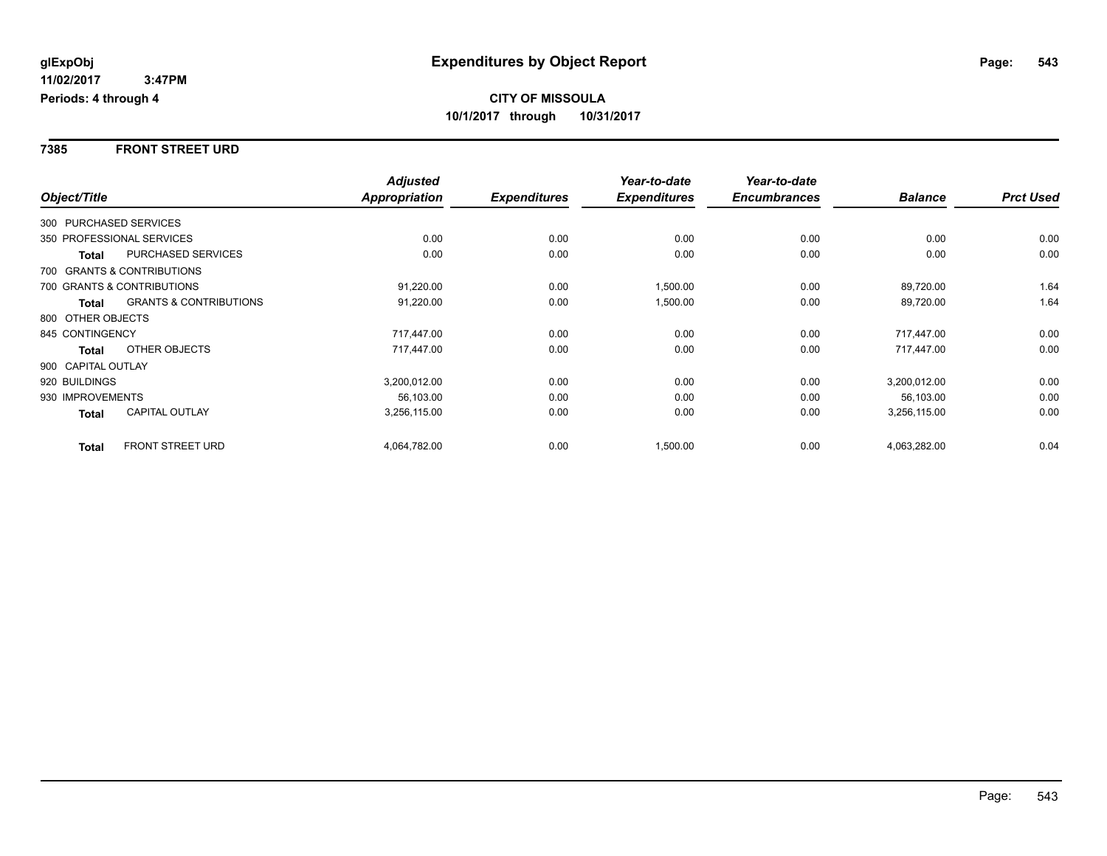#### **7385 FRONT STREET URD**

|                        |                                   | <b>Adjusted</b> |                     | Year-to-date        | Year-to-date        |                |                  |
|------------------------|-----------------------------------|-----------------|---------------------|---------------------|---------------------|----------------|------------------|
| Object/Title           |                                   | Appropriation   | <b>Expenditures</b> | <b>Expenditures</b> | <b>Encumbrances</b> | <b>Balance</b> | <b>Prct Used</b> |
| 300 PURCHASED SERVICES |                                   |                 |                     |                     |                     |                |                  |
|                        | 350 PROFESSIONAL SERVICES         | 0.00            | 0.00                | 0.00                | 0.00                | 0.00           | 0.00             |
| Total                  | PURCHASED SERVICES                | 0.00            | 0.00                | 0.00                | 0.00                | 0.00           | 0.00             |
|                        | 700 GRANTS & CONTRIBUTIONS        |                 |                     |                     |                     |                |                  |
|                        | 700 GRANTS & CONTRIBUTIONS        | 91,220.00       | 0.00                | 1,500.00            | 0.00                | 89,720.00      | 1.64             |
| Total                  | <b>GRANTS &amp; CONTRIBUTIONS</b> | 91,220.00       | 0.00                | 1,500.00            | 0.00                | 89,720.00      | 1.64             |
| 800 OTHER OBJECTS      |                                   |                 |                     |                     |                     |                |                  |
| 845 CONTINGENCY        |                                   | 717,447.00      | 0.00                | 0.00                | 0.00                | 717.447.00     | 0.00             |
| Total                  | OTHER OBJECTS                     | 717.447.00      | 0.00                | 0.00                | 0.00                | 717.447.00     | 0.00             |
| 900 CAPITAL OUTLAY     |                                   |                 |                     |                     |                     |                |                  |
| 920 BUILDINGS          |                                   | 3,200,012.00    | 0.00                | 0.00                | 0.00                | 3,200,012.00   | 0.00             |
| 930 IMPROVEMENTS       |                                   | 56,103.00       | 0.00                | 0.00                | 0.00                | 56,103.00      | 0.00             |
| Total                  | <b>CAPITAL OUTLAY</b>             | 3,256,115.00    | 0.00                | 0.00                | 0.00                | 3,256,115.00   | 0.00             |
| <b>Total</b>           | <b>FRONT STREET URD</b>           | 4,064,782.00    | 0.00                | 1,500.00            | 0.00                | 4,063,282.00   | 0.04             |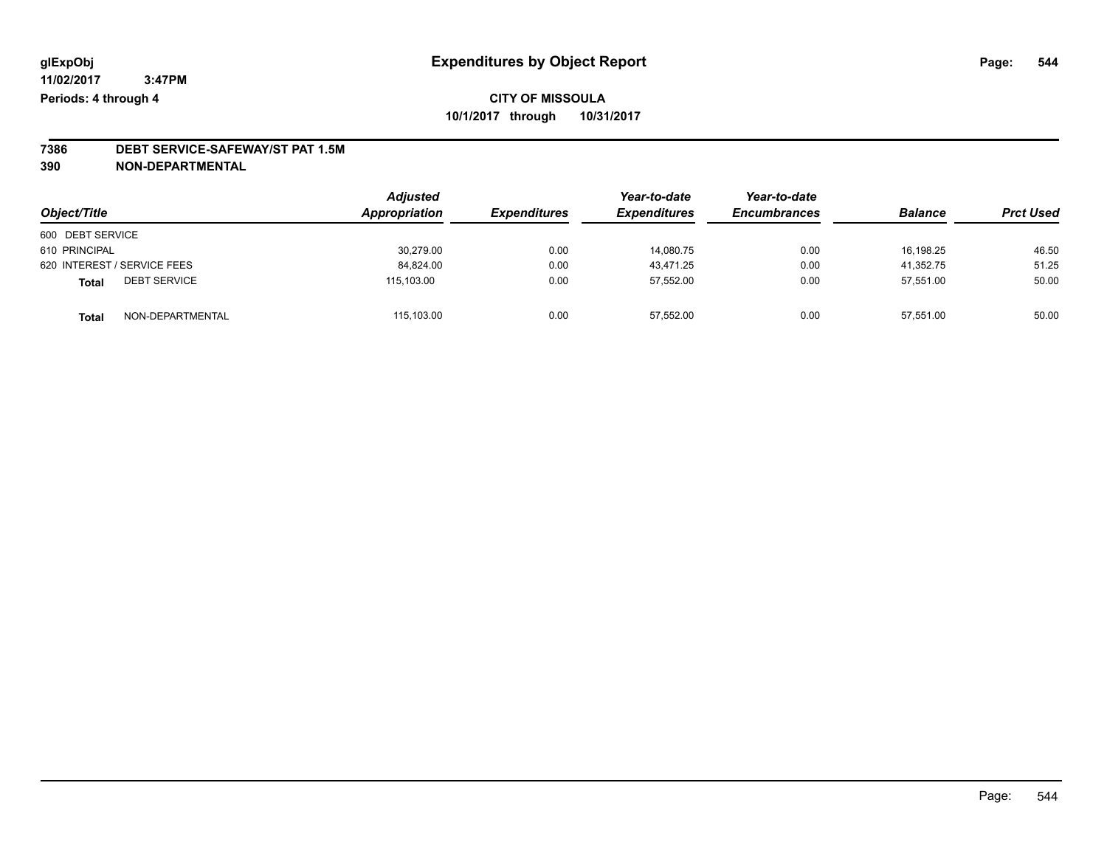# **7386 DEBT SERVICE-SAFEWAY/ST PAT 1.5M**

**390 NON-DEPARTMENTAL**

| Object/Title                        | <b>Adjusted</b><br>Appropriation | <b>Expenditures</b> | Year-to-date<br><b>Expenditures</b> | Year-to-date<br><b>Encumbrances</b> | <b>Balance</b> | <b>Prct Used</b> |
|-------------------------------------|----------------------------------|---------------------|-------------------------------------|-------------------------------------|----------------|------------------|
| 600 DEBT SERVICE                    |                                  |                     |                                     |                                     |                |                  |
| 610 PRINCIPAL                       | 30.279.00                        | 0.00                | 14.080.75                           | 0.00                                | 16.198.25      | 46.50            |
| 620 INTEREST / SERVICE FEES         | 84,824.00                        | 0.00                | 43.471.25                           | 0.00                                | 41.352.75      | 51.25            |
| <b>DEBT SERVICE</b><br><b>Total</b> | 115.103.00                       | 0.00                | 57,552.00                           | 0.00                                | 57.551.00      | 50.00            |
| NON-DEPARTMENTAL<br><b>Total</b>    | 115.103.00                       | 0.00                | 57.552.00                           | 0.00                                | 57.551.00      | 50.00            |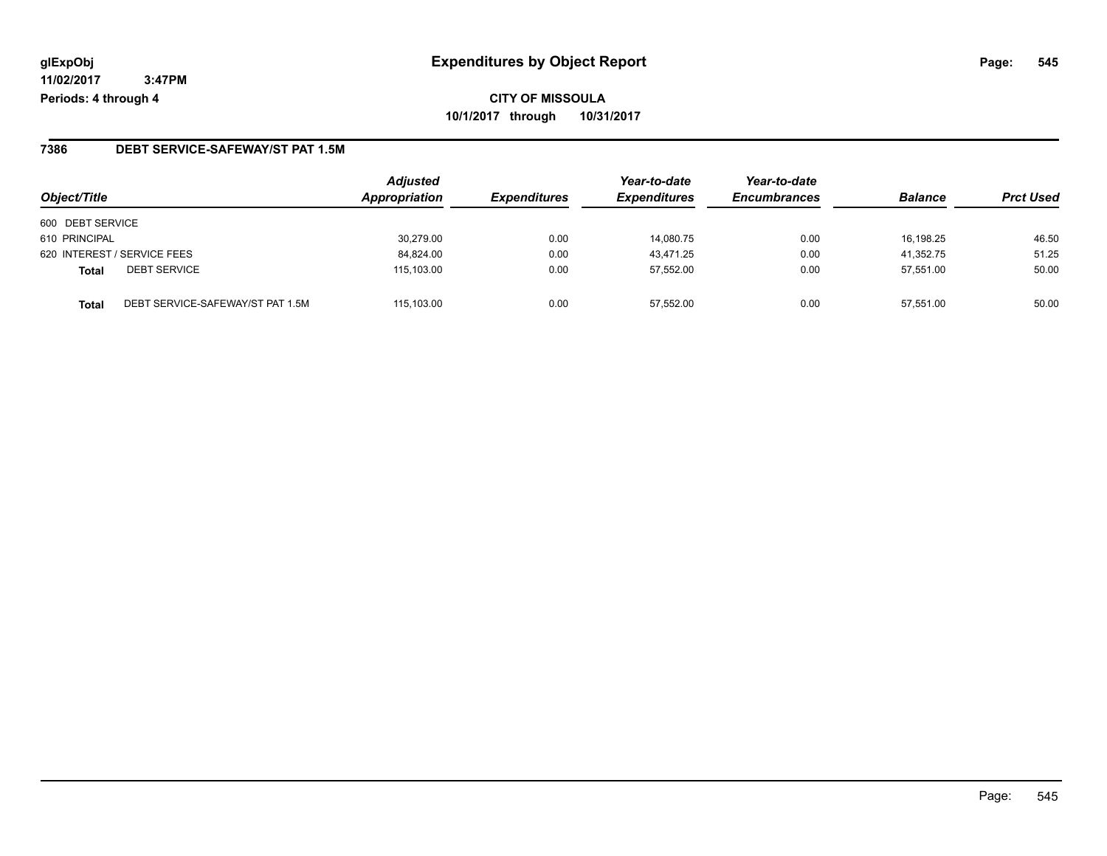#### **7386 DEBT SERVICE-SAFEWAY/ST PAT 1.5M**

| Object/Title                                     | <b>Adjusted</b><br>Appropriation | <b>Expenditures</b> | Year-to-date<br><b>Expenditures</b> | Year-to-date<br><b>Encumbrances</b> | <b>Balance</b> | <b>Prct Used</b> |
|--------------------------------------------------|----------------------------------|---------------------|-------------------------------------|-------------------------------------|----------------|------------------|
| 600 DEBT SERVICE                                 |                                  |                     |                                     |                                     |                |                  |
| 610 PRINCIPAL                                    | 30.279.00                        | 0.00                | 14.080.75                           | 0.00                                | 16.198.25      | 46.50            |
| 620 INTEREST / SERVICE FEES                      | 84.824.00                        | 0.00                | 43.471.25                           | 0.00                                | 41.352.75      | 51.25            |
| <b>DEBT SERVICE</b><br><b>Total</b>              | 115,103.00                       | 0.00                | 57.552.00                           | 0.00                                | 57.551.00      | 50.00            |
| DEBT SERVICE-SAFEWAY/ST PAT 1.5M<br><b>Total</b> | 115.103.00                       | 0.00                | 57.552.00                           | 0.00                                | 57.551.00      | 50.00            |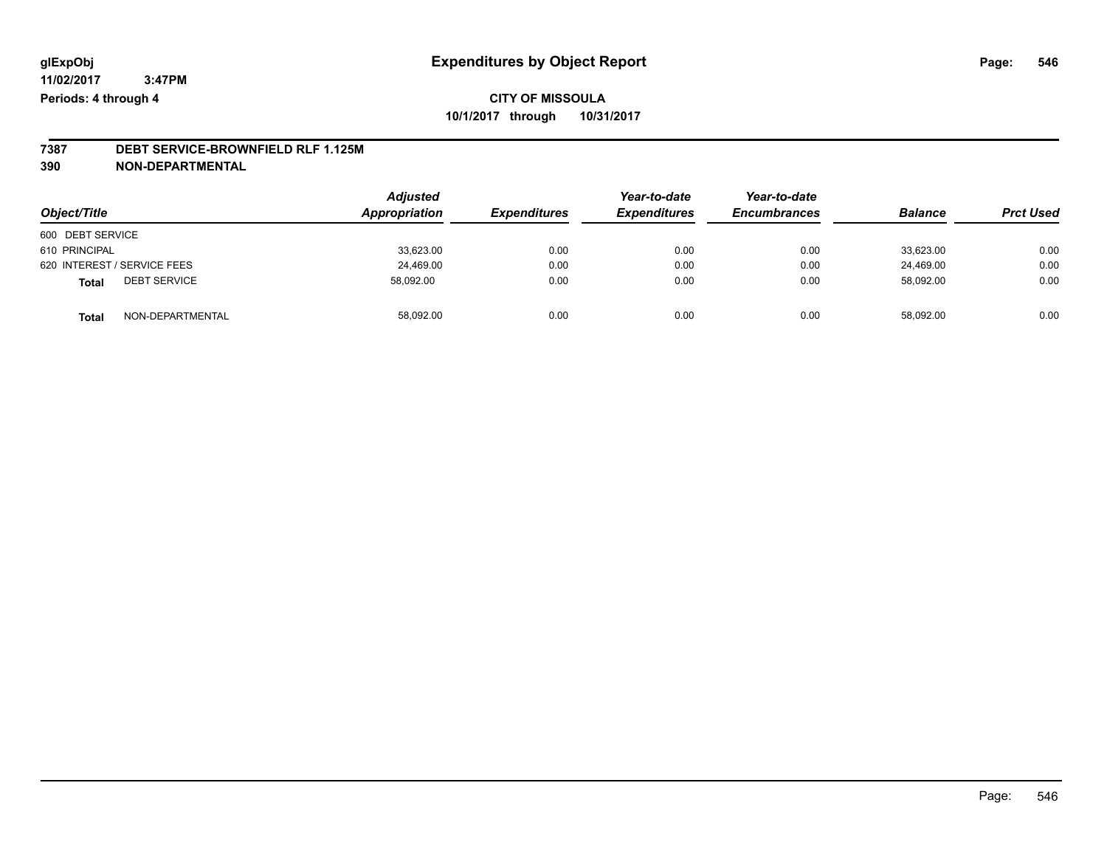# **7387 DEBT SERVICE-BROWNFIELD RLF 1.125M**

**390 NON-DEPARTMENTAL**

| Object/Title                        | <b>Adjusted</b><br>Appropriation | <b>Expenditures</b> | Year-to-date<br><b>Expenditures</b> | Year-to-date<br><b>Encumbrances</b> | <b>Balance</b> | <b>Prct Used</b> |
|-------------------------------------|----------------------------------|---------------------|-------------------------------------|-------------------------------------|----------------|------------------|
| 600 DEBT SERVICE                    |                                  |                     |                                     |                                     |                |                  |
| 610 PRINCIPAL                       | 33,623.00                        | 0.00                | 0.00                                | 0.00                                | 33.623.00      | 0.00             |
| 620 INTEREST / SERVICE FEES         | 24,469.00                        | 0.00                | 0.00                                | 0.00                                | 24.469.00      | 0.00             |
| <b>DEBT SERVICE</b><br><b>Total</b> | 58,092.00                        | 0.00                | 0.00                                | 0.00                                | 58,092.00      | 0.00             |
| NON-DEPARTMENTAL<br><b>Total</b>    | 58,092.00                        | 0.00                | 0.00                                | 0.00                                | 58.092.00      | 0.00             |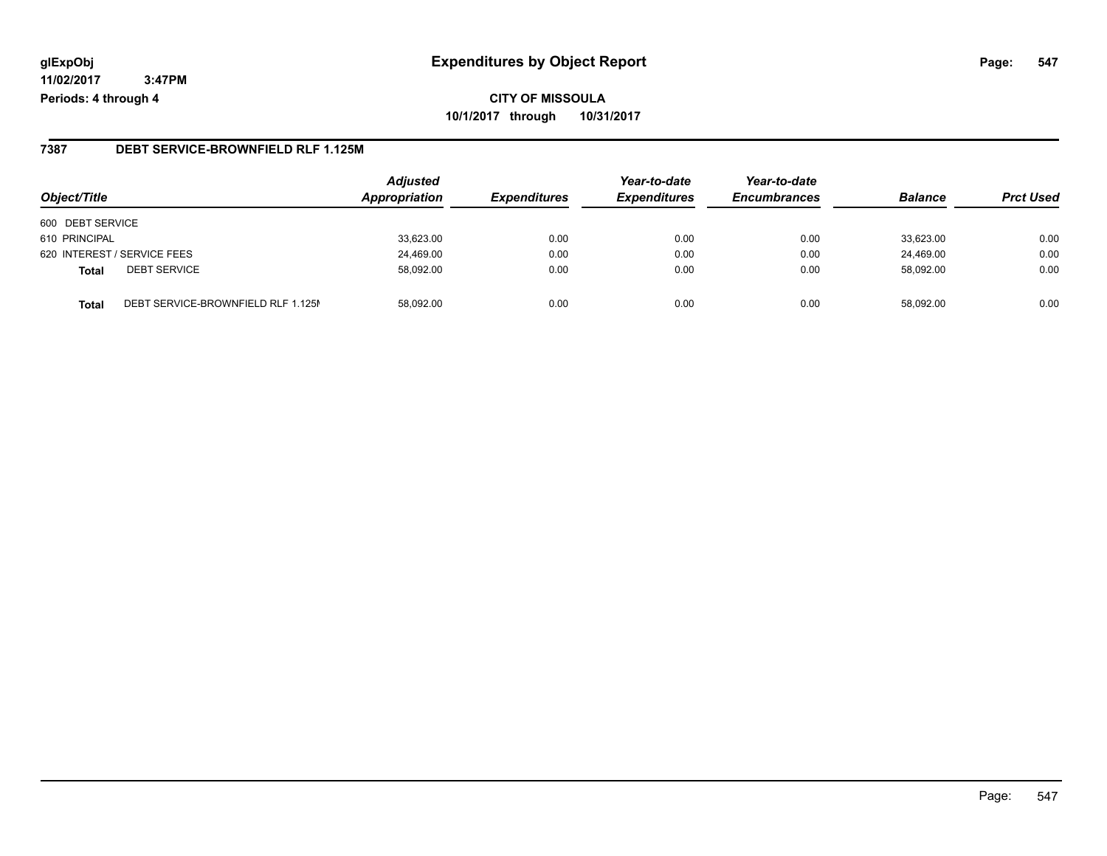#### **glExpObj Expenditures by Object Report Page: 547**

**11/02/2017 3:47PM Periods: 4 through 4**

#### **7387 DEBT SERVICE-BROWNFIELD RLF 1.125M**

| Object/Title                                       | <b>Adjusted</b><br>Appropriation | <b>Expenditures</b> | Year-to-date<br><b>Expenditures</b> | Year-to-date<br><b>Encumbrances</b> | <b>Balance</b> | <b>Prct Used</b> |
|----------------------------------------------------|----------------------------------|---------------------|-------------------------------------|-------------------------------------|----------------|------------------|
| 600 DEBT SERVICE                                   |                                  |                     |                                     |                                     |                |                  |
| 610 PRINCIPAL                                      | 33,623.00                        | 0.00                | 0.00                                | 0.00                                | 33,623.00      | 0.00             |
| 620 INTEREST / SERVICE FEES                        | 24,469.00                        | 0.00                | 0.00                                | 0.00                                | 24,469.00      | 0.00             |
| <b>DEBT SERVICE</b><br><b>Total</b>                | 58,092.00                        | 0.00                | 0.00                                | 0.00                                | 58.092.00      | 0.00             |
| DEBT SERVICE-BROWNFIELD RLF 1.125M<br><b>Total</b> | 58.092.00                        | 0.00                | 0.00                                | 0.00                                | 58.092.00      | 0.00             |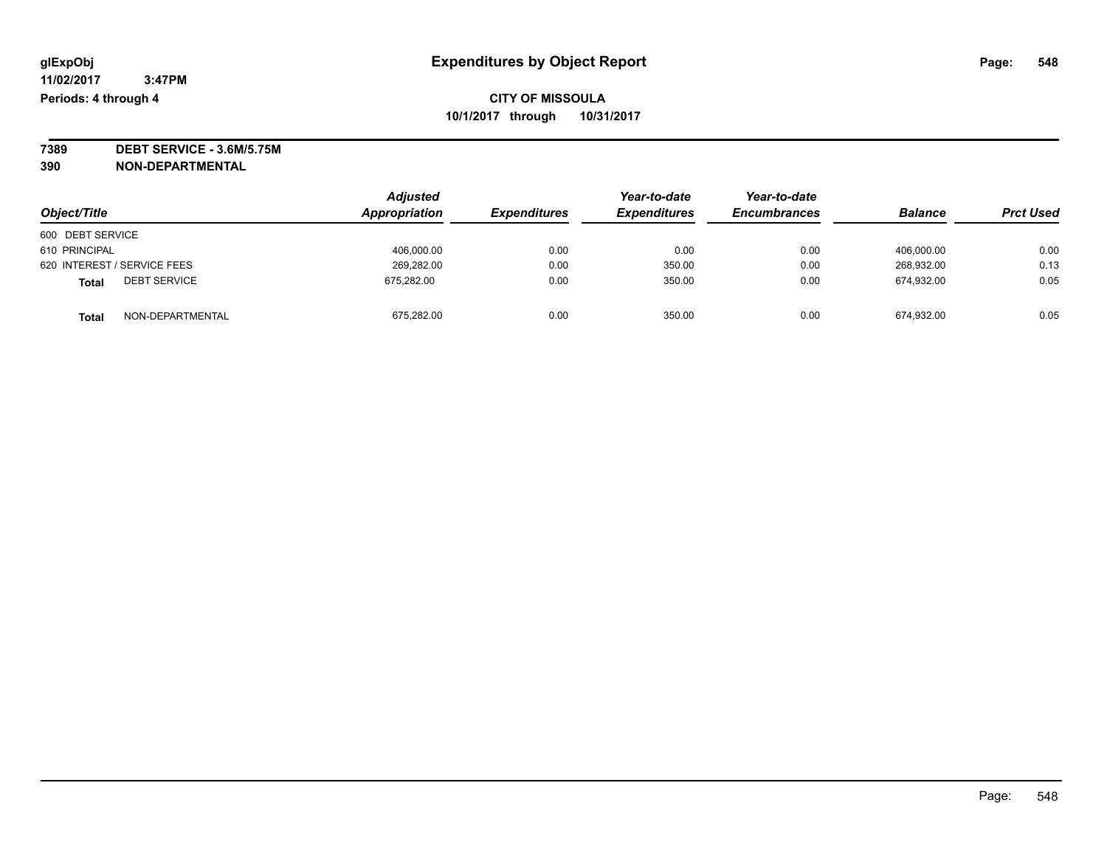**7389 DEBT SERVICE - 3.6M/5.75M**

**390 NON-DEPARTMENTAL**

|                              | <b>Adjusted</b> |                     | Year-to-date        | Year-to-date        | <b>Balance</b> | <b>Prct Used</b> |
|------------------------------|-----------------|---------------------|---------------------|---------------------|----------------|------------------|
| Object/Title                 | Appropriation   | <b>Expenditures</b> | <b>Expenditures</b> | <b>Encumbrances</b> |                |                  |
| 600 DEBT SERVICE             |                 |                     |                     |                     |                |                  |
| 610 PRINCIPAL                | 406.000.00      | 0.00                | 0.00                | 0.00                | 406.000.00     | 0.00             |
| 620 INTEREST / SERVICE FEES  | 269.282.00      | 0.00                | 350.00              | 0.00                | 268.932.00     | 0.13             |
| <b>DEBT SERVICE</b><br>Total | 675,282.00      | 0.00                | 350.00              | 0.00                | 674,932.00     | 0.05             |
| NON-DEPARTMENTAL<br>Total    | 675,282.00      | 0.00                | 350.00              | 0.00                | 674,932.00     | 0.05             |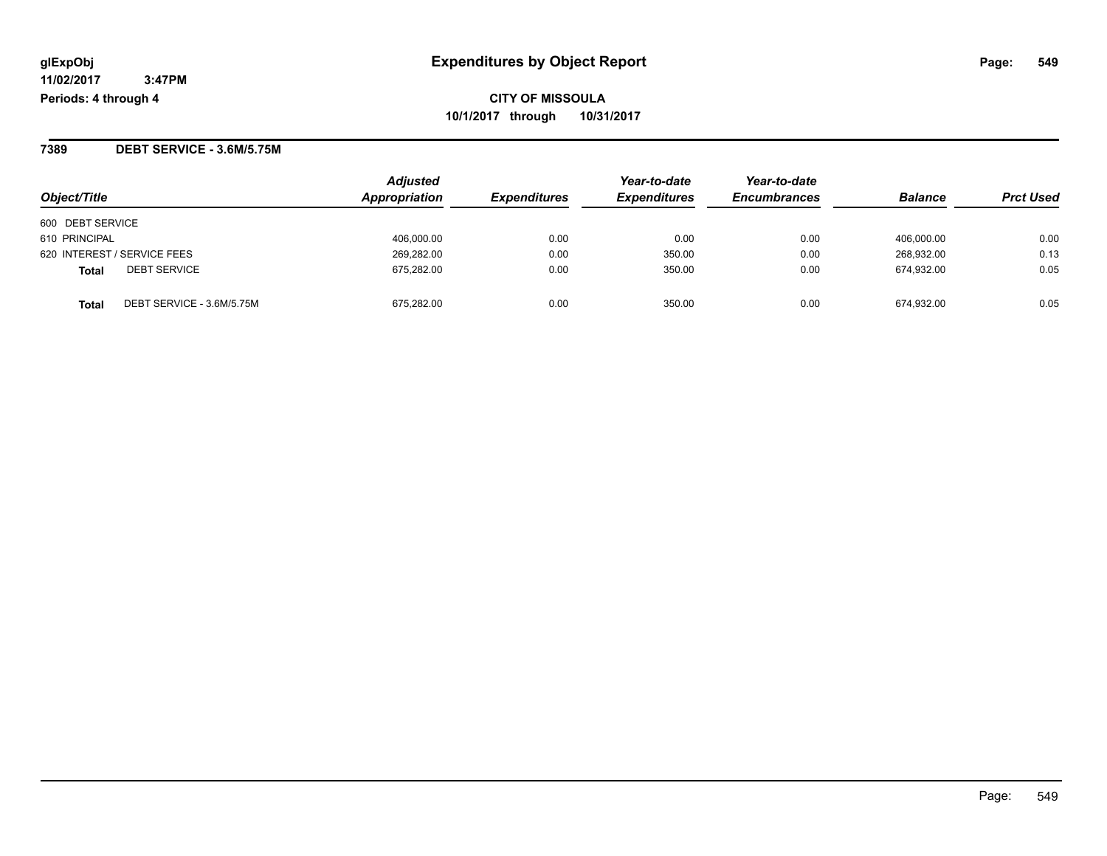**7389 DEBT SERVICE - 3.6M/5.75M**

| Object/Title                              | <b>Adjusted</b><br>Appropriation | <i><b>Expenditures</b></i> | Year-to-date<br><b>Expenditures</b> | Year-to-date<br><b>Encumbrances</b> | <b>Balance</b> | <b>Prct Used</b> |
|-------------------------------------------|----------------------------------|----------------------------|-------------------------------------|-------------------------------------|----------------|------------------|
| 600 DEBT SERVICE                          |                                  |                            |                                     |                                     |                |                  |
| 610 PRINCIPAL                             | 406,000.00                       | 0.00                       | 0.00                                | 0.00                                | 406.000.00     | 0.00             |
| 620 INTEREST / SERVICE FEES               | 269,282.00                       | 0.00                       | 350.00                              | 0.00                                | 268.932.00     | 0.13             |
| <b>DEBT SERVICE</b><br><b>Total</b>       | 675,282.00                       | 0.00                       | 350.00                              | 0.00                                | 674.932.00     | 0.05             |
| DEBT SERVICE - 3.6M/5.75M<br><b>Total</b> | 675.282.00                       | 0.00                       | 350.00                              | 0.00                                | 674.932.00     | 0.05             |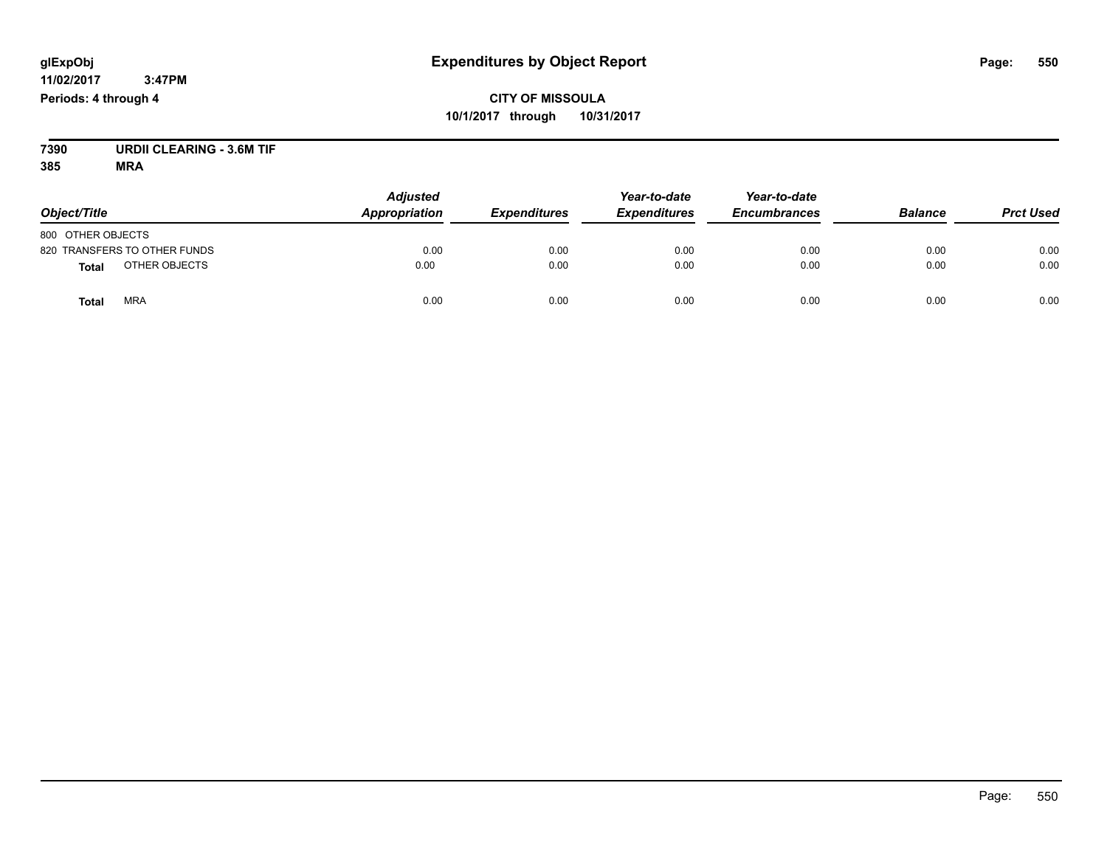# **CITY OF MISSOULA 10/1/2017 through 10/31/2017**

**7390 URDII CLEARING - 3.6M TIF**

| Object/Title                  | <b>Adjusted</b><br>Appropriation | <b>Expenditures</b> | Year-to-date<br><b>Expenditures</b> | Year-to-date<br><b>Encumbrances</b> | <b>Balance</b> | <b>Prct Used</b> |
|-------------------------------|----------------------------------|---------------------|-------------------------------------|-------------------------------------|----------------|------------------|
| 800 OTHER OBJECTS             |                                  |                     |                                     |                                     |                |                  |
| 820 TRANSFERS TO OTHER FUNDS  | 0.00                             | 0.00                | 0.00                                | 0.00                                | 0.00           | 0.00             |
| OTHER OBJECTS<br><b>Total</b> | 0.00                             | 0.00                | 0.00                                | 0.00                                | 0.00           | 0.00             |
| <b>MRA</b><br>Total           | 0.00                             | 0.00                | 0.00                                | 0.00                                | 0.00           | 0.00             |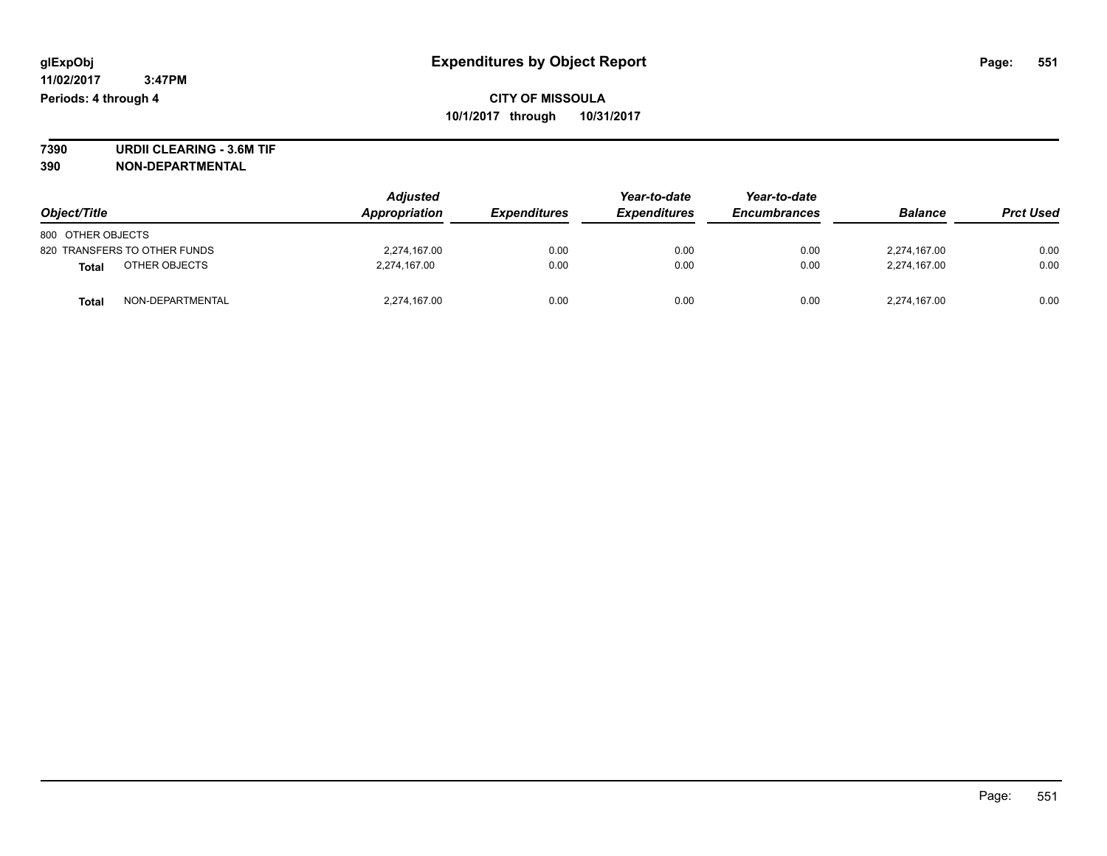**7390 URDII CLEARING - 3.6M TIF 390 NON-DEPARTMENTAL**

| Object/Title                  | <b>Adjusted</b><br>Appropriation | <i><b>Expenditures</b></i> | Year-to-date<br><b>Expenditures</b> | Year-to-date<br><b>Encumbrances</b> | <b>Balance</b> | <b>Prct Used</b> |
|-------------------------------|----------------------------------|----------------------------|-------------------------------------|-------------------------------------|----------------|------------------|
| 800 OTHER OBJECTS             |                                  |                            |                                     |                                     |                |                  |
| 820 TRANSFERS TO OTHER FUNDS  | 2,274,167.00                     | 0.00                       | 0.00                                | 0.00                                | 2,274,167.00   | 0.00             |
| OTHER OBJECTS<br><b>Total</b> | 2,274,167.00                     | 0.00                       | 0.00                                | 0.00                                | 2,274,167.00   | 0.00             |
| NON-DEPARTMENTAL<br>Tota      | 2,274,167.00                     | 0.00                       | 0.00                                | 0.00                                | 2,274,167.00   | 0.00             |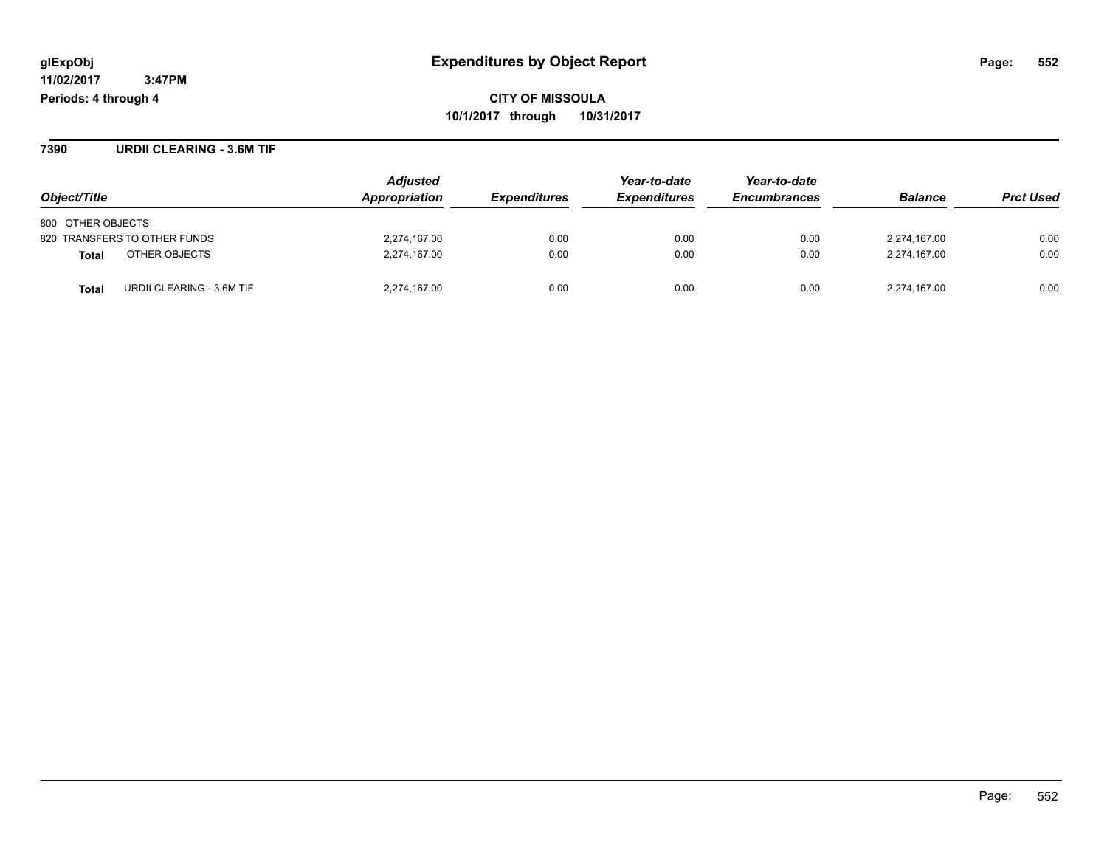**7390 URDII CLEARING - 3.6M TIF**

|                                           | <b>Adjusted</b>      |                            | Year-to-date               | Year-to-date        |                |                  |
|-------------------------------------------|----------------------|----------------------------|----------------------------|---------------------|----------------|------------------|
| Object/Title                              | <b>Appropriation</b> | <i><b>Expenditures</b></i> | <i><b>Expenditures</b></i> | <b>Encumbrances</b> | <b>Balance</b> | <b>Prct Used</b> |
| 800 OTHER OBJECTS                         |                      |                            |                            |                     |                |                  |
| 820 TRANSFERS TO OTHER FUNDS              | 2,274,167.00         | 0.00                       | 0.00                       | 0.00                | 2,274,167.00   | 0.00             |
| OTHER OBJECTS<br><b>Total</b>             | 2,274,167.00         | 0.00                       | 0.00                       | 0.00                | 2,274,167.00   | 0.00             |
| URDII CLEARING - 3.6M TIF<br><b>Total</b> | 2,274,167.00         | 0.00                       | 0.00                       | 0.00                | 2,274,167.00   | 0.00             |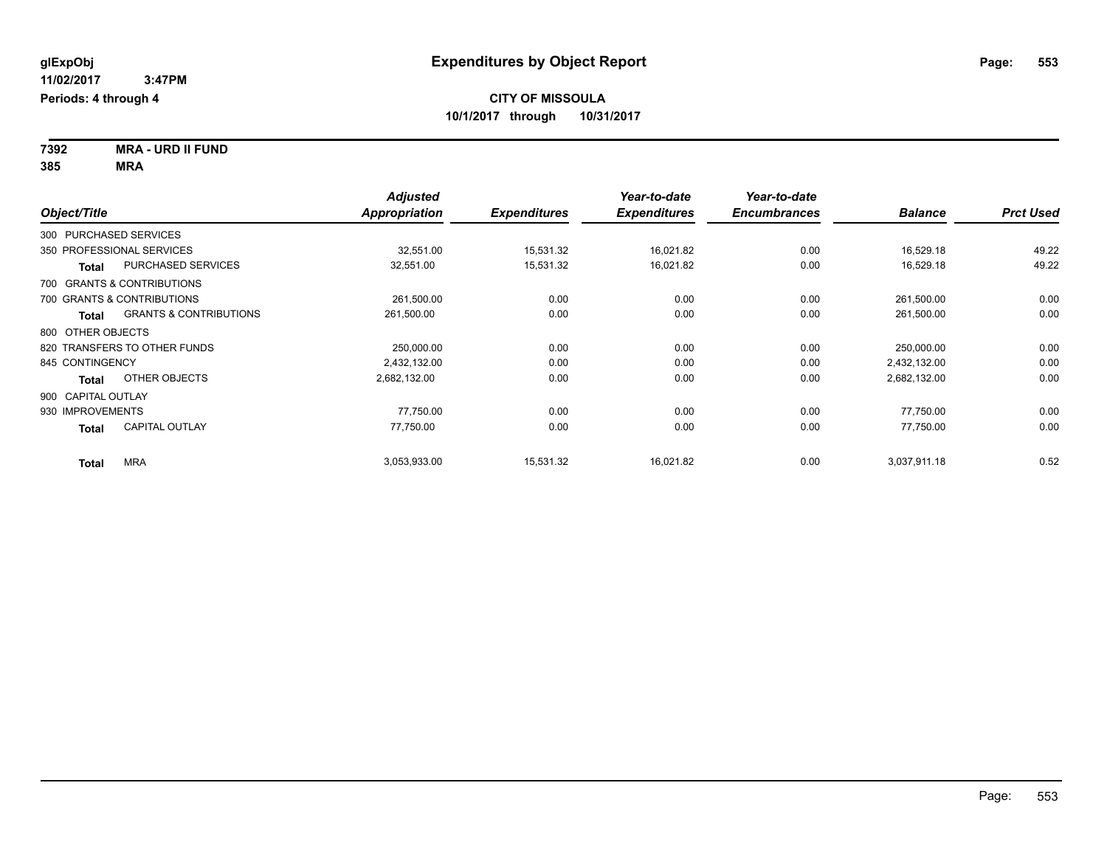**7392 MRA - URD II FUND 385 MRA**

| Object/Title                 |                                   | <b>Adjusted</b><br><b>Appropriation</b> | <b>Expenditures</b> | Year-to-date<br><b>Expenditures</b> | Year-to-date<br><b>Encumbrances</b> | <b>Balance</b> | <b>Prct Used</b> |
|------------------------------|-----------------------------------|-----------------------------------------|---------------------|-------------------------------------|-------------------------------------|----------------|------------------|
| 300 PURCHASED SERVICES       |                                   |                                         |                     |                                     |                                     |                |                  |
| 350 PROFESSIONAL SERVICES    |                                   | 32,551.00                               | 15,531.32           | 16,021.82                           | 0.00                                | 16,529.18      | 49.22            |
| Total                        | PURCHASED SERVICES                | 32,551.00                               | 15,531.32           | 16,021.82                           | 0.00                                | 16,529.18      | 49.22            |
| 700 GRANTS & CONTRIBUTIONS   |                                   |                                         |                     |                                     |                                     |                |                  |
| 700 GRANTS & CONTRIBUTIONS   |                                   | 261,500.00                              | 0.00                | 0.00                                | 0.00                                | 261,500.00     | 0.00             |
| Total                        | <b>GRANTS &amp; CONTRIBUTIONS</b> | 261,500.00                              | 0.00                | 0.00                                | 0.00                                | 261,500.00     | 0.00             |
| 800 OTHER OBJECTS            |                                   |                                         |                     |                                     |                                     |                |                  |
| 820 TRANSFERS TO OTHER FUNDS |                                   | 250,000.00                              | 0.00                | 0.00                                | 0.00                                | 250,000.00     | 0.00             |
| 845 CONTINGENCY              |                                   | 2,432,132.00                            | 0.00                | 0.00                                | 0.00                                | 2,432,132.00   | 0.00             |
| Total                        | OTHER OBJECTS                     | 2,682,132.00                            | 0.00                | 0.00                                | 0.00                                | 2,682,132.00   | 0.00             |
| 900 CAPITAL OUTLAY           |                                   |                                         |                     |                                     |                                     |                |                  |
| 930 IMPROVEMENTS             |                                   | 77,750.00                               | 0.00                | 0.00                                | 0.00                                | 77,750.00      | 0.00             |
| Total                        | <b>CAPITAL OUTLAY</b>             | 77.750.00                               | 0.00                | 0.00                                | 0.00                                | 77,750.00      | 0.00             |
| <b>MRA</b><br>Total          |                                   | 3,053,933.00                            | 15,531.32           | 16,021.82                           | 0.00                                | 3,037,911.18   | 0.52             |

Page: 553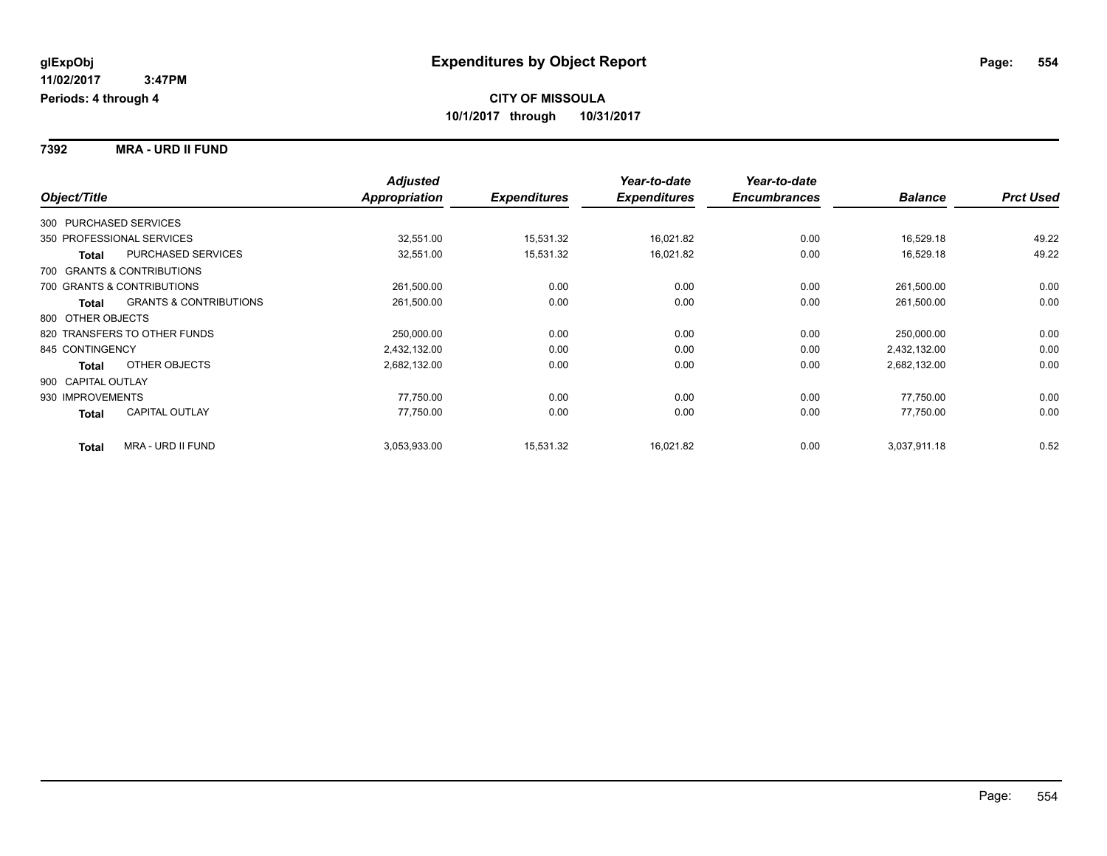**7392 MRA - URD II FUND**

|                        |                                   | <b>Adjusted</b> |                     | Year-to-date        | Year-to-date        |                |                  |
|------------------------|-----------------------------------|-----------------|---------------------|---------------------|---------------------|----------------|------------------|
| Object/Title           |                                   | Appropriation   | <b>Expenditures</b> | <b>Expenditures</b> | <b>Encumbrances</b> | <b>Balance</b> | <b>Prct Used</b> |
| 300 PURCHASED SERVICES |                                   |                 |                     |                     |                     |                |                  |
|                        | 350 PROFESSIONAL SERVICES         | 32,551.00       | 15,531.32           | 16,021.82           | 0.00                | 16,529.18      | 49.22            |
| Total                  | PURCHASED SERVICES                | 32,551.00       | 15,531.32           | 16,021.82           | 0.00                | 16,529.18      | 49.22            |
|                        | 700 GRANTS & CONTRIBUTIONS        |                 |                     |                     |                     |                |                  |
|                        | 700 GRANTS & CONTRIBUTIONS        | 261,500.00      | 0.00                | 0.00                | 0.00                | 261,500.00     | 0.00             |
| <b>Total</b>           | <b>GRANTS &amp; CONTRIBUTIONS</b> | 261,500.00      | 0.00                | 0.00                | 0.00                | 261,500.00     | 0.00             |
| 800 OTHER OBJECTS      |                                   |                 |                     |                     |                     |                |                  |
|                        | 820 TRANSFERS TO OTHER FUNDS      | 250,000.00      | 0.00                | 0.00                | 0.00                | 250,000.00     | 0.00             |
| 845 CONTINGENCY        |                                   | 2,432,132.00    | 0.00                | 0.00                | 0.00                | 2,432,132.00   | 0.00             |
| <b>Total</b>           | OTHER OBJECTS                     | 2,682,132.00    | 0.00                | 0.00                | 0.00                | 2,682,132.00   | 0.00             |
| 900 CAPITAL OUTLAY     |                                   |                 |                     |                     |                     |                |                  |
| 930 IMPROVEMENTS       |                                   | 77,750.00       | 0.00                | 0.00                | 0.00                | 77,750.00      | 0.00             |
| Total                  | <b>CAPITAL OUTLAY</b>             | 77,750.00       | 0.00                | 0.00                | 0.00                | 77,750.00      | 0.00             |
| <b>Total</b>           | <b>MRA - URD II FUND</b>          | 3,053,933.00    | 15,531.32           | 16,021.82           | 0.00                | 3,037,911.18   | 0.52             |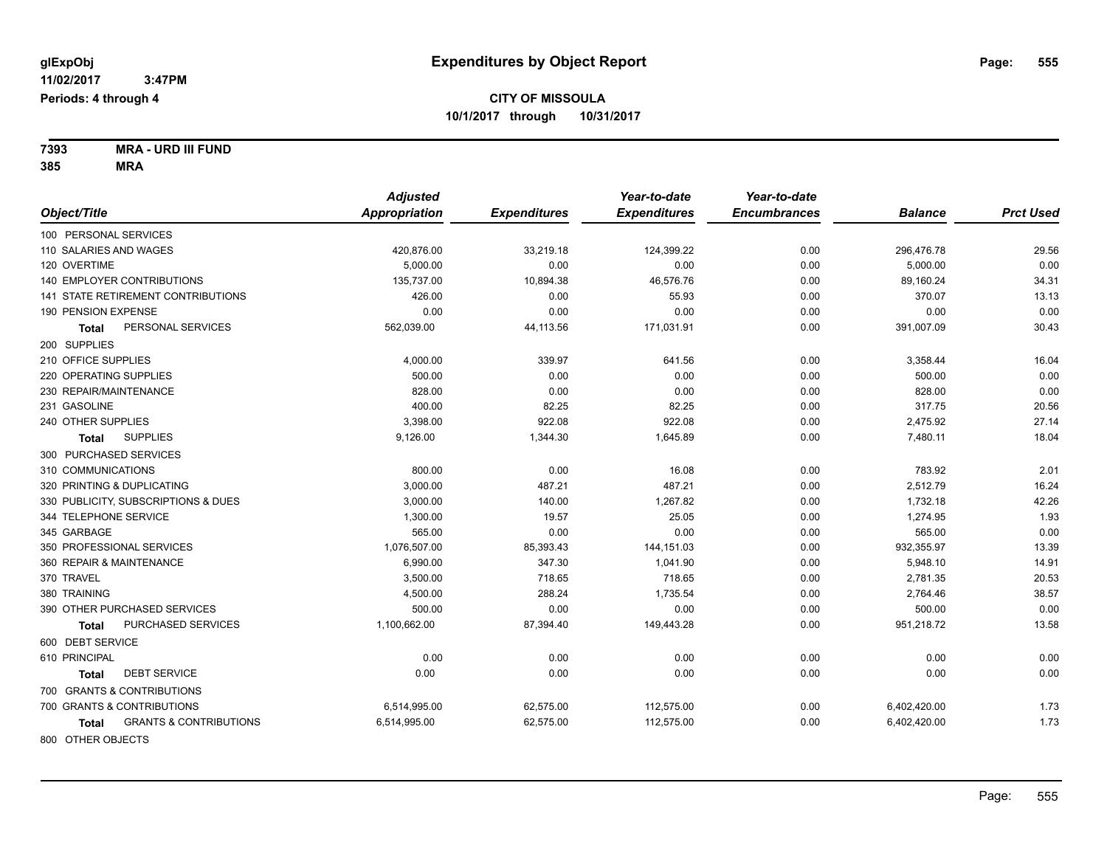**7393 MRA - URD III FUND 385 MRA**

|                                            | <b>Adjusted</b> |                     | Year-to-date        | Year-to-date        |                |                  |
|--------------------------------------------|-----------------|---------------------|---------------------|---------------------|----------------|------------------|
| Object/Title                               | Appropriation   | <b>Expenditures</b> | <b>Expenditures</b> | <b>Encumbrances</b> | <b>Balance</b> | <b>Prct Used</b> |
| 100 PERSONAL SERVICES                      |                 |                     |                     |                     |                |                  |
| 110 SALARIES AND WAGES                     | 420,876.00      | 33,219.18           | 124,399.22          | 0.00                | 296,476.78     | 29.56            |
| 120 OVERTIME                               | 5.000.00        | 0.00                | 0.00                | 0.00                | 5,000.00       | 0.00             |
| <b>140 EMPLOYER CONTRIBUTIONS</b>          | 135.737.00      | 10,894.38           | 46,576.76           | 0.00                | 89,160.24      | 34.31            |
| 141 STATE RETIREMENT CONTRIBUTIONS         | 426.00          | 0.00                | 55.93               | 0.00                | 370.07         | 13.13            |
| 190 PENSION EXPENSE                        | 0.00            | 0.00                | 0.00                | 0.00                | 0.00           | 0.00             |
| PERSONAL SERVICES<br>Total                 | 562,039.00      | 44,113.56           | 171,031.91          | 0.00                | 391,007.09     | 30.43            |
| 200 SUPPLIES                               |                 |                     |                     |                     |                |                  |
| 210 OFFICE SUPPLIES                        | 4,000.00        | 339.97              | 641.56              | 0.00                | 3,358.44       | 16.04            |
| 220 OPERATING SUPPLIES                     | 500.00          | 0.00                | 0.00                | 0.00                | 500.00         | 0.00             |
| 230 REPAIR/MAINTENANCE                     | 828.00          | 0.00                | 0.00                | 0.00                | 828.00         | 0.00             |
| 231 GASOLINE                               | 400.00          | 82.25               | 82.25               | 0.00                | 317.75         | 20.56            |
| 240 OTHER SUPPLIES                         | 3,398.00        | 922.08              | 922.08              | 0.00                | 2,475.92       | 27.14            |
| <b>SUPPLIES</b><br>Total                   | 9,126.00        | 1,344.30            | 1,645.89            | 0.00                | 7,480.11       | 18.04            |
| 300 PURCHASED SERVICES                     |                 |                     |                     |                     |                |                  |
| 310 COMMUNICATIONS                         | 800.00          | 0.00                | 16.08               | 0.00                | 783.92         | 2.01             |
| 320 PRINTING & DUPLICATING                 | 3,000.00        | 487.21              | 487.21              | 0.00                | 2,512.79       | 16.24            |
| 330 PUBLICITY, SUBSCRIPTIONS & DUES        | 3,000.00        | 140.00              | 1,267.82            | 0.00                | 1,732.18       | 42.26            |
| 344 TELEPHONE SERVICE                      | 1,300.00        | 19.57               | 25.05               | 0.00                | 1,274.95       | 1.93             |
| 345 GARBAGE                                | 565.00          | 0.00                | 0.00                | 0.00                | 565.00         | 0.00             |
| 350 PROFESSIONAL SERVICES                  | 1,076,507.00    | 85,393.43           | 144,151.03          | 0.00                | 932,355.97     | 13.39            |
| 360 REPAIR & MAINTENANCE                   | 6,990.00        | 347.30              | 1,041.90            | 0.00                | 5,948.10       | 14.91            |
| 370 TRAVEL                                 | 3,500.00        | 718.65              | 718.65              | 0.00                | 2,781.35       | 20.53            |
| 380 TRAINING                               | 4,500.00        | 288.24              | 1,735.54            | 0.00                | 2,764.46       | 38.57            |
| 390 OTHER PURCHASED SERVICES               | 500.00          | 0.00                | 0.00                | 0.00                | 500.00         | 0.00             |
| PURCHASED SERVICES<br><b>Total</b>         | 1,100,662.00    | 87,394.40           | 149,443.28          | 0.00                | 951,218.72     | 13.58            |
| 600 DEBT SERVICE                           |                 |                     |                     |                     |                |                  |
| 610 PRINCIPAL                              | 0.00            | 0.00                | 0.00                | 0.00                | 0.00           | 0.00             |
| <b>DEBT SERVICE</b><br><b>Total</b>        | 0.00            | 0.00                | 0.00                | 0.00                | 0.00           | 0.00             |
| 700 GRANTS & CONTRIBUTIONS                 |                 |                     |                     |                     |                |                  |
| 700 GRANTS & CONTRIBUTIONS                 | 6,514,995.00    | 62,575.00           | 112,575.00          | 0.00                | 6,402,420.00   | 1.73             |
| <b>GRANTS &amp; CONTRIBUTIONS</b><br>Total | 6,514,995.00    | 62,575.00           | 112,575.00          | 0.00                | 6,402,420.00   | 1.73             |
| 0.00000711500015070                        |                 |                     |                     |                     |                |                  |

800 OTHER OBJECTS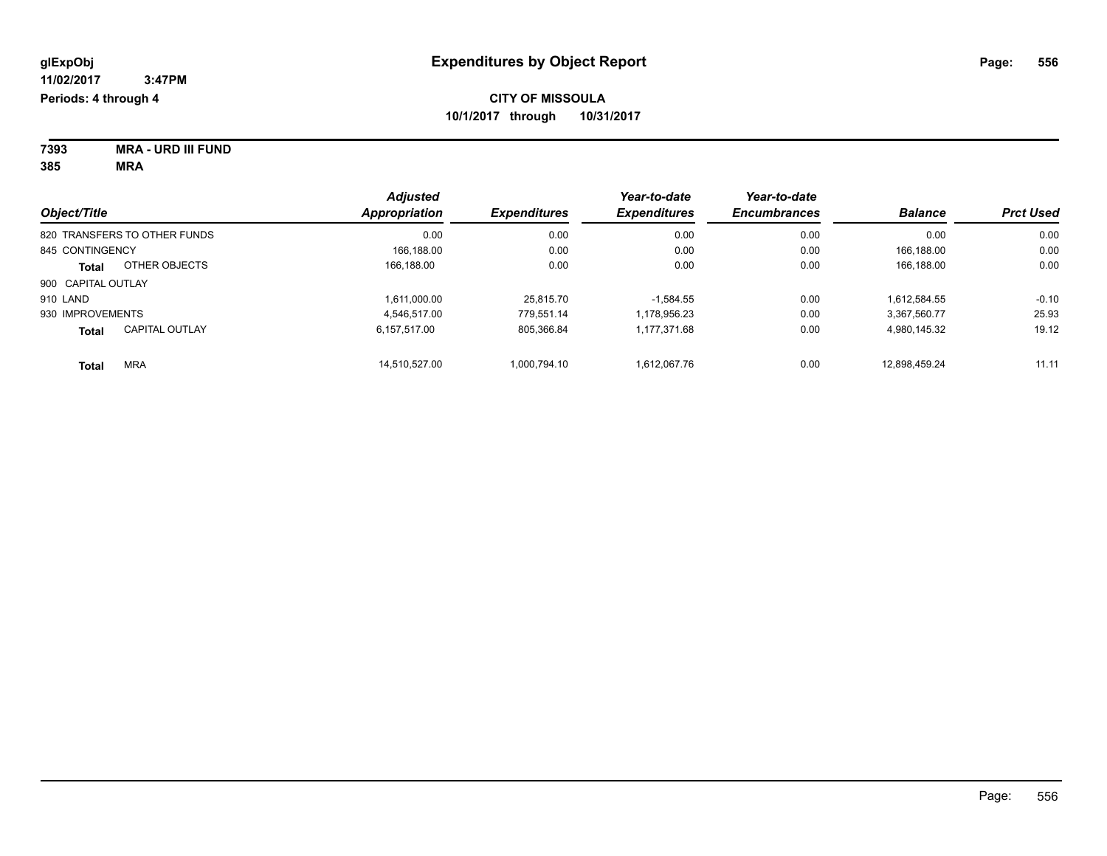| 7393 | <b>MRA - URD III FUND</b> |
|------|---------------------------|
| 385  | MRA                       |

| Object/Title       |                              | <b>Adjusted</b><br>Appropriation<br><b>Expenditures</b> | Year-to-date | Year-to-date        |                     |                |                  |
|--------------------|------------------------------|---------------------------------------------------------|--------------|---------------------|---------------------|----------------|------------------|
|                    |                              |                                                         |              | <b>Expenditures</b> | <b>Encumbrances</b> | <b>Balance</b> | <b>Prct Used</b> |
|                    | 820 TRANSFERS TO OTHER FUNDS | 0.00                                                    | 0.00         | 0.00                | 0.00                | 0.00           | 0.00             |
| 845 CONTINGENCY    |                              | 166.188.00                                              | 0.00         | 0.00                | 0.00                | 166.188.00     | 0.00             |
| <b>Total</b>       | OTHER OBJECTS                | 166.188.00                                              | 0.00         | 0.00                | 0.00                | 166,188.00     | 0.00             |
| 900 CAPITAL OUTLAY |                              |                                                         |              |                     |                     |                |                  |
| 910 LAND           |                              | 1.611.000.00                                            | 25.815.70    | $-1.584.55$         | 0.00                | 1.612.584.55   | $-0.10$          |
| 930 IMPROVEMENTS   |                              | 4.546.517.00                                            | 779.551.14   | 1.178.956.23        | 0.00                | 3.367.560.77   | 25.93            |
| <b>Total</b>       | <b>CAPITAL OUTLAY</b>        | 6.157.517.00                                            | 805,366.84   | 1,177,371.68        | 0.00                | 4,980,145.32   | 19.12            |
| <b>Total</b>       | <b>MRA</b>                   | 14.510.527.00                                           | 1.000.794.10 | 1.612.067.76        | 0.00                | 12.898.459.24  | 11.11            |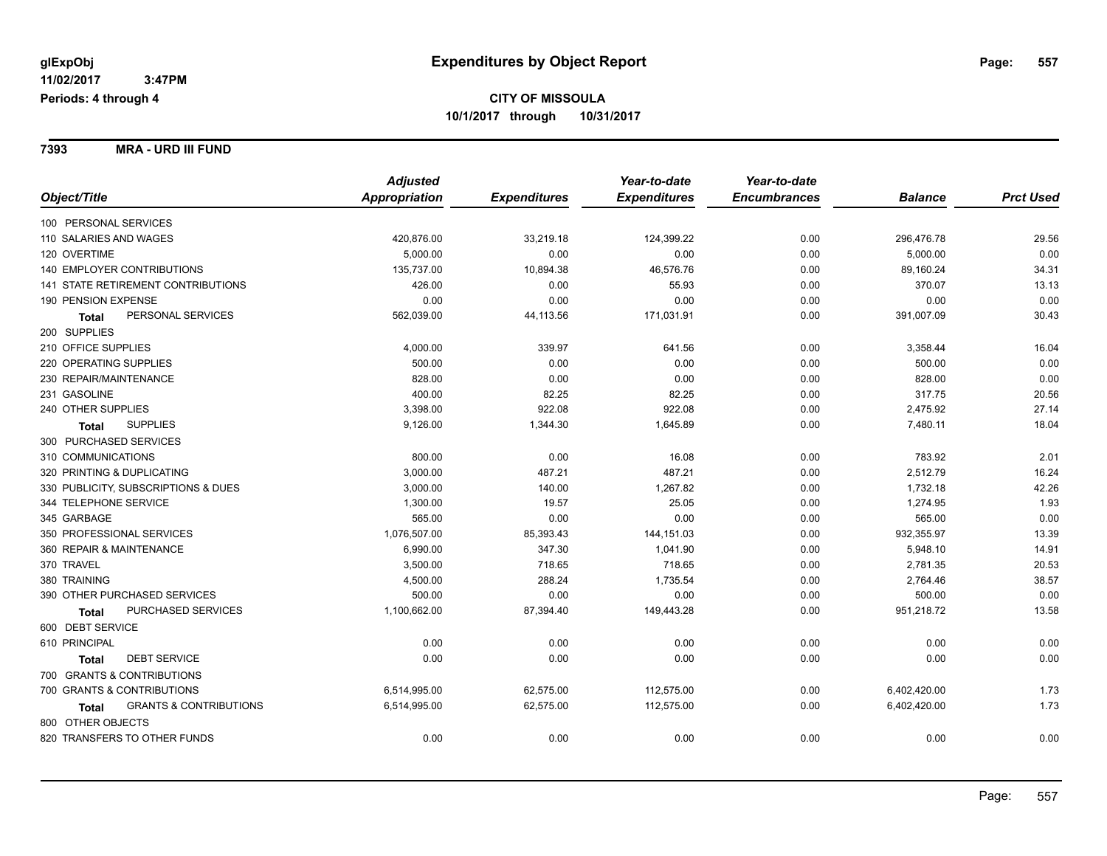**7393 MRA - URD III FUND**

|                                                   | <b>Adjusted</b> |                     | Year-to-date        | Year-to-date        |                |                  |
|---------------------------------------------------|-----------------|---------------------|---------------------|---------------------|----------------|------------------|
| Object/Title                                      | Appropriation   | <b>Expenditures</b> | <b>Expenditures</b> | <b>Encumbrances</b> | <b>Balance</b> | <b>Prct Used</b> |
| 100 PERSONAL SERVICES                             |                 |                     |                     |                     |                |                  |
| 110 SALARIES AND WAGES                            | 420,876.00      | 33,219.18           | 124,399.22          | 0.00                | 296,476.78     | 29.56            |
| 120 OVERTIME                                      | 5,000.00        | 0.00                | 0.00                | 0.00                | 5,000.00       | 0.00             |
| <b>140 EMPLOYER CONTRIBUTIONS</b>                 | 135,737.00      | 10,894.38           | 46,576.76           | 0.00                | 89,160.24      | 34.31            |
| 141 STATE RETIREMENT CONTRIBUTIONS                | 426.00          | 0.00                | 55.93               | 0.00                | 370.07         | 13.13            |
| 190 PENSION EXPENSE                               | 0.00            | 0.00                | 0.00                | 0.00                | 0.00           | 0.00             |
| PERSONAL SERVICES<br><b>Total</b>                 | 562,039.00      | 44,113.56           | 171,031.91          | 0.00                | 391,007.09     | 30.43            |
| 200 SUPPLIES                                      |                 |                     |                     |                     |                |                  |
| 210 OFFICE SUPPLIES                               | 4,000.00        | 339.97              | 641.56              | 0.00                | 3,358.44       | 16.04            |
| 220 OPERATING SUPPLIES                            | 500.00          | 0.00                | 0.00                | 0.00                | 500.00         | 0.00             |
| 230 REPAIR/MAINTENANCE                            | 828.00          | 0.00                | 0.00                | 0.00                | 828.00         | 0.00             |
| 231 GASOLINE                                      | 400.00          | 82.25               | 82.25               | 0.00                | 317.75         | 20.56            |
| 240 OTHER SUPPLIES                                | 3,398.00        | 922.08              | 922.08              | 0.00                | 2,475.92       | 27.14            |
| <b>SUPPLIES</b><br><b>Total</b>                   | 9,126.00        | 1,344.30            | 1,645.89            | 0.00                | 7,480.11       | 18.04            |
| 300 PURCHASED SERVICES                            |                 |                     |                     |                     |                |                  |
| 310 COMMUNICATIONS                                | 800.00          | 0.00                | 16.08               | 0.00                | 783.92         | 2.01             |
| 320 PRINTING & DUPLICATING                        | 3,000.00        | 487.21              | 487.21              | 0.00                | 2,512.79       | 16.24            |
| 330 PUBLICITY, SUBSCRIPTIONS & DUES               | 3,000.00        | 140.00              | 1,267.82            | 0.00                | 1,732.18       | 42.26            |
| 344 TELEPHONE SERVICE                             | 1,300.00        | 19.57               | 25.05               | 0.00                | 1,274.95       | 1.93             |
| 345 GARBAGE                                       | 565.00          | 0.00                | 0.00                | 0.00                | 565.00         | 0.00             |
| 350 PROFESSIONAL SERVICES                         | 1,076,507.00    | 85,393.43           | 144, 151.03         | 0.00                | 932,355.97     | 13.39            |
| 360 REPAIR & MAINTENANCE                          | 6,990.00        | 347.30              | 1,041.90            | 0.00                | 5,948.10       | 14.91            |
| 370 TRAVEL                                        | 3,500.00        | 718.65              | 718.65              | 0.00                | 2,781.35       | 20.53            |
| 380 TRAINING                                      | 4,500.00        | 288.24              | 1,735.54            | 0.00                | 2,764.46       | 38.57            |
| 390 OTHER PURCHASED SERVICES                      | 500.00          | 0.00                | 0.00                | 0.00                | 500.00         | 0.00             |
| PURCHASED SERVICES<br><b>Total</b>                | 1,100,662.00    | 87,394.40           | 149,443.28          | 0.00                | 951,218.72     | 13.58            |
| 600 DEBT SERVICE                                  |                 |                     |                     |                     |                |                  |
| 610 PRINCIPAL                                     | 0.00            | 0.00                | 0.00                | 0.00                | 0.00           | 0.00             |
| <b>DEBT SERVICE</b><br><b>Total</b>               | 0.00            | 0.00                | 0.00                | 0.00                | 0.00           | 0.00             |
| 700 GRANTS & CONTRIBUTIONS                        |                 |                     |                     |                     |                |                  |
| 700 GRANTS & CONTRIBUTIONS                        | 6,514,995.00    | 62,575.00           | 112,575.00          | 0.00                | 6,402,420.00   | 1.73             |
| <b>GRANTS &amp; CONTRIBUTIONS</b><br><b>Total</b> | 6,514,995.00    | 62,575.00           | 112,575.00          | 0.00                | 6,402,420.00   | 1.73             |
| 800 OTHER OBJECTS                                 |                 |                     |                     |                     |                |                  |
| 820 TRANSFERS TO OTHER FUNDS                      | 0.00            | 0.00                | 0.00                | 0.00                | 0.00           | 0.00             |
|                                                   |                 |                     |                     |                     |                |                  |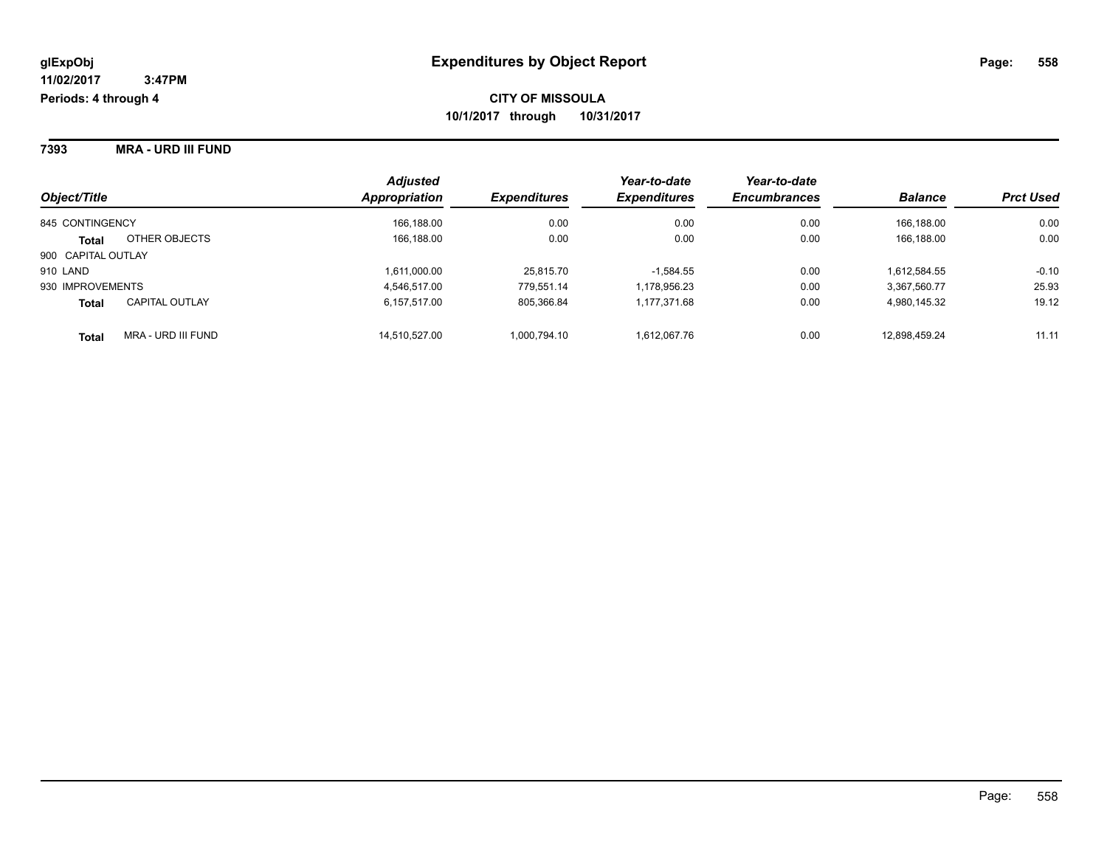**7393 MRA - URD III FUND**

| Object/Title       |                       | <b>Adjusted</b><br><b>Appropriation</b> | <b>Expenditures</b> | Year-to-date<br><b>Expenditures</b> | Year-to-date<br><b>Encumbrances</b> | <b>Balance</b> | <b>Prct Used</b> |
|--------------------|-----------------------|-----------------------------------------|---------------------|-------------------------------------|-------------------------------------|----------------|------------------|
| 845 CONTINGENCY    |                       | 166,188.00                              | 0.00                | 0.00                                | 0.00                                | 166.188.00     | 0.00             |
| <b>Total</b>       | OTHER OBJECTS         | 166,188.00                              | 0.00                | 0.00                                | 0.00                                | 166.188.00     | 0.00             |
| 900 CAPITAL OUTLAY |                       |                                         |                     |                                     |                                     |                |                  |
| 910 LAND           |                       | 1,611,000.00                            | 25,815.70           | $-1,584.55$                         | 0.00                                | 1,612,584.55   | $-0.10$          |
| 930 IMPROVEMENTS   |                       | 4.546.517.00                            | 779.551.14          | 1,178,956.23                        | 0.00                                | 3,367,560.77   | 25.93            |
| <b>Total</b>       | <b>CAPITAL OUTLAY</b> | 6,157,517.00                            | 805,366.84          | 1,177,371.68                        | 0.00                                | 4,980,145.32   | 19.12            |
| <b>Total</b>       | MRA - URD III FUND    | 14,510,527.00                           | 1,000,794.10        | 1,612,067.76                        | 0.00                                | 12,898,459.24  | 11.11            |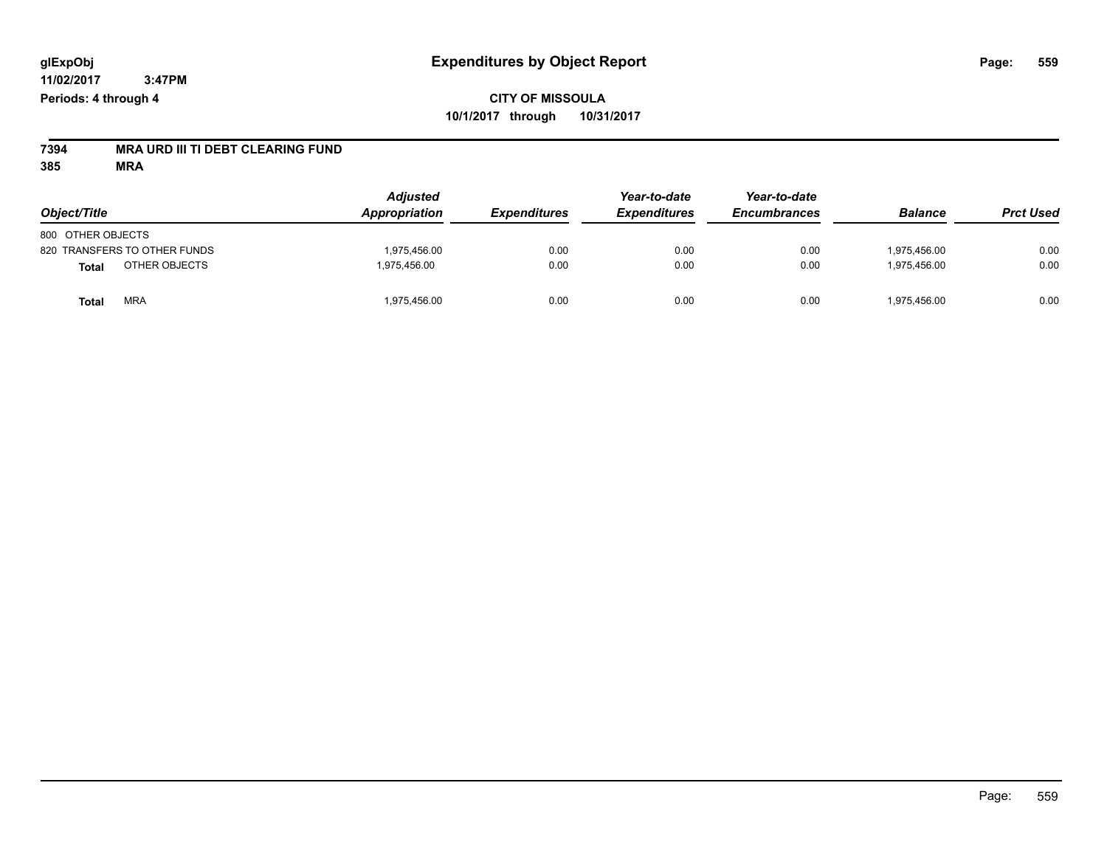## **CITY OF MISSOULA 10/1/2017 through 10/31/2017**

# **7394 MRA URD III TI DEBT CLEARING FUND**

| Object/Title                  | <b>Adjusted</b><br><b>Appropriation</b> | <i><b>Expenditures</b></i> | Year-to-date<br><b>Expenditures</b> | Year-to-date<br><b>Encumbrances</b> | <b>Balance</b> | <b>Prct Used</b> |
|-------------------------------|-----------------------------------------|----------------------------|-------------------------------------|-------------------------------------|----------------|------------------|
| 800 OTHER OBJECTS             |                                         |                            |                                     |                                     |                |                  |
| 820 TRANSFERS TO OTHER FUNDS  | 1,975,456.00                            | 0.00                       | 0.00                                | 0.00                                | 1.975.456.00   | 0.00             |
| OTHER OBJECTS<br><b>Total</b> | 1,975,456.00                            | 0.00                       | 0.00                                | 0.00                                | 1,975,456.00   | 0.00             |
| <b>MRA</b><br><b>Total</b>    | 1,975,456.00                            | 0.00                       | 0.00                                | 0.00                                | 1,975,456.00   | 0.00             |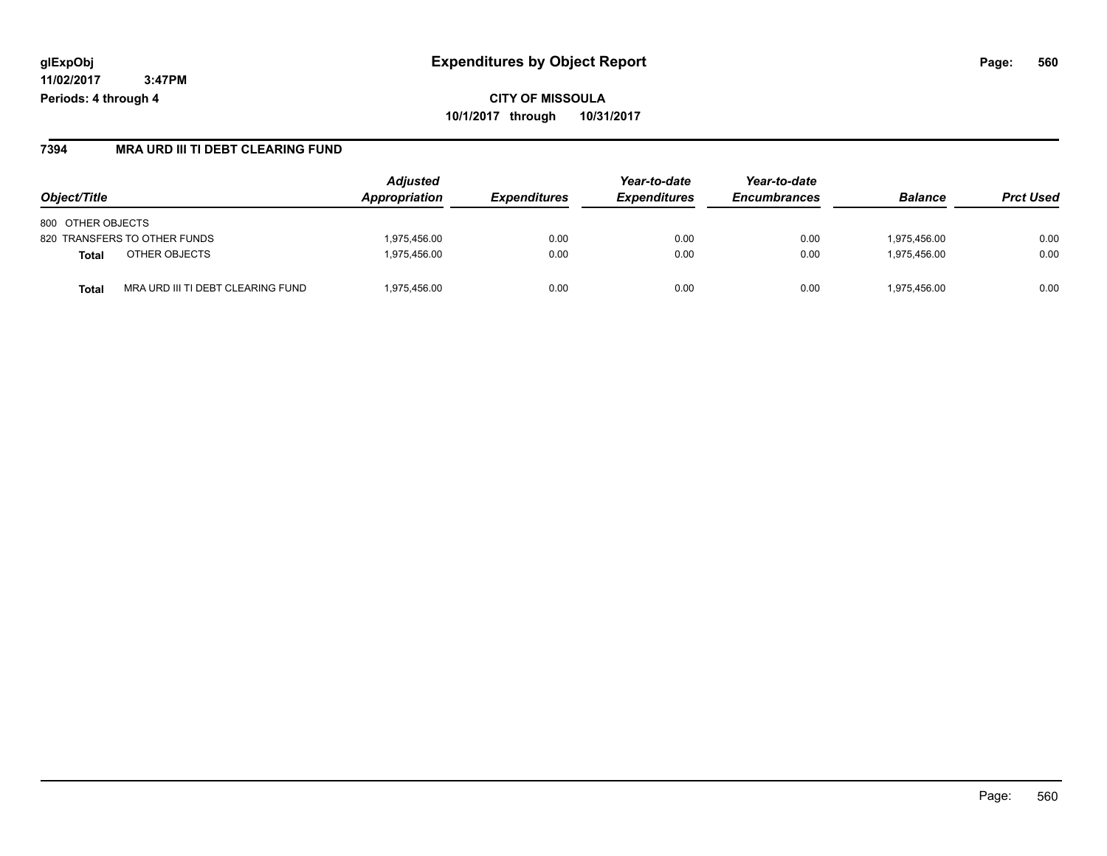#### **7394 MRA URD III TI DEBT CLEARING FUND**

| Object/Title                               | <b>Adjusted</b><br>Appropriation | <i><b>Expenditures</b></i> | Year-to-date<br><b>Expenditures</b> | Year-to-date<br><b>Encumbrances</b> | <b>Balance</b> | <b>Prct Used</b> |
|--------------------------------------------|----------------------------------|----------------------------|-------------------------------------|-------------------------------------|----------------|------------------|
| 800 OTHER OBJECTS                          |                                  |                            |                                     |                                     |                |                  |
| 820 TRANSFERS TO OTHER FUNDS               | 1.975.456.00                     | 0.00                       | 0.00                                | 0.00                                | 1.975.456.00   | 0.00             |
| OTHER OBJECTS<br><b>Total</b>              | 1.975.456.00                     | 0.00                       | 0.00                                | 0.00                                | 1.975.456.00   | 0.00             |
| MRA URD III TI DEBT CLEARING FUND<br>Total | 1.975.456.00                     | 0.00                       | 0.00                                | 0.00                                | 1.975.456.00   | 0.00             |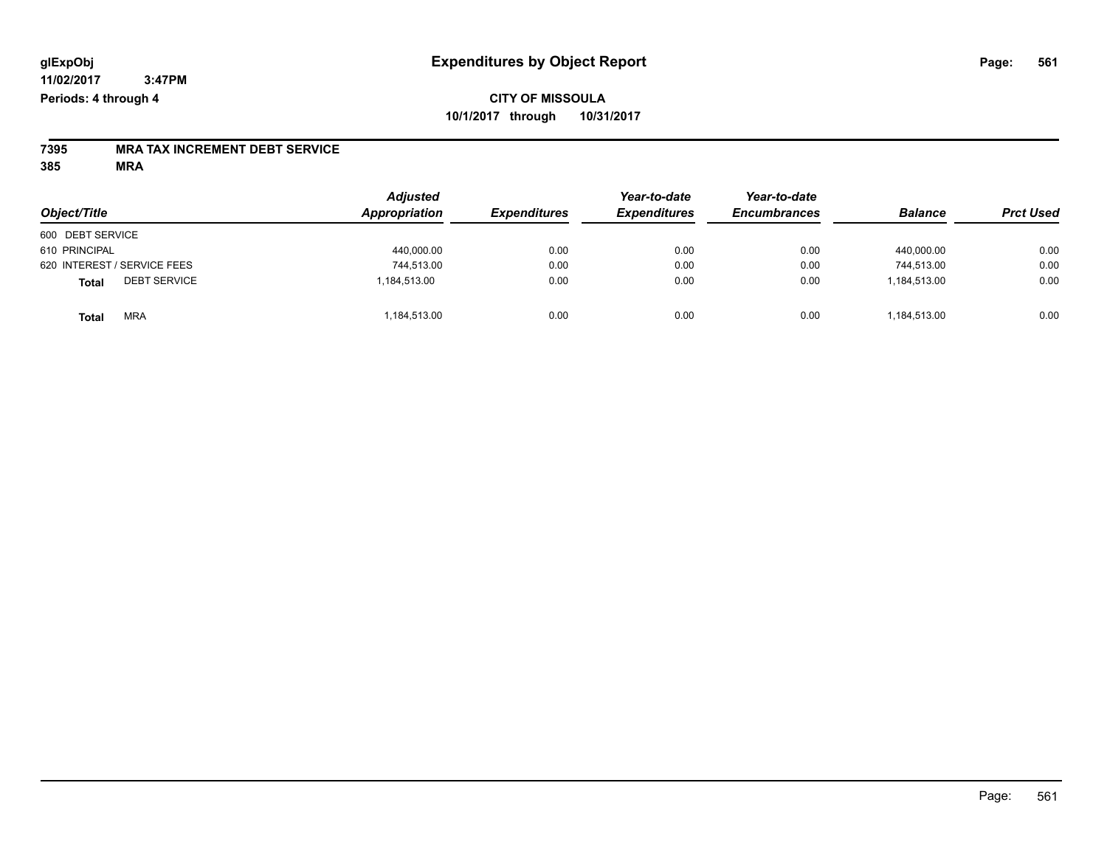### **CITY OF MISSOULA 10/1/2017 through 10/31/2017**

# **7395 MRA TAX INCREMENT DEBT SERVICE**

| Object/Title                 | <b>Adjusted</b><br>Appropriation | <b>Expenditures</b> | Year-to-date<br><b>Expenditures</b> | Year-to-date<br><b>Encumbrances</b> | <b>Balance</b> | <b>Prct Used</b> |
|------------------------------|----------------------------------|---------------------|-------------------------------------|-------------------------------------|----------------|------------------|
| 600 DEBT SERVICE             |                                  |                     |                                     |                                     |                |                  |
| 610 PRINCIPAL                | 440,000.00                       | 0.00                | 0.00                                | 0.00                                | 440.000.00     | 0.00             |
| 620 INTEREST / SERVICE FEES  | 744,513.00                       | 0.00                | 0.00                                | 0.00                                | 744.513.00     | 0.00             |
| <b>DEBT SERVICE</b><br>Total | 1,184,513.00                     | 0.00                | 0.00                                | 0.00                                | 1.184.513.00   | 0.00             |
| <b>MRA</b><br><b>Total</b>   | 1,184,513.00                     | 0.00                | 0.00                                | 0.00                                | 1,184,513.00   | 0.00             |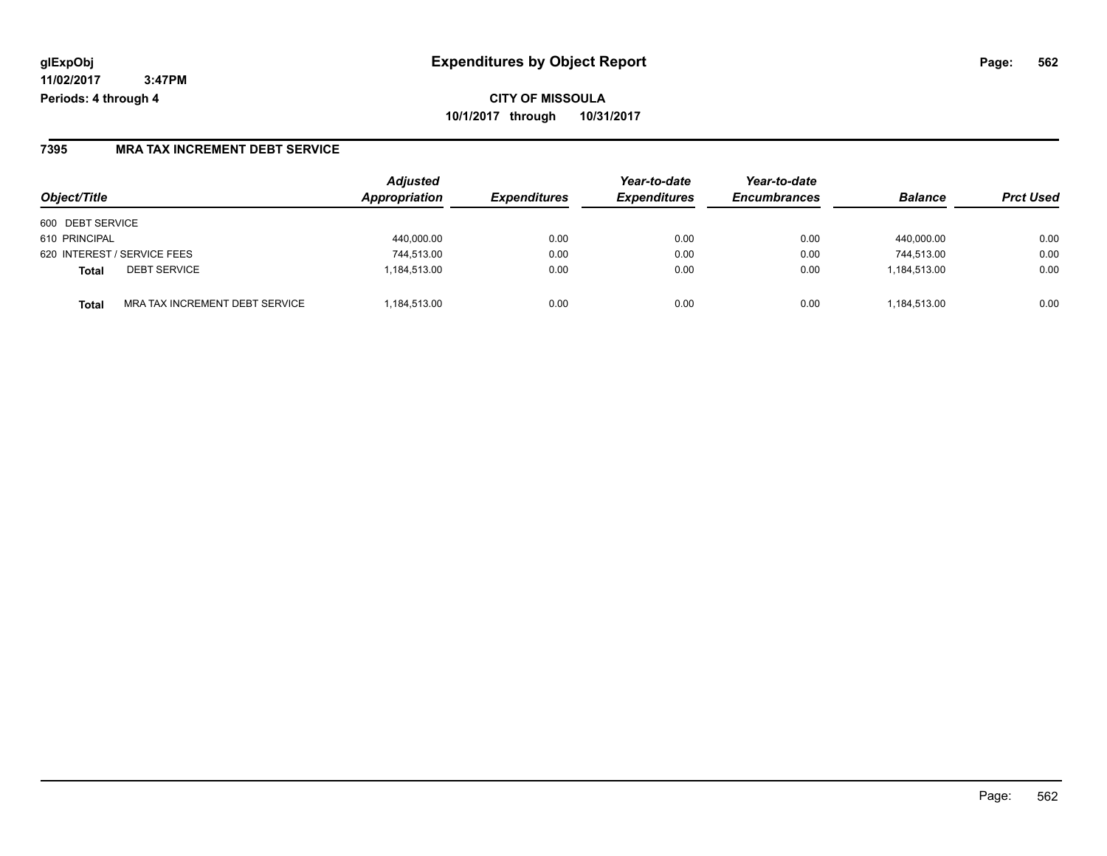**CITY OF MISSOULA 10/1/2017 through 10/31/2017**

#### **7395 MRA TAX INCREMENT DEBT SERVICE**

| Object/Title                            | <b>Adjusted</b><br>Appropriation | <b>Expenditures</b> | Year-to-date<br><b>Expenditures</b> | Year-to-date<br><b>Encumbrances</b> | <b>Balance</b> | <b>Prct Used</b> |
|-----------------------------------------|----------------------------------|---------------------|-------------------------------------|-------------------------------------|----------------|------------------|
| 600 DEBT SERVICE                        |                                  |                     |                                     |                                     |                |                  |
| 610 PRINCIPAL                           | 440,000.00                       | 0.00                | 0.00                                | 0.00                                | 440.000.00     | 0.00             |
| 620 INTEREST / SERVICE FEES             | 744,513.00                       | 0.00                | 0.00                                | 0.00                                | 744,513.00     | 0.00             |
| <b>DEBT SERVICE</b><br><b>Total</b>     | 1,184,513.00                     | 0.00                | 0.00                                | 0.00                                | 1,184,513.00   | 0.00             |
| MRA TAX INCREMENT DEBT SERVICE<br>Total | 1.184.513.00                     | 0.00                | 0.00                                | 0.00                                | 1,184,513.00   | 0.00             |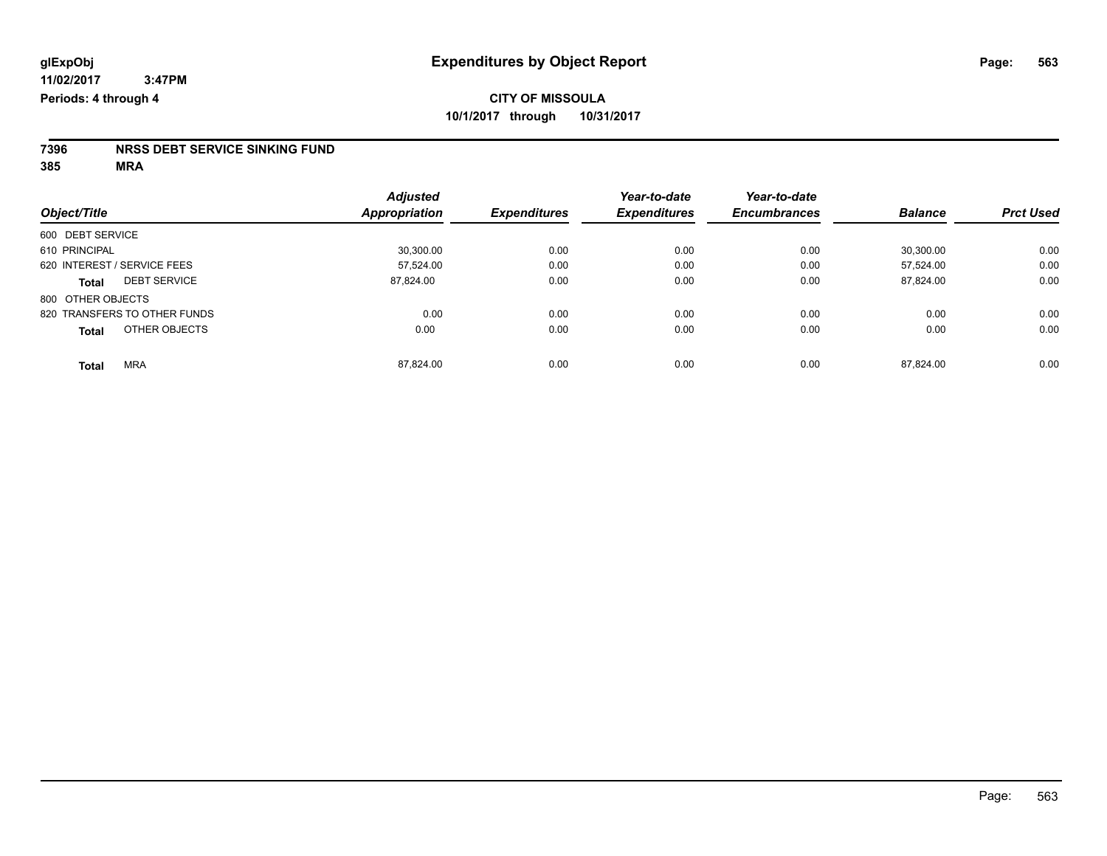# **7396 NRSS DEBT SERVICE SINKING FUND**

|                               | <b>Adjusted</b>      |                     | Year-to-date        | Year-to-date        |                |                  |
|-------------------------------|----------------------|---------------------|---------------------|---------------------|----------------|------------------|
| Object/Title                  | <b>Appropriation</b> | <b>Expenditures</b> | <b>Expenditures</b> | <b>Encumbrances</b> | <b>Balance</b> | <b>Prct Used</b> |
| 600 DEBT SERVICE              |                      |                     |                     |                     |                |                  |
| 610 PRINCIPAL                 | 30,300.00            | 0.00                | 0.00                | 0.00                | 30.300.00      | 0.00             |
| 620 INTEREST / SERVICE FEES   | 57.524.00            | 0.00                | 0.00                | 0.00                | 57.524.00      | 0.00             |
| <b>DEBT SERVICE</b><br>Total  | 87,824.00            | 0.00                | 0.00                | 0.00                | 87,824.00      | 0.00             |
| 800 OTHER OBJECTS             |                      |                     |                     |                     |                |                  |
| 820 TRANSFERS TO OTHER FUNDS  | 0.00                 | 0.00                | 0.00                | 0.00                | 0.00           | 0.00             |
| OTHER OBJECTS<br><b>Total</b> | 0.00                 | 0.00                | 0.00                | 0.00                | 0.00           | 0.00             |
| <b>MRA</b><br><b>Total</b>    | 87.824.00            | 0.00                | 0.00                | 0.00                | 87.824.00      | 0.00             |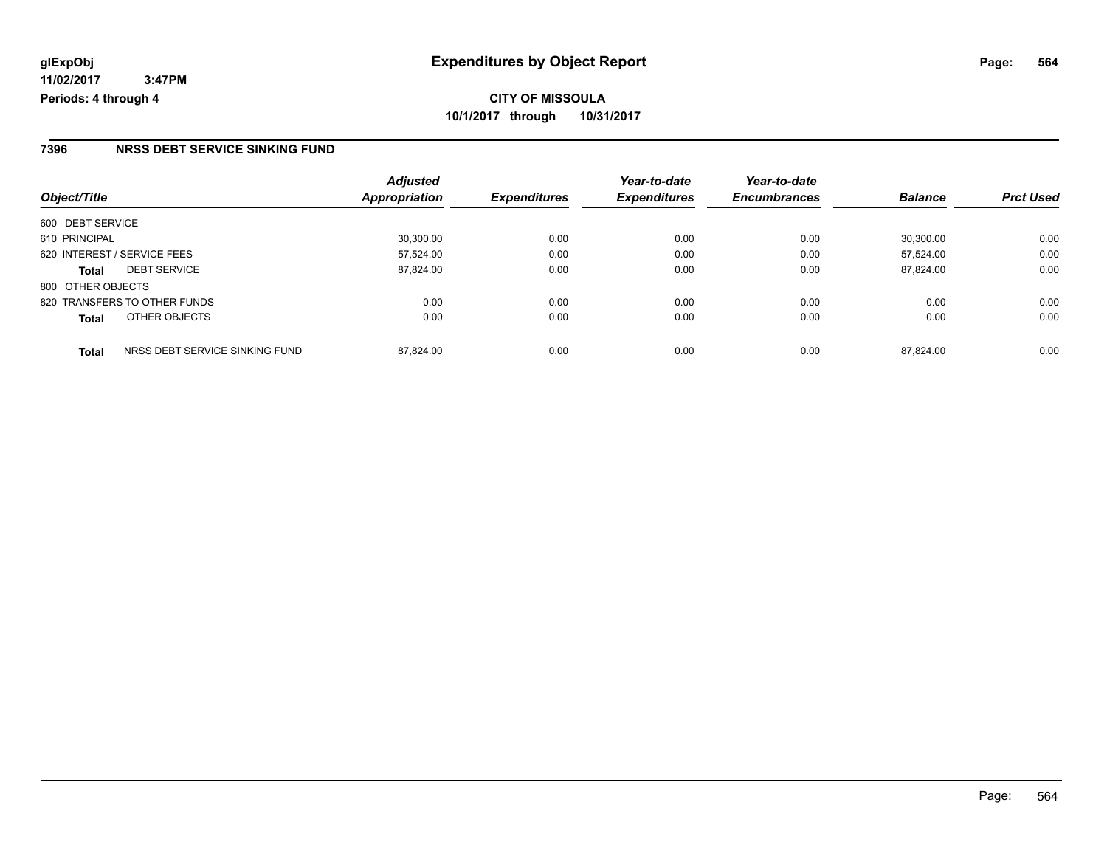#### **7396 NRSS DEBT SERVICE SINKING FUND**

|                                         | <b>Adjusted</b> |                     | Year-to-date        | Year-to-date        |                |                  |
|-----------------------------------------|-----------------|---------------------|---------------------|---------------------|----------------|------------------|
| Object/Title                            | Appropriation   | <b>Expenditures</b> | <b>Expenditures</b> | <b>Encumbrances</b> | <b>Balance</b> | <b>Prct Used</b> |
| 600 DEBT SERVICE                        |                 |                     |                     |                     |                |                  |
| 610 PRINCIPAL                           | 30.300.00       | 0.00                | 0.00                | 0.00                | 30.300.00      | 0.00             |
| 620 INTEREST / SERVICE FEES             | 57,524.00       | 0.00                | 0.00                | 0.00                | 57.524.00      | 0.00             |
| <b>DEBT SERVICE</b><br><b>Total</b>     | 87,824.00       | 0.00                | 0.00                | 0.00                | 87.824.00      | 0.00             |
| 800 OTHER OBJECTS                       |                 |                     |                     |                     |                |                  |
| 820 TRANSFERS TO OTHER FUNDS            | 0.00            | 0.00                | 0.00                | 0.00                | 0.00           | 0.00             |
| OTHER OBJECTS<br><b>Total</b>           | 0.00            | 0.00                | 0.00                | 0.00                | 0.00           | 0.00             |
| NRSS DEBT SERVICE SINKING FUND<br>Total | 87.824.00       | 0.00                | 0.00                | 0.00                | 87.824.00      | 0.00             |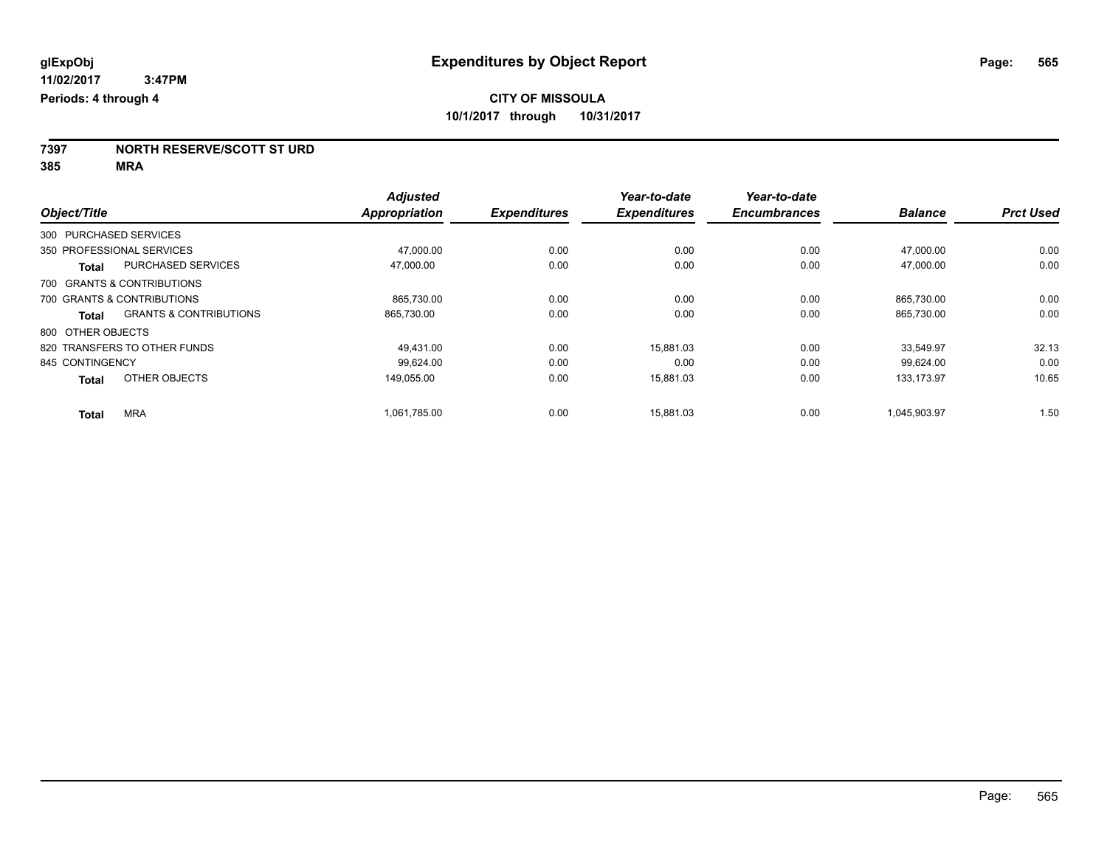**7397 NORTH RESERVE/SCOTT ST URD**

|                            |                                   | <b>Adjusted</b> |                     | Year-to-date        | Year-to-date        |                |                  |
|----------------------------|-----------------------------------|-----------------|---------------------|---------------------|---------------------|----------------|------------------|
| Object/Title               |                                   | Appropriation   | <b>Expenditures</b> | <b>Expenditures</b> | <b>Encumbrances</b> | <b>Balance</b> | <b>Prct Used</b> |
| 300 PURCHASED SERVICES     |                                   |                 |                     |                     |                     |                |                  |
| 350 PROFESSIONAL SERVICES  |                                   | 47.000.00       | 0.00                | 0.00                | 0.00                | 47.000.00      | 0.00             |
| <b>Total</b>               | <b>PURCHASED SERVICES</b>         | 47,000.00       | 0.00                | 0.00                | 0.00                | 47.000.00      | 0.00             |
| 700 GRANTS & CONTRIBUTIONS |                                   |                 |                     |                     |                     |                |                  |
| 700 GRANTS & CONTRIBUTIONS |                                   | 865,730.00      | 0.00                | 0.00                | 0.00                | 865,730.00     | 0.00             |
| Total                      | <b>GRANTS &amp; CONTRIBUTIONS</b> | 865,730.00      | 0.00                | 0.00                | 0.00                | 865,730.00     | 0.00             |
| 800 OTHER OBJECTS          |                                   |                 |                     |                     |                     |                |                  |
|                            | 820 TRANSFERS TO OTHER FUNDS      | 49.431.00       | 0.00                | 15,881.03           | 0.00                | 33.549.97      | 32.13            |
| 845 CONTINGENCY            |                                   | 99.624.00       | 0.00                | 0.00                | 0.00                | 99.624.00      | 0.00             |
| <b>Total</b>               | OTHER OBJECTS                     | 149,055.00      | 0.00                | 15,881.03           | 0.00                | 133.173.97     | 10.65            |
| <b>Total</b>               | <b>MRA</b>                        | 1,061,785.00    | 0.00                | 15,881.03           | 0.00                | 1,045,903.97   | 1.50             |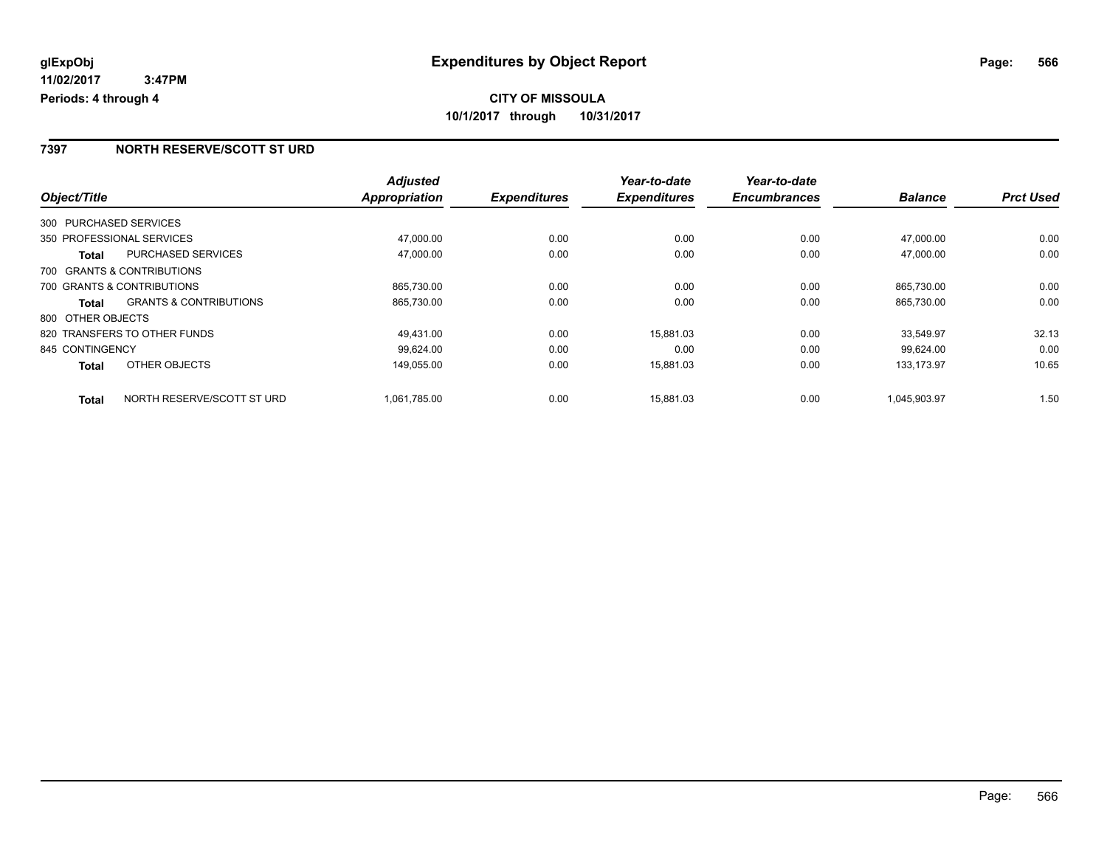#### **7397 NORTH RESERVE/SCOTT ST URD**

|                        |                                   | <b>Adjusted</b> |                     | Year-to-date        | Year-to-date        |                |                  |
|------------------------|-----------------------------------|-----------------|---------------------|---------------------|---------------------|----------------|------------------|
| Object/Title           |                                   | Appropriation   | <b>Expenditures</b> | <b>Expenditures</b> | <b>Encumbrances</b> | <b>Balance</b> | <b>Prct Used</b> |
| 300 PURCHASED SERVICES |                                   |                 |                     |                     |                     |                |                  |
|                        | 350 PROFESSIONAL SERVICES         | 47,000.00       | 0.00                | 0.00                | 0.00                | 47.000.00      | 0.00             |
| Total                  | PURCHASED SERVICES                | 47,000.00       | 0.00                | 0.00                | 0.00                | 47,000.00      | 0.00             |
|                        | 700 GRANTS & CONTRIBUTIONS        |                 |                     |                     |                     |                |                  |
|                        | 700 GRANTS & CONTRIBUTIONS        | 865,730.00      | 0.00                | 0.00                | 0.00                | 865.730.00     | 0.00             |
| Total                  | <b>GRANTS &amp; CONTRIBUTIONS</b> | 865,730.00      | 0.00                | 0.00                | 0.00                | 865,730.00     | 0.00             |
| 800 OTHER OBJECTS      |                                   |                 |                     |                     |                     |                |                  |
|                        | 820 TRANSFERS TO OTHER FUNDS      | 49,431.00       | 0.00                | 15,881.03           | 0.00                | 33,549.97      | 32.13            |
| 845 CONTINGENCY        |                                   | 99.624.00       | 0.00                | 0.00                | 0.00                | 99.624.00      | 0.00             |
| <b>Total</b>           | OTHER OBJECTS                     | 149,055.00      | 0.00                | 15,881.03           | 0.00                | 133.173.97     | 10.65            |
| <b>Total</b>           | NORTH RESERVE/SCOTT ST URD        | 1.061.785.00    | 0.00                | 15.881.03           | 0.00                | 1.045.903.97   | 1.50             |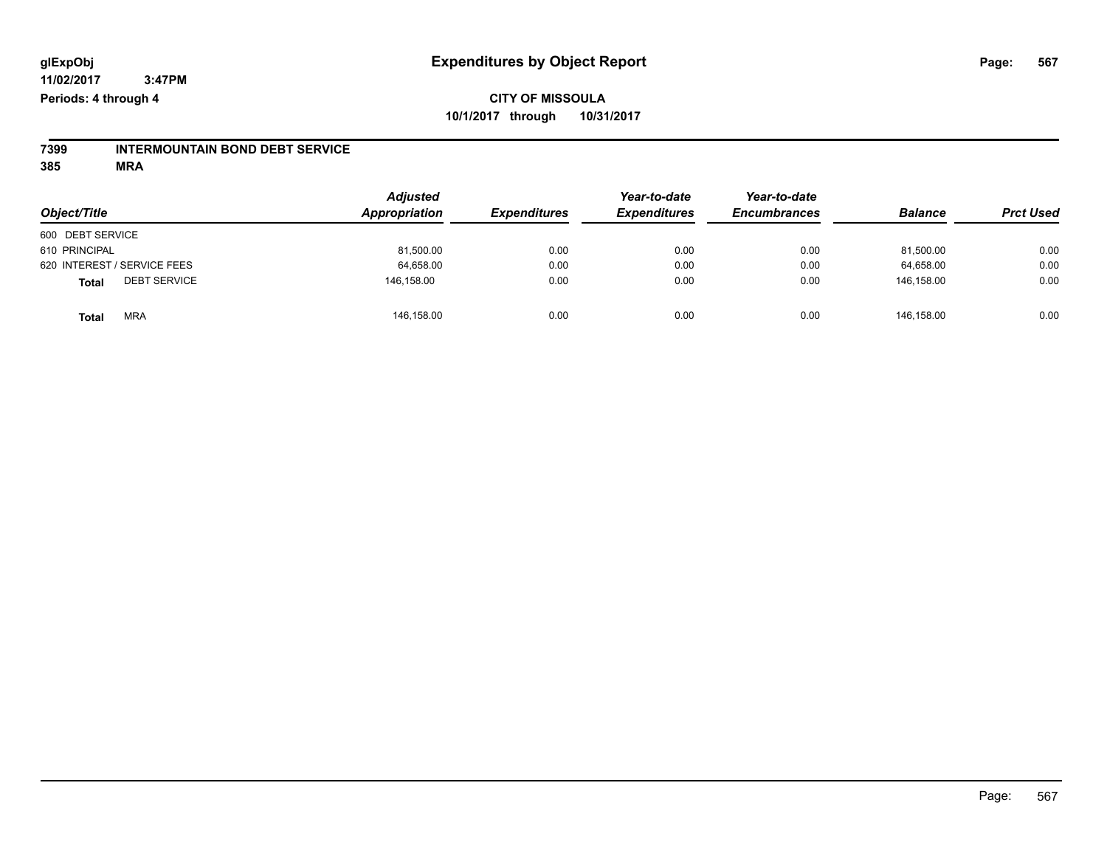#### **CITY OF MISSOULA 10/1/2017 through 10/31/2017**

# **7399 INTERMOUNTAIN BOND DEBT SERVICE**

|                                     | <b>Adjusted</b><br>Appropriation |                     | Year-to-date        | Year-to-date        |                |                  |
|-------------------------------------|----------------------------------|---------------------|---------------------|---------------------|----------------|------------------|
| Object/Title                        |                                  | <b>Expenditures</b> | <b>Expenditures</b> | <b>Encumbrances</b> | <b>Balance</b> | <b>Prct Used</b> |
| 600 DEBT SERVICE                    |                                  |                     |                     |                     |                |                  |
| 610 PRINCIPAL                       | 81,500.00                        | 0.00                | 0.00                | 0.00                | 81,500.00      | 0.00             |
| 620 INTEREST / SERVICE FEES         | 64,658.00                        | 0.00                | 0.00                | 0.00                | 64,658.00      | 0.00             |
| <b>DEBT SERVICE</b><br><b>Total</b> | 146.158.00                       | 0.00                | 0.00                | 0.00                | 146.158.00     | 0.00             |
| <b>MRA</b><br><b>Total</b>          | 146,158.00                       | 0.00                | 0.00                | 0.00                | 146.158.00     | 0.00             |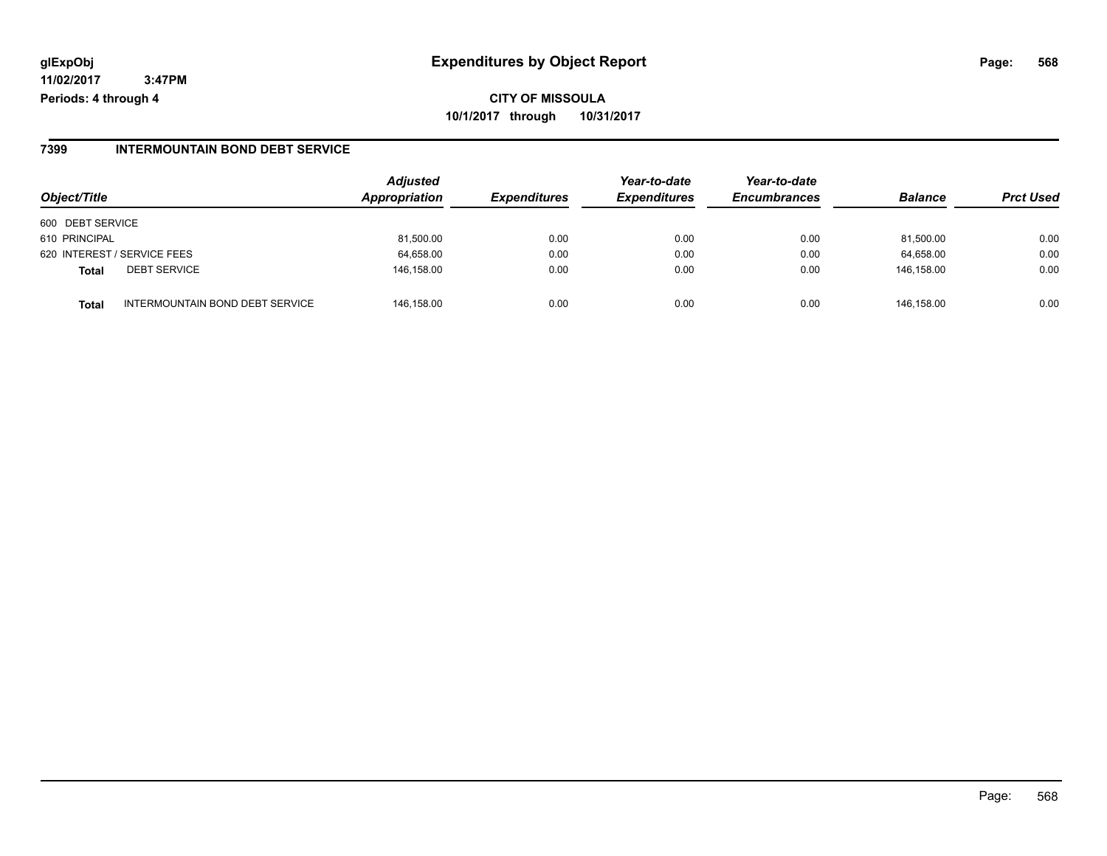#### **7399 INTERMOUNTAIN BOND DEBT SERVICE**

| Object/Title     |                                 | <b>Adjusted</b><br>Appropriation | <b>Expenditures</b> | Year-to-date<br><b>Expenditures</b> | Year-to-date<br><b>Encumbrances</b> | <b>Balance</b> | <b>Prct Used</b> |
|------------------|---------------------------------|----------------------------------|---------------------|-------------------------------------|-------------------------------------|----------------|------------------|
| 600 DEBT SERVICE |                                 |                                  |                     |                                     |                                     |                |                  |
| 610 PRINCIPAL    |                                 | 81,500.00                        | 0.00                | 0.00                                | 0.00                                | 81,500.00      | 0.00             |
|                  | 620 INTEREST / SERVICE FEES     | 64,658.00                        | 0.00                | 0.00                                | 0.00                                | 64,658.00      | 0.00             |
| Total            | <b>DEBT SERVICE</b>             | 146.158.00                       | 0.00                | 0.00                                | 0.00                                | 146.158.00     | 0.00             |
| Total            | INTERMOUNTAIN BOND DEBT SERVICE | 146.158.00                       | 0.00                | 0.00                                | 0.00                                | 146.158.00     | 0.00             |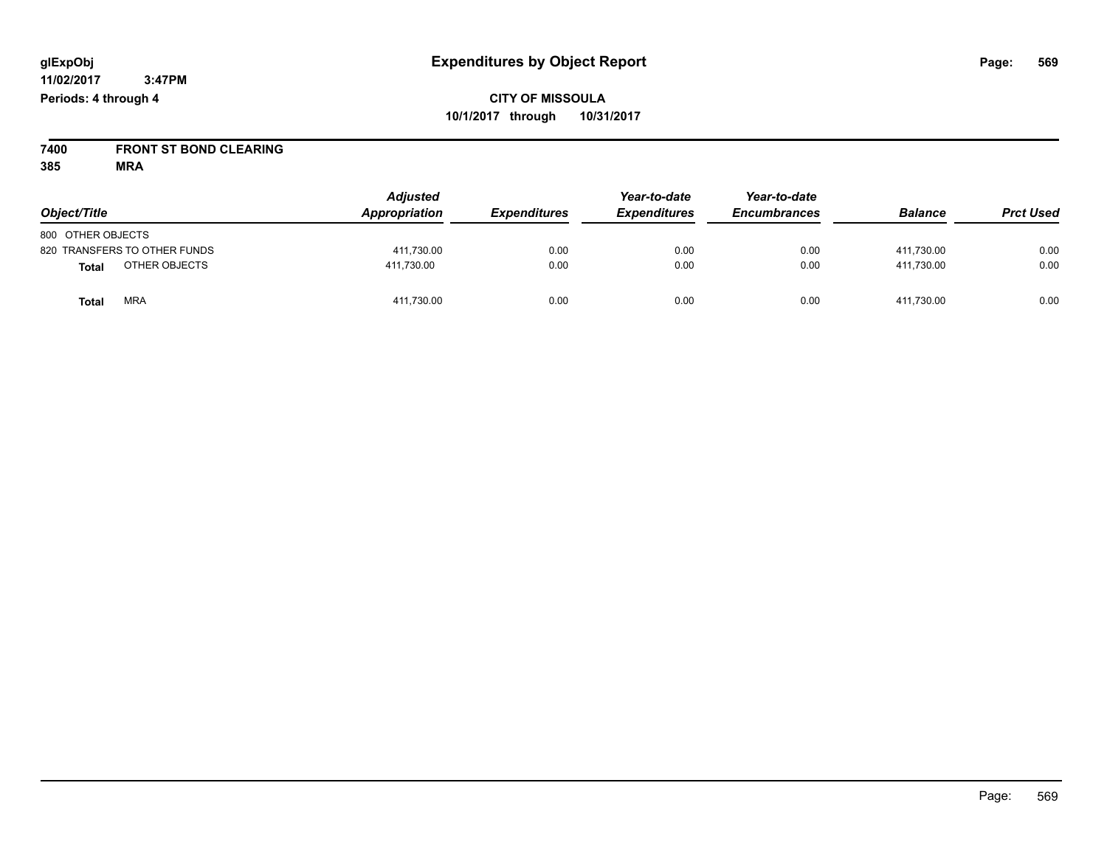**7400 FRONT ST BOND CLEARING**

| Object/Title                 | <b>Adjusted</b><br>Appropriation | <b>Expenditures</b> | Year-to-date<br><b>Expenditures</b> | Year-to-date<br><b>Encumbrances</b> | <b>Balance</b> | <b>Prct Used</b> |
|------------------------------|----------------------------------|---------------------|-------------------------------------|-------------------------------------|----------------|------------------|
| 800 OTHER OBJECTS            |                                  |                     |                                     |                                     |                |                  |
| 820 TRANSFERS TO OTHER FUNDS | 411,730.00                       | 0.00                | 0.00                                | 0.00                                | 411.730.00     | 0.00             |
| OTHER OBJECTS<br>Total       | 411.730.00                       | 0.00                | 0.00                                | 0.00                                | 411.730.00     | 0.00             |
| <b>MRA</b><br>Total          | 411,730.00                       | 0.00                | 0.00                                | 0.00                                | 411,730.00     | 0.00             |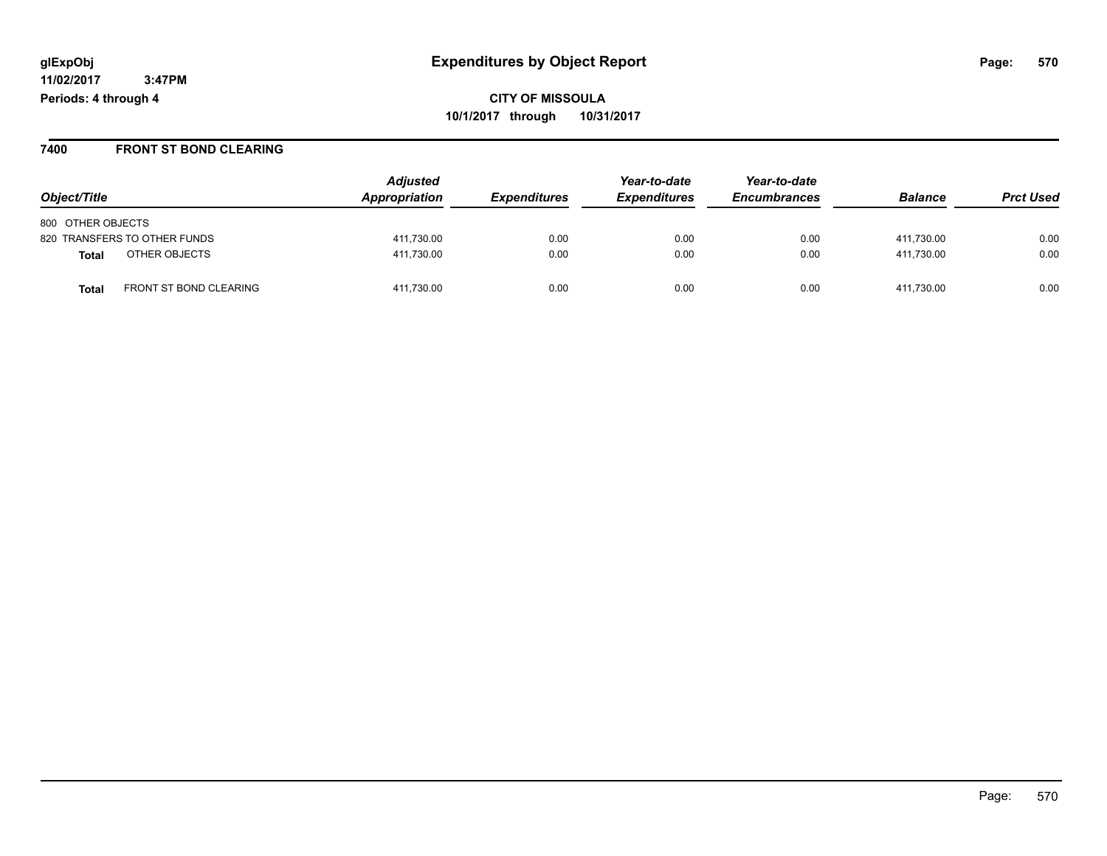#### **7400 FRONT ST BOND CLEARING**

| Object/Title                           | <b>Adjusted</b><br>Appropriation | <b>Expenditures</b> | Year-to-date<br><b>Expenditures</b> | Year-to-date<br><b>Encumbrances</b> | <b>Balance</b> | <b>Prct Used</b> |
|----------------------------------------|----------------------------------|---------------------|-------------------------------------|-------------------------------------|----------------|------------------|
| 800 OTHER OBJECTS                      |                                  |                     |                                     |                                     |                |                  |
| 820 TRANSFERS TO OTHER FUNDS           | 411,730.00                       | 0.00                | 0.00                                | 0.00                                | 411.730.00     | 0.00             |
| OTHER OBJECTS<br>Total                 | 411.730.00                       | 0.00                | 0.00                                | 0.00                                | 411.730.00     | 0.00             |
| FRONT ST BOND CLEARING<br><b>Total</b> | 411,730.00                       | 0.00                | 0.00                                | 0.00                                | 411.730.00     | 0.00             |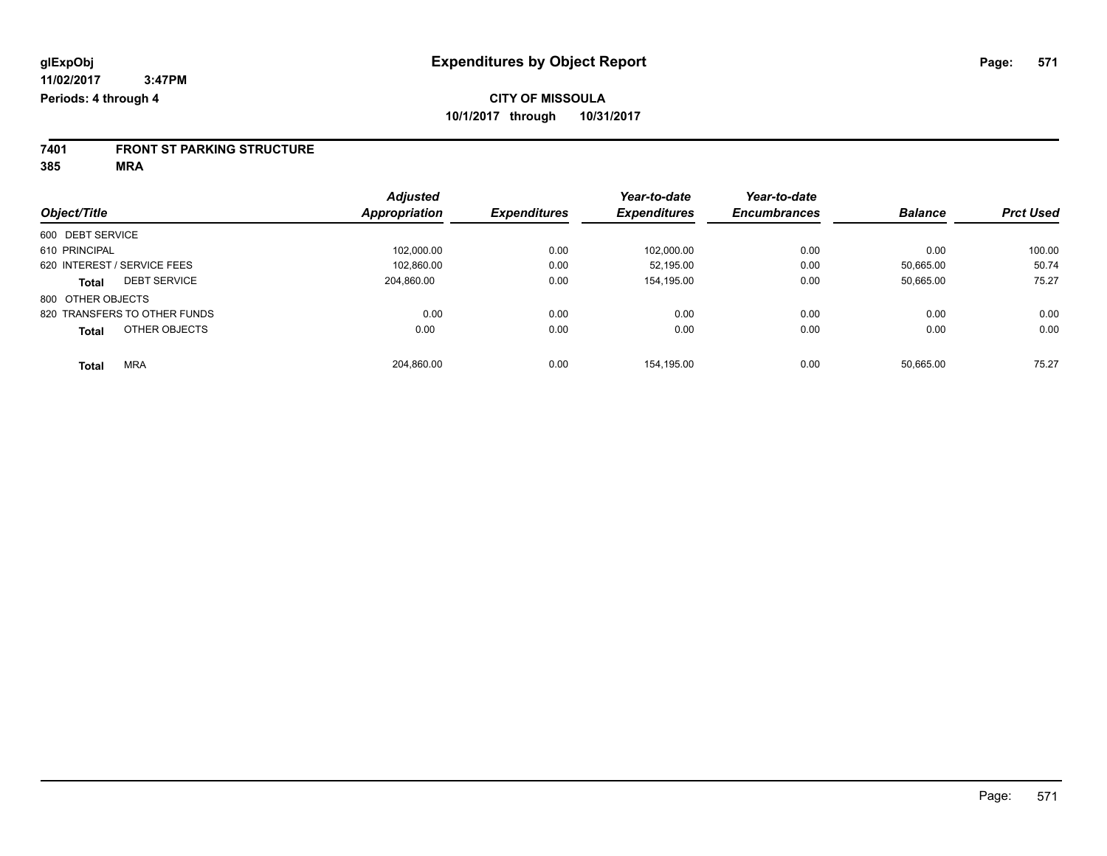# **7401 FRONT ST PARKING STRUCTURE**

|                               | <b>Adjusted</b> |                     | Year-to-date        | Year-to-date        |                |                  |
|-------------------------------|-----------------|---------------------|---------------------|---------------------|----------------|------------------|
| Object/Title                  | Appropriation   | <b>Expenditures</b> | <b>Expenditures</b> | <b>Encumbrances</b> | <b>Balance</b> | <b>Prct Used</b> |
| 600 DEBT SERVICE              |                 |                     |                     |                     |                |                  |
| 610 PRINCIPAL                 | 102.000.00      | 0.00                | 102,000.00          | 0.00                | 0.00           | 100.00           |
| 620 INTEREST / SERVICE FEES   | 102.860.00      | 0.00                | 52.195.00           | 0.00                | 50.665.00      | 50.74            |
| <b>DEBT SERVICE</b><br>Total  | 204.860.00      | 0.00                | 154.195.00          | 0.00                | 50,665.00      | 75.27            |
| 800 OTHER OBJECTS             |                 |                     |                     |                     |                |                  |
| 820 TRANSFERS TO OTHER FUNDS  | 0.00            | 0.00                | 0.00                | 0.00                | 0.00           | 0.00             |
| OTHER OBJECTS<br><b>Total</b> | 0.00            | 0.00                | 0.00                | 0.00                | 0.00           | 0.00             |
| <b>MRA</b><br><b>Total</b>    | 204,860.00      | 0.00                | 154.195.00          | 0.00                | 50.665.00      | 75.27            |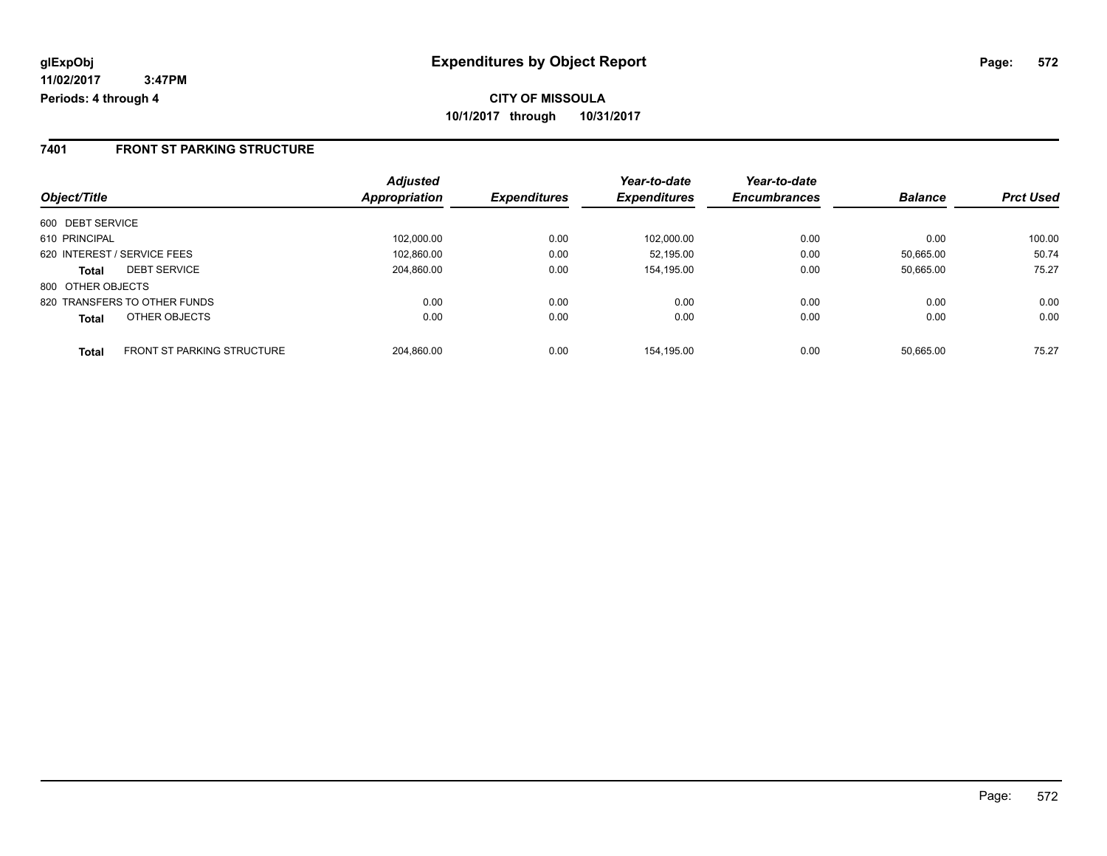#### **7401 FRONT ST PARKING STRUCTURE**

|                                            | <b>Adjusted</b> | <b>Expenditures</b> | Year-to-date<br><b>Expenditures</b> | Year-to-date<br><b>Encumbrances</b> | <b>Balance</b> | <b>Prct Used</b> |
|--------------------------------------------|-----------------|---------------------|-------------------------------------|-------------------------------------|----------------|------------------|
| Object/Title                               | Appropriation   |                     |                                     |                                     |                |                  |
| 600 DEBT SERVICE                           |                 |                     |                                     |                                     |                |                  |
| 610 PRINCIPAL                              | 102.000.00      | 0.00                | 102.000.00                          | 0.00                                | 0.00           | 100.00           |
| 620 INTEREST / SERVICE FEES                | 102,860.00      | 0.00                | 52.195.00                           | 0.00                                | 50.665.00      | 50.74            |
| <b>DEBT SERVICE</b><br><b>Total</b>        | 204.860.00      | 0.00                | 154,195.00                          | 0.00                                | 50.665.00      | 75.27            |
| 800 OTHER OBJECTS                          |                 |                     |                                     |                                     |                |                  |
| 820 TRANSFERS TO OTHER FUNDS               | 0.00            | 0.00                | 0.00                                | 0.00                                | 0.00           | 0.00             |
| OTHER OBJECTS<br><b>Total</b>              | 0.00            | 0.00                | 0.00                                | 0.00                                | 0.00           | 0.00             |
| <b>FRONT ST PARKING STRUCTURE</b><br>Total | 204.860.00      | 0.00                | 154.195.00                          | 0.00                                | 50.665.00      | 75.27            |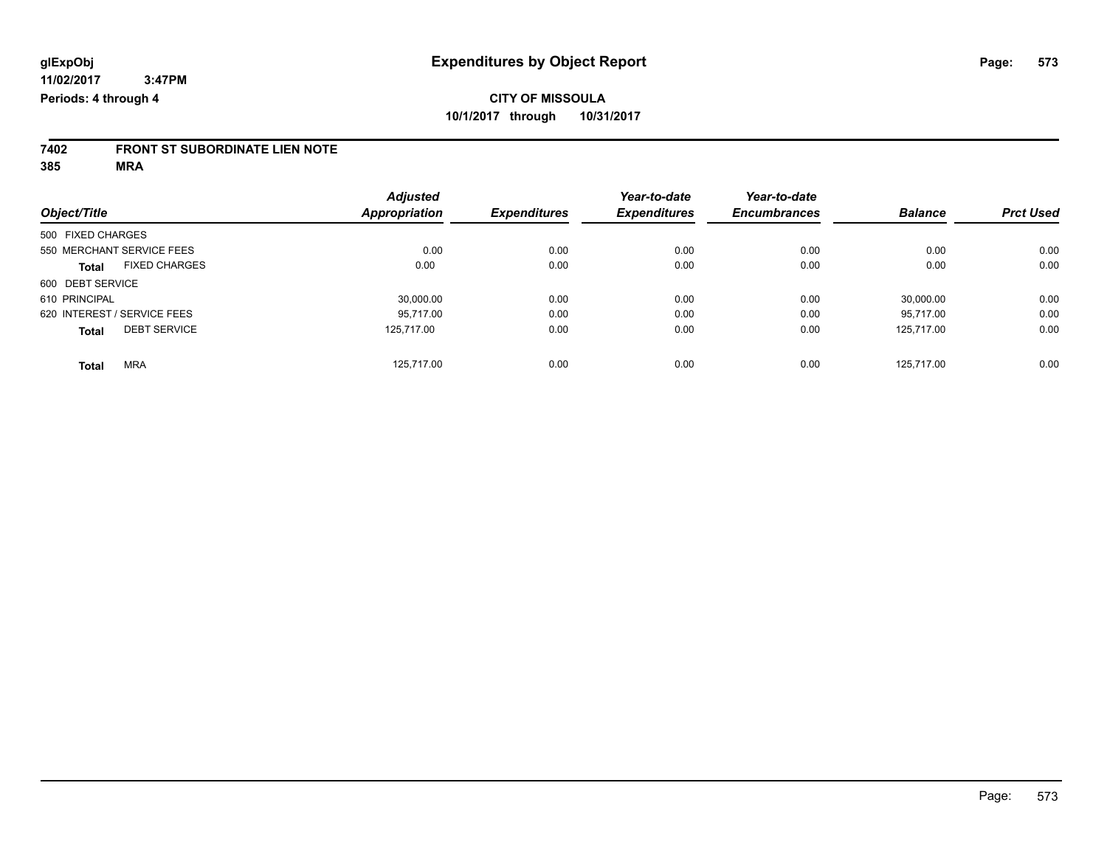# **7402 FRONT ST SUBORDINATE LIEN NOTE**

|                                      | <b>Adjusted</b> |                     | Year-to-date        | Year-to-date        |                |                  |
|--------------------------------------|-----------------|---------------------|---------------------|---------------------|----------------|------------------|
| Object/Title                         | Appropriation   | <b>Expenditures</b> | <b>Expenditures</b> | <b>Encumbrances</b> | <b>Balance</b> | <b>Prct Used</b> |
| 500 FIXED CHARGES                    |                 |                     |                     |                     |                |                  |
| 550 MERCHANT SERVICE FEES            | 0.00            | 0.00                | 0.00                | 0.00                | 0.00           | 0.00             |
| <b>FIXED CHARGES</b><br><b>Total</b> | 0.00            | 0.00                | 0.00                | 0.00                | 0.00           | 0.00             |
| 600 DEBT SERVICE                     |                 |                     |                     |                     |                |                  |
| 610 PRINCIPAL                        | 30,000.00       | 0.00                | 0.00                | 0.00                | 30.000.00      | 0.00             |
| 620 INTEREST / SERVICE FEES          | 95.717.00       | 0.00                | 0.00                | 0.00                | 95.717.00      | 0.00             |
| <b>DEBT SERVICE</b><br><b>Total</b>  | 125.717.00      | 0.00                | 0.00                | 0.00                | 125.717.00     | 0.00             |
| <b>MRA</b><br><b>Total</b>           | 125.717.00      | 0.00                | 0.00                | 0.00                | 125.717.00     | 0.00             |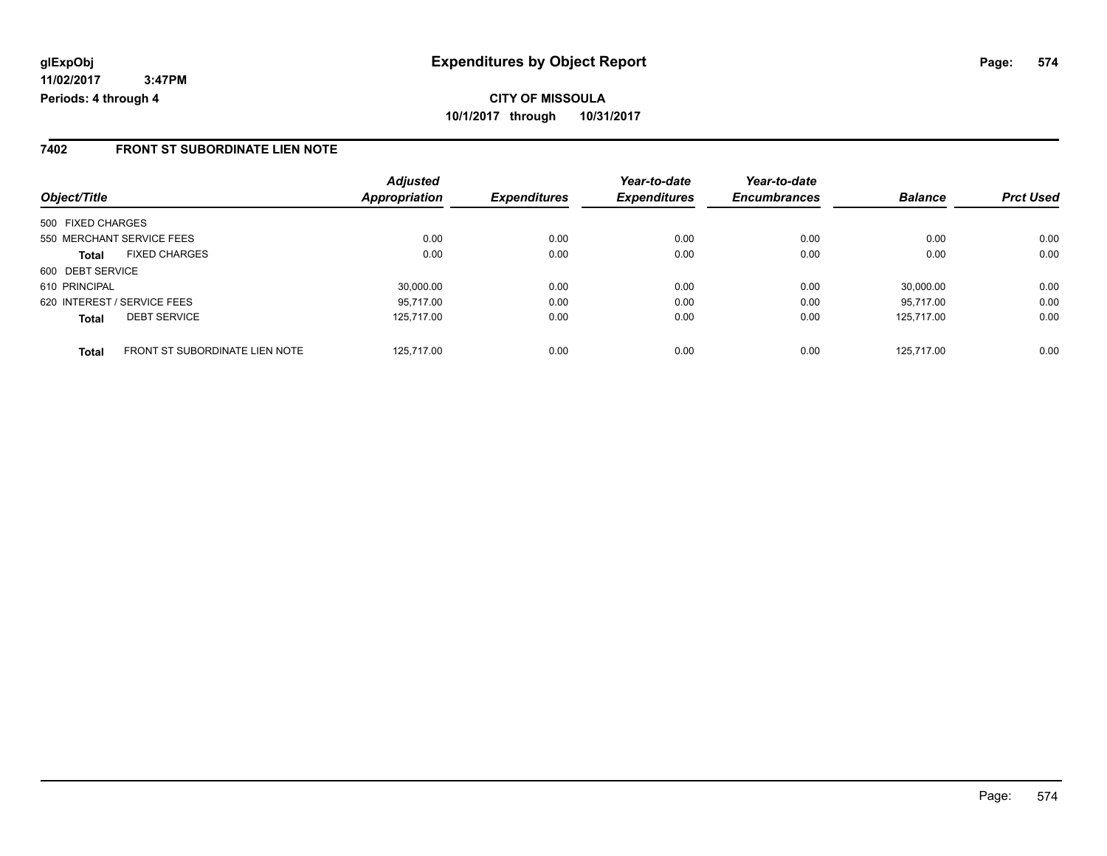#### **7402 FRONT ST SUBORDINATE LIEN NOTE**

| Object/Title                                          | <b>Adjusted</b><br><b>Appropriation</b> | <b>Expenditures</b> | Year-to-date<br><b>Expenditures</b> | Year-to-date<br><b>Encumbrances</b> | <b>Balance</b> | <b>Prct Used</b> |
|-------------------------------------------------------|-----------------------------------------|---------------------|-------------------------------------|-------------------------------------|----------------|------------------|
|                                                       |                                         |                     |                                     |                                     |                |                  |
| 500 FIXED CHARGES                                     |                                         |                     |                                     |                                     |                |                  |
| 550 MERCHANT SERVICE FEES                             | 0.00                                    | 0.00                | 0.00                                | 0.00                                | 0.00           | 0.00             |
| <b>FIXED CHARGES</b><br><b>Total</b>                  | 0.00                                    | 0.00                | 0.00                                | 0.00                                | 0.00           | 0.00             |
| 600 DEBT SERVICE                                      |                                         |                     |                                     |                                     |                |                  |
| 610 PRINCIPAL                                         | 30.000.00                               | 0.00                | 0.00                                | 0.00                                | 30.000.00      | 0.00             |
| 620 INTEREST / SERVICE FEES                           | 95.717.00                               | 0.00                | 0.00                                | 0.00                                | 95.717.00      | 0.00             |
| <b>DEBT SERVICE</b><br><b>Total</b>                   | 125.717.00                              | 0.00                | 0.00                                | 0.00                                | 125.717.00     | 0.00             |
| <b>FRONT ST SUBORDINATE LIEN NOTE</b><br><b>Total</b> | 125.717.00                              | 0.00                | 0.00                                | 0.00                                | 125.717.00     | 0.00             |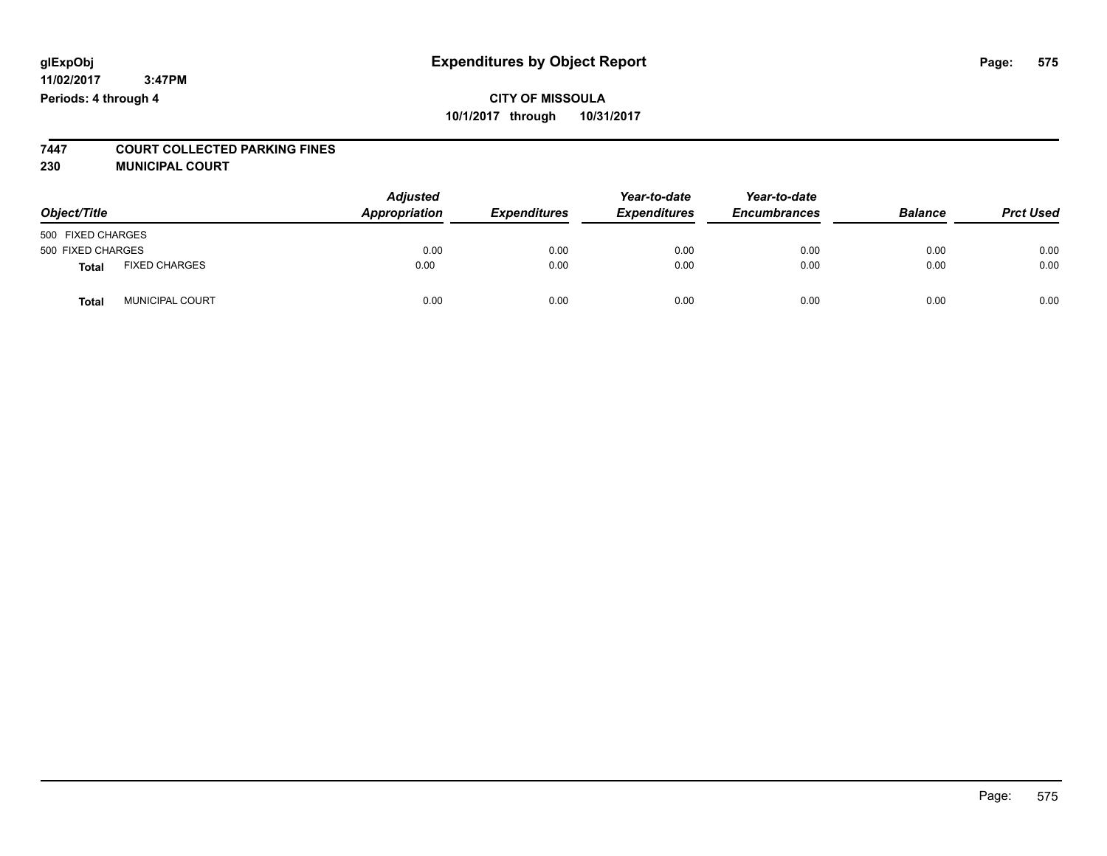# **7447 COURT COLLECTED PARKING FINES**

**230 MUNICIPAL COURT**

| Object/Title      |                      | <b>Adjusted</b><br>Appropriation | <b>Expenditures</b> | Year-to-date<br><b>Expenditures</b> | Year-to-date<br><b>Encumbrances</b> | <b>Balance</b> | <b>Prct Used</b> |
|-------------------|----------------------|----------------------------------|---------------------|-------------------------------------|-------------------------------------|----------------|------------------|
| 500 FIXED CHARGES |                      |                                  |                     |                                     |                                     |                |                  |
| 500 FIXED CHARGES |                      | 0.00                             | 0.00                | 0.00                                | 0.00                                | 0.00           | 0.00             |
| <b>Total</b>      | <b>FIXED CHARGES</b> | 0.00                             | 0.00                | 0.00                                | 0.00                                | 0.00           | 0.00             |
| <b>Total</b>      | MUNICIPAL COURT      | 0.00                             | 0.00                | 0.00                                | 0.00                                | 0.00           | 0.00             |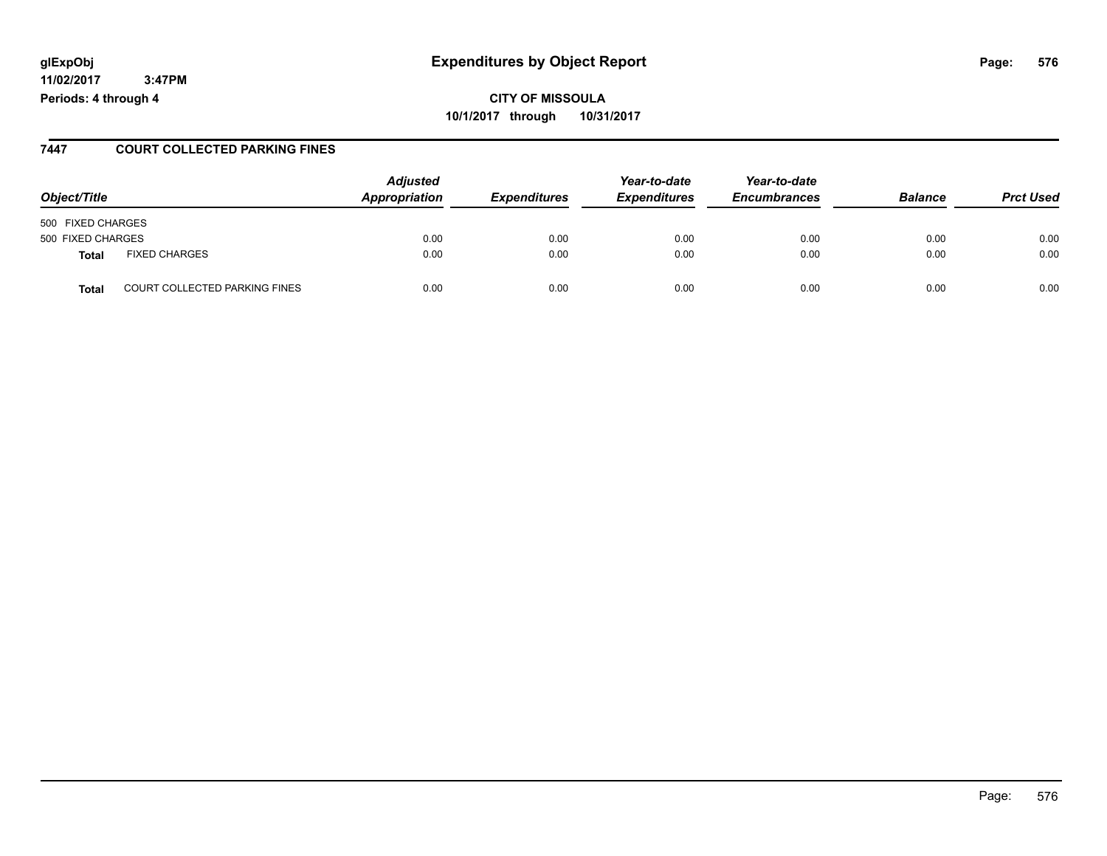#### **glExpObj Expenditures by Object Report Page: 576**

**11/02/2017 3:47PM Periods: 4 through 4**

#### **7447 COURT COLLECTED PARKING FINES**

| Object/Title                                  | <b>Adjusted</b><br>Appropriation | <b>Expenditures</b> | Year-to-date<br><b>Expenditures</b> | Year-to-date<br><b>Encumbrances</b> | <b>Balance</b> | <b>Prct Used</b> |
|-----------------------------------------------|----------------------------------|---------------------|-------------------------------------|-------------------------------------|----------------|------------------|
| 500 FIXED CHARGES                             |                                  |                     |                                     |                                     |                |                  |
| 500 FIXED CHARGES                             | 0.00                             | 0.00                | 0.00                                | 0.00                                | 0.00           | 0.00             |
| <b>FIXED CHARGES</b><br><b>Total</b>          | 0.00                             | 0.00                | 0.00                                | 0.00                                | 0.00           | 0.00             |
| <b>COURT COLLECTED PARKING FINES</b><br>Total | 0.00                             | 0.00                | 0.00                                | 0.00                                | 0.00           | 0.00             |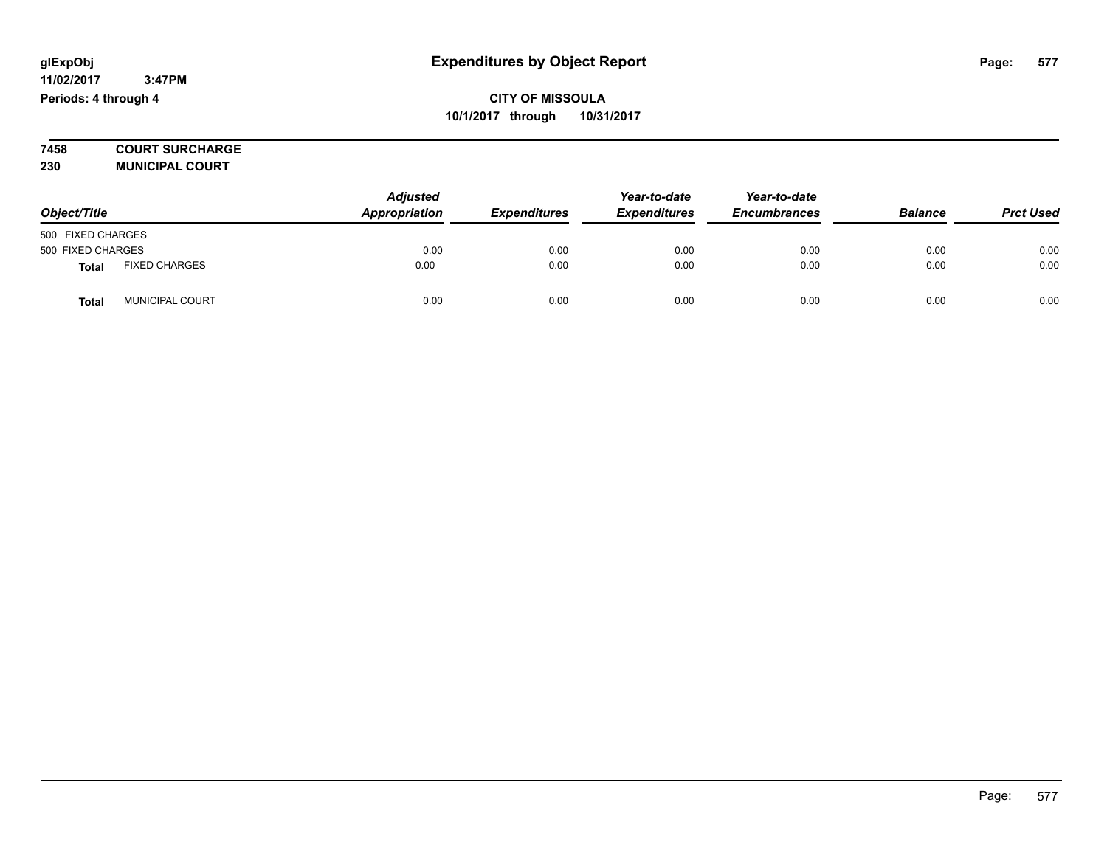**7458 COURT SURCHARGE 230 MUNICIPAL COURT**

| Object/Title      |                        | <b>Adjusted</b><br>Appropriation | <b>Expenditures</b> | Year-to-date<br><b>Expenditures</b> | Year-to-date<br><b>Encumbrances</b> | <b>Balance</b> | <b>Prct Used</b> |
|-------------------|------------------------|----------------------------------|---------------------|-------------------------------------|-------------------------------------|----------------|------------------|
| 500 FIXED CHARGES |                        |                                  |                     |                                     |                                     |                |                  |
| 500 FIXED CHARGES |                        | 0.00                             | 0.00                | 0.00                                | 0.00                                | 0.00           | 0.00             |
| Total             | <b>FIXED CHARGES</b>   | 0.00                             | 0.00                | 0.00                                | 0.00                                | 0.00           | 0.00             |
| Total             | <b>MUNICIPAL COURT</b> | 0.00                             | 0.00                | 0.00                                | 0.00                                | 0.00           | 0.00             |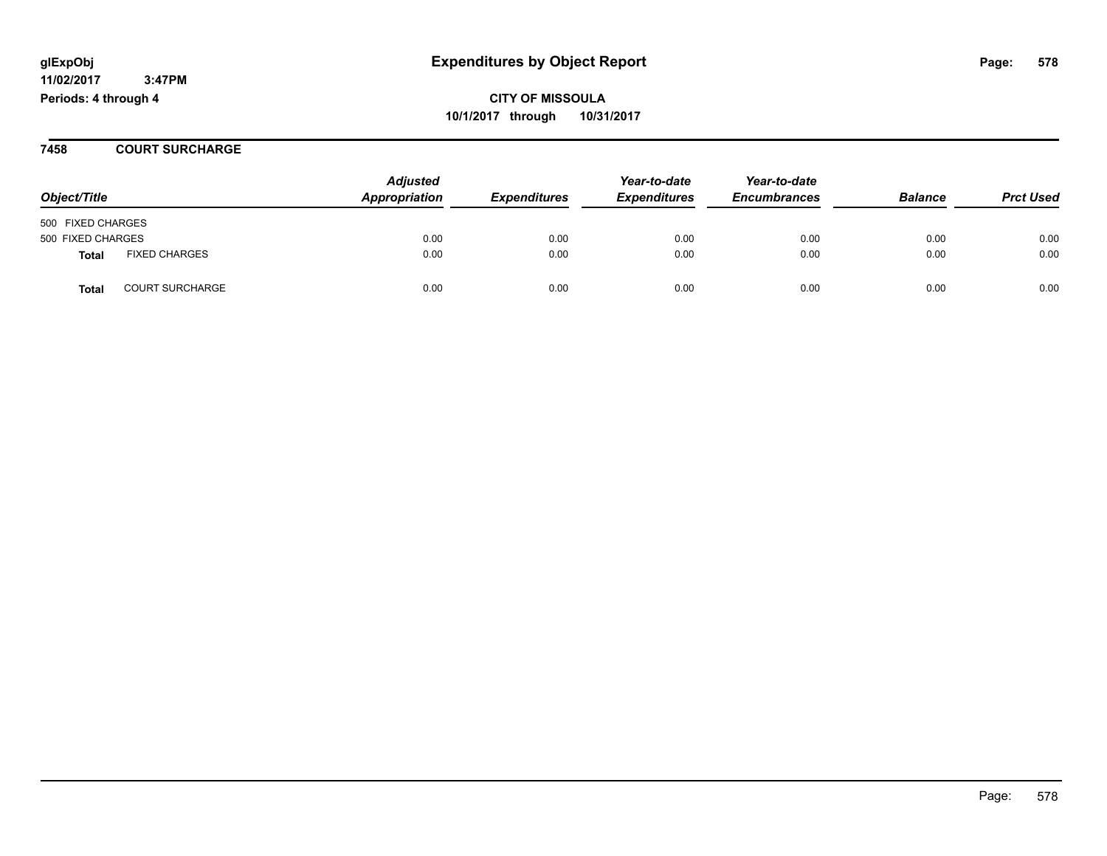**11/02/2017 3:47PM Periods: 4 through 4**

**CITY OF MISSOULA 10/1/2017 through 10/31/2017**

### **7458 COURT SURCHARGE**

|                   |                        | <b>Adjusted</b> |                     | Year-to-date        | Year-to-date        |                |                  |
|-------------------|------------------------|-----------------|---------------------|---------------------|---------------------|----------------|------------------|
| Object/Title      |                        | Appropriation   | <b>Expenditures</b> | <b>Expenditures</b> | <b>Encumbrances</b> | <b>Balance</b> | <b>Prct Used</b> |
| 500 FIXED CHARGES |                        |                 |                     |                     |                     |                |                  |
| 500 FIXED CHARGES |                        | 0.00            | 0.00                | 0.00                | 0.00                | 0.00           | 0.00             |
| <b>Total</b>      | <b>FIXED CHARGES</b>   | 0.00            | 0.00                | 0.00                | 0.00                | 0.00           | 0.00             |
| <b>Total</b>      | <b>COURT SURCHARGE</b> | 0.00            | 0.00                | 0.00                | 0.00                | 0.00           | 0.00             |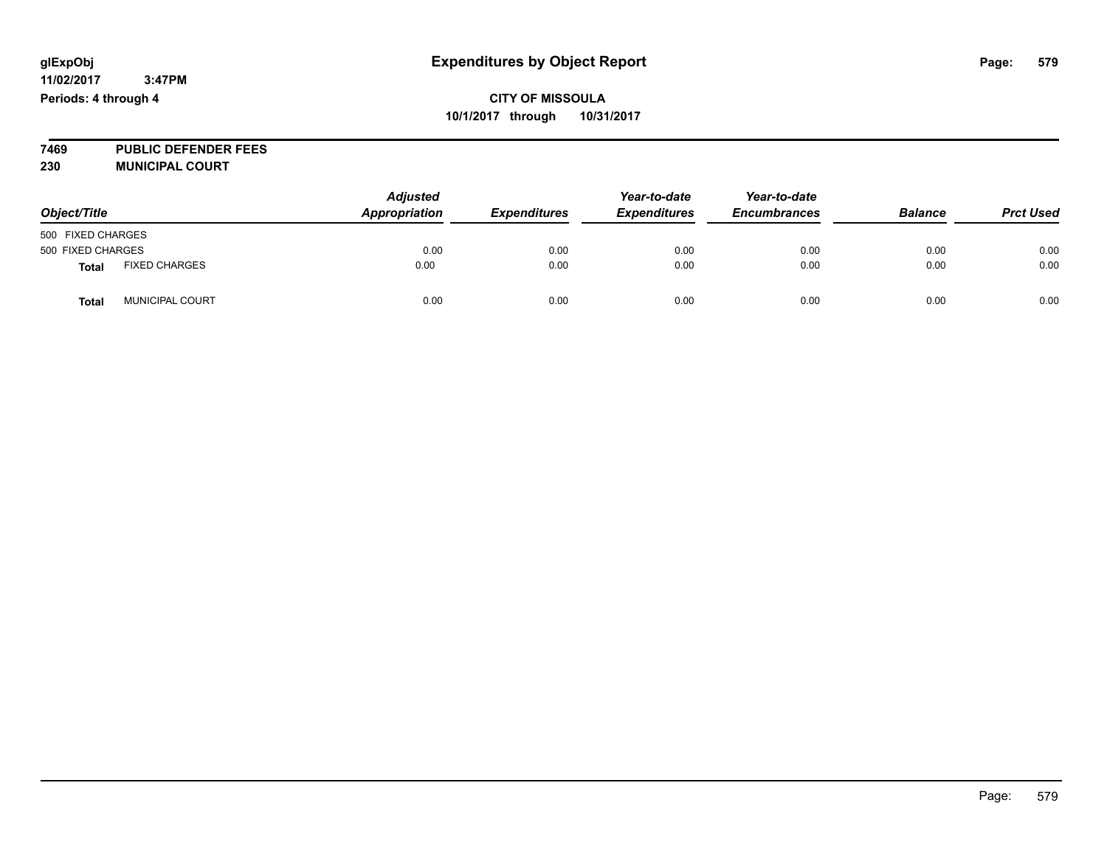**7469 PUBLIC DEFENDER FEES 230 MUNICIPAL COURT**

| Object/Title      |                        | <b>Adjusted</b><br>Appropriation | <b>Expenditures</b> | Year-to-date<br><b>Expenditures</b> | Year-to-date<br><b>Encumbrances</b> | <b>Balance</b> | <b>Prct Used</b> |
|-------------------|------------------------|----------------------------------|---------------------|-------------------------------------|-------------------------------------|----------------|------------------|
| 500 FIXED CHARGES |                        |                                  |                     |                                     |                                     |                |                  |
| 500 FIXED CHARGES |                        | 0.00                             | 0.00                | 0.00                                | 0.00                                | 0.00           | 0.00             |
| Total             | <b>FIXED CHARGES</b>   | 0.00                             | 0.00                | 0.00                                | 0.00                                | 0.00           | 0.00             |
| Tota              | <b>MUNICIPAL COURT</b> | 0.00                             | 0.00                | 0.00                                | 0.00                                | 0.00           | 0.00             |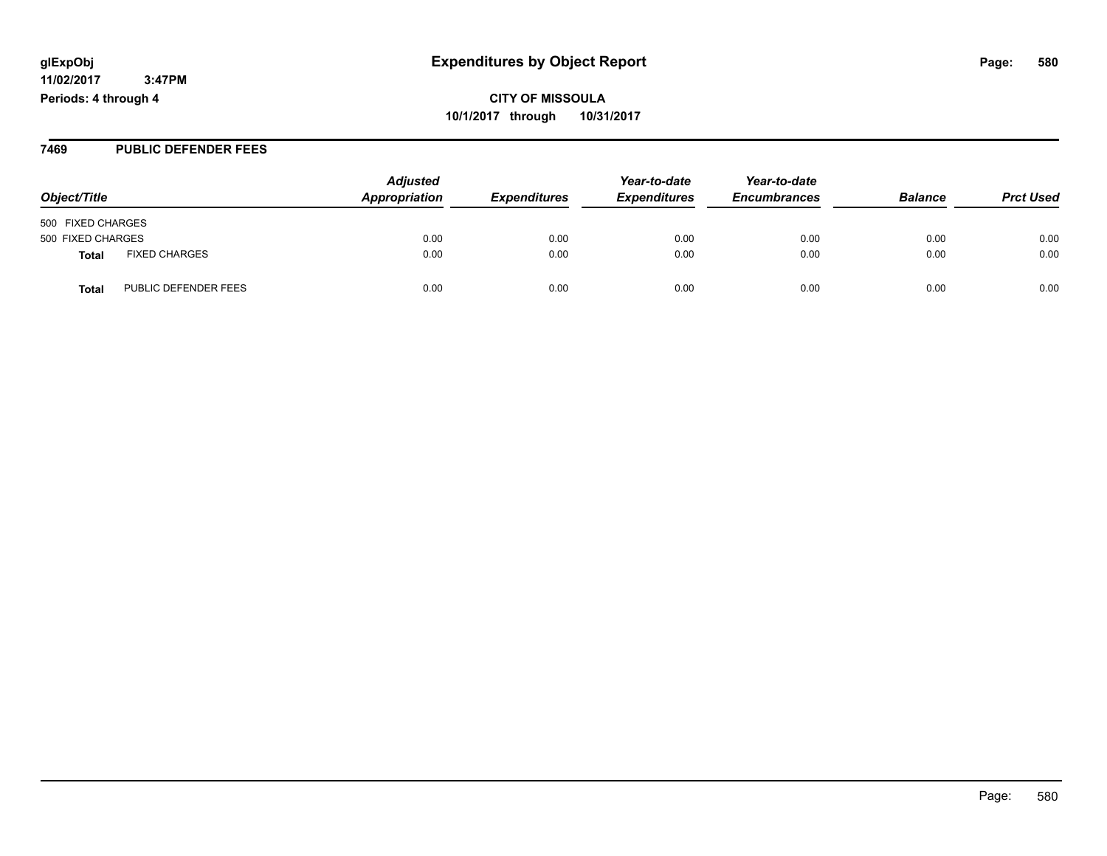**11/02/2017 3:47PM Periods: 4 through 4**

**CITY OF MISSOULA 10/1/2017 through 10/31/2017**

### **7469 PUBLIC DEFENDER FEES**

| Object/Title                         | <b>Adjusted</b><br>Appropriation | <b>Expenditures</b> | Year-to-date<br><b>Expenditures</b> | Year-to-date<br><b>Encumbrances</b> | <b>Balance</b> | <b>Prct Used</b> |
|--------------------------------------|----------------------------------|---------------------|-------------------------------------|-------------------------------------|----------------|------------------|
| 500 FIXED CHARGES                    |                                  |                     |                                     |                                     |                |                  |
| 500 FIXED CHARGES                    | 0.00                             | 0.00                | 0.00                                | 0.00                                | 0.00           | 0.00             |
| <b>FIXED CHARGES</b><br>Total        | 0.00                             | 0.00                | 0.00                                | 0.00                                | 0.00           | 0.00             |
| PUBLIC DEFENDER FEES<br><b>Total</b> | 0.00                             | 0.00                | 0.00                                | 0.00                                | 0.00           | 0.00             |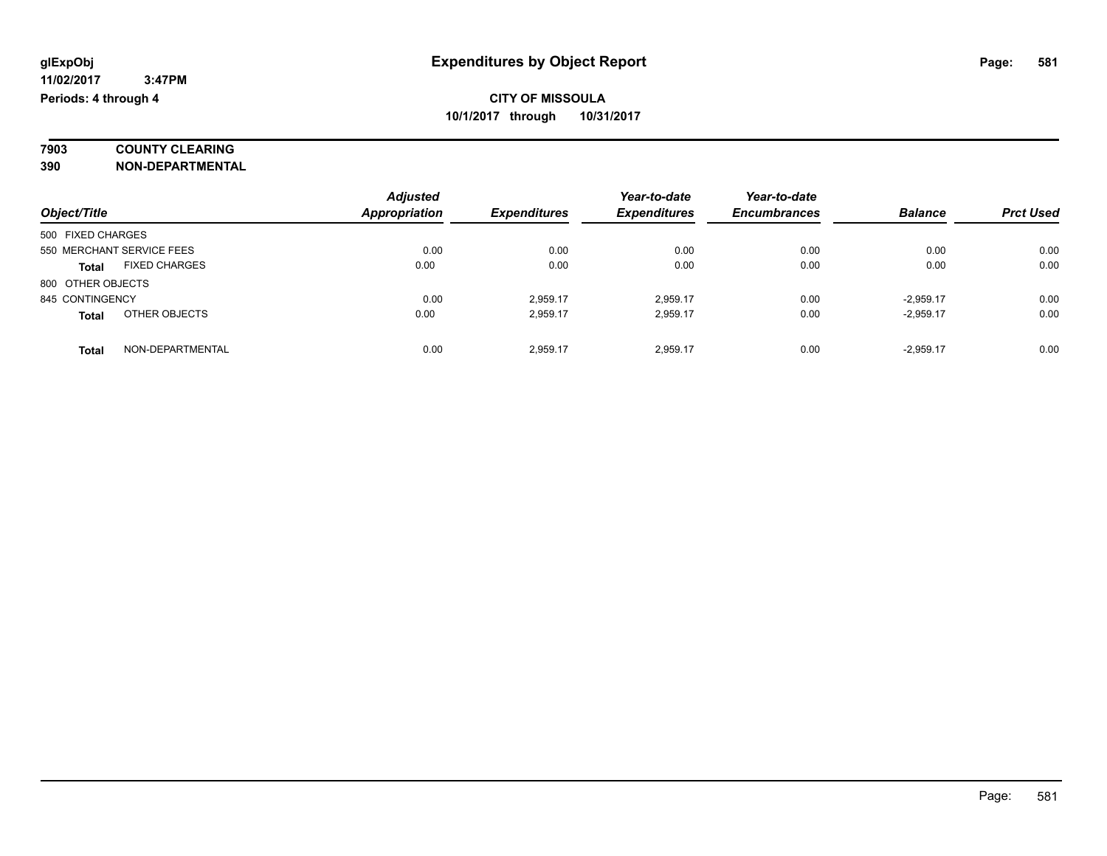### **7903 COUNTY CLEARING 390 NON-DEPARTMENTAL**

|                   |                           | <b>Adjusted</b> |                     | Year-to-date        | Year-to-date        |                |                  |
|-------------------|---------------------------|-----------------|---------------------|---------------------|---------------------|----------------|------------------|
| Object/Title      |                           | Appropriation   | <b>Expenditures</b> | <b>Expenditures</b> | <b>Encumbrances</b> | <b>Balance</b> | <b>Prct Used</b> |
| 500 FIXED CHARGES |                           |                 |                     |                     |                     |                |                  |
|                   | 550 MERCHANT SERVICE FEES | 0.00            | 0.00                | 0.00                | 0.00                | 0.00           | 0.00             |
| <b>Total</b>      | <b>FIXED CHARGES</b>      | 0.00            | 0.00                | 0.00                | 0.00                | 0.00           | 0.00             |
| 800 OTHER OBJECTS |                           |                 |                     |                     |                     |                |                  |
| 845 CONTINGENCY   |                           | 0.00            | 2,959.17            | 2,959.17            | 0.00                | $-2,959.17$    | 0.00             |
| <b>Total</b>      | OTHER OBJECTS             | 0.00            | 2,959.17            | 2,959.17            | 0.00                | $-2.959.17$    | 0.00             |
| <b>Total</b>      | NON-DEPARTMENTAL          | 0.00            | 2.959.17            | 2.959.17            | 0.00                | $-2.959.17$    | 0.00             |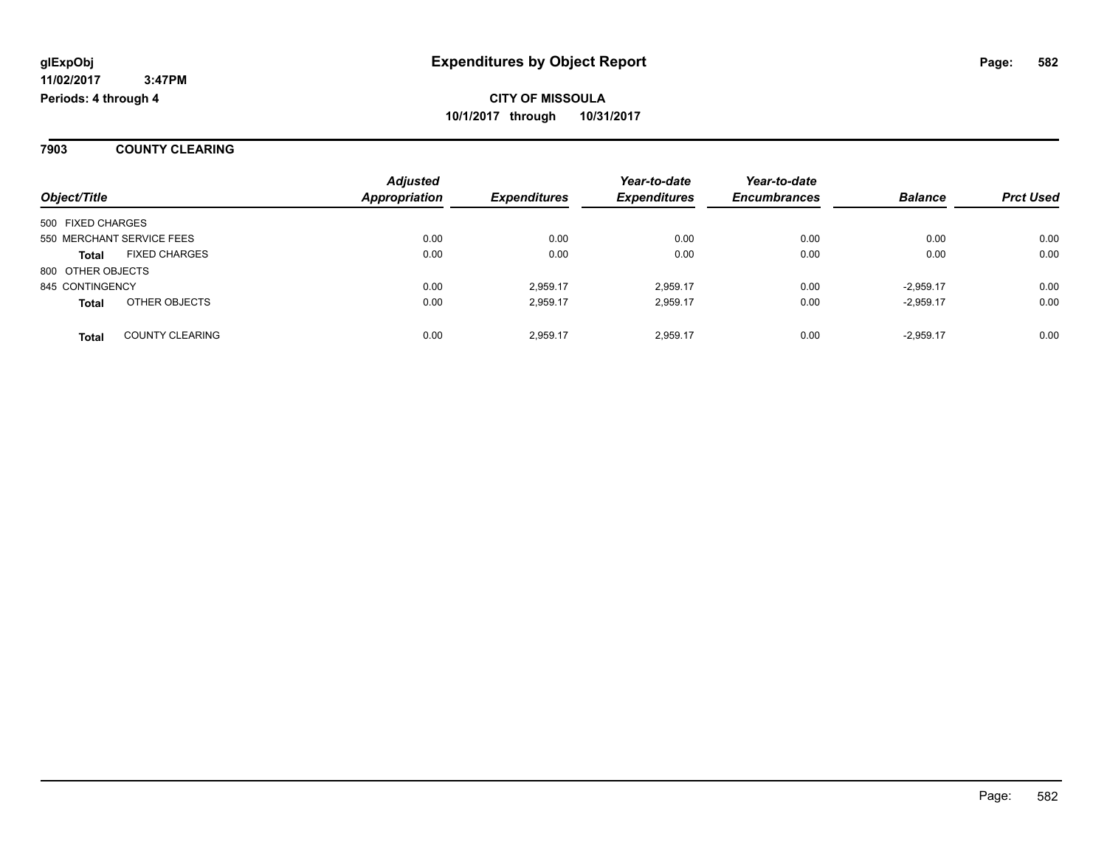**7903 COUNTY CLEARING**

| Object/Title      |                           | <b>Adjusted</b><br>Appropriation | <b>Expenditures</b> | Year-to-date<br><b>Expenditures</b> | Year-to-date<br><b>Encumbrances</b> | <b>Balance</b> | <b>Prct Used</b> |
|-------------------|---------------------------|----------------------------------|---------------------|-------------------------------------|-------------------------------------|----------------|------------------|
| 500 FIXED CHARGES |                           |                                  |                     |                                     |                                     |                |                  |
|                   | 550 MERCHANT SERVICE FEES | 0.00                             | 0.00                | 0.00                                | 0.00                                | 0.00           | 0.00             |
| <b>Total</b>      | <b>FIXED CHARGES</b>      | 0.00                             | 0.00                | 0.00                                | 0.00                                | 0.00           | 0.00             |
| 800 OTHER OBJECTS |                           |                                  |                     |                                     |                                     |                |                  |
| 845 CONTINGENCY   |                           | 0.00                             | 2,959.17            | 2.959.17                            | 0.00                                | $-2.959.17$    | 0.00             |
| <b>Total</b>      | OTHER OBJECTS             | 0.00                             | 2,959.17            | 2.959.17                            | 0.00                                | $-2,959.17$    | 0.00             |
| <b>Total</b>      | <b>COUNTY CLEARING</b>    | 0.00                             | 2.959.17            | 2.959.17                            | 0.00                                | $-2.959.17$    | 0.00             |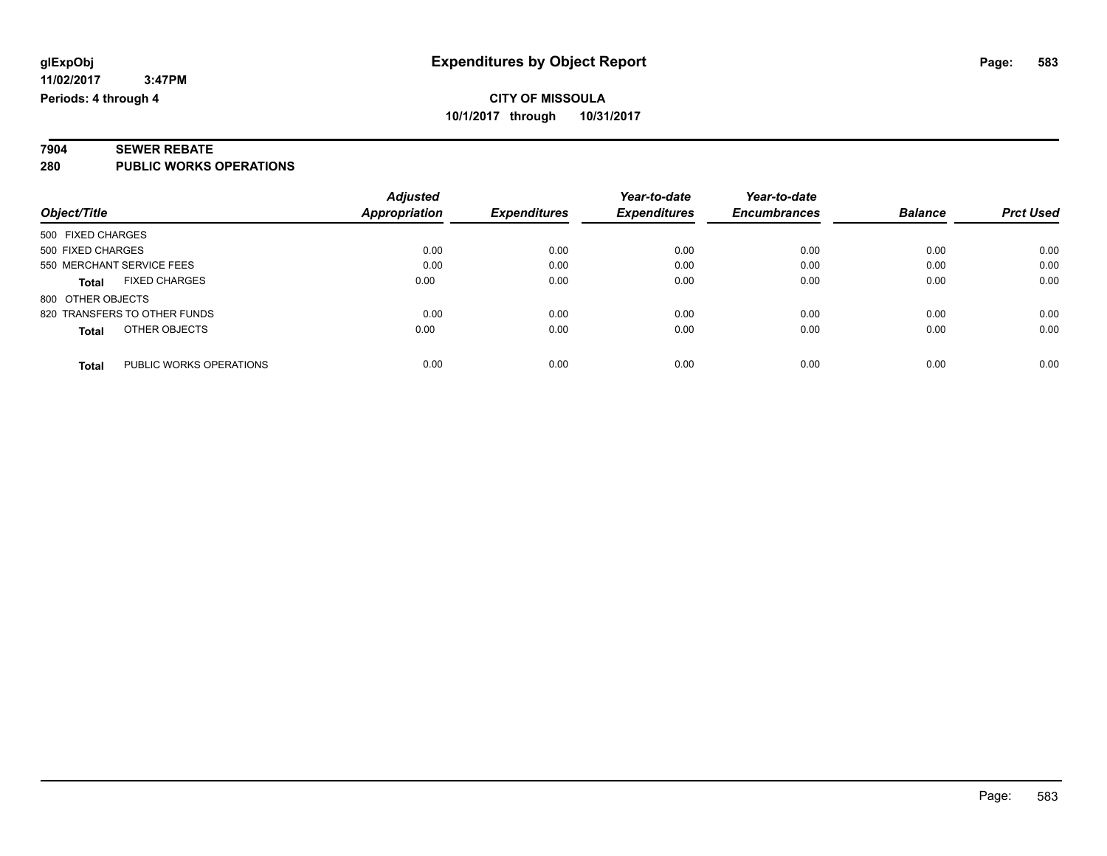#### **7904 SEWER REBATE 280 PUBLIC WORKS OPERATIONS**

| zou | <b>FUBLIC WORKS OF ERAITONS</b> |  |
|-----|---------------------------------|--|
|     |                                 |  |
|     |                                 |  |

| Object/Title                            | <b>Adjusted</b><br><b>Appropriation</b> | <b>Expenditures</b> | Year-to-date<br><b>Expenditures</b> | Year-to-date<br><b>Encumbrances</b> | <b>Balance</b> | <b>Prct Used</b> |
|-----------------------------------------|-----------------------------------------|---------------------|-------------------------------------|-------------------------------------|----------------|------------------|
| 500 FIXED CHARGES                       |                                         |                     |                                     |                                     |                |                  |
| 500 FIXED CHARGES                       | 0.00                                    | 0.00                | 0.00                                | 0.00                                | 0.00           | 0.00             |
| 550 MERCHANT SERVICE FEES               | 0.00                                    | 0.00                | 0.00                                | 0.00                                | 0.00           | 0.00             |
| <b>FIXED CHARGES</b><br><b>Total</b>    | 0.00                                    | 0.00                | 0.00                                | 0.00                                | 0.00           | 0.00             |
| 800 OTHER OBJECTS                       |                                         |                     |                                     |                                     |                |                  |
| 820 TRANSFERS TO OTHER FUNDS            | 0.00                                    | 0.00                | 0.00                                | 0.00                                | 0.00           | 0.00             |
| OTHER OBJECTS<br><b>Total</b>           | 0.00                                    | 0.00                | 0.00                                | 0.00                                | 0.00           | 0.00             |
| PUBLIC WORKS OPERATIONS<br><b>Total</b> | 0.00                                    | 0.00                | 0.00                                | 0.00                                | 0.00           | 0.00             |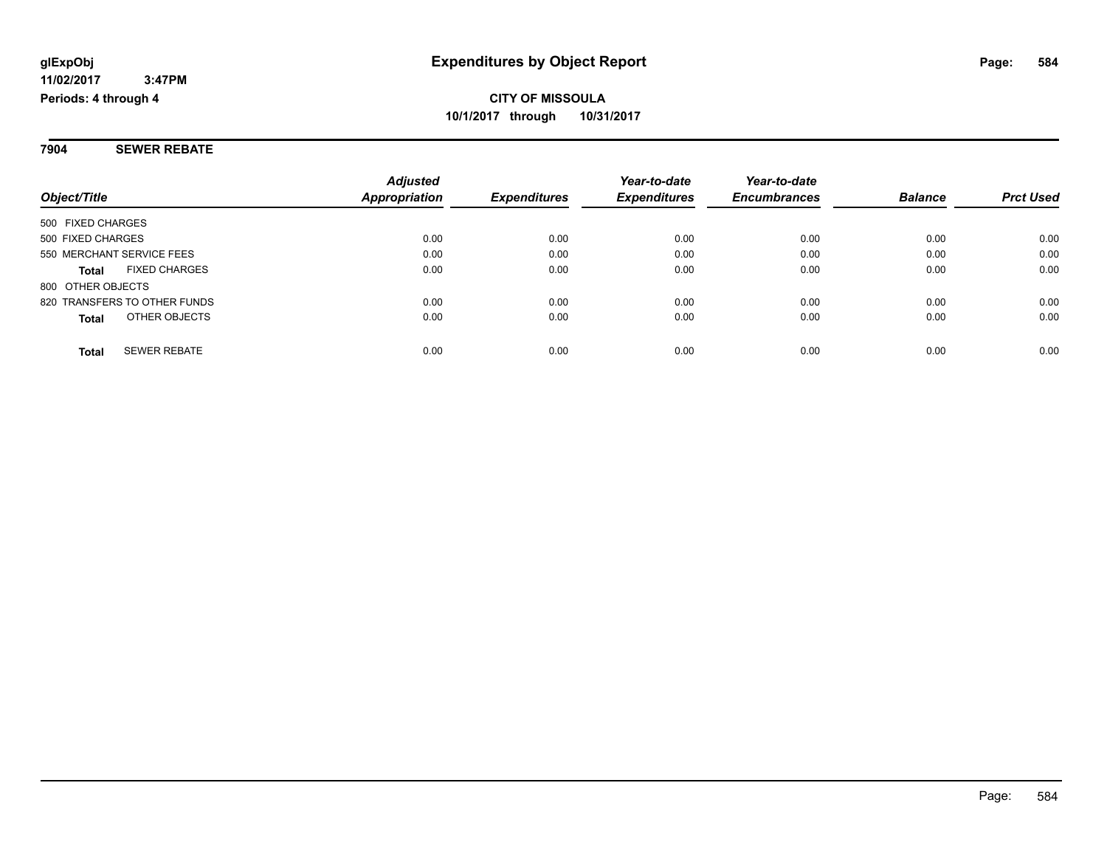**7904 SEWER REBATE**

|                                      | <b>Adjusted</b> |                     | Year-to-date        | Year-to-date        |                |                  |
|--------------------------------------|-----------------|---------------------|---------------------|---------------------|----------------|------------------|
| Object/Title                         | Appropriation   | <b>Expenditures</b> | <b>Expenditures</b> | <b>Encumbrances</b> | <b>Balance</b> | <b>Prct Used</b> |
| 500 FIXED CHARGES                    |                 |                     |                     |                     |                |                  |
| 500 FIXED CHARGES                    | 0.00            | 0.00                | 0.00                | 0.00                | 0.00           | 0.00             |
| 550 MERCHANT SERVICE FEES            | 0.00            | 0.00                | 0.00                | 0.00                | 0.00           | 0.00             |
| <b>FIXED CHARGES</b><br><b>Total</b> | 0.00            | 0.00                | 0.00                | 0.00                | 0.00           | 0.00             |
| 800 OTHER OBJECTS                    |                 |                     |                     |                     |                |                  |
| 820 TRANSFERS TO OTHER FUNDS         | 0.00            | 0.00                | 0.00                | 0.00                | 0.00           | 0.00             |
| OTHER OBJECTS<br><b>Total</b>        | 0.00            | 0.00                | 0.00                | 0.00                | 0.00           | 0.00             |
| <b>SEWER REBATE</b><br><b>Total</b>  | 0.00            | 0.00                | 0.00                | 0.00                | 0.00           | 0.00             |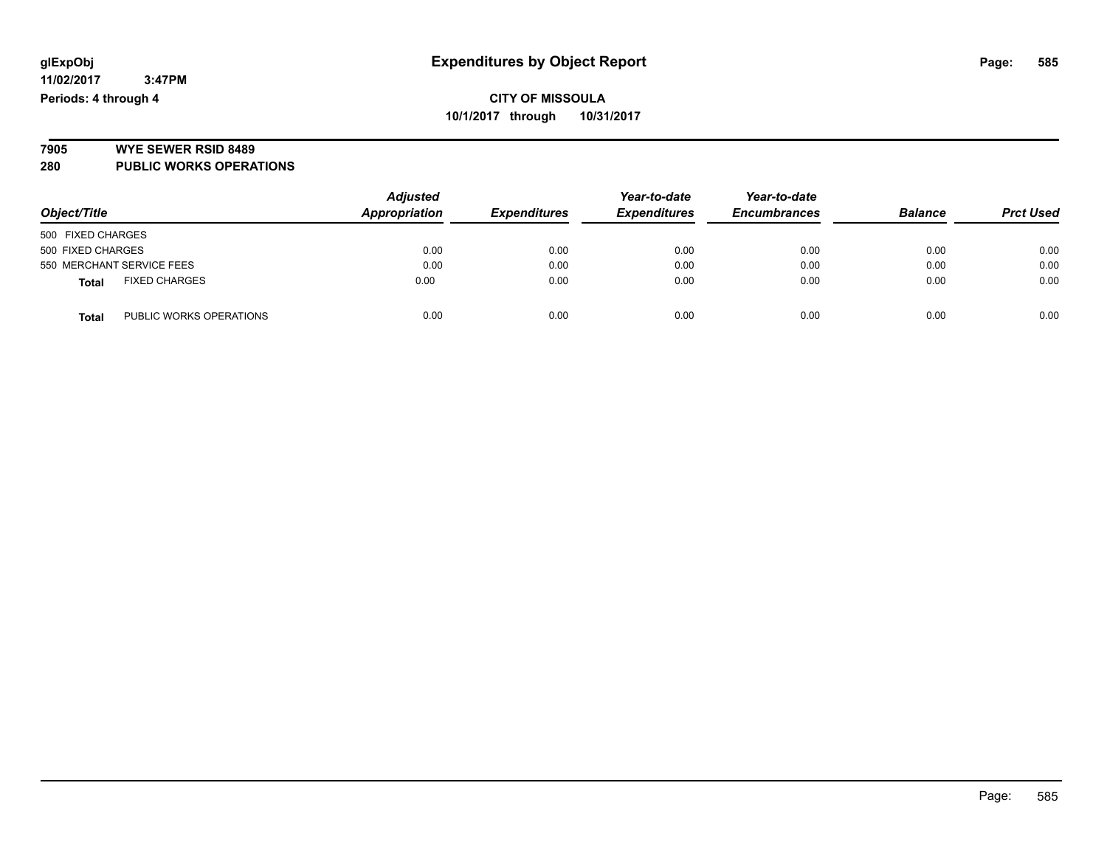# **7905 WYE SEWER RSID 8489**

**280 PUBLIC WORKS OPERATIONS**

| Object/Title                            | <b>Adjusted</b><br>Appropriation | <b>Expenditures</b> | Year-to-date<br><b>Expenditures</b> | Year-to-date<br><b>Encumbrances</b> | <b>Balance</b> | <b>Prct Used</b> |
|-----------------------------------------|----------------------------------|---------------------|-------------------------------------|-------------------------------------|----------------|------------------|
| 500 FIXED CHARGES                       |                                  |                     |                                     |                                     |                |                  |
| 500 FIXED CHARGES                       | 0.00                             | 0.00                | 0.00                                | 0.00                                | 0.00           | 0.00             |
| 550 MERCHANT SERVICE FEES               | 0.00                             | 0.00                | 0.00                                | 0.00                                | 0.00           | 0.00             |
| <b>FIXED CHARGES</b><br><b>Total</b>    | 0.00                             | 0.00                | 0.00                                | 0.00                                | 0.00           | 0.00             |
| PUBLIC WORKS OPERATIONS<br><b>Total</b> | 0.00                             | 0.00                | 0.00                                | 0.00                                | 0.00           | 0.00             |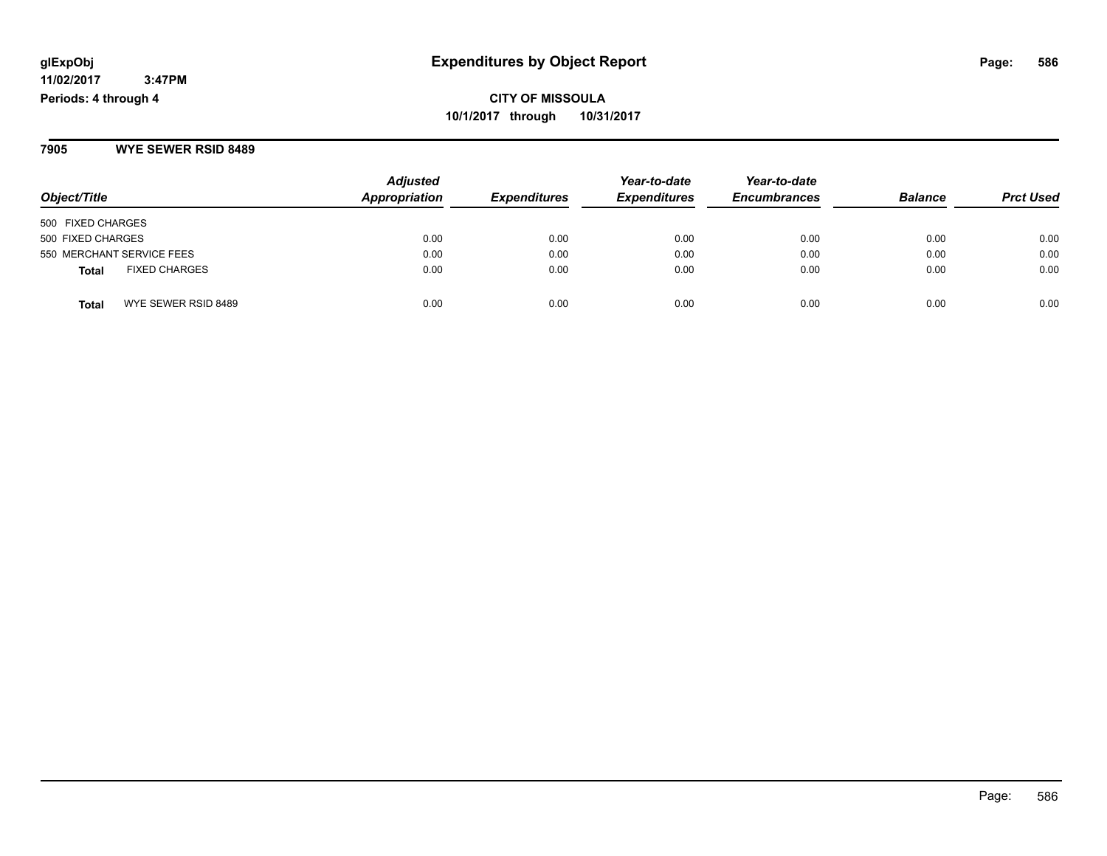**7905 WYE SEWER RSID 8489**

| Object/Title                         | <b>Adjusted</b><br>Appropriation | <b>Expenditures</b> | Year-to-date<br><b>Expenditures</b> | Year-to-date<br><b>Encumbrances</b> | <b>Balance</b> | <b>Prct Used</b> |
|--------------------------------------|----------------------------------|---------------------|-------------------------------------|-------------------------------------|----------------|------------------|
| 500 FIXED CHARGES                    |                                  |                     |                                     |                                     |                |                  |
| 500 FIXED CHARGES                    | 0.00                             | 0.00                | 0.00                                | 0.00                                | 0.00           | 0.00             |
| 550 MERCHANT SERVICE FEES            | 0.00                             | 0.00                | 0.00                                | 0.00                                | 0.00           | 0.00             |
| <b>FIXED CHARGES</b><br><b>Total</b> | 0.00                             | 0.00                | 0.00                                | 0.00                                | 0.00           | 0.00             |
| WYE SEWER RSID 8489<br><b>Total</b>  | 0.00                             | 0.00                | 0.00                                | 0.00                                | 0.00           | 0.00             |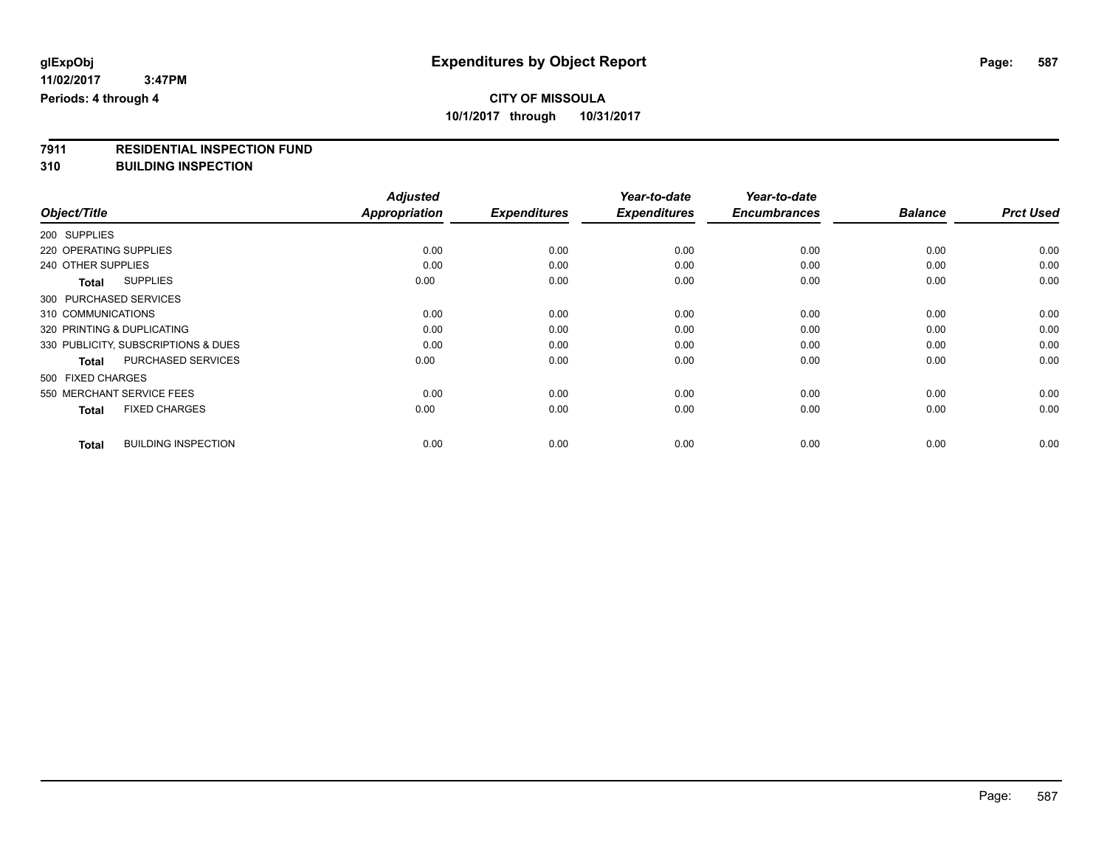# **7911 RESIDENTIAL INSPECTION FUND**

**310 BUILDING INSPECTION**

|                                            | <b>Adjusted</b>      |                     | Year-to-date        | Year-to-date        |                |                  |
|--------------------------------------------|----------------------|---------------------|---------------------|---------------------|----------------|------------------|
| Object/Title                               | <b>Appropriation</b> | <b>Expenditures</b> | <b>Expenditures</b> | <b>Encumbrances</b> | <b>Balance</b> | <b>Prct Used</b> |
| 200 SUPPLIES                               |                      |                     |                     |                     |                |                  |
| 220 OPERATING SUPPLIES                     | 0.00                 | 0.00                | 0.00                | 0.00                | 0.00           | 0.00             |
| 240 OTHER SUPPLIES                         | 0.00                 | 0.00                | 0.00                | 0.00                | 0.00           | 0.00             |
| <b>SUPPLIES</b><br>Total                   | 0.00                 | 0.00                | 0.00                | 0.00                | 0.00           | 0.00             |
| 300 PURCHASED SERVICES                     |                      |                     |                     |                     |                |                  |
| 310 COMMUNICATIONS                         | 0.00                 | 0.00                | 0.00                | 0.00                | 0.00           | 0.00             |
| 320 PRINTING & DUPLICATING                 | 0.00                 | 0.00                | 0.00                | 0.00                | 0.00           | 0.00             |
| 330 PUBLICITY, SUBSCRIPTIONS & DUES        | 0.00                 | 0.00                | 0.00                | 0.00                | 0.00           | 0.00             |
| PURCHASED SERVICES<br><b>Total</b>         | 0.00                 | 0.00                | 0.00                | 0.00                | 0.00           | 0.00             |
| 500 FIXED CHARGES                          |                      |                     |                     |                     |                |                  |
| 550 MERCHANT SERVICE FEES                  | 0.00                 | 0.00                | 0.00                | 0.00                | 0.00           | 0.00             |
| <b>FIXED CHARGES</b><br><b>Total</b>       | 0.00                 | 0.00                | 0.00                | 0.00                | 0.00           | 0.00             |
| <b>BUILDING INSPECTION</b><br><b>Total</b> | 0.00                 | 0.00                | 0.00                | 0.00                | 0.00           | 0.00             |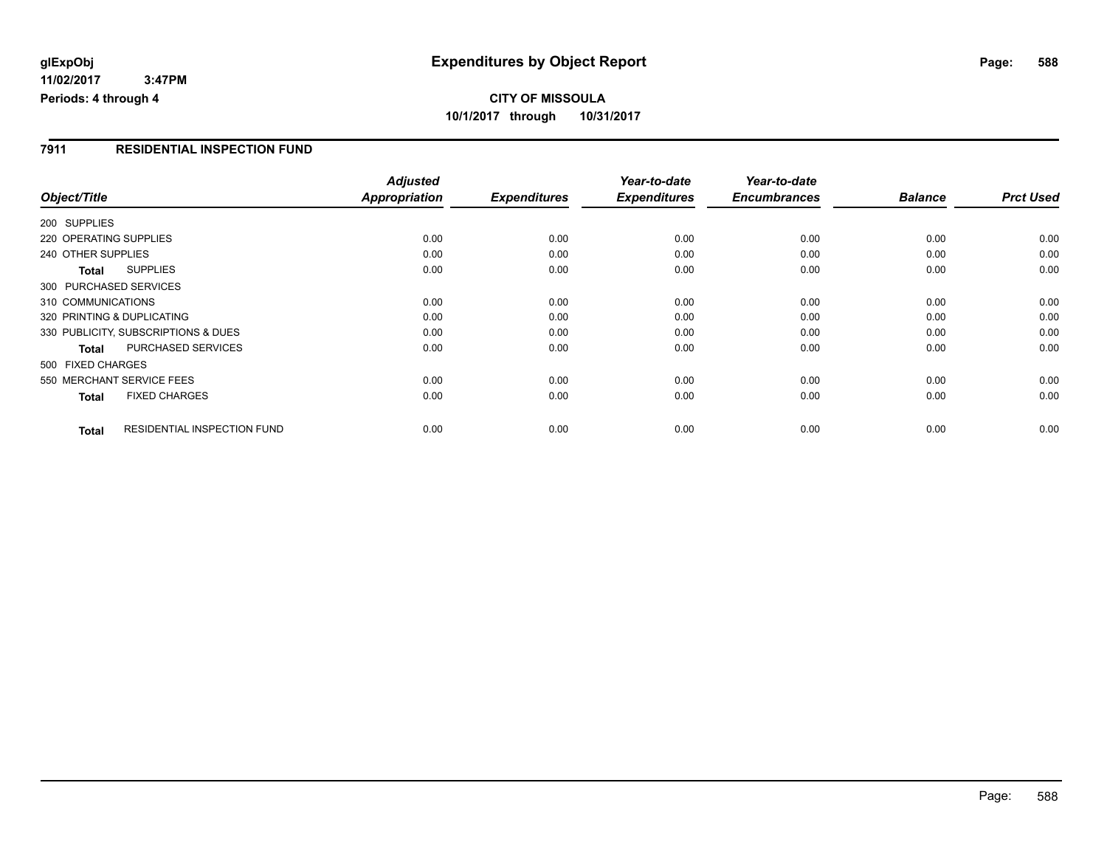**11/02/2017 3:47PM Periods: 4 through 4**

# **CITY OF MISSOULA 10/1/2017 through 10/31/2017**

### **7911 RESIDENTIAL INSPECTION FUND**

|                                                    | <b>Adjusted</b>      |                     | Year-to-date        | Year-to-date<br><b>Encumbrances</b> |                |                  |
|----------------------------------------------------|----------------------|---------------------|---------------------|-------------------------------------|----------------|------------------|
| Object/Title                                       | <b>Appropriation</b> | <b>Expenditures</b> | <b>Expenditures</b> |                                     | <b>Balance</b> | <b>Prct Used</b> |
| 200 SUPPLIES                                       |                      |                     |                     |                                     |                |                  |
| 220 OPERATING SUPPLIES                             | 0.00                 | 0.00                | 0.00                | 0.00                                | 0.00           | 0.00             |
| 240 OTHER SUPPLIES                                 | 0.00                 | 0.00                | 0.00                | 0.00                                | 0.00           | 0.00             |
| <b>SUPPLIES</b><br>Total                           | 0.00                 | 0.00                | 0.00                | 0.00                                | 0.00           | 0.00             |
| 300 PURCHASED SERVICES                             |                      |                     |                     |                                     |                |                  |
| 310 COMMUNICATIONS                                 | 0.00                 | 0.00                | 0.00                | 0.00                                | 0.00           | 0.00             |
| 320 PRINTING & DUPLICATING                         | 0.00                 | 0.00                | 0.00                | 0.00                                | 0.00           | 0.00             |
| 330 PUBLICITY, SUBSCRIPTIONS & DUES                | 0.00                 | 0.00                | 0.00                | 0.00                                | 0.00           | 0.00             |
| <b>PURCHASED SERVICES</b><br><b>Total</b>          | 0.00                 | 0.00                | 0.00                | 0.00                                | 0.00           | 0.00             |
| 500 FIXED CHARGES                                  |                      |                     |                     |                                     |                |                  |
| 550 MERCHANT SERVICE FEES                          | 0.00                 | 0.00                | 0.00                | 0.00                                | 0.00           | 0.00             |
| <b>FIXED CHARGES</b><br><b>Total</b>               | 0.00                 | 0.00                | 0.00                | 0.00                                | 0.00           | 0.00             |
| <b>RESIDENTIAL INSPECTION FUND</b><br><b>Total</b> | 0.00                 | 0.00                | 0.00                | 0.00                                | 0.00           | 0.00             |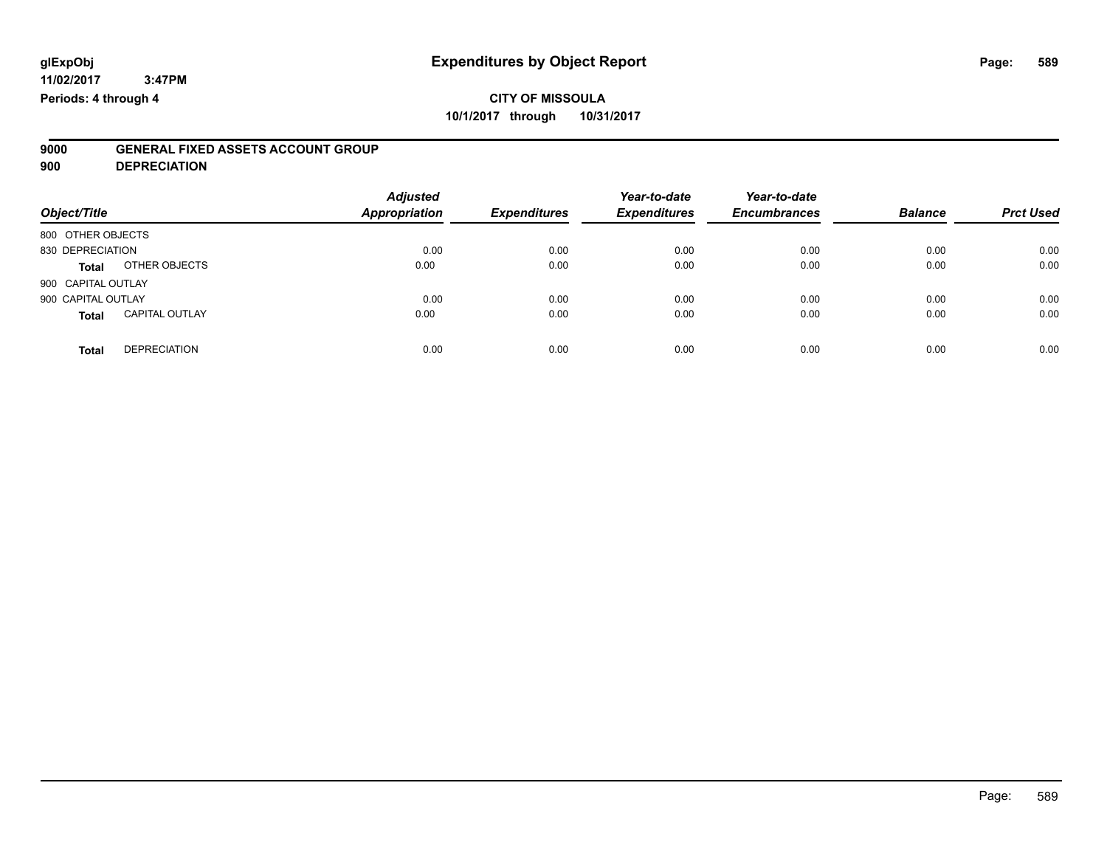# **9000 GENERAL FIXED ASSETS ACCOUNT GROUP**

**900 DEPRECIATION**

| Object/Title                          | <b>Adjusted</b><br><b>Appropriation</b> | <b>Expenditures</b> | Year-to-date<br><b>Expenditures</b> | Year-to-date<br><b>Encumbrances</b> | <b>Balance</b> | <b>Prct Used</b> |
|---------------------------------------|-----------------------------------------|---------------------|-------------------------------------|-------------------------------------|----------------|------------------|
| 800 OTHER OBJECTS                     |                                         |                     |                                     |                                     |                |                  |
| 830 DEPRECIATION                      | 0.00                                    | 0.00                | 0.00                                | 0.00                                | 0.00           | 0.00             |
| OTHER OBJECTS<br><b>Total</b>         | 0.00                                    | 0.00                | 0.00                                | 0.00                                | 0.00           | 0.00             |
| 900 CAPITAL OUTLAY                    |                                         |                     |                                     |                                     |                |                  |
| 900 CAPITAL OUTLAY                    | 0.00                                    | 0.00                | 0.00                                | 0.00                                | 0.00           | 0.00             |
| <b>CAPITAL OUTLAY</b><br><b>Total</b> | 0.00                                    | 0.00                | 0.00                                | 0.00                                | 0.00           | 0.00             |
| <b>DEPRECIATION</b><br><b>Total</b>   | 0.00                                    | 0.00                | 0.00                                | 0.00                                | 0.00           | 0.00             |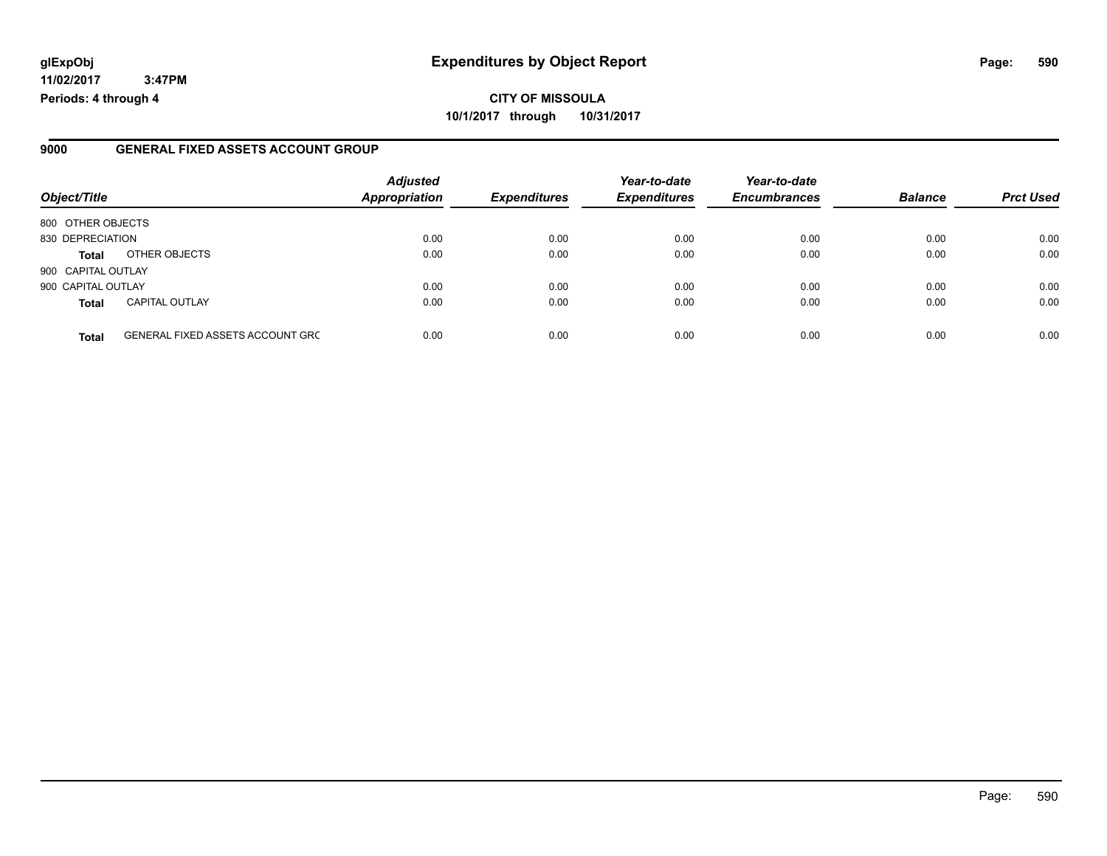## **glExpObj Expenditures by Object Report Page: 590**

**11/02/2017 3:47PM Periods: 4 through 4**

### **9000 GENERAL FIXED ASSETS ACCOUNT GROUP**

| Object/Title       |                                         | <b>Adjusted</b><br>Appropriation | <b>Expenditures</b> | Year-to-date<br><b>Expenditures</b> | Year-to-date<br><b>Encumbrances</b> | <b>Balance</b> | <b>Prct Used</b> |
|--------------------|-----------------------------------------|----------------------------------|---------------------|-------------------------------------|-------------------------------------|----------------|------------------|
|                    |                                         |                                  |                     |                                     |                                     |                |                  |
| 800 OTHER OBJECTS  |                                         |                                  |                     |                                     |                                     |                |                  |
| 830 DEPRECIATION   |                                         | 0.00                             | 0.00                | 0.00                                | 0.00                                | 0.00           | 0.00             |
| Total              | OTHER OBJECTS                           | 0.00                             | 0.00                | 0.00                                | 0.00                                | 0.00           | 0.00             |
| 900 CAPITAL OUTLAY |                                         |                                  |                     |                                     |                                     |                |                  |
| 900 CAPITAL OUTLAY |                                         | 0.00                             | 0.00                | 0.00                                | 0.00                                | 0.00           | 0.00             |
| <b>Total</b>       | <b>CAPITAL OUTLAY</b>                   | 0.00                             | 0.00                | 0.00                                | 0.00                                | 0.00           | 0.00             |
| <b>Total</b>       | <b>GENERAL FIXED ASSETS ACCOUNT GRC</b> | 0.00                             | 0.00                | 0.00                                | 0.00                                | 0.00           | 0.00             |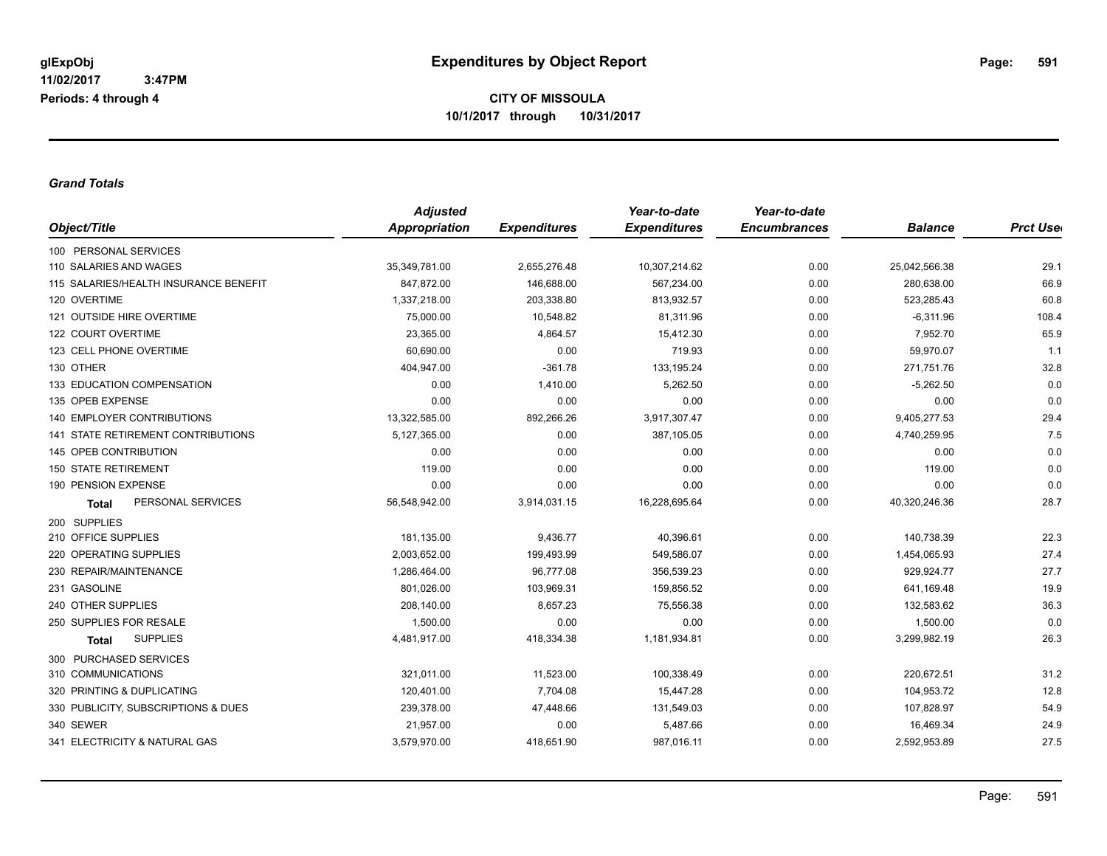### *Grand Totals*

|                                           | <b>Adjusted</b> |                     | Year-to-date        | Year-to-date        |                |                  |
|-------------------------------------------|-----------------|---------------------|---------------------|---------------------|----------------|------------------|
| Object/Title                              | Appropriation   | <b>Expenditures</b> | <b>Expenditures</b> | <b>Encumbrances</b> | <b>Balance</b> | <b>Prct Uset</b> |
| 100 PERSONAL SERVICES                     |                 |                     |                     |                     |                |                  |
| 110 SALARIES AND WAGES                    | 35,349,781.00   | 2,655,276.48        | 10,307,214.62       | 0.00                | 25,042,566.38  | 29.1             |
| 115 SALARIES/HEALTH INSURANCE BENEFIT     | 847,872.00      | 146,688.00          | 567,234.00          | 0.00                | 280,638.00     | 66.9             |
| 120 OVERTIME                              | 1,337,218.00    | 203,338.80          | 813,932.57          | 0.00                | 523,285.43     | 60.8             |
| 121 OUTSIDE HIRE OVERTIME                 | 75,000.00       | 10,548.82           | 81,311.96           | 0.00                | $-6,311.96$    | 108.4            |
| 122 COURT OVERTIME                        | 23,365.00       | 4,864.57            | 15,412.30           | 0.00                | 7,952.70       | 65.9             |
| 123 CELL PHONE OVERTIME                   | 60,690.00       | 0.00                | 719.93              | 0.00                | 59,970.07      | 1.1              |
| 130 OTHER                                 | 404,947.00      | $-361.78$           | 133,195.24          | 0.00                | 271,751.76     | 32.8             |
| 133 EDUCATION COMPENSATION                | 0.00            | 1,410.00            | 5,262.50            | 0.00                | $-5,262.50$    | 0.0              |
| 135 OPEB EXPENSE                          | 0.00            | 0.00                | 0.00                | 0.00                | 0.00           | 0.0              |
| <b>140 EMPLOYER CONTRIBUTIONS</b>         | 13,322,585.00   | 892,266.26          | 3,917,307.47        | 0.00                | 9,405,277.53   | 29.4             |
| <b>141 STATE RETIREMENT CONTRIBUTIONS</b> | 5,127,365.00    | 0.00                | 387,105.05          | 0.00                | 4,740,259.95   | 7.5              |
| 145 OPEB CONTRIBUTION                     | 0.00            | 0.00                | 0.00                | 0.00                | 0.00           | 0.0              |
| <b>150 STATE RETIREMENT</b>               | 119.00          | 0.00                | 0.00                | 0.00                | 119.00         | 0.0              |
| 190 PENSION EXPENSE                       | 0.00            | 0.00                | 0.00                | 0.00                | 0.00           | 0.0              |
| PERSONAL SERVICES<br><b>Total</b>         | 56,548,942.00   | 3,914,031.15        | 16,228,695.64       | 0.00                | 40,320,246.36  | 28.7             |
| 200 SUPPLIES                              |                 |                     |                     |                     |                |                  |
| 210 OFFICE SUPPLIES                       | 181,135.00      | 9,436.77            | 40,396.61           | 0.00                | 140,738.39     | 22.3             |
| 220 OPERATING SUPPLIES                    | 2,003,652.00    | 199,493.99          | 549,586.07          | 0.00                | 1,454,065.93   | 27.4             |
| 230 REPAIR/MAINTENANCE                    | 1,286,464.00    | 96,777.08           | 356,539.23          | 0.00                | 929,924.77     | 27.7             |
| 231 GASOLINE                              | 801,026.00      | 103,969.31          | 159,856.52          | 0.00                | 641,169.48     | 19.9             |
| 240 OTHER SUPPLIES                        | 208,140.00      | 8,657.23            | 75,556.38           | 0.00                | 132,583.62     | 36.3             |
| 250 SUPPLIES FOR RESALE                   | 1,500.00        | 0.00                | 0.00                | 0.00                | 1,500.00       | 0.0              |
| <b>SUPPLIES</b><br><b>Total</b>           | 4,481,917.00    | 418,334.38          | 1,181,934.81        | 0.00                | 3,299,982.19   | 26.3             |
| 300 PURCHASED SERVICES                    |                 |                     |                     |                     |                |                  |
| 310 COMMUNICATIONS                        | 321,011.00      | 11,523.00           | 100,338.49          | 0.00                | 220,672.51     | 31.2             |
| 320 PRINTING & DUPLICATING                | 120,401.00      | 7,704.08            | 15,447.28           | 0.00                | 104,953.72     | 12.8             |
| 330 PUBLICITY, SUBSCRIPTIONS & DUES       | 239,378.00      | 47,448.66           | 131,549.03          | 0.00                | 107,828.97     | 54.9             |
| 340 SEWER                                 | 21,957.00       | 0.00                | 5,487.66            | 0.00                | 16,469.34      | 24.9             |
| 341 ELECTRICITY & NATURAL GAS             | 3,579,970.00    | 418,651.90          | 987,016.11          | 0.00                | 2,592,953.89   | 27.5             |
|                                           |                 |                     |                     |                     |                |                  |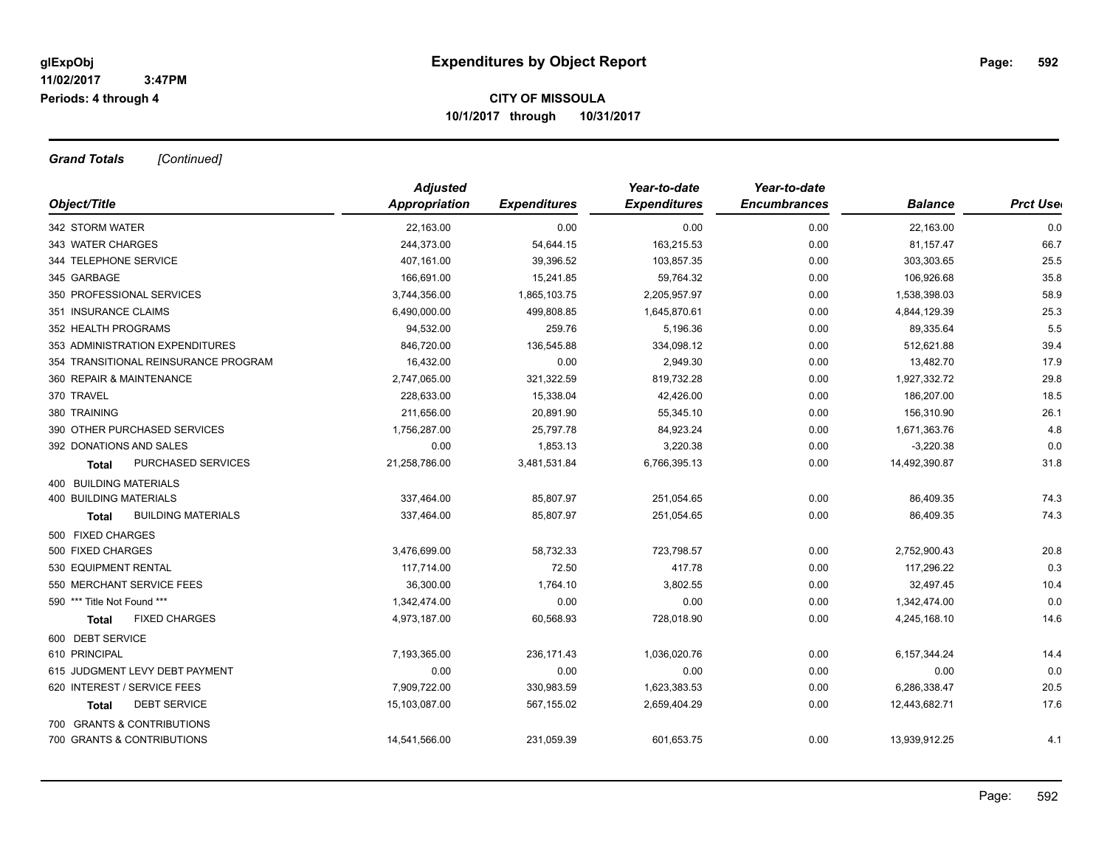*Grand Totals [Continued]*

|                                           | <b>Adjusted</b> |                     | Year-to-date        | Year-to-date        |                 |                  |
|-------------------------------------------|-----------------|---------------------|---------------------|---------------------|-----------------|------------------|
| Object/Title                              | Appropriation   | <b>Expenditures</b> | <b>Expenditures</b> | <b>Encumbrances</b> | <b>Balance</b>  | <b>Prct Uset</b> |
| 342 STORM WATER                           | 22,163.00       | 0.00                | 0.00                | 0.00                | 22,163.00       | 0.0              |
| 343 WATER CHARGES                         | 244,373.00      | 54,644.15           | 163,215.53          | 0.00                | 81,157.47       | 66.7             |
| 344 TELEPHONE SERVICE                     | 407,161.00      | 39,396.52           | 103,857.35          | 0.00                | 303,303.65      | 25.5             |
| 345 GARBAGE                               | 166,691.00      | 15,241.85           | 59,764.32           | 0.00                | 106,926.68      | 35.8             |
| 350 PROFESSIONAL SERVICES                 | 3,744,356.00    | 1,865,103.75        | 2,205,957.97        | 0.00                | 1,538,398.03    | 58.9             |
| 351 INSURANCE CLAIMS                      | 6,490,000.00    | 499,808.85          | 1,645,870.61        | 0.00                | 4,844,129.39    | 25.3             |
| 352 HEALTH PROGRAMS                       | 94,532.00       | 259.76              | 5,196.36            | 0.00                | 89,335.64       | 5.5              |
| 353 ADMINISTRATION EXPENDITURES           | 846,720.00      | 136,545.88          | 334,098.12          | 0.00                | 512,621.88      | 39.4             |
| 354 TRANSITIONAL REINSURANCE PROGRAM      | 16,432.00       | 0.00                | 2,949.30            | 0.00                | 13,482.70       | 17.9             |
| 360 REPAIR & MAINTENANCE                  | 2,747,065.00    | 321,322.59          | 819,732.28          | 0.00                | 1,927,332.72    | 29.8             |
| 370 TRAVEL                                | 228,633.00      | 15,338.04           | 42,426.00           | 0.00                | 186,207.00      | 18.5             |
| 380 TRAINING                              | 211,656.00      | 20,891.90           | 55,345.10           | 0.00                | 156,310.90      | 26.1             |
| 390 OTHER PURCHASED SERVICES              | 1,756,287.00    | 25,797.78           | 84,923.24           | 0.00                | 1,671,363.76    | 4.8              |
| 392 DONATIONS AND SALES                   | 0.00            | 1,853.13            | 3,220.38            | 0.00                | $-3,220.38$     | 0.0              |
| PURCHASED SERVICES<br>Total               | 21,258,786.00   | 3,481,531.84        | 6,766,395.13        | 0.00                | 14,492,390.87   | 31.8             |
| 400 BUILDING MATERIALS                    |                 |                     |                     |                     |                 |                  |
| <b>400 BUILDING MATERIALS</b>             | 337,464.00      | 85,807.97           | 251,054.65          | 0.00                | 86,409.35       | 74.3             |
| <b>BUILDING MATERIALS</b><br><b>Total</b> | 337,464.00      | 85,807.97           | 251,054.65          | 0.00                | 86,409.35       | 74.3             |
| 500 FIXED CHARGES                         |                 |                     |                     |                     |                 |                  |
| 500 FIXED CHARGES                         | 3,476,699.00    | 58,732.33           | 723,798.57          | 0.00                | 2,752,900.43    | 20.8             |
| 530 EQUIPMENT RENTAL                      | 117,714.00      | 72.50               | 417.78              | 0.00                | 117,296.22      | 0.3              |
| 550 MERCHANT SERVICE FEES                 | 36,300.00       | 1,764.10            | 3,802.55            | 0.00                | 32,497.45       | 10.4             |
| 590 *** Title Not Found ***               | 1,342,474.00    | 0.00                | 0.00                | 0.00                | 1,342,474.00    | 0.0              |
| <b>FIXED CHARGES</b><br><b>Total</b>      | 4,973,187.00    | 60,568.93           | 728,018.90          | 0.00                | 4,245,168.10    | 14.6             |
| 600 DEBT SERVICE                          |                 |                     |                     |                     |                 |                  |
| 610 PRINCIPAL                             | 7,193,365.00    | 236, 171.43         | 1,036,020.76        | 0.00                | 6, 157, 344. 24 | 14.4             |
| 615 JUDGMENT LEVY DEBT PAYMENT            | 0.00            | 0.00                | 0.00                | 0.00                | 0.00            | 0.0              |
| 620 INTEREST / SERVICE FEES               | 7,909,722.00    | 330,983.59          | 1,623,383.53        | 0.00                | 6,286,338.47    | 20.5             |
| <b>DEBT SERVICE</b><br><b>Total</b>       | 15,103,087.00   | 567,155.02          | 2,659,404.29        | 0.00                | 12,443,682.71   | 17.6             |
| 700 GRANTS & CONTRIBUTIONS                |                 |                     |                     |                     |                 |                  |
| 700 GRANTS & CONTRIBUTIONS                | 14,541,566.00   | 231,059.39          | 601,653.75          | 0.00                | 13,939,912.25   | 4.1              |
|                                           |                 |                     |                     |                     |                 |                  |